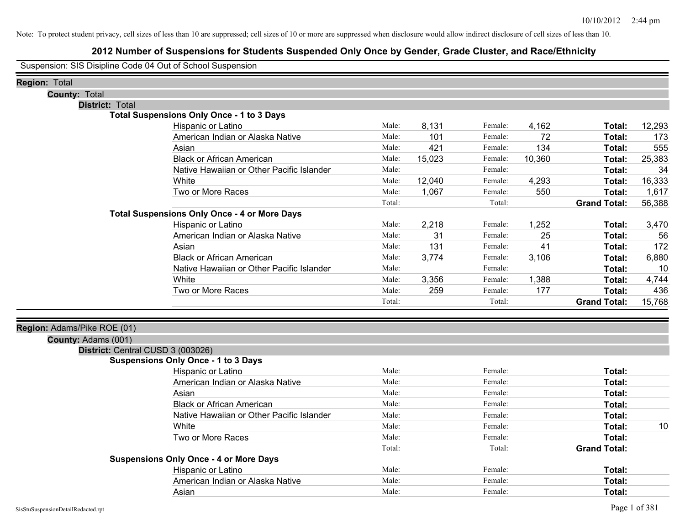# **2012 Number of Suspensions for Students Suspended Only Once by Gender, Grade Cluster, and Race/Ethnicity**

Suspension: SIS Disipline Code 04 Out of School Suspension

| <b>Region: Total</b>        |                                                     |        |        |         |        |                     |        |
|-----------------------------|-----------------------------------------------------|--------|--------|---------|--------|---------------------|--------|
| <b>County: Total</b>        |                                                     |        |        |         |        |                     |        |
| District: Total             |                                                     |        |        |         |        |                     |        |
|                             | <b>Total Suspensions Only Once - 1 to 3 Days</b>    |        |        |         |        |                     |        |
|                             | Hispanic or Latino                                  | Male:  | 8,131  | Female: | 4,162  | Total:              | 12,293 |
|                             | American Indian or Alaska Native                    | Male:  | 101    | Female: | 72     | Total:              | 173    |
|                             | Asian                                               | Male:  | 421    | Female: | 134    | Total:              | 555    |
|                             | <b>Black or African American</b>                    | Male:  | 15,023 | Female: | 10,360 | Total:              | 25,383 |
|                             | Native Hawaiian or Other Pacific Islander           | Male:  |        | Female: |        | Total:              | 34     |
|                             | White                                               | Male:  | 12,040 | Female: | 4,293  | Total:              | 16,333 |
|                             | Two or More Races                                   | Male:  | 1,067  | Female: | 550    | Total:              | 1,617  |
|                             |                                                     | Total: |        | Total:  |        | <b>Grand Total:</b> | 56,388 |
|                             | <b>Total Suspensions Only Once - 4 or More Days</b> |        |        |         |        |                     |        |
|                             | Hispanic or Latino                                  | Male:  | 2,218  | Female: | 1,252  | Total:              | 3,470  |
|                             | American Indian or Alaska Native                    | Male:  | 31     | Female: | 25     | Total:              | 56     |
|                             | Asian                                               | Male:  | 131    | Female: | 41     | Total:              | 172    |
|                             | <b>Black or African American</b>                    | Male:  | 3,774  | Female: | 3,106  | Total:              | 6,880  |
|                             | Native Hawaiian or Other Pacific Islander           | Male:  |        | Female: |        | Total:              | 10     |
|                             | White                                               | Male:  | 3,356  | Female: | 1,388  | Total:              | 4,744  |
|                             | Two or More Races                                   | Male:  | 259    | Female: | 177    | Total:              | 436    |
|                             |                                                     | Total: |        | Total:  |        | <b>Grand Total:</b> | 15,768 |
|                             |                                                     |        |        |         |        |                     |        |
| Region: Adams/Pike ROE (01) |                                                     |        |        |         |        |                     |        |
| County: Adams (001)         |                                                     |        |        |         |        |                     |        |
|                             | District: Central CUSD 3 (003026)                   |        |        |         |        |                     |        |
|                             | <b>Suspensions Only Once - 1 to 3 Days</b>          |        |        |         |        |                     |        |
|                             | Hispanic or Latino                                  | Male:  |        | Female: |        | Total:              |        |
|                             | American Indian or Alaska Native                    | Male:  |        | Female: |        | Total:              |        |
|                             | Asian                                               | Male:  |        | Female: |        | Total:              |        |
|                             | <b>Black or African American</b>                    | Male:  |        | Female: |        | Total:              |        |
|                             | Native Hawaiian or Other Pacific Islander           | Male:  |        | Female: |        | Total:              |        |
|                             | White                                               | Male:  |        | Female: |        | Total:              | 10     |
|                             | Two or More Races                                   | Male:  |        | Female: |        | Total:              |        |
|                             |                                                     | Total: |        | Total:  |        | <b>Grand Total:</b> |        |
|                             | <b>Suspensions Only Once - 4 or More Days</b>       |        |        |         |        |                     |        |
|                             | Hispanic or Latino                                  | Male:  |        | Female: |        | Total:              |        |
|                             | American Indian or Alaska Native                    | Male:  |        | Female: |        | Total:              |        |
|                             | Asian                                               | Male:  |        | Female: |        | Total:              |        |
|                             |                                                     |        |        |         |        |                     |        |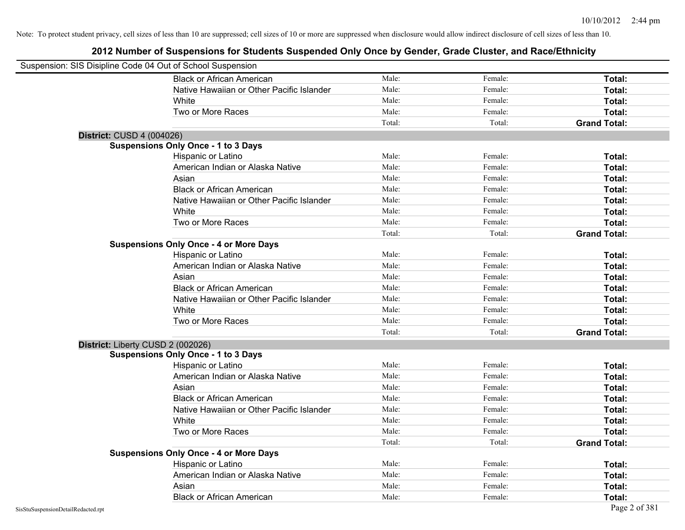| Suspension: SIS Disipline Code 04 Out of School Suspension |                                               |        |         |                     |
|------------------------------------------------------------|-----------------------------------------------|--------|---------|---------------------|
|                                                            | <b>Black or African American</b>              | Male:  | Female: | Total:              |
|                                                            | Native Hawaiian or Other Pacific Islander     | Male:  | Female: | Total:              |
|                                                            | White                                         | Male:  | Female: | Total:              |
|                                                            | Two or More Races                             | Male:  | Female: | Total:              |
|                                                            |                                               | Total: | Total:  | <b>Grand Total:</b> |
| <b>District: CUSD 4 (004026)</b>                           |                                               |        |         |                     |
|                                                            | <b>Suspensions Only Once - 1 to 3 Days</b>    |        |         |                     |
|                                                            | Hispanic or Latino                            | Male:  | Female: | Total:              |
|                                                            | American Indian or Alaska Native              | Male:  | Female: | Total:              |
|                                                            | Asian                                         | Male:  | Female: | Total:              |
|                                                            | <b>Black or African American</b>              | Male:  | Female: | Total:              |
|                                                            | Native Hawaiian or Other Pacific Islander     | Male:  | Female: | Total:              |
|                                                            | White                                         | Male:  | Female: | Total:              |
|                                                            | Two or More Races                             | Male:  | Female: | Total:              |
|                                                            |                                               | Total: | Total:  | <b>Grand Total:</b> |
|                                                            | <b>Suspensions Only Once - 4 or More Days</b> |        |         |                     |
|                                                            | Hispanic or Latino                            | Male:  | Female: | Total:              |
|                                                            | American Indian or Alaska Native              | Male:  | Female: | Total:              |
|                                                            | Asian                                         | Male:  | Female: | Total:              |
|                                                            | <b>Black or African American</b>              | Male:  | Female: | Total:              |
|                                                            | Native Hawaiian or Other Pacific Islander     | Male:  | Female: | Total:              |
|                                                            | White                                         | Male:  | Female: | Total:              |
|                                                            | Two or More Races                             | Male:  | Female: | Total:              |
|                                                            |                                               | Total: | Total:  | <b>Grand Total:</b> |
|                                                            | District: Liberty CUSD 2 (002026)             |        |         |                     |
|                                                            | <b>Suspensions Only Once - 1 to 3 Days</b>    |        |         |                     |
|                                                            | Hispanic or Latino                            | Male:  | Female: | Total:              |
|                                                            | American Indian or Alaska Native              | Male:  | Female: | Total:              |
|                                                            | Asian                                         | Male:  | Female: | Total:              |
|                                                            | <b>Black or African American</b>              | Male:  | Female: | Total:              |
|                                                            | Native Hawaiian or Other Pacific Islander     | Male:  | Female: | Total:              |
|                                                            | White                                         | Male:  | Female: | Total:              |
|                                                            | Two or More Races                             | Male:  | Female: | Total:              |
|                                                            |                                               | Total: | Total:  | <b>Grand Total:</b> |
|                                                            | <b>Suspensions Only Once - 4 or More Days</b> |        |         |                     |
|                                                            | Hispanic or Latino                            | Male:  | Female: | Total:              |
|                                                            | American Indian or Alaska Native              | Male:  | Female: | Total:              |
|                                                            | Asian                                         | Male:  | Female: | Total:              |
|                                                            | <b>Black or African American</b>              | Male:  | Female: | Total:              |
| SisStuSuspensionDetailRedacted.rpt                         |                                               |        |         | Page 2 of 381       |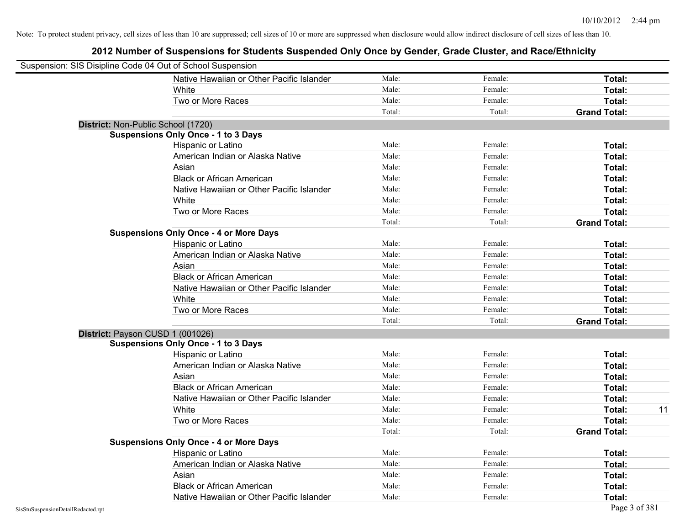| Suspension: SIS Disipline Code 04 Out of School Suspension |                                               |        |         |                     |
|------------------------------------------------------------|-----------------------------------------------|--------|---------|---------------------|
|                                                            | Native Hawaiian or Other Pacific Islander     | Male:  | Female: | Total:              |
|                                                            | White                                         | Male:  | Female: | Total:              |
|                                                            | Two or More Races                             | Male:  | Female: | Total:              |
|                                                            |                                               | Total: | Total:  | <b>Grand Total:</b> |
| District: Non-Public School (1720)                         |                                               |        |         |                     |
|                                                            | <b>Suspensions Only Once - 1 to 3 Days</b>    |        |         |                     |
|                                                            | Hispanic or Latino                            | Male:  | Female: | Total:              |
|                                                            | American Indian or Alaska Native              | Male:  | Female: | Total:              |
|                                                            | Asian                                         | Male:  | Female: | Total:              |
|                                                            | <b>Black or African American</b>              | Male:  | Female: | Total:              |
|                                                            | Native Hawaiian or Other Pacific Islander     | Male:  | Female: | Total:              |
|                                                            | White                                         | Male:  | Female: | Total:              |
|                                                            | Two or More Races                             | Male:  | Female: | Total:              |
|                                                            |                                               | Total: | Total:  | <b>Grand Total:</b> |
|                                                            | <b>Suspensions Only Once - 4 or More Days</b> |        |         |                     |
|                                                            | Hispanic or Latino                            | Male:  | Female: | Total:              |
|                                                            | American Indian or Alaska Native              | Male:  | Female: | Total:              |
|                                                            | Asian                                         | Male:  | Female: | Total:              |
|                                                            | <b>Black or African American</b>              | Male:  | Female: | Total:              |
|                                                            | Native Hawaiian or Other Pacific Islander     | Male:  | Female: | Total:              |
|                                                            | White                                         | Male:  | Female: | Total:              |
|                                                            | Two or More Races                             | Male:  | Female: | Total:              |
|                                                            |                                               | Total: | Total:  | <b>Grand Total:</b> |
| District: Payson CUSD 1 (001026)                           |                                               |        |         |                     |
|                                                            | <b>Suspensions Only Once - 1 to 3 Days</b>    |        |         |                     |
|                                                            | Hispanic or Latino                            | Male:  | Female: | Total:              |
|                                                            | American Indian or Alaska Native              | Male:  | Female: | Total:              |
|                                                            | Asian                                         | Male:  | Female: | Total:              |
|                                                            | <b>Black or African American</b>              | Male:  | Female: | Total:              |
|                                                            | Native Hawaiian or Other Pacific Islander     | Male:  | Female: | Total:              |
|                                                            | White                                         | Male:  | Female: | Total:<br>11        |
|                                                            | Two or More Races                             | Male:  | Female: | Total:              |
|                                                            |                                               | Total: | Total:  | <b>Grand Total:</b> |
|                                                            | <b>Suspensions Only Once - 4 or More Days</b> |        |         |                     |
|                                                            | Hispanic or Latino                            | Male:  | Female: | Total:              |
|                                                            | American Indian or Alaska Native              | Male:  | Female: | Total:              |
|                                                            | Asian                                         | Male:  | Female: | Total:              |
|                                                            | <b>Black or African American</b>              | Male:  | Female: | Total:              |
|                                                            | Native Hawaiian or Other Pacific Islander     | Male:  | Female: | Total:              |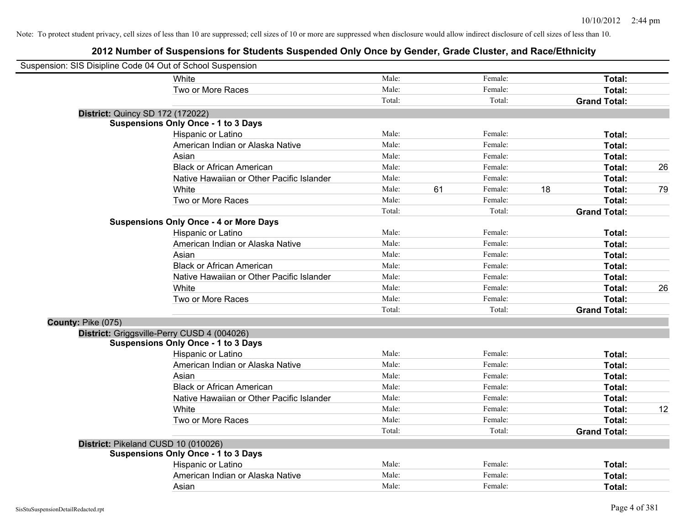| Suspension: SIS Disipline Code 04 Out of School Suspension |                                               |        |    |         |    |                     |    |
|------------------------------------------------------------|-----------------------------------------------|--------|----|---------|----|---------------------|----|
|                                                            | White                                         | Male:  |    | Female: |    | Total:              |    |
|                                                            | Two or More Races                             | Male:  |    | Female: |    | Total:              |    |
|                                                            |                                               | Total: |    | Total:  |    | <b>Grand Total:</b> |    |
| <b>District: Quincy SD 172 (172022)</b>                    |                                               |        |    |         |    |                     |    |
|                                                            | <b>Suspensions Only Once - 1 to 3 Days</b>    |        |    |         |    |                     |    |
|                                                            | Hispanic or Latino                            | Male:  |    | Female: |    | Total:              |    |
|                                                            | American Indian or Alaska Native              | Male:  |    | Female: |    | Total:              |    |
|                                                            | Asian                                         | Male:  |    | Female: |    | Total:              |    |
|                                                            | <b>Black or African American</b>              | Male:  |    | Female: |    | Total:              | 26 |
|                                                            | Native Hawaiian or Other Pacific Islander     | Male:  |    | Female: |    | Total:              |    |
|                                                            | White                                         | Male:  | 61 | Female: | 18 | Total:              | 79 |
|                                                            | Two or More Races                             | Male:  |    | Female: |    | Total:              |    |
|                                                            |                                               | Total: |    | Total:  |    | <b>Grand Total:</b> |    |
|                                                            | <b>Suspensions Only Once - 4 or More Days</b> |        |    |         |    |                     |    |
|                                                            | Hispanic or Latino                            | Male:  |    | Female: |    | Total:              |    |
|                                                            | American Indian or Alaska Native              | Male:  |    | Female: |    | Total:              |    |
|                                                            | Asian                                         | Male:  |    | Female: |    | Total:              |    |
|                                                            | <b>Black or African American</b>              | Male:  |    | Female: |    | Total:              |    |
|                                                            | Native Hawaiian or Other Pacific Islander     | Male:  |    | Female: |    | Total:              |    |
|                                                            | White                                         | Male:  |    | Female: |    | Total:              | 26 |
|                                                            | Two or More Races                             | Male:  |    | Female: |    | Total:              |    |
|                                                            |                                               | Total: |    | Total:  |    | <b>Grand Total:</b> |    |
| County: Pike (075)                                         |                                               |        |    |         |    |                     |    |
|                                                            | District: Griggsville-Perry CUSD 4 (004026)   |        |    |         |    |                     |    |
|                                                            | <b>Suspensions Only Once - 1 to 3 Days</b>    |        |    |         |    |                     |    |
|                                                            | Hispanic or Latino                            | Male:  |    | Female: |    | Total:              |    |
|                                                            | American Indian or Alaska Native              | Male:  |    | Female: |    | Total:              |    |
|                                                            | Asian                                         | Male:  |    | Female: |    | Total:              |    |
|                                                            | <b>Black or African American</b>              | Male:  |    | Female: |    | Total:              |    |
|                                                            | Native Hawaiian or Other Pacific Islander     | Male:  |    | Female: |    | Total:              |    |
|                                                            | White                                         | Male:  |    | Female: |    | Total:              | 12 |
|                                                            | Two or More Races                             | Male:  |    | Female: |    | Total:              |    |
|                                                            |                                               | Total: |    | Total:  |    | <b>Grand Total:</b> |    |
| District: Pikeland CUSD 10 (010026)                        |                                               |        |    |         |    |                     |    |
|                                                            | <b>Suspensions Only Once - 1 to 3 Days</b>    |        |    |         |    |                     |    |
|                                                            | Hispanic or Latino                            | Male:  |    | Female: |    | Total:              |    |
|                                                            | American Indian or Alaska Native              | Male:  |    | Female: |    | Total:              |    |
|                                                            | Asian                                         | Male:  |    | Female: |    | Total:              |    |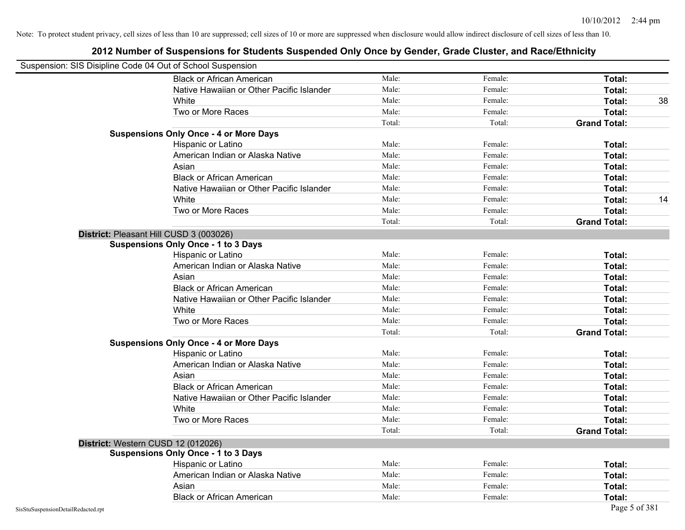| Suspension: SIS Disipline Code 04 Out of School Suspension |                                               |        |         |                     |    |
|------------------------------------------------------------|-----------------------------------------------|--------|---------|---------------------|----|
|                                                            | <b>Black or African American</b>              | Male:  | Female: | Total:              |    |
|                                                            | Native Hawaiian or Other Pacific Islander     | Male:  | Female: | Total:              |    |
|                                                            | White                                         | Male:  | Female: | Total:              | 38 |
|                                                            | Two or More Races                             | Male:  | Female: | Total:              |    |
|                                                            |                                               | Total: | Total:  | <b>Grand Total:</b> |    |
|                                                            | <b>Suspensions Only Once - 4 or More Days</b> |        |         |                     |    |
|                                                            | Hispanic or Latino                            | Male:  | Female: | Total:              |    |
|                                                            | American Indian or Alaska Native              | Male:  | Female: | Total:              |    |
|                                                            | Asian                                         | Male:  | Female: | Total:              |    |
|                                                            | <b>Black or African American</b>              | Male:  | Female: | Total:              |    |
|                                                            | Native Hawaiian or Other Pacific Islander     | Male:  | Female: | Total:              |    |
|                                                            | White                                         | Male:  | Female: | Total:              | 14 |
|                                                            | Two or More Races                             | Male:  | Female: | Total:              |    |
|                                                            |                                               | Total: | Total:  | <b>Grand Total:</b> |    |
|                                                            | District: Pleasant Hill CUSD 3 (003026)       |        |         |                     |    |
|                                                            | <b>Suspensions Only Once - 1 to 3 Days</b>    |        |         |                     |    |
|                                                            | Hispanic or Latino                            | Male:  | Female: | Total:              |    |
|                                                            | American Indian or Alaska Native              | Male:  | Female: | Total:              |    |
|                                                            | Asian                                         | Male:  | Female: | Total:              |    |
|                                                            | <b>Black or African American</b>              | Male:  | Female: | Total:              |    |
|                                                            | Native Hawaiian or Other Pacific Islander     | Male:  | Female: | Total:              |    |
|                                                            | White                                         | Male:  | Female: | Total:              |    |
|                                                            | Two or More Races                             | Male:  | Female: | Total:              |    |
|                                                            |                                               | Total: | Total:  | <b>Grand Total:</b> |    |
|                                                            | <b>Suspensions Only Once - 4 or More Days</b> |        |         |                     |    |
|                                                            | Hispanic or Latino                            | Male:  | Female: | Total:              |    |
|                                                            | American Indian or Alaska Native              | Male:  | Female: | Total:              |    |
|                                                            | Asian                                         | Male:  | Female: | Total:              |    |
|                                                            | <b>Black or African American</b>              | Male:  | Female: | Total:              |    |
|                                                            | Native Hawaiian or Other Pacific Islander     | Male:  | Female: | Total:              |    |
|                                                            | White                                         | Male:  | Female: | Total:              |    |
|                                                            | Two or More Races                             | Male:  | Female: | Total:              |    |
|                                                            |                                               | Total: | Total:  | <b>Grand Total:</b> |    |
|                                                            | District: Western CUSD 12 (012026)            |        |         |                     |    |
|                                                            | <b>Suspensions Only Once - 1 to 3 Days</b>    |        |         |                     |    |
|                                                            | Hispanic or Latino                            | Male:  | Female: | Total:              |    |
|                                                            | American Indian or Alaska Native              | Male:  | Female: | Total:              |    |
|                                                            | Asian                                         | Male:  | Female: | Total:              |    |
|                                                            | <b>Black or African American</b>              | Male:  | Female: | Total:              |    |
| SisStuSuspensionDetailRedacted.rpt                         |                                               |        |         | Page 5 of 381       |    |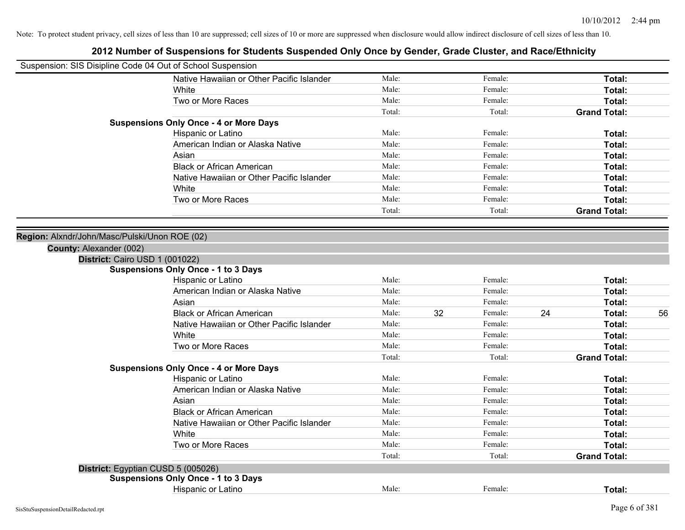| Suspension: SIS Disipline Code 04 Out of School Suspension |                                               |        |    |         |    |                     |    |
|------------------------------------------------------------|-----------------------------------------------|--------|----|---------|----|---------------------|----|
|                                                            | Native Hawaiian or Other Pacific Islander     | Male:  |    | Female: |    | Total:              |    |
|                                                            | White                                         | Male:  |    | Female: |    | Total:              |    |
|                                                            | Two or More Races                             | Male:  |    | Female: |    | Total:              |    |
|                                                            |                                               | Total: |    | Total:  |    | <b>Grand Total:</b> |    |
|                                                            | <b>Suspensions Only Once - 4 or More Days</b> |        |    |         |    |                     |    |
|                                                            | Hispanic or Latino                            | Male:  |    | Female: |    | Total:              |    |
|                                                            | American Indian or Alaska Native              | Male:  |    | Female: |    | Total:              |    |
|                                                            | Asian                                         | Male:  |    | Female: |    | Total:              |    |
|                                                            | <b>Black or African American</b>              | Male:  |    | Female: |    | Total:              |    |
|                                                            | Native Hawaiian or Other Pacific Islander     | Male:  |    | Female: |    | Total:              |    |
|                                                            | White                                         | Male:  |    | Female: |    | Total:              |    |
|                                                            | Two or More Races                             | Male:  |    | Female: |    | Total:              |    |
|                                                            |                                               | Total: |    | Total:  |    | <b>Grand Total:</b> |    |
|                                                            |                                               |        |    |         |    |                     |    |
| Region: Alxndr/John/Masc/Pulski/Unon ROE (02)              |                                               |        |    |         |    |                     |    |
| County: Alexander (002)                                    |                                               |        |    |         |    |                     |    |
| District: Cairo USD 1 (001022)                             |                                               |        |    |         |    |                     |    |
|                                                            | <b>Suspensions Only Once - 1 to 3 Days</b>    |        |    |         |    |                     |    |
|                                                            | Hispanic or Latino                            | Male:  |    | Female: |    | Total:              |    |
|                                                            | American Indian or Alaska Native              | Male:  |    | Female: |    | Total:              |    |
|                                                            | Asian                                         | Male:  |    | Female: |    | Total:              |    |
|                                                            | <b>Black or African American</b>              | Male:  | 32 | Female: | 24 | Total:              | 56 |
|                                                            | Native Hawaiian or Other Pacific Islander     | Male:  |    | Female: |    | Total:              |    |
|                                                            | White                                         | Male:  |    | Female: |    | Total:              |    |
|                                                            | Two or More Races                             | Male:  |    | Female: |    | Total:              |    |
|                                                            |                                               | Total: |    | Total:  |    | <b>Grand Total:</b> |    |
|                                                            | <b>Suspensions Only Once - 4 or More Days</b> |        |    |         |    |                     |    |
|                                                            | Hispanic or Latino                            | Male:  |    | Female: |    | Total:              |    |
|                                                            | American Indian or Alaska Native              | Male:  |    | Female: |    | Total:              |    |
|                                                            | Asian                                         | Male:  |    | Female: |    | Total:              |    |
|                                                            | <b>Black or African American</b>              | Male:  |    | Female: |    | Total:              |    |
|                                                            | Native Hawaiian or Other Pacific Islander     | Male:  |    | Female: |    | Total:              |    |
|                                                            | White                                         | Male:  |    | Female: |    | Total:              |    |
|                                                            | Two or More Races                             | Male:  |    | Female: |    | Total:              |    |
|                                                            |                                               | Total: |    | Total:  |    | <b>Grand Total:</b> |    |
| District: Egyptian CUSD 5 (005026)                         |                                               |        |    |         |    |                     |    |
|                                                            | <b>Suspensions Only Once - 1 to 3 Days</b>    |        |    |         |    |                     |    |
|                                                            | Hispanic or Latino                            | Male:  |    | Female: |    | Total:              |    |
|                                                            |                                               |        |    |         |    |                     |    |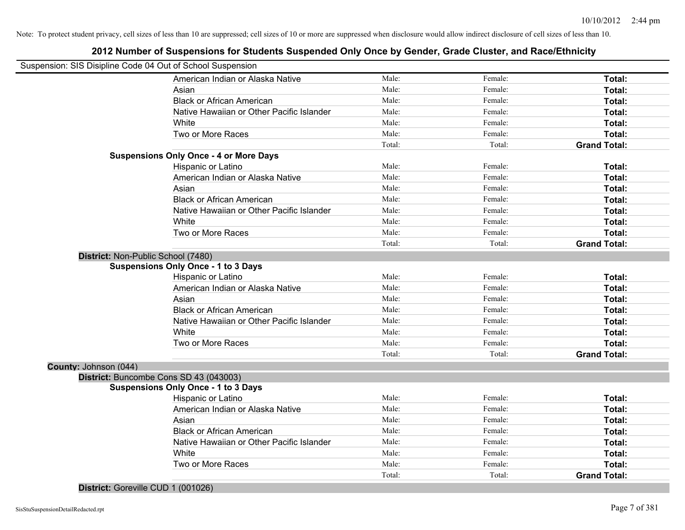# **2012 Number of Suspensions for Students Suspended Only Once by Gender, Grade Cluster, and Race/Ethnicity**

|                                    | Suspension: SIS Disipline Code 04 Out of School Suspension |        |         |                     |
|------------------------------------|------------------------------------------------------------|--------|---------|---------------------|
|                                    | American Indian or Alaska Native                           | Male:  | Female: | Total:              |
|                                    | Asian                                                      | Male:  | Female: | Total:              |
|                                    | <b>Black or African American</b>                           | Male:  | Female: | Total:              |
|                                    | Native Hawaiian or Other Pacific Islander                  | Male:  | Female: | Total:              |
|                                    | White                                                      | Male:  | Female: | Total:              |
|                                    | Two or More Races                                          | Male:  | Female: | Total:              |
|                                    |                                                            | Total: | Total:  | <b>Grand Total:</b> |
|                                    | <b>Suspensions Only Once - 4 or More Days</b>              |        |         |                     |
|                                    | Hispanic or Latino                                         | Male:  | Female: | Total:              |
|                                    | American Indian or Alaska Native                           | Male:  | Female: | Total:              |
|                                    | Asian                                                      | Male:  | Female: | Total:              |
|                                    | <b>Black or African American</b>                           | Male:  | Female: | Total:              |
|                                    | Native Hawaiian or Other Pacific Islander                  | Male:  | Female: | Total:              |
|                                    | White                                                      | Male:  | Female: | Total:              |
|                                    | Two or More Races                                          | Male:  | Female: | Total:              |
|                                    |                                                            | Total: | Total:  | <b>Grand Total:</b> |
| District: Non-Public School (7480) |                                                            |        |         |                     |
|                                    | <b>Suspensions Only Once - 1 to 3 Days</b>                 |        |         |                     |
|                                    | Hispanic or Latino                                         | Male:  | Female: | Total:              |
|                                    | American Indian or Alaska Native                           | Male:  | Female: | Total:              |
|                                    | Asian                                                      | Male:  | Female: | Total:              |
|                                    | <b>Black or African American</b>                           | Male:  | Female: | Total:              |
|                                    | Native Hawaiian or Other Pacific Islander                  | Male:  | Female: | Total:              |
|                                    | White                                                      | Male:  | Female: | Total:              |
|                                    | Two or More Races                                          | Male:  | Female: | Total:              |
|                                    |                                                            | Total: | Total:  | <b>Grand Total:</b> |
| County: Johnson (044)              |                                                            |        |         |                     |
|                                    | District: Buncombe Cons SD 43 (043003)                     |        |         |                     |
|                                    | <b>Suspensions Only Once - 1 to 3 Days</b>                 |        |         |                     |
|                                    | Hispanic or Latino                                         | Male:  | Female: | Total:              |
|                                    | American Indian or Alaska Native                           | Male:  | Female: | Total:              |
|                                    | Asian                                                      | Male:  | Female: | Total:              |
|                                    | <b>Black or African American</b>                           | Male:  | Female: | Total:              |
|                                    | Native Hawaiian or Other Pacific Islander                  | Male:  | Female: | Total:              |
|                                    | White                                                      | Male:  | Female: | Total:              |
|                                    | Two or More Races                                          | Male:  | Female: | Total:              |
|                                    |                                                            |        |         |                     |

### **District:** Goreville CUD 1 (001026)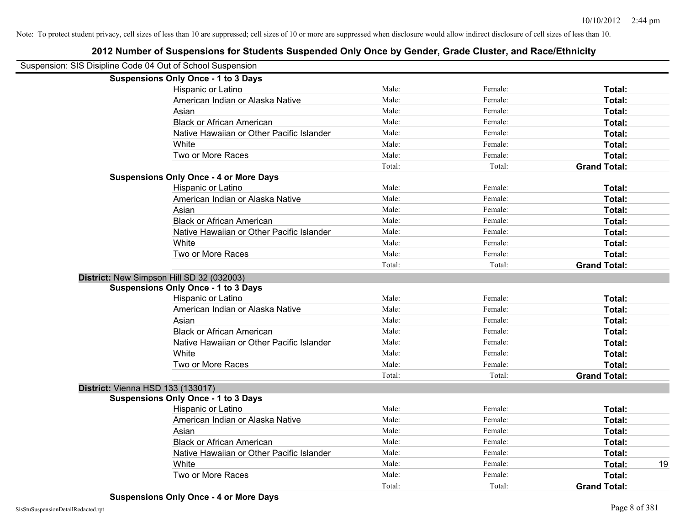|                                                            | 2012 Number of Suspensions for Students Suspended Only Once by Gender, Grade Cluster, and Race/Ethnicity |        |         |                     |
|------------------------------------------------------------|----------------------------------------------------------------------------------------------------------|--------|---------|---------------------|
| Suspension: SIS Disipline Code 04 Out of School Suspension |                                                                                                          |        |         |                     |
|                                                            | <b>Suspensions Only Once - 1 to 3 Days</b>                                                               |        |         |                     |
|                                                            | Hispanic or Latino                                                                                       | Male:  | Female: | Total:              |
|                                                            | American Indian or Alaska Native                                                                         | Male:  | Female: | Total:              |
|                                                            | Asian                                                                                                    | Male:  | Female: | Total:              |
|                                                            | <b>Black or African American</b>                                                                         | Male:  | Female: | Total:              |
|                                                            | Native Hawaiian or Other Pacific Islander                                                                | Male:  | Female: | Total:              |
|                                                            | White                                                                                                    | Male:  | Female: | Total:              |
|                                                            | Two or More Races                                                                                        | Male:  | Female: | Total:              |
|                                                            |                                                                                                          | Total: | Total:  | <b>Grand Total:</b> |
|                                                            | <b>Suspensions Only Once - 4 or More Days</b>                                                            |        |         |                     |
|                                                            | Hispanic or Latino                                                                                       | Male:  | Female: | Total:              |
|                                                            | American Indian or Alaska Native                                                                         | Male:  | Female: | Total:              |
|                                                            | Asian                                                                                                    | Male:  | Female: | Total:              |
|                                                            | <b>Black or African American</b>                                                                         | Male:  | Female: | Total:              |
|                                                            | Native Hawaiian or Other Pacific Islander                                                                | Male:  | Female: | Total:              |
|                                                            | White                                                                                                    | Male:  | Female: | Total:              |
|                                                            | Two or More Races                                                                                        | Male:  | Female: | Total:              |
|                                                            |                                                                                                          | Total: | Total:  | <b>Grand Total:</b> |
|                                                            | District: New Simpson Hill SD 32 (032003)                                                                |        |         |                     |
|                                                            | <b>Suspensions Only Once - 1 to 3 Days</b>                                                               |        |         |                     |
|                                                            | Hispanic or Latino                                                                                       | Male:  | Female: | Total:              |
|                                                            | American Indian or Alaska Native                                                                         | Male:  | Female: | Total:              |
|                                                            | Asian                                                                                                    | Male:  | Female: | Total:              |
|                                                            | <b>Black or African American</b>                                                                         | Male:  | Female: | Total:              |
|                                                            | Native Hawaiian or Other Pacific Islander                                                                | Male:  | Female: | Total:              |
|                                                            | White                                                                                                    | Male:  | Female: | Total:              |
|                                                            | Two or More Races                                                                                        | Male:  | Female: | Total:              |
|                                                            |                                                                                                          | Total: | Total:  | <b>Grand Total:</b> |
| <b>District: Vienna HSD 133 (133017)</b>                   |                                                                                                          |        |         |                     |
|                                                            | <b>Suspensions Only Once - 1 to 3 Days</b>                                                               |        |         |                     |
|                                                            | Hispanic or Latino                                                                                       | Male:  | Female: | Total:              |
|                                                            | American Indian or Alaska Native                                                                         | Male:  | Female: | Total:              |
|                                                            | Asian                                                                                                    | Male:  | Female: | Total:              |
|                                                            | <b>Black or African American</b>                                                                         | Male:  | Female: | Total:              |
|                                                            | Native Hawaiian or Other Pacific Islander                                                                | Male:  | Female: | Total:              |
|                                                            | White                                                                                                    | Male:  | Female: | Total:<br>19        |
|                                                            | Two or More Races                                                                                        | Male:  | Female: | <b>Total:</b>       |
|                                                            |                                                                                                          | Total: | Total:  | <b>Grand Total:</b> |
|                                                            |                                                                                                          |        |         |                     |

**Suspensions Only Once - 4 or More Days**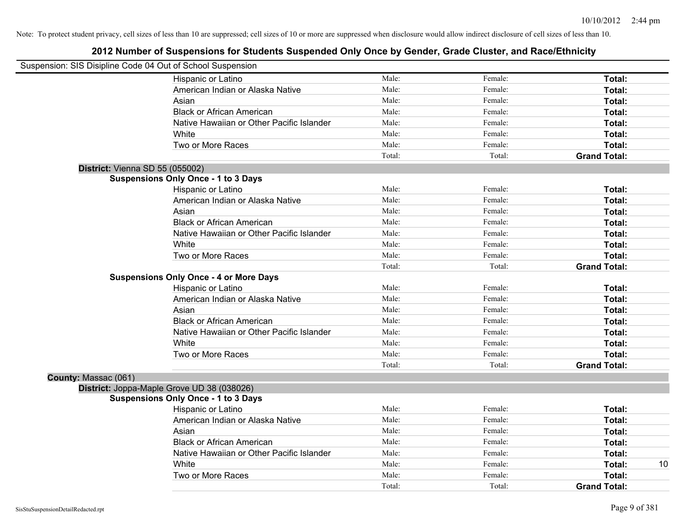|                      | Suspension: SIS Disipline Code 04 Out of School Suspension |        |         |                     |
|----------------------|------------------------------------------------------------|--------|---------|---------------------|
|                      | Hispanic or Latino                                         | Male:  | Female: | Total:              |
|                      | American Indian or Alaska Native                           | Male:  | Female: | Total:              |
|                      | Asian                                                      | Male:  | Female: | Total:              |
|                      | <b>Black or African American</b>                           | Male:  | Female: | Total:              |
|                      | Native Hawaiian or Other Pacific Islander                  | Male:  | Female: | Total:              |
|                      | White                                                      | Male:  | Female: | Total:              |
|                      | Two or More Races                                          | Male:  | Female: | Total:              |
|                      |                                                            | Total: | Total:  | <b>Grand Total:</b> |
|                      | District: Vienna SD 55 (055002)                            |        |         |                     |
|                      | <b>Suspensions Only Once - 1 to 3 Days</b>                 |        |         |                     |
|                      | Hispanic or Latino                                         | Male:  | Female: | Total:              |
|                      | American Indian or Alaska Native                           | Male:  | Female: | Total:              |
|                      | Asian                                                      | Male:  | Female: | Total:              |
|                      | <b>Black or African American</b>                           | Male:  | Female: | Total:              |
|                      | Native Hawaiian or Other Pacific Islander                  | Male:  | Female: | Total:              |
|                      | White                                                      | Male:  | Female: | Total:              |
|                      | Two or More Races                                          | Male:  | Female: | Total:              |
|                      |                                                            | Total: | Total:  | <b>Grand Total:</b> |
|                      | <b>Suspensions Only Once - 4 or More Days</b>              |        |         |                     |
|                      | Hispanic or Latino                                         | Male:  | Female: | Total:              |
|                      | American Indian or Alaska Native                           | Male:  | Female: | Total:              |
|                      | Asian                                                      | Male:  | Female: | Total:              |
|                      | <b>Black or African American</b>                           | Male:  | Female: | Total:              |
|                      | Native Hawaiian or Other Pacific Islander                  | Male:  | Female: | Total:              |
|                      | White                                                      | Male:  | Female: | Total:              |
|                      | Two or More Races                                          | Male:  | Female: | Total:              |
|                      |                                                            | Total: | Total:  | <b>Grand Total:</b> |
| County: Massac (061) |                                                            |        |         |                     |
|                      | District: Joppa-Maple Grove UD 38 (038026)                 |        |         |                     |
|                      | <b>Suspensions Only Once - 1 to 3 Days</b>                 |        |         |                     |
|                      | Hispanic or Latino                                         | Male:  | Female: | Total:              |
|                      | American Indian or Alaska Native                           | Male:  | Female: | Total:              |
|                      | Asian                                                      | Male:  | Female: | Total:              |
|                      | <b>Black or African American</b>                           | Male:  | Female: | Total:              |
|                      | Native Hawaiian or Other Pacific Islander                  | Male:  | Female: | Total:              |
|                      | White                                                      | Male:  | Female: | 10<br>Total:        |
|                      | Two or More Races                                          | Male:  | Female: | <b>Total:</b>       |
|                      |                                                            | Total: | Total:  | <b>Grand Total:</b> |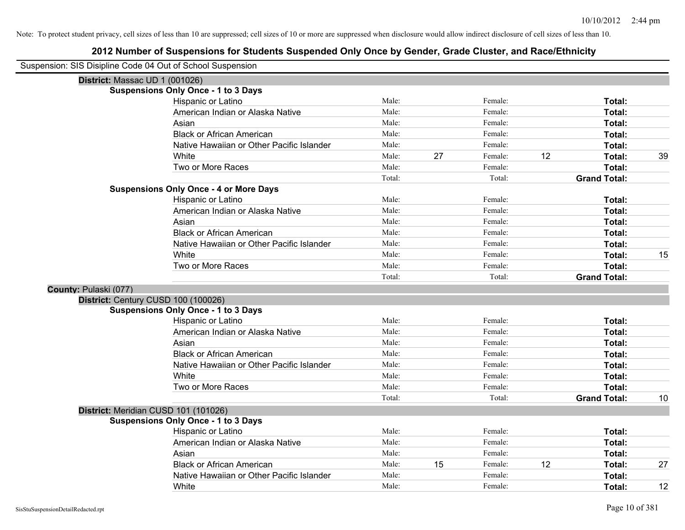|                       | Suspension: SIS Disipline Code 04 Out of School Suspension |        |    |         |    |                     |    |
|-----------------------|------------------------------------------------------------|--------|----|---------|----|---------------------|----|
|                       | District: Massac UD 1 (001026)                             |        |    |         |    |                     |    |
|                       | <b>Suspensions Only Once - 1 to 3 Days</b>                 |        |    |         |    |                     |    |
|                       | Hispanic or Latino                                         | Male:  |    | Female: |    | Total:              |    |
|                       | American Indian or Alaska Native                           | Male:  |    | Female: |    | Total:              |    |
|                       | Asian                                                      | Male:  |    | Female: |    | Total:              |    |
|                       | <b>Black or African American</b>                           | Male:  |    | Female: |    | Total:              |    |
|                       | Native Hawaiian or Other Pacific Islander                  | Male:  |    | Female: |    | Total:              |    |
|                       | White                                                      | Male:  | 27 | Female: | 12 | Total:              | 39 |
|                       | Two or More Races                                          | Male:  |    | Female: |    | Total:              |    |
|                       |                                                            | Total: |    | Total:  |    | <b>Grand Total:</b> |    |
|                       | <b>Suspensions Only Once - 4 or More Days</b>              |        |    |         |    |                     |    |
|                       | Hispanic or Latino                                         | Male:  |    | Female: |    | Total:              |    |
|                       | American Indian or Alaska Native                           | Male:  |    | Female: |    | Total:              |    |
|                       | Asian                                                      | Male:  |    | Female: |    | Total:              |    |
|                       | <b>Black or African American</b>                           | Male:  |    | Female: |    | Total:              |    |
|                       | Native Hawaiian or Other Pacific Islander                  | Male:  |    | Female: |    | Total:              |    |
|                       | White                                                      | Male:  |    | Female: |    | Total:              | 15 |
|                       | Two or More Races                                          | Male:  |    | Female: |    | Total:              |    |
|                       |                                                            | Total: |    | Total:  |    | <b>Grand Total:</b> |    |
| County: Pulaski (077) |                                                            |        |    |         |    |                     |    |
|                       | District: Century CUSD 100 (100026)                        |        |    |         |    |                     |    |
|                       | <b>Suspensions Only Once - 1 to 3 Days</b>                 |        |    |         |    |                     |    |
|                       | Hispanic or Latino                                         | Male:  |    | Female: |    | Total:              |    |
|                       | American Indian or Alaska Native                           | Male:  |    | Female: |    | Total:              |    |
|                       | Asian                                                      | Male:  |    | Female: |    | Total:              |    |
|                       | <b>Black or African American</b>                           | Male:  |    | Female: |    | Total:              |    |
|                       | Native Hawaiian or Other Pacific Islander                  | Male:  |    | Female: |    | Total:              |    |
|                       | White                                                      | Male:  |    | Female: |    | Total:              |    |
|                       | Two or More Races                                          | Male:  |    | Female: |    | Total:              |    |
|                       |                                                            | Total: |    | Total:  |    | <b>Grand Total:</b> | 10 |
|                       | District: Meridian CUSD 101 (101026)                       |        |    |         |    |                     |    |
|                       | <b>Suspensions Only Once - 1 to 3 Days</b>                 |        |    |         |    |                     |    |
|                       | Hispanic or Latino                                         | Male:  |    | Female: |    | Total:              |    |
|                       | American Indian or Alaska Native                           | Male:  |    | Female: |    | Total:              |    |
|                       | Asian                                                      | Male:  |    | Female: |    | Total:              |    |
|                       | <b>Black or African American</b>                           | Male:  | 15 | Female: | 12 | Total:              | 27 |
|                       |                                                            |        |    |         |    |                     |    |
|                       | Native Hawaiian or Other Pacific Islander<br>White         | Male:  |    | Female: |    | Total:              | 12 |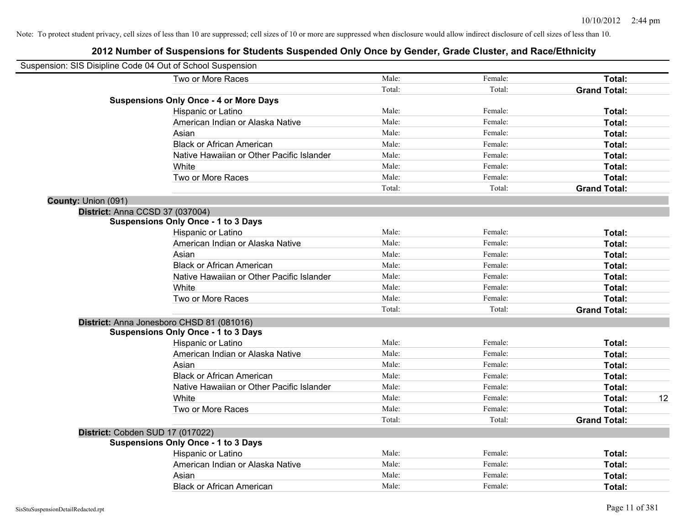|                     | Suspension: SIS Disipline Code 04 Out of School Suspension |        |         |                     |    |
|---------------------|------------------------------------------------------------|--------|---------|---------------------|----|
|                     | Two or More Races                                          | Male:  | Female: | Total:              |    |
|                     |                                                            | Total: | Total:  | <b>Grand Total:</b> |    |
|                     | <b>Suspensions Only Once - 4 or More Days</b>              |        |         |                     |    |
|                     | Hispanic or Latino                                         | Male:  | Female: | Total:              |    |
|                     | American Indian or Alaska Native                           | Male:  | Female: | Total:              |    |
|                     | Asian                                                      | Male:  | Female: | Total:              |    |
|                     | <b>Black or African American</b>                           | Male:  | Female: | Total:              |    |
|                     | Native Hawaiian or Other Pacific Islander                  | Male:  | Female: | Total:              |    |
|                     | White                                                      | Male:  | Female: | Total:              |    |
|                     | Two or More Races                                          | Male:  | Female: | Total:              |    |
|                     |                                                            | Total: | Total:  | <b>Grand Total:</b> |    |
| County: Union (091) |                                                            |        |         |                     |    |
|                     | <b>District: Anna CCSD 37 (037004)</b>                     |        |         |                     |    |
|                     | <b>Suspensions Only Once - 1 to 3 Days</b>                 |        |         |                     |    |
|                     | Hispanic or Latino                                         | Male:  | Female: | Total:              |    |
|                     | American Indian or Alaska Native                           | Male:  | Female: | Total:              |    |
|                     | Asian                                                      | Male:  | Female: | Total:              |    |
|                     | <b>Black or African American</b>                           | Male:  | Female: | Total:              |    |
|                     | Native Hawaiian or Other Pacific Islander                  | Male:  | Female: | Total:              |    |
|                     | White                                                      | Male:  | Female: | Total:              |    |
|                     | Two or More Races                                          | Male:  | Female: | Total:              |    |
|                     |                                                            | Total: | Total:  | <b>Grand Total:</b> |    |
|                     | District: Anna Jonesboro CHSD 81 (081016)                  |        |         |                     |    |
|                     | <b>Suspensions Only Once - 1 to 3 Days</b>                 |        |         |                     |    |
|                     | Hispanic or Latino                                         | Male:  | Female: | Total:              |    |
|                     | American Indian or Alaska Native                           | Male:  | Female: | Total:              |    |
|                     | Asian                                                      | Male:  | Female: | Total:              |    |
|                     | <b>Black or African American</b>                           | Male:  | Female: | Total:              |    |
|                     | Native Hawaiian or Other Pacific Islander                  | Male:  | Female: | Total:              |    |
|                     | White                                                      | Male:  | Female: | Total:              | 12 |
|                     | Two or More Races                                          | Male:  | Female: | Total:              |    |
|                     |                                                            | Total: | Total:  | <b>Grand Total:</b> |    |
|                     | District: Cobden SUD 17 (017022)                           |        |         |                     |    |
|                     | <b>Suspensions Only Once - 1 to 3 Days</b>                 |        |         |                     |    |
|                     | Hispanic or Latino                                         | Male:  | Female: | Total:              |    |
|                     | American Indian or Alaska Native                           | Male:  | Female: | Total:              |    |
|                     | Asian                                                      | Male:  | Female: | Total:              |    |
|                     | <b>Black or African American</b>                           | Male:  | Female: | Total:              |    |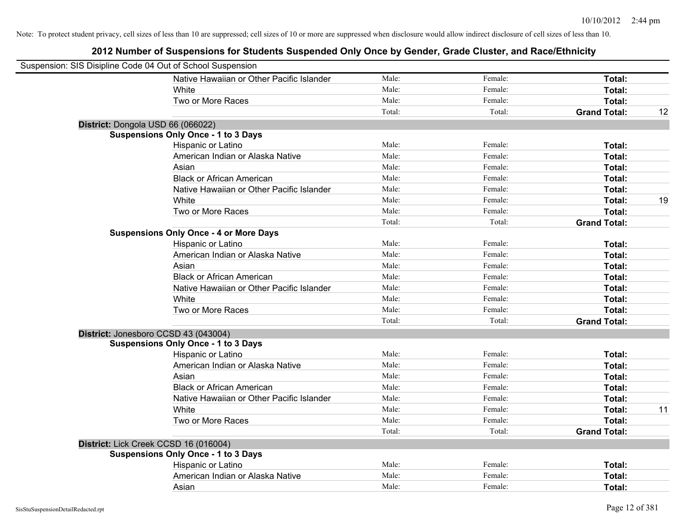| Suspension: SIS Disipline Code 04 Out of School Suspension |                                               |        |         |                     |    |
|------------------------------------------------------------|-----------------------------------------------|--------|---------|---------------------|----|
|                                                            | Native Hawaiian or Other Pacific Islander     | Male:  | Female: | Total:              |    |
|                                                            | White                                         | Male:  | Female: | Total:              |    |
|                                                            | Two or More Races                             | Male:  | Female: | Total:              |    |
|                                                            |                                               | Total: | Total:  | <b>Grand Total:</b> | 12 |
| District: Dongola USD 66 (066022)                          |                                               |        |         |                     |    |
|                                                            | <b>Suspensions Only Once - 1 to 3 Days</b>    |        |         |                     |    |
|                                                            | Hispanic or Latino                            | Male:  | Female: | Total:              |    |
|                                                            | American Indian or Alaska Native              | Male:  | Female: | Total:              |    |
|                                                            | Asian                                         | Male:  | Female: | Total:              |    |
|                                                            | <b>Black or African American</b>              | Male:  | Female: | Total:              |    |
|                                                            | Native Hawaiian or Other Pacific Islander     | Male:  | Female: | Total:              |    |
|                                                            | White                                         | Male:  | Female: | Total:              | 19 |
|                                                            | Two or More Races                             | Male:  | Female: | Total:              |    |
|                                                            |                                               | Total: | Total:  | <b>Grand Total:</b> |    |
|                                                            | <b>Suspensions Only Once - 4 or More Days</b> |        |         |                     |    |
|                                                            | Hispanic or Latino                            | Male:  | Female: | Total:              |    |
|                                                            | American Indian or Alaska Native              | Male:  | Female: | Total:              |    |
|                                                            | Asian                                         | Male:  | Female: | Total:              |    |
|                                                            | <b>Black or African American</b>              | Male:  | Female: | Total:              |    |
|                                                            | Native Hawaiian or Other Pacific Islander     | Male:  | Female: | Total:              |    |
|                                                            | White                                         | Male:  | Female: | Total:              |    |
|                                                            | Two or More Races                             | Male:  | Female: | Total:              |    |
|                                                            |                                               | Total: | Total:  | <b>Grand Total:</b> |    |
| District: Jonesboro CCSD 43 (043004)                       |                                               |        |         |                     |    |
|                                                            | <b>Suspensions Only Once - 1 to 3 Days</b>    |        |         |                     |    |
|                                                            | Hispanic or Latino                            | Male:  | Female: | Total:              |    |
|                                                            | American Indian or Alaska Native              | Male:  | Female: | Total:              |    |
|                                                            | Asian                                         | Male:  | Female: | Total:              |    |
|                                                            | <b>Black or African American</b>              | Male:  | Female: | Total:              |    |
|                                                            | Native Hawaiian or Other Pacific Islander     | Male:  | Female: | Total:              |    |
|                                                            | White                                         | Male:  | Female: | Total:              | 11 |
|                                                            | Two or More Races                             | Male:  | Female: | Total:              |    |
|                                                            |                                               | Total: | Total:  | <b>Grand Total:</b> |    |
| District: Lick Creek CCSD 16 (016004)                      |                                               |        |         |                     |    |
|                                                            | <b>Suspensions Only Once - 1 to 3 Days</b>    |        |         |                     |    |
|                                                            | Hispanic or Latino                            | Male:  | Female: | Total:              |    |
|                                                            | American Indian or Alaska Native              | Male:  | Female: | Total:              |    |
|                                                            | Asian                                         | Male:  | Female: | Total:              |    |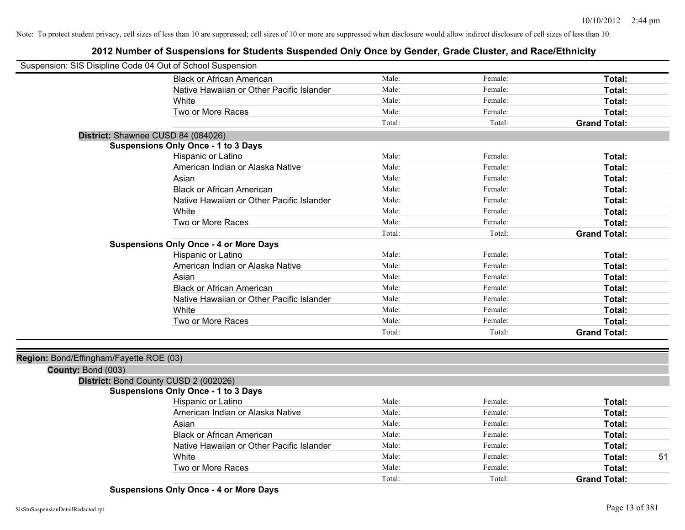### **2012 Number of Suspensions for Students Suspended Only Once by Gender, Grade Cluster, and Race/Ethnicity**

|                                         | Suspension: SIS Disipline Code 04 Out of School Suspension |        |         |                     |
|-----------------------------------------|------------------------------------------------------------|--------|---------|---------------------|
|                                         | <b>Black or African American</b>                           | Male:  | Female: | Total:              |
|                                         | Native Hawaiian or Other Pacific Islander                  | Male:  | Female: | Total:              |
|                                         | White                                                      | Male:  | Female: | <b>Total:</b>       |
|                                         | Two or More Races                                          | Male:  | Female: | Total:              |
|                                         |                                                            | Total: | Total:  | <b>Grand Total:</b> |
|                                         | District: Shawnee CUSD 84 (084026)                         |        |         |                     |
|                                         | <b>Suspensions Only Once - 1 to 3 Days</b>                 |        |         |                     |
|                                         | Hispanic or Latino                                         | Male:  | Female: | <b>Total:</b>       |
|                                         | American Indian or Alaska Native                           | Male:  | Female: | Total:              |
|                                         | Asian                                                      | Male:  | Female: | Total:              |
|                                         | <b>Black or African American</b>                           | Male:  | Female: | <b>Total:</b>       |
|                                         | Native Hawaiian or Other Pacific Islander                  | Male:  | Female: | <b>Total:</b>       |
|                                         | White                                                      | Male:  | Female: | Total:              |
|                                         | Two or More Races                                          | Male:  | Female: | Total:              |
|                                         |                                                            | Total: | Total:  | <b>Grand Total:</b> |
|                                         | <b>Suspensions Only Once - 4 or More Days</b>              |        |         |                     |
|                                         | Hispanic or Latino                                         | Male:  | Female: | Total:              |
|                                         | American Indian or Alaska Native                           | Male:  | Female: | Total:              |
|                                         | Asian                                                      | Male:  | Female: | Total:              |
|                                         | <b>Black or African American</b>                           | Male:  | Female: | Total:              |
|                                         | Native Hawaiian or Other Pacific Islander                  | Male:  | Female: | Total:              |
|                                         | White                                                      | Male:  | Female: | Total:              |
|                                         | Two or More Races                                          | Male:  | Female: | Total:              |
|                                         |                                                            | Total: | Total:  | <b>Grand Total:</b> |
|                                         |                                                            |        |         |                     |
| Region: Bond/Effingham/Fayette ROE (03) |                                                            |        |         |                     |
| County: Bond (003)                      |                                                            |        |         |                     |
|                                         | District: Bond County CUSD 2 (002026)                      |        |         |                     |
|                                         | <b>Suspensions Only Once - 1 to 3 Days</b>                 |        |         |                     |
|                                         | Hispanic or Latino                                         | Male:  | Female: | <b>Total:</b>       |
|                                         | American Indian or Alaska Native                           | Male:  | Female: | Total:              |
|                                         | Asian                                                      | Male:  | Female: | Total:              |
|                                         | <b>Black or African American</b>                           | Male:  | Female: | Total:              |
|                                         | Native Hawaiian or Other Pacific Islander                  | Male:  | Female: | Total:              |
|                                         | White                                                      | Male:  | Female: | 51<br>Total:        |
|                                         | Two or More Races                                          | Male:  | Female: | Total:              |

**Suspensions Only Once - 4 or More Days**

Total: Total: **Grand Total:**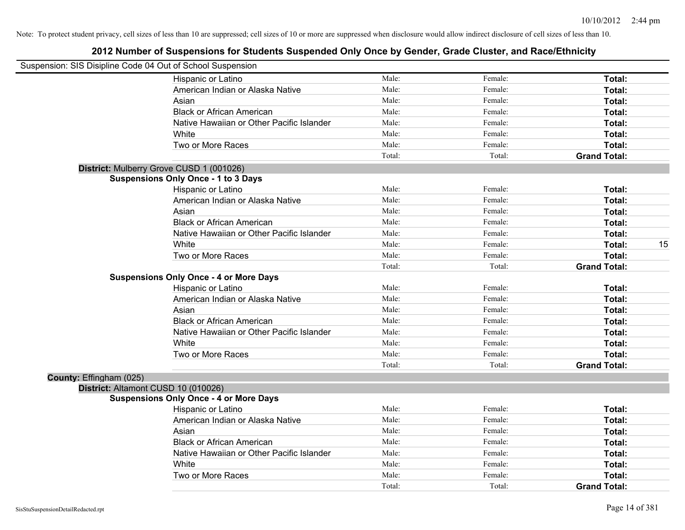|                         | Suspension: SIS Disipline Code 04 Out of School Suspension |        |         |                     |
|-------------------------|------------------------------------------------------------|--------|---------|---------------------|
|                         | Hispanic or Latino                                         | Male:  | Female: | Total:              |
|                         | American Indian or Alaska Native                           | Male:  | Female: | Total:              |
|                         | Asian                                                      | Male:  | Female: | Total:              |
|                         | <b>Black or African American</b>                           | Male:  | Female: | Total:              |
|                         | Native Hawaiian or Other Pacific Islander                  | Male:  | Female: | Total:              |
|                         | White                                                      | Male:  | Female: | Total:              |
|                         | Two or More Races                                          | Male:  | Female: | Total:              |
|                         |                                                            | Total: | Total:  | <b>Grand Total:</b> |
|                         | District: Mulberry Grove CUSD 1 (001026)                   |        |         |                     |
|                         | <b>Suspensions Only Once - 1 to 3 Days</b>                 |        |         |                     |
|                         | Hispanic or Latino                                         | Male:  | Female: | Total:              |
|                         | American Indian or Alaska Native                           | Male:  | Female: | Total:              |
|                         | Asian                                                      | Male:  | Female: | Total:              |
|                         | <b>Black or African American</b>                           | Male:  | Female: | Total:              |
|                         | Native Hawaiian or Other Pacific Islander                  | Male:  | Female: | Total:              |
|                         | White                                                      | Male:  | Female: | 15<br>Total:        |
|                         | Two or More Races                                          | Male:  | Female: | Total:              |
|                         |                                                            | Total: | Total:  | <b>Grand Total:</b> |
|                         | <b>Suspensions Only Once - 4 or More Days</b>              |        |         |                     |
|                         | Hispanic or Latino                                         | Male:  | Female: | Total:              |
|                         | American Indian or Alaska Native                           | Male:  | Female: | Total:              |
|                         | Asian                                                      | Male:  | Female: | Total:              |
|                         | <b>Black or African American</b>                           | Male:  | Female: | Total:              |
|                         | Native Hawaiian or Other Pacific Islander                  | Male:  | Female: | Total:              |
|                         | White                                                      | Male:  | Female: | Total:              |
|                         | Two or More Races                                          | Male:  | Female: | Total:              |
|                         |                                                            | Total: | Total:  | <b>Grand Total:</b> |
| County: Effingham (025) |                                                            |        |         |                     |
|                         | District: Altamont CUSD 10 (010026)                        |        |         |                     |
|                         | <b>Suspensions Only Once - 4 or More Days</b>              |        |         |                     |
|                         | Hispanic or Latino                                         | Male:  | Female: | Total:              |
|                         | American Indian or Alaska Native                           | Male:  | Female: | Total:              |
|                         | Asian                                                      | Male:  | Female: | Total:              |
|                         | <b>Black or African American</b>                           | Male:  | Female: | Total:              |
|                         | Native Hawaiian or Other Pacific Islander                  | Male:  | Female: | Total:              |
|                         | White                                                      | Male:  | Female: | Total:              |
|                         | Two or More Races                                          | Male:  | Female: | Total:              |
|                         |                                                            | Total: | Total:  | <b>Grand Total:</b> |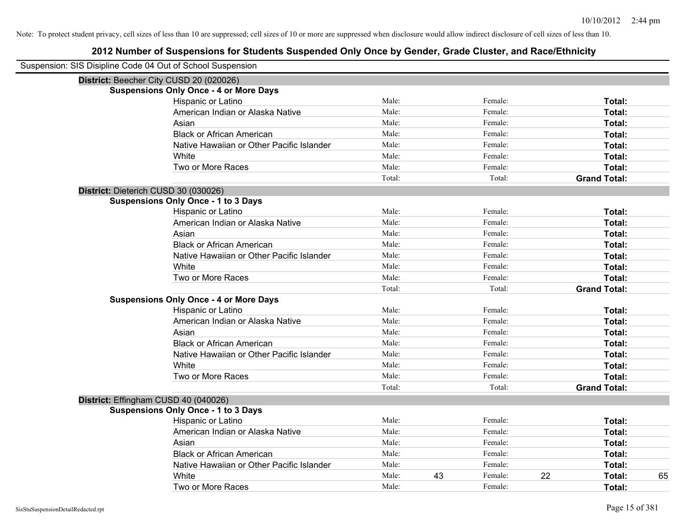| Suspension: SIS Disipline Code 04 Out of School Suspension |                                               |        |    |         |    |                     |    |
|------------------------------------------------------------|-----------------------------------------------|--------|----|---------|----|---------------------|----|
| District: Beecher City CUSD 20 (020026)                    |                                               |        |    |         |    |                     |    |
|                                                            | <b>Suspensions Only Once - 4 or More Days</b> |        |    |         |    |                     |    |
|                                                            | Hispanic or Latino                            | Male:  |    | Female: |    | Total:              |    |
|                                                            | American Indian or Alaska Native              | Male:  |    | Female: |    | Total:              |    |
|                                                            | Asian                                         | Male:  |    | Female: |    | Total:              |    |
|                                                            | <b>Black or African American</b>              | Male:  |    | Female: |    | Total:              |    |
|                                                            | Native Hawaiian or Other Pacific Islander     | Male:  |    | Female: |    | Total:              |    |
|                                                            | White                                         | Male:  |    | Female: |    | Total:              |    |
|                                                            | Two or More Races                             | Male:  |    | Female: |    | Total:              |    |
|                                                            |                                               | Total: |    | Total:  |    | <b>Grand Total:</b> |    |
| District: Dieterich CUSD 30 (030026)                       |                                               |        |    |         |    |                     |    |
|                                                            | <b>Suspensions Only Once - 1 to 3 Days</b>    |        |    |         |    |                     |    |
|                                                            | Hispanic or Latino                            | Male:  |    | Female: |    | Total:              |    |
|                                                            | American Indian or Alaska Native              | Male:  |    | Female: |    | Total:              |    |
|                                                            | Asian                                         | Male:  |    | Female: |    | Total:              |    |
|                                                            | <b>Black or African American</b>              | Male:  |    | Female: |    | Total:              |    |
|                                                            | Native Hawaiian or Other Pacific Islander     | Male:  |    | Female: |    | Total:              |    |
|                                                            | White                                         | Male:  |    | Female: |    | Total:              |    |
|                                                            | Two or More Races                             | Male:  |    | Female: |    | Total:              |    |
|                                                            |                                               | Total: |    | Total:  |    | <b>Grand Total:</b> |    |
|                                                            | <b>Suspensions Only Once - 4 or More Days</b> |        |    |         |    |                     |    |
|                                                            | Hispanic or Latino                            | Male:  |    | Female: |    | Total:              |    |
|                                                            | American Indian or Alaska Native              | Male:  |    | Female: |    | Total:              |    |
|                                                            | Asian                                         | Male:  |    | Female: |    | Total:              |    |
|                                                            | <b>Black or African American</b>              | Male:  |    | Female: |    | Total:              |    |
|                                                            | Native Hawaiian or Other Pacific Islander     | Male:  |    | Female: |    | Total:              |    |
|                                                            | White                                         | Male:  |    | Female: |    | Total:              |    |
|                                                            | Two or More Races                             | Male:  |    | Female: |    | Total:              |    |
|                                                            |                                               | Total: |    | Total:  |    | <b>Grand Total:</b> |    |
| District: Effingham CUSD 40 (040026)                       |                                               |        |    |         |    |                     |    |
|                                                            | <b>Suspensions Only Once - 1 to 3 Days</b>    |        |    |         |    |                     |    |
|                                                            | Hispanic or Latino                            | Male:  |    | Female: |    | Total:              |    |
|                                                            | American Indian or Alaska Native              | Male:  |    | Female: |    | Total:              |    |
|                                                            | Asian                                         | Male:  |    | Female: |    | Total:              |    |
|                                                            | <b>Black or African American</b>              | Male:  |    | Female: |    | Total:              |    |
|                                                            | Native Hawaiian or Other Pacific Islander     | Male:  |    | Female: |    | Total:              |    |
|                                                            | White                                         | Male:  | 43 | Female: | 22 | <b>Total:</b>       | 65 |
|                                                            | Two or More Races                             | Male:  |    | Female: |    | Total:              |    |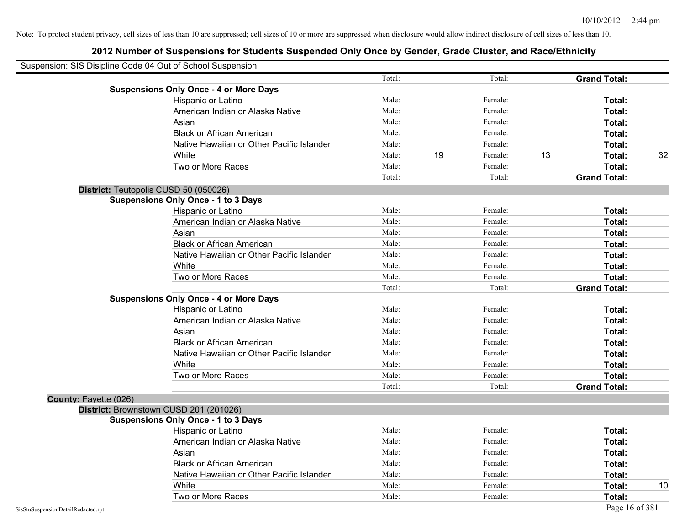| Suspension: SIS Disipline Code 04 Out of School Suspension |        |    |         |    |                     |    |
|------------------------------------------------------------|--------|----|---------|----|---------------------|----|
|                                                            | Total: |    | Total:  |    | <b>Grand Total:</b> |    |
| <b>Suspensions Only Once - 4 or More Days</b>              |        |    |         |    |                     |    |
| Hispanic or Latino                                         | Male:  |    | Female: |    | Total:              |    |
| American Indian or Alaska Native                           | Male:  |    | Female: |    | Total:              |    |
| Asian                                                      | Male:  |    | Female: |    | Total:              |    |
| <b>Black or African American</b>                           | Male:  |    | Female: |    | Total:              |    |
| Native Hawaiian or Other Pacific Islander                  | Male:  |    | Female: |    | Total:              |    |
| White                                                      | Male:  | 19 | Female: | 13 | Total:              | 32 |
| Two or More Races                                          | Male:  |    | Female: |    | Total:              |    |
|                                                            | Total: |    | Total:  |    | <b>Grand Total:</b> |    |
| District: Teutopolis CUSD 50 (050026)                      |        |    |         |    |                     |    |
| <b>Suspensions Only Once - 1 to 3 Days</b>                 |        |    |         |    |                     |    |
| Hispanic or Latino                                         | Male:  |    | Female: |    | Total:              |    |
| American Indian or Alaska Native                           | Male:  |    | Female: |    | Total:              |    |
| Asian                                                      | Male:  |    | Female: |    | Total:              |    |
| <b>Black or African American</b>                           | Male:  |    | Female: |    | Total:              |    |
| Native Hawaiian or Other Pacific Islander                  | Male:  |    | Female: |    | Total:              |    |
| White                                                      | Male:  |    | Female: |    | Total:              |    |
| Two or More Races                                          | Male:  |    | Female: |    | Total:              |    |
|                                                            | Total: |    | Total:  |    | <b>Grand Total:</b> |    |
| <b>Suspensions Only Once - 4 or More Days</b>              |        |    |         |    |                     |    |
| Hispanic or Latino                                         | Male:  |    | Female: |    | Total:              |    |
| American Indian or Alaska Native                           | Male:  |    | Female: |    | Total:              |    |
| Asian                                                      | Male:  |    | Female: |    | Total:              |    |
| <b>Black or African American</b>                           | Male:  |    | Female: |    | Total:              |    |
| Native Hawaiian or Other Pacific Islander                  | Male:  |    | Female: |    | Total:              |    |
| White                                                      | Male:  |    | Female: |    | Total:              |    |
| Two or More Races                                          | Male:  |    | Female: |    | Total:              |    |
|                                                            | Total: |    | Total:  |    | <b>Grand Total:</b> |    |
| County: Fayette (026)                                      |        |    |         |    |                     |    |
| District: Brownstown CUSD 201 (201026)                     |        |    |         |    |                     |    |
| <b>Suspensions Only Once - 1 to 3 Days</b>                 |        |    |         |    |                     |    |
| Hispanic or Latino                                         | Male:  |    | Female: |    | Total:              |    |
| American Indian or Alaska Native                           | Male:  |    | Female: |    | Total:              |    |
| Asian                                                      | Male:  |    | Female: |    | Total:              |    |
| <b>Black or African American</b>                           | Male:  |    | Female: |    | Total:              |    |
| Native Hawaiian or Other Pacific Islander                  | Male:  |    | Female: |    | Total:              |    |
| White                                                      | Male:  |    | Female: |    | Total:              | 10 |
| Two or More Races                                          | Male:  |    | Female: |    | Total:              |    |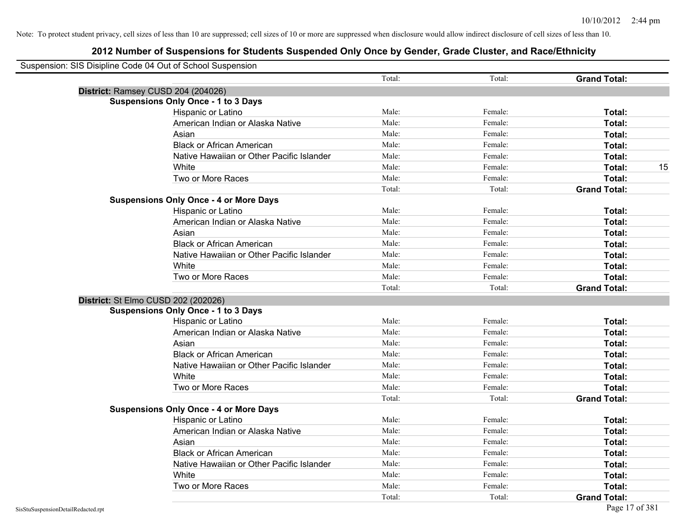| Suspension: SIS Disipline Code 04 Out of School Suspension |                                           |        |         |                     |    |
|------------------------------------------------------------|-------------------------------------------|--------|---------|---------------------|----|
|                                                            |                                           | Total: | Total:  | <b>Grand Total:</b> |    |
| District: Ramsey CUSD 204 (204026)                         |                                           |        |         |                     |    |
| <b>Suspensions Only Once - 1 to 3 Days</b>                 |                                           |        |         |                     |    |
| Hispanic or Latino                                         |                                           | Male:  | Female: | Total:              |    |
|                                                            | American Indian or Alaska Native          | Male:  | Female: | Total:              |    |
| Asian                                                      |                                           | Male:  | Female: | Total:              |    |
| <b>Black or African American</b>                           |                                           | Male:  | Female: | Total:              |    |
|                                                            | Native Hawaiian or Other Pacific Islander | Male:  | Female: | Total:              |    |
| White                                                      |                                           | Male:  | Female: | Total:              | 15 |
| Two or More Races                                          |                                           | Male:  | Female: | Total:              |    |
|                                                            |                                           | Total: | Total:  | <b>Grand Total:</b> |    |
| <b>Suspensions Only Once - 4 or More Days</b>              |                                           |        |         |                     |    |
| Hispanic or Latino                                         |                                           | Male:  | Female: | Total:              |    |
|                                                            | American Indian or Alaska Native          | Male:  | Female: | Total:              |    |
| Asian                                                      |                                           | Male:  | Female: | Total:              |    |
| <b>Black or African American</b>                           |                                           | Male:  | Female: | Total:              |    |
|                                                            | Native Hawaiian or Other Pacific Islander | Male:  | Female: | Total:              |    |
| White                                                      |                                           | Male:  | Female: | Total:              |    |
| Two or More Races                                          |                                           | Male:  | Female: | Total:              |    |
|                                                            |                                           | Total: | Total:  | <b>Grand Total:</b> |    |
| District: St Elmo CUSD 202 (202026)                        |                                           |        |         |                     |    |
| <b>Suspensions Only Once - 1 to 3 Days</b>                 |                                           |        |         |                     |    |
| Hispanic or Latino                                         |                                           | Male:  | Female: | Total:              |    |
|                                                            | American Indian or Alaska Native          | Male:  | Female: | Total:              |    |
| Asian                                                      |                                           | Male:  | Female: | Total:              |    |
| <b>Black or African American</b>                           |                                           | Male:  | Female: | Total:              |    |
|                                                            | Native Hawaiian or Other Pacific Islander | Male:  | Female: | Total:              |    |
| White                                                      |                                           | Male:  | Female: | Total:              |    |
| Two or More Races                                          |                                           | Male:  | Female: | Total:              |    |
|                                                            |                                           | Total: | Total:  | <b>Grand Total:</b> |    |
| <b>Suspensions Only Once - 4 or More Days</b>              |                                           |        |         |                     |    |
| Hispanic or Latino                                         |                                           | Male:  | Female: | Total:              |    |
|                                                            | American Indian or Alaska Native          | Male:  | Female: | Total:              |    |
| Asian                                                      |                                           | Male:  | Female: | Total:              |    |
| <b>Black or African American</b>                           |                                           | Male:  | Female: | Total:              |    |
|                                                            | Native Hawaiian or Other Pacific Islander | Male:  | Female: | Total:              |    |
| White                                                      |                                           | Male:  | Female: | Total:              |    |
| Two or More Races                                          |                                           | Male:  | Female: | Total:              |    |
|                                                            |                                           | Total: | Total:  | <b>Grand Total:</b> |    |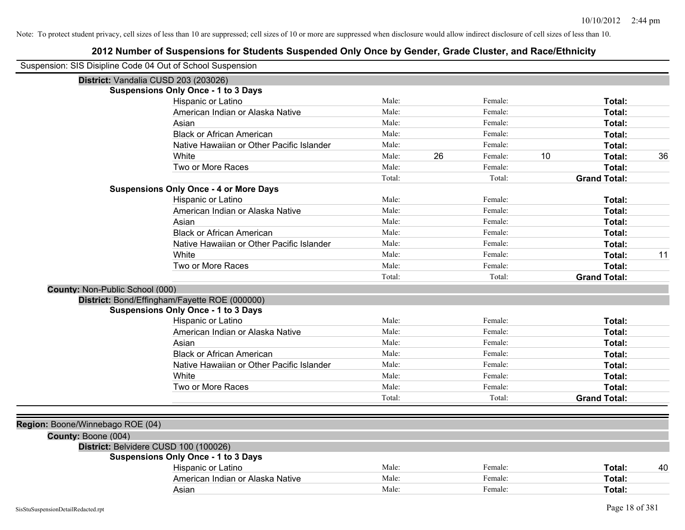| Suspension: SIS Disipline Code 04 Out of School Suspension |                                               |        |    |         |    |                     |    |
|------------------------------------------------------------|-----------------------------------------------|--------|----|---------|----|---------------------|----|
| District: Vandalia CUSD 203 (203026)                       |                                               |        |    |         |    |                     |    |
|                                                            | <b>Suspensions Only Once - 1 to 3 Days</b>    |        |    |         |    |                     |    |
|                                                            | Hispanic or Latino                            | Male:  |    | Female: |    | Total:              |    |
|                                                            | American Indian or Alaska Native              | Male:  |    | Female: |    | Total:              |    |
|                                                            | Asian                                         | Male:  |    | Female: |    | Total:              |    |
|                                                            | <b>Black or African American</b>              | Male:  |    | Female: |    | Total:              |    |
|                                                            | Native Hawaiian or Other Pacific Islander     | Male:  |    | Female: |    | Total:              |    |
|                                                            | White                                         | Male:  | 26 | Female: | 10 | Total:              | 36 |
|                                                            | Two or More Races                             | Male:  |    | Female: |    | Total:              |    |
|                                                            |                                               | Total: |    | Total:  |    | <b>Grand Total:</b> |    |
|                                                            | <b>Suspensions Only Once - 4 or More Days</b> |        |    |         |    |                     |    |
|                                                            | Hispanic or Latino                            | Male:  |    | Female: |    | Total:              |    |
|                                                            | American Indian or Alaska Native              | Male:  |    | Female: |    | Total:              |    |
|                                                            | Asian                                         | Male:  |    | Female: |    | Total:              |    |
|                                                            | <b>Black or African American</b>              | Male:  |    | Female: |    | Total:              |    |
|                                                            | Native Hawaiian or Other Pacific Islander     | Male:  |    | Female: |    | Total:              |    |
|                                                            | White                                         | Male:  |    | Female: |    | Total:              | 11 |
|                                                            | Two or More Races                             | Male:  |    | Female: |    | <b>Total:</b>       |    |
|                                                            |                                               | Total: |    | Total:  |    | <b>Grand Total:</b> |    |
| County: Non-Public School (000)                            |                                               |        |    |         |    |                     |    |
|                                                            | District: Bond/Effingham/Fayette ROE (000000) |        |    |         |    |                     |    |
|                                                            | <b>Suspensions Only Once - 1 to 3 Days</b>    |        |    |         |    |                     |    |
|                                                            | Hispanic or Latino                            | Male:  |    | Female: |    | Total:              |    |
|                                                            | American Indian or Alaska Native              | Male:  |    | Female: |    | Total:              |    |
|                                                            | Asian                                         | Male:  |    | Female: |    | Total:              |    |
|                                                            | <b>Black or African American</b>              | Male:  |    | Female: |    | Total:              |    |
|                                                            | Native Hawaiian or Other Pacific Islander     | Male:  |    | Female: |    | Total:              |    |
|                                                            | White                                         | Male:  |    | Female: |    | Total:              |    |
|                                                            | Two or More Races                             | Male:  |    | Female: |    | <b>Total:</b>       |    |
|                                                            |                                               | Total: |    | Total:  |    | <b>Grand Total:</b> |    |
|                                                            |                                               |        |    |         |    |                     |    |
| Region: Boone/Winnebago ROE (04)                           |                                               |        |    |         |    |                     |    |
| County: Boone (004)                                        |                                               |        |    |         |    |                     |    |
| District: Belvidere CUSD 100 (100026)                      |                                               |        |    |         |    |                     |    |
|                                                            | <b>Suspensions Only Once - 1 to 3 Days</b>    |        |    |         |    |                     |    |
|                                                            | Hispanic or Latino                            | Male:  |    | Female: |    | Total:              | 40 |
|                                                            | American Indian or Alaska Native              | Male:  |    | Female: |    | Total:              |    |
|                                                            | Asian                                         | Male:  |    | Female: |    | Total:              |    |
|                                                            |                                               |        |    |         |    |                     |    |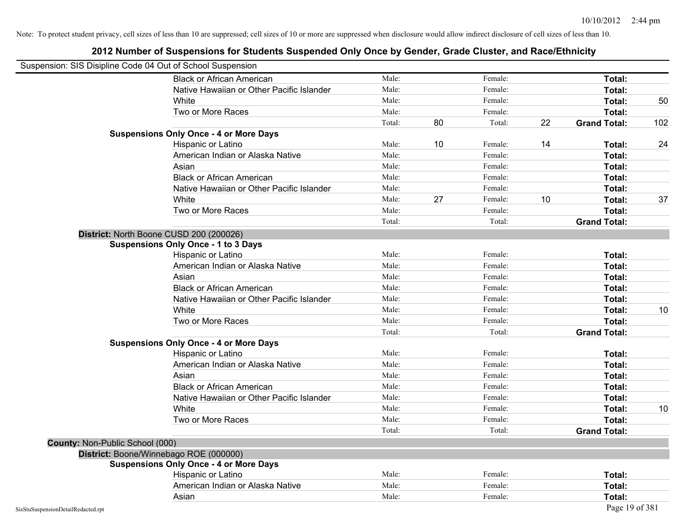| Suspension: SIS Disipline Code 04 Out of School Suspension |                                               |        |    |         |    |                     |     |
|------------------------------------------------------------|-----------------------------------------------|--------|----|---------|----|---------------------|-----|
|                                                            | <b>Black or African American</b>              | Male:  |    | Female: |    | Total:              |     |
|                                                            | Native Hawaiian or Other Pacific Islander     | Male:  |    | Female: |    | Total:              |     |
|                                                            | White                                         | Male:  |    | Female: |    | Total:              | 50  |
|                                                            | Two or More Races                             | Male:  |    | Female: |    | Total:              |     |
|                                                            |                                               | Total: | 80 | Total:  | 22 | <b>Grand Total:</b> | 102 |
|                                                            | <b>Suspensions Only Once - 4 or More Days</b> |        |    |         |    |                     |     |
|                                                            | Hispanic or Latino                            | Male:  | 10 | Female: | 14 | Total:              | 24  |
|                                                            | American Indian or Alaska Native              | Male:  |    | Female: |    | Total:              |     |
|                                                            | Asian                                         | Male:  |    | Female: |    | Total:              |     |
|                                                            | <b>Black or African American</b>              | Male:  |    | Female: |    | Total:              |     |
|                                                            | Native Hawaiian or Other Pacific Islander     | Male:  |    | Female: |    | Total:              |     |
|                                                            | White                                         | Male:  | 27 | Female: | 10 | Total:              | 37  |
|                                                            | Two or More Races                             | Male:  |    | Female: |    | Total:              |     |
|                                                            |                                               | Total: |    | Total:  |    | <b>Grand Total:</b> |     |
|                                                            | District: North Boone CUSD 200 (200026)       |        |    |         |    |                     |     |
|                                                            | <b>Suspensions Only Once - 1 to 3 Days</b>    |        |    |         |    |                     |     |
|                                                            | Hispanic or Latino                            | Male:  |    | Female: |    | Total:              |     |
|                                                            | American Indian or Alaska Native              | Male:  |    | Female: |    | Total:              |     |
|                                                            | Asian                                         | Male:  |    | Female: |    | Total:              |     |
|                                                            | <b>Black or African American</b>              | Male:  |    | Female: |    | Total:              |     |
|                                                            | Native Hawaiian or Other Pacific Islander     | Male:  |    | Female: |    | Total:              |     |
|                                                            | White                                         | Male:  |    | Female: |    | Total:              | 10  |
|                                                            | Two or More Races                             | Male:  |    | Female: |    | Total:              |     |
|                                                            |                                               | Total: |    | Total:  |    | <b>Grand Total:</b> |     |
|                                                            | <b>Suspensions Only Once - 4 or More Days</b> |        |    |         |    |                     |     |
|                                                            | Hispanic or Latino                            | Male:  |    | Female: |    | Total:              |     |
|                                                            | American Indian or Alaska Native              | Male:  |    | Female: |    | Total:              |     |
|                                                            | Asian                                         | Male:  |    | Female: |    | Total:              |     |
|                                                            | <b>Black or African American</b>              | Male:  |    | Female: |    | Total:              |     |
|                                                            | Native Hawaiian or Other Pacific Islander     | Male:  |    | Female: |    | Total:              |     |
|                                                            | White                                         | Male:  |    | Female: |    | Total:              | 10  |
|                                                            | Two or More Races                             | Male:  |    | Female: |    | Total:              |     |
|                                                            |                                               | Total: |    | Total:  |    | <b>Grand Total:</b> |     |
| County: Non-Public School (000)                            |                                               |        |    |         |    |                     |     |
|                                                            | District: Boone/Winnebago ROE (000000)        |        |    |         |    |                     |     |
|                                                            | <b>Suspensions Only Once - 4 or More Days</b> |        |    |         |    |                     |     |
|                                                            | Hispanic or Latino                            | Male:  |    | Female: |    | Total:              |     |
|                                                            | American Indian or Alaska Native              | Male:  |    | Female: |    | Total:              |     |
|                                                            | Asian                                         | Male:  |    | Female: |    | Total:              |     |
| SisStuSuspensionDetailRedacted.rpt                         |                                               |        |    |         |    | Page 19 of 381      |     |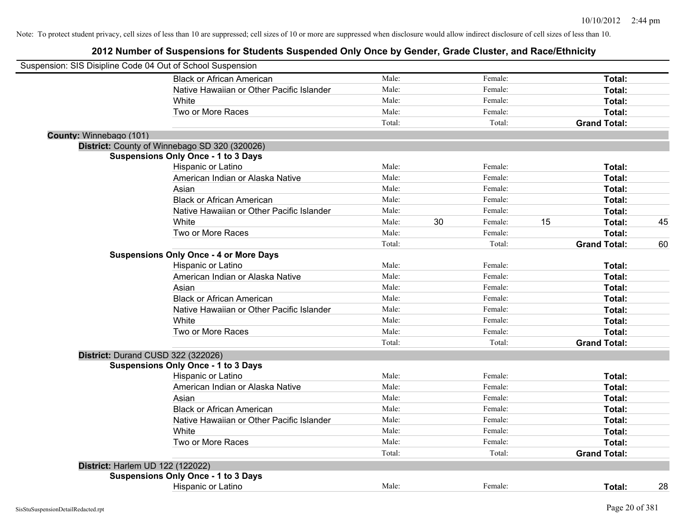| Suspension: SIS Disipline Code 04 Out of School Suspension |                                               |        |    |         |    |                     |    |
|------------------------------------------------------------|-----------------------------------------------|--------|----|---------|----|---------------------|----|
|                                                            | <b>Black or African American</b>              | Male:  |    | Female: |    | Total:              |    |
|                                                            | Native Hawaiian or Other Pacific Islander     | Male:  |    | Female: |    | Total:              |    |
|                                                            | White                                         | Male:  |    | Female: |    | Total:              |    |
|                                                            | Two or More Races                             | Male:  |    | Female: |    | Total:              |    |
|                                                            |                                               | Total: |    | Total:  |    | <b>Grand Total:</b> |    |
| County: Winnebago (101)                                    |                                               |        |    |         |    |                     |    |
|                                                            | District: County of Winnebago SD 320 (320026) |        |    |         |    |                     |    |
|                                                            | <b>Suspensions Only Once - 1 to 3 Days</b>    |        |    |         |    |                     |    |
|                                                            | Hispanic or Latino                            | Male:  |    | Female: |    | Total:              |    |
|                                                            | American Indian or Alaska Native              | Male:  |    | Female: |    | Total:              |    |
|                                                            | Asian                                         | Male:  |    | Female: |    | Total:              |    |
|                                                            | <b>Black or African American</b>              | Male:  |    | Female: |    | Total:              |    |
|                                                            | Native Hawaiian or Other Pacific Islander     | Male:  |    | Female: |    | Total:              |    |
|                                                            | White                                         | Male:  | 30 | Female: | 15 | Total:              | 45 |
|                                                            | Two or More Races                             | Male:  |    | Female: |    | Total:              |    |
|                                                            |                                               | Total: |    | Total:  |    | <b>Grand Total:</b> | 60 |
|                                                            | <b>Suspensions Only Once - 4 or More Days</b> |        |    |         |    |                     |    |
|                                                            | Hispanic or Latino                            | Male:  |    | Female: |    | Total:              |    |
|                                                            | American Indian or Alaska Native              | Male:  |    | Female: |    | Total:              |    |
|                                                            | Asian                                         | Male:  |    | Female: |    | Total:              |    |
|                                                            | <b>Black or African American</b>              | Male:  |    | Female: |    | Total:              |    |
|                                                            | Native Hawaiian or Other Pacific Islander     | Male:  |    | Female: |    | Total:              |    |
|                                                            | White                                         | Male:  |    | Female: |    | Total:              |    |
|                                                            | Two or More Races                             | Male:  |    | Female: |    | Total:              |    |
|                                                            |                                               | Total: |    | Total:  |    | <b>Grand Total:</b> |    |
|                                                            | District: Durand CUSD 322 (322026)            |        |    |         |    |                     |    |
|                                                            | <b>Suspensions Only Once - 1 to 3 Days</b>    |        |    |         |    |                     |    |
|                                                            | Hispanic or Latino                            | Male:  |    | Female: |    | Total:              |    |
|                                                            | American Indian or Alaska Native              | Male:  |    | Female: |    | Total:              |    |
|                                                            | Asian                                         | Male:  |    | Female: |    | Total:              |    |
|                                                            | <b>Black or African American</b>              | Male:  |    | Female: |    | Total:              |    |
|                                                            | Native Hawaiian or Other Pacific Islander     | Male:  |    | Female: |    | Total:              |    |
|                                                            | White                                         | Male:  |    | Female: |    | Total:              |    |
|                                                            | Two or More Races                             | Male:  |    | Female: |    | Total:              |    |
|                                                            |                                               | Total: |    | Total:  |    | <b>Grand Total:</b> |    |
| District: Harlem UD 122 (122022)                           |                                               |        |    |         |    |                     |    |
|                                                            | <b>Suspensions Only Once - 1 to 3 Days</b>    |        |    |         |    |                     |    |
|                                                            | Hispanic or Latino                            | Male:  |    | Female: |    | Total:              | 28 |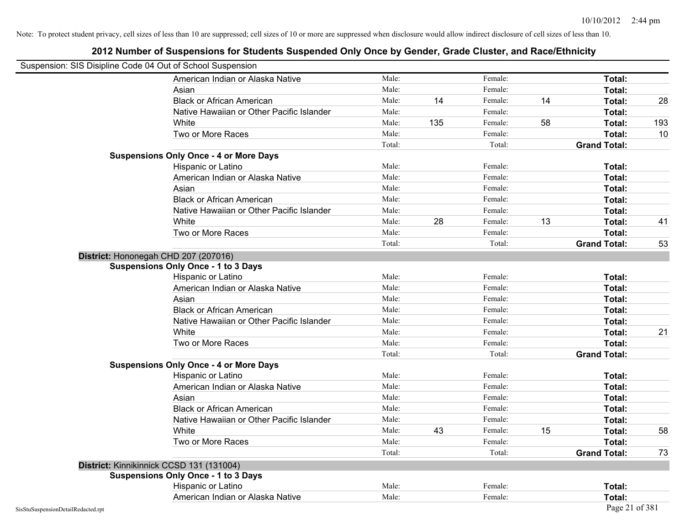| Suspension: SIS Disipline Code 04 Out of School Suspension |                                               |        |     |         |    |                     |     |
|------------------------------------------------------------|-----------------------------------------------|--------|-----|---------|----|---------------------|-----|
|                                                            | American Indian or Alaska Native              | Male:  |     | Female: |    | Total:              |     |
|                                                            | Asian                                         | Male:  |     | Female: |    | Total:              |     |
|                                                            | <b>Black or African American</b>              | Male:  | 14  | Female: | 14 | Total:              | 28  |
|                                                            | Native Hawaiian or Other Pacific Islander     | Male:  |     | Female: |    | Total:              |     |
|                                                            | White                                         | Male:  | 135 | Female: | 58 | Total:              | 193 |
|                                                            | Two or More Races                             | Male:  |     | Female: |    | Total:              | 10  |
|                                                            |                                               | Total: |     | Total:  |    | <b>Grand Total:</b> |     |
|                                                            | <b>Suspensions Only Once - 4 or More Days</b> |        |     |         |    |                     |     |
|                                                            | Hispanic or Latino                            | Male:  |     | Female: |    | Total:              |     |
|                                                            | American Indian or Alaska Native              | Male:  |     | Female: |    | Total:              |     |
|                                                            | Asian                                         | Male:  |     | Female: |    | Total:              |     |
|                                                            | <b>Black or African American</b>              | Male:  |     | Female: |    | Total:              |     |
|                                                            | Native Hawaiian or Other Pacific Islander     | Male:  |     | Female: |    | Total:              |     |
|                                                            | White                                         | Male:  | 28  | Female: | 13 | Total:              | 41  |
|                                                            | Two or More Races                             | Male:  |     | Female: |    | Total:              |     |
|                                                            |                                               | Total: |     | Total:  |    | <b>Grand Total:</b> | 53  |
|                                                            | District: Hononegah CHD 207 (207016)          |        |     |         |    |                     |     |
|                                                            | <b>Suspensions Only Once - 1 to 3 Days</b>    |        |     |         |    |                     |     |
|                                                            | Hispanic or Latino                            | Male:  |     | Female: |    | Total:              |     |
|                                                            | American Indian or Alaska Native              | Male:  |     | Female: |    | Total:              |     |
|                                                            | Asian                                         | Male:  |     | Female: |    | Total:              |     |
|                                                            | <b>Black or African American</b>              | Male:  |     | Female: |    | Total:              |     |
|                                                            | Native Hawaiian or Other Pacific Islander     | Male:  |     | Female: |    | Total:              |     |
|                                                            | White                                         | Male:  |     | Female: |    | Total:              | 21  |
|                                                            | Two or More Races                             | Male:  |     | Female: |    | Total:              |     |
|                                                            |                                               | Total: |     | Total:  |    | <b>Grand Total:</b> |     |
|                                                            | <b>Suspensions Only Once - 4 or More Days</b> |        |     |         |    |                     |     |
|                                                            | Hispanic or Latino                            | Male:  |     | Female: |    | Total:              |     |
|                                                            | American Indian or Alaska Native              | Male:  |     | Female: |    | Total:              |     |
|                                                            | Asian                                         | Male:  |     | Female: |    | Total:              |     |
|                                                            | <b>Black or African American</b>              | Male:  |     | Female: |    | Total:              |     |
|                                                            | Native Hawaiian or Other Pacific Islander     | Male:  |     | Female: |    | Total:              |     |
|                                                            | White                                         | Male:  | 43  | Female: | 15 | Total:              | 58  |
|                                                            | Two or More Races                             | Male:  |     | Female: |    | Total:              |     |
|                                                            |                                               | Total: |     | Total:  |    | <b>Grand Total:</b> | 73  |
|                                                            | District: Kinnikinnick CCSD 131 (131004)      |        |     |         |    |                     |     |
|                                                            | <b>Suspensions Only Once - 1 to 3 Days</b>    |        |     |         |    |                     |     |
|                                                            | Hispanic or Latino                            | Male:  |     | Female: |    | Total:              |     |
|                                                            | American Indian or Alaska Native              | Male:  |     | Female: |    | Total:              |     |
| SisStuSuspensionDetailRedacted.rpt                         |                                               |        |     |         |    | Page 21 of 381      |     |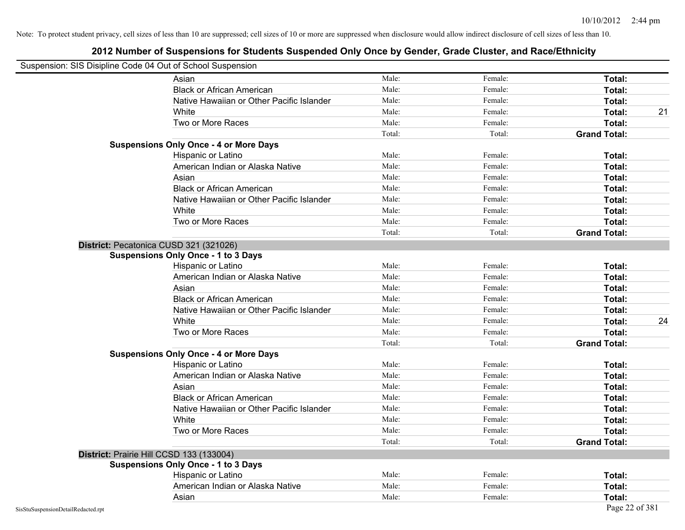| Suspension: SIS Disipline Code 04 Out of School Suspension |                                               |        |         |                     |    |
|------------------------------------------------------------|-----------------------------------------------|--------|---------|---------------------|----|
|                                                            | Asian                                         | Male:  | Female: | Total:              |    |
|                                                            | <b>Black or African American</b>              | Male:  | Female: | Total:              |    |
|                                                            | Native Hawaiian or Other Pacific Islander     | Male:  | Female: | Total:              |    |
|                                                            | White                                         | Male:  | Female: | Total:              | 21 |
|                                                            | Two or More Races                             | Male:  | Female: | Total:              |    |
|                                                            |                                               | Total: | Total:  | <b>Grand Total:</b> |    |
|                                                            | <b>Suspensions Only Once - 4 or More Days</b> |        |         |                     |    |
|                                                            | Hispanic or Latino                            | Male:  | Female: | Total:              |    |
|                                                            | American Indian or Alaska Native              | Male:  | Female: | Total:              |    |
|                                                            | Asian                                         | Male:  | Female: | Total:              |    |
|                                                            | <b>Black or African American</b>              | Male:  | Female: | Total:              |    |
|                                                            | Native Hawaiian or Other Pacific Islander     | Male:  | Female: | Total:              |    |
|                                                            | White                                         | Male:  | Female: | Total:              |    |
|                                                            | Two or More Races                             | Male:  | Female: | Total:              |    |
|                                                            |                                               | Total: | Total:  | <b>Grand Total:</b> |    |
|                                                            | District: Pecatonica CUSD 321 (321026)        |        |         |                     |    |
|                                                            | <b>Suspensions Only Once - 1 to 3 Days</b>    |        |         |                     |    |
|                                                            | Hispanic or Latino                            | Male:  | Female: | Total:              |    |
|                                                            | American Indian or Alaska Native              | Male:  | Female: | Total:              |    |
|                                                            | Asian                                         | Male:  | Female: | Total:              |    |
|                                                            | <b>Black or African American</b>              | Male:  | Female: | Total:              |    |
|                                                            | Native Hawaiian or Other Pacific Islander     | Male:  | Female: | Total:              |    |
|                                                            | White                                         | Male:  | Female: | Total:              | 24 |
|                                                            | Two or More Races                             | Male:  | Female: | Total:              |    |
|                                                            |                                               | Total: | Total:  | <b>Grand Total:</b> |    |
|                                                            | <b>Suspensions Only Once - 4 or More Days</b> |        |         |                     |    |
|                                                            | Hispanic or Latino                            | Male:  | Female: | Total:              |    |
|                                                            | American Indian or Alaska Native              | Male:  | Female: | Total:              |    |
|                                                            | Asian                                         | Male:  | Female: | Total:              |    |
|                                                            | <b>Black or African American</b>              | Male:  | Female: | Total:              |    |
|                                                            | Native Hawaiian or Other Pacific Islander     | Male:  | Female: | Total:              |    |
|                                                            | White                                         | Male:  | Female: | Total:              |    |
|                                                            | Two or More Races                             | Male:  | Female: | Total:              |    |
|                                                            |                                               | Total: | Total:  | <b>Grand Total:</b> |    |
|                                                            | District: Prairie Hill CCSD 133 (133004)      |        |         |                     |    |
|                                                            | <b>Suspensions Only Once - 1 to 3 Days</b>    |        |         |                     |    |
|                                                            | Hispanic or Latino                            | Male:  | Female: | Total:              |    |
|                                                            | American Indian or Alaska Native              | Male:  | Female: | Total:              |    |
|                                                            | Asian                                         | Male:  | Female: | Total:              |    |
|                                                            |                                               |        |         |                     |    |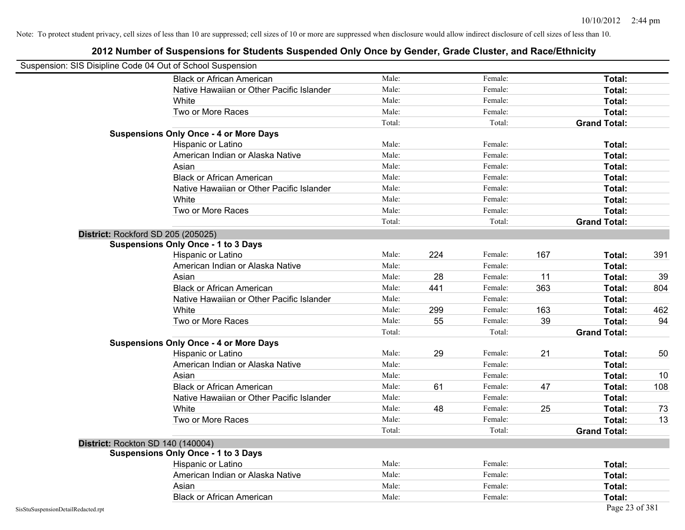| Suspension: SIS Disipline Code 04 Out of School Suspension |                                               |        |     |         |     |                     |     |
|------------------------------------------------------------|-----------------------------------------------|--------|-----|---------|-----|---------------------|-----|
|                                                            | <b>Black or African American</b>              | Male:  |     | Female: |     | Total:              |     |
|                                                            | Native Hawaiian or Other Pacific Islander     | Male:  |     | Female: |     | Total:              |     |
|                                                            | White                                         | Male:  |     | Female: |     | Total:              |     |
|                                                            | Two or More Races                             | Male:  |     | Female: |     | Total:              |     |
|                                                            |                                               | Total: |     | Total:  |     | <b>Grand Total:</b> |     |
|                                                            | <b>Suspensions Only Once - 4 or More Days</b> |        |     |         |     |                     |     |
|                                                            | Hispanic or Latino                            | Male:  |     | Female: |     | Total:              |     |
|                                                            | American Indian or Alaska Native              | Male:  |     | Female: |     | Total:              |     |
|                                                            | Asian                                         | Male:  |     | Female: |     | Total:              |     |
|                                                            | <b>Black or African American</b>              | Male:  |     | Female: |     | Total:              |     |
|                                                            | Native Hawaiian or Other Pacific Islander     | Male:  |     | Female: |     | Total:              |     |
|                                                            | White                                         | Male:  |     | Female: |     | Total:              |     |
|                                                            | Two or More Races                             | Male:  |     | Female: |     | Total:              |     |
|                                                            |                                               | Total: |     | Total:  |     | <b>Grand Total:</b> |     |
|                                                            | District: Rockford SD 205 (205025)            |        |     |         |     |                     |     |
|                                                            | <b>Suspensions Only Once - 1 to 3 Days</b>    |        |     |         |     |                     |     |
|                                                            | Hispanic or Latino                            | Male:  | 224 | Female: | 167 | Total:              | 391 |
|                                                            | American Indian or Alaska Native              | Male:  |     | Female: |     | Total:              |     |
|                                                            | Asian                                         | Male:  | 28  | Female: | 11  | Total:              | 39  |
|                                                            | <b>Black or African American</b>              | Male:  | 441 | Female: | 363 | Total:              | 804 |
|                                                            | Native Hawaiian or Other Pacific Islander     | Male:  |     | Female: |     | Total:              |     |
|                                                            | White                                         | Male:  | 299 | Female: | 163 | Total:              | 462 |
|                                                            | Two or More Races                             | Male:  | 55  | Female: | 39  | Total:              | 94  |
|                                                            |                                               | Total: |     | Total:  |     | <b>Grand Total:</b> |     |
|                                                            | <b>Suspensions Only Once - 4 or More Days</b> |        |     |         |     |                     |     |
|                                                            | Hispanic or Latino                            | Male:  | 29  | Female: | 21  | Total:              | 50  |
|                                                            | American Indian or Alaska Native              | Male:  |     | Female: |     | Total:              |     |
|                                                            | Asian                                         | Male:  |     | Female: |     | Total:              | 10  |
|                                                            | <b>Black or African American</b>              | Male:  | 61  | Female: | 47  | Total:              | 108 |
|                                                            | Native Hawaiian or Other Pacific Islander     | Male:  |     | Female: |     | Total:              |     |
|                                                            | White                                         | Male:  | 48  | Female: | 25  | Total:              | 73  |
|                                                            | Two or More Races                             | Male:  |     | Female: |     | Total:              | 13  |
|                                                            |                                               | Total: |     | Total:  |     | <b>Grand Total:</b> |     |
|                                                            | District: Rockton SD 140 (140004)             |        |     |         |     |                     |     |
|                                                            | <b>Suspensions Only Once - 1 to 3 Days</b>    |        |     |         |     |                     |     |
|                                                            | Hispanic or Latino                            | Male:  |     | Female: |     | Total:              |     |
|                                                            | American Indian or Alaska Native              | Male:  |     | Female: |     | Total:              |     |
|                                                            | Asian                                         | Male:  |     | Female: |     | Total:              |     |
|                                                            | <b>Black or African American</b>              | Male:  |     | Female: |     | Total:              |     |
| SisStuSuspensionDetailRedacted.rpt                         |                                               |        |     |         |     | Page 23 of 381      |     |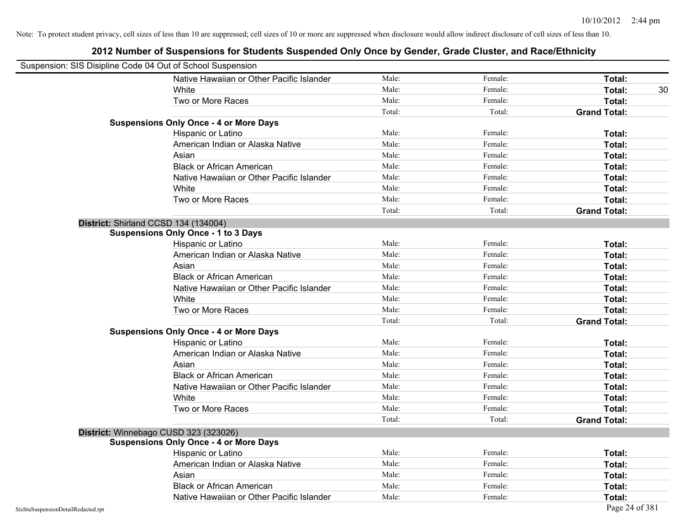| Suspension: SIS Disipline Code 04 Out of School Suspension |                                               |        |         |                     |
|------------------------------------------------------------|-----------------------------------------------|--------|---------|---------------------|
|                                                            | Native Hawaiian or Other Pacific Islander     | Male:  | Female: | Total:              |
|                                                            | White                                         | Male:  | Female: | Total:<br>30        |
|                                                            | Two or More Races                             | Male:  | Female: | Total:              |
|                                                            |                                               | Total: | Total:  | <b>Grand Total:</b> |
|                                                            | <b>Suspensions Only Once - 4 or More Days</b> |        |         |                     |
|                                                            | Hispanic or Latino                            | Male:  | Female: | Total:              |
|                                                            | American Indian or Alaska Native              | Male:  | Female: | Total:              |
|                                                            | Asian                                         | Male:  | Female: | Total:              |
|                                                            | <b>Black or African American</b>              | Male:  | Female: | Total:              |
|                                                            | Native Hawaiian or Other Pacific Islander     | Male:  | Female: | Total:              |
|                                                            | White                                         | Male:  | Female: | Total:              |
|                                                            | Two or More Races                             | Male:  | Female: | Total:              |
|                                                            |                                               | Total: | Total:  | <b>Grand Total:</b> |
|                                                            | District: Shirland CCSD 134 (134004)          |        |         |                     |
|                                                            | <b>Suspensions Only Once - 1 to 3 Days</b>    |        |         |                     |
|                                                            | Hispanic or Latino                            | Male:  | Female: | Total:              |
|                                                            | American Indian or Alaska Native              | Male:  | Female: | Total:              |
|                                                            | Asian                                         | Male:  | Female: | Total:              |
|                                                            | <b>Black or African American</b>              | Male:  | Female: | Total:              |
|                                                            | Native Hawaiian or Other Pacific Islander     | Male:  | Female: | Total:              |
|                                                            | White                                         | Male:  | Female: | Total:              |
|                                                            | Two or More Races                             | Male:  | Female: | Total:              |
|                                                            |                                               | Total: | Total:  | <b>Grand Total:</b> |
|                                                            | <b>Suspensions Only Once - 4 or More Days</b> |        |         |                     |
|                                                            | Hispanic or Latino                            | Male:  | Female: | Total:              |
|                                                            | American Indian or Alaska Native              | Male:  | Female: | Total:              |
|                                                            | Asian                                         | Male:  | Female: | Total:              |
|                                                            | <b>Black or African American</b>              | Male:  | Female: | Total:              |
|                                                            | Native Hawaiian or Other Pacific Islander     | Male:  | Female: | Total:              |
|                                                            | White                                         | Male:  | Female: | Total:              |
|                                                            | Two or More Races                             | Male:  | Female: | Total:              |
|                                                            |                                               | Total: | Total:  | <b>Grand Total:</b> |
|                                                            | District: Winnebago CUSD 323 (323026)         |        |         |                     |
|                                                            | <b>Suspensions Only Once - 4 or More Days</b> |        |         |                     |
|                                                            | Hispanic or Latino                            | Male:  | Female: | Total:              |
|                                                            | American Indian or Alaska Native              | Male:  | Female: | Total:              |
|                                                            | Asian                                         | Male:  | Female: | Total:              |
|                                                            | <b>Black or African American</b>              | Male:  | Female: | Total:              |
|                                                            | Native Hawaiian or Other Pacific Islander     | Male:  | Female: | Total:              |
| SisStuSuspensionDetailRedacted.rpt                         |                                               |        |         | Page 24 of 381      |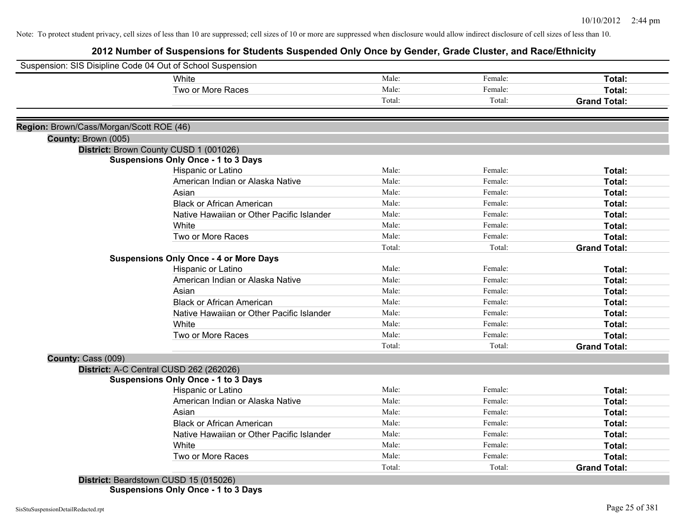# **2012 Number of Suspensions for Students Suspended Only Once by Gender, Grade Cluster, and Race/Ethnicity**

|                                          | Suspension: SIS Disipline Code 04 Out of School Suspension |        |         |                                                                                                                                                                                                                                                         |
|------------------------------------------|------------------------------------------------------------|--------|---------|---------------------------------------------------------------------------------------------------------------------------------------------------------------------------------------------------------------------------------------------------------|
|                                          | White                                                      | Male:  | Female: | Total:                                                                                                                                                                                                                                                  |
|                                          | Two or More Races                                          | Male:  | Female: | Total:                                                                                                                                                                                                                                                  |
|                                          |                                                            | Total: | Total:  | <b>Grand Total:</b>                                                                                                                                                                                                                                     |
| Region: Brown/Cass/Morgan/Scott ROE (46) |                                                            |        |         |                                                                                                                                                                                                                                                         |
| County: Brown (005)                      |                                                            |        |         |                                                                                                                                                                                                                                                         |
|                                          | District: Brown County CUSD 1 (001026)                     |        |         |                                                                                                                                                                                                                                                         |
|                                          | <b>Suspensions Only Once - 1 to 3 Days</b>                 |        |         |                                                                                                                                                                                                                                                         |
|                                          | Hispanic or Latino                                         | Male:  | Female: | Total:                                                                                                                                                                                                                                                  |
|                                          | American Indian or Alaska Native                           | Male:  | Female: | Total:                                                                                                                                                                                                                                                  |
|                                          | Asian                                                      | Male:  | Female: | Total:                                                                                                                                                                                                                                                  |
|                                          | <b>Black or African American</b>                           | Male:  | Female: | Total:                                                                                                                                                                                                                                                  |
|                                          | Native Hawaiian or Other Pacific Islander                  | Male:  | Female: | Total:                                                                                                                                                                                                                                                  |
|                                          | White                                                      | Male:  | Female: | Total:                                                                                                                                                                                                                                                  |
|                                          | Two or More Races                                          | Male:  | Female: | <b>Total:</b>                                                                                                                                                                                                                                           |
|                                          |                                                            | Total: | Total:  | <b>Grand Total:</b><br>Total:<br><b>Total:</b><br><b>Total:</b><br><b>Total:</b><br><b>Total:</b><br><b>Total:</b><br>Total:<br><b>Grand Total:</b><br>Total:<br>Total:<br>Total:<br>Total:<br>Total:<br>Total:<br><b>Total:</b><br><b>Grand Total:</b> |
|                                          | <b>Suspensions Only Once - 4 or More Days</b>              |        |         |                                                                                                                                                                                                                                                         |
|                                          | Hispanic or Latino                                         | Male:  | Female: |                                                                                                                                                                                                                                                         |
|                                          | American Indian or Alaska Native                           | Male:  | Female: |                                                                                                                                                                                                                                                         |
|                                          | Asian                                                      | Male:  | Female: |                                                                                                                                                                                                                                                         |
|                                          | <b>Black or African American</b>                           | Male:  | Female: |                                                                                                                                                                                                                                                         |
|                                          | Native Hawaiian or Other Pacific Islander                  | Male:  | Female: |                                                                                                                                                                                                                                                         |
|                                          | White                                                      | Male:  | Female: |                                                                                                                                                                                                                                                         |
|                                          | Two or More Races                                          | Male:  | Female: |                                                                                                                                                                                                                                                         |
|                                          |                                                            | Total: | Total:  |                                                                                                                                                                                                                                                         |
| County: Cass (009)                       |                                                            |        |         |                                                                                                                                                                                                                                                         |
|                                          | District: A-C Central CUSD 262 (262026)                    |        |         |                                                                                                                                                                                                                                                         |
|                                          | <b>Suspensions Only Once - 1 to 3 Days</b>                 |        |         |                                                                                                                                                                                                                                                         |
|                                          | Hispanic or Latino                                         | Male:  | Female: |                                                                                                                                                                                                                                                         |
|                                          | American Indian or Alaska Native                           | Male:  | Female: |                                                                                                                                                                                                                                                         |
|                                          | Asian                                                      | Male:  | Female: |                                                                                                                                                                                                                                                         |
|                                          | <b>Black or African American</b>                           | Male:  | Female: |                                                                                                                                                                                                                                                         |
|                                          | Native Hawaiian or Other Pacific Islander                  | Male:  | Female: |                                                                                                                                                                                                                                                         |
|                                          | White                                                      | Male:  | Female: |                                                                                                                                                                                                                                                         |
|                                          | Two or More Races                                          | Male:  | Female: |                                                                                                                                                                                                                                                         |
|                                          |                                                            | Total: | Total:  |                                                                                                                                                                                                                                                         |

**Suspensions Only Once - 1 to 3 Days**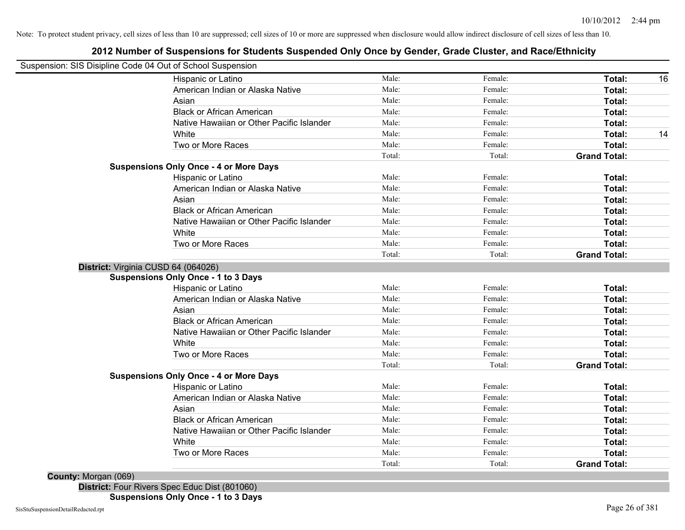# **2012 Number of Suspensions for Students Suspended Only Once by Gender, Grade Cluster, and Race/Ethnicity**

| Hispanic or Latino<br>American Indian or Alaska Native | Male:<br>Male: | Female: | Total:              |    |
|--------------------------------------------------------|----------------|---------|---------------------|----|
|                                                        |                |         |                     | 16 |
|                                                        |                | Female: | Total:              |    |
| Asian                                                  | Male:          | Female: | Total:              |    |
| <b>Black or African American</b>                       | Male:          | Female: | Total:              |    |
| Native Hawaiian or Other Pacific Islander              | Male:          | Female: | Total:              |    |
| White                                                  | Male:          | Female: | Total:              | 14 |
| Two or More Races                                      | Male:          | Female: | Total:              |    |
|                                                        | Total:         | Total:  | <b>Grand Total:</b> |    |
| <b>Suspensions Only Once - 4 or More Days</b>          |                |         |                     |    |
| Hispanic or Latino                                     | Male:          | Female: | Total:              |    |
| American Indian or Alaska Native                       | Male:          | Female: | Total:              |    |
| Asian                                                  | Male:          | Female: | Total:              |    |
| <b>Black or African American</b>                       | Male:          | Female: | Total:              |    |
| Native Hawaiian or Other Pacific Islander              | Male:          | Female: | Total:              |    |
| White                                                  | Male:          | Female: | Total:              |    |
| Two or More Races                                      | Male:          | Female: | Total:              |    |
|                                                        | Total:         | Total:  | <b>Grand Total:</b> |    |
| District: Virginia CUSD 64 (064026)                    |                |         |                     |    |
| <b>Suspensions Only Once - 1 to 3 Days</b>             |                |         |                     |    |
| Hispanic or Latino                                     | Male:          | Female: | Total:              |    |
| American Indian or Alaska Native                       | Male:          | Female: | Total:              |    |
| Asian                                                  | Male:          | Female: | Total:              |    |
| <b>Black or African American</b>                       | Male:          | Female: | Total:              |    |
| Native Hawaiian or Other Pacific Islander              | Male:          | Female: | Total:              |    |
| White                                                  | Male:          | Female: | Total:              |    |
| Two or More Races                                      | Male:          | Female: | Total:              |    |
|                                                        | Total:         | Total:  | <b>Grand Total:</b> |    |
| <b>Suspensions Only Once - 4 or More Days</b>          |                |         |                     |    |
| Hispanic or Latino                                     | Male:          | Female: | Total:              |    |
| American Indian or Alaska Native                       | Male:          | Female: | Total:              |    |
| Asian                                                  | Male:          | Female: | Total:              |    |
| <b>Black or African American</b>                       | Male:          | Female: | Total:              |    |
| Native Hawaiian or Other Pacific Islander              | Male:          | Female: | Total:              |    |
| White                                                  | Male:          | Female: | Total:              |    |
| Two or More Races                                      | Male:          | Female: | <b>Total:</b>       |    |
|                                                        | Total:         | Total:  | <b>Grand Total:</b> |    |

**County:** Morgan (069)

**District:** Four Rivers Spec Educ Dist (801060)

**Suspensions Only Once - 1 to 3 Days**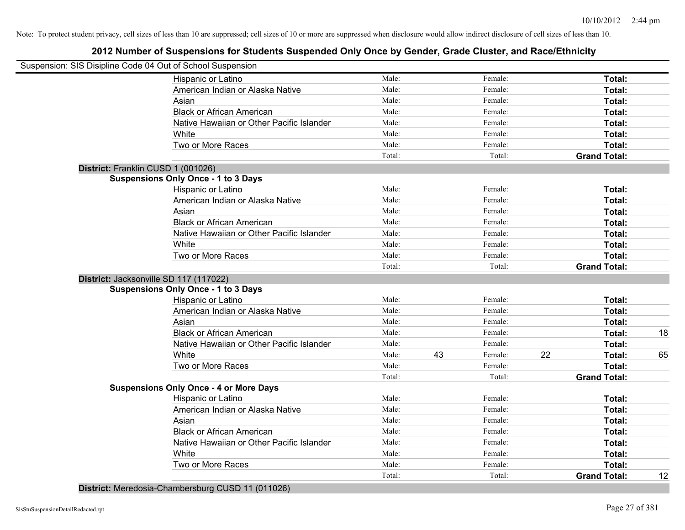# **2012 Number of Suspensions for Students Suspended Only Once by Gender, Grade Cluster, and Race/Ethnicity**

| Suspension: SIS Disipline Code 04 Out of School Suspension |        |    |         |    |                     |    |
|------------------------------------------------------------|--------|----|---------|----|---------------------|----|
| Hispanic or Latino                                         | Male:  |    | Female: |    | Total:              |    |
| American Indian or Alaska Native                           | Male:  |    | Female: |    | Total:              |    |
| Asian                                                      | Male:  |    | Female: |    | Total:              |    |
| <b>Black or African American</b>                           | Male:  |    | Female: |    | Total:              |    |
| Native Hawaiian or Other Pacific Islander                  | Male:  |    | Female: |    | Total:              |    |
| White                                                      | Male:  |    | Female: |    | Total:              |    |
| Two or More Races                                          | Male:  |    | Female: |    | Total:              |    |
|                                                            | Total: |    | Total:  |    | <b>Grand Total:</b> |    |
| District: Franklin CUSD 1 (001026)                         |        |    |         |    |                     |    |
| <b>Suspensions Only Once - 1 to 3 Days</b>                 |        |    |         |    |                     |    |
| Hispanic or Latino                                         | Male:  |    | Female: |    | Total:              |    |
| American Indian or Alaska Native                           | Male:  |    | Female: |    | Total:              |    |
| Asian                                                      | Male:  |    | Female: |    | Total:              |    |
| <b>Black or African American</b>                           | Male:  |    | Female: |    | Total:              |    |
| Native Hawaiian or Other Pacific Islander                  | Male:  |    | Female: |    | Total:              |    |
| White                                                      | Male:  |    | Female: |    | Total:              |    |
| Two or More Races                                          | Male:  |    | Female: |    | Total:              |    |
|                                                            | Total: |    | Total:  |    | <b>Grand Total:</b> |    |
| District: Jacksonville SD 117 (117022)                     |        |    |         |    |                     |    |
| <b>Suspensions Only Once - 1 to 3 Days</b>                 |        |    |         |    |                     |    |
| Hispanic or Latino                                         | Male:  |    | Female: |    | Total:              |    |
| American Indian or Alaska Native                           | Male:  |    | Female: |    | <b>Total:</b>       |    |
| Asian                                                      | Male:  |    | Female: |    | Total:              |    |
| <b>Black or African American</b>                           | Male:  |    | Female: |    | Total:              | 18 |
| Native Hawaiian or Other Pacific Islander                  | Male:  |    | Female: |    | Total:              |    |
| White                                                      | Male:  | 43 | Female: | 22 | Total:              | 65 |
| Two or More Races                                          | Male:  |    | Female: |    | Total:              |    |
|                                                            | Total: |    | Total:  |    | <b>Grand Total:</b> |    |
| <b>Suspensions Only Once - 4 or More Days</b>              |        |    |         |    |                     |    |
| Hispanic or Latino                                         | Male:  |    | Female: |    | Total:              |    |
| American Indian or Alaska Native                           | Male:  |    | Female: |    | Total:              |    |
| Asian                                                      | Male:  |    | Female: |    | Total:              |    |
| <b>Black or African American</b>                           | Male:  |    | Female: |    | Total:              |    |
| Native Hawaiian or Other Pacific Islander                  | Male:  |    | Female: |    | Total:              |    |
| White                                                      | Male:  |    | Female: |    | Total:              |    |
| Two or More Races                                          | Male:  |    | Female: |    | Total:              |    |
|                                                            | Total: |    | Total:  |    | <b>Grand Total:</b> | 12 |
|                                                            |        |    |         |    |                     |    |

**District:** Meredosia-Chambersburg CUSD 11 (011026)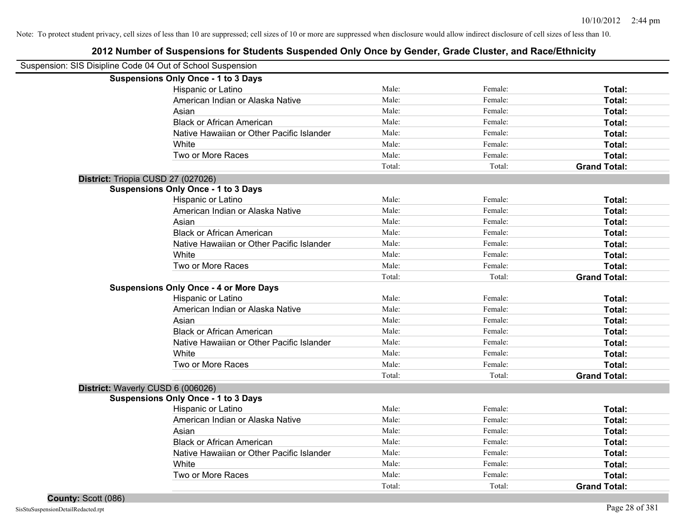| Suspension: SIS Disipline Code 04 Out of School Suspension |        |         |                     |
|------------------------------------------------------------|--------|---------|---------------------|
| Suspensions Only Once - 1 to 3 Days                        |        |         |                     |
| Hispanic or Latino                                         | Male:  | Female: | Total:              |
| American Indian or Alaska Native                           | Male:  | Female: | Total:              |
| Asian                                                      | Male:  | Female: | Total:              |
| <b>Black or African American</b>                           | Male:  | Female: | Total:              |
| Native Hawaiian or Other Pacific Islander                  | Male:  | Female: | Total:              |
| White                                                      | Male:  | Female: | Total:              |
| Two or More Races                                          | Male:  | Female: | Total:              |
|                                                            | Total: | Total:  | <b>Grand Total:</b> |
| District: Triopia CUSD 27 (027026)                         |        |         |                     |
| <b>Suspensions Only Once - 1 to 3 Days</b>                 |        |         |                     |
| Hispanic or Latino                                         | Male:  | Female: | Total:              |
| American Indian or Alaska Native                           | Male:  | Female: | Total:              |
| Asian                                                      | Male:  | Female: | Total:              |
| <b>Black or African American</b>                           | Male:  | Female: | Total:              |
| Native Hawaiian or Other Pacific Islander                  | Male:  | Female: | Total:              |
| White                                                      | Male:  | Female: | Total:              |
| Two or More Races                                          | Male:  | Female: | Total:              |
|                                                            | Total: | Total:  | <b>Grand Total:</b> |
| <b>Suspensions Only Once - 4 or More Days</b>              |        |         |                     |
| Hispanic or Latino                                         | Male:  | Female: | Total:              |
| American Indian or Alaska Native                           | Male:  | Female: | Total:              |
| Asian                                                      | Male:  | Female: | Total:              |
| <b>Black or African American</b>                           | Male:  | Female: | Total:              |
| Native Hawaiian or Other Pacific Islander                  | Male:  | Female: | Total:              |
| White                                                      | Male:  | Female: | Total:              |
| Two or More Races                                          | Male:  | Female: | Total:              |
|                                                            | Total: | Total:  | <b>Grand Total:</b> |
| District: Waverly CUSD 6 (006026)                          |        |         |                     |
| <b>Suspensions Only Once - 1 to 3 Days</b>                 |        |         |                     |
| Hispanic or Latino                                         | Male:  | Female: | Total:              |
| American Indian or Alaska Native                           | Male:  | Female: | Total:              |
| Asian                                                      | Male:  | Female: | Total:              |
| <b>Black or African American</b>                           | Male:  | Female: | Total:              |
| Native Hawaiian or Other Pacific Islander                  | Male:  | Female: | Total:              |
| White                                                      | Male:  | Female: | Total:              |
| Two or More Races                                          | Male:  | Female: | Total:              |
|                                                            | Total: | Total:  | <b>Grand Total:</b> |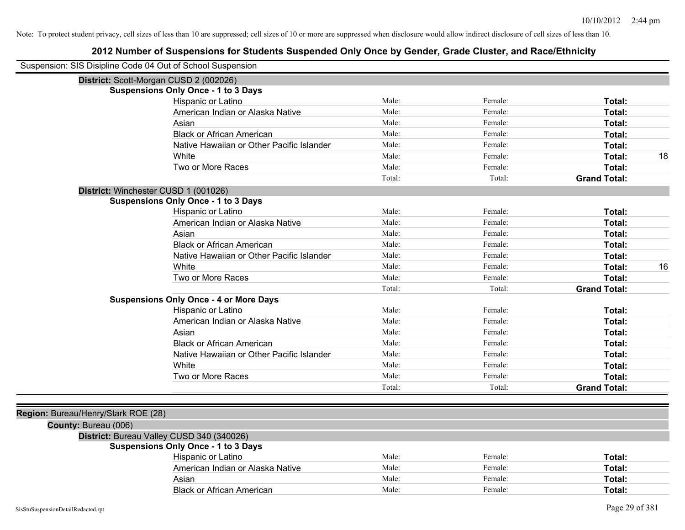| Suspension: SIS Disipline Code 04 Out of School Suspension |                                               |        |         |                     |    |
|------------------------------------------------------------|-----------------------------------------------|--------|---------|---------------------|----|
|                                                            | District: Scott-Morgan CUSD 2 (002026)        |        |         |                     |    |
|                                                            | <b>Suspensions Only Once - 1 to 3 Days</b>    |        |         |                     |    |
|                                                            | <b>Hispanic or Latino</b>                     | Male:  | Female: | Total:              |    |
|                                                            | American Indian or Alaska Native              | Male:  | Female: | Total:              |    |
|                                                            | Asian                                         | Male:  | Female: | Total:              |    |
|                                                            | <b>Black or African American</b>              | Male:  | Female: | Total:              |    |
|                                                            | Native Hawaiian or Other Pacific Islander     | Male:  | Female: | Total:              |    |
|                                                            | White                                         | Male:  | Female: | Total:              | 18 |
|                                                            | Two or More Races                             | Male:  | Female: | Total:              |    |
|                                                            |                                               | Total: | Total:  | <b>Grand Total:</b> |    |
|                                                            | District: Winchester CUSD 1 (001026)          |        |         |                     |    |
|                                                            | <b>Suspensions Only Once - 1 to 3 Days</b>    |        |         |                     |    |
|                                                            | Hispanic or Latino                            | Male:  | Female: | Total:              |    |
|                                                            | American Indian or Alaska Native              | Male:  | Female: | Total:              |    |
|                                                            | Asian                                         | Male:  | Female: | Total:              |    |
|                                                            | <b>Black or African American</b>              | Male:  | Female: | Total:              |    |
|                                                            | Native Hawaiian or Other Pacific Islander     | Male:  | Female: | Total:              |    |
|                                                            | White                                         | Male:  | Female: | Total:              | 16 |
|                                                            | Two or More Races                             | Male:  | Female: | Total:              |    |
|                                                            |                                               | Total: | Total:  | <b>Grand Total:</b> |    |
|                                                            | <b>Suspensions Only Once - 4 or More Days</b> |        |         |                     |    |
|                                                            | Hispanic or Latino                            | Male:  | Female: | Total:              |    |
|                                                            | American Indian or Alaska Native              | Male:  | Female: | Total:              |    |
|                                                            | Asian                                         | Male:  | Female: | Total:              |    |
|                                                            | <b>Black or African American</b>              | Male:  | Female: | Total:              |    |
|                                                            | Native Hawaiian or Other Pacific Islander     | Male:  | Female: | Total:              |    |
|                                                            | White                                         | Male:  | Female: | Total:              |    |
|                                                            | Two or More Races                             | Male:  | Female: | Total:              |    |
|                                                            |                                               | Total: | Total:  | <b>Grand Total:</b> |    |
|                                                            |                                               |        |         |                     |    |
| Region: Bureau/Henry/Stark ROE (28)                        |                                               |        |         |                     |    |
| County: Bureau (006)                                       |                                               |        |         |                     |    |
|                                                            | District: Bureau Valley CUSD 340 (340026)     |        |         |                     |    |
|                                                            | <b>Suspensions Only Once - 1 to 3 Days</b>    |        |         |                     |    |
|                                                            | Hispanic or Latino                            | Male:  | Female: | Total:              |    |
|                                                            | American Indian or Alaska Native              | Male:  | Female: | Total:              |    |
|                                                            | Asian                                         | Male:  | Female: | Total:              |    |
|                                                            | <b>Black or African American</b>              | Male:  | Female: | Total:              |    |
|                                                            |                                               |        |         |                     |    |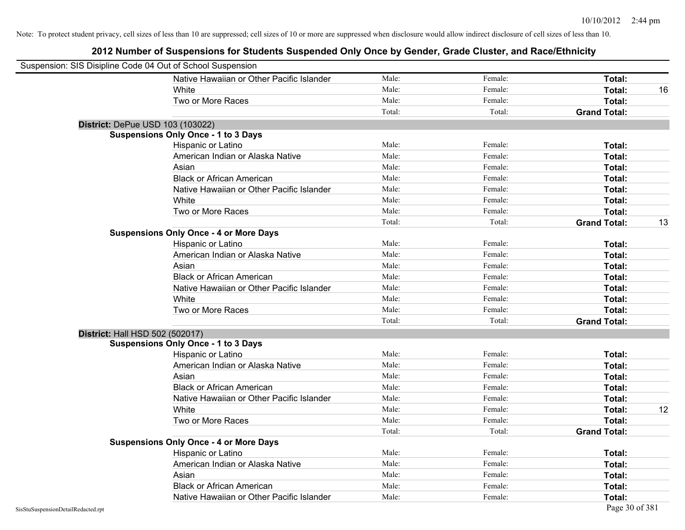| Suspension: SIS Disipline Code 04 Out of School Suspension |                                               |        |         |                     |    |
|------------------------------------------------------------|-----------------------------------------------|--------|---------|---------------------|----|
|                                                            | Native Hawaiian or Other Pacific Islander     | Male:  | Female: | Total:              |    |
|                                                            | White                                         | Male:  | Female: | Total:              | 16 |
|                                                            | Two or More Races                             | Male:  | Female: | Total:              |    |
|                                                            |                                               | Total: | Total:  | <b>Grand Total:</b> |    |
| <b>District: DePue USD 103 (103022)</b>                    |                                               |        |         |                     |    |
|                                                            | <b>Suspensions Only Once - 1 to 3 Days</b>    |        |         |                     |    |
|                                                            | Hispanic or Latino                            | Male:  | Female: | Total:              |    |
|                                                            | American Indian or Alaska Native              | Male:  | Female: | Total:              |    |
|                                                            | Asian                                         | Male:  | Female: | Total:              |    |
|                                                            | <b>Black or African American</b>              | Male:  | Female: | Total:              |    |
|                                                            | Native Hawaiian or Other Pacific Islander     | Male:  | Female: | Total:              |    |
|                                                            | White                                         | Male:  | Female: | Total:              |    |
|                                                            | Two or More Races                             | Male:  | Female: | Total:              |    |
|                                                            |                                               | Total: | Total:  | <b>Grand Total:</b> | 13 |
|                                                            | <b>Suspensions Only Once - 4 or More Days</b> |        |         |                     |    |
|                                                            | Hispanic or Latino                            | Male:  | Female: | Total:              |    |
|                                                            | American Indian or Alaska Native              | Male:  | Female: | Total:              |    |
|                                                            | Asian                                         | Male:  | Female: | Total:              |    |
|                                                            | <b>Black or African American</b>              | Male:  | Female: | Total:              |    |
|                                                            | Native Hawaiian or Other Pacific Islander     | Male:  | Female: | Total:              |    |
|                                                            | White                                         | Male:  | Female: | Total:              |    |
|                                                            | Two or More Races                             | Male:  | Female: | Total:              |    |
|                                                            |                                               | Total: | Total:  | <b>Grand Total:</b> |    |
| District: Hall HSD 502 (502017)                            |                                               |        |         |                     |    |
|                                                            | <b>Suspensions Only Once - 1 to 3 Days</b>    |        |         |                     |    |
|                                                            | Hispanic or Latino                            | Male:  | Female: | Total:              |    |
|                                                            | American Indian or Alaska Native              | Male:  | Female: | Total:              |    |
|                                                            | Asian                                         | Male:  | Female: | Total:              |    |
|                                                            | <b>Black or African American</b>              | Male:  | Female: | Total:              |    |
|                                                            | Native Hawaiian or Other Pacific Islander     | Male:  | Female: | Total:              |    |
|                                                            | White                                         | Male:  | Female: | Total:              | 12 |
|                                                            | Two or More Races                             | Male:  | Female: | Total:              |    |
|                                                            |                                               | Total: | Total:  | <b>Grand Total:</b> |    |
|                                                            | <b>Suspensions Only Once - 4 or More Days</b> |        |         |                     |    |
|                                                            | Hispanic or Latino                            | Male:  | Female: | Total:              |    |
|                                                            | American Indian or Alaska Native              | Male:  | Female: | Total:              |    |
|                                                            | Asian                                         | Male:  | Female: | Total:              |    |
|                                                            | <b>Black or African American</b>              | Male:  | Female: | Total:              |    |
|                                                            | Native Hawaiian or Other Pacific Islander     | Male:  | Female: | Total:              |    |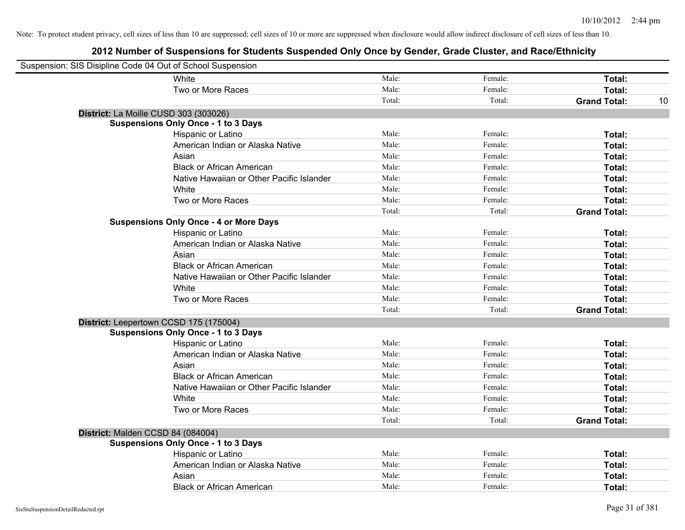| Suspension: SIS Disipline Code 04 Out of School Suspension |                                               |        |         |                     |    |
|------------------------------------------------------------|-----------------------------------------------|--------|---------|---------------------|----|
|                                                            | White                                         | Male:  | Female: | Total:              |    |
|                                                            | Two or More Races                             | Male:  | Female: | Total:              |    |
|                                                            |                                               | Total: | Total:  | <b>Grand Total:</b> | 10 |
| District: La Moille CUSD 303 (303026)                      |                                               |        |         |                     |    |
|                                                            | <b>Suspensions Only Once - 1 to 3 Days</b>    |        |         |                     |    |
|                                                            | Hispanic or Latino                            | Male:  | Female: | Total:              |    |
|                                                            | American Indian or Alaska Native              | Male:  | Female: | Total:              |    |
|                                                            | Asian                                         | Male:  | Female: | Total:              |    |
|                                                            | <b>Black or African American</b>              | Male:  | Female: | Total:              |    |
|                                                            | Native Hawaiian or Other Pacific Islander     | Male:  | Female: | Total:              |    |
|                                                            | White                                         | Male:  | Female: | Total:              |    |
|                                                            | Two or More Races                             | Male:  | Female: | Total:              |    |
|                                                            |                                               | Total: | Total:  | <b>Grand Total:</b> |    |
|                                                            | <b>Suspensions Only Once - 4 or More Days</b> |        |         |                     |    |
|                                                            | Hispanic or Latino                            | Male:  | Female: | Total:              |    |
|                                                            | American Indian or Alaska Native              | Male:  | Female: | Total:              |    |
|                                                            | Asian                                         | Male:  | Female: | Total:              |    |
|                                                            | <b>Black or African American</b>              | Male:  | Female: | Total:              |    |
|                                                            | Native Hawaiian or Other Pacific Islander     | Male:  | Female: | Total:              |    |
|                                                            | White                                         | Male:  | Female: | Total:              |    |
|                                                            | Two or More Races                             | Male:  | Female: | Total:              |    |
|                                                            |                                               | Total: | Total:  | <b>Grand Total:</b> |    |
| District: Leepertown CCSD 175 (175004)                     |                                               |        |         |                     |    |
|                                                            | <b>Suspensions Only Once - 1 to 3 Days</b>    |        |         |                     |    |
|                                                            | Hispanic or Latino                            | Male:  | Female: | Total:              |    |
|                                                            | American Indian or Alaska Native              | Male:  | Female: | Total:              |    |
|                                                            | Asian                                         | Male:  | Female: | Total:              |    |
|                                                            | <b>Black or African American</b>              | Male:  | Female: | Total:              |    |
|                                                            | Native Hawaiian or Other Pacific Islander     | Male:  | Female: | Total:              |    |
|                                                            | White                                         | Male:  | Female: | Total:              |    |
|                                                            | Two or More Races                             | Male:  | Female: | Total:              |    |
|                                                            |                                               | Total: | Total:  | <b>Grand Total:</b> |    |
| District: Malden CCSD 84 (084004)                          |                                               |        |         |                     |    |
|                                                            | <b>Suspensions Only Once - 1 to 3 Days</b>    |        |         |                     |    |
|                                                            | Hispanic or Latino                            | Male:  | Female: | Total:              |    |
|                                                            | American Indian or Alaska Native              | Male:  | Female: | Total:              |    |
|                                                            | Asian                                         | Male:  | Female: | Total:              |    |
|                                                            | <b>Black or African American</b>              | Male:  | Female: | Total:              |    |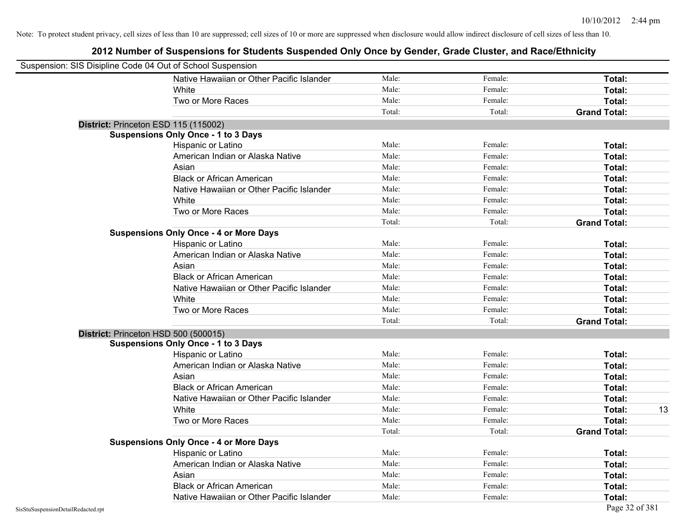| Suspension: SIS Disipline Code 04 Out of School Suspension |                                               |        |         |                     |
|------------------------------------------------------------|-----------------------------------------------|--------|---------|---------------------|
|                                                            | Native Hawaiian or Other Pacific Islander     | Male:  | Female: | Total:              |
|                                                            | White                                         | Male:  | Female: | Total:              |
|                                                            | Two or More Races                             | Male:  | Female: | Total:              |
|                                                            |                                               | Total: | Total:  | <b>Grand Total:</b> |
| District: Princeton ESD 115 (115002)                       |                                               |        |         |                     |
|                                                            | <b>Suspensions Only Once - 1 to 3 Days</b>    |        |         |                     |
|                                                            | Hispanic or Latino                            | Male:  | Female: | Total:              |
|                                                            | American Indian or Alaska Native              | Male:  | Female: | Total:              |
|                                                            | Asian                                         | Male:  | Female: | Total:              |
|                                                            | <b>Black or African American</b>              | Male:  | Female: | Total:              |
|                                                            | Native Hawaiian or Other Pacific Islander     | Male:  | Female: | Total:              |
|                                                            | White                                         | Male:  | Female: | Total:              |
|                                                            | Two or More Races                             | Male:  | Female: | Total:              |
|                                                            |                                               | Total: | Total:  | <b>Grand Total:</b> |
|                                                            | <b>Suspensions Only Once - 4 or More Days</b> |        |         |                     |
|                                                            | Hispanic or Latino                            | Male:  | Female: | Total:              |
|                                                            | American Indian or Alaska Native              | Male:  | Female: | Total:              |
|                                                            | Asian                                         | Male:  | Female: | Total:              |
|                                                            | <b>Black or African American</b>              | Male:  | Female: | Total:              |
|                                                            | Native Hawaiian or Other Pacific Islander     | Male:  | Female: | Total:              |
|                                                            | White                                         | Male:  | Female: | Total:              |
|                                                            | Two or More Races                             | Male:  | Female: | Total:              |
|                                                            |                                               | Total: | Total:  | <b>Grand Total:</b> |
| District: Princeton HSD 500 (500015)                       |                                               |        |         |                     |
|                                                            | <b>Suspensions Only Once - 1 to 3 Days</b>    |        |         |                     |
|                                                            | Hispanic or Latino                            | Male:  | Female: | Total:              |
|                                                            | American Indian or Alaska Native              | Male:  | Female: | Total:              |
|                                                            | Asian                                         | Male:  | Female: | Total:              |
|                                                            | <b>Black or African American</b>              | Male:  | Female: | Total:              |
|                                                            | Native Hawaiian or Other Pacific Islander     | Male:  | Female: | Total:              |
|                                                            | <b>White</b>                                  | Male:  | Female: | Total:<br>13        |
|                                                            | Two or More Races                             | Male:  | Female: | Total:              |
|                                                            |                                               | Total: | Total:  | <b>Grand Total:</b> |
|                                                            | <b>Suspensions Only Once - 4 or More Days</b> |        |         |                     |
|                                                            | Hispanic or Latino                            | Male:  | Female: | Total:              |
|                                                            | American Indian or Alaska Native              | Male:  | Female: | Total:              |
|                                                            | Asian                                         | Male:  | Female: | Total:              |
|                                                            | <b>Black or African American</b>              | Male:  | Female: | Total:              |
|                                                            | Native Hawaiian or Other Pacific Islander     | Male:  | Female: | Total:              |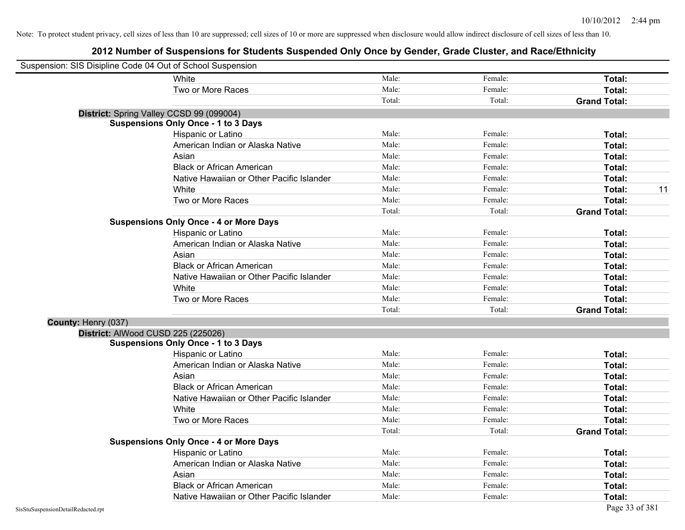| Suspension: SIS Disipline Code 04 Out of School Suspension |                                               |        |         |                     |
|------------------------------------------------------------|-----------------------------------------------|--------|---------|---------------------|
|                                                            | White                                         | Male:  | Female: | Total:              |
|                                                            | Two or More Races                             | Male:  | Female: | Total:              |
|                                                            |                                               | Total: | Total:  | <b>Grand Total:</b> |
|                                                            | District: Spring Valley CCSD 99 (099004)      |        |         |                     |
|                                                            | <b>Suspensions Only Once - 1 to 3 Days</b>    |        |         |                     |
|                                                            | Hispanic or Latino                            | Male:  | Female: | Total:              |
|                                                            | American Indian or Alaska Native              | Male:  | Female: | Total:              |
|                                                            | Asian                                         | Male:  | Female: | Total:              |
|                                                            | <b>Black or African American</b>              | Male:  | Female: | Total:              |
|                                                            | Native Hawaiian or Other Pacific Islander     | Male:  | Female: | Total:              |
|                                                            | White                                         | Male:  | Female: | 11<br>Total:        |
|                                                            | Two or More Races                             | Male:  | Female: | Total:              |
|                                                            |                                               | Total: | Total:  | <b>Grand Total:</b> |
|                                                            | <b>Suspensions Only Once - 4 or More Days</b> |        |         |                     |
|                                                            | Hispanic or Latino                            | Male:  | Female: | Total:              |
|                                                            | American Indian or Alaska Native              | Male:  | Female: | Total:              |
|                                                            | Asian                                         | Male:  | Female: | Total:              |
|                                                            | <b>Black or African American</b>              | Male:  | Female: | Total:              |
|                                                            | Native Hawaiian or Other Pacific Islander     | Male:  | Female: | Total:              |
|                                                            | White                                         | Male:  | Female: | Total:              |
|                                                            | Two or More Races                             | Male:  | Female: | Total:              |
|                                                            |                                               | Total: | Total:  | <b>Grand Total:</b> |
| County: Henry (037)                                        |                                               |        |         |                     |
| District: AlWood CUSD 225 (225026)                         |                                               |        |         |                     |
|                                                            | <b>Suspensions Only Once - 1 to 3 Days</b>    |        |         |                     |
|                                                            | Hispanic or Latino                            | Male:  | Female: | Total:              |
|                                                            | American Indian or Alaska Native              | Male:  | Female: | Total:              |
|                                                            | Asian                                         | Male:  | Female: | Total:              |
|                                                            | <b>Black or African American</b>              | Male:  | Female: | Total:              |
|                                                            | Native Hawaiian or Other Pacific Islander     | Male:  | Female: | Total:              |
|                                                            | White                                         | Male:  | Female: | Total:              |
|                                                            | Two or More Races                             | Male:  | Female: | Total:              |
|                                                            |                                               | Total: | Total:  | <b>Grand Total:</b> |
|                                                            | <b>Suspensions Only Once - 4 or More Days</b> |        |         |                     |
|                                                            | Hispanic or Latino                            | Male:  | Female: | Total:              |
|                                                            | American Indian or Alaska Native              | Male:  | Female: | Total:              |
|                                                            | Asian                                         | Male:  | Female: | Total:              |
|                                                            | <b>Black or African American</b>              | Male:  | Female: | Total:              |
|                                                            | Native Hawaiian or Other Pacific Islander     | Male:  | Female: | Total:              |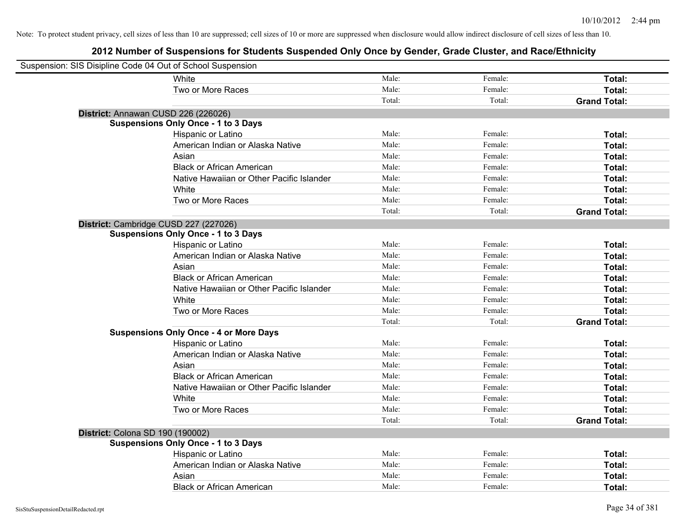| Suspension: SIS Disipline Code 04 Out of School Suspension |                                               |        |         |                     |
|------------------------------------------------------------|-----------------------------------------------|--------|---------|---------------------|
|                                                            | White                                         | Male:  | Female: | Total:              |
|                                                            | Two or More Races                             | Male:  | Female: | Total:              |
|                                                            |                                               | Total: | Total:  | <b>Grand Total:</b> |
| District: Annawan CUSD 226 (226026)                        |                                               |        |         |                     |
|                                                            | <b>Suspensions Only Once - 1 to 3 Days</b>    |        |         |                     |
|                                                            | Hispanic or Latino                            | Male:  | Female: | Total:              |
|                                                            | American Indian or Alaska Native              | Male:  | Female: | Total:              |
|                                                            | Asian                                         | Male:  | Female: | Total:              |
|                                                            | <b>Black or African American</b>              | Male:  | Female: | Total:              |
|                                                            | Native Hawaiian or Other Pacific Islander     | Male:  | Female: | Total:              |
|                                                            | White                                         | Male:  | Female: | Total:              |
|                                                            | Two or More Races                             | Male:  | Female: | Total:              |
|                                                            |                                               | Total: | Total:  | <b>Grand Total:</b> |
| District: Cambridge CUSD 227 (227026)                      |                                               |        |         |                     |
|                                                            | <b>Suspensions Only Once - 1 to 3 Days</b>    |        |         |                     |
|                                                            | Hispanic or Latino                            | Male:  | Female: | Total:              |
|                                                            | American Indian or Alaska Native              | Male:  | Female: | Total:              |
|                                                            | Asian                                         | Male:  | Female: | Total:              |
|                                                            | <b>Black or African American</b>              | Male:  | Female: | Total:              |
|                                                            | Native Hawaiian or Other Pacific Islander     | Male:  | Female: | Total:              |
|                                                            | White                                         | Male:  | Female: | Total:              |
|                                                            | Two or More Races                             | Male:  | Female: | Total:              |
|                                                            |                                               | Total: | Total:  | <b>Grand Total:</b> |
|                                                            | <b>Suspensions Only Once - 4 or More Days</b> |        |         |                     |
|                                                            | Hispanic or Latino                            | Male:  | Female: | Total:              |
|                                                            | American Indian or Alaska Native              | Male:  | Female: | Total:              |
|                                                            | Asian                                         | Male:  | Female: | Total:              |
|                                                            | <b>Black or African American</b>              | Male:  | Female: | Total:              |
|                                                            | Native Hawaiian or Other Pacific Islander     | Male:  | Female: | Total:              |
|                                                            | White                                         | Male:  | Female: | Total:              |
|                                                            | Two or More Races                             | Male:  | Female: | Total:              |
|                                                            |                                               | Total: | Total:  | <b>Grand Total:</b> |
| District: Colona SD 190 (190002)                           |                                               |        |         |                     |
|                                                            | <b>Suspensions Only Once - 1 to 3 Days</b>    |        |         |                     |
|                                                            | Hispanic or Latino                            | Male:  | Female: | Total:              |
|                                                            | American Indian or Alaska Native              | Male:  | Female: | Total:              |
|                                                            | Asian                                         | Male:  | Female: | Total:              |
|                                                            | <b>Black or African American</b>              | Male:  | Female: | Total:              |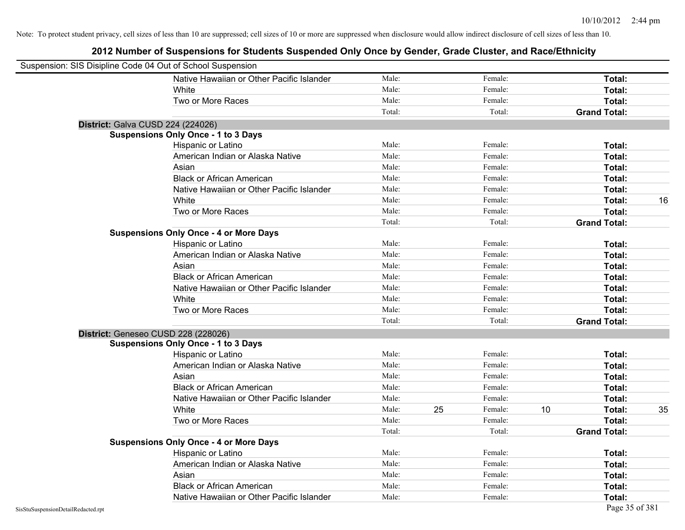|                                    | Suspension: SIS Disipline Code 04 Out of School Suspension |        |    |         |    |                     |    |
|------------------------------------|------------------------------------------------------------|--------|----|---------|----|---------------------|----|
|                                    | Native Hawaiian or Other Pacific Islander                  | Male:  |    | Female: |    | Total:              |    |
|                                    | White                                                      | Male:  |    | Female: |    | Total:              |    |
|                                    | Two or More Races                                          | Male:  |    | Female: |    | Total:              |    |
|                                    |                                                            | Total: |    | Total:  |    | <b>Grand Total:</b> |    |
|                                    | District: Galva CUSD 224 (224026)                          |        |    |         |    |                     |    |
|                                    | <b>Suspensions Only Once - 1 to 3 Days</b>                 |        |    |         |    |                     |    |
|                                    | Hispanic or Latino                                         | Male:  |    | Female: |    | <b>Total:</b>       |    |
|                                    | American Indian or Alaska Native                           | Male:  |    | Female: |    | Total:              |    |
|                                    | Asian                                                      | Male:  |    | Female: |    | Total:              |    |
|                                    | <b>Black or African American</b>                           | Male:  |    | Female: |    | Total:              |    |
|                                    | Native Hawaiian or Other Pacific Islander                  | Male:  |    | Female: |    | Total:              |    |
|                                    | White                                                      | Male:  |    | Female: |    | Total:              | 16 |
|                                    | Two or More Races                                          | Male:  |    | Female: |    | <b>Total:</b>       |    |
|                                    |                                                            | Total: |    | Total:  |    | <b>Grand Total:</b> |    |
|                                    | <b>Suspensions Only Once - 4 or More Days</b>              |        |    |         |    |                     |    |
|                                    | Hispanic or Latino                                         | Male:  |    | Female: |    | Total:              |    |
|                                    | American Indian or Alaska Native                           | Male:  |    | Female: |    | Total:              |    |
|                                    | Asian                                                      | Male:  |    | Female: |    | Total:              |    |
|                                    | <b>Black or African American</b>                           | Male:  |    | Female: |    | Total:              |    |
|                                    | Native Hawaiian or Other Pacific Islander                  | Male:  |    | Female: |    | Total:              |    |
|                                    | White                                                      | Male:  |    | Female: |    | Total:              |    |
|                                    | Two or More Races                                          | Male:  |    | Female: |    | <b>Total:</b>       |    |
|                                    |                                                            | Total: |    | Total:  |    | <b>Grand Total:</b> |    |
|                                    | District: Geneseo CUSD 228 (228026)                        |        |    |         |    |                     |    |
|                                    | <b>Suspensions Only Once - 1 to 3 Days</b>                 |        |    |         |    |                     |    |
|                                    | Hispanic or Latino                                         | Male:  |    | Female: |    | <b>Total:</b>       |    |
|                                    | American Indian or Alaska Native                           | Male:  |    | Female: |    | <b>Total:</b>       |    |
|                                    | Asian                                                      | Male:  |    | Female: |    | Total:              |    |
|                                    | <b>Black or African American</b>                           | Male:  |    | Female: |    | Total:              |    |
|                                    | Native Hawaiian or Other Pacific Islander                  | Male:  |    | Female: |    | Total:              |    |
|                                    | White                                                      | Male:  | 25 | Female: | 10 | <b>Total:</b>       | 35 |
|                                    | Two or More Races                                          | Male:  |    | Female: |    | Total:              |    |
|                                    |                                                            | Total: |    | Total:  |    | <b>Grand Total:</b> |    |
|                                    | <b>Suspensions Only Once - 4 or More Days</b>              |        |    |         |    |                     |    |
|                                    | Hispanic or Latino                                         | Male:  |    | Female: |    | <b>Total:</b>       |    |
|                                    | American Indian or Alaska Native                           | Male:  |    | Female: |    | Total:              |    |
|                                    | Asian                                                      | Male:  |    | Female: |    | Total:              |    |
|                                    | <b>Black or African American</b>                           | Male:  |    | Female: |    | Total:              |    |
|                                    | Native Hawaiian or Other Pacific Islander                  | Male:  |    | Female: |    | <b>Total:</b>       |    |
| SisStuSuspensionDetailRedacted.rpt |                                                            |        |    |         |    | Page 35 of 381      |    |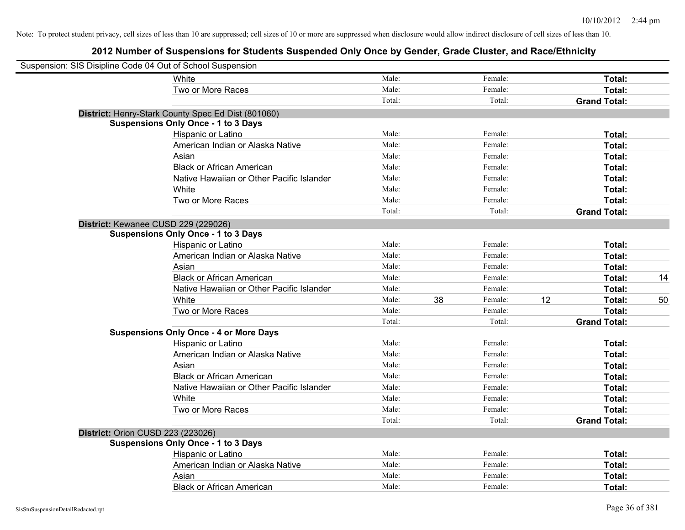| Suspension: SIS Disipline Code 04 Out of School Suspension |                                                    |        |    |         |    |                     |    |
|------------------------------------------------------------|----------------------------------------------------|--------|----|---------|----|---------------------|----|
|                                                            | White                                              | Male:  |    | Female: |    | Total:              |    |
|                                                            | Two or More Races                                  | Male:  |    | Female: |    | Total:              |    |
|                                                            |                                                    | Total: |    | Total:  |    | <b>Grand Total:</b> |    |
|                                                            | District: Henry-Stark County Spec Ed Dist (801060) |        |    |         |    |                     |    |
|                                                            | <b>Suspensions Only Once - 1 to 3 Days</b>         |        |    |         |    |                     |    |
|                                                            | Hispanic or Latino                                 | Male:  |    | Female: |    | Total:              |    |
|                                                            | American Indian or Alaska Native                   | Male:  |    | Female: |    | Total:              |    |
|                                                            | Asian                                              | Male:  |    | Female: |    | Total:              |    |
|                                                            | <b>Black or African American</b>                   | Male:  |    | Female: |    | Total:              |    |
|                                                            | Native Hawaiian or Other Pacific Islander          | Male:  |    | Female: |    | Total:              |    |
|                                                            | White                                              | Male:  |    | Female: |    | Total:              |    |
|                                                            | Two or More Races                                  | Male:  |    | Female: |    | Total:              |    |
|                                                            |                                                    | Total: |    | Total:  |    | <b>Grand Total:</b> |    |
| District: Kewanee CUSD 229 (229026)                        |                                                    |        |    |         |    |                     |    |
|                                                            | <b>Suspensions Only Once - 1 to 3 Days</b>         |        |    |         |    |                     |    |
|                                                            | Hispanic or Latino                                 | Male:  |    | Female: |    | Total:              |    |
|                                                            | American Indian or Alaska Native                   | Male:  |    | Female: |    | Total:              |    |
|                                                            | Asian                                              | Male:  |    | Female: |    | Total:              |    |
|                                                            | <b>Black or African American</b>                   | Male:  |    | Female: |    | Total:              | 14 |
|                                                            | Native Hawaiian or Other Pacific Islander          | Male:  |    | Female: |    | Total:              |    |
|                                                            | White                                              | Male:  | 38 | Female: | 12 | Total:              | 50 |
|                                                            | Two or More Races                                  | Male:  |    | Female: |    | Total:              |    |
|                                                            |                                                    | Total: |    | Total:  |    | <b>Grand Total:</b> |    |
|                                                            | <b>Suspensions Only Once - 4 or More Days</b>      |        |    |         |    |                     |    |
|                                                            | Hispanic or Latino                                 | Male:  |    | Female: |    | Total:              |    |
|                                                            | American Indian or Alaska Native                   | Male:  |    | Female: |    | Total:              |    |
|                                                            | Asian                                              | Male:  |    | Female: |    | Total:              |    |
|                                                            | <b>Black or African American</b>                   | Male:  |    | Female: |    | Total:              |    |
|                                                            | Native Hawaiian or Other Pacific Islander          | Male:  |    | Female: |    | Total:              |    |
|                                                            | White                                              | Male:  |    | Female: |    | Total:              |    |
|                                                            | Two or More Races                                  | Male:  |    | Female: |    | Total:              |    |
|                                                            |                                                    | Total: |    | Total:  |    | <b>Grand Total:</b> |    |
| <b>District: Orion CUSD 223 (223026)</b>                   |                                                    |        |    |         |    |                     |    |
|                                                            | <b>Suspensions Only Once - 1 to 3 Days</b>         |        |    |         |    |                     |    |
|                                                            | Hispanic or Latino                                 | Male:  |    | Female: |    | Total:              |    |
|                                                            | American Indian or Alaska Native                   | Male:  |    | Female: |    | Total:              |    |
|                                                            | Asian                                              | Male:  |    | Female: |    | Total:              |    |
|                                                            | <b>Black or African American</b>                   | Male:  |    | Female: |    | Total:              |    |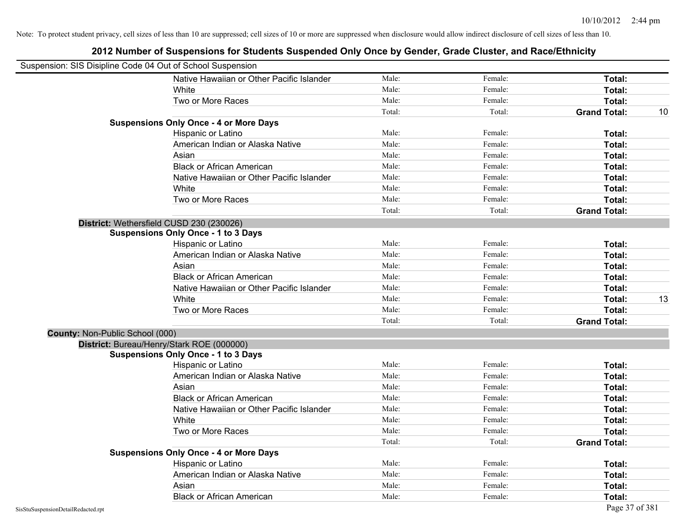| Suspension: SIS Disipline Code 04 Out of School Suspension |                                               |        |         |                     |    |
|------------------------------------------------------------|-----------------------------------------------|--------|---------|---------------------|----|
|                                                            | Native Hawaiian or Other Pacific Islander     | Male:  | Female: | Total:              |    |
|                                                            | White                                         | Male:  | Female: | <b>Total:</b>       |    |
|                                                            | Two or More Races                             | Male:  | Female: | Total:              |    |
|                                                            |                                               | Total: | Total:  | <b>Grand Total:</b> | 10 |
|                                                            | <b>Suspensions Only Once - 4 or More Days</b> |        |         |                     |    |
|                                                            | Hispanic or Latino                            | Male:  | Female: | Total:              |    |
|                                                            | American Indian or Alaska Native              | Male:  | Female: | Total:              |    |
|                                                            | Asian                                         | Male:  | Female: | Total:              |    |
|                                                            | <b>Black or African American</b>              | Male:  | Female: | Total:              |    |
|                                                            | Native Hawaiian or Other Pacific Islander     | Male:  | Female: | Total:              |    |
|                                                            | White                                         | Male:  | Female: | Total:              |    |
|                                                            | Two or More Races                             | Male:  | Female: | Total:              |    |
|                                                            |                                               | Total: | Total:  | <b>Grand Total:</b> |    |
|                                                            | District: Wethersfield CUSD 230 (230026)      |        |         |                     |    |
|                                                            | <b>Suspensions Only Once - 1 to 3 Days</b>    |        |         |                     |    |
|                                                            | Hispanic or Latino                            | Male:  | Female: | Total:              |    |
|                                                            | American Indian or Alaska Native              | Male:  | Female: | Total:              |    |
|                                                            | Asian                                         | Male:  | Female: | Total:              |    |
|                                                            | <b>Black or African American</b>              | Male:  | Female: | Total:              |    |
|                                                            | Native Hawaiian or Other Pacific Islander     | Male:  | Female: | Total:              |    |
|                                                            | White                                         | Male:  | Female: | Total:              | 13 |
|                                                            | Two or More Races                             | Male:  | Female: | Total:              |    |
|                                                            |                                               | Total: | Total:  | <b>Grand Total:</b> |    |
| County: Non-Public School (000)                            |                                               |        |         |                     |    |
|                                                            | District: Bureau/Henry/Stark ROE (000000)     |        |         |                     |    |
|                                                            | <b>Suspensions Only Once - 1 to 3 Days</b>    |        |         |                     |    |
|                                                            | Hispanic or Latino                            | Male:  | Female: | Total:              |    |
|                                                            | American Indian or Alaska Native              | Male:  | Female: | Total:              |    |
|                                                            | Asian                                         | Male:  | Female: | Total:              |    |
|                                                            | <b>Black or African American</b>              | Male:  | Female: | Total:              |    |
|                                                            | Native Hawaiian or Other Pacific Islander     | Male:  | Female: | Total:              |    |
|                                                            | White                                         | Male:  | Female: | Total:              |    |
|                                                            | Two or More Races                             | Male:  | Female: | Total:              |    |
|                                                            |                                               | Total: | Total:  | <b>Grand Total:</b> |    |
|                                                            | <b>Suspensions Only Once - 4 or More Days</b> |        |         |                     |    |
|                                                            | Hispanic or Latino                            | Male:  | Female: | Total:              |    |
|                                                            | American Indian or Alaska Native              | Male:  | Female: | Total:              |    |
|                                                            | Asian                                         | Male:  | Female: | Total:              |    |
|                                                            | <b>Black or African American</b>              | Male:  | Female: | Total:              |    |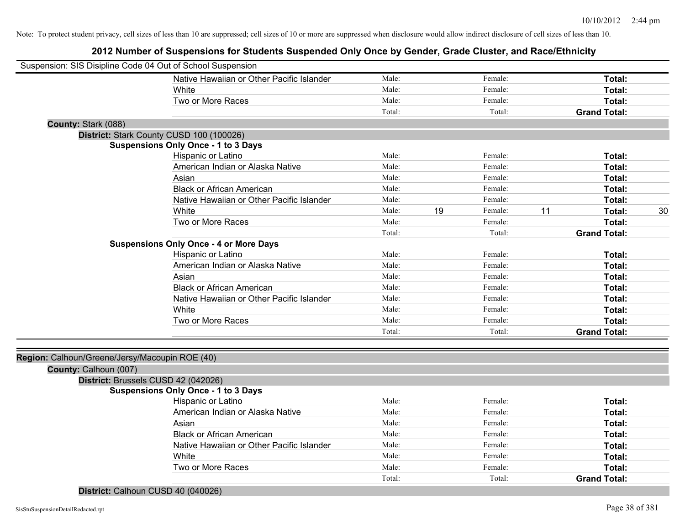### **2012 Number of Suspensions for Students Suspended Only Once by Gender, Grade Cluster, and Race/Ethnicity**

| Suspension: SIS Disipline Code 04 Out of School Suspension |                                               |        |    |         |    |                     |    |
|------------------------------------------------------------|-----------------------------------------------|--------|----|---------|----|---------------------|----|
|                                                            | Native Hawaiian or Other Pacific Islander     | Male:  |    | Female: |    | Total:              |    |
|                                                            | White                                         | Male:  |    | Female: |    | Total:              |    |
|                                                            | Two or More Races                             | Male:  |    | Female: |    | Total:              |    |
|                                                            |                                               | Total: |    | Total:  |    | <b>Grand Total:</b> |    |
| County: Stark (088)                                        |                                               |        |    |         |    |                     |    |
|                                                            | District: Stark County CUSD 100 (100026)      |        |    |         |    |                     |    |
|                                                            | <b>Suspensions Only Once - 1 to 3 Days</b>    |        |    |         |    |                     |    |
|                                                            | Hispanic or Latino                            | Male:  |    | Female: |    | Total:              |    |
|                                                            | American Indian or Alaska Native              | Male:  |    | Female: |    | <b>Total:</b>       |    |
|                                                            | Asian                                         | Male:  |    | Female: |    | Total:              |    |
|                                                            | <b>Black or African American</b>              | Male:  |    | Female: |    | Total:              |    |
|                                                            | Native Hawaiian or Other Pacific Islander     | Male:  |    | Female: |    | Total:              |    |
|                                                            | White                                         | Male:  | 19 | Female: | 11 | Total:              | 30 |
|                                                            | Two or More Races                             | Male:  |    | Female: |    | Total:              |    |
|                                                            |                                               | Total: |    | Total:  |    | <b>Grand Total:</b> |    |
|                                                            | <b>Suspensions Only Once - 4 or More Days</b> |        |    |         |    |                     |    |
|                                                            | Hispanic or Latino                            | Male:  |    | Female: |    | Total:              |    |
|                                                            | American Indian or Alaska Native              | Male:  |    | Female: |    | Total:              |    |
|                                                            | Asian                                         | Male:  |    | Female: |    | Total:              |    |
|                                                            | <b>Black or African American</b>              | Male:  |    | Female: |    | Total:              |    |
|                                                            | Native Hawaiian or Other Pacific Islander     | Male:  |    | Female: |    | Total:              |    |
|                                                            | White                                         | Male:  |    | Female: |    | <b>Total:</b>       |    |
|                                                            | Two or More Races                             | Male:  |    | Female: |    | Total:              |    |
|                                                            |                                               | Total: |    | Total:  |    | <b>Grand Total:</b> |    |
|                                                            |                                               |        |    |         |    |                     |    |
| Region: Calhoun/Greene/Jersy/Macoupin ROE (40)             |                                               |        |    |         |    |                     |    |
| County: Calhoun (007)                                      |                                               |        |    |         |    |                     |    |
| District: Brussels CUSD 42 (042026)                        |                                               |        |    |         |    |                     |    |
|                                                            | <b>Suspensions Only Once - 1 to 3 Days</b>    |        |    |         |    |                     |    |
|                                                            | Hispanic or Latino                            | Male:  |    | Female: |    | Total:              |    |
|                                                            | American Indian or Alaska Native              | Male:  |    | Female: |    | Total:              |    |
|                                                            | Asian                                         | Male:  |    | Female: |    | Total:              |    |
|                                                            | <b>Black or African American</b>              | Male:  |    | Female: |    | Total:              |    |
|                                                            | Native Hawaiian or Other Pacific Islander     | Male:  |    | Female: |    | Total:              |    |
|                                                            | White                                         | Male:  |    | Female: |    | Total:              |    |
|                                                            | Two or More Races                             | Male:  |    | Female: |    | Total:              |    |
|                                                            |                                               | Total: |    | Total:  |    | <b>Grand Total:</b> |    |

#### **District:** Calhoun CUSD 40 (040026)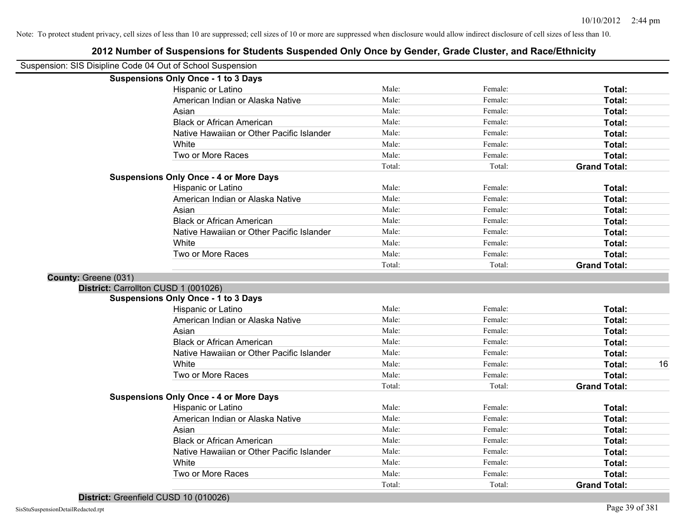## **2012 Number of Suspensions for Students Suspended Only Once by Gender, Grade Cluster, and Race/Ethnicity** Note: To protect student privacy, cell sizes of less than 10 are suppressed; cell sizes of 10 or more are suppressed when disclosure would allow indirect disclosure of cell sizes of less than 10. Suspension: SIS Disipline Code 04 Out of School Suspension **Suspensions Only Once - 1 to 3 Days** Hispanic or Latino **Finally Hispanic or Latino** *Total:* Male: Female: **Female: Total: Total:** Female: **Total:** American Indian or Alaska Native **Male:** Male: Female: Female: **Total:** Total: Asian **Female:** Total: Male: Female: **Total:** Total: Total: Total: Total: Total: Total: Total: Total: Total: Total: Total: Total: Total: Total: Total: Total: Total: Total: Total: Total: Total: Total: Total: Total: Total: T Black or African American **Figure 1.1 and Total:** Male: Female: Female: **Total:** Total: Native Hawaiian or Other Pacific Islander Male: **Male:** Female: Female: **Total:** Total: White **Total:** Male: Female: **Total:** Female: **Total:** Total: Two or More Races **Total:** Total: Male: Female: Female: **Total:** Female: **Total:** Total: Total: Total: Total: **Grand Total: Suspensions Only Once - 4 or More Days** Hispanic or Latino **Finally Contract Contract Contract Contract Contract Contract Contract Contract Contract Contract Contract Contract Contract Contract Contract Contract Contract Contract Contract Contract Contract Contr** American Indian or Alaska Native **Male:** Male: Female: Female: **Total:** Total: Asian **Female:** Total: Male: Female: **Total:** Total: Total: Total: Total: Total: Total: Total: Total: Total: Total: Total: Total: Total: Total: Total: Total: Total: Total: Total: Total: Total: Total: Total: Total: Total: T Black or African American **Figure 1.1 and Total:** Male: Female: Female: **Total:** Total: Native Hawaiian or Other Pacific Islander **Male:** Male: Female: Female: **Total:** Total: White **Total:** Male: Female: **Total:** Female: **Total:** Total: Two or More Races **Total:** Total: Male: Female: Female: **Total:** Total: Total: Total: Total: **Grand Total: County:** Greene (031) **District:** Carrollton CUSD 1 (001026) **Suspensions Only Once - 1 to 3 Days** Hispanic or Latino **Finally Hispanic or Latino** *Total:* Male: Female: **Female: Total: Total: Total: Female: Total: Total: Female: Total: Total: Total: Total: Total: Total: Total: Total: T** American Indian or Alaska Native **Male:** Male: Female: Female: **Total:** Total: Asian **Asian Male:** Total: Male: Female: **Total: Total:** Total: Total: Total: Total: Total: Total: Total: Total: Total: Total: Total: Total: Total: Total: Total: Total: Total: Total: Total: Total: Total: Total: Total: Tota Black or African American **Figure 1.1 and Total:** Male: Female: Female: **Total: Total:** Total: Native Hawaiian or Other Pacific Islander **Male:** Male: Female: Female: **Total:** Total: White **Male:** Male: **Total: 16** Male: **Total: 16** Male: **Total: 16** Male: **Total: 16** Male: 16 Two or More Races **Total:** Total: Male: Female: Female: **Total:** Female: **Total:** Total: Total: Total: **Grand Total: Suspensions Only Once - 4 or More Days** Hispanic or Latino **Finally Hispanic or Latino** *Total:* Male: Female: **Female: Total: Total: Total: Female: Total: Total: Female: Total: Total: Total: Total: Total: Total: Total: Total: T** American Indian or Alaska Native **Male:** Male: Female: Female: **Total:** Total: Asian **Asian Male:** Total: Male: Female: **Total: Total:** Total: Total: Total: Total: Total: Total: Total: Total: Total: Total: Total: Total: Total: Total: Total: Total: Total: Total: Total: Total: Total: Total: Total: Tota

Black or African American **Figure 1.1 and Total:** Male: Female: Female: **Total:** Total: Native Hawaiian or Other Pacific Islander **Male:** Male: Female: Female: **Total:** Total: White **Total:** Male: Female: **Total:** Total: **Total:** Female: **Total:** Total: Two or More Races **Total:** Total: Male: Female: Female: **Total:** Female: **Total:** Total:

Total: Total: **Grand Total:**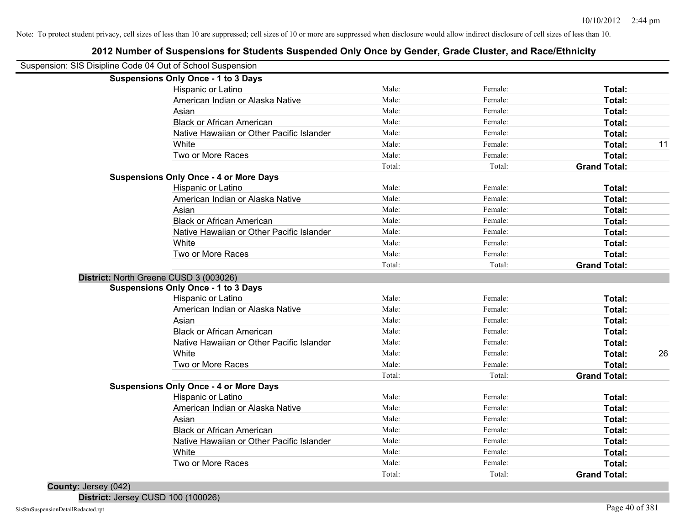# **2012 Number of Suspensions for Students Suspended Only Once by Gender, Grade Cluster, and Race/Ethnicity**

| Suspension: SIS Disipline Code 04 Out of School Suspension |                                           |        |         |                     |    |
|------------------------------------------------------------|-------------------------------------------|--------|---------|---------------------|----|
| <b>Suspensions Only Once - 1 to 3 Days</b>                 |                                           |        |         |                     |    |
| Hispanic or Latino                                         |                                           | Male:  | Female: | Total:              |    |
|                                                            | American Indian or Alaska Native          | Male:  | Female: | Total:              |    |
| Asian                                                      |                                           | Male:  | Female: | Total:              |    |
|                                                            | <b>Black or African American</b>          | Male:  | Female: | Total:              |    |
|                                                            | Native Hawaiian or Other Pacific Islander | Male:  | Female: | Total:              |    |
| White                                                      |                                           | Male:  | Female: | Total:              | 11 |
| Two or More Races                                          |                                           | Male:  | Female: | <b>Total:</b>       |    |
|                                                            |                                           | Total: | Total:  | <b>Grand Total:</b> |    |
| <b>Suspensions Only Once - 4 or More Days</b>              |                                           |        |         |                     |    |
| Hispanic or Latino                                         |                                           | Male:  | Female: | Total:              |    |
|                                                            | American Indian or Alaska Native          | Male:  | Female: | Total:              |    |
| Asian                                                      |                                           | Male:  | Female: | Total:              |    |
|                                                            | <b>Black or African American</b>          | Male:  | Female: | Total:              |    |
|                                                            | Native Hawaiian or Other Pacific Islander | Male:  | Female: | Total:              |    |
| White                                                      |                                           | Male:  | Female: | Total:              |    |
| Two or More Races                                          |                                           | Male:  | Female: | Total:              |    |
|                                                            |                                           | Total: | Total:  | <b>Grand Total:</b> |    |
| District: North Greene CUSD 3 (003026)                     |                                           |        |         |                     |    |
| <b>Suspensions Only Once - 1 to 3 Days</b>                 |                                           |        |         |                     |    |
| Hispanic or Latino                                         |                                           | Male:  | Female: | Total:              |    |
|                                                            | American Indian or Alaska Native          | Male:  | Female: | Total:              |    |
| Asian                                                      |                                           | Male:  | Female: | Total:              |    |
|                                                            | <b>Black or African American</b>          | Male:  | Female: | Total:              |    |
|                                                            | Native Hawaiian or Other Pacific Islander | Male:  | Female: | Total:              |    |
| White                                                      |                                           | Male:  | Female: | Total:              | 26 |
| Two or More Races                                          |                                           | Male:  | Female: | Total:              |    |
|                                                            |                                           | Total: | Total:  | <b>Grand Total:</b> |    |
| <b>Suspensions Only Once - 4 or More Days</b>              |                                           |        |         |                     |    |
| Hispanic or Latino                                         |                                           | Male:  | Female: | Total:              |    |
|                                                            | American Indian or Alaska Native          | Male:  | Female: | Total:              |    |
| Asian                                                      |                                           | Male:  | Female: | Total:              |    |
|                                                            | <b>Black or African American</b>          | Male:  | Female: | Total:              |    |
|                                                            | Native Hawaiian or Other Pacific Islander | Male:  | Female: | Total:              |    |
| White                                                      |                                           | Male:  | Female: | Total:              |    |
| Two or More Races                                          |                                           | Male:  | Female: | Total:              |    |
|                                                            |                                           | Total: | Total:  | <b>Grand Total:</b> |    |

**County:** Jersey (042)

**District:** Jersey CUSD 100 (100026)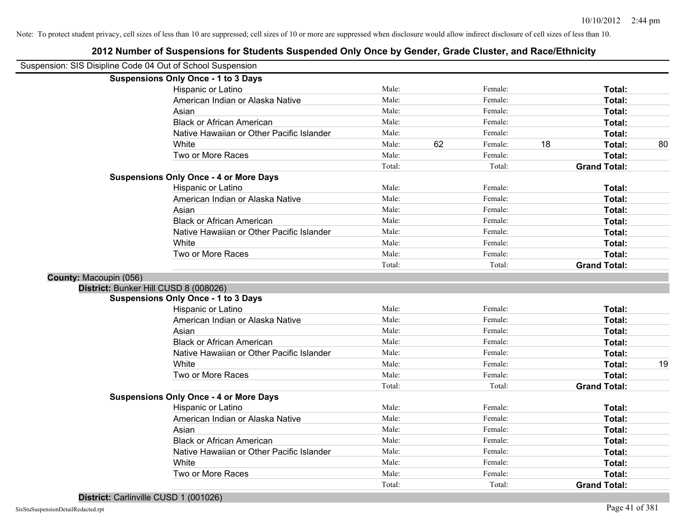### **2012 Number of Suspensions for Students Suspended Only Once by Gender, Grade Cluster, and Race/Ethnicity**

|                        | Suspension: SIS Disipline Code 04 Out of School Suspension |        |    |         |    |                     |    |
|------------------------|------------------------------------------------------------|--------|----|---------|----|---------------------|----|
|                        | <b>Suspensions Only Once - 1 to 3 Days</b>                 |        |    |         |    |                     |    |
|                        | Hispanic or Latino                                         | Male:  |    | Female: |    | Total:              |    |
|                        | American Indian or Alaska Native                           | Male:  |    | Female: |    | Total:              |    |
|                        | Asian                                                      | Male:  |    | Female: |    | Total:              |    |
|                        | <b>Black or African American</b>                           | Male:  |    | Female: |    | Total:              |    |
|                        | Native Hawaiian or Other Pacific Islander                  | Male:  |    | Female: |    | Total:              |    |
|                        | White                                                      | Male:  | 62 | Female: | 18 | Total:              | 80 |
|                        | Two or More Races                                          | Male:  |    | Female: |    | Total:              |    |
|                        |                                                            | Total: |    | Total:  |    | <b>Grand Total:</b> |    |
|                        | <b>Suspensions Only Once - 4 or More Days</b>              |        |    |         |    |                     |    |
|                        | Hispanic or Latino                                         | Male:  |    | Female: |    | Total:              |    |
|                        | American Indian or Alaska Native                           | Male:  |    | Female: |    | Total:              |    |
|                        | Asian                                                      | Male:  |    | Female: |    | Total:              |    |
|                        | <b>Black or African American</b>                           | Male:  |    | Female: |    | Total:              |    |
|                        | Native Hawaiian or Other Pacific Islander                  | Male:  |    | Female: |    | Total:              |    |
|                        | White                                                      | Male:  |    | Female: |    | Total:              |    |
|                        | Two or More Races                                          | Male:  |    | Female: |    | Total:              |    |
|                        |                                                            | Total: |    | Total:  |    | <b>Grand Total:</b> |    |
| County: Macoupin (056) |                                                            |        |    |         |    |                     |    |
|                        | District: Bunker Hill CUSD 8 (008026)                      |        |    |         |    |                     |    |
|                        | <b>Suspensions Only Once - 1 to 3 Days</b>                 |        |    |         |    |                     |    |
|                        | Hispanic or Latino                                         | Male:  |    | Female: |    | Total:              |    |
|                        | American Indian or Alaska Native                           | Male:  |    | Female: |    | Total:              |    |
|                        | Asian                                                      | Male:  |    | Female: |    | Total:              |    |
|                        | <b>Black or African American</b>                           | Male:  |    | Female: |    | Total:              |    |
|                        | Native Hawaiian or Other Pacific Islander                  | Male:  |    | Female: |    | Total:              |    |
|                        | White                                                      | Male:  |    | Female: |    | Total:              | 19 |
|                        | Two or More Races                                          | Male:  |    | Female: |    | Total:              |    |
|                        |                                                            | Total: |    | Total:  |    | <b>Grand Total:</b> |    |
|                        | <b>Suspensions Only Once - 4 or More Days</b>              |        |    |         |    |                     |    |
|                        | Hispanic or Latino                                         | Male:  |    | Female: |    | Total:              |    |
|                        | American Indian or Alaska Native                           | Male:  |    | Female: |    | Total:              |    |
|                        | Asian                                                      | Male:  |    | Female: |    | Total:              |    |
|                        | <b>Black or African American</b>                           | Male:  |    | Female: |    | Total:              |    |
|                        | Native Hawaiian or Other Pacific Islander                  | Male:  |    | Female: |    | Total:              |    |
|                        | White                                                      | Male:  |    | Female: |    | Total:              |    |
|                        | Two or More Races                                          | Male:  |    | Female: |    | Total:              |    |
|                        |                                                            | Total: |    | Total:  |    | <b>Grand Total:</b> |    |

**District:** Carlinville CUSD 1 (001026)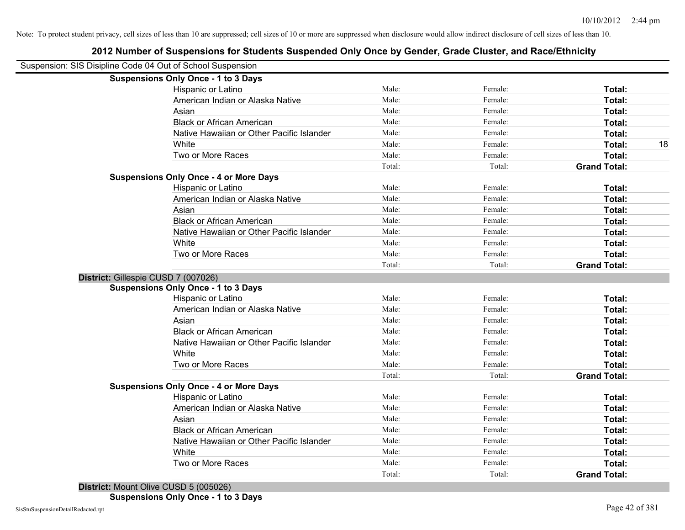Total: Total: **Grand Total:**

Total: Total: **Grand Total:**

Note: To protect student privacy, cell sizes of less than 10 are suppressed; cell sizes of 10 or more are suppressed when disclosure would allow indirect disclosure of cell sizes of less than 10.

## Suspension: SIS Disipline Code 04 Out of School Suspension **Suspensions Only Once - 1 to 3 Days** Hispanic or Latino **Finale:** Female: **Female:** Female: **Total:** Female: **Total:** Female: **Female:** Female: **Total:** Female: **Female:** Female: **Female:** Female: **Female:** Female: **Female:** Female: **Female:** Female: **Female:** American Indian or Alaska Native **Male:** Male: Female: Female: **Total:** Total: Asian **Female:** Total: Male: Female: **Total:** Total: Total: Total: Total: Total: Total: Total: Total: Total: Total: Total: Total: Total: Total: Total: Total: Total: Total: Total: Total: Total: Total: Total: Total: Total: T Black or African American **Figure 1.1 and Total:** Male: Female: Female: **Total:** Total: Native Hawaiian or Other Pacific Islander **Male:** Male: Female: Female: **Total:** Total: White **Male:** Male: **Total: 18** Male: **Total: 18** Male: **Total: 18** Two or More Races **Total:** Total: Male: Female: Female: **Total:** Total:

#### **2012 Number of Suspensions for Students Suspended Only Once by Gender, Grade Cluster, and Race/Ethnicity**

| Hispanic or Latino                            | Male:  | Female: | Total:              |
|-----------------------------------------------|--------|---------|---------------------|
| American Indian or Alaska Native              | Male:  | Female: | Total:              |
| Asian                                         | Male:  | Female: | Total:              |
| <b>Black or African American</b>              | Male:  | Female: | Total:              |
| Native Hawaiian or Other Pacific Islander     | Male:  | Female: | Total:              |
| White                                         | Male:  | Female: | Total:              |
| Two or More Races                             | Male:  | Female: | Total:              |
|                                               | Total: | Total:  | <b>Grand Total:</b> |
| District: Gillespie CUSD 7 (007026)           |        |         |                     |
| <b>Suspensions Only Once - 1 to 3 Days</b>    |        |         |                     |
| Hispanic or Latino                            | Male:  | Female: | Total:              |
| American Indian or Alaska Native              | Male:  | Female: | Total:              |
| Asian                                         | Male:  | Female: | Total:              |
| <b>Black or African American</b>              | Male:  | Female: | Total:              |
| Native Hawaiian or Other Pacific Islander     | Male:  | Female: | Total:              |
| White                                         | Male:  | Female: | Total:              |
| Two or More Races                             | Male:  | Female: | Total:              |
|                                               | Total: | Total:  | <b>Grand Total:</b> |
| <b>Suspensions Only Once - 4 or More Days</b> |        |         |                     |
| Hispanic or Latino                            | Male:  | Female: | Total:              |
| American Indian or Alaska Native              | Male:  | Female: | Total:              |
| Asian                                         | Male:  | Female: | Total:              |
| <b>Black or African American</b>              | Male:  | Female: | Total:              |
| Native Hawaiian or Other Pacific Islander     | Male:  | Female: | Total:              |

White **Total:** Male: Female: **Total:** Total: **Total:** Female: **Total:** Total: Two or More Races **Total:** Total: Male: Female: Female: Total: Total: Female: Total:

**Suspensions Only Once - 4 or More Days**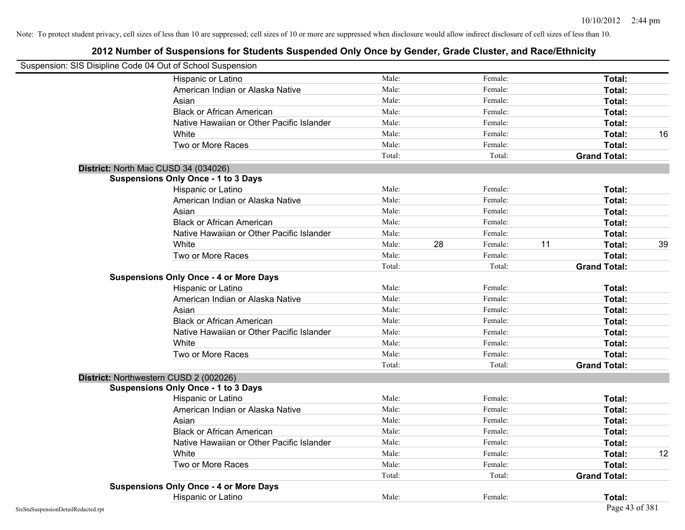| Suspension: SIS Disipline Code 04 Out of School Suspension |                                               |        |    |         |                     |    |
|------------------------------------------------------------|-----------------------------------------------|--------|----|---------|---------------------|----|
|                                                            | Hispanic or Latino                            | Male:  |    | Female: | Total:              |    |
|                                                            | American Indian or Alaska Native              | Male:  |    | Female: | Total:              |    |
|                                                            | Asian                                         | Male:  |    | Female: | Total:              |    |
|                                                            | <b>Black or African American</b>              | Male:  |    | Female: | Total:              |    |
|                                                            | Native Hawaiian or Other Pacific Islander     | Male:  |    | Female: | Total:              |    |
|                                                            | White                                         | Male:  |    | Female: | Total:              | 16 |
|                                                            | Two or More Races                             | Male:  |    | Female: | Total:              |    |
|                                                            |                                               | Total: |    | Total:  | <b>Grand Total:</b> |    |
| District: North Mac CUSD 34 (034026)                       |                                               |        |    |         |                     |    |
|                                                            | <b>Suspensions Only Once - 1 to 3 Days</b>    |        |    |         |                     |    |
|                                                            | Hispanic or Latino                            | Male:  |    | Female: | Total:              |    |
|                                                            | American Indian or Alaska Native              | Male:  |    | Female: | Total:              |    |
|                                                            | Asian                                         | Male:  |    | Female: | Total:              |    |
|                                                            | <b>Black or African American</b>              | Male:  |    | Female: | Total:              |    |
|                                                            | Native Hawaiian or Other Pacific Islander     | Male:  |    | Female: | Total:              |    |
|                                                            | White                                         | Male:  | 28 | Female: | 11<br>Total:        | 39 |
|                                                            | Two or More Races                             | Male:  |    | Female: | Total:              |    |
|                                                            |                                               | Total: |    | Total:  | <b>Grand Total:</b> |    |
|                                                            | <b>Suspensions Only Once - 4 or More Days</b> |        |    |         |                     |    |
|                                                            | Hispanic or Latino                            | Male:  |    | Female: | Total:              |    |
|                                                            | American Indian or Alaska Native              | Male:  |    | Female: | Total:              |    |
|                                                            | Asian                                         | Male:  |    | Female: | Total:              |    |
|                                                            | <b>Black or African American</b>              | Male:  |    | Female: | Total:              |    |
|                                                            | Native Hawaiian or Other Pacific Islander     | Male:  |    | Female: | Total:              |    |
|                                                            | White                                         | Male:  |    | Female: | Total:              |    |
|                                                            | Two or More Races                             | Male:  |    | Female: | Total:              |    |
|                                                            |                                               | Total: |    | Total:  | <b>Grand Total:</b> |    |
|                                                            | District: Northwestern CUSD 2 (002026)        |        |    |         |                     |    |
|                                                            | <b>Suspensions Only Once - 1 to 3 Days</b>    |        |    |         |                     |    |
|                                                            | Hispanic or Latino                            | Male:  |    | Female: | Total:              |    |
|                                                            | American Indian or Alaska Native              | Male:  |    | Female: | Total:              |    |
|                                                            | Asian                                         | Male:  |    | Female: | Total:              |    |
|                                                            | <b>Black or African American</b>              | Male:  |    | Female: | Total:              |    |
|                                                            | Native Hawaiian or Other Pacific Islander     | Male:  |    | Female: | Total:              |    |
|                                                            | White                                         | Male:  |    | Female: | Total:              | 12 |
|                                                            | Two or More Races                             | Male:  |    | Female: | Total:              |    |
|                                                            |                                               | Total: |    | Total:  | <b>Grand Total:</b> |    |
|                                                            | <b>Suspensions Only Once - 4 or More Days</b> |        |    |         |                     |    |
|                                                            | Hispanic or Latino                            | Male:  |    | Female: | Total:              |    |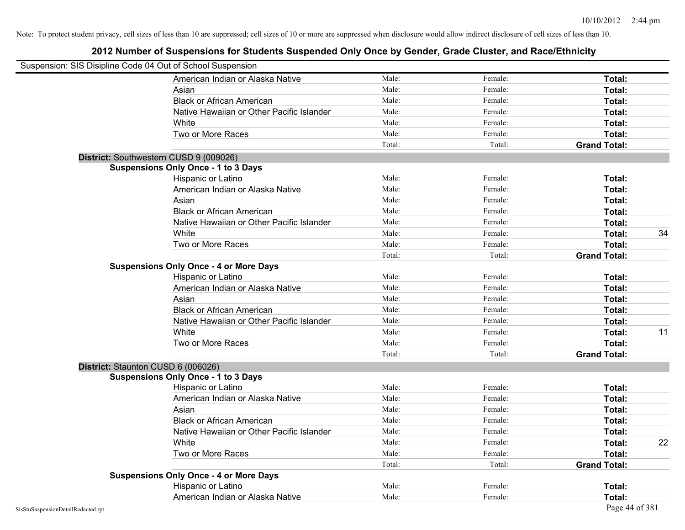| Suspension: SIS Disipline Code 04 Out of School Suspension |        |         |                     |    |
|------------------------------------------------------------|--------|---------|---------------------|----|
| American Indian or Alaska Native                           | Male:  | Female: | Total:              |    |
| Asian                                                      | Male:  | Female: | Total:              |    |
| <b>Black or African American</b>                           | Male:  | Female: | Total:              |    |
| Native Hawaiian or Other Pacific Islander                  | Male:  | Female: | Total:              |    |
| White                                                      | Male:  | Female: | Total:              |    |
| Two or More Races                                          | Male:  | Female: | Total:              |    |
|                                                            | Total: | Total:  | <b>Grand Total:</b> |    |
| District: Southwestern CUSD 9 (009026)                     |        |         |                     |    |
| <b>Suspensions Only Once - 1 to 3 Days</b>                 |        |         |                     |    |
| Hispanic or Latino                                         | Male:  | Female: | Total:              |    |
| American Indian or Alaska Native                           | Male:  | Female: | Total:              |    |
| Asian                                                      | Male:  | Female: | Total:              |    |
| <b>Black or African American</b>                           | Male:  | Female: | Total:              |    |
| Native Hawaiian or Other Pacific Islander                  | Male:  | Female: | Total:              |    |
| White                                                      | Male:  | Female: | Total:              | 34 |
| Two or More Races                                          | Male:  | Female: | Total:              |    |
|                                                            | Total: | Total:  | <b>Grand Total:</b> |    |
| <b>Suspensions Only Once - 4 or More Days</b>              |        |         |                     |    |
| Hispanic or Latino                                         | Male:  | Female: | Total:              |    |
| American Indian or Alaska Native                           | Male:  | Female: | Total:              |    |
| Asian                                                      | Male:  | Female: | Total:              |    |
| <b>Black or African American</b>                           | Male:  | Female: | Total:              |    |
| Native Hawaiian or Other Pacific Islander                  | Male:  | Female: | Total:              |    |
| White                                                      | Male:  | Female: | Total:              | 11 |
| Two or More Races                                          | Male:  | Female: | Total:              |    |
|                                                            | Total: | Total:  | <b>Grand Total:</b> |    |
| District: Staunton CUSD 6 (006026)                         |        |         |                     |    |
| <b>Suspensions Only Once - 1 to 3 Days</b>                 |        |         |                     |    |
| Hispanic or Latino                                         | Male:  | Female: | Total:              |    |
| American Indian or Alaska Native                           | Male:  | Female: | Total:              |    |
| Asian                                                      | Male:  | Female: | Total:              |    |
| <b>Black or African American</b>                           | Male:  | Female: | Total:              |    |
| Native Hawaiian or Other Pacific Islander                  | Male:  | Female: | Total:              |    |
| <b>White</b>                                               | Male:  | Female: | Total:              | 22 |
| Two or More Races                                          | Male:  | Female: | Total:              |    |
|                                                            | Total: | Total:  | <b>Grand Total:</b> |    |
| <b>Suspensions Only Once - 4 or More Days</b>              |        |         |                     |    |
| Hispanic or Latino                                         | Male:  | Female: | Total:              |    |
| American Indian or Alaska Native                           | Male:  | Female: | Total:              |    |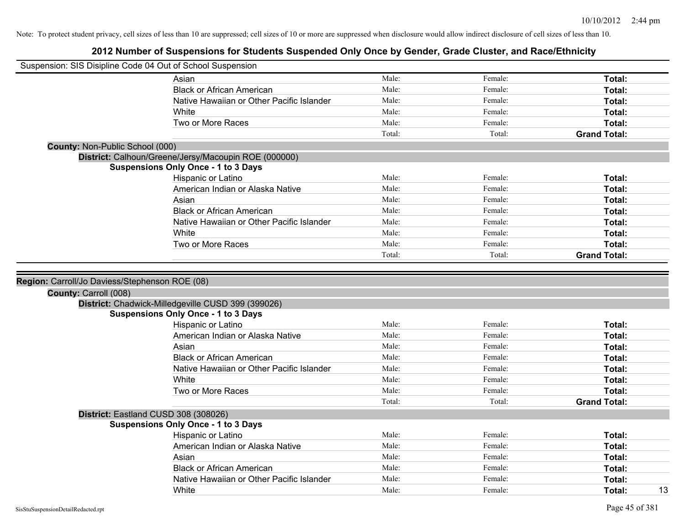|                                                | Suspension: SIS Disipline Code 04 Out of School Suspension |        |         |                     |
|------------------------------------------------|------------------------------------------------------------|--------|---------|---------------------|
|                                                | Asian                                                      | Male:  | Female: | Total:              |
|                                                | <b>Black or African American</b>                           | Male:  | Female: | Total:              |
|                                                | Native Hawaiian or Other Pacific Islander                  | Male:  | Female: | Total:              |
|                                                | <b>White</b>                                               | Male:  | Female: | Total:              |
|                                                | Two or More Races                                          | Male:  | Female: | Total:              |
|                                                |                                                            | Total: | Total:  | <b>Grand Total:</b> |
| <b>County: Non-Public School (000)</b>         |                                                            |        |         |                     |
|                                                | District: Calhoun/Greene/Jersy/Macoupin ROE (000000)       |        |         |                     |
|                                                | <b>Suspensions Only Once - 1 to 3 Days</b>                 |        |         |                     |
|                                                | Hispanic or Latino                                         | Male:  | Female: | Total:              |
|                                                | American Indian or Alaska Native                           | Male:  | Female: | Total:              |
|                                                | Asian                                                      | Male:  | Female: | Total:              |
|                                                | <b>Black or African American</b>                           | Male:  | Female: | Total:              |
|                                                | Native Hawaiian or Other Pacific Islander                  | Male:  | Female: | Total:              |
|                                                | White                                                      | Male:  | Female: | Total:              |
|                                                | Two or More Races                                          | Male:  | Female: | <b>Total:</b>       |
|                                                |                                                            | Total: | Total:  | <b>Grand Total:</b> |
| Region: Carroll/Jo Daviess/Stephenson ROE (08) |                                                            |        |         |                     |
|                                                |                                                            |        |         |                     |
| County: Carroll (008)                          | District: Chadwick-Milledgeville CUSD 399 (399026)         |        |         |                     |
|                                                | <b>Suspensions Only Once - 1 to 3 Days</b>                 |        |         |                     |
|                                                | Hispanic or Latino                                         | Male:  | Female: | Total:              |
|                                                | American Indian or Alaska Native                           | Male:  | Female: | Total:              |
|                                                | Asian                                                      | Male:  | Female: | Total:              |
|                                                | <b>Black or African American</b>                           | Male:  | Female: | Total:              |
|                                                | Native Hawaiian or Other Pacific Islander                  | Male:  | Female: | Total:              |
|                                                | White                                                      | Male:  | Female: | Total:              |
|                                                | Two or More Races                                          | Male:  | Female: | Total:              |
|                                                |                                                            | Total: | Total:  | <b>Grand Total:</b> |
|                                                | District: Eastland CUSD 308 (308026)                       |        |         |                     |
|                                                | <b>Suspensions Only Once - 1 to 3 Days</b>                 |        |         |                     |
|                                                | Hispanic or Latino                                         | Male:  | Female: | Total:              |
|                                                | American Indian or Alaska Native                           | Male:  | Female: | Total:              |
|                                                | Asian                                                      | Male:  | Female: | Total:              |
|                                                | <b>Black or African American</b>                           | Male:  | Female: | Total:              |
|                                                | Native Hawaiian or Other Pacific Islander                  | Male:  | Female: | Total:              |
|                                                | White                                                      | Male:  | Female: | Total:              |
|                                                |                                                            |        |         |                     |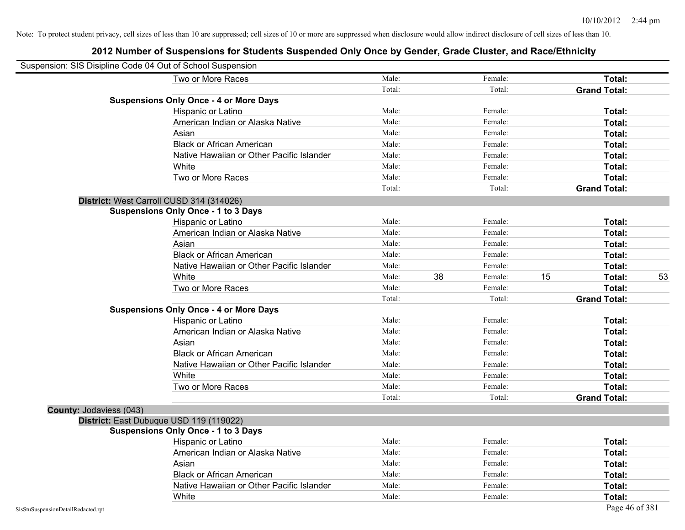| Suspension: SIS Disipline Code 04 Out of School Suspension |                                               |        |    |         |    |                     |    |
|------------------------------------------------------------|-----------------------------------------------|--------|----|---------|----|---------------------|----|
|                                                            | Two or More Races                             | Male:  |    | Female: |    | Total:              |    |
|                                                            |                                               | Total: |    | Total:  |    | <b>Grand Total:</b> |    |
|                                                            | <b>Suspensions Only Once - 4 or More Days</b> |        |    |         |    |                     |    |
|                                                            | Hispanic or Latino                            | Male:  |    | Female: |    | Total:              |    |
|                                                            | American Indian or Alaska Native              | Male:  |    | Female: |    | Total:              |    |
|                                                            | Asian                                         | Male:  |    | Female: |    | Total:              |    |
|                                                            | <b>Black or African American</b>              | Male:  |    | Female: |    | Total:              |    |
|                                                            | Native Hawaiian or Other Pacific Islander     | Male:  |    | Female: |    | Total:              |    |
|                                                            | White                                         | Male:  |    | Female: |    | Total:              |    |
|                                                            | Two or More Races                             | Male:  |    | Female: |    | Total:              |    |
|                                                            |                                               | Total: |    | Total:  |    | <b>Grand Total:</b> |    |
|                                                            | District: West Carroll CUSD 314 (314026)      |        |    |         |    |                     |    |
|                                                            | <b>Suspensions Only Once - 1 to 3 Days</b>    |        |    |         |    |                     |    |
|                                                            | Hispanic or Latino                            | Male:  |    | Female: |    | Total:              |    |
|                                                            | American Indian or Alaska Native              | Male:  |    | Female: |    | Total:              |    |
|                                                            | Asian                                         | Male:  |    | Female: |    | Total:              |    |
|                                                            | <b>Black or African American</b>              | Male:  |    | Female: |    | Total:              |    |
|                                                            | Native Hawaiian or Other Pacific Islander     | Male:  |    | Female: |    | Total:              |    |
|                                                            | White                                         | Male:  | 38 | Female: | 15 | Total:              | 53 |
|                                                            | Two or More Races                             | Male:  |    | Female: |    | Total:              |    |
|                                                            |                                               | Total: |    | Total:  |    | <b>Grand Total:</b> |    |
|                                                            | <b>Suspensions Only Once - 4 or More Days</b> |        |    |         |    |                     |    |
|                                                            | Hispanic or Latino                            | Male:  |    | Female: |    | Total:              |    |
|                                                            | American Indian or Alaska Native              | Male:  |    | Female: |    | Total:              |    |
|                                                            | Asian                                         | Male:  |    | Female: |    | Total:              |    |
|                                                            | <b>Black or African American</b>              | Male:  |    | Female: |    | Total:              |    |
|                                                            | Native Hawaiian or Other Pacific Islander     | Male:  |    | Female: |    | Total:              |    |
|                                                            | White                                         | Male:  |    | Female: |    | Total:              |    |
|                                                            | Two or More Races                             | Male:  |    | Female: |    | Total:              |    |
|                                                            |                                               | Total: |    | Total:  |    | <b>Grand Total:</b> |    |
| County: Jodaviess (043)                                    |                                               |        |    |         |    |                     |    |
|                                                            | District: East Dubuque USD 119 (119022)       |        |    |         |    |                     |    |
|                                                            | <b>Suspensions Only Once - 1 to 3 Days</b>    |        |    |         |    |                     |    |
|                                                            | Hispanic or Latino                            | Male:  |    | Female: |    | Total:              |    |
|                                                            | American Indian or Alaska Native              | Male:  |    | Female: |    | Total:              |    |
|                                                            | Asian                                         | Male:  |    | Female: |    | Total:              |    |
|                                                            | <b>Black or African American</b>              | Male:  |    | Female: |    | Total:              |    |
|                                                            | Native Hawaiian or Other Pacific Islander     | Male:  |    | Female: |    | Total:              |    |
|                                                            | White                                         | Male:  |    | Female: |    | Total:              |    |
| SisStuSuspensionDetailRedacted.rpt                         |                                               |        |    |         |    | Page 46 of 381      |    |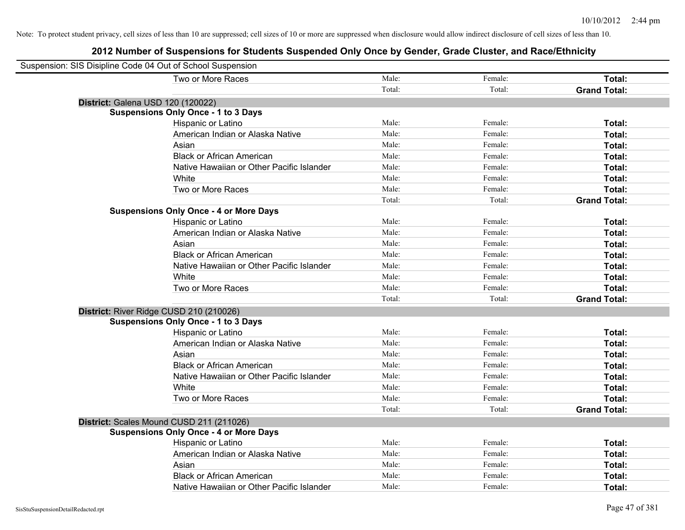| Suspension: SIS Disipline Code 04 Out of School Suspension |                                               |        |         |                     |
|------------------------------------------------------------|-----------------------------------------------|--------|---------|---------------------|
|                                                            | Two or More Races                             | Male:  | Female: | Total:              |
|                                                            |                                               | Total: | Total:  | <b>Grand Total:</b> |
| District: Galena USD 120 (120022)                          |                                               |        |         |                     |
|                                                            | <b>Suspensions Only Once - 1 to 3 Days</b>    |        |         |                     |
|                                                            | Hispanic or Latino                            | Male:  | Female: | Total:              |
|                                                            | American Indian or Alaska Native              | Male:  | Female: | Total:              |
|                                                            | Asian                                         | Male:  | Female: | Total:              |
|                                                            | <b>Black or African American</b>              | Male:  | Female: | Total:              |
|                                                            | Native Hawaiian or Other Pacific Islander     | Male:  | Female: | Total:              |
|                                                            | White                                         | Male:  | Female: | Total:              |
|                                                            | Two or More Races                             | Male:  | Female: | Total:              |
|                                                            |                                               | Total: | Total:  | <b>Grand Total:</b> |
|                                                            | <b>Suspensions Only Once - 4 or More Days</b> |        |         |                     |
|                                                            | Hispanic or Latino                            | Male:  | Female: | Total:              |
|                                                            | American Indian or Alaska Native              | Male:  | Female: | Total:              |
|                                                            | Asian                                         | Male:  | Female: | Total:              |
|                                                            | <b>Black or African American</b>              | Male:  | Female: | Total:              |
|                                                            | Native Hawaiian or Other Pacific Islander     | Male:  | Female: | Total:              |
|                                                            | White                                         | Male:  | Female: | Total:              |
|                                                            | Two or More Races                             | Male:  | Female: | Total:              |
|                                                            |                                               | Total: | Total:  | <b>Grand Total:</b> |
|                                                            | District: River Ridge CUSD 210 (210026)       |        |         |                     |
|                                                            | <b>Suspensions Only Once - 1 to 3 Days</b>    |        |         |                     |
|                                                            | Hispanic or Latino                            | Male:  | Female: | Total:              |
|                                                            | American Indian or Alaska Native              | Male:  | Female: | Total:              |
|                                                            | Asian                                         | Male:  | Female: | Total:              |
|                                                            | <b>Black or African American</b>              | Male:  | Female: | Total:              |
|                                                            | Native Hawaiian or Other Pacific Islander     | Male:  | Female: | Total:              |
|                                                            | White                                         | Male:  | Female: | Total:              |
|                                                            | Two or More Races                             | Male:  | Female: | Total:              |
|                                                            |                                               | Total: | Total:  | <b>Grand Total:</b> |
|                                                            | District: Scales Mound CUSD 211 (211026)      |        |         |                     |
|                                                            | <b>Suspensions Only Once - 4 or More Days</b> |        |         |                     |
|                                                            | Hispanic or Latino                            | Male:  | Female: | Total:              |
|                                                            | American Indian or Alaska Native              | Male:  | Female: | Total:              |
|                                                            | Asian                                         | Male:  | Female: | Total:              |
|                                                            | <b>Black or African American</b>              | Male:  | Female: | Total:              |
|                                                            | Native Hawaiian or Other Pacific Islander     | Male:  | Female: | Total:              |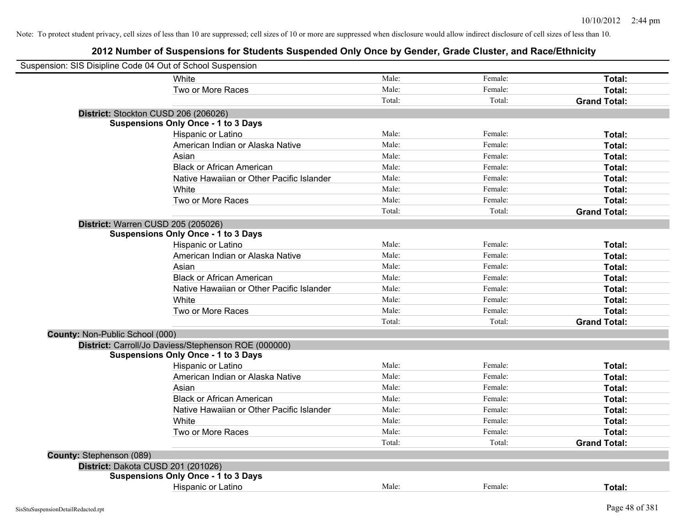| Suspension: SIS Disipline Code 04 Out of School Suspension |                                                      |        |         |                     |
|------------------------------------------------------------|------------------------------------------------------|--------|---------|---------------------|
|                                                            | White                                                | Male:  | Female: | Total:              |
|                                                            | Two or More Races                                    | Male:  | Female: | Total:              |
|                                                            |                                                      | Total: | Total:  | <b>Grand Total:</b> |
| District: Stockton CUSD 206 (206026)                       |                                                      |        |         |                     |
|                                                            | <b>Suspensions Only Once - 1 to 3 Days</b>           |        |         |                     |
|                                                            | Hispanic or Latino                                   | Male:  | Female: | Total:              |
|                                                            | American Indian or Alaska Native                     | Male:  | Female: | Total:              |
|                                                            | Asian                                                | Male:  | Female: | Total:              |
|                                                            | <b>Black or African American</b>                     | Male:  | Female: | Total:              |
|                                                            | Native Hawaiian or Other Pacific Islander            | Male:  | Female: | Total:              |
|                                                            | White                                                | Male:  | Female: | Total:              |
|                                                            | Two or More Races                                    | Male:  | Female: | Total:              |
|                                                            |                                                      | Total: | Total:  | <b>Grand Total:</b> |
| District: Warren CUSD 205 (205026)                         |                                                      |        |         |                     |
|                                                            | <b>Suspensions Only Once - 1 to 3 Days</b>           |        |         |                     |
|                                                            | Hispanic or Latino                                   | Male:  | Female: | Total:              |
|                                                            | American Indian or Alaska Native                     | Male:  | Female: | Total:              |
|                                                            | Asian                                                | Male:  | Female: | Total:              |
|                                                            | <b>Black or African American</b>                     | Male:  | Female: | Total:              |
|                                                            | Native Hawaiian or Other Pacific Islander            | Male:  | Female: | Total:              |
|                                                            | White                                                | Male:  | Female: | Total:              |
|                                                            | Two or More Races                                    | Male:  | Female: | Total:              |
|                                                            |                                                      | Total: | Total:  | <b>Grand Total:</b> |
| <b>County: Non-Public School (000)</b>                     |                                                      |        |         |                     |
|                                                            | District: Carroll/Jo Daviess/Stephenson ROE (000000) |        |         |                     |
|                                                            | <b>Suspensions Only Once - 1 to 3 Days</b>           |        |         |                     |
|                                                            | Hispanic or Latino                                   | Male:  | Female: | Total:              |
|                                                            | American Indian or Alaska Native                     | Male:  | Female: | Total:              |
|                                                            | Asian                                                | Male:  | Female: | Total:              |
|                                                            | <b>Black or African American</b>                     | Male:  | Female: | Total:              |
|                                                            | Native Hawaiian or Other Pacific Islander            | Male:  | Female: | Total:              |
|                                                            | White                                                | Male:  | Female: | Total:              |
|                                                            | Two or More Races                                    | Male:  | Female: | Total:              |
|                                                            |                                                      | Total: | Total:  | <b>Grand Total:</b> |
| <b>County: Stephenson (089)</b>                            |                                                      |        |         |                     |
| District: Dakota CUSD 201 (201026)                         |                                                      |        |         |                     |
|                                                            | <b>Suspensions Only Once - 1 to 3 Days</b>           |        |         |                     |
|                                                            | Hispanic or Latino                                   | Male:  | Female: | Total:              |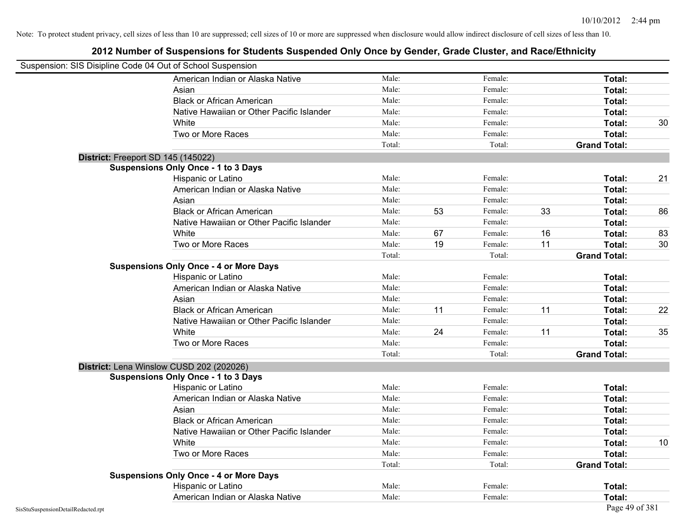|                                    | Suspension: SIS Disipline Code 04 Out of School Suspension |        |    |         |    |                     |    |
|------------------------------------|------------------------------------------------------------|--------|----|---------|----|---------------------|----|
|                                    | American Indian or Alaska Native                           | Male:  |    | Female: |    | <b>Total:</b>       |    |
|                                    | Asian                                                      | Male:  |    | Female: |    | Total:              |    |
|                                    | <b>Black or African American</b>                           | Male:  |    | Female: |    | Total:              |    |
|                                    | Native Hawaiian or Other Pacific Islander                  | Male:  |    | Female: |    | Total:              |    |
|                                    | White                                                      | Male:  |    | Female: |    | Total:              | 30 |
|                                    | Two or More Races                                          | Male:  |    | Female: |    | Total:              |    |
|                                    |                                                            | Total: |    | Total:  |    | <b>Grand Total:</b> |    |
|                                    | District: Freeport SD 145 (145022)                         |        |    |         |    |                     |    |
|                                    | <b>Suspensions Only Once - 1 to 3 Days</b>                 |        |    |         |    |                     |    |
|                                    | Hispanic or Latino                                         | Male:  |    | Female: |    | Total:              | 21 |
|                                    | American Indian or Alaska Native                           | Male:  |    | Female: |    | Total:              |    |
|                                    | Asian                                                      | Male:  |    | Female: |    | Total:              |    |
|                                    | <b>Black or African American</b>                           | Male:  | 53 | Female: | 33 | Total:              | 86 |
|                                    | Native Hawaiian or Other Pacific Islander                  | Male:  |    | Female: |    | Total:              |    |
|                                    | White                                                      | Male:  | 67 | Female: | 16 | Total:              | 83 |
|                                    | Two or More Races                                          | Male:  | 19 | Female: | 11 | Total:              | 30 |
|                                    |                                                            | Total: |    | Total:  |    | <b>Grand Total:</b> |    |
|                                    | <b>Suspensions Only Once - 4 or More Days</b>              |        |    |         |    |                     |    |
|                                    | Hispanic or Latino                                         | Male:  |    | Female: |    | Total:              |    |
|                                    | American Indian or Alaska Native                           | Male:  |    | Female: |    | Total:              |    |
|                                    | Asian                                                      | Male:  |    | Female: |    | Total:              |    |
|                                    | <b>Black or African American</b>                           | Male:  | 11 | Female: | 11 | Total:              | 22 |
|                                    | Native Hawaiian or Other Pacific Islander                  | Male:  |    | Female: |    | Total:              |    |
|                                    | White                                                      | Male:  | 24 | Female: | 11 | Total:              | 35 |
|                                    | Two or More Races                                          | Male:  |    | Female: |    | Total:              |    |
|                                    |                                                            | Total: |    | Total:  |    | <b>Grand Total:</b> |    |
|                                    | District: Lena Winslow CUSD 202 (202026)                   |        |    |         |    |                     |    |
|                                    | <b>Suspensions Only Once - 1 to 3 Days</b>                 |        |    |         |    |                     |    |
|                                    | Hispanic or Latino                                         | Male:  |    | Female: |    | Total:              |    |
|                                    | American Indian or Alaska Native                           | Male:  |    | Female: |    | Total:              |    |
|                                    | Asian                                                      | Male:  |    | Female: |    | Total:              |    |
|                                    | <b>Black or African American</b>                           | Male:  |    | Female: |    | Total:              |    |
|                                    | Native Hawaiian or Other Pacific Islander                  | Male:  |    | Female: |    | Total:              |    |
|                                    | White                                                      | Male:  |    | Female: |    | Total:              | 10 |
|                                    | Two or More Races                                          | Male:  |    | Female: |    | Total:              |    |
|                                    |                                                            | Total: |    | Total:  |    | <b>Grand Total:</b> |    |
|                                    | <b>Suspensions Only Once - 4 or More Days</b>              |        |    |         |    |                     |    |
|                                    | Hispanic or Latino                                         | Male:  |    | Female: |    | Total:              |    |
|                                    | American Indian or Alaska Native                           | Male:  |    | Female: |    | Total:              |    |
| SisStuSuspensionDetailRedacted.rpt |                                                            |        |    |         |    | Page 49 of 381      |    |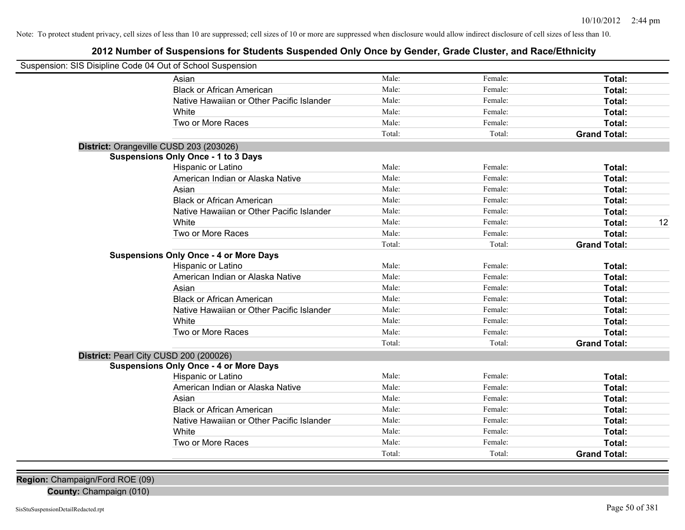### **2012 Number of Suspensions for Students Suspended Only Once by Gender, Grade Cluster, and Race/Ethnicity**

| Suspension: SIS Disipline Code 04 Out of School Suspension |        |         |                     |    |
|------------------------------------------------------------|--------|---------|---------------------|----|
| Asian                                                      | Male:  | Female: | Total:              |    |
| <b>Black or African American</b>                           | Male:  | Female: | Total:              |    |
| Native Hawaiian or Other Pacific Islander                  | Male:  | Female: | Total:              |    |
| White                                                      | Male:  | Female: | Total:              |    |
| Two or More Races                                          | Male:  | Female: | Total:              |    |
|                                                            | Total: | Total:  | <b>Grand Total:</b> |    |
| District: Orangeville CUSD 203 (203026)                    |        |         |                     |    |
| <b>Suspensions Only Once - 1 to 3 Days</b>                 |        |         |                     |    |
| Hispanic or Latino                                         | Male:  | Female: | Total:              |    |
| American Indian or Alaska Native                           | Male:  | Female: | Total:              |    |
| Asian                                                      | Male:  | Female: | Total:              |    |
| <b>Black or African American</b>                           | Male:  | Female: | Total:              |    |
| Native Hawaiian or Other Pacific Islander                  | Male:  | Female: | Total:              |    |
| White                                                      | Male:  | Female: | Total:              | 12 |
| Two or More Races                                          | Male:  | Female: | Total:              |    |
|                                                            | Total: | Total:  | <b>Grand Total:</b> |    |
| <b>Suspensions Only Once - 4 or More Days</b>              |        |         |                     |    |
| Hispanic or Latino                                         | Male:  | Female: | Total:              |    |
| American Indian or Alaska Native                           | Male:  | Female: | Total:              |    |
| Asian                                                      | Male:  | Female: | Total:              |    |
| <b>Black or African American</b>                           | Male:  | Female: | Total:              |    |
| Native Hawaiian or Other Pacific Islander                  | Male:  | Female: | Total:              |    |
| White                                                      | Male:  | Female: | Total:              |    |
| Two or More Races                                          | Male:  | Female: | Total:              |    |
|                                                            | Total: | Total:  | <b>Grand Total:</b> |    |
| District: Pearl City CUSD 200 (200026)                     |        |         |                     |    |
| <b>Suspensions Only Once - 4 or More Days</b>              |        |         |                     |    |
| Hispanic or Latino                                         | Male:  | Female: | Total:              |    |
| American Indian or Alaska Native                           | Male:  | Female: | Total:              |    |
| Asian                                                      | Male:  | Female: | Total:              |    |
| <b>Black or African American</b>                           | Male:  | Female: | Total:              |    |
| Native Hawaiian or Other Pacific Islander                  | Male:  | Female: | Total:              |    |
| White                                                      | Male:  | Female: | Total:              |    |
| Two or More Races                                          | Male:  | Female: | Total:              |    |
|                                                            | Total: | Total:  | <b>Grand Total:</b> |    |

**Region:** Champaign/Ford ROE (09)

**County:** Champaign (010)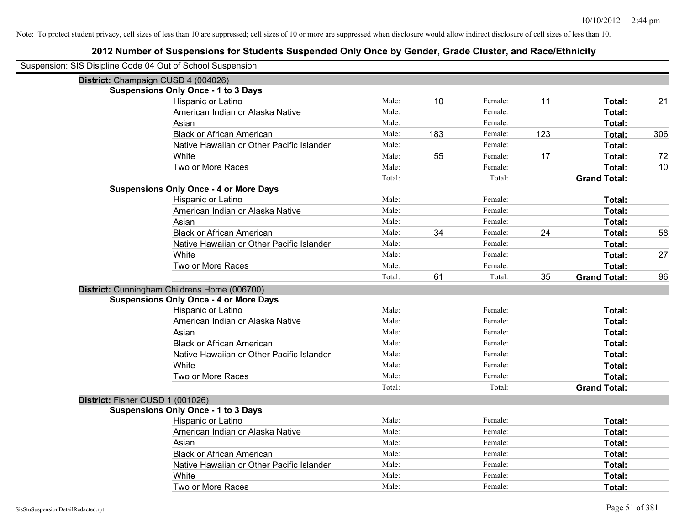| Suspension: SIS Disipline Code 04 Out of School Suspension |                                               |        |     |         |     |                     |     |
|------------------------------------------------------------|-----------------------------------------------|--------|-----|---------|-----|---------------------|-----|
| District: Champaign CUSD 4 (004026)                        |                                               |        |     |         |     |                     |     |
|                                                            | <b>Suspensions Only Once - 1 to 3 Days</b>    |        |     |         |     |                     |     |
|                                                            | Hispanic or Latino                            | Male:  | 10  | Female: | 11  | Total:              | 21  |
|                                                            | American Indian or Alaska Native              | Male:  |     | Female: |     | Total:              |     |
|                                                            | Asian                                         | Male:  |     | Female: |     | Total:              |     |
|                                                            | <b>Black or African American</b>              | Male:  | 183 | Female: | 123 | Total:              | 306 |
|                                                            | Native Hawaiian or Other Pacific Islander     | Male:  |     | Female: |     | Total:              |     |
|                                                            | White                                         | Male:  | 55  | Female: | 17  | Total:              | 72  |
|                                                            | Two or More Races                             | Male:  |     | Female: |     | Total:              | 10  |
|                                                            |                                               | Total: |     | Total:  |     | <b>Grand Total:</b> |     |
|                                                            | <b>Suspensions Only Once - 4 or More Days</b> |        |     |         |     |                     |     |
|                                                            | Hispanic or Latino                            | Male:  |     | Female: |     | Total:              |     |
|                                                            | American Indian or Alaska Native              | Male:  |     | Female: |     | Total:              |     |
|                                                            | Asian                                         | Male:  |     | Female: |     | Total:              |     |
|                                                            | <b>Black or African American</b>              | Male:  | 34  | Female: | 24  | Total:              | 58  |
|                                                            | Native Hawaiian or Other Pacific Islander     | Male:  |     | Female: |     | Total:              |     |
|                                                            | White                                         | Male:  |     | Female: |     | Total:              | 27  |
|                                                            | Two or More Races                             | Male:  |     | Female: |     | Total:              |     |
|                                                            |                                               | Total: | 61  | Total:  | 35  | <b>Grand Total:</b> | 96  |
|                                                            | District: Cunningham Childrens Home (006700)  |        |     |         |     |                     |     |
|                                                            | <b>Suspensions Only Once - 4 or More Days</b> |        |     |         |     |                     |     |
|                                                            | Hispanic or Latino                            | Male:  |     | Female: |     | Total:              |     |
|                                                            | American Indian or Alaska Native              | Male:  |     | Female: |     | Total:              |     |
|                                                            | Asian                                         | Male:  |     | Female: |     | Total:              |     |
|                                                            | <b>Black or African American</b>              | Male:  |     | Female: |     | Total:              |     |
|                                                            | Native Hawaiian or Other Pacific Islander     | Male:  |     | Female: |     | Total:              |     |
|                                                            | White                                         | Male:  |     | Female: |     | Total:              |     |
|                                                            | Two or More Races                             | Male:  |     | Female: |     | Total:              |     |
|                                                            |                                               | Total: |     | Total:  |     | <b>Grand Total:</b> |     |
| District: Fisher CUSD 1 (001026)                           |                                               |        |     |         |     |                     |     |
|                                                            | <b>Suspensions Only Once - 1 to 3 Days</b>    |        |     |         |     |                     |     |
|                                                            | Hispanic or Latino                            | Male:  |     | Female: |     | Total:              |     |
|                                                            | American Indian or Alaska Native              | Male:  |     | Female: |     | Total:              |     |
|                                                            | Asian                                         | Male:  |     | Female: |     | Total:              |     |
|                                                            | <b>Black or African American</b>              | Male:  |     | Female: |     | Total:              |     |
|                                                            | Native Hawaiian or Other Pacific Islander     | Male:  |     | Female: |     | Total:              |     |
|                                                            | White                                         | Male:  |     | Female: |     | Total:              |     |
|                                                            | Two or More Races                             | Male:  |     | Female: |     | Total:              |     |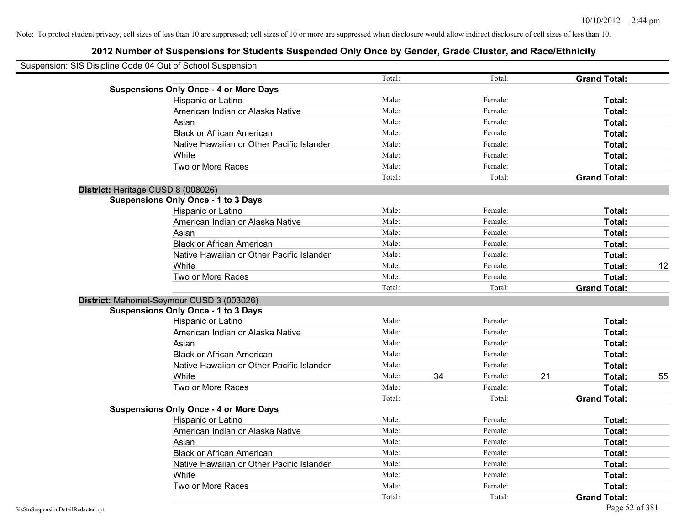| Suspension: SIS Disipline Code 04 Out of School Suspension |        |    |         |    |                     |    |
|------------------------------------------------------------|--------|----|---------|----|---------------------|----|
|                                                            | Total: |    | Total:  |    | <b>Grand Total:</b> |    |
| <b>Suspensions Only Once - 4 or More Days</b>              |        |    |         |    |                     |    |
| Hispanic or Latino                                         | Male:  |    | Female: |    | Total:              |    |
| American Indian or Alaska Native                           | Male:  |    | Female: |    | Total:              |    |
| Asian                                                      | Male:  |    | Female: |    | Total:              |    |
| <b>Black or African American</b>                           | Male:  |    | Female: |    | Total:              |    |
| Native Hawaiian or Other Pacific Islander                  | Male:  |    | Female: |    | Total:              |    |
| White                                                      | Male:  |    | Female: |    | Total:              |    |
| Two or More Races                                          | Male:  |    | Female: |    | Total:              |    |
|                                                            | Total: |    | Total:  |    | <b>Grand Total:</b> |    |
| District: Heritage CUSD 8 (008026)                         |        |    |         |    |                     |    |
| <b>Suspensions Only Once - 1 to 3 Days</b>                 |        |    |         |    |                     |    |
| Hispanic or Latino                                         | Male:  |    | Female: |    | Total:              |    |
| American Indian or Alaska Native                           | Male:  |    | Female: |    | Total:              |    |
| Asian                                                      | Male:  |    | Female: |    | Total:              |    |
| <b>Black or African American</b>                           | Male:  |    | Female: |    | Total:              |    |
| Native Hawaiian or Other Pacific Islander                  | Male:  |    | Female: |    | Total:              |    |
| White                                                      | Male:  |    | Female: |    | Total:              | 12 |
| Two or More Races                                          | Male:  |    | Female: |    | Total:              |    |
|                                                            | Total: |    | Total:  |    | <b>Grand Total:</b> |    |
| District: Mahomet-Seymour CUSD 3 (003026)                  |        |    |         |    |                     |    |
| <b>Suspensions Only Once - 1 to 3 Days</b>                 |        |    |         |    |                     |    |
| Hispanic or Latino                                         | Male:  |    | Female: |    | Total:              |    |
| American Indian or Alaska Native                           | Male:  |    | Female: |    | Total:              |    |
| Asian                                                      | Male:  |    | Female: |    | Total:              |    |
| <b>Black or African American</b>                           | Male:  |    | Female: |    | Total:              |    |
| Native Hawaiian or Other Pacific Islander                  | Male:  |    | Female: |    | Total:              |    |
| White                                                      | Male:  | 34 | Female: | 21 | Total:              | 55 |
| Two or More Races                                          | Male:  |    | Female: |    | Total:              |    |
|                                                            | Total: |    | Total:  |    | <b>Grand Total:</b> |    |
| <b>Suspensions Only Once - 4 or More Days</b>              |        |    |         |    |                     |    |
| Hispanic or Latino                                         | Male:  |    | Female: |    | Total:              |    |
| American Indian or Alaska Native                           | Male:  |    | Female: |    | Total:              |    |
| Asian                                                      | Male:  |    | Female: |    | Total:              |    |
| <b>Black or African American</b>                           | Male:  |    | Female: |    | Total:              |    |
| Native Hawaiian or Other Pacific Islander                  | Male:  |    | Female: |    | Total:              |    |
| White                                                      | Male:  |    | Female: |    | Total:              |    |
| Two or More Races                                          | Male:  |    | Female: |    | <b>Total:</b>       |    |
|                                                            | Total: |    | Total:  |    | <b>Grand Total:</b> |    |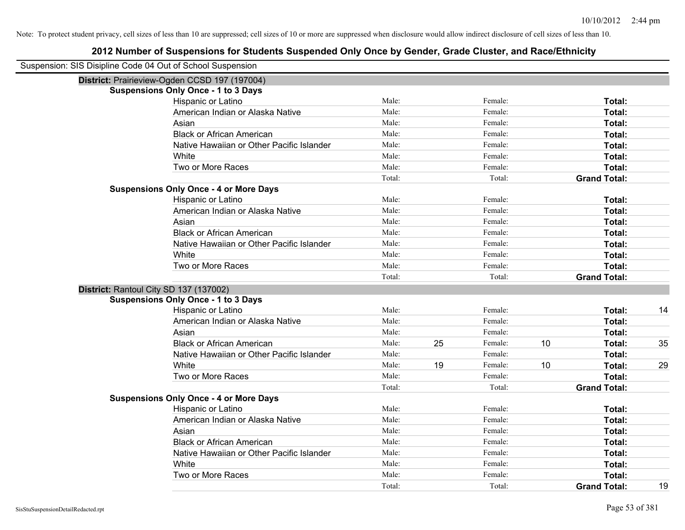| Suspension: SIS Disipline Code 04 Out of School Suspension |                                               |        |    |         |    |                     |    |
|------------------------------------------------------------|-----------------------------------------------|--------|----|---------|----|---------------------|----|
|                                                            | District: Prairieview-Ogden CCSD 197 (197004) |        |    |         |    |                     |    |
|                                                            | <b>Suspensions Only Once - 1 to 3 Days</b>    |        |    |         |    |                     |    |
|                                                            | Hispanic or Latino                            | Male:  |    | Female: |    | Total:              |    |
|                                                            | American Indian or Alaska Native              | Male:  |    | Female: |    | Total:              |    |
|                                                            | Asian                                         | Male:  |    | Female: |    | Total:              |    |
|                                                            | <b>Black or African American</b>              | Male:  |    | Female: |    | Total:              |    |
|                                                            | Native Hawaiian or Other Pacific Islander     | Male:  |    | Female: |    | Total:              |    |
|                                                            | White                                         | Male:  |    | Female: |    | Total:              |    |
|                                                            | Two or More Races                             | Male:  |    | Female: |    | Total:              |    |
|                                                            |                                               | Total: |    | Total:  |    | <b>Grand Total:</b> |    |
|                                                            | <b>Suspensions Only Once - 4 or More Days</b> |        |    |         |    |                     |    |
|                                                            | Hispanic or Latino                            | Male:  |    | Female: |    | Total:              |    |
|                                                            | American Indian or Alaska Native              | Male:  |    | Female: |    | Total:              |    |
|                                                            | Asian                                         | Male:  |    | Female: |    | Total:              |    |
|                                                            | <b>Black or African American</b>              | Male:  |    | Female: |    | Total:              |    |
|                                                            | Native Hawaiian or Other Pacific Islander     | Male:  |    | Female: |    | Total:              |    |
|                                                            | White                                         | Male:  |    | Female: |    | Total:              |    |
|                                                            | Two or More Races                             | Male:  |    | Female: |    | Total:              |    |
|                                                            |                                               | Total: |    | Total:  |    | <b>Grand Total:</b> |    |
|                                                            | District: Rantoul City SD 137 (137002)        |        |    |         |    |                     |    |
|                                                            | <b>Suspensions Only Once - 1 to 3 Days</b>    |        |    |         |    |                     |    |
|                                                            | Hispanic or Latino                            | Male:  |    | Female: |    | Total:              | 14 |
|                                                            | American Indian or Alaska Native              | Male:  |    | Female: |    | Total:              |    |
|                                                            | Asian                                         | Male:  |    | Female: |    | Total:              |    |
|                                                            | <b>Black or African American</b>              | Male:  | 25 | Female: | 10 | Total:              | 35 |
|                                                            | Native Hawaiian or Other Pacific Islander     | Male:  |    | Female: |    | Total:              |    |
|                                                            | White                                         | Male:  | 19 | Female: | 10 | Total:              | 29 |
|                                                            | Two or More Races                             | Male:  |    | Female: |    | Total:              |    |
|                                                            |                                               | Total: |    | Total:  |    | <b>Grand Total:</b> |    |
|                                                            | <b>Suspensions Only Once - 4 or More Days</b> |        |    |         |    |                     |    |
|                                                            | Hispanic or Latino                            | Male:  |    | Female: |    | Total:              |    |
|                                                            | American Indian or Alaska Native              | Male:  |    | Female: |    | Total:              |    |
|                                                            | Asian                                         | Male:  |    | Female: |    | Total:              |    |
|                                                            | <b>Black or African American</b>              | Male:  |    | Female: |    | Total:              |    |
|                                                            | Native Hawaiian or Other Pacific Islander     | Male:  |    | Female: |    | Total:              |    |
|                                                            | White                                         | Male:  |    | Female: |    | Total:              |    |
|                                                            | Two or More Races                             | Male:  |    | Female: |    | Total:              |    |
|                                                            |                                               | Total: |    | Total:  |    | <b>Grand Total:</b> | 19 |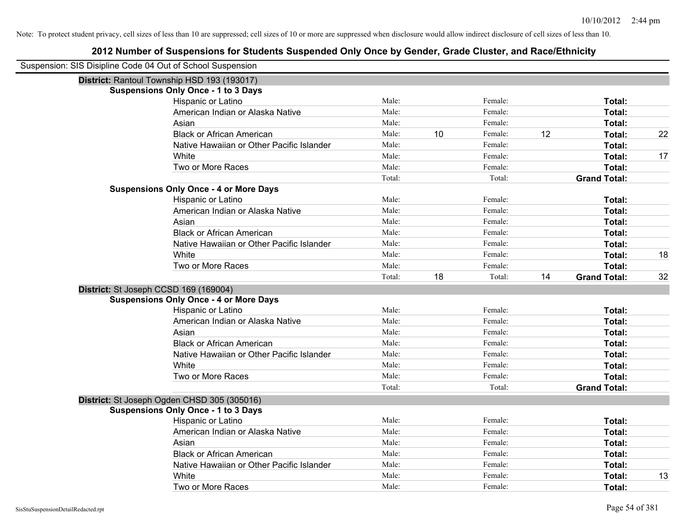| Suspension: SIS Disipline Code 04 Out of School Suspension |                                               |        |    |         |    |                     |    |
|------------------------------------------------------------|-----------------------------------------------|--------|----|---------|----|---------------------|----|
|                                                            | District: Rantoul Township HSD 193 (193017)   |        |    |         |    |                     |    |
|                                                            | <b>Suspensions Only Once - 1 to 3 Days</b>    |        |    |         |    |                     |    |
|                                                            | Hispanic or Latino                            | Male:  |    | Female: |    | Total:              |    |
|                                                            | American Indian or Alaska Native              | Male:  |    | Female: |    | Total:              |    |
|                                                            | Asian                                         | Male:  |    | Female: |    | Total:              |    |
|                                                            | <b>Black or African American</b>              | Male:  | 10 | Female: | 12 | Total:              | 22 |
|                                                            | Native Hawaiian or Other Pacific Islander     | Male:  |    | Female: |    | Total:              |    |
|                                                            | White                                         | Male:  |    | Female: |    | Total:              | 17 |
|                                                            | Two or More Races                             | Male:  |    | Female: |    | Total:              |    |
|                                                            |                                               | Total: |    | Total:  |    | <b>Grand Total:</b> |    |
|                                                            | <b>Suspensions Only Once - 4 or More Days</b> |        |    |         |    |                     |    |
|                                                            | Hispanic or Latino                            | Male:  |    | Female: |    | Total:              |    |
|                                                            | American Indian or Alaska Native              | Male:  |    | Female: |    | Total:              |    |
|                                                            | Asian                                         | Male:  |    | Female: |    | Total:              |    |
|                                                            | <b>Black or African American</b>              | Male:  |    | Female: |    | Total:              |    |
|                                                            | Native Hawaiian or Other Pacific Islander     | Male:  |    | Female: |    | Total:              |    |
|                                                            | White                                         | Male:  |    | Female: |    | Total:              | 18 |
|                                                            | Two or More Races                             | Male:  |    | Female: |    | Total:              |    |
|                                                            |                                               | Total: | 18 | Total:  | 14 | <b>Grand Total:</b> | 32 |
|                                                            | District: St Joseph CCSD 169 (169004)         |        |    |         |    |                     |    |
|                                                            | <b>Suspensions Only Once - 4 or More Days</b> |        |    |         |    |                     |    |
|                                                            | Hispanic or Latino                            | Male:  |    | Female: |    | Total:              |    |
|                                                            | American Indian or Alaska Native              | Male:  |    | Female: |    | Total:              |    |
|                                                            | Asian                                         | Male:  |    | Female: |    | Total:              |    |
|                                                            | <b>Black or African American</b>              | Male:  |    | Female: |    | Total:              |    |
|                                                            | Native Hawaiian or Other Pacific Islander     | Male:  |    | Female: |    | Total:              |    |
|                                                            | White                                         | Male:  |    | Female: |    | Total:              |    |
|                                                            | Two or More Races                             | Male:  |    | Female: |    | Total:              |    |
|                                                            |                                               | Total: |    | Total:  |    | <b>Grand Total:</b> |    |
|                                                            | District: St Joseph Ogden CHSD 305 (305016)   |        |    |         |    |                     |    |
|                                                            | <b>Suspensions Only Once - 1 to 3 Days</b>    |        |    |         |    |                     |    |
|                                                            | Hispanic or Latino                            | Male:  |    | Female: |    | Total:              |    |
|                                                            | American Indian or Alaska Native              | Male:  |    | Female: |    | Total:              |    |
|                                                            | Asian                                         | Male:  |    | Female: |    | Total:              |    |
|                                                            | <b>Black or African American</b>              | Male:  |    | Female: |    | Total:              |    |
|                                                            | Native Hawaiian or Other Pacific Islander     | Male:  |    | Female: |    | Total:              |    |
|                                                            | White                                         | Male:  |    | Female: |    | Total:              | 13 |
|                                                            | Two or More Races                             | Male:  |    | Female: |    | Total:              |    |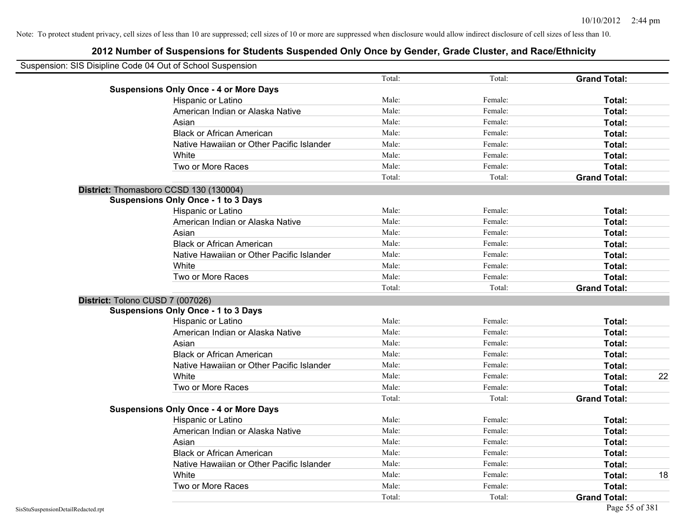| Suspension: SIS Disipline Code 04 Out of School Suspension |                                               |        |         |                     |
|------------------------------------------------------------|-----------------------------------------------|--------|---------|---------------------|
|                                                            |                                               | Total: | Total:  | <b>Grand Total:</b> |
|                                                            | <b>Suspensions Only Once - 4 or More Days</b> |        |         |                     |
|                                                            | Hispanic or Latino                            | Male:  | Female: | Total:              |
|                                                            | American Indian or Alaska Native              | Male:  | Female: | Total:              |
|                                                            | Asian                                         | Male:  | Female: | Total:              |
|                                                            | <b>Black or African American</b>              | Male:  | Female: | Total:              |
|                                                            | Native Hawaiian or Other Pacific Islander     | Male:  | Female: | Total:              |
|                                                            | White                                         | Male:  | Female: | Total:              |
|                                                            | Two or More Races                             | Male:  | Female: | Total:              |
|                                                            |                                               | Total: | Total:  | <b>Grand Total:</b> |
|                                                            | District: Thomasboro CCSD 130 (130004)        |        |         |                     |
|                                                            | <b>Suspensions Only Once - 1 to 3 Days</b>    |        |         |                     |
|                                                            | Hispanic or Latino                            | Male:  | Female: | Total:              |
|                                                            | American Indian or Alaska Native              | Male:  | Female: | Total:              |
|                                                            | Asian                                         | Male:  | Female: | Total:              |
|                                                            | <b>Black or African American</b>              | Male:  | Female: | Total:              |
|                                                            | Native Hawaiian or Other Pacific Islander     | Male:  | Female: | Total:              |
|                                                            | White                                         | Male:  | Female: | Total:              |
|                                                            | Two or More Races                             | Male:  | Female: | Total:              |
|                                                            |                                               | Total: | Total:  | <b>Grand Total:</b> |
| District: Tolono CUSD 7 (007026)                           |                                               |        |         |                     |
|                                                            | <b>Suspensions Only Once - 1 to 3 Days</b>    |        |         |                     |
|                                                            | Hispanic or Latino                            | Male:  | Female: | Total:              |
|                                                            | American Indian or Alaska Native              | Male:  | Female: | Total:              |
|                                                            | Asian                                         | Male:  | Female: | Total:              |
|                                                            | <b>Black or African American</b>              | Male:  | Female: | Total:              |
|                                                            | Native Hawaiian or Other Pacific Islander     | Male:  | Female: | Total:              |
|                                                            | White                                         | Male:  | Female: | 22<br>Total:        |
|                                                            | Two or More Races                             | Male:  | Female: | Total:              |
|                                                            |                                               | Total: | Total:  | <b>Grand Total:</b> |
|                                                            | <b>Suspensions Only Once - 4 or More Days</b> |        |         |                     |
|                                                            | Hispanic or Latino                            | Male:  | Female: | Total:              |
|                                                            | American Indian or Alaska Native              | Male:  | Female: | Total:              |
|                                                            | Asian                                         | Male:  | Female: | Total:              |
|                                                            | <b>Black or African American</b>              | Male:  | Female: | Total:              |
|                                                            | Native Hawaiian or Other Pacific Islander     | Male:  | Female: | Total:              |
|                                                            | White                                         | Male:  | Female: | 18<br>Total:        |
|                                                            | Two or More Races                             | Male:  | Female: | <b>Total:</b>       |
|                                                            |                                               | Total: | Total:  | <b>Grand Total:</b> |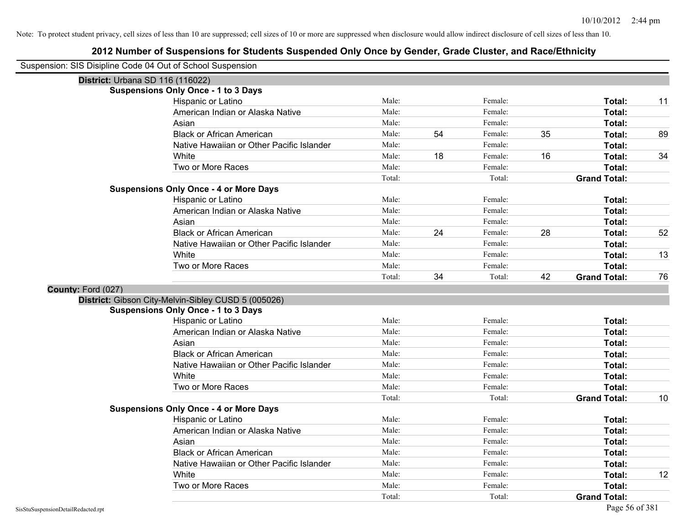| Suspension: SIS Disipline Code 04 Out of School Suspension |                                                     |        |    |         |    |                     |    |
|------------------------------------------------------------|-----------------------------------------------------|--------|----|---------|----|---------------------|----|
| District: Urbana SD 116 (116022)                           |                                                     |        |    |         |    |                     |    |
|                                                            | <b>Suspensions Only Once - 1 to 3 Days</b>          |        |    |         |    |                     |    |
|                                                            | Hispanic or Latino                                  | Male:  |    | Female: |    | Total:              | 11 |
|                                                            | American Indian or Alaska Native                    | Male:  |    | Female: |    | Total:              |    |
|                                                            | Asian                                               | Male:  |    | Female: |    | Total:              |    |
|                                                            | <b>Black or African American</b>                    | Male:  | 54 | Female: | 35 | Total:              | 89 |
|                                                            | Native Hawaiian or Other Pacific Islander           | Male:  |    | Female: |    | Total:              |    |
|                                                            | White                                               | Male:  | 18 | Female: | 16 | Total:              | 34 |
|                                                            | Two or More Races                                   | Male:  |    | Female: |    | Total:              |    |
|                                                            |                                                     | Total: |    | Total:  |    | <b>Grand Total:</b> |    |
|                                                            | <b>Suspensions Only Once - 4 or More Days</b>       |        |    |         |    |                     |    |
|                                                            | Hispanic or Latino                                  | Male:  |    | Female: |    | Total:              |    |
|                                                            | American Indian or Alaska Native                    | Male:  |    | Female: |    | Total:              |    |
|                                                            | Asian                                               | Male:  |    | Female: |    | Total:              |    |
|                                                            | <b>Black or African American</b>                    | Male:  | 24 | Female: | 28 | Total:              | 52 |
|                                                            | Native Hawaiian or Other Pacific Islander           | Male:  |    | Female: |    | Total:              |    |
|                                                            | White                                               | Male:  |    | Female: |    | Total:              | 13 |
|                                                            | Two or More Races                                   | Male:  |    | Female: |    | Total:              |    |
|                                                            |                                                     | Total: | 34 | Total:  | 42 | <b>Grand Total:</b> | 76 |
| County: Ford (027)                                         |                                                     |        |    |         |    |                     |    |
|                                                            | District: Gibson City-Melvin-Sibley CUSD 5 (005026) |        |    |         |    |                     |    |
|                                                            | <b>Suspensions Only Once - 1 to 3 Days</b>          |        |    |         |    |                     |    |
|                                                            | Hispanic or Latino                                  | Male:  |    | Female: |    | Total:              |    |
|                                                            | American Indian or Alaska Native                    | Male:  |    | Female: |    | Total:              |    |
|                                                            | Asian                                               | Male:  |    | Female: |    | Total:              |    |
|                                                            | <b>Black or African American</b>                    | Male:  |    | Female: |    | Total:              |    |
|                                                            | Native Hawaiian or Other Pacific Islander           | Male:  |    | Female: |    | Total:              |    |
|                                                            | White                                               | Male:  |    | Female: |    | Total:              |    |
|                                                            | Two or More Races                                   | Male:  |    | Female: |    | Total:              |    |
|                                                            |                                                     | Total: |    | Total:  |    | <b>Grand Total:</b> | 10 |
|                                                            | <b>Suspensions Only Once - 4 or More Days</b>       |        |    |         |    |                     |    |
|                                                            | Hispanic or Latino                                  | Male:  |    | Female: |    | Total:              |    |
|                                                            | American Indian or Alaska Native                    | Male:  |    | Female: |    | Total:              |    |
|                                                            | Asian                                               | Male:  |    | Female: |    | Total:              |    |
|                                                            | <b>Black or African American</b>                    | Male:  |    | Female: |    | Total:              |    |
|                                                            | Native Hawaiian or Other Pacific Islander           | Male:  |    | Female: |    | Total:              |    |
|                                                            | White                                               | Male:  |    | Female: |    | Total:              | 12 |
|                                                            | Two or More Races                                   | Male:  |    | Female: |    | <b>Total:</b>       |    |
|                                                            |                                                     | Total: |    | Total:  |    | <b>Grand Total:</b> |    |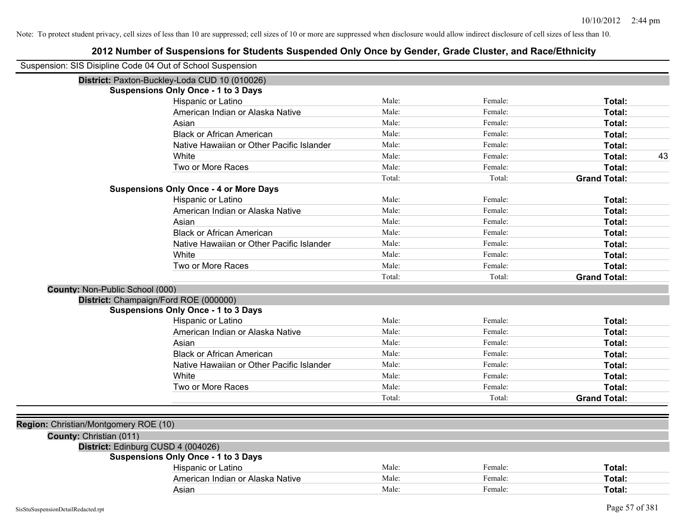| District: Paxton-Buckley-Loda CUD 10 (010026)<br><b>Suspensions Only Once - 1 to 3 Days</b><br>Hispanic or Latino<br>Male:<br>Female:<br>Total:<br>American Indian or Alaska Native<br>Male:<br>Female:<br><b>Total:</b><br>Male:<br>Female:<br>Asian<br>Total:<br><b>Black or African American</b><br>Male:<br>Female:<br>Total:<br>Native Hawaiian or Other Pacific Islander<br>Male:<br>Female:<br>Total:<br>White<br>Male:<br>Female:<br>Total:<br>Two or More Races<br>Male:<br>Female:<br>Total:<br>Total:<br>Total:<br><b>Grand Total:</b><br><b>Suspensions Only Once - 4 or More Days</b><br>Hispanic or Latino<br>Male:<br>Female:<br>Total:<br>American Indian or Alaska Native<br>Male:<br>Female:<br>Total:<br>Male:<br>Female:<br>Asian<br>Total:<br><b>Black or African American</b><br>Male:<br>Female:<br>Total:<br>Native Hawaiian or Other Pacific Islander<br>Male:<br>Female:<br>Total:<br>White<br>Male:<br>Female:<br>Total:<br>Two or More Races<br>Male:<br>Female:<br>Total:<br>Total:<br>Total:<br><b>Grand Total:</b><br>County: Non-Public School (000)<br>District: Champaign/Ford ROE (000000)<br><b>Suspensions Only Once - 1 to 3 Days</b><br>Hispanic or Latino<br>Male:<br>Female:<br>Total:<br>American Indian or Alaska Native<br>Male:<br>Female:<br>Total:<br>Male:<br>Asian<br>Female:<br>Total:<br><b>Black or African American</b><br>Male:<br>Female:<br>Total:<br>Native Hawaiian or Other Pacific Islander<br>Male:<br>Female:<br>Total:<br>White<br>Male:<br>Female:<br>Total:<br>Two or More Races<br>Male:<br>Female:<br>Total:<br>Total:<br>Total:<br><b>Grand Total:</b><br>Region: Christian/Montgomery ROE (10)<br>County: Christian (011)<br>District: Edinburg CUSD 4 (004026)<br><b>Suspensions Only Once - 1 to 3 Days</b><br>Hispanic or Latino<br>Male:<br>Female:<br>Total:<br>Male:<br>American Indian or Alaska Native<br>Female:<br>Total:<br>Female: | Suspension: SIS Disipline Code 04 Out of School Suspension |       |       |        |
|---------------------------------------------------------------------------------------------------------------------------------------------------------------------------------------------------------------------------------------------------------------------------------------------------------------------------------------------------------------------------------------------------------------------------------------------------------------------------------------------------------------------------------------------------------------------------------------------------------------------------------------------------------------------------------------------------------------------------------------------------------------------------------------------------------------------------------------------------------------------------------------------------------------------------------------------------------------------------------------------------------------------------------------------------------------------------------------------------------------------------------------------------------------------------------------------------------------------------------------------------------------------------------------------------------------------------------------------------------------------------------------------------------------------------------------------------------------------------------------------------------------------------------------------------------------------------------------------------------------------------------------------------------------------------------------------------------------------------------------------------------------------------------------------------------------------------------------------------------------------------------------------------------------------|------------------------------------------------------------|-------|-------|--------|
| 43                                                                                                                                                                                                                                                                                                                                                                                                                                                                                                                                                                                                                                                                                                                                                                                                                                                                                                                                                                                                                                                                                                                                                                                                                                                                                                                                                                                                                                                                                                                                                                                                                                                                                                                                                                                                                                                                                                                  |                                                            |       |       |        |
|                                                                                                                                                                                                                                                                                                                                                                                                                                                                                                                                                                                                                                                                                                                                                                                                                                                                                                                                                                                                                                                                                                                                                                                                                                                                                                                                                                                                                                                                                                                                                                                                                                                                                                                                                                                                                                                                                                                     |                                                            |       |       |        |
|                                                                                                                                                                                                                                                                                                                                                                                                                                                                                                                                                                                                                                                                                                                                                                                                                                                                                                                                                                                                                                                                                                                                                                                                                                                                                                                                                                                                                                                                                                                                                                                                                                                                                                                                                                                                                                                                                                                     |                                                            |       |       |        |
|                                                                                                                                                                                                                                                                                                                                                                                                                                                                                                                                                                                                                                                                                                                                                                                                                                                                                                                                                                                                                                                                                                                                                                                                                                                                                                                                                                                                                                                                                                                                                                                                                                                                                                                                                                                                                                                                                                                     |                                                            |       |       |        |
|                                                                                                                                                                                                                                                                                                                                                                                                                                                                                                                                                                                                                                                                                                                                                                                                                                                                                                                                                                                                                                                                                                                                                                                                                                                                                                                                                                                                                                                                                                                                                                                                                                                                                                                                                                                                                                                                                                                     |                                                            |       |       |        |
|                                                                                                                                                                                                                                                                                                                                                                                                                                                                                                                                                                                                                                                                                                                                                                                                                                                                                                                                                                                                                                                                                                                                                                                                                                                                                                                                                                                                                                                                                                                                                                                                                                                                                                                                                                                                                                                                                                                     |                                                            |       |       |        |
|                                                                                                                                                                                                                                                                                                                                                                                                                                                                                                                                                                                                                                                                                                                                                                                                                                                                                                                                                                                                                                                                                                                                                                                                                                                                                                                                                                                                                                                                                                                                                                                                                                                                                                                                                                                                                                                                                                                     |                                                            |       |       |        |
|                                                                                                                                                                                                                                                                                                                                                                                                                                                                                                                                                                                                                                                                                                                                                                                                                                                                                                                                                                                                                                                                                                                                                                                                                                                                                                                                                                                                                                                                                                                                                                                                                                                                                                                                                                                                                                                                                                                     |                                                            |       |       |        |
|                                                                                                                                                                                                                                                                                                                                                                                                                                                                                                                                                                                                                                                                                                                                                                                                                                                                                                                                                                                                                                                                                                                                                                                                                                                                                                                                                                                                                                                                                                                                                                                                                                                                                                                                                                                                                                                                                                                     |                                                            |       |       |        |
|                                                                                                                                                                                                                                                                                                                                                                                                                                                                                                                                                                                                                                                                                                                                                                                                                                                                                                                                                                                                                                                                                                                                                                                                                                                                                                                                                                                                                                                                                                                                                                                                                                                                                                                                                                                                                                                                                                                     |                                                            |       |       |        |
|                                                                                                                                                                                                                                                                                                                                                                                                                                                                                                                                                                                                                                                                                                                                                                                                                                                                                                                                                                                                                                                                                                                                                                                                                                                                                                                                                                                                                                                                                                                                                                                                                                                                                                                                                                                                                                                                                                                     |                                                            |       |       |        |
|                                                                                                                                                                                                                                                                                                                                                                                                                                                                                                                                                                                                                                                                                                                                                                                                                                                                                                                                                                                                                                                                                                                                                                                                                                                                                                                                                                                                                                                                                                                                                                                                                                                                                                                                                                                                                                                                                                                     |                                                            |       |       |        |
|                                                                                                                                                                                                                                                                                                                                                                                                                                                                                                                                                                                                                                                                                                                                                                                                                                                                                                                                                                                                                                                                                                                                                                                                                                                                                                                                                                                                                                                                                                                                                                                                                                                                                                                                                                                                                                                                                                                     |                                                            |       |       |        |
|                                                                                                                                                                                                                                                                                                                                                                                                                                                                                                                                                                                                                                                                                                                                                                                                                                                                                                                                                                                                                                                                                                                                                                                                                                                                                                                                                                                                                                                                                                                                                                                                                                                                                                                                                                                                                                                                                                                     |                                                            |       |       |        |
|                                                                                                                                                                                                                                                                                                                                                                                                                                                                                                                                                                                                                                                                                                                                                                                                                                                                                                                                                                                                                                                                                                                                                                                                                                                                                                                                                                                                                                                                                                                                                                                                                                                                                                                                                                                                                                                                                                                     |                                                            |       |       |        |
|                                                                                                                                                                                                                                                                                                                                                                                                                                                                                                                                                                                                                                                                                                                                                                                                                                                                                                                                                                                                                                                                                                                                                                                                                                                                                                                                                                                                                                                                                                                                                                                                                                                                                                                                                                                                                                                                                                                     |                                                            |       |       |        |
|                                                                                                                                                                                                                                                                                                                                                                                                                                                                                                                                                                                                                                                                                                                                                                                                                                                                                                                                                                                                                                                                                                                                                                                                                                                                                                                                                                                                                                                                                                                                                                                                                                                                                                                                                                                                                                                                                                                     |                                                            |       |       |        |
|                                                                                                                                                                                                                                                                                                                                                                                                                                                                                                                                                                                                                                                                                                                                                                                                                                                                                                                                                                                                                                                                                                                                                                                                                                                                                                                                                                                                                                                                                                                                                                                                                                                                                                                                                                                                                                                                                                                     |                                                            |       |       |        |
|                                                                                                                                                                                                                                                                                                                                                                                                                                                                                                                                                                                                                                                                                                                                                                                                                                                                                                                                                                                                                                                                                                                                                                                                                                                                                                                                                                                                                                                                                                                                                                                                                                                                                                                                                                                                                                                                                                                     |                                                            |       |       |        |
|                                                                                                                                                                                                                                                                                                                                                                                                                                                                                                                                                                                                                                                                                                                                                                                                                                                                                                                                                                                                                                                                                                                                                                                                                                                                                                                                                                                                                                                                                                                                                                                                                                                                                                                                                                                                                                                                                                                     |                                                            |       |       |        |
|                                                                                                                                                                                                                                                                                                                                                                                                                                                                                                                                                                                                                                                                                                                                                                                                                                                                                                                                                                                                                                                                                                                                                                                                                                                                                                                                                                                                                                                                                                                                                                                                                                                                                                                                                                                                                                                                                                                     |                                                            |       |       |        |
|                                                                                                                                                                                                                                                                                                                                                                                                                                                                                                                                                                                                                                                                                                                                                                                                                                                                                                                                                                                                                                                                                                                                                                                                                                                                                                                                                                                                                                                                                                                                                                                                                                                                                                                                                                                                                                                                                                                     |                                                            |       |       |        |
|                                                                                                                                                                                                                                                                                                                                                                                                                                                                                                                                                                                                                                                                                                                                                                                                                                                                                                                                                                                                                                                                                                                                                                                                                                                                                                                                                                                                                                                                                                                                                                                                                                                                                                                                                                                                                                                                                                                     |                                                            |       |       |        |
|                                                                                                                                                                                                                                                                                                                                                                                                                                                                                                                                                                                                                                                                                                                                                                                                                                                                                                                                                                                                                                                                                                                                                                                                                                                                                                                                                                                                                                                                                                                                                                                                                                                                                                                                                                                                                                                                                                                     |                                                            |       |       |        |
|                                                                                                                                                                                                                                                                                                                                                                                                                                                                                                                                                                                                                                                                                                                                                                                                                                                                                                                                                                                                                                                                                                                                                                                                                                                                                                                                                                                                                                                                                                                                                                                                                                                                                                                                                                                                                                                                                                                     |                                                            |       |       |        |
|                                                                                                                                                                                                                                                                                                                                                                                                                                                                                                                                                                                                                                                                                                                                                                                                                                                                                                                                                                                                                                                                                                                                                                                                                                                                                                                                                                                                                                                                                                                                                                                                                                                                                                                                                                                                                                                                                                                     |                                                            |       |       |        |
|                                                                                                                                                                                                                                                                                                                                                                                                                                                                                                                                                                                                                                                                                                                                                                                                                                                                                                                                                                                                                                                                                                                                                                                                                                                                                                                                                                                                                                                                                                                                                                                                                                                                                                                                                                                                                                                                                                                     |                                                            |       |       |        |
|                                                                                                                                                                                                                                                                                                                                                                                                                                                                                                                                                                                                                                                                                                                                                                                                                                                                                                                                                                                                                                                                                                                                                                                                                                                                                                                                                                                                                                                                                                                                                                                                                                                                                                                                                                                                                                                                                                                     |                                                            |       |       |        |
|                                                                                                                                                                                                                                                                                                                                                                                                                                                                                                                                                                                                                                                                                                                                                                                                                                                                                                                                                                                                                                                                                                                                                                                                                                                                                                                                                                                                                                                                                                                                                                                                                                                                                                                                                                                                                                                                                                                     |                                                            |       |       |        |
|                                                                                                                                                                                                                                                                                                                                                                                                                                                                                                                                                                                                                                                                                                                                                                                                                                                                                                                                                                                                                                                                                                                                                                                                                                                                                                                                                                                                                                                                                                                                                                                                                                                                                                                                                                                                                                                                                                                     |                                                            |       |       |        |
|                                                                                                                                                                                                                                                                                                                                                                                                                                                                                                                                                                                                                                                                                                                                                                                                                                                                                                                                                                                                                                                                                                                                                                                                                                                                                                                                                                                                                                                                                                                                                                                                                                                                                                                                                                                                                                                                                                                     |                                                            |       |       |        |
|                                                                                                                                                                                                                                                                                                                                                                                                                                                                                                                                                                                                                                                                                                                                                                                                                                                                                                                                                                                                                                                                                                                                                                                                                                                                                                                                                                                                                                                                                                                                                                                                                                                                                                                                                                                                                                                                                                                     |                                                            |       |       |        |
|                                                                                                                                                                                                                                                                                                                                                                                                                                                                                                                                                                                                                                                                                                                                                                                                                                                                                                                                                                                                                                                                                                                                                                                                                                                                                                                                                                                                                                                                                                                                                                                                                                                                                                                                                                                                                                                                                                                     |                                                            |       |       |        |
|                                                                                                                                                                                                                                                                                                                                                                                                                                                                                                                                                                                                                                                                                                                                                                                                                                                                                                                                                                                                                                                                                                                                                                                                                                                                                                                                                                                                                                                                                                                                                                                                                                                                                                                                                                                                                                                                                                                     |                                                            |       |       |        |
|                                                                                                                                                                                                                                                                                                                                                                                                                                                                                                                                                                                                                                                                                                                                                                                                                                                                                                                                                                                                                                                                                                                                                                                                                                                                                                                                                                                                                                                                                                                                                                                                                                                                                                                                                                                                                                                                                                                     |                                                            |       |       |        |
|                                                                                                                                                                                                                                                                                                                                                                                                                                                                                                                                                                                                                                                                                                                                                                                                                                                                                                                                                                                                                                                                                                                                                                                                                                                                                                                                                                                                                                                                                                                                                                                                                                                                                                                                                                                                                                                                                                                     |                                                            |       |       |        |
|                                                                                                                                                                                                                                                                                                                                                                                                                                                                                                                                                                                                                                                                                                                                                                                                                                                                                                                                                                                                                                                                                                                                                                                                                                                                                                                                                                                                                                                                                                                                                                                                                                                                                                                                                                                                                                                                                                                     |                                                            |       |       |        |
|                                                                                                                                                                                                                                                                                                                                                                                                                                                                                                                                                                                                                                                                                                                                                                                                                                                                                                                                                                                                                                                                                                                                                                                                                                                                                                                                                                                                                                                                                                                                                                                                                                                                                                                                                                                                                                                                                                                     |                                                            | Asian | Male: | Total: |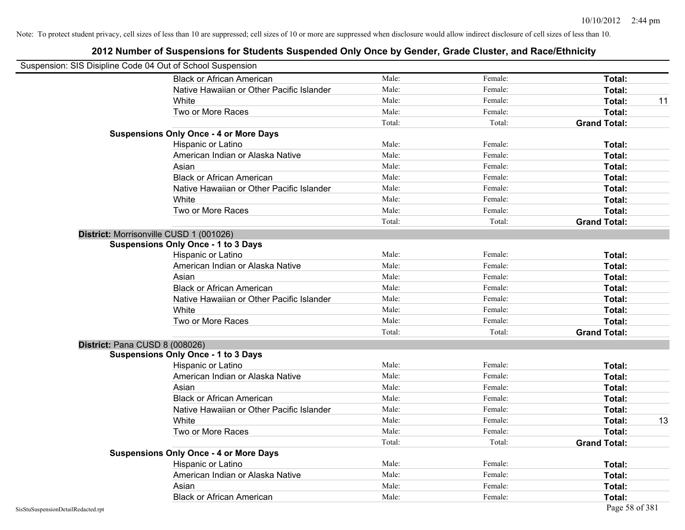|                                    | Suspension: SIS Disipline Code 04 Out of School Suspension |        |         |                     |
|------------------------------------|------------------------------------------------------------|--------|---------|---------------------|
|                                    | <b>Black or African American</b>                           | Male:  | Female: | Total:              |
|                                    | Native Hawaiian or Other Pacific Islander                  | Male:  | Female: | Total:              |
|                                    | White                                                      | Male:  | Female: | Total:<br>11        |
|                                    | Two or More Races                                          | Male:  | Female: | Total:              |
|                                    |                                                            | Total: | Total:  | <b>Grand Total:</b> |
|                                    | <b>Suspensions Only Once - 4 or More Days</b>              |        |         |                     |
|                                    | Hispanic or Latino                                         | Male:  | Female: | Total:              |
|                                    | American Indian or Alaska Native                           | Male:  | Female: | Total:              |
|                                    | Asian                                                      | Male:  | Female: | Total:              |
|                                    | <b>Black or African American</b>                           | Male:  | Female: | Total:              |
|                                    | Native Hawaiian or Other Pacific Islander                  | Male:  | Female: | Total:              |
|                                    | White                                                      | Male:  | Female: | Total:              |
|                                    | Two or More Races                                          | Male:  | Female: | Total:              |
|                                    |                                                            | Total: | Total:  | <b>Grand Total:</b> |
|                                    | District: Morrisonville CUSD 1 (001026)                    |        |         |                     |
|                                    | <b>Suspensions Only Once - 1 to 3 Days</b>                 |        |         |                     |
|                                    | Hispanic or Latino                                         | Male:  | Female: | Total:              |
|                                    | American Indian or Alaska Native                           | Male:  | Female: | Total:              |
|                                    | Asian                                                      | Male:  | Female: | Total:              |
|                                    | <b>Black or African American</b>                           | Male:  | Female: | Total:              |
|                                    | Native Hawaiian or Other Pacific Islander                  | Male:  | Female: | Total:              |
|                                    | White                                                      | Male:  | Female: | Total:              |
|                                    | Two or More Races                                          | Male:  | Female: | Total:              |
|                                    |                                                            | Total: | Total:  | <b>Grand Total:</b> |
|                                    | District: Pana CUSD 8 (008026)                             |        |         |                     |
|                                    | <b>Suspensions Only Once - 1 to 3 Days</b>                 |        |         |                     |
|                                    | Hispanic or Latino                                         | Male:  | Female: | Total:              |
|                                    | American Indian or Alaska Native                           | Male:  | Female: | Total:              |
|                                    | Asian                                                      | Male:  | Female: | Total:              |
|                                    | <b>Black or African American</b>                           | Male:  | Female: | Total:              |
|                                    | Native Hawaiian or Other Pacific Islander                  | Male:  | Female: | Total:              |
|                                    | White                                                      | Male:  | Female: | 13<br>Total:        |
|                                    | Two or More Races                                          | Male:  | Female: | Total:              |
|                                    |                                                            | Total: | Total:  | <b>Grand Total:</b> |
|                                    | <b>Suspensions Only Once - 4 or More Days</b>              |        |         |                     |
|                                    | Hispanic or Latino                                         | Male:  | Female: | Total:              |
|                                    | American Indian or Alaska Native                           | Male:  | Female: | Total:              |
|                                    | Asian                                                      | Male:  | Female: | Total:              |
|                                    | <b>Black or African American</b>                           | Male:  | Female: | Total:              |
| SisStuSuspensionDetailRedacted.rpt |                                                            |        |         | Page 58 of 381      |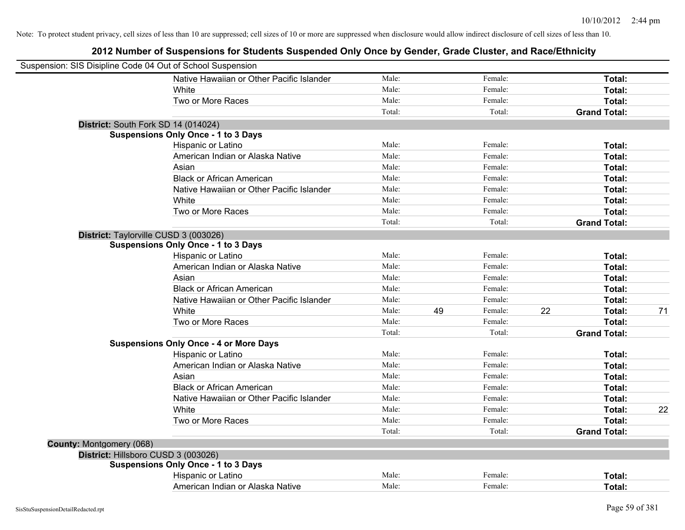| Suspension: SIS Disipline Code 04 Out of School Suspension |                                               |        |    |         |    |                     |    |
|------------------------------------------------------------|-----------------------------------------------|--------|----|---------|----|---------------------|----|
|                                                            | Native Hawaiian or Other Pacific Islander     | Male:  |    | Female: |    | Total:              |    |
|                                                            | White                                         | Male:  |    | Female: |    | Total:              |    |
|                                                            | Two or More Races                             | Male:  |    | Female: |    | Total:              |    |
|                                                            |                                               | Total: |    | Total:  |    | <b>Grand Total:</b> |    |
| District: South Fork SD 14 (014024)                        |                                               |        |    |         |    |                     |    |
|                                                            | <b>Suspensions Only Once - 1 to 3 Days</b>    |        |    |         |    |                     |    |
|                                                            | Hispanic or Latino                            | Male:  |    | Female: |    | Total:              |    |
|                                                            | American Indian or Alaska Native              | Male:  |    | Female: |    | Total:              |    |
|                                                            | Asian                                         | Male:  |    | Female: |    | Total:              |    |
|                                                            | <b>Black or African American</b>              | Male:  |    | Female: |    | Total:              |    |
|                                                            | Native Hawaiian or Other Pacific Islander     | Male:  |    | Female: |    | Total:              |    |
|                                                            | White                                         | Male:  |    | Female: |    | Total:              |    |
|                                                            | Two or More Races                             | Male:  |    | Female: |    | Total:              |    |
|                                                            |                                               | Total: |    | Total:  |    | <b>Grand Total:</b> |    |
| District: Taylorville CUSD 3 (003026)                      |                                               |        |    |         |    |                     |    |
|                                                            | <b>Suspensions Only Once - 1 to 3 Days</b>    |        |    |         |    |                     |    |
|                                                            | Hispanic or Latino                            | Male:  |    | Female: |    | Total:              |    |
|                                                            | American Indian or Alaska Native              | Male:  |    | Female: |    | Total:              |    |
|                                                            | Asian                                         | Male:  |    | Female: |    | Total:              |    |
|                                                            | <b>Black or African American</b>              | Male:  |    | Female: |    | Total:              |    |
|                                                            | Native Hawaiian or Other Pacific Islander     | Male:  |    | Female: |    | Total:              |    |
|                                                            | White                                         | Male:  | 49 | Female: | 22 | Total:              | 71 |
|                                                            | Two or More Races                             | Male:  |    | Female: |    | Total:              |    |
|                                                            |                                               | Total: |    | Total:  |    | <b>Grand Total:</b> |    |
|                                                            | <b>Suspensions Only Once - 4 or More Days</b> |        |    |         |    |                     |    |
|                                                            | Hispanic or Latino                            | Male:  |    | Female: |    | Total:              |    |
|                                                            | American Indian or Alaska Native              | Male:  |    | Female: |    | Total:              |    |
|                                                            | Asian                                         | Male:  |    | Female: |    | Total:              |    |
|                                                            | <b>Black or African American</b>              | Male:  |    | Female: |    | Total:              |    |
|                                                            | Native Hawaiian or Other Pacific Islander     | Male:  |    | Female: |    | Total:              |    |
|                                                            | White                                         | Male:  |    | Female: |    | Total:              | 22 |
|                                                            | Two or More Races                             | Male:  |    | Female: |    | Total:              |    |
|                                                            |                                               | Total: |    | Total:  |    | <b>Grand Total:</b> |    |
| County: Montgomery (068)                                   |                                               |        |    |         |    |                     |    |
| District: Hillsboro CUSD 3 (003026)                        |                                               |        |    |         |    |                     |    |
|                                                            | <b>Suspensions Only Once - 1 to 3 Days</b>    |        |    |         |    |                     |    |
|                                                            | Hispanic or Latino                            | Male:  |    | Female: |    | Total:              |    |
|                                                            | American Indian or Alaska Native              | Male:  |    | Female: |    | Total:              |    |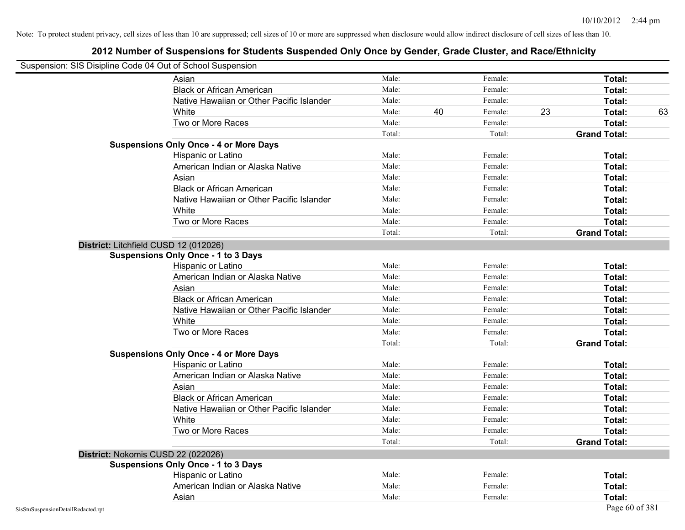| Suspension: SIS Disipline Code 04 Out of School Suspension |                                               |        |    |         |    |                     |    |
|------------------------------------------------------------|-----------------------------------------------|--------|----|---------|----|---------------------|----|
|                                                            | Asian                                         | Male:  |    | Female: |    | Total:              |    |
|                                                            | <b>Black or African American</b>              | Male:  |    | Female: |    | Total:              |    |
|                                                            | Native Hawaiian or Other Pacific Islander     | Male:  |    | Female: |    | Total:              |    |
|                                                            | White                                         | Male:  | 40 | Female: | 23 | Total:              | 63 |
|                                                            | Two or More Races                             | Male:  |    | Female: |    | Total:              |    |
|                                                            |                                               | Total: |    | Total:  |    | <b>Grand Total:</b> |    |
|                                                            | <b>Suspensions Only Once - 4 or More Days</b> |        |    |         |    |                     |    |
|                                                            | Hispanic or Latino                            | Male:  |    | Female: |    | Total:              |    |
|                                                            | American Indian or Alaska Native              | Male:  |    | Female: |    | Total:              |    |
|                                                            | Asian                                         | Male:  |    | Female: |    | Total:              |    |
|                                                            | <b>Black or African American</b>              | Male:  |    | Female: |    | Total:              |    |
|                                                            | Native Hawaiian or Other Pacific Islander     | Male:  |    | Female: |    | Total:              |    |
|                                                            | White                                         | Male:  |    | Female: |    | Total:              |    |
|                                                            | Two or More Races                             | Male:  |    | Female: |    | Total:              |    |
|                                                            |                                               | Total: |    | Total:  |    | <b>Grand Total:</b> |    |
| District: Litchfield CUSD 12 (012026)                      |                                               |        |    |         |    |                     |    |
|                                                            | <b>Suspensions Only Once - 1 to 3 Days</b>    |        |    |         |    |                     |    |
|                                                            | Hispanic or Latino                            | Male:  |    | Female: |    | Total:              |    |
|                                                            | American Indian or Alaska Native              | Male:  |    | Female: |    | Total:              |    |
|                                                            | Asian                                         | Male:  |    | Female: |    | Total:              |    |
|                                                            | <b>Black or African American</b>              | Male:  |    | Female: |    | Total:              |    |
|                                                            | Native Hawaiian or Other Pacific Islander     | Male:  |    | Female: |    | Total:              |    |
|                                                            | White                                         | Male:  |    | Female: |    | Total:              |    |
|                                                            | Two or More Races                             | Male:  |    | Female: |    | Total:              |    |
|                                                            |                                               | Total: |    | Total:  |    | <b>Grand Total:</b> |    |
|                                                            | <b>Suspensions Only Once - 4 or More Days</b> |        |    |         |    |                     |    |
|                                                            | Hispanic or Latino                            | Male:  |    | Female: |    | Total:              |    |
|                                                            | American Indian or Alaska Native              | Male:  |    | Female: |    | Total:              |    |
|                                                            | Asian                                         | Male:  |    | Female: |    | Total:              |    |
|                                                            | <b>Black or African American</b>              | Male:  |    | Female: |    | Total:              |    |
|                                                            | Native Hawaiian or Other Pacific Islander     | Male:  |    | Female: |    | Total:              |    |
|                                                            | White                                         | Male:  |    | Female: |    | Total:              |    |
|                                                            | Two or More Races                             | Male:  |    | Female: |    | Total:              |    |
|                                                            |                                               | Total: |    | Total:  |    | <b>Grand Total:</b> |    |
| District: Nokomis CUSD 22 (022026)                         |                                               |        |    |         |    |                     |    |
|                                                            | <b>Suspensions Only Once - 1 to 3 Days</b>    |        |    |         |    |                     |    |
|                                                            | Hispanic or Latino                            | Male:  |    | Female: |    | Total:              |    |
|                                                            | American Indian or Alaska Native              | Male:  |    | Female: |    | Total:              |    |
|                                                            | Asian                                         | Male:  |    | Female: |    | Total:              |    |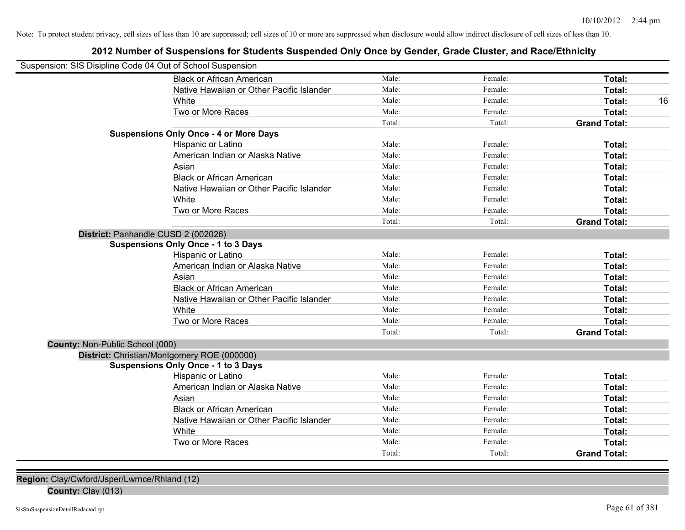### **2012 Number of Suspensions for Students Suspended Only Once by Gender, Grade Cluster, and Race/Ethnicity**

|                                        | Suspension: SIS Disipline Code 04 Out of School Suspension |        |         |                     |    |
|----------------------------------------|------------------------------------------------------------|--------|---------|---------------------|----|
|                                        | <b>Black or African American</b>                           | Male:  | Female: | Total:              |    |
|                                        | Native Hawaiian or Other Pacific Islander                  | Male:  | Female: | Total:              |    |
|                                        | White                                                      | Male:  | Female: | Total:              | 16 |
|                                        | Two or More Races                                          | Male:  | Female: | <b>Total:</b>       |    |
|                                        |                                                            | Total: | Total:  | <b>Grand Total:</b> |    |
|                                        | <b>Suspensions Only Once - 4 or More Days</b>              |        |         |                     |    |
|                                        | Hispanic or Latino                                         | Male:  | Female: | Total:              |    |
|                                        | American Indian or Alaska Native                           | Male:  | Female: | Total:              |    |
|                                        | Asian                                                      | Male:  | Female: | Total:              |    |
|                                        | <b>Black or African American</b>                           | Male:  | Female: | Total:              |    |
|                                        | Native Hawaiian or Other Pacific Islander                  | Male:  | Female: | Total:              |    |
|                                        | White                                                      | Male:  | Female: | <b>Total:</b>       |    |
|                                        | Two or More Races                                          | Male:  | Female: | Total:              |    |
|                                        |                                                            | Total: | Total:  | <b>Grand Total:</b> |    |
|                                        | District: Panhandle CUSD 2 (002026)                        |        |         |                     |    |
|                                        | <b>Suspensions Only Once - 1 to 3 Days</b>                 |        |         |                     |    |
|                                        | Hispanic or Latino                                         | Male:  | Female: | Total:              |    |
|                                        | American Indian or Alaska Native                           | Male:  | Female: | Total:              |    |
|                                        | Asian                                                      | Male:  | Female: | Total:              |    |
|                                        | <b>Black or African American</b>                           | Male:  | Female: | Total:              |    |
|                                        | Native Hawaiian or Other Pacific Islander                  | Male:  | Female: | Total:              |    |
|                                        | White                                                      | Male:  | Female: | Total:              |    |
|                                        | Two or More Races                                          | Male:  | Female: | Total:              |    |
|                                        |                                                            | Total: | Total:  | <b>Grand Total:</b> |    |
| <b>County: Non-Public School (000)</b> |                                                            |        |         |                     |    |
|                                        | District: Christian/Montgomery ROE (000000)                |        |         |                     |    |
|                                        | <b>Suspensions Only Once - 1 to 3 Days</b>                 |        |         |                     |    |
|                                        | Hispanic or Latino                                         | Male:  | Female: | Total:              |    |
|                                        | American Indian or Alaska Native                           | Male:  | Female: | Total:              |    |
|                                        | Asian                                                      | Male:  | Female: | Total:              |    |
|                                        | <b>Black or African American</b>                           | Male:  | Female: | Total:              |    |
|                                        | Native Hawaiian or Other Pacific Islander                  | Male:  | Female: | Total:              |    |
|                                        | White                                                      | Male:  | Female: | Total:              |    |
|                                        | Two or More Races                                          | Male:  | Female: | Total:              |    |
|                                        |                                                            | Total: | Total:  | <b>Grand Total:</b> |    |

**Region:** Clay/Cwford/Jsper/Lwrnce/Rhland (12)

**County:** Clay (013)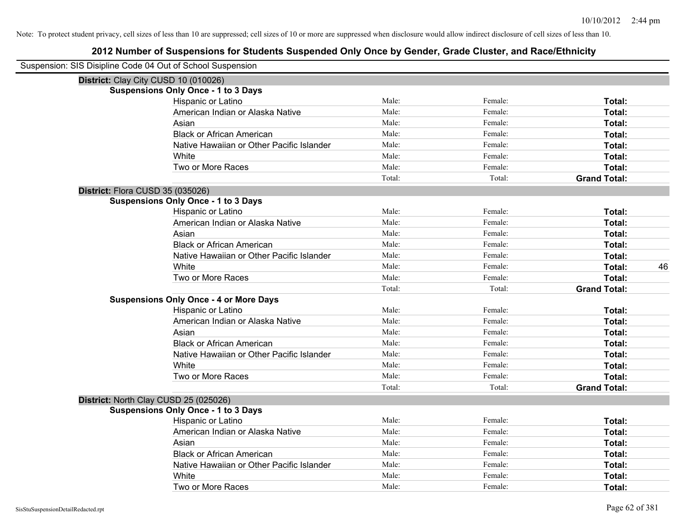| Suspension: SIS Disipline Code 04 Out of School Suspension |                                               |        |         |                     |    |
|------------------------------------------------------------|-----------------------------------------------|--------|---------|---------------------|----|
| District: Clay City CUSD 10 (010026)                       |                                               |        |         |                     |    |
|                                                            | <b>Suspensions Only Once - 1 to 3 Days</b>    |        |         |                     |    |
|                                                            | Hispanic or Latino                            | Male:  | Female: | Total:              |    |
|                                                            | American Indian or Alaska Native              | Male:  | Female: | Total:              |    |
|                                                            | Asian                                         | Male:  | Female: | Total:              |    |
|                                                            | <b>Black or African American</b>              | Male:  | Female: | Total:              |    |
|                                                            | Native Hawaiian or Other Pacific Islander     | Male:  | Female: | Total:              |    |
|                                                            | White                                         | Male:  | Female: | Total:              |    |
|                                                            | Two or More Races                             | Male:  | Female: | Total:              |    |
|                                                            |                                               | Total: | Total:  | <b>Grand Total:</b> |    |
| District: Flora CUSD 35 (035026)                           |                                               |        |         |                     |    |
|                                                            | <b>Suspensions Only Once - 1 to 3 Days</b>    |        |         |                     |    |
|                                                            | Hispanic or Latino                            | Male:  | Female: | Total:              |    |
|                                                            | American Indian or Alaska Native              | Male:  | Female: | Total:              |    |
|                                                            | Asian                                         | Male:  | Female: | Total:              |    |
|                                                            | <b>Black or African American</b>              | Male:  | Female: | Total:              |    |
|                                                            | Native Hawaiian or Other Pacific Islander     | Male:  | Female: | Total:              |    |
|                                                            | White                                         | Male:  | Female: | Total:              | 46 |
|                                                            | Two or More Races                             | Male:  | Female: | Total:              |    |
|                                                            |                                               | Total: | Total:  | <b>Grand Total:</b> |    |
|                                                            | <b>Suspensions Only Once - 4 or More Days</b> |        |         |                     |    |
|                                                            | Hispanic or Latino                            | Male:  | Female: | Total:              |    |
|                                                            | American Indian or Alaska Native              | Male:  | Female: | Total:              |    |
|                                                            | Asian                                         | Male:  | Female: | Total:              |    |
|                                                            | <b>Black or African American</b>              | Male:  | Female: | Total:              |    |
|                                                            | Native Hawaiian or Other Pacific Islander     | Male:  | Female: | Total:              |    |
|                                                            | White                                         | Male:  | Female: | Total:              |    |
|                                                            | Two or More Races                             | Male:  | Female: | Total:              |    |
|                                                            |                                               | Total: | Total:  | <b>Grand Total:</b> |    |
| District: North Clay CUSD 25 (025026)                      |                                               |        |         |                     |    |
|                                                            | <b>Suspensions Only Once - 1 to 3 Days</b>    |        |         |                     |    |
|                                                            | Hispanic or Latino                            | Male:  | Female: | Total:              |    |
|                                                            | American Indian or Alaska Native              | Male:  | Female: | Total:              |    |
|                                                            | Asian                                         | Male:  | Female: | Total:              |    |
|                                                            | <b>Black or African American</b>              | Male:  | Female: | Total:              |    |
|                                                            | Native Hawaiian or Other Pacific Islander     | Male:  | Female: | Total:              |    |
|                                                            | White                                         | Male:  | Female: | Total:              |    |
|                                                            | Two or More Races                             | Male:  | Female: | Total:              |    |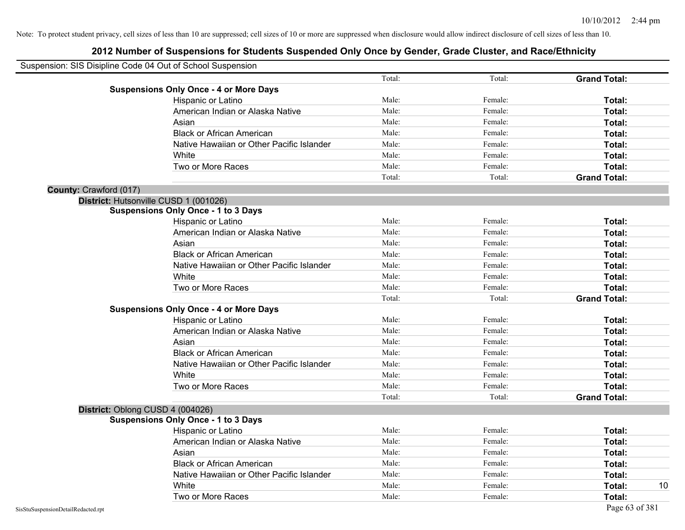|                                    | Suspension: SIS Disipline Code 04 Out of School Suspension |        |         |                     |
|------------------------------------|------------------------------------------------------------|--------|---------|---------------------|
|                                    |                                                            | Total: | Total:  | <b>Grand Total:</b> |
|                                    | <b>Suspensions Only Once - 4 or More Days</b>              |        |         |                     |
|                                    | Hispanic or Latino                                         | Male:  | Female: | Total:              |
|                                    | American Indian or Alaska Native                           | Male:  | Female: | Total:              |
|                                    | Asian                                                      | Male:  | Female: | Total:              |
|                                    | <b>Black or African American</b>                           | Male:  | Female: | Total:              |
|                                    | Native Hawaiian or Other Pacific Islander                  | Male:  | Female: | Total:              |
|                                    | White                                                      | Male:  | Female: | Total:              |
|                                    | Two or More Races                                          | Male:  | Female: | Total:              |
|                                    |                                                            | Total: | Total:  | <b>Grand Total:</b> |
| County: Crawford (017)             |                                                            |        |         |                     |
|                                    | District: Hutsonville CUSD 1 (001026)                      |        |         |                     |
|                                    | <b>Suspensions Only Once - 1 to 3 Days</b>                 |        |         |                     |
|                                    | Hispanic or Latino                                         | Male:  | Female: | Total:              |
|                                    | American Indian or Alaska Native                           | Male:  | Female: | Total:              |
|                                    | Asian                                                      | Male:  | Female: | Total:              |
|                                    | <b>Black or African American</b>                           | Male:  | Female: | Total:              |
|                                    | Native Hawaiian or Other Pacific Islander                  | Male:  | Female: | Total:              |
|                                    | White                                                      | Male:  | Female: | Total:              |
|                                    | Two or More Races                                          | Male:  | Female: | Total:              |
|                                    |                                                            | Total: | Total:  | <b>Grand Total:</b> |
|                                    | <b>Suspensions Only Once - 4 or More Days</b>              |        |         |                     |
|                                    | Hispanic or Latino                                         | Male:  | Female: | Total:              |
|                                    | American Indian or Alaska Native                           | Male:  | Female: | Total:              |
|                                    | Asian                                                      | Male:  | Female: | Total:              |
|                                    | <b>Black or African American</b>                           | Male:  | Female: | Total:              |
|                                    | Native Hawaiian or Other Pacific Islander                  | Male:  | Female: | Total:              |
|                                    | White                                                      | Male:  | Female: | Total:              |
|                                    | Two or More Races                                          | Male:  | Female: | Total:              |
|                                    |                                                            | Total: | Total:  | <b>Grand Total:</b> |
|                                    | District: Oblong CUSD 4 (004026)                           |        |         |                     |
|                                    | <b>Suspensions Only Once - 1 to 3 Days</b>                 |        |         |                     |
|                                    | Hispanic or Latino                                         | Male:  | Female: | Total:              |
|                                    | American Indian or Alaska Native                           | Male:  | Female: | Total:              |
|                                    | Asian                                                      | Male:  | Female: | Total:              |
|                                    | <b>Black or African American</b>                           | Male:  | Female: | Total:              |
|                                    | Native Hawaiian or Other Pacific Islander                  | Male:  | Female: | Total:              |
|                                    | White                                                      | Male:  | Female: | 10<br>Total:        |
|                                    | Two or More Races                                          | Male:  | Female: | Total:              |
|                                    |                                                            |        |         |                     |
| SisStuSuspensionDetailRedacted.rpt |                                                            |        |         | Page 63 of 381      |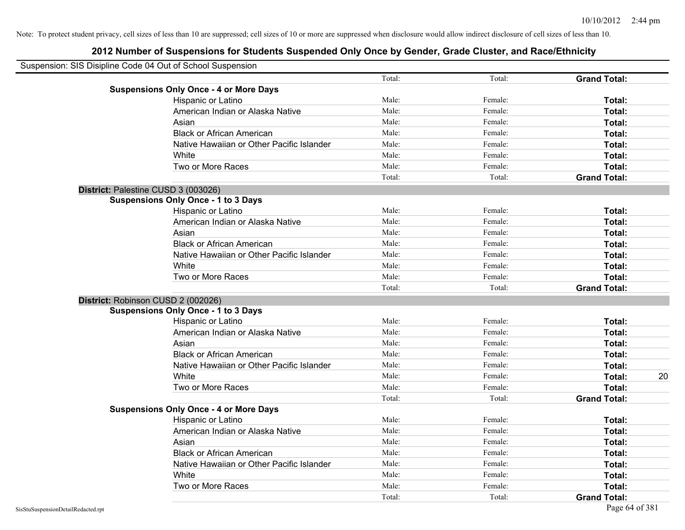| Suspension: SIS Disipline Code 04 Out of School Suspension |        |         |                     |
|------------------------------------------------------------|--------|---------|---------------------|
|                                                            | Total: | Total:  | <b>Grand Total:</b> |
| <b>Suspensions Only Once - 4 or More Days</b>              |        |         |                     |
| Hispanic or Latino                                         | Male:  | Female: | Total:              |
| American Indian or Alaska Native                           | Male:  | Female: | Total:              |
| Asian                                                      | Male:  | Female: | Total:              |
| <b>Black or African American</b>                           | Male:  | Female: | Total:              |
| Native Hawaiian or Other Pacific Islander                  | Male:  | Female: | Total:              |
| White                                                      | Male:  | Female: | Total:              |
| Two or More Races                                          | Male:  | Female: | Total:              |
|                                                            | Total: | Total:  | <b>Grand Total:</b> |
| District: Palestine CUSD 3 (003026)                        |        |         |                     |
| <b>Suspensions Only Once - 1 to 3 Days</b>                 |        |         |                     |
| Hispanic or Latino                                         | Male:  | Female: | Total:              |
| American Indian or Alaska Native                           | Male:  | Female: | Total:              |
| Asian                                                      | Male:  | Female: | Total:              |
| <b>Black or African American</b>                           | Male:  | Female: | Total:              |
| Native Hawaiian or Other Pacific Islander                  | Male:  | Female: | Total:              |
| White                                                      | Male:  | Female: | Total:              |
| Two or More Races                                          | Male:  | Female: | Total:              |
|                                                            | Total: | Total:  | <b>Grand Total:</b> |
| District: Robinson CUSD 2 (002026)                         |        |         |                     |
| <b>Suspensions Only Once - 1 to 3 Days</b>                 |        |         |                     |
| Hispanic or Latino                                         | Male:  | Female: | Total:              |
| American Indian or Alaska Native                           | Male:  | Female: | Total:              |
| Asian                                                      | Male:  | Female: | Total:              |
| <b>Black or African American</b>                           | Male:  | Female: | Total:              |
| Native Hawaiian or Other Pacific Islander                  | Male:  | Female: | Total:              |
| White                                                      | Male:  | Female: | Total:<br>20        |
| Two or More Races                                          | Male:  | Female: | Total:              |
|                                                            | Total: | Total:  | <b>Grand Total:</b> |
| <b>Suspensions Only Once - 4 or More Days</b>              |        |         |                     |
| Hispanic or Latino                                         | Male:  | Female: | Total:              |
| American Indian or Alaska Native                           | Male:  | Female: | Total:              |
| Asian                                                      | Male:  | Female: | Total:              |
| <b>Black or African American</b>                           | Male:  | Female: | Total:              |
| Native Hawaiian or Other Pacific Islander                  | Male:  | Female: | Total:              |
| White                                                      | Male:  | Female: | Total:              |
| Two or More Races                                          | Male:  | Female: | Total:              |
|                                                            | Total: | Total:  | <b>Grand Total:</b> |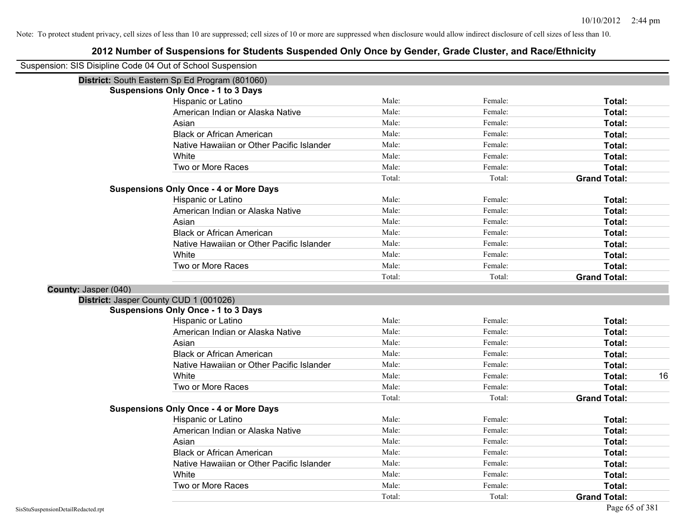| Suspension: SIS Disipline Code 04 Out of School Suspension |                                                |        |         |                     |    |
|------------------------------------------------------------|------------------------------------------------|--------|---------|---------------------|----|
|                                                            | District: South Eastern Sp Ed Program (801060) |        |         |                     |    |
|                                                            | <b>Suspensions Only Once - 1 to 3 Days</b>     |        |         |                     |    |
|                                                            | <b>Hispanic or Latino</b>                      | Male:  | Female: | Total:              |    |
|                                                            | American Indian or Alaska Native               | Male:  | Female: | Total:              |    |
|                                                            | Asian                                          | Male:  | Female: | Total:              |    |
|                                                            | <b>Black or African American</b>               | Male:  | Female: | Total:              |    |
|                                                            | Native Hawaiian or Other Pacific Islander      | Male:  | Female: | Total:              |    |
|                                                            | White                                          | Male:  | Female: | Total:              |    |
|                                                            | Two or More Races                              | Male:  | Female: | Total:              |    |
|                                                            |                                                | Total: | Total:  | <b>Grand Total:</b> |    |
|                                                            | <b>Suspensions Only Once - 4 or More Days</b>  |        |         |                     |    |
|                                                            | Hispanic or Latino                             | Male:  | Female: | Total:              |    |
|                                                            | American Indian or Alaska Native               | Male:  | Female: | Total:              |    |
|                                                            | Asian                                          | Male:  | Female: | Total:              |    |
|                                                            | <b>Black or African American</b>               | Male:  | Female: | Total:              |    |
|                                                            | Native Hawaiian or Other Pacific Islander      | Male:  | Female: | Total:              |    |
|                                                            | White                                          | Male:  | Female: | Total:              |    |
|                                                            | Two or More Races                              | Male:  | Female: | Total:              |    |
|                                                            |                                                | Total: | Total:  | <b>Grand Total:</b> |    |
| County: Jasper (040)                                       |                                                |        |         |                     |    |
|                                                            | District: Jasper County CUD 1 (001026)         |        |         |                     |    |
|                                                            | <b>Suspensions Only Once - 1 to 3 Days</b>     |        |         |                     |    |
|                                                            | Hispanic or Latino                             | Male:  | Female: | Total:              |    |
|                                                            | American Indian or Alaska Native               | Male:  | Female: | Total:              |    |
|                                                            | Asian                                          | Male:  | Female: | Total:              |    |
|                                                            | <b>Black or African American</b>               | Male:  | Female: | Total:              |    |
|                                                            | Native Hawaiian or Other Pacific Islander      | Male:  | Female: | Total:              |    |
|                                                            | White                                          | Male:  | Female: | Total:              | 16 |
|                                                            | Two or More Races                              | Male:  | Female: | Total:              |    |
|                                                            |                                                | Total: | Total:  | <b>Grand Total:</b> |    |
|                                                            | <b>Suspensions Only Once - 4 or More Days</b>  |        |         |                     |    |
|                                                            | Hispanic or Latino                             | Male:  | Female: | Total:              |    |
|                                                            | American Indian or Alaska Native               | Male:  | Female: | Total:              |    |
|                                                            | Asian                                          | Male:  | Female: | Total:              |    |
|                                                            | <b>Black or African American</b>               | Male:  | Female: | Total:              |    |
|                                                            | Native Hawaiian or Other Pacific Islander      | Male:  | Female: | Total:              |    |
|                                                            | White                                          | Male:  | Female: | Total:              |    |
|                                                            | Two or More Races                              | Male:  | Female: | <b>Total:</b>       |    |
|                                                            |                                                | Total: | Total:  | <b>Grand Total:</b> |    |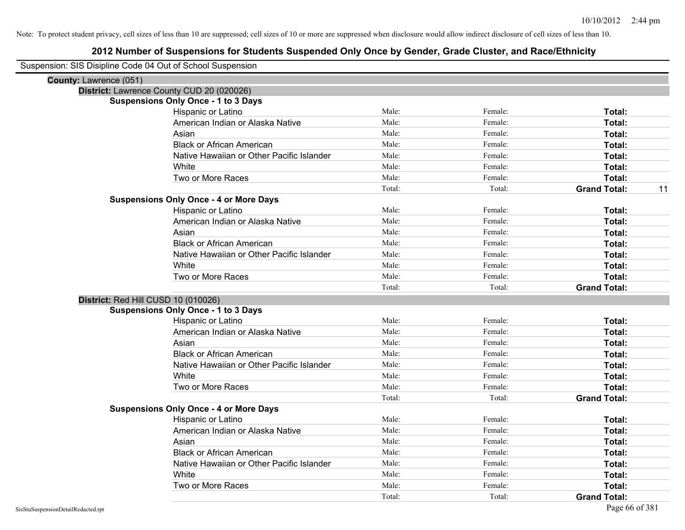| Suspension: SIS Disipline Code 04 Out of School Suspension |                                               |        |         |                           |
|------------------------------------------------------------|-----------------------------------------------|--------|---------|---------------------------|
| County: Lawrence (051)                                     |                                               |        |         |                           |
|                                                            | District: Lawrence County CUD 20 (020026)     |        |         |                           |
|                                                            | <b>Suspensions Only Once - 1 to 3 Days</b>    |        |         |                           |
|                                                            | Hispanic or Latino                            | Male:  | Female: | Total:                    |
|                                                            | American Indian or Alaska Native              | Male:  | Female: | Total:                    |
|                                                            | Asian                                         | Male:  | Female: | Total:                    |
|                                                            | <b>Black or African American</b>              | Male:  | Female: | Total:                    |
|                                                            | Native Hawaiian or Other Pacific Islander     | Male:  | Female: | Total:                    |
|                                                            | White                                         | Male:  | Female: | Total:                    |
|                                                            | Two or More Races                             | Male:  | Female: | Total:                    |
|                                                            |                                               | Total: | Total:  | <b>Grand Total:</b><br>11 |
|                                                            | <b>Suspensions Only Once - 4 or More Days</b> |        |         |                           |
|                                                            | Hispanic or Latino                            | Male:  | Female: | Total:                    |
|                                                            | American Indian or Alaska Native              | Male:  | Female: | Total:                    |
|                                                            | Asian                                         | Male:  | Female: | Total:                    |
|                                                            | <b>Black or African American</b>              | Male:  | Female: | Total:                    |
|                                                            | Native Hawaiian or Other Pacific Islander     | Male:  | Female: | Total:                    |
|                                                            | White                                         | Male:  | Female: | Total:                    |
|                                                            | Two or More Races                             | Male:  | Female: | Total:                    |
|                                                            |                                               | Total: | Total:  | <b>Grand Total:</b>       |
| District: Red Hill CUSD 10 (010026)                        |                                               |        |         |                           |
|                                                            | <b>Suspensions Only Once - 1 to 3 Days</b>    |        |         |                           |
|                                                            | Hispanic or Latino                            | Male:  | Female: | Total:                    |
|                                                            | American Indian or Alaska Native              | Male:  | Female: | Total:                    |
|                                                            | Asian                                         | Male:  | Female: | Total:                    |
|                                                            | <b>Black or African American</b>              | Male:  | Female: | Total:                    |
|                                                            | Native Hawaiian or Other Pacific Islander     | Male:  | Female: | Total:                    |
|                                                            | White                                         | Male:  | Female: | Total:                    |
|                                                            | Two or More Races                             | Male:  | Female: | Total:                    |
|                                                            |                                               | Total: | Total:  | <b>Grand Total:</b>       |
|                                                            | <b>Suspensions Only Once - 4 or More Days</b> |        |         |                           |
|                                                            | Hispanic or Latino                            | Male:  | Female: | Total:                    |
|                                                            | American Indian or Alaska Native              | Male:  | Female: | Total:                    |
|                                                            | Asian                                         | Male:  | Female: | Total:                    |
|                                                            | <b>Black or African American</b>              | Male:  | Female: | Total:                    |
|                                                            | Native Hawaiian or Other Pacific Islander     | Male:  | Female: | Total:                    |
|                                                            | White                                         | Male:  | Female: | Total:                    |
|                                                            | Two or More Races                             | Male:  | Female: | Total:                    |
|                                                            |                                               | Total: | Total:  | <b>Grand Total:</b>       |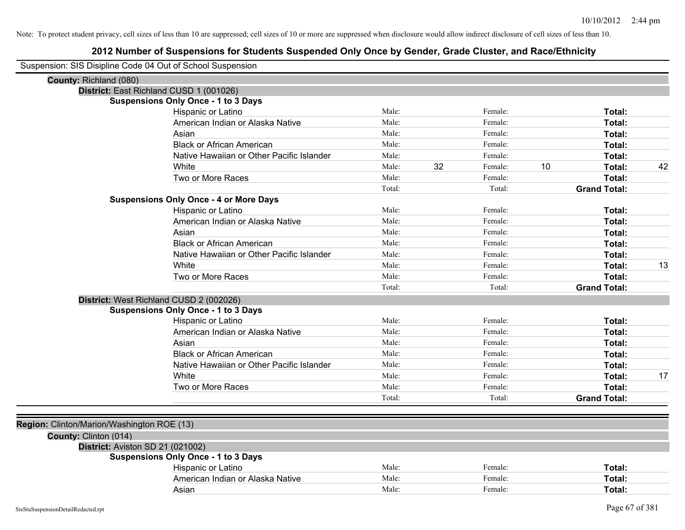| Suspension: SIS Disipline Code 04 Out of School Suspension |                                               |        |    |         |    |                     |    |
|------------------------------------------------------------|-----------------------------------------------|--------|----|---------|----|---------------------|----|
| County: Richland (080)                                     |                                               |        |    |         |    |                     |    |
| District: East Richland CUSD 1 (001026)                    |                                               |        |    |         |    |                     |    |
|                                                            | <b>Suspensions Only Once - 1 to 3 Days</b>    |        |    |         |    |                     |    |
|                                                            | Hispanic or Latino                            | Male:  |    | Female: |    | Total:              |    |
|                                                            | American Indian or Alaska Native              | Male:  |    | Female: |    | Total:              |    |
|                                                            | Asian                                         | Male:  |    | Female: |    | Total:              |    |
|                                                            | <b>Black or African American</b>              | Male:  |    | Female: |    | Total:              |    |
|                                                            | Native Hawaiian or Other Pacific Islander     | Male:  |    | Female: |    | Total:              |    |
|                                                            | White                                         | Male:  | 32 | Female: | 10 | Total:              | 42 |
|                                                            | Two or More Races                             | Male:  |    | Female: |    | Total:              |    |
|                                                            |                                               | Total: |    | Total:  |    | <b>Grand Total:</b> |    |
|                                                            | <b>Suspensions Only Once - 4 or More Days</b> |        |    |         |    |                     |    |
|                                                            | Hispanic or Latino                            | Male:  |    | Female: |    | Total:              |    |
|                                                            | American Indian or Alaska Native              | Male:  |    | Female: |    | Total:              |    |
|                                                            | Asian                                         | Male:  |    | Female: |    | Total:              |    |
|                                                            | <b>Black or African American</b>              | Male:  |    | Female: |    | Total:              |    |
|                                                            | Native Hawaiian or Other Pacific Islander     | Male:  |    | Female: |    | Total:              |    |
|                                                            | White                                         | Male:  |    | Female: |    | Total:              | 13 |
|                                                            | Two or More Races                             | Male:  |    | Female: |    | Total:              |    |
|                                                            |                                               | Total: |    | Total:  |    | <b>Grand Total:</b> |    |
|                                                            | District: West Richland CUSD 2 (002026)       |        |    |         |    |                     |    |
|                                                            | <b>Suspensions Only Once - 1 to 3 Days</b>    |        |    |         |    |                     |    |
|                                                            | Hispanic or Latino                            | Male:  |    | Female: |    | Total:              |    |
|                                                            | American Indian or Alaska Native              | Male:  |    | Female: |    | Total:              |    |
|                                                            | Asian                                         | Male:  |    | Female: |    | Total:              |    |
|                                                            | <b>Black or African American</b>              | Male:  |    | Female: |    | Total:              |    |
|                                                            | Native Hawaiian or Other Pacific Islander     | Male:  |    | Female: |    | Total:              |    |
|                                                            | White                                         | Male:  |    | Female: |    | Total:              | 17 |
|                                                            | Two or More Races                             | Male:  |    | Female: |    | Total:              |    |
|                                                            |                                               | Total: |    | Total:  |    | <b>Grand Total:</b> |    |
|                                                            |                                               |        |    |         |    |                     |    |
| Region: Clinton/Marion/Washington ROE (13)                 |                                               |        |    |         |    |                     |    |
| County: Clinton (014)                                      |                                               |        |    |         |    |                     |    |
| District: Aviston SD 21 (021002)                           |                                               |        |    |         |    |                     |    |
|                                                            | <b>Suspensions Only Once - 1 to 3 Days</b>    |        |    |         |    |                     |    |
|                                                            | Hispanic or Latino                            | Male:  |    | Female: |    | Total:              |    |
|                                                            | American Indian or Alaska Native              | Male:  |    | Female: |    | Total:              |    |
|                                                            | Asian                                         | Male:  |    | Female: |    | Total:              |    |
|                                                            |                                               |        |    |         |    |                     |    |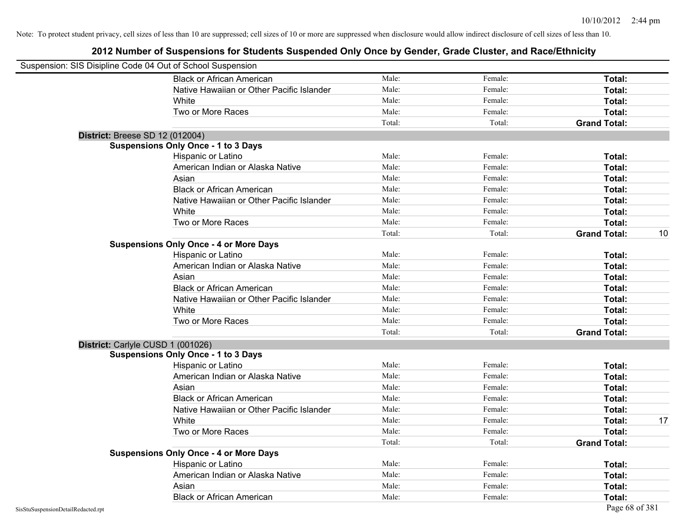|                                    | Suspension: SIS Disipline Code 04 Out of School Suspension |        |         |                     |    |
|------------------------------------|------------------------------------------------------------|--------|---------|---------------------|----|
|                                    | <b>Black or African American</b>                           | Male:  | Female: | Total:              |    |
|                                    | Native Hawaiian or Other Pacific Islander                  | Male:  | Female: | Total:              |    |
|                                    | White                                                      | Male:  | Female: | Total:              |    |
|                                    | Two or More Races                                          | Male:  | Female: | Total:              |    |
|                                    |                                                            | Total: | Total:  | <b>Grand Total:</b> |    |
|                                    | District: Breese SD 12 (012004)                            |        |         |                     |    |
|                                    | <b>Suspensions Only Once - 1 to 3 Days</b>                 |        |         |                     |    |
|                                    | Hispanic or Latino                                         | Male:  | Female: | Total:              |    |
|                                    | American Indian or Alaska Native                           | Male:  | Female: | Total:              |    |
|                                    | Asian                                                      | Male:  | Female: | Total:              |    |
|                                    | <b>Black or African American</b>                           | Male:  | Female: | Total:              |    |
|                                    | Native Hawaiian or Other Pacific Islander                  | Male:  | Female: | Total:              |    |
|                                    | White                                                      | Male:  | Female: | Total:              |    |
|                                    | Two or More Races                                          | Male:  | Female: | Total:              |    |
|                                    |                                                            | Total: | Total:  | <b>Grand Total:</b> | 10 |
|                                    | <b>Suspensions Only Once - 4 or More Days</b>              |        |         |                     |    |
|                                    | Hispanic or Latino                                         | Male:  | Female: | Total:              |    |
|                                    | American Indian or Alaska Native                           | Male:  | Female: | Total:              |    |
|                                    | Asian                                                      | Male:  | Female: | Total:              |    |
|                                    | <b>Black or African American</b>                           | Male:  | Female: | Total:              |    |
|                                    | Native Hawaiian or Other Pacific Islander                  | Male:  | Female: | Total:              |    |
|                                    | White                                                      | Male:  | Female: | Total:              |    |
|                                    | Two or More Races                                          | Male:  | Female: | Total:              |    |
|                                    |                                                            | Total: | Total:  | <b>Grand Total:</b> |    |
|                                    | District: Carlyle CUSD 1 (001026)                          |        |         |                     |    |
|                                    | <b>Suspensions Only Once - 1 to 3 Days</b>                 |        |         |                     |    |
|                                    | Hispanic or Latino                                         | Male:  | Female: | Total:              |    |
|                                    | American Indian or Alaska Native                           | Male:  | Female: | Total:              |    |
|                                    | Asian                                                      | Male:  | Female: | Total:              |    |
|                                    | <b>Black or African American</b>                           | Male:  | Female: | Total:              |    |
|                                    | Native Hawaiian or Other Pacific Islander                  | Male:  | Female: | Total:              |    |
|                                    | White                                                      | Male:  | Female: | Total:              | 17 |
|                                    | Two or More Races                                          | Male:  | Female: | Total:              |    |
|                                    |                                                            | Total: | Total:  | <b>Grand Total:</b> |    |
|                                    | <b>Suspensions Only Once - 4 or More Days</b>              |        |         |                     |    |
|                                    | Hispanic or Latino                                         | Male:  | Female: | Total:              |    |
|                                    | American Indian or Alaska Native                           | Male:  | Female: | Total:              |    |
|                                    | Asian                                                      | Male:  | Female: | Total:              |    |
|                                    | <b>Black or African American</b>                           | Male:  | Female: | Total:              |    |
| SisStuSuspensionDetailRedacted.rpt |                                                            |        |         | Page 68 of 381      |    |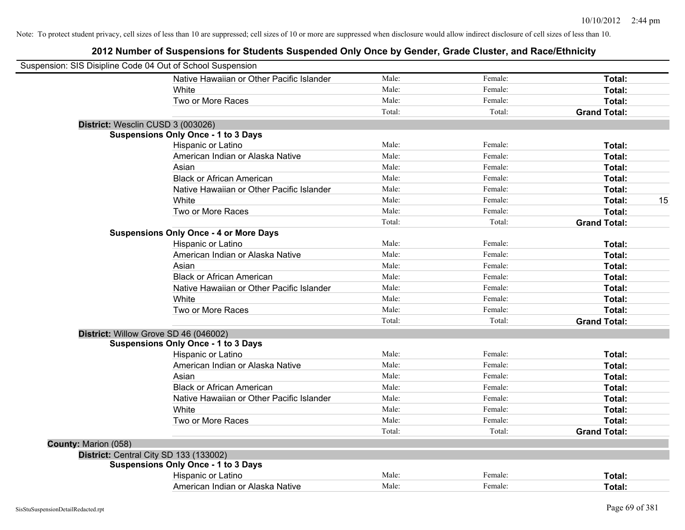| Suspension: SIS Disipline Code 04 Out of School Suspension |                                               |        |         |                     |    |
|------------------------------------------------------------|-----------------------------------------------|--------|---------|---------------------|----|
|                                                            | Native Hawaiian or Other Pacific Islander     | Male:  | Female: | Total:              |    |
|                                                            | White                                         | Male:  | Female: | Total:              |    |
|                                                            | Two or More Races                             | Male:  | Female: | Total:              |    |
|                                                            |                                               | Total: | Total:  | <b>Grand Total:</b> |    |
| District: Wesclin CUSD 3 (003026)                          |                                               |        |         |                     |    |
|                                                            | <b>Suspensions Only Once - 1 to 3 Days</b>    |        |         |                     |    |
|                                                            | Hispanic or Latino                            | Male:  | Female: | Total:              |    |
|                                                            | American Indian or Alaska Native              | Male:  | Female: | Total:              |    |
|                                                            | Asian                                         | Male:  | Female: | Total:              |    |
|                                                            | <b>Black or African American</b>              | Male:  | Female: | Total:              |    |
|                                                            | Native Hawaiian or Other Pacific Islander     | Male:  | Female: | Total:              |    |
|                                                            | White                                         | Male:  | Female: | Total:              | 15 |
|                                                            | Two or More Races                             | Male:  | Female: | Total:              |    |
|                                                            |                                               | Total: | Total:  | <b>Grand Total:</b> |    |
|                                                            | <b>Suspensions Only Once - 4 or More Days</b> |        |         |                     |    |
|                                                            | Hispanic or Latino                            | Male:  | Female: | Total:              |    |
|                                                            | American Indian or Alaska Native              | Male:  | Female: | Total:              |    |
|                                                            | Asian                                         | Male:  | Female: | Total:              |    |
|                                                            | <b>Black or African American</b>              | Male:  | Female: | Total:              |    |
|                                                            | Native Hawaiian or Other Pacific Islander     | Male:  | Female: | Total:              |    |
|                                                            | White                                         | Male:  | Female: | Total:              |    |
|                                                            | Two or More Races                             | Male:  | Female: | Total:              |    |
|                                                            |                                               | Total: | Total:  | <b>Grand Total:</b> |    |
| District: Willow Grove SD 46 (046002)                      |                                               |        |         |                     |    |
|                                                            | <b>Suspensions Only Once - 1 to 3 Days</b>    |        |         |                     |    |
|                                                            | Hispanic or Latino                            | Male:  | Female: | Total:              |    |
|                                                            | American Indian or Alaska Native              | Male:  | Female: | Total:              |    |
|                                                            | Asian                                         | Male:  | Female: | Total:              |    |
|                                                            | <b>Black or African American</b>              | Male:  | Female: | Total:              |    |
|                                                            | Native Hawaiian or Other Pacific Islander     | Male:  | Female: | Total:              |    |
|                                                            | White                                         | Male:  | Female: | Total:              |    |
|                                                            | Two or More Races                             | Male:  | Female: | Total:              |    |
|                                                            |                                               | Total: | Total:  | <b>Grand Total:</b> |    |
| County: Marion (058)                                       |                                               |        |         |                     |    |
| District: Central City SD 133 (133002)                     |                                               |        |         |                     |    |
|                                                            | <b>Suspensions Only Once - 1 to 3 Days</b>    |        |         |                     |    |
|                                                            | Hispanic or Latino                            | Male:  | Female: | Total:              |    |
|                                                            | American Indian or Alaska Native              | Male:  | Female: | Total:              |    |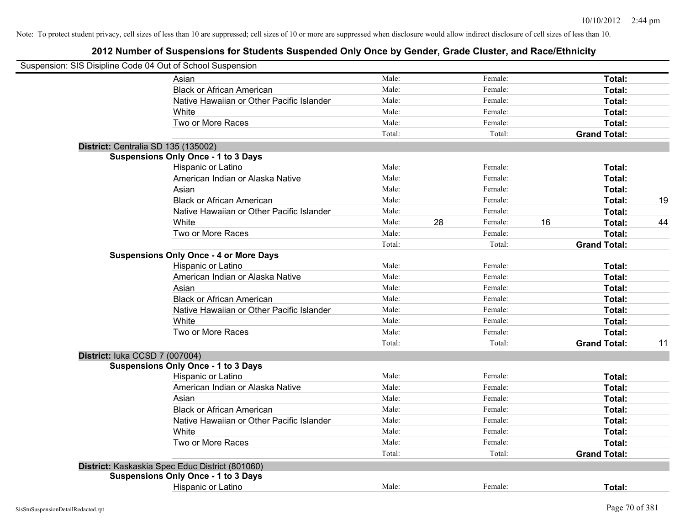| Suspension: SIS Disipline Code 04 Out of School Suspension |        |    |         |    |                     |    |
|------------------------------------------------------------|--------|----|---------|----|---------------------|----|
| Asian                                                      | Male:  |    | Female: |    | Total:              |    |
| <b>Black or African American</b>                           | Male:  |    | Female: |    | Total:              |    |
| Native Hawaiian or Other Pacific Islander                  | Male:  |    | Female: |    | Total:              |    |
| White                                                      | Male:  |    | Female: |    | Total:              |    |
| Two or More Races                                          | Male:  |    | Female: |    | Total:              |    |
|                                                            | Total: |    | Total:  |    | <b>Grand Total:</b> |    |
| District: Centralia SD 135 (135002)                        |        |    |         |    |                     |    |
| <b>Suspensions Only Once - 1 to 3 Days</b>                 |        |    |         |    |                     |    |
| Hispanic or Latino                                         | Male:  |    | Female: |    | Total:              |    |
| American Indian or Alaska Native                           | Male:  |    | Female: |    | Total:              |    |
| Asian                                                      | Male:  |    | Female: |    | Total:              |    |
| <b>Black or African American</b>                           | Male:  |    | Female: |    | Total:              | 19 |
| Native Hawaiian or Other Pacific Islander                  | Male:  |    | Female: |    | Total:              |    |
| White                                                      | Male:  | 28 | Female: | 16 | Total:              | 44 |
| Two or More Races                                          | Male:  |    | Female: |    | Total:              |    |
|                                                            | Total: |    | Total:  |    | <b>Grand Total:</b> |    |
| <b>Suspensions Only Once - 4 or More Days</b>              |        |    |         |    |                     |    |
| Hispanic or Latino                                         | Male:  |    | Female: |    | Total:              |    |
| American Indian or Alaska Native                           | Male:  |    | Female: |    | Total:              |    |
| Asian                                                      | Male:  |    | Female: |    | Total:              |    |
| <b>Black or African American</b>                           | Male:  |    | Female: |    | Total:              |    |
| Native Hawaiian or Other Pacific Islander                  | Male:  |    | Female: |    | Total:              |    |
| White                                                      | Male:  |    | Female: |    | Total:              |    |
| Two or More Races                                          | Male:  |    | Female: |    | Total:              |    |
|                                                            | Total: |    | Total:  |    | <b>Grand Total:</b> | 11 |
| District: luka CCSD 7 (007004)                             |        |    |         |    |                     |    |
| <b>Suspensions Only Once - 1 to 3 Days</b>                 |        |    |         |    |                     |    |
| Hispanic or Latino                                         | Male:  |    | Female: |    | Total:              |    |
| American Indian or Alaska Native                           | Male:  |    | Female: |    | Total:              |    |
| Asian                                                      | Male:  |    | Female: |    | Total:              |    |
| <b>Black or African American</b>                           | Male:  |    | Female: |    | Total:              |    |
| Native Hawaiian or Other Pacific Islander                  | Male:  |    | Female: |    | Total:              |    |
| White                                                      | Male:  |    | Female: |    | Total:              |    |
| Two or More Races                                          | Male:  |    | Female: |    | Total:              |    |
|                                                            | Total: |    | Total:  |    | <b>Grand Total:</b> |    |
| District: Kaskaskia Spec Educ District (801060)            |        |    |         |    |                     |    |
| <b>Suspensions Only Once - 1 to 3 Days</b>                 |        |    |         |    |                     |    |
| <b>Hispanic or Latino</b>                                  | Male:  |    | Female: |    | Total:              |    |
|                                                            |        |    |         |    |                     |    |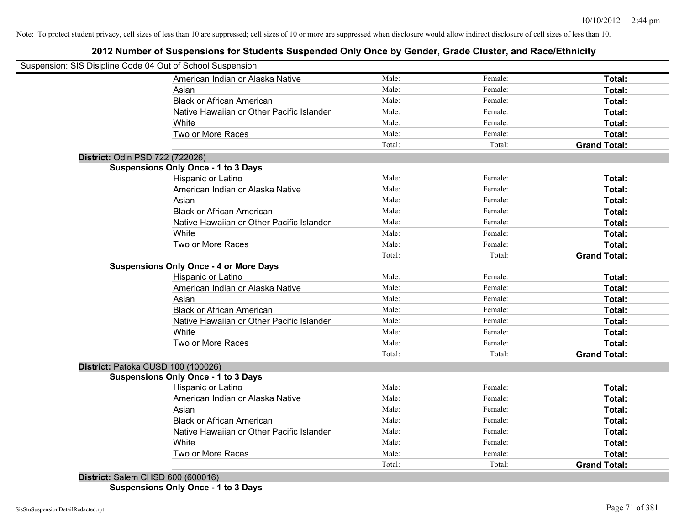### **2012 Number of Suspensions for Students Suspended Only Once by Gender, Grade Cluster, and Race/Ethnicity**

| Suspension: SIS Disipline Code 04 Out of School Suspension |        |         |                     |
|------------------------------------------------------------|--------|---------|---------------------|
| American Indian or Alaska Native                           | Male:  | Female: | Total:              |
| Asian                                                      | Male:  | Female: | Total:              |
| <b>Black or African American</b>                           | Male:  | Female: | Total:              |
| Native Hawaiian or Other Pacific Islander                  | Male:  | Female: | Total:              |
| White                                                      | Male:  | Female: | Total:              |
| Two or More Races                                          | Male:  | Female: | Total:              |
|                                                            | Total: | Total:  | <b>Grand Total:</b> |
| District: Odin PSD 722 (722026)                            |        |         |                     |
| <b>Suspensions Only Once - 1 to 3 Days</b>                 |        |         |                     |
| Hispanic or Latino                                         | Male:  | Female: | Total:              |
| American Indian or Alaska Native                           | Male:  | Female: | Total:              |
| Asian                                                      | Male:  | Female: | Total:              |
| <b>Black or African American</b>                           | Male:  | Female: | Total:              |
| Native Hawaiian or Other Pacific Islander                  | Male:  | Female: | Total:              |
| White                                                      | Male:  | Female: | Total:              |
| Two or More Races                                          | Male:  | Female: | Total:              |
|                                                            | Total: | Total:  | <b>Grand Total:</b> |
| <b>Suspensions Only Once - 4 or More Days</b>              |        |         |                     |
| Hispanic or Latino                                         | Male:  | Female: | Total:              |
| American Indian or Alaska Native                           | Male:  | Female: | Total:              |
| Asian                                                      | Male:  | Female: | Total:              |
| <b>Black or African American</b>                           | Male:  | Female: | Total:              |
| Native Hawaiian or Other Pacific Islander                  | Male:  | Female: | Total:              |
| White                                                      | Male:  | Female: | Total:              |
| Two or More Races                                          | Male:  | Female: | Total:              |
|                                                            | Total: | Total:  | <b>Grand Total:</b> |
| District: Patoka CUSD 100 (100026)                         |        |         |                     |
| <b>Suspensions Only Once - 1 to 3 Days</b>                 |        |         |                     |
| Hispanic or Latino                                         | Male:  | Female: | Total:              |
| American Indian or Alaska Native                           | Male:  | Female: | Total:              |
| Asian                                                      | Male:  | Female: | Total:              |
| <b>Black or African American</b>                           | Male:  | Female: | Total:              |
| Native Hawaiian or Other Pacific Islander                  | Male:  | Female: | Total:              |
| White                                                      | Male:  | Female: | Total:              |
| Two or More Races                                          | Male:  | Female: | Total:              |
|                                                            | Total: | Total:  | <b>Grand Total:</b> |

**Suspensions Only Once - 1 to 3 Days**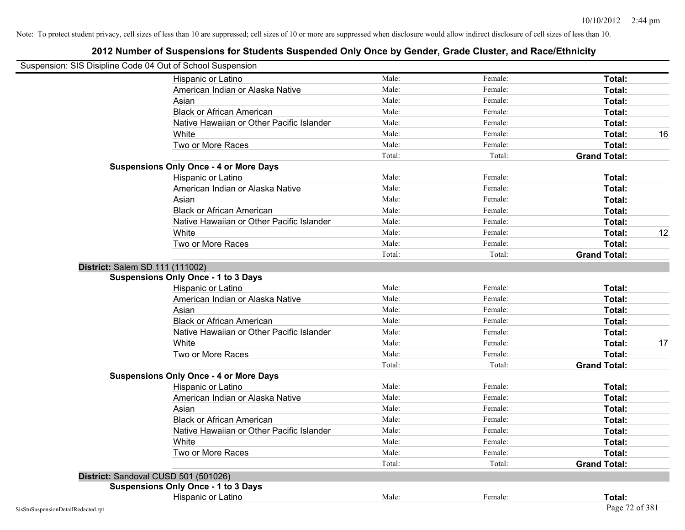|                                    | Suspension: SIS Disipline Code 04 Out of School Suspension |        |         |                     |    |
|------------------------------------|------------------------------------------------------------|--------|---------|---------------------|----|
|                                    | Hispanic or Latino                                         | Male:  | Female: | Total:              |    |
|                                    | American Indian or Alaska Native                           | Male:  | Female: | Total:              |    |
|                                    | Asian                                                      | Male:  | Female: | Total:              |    |
|                                    | <b>Black or African American</b>                           | Male:  | Female: | Total:              |    |
|                                    | Native Hawaiian or Other Pacific Islander                  | Male:  | Female: | Total:              |    |
|                                    | White                                                      | Male:  | Female: | Total:              | 16 |
|                                    | Two or More Races                                          | Male:  | Female: | Total:              |    |
|                                    |                                                            | Total: | Total:  | <b>Grand Total:</b> |    |
|                                    | <b>Suspensions Only Once - 4 or More Days</b>              |        |         |                     |    |
|                                    | Hispanic or Latino                                         | Male:  | Female: | Total:              |    |
|                                    | American Indian or Alaska Native                           | Male:  | Female: | Total:              |    |
|                                    | Asian                                                      | Male:  | Female: | Total:              |    |
|                                    | <b>Black or African American</b>                           | Male:  | Female: | Total:              |    |
|                                    | Native Hawaiian or Other Pacific Islander                  | Male:  | Female: | Total:              |    |
|                                    | White                                                      | Male:  | Female: | Total:              | 12 |
|                                    | Two or More Races                                          | Male:  | Female: | Total:              |    |
|                                    |                                                            | Total: | Total:  | <b>Grand Total:</b> |    |
|                                    | District: Salem SD 111 (111002)                            |        |         |                     |    |
|                                    | <b>Suspensions Only Once - 1 to 3 Days</b>                 |        |         |                     |    |
|                                    | Hispanic or Latino                                         | Male:  | Female: | Total:              |    |
|                                    | American Indian or Alaska Native                           | Male:  | Female: | Total:              |    |
|                                    | Asian                                                      | Male:  | Female: | Total:              |    |
|                                    | <b>Black or African American</b>                           | Male:  | Female: | Total:              |    |
|                                    | Native Hawaiian or Other Pacific Islander                  | Male:  | Female: | Total:              |    |
|                                    | White                                                      | Male:  | Female: | Total:              | 17 |
|                                    | Two or More Races                                          | Male:  | Female: | Total:              |    |
|                                    |                                                            | Total: | Total:  | <b>Grand Total:</b> |    |
|                                    | <b>Suspensions Only Once - 4 or More Days</b>              |        |         |                     |    |
|                                    | Hispanic or Latino                                         | Male:  | Female: | Total:              |    |
|                                    | American Indian or Alaska Native                           | Male:  | Female: | Total:              |    |
|                                    | Asian                                                      | Male:  | Female: | Total:              |    |
|                                    | <b>Black or African American</b>                           | Male:  | Female: | Total:              |    |
|                                    | Native Hawaiian or Other Pacific Islander                  | Male:  | Female: | Total:              |    |
|                                    | White                                                      | Male:  | Female: | Total:              |    |
|                                    | Two or More Races                                          | Male:  | Female: | Total:              |    |
|                                    |                                                            | Total: | Total:  | <b>Grand Total:</b> |    |
|                                    | District: Sandoval CUSD 501 (501026)                       |        |         |                     |    |
|                                    | <b>Suspensions Only Once - 1 to 3 Days</b>                 |        |         |                     |    |
|                                    | Hispanic or Latino                                         | Male:  | Female: | Total:              |    |
| SisStuSuspensionDetailRedacted.rpt |                                                            |        |         | Page 72 of 381      |    |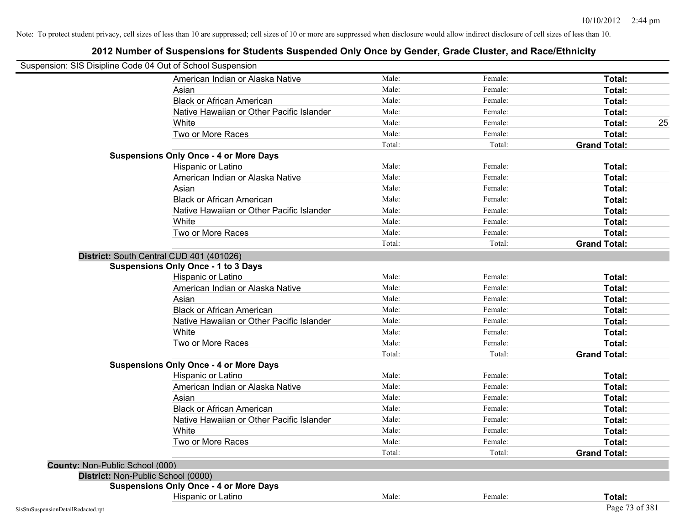| Suspension: SIS Disipline Code 04 Out of School Suspension |                                               |        |         |                     |
|------------------------------------------------------------|-----------------------------------------------|--------|---------|---------------------|
|                                                            | American Indian or Alaska Native              | Male:  | Female: | Total:              |
|                                                            | Asian                                         | Male:  | Female: | Total:              |
|                                                            | <b>Black or African American</b>              | Male:  | Female: | Total:              |
|                                                            | Native Hawaiian or Other Pacific Islander     | Male:  | Female: | Total:              |
|                                                            | White                                         | Male:  | Female: | Total:              |
|                                                            | Two or More Races                             | Male:  | Female: | Total:              |
|                                                            |                                               | Total: | Total:  | <b>Grand Total:</b> |
|                                                            | <b>Suspensions Only Once - 4 or More Days</b> |        |         |                     |
|                                                            | Hispanic or Latino                            | Male:  | Female: | Total:              |
|                                                            | American Indian or Alaska Native              | Male:  | Female: | Total:              |
|                                                            | Asian                                         | Male:  | Female: | Total:              |
|                                                            | <b>Black or African American</b>              | Male:  | Female: | Total:              |
|                                                            | Native Hawaiian or Other Pacific Islander     | Male:  | Female: | Total:              |
|                                                            | White                                         | Male:  | Female: | Total:              |
|                                                            | Two or More Races                             | Male:  | Female: | Total:              |
|                                                            |                                               | Total: | Total:  | <b>Grand Total:</b> |
|                                                            | District: South Central CUD 401 (401026)      |        |         |                     |
|                                                            | <b>Suspensions Only Once - 1 to 3 Days</b>    |        |         |                     |
|                                                            | Hispanic or Latino                            | Male:  | Female: | Total:              |
|                                                            | American Indian or Alaska Native              | Male:  | Female: | Total:              |
|                                                            | Asian                                         | Male:  | Female: | Total:              |
|                                                            | <b>Black or African American</b>              | Male:  | Female: | Total:              |
|                                                            | Native Hawaiian or Other Pacific Islander     | Male:  | Female: | Total:              |
|                                                            | White                                         | Male:  | Female: | Total:              |
|                                                            | Two or More Races                             | Male:  | Female: | Total:              |
|                                                            |                                               | Total: | Total:  | <b>Grand Total:</b> |
|                                                            | <b>Suspensions Only Once - 4 or More Days</b> |        |         |                     |
|                                                            | Hispanic or Latino                            | Male:  | Female: | Total:              |
|                                                            | American Indian or Alaska Native              | Male:  | Female: | Total:              |
|                                                            | Asian                                         | Male:  | Female: | Total:              |
|                                                            | <b>Black or African American</b>              | Male:  | Female: | Total:              |
|                                                            | Native Hawaiian or Other Pacific Islander     | Male:  | Female: | Total:              |
|                                                            | White                                         | Male:  | Female: | Total:              |
|                                                            | Two or More Races                             | Male:  | Female: | Total:              |
|                                                            |                                               | Total: | Total:  | <b>Grand Total:</b> |
| County: Non-Public School (000)                            |                                               |        |         |                     |
| District: Non-Public School (0000)                         |                                               |        |         |                     |
|                                                            | <b>Suspensions Only Once - 4 or More Days</b> |        |         |                     |
|                                                            | Hispanic or Latino                            | Male:  | Female: | Total:              |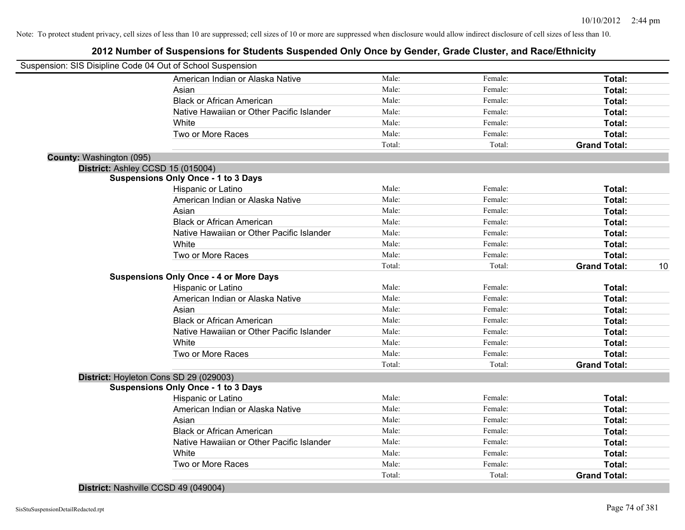# **2012 Number of Suspensions for Students Suspended Only Once by Gender, Grade Cluster, and Race/Ethnicity**

|                          | Suspension: SIS Disipline Code 04 Out of School Suspension |        |         |                     |    |
|--------------------------|------------------------------------------------------------|--------|---------|---------------------|----|
|                          | American Indian or Alaska Native                           | Male:  | Female: | Total:              |    |
|                          | Asian                                                      | Male:  | Female: | Total:              |    |
|                          | <b>Black or African American</b>                           | Male:  | Female: | Total:              |    |
|                          | Native Hawaiian or Other Pacific Islander                  | Male:  | Female: | Total:              |    |
|                          | White                                                      | Male:  | Female: | Total:              |    |
|                          | Two or More Races                                          | Male:  | Female: | Total:              |    |
|                          |                                                            | Total: | Total:  | <b>Grand Total:</b> |    |
| County: Washington (095) |                                                            |        |         |                     |    |
|                          | District: Ashley CCSD 15 (015004)                          |        |         |                     |    |
|                          | <b>Suspensions Only Once - 1 to 3 Days</b>                 |        |         |                     |    |
|                          | Hispanic or Latino                                         | Male:  | Female: | Total:              |    |
|                          | American Indian or Alaska Native                           | Male:  | Female: | Total:              |    |
|                          | Asian                                                      | Male:  | Female: | Total:              |    |
|                          | <b>Black or African American</b>                           | Male:  | Female: | Total:              |    |
|                          | Native Hawaiian or Other Pacific Islander                  | Male:  | Female: | Total:              |    |
|                          | White                                                      | Male:  | Female: | Total:              |    |
|                          | Two or More Races                                          | Male:  | Female: | Total:              |    |
|                          |                                                            | Total: | Total:  | <b>Grand Total:</b> | 10 |
|                          | <b>Suspensions Only Once - 4 or More Days</b>              |        |         |                     |    |
|                          | Hispanic or Latino                                         | Male:  | Female: | Total:              |    |
|                          | American Indian or Alaska Native                           | Male:  | Female: | Total:              |    |
|                          | Asian                                                      | Male:  | Female: | Total:              |    |
|                          | <b>Black or African American</b>                           | Male:  | Female: | Total:              |    |
|                          | Native Hawaiian or Other Pacific Islander                  | Male:  | Female: | Total:              |    |
|                          | White                                                      | Male:  | Female: | Total:              |    |
|                          | Two or More Races                                          | Male:  | Female: | Total:              |    |
|                          |                                                            | Total: | Total:  | <b>Grand Total:</b> |    |
|                          | District: Hoyleton Cons SD 29 (029003)                     |        |         |                     |    |
|                          | <b>Suspensions Only Once - 1 to 3 Days</b>                 |        |         |                     |    |
|                          | Hispanic or Latino                                         | Male:  | Female: | Total:              |    |
|                          | American Indian or Alaska Native                           | Male:  | Female: | Total:              |    |
|                          | Asian                                                      | Male:  | Female: | Total:              |    |
|                          | <b>Black or African American</b>                           | Male:  | Female: | Total:              |    |
|                          | Native Hawaiian or Other Pacific Islander                  | Male:  | Female: | Total:              |    |
|                          | White                                                      | Male:  | Female: | Total:              |    |
|                          | Two or More Races                                          | Male:  | Female: | Total:              |    |
|                          |                                                            | Total: | Total:  | <b>Grand Total:</b> |    |
|                          |                                                            |        |         |                     |    |

**District:** Nashville CCSD 49 (049004)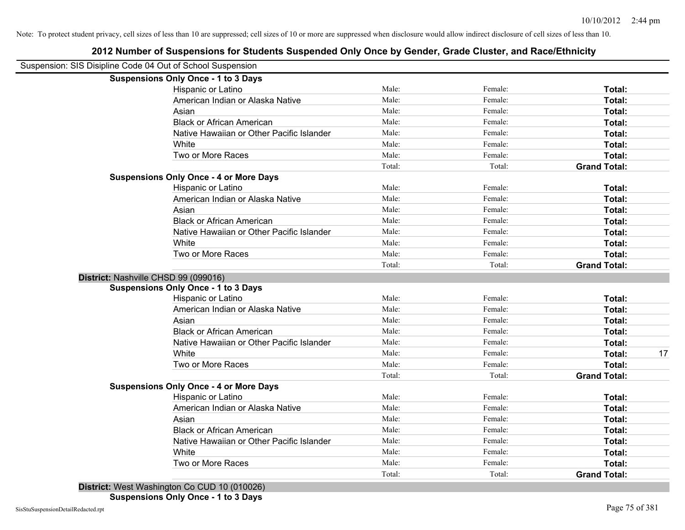| 2012 Number of Suspensions for Students Suspended Only Once by Gender, Grade Cluster, and Race/Ethnicity |        |         |                     |
|----------------------------------------------------------------------------------------------------------|--------|---------|---------------------|
| Suspension: SIS Disipline Code 04 Out of School Suspension                                               |        |         |                     |
| <b>Suspensions Only Once - 1 to 3 Days</b>                                                               |        |         |                     |
| Hispanic or Latino                                                                                       | Male:  | Female: | Total:              |
| American Indian or Alaska Native                                                                         | Male:  | Female: | Total:              |
| Asian                                                                                                    | Male:  | Female: | Total:              |
| <b>Black or African American</b>                                                                         | Male:  | Female: | Total:              |
| Native Hawaiian or Other Pacific Islander                                                                | Male:  | Female: | Total:              |
| White                                                                                                    | Male:  | Female: | Total:              |
| Two or More Races                                                                                        | Male:  | Female: | Total:              |
|                                                                                                          | Total: | Total:  | <b>Grand Total:</b> |
| <b>Suspensions Only Once - 4 or More Days</b>                                                            |        |         |                     |
| Hispanic or Latino                                                                                       | Male:  | Female: | Total:              |
| American Indian or Alaska Native                                                                         | Male:  | Female: | Total:              |
| Asian                                                                                                    | Male:  | Female: | Total:              |
| <b>Black or African American</b>                                                                         | Male:  | Female: | Total:              |
| Native Hawaiian or Other Pacific Islander                                                                | Male:  | Female: | Total:              |
| White                                                                                                    | Male:  | Female: | Total:              |
| Two or More Races                                                                                        | Male:  | Female: | Total:              |
|                                                                                                          | Total: | Total:  | <b>Grand Total:</b> |
| District: Nashville CHSD 99 (099016)                                                                     |        |         |                     |
| <b>Suspensions Only Once - 1 to 3 Days</b>                                                               |        |         |                     |
| Hispanic or Latino                                                                                       | Male:  | Female: | Total:              |
| American Indian or Alaska Native                                                                         | Male:  | Female: | Total:              |
| Asian                                                                                                    | Male:  | Female: | Total:              |
| <b>Black or African American</b>                                                                         | Male:  | Female: | Total:              |
| Native Hawaiian or Other Pacific Islander                                                                | Male:  | Female: | Total:              |
| White                                                                                                    | Male:  | Female: | Total:              |
| Two or More Races                                                                                        | Male:  | Female: | Total:              |
|                                                                                                          | Total: | Total:  | <b>Grand Total:</b> |
| <b>Suspensions Only Once - 4 or More Days</b>                                                            |        |         |                     |
| Hispanic or Latino                                                                                       | Male:  | Female: | Total:              |
| American Indian or Alaska Native                                                                         | Male:  | Female: | Total:              |
| Asian                                                                                                    | Male:  | Female: | Total:              |
| <b>Black or African American</b>                                                                         | Male:  | Female: | Total:              |
| Native Hawaiian or Other Pacific Islander                                                                | Male:  | Female: | Total:              |
| White                                                                                                    | Male:  | Female: | Total:              |
| Two or More Races                                                                                        | Male:  | Female: | Total:              |
|                                                                                                          | Total: | Total:  | <b>Grand Total:</b> |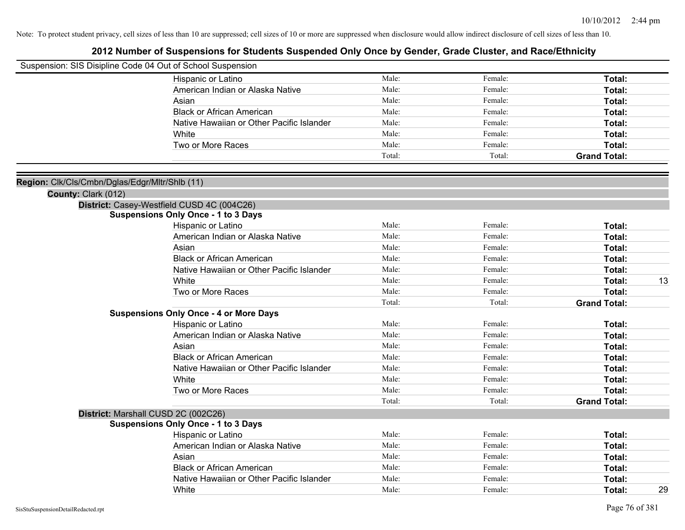|                                                | Suspension: SIS Disipline Code 04 Out of School Suspension |        |         |                     |    |
|------------------------------------------------|------------------------------------------------------------|--------|---------|---------------------|----|
|                                                | Hispanic or Latino                                         | Male:  | Female: | Total:              |    |
|                                                | American Indian or Alaska Native                           | Male:  | Female: | Total:              |    |
|                                                | Asian                                                      | Male:  | Female: | Total:              |    |
|                                                | <b>Black or African American</b>                           | Male:  | Female: | Total:              |    |
|                                                | Native Hawaiian or Other Pacific Islander                  | Male:  | Female: | Total:              |    |
|                                                | White                                                      | Male:  | Female: | Total:              |    |
|                                                | Two or More Races                                          | Male:  | Female: | Total:              |    |
|                                                |                                                            | Total: | Total:  | <b>Grand Total:</b> |    |
| Region: Clk/Cls/Cmbn/Dglas/Edgr/Mltr/Shlb (11) |                                                            |        |         |                     |    |
| County: Clark (012)                            |                                                            |        |         |                     |    |
|                                                | District: Casey-Westfield CUSD 4C (004C26)                 |        |         |                     |    |
|                                                | <b>Suspensions Only Once - 1 to 3 Days</b>                 |        |         |                     |    |
|                                                | Hispanic or Latino                                         | Male:  | Female: | Total:              |    |
|                                                | American Indian or Alaska Native                           | Male:  | Female: | Total:              |    |
|                                                | Asian                                                      | Male:  | Female: | Total:              |    |
|                                                | <b>Black or African American</b>                           | Male:  | Female: | Total:              |    |
|                                                | Native Hawaiian or Other Pacific Islander                  | Male:  | Female: | Total:              |    |
|                                                | White                                                      | Male:  | Female: | Total:              | 13 |
|                                                | Two or More Races                                          | Male:  | Female: | Total:              |    |
|                                                |                                                            | Total: | Total:  | <b>Grand Total:</b> |    |
|                                                | <b>Suspensions Only Once - 4 or More Days</b>              |        |         |                     |    |
|                                                | Hispanic or Latino                                         | Male:  | Female: | Total:              |    |
|                                                | American Indian or Alaska Native                           | Male:  | Female: | Total:              |    |
|                                                | Asian                                                      | Male:  | Female: | Total:              |    |
|                                                | <b>Black or African American</b>                           | Male:  | Female: | Total:              |    |
|                                                | Native Hawaiian or Other Pacific Islander                  | Male:  | Female: | Total:              |    |
|                                                | White                                                      | Male:  | Female: | Total:              |    |
|                                                | Two or More Races                                          | Male:  | Female: | Total:              |    |
|                                                |                                                            | Total: | Total:  | <b>Grand Total:</b> |    |
|                                                | District: Marshall CUSD 2C (002C26)                        |        |         |                     |    |
|                                                | <b>Suspensions Only Once - 1 to 3 Days</b>                 |        |         |                     |    |
|                                                | Hispanic or Latino                                         | Male:  | Female: | Total:              |    |
|                                                | American Indian or Alaska Native                           | Male:  | Female: | Total:              |    |
|                                                | Asian                                                      | Male:  | Female: | Total:              |    |
|                                                | <b>Black or African American</b>                           | Male:  | Female: | Total:              |    |
|                                                | Native Hawaiian or Other Pacific Islander                  | Male:  | Female: | Total:              |    |
|                                                | White                                                      | Male:  | Female: | Total:              | 29 |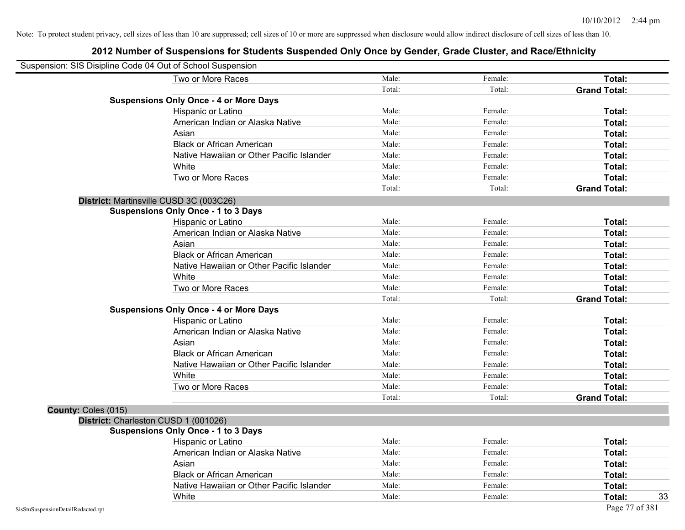| Suspension: SIS Disipline Code 04 Out of School Suspension |                                               |        |         |                     |
|------------------------------------------------------------|-----------------------------------------------|--------|---------|---------------------|
|                                                            | Two or More Races                             | Male:  | Female: | <b>Total:</b>       |
|                                                            |                                               | Total: | Total:  | <b>Grand Total:</b> |
|                                                            | <b>Suspensions Only Once - 4 or More Days</b> |        |         |                     |
|                                                            | Hispanic or Latino                            | Male:  | Female: | Total:              |
|                                                            | American Indian or Alaska Native              | Male:  | Female: | Total:              |
|                                                            | Asian                                         | Male:  | Female: | Total:              |
|                                                            | <b>Black or African American</b>              | Male:  | Female: | Total:              |
|                                                            | Native Hawaiian or Other Pacific Islander     | Male:  | Female: | Total:              |
|                                                            | White                                         | Male:  | Female: | Total:              |
|                                                            | Two or More Races                             | Male:  | Female: | Total:              |
|                                                            |                                               | Total: | Total:  | <b>Grand Total:</b> |
|                                                            | District: Martinsville CUSD 3C (003C26)       |        |         |                     |
|                                                            | <b>Suspensions Only Once - 1 to 3 Days</b>    |        |         |                     |
|                                                            | Hispanic or Latino                            | Male:  | Female: | Total:              |
|                                                            | American Indian or Alaska Native              | Male:  | Female: | Total:              |
|                                                            | Asian                                         | Male:  | Female: | Total:              |
|                                                            | <b>Black or African American</b>              | Male:  | Female: | Total:              |
|                                                            | Native Hawaiian or Other Pacific Islander     | Male:  | Female: | Total:              |
|                                                            | White                                         | Male:  | Female: | Total:              |
|                                                            | Two or More Races                             | Male:  | Female: | Total:              |
|                                                            |                                               | Total: | Total:  | <b>Grand Total:</b> |
|                                                            | <b>Suspensions Only Once - 4 or More Days</b> |        |         |                     |
|                                                            | Hispanic or Latino                            | Male:  | Female: | Total:              |
|                                                            | American Indian or Alaska Native              | Male:  | Female: | Total:              |
|                                                            | Asian                                         | Male:  | Female: | Total:              |
|                                                            | <b>Black or African American</b>              | Male:  | Female: | Total:              |
|                                                            | Native Hawaiian or Other Pacific Islander     | Male:  | Female: | Total:              |
|                                                            | White                                         | Male:  | Female: | Total:              |
|                                                            | Two or More Races                             | Male:  | Female: | Total:              |
|                                                            |                                               | Total: | Total:  | <b>Grand Total:</b> |
| County: Coles (015)                                        |                                               |        |         |                     |
|                                                            | District: Charleston CUSD 1 (001026)          |        |         |                     |
|                                                            | <b>Suspensions Only Once - 1 to 3 Days</b>    |        |         |                     |
|                                                            | Hispanic or Latino                            | Male:  | Female: | Total:              |
|                                                            | American Indian or Alaska Native              | Male:  | Female: | Total:              |
|                                                            | Asian                                         | Male:  | Female: | Total:              |
|                                                            | <b>Black or African American</b>              | Male:  | Female: | Total:              |
|                                                            | Native Hawaiian or Other Pacific Islander     | Male:  | Female: | Total:              |
|                                                            | White                                         | Male:  | Female: | Total:<br>33        |
| SisStuSuspensionDetailRedacted.rpt                         |                                               |        |         | Page 77 of 381      |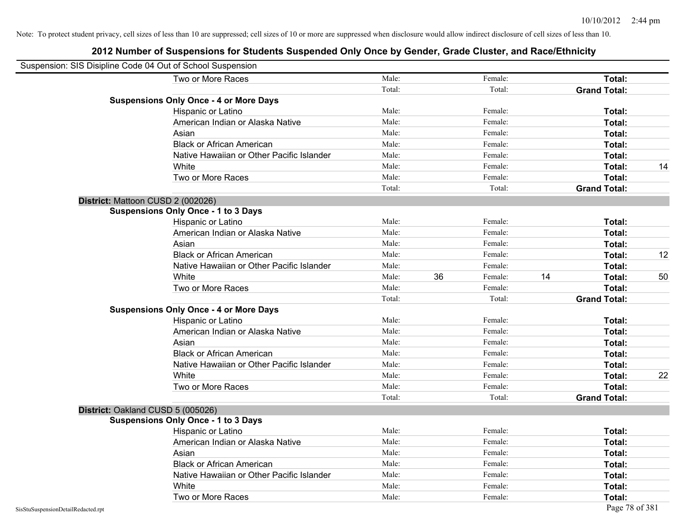|                                    | Suspension: SIS Disipline Code 04 Out of School Suspension |        |    |         |    |                     |    |
|------------------------------------|------------------------------------------------------------|--------|----|---------|----|---------------------|----|
|                                    | Two or More Races                                          | Male:  |    | Female: |    | Total:              |    |
|                                    |                                                            | Total: |    | Total:  |    | <b>Grand Total:</b> |    |
|                                    | <b>Suspensions Only Once - 4 or More Days</b>              |        |    |         |    |                     |    |
|                                    | Hispanic or Latino                                         | Male:  |    | Female: |    | Total:              |    |
|                                    | American Indian or Alaska Native                           | Male:  |    | Female: |    | Total:              |    |
|                                    | Asian                                                      | Male:  |    | Female: |    | Total:              |    |
|                                    | <b>Black or African American</b>                           | Male:  |    | Female: |    | Total:              |    |
|                                    | Native Hawaiian or Other Pacific Islander                  | Male:  |    | Female: |    | Total:              |    |
|                                    | White                                                      | Male:  |    | Female: |    | Total:              | 14 |
|                                    | Two or More Races                                          | Male:  |    | Female: |    | Total:              |    |
|                                    |                                                            | Total: |    | Total:  |    | <b>Grand Total:</b> |    |
|                                    | District: Mattoon CUSD 2 (002026)                          |        |    |         |    |                     |    |
|                                    | <b>Suspensions Only Once - 1 to 3 Days</b>                 |        |    |         |    |                     |    |
|                                    | Hispanic or Latino                                         | Male:  |    | Female: |    | Total:              |    |
|                                    | American Indian or Alaska Native                           | Male:  |    | Female: |    | Total:              |    |
|                                    | Asian                                                      | Male:  |    | Female: |    | Total:              |    |
|                                    | <b>Black or African American</b>                           | Male:  |    | Female: |    | Total:              | 12 |
|                                    | Native Hawaiian or Other Pacific Islander                  | Male:  |    | Female: |    | Total:              |    |
|                                    | White                                                      | Male:  | 36 | Female: | 14 | Total:              | 50 |
|                                    | Two or More Races                                          | Male:  |    | Female: |    | Total:              |    |
|                                    |                                                            | Total: |    | Total:  |    | <b>Grand Total:</b> |    |
|                                    | <b>Suspensions Only Once - 4 or More Days</b>              |        |    |         |    |                     |    |
|                                    | Hispanic or Latino                                         | Male:  |    | Female: |    | Total:              |    |
|                                    | American Indian or Alaska Native                           | Male:  |    | Female: |    | Total:              |    |
|                                    | Asian                                                      | Male:  |    | Female: |    | Total:              |    |
|                                    | <b>Black or African American</b>                           | Male:  |    | Female: |    | Total:              |    |
|                                    | Native Hawaiian or Other Pacific Islander                  | Male:  |    | Female: |    | Total:              |    |
|                                    | White                                                      | Male:  |    | Female: |    | Total:              | 22 |
|                                    | Two or More Races                                          | Male:  |    | Female: |    | Total:              |    |
|                                    |                                                            | Total: |    | Total:  |    | <b>Grand Total:</b> |    |
|                                    | District: Oakland CUSD 5 (005026)                          |        |    |         |    |                     |    |
|                                    | <b>Suspensions Only Once - 1 to 3 Days</b>                 |        |    |         |    |                     |    |
|                                    | Hispanic or Latino                                         | Male:  |    | Female: |    | Total:              |    |
|                                    | American Indian or Alaska Native                           | Male:  |    | Female: |    | Total:              |    |
|                                    | Asian                                                      | Male:  |    | Female: |    | Total:              |    |
|                                    | <b>Black or African American</b>                           | Male:  |    | Female: |    | Total:              |    |
|                                    | Native Hawaiian or Other Pacific Islander                  | Male:  |    | Female: |    | Total:              |    |
|                                    | White                                                      | Male:  |    | Female: |    | Total:              |    |
|                                    | Two or More Races                                          | Male:  |    | Female: |    | Total:              |    |
| SisStuSuspensionDetailRedacted.rpt |                                                            |        |    |         |    | Page 78 of 381      |    |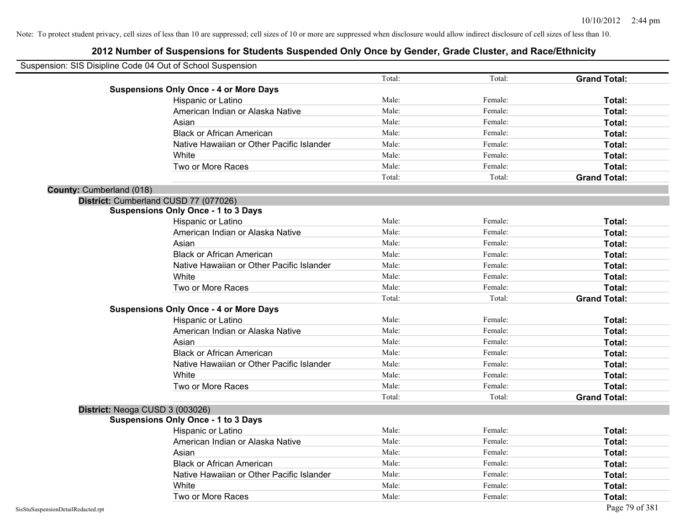| Suspension: SIS Disipline Code 04 Out of School Suspension |                                               |        |         |                     |
|------------------------------------------------------------|-----------------------------------------------|--------|---------|---------------------|
|                                                            |                                               | Total: | Total:  | <b>Grand Total:</b> |
|                                                            | <b>Suspensions Only Once - 4 or More Days</b> |        |         |                     |
|                                                            | Hispanic or Latino                            | Male:  | Female: | Total:              |
|                                                            | American Indian or Alaska Native              | Male:  | Female: | Total:              |
|                                                            | Asian                                         | Male:  | Female: | Total:              |
|                                                            | <b>Black or African American</b>              | Male:  | Female: | Total:              |
|                                                            | Native Hawaiian or Other Pacific Islander     | Male:  | Female: | Total:              |
|                                                            | White                                         | Male:  | Female: | Total:              |
|                                                            | Two or More Races                             | Male:  | Female: | Total:              |
|                                                            |                                               | Total: | Total:  | <b>Grand Total:</b> |
| <b>County: Cumberland (018)</b>                            |                                               |        |         |                     |
| District: Cumberland CUSD 77 (077026)                      |                                               |        |         |                     |
|                                                            | <b>Suspensions Only Once - 1 to 3 Days</b>    |        |         |                     |
|                                                            | Hispanic or Latino                            | Male:  | Female: | Total:              |
|                                                            | American Indian or Alaska Native              | Male:  | Female: | Total:              |
|                                                            | Asian                                         | Male:  | Female: | Total:              |
|                                                            | <b>Black or African American</b>              | Male:  | Female: | Total:              |
|                                                            | Native Hawaiian or Other Pacific Islander     | Male:  | Female: | Total:              |
|                                                            | White                                         | Male:  | Female: | Total:              |
|                                                            | Two or More Races                             | Male:  | Female: | Total:              |
|                                                            |                                               | Total: | Total:  | <b>Grand Total:</b> |
|                                                            | <b>Suspensions Only Once - 4 or More Days</b> |        |         |                     |
|                                                            | Hispanic or Latino                            | Male:  | Female: | Total:              |
|                                                            | American Indian or Alaska Native              | Male:  | Female: | Total:              |
|                                                            | Asian                                         | Male:  | Female: | Total:              |
|                                                            | <b>Black or African American</b>              | Male:  | Female: | Total:              |
|                                                            | Native Hawaiian or Other Pacific Islander     | Male:  | Female: | Total:              |
|                                                            | White                                         | Male:  | Female: | Total:              |
|                                                            | Two or More Races                             | Male:  | Female: | Total:              |
|                                                            |                                               | Total: | Total:  | <b>Grand Total:</b> |
| District: Neoga CUSD 3 (003026)                            |                                               |        |         |                     |
|                                                            | <b>Suspensions Only Once - 1 to 3 Days</b>    |        |         |                     |
|                                                            | Hispanic or Latino                            | Male:  | Female: | Total:              |
|                                                            | American Indian or Alaska Native              | Male:  | Female: | Total:              |
|                                                            | Asian                                         | Male:  | Female: | Total:              |
|                                                            | <b>Black or African American</b>              | Male:  | Female: | Total:              |
|                                                            | Native Hawaiian or Other Pacific Islander     | Male:  | Female: | Total:              |
|                                                            | White                                         | Male:  | Female: | Total:              |
|                                                            | Two or More Races                             | Male:  | Female: | Total:              |
| SisStuSuspensionDetailRedacted.rpt                         |                                               |        |         | Page 79 of 381      |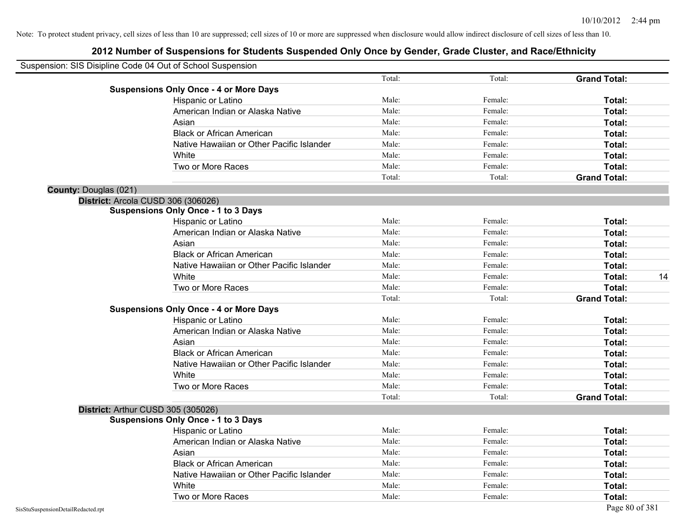| Suspension: SIS Disipline Code 04 Out of School Suspension |                                               |        |         |                     |    |
|------------------------------------------------------------|-----------------------------------------------|--------|---------|---------------------|----|
|                                                            |                                               | Total: | Total:  | <b>Grand Total:</b> |    |
|                                                            | <b>Suspensions Only Once - 4 or More Days</b> |        |         |                     |    |
|                                                            | Hispanic or Latino                            | Male:  | Female: | Total:              |    |
|                                                            | American Indian or Alaska Native              | Male:  | Female: | Total:              |    |
|                                                            | Asian                                         | Male:  | Female: | Total:              |    |
|                                                            | <b>Black or African American</b>              | Male:  | Female: | Total:              |    |
|                                                            | Native Hawaiian or Other Pacific Islander     | Male:  | Female: | Total:              |    |
|                                                            | White                                         | Male:  | Female: | Total:              |    |
|                                                            | Two or More Races                             | Male:  | Female: | Total:              |    |
|                                                            |                                               | Total: | Total:  | <b>Grand Total:</b> |    |
| <b>County: Douglas (021)</b>                               |                                               |        |         |                     |    |
| District: Arcola CUSD 306 (306026)                         |                                               |        |         |                     |    |
|                                                            | <b>Suspensions Only Once - 1 to 3 Days</b>    |        |         |                     |    |
|                                                            | Hispanic or Latino                            | Male:  | Female: | Total:              |    |
|                                                            | American Indian or Alaska Native              | Male:  | Female: | Total:              |    |
|                                                            | Asian                                         | Male:  | Female: | Total:              |    |
|                                                            | <b>Black or African American</b>              | Male:  | Female: | Total:              |    |
|                                                            | Native Hawaiian or Other Pacific Islander     | Male:  | Female: | Total:              |    |
|                                                            | White                                         | Male:  | Female: | Total:              | 14 |
|                                                            | Two or More Races                             | Male:  | Female: | Total:              |    |
|                                                            |                                               | Total: | Total:  | <b>Grand Total:</b> |    |
|                                                            | <b>Suspensions Only Once - 4 or More Days</b> |        |         |                     |    |
|                                                            | Hispanic or Latino                            | Male:  | Female: | Total:              |    |
|                                                            | American Indian or Alaska Native              | Male:  | Female: | Total:              |    |
|                                                            | Asian                                         | Male:  | Female: | Total:              |    |
|                                                            | <b>Black or African American</b>              | Male:  | Female: | Total:              |    |
|                                                            | Native Hawaiian or Other Pacific Islander     | Male:  | Female: | Total:              |    |
|                                                            | White                                         | Male:  | Female: | Total:              |    |
|                                                            | Two or More Races                             | Male:  | Female: | Total:              |    |
|                                                            |                                               | Total: | Total:  | <b>Grand Total:</b> |    |
| District: Arthur CUSD 305 (305026)                         |                                               |        |         |                     |    |
|                                                            | <b>Suspensions Only Once - 1 to 3 Days</b>    |        |         |                     |    |
|                                                            | Hispanic or Latino                            | Male:  | Female: | Total:              |    |
|                                                            | American Indian or Alaska Native              | Male:  | Female: | Total:              |    |
|                                                            | Asian                                         | Male:  | Female: | Total:              |    |
|                                                            | <b>Black or African American</b>              | Male:  | Female: | Total:              |    |
|                                                            | Native Hawaiian or Other Pacific Islander     | Male:  | Female: | Total:              |    |
|                                                            | White                                         | Male:  | Female: | Total:              |    |
|                                                            | Two or More Races                             | Male:  | Female: | Total:              |    |
| SisStuSuspensionDetailRedacted.rpt                         |                                               |        |         | Page 80 of 381      |    |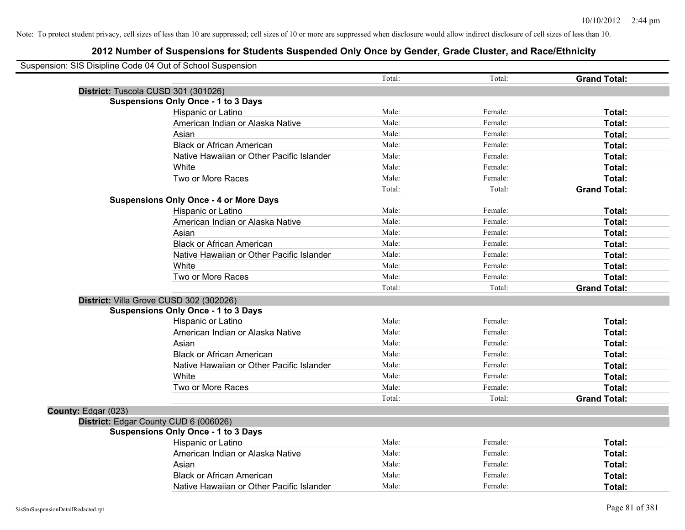| Suspension: SIS Disipline Code 04 Out of School Suspension |                                               |        |         |                     |
|------------------------------------------------------------|-----------------------------------------------|--------|---------|---------------------|
|                                                            |                                               | Total: | Total:  | <b>Grand Total:</b> |
|                                                            | District: Tuscola CUSD 301 (301026)           |        |         |                     |
|                                                            | <b>Suspensions Only Once - 1 to 3 Days</b>    |        |         |                     |
|                                                            | Hispanic or Latino                            | Male:  | Female: | Total:              |
|                                                            | American Indian or Alaska Native              | Male:  | Female: | Total:              |
|                                                            | Asian                                         | Male:  | Female: | Total:              |
|                                                            | <b>Black or African American</b>              | Male:  | Female: | Total:              |
|                                                            | Native Hawaiian or Other Pacific Islander     | Male:  | Female: | Total:              |
|                                                            | White                                         | Male:  | Female: | Total:              |
|                                                            | Two or More Races                             | Male:  | Female: | Total:              |
|                                                            |                                               | Total: | Total:  | <b>Grand Total:</b> |
|                                                            | <b>Suspensions Only Once - 4 or More Days</b> |        |         |                     |
|                                                            | Hispanic or Latino                            | Male:  | Female: | Total:              |
|                                                            | American Indian or Alaska Native              | Male:  | Female: | Total:              |
|                                                            | Asian                                         | Male:  | Female: | Total:              |
|                                                            | <b>Black or African American</b>              | Male:  | Female: | Total:              |
|                                                            | Native Hawaiian or Other Pacific Islander     | Male:  | Female: | Total:              |
|                                                            | White                                         | Male:  | Female: | Total:              |
|                                                            | Two or More Races                             | Male:  | Female: | Total:              |
|                                                            |                                               | Total: | Total:  | <b>Grand Total:</b> |
|                                                            | District: Villa Grove CUSD 302 (302026)       |        |         |                     |
|                                                            | <b>Suspensions Only Once - 1 to 3 Days</b>    |        |         |                     |
|                                                            | Hispanic or Latino                            | Male:  | Female: | Total:              |
|                                                            | American Indian or Alaska Native              | Male:  | Female: | Total:              |
|                                                            | Asian                                         | Male:  | Female: | Total:              |
|                                                            | <b>Black or African American</b>              | Male:  | Female: | Total:              |
|                                                            | Native Hawaiian or Other Pacific Islander     | Male:  | Female: | Total:              |
|                                                            | White                                         | Male:  | Female: | Total:              |
|                                                            | Two or More Races                             | Male:  | Female: | Total:              |
|                                                            |                                               | Total: | Total:  | <b>Grand Total:</b> |
| County: Edgar (023)                                        |                                               |        |         |                     |
|                                                            | District: Edgar County CUD 6 (006026)         |        |         |                     |
|                                                            | <b>Suspensions Only Once - 1 to 3 Days</b>    |        |         |                     |
|                                                            | Hispanic or Latino                            | Male:  | Female: | Total:              |
|                                                            | American Indian or Alaska Native              | Male:  | Female: | Total:              |
|                                                            | Asian                                         | Male:  | Female: | Total:              |
|                                                            | <b>Black or African American</b>              | Male:  | Female: | Total:              |
|                                                            | Native Hawaiian or Other Pacific Islander     | Male:  | Female: | Total:              |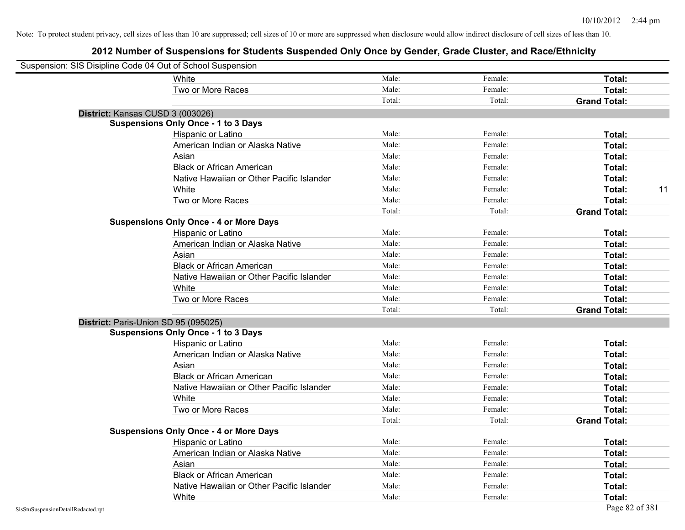| Suspension: SIS Disipline Code 04 Out of School Suspension |                                               |        |         |                     |
|------------------------------------------------------------|-----------------------------------------------|--------|---------|---------------------|
|                                                            | White                                         | Male:  | Female: | Total:              |
|                                                            | Two or More Races                             | Male:  | Female: | Total:              |
|                                                            |                                               | Total: | Total:  | <b>Grand Total:</b> |
| District: Kansas CUSD 3 (003026)                           |                                               |        |         |                     |
|                                                            | <b>Suspensions Only Once - 1 to 3 Days</b>    |        |         |                     |
|                                                            | Hispanic or Latino                            | Male:  | Female: | Total:              |
|                                                            | American Indian or Alaska Native              | Male:  | Female: | Total:              |
|                                                            | Asian                                         | Male:  | Female: | Total:              |
|                                                            | <b>Black or African American</b>              | Male:  | Female: | Total:              |
|                                                            | Native Hawaiian or Other Pacific Islander     | Male:  | Female: | Total:              |
|                                                            | White                                         | Male:  | Female: | Total:<br>11        |
|                                                            | Two or More Races                             | Male:  | Female: | Total:              |
|                                                            |                                               | Total: | Total:  | <b>Grand Total:</b> |
|                                                            | <b>Suspensions Only Once - 4 or More Days</b> |        |         |                     |
|                                                            | Hispanic or Latino                            | Male:  | Female: | Total:              |
|                                                            | American Indian or Alaska Native              | Male:  | Female: | Total:              |
|                                                            | Asian                                         | Male:  | Female: | Total:              |
|                                                            | <b>Black or African American</b>              | Male:  | Female: | Total:              |
|                                                            | Native Hawaiian or Other Pacific Islander     | Male:  | Female: | Total:              |
|                                                            | White                                         | Male:  | Female: | Total:              |
|                                                            | Two or More Races                             | Male:  | Female: | Total:              |
|                                                            |                                               | Total: | Total:  | <b>Grand Total:</b> |
| District: Paris-Union SD 95 (095025)                       |                                               |        |         |                     |
|                                                            | <b>Suspensions Only Once - 1 to 3 Days</b>    |        |         |                     |
|                                                            | Hispanic or Latino                            | Male:  | Female: | Total:              |
|                                                            | American Indian or Alaska Native              | Male:  | Female: | Total:              |
|                                                            | Asian                                         | Male:  | Female: | Total:              |
|                                                            | <b>Black or African American</b>              | Male:  | Female: | Total:              |
|                                                            | Native Hawaiian or Other Pacific Islander     | Male:  | Female: | Total:              |
|                                                            | White                                         | Male:  | Female: | Total:              |
|                                                            | Two or More Races                             | Male:  | Female: | Total:              |
|                                                            |                                               | Total: | Total:  | <b>Grand Total:</b> |
|                                                            | <b>Suspensions Only Once - 4 or More Days</b> |        |         |                     |
|                                                            | Hispanic or Latino                            | Male:  | Female: | Total:              |
|                                                            | American Indian or Alaska Native              | Male:  | Female: | Total:              |
|                                                            | Asian                                         | Male:  | Female: | Total:              |
|                                                            | <b>Black or African American</b>              | Male:  | Female: | Total:              |
|                                                            | Native Hawaiian or Other Pacific Islander     | Male:  | Female: | Total:              |
|                                                            | White                                         | Male:  | Female: | Total:              |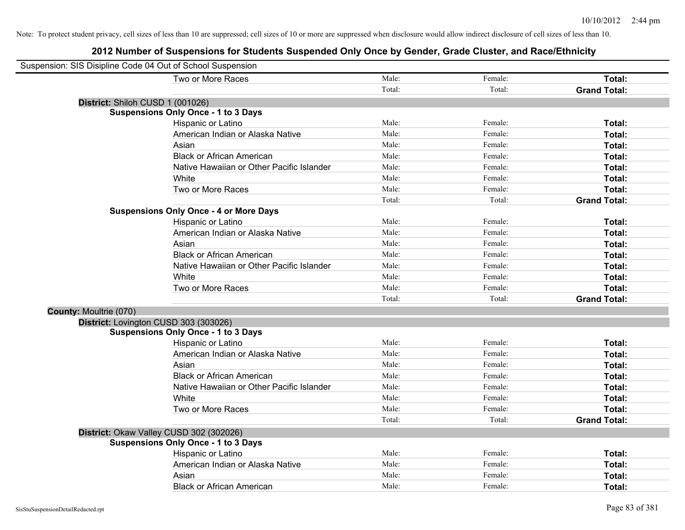| Suspension: SIS Disipline Code 04 Out of School Suspension |                                               |        |         |                     |
|------------------------------------------------------------|-----------------------------------------------|--------|---------|---------------------|
|                                                            | Two or More Races                             | Male:  | Female: | Total:              |
|                                                            |                                               | Total: | Total:  | <b>Grand Total:</b> |
| District: Shiloh CUSD 1 (001026)                           |                                               |        |         |                     |
|                                                            | <b>Suspensions Only Once - 1 to 3 Days</b>    |        |         |                     |
|                                                            | Hispanic or Latino                            | Male:  | Female: | Total:              |
|                                                            | American Indian or Alaska Native              | Male:  | Female: | Total:              |
|                                                            | Asian                                         | Male:  | Female: | Total:              |
|                                                            | <b>Black or African American</b>              | Male:  | Female: | Total:              |
|                                                            | Native Hawaiian or Other Pacific Islander     | Male:  | Female: | Total:              |
|                                                            | White                                         | Male:  | Female: | Total:              |
|                                                            | Two or More Races                             | Male:  | Female: | Total:              |
|                                                            |                                               | Total: | Total:  | <b>Grand Total:</b> |
|                                                            | <b>Suspensions Only Once - 4 or More Days</b> |        |         |                     |
|                                                            | Hispanic or Latino                            | Male:  | Female: | Total:              |
|                                                            | American Indian or Alaska Native              | Male:  | Female: | Total:              |
|                                                            | Asian                                         | Male:  | Female: | Total:              |
|                                                            | <b>Black or African American</b>              | Male:  | Female: | Total:              |
|                                                            | Native Hawaiian or Other Pacific Islander     | Male:  | Female: | Total:              |
|                                                            | White                                         | Male:  | Female: | Total:              |
|                                                            | Two or More Races                             | Male:  | Female: | Total:              |
|                                                            |                                               | Total: | Total:  | <b>Grand Total:</b> |
| <b>County: Moultrie (070)</b>                              |                                               |        |         |                     |
|                                                            | District: Lovington CUSD 303 (303026)         |        |         |                     |
|                                                            | <b>Suspensions Only Once - 1 to 3 Days</b>    |        |         |                     |
|                                                            | Hispanic or Latino                            | Male:  | Female: | Total:              |
|                                                            | American Indian or Alaska Native              | Male:  | Female: | Total:              |
|                                                            | Asian                                         | Male:  | Female: | Total:              |
|                                                            | <b>Black or African American</b>              | Male:  | Female: | Total:              |
|                                                            | Native Hawaiian or Other Pacific Islander     | Male:  | Female: | Total:              |
|                                                            | White                                         | Male:  | Female: | Total:              |
|                                                            | Two or More Races                             | Male:  | Female: | Total:              |
|                                                            |                                               | Total: | Total:  | <b>Grand Total:</b> |
|                                                            | District: Okaw Valley CUSD 302 (302026)       |        |         |                     |
|                                                            | <b>Suspensions Only Once - 1 to 3 Days</b>    |        |         |                     |
|                                                            | Hispanic or Latino                            | Male:  | Female: | Total:              |
|                                                            | American Indian or Alaska Native              | Male:  | Female: | Total:              |
|                                                            | Asian                                         | Male:  | Female: | Total:              |
|                                                            | <b>Black or African American</b>              | Male:  | Female: | Total:              |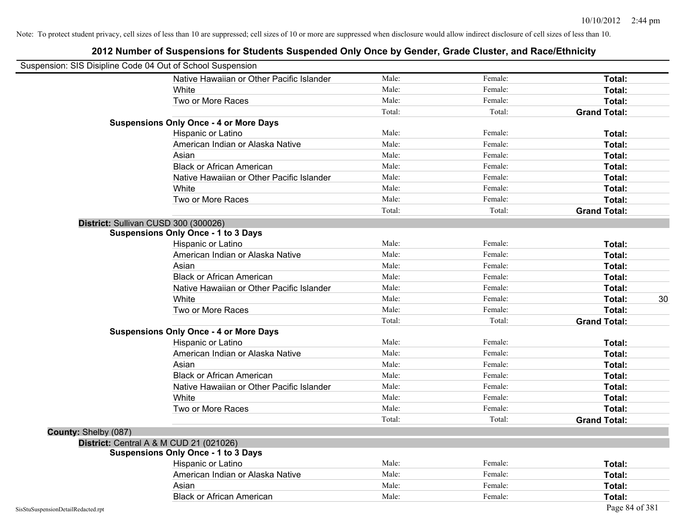| Suspension: SIS Disipline Code 04 Out of School Suspension |                                               |        |         |                     |
|------------------------------------------------------------|-----------------------------------------------|--------|---------|---------------------|
|                                                            | Native Hawaiian or Other Pacific Islander     | Male:  | Female: | Total:              |
|                                                            | White                                         | Male:  | Female: | Total:              |
|                                                            | Two or More Races                             | Male:  | Female: | Total:              |
|                                                            |                                               | Total: | Total:  | <b>Grand Total:</b> |
|                                                            | <b>Suspensions Only Once - 4 or More Days</b> |        |         |                     |
|                                                            | Hispanic or Latino                            | Male:  | Female: | Total:              |
|                                                            | American Indian or Alaska Native              | Male:  | Female: | Total:              |
|                                                            | Asian                                         | Male:  | Female: | Total:              |
|                                                            | <b>Black or African American</b>              | Male:  | Female: | Total:              |
|                                                            | Native Hawaiian or Other Pacific Islander     | Male:  | Female: | Total:              |
|                                                            | White                                         | Male:  | Female: | Total:              |
|                                                            | Two or More Races                             | Male:  | Female: | Total:              |
|                                                            |                                               | Total: | Total:  | <b>Grand Total:</b> |
|                                                            | District: Sullivan CUSD 300 (300026)          |        |         |                     |
|                                                            | <b>Suspensions Only Once - 1 to 3 Days</b>    |        |         |                     |
|                                                            | Hispanic or Latino                            | Male:  | Female: | Total:              |
|                                                            | American Indian or Alaska Native              | Male:  | Female: | Total:              |
|                                                            | Asian                                         | Male:  | Female: | Total:              |
|                                                            | <b>Black or African American</b>              | Male:  | Female: | Total:              |
|                                                            | Native Hawaiian or Other Pacific Islander     | Male:  | Female: | Total:              |
|                                                            | White                                         | Male:  | Female: | 30<br>Total:        |
|                                                            | Two or More Races                             | Male:  | Female: | Total:              |
|                                                            |                                               | Total: | Total:  | <b>Grand Total:</b> |
|                                                            | <b>Suspensions Only Once - 4 or More Days</b> |        |         |                     |
|                                                            | Hispanic or Latino                            | Male:  | Female: | Total:              |
|                                                            | American Indian or Alaska Native              | Male:  | Female: | Total:              |
|                                                            | Asian                                         | Male:  | Female: | Total:              |
|                                                            | <b>Black or African American</b>              | Male:  | Female: | Total:              |
|                                                            | Native Hawaiian or Other Pacific Islander     | Male:  | Female: | Total:              |
|                                                            | White                                         | Male:  | Female: | Total:              |
|                                                            | Two or More Races                             | Male:  | Female: | Total:              |
|                                                            |                                               | Total: | Total:  | <b>Grand Total:</b> |
| County: Shelby (087)                                       |                                               |        |         |                     |
|                                                            | District: Central A & M CUD 21 (021026)       |        |         |                     |
|                                                            | <b>Suspensions Only Once - 1 to 3 Days</b>    |        |         |                     |
|                                                            | Hispanic or Latino                            | Male:  | Female: | Total:              |
|                                                            | American Indian or Alaska Native              | Male:  | Female: | Total:              |
|                                                            | Asian                                         | Male:  | Female: | Total:              |
|                                                            | <b>Black or African American</b>              | Male:  | Female: | Total:              |
| SisStuSuspensionDetailRedacted.rpt                         |                                               |        |         | Page 84 of 381      |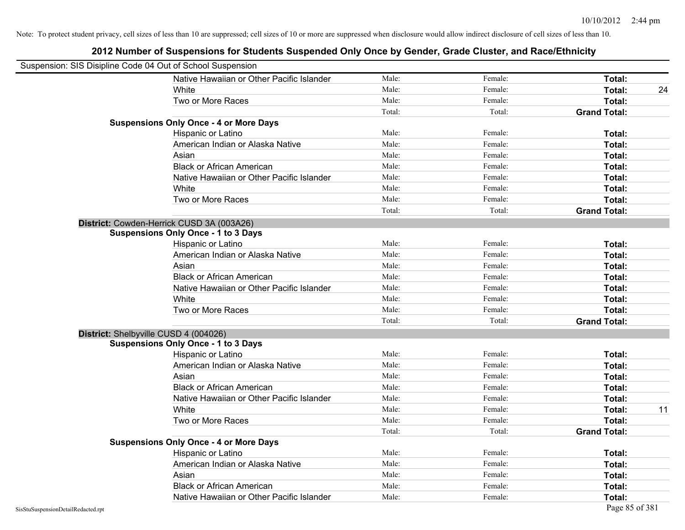|                                    | Suspension: SIS Disipline Code 04 Out of School Suspension |        |         |                     |
|------------------------------------|------------------------------------------------------------|--------|---------|---------------------|
|                                    | Native Hawaiian or Other Pacific Islander                  | Male:  | Female: | Total:              |
|                                    | White                                                      | Male:  | Female: | Total:<br>24        |
|                                    | Two or More Races                                          | Male:  | Female: | Total:              |
|                                    |                                                            | Total: | Total:  | <b>Grand Total:</b> |
|                                    | <b>Suspensions Only Once - 4 or More Days</b>              |        |         |                     |
|                                    | Hispanic or Latino                                         | Male:  | Female: | Total:              |
|                                    | American Indian or Alaska Native                           | Male:  | Female: | Total:              |
|                                    | Asian                                                      | Male:  | Female: | Total:              |
|                                    | <b>Black or African American</b>                           | Male:  | Female: | Total:              |
|                                    | Native Hawaiian or Other Pacific Islander                  | Male:  | Female: | Total:              |
|                                    | White                                                      | Male:  | Female: | Total:              |
|                                    | Two or More Races                                          | Male:  | Female: | Total:              |
|                                    |                                                            | Total: | Total:  | <b>Grand Total:</b> |
|                                    | District: Cowden-Herrick CUSD 3A (003A26)                  |        |         |                     |
|                                    | <b>Suspensions Only Once - 1 to 3 Days</b>                 |        |         |                     |
|                                    | Hispanic or Latino                                         | Male:  | Female: | Total:              |
|                                    | American Indian or Alaska Native                           | Male:  | Female: | Total:              |
|                                    | Asian                                                      | Male:  | Female: | Total:              |
|                                    | <b>Black or African American</b>                           | Male:  | Female: | Total:              |
|                                    | Native Hawaiian or Other Pacific Islander                  | Male:  | Female: | Total:              |
|                                    | White                                                      | Male:  | Female: | Total:              |
|                                    | Two or More Races                                          | Male:  | Female: | Total:              |
|                                    |                                                            | Total: | Total:  | <b>Grand Total:</b> |
|                                    | District: Shelbyville CUSD 4 (004026)                      |        |         |                     |
|                                    | <b>Suspensions Only Once - 1 to 3 Days</b>                 |        |         |                     |
|                                    | Hispanic or Latino                                         | Male:  | Female: | Total:              |
|                                    | American Indian or Alaska Native                           | Male:  | Female: | Total:              |
|                                    | Asian                                                      | Male:  | Female: | Total:              |
|                                    | <b>Black or African American</b>                           | Male:  | Female: | Total:              |
|                                    | Native Hawaiian or Other Pacific Islander                  | Male:  | Female: | Total:              |
|                                    | White                                                      | Male:  | Female: | 11<br>Total:        |
|                                    | Two or More Races                                          | Male:  | Female: | Total:              |
|                                    |                                                            | Total: | Total:  | <b>Grand Total:</b> |
|                                    | <b>Suspensions Only Once - 4 or More Days</b>              |        |         |                     |
|                                    | Hispanic or Latino                                         | Male:  | Female: | Total:              |
|                                    | American Indian or Alaska Native                           | Male:  | Female: | Total:              |
|                                    | Asian                                                      | Male:  | Female: | Total:              |
|                                    | <b>Black or African American</b>                           | Male:  | Female: | Total:              |
|                                    | Native Hawaiian or Other Pacific Islander                  | Male:  | Female: | Total:              |
| SisStuSuspensionDetailRedacted.rpt |                                                            |        |         | Page 85 of 381      |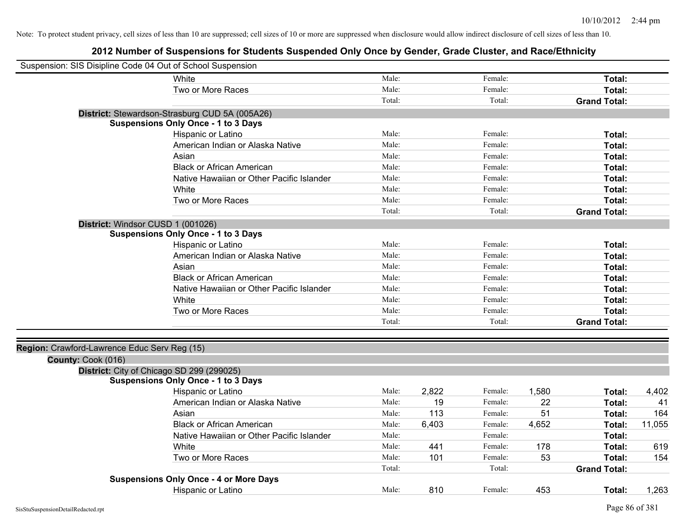| Suspension: SIS Disipline Code 04 Out of School Suspension |                                                |        |       |         |       |                     |        |
|------------------------------------------------------------|------------------------------------------------|--------|-------|---------|-------|---------------------|--------|
|                                                            | White                                          | Male:  |       | Female: |       | Total:              |        |
|                                                            | Two or More Races                              | Male:  |       | Female: |       | Total:              |        |
|                                                            |                                                | Total: |       | Total:  |       | <b>Grand Total:</b> |        |
|                                                            | District: Stewardson-Strasburg CUD 5A (005A26) |        |       |         |       |                     |        |
|                                                            | <b>Suspensions Only Once - 1 to 3 Days</b>     |        |       |         |       |                     |        |
|                                                            | Hispanic or Latino                             | Male:  |       | Female: |       | <b>Total:</b>       |        |
|                                                            | American Indian or Alaska Native               | Male:  |       | Female: |       | Total:              |        |
|                                                            | Asian                                          | Male:  |       | Female: |       | Total:              |        |
|                                                            | <b>Black or African American</b>               | Male:  |       | Female: |       | Total:              |        |
|                                                            | Native Hawaiian or Other Pacific Islander      | Male:  |       | Female: |       | Total:              |        |
|                                                            | White                                          | Male:  |       | Female: |       | Total:              |        |
|                                                            | Two or More Races                              | Male:  |       | Female: |       | Total:              |        |
|                                                            |                                                | Total: |       | Total:  |       | <b>Grand Total:</b> |        |
| District: Windsor CUSD 1 (001026)                          |                                                |        |       |         |       |                     |        |
|                                                            | <b>Suspensions Only Once - 1 to 3 Days</b>     |        |       |         |       |                     |        |
|                                                            | Hispanic or Latino                             | Male:  |       | Female: |       | Total:              |        |
|                                                            | American Indian or Alaska Native               | Male:  |       | Female: |       | Total:              |        |
|                                                            | Asian                                          | Male:  |       | Female: |       | Total:              |        |
|                                                            | <b>Black or African American</b>               | Male:  |       | Female: |       | Total:              |        |
|                                                            | Native Hawaiian or Other Pacific Islander      | Male:  |       | Female: |       | <b>Total:</b>       |        |
|                                                            | White                                          | Male:  |       | Female: |       | Total:              |        |
|                                                            | Two or More Races                              | Male:  |       | Female: |       | Total:              |        |
|                                                            |                                                | Total: |       | Total:  |       | <b>Grand Total:</b> |        |
| Region: Crawford-Lawrence Educ Serv Reg (15)               |                                                |        |       |         |       |                     |        |
| County: Cook (016)                                         |                                                |        |       |         |       |                     |        |
|                                                            | District: City of Chicago SD 299 (299025)      |        |       |         |       |                     |        |
|                                                            | <b>Suspensions Only Once - 1 to 3 Days</b>     |        |       |         |       |                     |        |
|                                                            | Hispanic or Latino                             | Male:  | 2,822 | Female: | 1,580 | Total:              | 4,402  |
|                                                            | American Indian or Alaska Native               | Male:  | 19    | Female: | 22    | Total:              | 41     |
|                                                            | Asian                                          | Male:  | 113   | Female: | 51    | Total:              | 164    |
|                                                            | <b>Black or African American</b>               | Male:  | 6,403 | Female: | 4,652 | <b>Total:</b>       | 11,055 |
|                                                            | Native Hawaiian or Other Pacific Islander      | Male:  |       | Female: |       | <b>Total:</b>       |        |
|                                                            | White                                          | Male:  | 441   | Female: | 178   | Total:              | 619    |
|                                                            | Two or More Races                              | Male:  | 101   | Female: | 53    | <b>Total:</b>       | 154    |
|                                                            |                                                | Total: |       | Total:  |       | <b>Grand Total:</b> |        |
|                                                            | <b>Suspensions Only Once - 4 or More Days</b>  |        |       |         |       |                     |        |
|                                                            | Hispanic or Latino                             | Male:  | 810   | Female: | 453   | Total:              | 1,263  |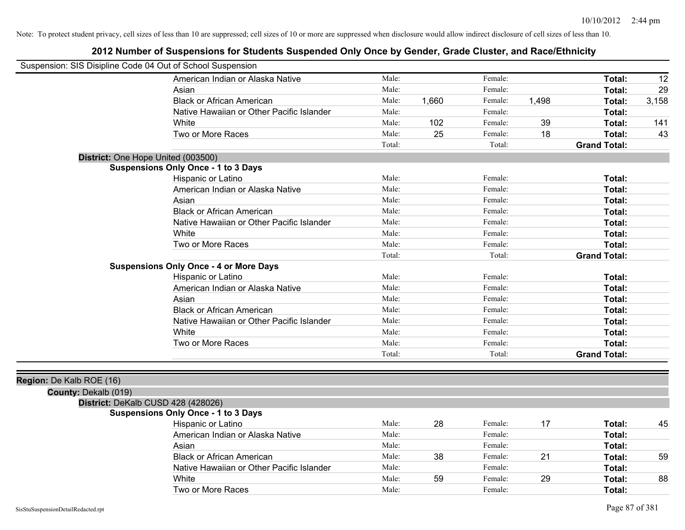| Suspension: SIS Disipline Code 04 Out of School Suspension |                                               |        |       |         |       |                     |       |
|------------------------------------------------------------|-----------------------------------------------|--------|-------|---------|-------|---------------------|-------|
|                                                            | American Indian or Alaska Native              | Male:  |       | Female: |       | Total:              | 12    |
|                                                            | Asian                                         | Male:  |       | Female: |       | Total:              | 29    |
|                                                            | <b>Black or African American</b>              | Male:  | 1,660 | Female: | 1,498 | Total:              | 3,158 |
|                                                            | Native Hawaiian or Other Pacific Islander     | Male:  |       | Female: |       | Total:              |       |
|                                                            | White                                         | Male:  | 102   | Female: | 39    | Total:              | 141   |
|                                                            | Two or More Races                             | Male:  | 25    | Female: | 18    | Total:              | 43    |
|                                                            |                                               | Total: |       | Total:  |       | <b>Grand Total:</b> |       |
| District: One Hope United (003500)                         |                                               |        |       |         |       |                     |       |
|                                                            | <b>Suspensions Only Once - 1 to 3 Days</b>    |        |       |         |       |                     |       |
|                                                            | Hispanic or Latino                            | Male:  |       | Female: |       | Total:              |       |
|                                                            | American Indian or Alaska Native              | Male:  |       | Female: |       | Total:              |       |
|                                                            | Asian                                         | Male:  |       | Female: |       | Total:              |       |
|                                                            | <b>Black or African American</b>              | Male:  |       | Female: |       | Total:              |       |
|                                                            | Native Hawaiian or Other Pacific Islander     | Male:  |       | Female: |       | Total:              |       |
|                                                            | White                                         | Male:  |       | Female: |       | Total:              |       |
|                                                            | Two or More Races                             | Male:  |       | Female: |       | Total:              |       |
|                                                            |                                               | Total: |       | Total:  |       | <b>Grand Total:</b> |       |
|                                                            | <b>Suspensions Only Once - 4 or More Days</b> |        |       |         |       |                     |       |
|                                                            | Hispanic or Latino                            | Male:  |       | Female: |       | Total:              |       |
|                                                            | American Indian or Alaska Native              | Male:  |       | Female: |       | Total:              |       |
|                                                            | Asian                                         | Male:  |       | Female: |       | Total:              |       |
|                                                            | <b>Black or African American</b>              | Male:  |       | Female: |       | Total:              |       |
|                                                            | Native Hawaiian or Other Pacific Islander     | Male:  |       | Female: |       | Total:              |       |
|                                                            | White                                         | Male:  |       | Female: |       | Total:              |       |
|                                                            | Two or More Races                             | Male:  |       | Female: |       | Total:              |       |
|                                                            |                                               | Total: |       | Total:  |       | <b>Grand Total:</b> |       |
| Region: De Kalb ROE (16)<br>County: Dekalb (019)           |                                               |        |       |         |       |                     |       |
| District: DeKalb CUSD 428 (428026)                         |                                               |        |       |         |       |                     |       |
|                                                            | <b>Suspensions Only Once - 1 to 3 Days</b>    |        |       |         |       |                     |       |
|                                                            | Hispanic or Latino                            | Male:  | 28    | Female: | 17    | Total:              | 45    |
|                                                            | American Indian or Alaska Native              | Male:  |       | Female: |       | Total:              |       |
|                                                            | Asian                                         | Male:  |       | Female: |       | Total:              |       |
|                                                            | <b>Black or African American</b>              | Male:  | 38    | Female: | 21    | Total:              | 59    |
|                                                            | Native Hawaiian or Other Pacific Islander     | Male:  |       | Female: |       | Total:              |       |
|                                                            | White                                         | Male:  | 59    | Female: | 29    | Total:              | 88    |
|                                                            | Two or More Races                             | Male:  |       | Female: |       | Total:              |       |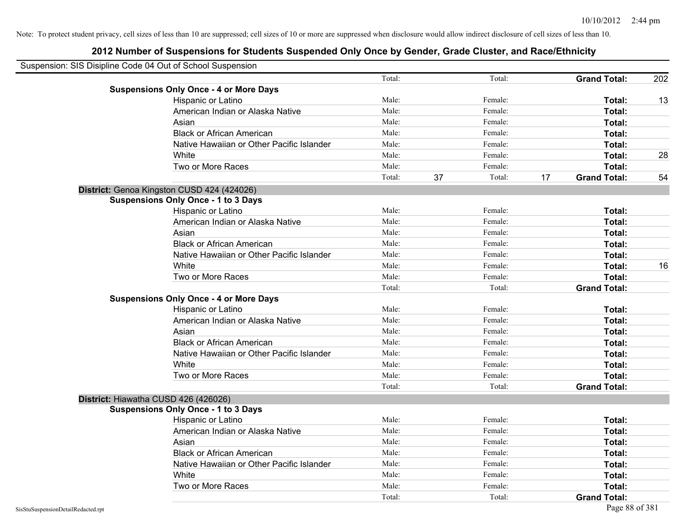| Suspension: SIS Disipline Code 04 Out of School Suspension |                                               |        |    |         |    |                     |     |
|------------------------------------------------------------|-----------------------------------------------|--------|----|---------|----|---------------------|-----|
|                                                            |                                               | Total: |    | Total:  |    | <b>Grand Total:</b> | 202 |
|                                                            | <b>Suspensions Only Once - 4 or More Days</b> |        |    |         |    |                     |     |
|                                                            | Hispanic or Latino                            | Male:  |    | Female: |    | Total:              | 13  |
|                                                            | American Indian or Alaska Native              | Male:  |    | Female: |    | Total:              |     |
|                                                            | Asian                                         | Male:  |    | Female: |    | Total:              |     |
|                                                            | <b>Black or African American</b>              | Male:  |    | Female: |    | Total:              |     |
|                                                            | Native Hawaiian or Other Pacific Islander     | Male:  |    | Female: |    | Total:              |     |
|                                                            | White                                         | Male:  |    | Female: |    | Total:              | 28  |
|                                                            | Two or More Races                             | Male:  |    | Female: |    | Total:              |     |
|                                                            |                                               | Total: | 37 | Total:  | 17 | <b>Grand Total:</b> | 54  |
|                                                            | District: Genoa Kingston CUSD 424 (424026)    |        |    |         |    |                     |     |
|                                                            | <b>Suspensions Only Once - 1 to 3 Days</b>    |        |    |         |    |                     |     |
|                                                            | Hispanic or Latino                            | Male:  |    | Female: |    | Total:              |     |
|                                                            | American Indian or Alaska Native              | Male:  |    | Female: |    | Total:              |     |
|                                                            | Asian                                         | Male:  |    | Female: |    | Total:              |     |
|                                                            | <b>Black or African American</b>              | Male:  |    | Female: |    | Total:              |     |
|                                                            | Native Hawaiian or Other Pacific Islander     | Male:  |    | Female: |    | Total:              |     |
|                                                            | White                                         | Male:  |    | Female: |    | Total:              | 16  |
|                                                            | Two or More Races                             | Male:  |    | Female: |    | Total:              |     |
|                                                            |                                               | Total: |    | Total:  |    | <b>Grand Total:</b> |     |
|                                                            | <b>Suspensions Only Once - 4 or More Days</b> |        |    |         |    |                     |     |
|                                                            | Hispanic or Latino                            | Male:  |    | Female: |    | Total:              |     |
|                                                            | American Indian or Alaska Native              | Male:  |    | Female: |    | Total:              |     |
|                                                            | Asian                                         | Male:  |    | Female: |    | Total:              |     |
|                                                            | <b>Black or African American</b>              | Male:  |    | Female: |    | Total:              |     |
|                                                            | Native Hawaiian or Other Pacific Islander     | Male:  |    | Female: |    | Total:              |     |
|                                                            | White                                         | Male:  |    | Female: |    | Total:              |     |
|                                                            | Two or More Races                             | Male:  |    | Female: |    | Total:              |     |
|                                                            |                                               | Total: |    | Total:  |    | <b>Grand Total:</b> |     |
| District: Hiawatha CUSD 426 (426026)                       |                                               |        |    |         |    |                     |     |
|                                                            | <b>Suspensions Only Once - 1 to 3 Days</b>    |        |    |         |    |                     |     |
|                                                            | Hispanic or Latino                            | Male:  |    | Female: |    | Total:              |     |
|                                                            | American Indian or Alaska Native              | Male:  |    | Female: |    | Total:              |     |
|                                                            | Asian                                         | Male:  |    | Female: |    | Total:              |     |
|                                                            | <b>Black or African American</b>              | Male:  |    | Female: |    | Total:              |     |
|                                                            | Native Hawaiian or Other Pacific Islander     | Male:  |    | Female: |    | Total:              |     |
|                                                            | White                                         | Male:  |    | Female: |    | Total:              |     |
|                                                            | Two or More Races                             | Male:  |    | Female: |    | Total:              |     |
|                                                            |                                               | Total: |    | Total:  |    | <b>Grand Total:</b> |     |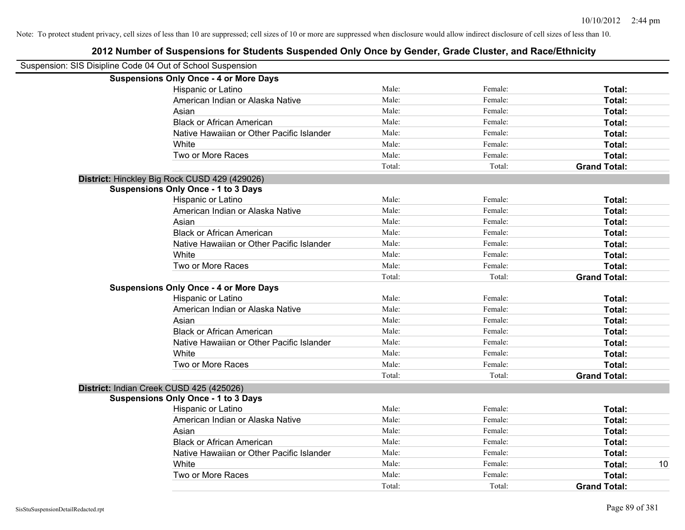| Suspension: SIS Disipline Code 04 Out of School Suspension |        |         |                     |    |
|------------------------------------------------------------|--------|---------|---------------------|----|
| <b>Suspensions Only Once - 4 or More Days</b>              |        |         |                     |    |
| Hispanic or Latino                                         | Male:  | Female: | Total:              |    |
| American Indian or Alaska Native                           | Male:  | Female: | Total:              |    |
| Asian                                                      | Male:  | Female: | Total:              |    |
| <b>Black or African American</b>                           | Male:  | Female: | Total:              |    |
| Native Hawaiian or Other Pacific Islander                  | Male:  | Female: | Total:              |    |
| White                                                      | Male:  | Female: | Total:              |    |
| Two or More Races                                          | Male:  | Female: | Total:              |    |
|                                                            | Total: | Total:  | <b>Grand Total:</b> |    |
| District: Hinckley Big Rock CUSD 429 (429026)              |        |         |                     |    |
| <b>Suspensions Only Once - 1 to 3 Days</b>                 |        |         |                     |    |
| Hispanic or Latino                                         | Male:  | Female: | Total:              |    |
| American Indian or Alaska Native                           | Male:  | Female: | Total:              |    |
| Asian                                                      | Male:  | Female: | Total:              |    |
| <b>Black or African American</b>                           | Male:  | Female: | Total:              |    |
| Native Hawaiian or Other Pacific Islander                  | Male:  | Female: | Total:              |    |
| White                                                      | Male:  | Female: | Total:              |    |
| Two or More Races                                          | Male:  | Female: | Total:              |    |
|                                                            | Total: | Total:  | <b>Grand Total:</b> |    |
| <b>Suspensions Only Once - 4 or More Days</b>              |        |         |                     |    |
| Hispanic or Latino                                         | Male:  | Female: | Total:              |    |
| American Indian or Alaska Native                           | Male:  | Female: | Total:              |    |
| Asian                                                      | Male:  | Female: | Total:              |    |
| <b>Black or African American</b>                           | Male:  | Female: | Total:              |    |
| Native Hawaiian or Other Pacific Islander                  | Male:  | Female: | Total:              |    |
| White                                                      | Male:  | Female: | Total:              |    |
| Two or More Races                                          | Male:  | Female: | Total:              |    |
|                                                            | Total: | Total:  | <b>Grand Total:</b> |    |
| District: Indian Creek CUSD 425 (425026)                   |        |         |                     |    |
| <b>Suspensions Only Once - 1 to 3 Days</b>                 |        |         |                     |    |
| Hispanic or Latino                                         | Male:  | Female: | Total:              |    |
| American Indian or Alaska Native                           | Male:  | Female: | Total:              |    |
| Asian                                                      | Male:  | Female: | Total:              |    |
| <b>Black or African American</b>                           | Male:  | Female: | Total:              |    |
| Native Hawaiian or Other Pacific Islander                  | Male:  | Female: | Total:              |    |
| White                                                      | Male:  | Female: | Total:              | 10 |
| Two or More Races                                          | Male:  | Female: | Total:              |    |
|                                                            | Total: | Total:  | <b>Grand Total:</b> |    |
|                                                            |        |         |                     |    |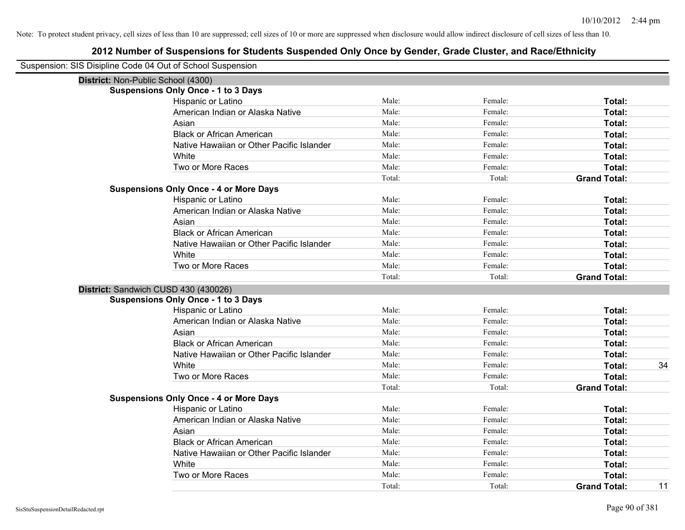| Suspension: SIS Disipline Code 04 Out of School Suspension |                                               |        |         |                     |    |
|------------------------------------------------------------|-----------------------------------------------|--------|---------|---------------------|----|
| District: Non-Public School (4300)                         |                                               |        |         |                     |    |
|                                                            | <b>Suspensions Only Once - 1 to 3 Days</b>    |        |         |                     |    |
|                                                            | Hispanic or Latino                            | Male:  | Female: | Total:              |    |
|                                                            | American Indian or Alaska Native              | Male:  | Female: | Total:              |    |
|                                                            | Asian                                         | Male:  | Female: | Total:              |    |
|                                                            | <b>Black or African American</b>              | Male:  | Female: | Total:              |    |
|                                                            | Native Hawaiian or Other Pacific Islander     | Male:  | Female: | Total:              |    |
|                                                            | White                                         | Male:  | Female: | Total:              |    |
|                                                            | Two or More Races                             | Male:  | Female: | Total:              |    |
|                                                            |                                               | Total: | Total:  | <b>Grand Total:</b> |    |
|                                                            | <b>Suspensions Only Once - 4 or More Days</b> |        |         |                     |    |
|                                                            | Hispanic or Latino                            | Male:  | Female: | Total:              |    |
|                                                            | American Indian or Alaska Native              | Male:  | Female: | Total:              |    |
|                                                            | Asian                                         | Male:  | Female: | Total:              |    |
|                                                            | <b>Black or African American</b>              | Male:  | Female: | Total:              |    |
|                                                            | Native Hawaiian or Other Pacific Islander     | Male:  | Female: | Total:              |    |
|                                                            | White                                         | Male:  | Female: | Total:              |    |
|                                                            | Two or More Races                             | Male:  | Female: | Total:              |    |
|                                                            |                                               | Total: | Total:  | <b>Grand Total:</b> |    |
| District: Sandwich CUSD 430 (430026)                       |                                               |        |         |                     |    |
|                                                            | <b>Suspensions Only Once - 1 to 3 Days</b>    |        |         |                     |    |
|                                                            | Hispanic or Latino                            | Male:  | Female: | Total:              |    |
|                                                            | American Indian or Alaska Native              | Male:  | Female: | Total:              |    |
|                                                            | Asian                                         | Male:  | Female: | Total:              |    |
|                                                            | <b>Black or African American</b>              | Male:  | Female: | Total:              |    |
|                                                            | Native Hawaiian or Other Pacific Islander     | Male:  | Female: | Total:              |    |
|                                                            | White                                         | Male:  | Female: | Total:              | 34 |
|                                                            | Two or More Races                             | Male:  | Female: | Total:              |    |
|                                                            |                                               | Total: | Total:  | <b>Grand Total:</b> |    |
|                                                            | <b>Suspensions Only Once - 4 or More Days</b> |        |         |                     |    |
|                                                            | Hispanic or Latino                            | Male:  | Female: | Total:              |    |
|                                                            | American Indian or Alaska Native              | Male:  | Female: | Total:              |    |
|                                                            | Asian                                         | Male:  | Female: | Total:              |    |
|                                                            | <b>Black or African American</b>              | Male:  | Female: | Total:              |    |
|                                                            | Native Hawaiian or Other Pacific Islander     | Male:  | Female: | Total:              |    |
|                                                            | White                                         | Male:  | Female: | Total:              |    |
|                                                            | Two or More Races                             | Male:  | Female: | Total:              |    |
|                                                            |                                               | Total: | Total:  | <b>Grand Total:</b> | 11 |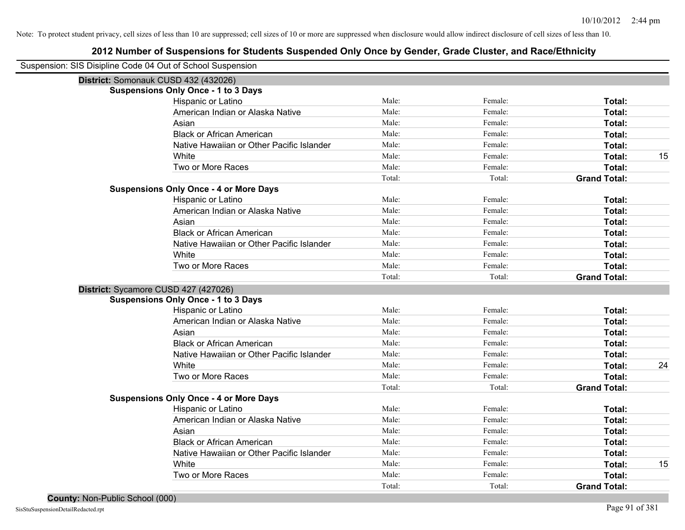| Suspension: SIS Disipline Code 04 Out of School Suspension |        |         |                     |    |
|------------------------------------------------------------|--------|---------|---------------------|----|
| District: Somonauk CUSD 432 (432026)                       |        |         |                     |    |
| <b>Suspensions Only Once - 1 to 3 Days</b>                 |        |         |                     |    |
| Hispanic or Latino                                         | Male:  | Female: | Total:              |    |
| American Indian or Alaska Native                           | Male:  | Female: | Total:              |    |
| Asian                                                      | Male:  | Female: | Total:              |    |
| <b>Black or African American</b>                           | Male:  | Female: | Total:              |    |
| Native Hawaiian or Other Pacific Islander                  | Male:  | Female: | Total:              |    |
| White                                                      | Male:  | Female: | Total:              | 15 |
| Two or More Races                                          | Male:  | Female: | Total:              |    |
|                                                            | Total: | Total:  | <b>Grand Total:</b> |    |
| <b>Suspensions Only Once - 4 or More Days</b>              |        |         |                     |    |
| Hispanic or Latino                                         | Male:  | Female: | Total:              |    |
| American Indian or Alaska Native                           | Male:  | Female: | Total:              |    |
| Asian                                                      | Male:  | Female: | Total:              |    |
| <b>Black or African American</b>                           | Male:  | Female: | Total:              |    |
| Native Hawaiian or Other Pacific Islander                  | Male:  | Female: | Total:              |    |
| White                                                      | Male:  | Female: | Total:              |    |
| Two or More Races                                          | Male:  | Female: | Total:              |    |
|                                                            | Total: | Total:  | <b>Grand Total:</b> |    |
| District: Sycamore CUSD 427 (427026)                       |        |         |                     |    |
| <b>Suspensions Only Once - 1 to 3 Days</b>                 |        |         |                     |    |
| Hispanic or Latino                                         | Male:  | Female: | Total:              |    |
| American Indian or Alaska Native                           | Male:  | Female: | Total:              |    |
| Asian                                                      | Male:  | Female: | Total:              |    |
| <b>Black or African American</b>                           | Male:  | Female: | Total:              |    |
| Native Hawaiian or Other Pacific Islander                  | Male:  | Female: | Total:              |    |
| White                                                      | Male:  | Female: | Total:              | 24 |
| Two or More Races                                          | Male:  | Female: | Total:              |    |
|                                                            | Total: | Total:  | <b>Grand Total:</b> |    |
| <b>Suspensions Only Once - 4 or More Days</b>              |        |         |                     |    |
| Hispanic or Latino                                         | Male:  | Female: | Total:              |    |
| American Indian or Alaska Native                           | Male:  | Female: | Total:              |    |
| Asian                                                      | Male:  | Female: | Total:              |    |
| <b>Black or African American</b>                           | Male:  | Female: | Total:              |    |
| Native Hawaiian or Other Pacific Islander                  | Male:  | Female: | Total:              |    |
| White                                                      | Male:  | Female: | Total:              | 15 |
| Two or More Races                                          | Male:  | Female: | Total:              |    |
|                                                            | Total: | Total:  | <b>Grand Total:</b> |    |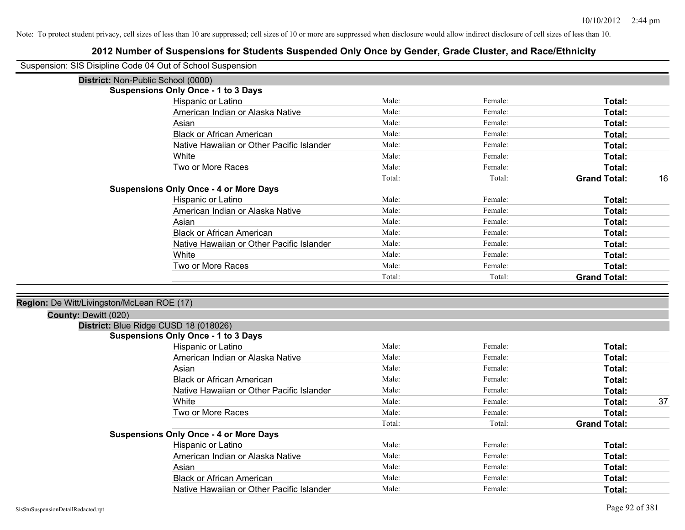| Suspension: SIS Disipline Code 04 Out of School Suspension |                                               |        |         |                     |    |
|------------------------------------------------------------|-----------------------------------------------|--------|---------|---------------------|----|
|                                                            | District: Non-Public School (0000)            |        |         |                     |    |
|                                                            | <b>Suspensions Only Once - 1 to 3 Days</b>    |        |         |                     |    |
|                                                            | Hispanic or Latino                            | Male:  | Female: | Total:              |    |
|                                                            | American Indian or Alaska Native              | Male:  | Female: | Total:              |    |
|                                                            | Asian                                         | Male:  | Female: | Total:              |    |
|                                                            | <b>Black or African American</b>              | Male:  | Female: | Total:              |    |
|                                                            | Native Hawaiian or Other Pacific Islander     | Male:  | Female: | Total:              |    |
|                                                            | White                                         | Male:  | Female: | Total:              |    |
|                                                            | Two or More Races                             | Male:  | Female: | Total:              |    |
|                                                            |                                               | Total: | Total:  | <b>Grand Total:</b> | 16 |
|                                                            | <b>Suspensions Only Once - 4 or More Days</b> |        |         |                     |    |
|                                                            | Hispanic or Latino                            | Male:  | Female: | Total:              |    |
|                                                            | American Indian or Alaska Native              | Male:  | Female: | Total:              |    |
|                                                            | Asian                                         | Male:  | Female: | Total:              |    |
|                                                            | <b>Black or African American</b>              | Male:  | Female: | Total:              |    |
|                                                            | Native Hawaiian or Other Pacific Islander     | Male:  | Female: | Total:              |    |
|                                                            | White                                         | Male:  | Female: | Total:              |    |
|                                                            | Two or More Races                             | Male:  | Female: | Total:              |    |
|                                                            |                                               | Total: | Total:  | <b>Grand Total:</b> |    |
|                                                            |                                               |        |         |                     |    |
| Region: De Witt/Livingston/McLean ROE (17)                 |                                               |        |         |                     |    |
| County: Dewitt (020)                                       |                                               |        |         |                     |    |
|                                                            | District: Blue Ridge CUSD 18 (018026)         |        |         |                     |    |
|                                                            | <b>Suspensions Only Once - 1 to 3 Days</b>    |        |         |                     |    |
|                                                            | Hispanic or Latino                            | Male:  | Female: | Total:              |    |
|                                                            | American Indian or Alaska Native              | Male:  | Female: | Total:              |    |
|                                                            | Asian                                         | Male:  | Female: | Total:              |    |
|                                                            | <b>Black or African American</b>              | Male:  | Female: | Total:              |    |
|                                                            | Native Hawaiian or Other Pacific Islander     | Male:  | Female: | Total:              |    |
|                                                            | White                                         | Male:  | Female: | Total:              | 37 |
|                                                            | Two or More Races                             | Male:  | Female: | <b>Total:</b>       |    |
|                                                            |                                               | Total: | Total:  | <b>Grand Total:</b> |    |
|                                                            | <b>Suspensions Only Once - 4 or More Days</b> |        |         |                     |    |
|                                                            | Hispanic or Latino                            | Male:  | Female: | Total:              |    |
|                                                            | American Indian or Alaska Native              | Male:  | Female: | Total:              |    |
|                                                            | Asian                                         | Male:  | Female: | Total:              |    |
|                                                            | <b>Black or African American</b>              | Male:  | Female: | Total:              |    |
|                                                            | Native Hawaiian or Other Pacific Islander     | Male:  | Female: | Total:              |    |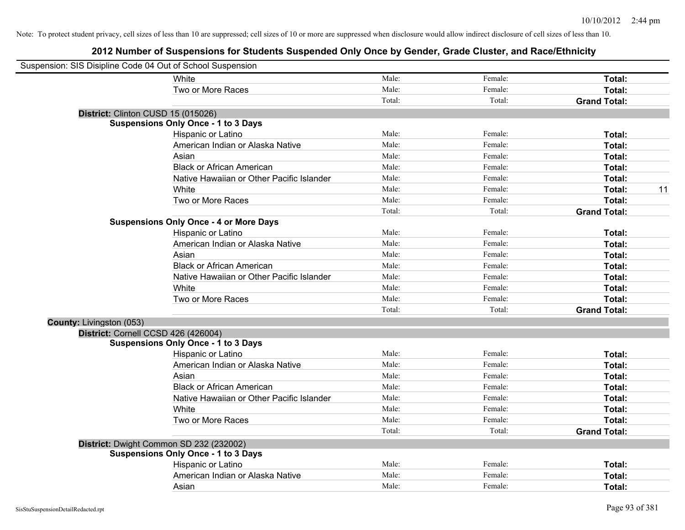| Suspension: SIS Disipline Code 04 Out of School Suspension |                                               |        |         |                     |
|------------------------------------------------------------|-----------------------------------------------|--------|---------|---------------------|
|                                                            | White                                         | Male:  | Female: | Total:              |
|                                                            | Two or More Races                             | Male:  | Female: | Total:              |
|                                                            |                                               | Total: | Total:  | <b>Grand Total:</b> |
| District: Clinton CUSD 15 (015026)                         |                                               |        |         |                     |
|                                                            | <b>Suspensions Only Once - 1 to 3 Days</b>    |        |         |                     |
|                                                            | Hispanic or Latino                            | Male:  | Female: | Total:              |
|                                                            | American Indian or Alaska Native              | Male:  | Female: | Total:              |
|                                                            | Asian                                         | Male:  | Female: | Total:              |
|                                                            | <b>Black or African American</b>              | Male:  | Female: | Total:              |
|                                                            | Native Hawaiian or Other Pacific Islander     | Male:  | Female: | Total:              |
|                                                            | White                                         | Male:  | Female: | 11<br>Total:        |
|                                                            | Two or More Races                             | Male:  | Female: | Total:              |
|                                                            |                                               | Total: | Total:  | <b>Grand Total:</b> |
|                                                            | <b>Suspensions Only Once - 4 or More Days</b> |        |         |                     |
|                                                            | Hispanic or Latino                            | Male:  | Female: | Total:              |
|                                                            | American Indian or Alaska Native              | Male:  | Female: | Total:              |
|                                                            | Asian                                         | Male:  | Female: | Total:              |
|                                                            | <b>Black or African American</b>              | Male:  | Female: | Total:              |
|                                                            | Native Hawaiian or Other Pacific Islander     | Male:  | Female: | Total:              |
|                                                            | White                                         | Male:  | Female: | Total:              |
|                                                            | Two or More Races                             | Male:  | Female: | Total:              |
|                                                            |                                               | Total: | Total:  | <b>Grand Total:</b> |
| County: Livingston (053)                                   |                                               |        |         |                     |
| District: Cornell CCSD 426 (426004)                        |                                               |        |         |                     |
|                                                            | <b>Suspensions Only Once - 1 to 3 Days</b>    |        |         |                     |
|                                                            | Hispanic or Latino                            | Male:  | Female: | Total:              |
|                                                            | American Indian or Alaska Native              | Male:  | Female: | Total:              |
|                                                            | Asian                                         | Male:  | Female: | Total:              |
|                                                            | <b>Black or African American</b>              | Male:  | Female: | Total:              |
|                                                            | Native Hawaiian or Other Pacific Islander     | Male:  | Female: | Total:              |
|                                                            | White                                         | Male:  | Female: | Total:              |
|                                                            | Two or More Races                             | Male:  | Female: | Total:              |
|                                                            |                                               | Total: | Total:  | <b>Grand Total:</b> |
|                                                            | District: Dwight Common SD 232 (232002)       |        |         |                     |
|                                                            | <b>Suspensions Only Once - 1 to 3 Days</b>    |        |         |                     |
|                                                            | Hispanic or Latino                            | Male:  | Female: | Total:              |
|                                                            | American Indian or Alaska Native              | Male:  | Female: | <b>Total:</b>       |
|                                                            | Asian                                         | Male:  | Female: | Total:              |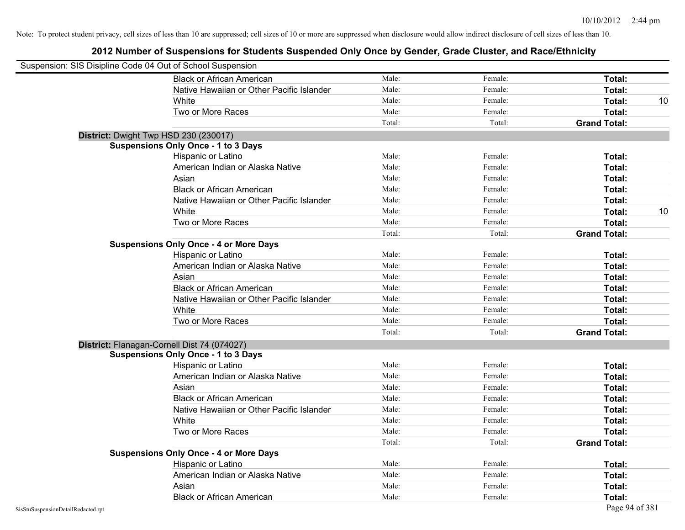|                                    | Suspension: SIS Disipline Code 04 Out of School Suspension |        |         |                     |    |
|------------------------------------|------------------------------------------------------------|--------|---------|---------------------|----|
|                                    | <b>Black or African American</b>                           | Male:  | Female: | <b>Total:</b>       |    |
|                                    | Native Hawaiian or Other Pacific Islander                  | Male:  | Female: | Total:              |    |
|                                    | White                                                      | Male:  | Female: | Total:              | 10 |
|                                    | Two or More Races                                          | Male:  | Female: | Total:              |    |
|                                    |                                                            | Total: | Total:  | <b>Grand Total:</b> |    |
|                                    | District: Dwight Twp HSD 230 (230017)                      |        |         |                     |    |
|                                    | <b>Suspensions Only Once - 1 to 3 Days</b>                 |        |         |                     |    |
|                                    | Hispanic or Latino                                         | Male:  | Female: | Total:              |    |
|                                    | American Indian or Alaska Native                           | Male:  | Female: | Total:              |    |
|                                    | Asian                                                      | Male:  | Female: | Total:              |    |
|                                    | <b>Black or African American</b>                           | Male:  | Female: | Total:              |    |
|                                    | Native Hawaiian or Other Pacific Islander                  | Male:  | Female: | Total:              |    |
|                                    | White                                                      | Male:  | Female: | Total:              | 10 |
|                                    | Two or More Races                                          | Male:  | Female: | Total:              |    |
|                                    |                                                            | Total: | Total:  | <b>Grand Total:</b> |    |
|                                    | <b>Suspensions Only Once - 4 or More Days</b>              |        |         |                     |    |
|                                    | Hispanic or Latino                                         | Male:  | Female: | Total:              |    |
|                                    | American Indian or Alaska Native                           | Male:  | Female: | Total:              |    |
|                                    | Asian                                                      | Male:  | Female: | Total:              |    |
|                                    | <b>Black or African American</b>                           | Male:  | Female: | Total:              |    |
|                                    | Native Hawaiian or Other Pacific Islander                  | Male:  | Female: | Total:              |    |
|                                    | White                                                      | Male:  | Female: | Total:              |    |
|                                    | Two or More Races                                          | Male:  | Female: | Total:              |    |
|                                    |                                                            | Total: | Total:  | <b>Grand Total:</b> |    |
|                                    | District: Flanagan-Cornell Dist 74 (074027)                |        |         |                     |    |
|                                    | <b>Suspensions Only Once - 1 to 3 Days</b>                 |        |         |                     |    |
|                                    | Hispanic or Latino                                         | Male:  | Female: | Total:              |    |
|                                    | American Indian or Alaska Native                           | Male:  | Female: | Total:              |    |
|                                    | Asian                                                      | Male:  | Female: | Total:              |    |
|                                    | <b>Black or African American</b>                           | Male:  | Female: | Total:              |    |
|                                    | Native Hawaiian or Other Pacific Islander                  | Male:  | Female: | Total:              |    |
|                                    | White                                                      | Male:  | Female: | Total:              |    |
|                                    | Two or More Races                                          | Male:  | Female: | Total:              |    |
|                                    |                                                            | Total: | Total:  | <b>Grand Total:</b> |    |
|                                    | <b>Suspensions Only Once - 4 or More Days</b>              |        |         |                     |    |
|                                    | Hispanic or Latino                                         | Male:  | Female: | Total:              |    |
|                                    | American Indian or Alaska Native                           | Male:  | Female: | Total:              |    |
|                                    | Asian                                                      | Male:  | Female: | Total:              |    |
|                                    | <b>Black or African American</b>                           | Male:  | Female: | Total:              |    |
| SisStuSuspensionDetailRedacted.rpt |                                                            |        |         | Page 94 of 381      |    |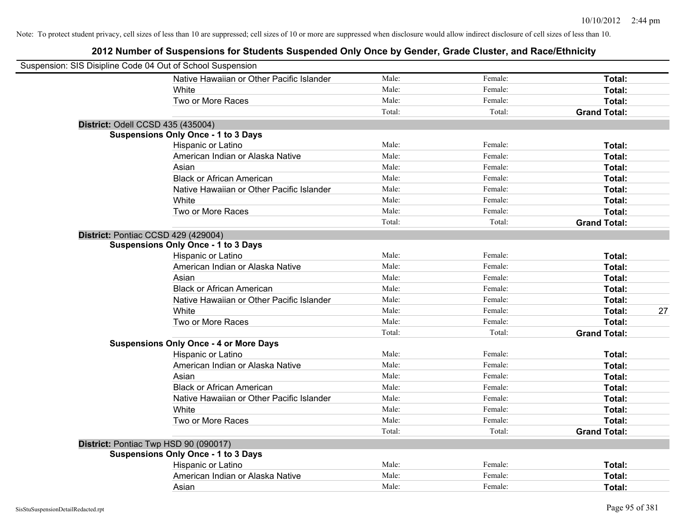| Suspension: SIS Disipline Code 04 Out of School Suspension |                                               |        |         |                     |
|------------------------------------------------------------|-----------------------------------------------|--------|---------|---------------------|
|                                                            | Native Hawaiian or Other Pacific Islander     | Male:  | Female: | Total:              |
|                                                            | White                                         | Male:  | Female: | Total:              |
|                                                            | Two or More Races                             | Male:  | Female: | Total:              |
|                                                            |                                               | Total: | Total:  | <b>Grand Total:</b> |
| District: Odell CCSD 435 (435004)                          |                                               |        |         |                     |
|                                                            | <b>Suspensions Only Once - 1 to 3 Days</b>    |        |         |                     |
|                                                            | Hispanic or Latino                            | Male:  | Female: | Total:              |
|                                                            | American Indian or Alaska Native              | Male:  | Female: | Total:              |
|                                                            | Asian                                         | Male:  | Female: | Total:              |
|                                                            | <b>Black or African American</b>              | Male:  | Female: | Total:              |
|                                                            | Native Hawaiian or Other Pacific Islander     | Male:  | Female: | Total:              |
|                                                            | White                                         | Male:  | Female: | Total:              |
|                                                            | Two or More Races                             | Male:  | Female: | Total:              |
|                                                            |                                               | Total: | Total:  | <b>Grand Total:</b> |
| District: Pontiac CCSD 429 (429004)                        |                                               |        |         |                     |
|                                                            | <b>Suspensions Only Once - 1 to 3 Days</b>    |        |         |                     |
|                                                            | Hispanic or Latino                            | Male:  | Female: | Total:              |
|                                                            | American Indian or Alaska Native              | Male:  | Female: | Total:              |
|                                                            | Asian                                         | Male:  | Female: | Total:              |
|                                                            | <b>Black or African American</b>              | Male:  | Female: | Total:              |
|                                                            | Native Hawaiian or Other Pacific Islander     | Male:  | Female: | Total:              |
|                                                            | White                                         | Male:  | Female: | Total:<br>27        |
|                                                            | Two or More Races                             | Male:  | Female: | Total:              |
|                                                            |                                               | Total: | Total:  | <b>Grand Total:</b> |
|                                                            | <b>Suspensions Only Once - 4 or More Days</b> |        |         |                     |
|                                                            | Hispanic or Latino                            | Male:  | Female: | Total:              |
|                                                            | American Indian or Alaska Native              | Male:  | Female: | Total:              |
|                                                            | Asian                                         | Male:  | Female: | Total:              |
|                                                            | <b>Black or African American</b>              | Male:  | Female: | Total:              |
|                                                            | Native Hawaiian or Other Pacific Islander     | Male:  | Female: | Total:              |
|                                                            | White                                         | Male:  | Female: | Total:              |
|                                                            | Two or More Races                             | Male:  | Female: | Total:              |
|                                                            |                                               | Total: | Total:  | <b>Grand Total:</b> |
| District: Pontiac Twp HSD 90 (090017)                      |                                               |        |         |                     |
|                                                            | <b>Suspensions Only Once - 1 to 3 Days</b>    |        |         |                     |
|                                                            | Hispanic or Latino                            | Male:  | Female: | Total:              |
|                                                            | American Indian or Alaska Native              | Male:  | Female: | Total:              |
|                                                            | Asian                                         | Male:  | Female: | Total:              |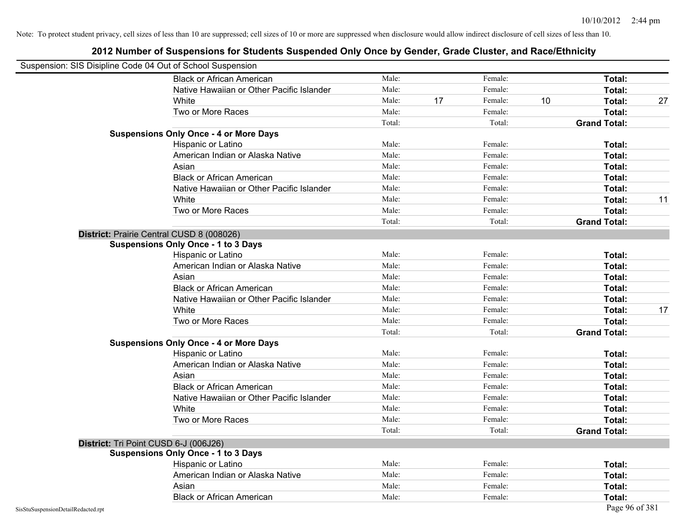| Suspension: SIS Disipline Code 04 Out of School Suspension |                                               |        |    |         |    |                     |    |
|------------------------------------------------------------|-----------------------------------------------|--------|----|---------|----|---------------------|----|
|                                                            | <b>Black or African American</b>              | Male:  |    | Female: |    | Total:              |    |
|                                                            | Native Hawaiian or Other Pacific Islander     | Male:  |    | Female: |    | Total:              |    |
|                                                            | White                                         | Male:  | 17 | Female: | 10 | Total:              | 27 |
|                                                            | Two or More Races                             | Male:  |    | Female: |    | Total:              |    |
|                                                            |                                               | Total: |    | Total:  |    | <b>Grand Total:</b> |    |
|                                                            | <b>Suspensions Only Once - 4 or More Days</b> |        |    |         |    |                     |    |
|                                                            | Hispanic or Latino                            | Male:  |    | Female: |    | Total:              |    |
|                                                            | American Indian or Alaska Native              | Male:  |    | Female: |    | Total:              |    |
|                                                            | Asian                                         | Male:  |    | Female: |    | Total:              |    |
|                                                            | <b>Black or African American</b>              | Male:  |    | Female: |    | Total:              |    |
|                                                            | Native Hawaiian or Other Pacific Islander     | Male:  |    | Female: |    | Total:              |    |
|                                                            | White                                         | Male:  |    | Female: |    | Total:              | 11 |
|                                                            | Two or More Races                             | Male:  |    | Female: |    | Total:              |    |
|                                                            |                                               | Total: |    | Total:  |    | <b>Grand Total:</b> |    |
|                                                            | District: Prairie Central CUSD 8 (008026)     |        |    |         |    |                     |    |
|                                                            | <b>Suspensions Only Once - 1 to 3 Days</b>    |        |    |         |    |                     |    |
|                                                            | Hispanic or Latino                            | Male:  |    | Female: |    | Total:              |    |
|                                                            | American Indian or Alaska Native              | Male:  |    | Female: |    | Total:              |    |
|                                                            | Asian                                         | Male:  |    | Female: |    | Total:              |    |
|                                                            | <b>Black or African American</b>              | Male:  |    | Female: |    | Total:              |    |
|                                                            | Native Hawaiian or Other Pacific Islander     | Male:  |    | Female: |    | Total:              |    |
|                                                            | White                                         | Male:  |    | Female: |    | Total:              | 17 |
|                                                            | Two or More Races                             | Male:  |    | Female: |    | Total:              |    |
|                                                            |                                               | Total: |    | Total:  |    | <b>Grand Total:</b> |    |
|                                                            | <b>Suspensions Only Once - 4 or More Days</b> |        |    |         |    |                     |    |
|                                                            | Hispanic or Latino                            | Male:  |    | Female: |    | Total:              |    |
|                                                            | American Indian or Alaska Native              | Male:  |    | Female: |    | Total:              |    |
|                                                            | Asian                                         | Male:  |    | Female: |    | Total:              |    |
|                                                            | <b>Black or African American</b>              | Male:  |    | Female: |    | Total:              |    |
|                                                            | Native Hawaiian or Other Pacific Islander     | Male:  |    | Female: |    | Total:              |    |
|                                                            | White                                         | Male:  |    | Female: |    | Total:              |    |
|                                                            | Two or More Races                             | Male:  |    | Female: |    | Total:              |    |
|                                                            |                                               | Total: |    | Total:  |    | <b>Grand Total:</b> |    |
|                                                            | District: Tri Point CUSD 6-J (006J26)         |        |    |         |    |                     |    |
|                                                            | <b>Suspensions Only Once - 1 to 3 Days</b>    |        |    |         |    |                     |    |
|                                                            | Hispanic or Latino                            | Male:  |    | Female: |    | Total:              |    |
|                                                            | American Indian or Alaska Native              | Male:  |    | Female: |    | Total:              |    |
|                                                            | Asian                                         | Male:  |    | Female: |    | Total:              |    |
|                                                            | <b>Black or African American</b>              | Male:  |    | Female: |    | Total:              |    |
| SisStuSuspensionDetailRedacted.rpt                         |                                               |        |    |         |    | Page 96 of 381      |    |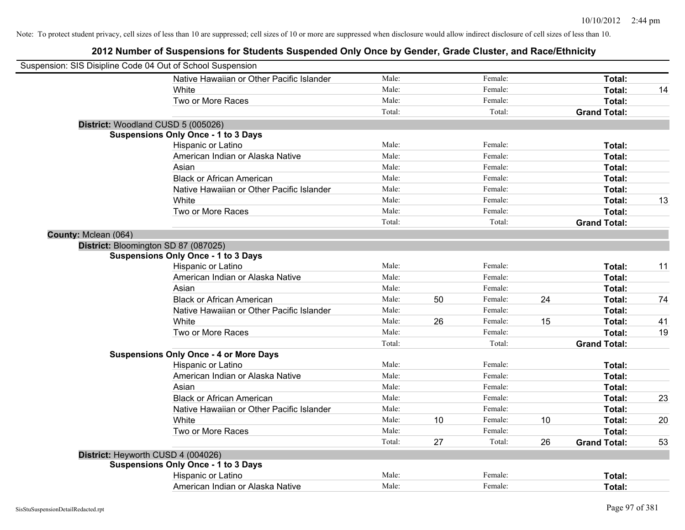| Suspension: SIS Disipline Code 04 Out of School Suspension |                                               |        |    |         |    |                                                                                                                                                          |    |
|------------------------------------------------------------|-----------------------------------------------|--------|----|---------|----|----------------------------------------------------------------------------------------------------------------------------------------------------------|----|
|                                                            | Native Hawaiian or Other Pacific Islander     | Male:  |    | Female: |    | Total:                                                                                                                                                   |    |
|                                                            | White                                         | Male:  |    | Female: |    | Total:                                                                                                                                                   | 14 |
|                                                            | Two or More Races                             | Male:  |    | Female: |    | Total:                                                                                                                                                   |    |
|                                                            |                                               | Total: |    | Total:  |    | <b>Grand Total:</b>                                                                                                                                      |    |
| District: Woodland CUSD 5 (005026)                         |                                               |        |    |         |    |                                                                                                                                                          |    |
|                                                            | <b>Suspensions Only Once - 1 to 3 Days</b>    |        |    |         |    |                                                                                                                                                          |    |
|                                                            | Hispanic or Latino                            | Male:  |    | Female: |    |                                                                                                                                                          |    |
|                                                            | American Indian or Alaska Native              | Male:  |    | Female: |    | Total:                                                                                                                                                   |    |
|                                                            | Asian                                         | Male:  |    | Female: |    | Total:                                                                                                                                                   |    |
|                                                            | <b>Black or African American</b>              | Male:  |    | Female: |    | Total:                                                                                                                                                   |    |
|                                                            | Native Hawaiian or Other Pacific Islander     | Male:  |    | Female: |    | Total:                                                                                                                                                   |    |
|                                                            | White                                         | Male:  |    | Female: |    | Total:                                                                                                                                                   | 13 |
|                                                            | Two or More Races                             | Male:  |    | Female: |    | Total:                                                                                                                                                   |    |
|                                                            |                                               | Total: |    | Total:  |    | <b>Grand Total:</b>                                                                                                                                      |    |
| County: Mclean (064)                                       |                                               |        |    |         |    |                                                                                                                                                          |    |
| District: Bloomington SD 87 (087025)                       |                                               |        |    |         |    |                                                                                                                                                          |    |
|                                                            | <b>Suspensions Only Once - 1 to 3 Days</b>    |        |    |         |    |                                                                                                                                                          |    |
|                                                            | Hispanic or Latino                            | Male:  |    | Female: |    |                                                                                                                                                          | 11 |
|                                                            | American Indian or Alaska Native              | Male:  |    | Female: |    | Total:                                                                                                                                                   |    |
|                                                            | Asian                                         | Male:  |    | Female: |    | Total:                                                                                                                                                   |    |
|                                                            | <b>Black or African American</b>              | Male:  | 50 | Female: | 24 | Total:                                                                                                                                                   | 74 |
|                                                            | Native Hawaiian or Other Pacific Islander     | Male:  |    | Female: |    | Total:                                                                                                                                                   |    |
|                                                            | White                                         | Male:  | 26 | Female: | 15 | Total:                                                                                                                                                   | 41 |
|                                                            | Two or More Races                             | Male:  |    | Female: |    | Total:                                                                                                                                                   | 19 |
|                                                            |                                               | Total: |    | Total:  |    | Total:<br>Total:<br><b>Grand Total:</b><br>Total:<br>Total:<br>Total:<br>Total:<br>Total:<br>Total:<br>Total:<br><b>Grand Total:</b><br>Total:<br>Total: |    |
|                                                            | <b>Suspensions Only Once - 4 or More Days</b> |        |    |         |    |                                                                                                                                                          |    |
|                                                            | Hispanic or Latino                            | Male:  |    | Female: |    |                                                                                                                                                          |    |
|                                                            | American Indian or Alaska Native              | Male:  |    | Female: |    |                                                                                                                                                          |    |
|                                                            | Asian                                         | Male:  |    | Female: |    |                                                                                                                                                          |    |
|                                                            | <b>Black or African American</b>              | Male:  |    | Female: |    |                                                                                                                                                          | 23 |
|                                                            | Native Hawaiian or Other Pacific Islander     | Male:  |    | Female: |    |                                                                                                                                                          |    |
|                                                            | White                                         | Male:  | 10 | Female: | 10 |                                                                                                                                                          | 20 |
|                                                            | Two or More Races                             | Male:  |    | Female: |    |                                                                                                                                                          |    |
|                                                            |                                               | Total: | 27 | Total:  | 26 |                                                                                                                                                          | 53 |
| District: Heyworth CUSD 4 (004026)                         |                                               |        |    |         |    |                                                                                                                                                          |    |
|                                                            | <b>Suspensions Only Once - 1 to 3 Days</b>    |        |    |         |    |                                                                                                                                                          |    |
|                                                            | Hispanic or Latino                            | Male:  |    | Female: |    |                                                                                                                                                          |    |
|                                                            | American Indian or Alaska Native              | Male:  |    | Female: |    |                                                                                                                                                          |    |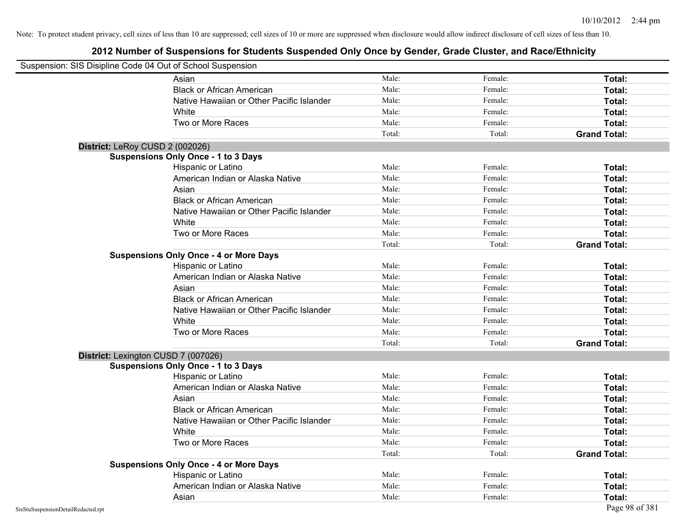|                                    | Suspension: SIS Disipline Code 04 Out of School Suspension |        |         |                     |
|------------------------------------|------------------------------------------------------------|--------|---------|---------------------|
|                                    | Asian                                                      | Male:  | Female: | Total:              |
|                                    | <b>Black or African American</b>                           | Male:  | Female: | Total:              |
|                                    | Native Hawaiian or Other Pacific Islander                  | Male:  | Female: | Total:              |
|                                    | White                                                      | Male:  | Female: | Total:              |
|                                    | Two or More Races                                          | Male:  | Female: | Total:              |
|                                    |                                                            | Total: | Total:  | <b>Grand Total:</b> |
|                                    | District: LeRoy CUSD 2 (002026)                            |        |         |                     |
|                                    | <b>Suspensions Only Once - 1 to 3 Days</b>                 |        |         |                     |
|                                    | Hispanic or Latino                                         | Male:  | Female: | Total:              |
|                                    | American Indian or Alaska Native                           | Male:  | Female: | Total:              |
|                                    | Asian                                                      | Male:  | Female: | Total:              |
|                                    | <b>Black or African American</b>                           | Male:  | Female: | Total:              |
|                                    | Native Hawaiian or Other Pacific Islander                  | Male:  | Female: | Total:              |
|                                    | White                                                      | Male:  | Female: | Total:              |
|                                    | Two or More Races                                          | Male:  | Female: | Total:              |
|                                    |                                                            | Total: | Total:  | <b>Grand Total:</b> |
|                                    | <b>Suspensions Only Once - 4 or More Days</b>              |        |         |                     |
|                                    | Hispanic or Latino                                         | Male:  | Female: | Total:              |
|                                    | American Indian or Alaska Native                           | Male:  | Female: | Total:              |
|                                    | Asian                                                      | Male:  | Female: | Total:              |
|                                    | <b>Black or African American</b>                           | Male:  | Female: | Total:              |
|                                    | Native Hawaiian or Other Pacific Islander                  | Male:  | Female: | Total:              |
|                                    | White                                                      | Male:  | Female: | Total:              |
|                                    | Two or More Races                                          | Male:  | Female: | Total:              |
|                                    |                                                            | Total: | Total:  | <b>Grand Total:</b> |
|                                    | District: Lexington CUSD 7 (007026)                        |        |         |                     |
|                                    | <b>Suspensions Only Once - 1 to 3 Days</b>                 |        |         |                     |
|                                    | Hispanic or Latino                                         | Male:  | Female: | Total:              |
|                                    | American Indian or Alaska Native                           | Male:  | Female: | Total:              |
|                                    | Asian                                                      | Male:  | Female: | Total:              |
|                                    | <b>Black or African American</b>                           | Male:  | Female: | Total:              |
|                                    | Native Hawaiian or Other Pacific Islander                  | Male:  | Female: | Total:              |
|                                    | White                                                      | Male:  | Female: | Total:              |
|                                    | Two or More Races                                          | Male:  | Female: | Total:              |
|                                    |                                                            | Total: | Total:  | <b>Grand Total:</b> |
|                                    | <b>Suspensions Only Once - 4 or More Days</b>              |        |         |                     |
|                                    | Hispanic or Latino                                         | Male:  | Female: | Total:              |
|                                    | American Indian or Alaska Native                           | Male:  | Female: | Total:              |
|                                    | Asian                                                      | Male:  | Female: | Total:              |
| SisStuSuspensionDetailRedacted.rpt |                                                            |        |         | Page 98 of 381      |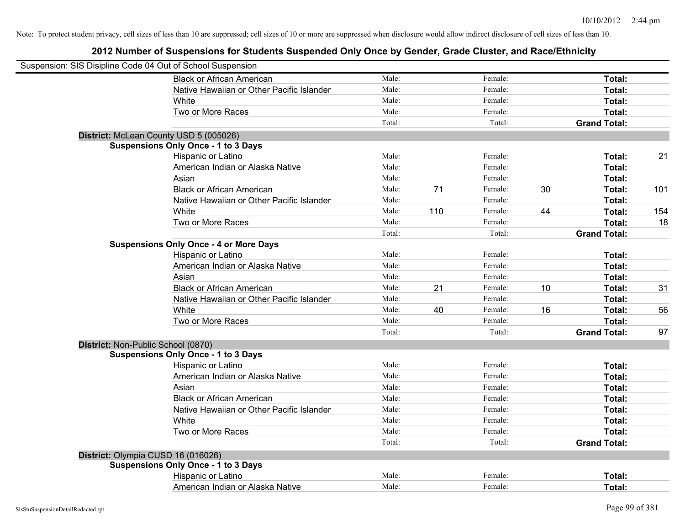| Suspension: SIS Disipline Code 04 Out of School Suspension |                                               |        |     |         |    |                     |     |
|------------------------------------------------------------|-----------------------------------------------|--------|-----|---------|----|---------------------|-----|
|                                                            | <b>Black or African American</b>              | Male:  |     | Female: |    | Total:              |     |
|                                                            | Native Hawaiian or Other Pacific Islander     | Male:  |     | Female: |    | Total:              |     |
|                                                            | White                                         | Male:  |     | Female: |    | Total:              |     |
|                                                            | Two or More Races                             | Male:  |     | Female: |    | Total:              |     |
|                                                            |                                               | Total: |     | Total:  |    | <b>Grand Total:</b> |     |
|                                                            | District: McLean County USD 5 (005026)        |        |     |         |    |                     |     |
|                                                            | <b>Suspensions Only Once - 1 to 3 Days</b>    |        |     |         |    |                     |     |
|                                                            | Hispanic or Latino                            | Male:  |     | Female: |    | Total:              | 21  |
|                                                            | American Indian or Alaska Native              | Male:  |     | Female: |    | Total:              |     |
|                                                            | Asian                                         | Male:  |     | Female: |    | Total:              |     |
|                                                            | <b>Black or African American</b>              | Male:  | 71  | Female: | 30 | Total:              | 101 |
|                                                            | Native Hawaiian or Other Pacific Islander     | Male:  |     | Female: |    | Total:              |     |
|                                                            | White                                         | Male:  | 110 | Female: | 44 | Total:              | 154 |
|                                                            | Two or More Races                             | Male:  |     | Female: |    | Total:              | 18  |
|                                                            |                                               | Total: |     | Total:  |    | <b>Grand Total:</b> |     |
|                                                            | <b>Suspensions Only Once - 4 or More Days</b> |        |     |         |    |                     |     |
|                                                            | Hispanic or Latino                            | Male:  |     | Female: |    | Total:              |     |
|                                                            | American Indian or Alaska Native              | Male:  |     | Female: |    | Total:              |     |
|                                                            | Asian                                         | Male:  |     | Female: |    | Total:              |     |
|                                                            | <b>Black or African American</b>              | Male:  | 21  | Female: | 10 | Total:              | 31  |
|                                                            | Native Hawaiian or Other Pacific Islander     | Male:  |     | Female: |    | Total:              |     |
|                                                            | White                                         | Male:  | 40  | Female: | 16 | Total:              | 56  |
|                                                            | Two or More Races                             | Male:  |     | Female: |    | Total:              |     |
|                                                            |                                               | Total: |     | Total:  |    | <b>Grand Total:</b> | 97  |
|                                                            | District: Non-Public School (0870)            |        |     |         |    |                     |     |
|                                                            | <b>Suspensions Only Once - 1 to 3 Days</b>    |        |     |         |    |                     |     |
|                                                            | Hispanic or Latino                            | Male:  |     | Female: |    | Total:              |     |
|                                                            | American Indian or Alaska Native              | Male:  |     | Female: |    | Total:              |     |
|                                                            | Asian                                         | Male:  |     | Female: |    | Total:              |     |
|                                                            | <b>Black or African American</b>              | Male:  |     | Female: |    | Total:              |     |
|                                                            | Native Hawaiian or Other Pacific Islander     | Male:  |     | Female: |    | Total:              |     |
|                                                            | White                                         | Male:  |     | Female: |    | Total:              |     |
|                                                            | Two or More Races                             | Male:  |     | Female: |    | Total:              |     |
|                                                            |                                               | Total: |     | Total:  |    | <b>Grand Total:</b> |     |
|                                                            | District: Olympia CUSD 16 (016026)            |        |     |         |    |                     |     |
|                                                            | <b>Suspensions Only Once - 1 to 3 Days</b>    |        |     |         |    |                     |     |
|                                                            | Hispanic or Latino                            | Male:  |     | Female: |    | <b>Total:</b>       |     |
|                                                            | American Indian or Alaska Native              | Male:  |     | Female: |    | Total:              |     |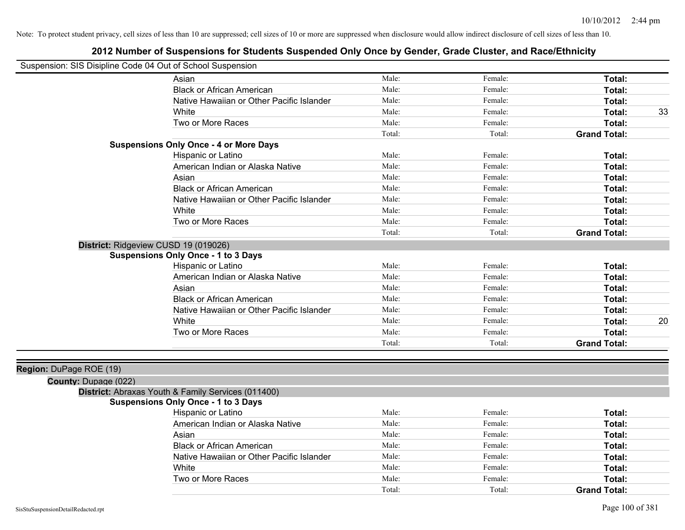| Suspension: SIS Disipline Code 04 Out of School Suspension |
|------------------------------------------------------------|
|------------------------------------------------------------|

| ousperision. Old Disiplifie Code 04 Out of Scribol Susperision |                                                    |        |         |                     |    |
|----------------------------------------------------------------|----------------------------------------------------|--------|---------|---------------------|----|
|                                                                | Asian                                              | Male:  | Female: | Total:              |    |
|                                                                | <b>Black or African American</b>                   | Male:  | Female: | Total:              |    |
|                                                                | Native Hawaiian or Other Pacific Islander          | Male:  | Female: | Total:              |    |
|                                                                | White                                              | Male:  | Female: | Total:              | 33 |
|                                                                | Two or More Races                                  | Male:  | Female: | Total:              |    |
|                                                                |                                                    | Total: | Total:  | <b>Grand Total:</b> |    |
|                                                                | <b>Suspensions Only Once - 4 or More Days</b>      |        |         |                     |    |
|                                                                | Hispanic or Latino                                 | Male:  | Female: | Total:              |    |
|                                                                | American Indian or Alaska Native                   | Male:  | Female: | Total:              |    |
|                                                                | Asian                                              | Male:  | Female: | Total:              |    |
|                                                                | <b>Black or African American</b>                   | Male:  | Female: | Total:              |    |
|                                                                | Native Hawaiian or Other Pacific Islander          | Male:  | Female: | Total:              |    |
|                                                                | White                                              | Male:  | Female: | Total:              |    |
|                                                                | Two or More Races                                  | Male:  | Female: | Total:              |    |
|                                                                |                                                    | Total: | Total:  | <b>Grand Total:</b> |    |
|                                                                | District: Ridgeview CUSD 19 (019026)               |        |         |                     |    |
|                                                                | <b>Suspensions Only Once - 1 to 3 Days</b>         |        |         |                     |    |
|                                                                | Hispanic or Latino                                 | Male:  | Female: | Total:              |    |
|                                                                | American Indian or Alaska Native                   | Male:  | Female: | Total:              |    |
|                                                                | Asian                                              | Male:  | Female: | Total:              |    |
|                                                                | <b>Black or African American</b>                   | Male:  | Female: | Total:              |    |
|                                                                | Native Hawaiian or Other Pacific Islander          | Male:  | Female: | Total:              |    |
|                                                                | White                                              | Male:  | Female: | Total:              | 20 |
|                                                                | Two or More Races                                  | Male:  | Female: | Total:              |    |
|                                                                |                                                    | Total: | Total:  | <b>Grand Total:</b> |    |
|                                                                |                                                    |        |         |                     |    |
| Region: DuPage ROE (19)                                        |                                                    |        |         |                     |    |
| County: Dupage (022)                                           |                                                    |        |         |                     |    |
|                                                                | District: Abraxas Youth & Family Services (011400) |        |         |                     |    |
|                                                                | <b>Suspensions Only Once - 1 to 3 Days</b>         |        |         |                     |    |
|                                                                | Hispanic or Latino                                 | Male:  | Female: | Total:              |    |
|                                                                | American Indian or Alaska Native                   | Male:  | Female: | Total:              |    |

| i iispaniu vi Latinu                      | <i>ivial</i> . | 1 UHRRU. | ι νιαι.             |
|-------------------------------------------|----------------|----------|---------------------|
| American Indian or Alaska Native          | Male:          | Female:  | Total:              |
| Asian                                     | Male:          | Female:  | Total:              |
| <b>Black or African American</b>          | Male:          | Female:  | Total:              |
| Native Hawaiian or Other Pacific Islander | Male:          | Female:  | Total:              |
| White                                     | Male:          | Female:  | Total:              |
| Two or More Races                         | Male:          | Female:  | Total:              |
|                                           | Total:         | Total:   | <b>Grand Total:</b> |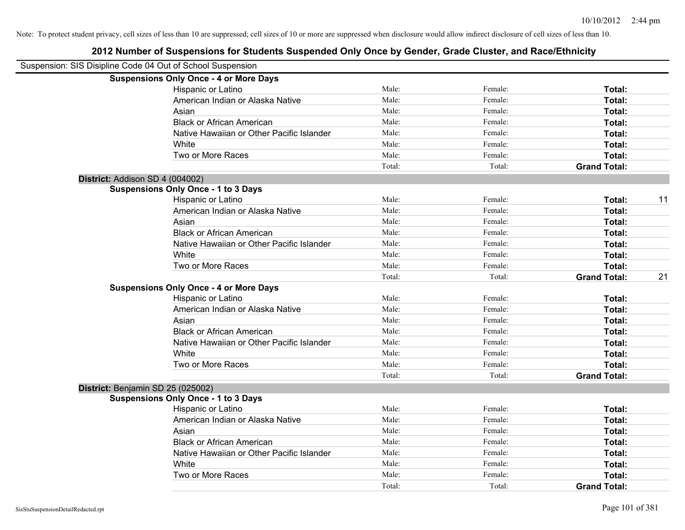| Suspension: SIS Disipline Code 04 Out of School Suspension |                                               |        |         |                     |    |
|------------------------------------------------------------|-----------------------------------------------|--------|---------|---------------------|----|
|                                                            | <b>Suspensions Only Once - 4 or More Days</b> |        |         |                     |    |
|                                                            | Hispanic or Latino                            | Male:  | Female: | Total:              |    |
|                                                            | American Indian or Alaska Native              | Male:  | Female: | <b>Total:</b>       |    |
|                                                            | Asian                                         | Male:  | Female: | <b>Total:</b>       |    |
|                                                            | <b>Black or African American</b>              | Male:  | Female: | Total:              |    |
|                                                            | Native Hawaiian or Other Pacific Islander     | Male:  | Female: | Total:              |    |
|                                                            | White                                         | Male:  | Female: | Total:              |    |
|                                                            | Two or More Races                             | Male:  | Female: | Total:              |    |
|                                                            |                                               | Total: | Total:  | <b>Grand Total:</b> |    |
| District: Addison SD 4 (004002)                            |                                               |        |         |                     |    |
|                                                            | <b>Suspensions Only Once - 1 to 3 Days</b>    |        |         |                     |    |
|                                                            | Hispanic or Latino                            | Male:  | Female: | Total:              | 11 |
|                                                            | American Indian or Alaska Native              | Male:  | Female: | Total:              |    |
|                                                            | Asian                                         | Male:  | Female: | Total:              |    |
|                                                            | <b>Black or African American</b>              | Male:  | Female: | Total:              |    |
|                                                            | Native Hawaiian or Other Pacific Islander     | Male:  | Female: | <b>Total:</b>       |    |
|                                                            | White                                         | Male:  | Female: | Total:              |    |
|                                                            | Two or More Races                             | Male:  | Female: | Total:              |    |
|                                                            |                                               | Total: | Total:  | <b>Grand Total:</b> | 21 |
|                                                            | <b>Suspensions Only Once - 4 or More Days</b> |        |         |                     |    |
|                                                            | Hispanic or Latino                            | Male:  | Female: | Total:              |    |
|                                                            | American Indian or Alaska Native              | Male:  | Female: | <b>Total:</b>       |    |
|                                                            | Asian                                         | Male:  | Female: | Total:              |    |
|                                                            | <b>Black or African American</b>              | Male:  | Female: | <b>Total:</b>       |    |
|                                                            | Native Hawaiian or Other Pacific Islander     | Male:  | Female: | Total:              |    |
|                                                            | White                                         | Male:  | Female: | Total:              |    |
|                                                            | Two or More Races                             | Male:  | Female: | Total:              |    |
|                                                            |                                               | Total: | Total:  | <b>Grand Total:</b> |    |
| District: Benjamin SD 25 (025002)                          |                                               |        |         |                     |    |
|                                                            | <b>Suspensions Only Once - 1 to 3 Days</b>    |        |         |                     |    |
|                                                            | Hispanic or Latino                            | Male:  | Female: | Total:              |    |
|                                                            | American Indian or Alaska Native              | Male:  | Female: | Total:              |    |
|                                                            | Asian                                         | Male:  | Female: | <b>Total:</b>       |    |
|                                                            | <b>Black or African American</b>              | Male:  | Female: | Total:              |    |
|                                                            | Native Hawaiian or Other Pacific Islander     | Male:  | Female: | Total:              |    |
|                                                            | White                                         | Male:  | Female: | Total:              |    |
|                                                            | Two or More Races                             | Male:  | Female: | Total:              |    |
|                                                            |                                               | Total: | Total:  | <b>Grand Total:</b> |    |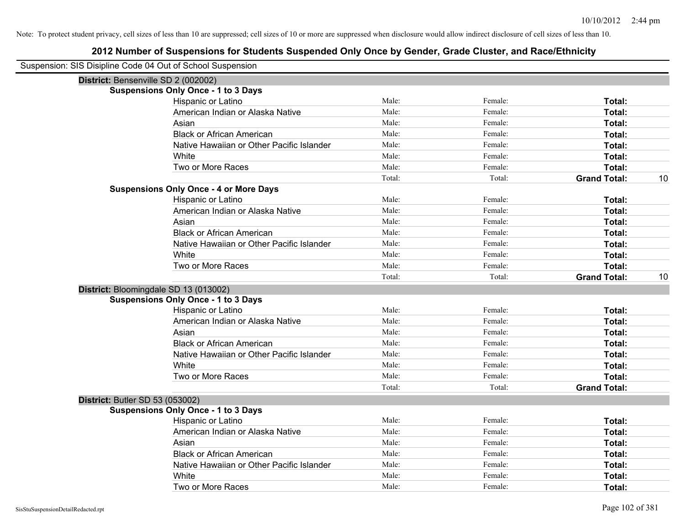| Suspension: SIS Disipline Code 04 Out of School Suspension |                                               |        |         |                     |    |
|------------------------------------------------------------|-----------------------------------------------|--------|---------|---------------------|----|
| District: Bensenville SD 2 (002002)                        |                                               |        |         |                     |    |
|                                                            | <b>Suspensions Only Once - 1 to 3 Days</b>    |        |         |                     |    |
|                                                            | Hispanic or Latino                            | Male:  | Female: | Total:              |    |
|                                                            | American Indian or Alaska Native              | Male:  | Female: | Total:              |    |
|                                                            | Asian                                         | Male:  | Female: | Total:              |    |
|                                                            | <b>Black or African American</b>              | Male:  | Female: | Total:              |    |
|                                                            | Native Hawaiian or Other Pacific Islander     | Male:  | Female: | Total:              |    |
|                                                            | White                                         | Male:  | Female: | Total:              |    |
|                                                            | Two or More Races                             | Male:  | Female: | Total:              |    |
|                                                            |                                               | Total: | Total:  | <b>Grand Total:</b> | 10 |
|                                                            | <b>Suspensions Only Once - 4 or More Days</b> |        |         |                     |    |
|                                                            | Hispanic or Latino                            | Male:  | Female: | Total:              |    |
|                                                            | American Indian or Alaska Native              | Male:  | Female: | Total:              |    |
|                                                            | Asian                                         | Male:  | Female: | Total:              |    |
|                                                            | <b>Black or African American</b>              | Male:  | Female: | Total:              |    |
|                                                            | Native Hawaiian or Other Pacific Islander     | Male:  | Female: | Total:              |    |
|                                                            | White                                         | Male:  | Female: | Total:              |    |
|                                                            | Two or More Races                             | Male:  | Female: | Total:              |    |
|                                                            |                                               | Total: | Total:  | <b>Grand Total:</b> | 10 |
| District: Bloomingdale SD 13 (013002)                      |                                               |        |         |                     |    |
|                                                            | <b>Suspensions Only Once - 1 to 3 Days</b>    |        |         |                     |    |
|                                                            | Hispanic or Latino                            | Male:  | Female: | Total:              |    |
|                                                            | American Indian or Alaska Native              | Male:  | Female: | Total:              |    |
|                                                            | Asian                                         | Male:  | Female: | Total:              |    |
|                                                            | <b>Black or African American</b>              | Male:  | Female: | Total:              |    |
|                                                            | Native Hawaiian or Other Pacific Islander     | Male:  | Female: | Total:              |    |
|                                                            | White                                         | Male:  | Female: | Total:              |    |
|                                                            | Two or More Races                             | Male:  | Female: | Total:              |    |
|                                                            |                                               | Total: | Total:  | <b>Grand Total:</b> |    |
| <b>District: Butler SD 53 (053002)</b>                     |                                               |        |         |                     |    |
|                                                            | <b>Suspensions Only Once - 1 to 3 Days</b>    |        |         |                     |    |
|                                                            | Hispanic or Latino                            | Male:  | Female: | Total:              |    |
|                                                            | American Indian or Alaska Native              | Male:  | Female: | Total:              |    |
|                                                            | Asian                                         | Male:  | Female: | Total:              |    |
|                                                            | <b>Black or African American</b>              | Male:  | Female: | Total:              |    |
|                                                            | Native Hawaiian or Other Pacific Islander     | Male:  | Female: | Total:              |    |
|                                                            | White                                         | Male:  | Female: | Total:              |    |
|                                                            |                                               |        |         | Total:              |    |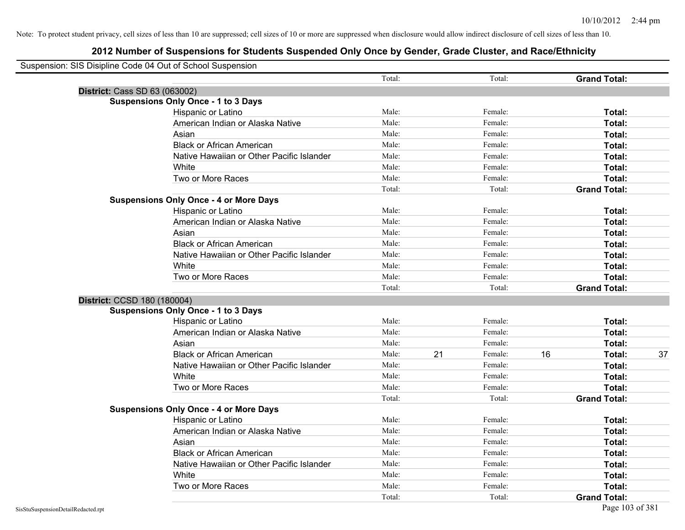| Suspension: SIS Disipline Code 04 Out of School Suspension |        |               |                     |    |
|------------------------------------------------------------|--------|---------------|---------------------|----|
|                                                            | Total: | Total:        | <b>Grand Total:</b> |    |
| <b>District: Cass SD 63 (063002)</b>                       |        |               |                     |    |
| <b>Suspensions Only Once - 1 to 3 Days</b>                 |        |               |                     |    |
| Hispanic or Latino                                         | Male:  | Female:       | Total:              |    |
| American Indian or Alaska Native                           | Male:  | Female:       | Total:              |    |
| Asian                                                      | Male:  | Female:       | Total:              |    |
| <b>Black or African American</b>                           | Male:  | Female:       | Total:              |    |
| Native Hawaiian or Other Pacific Islander                  | Male:  | Female:       | Total:              |    |
| White                                                      | Male:  | Female:       | Total:              |    |
| Two or More Races                                          | Male:  | Female:       | Total:              |    |
|                                                            | Total: | Total:        | <b>Grand Total:</b> |    |
| <b>Suspensions Only Once - 4 or More Days</b>              |        |               |                     |    |
| Hispanic or Latino                                         | Male:  | Female:       | Total:              |    |
| American Indian or Alaska Native                           | Male:  | Female:       | Total:              |    |
| Asian                                                      | Male:  | Female:       | Total:              |    |
| <b>Black or African American</b>                           | Male:  | Female:       | Total:              |    |
| Native Hawaiian or Other Pacific Islander                  | Male:  | Female:       | Total:              |    |
| White                                                      | Male:  | Female:       | Total:              |    |
| Two or More Races                                          | Male:  | Female:       | Total:              |    |
|                                                            | Total: | Total:        | <b>Grand Total:</b> |    |
| District: CCSD 180 (180004)                                |        |               |                     |    |
| <b>Suspensions Only Once - 1 to 3 Days</b>                 |        |               |                     |    |
| Hispanic or Latino                                         | Male:  | Female:       | Total:              |    |
| American Indian or Alaska Native                           | Male:  | Female:       | Total:              |    |
| Asian                                                      | Male:  | Female:       | Total:              |    |
| <b>Black or African American</b>                           | Male:  | 21<br>Female: | 16<br>Total:        | 37 |
| Native Hawaiian or Other Pacific Islander                  | Male:  | Female:       | Total:              |    |
| White                                                      | Male:  | Female:       | Total:              |    |
| Two or More Races                                          | Male:  | Female:       | Total:              |    |
|                                                            | Total: | Total:        | <b>Grand Total:</b> |    |
| <b>Suspensions Only Once - 4 or More Days</b>              |        |               |                     |    |
| <b>Hispanic or Latino</b>                                  | Male:  | Female:       | Total:              |    |
| American Indian or Alaska Native                           | Male:  | Female:       | Total:              |    |
| Asian                                                      | Male:  | Female:       | Total:              |    |
| <b>Black or African American</b>                           | Male:  | Female:       | Total:              |    |
| Native Hawaiian or Other Pacific Islander                  | Male:  | Female:       | Total:              |    |
| White                                                      | Male:  | Female:       | Total:              |    |
| Two or More Races                                          | Male:  | Female:       | Total:              |    |
|                                                            | Total: | Total:        | <b>Grand Total:</b> |    |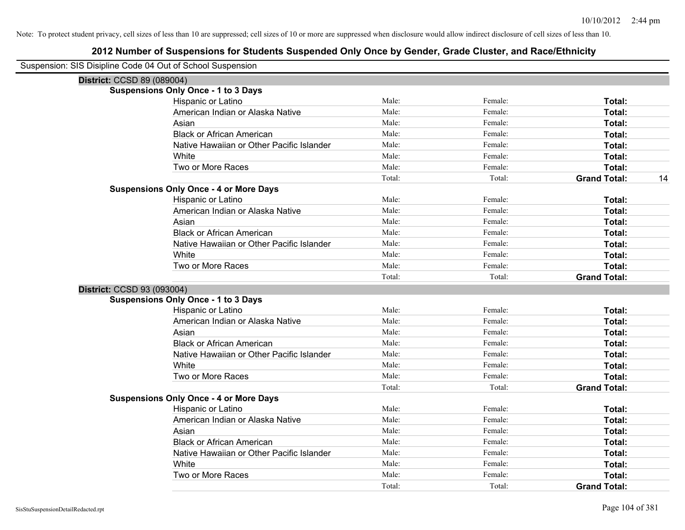| Suspension: SIS Disipline Code 04 Out of School Suspension |
|------------------------------------------------------------|
|------------------------------------------------------------|

| District: CCSD 89 (089004) |                                               |        |         |                     |    |
|----------------------------|-----------------------------------------------|--------|---------|---------------------|----|
|                            | <b>Suspensions Only Once - 1 to 3 Days</b>    |        |         |                     |    |
|                            | Hispanic or Latino                            | Male:  | Female: | Total:              |    |
|                            | American Indian or Alaska Native              | Male:  | Female: | Total:              |    |
|                            | Asian                                         | Male:  | Female: | Total:              |    |
|                            | <b>Black or African American</b>              | Male:  | Female: | Total:              |    |
|                            | Native Hawaiian or Other Pacific Islander     | Male:  | Female: | Total:              |    |
|                            | White                                         | Male:  | Female: | Total:              |    |
|                            | Two or More Races                             | Male:  | Female: | Total:              |    |
|                            |                                               | Total: | Total:  | <b>Grand Total:</b> | 14 |
|                            | <b>Suspensions Only Once - 4 or More Days</b> |        |         |                     |    |
|                            | Hispanic or Latino                            | Male:  | Female: | Total:              |    |
|                            | American Indian or Alaska Native              | Male:  | Female: | <b>Total:</b>       |    |
|                            | Asian                                         | Male:  | Female: | Total:              |    |
|                            | <b>Black or African American</b>              | Male:  | Female: | Total:              |    |
|                            | Native Hawaiian or Other Pacific Islander     | Male:  | Female: | Total:              |    |
|                            | White                                         | Male:  | Female: | Total:              |    |
|                            | Two or More Races                             | Male:  | Female: | Total:              |    |
|                            |                                               | Total: | Total:  | <b>Grand Total:</b> |    |
| District: CCSD 93 (093004) |                                               |        |         |                     |    |
|                            | <b>Suspensions Only Once - 1 to 3 Days</b>    |        |         |                     |    |
|                            | Hispanic or Latino                            | Male:  | Female: | Total:              |    |
|                            | American Indian or Alaska Native              | Male:  | Female: | Total:              |    |
|                            | Asian                                         | Male:  | Female: | Total:              |    |
|                            | <b>Black or African American</b>              | Male:  | Female: | Total:              |    |
|                            | Native Hawaiian or Other Pacific Islander     | Male:  | Female: | Total:              |    |
|                            | White                                         | Male:  | Female: | Total:              |    |
|                            | Two or More Races                             | Male:  | Female: | Total:              |    |
|                            |                                               | Total: | Total:  | <b>Grand Total:</b> |    |
|                            | <b>Suspensions Only Once - 4 or More Days</b> |        |         |                     |    |
|                            | Hispanic or Latino                            | Male:  | Female: | Total:              |    |
|                            | American Indian or Alaska Native              | Male:  | Female: | Total:              |    |
|                            | Asian                                         | Male:  | Female: | Total:              |    |
|                            | <b>Black or African American</b>              | Male:  | Female: | Total:              |    |
|                            | Native Hawaiian or Other Pacific Islander     | Male:  | Female: | Total:              |    |
|                            | White                                         | Male:  | Female: | Total:              |    |
|                            | Two or More Races                             | Male:  | Female: | Total:              |    |
|                            |                                               | Total: | Total:  | <b>Grand Total:</b> |    |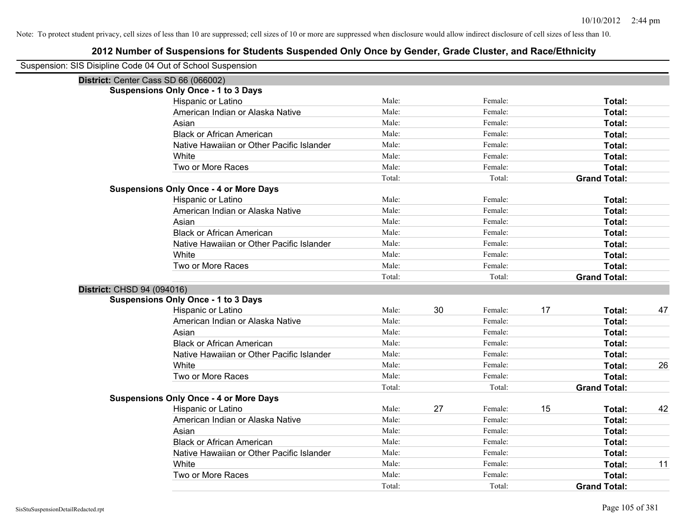| Suspension: SIS Disipline Code 04 Out of School Suspension |                                               |        |    |         |    |                     |    |
|------------------------------------------------------------|-----------------------------------------------|--------|----|---------|----|---------------------|----|
| District: Center Cass SD 66 (066002)                       |                                               |        |    |         |    |                     |    |
|                                                            | <b>Suspensions Only Once - 1 to 3 Days</b>    |        |    |         |    |                     |    |
|                                                            | Hispanic or Latino                            | Male:  |    | Female: |    | Total:              |    |
|                                                            | American Indian or Alaska Native              | Male:  |    | Female: |    | Total:              |    |
|                                                            | Asian                                         | Male:  |    | Female: |    | Total:              |    |
|                                                            | <b>Black or African American</b>              | Male:  |    | Female: |    | Total:              |    |
|                                                            | Native Hawaiian or Other Pacific Islander     | Male:  |    | Female: |    | Total:              |    |
|                                                            | White                                         | Male:  |    | Female: |    | Total:              |    |
|                                                            | Two or More Races                             | Male:  |    | Female: |    | Total:              |    |
|                                                            |                                               | Total: |    | Total:  |    | <b>Grand Total:</b> |    |
|                                                            | <b>Suspensions Only Once - 4 or More Days</b> |        |    |         |    |                     |    |
|                                                            | Hispanic or Latino                            | Male:  |    | Female: |    | Total:              |    |
|                                                            | American Indian or Alaska Native              | Male:  |    | Female: |    | Total:              |    |
|                                                            | Asian                                         | Male:  |    | Female: |    | Total:              |    |
|                                                            | <b>Black or African American</b>              | Male:  |    | Female: |    | Total:              |    |
|                                                            | Native Hawaiian or Other Pacific Islander     | Male:  |    | Female: |    | Total:              |    |
|                                                            | White                                         | Male:  |    | Female: |    | Total:              |    |
|                                                            | Two or More Races                             | Male:  |    | Female: |    | Total:              |    |
|                                                            |                                               | Total: |    | Total:  |    | <b>Grand Total:</b> |    |
| District: CHSD 94 (094016)                                 |                                               |        |    |         |    |                     |    |
|                                                            | <b>Suspensions Only Once - 1 to 3 Days</b>    |        |    |         |    |                     |    |
|                                                            | Hispanic or Latino                            | Male:  | 30 | Female: | 17 | Total:              | 47 |
|                                                            | American Indian or Alaska Native              | Male:  |    | Female: |    | Total:              |    |
|                                                            | Asian                                         | Male:  |    | Female: |    | Total:              |    |
|                                                            | <b>Black or African American</b>              | Male:  |    | Female: |    | Total:              |    |
|                                                            | Native Hawaiian or Other Pacific Islander     | Male:  |    | Female: |    | Total:              |    |
|                                                            | White                                         | Male:  |    | Female: |    | Total:              | 26 |
|                                                            | Two or More Races                             | Male:  |    | Female: |    | Total:              |    |
|                                                            |                                               | Total: |    | Total:  |    | <b>Grand Total:</b> |    |
|                                                            | <b>Suspensions Only Once - 4 or More Days</b> |        |    |         |    |                     |    |
|                                                            | Hispanic or Latino                            | Male:  | 27 | Female: | 15 | Total:              | 42 |
|                                                            | American Indian or Alaska Native              | Male:  |    | Female: |    | Total:              |    |
|                                                            | Asian                                         | Male:  |    | Female: |    | Total:              |    |
|                                                            | <b>Black or African American</b>              | Male:  |    | Female: |    | Total:              |    |
|                                                            | Native Hawaiian or Other Pacific Islander     | Male:  |    | Female: |    | Total:              |    |
|                                                            | White                                         | Male:  |    | Female: |    | Total:              | 11 |
|                                                            | Two or More Races                             | Male:  |    | Female: |    | Total:              |    |
|                                                            |                                               | Total: |    | Total:  |    | <b>Grand Total:</b> |    |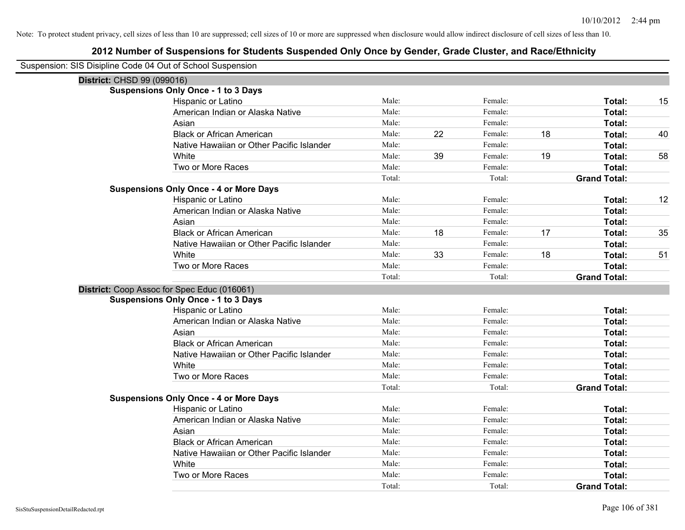| Suspension: SIS Disipline Code 04 Out of School Suspension |                                               |        |    |         |    |                     |    |
|------------------------------------------------------------|-----------------------------------------------|--------|----|---------|----|---------------------|----|
| District: CHSD 99 (099016)                                 |                                               |        |    |         |    |                     |    |
|                                                            | <b>Suspensions Only Once - 1 to 3 Days</b>    |        |    |         |    |                     |    |
|                                                            | Hispanic or Latino                            | Male:  |    | Female: |    | Total:              | 15 |
|                                                            | American Indian or Alaska Native              | Male:  |    | Female: |    | <b>Total:</b>       |    |
|                                                            | Asian                                         | Male:  |    | Female: |    | Total:              |    |
|                                                            | <b>Black or African American</b>              | Male:  | 22 | Female: | 18 | Total:              | 40 |
|                                                            | Native Hawaiian or Other Pacific Islander     | Male:  |    | Female: |    | Total:              |    |
|                                                            | White                                         | Male:  | 39 | Female: | 19 | Total:              | 58 |
|                                                            | Two or More Races                             | Male:  |    | Female: |    | Total:              |    |
|                                                            |                                               | Total: |    | Total:  |    | <b>Grand Total:</b> |    |
|                                                            | <b>Suspensions Only Once - 4 or More Days</b> |        |    |         |    |                     |    |
|                                                            | Hispanic or Latino                            | Male:  |    | Female: |    | Total:              | 12 |
|                                                            | American Indian or Alaska Native              | Male:  |    | Female: |    | Total:              |    |
|                                                            | Asian                                         | Male:  |    | Female: |    | Total:              |    |
|                                                            | <b>Black or African American</b>              | Male:  | 18 | Female: | 17 | Total:              | 35 |
|                                                            | Native Hawaiian or Other Pacific Islander     | Male:  |    | Female: |    | Total:              |    |
|                                                            | White                                         | Male:  | 33 | Female: | 18 | Total:              | 51 |
|                                                            | Two or More Races                             | Male:  |    | Female: |    | Total:              |    |
|                                                            |                                               | Total: |    | Total:  |    | <b>Grand Total:</b> |    |
|                                                            | District: Coop Assoc for Spec Educ (016061)   |        |    |         |    |                     |    |
|                                                            | <b>Suspensions Only Once - 1 to 3 Days</b>    |        |    |         |    |                     |    |
|                                                            | Hispanic or Latino                            | Male:  |    | Female: |    | Total:              |    |
|                                                            | American Indian or Alaska Native              | Male:  |    | Female: |    | Total:              |    |
|                                                            | Asian                                         | Male:  |    | Female: |    | Total:              |    |
|                                                            | <b>Black or African American</b>              | Male:  |    | Female: |    | Total:              |    |
|                                                            | Native Hawaiian or Other Pacific Islander     | Male:  |    | Female: |    | Total:              |    |
|                                                            | White                                         | Male:  |    | Female: |    | Total:              |    |
|                                                            | Two or More Races                             | Male:  |    | Female: |    | Total:              |    |
|                                                            |                                               | Total: |    | Total:  |    | <b>Grand Total:</b> |    |
|                                                            | <b>Suspensions Only Once - 4 or More Days</b> |        |    |         |    |                     |    |
|                                                            | Hispanic or Latino                            | Male:  |    | Female: |    | Total:              |    |
|                                                            | American Indian or Alaska Native              | Male:  |    | Female: |    | Total:              |    |
|                                                            | Asian                                         | Male:  |    | Female: |    | Total:              |    |
|                                                            | <b>Black or African American</b>              | Male:  |    | Female: |    | Total:              |    |
|                                                            | Native Hawaiian or Other Pacific Islander     | Male:  |    | Female: |    | Total:              |    |
|                                                            | White                                         | Male:  |    | Female: |    | <b>Total:</b>       |    |
|                                                            | Two or More Races                             | Male:  |    | Female: |    | Total:              |    |
|                                                            |                                               | Total: |    | Total:  |    | <b>Grand Total:</b> |    |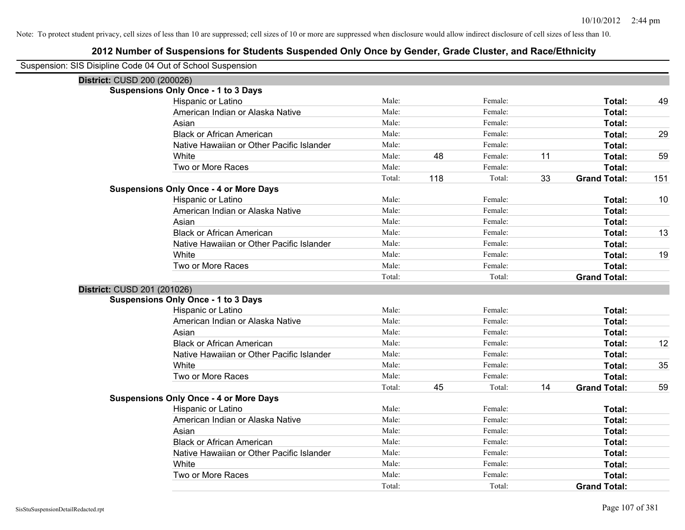| Suspension: SIS Disipline Code 04 Out of School Suspension |                                               |        |     |         |    |                     |     |
|------------------------------------------------------------|-----------------------------------------------|--------|-----|---------|----|---------------------|-----|
| District: CUSD 200 (200026)                                |                                               |        |     |         |    |                     |     |
|                                                            | <b>Suspensions Only Once - 1 to 3 Days</b>    |        |     |         |    |                     |     |
|                                                            | Hispanic or Latino                            | Male:  |     | Female: |    | Total:              | 49  |
|                                                            | American Indian or Alaska Native              | Male:  |     | Female: |    | Total:              |     |
|                                                            | Asian                                         | Male:  |     | Female: |    | Total:              |     |
|                                                            | <b>Black or African American</b>              | Male:  |     | Female: |    | Total:              | 29  |
|                                                            | Native Hawaiian or Other Pacific Islander     | Male:  |     | Female: |    | Total:              |     |
|                                                            | White                                         | Male:  | 48  | Female: | 11 | Total:              | 59  |
|                                                            | Two or More Races                             | Male:  |     | Female: |    | Total:              |     |
|                                                            |                                               | Total: | 118 | Total:  | 33 | <b>Grand Total:</b> | 151 |
|                                                            | <b>Suspensions Only Once - 4 or More Days</b> |        |     |         |    |                     |     |
|                                                            | Hispanic or Latino                            | Male:  |     | Female: |    | Total:              | 10  |
|                                                            | American Indian or Alaska Native              | Male:  |     | Female: |    | Total:              |     |
|                                                            | Asian                                         | Male:  |     | Female: |    | Total:              |     |
|                                                            | <b>Black or African American</b>              | Male:  |     | Female: |    | Total:              | 13  |
|                                                            | Native Hawaiian or Other Pacific Islander     | Male:  |     | Female: |    | Total:              |     |
|                                                            | White                                         | Male:  |     | Female: |    | Total:              | 19  |
|                                                            | Two or More Races                             | Male:  |     | Female: |    | Total:              |     |
|                                                            |                                               | Total: |     | Total:  |    | <b>Grand Total:</b> |     |
| District: CUSD 201 (201026)                                |                                               |        |     |         |    |                     |     |
|                                                            | <b>Suspensions Only Once - 1 to 3 Days</b>    |        |     |         |    |                     |     |
|                                                            | Hispanic or Latino                            | Male:  |     | Female: |    | Total:              |     |
|                                                            | American Indian or Alaska Native              | Male:  |     | Female: |    | Total:              |     |
|                                                            | Asian                                         | Male:  |     | Female: |    | Total:              |     |
|                                                            | <b>Black or African American</b>              | Male:  |     | Female: |    | Total:              | 12  |
|                                                            | Native Hawaiian or Other Pacific Islander     | Male:  |     | Female: |    | Total:              |     |
|                                                            | White                                         | Male:  |     | Female: |    | Total:              | 35  |
|                                                            | Two or More Races                             | Male:  |     | Female: |    | Total:              |     |
|                                                            |                                               | Total: | 45  | Total:  | 14 | <b>Grand Total:</b> | 59  |
|                                                            | <b>Suspensions Only Once - 4 or More Days</b> |        |     |         |    |                     |     |
|                                                            | Hispanic or Latino                            | Male:  |     | Female: |    | Total:              |     |
|                                                            | American Indian or Alaska Native              | Male:  |     | Female: |    | Total:              |     |
|                                                            | Asian                                         | Male:  |     | Female: |    | Total:              |     |
|                                                            | <b>Black or African American</b>              | Male:  |     | Female: |    | Total:              |     |
|                                                            | Native Hawaiian or Other Pacific Islander     | Male:  |     | Female: |    | Total:              |     |
|                                                            | White                                         | Male:  |     | Female: |    | Total:              |     |
|                                                            | Two or More Races                             | Male:  |     | Female: |    | Total:              |     |
|                                                            |                                               | Total: |     | Total:  |    | <b>Grand Total:</b> |     |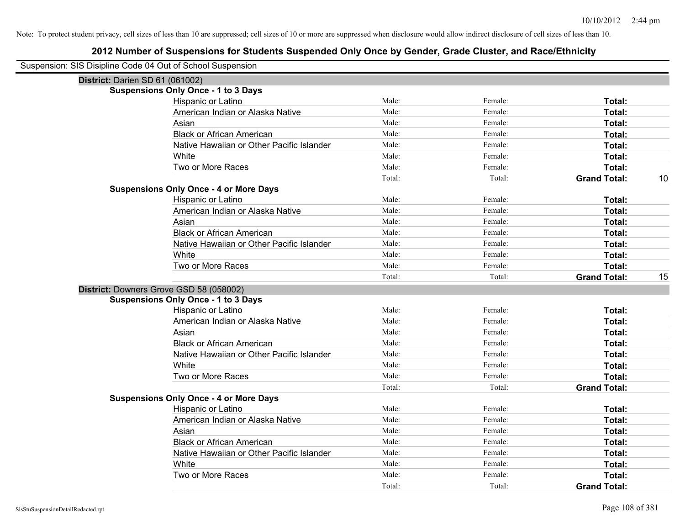| Suspension: SIS Disipline Code 04 Out of School Suspension |                                               |        |         |                     |    |
|------------------------------------------------------------|-----------------------------------------------|--------|---------|---------------------|----|
| District: Darien SD 61 (061002)                            |                                               |        |         |                     |    |
|                                                            | <b>Suspensions Only Once - 1 to 3 Days</b>    |        |         |                     |    |
|                                                            | Hispanic or Latino                            | Male:  | Female: | Total:              |    |
|                                                            | American Indian or Alaska Native              | Male:  | Female: | Total:              |    |
|                                                            | Asian                                         | Male:  | Female: | Total:              |    |
|                                                            | <b>Black or African American</b>              | Male:  | Female: | Total:              |    |
|                                                            | Native Hawaiian or Other Pacific Islander     | Male:  | Female: | Total:              |    |
|                                                            | White                                         | Male:  | Female: | Total:              |    |
|                                                            | Two or More Races                             | Male:  | Female: | Total:              |    |
|                                                            |                                               | Total: | Total:  | <b>Grand Total:</b> | 10 |
|                                                            | <b>Suspensions Only Once - 4 or More Days</b> |        |         |                     |    |
|                                                            | Hispanic or Latino                            | Male:  | Female: | Total:              |    |
|                                                            | American Indian or Alaska Native              | Male:  | Female: | Total:              |    |
|                                                            | Asian                                         | Male:  | Female: | Total:              |    |
|                                                            | <b>Black or African American</b>              | Male:  | Female: | Total:              |    |
|                                                            | Native Hawaiian or Other Pacific Islander     | Male:  | Female: | Total:              |    |
|                                                            | White                                         | Male:  | Female: | Total:              |    |
|                                                            | Two or More Races                             | Male:  | Female: | Total:              |    |
|                                                            |                                               | Total: | Total:  | <b>Grand Total:</b> | 15 |
|                                                            | District: Downers Grove GSD 58 (058002)       |        |         |                     |    |
|                                                            | <b>Suspensions Only Once - 1 to 3 Days</b>    |        |         |                     |    |
|                                                            | Hispanic or Latino                            | Male:  | Female: | Total:              |    |
|                                                            | American Indian or Alaska Native              | Male:  | Female: | Total:              |    |
|                                                            | Asian                                         | Male:  | Female: | Total:              |    |
|                                                            | <b>Black or African American</b>              | Male:  | Female: | Total:              |    |
|                                                            | Native Hawaiian or Other Pacific Islander     | Male:  | Female: | Total:              |    |
|                                                            | White                                         | Male:  | Female: | Total:              |    |
|                                                            | Two or More Races                             | Male:  | Female: | Total:              |    |
|                                                            |                                               | Total: | Total:  | <b>Grand Total:</b> |    |
|                                                            | <b>Suspensions Only Once - 4 or More Days</b> |        |         |                     |    |
|                                                            | Hispanic or Latino                            | Male:  | Female: | Total:              |    |
|                                                            | American Indian or Alaska Native              | Male:  | Female: | Total:              |    |
|                                                            | Asian                                         | Male:  | Female: | Total:              |    |
|                                                            | <b>Black or African American</b>              | Male:  | Female: | Total:              |    |
|                                                            | Native Hawaiian or Other Pacific Islander     | Male:  | Female: | Total:              |    |
|                                                            | White                                         | Male:  | Female: | Total:              |    |
|                                                            | Two or More Races                             | Male:  | Female: | Total:              |    |
|                                                            |                                               | Total: | Total:  | <b>Grand Total:</b> |    |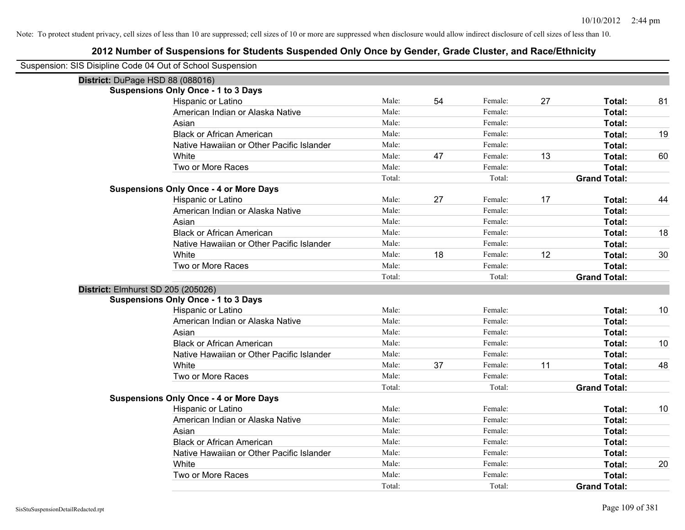| Suspension: SIS Disipline Code 04 Out of School Suspension |                                               |        |    |         |    |                     |    |
|------------------------------------------------------------|-----------------------------------------------|--------|----|---------|----|---------------------|----|
| District: DuPage HSD 88 (088016)                           |                                               |        |    |         |    |                     |    |
|                                                            | <b>Suspensions Only Once - 1 to 3 Days</b>    |        |    |         |    |                     |    |
|                                                            | Hispanic or Latino                            | Male:  | 54 | Female: | 27 | Total:              | 81 |
|                                                            | American Indian or Alaska Native              | Male:  |    | Female: |    | Total:              |    |
|                                                            | Asian                                         | Male:  |    | Female: |    | Total:              |    |
|                                                            | <b>Black or African American</b>              | Male:  |    | Female: |    | Total:              | 19 |
|                                                            | Native Hawaiian or Other Pacific Islander     | Male:  |    | Female: |    | Total:              |    |
|                                                            | White                                         | Male:  | 47 | Female: | 13 | Total:              | 60 |
|                                                            | Two or More Races                             | Male:  |    | Female: |    | Total:              |    |
|                                                            |                                               | Total: |    | Total:  |    | <b>Grand Total:</b> |    |
|                                                            | <b>Suspensions Only Once - 4 or More Days</b> |        |    |         |    |                     |    |
|                                                            | Hispanic or Latino                            | Male:  | 27 | Female: | 17 | Total:              | 44 |
|                                                            | American Indian or Alaska Native              | Male:  |    | Female: |    | Total:              |    |
|                                                            | Asian                                         | Male:  |    | Female: |    | Total:              |    |
|                                                            | <b>Black or African American</b>              | Male:  |    | Female: |    | Total:              | 18 |
|                                                            | Native Hawaiian or Other Pacific Islander     | Male:  |    | Female: |    | Total:              |    |
|                                                            | White                                         | Male:  | 18 | Female: | 12 | Total:              | 30 |
|                                                            | Two or More Races                             | Male:  |    | Female: |    | Total:              |    |
|                                                            |                                               | Total: |    | Total:  |    | <b>Grand Total:</b> |    |
| District: Elmhurst SD 205 (205026)                         |                                               |        |    |         |    |                     |    |
|                                                            | <b>Suspensions Only Once - 1 to 3 Days</b>    |        |    |         |    |                     |    |
|                                                            | Hispanic or Latino                            | Male:  |    | Female: |    | Total:              | 10 |
|                                                            | American Indian or Alaska Native              | Male:  |    | Female: |    | Total:              |    |
|                                                            | Asian                                         | Male:  |    | Female: |    | Total:              |    |
|                                                            | <b>Black or African American</b>              | Male:  |    | Female: |    | Total:              | 10 |
|                                                            | Native Hawaiian or Other Pacific Islander     | Male:  |    | Female: |    | <b>Total:</b>       |    |
|                                                            | White                                         | Male:  | 37 | Female: | 11 | Total:              | 48 |
|                                                            | Two or More Races                             | Male:  |    | Female: |    | Total:              |    |
|                                                            |                                               | Total: |    | Total:  |    | <b>Grand Total:</b> |    |
|                                                            | <b>Suspensions Only Once - 4 or More Days</b> |        |    |         |    |                     |    |
|                                                            | Hispanic or Latino                            | Male:  |    | Female: |    | Total:              | 10 |
|                                                            | American Indian or Alaska Native              | Male:  |    | Female: |    | Total:              |    |
|                                                            | Asian                                         | Male:  |    | Female: |    | Total:              |    |
|                                                            | <b>Black or African American</b>              | Male:  |    | Female: |    | Total:              |    |
|                                                            | Native Hawaiian or Other Pacific Islander     | Male:  |    | Female: |    | Total:              |    |
|                                                            | White                                         | Male:  |    | Female: |    | Total:              | 20 |
|                                                            | Two or More Races                             | Male:  |    | Female: |    | Total:              |    |
|                                                            |                                               | Total: |    | Total:  |    | <b>Grand Total:</b> |    |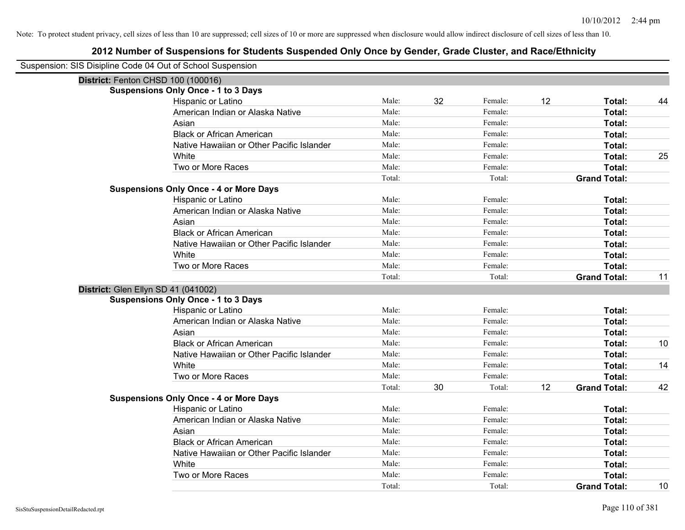| Suspension: SIS Disipline Code 04 Out of School Suspension |                                               |        |    |         |    |                     |    |
|------------------------------------------------------------|-----------------------------------------------|--------|----|---------|----|---------------------|----|
| District: Fenton CHSD 100 (100016)                         |                                               |        |    |         |    |                     |    |
|                                                            | <b>Suspensions Only Once - 1 to 3 Days</b>    |        |    |         |    |                     |    |
|                                                            | Hispanic or Latino                            | Male:  | 32 | Female: | 12 | Total:              | 44 |
|                                                            | American Indian or Alaska Native              | Male:  |    | Female: |    | Total:              |    |
|                                                            | Asian                                         | Male:  |    | Female: |    | Total:              |    |
|                                                            | <b>Black or African American</b>              | Male:  |    | Female: |    | Total:              |    |
|                                                            | Native Hawaiian or Other Pacific Islander     | Male:  |    | Female: |    | Total:              |    |
|                                                            | White                                         | Male:  |    | Female: |    | Total:              | 25 |
|                                                            | Two or More Races                             | Male:  |    | Female: |    | Total:              |    |
|                                                            |                                               | Total: |    | Total:  |    | <b>Grand Total:</b> |    |
|                                                            | <b>Suspensions Only Once - 4 or More Days</b> |        |    |         |    |                     |    |
|                                                            | Hispanic or Latino                            | Male:  |    | Female: |    | Total:              |    |
|                                                            | American Indian or Alaska Native              | Male:  |    | Female: |    | Total:              |    |
|                                                            | Asian                                         | Male:  |    | Female: |    | Total:              |    |
|                                                            | <b>Black or African American</b>              | Male:  |    | Female: |    | Total:              |    |
|                                                            | Native Hawaiian or Other Pacific Islander     | Male:  |    | Female: |    | Total:              |    |
|                                                            | White                                         | Male:  |    | Female: |    | Total:              |    |
|                                                            | Two or More Races                             | Male:  |    | Female: |    | <b>Total:</b>       |    |
|                                                            |                                               | Total: |    | Total:  |    | <b>Grand Total:</b> | 11 |
| District: Glen Ellyn SD 41 (041002)                        |                                               |        |    |         |    |                     |    |
|                                                            | <b>Suspensions Only Once - 1 to 3 Days</b>    |        |    |         |    |                     |    |
|                                                            | Hispanic or Latino                            | Male:  |    | Female: |    | Total:              |    |
|                                                            | American Indian or Alaska Native              | Male:  |    | Female: |    | Total:              |    |
|                                                            | Asian                                         | Male:  |    | Female: |    | Total:              |    |
|                                                            | <b>Black or African American</b>              | Male:  |    | Female: |    | Total:              | 10 |
|                                                            | Native Hawaiian or Other Pacific Islander     | Male:  |    | Female: |    | <b>Total:</b>       |    |
|                                                            | White                                         | Male:  |    | Female: |    | Total:              | 14 |
|                                                            | Two or More Races                             | Male:  |    | Female: |    | <b>Total:</b>       |    |
|                                                            |                                               | Total: | 30 | Total:  | 12 | <b>Grand Total:</b> | 42 |
|                                                            | <b>Suspensions Only Once - 4 or More Days</b> |        |    |         |    |                     |    |
|                                                            | Hispanic or Latino                            | Male:  |    | Female: |    | Total:              |    |
|                                                            | American Indian or Alaska Native              | Male:  |    | Female: |    | Total:              |    |
|                                                            | Asian                                         | Male:  |    | Female: |    | Total:              |    |
|                                                            | <b>Black or African American</b>              | Male:  |    | Female: |    | Total:              |    |
|                                                            | Native Hawaiian or Other Pacific Islander     | Male:  |    | Female: |    | Total:              |    |
|                                                            | White                                         | Male:  |    | Female: |    | Total:              |    |
|                                                            | Two or More Races                             | Male:  |    | Female: |    | <b>Total:</b>       |    |
|                                                            |                                               | Total: |    | Total:  |    | <b>Grand Total:</b> | 10 |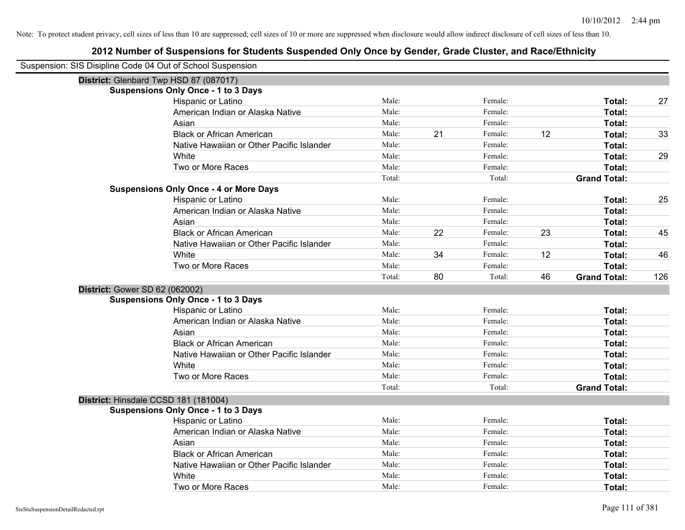| Suspension: SIS Disipline Code 04 Out of School Suspension |                                               |        |    |         |    |                     |     |
|------------------------------------------------------------|-----------------------------------------------|--------|----|---------|----|---------------------|-----|
| District: Glenbard Twp HSD 87 (087017)                     |                                               |        |    |         |    |                     |     |
|                                                            | <b>Suspensions Only Once - 1 to 3 Days</b>    |        |    |         |    |                     |     |
|                                                            | Hispanic or Latino                            | Male:  |    | Female: |    | Total:              | 27  |
|                                                            | American Indian or Alaska Native              | Male:  |    | Female: |    | Total:              |     |
|                                                            | Asian                                         | Male:  |    | Female: |    | Total:              |     |
|                                                            | <b>Black or African American</b>              | Male:  | 21 | Female: | 12 | Total:              | 33  |
|                                                            | Native Hawaiian or Other Pacific Islander     | Male:  |    | Female: |    | Total:              |     |
|                                                            | White                                         | Male:  |    | Female: |    | Total:              | 29  |
|                                                            | Two or More Races                             | Male:  |    | Female: |    | Total:              |     |
|                                                            |                                               | Total: |    | Total:  |    | <b>Grand Total:</b> |     |
|                                                            | <b>Suspensions Only Once - 4 or More Days</b> |        |    |         |    |                     |     |
|                                                            | Hispanic or Latino                            | Male:  |    | Female: |    | Total:              | 25  |
|                                                            | American Indian or Alaska Native              | Male:  |    | Female: |    | Total:              |     |
|                                                            | Asian                                         | Male:  |    | Female: |    | Total:              |     |
|                                                            | <b>Black or African American</b>              | Male:  | 22 | Female: | 23 | Total:              | 45  |
|                                                            | Native Hawaiian or Other Pacific Islander     | Male:  |    | Female: |    | Total:              |     |
|                                                            | White                                         | Male:  | 34 | Female: | 12 | Total:              | 46  |
|                                                            | Two or More Races                             | Male:  |    | Female: |    | Total:              |     |
|                                                            |                                               | Total: | 80 | Total:  | 46 | <b>Grand Total:</b> | 126 |
| District: Gower SD 62 (062002)                             |                                               |        |    |         |    |                     |     |
|                                                            | <b>Suspensions Only Once - 1 to 3 Days</b>    |        |    |         |    |                     |     |
|                                                            | Hispanic or Latino                            | Male:  |    | Female: |    | Total:              |     |
|                                                            | American Indian or Alaska Native              |        |    |         |    |                     |     |
|                                                            |                                               | Male:  |    | Female: |    | Total:              |     |
|                                                            | Asian                                         | Male:  |    | Female: |    | Total:              |     |
|                                                            | <b>Black or African American</b>              | Male:  |    | Female: |    | Total:              |     |
|                                                            | Native Hawaiian or Other Pacific Islander     | Male:  |    | Female: |    | <b>Total:</b>       |     |
|                                                            | White                                         | Male:  |    | Female: |    | Total:              |     |
|                                                            | Two or More Races                             | Male:  |    | Female: |    | Total:              |     |
|                                                            |                                               | Total: |    | Total:  |    | <b>Grand Total:</b> |     |
| District: Hinsdale CCSD 181 (181004)                       |                                               |        |    |         |    |                     |     |
|                                                            | <b>Suspensions Only Once - 1 to 3 Days</b>    |        |    |         |    |                     |     |
|                                                            | Hispanic or Latino                            | Male:  |    | Female: |    | Total:              |     |
|                                                            | American Indian or Alaska Native              | Male:  |    | Female: |    | Total:              |     |
|                                                            | Asian                                         | Male:  |    | Female: |    | Total:              |     |
|                                                            | <b>Black or African American</b>              | Male:  |    | Female: |    | Total:              |     |
|                                                            | Native Hawaiian or Other Pacific Islander     | Male:  |    | Female: |    | Total:              |     |
|                                                            | White                                         | Male:  |    | Female: |    | Total:              |     |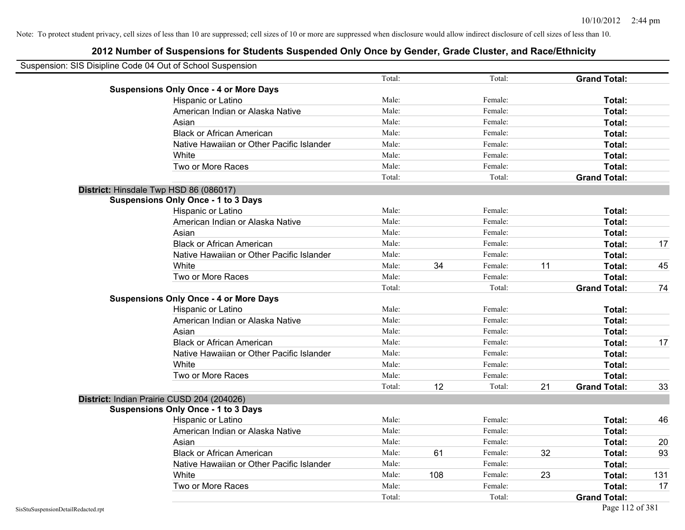| Suspension: SIS Disipline Code 04 Out of School Suspension |                                           |        |     |         |    |                     |     |
|------------------------------------------------------------|-------------------------------------------|--------|-----|---------|----|---------------------|-----|
|                                                            |                                           | Total: |     | Total:  |    | <b>Grand Total:</b> |     |
| <b>Suspensions Only Once - 4 or More Days</b>              |                                           |        |     |         |    |                     |     |
| Hispanic or Latino                                         |                                           | Male:  |     | Female: |    | Total:              |     |
|                                                            | American Indian or Alaska Native          | Male:  |     | Female: |    | Total:              |     |
| Asian                                                      |                                           | Male:  |     | Female: |    | Total:              |     |
| <b>Black or African American</b>                           |                                           | Male:  |     | Female: |    | Total:              |     |
|                                                            | Native Hawaiian or Other Pacific Islander | Male:  |     | Female: |    | Total:              |     |
| White                                                      |                                           | Male:  |     | Female: |    | Total:              |     |
| Two or More Races                                          |                                           | Male:  |     | Female: |    | Total:              |     |
|                                                            |                                           | Total: |     | Total:  |    | <b>Grand Total:</b> |     |
| District: Hinsdale Twp HSD 86 (086017)                     |                                           |        |     |         |    |                     |     |
| <b>Suspensions Only Once - 1 to 3 Days</b>                 |                                           |        |     |         |    |                     |     |
| Hispanic or Latino                                         |                                           | Male:  |     | Female: |    | Total:              |     |
|                                                            | American Indian or Alaska Native          | Male:  |     | Female: |    | Total:              |     |
| Asian                                                      |                                           | Male:  |     | Female: |    | Total:              |     |
| <b>Black or African American</b>                           |                                           | Male:  |     | Female: |    | Total:              | 17  |
|                                                            | Native Hawaiian or Other Pacific Islander | Male:  |     | Female: |    | Total:              |     |
| White                                                      |                                           | Male:  | 34  | Female: | 11 | Total:              | 45  |
| Two or More Races                                          |                                           | Male:  |     | Female: |    | Total:              |     |
|                                                            |                                           | Total: |     | Total:  |    | <b>Grand Total:</b> | 74  |
| <b>Suspensions Only Once - 4 or More Days</b>              |                                           |        |     |         |    |                     |     |
| Hispanic or Latino                                         |                                           | Male:  |     | Female: |    | Total:              |     |
|                                                            | American Indian or Alaska Native          | Male:  |     | Female: |    | Total:              |     |
| Asian                                                      |                                           | Male:  |     | Female: |    | Total:              |     |
| <b>Black or African American</b>                           |                                           | Male:  |     | Female: |    | Total:              | 17  |
|                                                            | Native Hawaiian or Other Pacific Islander | Male:  |     | Female: |    | Total:              |     |
| White                                                      |                                           | Male:  |     | Female: |    | Total:              |     |
| Two or More Races                                          |                                           | Male:  |     | Female: |    | Total:              |     |
|                                                            |                                           | Total: | 12  | Total:  | 21 | <b>Grand Total:</b> | 33  |
| District: Indian Prairie CUSD 204 (204026)                 |                                           |        |     |         |    |                     |     |
| <b>Suspensions Only Once - 1 to 3 Days</b>                 |                                           |        |     |         |    |                     |     |
| Hispanic or Latino                                         |                                           | Male:  |     | Female: |    | Total:              | 46  |
|                                                            | American Indian or Alaska Native          | Male:  |     | Female: |    | Total:              |     |
| Asian                                                      |                                           | Male:  |     | Female: |    | Total:              | 20  |
| <b>Black or African American</b>                           |                                           | Male:  | 61  | Female: | 32 | Total:              | 93  |
|                                                            | Native Hawaiian or Other Pacific Islander | Male:  |     | Female: |    | Total:              |     |
| White                                                      |                                           | Male:  | 108 | Female: | 23 | <b>Total:</b>       | 131 |
| Two or More Races                                          |                                           | Male:  |     | Female: |    | <b>Total:</b>       | 17  |
|                                                            |                                           | Total: |     | Total:  |    | <b>Grand Total:</b> |     |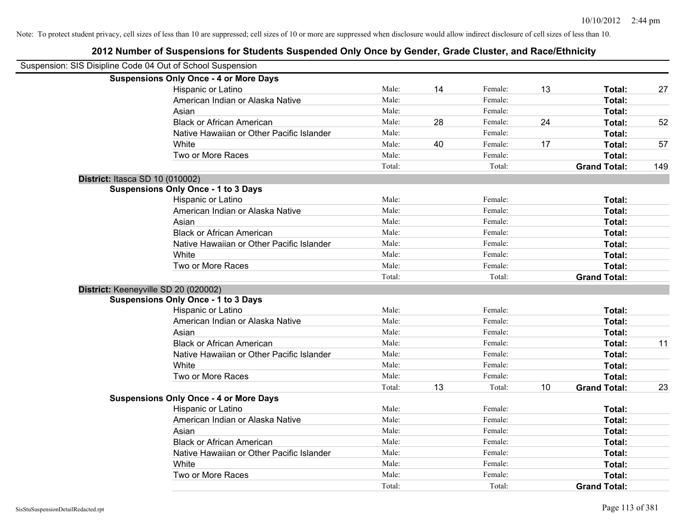| Suspension: SIS Disipline Code 04 Out of School Suspension |        |    |         |    |                     |     |
|------------------------------------------------------------|--------|----|---------|----|---------------------|-----|
| <b>Suspensions Only Once - 4 or More Days</b>              |        |    |         |    |                     |     |
| Hispanic or Latino                                         | Male:  | 14 | Female: | 13 | Total:              | 27  |
| American Indian or Alaska Native                           | Male:  |    | Female: |    | Total:              |     |
| Asian                                                      | Male:  |    | Female: |    | Total:              |     |
| <b>Black or African American</b>                           | Male:  | 28 | Female: | 24 | Total:              | 52  |
| Native Hawaiian or Other Pacific Islander                  | Male:  |    | Female: |    | Total:              |     |
| White                                                      | Male:  | 40 | Female: | 17 | Total:              | 57  |
| Two or More Races                                          | Male:  |    | Female: |    | Total:              |     |
|                                                            | Total: |    | Total:  |    | <b>Grand Total:</b> | 149 |
| District: Itasca SD 10 (010002)                            |        |    |         |    |                     |     |
| <b>Suspensions Only Once - 1 to 3 Days</b>                 |        |    |         |    |                     |     |
| Hispanic or Latino                                         | Male:  |    | Female: |    | Total:              |     |
| American Indian or Alaska Native                           | Male:  |    | Female: |    | Total:              |     |
| Asian                                                      | Male:  |    | Female: |    | Total:              |     |
| <b>Black or African American</b>                           | Male:  |    | Female: |    | Total:              |     |
| Native Hawaiian or Other Pacific Islander                  | Male:  |    | Female: |    | Total:              |     |
| White                                                      | Male:  |    | Female: |    | Total:              |     |
| Two or More Races                                          | Male:  |    | Female: |    | Total:              |     |
|                                                            | Total: |    | Total:  |    | <b>Grand Total:</b> |     |
| District: Keeneyville SD 20 (020002)                       |        |    |         |    |                     |     |
| <b>Suspensions Only Once - 1 to 3 Days</b>                 |        |    |         |    |                     |     |
| Hispanic or Latino                                         | Male:  |    | Female: |    | Total:              |     |
| American Indian or Alaska Native                           | Male:  |    | Female: |    | Total:              |     |
| Asian                                                      | Male:  |    | Female: |    | Total:              |     |
| <b>Black or African American</b>                           | Male:  |    | Female: |    | Total:              | 11  |
| Native Hawaiian or Other Pacific Islander                  | Male:  |    | Female: |    | Total:              |     |
| White                                                      | Male:  |    | Female: |    | Total:              |     |
| Two or More Races                                          | Male:  |    | Female: |    | Total:              |     |
|                                                            | Total: | 13 | Total:  | 10 | <b>Grand Total:</b> | 23  |
| <b>Suspensions Only Once - 4 or More Days</b>              |        |    |         |    |                     |     |
| Hispanic or Latino                                         | Male:  |    | Female: |    | Total:              |     |
| American Indian or Alaska Native                           | Male:  |    | Female: |    | Total:              |     |
| Asian                                                      | Male:  |    | Female: |    | Total:              |     |
| <b>Black or African American</b>                           | Male:  |    | Female: |    | Total:              |     |
| Native Hawaiian or Other Pacific Islander                  | Male:  |    | Female: |    | Total:              |     |
| White                                                      | Male:  |    | Female: |    | Total:              |     |
| Two or More Races                                          | Male:  |    | Female: |    | <b>Total:</b>       |     |
|                                                            | Total: |    | Total:  |    | <b>Grand Total:</b> |     |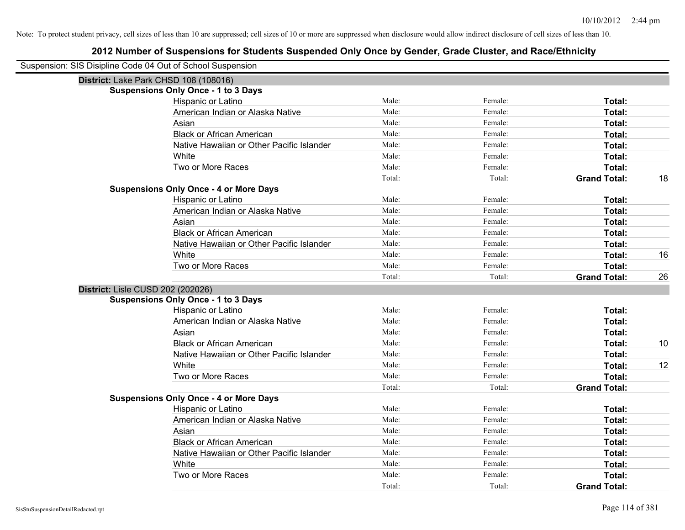| Suspension: SIS Disipline Code 04 Out of School Suspension |                                               |        |         |                     |    |
|------------------------------------------------------------|-----------------------------------------------|--------|---------|---------------------|----|
| District: Lake Park CHSD 108 (108016)                      |                                               |        |         |                     |    |
|                                                            | <b>Suspensions Only Once - 1 to 3 Days</b>    |        |         |                     |    |
|                                                            | Hispanic or Latino                            | Male:  | Female: | Total:              |    |
|                                                            | American Indian or Alaska Native              | Male:  | Female: | Total:              |    |
|                                                            | Asian                                         | Male:  | Female: | Total:              |    |
|                                                            | <b>Black or African American</b>              | Male:  | Female: | Total:              |    |
|                                                            | Native Hawaiian or Other Pacific Islander     | Male:  | Female: | Total:              |    |
|                                                            | White                                         | Male:  | Female: | Total:              |    |
|                                                            | Two or More Races                             | Male:  | Female: | Total:              |    |
|                                                            |                                               | Total: | Total:  | <b>Grand Total:</b> | 18 |
|                                                            | <b>Suspensions Only Once - 4 or More Days</b> |        |         |                     |    |
|                                                            | Hispanic or Latino                            | Male:  | Female: | Total:              |    |
|                                                            | American Indian or Alaska Native              | Male:  | Female: | Total:              |    |
|                                                            | Asian                                         | Male:  | Female: | Total:              |    |
|                                                            | <b>Black or African American</b>              | Male:  | Female: | Total:              |    |
|                                                            | Native Hawaiian or Other Pacific Islander     | Male:  | Female: | Total:              |    |
|                                                            | White                                         | Male:  | Female: | Total:              | 16 |
|                                                            | Two or More Races                             | Male:  | Female: | Total:              |    |
|                                                            |                                               | Total: | Total:  | <b>Grand Total:</b> | 26 |
| District: Lisle CUSD 202 (202026)                          |                                               |        |         |                     |    |
|                                                            | <b>Suspensions Only Once - 1 to 3 Days</b>    |        |         |                     |    |
|                                                            | Hispanic or Latino                            | Male:  | Female: | Total:              |    |
|                                                            | American Indian or Alaska Native              | Male:  | Female: | Total:              |    |
|                                                            | Asian                                         | Male:  | Female: | Total:              |    |
|                                                            | <b>Black or African American</b>              | Male:  | Female: | Total:              | 10 |
|                                                            | Native Hawaiian or Other Pacific Islander     | Male:  | Female: | Total:              |    |
|                                                            | White                                         | Male:  | Female: | Total:              | 12 |
|                                                            | Two or More Races                             | Male:  | Female: | Total:              |    |
|                                                            |                                               | Total: | Total:  | <b>Grand Total:</b> |    |
|                                                            | <b>Suspensions Only Once - 4 or More Days</b> |        |         |                     |    |
|                                                            | Hispanic or Latino                            | Male:  | Female: | Total:              |    |
|                                                            | American Indian or Alaska Native              | Male:  | Female: | Total:              |    |
|                                                            | Asian                                         | Male:  | Female: | Total:              |    |
|                                                            | <b>Black or African American</b>              | Male:  | Female: | Total:              |    |
|                                                            | Native Hawaiian or Other Pacific Islander     | Male:  | Female: | Total:              |    |
|                                                            | White                                         | Male:  | Female: | Total:              |    |
|                                                            |                                               | Male:  | Female: | Total:              |    |
|                                                            | Two or More Races                             |        |         | <b>Grand Total:</b> |    |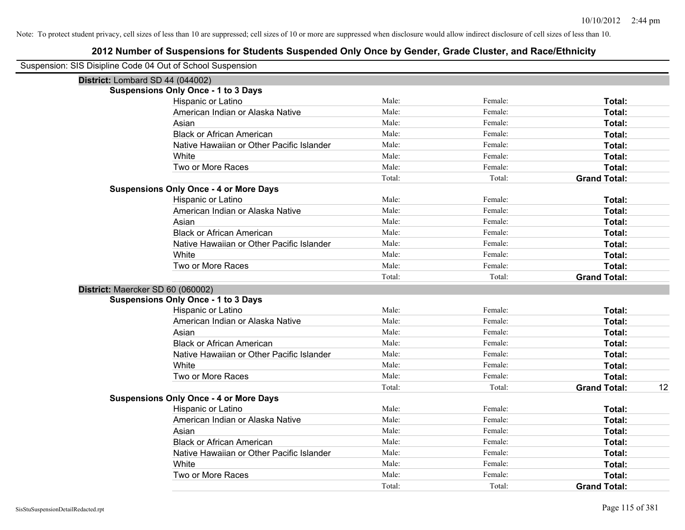| Suspension: SIS Disipline Code 04 Out of School Suspension |                                               |        |         |                           |
|------------------------------------------------------------|-----------------------------------------------|--------|---------|---------------------------|
| District: Lombard SD 44 (044002)                           |                                               |        |         |                           |
|                                                            | <b>Suspensions Only Once - 1 to 3 Days</b>    |        |         |                           |
|                                                            | Hispanic or Latino                            | Male:  | Female: | Total:                    |
|                                                            | American Indian or Alaska Native              | Male:  | Female: | Total:                    |
|                                                            | Asian                                         | Male:  | Female: | Total:                    |
|                                                            | <b>Black or African American</b>              | Male:  | Female: | Total:                    |
|                                                            | Native Hawaiian or Other Pacific Islander     | Male:  | Female: | Total:                    |
|                                                            | White                                         | Male:  | Female: | Total:                    |
|                                                            | Two or More Races                             | Male:  | Female: | Total:                    |
|                                                            |                                               | Total: | Total:  | <b>Grand Total:</b>       |
|                                                            | <b>Suspensions Only Once - 4 or More Days</b> |        |         |                           |
|                                                            | Hispanic or Latino                            | Male:  | Female: | Total:                    |
|                                                            | American Indian or Alaska Native              | Male:  | Female: | Total:                    |
|                                                            | Asian                                         | Male:  | Female: | Total:                    |
|                                                            | <b>Black or African American</b>              | Male:  | Female: | Total:                    |
|                                                            | Native Hawaiian or Other Pacific Islander     | Male:  | Female: | Total:                    |
|                                                            | White                                         | Male:  | Female: | Total:                    |
|                                                            | Two or More Races                             | Male:  | Female: | Total:                    |
|                                                            |                                               | Total: | Total:  | <b>Grand Total:</b>       |
| District: Maercker SD 60 (060002)                          |                                               |        |         |                           |
|                                                            | <b>Suspensions Only Once - 1 to 3 Days</b>    |        |         |                           |
|                                                            | Hispanic or Latino                            | Male:  | Female: | Total:                    |
|                                                            | American Indian or Alaska Native              | Male:  | Female: | Total:                    |
|                                                            | Asian                                         | Male:  | Female: | Total:                    |
|                                                            | <b>Black or African American</b>              | Male:  | Female: | Total:                    |
|                                                            | Native Hawaiian or Other Pacific Islander     | Male:  | Female: | Total:                    |
|                                                            | White                                         | Male:  | Female: | Total:                    |
|                                                            | Two or More Races                             | Male:  | Female: | Total:                    |
|                                                            |                                               | Total: | Total:  | <b>Grand Total:</b><br>12 |
|                                                            | <b>Suspensions Only Once - 4 or More Days</b> |        |         |                           |
|                                                            | Hispanic or Latino                            | Male:  | Female: | Total:                    |
|                                                            | American Indian or Alaska Native              | Male:  | Female: | Total:                    |
|                                                            | Asian                                         | Male:  | Female: | Total:                    |
|                                                            | <b>Black or African American</b>              | Male:  | Female: | Total:                    |
|                                                            | Native Hawaiian or Other Pacific Islander     | Male:  | Female: | Total:                    |
|                                                            | White                                         | Male:  | Female: | Total:                    |
|                                                            | Two or More Races                             | Male:  | Female: | Total:                    |
|                                                            |                                               | Total: | Total:  | <b>Grand Total:</b>       |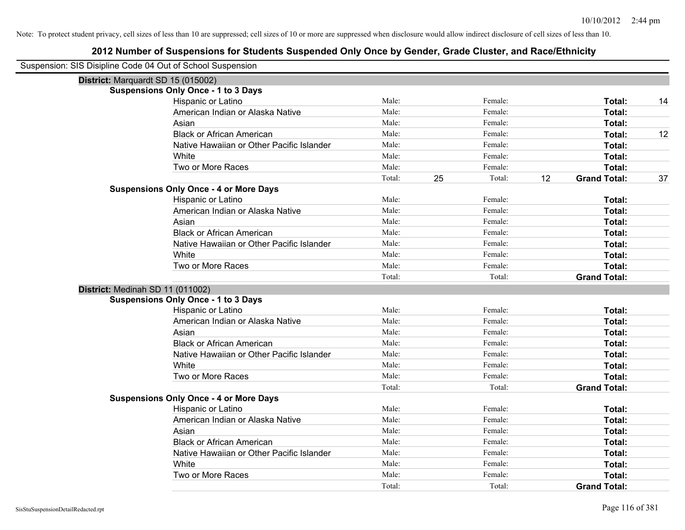| Suspension: SIS Disipline Code 04 Out of School Suspension |                                               |        |    |         |    |                     |    |
|------------------------------------------------------------|-----------------------------------------------|--------|----|---------|----|---------------------|----|
| District: Marquardt SD 15 (015002)                         |                                               |        |    |         |    |                     |    |
|                                                            | <b>Suspensions Only Once - 1 to 3 Days</b>    |        |    |         |    |                     |    |
|                                                            | Hispanic or Latino                            | Male:  |    | Female: |    | Total:              | 14 |
|                                                            | American Indian or Alaska Native              | Male:  |    | Female: |    | Total:              |    |
|                                                            | Asian                                         | Male:  |    | Female: |    | Total:              |    |
|                                                            | <b>Black or African American</b>              | Male:  |    | Female: |    | Total:              | 12 |
|                                                            | Native Hawaiian or Other Pacific Islander     | Male:  |    | Female: |    | Total:              |    |
|                                                            | White                                         | Male:  |    | Female: |    | Total:              |    |
|                                                            | Two or More Races                             | Male:  |    | Female: |    | Total:              |    |
|                                                            |                                               | Total: | 25 | Total:  | 12 | <b>Grand Total:</b> | 37 |
|                                                            | <b>Suspensions Only Once - 4 or More Days</b> |        |    |         |    |                     |    |
|                                                            | Hispanic or Latino                            | Male:  |    | Female: |    | Total:              |    |
|                                                            | American Indian or Alaska Native              | Male:  |    | Female: |    | Total:              |    |
|                                                            | Asian                                         | Male:  |    | Female: |    | Total:              |    |
|                                                            | <b>Black or African American</b>              | Male:  |    | Female: |    | Total:              |    |
|                                                            | Native Hawaiian or Other Pacific Islander     | Male:  |    | Female: |    | Total:              |    |
|                                                            | White                                         | Male:  |    | Female: |    | Total:              |    |
|                                                            | Two or More Races                             | Male:  |    | Female: |    | Total:              |    |
|                                                            |                                               | Total: |    | Total:  |    | <b>Grand Total:</b> |    |
| District: Medinah SD 11 (011002)                           |                                               |        |    |         |    |                     |    |
|                                                            | <b>Suspensions Only Once - 1 to 3 Days</b>    |        |    |         |    |                     |    |
|                                                            | Hispanic or Latino                            | Male:  |    | Female: |    | Total:              |    |
|                                                            | American Indian or Alaska Native              | Male:  |    | Female: |    | Total:              |    |
|                                                            | Asian                                         | Male:  |    | Female: |    | Total:              |    |
|                                                            | <b>Black or African American</b>              | Male:  |    | Female: |    | Total:              |    |
|                                                            | Native Hawaiian or Other Pacific Islander     | Male:  |    | Female: |    | <b>Total:</b>       |    |
|                                                            | White                                         | Male:  |    | Female: |    | Total:              |    |
|                                                            | Two or More Races                             | Male:  |    | Female: |    | Total:              |    |
|                                                            |                                               | Total: |    | Total:  |    | <b>Grand Total:</b> |    |
|                                                            | <b>Suspensions Only Once - 4 or More Days</b> |        |    |         |    |                     |    |
|                                                            | Hispanic or Latino                            | Male:  |    | Female: |    | Total:              |    |
|                                                            | American Indian or Alaska Native              | Male:  |    | Female: |    | Total:              |    |
|                                                            | Asian                                         | Male:  |    | Female: |    | Total:              |    |
|                                                            | <b>Black or African American</b>              | Male:  |    | Female: |    | Total:              |    |
|                                                            | Native Hawaiian or Other Pacific Islander     | Male:  |    | Female: |    | Total:              |    |
|                                                            | White                                         | Male:  |    | Female: |    | Total:              |    |
|                                                            | Two or More Races                             | Male:  |    | Female: |    | Total:              |    |
|                                                            |                                               | Total: |    | Total:  |    | <b>Grand Total:</b> |    |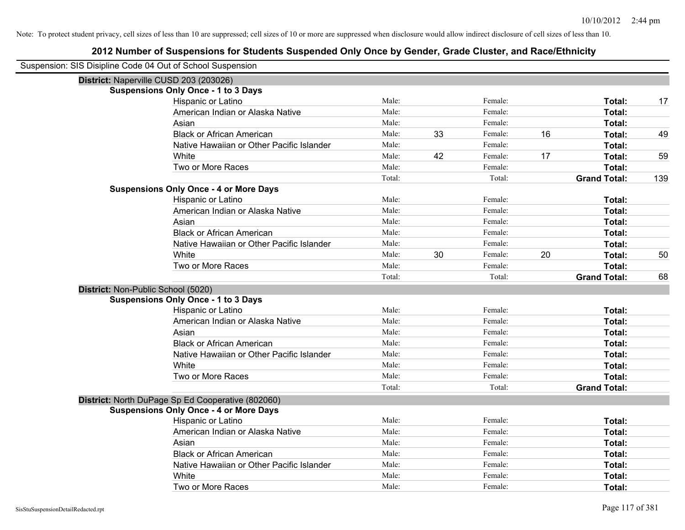| Suspension: SIS Disipline Code 04 Out of School Suspension |                                                   |        |    |         |    |                     |     |
|------------------------------------------------------------|---------------------------------------------------|--------|----|---------|----|---------------------|-----|
| District: Naperville CUSD 203 (203026)                     |                                                   |        |    |         |    |                     |     |
|                                                            | <b>Suspensions Only Once - 1 to 3 Days</b>        |        |    |         |    |                     |     |
|                                                            | Hispanic or Latino                                | Male:  |    | Female: |    | Total:              | 17  |
|                                                            | American Indian or Alaska Native                  | Male:  |    | Female: |    | Total:              |     |
|                                                            | Asian                                             | Male:  |    | Female: |    | Total:              |     |
|                                                            | <b>Black or African American</b>                  | Male:  | 33 | Female: | 16 | Total:              | 49  |
|                                                            | Native Hawaiian or Other Pacific Islander         | Male:  |    | Female: |    | Total:              |     |
|                                                            | White                                             | Male:  | 42 | Female: | 17 | Total:              | 59  |
|                                                            | Two or More Races                                 | Male:  |    | Female: |    | Total:              |     |
|                                                            |                                                   | Total: |    | Total:  |    | <b>Grand Total:</b> | 139 |
|                                                            | <b>Suspensions Only Once - 4 or More Days</b>     |        |    |         |    |                     |     |
|                                                            | Hispanic or Latino                                | Male:  |    | Female: |    | Total:              |     |
|                                                            | American Indian or Alaska Native                  | Male:  |    | Female: |    | Total:              |     |
|                                                            | Asian                                             | Male:  |    | Female: |    | Total:              |     |
|                                                            | <b>Black or African American</b>                  | Male:  |    | Female: |    | Total:              |     |
|                                                            | Native Hawaiian or Other Pacific Islander         | Male:  |    | Female: |    | Total:              |     |
|                                                            | White                                             | Male:  | 30 | Female: | 20 | Total:              | 50  |
|                                                            | Two or More Races                                 | Male:  |    | Female: |    | Total:              |     |
|                                                            |                                                   | Total: |    | Total:  |    | <b>Grand Total:</b> | 68  |
| District: Non-Public School (5020)                         |                                                   |        |    |         |    |                     |     |
|                                                            | <b>Suspensions Only Once - 1 to 3 Days</b>        |        |    |         |    |                     |     |
|                                                            | Hispanic or Latino                                | Male:  |    | Female: |    | Total:              |     |
|                                                            | American Indian or Alaska Native                  | Male:  |    | Female: |    | Total:              |     |
|                                                            | Asian                                             | Male:  |    | Female: |    | Total:              |     |
|                                                            | <b>Black or African American</b>                  | Male:  |    | Female: |    | Total:              |     |
|                                                            | Native Hawaiian or Other Pacific Islander         | Male:  |    | Female: |    | <b>Total:</b>       |     |
|                                                            | White                                             | Male:  |    | Female: |    | Total:              |     |
|                                                            | Two or More Races                                 | Male:  |    | Female: |    | Total:              |     |
|                                                            |                                                   | Total: |    | Total:  |    | <b>Grand Total:</b> |     |
|                                                            | District: North DuPage Sp Ed Cooperative (802060) |        |    |         |    |                     |     |
|                                                            | <b>Suspensions Only Once - 4 or More Days</b>     |        |    |         |    |                     |     |
|                                                            | Hispanic or Latino                                | Male:  |    | Female: |    | Total:              |     |
|                                                            | American Indian or Alaska Native                  | Male:  |    | Female: |    | Total:              |     |
|                                                            | Asian                                             | Male:  |    | Female: |    | Total:              |     |
|                                                            | <b>Black or African American</b>                  | Male:  |    | Female: |    | Total:              |     |
|                                                            | Native Hawaiian or Other Pacific Islander         | Male:  |    | Female: |    | Total:              |     |
|                                                            | White                                             | Male:  |    | Female: |    | Total:              |     |
|                                                            | Two or More Races                                 | Male:  |    | Female: |    | Total:              |     |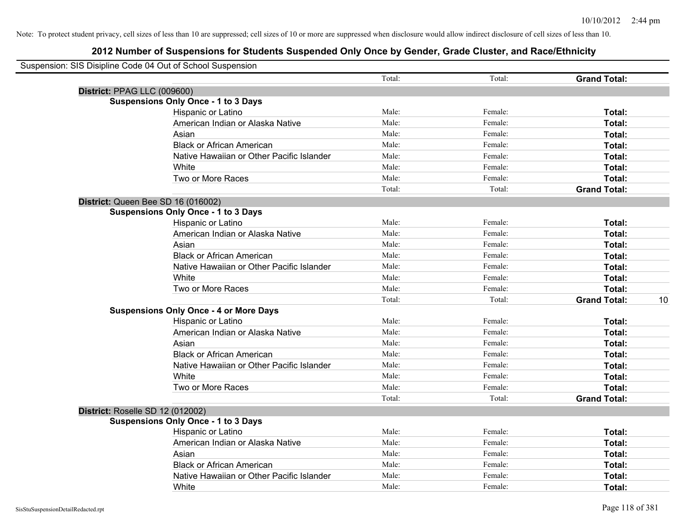| Suspension: SIS Disipline Code 04 Out of School Suspension |                                               |        |         |                     |    |
|------------------------------------------------------------|-----------------------------------------------|--------|---------|---------------------|----|
|                                                            |                                               | Total: | Total:  | <b>Grand Total:</b> |    |
| District: PPAG LLC (009600)                                |                                               |        |         |                     |    |
|                                                            | <b>Suspensions Only Once - 1 to 3 Days</b>    |        |         |                     |    |
|                                                            | Hispanic or Latino                            | Male:  | Female: | Total:              |    |
|                                                            | American Indian or Alaska Native              | Male:  | Female: | Total:              |    |
|                                                            | Asian                                         | Male:  | Female: | Total:              |    |
|                                                            | <b>Black or African American</b>              | Male:  | Female: | Total:              |    |
|                                                            | Native Hawaiian or Other Pacific Islander     | Male:  | Female: | Total:              |    |
|                                                            | White                                         | Male:  | Female: | Total:              |    |
|                                                            | Two or More Races                             | Male:  | Female: | Total:              |    |
|                                                            |                                               | Total: | Total:  | <b>Grand Total:</b> |    |
|                                                            | District: Queen Bee SD 16 (016002)            |        |         |                     |    |
|                                                            | <b>Suspensions Only Once - 1 to 3 Days</b>    |        |         |                     |    |
|                                                            | Hispanic or Latino                            | Male:  | Female: | Total:              |    |
|                                                            | American Indian or Alaska Native              | Male:  | Female: | Total:              |    |
|                                                            | Asian                                         | Male:  | Female: | Total:              |    |
|                                                            | <b>Black or African American</b>              | Male:  | Female: | Total:              |    |
|                                                            | Native Hawaiian or Other Pacific Islander     | Male:  | Female: | Total:              |    |
|                                                            | White                                         | Male:  | Female: | Total:              |    |
|                                                            | Two or More Races                             | Male:  | Female: | Total:              |    |
|                                                            |                                               | Total: | Total:  | <b>Grand Total:</b> | 10 |
|                                                            | <b>Suspensions Only Once - 4 or More Days</b> |        |         |                     |    |
|                                                            | Hispanic or Latino                            | Male:  | Female: | Total:              |    |
|                                                            | American Indian or Alaska Native              | Male:  | Female: | Total:              |    |
|                                                            | Asian                                         | Male:  | Female: | Total:              |    |
|                                                            | <b>Black or African American</b>              | Male:  | Female: | Total:              |    |
|                                                            | Native Hawaiian or Other Pacific Islander     | Male:  | Female: | Total:              |    |
|                                                            | White                                         | Male:  | Female: | Total:              |    |
|                                                            | Two or More Races                             | Male:  | Female: | Total:              |    |
|                                                            |                                               | Total: | Total:  | <b>Grand Total:</b> |    |
|                                                            | District: Roselle SD 12 (012002)              |        |         |                     |    |
|                                                            | <b>Suspensions Only Once - 1 to 3 Days</b>    |        |         |                     |    |
|                                                            | Hispanic or Latino                            | Male:  | Female: | Total:              |    |
|                                                            | American Indian or Alaska Native              | Male:  | Female: | Total:              |    |
|                                                            | Asian                                         | Male:  | Female: | Total:              |    |
|                                                            | <b>Black or African American</b>              | Male:  | Female: | Total:              |    |
|                                                            | Native Hawaiian or Other Pacific Islander     | Male:  | Female: | Total:              |    |
|                                                            | White                                         | Male:  | Female: | Total:              |    |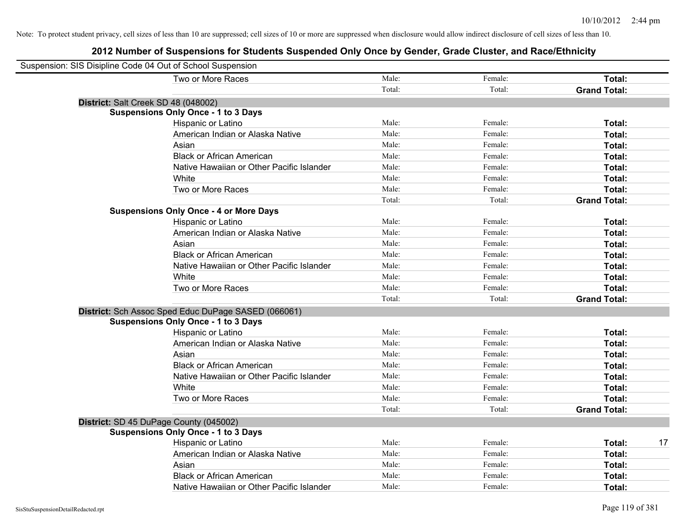| Suspension: SIS Disipline Code 04 Out of School Suspension |        |         |                     |    |
|------------------------------------------------------------|--------|---------|---------------------|----|
| Two or More Races                                          | Male:  | Female: | Total:              |    |
|                                                            | Total: | Total:  | <b>Grand Total:</b> |    |
| District: Salt Creek SD 48 (048002)                        |        |         |                     |    |
| <b>Suspensions Only Once - 1 to 3 Days</b>                 |        |         |                     |    |
| Hispanic or Latino                                         | Male:  | Female: | Total:              |    |
| American Indian or Alaska Native                           | Male:  | Female: | Total:              |    |
| Asian                                                      | Male:  | Female: | Total:              |    |
| <b>Black or African American</b>                           | Male:  | Female: | Total:              |    |
| Native Hawaiian or Other Pacific Islander                  | Male:  | Female: | Total:              |    |
| White                                                      | Male:  | Female: | Total:              |    |
| Two or More Races                                          | Male:  | Female: | Total:              |    |
|                                                            | Total: | Total:  | <b>Grand Total:</b> |    |
| <b>Suspensions Only Once - 4 or More Days</b>              |        |         |                     |    |
| Hispanic or Latino                                         | Male:  | Female: | Total:              |    |
| American Indian or Alaska Native                           | Male:  | Female: | Total:              |    |
| Asian                                                      | Male:  | Female: | Total:              |    |
| <b>Black or African American</b>                           | Male:  | Female: | Total:              |    |
| Native Hawaiian or Other Pacific Islander                  | Male:  | Female: | Total:              |    |
| White                                                      | Male:  | Female: | Total:              |    |
| Two or More Races                                          | Male:  | Female: | Total:              |    |
|                                                            | Total: | Total:  | <b>Grand Total:</b> |    |
| District: Sch Assoc Sped Educ DuPage SASED (066061)        |        |         |                     |    |
| <b>Suspensions Only Once - 1 to 3 Days</b>                 |        |         |                     |    |
| Hispanic or Latino                                         | Male:  | Female: | Total:              |    |
| American Indian or Alaska Native                           | Male:  | Female: | Total:              |    |
| Asian                                                      | Male:  | Female: | Total:              |    |
| <b>Black or African American</b>                           | Male:  | Female: | Total:              |    |
| Native Hawaiian or Other Pacific Islander                  | Male:  | Female: | Total:              |    |
| White                                                      | Male:  | Female: | Total:              |    |
| Two or More Races                                          | Male:  | Female: | Total:              |    |
|                                                            | Total: | Total:  | <b>Grand Total:</b> |    |
| District: SD 45 DuPage County (045002)                     |        |         |                     |    |
| <b>Suspensions Only Once - 1 to 3 Days</b>                 |        |         |                     |    |
| Hispanic or Latino                                         | Male:  | Female: | Total:              | 17 |
| American Indian or Alaska Native                           | Male:  | Female: | Total:              |    |
| Asian                                                      | Male:  | Female: | Total:              |    |
| <b>Black or African American</b>                           | Male:  | Female: | Total:              |    |
| Native Hawaiian or Other Pacific Islander                  | Male:  | Female: | Total:              |    |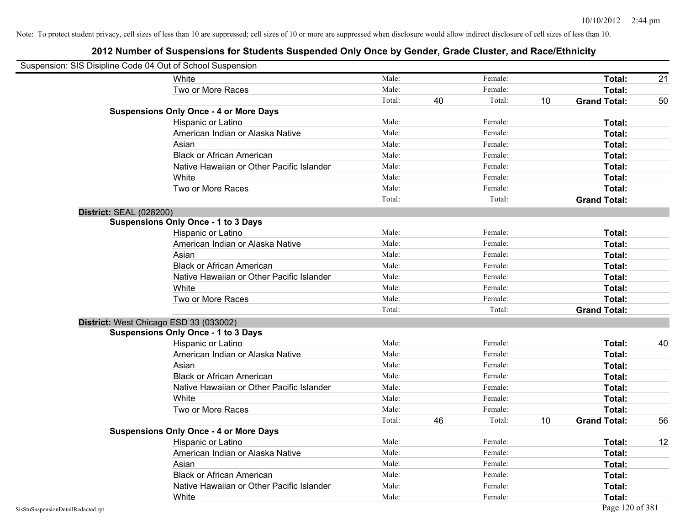|                                    | Suspension: SIS Disipline Code 04 Out of School Suspension |        |    |         |    |                     |    |
|------------------------------------|------------------------------------------------------------|--------|----|---------|----|---------------------|----|
|                                    | White                                                      | Male:  |    | Female: |    | Total:              | 21 |
|                                    | Two or More Races                                          | Male:  |    | Female: |    | Total:              |    |
|                                    |                                                            | Total: | 40 | Total:  | 10 | <b>Grand Total:</b> | 50 |
|                                    | <b>Suspensions Only Once - 4 or More Days</b>              |        |    |         |    |                     |    |
|                                    | Hispanic or Latino                                         | Male:  |    | Female: |    | Total:              |    |
|                                    | American Indian or Alaska Native                           | Male:  |    | Female: |    | Total:              |    |
|                                    | Asian                                                      | Male:  |    | Female: |    | Total:              |    |
|                                    | <b>Black or African American</b>                           | Male:  |    | Female: |    | Total:              |    |
|                                    | Native Hawaiian or Other Pacific Islander                  | Male:  |    | Female: |    | Total:              |    |
|                                    | White                                                      | Male:  |    | Female: |    | Total:              |    |
|                                    | Two or More Races                                          | Male:  |    | Female: |    | Total:              |    |
|                                    |                                                            | Total: |    | Total:  |    | <b>Grand Total:</b> |    |
| <b>District: SEAL (028200)</b>     |                                                            |        |    |         |    |                     |    |
|                                    | <b>Suspensions Only Once - 1 to 3 Days</b>                 |        |    |         |    |                     |    |
|                                    | Hispanic or Latino                                         | Male:  |    | Female: |    | Total:              |    |
|                                    | American Indian or Alaska Native                           | Male:  |    | Female: |    | Total:              |    |
|                                    | Asian                                                      | Male:  |    | Female: |    | Total:              |    |
|                                    | <b>Black or African American</b>                           | Male:  |    | Female: |    | Total:              |    |
|                                    | Native Hawaiian or Other Pacific Islander                  | Male:  |    | Female: |    | Total:              |    |
|                                    | White                                                      | Male:  |    | Female: |    | Total:              |    |
|                                    | Two or More Races                                          | Male:  |    | Female: |    | Total:              |    |
|                                    |                                                            | Total: |    | Total:  |    | <b>Grand Total:</b> |    |
|                                    | District: West Chicago ESD 33 (033002)                     |        |    |         |    |                     |    |
|                                    | <b>Suspensions Only Once - 1 to 3 Days</b>                 |        |    |         |    |                     |    |
|                                    | Hispanic or Latino                                         | Male:  |    | Female: |    | Total:              | 40 |
|                                    | American Indian or Alaska Native                           | Male:  |    | Female: |    | Total:              |    |
|                                    | Asian                                                      | Male:  |    | Female: |    | Total:              |    |
|                                    | <b>Black or African American</b>                           | Male:  |    | Female: |    | Total:              |    |
|                                    | Native Hawaiian or Other Pacific Islander                  | Male:  |    | Female: |    | Total:              |    |
|                                    | White                                                      | Male:  |    | Female: |    | Total:              |    |
|                                    | Two or More Races                                          | Male:  |    | Female: |    | Total:              |    |
|                                    |                                                            | Total: | 46 | Total:  | 10 | <b>Grand Total:</b> | 56 |
|                                    | <b>Suspensions Only Once - 4 or More Days</b>              |        |    |         |    |                     |    |
|                                    | Hispanic or Latino                                         | Male:  |    | Female: |    | Total:              | 12 |
|                                    | American Indian or Alaska Native                           | Male:  |    | Female: |    | Total:              |    |
|                                    | Asian                                                      | Male:  |    | Female: |    | Total:              |    |
|                                    | <b>Black or African American</b>                           | Male:  |    | Female: |    | Total:              |    |
|                                    | Native Hawaiian or Other Pacific Islander                  | Male:  |    | Female: |    | Total:              |    |
|                                    | White                                                      | Male:  |    | Female: |    | Total:              |    |
| SisStuSuspensionDetailRedacted.rpt |                                                            |        |    |         |    | Page 120 of 381     |    |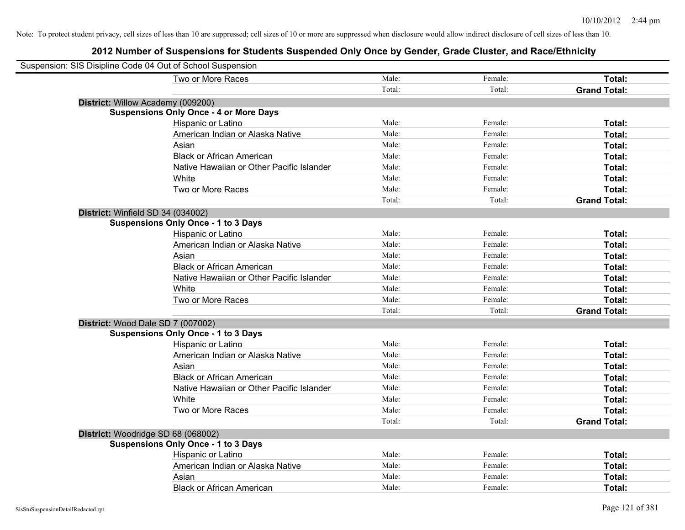| Suspension: SIS Disipline Code 04 Out of School Suspension |                                               |        |         |                     |
|------------------------------------------------------------|-----------------------------------------------|--------|---------|---------------------|
|                                                            | Two or More Races                             | Male:  | Female: | Total:              |
|                                                            |                                               | Total: | Total:  | <b>Grand Total:</b> |
| District: Willow Academy (009200)                          |                                               |        |         |                     |
|                                                            | <b>Suspensions Only Once - 4 or More Days</b> |        |         |                     |
|                                                            | Hispanic or Latino                            | Male:  | Female: | Total:              |
|                                                            | American Indian or Alaska Native              | Male:  | Female: | Total:              |
|                                                            | Asian                                         | Male:  | Female: | Total:              |
|                                                            | <b>Black or African American</b>              | Male:  | Female: | Total:              |
|                                                            | Native Hawaiian or Other Pacific Islander     | Male:  | Female: | Total:              |
|                                                            | White                                         | Male:  | Female: | Total:              |
|                                                            | Two or More Races                             | Male:  | Female: | Total:              |
|                                                            |                                               | Total: | Total:  | <b>Grand Total:</b> |
| District: Winfield SD 34 (034002)                          |                                               |        |         |                     |
|                                                            | <b>Suspensions Only Once - 1 to 3 Days</b>    |        |         |                     |
|                                                            | Hispanic or Latino                            | Male:  | Female: | Total:              |
|                                                            | American Indian or Alaska Native              | Male:  | Female: | Total:              |
|                                                            | Asian                                         | Male:  | Female: | Total:              |
|                                                            | <b>Black or African American</b>              | Male:  | Female: | Total:              |
|                                                            | Native Hawaiian or Other Pacific Islander     | Male:  | Female: | Total:              |
|                                                            | White                                         | Male:  | Female: | Total:              |
|                                                            | Two or More Races                             | Male:  | Female: | Total:              |
|                                                            |                                               | Total: | Total:  | <b>Grand Total:</b> |
| District: Wood Dale SD 7 (007002)                          |                                               |        |         |                     |
|                                                            | <b>Suspensions Only Once - 1 to 3 Days</b>    |        |         |                     |
|                                                            | Hispanic or Latino                            | Male:  | Female: | Total:              |
|                                                            | American Indian or Alaska Native              | Male:  | Female: | Total:              |
|                                                            | Asian                                         | Male:  | Female: | Total:              |
|                                                            | <b>Black or African American</b>              | Male:  | Female: | Total:              |
|                                                            | Native Hawaiian or Other Pacific Islander     | Male:  | Female: | Total:              |
|                                                            | White                                         | Male:  | Female: | Total:              |
|                                                            | Two or More Races                             | Male:  | Female: | Total:              |
|                                                            |                                               | Total: | Total:  | <b>Grand Total:</b> |
| District: Woodridge SD 68 (068002)                         |                                               |        |         |                     |
|                                                            | <b>Suspensions Only Once - 1 to 3 Days</b>    |        |         |                     |
|                                                            | Hispanic or Latino                            | Male:  | Female: | Total:              |
|                                                            | American Indian or Alaska Native              | Male:  | Female: | Total:              |
|                                                            | Asian                                         | Male:  | Female: | Total:              |
|                                                            | <b>Black or African American</b>              | Male:  | Female: | Total:              |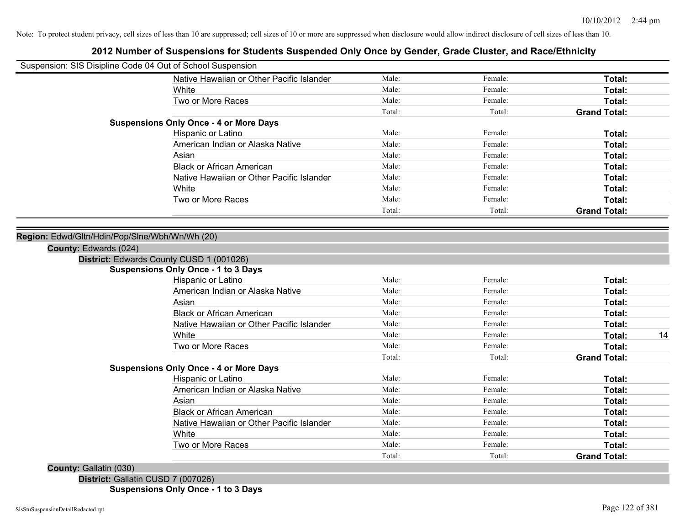# **2012 Number of Suspensions for Students Suspended Only Once by Gender, Grade Cluster, and Race/Ethnicity**

| Native Hawaiian or Other Pacific Islander | Male:                                                                                                                                                                                                                                                                                                                                                                                                                                                                | Female: | Total:              |                     |
|-------------------------------------------|----------------------------------------------------------------------------------------------------------------------------------------------------------------------------------------------------------------------------------------------------------------------------------------------------------------------------------------------------------------------------------------------------------------------------------------------------------------------|---------|---------------------|---------------------|
| White                                     | Male:                                                                                                                                                                                                                                                                                                                                                                                                                                                                | Female: | Total:              |                     |
| Two or More Races                         | Male:                                                                                                                                                                                                                                                                                                                                                                                                                                                                | Female: | Total:              |                     |
|                                           | Total:                                                                                                                                                                                                                                                                                                                                                                                                                                                               | Total:  | <b>Grand Total:</b> |                     |
|                                           |                                                                                                                                                                                                                                                                                                                                                                                                                                                                      |         |                     |                     |
| Hispanic or Latino                        | Male:                                                                                                                                                                                                                                                                                                                                                                                                                                                                | Female: | Total:              |                     |
| American Indian or Alaska Native          | Male:                                                                                                                                                                                                                                                                                                                                                                                                                                                                | Female: | Total:              |                     |
| Asian                                     | Male:                                                                                                                                                                                                                                                                                                                                                                                                                                                                | Female: | Total:              |                     |
|                                           | Male:                                                                                                                                                                                                                                                                                                                                                                                                                                                                | Female: | Total:              |                     |
|                                           | Male:                                                                                                                                                                                                                                                                                                                                                                                                                                                                | Female: | Total:              |                     |
|                                           |                                                                                                                                                                                                                                                                                                                                                                                                                                                                      |         | Total:              |                     |
|                                           | Male:                                                                                                                                                                                                                                                                                                                                                                                                                                                                | Female: | Total:              |                     |
|                                           | Total:                                                                                                                                                                                                                                                                                                                                                                                                                                                               | Total:  |                     |                     |
|                                           |                                                                                                                                                                                                                                                                                                                                                                                                                                                                      |         |                     |                     |
|                                           |                                                                                                                                                                                                                                                                                                                                                                                                                                                                      |         |                     |                     |
|                                           |                                                                                                                                                                                                                                                                                                                                                                                                                                                                      |         |                     |                     |
|                                           |                                                                                                                                                                                                                                                                                                                                                                                                                                                                      |         |                     |                     |
|                                           |                                                                                                                                                                                                                                                                                                                                                                                                                                                                      |         |                     |                     |
| Hispanic or Latino                        | Male:                                                                                                                                                                                                                                                                                                                                                                                                                                                                | Female: | Total:              |                     |
| American Indian or Alaska Native          | Male:                                                                                                                                                                                                                                                                                                                                                                                                                                                                | Female: | Total:              |                     |
| Asian                                     | Male:                                                                                                                                                                                                                                                                                                                                                                                                                                                                | Female: | Total:              |                     |
| <b>Black or African American</b>          | Male:                                                                                                                                                                                                                                                                                                                                                                                                                                                                | Female: | Total:              |                     |
| Native Hawaiian or Other Pacific Islander | Male:                                                                                                                                                                                                                                                                                                                                                                                                                                                                | Female: | Total:              |                     |
| White                                     | Male:                                                                                                                                                                                                                                                                                                                                                                                                                                                                | Female: | Total:              | 14                  |
| Two or More Races                         | Male:                                                                                                                                                                                                                                                                                                                                                                                                                                                                | Female: | Total:              |                     |
|                                           | Total:                                                                                                                                                                                                                                                                                                                                                                                                                                                               | Total:  | <b>Grand Total:</b> |                     |
|                                           |                                                                                                                                                                                                                                                                                                                                                                                                                                                                      |         |                     |                     |
| Hispanic or Latino                        | Male:                                                                                                                                                                                                                                                                                                                                                                                                                                                                | Female: | Total:              |                     |
| American Indian or Alaska Native          | Male:                                                                                                                                                                                                                                                                                                                                                                                                                                                                | Female: | Total:              |                     |
| Asian                                     | Male:                                                                                                                                                                                                                                                                                                                                                                                                                                                                | Female: | Total:              |                     |
| <b>Black or African American</b>          | Male:                                                                                                                                                                                                                                                                                                                                                                                                                                                                | Female: | Total:              |                     |
|                                           | Male:                                                                                                                                                                                                                                                                                                                                                                                                                                                                | Female: | Total:              |                     |
|                                           |                                                                                                                                                                                                                                                                                                                                                                                                                                                                      |         |                     |                     |
| White                                     | Male:                                                                                                                                                                                                                                                                                                                                                                                                                                                                | Female: | Total:              |                     |
| Two or More Races                         | Male:                                                                                                                                                                                                                                                                                                                                                                                                                                                                | Female: | Total:              |                     |
|                                           | Suspension: SIS Disipline Code 04 Out of School Suspension<br><b>Suspensions Only Once - 4 or More Days</b><br><b>Black or African American</b><br>Native Hawaiian or Other Pacific Islander<br>White<br>Two or More Races<br>Region: Edwd/Gltn/Hdin/Pop/Slne/Wbh/Wn/Wh (20)<br>District: Edwards County CUSD 1 (001026)<br><b>Suspensions Only Once - 1 to 3 Days</b><br><b>Suspensions Only Once - 4 or More Days</b><br>Native Hawaiian or Other Pacific Islander | Male:   | Female:             | <b>Grand Total:</b> |

**District:** Gallatin CUSD 7 (007026)

**Suspensions Only Once - 1 to 3 Days**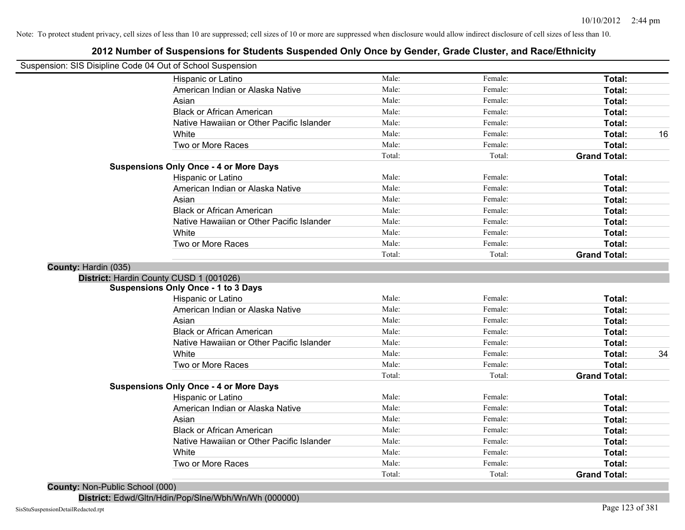# **2012 Number of Suspensions for Students Suspended Only Once by Gender, Grade Cluster, and Race/Ethnicity**

| Suspension: SIS Disipline Code 04 Out of School Suspension |                                               |        |         |                     |    |
|------------------------------------------------------------|-----------------------------------------------|--------|---------|---------------------|----|
|                                                            | Hispanic or Latino                            | Male:  | Female: | Total:              |    |
|                                                            | American Indian or Alaska Native              | Male:  | Female: | Total:              |    |
|                                                            | Asian                                         | Male:  | Female: | Total:              |    |
|                                                            | <b>Black or African American</b>              | Male:  | Female: | Total:              |    |
|                                                            | Native Hawaiian or Other Pacific Islander     | Male:  | Female: | Total:              |    |
|                                                            | White                                         | Male:  | Female: | Total:              | 16 |
|                                                            | Two or More Races                             | Male:  | Female: | Total:              |    |
|                                                            |                                               | Total: | Total:  | <b>Grand Total:</b> |    |
|                                                            | <b>Suspensions Only Once - 4 or More Days</b> |        |         |                     |    |
|                                                            | Hispanic or Latino                            | Male:  | Female: | Total:              |    |
|                                                            | American Indian or Alaska Native              | Male:  | Female: | Total:              |    |
|                                                            | Asian                                         | Male:  | Female: | <b>Total:</b>       |    |
|                                                            | <b>Black or African American</b>              | Male:  | Female: | Total:              |    |
|                                                            | Native Hawaiian or Other Pacific Islander     | Male:  | Female: | Total:              |    |
|                                                            | White                                         | Male:  | Female: | Total:              |    |
|                                                            | Two or More Races                             | Male:  | Female: | Total:              |    |
|                                                            |                                               | Total: | Total:  | <b>Grand Total:</b> |    |
| County: Hardin (035)                                       |                                               |        |         |                     |    |
|                                                            | District: Hardin County CUSD 1 (001026)       |        |         |                     |    |
|                                                            | <b>Suspensions Only Once - 1 to 3 Days</b>    |        |         |                     |    |
|                                                            | Hispanic or Latino                            | Male:  | Female: | Total:              |    |
|                                                            | American Indian or Alaska Native              | Male:  | Female: | <b>Total:</b>       |    |
|                                                            | Asian                                         | Male:  | Female: | Total:              |    |
|                                                            | <b>Black or African American</b>              | Male:  | Female: | Total:              |    |
|                                                            | Native Hawaiian or Other Pacific Islander     | Male:  | Female: | Total:              |    |
|                                                            | White                                         | Male:  | Female: | Total:              | 34 |
|                                                            | Two or More Races                             | Male:  | Female: | Total:              |    |
|                                                            |                                               | Total: | Total:  | <b>Grand Total:</b> |    |
|                                                            | <b>Suspensions Only Once - 4 or More Days</b> |        |         |                     |    |
|                                                            | Hispanic or Latino                            | Male:  | Female: | Total:              |    |
|                                                            | American Indian or Alaska Native              | Male:  | Female: | Total:              |    |
|                                                            | Asian                                         | Male:  | Female: | Total:              |    |
|                                                            | <b>Black or African American</b>              | Male:  | Female: | Total:              |    |
|                                                            | Native Hawaiian or Other Pacific Islander     | Male:  | Female: | Total:              |    |
|                                                            | White                                         | Male:  | Female: | Total:              |    |
|                                                            | Two or More Races                             | Male:  | Female: | Total:              |    |
|                                                            |                                               | Total: | Total:  | <b>Grand Total:</b> |    |

**County:** Non-Public School (000)

**District:** Edwd/Gltn/Hdin/Pop/Slne/Wbh/Wn/Wh (000000)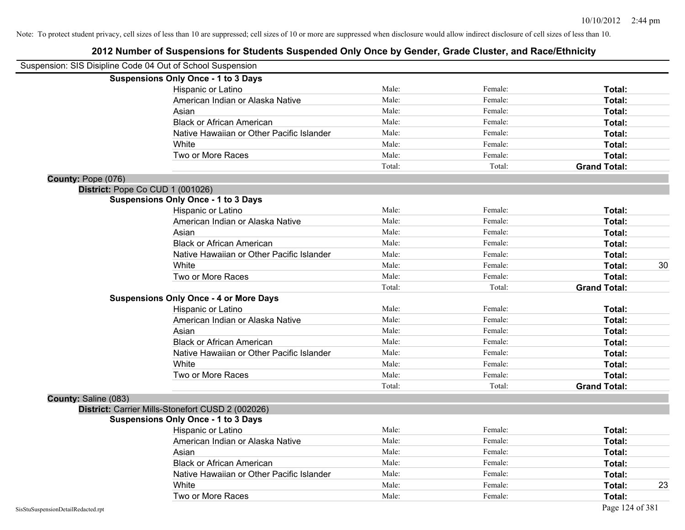|                      | Suspension: SIS Disipline Code 04 Out of School Suspension |        |         |                     |    |
|----------------------|------------------------------------------------------------|--------|---------|---------------------|----|
|                      | <b>Suspensions Only Once - 1 to 3 Days</b>                 |        |         |                     |    |
|                      | Hispanic or Latino                                         | Male:  | Female: | Total:              |    |
|                      | American Indian or Alaska Native                           | Male:  | Female: | Total:              |    |
|                      | Asian                                                      | Male:  | Female: | Total:              |    |
|                      | <b>Black or African American</b>                           | Male:  | Female: | Total:              |    |
|                      | Native Hawaiian or Other Pacific Islander                  | Male:  | Female: | Total:              |    |
|                      | White                                                      | Male:  | Female: | Total:              |    |
|                      | Two or More Races                                          | Male:  | Female: | Total:              |    |
|                      |                                                            | Total: | Total:  | <b>Grand Total:</b> |    |
| County: Pope (076)   |                                                            |        |         |                     |    |
|                      | District: Pope Co CUD 1 (001026)                           |        |         |                     |    |
|                      | <b>Suspensions Only Once - 1 to 3 Days</b>                 |        |         |                     |    |
|                      | Hispanic or Latino                                         | Male:  | Female: | Total:              |    |
|                      | American Indian or Alaska Native                           | Male:  | Female: | Total:              |    |
|                      | Asian                                                      | Male:  | Female: | <b>Total:</b>       |    |
|                      | <b>Black or African American</b>                           | Male:  | Female: | Total:              |    |
|                      | Native Hawaiian or Other Pacific Islander                  | Male:  | Female: | Total:              |    |
|                      | White                                                      | Male:  | Female: | Total:              | 30 |
|                      | Two or More Races                                          | Male:  | Female: | Total:              |    |
|                      |                                                            | Total: | Total:  | <b>Grand Total:</b> |    |
|                      | <b>Suspensions Only Once - 4 or More Days</b>              |        |         |                     |    |
|                      | Hispanic or Latino                                         | Male:  | Female: | Total:              |    |
|                      | American Indian or Alaska Native                           | Male:  | Female: | Total:              |    |
|                      | Asian                                                      | Male:  | Female: | Total:              |    |
|                      | <b>Black or African American</b>                           | Male:  | Female: | Total:              |    |
|                      | Native Hawaiian or Other Pacific Islander                  | Male:  | Female: | Total:              |    |
|                      | White                                                      | Male:  | Female: | Total:              |    |
|                      | Two or More Races                                          | Male:  | Female: | Total:              |    |
|                      |                                                            | Total: | Total:  | <b>Grand Total:</b> |    |
| County: Saline (083) |                                                            |        |         |                     |    |
|                      | District: Carrier Mills-Stonefort CUSD 2 (002026)          |        |         |                     |    |
|                      | <b>Suspensions Only Once - 1 to 3 Days</b>                 |        |         |                     |    |
|                      | Hispanic or Latino                                         | Male:  | Female: | Total:              |    |
|                      | American Indian or Alaska Native                           | Male:  | Female: | Total:              |    |
|                      | Asian                                                      | Male:  | Female: | Total:              |    |
|                      | <b>Black or African American</b>                           | Male:  | Female: | Total:              |    |
|                      | Native Hawaiian or Other Pacific Islander                  | Male:  | Female: | Total:              |    |
|                      | White                                                      | Male:  | Female: | Total:              | 23 |
|                      | Two or More Races                                          | Male:  | Female: | Total:              |    |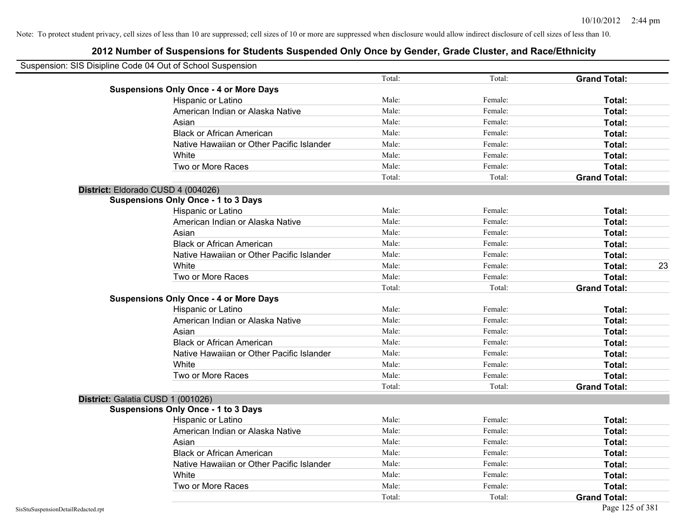| Suspension: SIS Disipline Code 04 Out of School Suspension |        |         |                     |    |
|------------------------------------------------------------|--------|---------|---------------------|----|
|                                                            | Total: | Total:  | <b>Grand Total:</b> |    |
| <b>Suspensions Only Once - 4 or More Days</b>              |        |         |                     |    |
| Hispanic or Latino                                         | Male:  | Female: | Total:              |    |
| American Indian or Alaska Native                           | Male:  | Female: | Total:              |    |
| Asian                                                      | Male:  | Female: | Total:              |    |
| <b>Black or African American</b>                           | Male:  | Female: | Total:              |    |
| Native Hawaiian or Other Pacific Islander                  | Male:  | Female: | Total:              |    |
| White                                                      | Male:  | Female: | Total:              |    |
| Two or More Races                                          | Male:  | Female: | Total:              |    |
|                                                            | Total: | Total:  | <b>Grand Total:</b> |    |
| District: Eldorado CUSD 4 (004026)                         |        |         |                     |    |
| <b>Suspensions Only Once - 1 to 3 Days</b>                 |        |         |                     |    |
| Hispanic or Latino                                         | Male:  | Female: | Total:              |    |
| American Indian or Alaska Native                           | Male:  | Female: | Total:              |    |
| Asian                                                      | Male:  | Female: | Total:              |    |
| <b>Black or African American</b>                           | Male:  | Female: | Total:              |    |
| Native Hawaiian or Other Pacific Islander                  | Male:  | Female: | Total:              |    |
| White                                                      | Male:  | Female: | Total:              | 23 |
| Two or More Races                                          | Male:  | Female: | Total:              |    |
|                                                            | Total: | Total:  | <b>Grand Total:</b> |    |
| <b>Suspensions Only Once - 4 or More Days</b>              |        |         |                     |    |
| Hispanic or Latino                                         | Male:  | Female: | Total:              |    |
| American Indian or Alaska Native                           | Male:  | Female: | Total:              |    |
| Asian                                                      | Male:  | Female: | Total:              |    |
| <b>Black or African American</b>                           | Male:  | Female: | Total:              |    |
| Native Hawaiian or Other Pacific Islander                  | Male:  | Female: | Total:              |    |
| White                                                      | Male:  | Female: | Total:              |    |
| Two or More Races                                          | Male:  | Female: | Total:              |    |
|                                                            | Total: | Total:  | <b>Grand Total:</b> |    |
| District: Galatia CUSD 1 (001026)                          |        |         |                     |    |
| <b>Suspensions Only Once - 1 to 3 Days</b>                 |        |         |                     |    |
| Hispanic or Latino                                         | Male:  | Female: | Total:              |    |
| American Indian or Alaska Native                           | Male:  | Female: | Total:              |    |
| Asian                                                      | Male:  | Female: | Total:              |    |
| <b>Black or African American</b>                           | Male:  | Female: | Total:              |    |
| Native Hawaiian or Other Pacific Islander                  | Male:  | Female: | Total:              |    |
| White                                                      | Male:  | Female: | Total:              |    |
| Two or More Races                                          | Male:  | Female: | Total:              |    |
|                                                            | Total: | Total:  | <b>Grand Total:</b> |    |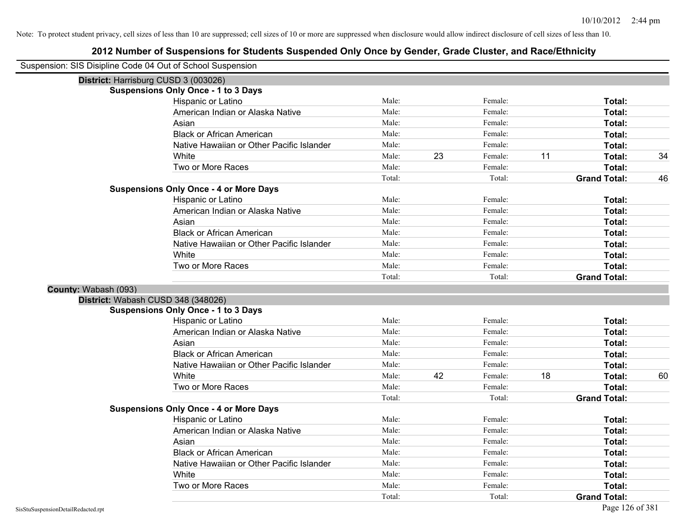| Suspension: SIS Disipline Code 04 Out of School Suspension |                                               |        |    |         |    |                     |    |
|------------------------------------------------------------|-----------------------------------------------|--------|----|---------|----|---------------------|----|
| District: Harrisburg CUSD 3 (003026)                       |                                               |        |    |         |    |                     |    |
|                                                            | <b>Suspensions Only Once - 1 to 3 Days</b>    |        |    |         |    |                     |    |
|                                                            | Hispanic or Latino                            | Male:  |    | Female: |    | Total:              |    |
|                                                            | American Indian or Alaska Native              | Male:  |    | Female: |    | Total:              |    |
|                                                            | Asian                                         | Male:  |    | Female: |    | Total:              |    |
|                                                            | <b>Black or African American</b>              | Male:  |    | Female: |    | Total:              |    |
|                                                            | Native Hawaiian or Other Pacific Islander     | Male:  |    | Female: |    | Total:              |    |
|                                                            | White                                         | Male:  | 23 | Female: | 11 | Total:              | 34 |
|                                                            | Two or More Races                             | Male:  |    | Female: |    | Total:              |    |
|                                                            |                                               | Total: |    | Total:  |    | <b>Grand Total:</b> | 46 |
|                                                            | <b>Suspensions Only Once - 4 or More Days</b> |        |    |         |    |                     |    |
|                                                            | Hispanic or Latino                            | Male:  |    | Female: |    | Total:              |    |
|                                                            | American Indian or Alaska Native              | Male:  |    | Female: |    | Total:              |    |
|                                                            | Asian                                         | Male:  |    | Female: |    | Total:              |    |
|                                                            | <b>Black or African American</b>              | Male:  |    | Female: |    | Total:              |    |
|                                                            | Native Hawaiian or Other Pacific Islander     | Male:  |    | Female: |    | Total:              |    |
|                                                            | White                                         | Male:  |    | Female: |    | Total:              |    |
|                                                            | Two or More Races                             | Male:  |    | Female: |    | Total:              |    |
|                                                            |                                               | Total: |    | Total:  |    | <b>Grand Total:</b> |    |
| County: Wabash (093)                                       |                                               |        |    |         |    |                     |    |
| District: Wabash CUSD 348 (348026)                         |                                               |        |    |         |    |                     |    |
|                                                            | <b>Suspensions Only Once - 1 to 3 Days</b>    |        |    |         |    |                     |    |
|                                                            | Hispanic or Latino                            | Male:  |    | Female: |    | Total:              |    |
|                                                            | American Indian or Alaska Native              | Male:  |    | Female: |    | Total:              |    |
|                                                            | Asian                                         | Male:  |    | Female: |    | Total:              |    |
|                                                            | <b>Black or African American</b>              | Male:  |    | Female: |    | Total:              |    |
|                                                            | Native Hawaiian or Other Pacific Islander     | Male:  |    | Female: |    | Total:              |    |
|                                                            | White                                         | Male:  | 42 | Female: | 18 | Total:              | 60 |
|                                                            | Two or More Races                             | Male:  |    | Female: |    | Total:              |    |
|                                                            |                                               | Total: |    | Total:  |    | <b>Grand Total:</b> |    |
|                                                            | <b>Suspensions Only Once - 4 or More Days</b> |        |    |         |    |                     |    |
|                                                            | Hispanic or Latino                            | Male:  |    | Female: |    | Total:              |    |
|                                                            | American Indian or Alaska Native              | Male:  |    | Female: |    | Total:              |    |
|                                                            | Asian                                         | Male:  |    | Female: |    | Total:              |    |
|                                                            | <b>Black or African American</b>              | Male:  |    | Female: |    | Total:              |    |
|                                                            | Native Hawaiian or Other Pacific Islander     | Male:  |    | Female: |    | Total:              |    |
|                                                            | White                                         | Male:  |    | Female: |    | Total:              |    |
|                                                            | Two or More Races                             | Male:  |    | Female: |    | Total:              |    |
|                                                            |                                               | Total: |    | Total:  |    | <b>Grand Total:</b> |    |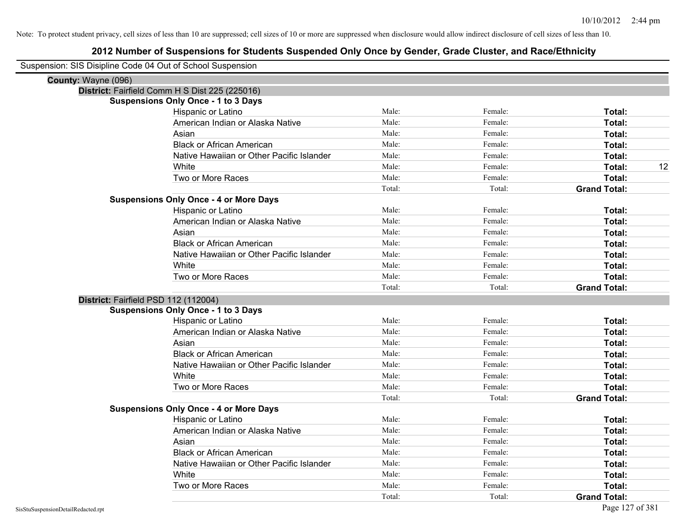| Suspension: SIS Disipline Code 04 Out of School Suspension |                                                |        |         |                     |
|------------------------------------------------------------|------------------------------------------------|--------|---------|---------------------|
| County: Wayne (096)                                        |                                                |        |         |                     |
|                                                            | District: Fairfield Comm H S Dist 225 (225016) |        |         |                     |
|                                                            | <b>Suspensions Only Once - 1 to 3 Days</b>     |        |         |                     |
|                                                            | Hispanic or Latino                             | Male:  | Female: | Total:              |
|                                                            | American Indian or Alaska Native               | Male:  | Female: | Total:              |
|                                                            | Asian                                          | Male:  | Female: | Total:              |
|                                                            | <b>Black or African American</b>               | Male:  | Female: | Total:              |
|                                                            | Native Hawaiian or Other Pacific Islander      | Male:  | Female: | Total:              |
|                                                            | White                                          | Male:  | Female: | 12<br>Total:        |
|                                                            | Two or More Races                              | Male:  | Female: | Total:              |
|                                                            |                                                | Total: | Total:  | <b>Grand Total:</b> |
|                                                            | <b>Suspensions Only Once - 4 or More Days</b>  |        |         |                     |
|                                                            | Hispanic or Latino                             | Male:  | Female: | Total:              |
|                                                            | American Indian or Alaska Native               | Male:  | Female: | Total:              |
|                                                            | Asian                                          | Male:  | Female: | Total:              |
|                                                            | <b>Black or African American</b>               | Male:  | Female: | Total:              |
|                                                            | Native Hawaiian or Other Pacific Islander      | Male:  | Female: | Total:              |
|                                                            | White                                          | Male:  | Female: | Total:              |
|                                                            | Two or More Races                              | Male:  | Female: | Total:              |
|                                                            |                                                | Total: | Total:  | <b>Grand Total:</b> |
| District: Fairfield PSD 112 (112004)                       |                                                |        |         |                     |
|                                                            | <b>Suspensions Only Once - 1 to 3 Days</b>     |        |         |                     |
|                                                            | Hispanic or Latino                             | Male:  | Female: | Total:              |
|                                                            | American Indian or Alaska Native               | Male:  | Female: | Total:              |
|                                                            | Asian                                          | Male:  | Female: | Total:              |
|                                                            | <b>Black or African American</b>               | Male:  | Female: | Total:              |
|                                                            | Native Hawaiian or Other Pacific Islander      | Male:  | Female: | Total:              |
|                                                            | White                                          | Male:  | Female: | Total:              |
|                                                            | Two or More Races                              | Male:  | Female: | Total:              |
|                                                            |                                                | Total: | Total:  | <b>Grand Total:</b> |
|                                                            | <b>Suspensions Only Once - 4 or More Days</b>  |        |         |                     |
|                                                            | Hispanic or Latino                             | Male:  | Female: | Total:              |
|                                                            | American Indian or Alaska Native               | Male:  | Female: | Total:              |
|                                                            | Asian                                          | Male:  | Female: | Total:              |
|                                                            | <b>Black or African American</b>               | Male:  | Female: | Total:              |
|                                                            | Native Hawaiian or Other Pacific Islander      | Male:  | Female: | Total:              |
|                                                            | White                                          | Male:  | Female: | Total:              |
|                                                            | Two or More Races                              | Male:  | Female: | Total:              |
|                                                            |                                                | Total: | Total:  | <b>Grand Total:</b> |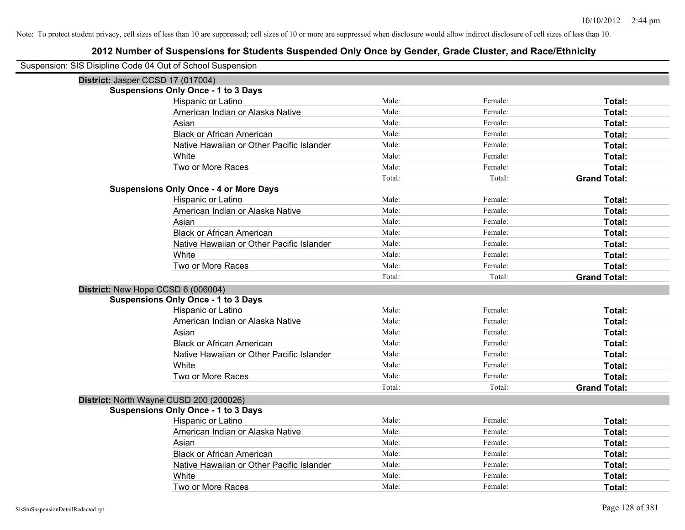| Suspension: SIS Disipline Code 04 Out of School Suspension |                                               |        |         |                     |
|------------------------------------------------------------|-----------------------------------------------|--------|---------|---------------------|
| District: Jasper CCSD 17 (017004)                          |                                               |        |         |                     |
|                                                            | <b>Suspensions Only Once - 1 to 3 Days</b>    |        |         |                     |
|                                                            | <b>Hispanic or Latino</b>                     | Male:  | Female: | Total:              |
|                                                            | American Indian or Alaska Native              | Male:  | Female: | Total:              |
|                                                            | Asian                                         | Male:  | Female: | Total:              |
|                                                            | <b>Black or African American</b>              | Male:  | Female: | Total:              |
|                                                            | Native Hawaiian or Other Pacific Islander     | Male:  | Female: | Total:              |
|                                                            | White                                         | Male:  | Female: | Total:              |
|                                                            | Two or More Races                             | Male:  | Female: | Total:              |
|                                                            |                                               | Total: | Total:  | <b>Grand Total:</b> |
|                                                            | <b>Suspensions Only Once - 4 or More Days</b> |        |         |                     |
|                                                            | Hispanic or Latino                            | Male:  | Female: | Total:              |
|                                                            | American Indian or Alaska Native              | Male:  | Female: | Total:              |
|                                                            | Asian                                         | Male:  | Female: | Total:              |
|                                                            | <b>Black or African American</b>              | Male:  | Female: | Total:              |
|                                                            | Native Hawaiian or Other Pacific Islander     | Male:  | Female: | Total:              |
|                                                            | White                                         | Male:  | Female: | Total:              |
|                                                            | Two or More Races                             | Male:  | Female: | Total:              |
|                                                            |                                               | Total: | Total:  | <b>Grand Total:</b> |
| District: New Hope CCSD 6 (006004)                         |                                               |        |         |                     |
|                                                            | <b>Suspensions Only Once - 1 to 3 Days</b>    |        |         |                     |
|                                                            | Hispanic or Latino                            | Male:  | Female: | Total:              |
|                                                            | American Indian or Alaska Native              | Male:  | Female: | Total:              |
|                                                            | Asian                                         | Male:  | Female: | Total:              |
|                                                            | <b>Black or African American</b>              | Male:  | Female: | Total:              |
|                                                            | Native Hawaiian or Other Pacific Islander     | Male:  | Female: | Total:              |
|                                                            | White                                         | Male:  | Female: | Total:              |
|                                                            | Two or More Races                             | Male:  | Female: | Total:              |
|                                                            |                                               | Total: | Total:  | <b>Grand Total:</b> |
| District: North Wayne CUSD 200 (200026)                    |                                               |        |         |                     |
|                                                            | <b>Suspensions Only Once - 1 to 3 Days</b>    |        |         |                     |
|                                                            | Hispanic or Latino                            | Male:  | Female: | Total:              |
|                                                            | American Indian or Alaska Native              | Male:  | Female: | Total:              |
|                                                            | Asian                                         | Male:  | Female: | Total:              |
|                                                            | <b>Black or African American</b>              | Male:  | Female: | Total:              |
|                                                            | Native Hawaiian or Other Pacific Islander     | Male:  | Female: | Total:              |
|                                                            | White                                         | Male:  | Female: | Total:              |
|                                                            | Two or More Races                             | Male:  | Female: | Total:              |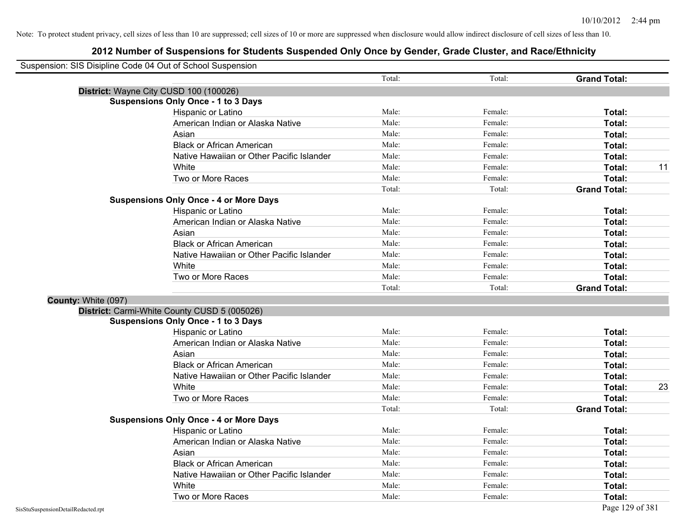| Suspension: SIS Disipline Code 04 Out of School Suspension |                                               |        |         |                     |    |
|------------------------------------------------------------|-----------------------------------------------|--------|---------|---------------------|----|
|                                                            |                                               | Total: | Total:  | <b>Grand Total:</b> |    |
|                                                            | District: Wayne City CUSD 100 (100026)        |        |         |                     |    |
|                                                            | <b>Suspensions Only Once - 1 to 3 Days</b>    |        |         |                     |    |
|                                                            | Hispanic or Latino                            | Male:  | Female: | Total:              |    |
|                                                            | American Indian or Alaska Native              | Male:  | Female: | Total:              |    |
|                                                            | Asian                                         | Male:  | Female: | Total:              |    |
|                                                            | <b>Black or African American</b>              | Male:  | Female: | Total:              |    |
|                                                            | Native Hawaiian or Other Pacific Islander     | Male:  | Female: | Total:              |    |
|                                                            | White                                         | Male:  | Female: | Total:              | 11 |
|                                                            | Two or More Races                             | Male:  | Female: | Total:              |    |
|                                                            |                                               | Total: | Total:  | <b>Grand Total:</b> |    |
|                                                            | <b>Suspensions Only Once - 4 or More Days</b> |        |         |                     |    |
|                                                            | Hispanic or Latino                            | Male:  | Female: | Total:              |    |
|                                                            | American Indian or Alaska Native              | Male:  | Female: | Total:              |    |
|                                                            | Asian                                         | Male:  | Female: | Total:              |    |
|                                                            | <b>Black or African American</b>              | Male:  | Female: | Total:              |    |
|                                                            | Native Hawaiian or Other Pacific Islander     | Male:  | Female: | Total:              |    |
|                                                            | White                                         | Male:  | Female: | Total:              |    |
|                                                            | Two or More Races                             | Male:  | Female: | Total:              |    |
|                                                            |                                               | Total: | Total:  | <b>Grand Total:</b> |    |
| County: White (097)                                        |                                               |        |         |                     |    |
|                                                            | District: Carmi-White County CUSD 5 (005026)  |        |         |                     |    |
|                                                            | <b>Suspensions Only Once - 1 to 3 Days</b>    |        |         |                     |    |
|                                                            | Hispanic or Latino                            | Male:  | Female: | Total:              |    |
|                                                            | American Indian or Alaska Native              | Male:  | Female: | Total:              |    |
|                                                            | Asian                                         | Male:  | Female: | Total:              |    |
|                                                            | <b>Black or African American</b>              | Male:  | Female: | Total:              |    |
|                                                            | Native Hawaiian or Other Pacific Islander     | Male:  | Female: | Total:              |    |
|                                                            | White                                         | Male:  | Female: | Total:              | 23 |
|                                                            | Two or More Races                             | Male:  | Female: | Total:              |    |
|                                                            |                                               | Total: | Total:  | <b>Grand Total:</b> |    |
|                                                            | <b>Suspensions Only Once - 4 or More Days</b> |        |         |                     |    |
|                                                            | Hispanic or Latino                            | Male:  | Female: | Total:              |    |
|                                                            | American Indian or Alaska Native              | Male:  | Female: | Total:              |    |
|                                                            | Asian                                         | Male:  | Female: | Total:              |    |
|                                                            | <b>Black or African American</b>              | Male:  | Female: | Total:              |    |
|                                                            | Native Hawaiian or Other Pacific Islander     | Male:  | Female: | Total:              |    |
|                                                            | White                                         | Male:  | Female: | Total:              |    |
|                                                            | Two or More Races                             | Male:  | Female: | Total:              |    |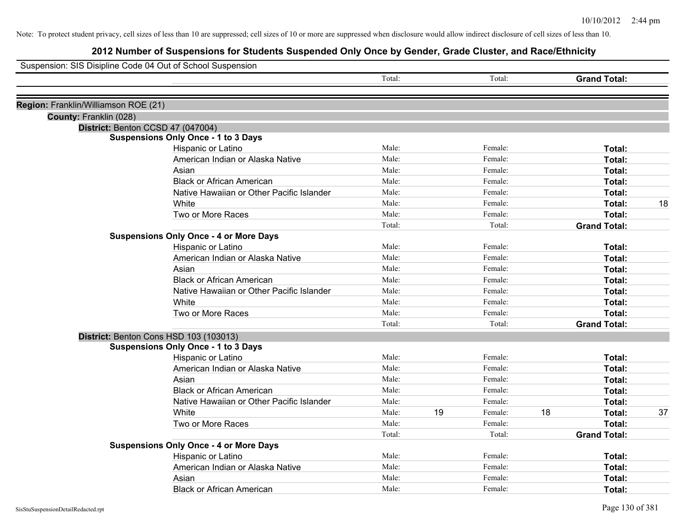| Suspension: SIS Disipline Code 04 Out of School Suspension |                                               |        |    |         |    |                     |    |
|------------------------------------------------------------|-----------------------------------------------|--------|----|---------|----|---------------------|----|
|                                                            |                                               | Total: |    | Total:  |    | <b>Grand Total:</b> |    |
| Region: Franklin/Williamson ROE (21)                       |                                               |        |    |         |    |                     |    |
| County: Franklin (028)                                     |                                               |        |    |         |    |                     |    |
|                                                            | District: Benton CCSD 47 (047004)             |        |    |         |    |                     |    |
|                                                            | <b>Suspensions Only Once - 1 to 3 Days</b>    |        |    |         |    |                     |    |
|                                                            | Hispanic or Latino                            | Male:  |    | Female: |    | Total:              |    |
|                                                            | American Indian or Alaska Native              | Male:  |    | Female: |    | Total:              |    |
|                                                            | Asian                                         | Male:  |    | Female: |    | Total:              |    |
|                                                            | <b>Black or African American</b>              | Male:  |    | Female: |    | Total:              |    |
|                                                            | Native Hawaiian or Other Pacific Islander     | Male:  |    | Female: |    | Total:              |    |
|                                                            | White                                         | Male:  |    | Female: |    | Total:              | 18 |
|                                                            | Two or More Races                             | Male:  |    | Female: |    | Total:              |    |
|                                                            |                                               | Total: |    | Total:  |    | <b>Grand Total:</b> |    |
|                                                            | <b>Suspensions Only Once - 4 or More Days</b> |        |    |         |    |                     |    |
|                                                            | Hispanic or Latino                            | Male:  |    | Female: |    | Total:              |    |
|                                                            | American Indian or Alaska Native              | Male:  |    | Female: |    | Total:              |    |
|                                                            | Asian                                         | Male:  |    | Female: |    | Total:              |    |
|                                                            | <b>Black or African American</b>              | Male:  |    | Female: |    | Total:              |    |
|                                                            | Native Hawaiian or Other Pacific Islander     | Male:  |    | Female: |    | Total:              |    |
|                                                            | White                                         | Male:  |    | Female: |    | Total:              |    |
|                                                            | Two or More Races                             | Male:  |    | Female: |    | Total:              |    |
|                                                            |                                               | Total: |    | Total:  |    | <b>Grand Total:</b> |    |
|                                                            | District: Benton Cons HSD 103 (103013)        |        |    |         |    |                     |    |
|                                                            | <b>Suspensions Only Once - 1 to 3 Days</b>    |        |    |         |    |                     |    |
|                                                            | Hispanic or Latino                            | Male:  |    | Female: |    | Total:              |    |
|                                                            | American Indian or Alaska Native              | Male:  |    | Female: |    | Total:              |    |
|                                                            | Asian                                         | Male:  |    | Female: |    | Total:              |    |
|                                                            | <b>Black or African American</b>              | Male:  |    | Female: |    | Total:              |    |
|                                                            | Native Hawaiian or Other Pacific Islander     | Male:  |    | Female: |    | Total:              |    |
|                                                            | White                                         | Male:  | 19 | Female: | 18 | Total:              | 37 |
|                                                            | Two or More Races                             | Male:  |    | Female: |    | Total:              |    |
|                                                            |                                               | Total: |    | Total:  |    | <b>Grand Total:</b> |    |
|                                                            | <b>Suspensions Only Once - 4 or More Days</b> |        |    |         |    |                     |    |
|                                                            | Hispanic or Latino                            | Male:  |    | Female: |    | Total:              |    |
|                                                            | American Indian or Alaska Native              | Male:  |    | Female: |    | Total:              |    |
|                                                            | Asian                                         | Male:  |    | Female: |    | Total:              |    |
|                                                            | <b>Black or African American</b>              | Male:  |    | Female: |    | Total:              |    |
|                                                            |                                               |        |    |         |    |                     |    |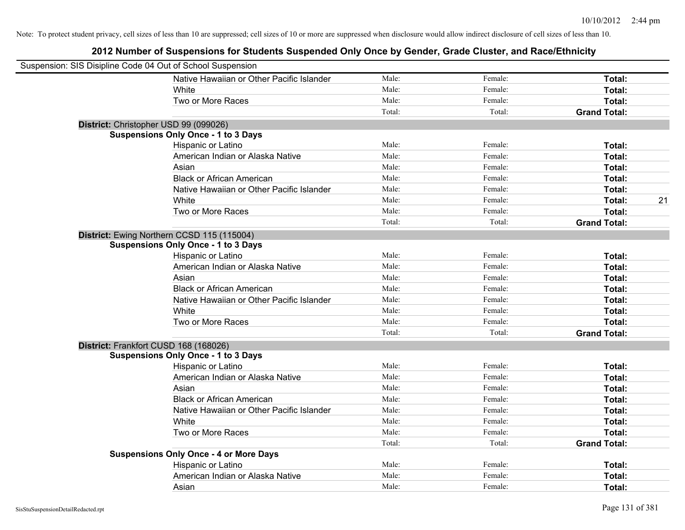| Suspension: SIS Disipline Code 04 Out of School Suspension |                                               |        |         |                     |    |
|------------------------------------------------------------|-----------------------------------------------|--------|---------|---------------------|----|
|                                                            | Native Hawaiian or Other Pacific Islander     | Male:  | Female: | Total:              |    |
|                                                            | White                                         | Male:  | Female: | Total:              |    |
|                                                            | Two or More Races                             | Male:  | Female: | Total:              |    |
|                                                            |                                               | Total: | Total:  | <b>Grand Total:</b> |    |
| District: Christopher USD 99 (099026)                      |                                               |        |         |                     |    |
|                                                            | <b>Suspensions Only Once - 1 to 3 Days</b>    |        |         |                     |    |
|                                                            | Hispanic or Latino                            | Male:  | Female: | Total:              |    |
|                                                            | American Indian or Alaska Native              | Male:  | Female: | Total:              |    |
|                                                            | Asian                                         | Male:  | Female: | Total:              |    |
|                                                            | <b>Black or African American</b>              | Male:  | Female: | Total:              |    |
|                                                            | Native Hawaiian or Other Pacific Islander     | Male:  | Female: | Total:              |    |
|                                                            | White                                         | Male:  | Female: | Total:              | 21 |
|                                                            | Two or More Races                             | Male:  | Female: | <b>Total:</b>       |    |
|                                                            |                                               | Total: | Total:  | <b>Grand Total:</b> |    |
|                                                            | District: Ewing Northern CCSD 115 (115004)    |        |         |                     |    |
|                                                            | <b>Suspensions Only Once - 1 to 3 Days</b>    |        |         |                     |    |
|                                                            | Hispanic or Latino                            | Male:  | Female: | Total:              |    |
|                                                            | American Indian or Alaska Native              | Male:  | Female: | Total:              |    |
|                                                            | Asian                                         | Male:  | Female: | Total:              |    |
|                                                            | <b>Black or African American</b>              | Male:  | Female: | Total:              |    |
|                                                            | Native Hawaiian or Other Pacific Islander     | Male:  | Female: | Total:              |    |
|                                                            | White                                         | Male:  | Female: | Total:              |    |
|                                                            | Two or More Races                             | Male:  | Female: | Total:              |    |
|                                                            |                                               | Total: | Total:  | <b>Grand Total:</b> |    |
| District: Frankfort CUSD 168 (168026)                      |                                               |        |         |                     |    |
|                                                            | <b>Suspensions Only Once - 1 to 3 Days</b>    |        |         |                     |    |
|                                                            | Hispanic or Latino                            | Male:  | Female: | Total:              |    |
|                                                            | American Indian or Alaska Native              | Male:  | Female: | Total:              |    |
|                                                            | Asian                                         | Male:  | Female: | Total:              |    |
|                                                            | <b>Black or African American</b>              | Male:  | Female: | Total:              |    |
|                                                            | Native Hawaiian or Other Pacific Islander     | Male:  | Female: | Total:              |    |
|                                                            | <b>White</b>                                  | Male:  | Female: | Total:              |    |
|                                                            | Two or More Races                             | Male:  | Female: | Total:              |    |
|                                                            |                                               | Total: | Total:  | <b>Grand Total:</b> |    |
|                                                            | <b>Suspensions Only Once - 4 or More Days</b> |        |         |                     |    |
|                                                            | Hispanic or Latino                            | Male:  | Female: | Total:              |    |
|                                                            | American Indian or Alaska Native              | Male:  | Female: | Total:              |    |
|                                                            | Asian                                         | Male:  | Female: | Total:              |    |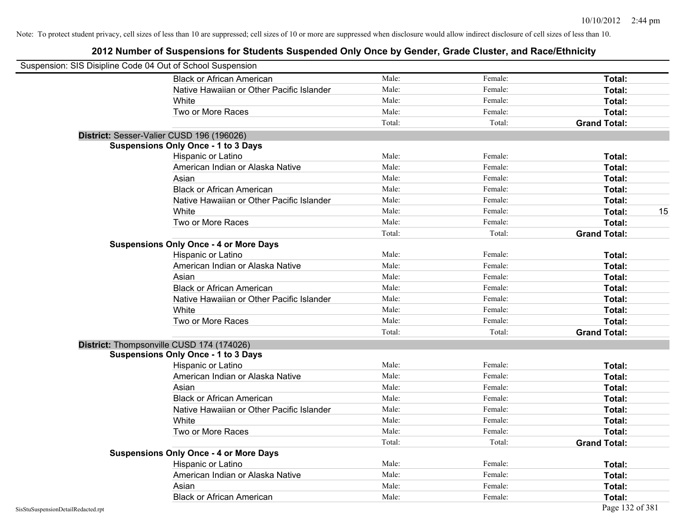| Suspension: SIS Disipline Code 04 Out of School Suspension |                                               |        |         |                     |
|------------------------------------------------------------|-----------------------------------------------|--------|---------|---------------------|
|                                                            | <b>Black or African American</b>              | Male:  | Female: | <b>Total:</b>       |
|                                                            | Native Hawaiian or Other Pacific Islander     | Male:  | Female: | Total:              |
|                                                            | White                                         | Male:  | Female: | Total:              |
|                                                            | Two or More Races                             | Male:  | Female: | Total:              |
|                                                            |                                               | Total: | Total:  | <b>Grand Total:</b> |
|                                                            | District: Sesser-Valier CUSD 196 (196026)     |        |         |                     |
|                                                            | <b>Suspensions Only Once - 1 to 3 Days</b>    |        |         |                     |
|                                                            | Hispanic or Latino                            | Male:  | Female: | Total:              |
|                                                            | American Indian or Alaska Native              | Male:  | Female: | Total:              |
|                                                            | Asian                                         | Male:  | Female: | Total:              |
|                                                            | <b>Black or African American</b>              | Male:  | Female: | Total:              |
|                                                            | Native Hawaiian or Other Pacific Islander     | Male:  | Female: | Total:              |
|                                                            | White                                         | Male:  | Female: | 15<br>Total:        |
|                                                            | Two or More Races                             | Male:  | Female: | Total:              |
|                                                            |                                               | Total: | Total:  | <b>Grand Total:</b> |
|                                                            | <b>Suspensions Only Once - 4 or More Days</b> |        |         |                     |
|                                                            | Hispanic or Latino                            | Male:  | Female: | Total:              |
|                                                            | American Indian or Alaska Native              | Male:  | Female: | Total:              |
|                                                            | Asian                                         | Male:  | Female: | Total:              |
|                                                            | <b>Black or African American</b>              | Male:  | Female: | Total:              |
|                                                            | Native Hawaiian or Other Pacific Islander     | Male:  | Female: | Total:              |
|                                                            | White                                         | Male:  | Female: | Total:              |
|                                                            | Two or More Races                             | Male:  | Female: | Total:              |
|                                                            |                                               | Total: | Total:  | <b>Grand Total:</b> |
|                                                            | District: Thompsonville CUSD 174 (174026)     |        |         |                     |
|                                                            | <b>Suspensions Only Once - 1 to 3 Days</b>    |        |         |                     |
|                                                            | Hispanic or Latino                            | Male:  | Female: | Total:              |
|                                                            | American Indian or Alaska Native              | Male:  | Female: | Total:              |
|                                                            | Asian                                         | Male:  | Female: | Total:              |
|                                                            | <b>Black or African American</b>              | Male:  | Female: | Total:              |
|                                                            | Native Hawaiian or Other Pacific Islander     | Male:  | Female: | Total:              |
|                                                            | White                                         | Male:  | Female: | Total:              |
|                                                            | Two or More Races                             | Male:  | Female: | Total:              |
|                                                            |                                               | Total: | Total:  | <b>Grand Total:</b> |
|                                                            | <b>Suspensions Only Once - 4 or More Days</b> |        |         |                     |
|                                                            | Hispanic or Latino                            | Male:  | Female: | Total:              |
|                                                            | American Indian or Alaska Native              | Male:  | Female: | Total:              |
|                                                            | Asian                                         | Male:  | Female: | Total:              |
|                                                            | <b>Black or African American</b>              | Male:  | Female: | Total:              |
| SisStuSuspensionDetailRedacted.rpt                         |                                               |        |         | Page 132 of 381     |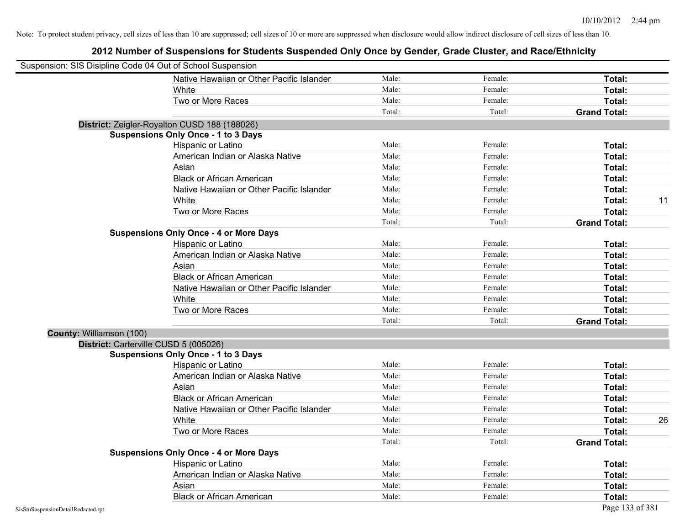| Suspension: SIS Disipline Code 04 Out of School Suspension |                                               |        |         |                     |    |
|------------------------------------------------------------|-----------------------------------------------|--------|---------|---------------------|----|
|                                                            | Native Hawaiian or Other Pacific Islander     | Male:  | Female: | Total:              |    |
|                                                            | White                                         | Male:  | Female: | Total:              |    |
|                                                            | Two or More Races                             | Male:  | Female: | Total:              |    |
|                                                            |                                               | Total: | Total:  | <b>Grand Total:</b> |    |
|                                                            | District: Zeigler-Royalton CUSD 188 (188026)  |        |         |                     |    |
|                                                            | <b>Suspensions Only Once - 1 to 3 Days</b>    |        |         |                     |    |
|                                                            | Hispanic or Latino                            | Male:  | Female: | Total:              |    |
|                                                            | American Indian or Alaska Native              | Male:  | Female: | Total:              |    |
|                                                            | Asian                                         | Male:  | Female: | Total:              |    |
|                                                            | <b>Black or African American</b>              | Male:  | Female: | Total:              |    |
|                                                            | Native Hawaiian or Other Pacific Islander     | Male:  | Female: | Total:              |    |
|                                                            | White                                         | Male:  | Female: | Total:              | 11 |
|                                                            | Two or More Races                             | Male:  | Female: | Total:              |    |
|                                                            |                                               | Total: | Total:  | <b>Grand Total:</b> |    |
|                                                            | <b>Suspensions Only Once - 4 or More Days</b> |        |         |                     |    |
|                                                            | Hispanic or Latino                            | Male:  | Female: | Total:              |    |
|                                                            | American Indian or Alaska Native              | Male:  | Female: | Total:              |    |
|                                                            | Asian                                         | Male:  | Female: | Total:              |    |
|                                                            | <b>Black or African American</b>              | Male:  | Female: | Total:              |    |
|                                                            | Native Hawaiian or Other Pacific Islander     | Male:  | Female: | Total:              |    |
|                                                            | White                                         | Male:  | Female: | Total:              |    |
|                                                            | Two or More Races                             | Male:  | Female: | Total:              |    |
|                                                            |                                               | Total: | Total:  | <b>Grand Total:</b> |    |
| County: Williamson (100)                                   |                                               |        |         |                     |    |
| District: Carterville CUSD 5 (005026)                      |                                               |        |         |                     |    |
|                                                            | <b>Suspensions Only Once - 1 to 3 Days</b>    |        |         |                     |    |
|                                                            | Hispanic or Latino                            | Male:  | Female: | Total:              |    |
|                                                            | American Indian or Alaska Native              | Male:  | Female: | Total:              |    |
|                                                            | Asian                                         | Male:  | Female: | Total:              |    |
|                                                            | <b>Black or African American</b>              | Male:  | Female: | Total:              |    |
|                                                            | Native Hawaiian or Other Pacific Islander     | Male:  | Female: | Total:              |    |
|                                                            | White                                         | Male:  | Female: | Total:              | 26 |
|                                                            | Two or More Races                             | Male:  | Female: | Total:              |    |
|                                                            |                                               | Total: | Total:  | <b>Grand Total:</b> |    |
|                                                            | <b>Suspensions Only Once - 4 or More Days</b> |        |         |                     |    |
|                                                            | Hispanic or Latino                            | Male:  | Female: | Total:              |    |
|                                                            | American Indian or Alaska Native              | Male:  | Female: | Total:              |    |
|                                                            | Asian                                         | Male:  | Female: | Total:              |    |
|                                                            | <b>Black or African American</b>              | Male:  | Female: | Total:              |    |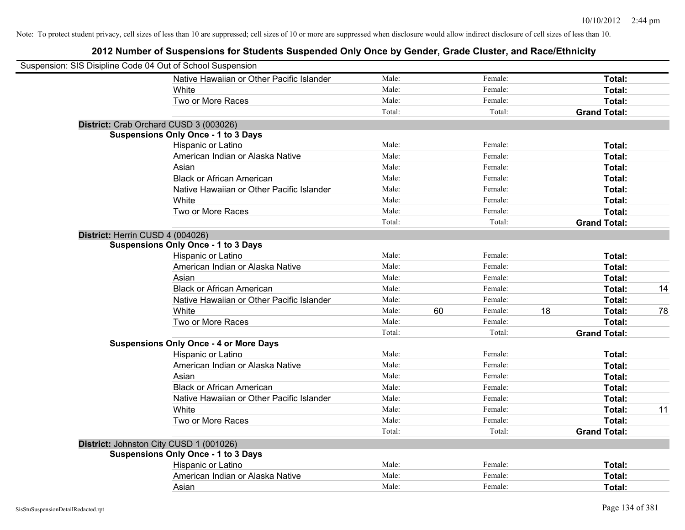| Suspension: SIS Disipline Code 04 Out of School Suspension |                                               |        |    |         |    |                     |    |
|------------------------------------------------------------|-----------------------------------------------|--------|----|---------|----|---------------------|----|
|                                                            | Native Hawaiian or Other Pacific Islander     | Male:  |    | Female: |    | Total:              |    |
|                                                            | White                                         | Male:  |    | Female: |    | Total:              |    |
|                                                            | Two or More Races                             | Male:  |    | Female: |    | Total:              |    |
|                                                            |                                               | Total: |    | Total:  |    | <b>Grand Total:</b> |    |
| District: Crab Orchard CUSD 3 (003026)                     |                                               |        |    |         |    |                     |    |
|                                                            | <b>Suspensions Only Once - 1 to 3 Days</b>    |        |    |         |    |                     |    |
|                                                            | Hispanic or Latino                            | Male:  |    | Female: |    | Total:              |    |
|                                                            | American Indian or Alaska Native              | Male:  |    | Female: |    | Total:              |    |
|                                                            | Asian                                         | Male:  |    | Female: |    | Total:              |    |
|                                                            | <b>Black or African American</b>              | Male:  |    | Female: |    | Total:              |    |
|                                                            | Native Hawaiian or Other Pacific Islander     | Male:  |    | Female: |    | Total:              |    |
|                                                            | White                                         | Male:  |    | Female: |    | Total:              |    |
|                                                            | Two or More Races                             | Male:  |    | Female: |    | Total:              |    |
|                                                            |                                               | Total: |    | Total:  |    | <b>Grand Total:</b> |    |
| District: Herrin CUSD 4 (004026)                           |                                               |        |    |         |    |                     |    |
|                                                            | <b>Suspensions Only Once - 1 to 3 Days</b>    |        |    |         |    |                     |    |
|                                                            | Hispanic or Latino                            | Male:  |    | Female: |    | Total:              |    |
|                                                            | American Indian or Alaska Native              | Male:  |    | Female: |    | Total:              |    |
|                                                            | Asian                                         | Male:  |    | Female: |    | Total:              |    |
|                                                            | <b>Black or African American</b>              | Male:  |    | Female: |    | Total:              | 14 |
|                                                            | Native Hawaiian or Other Pacific Islander     | Male:  |    | Female: |    | Total:              |    |
|                                                            | White                                         | Male:  | 60 | Female: | 18 | Total:              | 78 |
|                                                            | Two or More Races                             | Male:  |    | Female: |    | Total:              |    |
|                                                            |                                               | Total: |    | Total:  |    | <b>Grand Total:</b> |    |
|                                                            | <b>Suspensions Only Once - 4 or More Days</b> |        |    |         |    |                     |    |
|                                                            | Hispanic or Latino                            | Male:  |    | Female: |    | Total:              |    |
|                                                            | American Indian or Alaska Native              | Male:  |    | Female: |    | Total:              |    |
|                                                            | Asian                                         | Male:  |    | Female: |    | Total:              |    |
|                                                            | <b>Black or African American</b>              | Male:  |    | Female: |    | Total:              |    |
|                                                            | Native Hawaiian or Other Pacific Islander     | Male:  |    | Female: |    | Total:              |    |
|                                                            | White                                         | Male:  |    | Female: |    | Total:              | 11 |
|                                                            | Two or More Races                             | Male:  |    | Female: |    | Total:              |    |
|                                                            |                                               | Total: |    | Total:  |    | <b>Grand Total:</b> |    |
| District: Johnston City CUSD 1 (001026)                    |                                               |        |    |         |    |                     |    |
|                                                            | <b>Suspensions Only Once - 1 to 3 Days</b>    |        |    |         |    |                     |    |
|                                                            | Hispanic or Latino                            | Male:  |    | Female: |    | Total:              |    |
|                                                            | American Indian or Alaska Native              | Male:  |    | Female: |    | Total:              |    |
|                                                            | Asian                                         | Male:  |    | Female: |    | Total:              |    |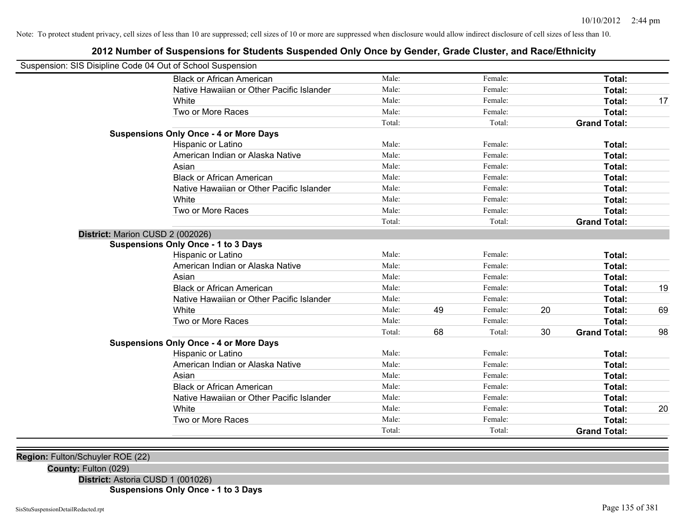# **2012 Number of Suspensions for Students Suspended Only Once by Gender, Grade Cluster, and Race/Ethnicity**

| Suspension: SIS Disipline Code 04 Out of School Suspension |                                               |        |    |         |    |                     |    |
|------------------------------------------------------------|-----------------------------------------------|--------|----|---------|----|---------------------|----|
|                                                            | <b>Black or African American</b>              | Male:  |    | Female: |    | Total:              |    |
|                                                            | Native Hawaiian or Other Pacific Islander     | Male:  |    | Female: |    | <b>Total:</b>       |    |
|                                                            | White                                         | Male:  |    | Female: |    | <b>Total:</b>       | 17 |
|                                                            | Two or More Races                             | Male:  |    | Female: |    | Total:              |    |
|                                                            |                                               | Total: |    | Total:  |    | <b>Grand Total:</b> |    |
|                                                            | <b>Suspensions Only Once - 4 or More Days</b> |        |    |         |    |                     |    |
|                                                            | Hispanic or Latino                            | Male:  |    | Female: |    | Total:              |    |
|                                                            | American Indian or Alaska Native              | Male:  |    | Female: |    | Total:              |    |
|                                                            | Asian                                         | Male:  |    | Female: |    | Total:              |    |
|                                                            | <b>Black or African American</b>              | Male:  |    | Female: |    | <b>Total:</b>       |    |
|                                                            | Native Hawaiian or Other Pacific Islander     | Male:  |    | Female: |    | Total:              |    |
|                                                            | White                                         | Male:  |    | Female: |    | Total:              |    |
|                                                            | Two or More Races                             | Male:  |    | Female: |    | Total:              |    |
|                                                            |                                               | Total: |    | Total:  |    | <b>Grand Total:</b> |    |
| District: Marion CUSD 2 (002026)                           |                                               |        |    |         |    |                     |    |
|                                                            | <b>Suspensions Only Once - 1 to 3 Days</b>    |        |    |         |    |                     |    |
|                                                            | Hispanic or Latino                            | Male:  |    | Female: |    | Total:              |    |
|                                                            | American Indian or Alaska Native              | Male:  |    | Female: |    | Total:              |    |
|                                                            | Asian                                         | Male:  |    | Female: |    | Total:              |    |
|                                                            | <b>Black or African American</b>              | Male:  |    | Female: |    | Total:              | 19 |
|                                                            | Native Hawaiian or Other Pacific Islander     | Male:  |    | Female: |    | Total:              |    |
|                                                            | White                                         | Male:  | 49 | Female: | 20 | Total:              | 69 |
|                                                            | Two or More Races                             | Male:  |    | Female: |    | Total:              |    |
|                                                            |                                               | Total: | 68 | Total:  | 30 | <b>Grand Total:</b> | 98 |
|                                                            | <b>Suspensions Only Once - 4 or More Days</b> |        |    |         |    |                     |    |
|                                                            | Hispanic or Latino                            | Male:  |    | Female: |    | Total:              |    |
|                                                            | American Indian or Alaska Native              | Male:  |    | Female: |    | <b>Total:</b>       |    |
|                                                            | Asian                                         | Male:  |    | Female: |    | <b>Total:</b>       |    |
|                                                            | <b>Black or African American</b>              | Male:  |    | Female: |    | Total:              |    |
|                                                            | Native Hawaiian or Other Pacific Islander     | Male:  |    | Female: |    | Total:              |    |
|                                                            | White                                         | Male:  |    | Female: |    | Total:              | 20 |
|                                                            | Two or More Races                             | Male:  |    | Female: |    | Total:              |    |
|                                                            |                                               | Total: |    | Total:  |    | <b>Grand Total:</b> |    |
|                                                            |                                               |        |    |         |    |                     |    |

**Region:** Fulton/Schuyler ROE (22)

**County:** Fulton (029)

**District:** Astoria CUSD 1 (001026)

**Suspensions Only Once - 1 to 3 Days**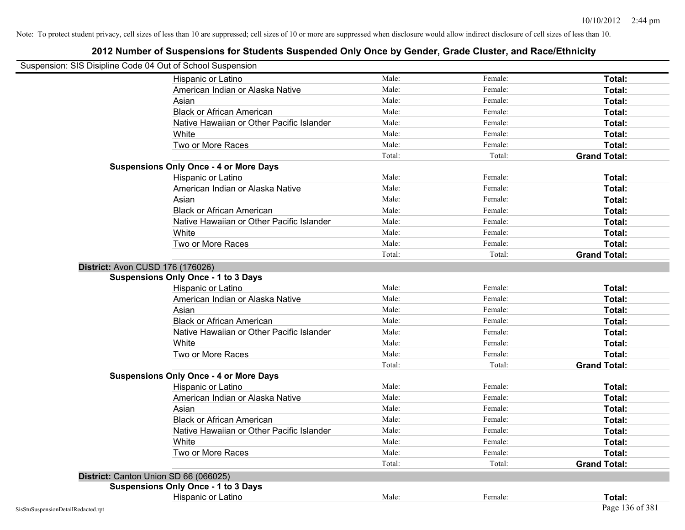| Suspension: SIS Disipline Code 04 Out of School Suspension |                                               |        |         |                     |
|------------------------------------------------------------|-----------------------------------------------|--------|---------|---------------------|
|                                                            | Hispanic or Latino                            | Male:  | Female: | Total:              |
|                                                            | American Indian or Alaska Native              | Male:  | Female: | Total:              |
|                                                            | Asian                                         | Male:  | Female: | Total:              |
|                                                            | <b>Black or African American</b>              | Male:  | Female: | Total:              |
|                                                            | Native Hawaiian or Other Pacific Islander     | Male:  | Female: | Total:              |
|                                                            | White                                         | Male:  | Female: | Total:              |
|                                                            | Two or More Races                             | Male:  | Female: | Total:              |
|                                                            |                                               | Total: | Total:  | <b>Grand Total:</b> |
|                                                            | <b>Suspensions Only Once - 4 or More Days</b> |        |         |                     |
|                                                            | Hispanic or Latino                            | Male:  | Female: | Total:              |
|                                                            | American Indian or Alaska Native              | Male:  | Female: | Total:              |
|                                                            | Asian                                         | Male:  | Female: | Total:              |
|                                                            | <b>Black or African American</b>              | Male:  | Female: | Total:              |
|                                                            | Native Hawaiian or Other Pacific Islander     | Male:  | Female: | Total:              |
|                                                            | White                                         | Male:  | Female: | Total:              |
|                                                            | Two or More Races                             | Male:  | Female: | Total:              |
|                                                            |                                               | Total: | Total:  | <b>Grand Total:</b> |
|                                                            | District: Avon CUSD 176 (176026)              |        |         |                     |
|                                                            | <b>Suspensions Only Once - 1 to 3 Days</b>    |        |         |                     |
|                                                            | Hispanic or Latino                            | Male:  | Female: | Total:              |
|                                                            | American Indian or Alaska Native              | Male:  | Female: | Total:              |
|                                                            | Asian                                         | Male:  | Female: | Total:              |
|                                                            | <b>Black or African American</b>              | Male:  | Female: | Total:              |
|                                                            | Native Hawaiian or Other Pacific Islander     | Male:  | Female: | Total:              |
|                                                            | White                                         | Male:  | Female: | Total:              |
|                                                            | Two or More Races                             | Male:  | Female: | Total:              |
|                                                            |                                               | Total: | Total:  | <b>Grand Total:</b> |
|                                                            | <b>Suspensions Only Once - 4 or More Days</b> |        |         |                     |
|                                                            | Hispanic or Latino                            | Male:  | Female: | Total:              |
|                                                            | American Indian or Alaska Native              | Male:  | Female: | Total:              |
|                                                            | Asian                                         | Male:  | Female: | Total:              |
|                                                            | <b>Black or African American</b>              | Male:  | Female: | Total:              |
|                                                            | Native Hawaiian or Other Pacific Islander     | Male:  | Female: | Total:              |
|                                                            | White                                         | Male:  | Female: | Total:              |
|                                                            | Two or More Races                             | Male:  | Female: | Total:              |
|                                                            |                                               | Total: | Total:  | <b>Grand Total:</b> |
|                                                            | District: Canton Union SD 66 (066025)         |        |         |                     |
|                                                            | <b>Suspensions Only Once - 1 to 3 Days</b>    |        |         |                     |
|                                                            | Hispanic or Latino                            | Male:  | Female: | Total:              |
| SisStuSuspensionDetailRedacted.rpt                         |                                               |        |         | Page 136 of 381     |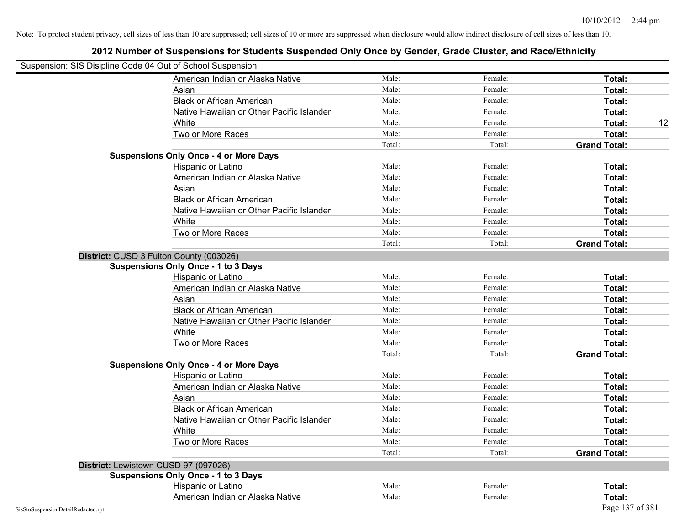| Suspension: SIS Disipline Code 04 Out of School Suspension |                                               |        |         |                     |
|------------------------------------------------------------|-----------------------------------------------|--------|---------|---------------------|
|                                                            | American Indian or Alaska Native              | Male:  | Female: | Total:              |
|                                                            | Asian                                         | Male:  | Female: | Total:              |
|                                                            | <b>Black or African American</b>              | Male:  | Female: | Total:              |
|                                                            | Native Hawaiian or Other Pacific Islander     | Male:  | Female: | Total:              |
|                                                            | White                                         | Male:  | Female: | 12<br>Total:        |
|                                                            | Two or More Races                             | Male:  | Female: | Total:              |
|                                                            |                                               | Total: | Total:  | <b>Grand Total:</b> |
|                                                            | <b>Suspensions Only Once - 4 or More Days</b> |        |         |                     |
|                                                            | Hispanic or Latino                            | Male:  | Female: | Total:              |
|                                                            | American Indian or Alaska Native              | Male:  | Female: | Total:              |
|                                                            | Asian                                         | Male:  | Female: | Total:              |
|                                                            | <b>Black or African American</b>              | Male:  | Female: | Total:              |
|                                                            | Native Hawaiian or Other Pacific Islander     | Male:  | Female: | Total:              |
|                                                            | White                                         | Male:  | Female: | Total:              |
|                                                            | Two or More Races                             | Male:  | Female: | Total:              |
|                                                            |                                               | Total: | Total:  | <b>Grand Total:</b> |
|                                                            | District: CUSD 3 Fulton County (003026)       |        |         |                     |
|                                                            | <b>Suspensions Only Once - 1 to 3 Days</b>    |        |         |                     |
|                                                            | Hispanic or Latino                            | Male:  | Female: | Total:              |
|                                                            | American Indian or Alaska Native              | Male:  | Female: | Total:              |
|                                                            | Asian                                         | Male:  | Female: | Total:              |
|                                                            | <b>Black or African American</b>              | Male:  | Female: | Total:              |
|                                                            | Native Hawaiian or Other Pacific Islander     | Male:  | Female: | Total:              |
|                                                            | White                                         | Male:  | Female: | Total:              |
|                                                            | Two or More Races                             | Male:  | Female: | Total:              |
|                                                            |                                               | Total: | Total:  | <b>Grand Total:</b> |
|                                                            | <b>Suspensions Only Once - 4 or More Days</b> |        |         |                     |
|                                                            | Hispanic or Latino                            | Male:  | Female: | Total:              |
|                                                            | American Indian or Alaska Native              | Male:  | Female: | Total:              |
|                                                            | Asian                                         | Male:  | Female: | Total:              |
|                                                            | <b>Black or African American</b>              | Male:  | Female: | Total:              |
|                                                            | Native Hawaiian or Other Pacific Islander     | Male:  | Female: | Total:              |
|                                                            | White                                         | Male:  | Female: | Total:              |
|                                                            | Two or More Races                             | Male:  | Female: | Total:              |
|                                                            |                                               | Total: | Total:  | <b>Grand Total:</b> |
|                                                            | District: Lewistown CUSD 97 (097026)          |        |         |                     |
|                                                            | <b>Suspensions Only Once - 1 to 3 Days</b>    |        |         |                     |
|                                                            | Hispanic or Latino                            | Male:  | Female: | Total:              |
|                                                            | American Indian or Alaska Native              | Male:  | Female: | Total:              |
| SisStuSuspensionDetailRedacted.rpt                         |                                               |        |         | Page 137 of 381     |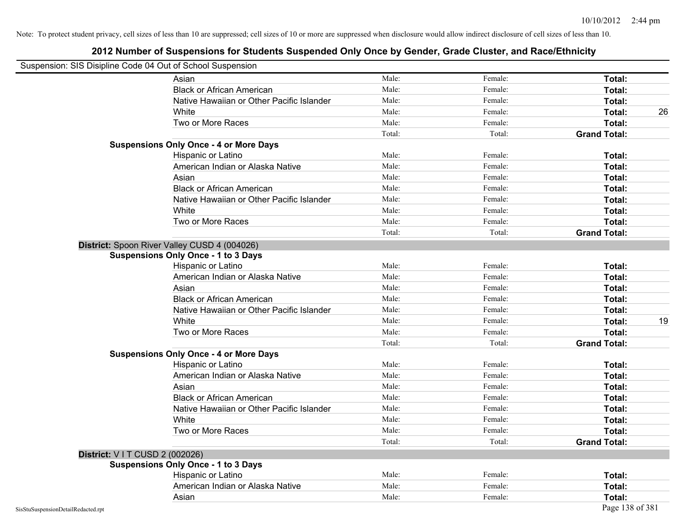| Suspension: SIS Disipline Code 04 Out of School Suspension |        |         |                     |    |
|------------------------------------------------------------|--------|---------|---------------------|----|
| Asian                                                      | Male:  | Female: | Total:              |    |
| <b>Black or African American</b>                           | Male:  | Female: | Total:              |    |
| Native Hawaiian or Other Pacific Islander                  | Male:  | Female: | Total:              |    |
| White                                                      | Male:  | Female: | Total:              | 26 |
| Two or More Races                                          | Male:  | Female: | Total:              |    |
|                                                            | Total: | Total:  | <b>Grand Total:</b> |    |
| <b>Suspensions Only Once - 4 or More Days</b>              |        |         |                     |    |
| Hispanic or Latino                                         | Male:  | Female: | Total:              |    |
| American Indian or Alaska Native                           | Male:  | Female: | Total:              |    |
| Asian                                                      | Male:  | Female: | Total:              |    |
| <b>Black or African American</b>                           | Male:  | Female: | Total:              |    |
| Native Hawaiian or Other Pacific Islander                  | Male:  | Female: | Total:              |    |
| White                                                      | Male:  | Female: | Total:              |    |
| Two or More Races                                          | Male:  | Female: | Total:              |    |
|                                                            | Total: | Total:  | <b>Grand Total:</b> |    |
| District: Spoon River Valley CUSD 4 (004026)               |        |         |                     |    |
| <b>Suspensions Only Once - 1 to 3 Days</b>                 |        |         |                     |    |
| Hispanic or Latino                                         | Male:  | Female: | Total:              |    |
| American Indian or Alaska Native                           | Male:  | Female: | Total:              |    |
| Asian                                                      | Male:  | Female: | Total:              |    |
| <b>Black or African American</b>                           | Male:  | Female: | Total:              |    |
| Native Hawaiian or Other Pacific Islander                  | Male:  | Female: | Total:              |    |
| White                                                      | Male:  | Female: | Total:              | 19 |
| Two or More Races                                          | Male:  | Female: | Total:              |    |
|                                                            | Total: | Total:  | <b>Grand Total:</b> |    |
| <b>Suspensions Only Once - 4 or More Days</b>              |        |         |                     |    |
| Hispanic or Latino                                         | Male:  | Female: | Total:              |    |
| American Indian or Alaska Native                           | Male:  | Female: | Total:              |    |
| Asian                                                      | Male:  | Female: | Total:              |    |
| <b>Black or African American</b>                           | Male:  | Female: | Total:              |    |
| Native Hawaiian or Other Pacific Islander                  | Male:  | Female: | Total:              |    |
| White                                                      | Male:  | Female: | Total:              |    |
| Two or More Races                                          | Male:  | Female: | Total:              |    |
|                                                            | Total: | Total:  | <b>Grand Total:</b> |    |
| District: V I T CUSD 2 (002026)                            |        |         |                     |    |
| <b>Suspensions Only Once - 1 to 3 Days</b>                 |        |         |                     |    |
| Hispanic or Latino                                         | Male:  | Female: | Total:              |    |
| American Indian or Alaska Native                           | Male:  | Female: | Total:              |    |
| Asian                                                      | Male:  | Female: | Total:              |    |
|                                                            |        |         |                     |    |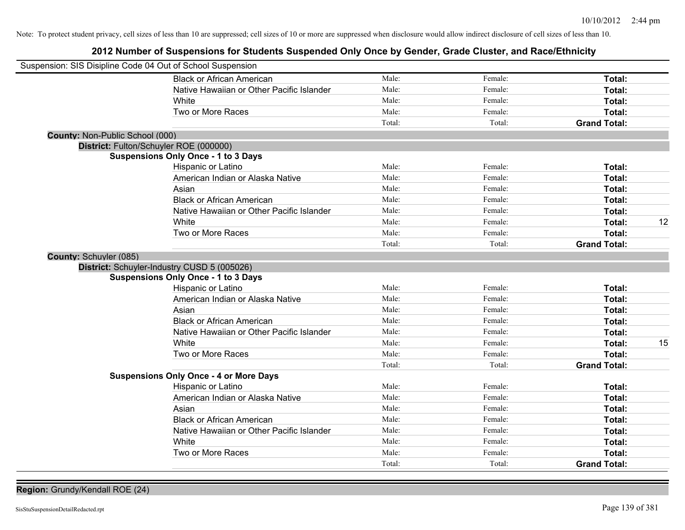**2012 Number of Suspensions for Students Suspended Only Once by Gender, Grade Cluster, and Race/Ethnicity**

| Suspension: SIS Disipline Code 04 Out of School Suspension |                                               |        |         |                     |    |
|------------------------------------------------------------|-----------------------------------------------|--------|---------|---------------------|----|
|                                                            | <b>Black or African American</b>              | Male:  | Female: | Total:              |    |
|                                                            | Native Hawaiian or Other Pacific Islander     | Male:  | Female: | Total:              |    |
|                                                            | White                                         | Male:  | Female: | Total:              |    |
|                                                            | Two or More Races                             | Male:  | Female: | Total:              |    |
|                                                            |                                               | Total: | Total:  | <b>Grand Total:</b> |    |
| County: Non-Public School (000)                            |                                               |        |         |                     |    |
| District: Fulton/Schuyler ROE (000000)                     |                                               |        |         |                     |    |
|                                                            | <b>Suspensions Only Once - 1 to 3 Days</b>    |        |         |                     |    |
|                                                            | Hispanic or Latino                            | Male:  | Female: | Total:              |    |
|                                                            | American Indian or Alaska Native              | Male:  | Female: | Total:              |    |
|                                                            | Asian                                         | Male:  | Female: | Total:              |    |
|                                                            | <b>Black or African American</b>              | Male:  | Female: | Total:              |    |
|                                                            | Native Hawaiian or Other Pacific Islander     | Male:  | Female: | Total:              |    |
|                                                            | White                                         | Male:  | Female: | Total:              | 12 |
|                                                            | Two or More Races                             | Male:  | Female: | Total:              |    |
|                                                            |                                               | Total: | Total:  | <b>Grand Total:</b> |    |
| County: Schuyler (085)                                     |                                               |        |         |                     |    |
| District: Schuyler-Industry CUSD 5 (005026)                |                                               |        |         |                     |    |
|                                                            | <b>Suspensions Only Once - 1 to 3 Days</b>    |        |         |                     |    |
|                                                            | Hispanic or Latino                            | Male:  | Female: | Total:              |    |
|                                                            | American Indian or Alaska Native              | Male:  | Female: | Total:              |    |
|                                                            | Asian                                         | Male:  | Female: | Total:              |    |
|                                                            | <b>Black or African American</b>              | Male:  | Female: | Total:              |    |
|                                                            | Native Hawaiian or Other Pacific Islander     | Male:  | Female: | Total:              |    |
|                                                            | White                                         | Male:  | Female: | Total:              | 15 |
|                                                            | Two or More Races                             | Male:  | Female: | Total:              |    |
|                                                            |                                               | Total: | Total:  | <b>Grand Total:</b> |    |
|                                                            | <b>Suspensions Only Once - 4 or More Days</b> |        |         |                     |    |
|                                                            | Hispanic or Latino                            | Male:  | Female: | Total:              |    |
|                                                            | American Indian or Alaska Native              | Male:  | Female: | Total:              |    |
|                                                            | Asian                                         | Male:  | Female: | Total:              |    |
|                                                            | <b>Black or African American</b>              | Male:  | Female: | Total:              |    |
|                                                            | Native Hawaiian or Other Pacific Islander     | Male:  | Female: | Total:              |    |
|                                                            | White                                         | Male:  | Female: | Total:              |    |
|                                                            | Two or More Races                             | Male:  | Female: | Total:              |    |
|                                                            |                                               | Total: | Total:  | <b>Grand Total:</b> |    |

**Region:** Grundy/Kendall ROE (24)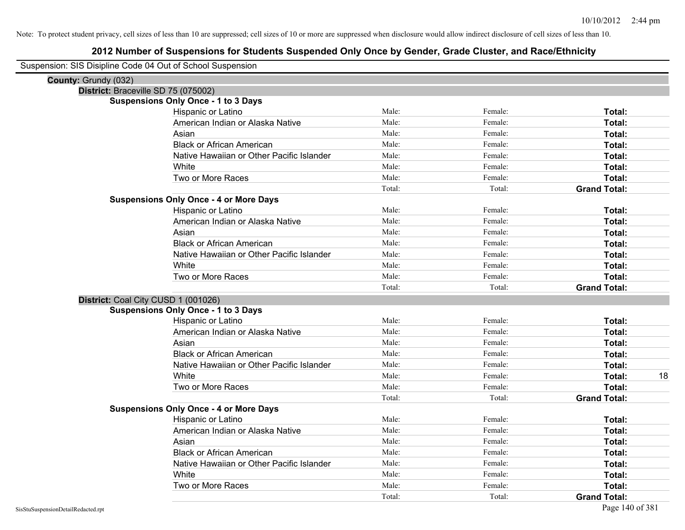| Suspension: SIS Disipline Code 04 Out of School Suspension |                                               |        |         |                     |
|------------------------------------------------------------|-----------------------------------------------|--------|---------|---------------------|
| County: Grundy (032)                                       |                                               |        |         |                     |
| District: Braceville SD 75 (075002)                        |                                               |        |         |                     |
|                                                            | <b>Suspensions Only Once - 1 to 3 Days</b>    |        |         |                     |
|                                                            | Hispanic or Latino                            | Male:  | Female: | Total:              |
|                                                            | American Indian or Alaska Native              | Male:  | Female: | Total:              |
|                                                            | Asian                                         | Male:  | Female: | Total:              |
|                                                            | <b>Black or African American</b>              | Male:  | Female: | Total:              |
|                                                            | Native Hawaiian or Other Pacific Islander     | Male:  | Female: | Total:              |
|                                                            | White                                         | Male:  | Female: | Total:              |
|                                                            | Two or More Races                             | Male:  | Female: | Total:              |
|                                                            |                                               | Total: | Total:  | <b>Grand Total:</b> |
|                                                            | <b>Suspensions Only Once - 4 or More Days</b> |        |         |                     |
|                                                            | Hispanic or Latino                            | Male:  | Female: | Total:              |
|                                                            | American Indian or Alaska Native              | Male:  | Female: | Total:              |
|                                                            | Asian                                         | Male:  | Female: | Total:              |
|                                                            | <b>Black or African American</b>              | Male:  | Female: | Total:              |
|                                                            | Native Hawaiian or Other Pacific Islander     | Male:  | Female: | Total:              |
|                                                            | White                                         | Male:  | Female: | Total:              |
|                                                            | Two or More Races                             | Male:  | Female: | Total:              |
|                                                            |                                               | Total: | Total:  | <b>Grand Total:</b> |
| District: Coal City CUSD 1 (001026)                        |                                               |        |         |                     |
|                                                            | <b>Suspensions Only Once - 1 to 3 Days</b>    |        |         |                     |
|                                                            | Hispanic or Latino                            | Male:  | Female: | Total:              |
|                                                            | American Indian or Alaska Native              | Male:  | Female: | Total:              |
|                                                            | Asian                                         | Male:  | Female: | Total:              |
|                                                            | <b>Black or African American</b>              | Male:  | Female: | Total:              |
|                                                            | Native Hawaiian or Other Pacific Islander     | Male:  | Female: | Total:              |
|                                                            | White                                         | Male:  | Female: | 18<br>Total:        |
|                                                            | Two or More Races                             | Male:  | Female: | Total:              |
|                                                            |                                               | Total: | Total:  | <b>Grand Total:</b> |
|                                                            | <b>Suspensions Only Once - 4 or More Days</b> |        |         |                     |
|                                                            | Hispanic or Latino                            | Male:  | Female: | Total:              |
|                                                            | American Indian or Alaska Native              | Male:  | Female: | Total:              |
|                                                            | Asian                                         | Male:  | Female: | Total:              |
|                                                            | <b>Black or African American</b>              | Male:  | Female: | Total:              |
|                                                            | Native Hawaiian or Other Pacific Islander     | Male:  | Female: | Total:              |
|                                                            | White                                         | Male:  | Female: | Total:              |
|                                                            | Two or More Races                             | Male:  | Female: | Total:              |
|                                                            |                                               | Total: | Total:  | <b>Grand Total:</b> |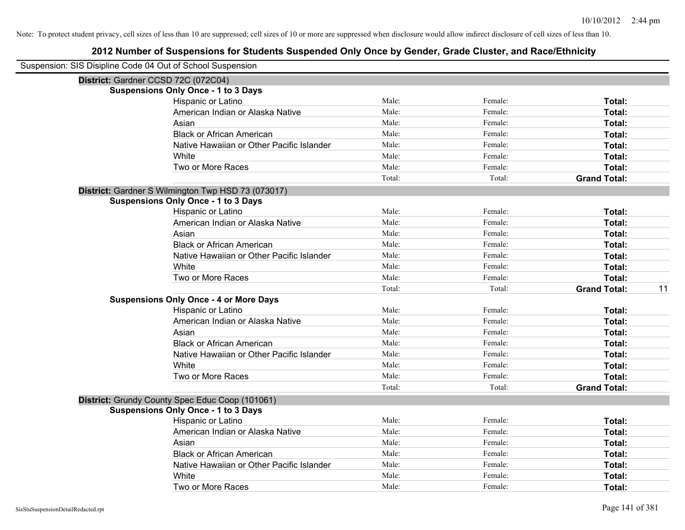| Suspension: SIS Disipline Code 04 Out of School Suspension |                                                    |        |         |                           |
|------------------------------------------------------------|----------------------------------------------------|--------|---------|---------------------------|
| District: Gardner CCSD 72C (072C04)                        |                                                    |        |         |                           |
|                                                            | <b>Suspensions Only Once - 1 to 3 Days</b>         |        |         |                           |
|                                                            | Hispanic or Latino                                 | Male:  | Female: | Total:                    |
|                                                            | American Indian or Alaska Native                   | Male:  | Female: | <b>Total:</b>             |
|                                                            | Asian                                              | Male:  | Female: | Total:                    |
|                                                            | <b>Black or African American</b>                   | Male:  | Female: | Total:                    |
|                                                            | Native Hawaiian or Other Pacific Islander          | Male:  | Female: | Total:                    |
|                                                            | White                                              | Male:  | Female: | Total:                    |
|                                                            | Two or More Races                                  | Male:  | Female: | Total:                    |
|                                                            |                                                    | Total: | Total:  | <b>Grand Total:</b>       |
|                                                            | District: Gardner S Wilmington Twp HSD 73 (073017) |        |         |                           |
|                                                            | <b>Suspensions Only Once - 1 to 3 Days</b>         |        |         |                           |
|                                                            | Hispanic or Latino                                 | Male:  | Female: | Total:                    |
|                                                            | American Indian or Alaska Native                   | Male:  | Female: | Total:                    |
|                                                            | Asian                                              | Male:  | Female: | Total:                    |
|                                                            | <b>Black or African American</b>                   | Male:  | Female: | Total:                    |
|                                                            | Native Hawaiian or Other Pacific Islander          | Male:  | Female: | Total:                    |
|                                                            | White                                              | Male:  | Female: | Total:                    |
|                                                            | Two or More Races                                  | Male:  | Female: | Total:                    |
|                                                            |                                                    | Total: | Total:  | <b>Grand Total:</b><br>11 |
|                                                            | <b>Suspensions Only Once - 4 or More Days</b>      |        |         |                           |
|                                                            | Hispanic or Latino                                 | Male:  | Female: | Total:                    |
|                                                            | American Indian or Alaska Native                   | Male:  | Female: | Total:                    |
|                                                            | Asian                                              | Male:  | Female: | Total:                    |
|                                                            | <b>Black or African American</b>                   | Male:  | Female: | Total:                    |
|                                                            | Native Hawaiian or Other Pacific Islander          | Male:  | Female: | Total:                    |
|                                                            | White                                              | Male:  | Female: | Total:                    |
|                                                            | Two or More Races                                  | Male:  | Female: | Total:                    |
|                                                            |                                                    | Total: | Total:  | <b>Grand Total:</b>       |
|                                                            | District: Grundy County Spec Educ Coop (101061)    |        |         |                           |
|                                                            | <b>Suspensions Only Once - 1 to 3 Days</b>         |        |         |                           |
|                                                            | Hispanic or Latino                                 | Male:  | Female: | Total:                    |
|                                                            | American Indian or Alaska Native                   | Male:  | Female: | Total:                    |
|                                                            | Asian                                              | Male:  | Female: | Total:                    |
|                                                            | <b>Black or African American</b>                   | Male:  | Female: | Total:                    |
|                                                            | Native Hawaiian or Other Pacific Islander          | Male:  | Female: | Total:                    |
|                                                            | White                                              | Male:  | Female: | <b>Total:</b>             |
|                                                            | Two or More Races                                  | Male:  | Female: | Total:                    |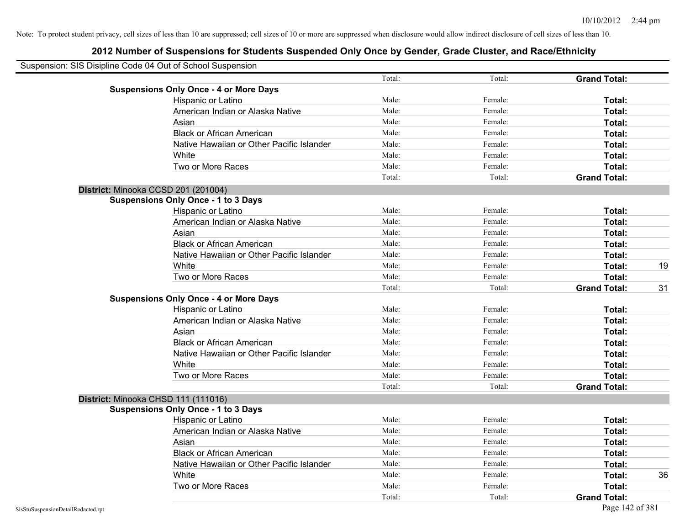| Suspension: SIS Disipline Code 04 Out of School Suspension |        |         |                     |    |
|------------------------------------------------------------|--------|---------|---------------------|----|
|                                                            | Total: | Total:  | <b>Grand Total:</b> |    |
| <b>Suspensions Only Once - 4 or More Days</b>              |        |         |                     |    |
| Hispanic or Latino                                         | Male:  | Female: | Total:              |    |
| American Indian or Alaska Native                           | Male:  | Female: | Total:              |    |
| Asian                                                      | Male:  | Female: | Total:              |    |
| <b>Black or African American</b>                           | Male:  | Female: | Total:              |    |
| Native Hawaiian or Other Pacific Islander                  | Male:  | Female: | Total:              |    |
| White                                                      | Male:  | Female: | Total:              |    |
| Two or More Races                                          | Male:  | Female: | Total:              |    |
|                                                            | Total: | Total:  | <b>Grand Total:</b> |    |
| District: Minooka CCSD 201 (201004)                        |        |         |                     |    |
| <b>Suspensions Only Once - 1 to 3 Days</b>                 |        |         |                     |    |
| Hispanic or Latino                                         | Male:  | Female: | Total:              |    |
| American Indian or Alaska Native                           | Male:  | Female: | Total:              |    |
| Asian                                                      | Male:  | Female: | Total:              |    |
| <b>Black or African American</b>                           | Male:  | Female: | Total:              |    |
| Native Hawaiian or Other Pacific Islander                  | Male:  | Female: | Total:              |    |
| White                                                      | Male:  | Female: | Total:              | 19 |
| Two or More Races                                          | Male:  | Female: | Total:              |    |
|                                                            | Total: | Total:  | <b>Grand Total:</b> | 31 |
| <b>Suspensions Only Once - 4 or More Days</b>              |        |         |                     |    |
| Hispanic or Latino                                         | Male:  | Female: | Total:              |    |
| American Indian or Alaska Native                           | Male:  | Female: | Total:              |    |
| Asian                                                      | Male:  | Female: | Total:              |    |
| <b>Black or African American</b>                           | Male:  | Female: | Total:              |    |
| Native Hawaiian or Other Pacific Islander                  | Male:  | Female: | Total:              |    |
| White                                                      | Male:  | Female: | Total:              |    |
| Two or More Races                                          | Male:  | Female: | Total:              |    |
|                                                            | Total: | Total:  | <b>Grand Total:</b> |    |
| District: Minooka CHSD 111 (111016)                        |        |         |                     |    |
| <b>Suspensions Only Once - 1 to 3 Days</b>                 |        |         |                     |    |
| Hispanic or Latino                                         | Male:  | Female: | Total:              |    |
| American Indian or Alaska Native                           | Male:  | Female: | Total:              |    |
| Asian                                                      | Male:  | Female: | Total:              |    |
| <b>Black or African American</b>                           | Male:  | Female: | Total:              |    |
| Native Hawaiian or Other Pacific Islander                  | Male:  | Female: | Total:              |    |
| White                                                      | Male:  | Female: | Total:              | 36 |
| Two or More Races                                          | Male:  | Female: | <b>Total:</b>       |    |
|                                                            | Total: | Total:  | <b>Grand Total:</b> |    |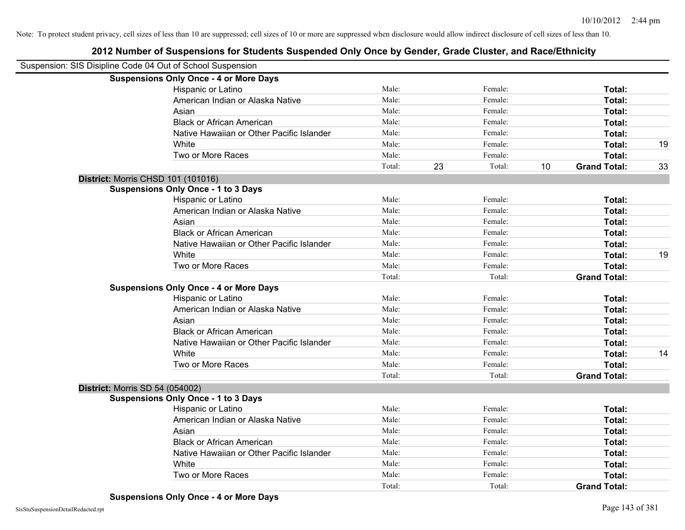| Suspension: SIS Disipline Code 04 Out of School Suspension |                                               |        |    |         |    |                     |    |
|------------------------------------------------------------|-----------------------------------------------|--------|----|---------|----|---------------------|----|
|                                                            | <b>Suspensions Only Once - 4 or More Days</b> |        |    |         |    |                     |    |
|                                                            | Hispanic or Latino                            | Male:  |    | Female: |    | Total:              |    |
|                                                            | American Indian or Alaska Native              | Male:  |    | Female: |    | Total:              |    |
|                                                            | Asian                                         | Male:  |    | Female: |    | Total:              |    |
|                                                            | <b>Black or African American</b>              | Male:  |    | Female: |    | Total:              |    |
|                                                            | Native Hawaiian or Other Pacific Islander     | Male:  |    | Female: |    | Total:              |    |
|                                                            | White                                         | Male:  |    | Female: |    | Total:              | 19 |
|                                                            | Two or More Races                             | Male:  |    | Female: |    | Total:              |    |
|                                                            |                                               | Total: | 23 | Total:  | 10 | <b>Grand Total:</b> | 33 |
| District: Morris CHSD 101 (101016)                         |                                               |        |    |         |    |                     |    |
|                                                            | <b>Suspensions Only Once - 1 to 3 Days</b>    |        |    |         |    |                     |    |
|                                                            | Hispanic or Latino                            | Male:  |    | Female: |    | Total:              |    |
|                                                            | American Indian or Alaska Native              | Male:  |    | Female: |    | Total:              |    |
|                                                            | Asian                                         | Male:  |    | Female: |    | Total:              |    |
|                                                            | <b>Black or African American</b>              | Male:  |    | Female: |    | Total:              |    |
|                                                            | Native Hawaiian or Other Pacific Islander     | Male:  |    | Female: |    | Total:              |    |
|                                                            | White                                         | Male:  |    | Female: |    | Total:              | 19 |
|                                                            | Two or More Races                             | Male:  |    | Female: |    | Total:              |    |
|                                                            |                                               | Total: |    | Total:  |    | <b>Grand Total:</b> |    |
|                                                            | <b>Suspensions Only Once - 4 or More Days</b> |        |    |         |    |                     |    |
|                                                            | Hispanic or Latino                            | Male:  |    | Female: |    | Total:              |    |
|                                                            | American Indian or Alaska Native              | Male:  |    | Female: |    | Total:              |    |
|                                                            | Asian                                         | Male:  |    | Female: |    | Total:              |    |
|                                                            | <b>Black or African American</b>              | Male:  |    | Female: |    | Total:              |    |
|                                                            | Native Hawaiian or Other Pacific Islander     | Male:  |    | Female: |    | Total:              |    |
|                                                            | White                                         | Male:  |    | Female: |    | Total:              | 14 |
|                                                            | Two or More Races                             | Male:  |    | Female: |    | Total:              |    |
|                                                            |                                               | Total: |    | Total:  |    | <b>Grand Total:</b> |    |
| <b>District: Morris SD 54 (054002)</b>                     |                                               |        |    |         |    |                     |    |
|                                                            | <b>Suspensions Only Once - 1 to 3 Days</b>    |        |    |         |    |                     |    |
|                                                            | Hispanic or Latino                            | Male:  |    | Female: |    | Total:              |    |
|                                                            | American Indian or Alaska Native              | Male:  |    | Female: |    | Total:              |    |
|                                                            | Asian                                         | Male:  |    | Female: |    | Total:              |    |
|                                                            | <b>Black or African American</b>              | Male:  |    | Female: |    | Total:              |    |
|                                                            | Native Hawaiian or Other Pacific Islander     | Male:  |    | Female: |    | Total:              |    |
|                                                            | White                                         | Male:  |    | Female: |    | Total:              |    |
|                                                            | Two or More Races                             | Male:  |    | Female: |    | <b>Total:</b>       |    |
|                                                            |                                               | Total: |    | Total:  |    | <b>Grand Total:</b> |    |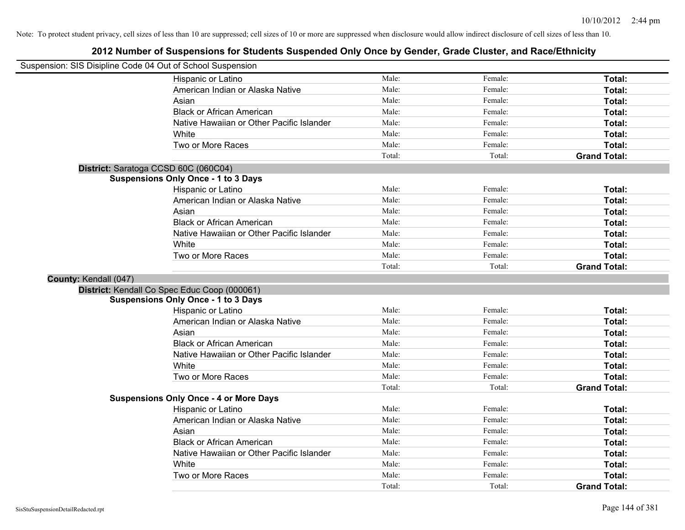|                       | Suspension: SIS Disipline Code 04 Out of School Suspension |        |         |                     |
|-----------------------|------------------------------------------------------------|--------|---------|---------------------|
|                       | Hispanic or Latino                                         | Male:  | Female: | Total:              |
|                       | American Indian or Alaska Native                           | Male:  | Female: | Total:              |
|                       | Asian                                                      | Male:  | Female: | Total:              |
|                       | <b>Black or African American</b>                           | Male:  | Female: | Total:              |
|                       | Native Hawaiian or Other Pacific Islander                  | Male:  | Female: | Total:              |
|                       | White                                                      | Male:  | Female: | Total:              |
|                       | Two or More Races                                          | Male:  | Female: | Total:              |
|                       |                                                            | Total: | Total:  | <b>Grand Total:</b> |
|                       | District: Saratoga CCSD 60C (060C04)                       |        |         |                     |
|                       | <b>Suspensions Only Once - 1 to 3 Days</b>                 |        |         |                     |
|                       | Hispanic or Latino                                         | Male:  | Female: | Total:              |
|                       | American Indian or Alaska Native                           | Male:  | Female: | Total:              |
|                       | Asian                                                      | Male:  | Female: | Total:              |
|                       | <b>Black or African American</b>                           | Male:  | Female: | Total:              |
|                       | Native Hawaiian or Other Pacific Islander                  | Male:  | Female: | Total:              |
|                       | White                                                      | Male:  | Female: | <b>Total:</b>       |
|                       | Two or More Races                                          | Male:  | Female: | Total:              |
|                       |                                                            | Total: | Total:  | <b>Grand Total:</b> |
| County: Kendall (047) |                                                            |        |         |                     |
|                       | District: Kendall Co Spec Educ Coop (000061)               |        |         |                     |
|                       | <b>Suspensions Only Once - 1 to 3 Days</b>                 |        |         |                     |
|                       | Hispanic or Latino                                         | Male:  | Female: | Total:              |
|                       | American Indian or Alaska Native                           | Male:  | Female: | Total:              |
|                       | Asian                                                      | Male:  | Female: | Total:              |
|                       | <b>Black or African American</b>                           | Male:  | Female: | Total:              |
|                       | Native Hawaiian or Other Pacific Islander                  | Male:  | Female: | Total:              |
|                       | White                                                      | Male:  | Female: | Total:              |
|                       | Two or More Races                                          | Male:  | Female: | Total:              |
|                       |                                                            | Total: | Total:  | <b>Grand Total:</b> |
|                       | <b>Suspensions Only Once - 4 or More Days</b>              |        |         |                     |
|                       | Hispanic or Latino                                         | Male:  | Female: | Total:              |
|                       | American Indian or Alaska Native                           | Male:  | Female: | Total:              |
|                       | Asian                                                      | Male:  | Female: | Total:              |
|                       | <b>Black or African American</b>                           | Male:  | Female: | Total:              |
|                       |                                                            | Male:  | Female: | Total:              |
|                       | Native Hawaiian or Other Pacific Islander                  |        |         |                     |
|                       | White                                                      | Male:  | Female: | Total:              |
|                       | Two or More Races                                          | Male:  | Female: | Total:              |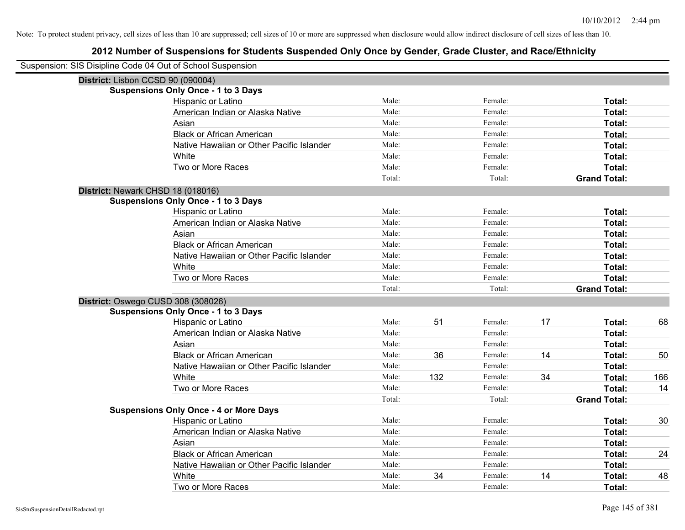| Suspension: SIS Disipline Code 04 Out of School Suspension |                                               |        |     |         |    |                     |     |
|------------------------------------------------------------|-----------------------------------------------|--------|-----|---------|----|---------------------|-----|
|                                                            | District: Lisbon CCSD 90 (090004)             |        |     |         |    |                     |     |
|                                                            | <b>Suspensions Only Once - 1 to 3 Days</b>    |        |     |         |    |                     |     |
|                                                            | Hispanic or Latino                            | Male:  |     | Female: |    | Total:              |     |
|                                                            | American Indian or Alaska Native              | Male:  |     | Female: |    | Total:              |     |
|                                                            | Asian                                         | Male:  |     | Female: |    | Total:              |     |
|                                                            | <b>Black or African American</b>              | Male:  |     | Female: |    | Total:              |     |
|                                                            | Native Hawaiian or Other Pacific Islander     | Male:  |     | Female: |    | Total:              |     |
|                                                            | White                                         | Male:  |     | Female: |    | Total:              |     |
|                                                            | Two or More Races                             | Male:  |     | Female: |    | Total:              |     |
|                                                            |                                               | Total: |     | Total:  |    | <b>Grand Total:</b> |     |
|                                                            | District: Newark CHSD 18 (018016)             |        |     |         |    |                     |     |
|                                                            | <b>Suspensions Only Once - 1 to 3 Days</b>    |        |     |         |    |                     |     |
|                                                            | Hispanic or Latino                            | Male:  |     | Female: |    | Total:              |     |
|                                                            | American Indian or Alaska Native              | Male:  |     | Female: |    | Total:              |     |
|                                                            | Asian                                         | Male:  |     | Female: |    | Total:              |     |
|                                                            | <b>Black or African American</b>              | Male:  |     | Female: |    | Total:              |     |
|                                                            | Native Hawaiian or Other Pacific Islander     | Male:  |     | Female: |    | Total:              |     |
|                                                            | White                                         | Male:  |     | Female: |    | Total:              |     |
|                                                            | Two or More Races                             | Male:  |     | Female: |    | Total:              |     |
|                                                            |                                               | Total: |     | Total:  |    | <b>Grand Total:</b> |     |
|                                                            | District: Oswego CUSD 308 (308026)            |        |     |         |    |                     |     |
|                                                            | <b>Suspensions Only Once - 1 to 3 Days</b>    |        |     |         |    |                     |     |
|                                                            | Hispanic or Latino                            | Male:  | 51  | Female: | 17 | Total:              | 68  |
|                                                            | American Indian or Alaska Native              | Male:  |     | Female: |    | Total:              |     |
|                                                            | Asian                                         | Male:  |     | Female: |    | Total:              |     |
|                                                            | <b>Black or African American</b>              | Male:  | 36  | Female: | 14 | Total:              | 50  |
|                                                            | Native Hawaiian or Other Pacific Islander     | Male:  |     | Female: |    | Total:              |     |
|                                                            | White                                         | Male:  | 132 | Female: | 34 | Total:              | 166 |
|                                                            | Two or More Races                             | Male:  |     | Female: |    | Total:              | 14  |
|                                                            |                                               | Total: |     | Total:  |    | <b>Grand Total:</b> |     |
|                                                            | <b>Suspensions Only Once - 4 or More Days</b> |        |     |         |    |                     |     |
|                                                            | Hispanic or Latino                            | Male:  |     | Female: |    | Total:              | 30  |
|                                                            | American Indian or Alaska Native              | Male:  |     | Female: |    | Total:              |     |
|                                                            | Asian                                         | Male:  |     | Female: |    | Total:              |     |
|                                                            | <b>Black or African American</b>              | Male:  |     | Female: |    | Total:              | 24  |
|                                                            | Native Hawaiian or Other Pacific Islander     | Male:  |     | Female: |    | Total:              |     |
|                                                            | White                                         | Male:  | 34  | Female: | 14 | <b>Total:</b>       | 48  |
|                                                            | Two or More Races                             | Male:  |     | Female: |    | Total:              |     |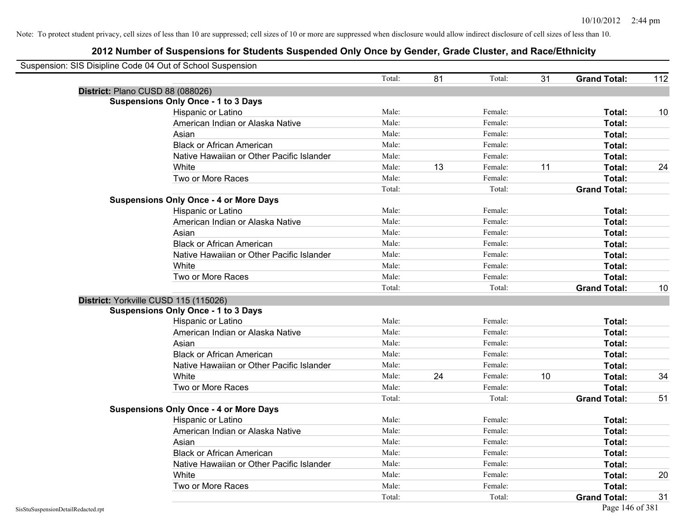| Suspension: SIS Disipline Code 04 Out of School Suspension |                                               |        |    |         |    |                     |     |
|------------------------------------------------------------|-----------------------------------------------|--------|----|---------|----|---------------------|-----|
|                                                            |                                               | Total: | 81 | Total:  | 31 | <b>Grand Total:</b> | 112 |
|                                                            | District: Plano CUSD 88 (088026)              |        |    |         |    |                     |     |
|                                                            | <b>Suspensions Only Once - 1 to 3 Days</b>    |        |    |         |    |                     |     |
|                                                            | Hispanic or Latino                            | Male:  |    | Female: |    | Total:              | 10  |
|                                                            | American Indian or Alaska Native              | Male:  |    | Female: |    | Total:              |     |
|                                                            | Asian                                         | Male:  |    | Female: |    | Total:              |     |
|                                                            | <b>Black or African American</b>              | Male:  |    | Female: |    | Total:              |     |
|                                                            | Native Hawaiian or Other Pacific Islander     | Male:  |    | Female: |    | Total:              |     |
|                                                            | White                                         | Male:  | 13 | Female: | 11 | Total:              | 24  |
|                                                            | Two or More Races                             | Male:  |    | Female: |    | Total:              |     |
|                                                            |                                               | Total: |    | Total:  |    | <b>Grand Total:</b> |     |
|                                                            | <b>Suspensions Only Once - 4 or More Days</b> |        |    |         |    |                     |     |
|                                                            | Hispanic or Latino                            | Male:  |    | Female: |    | Total:              |     |
|                                                            | American Indian or Alaska Native              | Male:  |    | Female: |    | Total:              |     |
|                                                            | Asian                                         | Male:  |    | Female: |    | Total:              |     |
|                                                            | <b>Black or African American</b>              | Male:  |    | Female: |    | Total:              |     |
|                                                            | Native Hawaiian or Other Pacific Islander     | Male:  |    | Female: |    | Total:              |     |
|                                                            | White                                         | Male:  |    | Female: |    | Total:              |     |
|                                                            | Two or More Races                             | Male:  |    | Female: |    | Total:              |     |
|                                                            |                                               | Total: |    | Total:  |    | <b>Grand Total:</b> | 10  |
|                                                            | District: Yorkville CUSD 115 (115026)         |        |    |         |    |                     |     |
|                                                            | <b>Suspensions Only Once - 1 to 3 Days</b>    |        |    |         |    |                     |     |
|                                                            | Hispanic or Latino                            | Male:  |    | Female: |    | Total:              |     |
|                                                            | American Indian or Alaska Native              | Male:  |    | Female: |    | Total:              |     |
|                                                            | Asian                                         | Male:  |    | Female: |    | Total:              |     |
|                                                            | <b>Black or African American</b>              | Male:  |    | Female: |    | Total:              |     |
|                                                            | Native Hawaiian or Other Pacific Islander     | Male:  |    | Female: |    | Total:              |     |
|                                                            | White                                         | Male:  | 24 | Female: | 10 | Total:              | 34  |
|                                                            | Two or More Races                             | Male:  |    | Female: |    | Total:              |     |
|                                                            |                                               | Total: |    | Total:  |    | <b>Grand Total:</b> | 51  |
|                                                            | <b>Suspensions Only Once - 4 or More Days</b> |        |    |         |    |                     |     |
|                                                            | Hispanic or Latino                            | Male:  |    | Female: |    | Total:              |     |
|                                                            | American Indian or Alaska Native              | Male:  |    | Female: |    | Total:              |     |
|                                                            | Asian                                         | Male:  |    | Female: |    | Total:              |     |
|                                                            | <b>Black or African American</b>              | Male:  |    | Female: |    | Total:              |     |
|                                                            | Native Hawaiian or Other Pacific Islander     | Male:  |    | Female: |    | Total:              |     |
|                                                            | White                                         | Male:  |    | Female: |    | Total:              | 20  |
|                                                            | Two or More Races                             | Male:  |    | Female: |    | Total:              |     |
|                                                            |                                               | Total: |    | Total:  |    | <b>Grand Total:</b> | 31  |
| SisStuSuspensionDetailRedacted.rpt                         |                                               |        |    |         |    | Page 146 of 381     |     |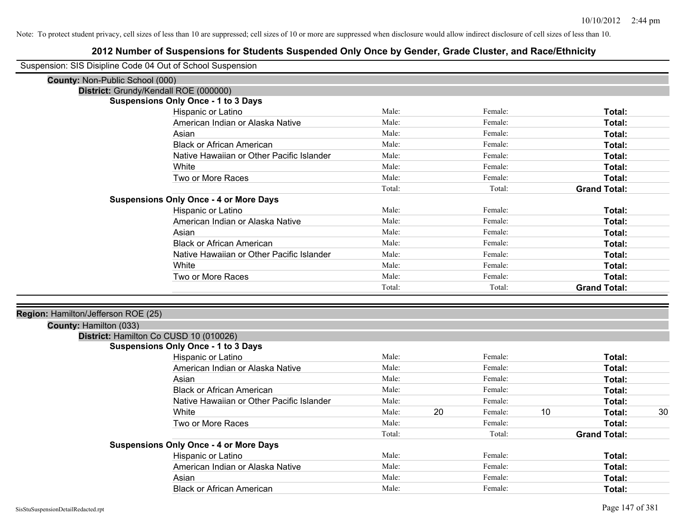| Suspension: SIS Disipline Code 04 Out of School Suspension |                                               |        |    |                    |    |                     |    |
|------------------------------------------------------------|-----------------------------------------------|--------|----|--------------------|----|---------------------|----|
|                                                            |                                               |        |    |                    |    |                     |    |
| <b>County: Non-Public School (000)</b>                     |                                               |        |    |                    |    |                     |    |
|                                                            | District: Grundy/Kendall ROE (000000)         |        |    |                    |    |                     |    |
|                                                            | <b>Suspensions Only Once - 1 to 3 Days</b>    | Male:  |    |                    |    |                     |    |
|                                                            | <b>Hispanic or Latino</b>                     | Male:  |    | Female:<br>Female: |    | Total:              |    |
|                                                            | American Indian or Alaska Native              |        |    |                    |    | Total:              |    |
|                                                            | Asian                                         | Male:  |    | Female:            |    | Total:              |    |
|                                                            | <b>Black or African American</b>              | Male:  |    | Female:            |    | Total:              |    |
|                                                            | Native Hawaiian or Other Pacific Islander     | Male:  |    | Female:            |    | Total:              |    |
|                                                            | White                                         | Male:  |    | Female:            |    | Total:              |    |
|                                                            | Two or More Races                             | Male:  |    | Female:            |    | Total:              |    |
|                                                            |                                               | Total: |    | Total:             |    | <b>Grand Total:</b> |    |
|                                                            | <b>Suspensions Only Once - 4 or More Days</b> |        |    |                    |    |                     |    |
|                                                            | Hispanic or Latino                            | Male:  |    | Female:            |    | Total:              |    |
|                                                            | American Indian or Alaska Native              | Male:  |    | Female:            |    | Total:              |    |
|                                                            | Asian                                         | Male:  |    | Female:            |    | Total:              |    |
|                                                            | <b>Black or African American</b>              | Male:  |    | Female:            |    | Total:              |    |
|                                                            | Native Hawaiian or Other Pacific Islander     | Male:  |    | Female:            |    | Total:              |    |
|                                                            | White                                         | Male:  |    | Female:            |    | Total:              |    |
|                                                            | Two or More Races                             | Male:  |    | Female:            |    | Total:              |    |
|                                                            |                                               | Total: |    | Total:             |    | <b>Grand Total:</b> |    |
|                                                            |                                               |        |    |                    |    |                     |    |
| Region: Hamilton/Jefferson ROE (25)                        |                                               |        |    |                    |    |                     |    |
| County: Hamilton (033)                                     |                                               |        |    |                    |    |                     |    |
|                                                            | District: Hamilton Co CUSD 10 (010026)        |        |    |                    |    |                     |    |
|                                                            | <b>Suspensions Only Once - 1 to 3 Days</b>    |        |    |                    |    |                     |    |
|                                                            | Hispanic or Latino                            | Male:  |    | Female:            |    | Total:              |    |
|                                                            | American Indian or Alaska Native              | Male:  |    | Female:            |    | Total:              |    |
|                                                            | Asian                                         | Male:  |    | Female:            |    | Total:              |    |
|                                                            | <b>Black or African American</b>              | Male:  |    | Female:            |    | <b>Total:</b>       |    |
|                                                            | Native Hawaiian or Other Pacific Islander     | Male:  |    | Female:            |    | Total:              |    |
|                                                            | White                                         | Male:  | 20 | Female:            | 10 | Total:              | 30 |
|                                                            | Two or More Races                             | Male:  |    | Female:            |    | Total:              |    |
|                                                            |                                               | Total: |    | Total:             |    | <b>Grand Total:</b> |    |
|                                                            | <b>Suspensions Only Once - 4 or More Days</b> |        |    |                    |    |                     |    |
|                                                            | Hispanic or Latino                            | Male:  |    | Female:            |    | Total:              |    |
|                                                            | American Indian or Alaska Native              | Male:  |    | Female:            |    | Total:              |    |
|                                                            | Asian                                         | Male:  |    | Female:            |    | Total:              |    |
|                                                            | <b>Black or African American</b>              | Male:  |    | Female:            |    | Total:              |    |
|                                                            |                                               |        |    |                    |    |                     |    |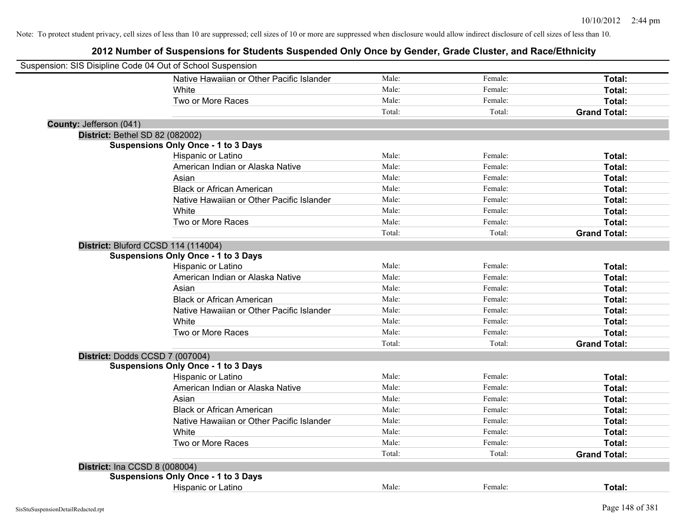| Suspension: SIS Disipline Code 04 Out of School Suspension |                                            |        |         |                     |
|------------------------------------------------------------|--------------------------------------------|--------|---------|---------------------|
|                                                            | Native Hawaiian or Other Pacific Islander  | Male:  | Female: | Total:              |
|                                                            | White                                      | Male:  | Female: | Total:              |
|                                                            | Two or More Races                          | Male:  | Female: | Total:              |
|                                                            |                                            | Total: | Total:  | <b>Grand Total:</b> |
| County: Jefferson (041)                                    |                                            |        |         |                     |
| District: Bethel SD 82 (082002)                            |                                            |        |         |                     |
|                                                            | <b>Suspensions Only Once - 1 to 3 Days</b> |        |         |                     |
|                                                            | Hispanic or Latino                         | Male:  | Female: | Total:              |
|                                                            | American Indian or Alaska Native           | Male:  | Female: | Total:              |
|                                                            | Asian                                      | Male:  | Female: | Total:              |
|                                                            | <b>Black or African American</b>           | Male:  | Female: | Total:              |
|                                                            | Native Hawaiian or Other Pacific Islander  | Male:  | Female: | Total:              |
|                                                            | White                                      | Male:  | Female: | Total:              |
|                                                            | Two or More Races                          | Male:  | Female: | Total:              |
|                                                            |                                            | Total: | Total:  | <b>Grand Total:</b> |
| District: Bluford CCSD 114 (114004)                        |                                            |        |         |                     |
|                                                            | <b>Suspensions Only Once - 1 to 3 Days</b> |        |         |                     |
|                                                            | Hispanic or Latino                         | Male:  | Female: | Total:              |
|                                                            | American Indian or Alaska Native           | Male:  | Female: | Total:              |
|                                                            | Asian                                      | Male:  | Female: | Total:              |
|                                                            | <b>Black or African American</b>           | Male:  | Female: | Total:              |
|                                                            | Native Hawaiian or Other Pacific Islander  | Male:  | Female: | Total:              |
|                                                            | White                                      | Male:  | Female: | Total:              |
|                                                            | Two or More Races                          | Male:  | Female: | Total:              |
|                                                            |                                            | Total: | Total:  | <b>Grand Total:</b> |
| District: Dodds CCSD 7 (007004)                            |                                            |        |         |                     |
|                                                            | <b>Suspensions Only Once - 1 to 3 Days</b> |        |         |                     |
|                                                            | Hispanic or Latino                         | Male:  | Female: | Total:              |
|                                                            | American Indian or Alaska Native           | Male:  | Female: | Total:              |
|                                                            | Asian                                      | Male:  | Female: | Total:              |
|                                                            | <b>Black or African American</b>           | Male:  | Female: | Total:              |
|                                                            | Native Hawaiian or Other Pacific Islander  | Male:  | Female: | Total:              |
|                                                            | White                                      | Male:  | Female: | Total:              |
|                                                            | Two or More Races                          | Male:  | Female: | Total:              |
|                                                            |                                            | Total: | Total:  | <b>Grand Total:</b> |
| <b>District: Ina CCSD 8 (008004)</b>                       |                                            |        |         |                     |
|                                                            | <b>Suspensions Only Once - 1 to 3 Days</b> |        |         |                     |
|                                                            | <b>Hispanic or Latino</b>                  | Male:  | Female: | Total:              |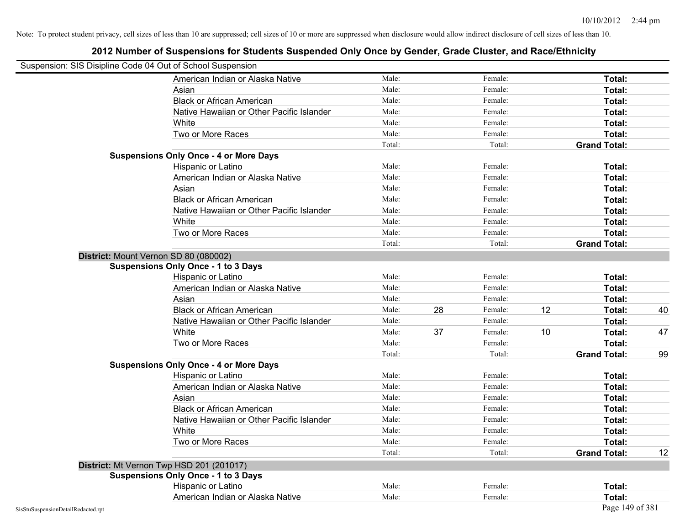|                                    | Suspension: SIS Disipline Code 04 Out of School Suspension |        |    |         |    |                     |    |
|------------------------------------|------------------------------------------------------------|--------|----|---------|----|---------------------|----|
|                                    | American Indian or Alaska Native                           | Male:  |    | Female: |    | Total:              |    |
|                                    | Asian                                                      | Male:  |    | Female: |    | Total:              |    |
|                                    | <b>Black or African American</b>                           | Male:  |    | Female: |    | Total:              |    |
|                                    | Native Hawaiian or Other Pacific Islander                  | Male:  |    | Female: |    | Total:              |    |
|                                    | White                                                      | Male:  |    | Female: |    | Total:              |    |
|                                    | Two or More Races                                          | Male:  |    | Female: |    | Total:              |    |
|                                    |                                                            | Total: |    | Total:  |    | <b>Grand Total:</b> |    |
|                                    | <b>Suspensions Only Once - 4 or More Days</b>              |        |    |         |    |                     |    |
|                                    | Hispanic or Latino                                         | Male:  |    | Female: |    | Total:              |    |
|                                    | American Indian or Alaska Native                           | Male:  |    | Female: |    | Total:              |    |
|                                    | Asian                                                      | Male:  |    | Female: |    | Total:              |    |
|                                    | <b>Black or African American</b>                           | Male:  |    | Female: |    | Total:              |    |
|                                    | Native Hawaiian or Other Pacific Islander                  | Male:  |    | Female: |    | Total:              |    |
|                                    | White                                                      | Male:  |    | Female: |    | Total:              |    |
|                                    | Two or More Races                                          | Male:  |    | Female: |    | Total:              |    |
|                                    |                                                            | Total: |    | Total:  |    | <b>Grand Total:</b> |    |
|                                    | District: Mount Vernon SD 80 (080002)                      |        |    |         |    |                     |    |
|                                    | <b>Suspensions Only Once - 1 to 3 Days</b>                 |        |    |         |    |                     |    |
|                                    | Hispanic or Latino                                         | Male:  |    | Female: |    | Total:              |    |
|                                    | American Indian or Alaska Native                           | Male:  |    | Female: |    | Total:              |    |
|                                    | Asian                                                      | Male:  |    | Female: |    | Total:              |    |
|                                    | <b>Black or African American</b>                           | Male:  | 28 | Female: | 12 | Total:              | 40 |
|                                    | Native Hawaiian or Other Pacific Islander                  | Male:  |    | Female: |    | Total:              |    |
|                                    | White                                                      | Male:  | 37 | Female: | 10 | Total:              | 47 |
|                                    | Two or More Races                                          | Male:  |    | Female: |    | Total:              |    |
|                                    |                                                            | Total: |    | Total:  |    | <b>Grand Total:</b> | 99 |
|                                    | <b>Suspensions Only Once - 4 or More Days</b>              |        |    |         |    |                     |    |
|                                    | Hispanic or Latino                                         | Male:  |    | Female: |    | Total:              |    |
|                                    | American Indian or Alaska Native                           | Male:  |    | Female: |    | Total:              |    |
|                                    | Asian                                                      | Male:  |    | Female: |    | Total:              |    |
|                                    | <b>Black or African American</b>                           | Male:  |    | Female: |    | Total:              |    |
|                                    | Native Hawaiian or Other Pacific Islander                  | Male:  |    | Female: |    | Total:              |    |
|                                    | White                                                      | Male:  |    | Female: |    | Total:              |    |
|                                    | Two or More Races                                          | Male:  |    | Female: |    | Total:              |    |
|                                    |                                                            | Total: |    | Total:  |    | <b>Grand Total:</b> | 12 |
|                                    | District: Mt Vernon Twp HSD 201 (201017)                   |        |    |         |    |                     |    |
|                                    | <b>Suspensions Only Once - 1 to 3 Days</b>                 |        |    |         |    |                     |    |
|                                    | Hispanic or Latino                                         | Male:  |    | Female: |    | Total:              |    |
|                                    | American Indian or Alaska Native                           | Male:  |    | Female: |    | Total:              |    |
| SisStuSuspensionDetailRedacted.rpt |                                                            |        |    |         |    | Page 149 of 381     |    |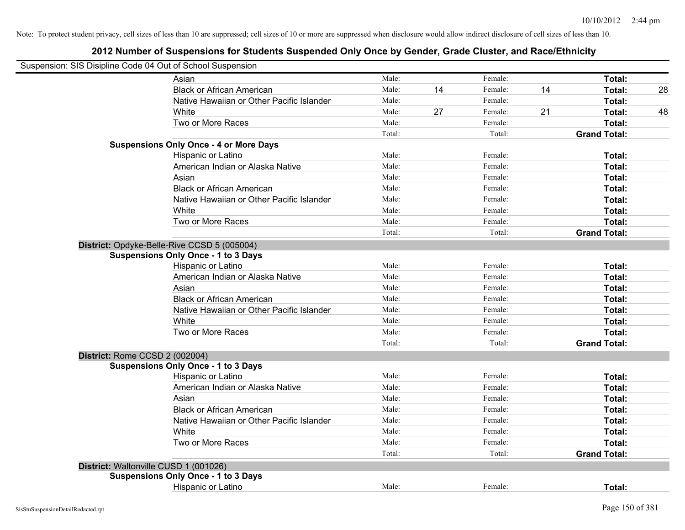| Suspension: SIS Disipline Code 04 Out of School Suspension |        |    |         |    |                     |    |
|------------------------------------------------------------|--------|----|---------|----|---------------------|----|
| Asian                                                      | Male:  |    | Female: |    | Total:              |    |
| <b>Black or African American</b>                           | Male:  | 14 | Female: | 14 | Total:              | 28 |
| Native Hawaiian or Other Pacific Islander                  | Male:  |    | Female: |    | Total:              |    |
| White                                                      | Male:  | 27 | Female: | 21 | Total:              | 48 |
| Two or More Races                                          | Male:  |    | Female: |    | Total:              |    |
|                                                            | Total: |    | Total:  |    | <b>Grand Total:</b> |    |
| <b>Suspensions Only Once - 4 or More Days</b>              |        |    |         |    |                     |    |
| Hispanic or Latino                                         | Male:  |    | Female: |    | Total:              |    |
| American Indian or Alaska Native                           | Male:  |    | Female: |    | Total:              |    |
| Asian                                                      | Male:  |    | Female: |    | Total:              |    |
| <b>Black or African American</b>                           | Male:  |    | Female: |    | Total:              |    |
| Native Hawaiian or Other Pacific Islander                  | Male:  |    | Female: |    | Total:              |    |
| White                                                      | Male:  |    | Female: |    | Total:              |    |
| Two or More Races                                          | Male:  |    | Female: |    | Total:              |    |
|                                                            | Total: |    | Total:  |    | <b>Grand Total:</b> |    |
| District: Opdyke-Belle-Rive CCSD 5 (005004)                |        |    |         |    |                     |    |
| <b>Suspensions Only Once - 1 to 3 Days</b>                 |        |    |         |    |                     |    |
| Hispanic or Latino                                         | Male:  |    | Female: |    | Total:              |    |
| American Indian or Alaska Native                           | Male:  |    | Female: |    | Total:              |    |
| Asian                                                      | Male:  |    | Female: |    | Total:              |    |
| <b>Black or African American</b>                           | Male:  |    | Female: |    | Total:              |    |
| Native Hawaiian or Other Pacific Islander                  | Male:  |    | Female: |    | Total:              |    |
| White                                                      | Male:  |    | Female: |    | Total:              |    |
| Two or More Races                                          | Male:  |    | Female: |    | Total:              |    |
|                                                            | Total: |    | Total:  |    | <b>Grand Total:</b> |    |
| District: Rome CCSD 2 (002004)                             |        |    |         |    |                     |    |
| <b>Suspensions Only Once - 1 to 3 Days</b>                 |        |    |         |    |                     |    |
| Hispanic or Latino                                         | Male:  |    | Female: |    | Total:              |    |
| American Indian or Alaska Native                           | Male:  |    | Female: |    | Total:              |    |
| Asian                                                      | Male:  |    | Female: |    | Total:              |    |
| <b>Black or African American</b>                           | Male:  |    | Female: |    | Total:              |    |
| Native Hawaiian or Other Pacific Islander                  | Male:  |    | Female: |    | Total:              |    |
| White                                                      | Male:  |    | Female: |    | Total:              |    |
| Two or More Races                                          | Male:  |    | Female: |    | Total:              |    |
|                                                            | Total: |    | Total:  |    | <b>Grand Total:</b> |    |
| District: Waltonville CUSD 1 (001026)                      |        |    |         |    |                     |    |
| <b>Suspensions Only Once - 1 to 3 Days</b>                 |        |    |         |    |                     |    |
| <b>Hispanic or Latino</b>                                  | Male:  |    | Female: |    | Total:              |    |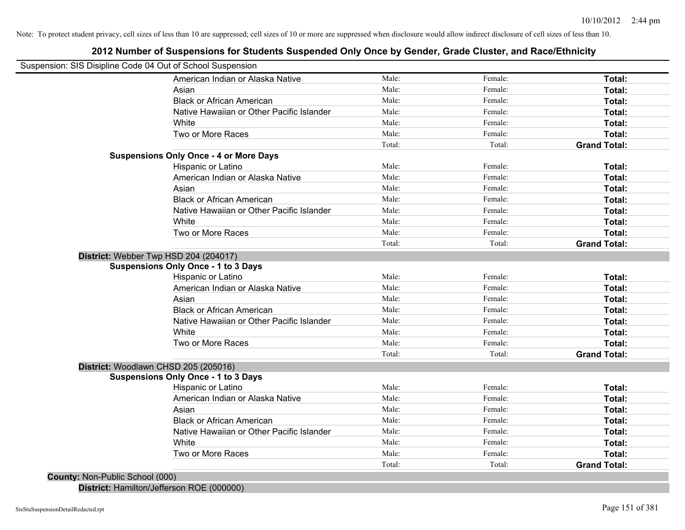## **2012 Number of Suspensions for Students Suspended Only Once by Gender, Grade Cluster, and Race/Ethnicity**

| American Indian or Alaska Native              | Male:  | Female: | Total:              |
|-----------------------------------------------|--------|---------|---------------------|
| Asian                                         | Male:  | Female: | Total:              |
| <b>Black or African American</b>              | Male:  | Female: | Total:              |
| Native Hawaiian or Other Pacific Islander     | Male:  | Female: | Total:              |
| White                                         | Male:  | Female: | Total:              |
| Two or More Races                             | Male:  | Female: | Total:              |
|                                               | Total: | Total:  | <b>Grand Total:</b> |
| <b>Suspensions Only Once - 4 or More Days</b> |        |         |                     |
| Hispanic or Latino                            | Male:  | Female: | Total:              |
| American Indian or Alaska Native              | Male:  | Female: | Total:              |
| Asian                                         | Male:  | Female: | Total:              |
| <b>Black or African American</b>              | Male:  | Female: | Total:              |
| Native Hawaiian or Other Pacific Islander     | Male:  | Female: | Total:              |
| White                                         | Male:  | Female: | Total:              |
| Two or More Races                             | Male:  | Female: | Total:              |
|                                               | Total: | Total:  | <b>Grand Total:</b> |
| District: Webber Twp HSD 204 (204017)         |        |         |                     |
| <b>Suspensions Only Once - 1 to 3 Days</b>    |        |         |                     |
| Hispanic or Latino                            | Male:  | Female: | Total:              |
| American Indian or Alaska Native              | Male:  | Female: | Total:              |
| Asian                                         | Male:  | Female: | Total:              |
| <b>Black or African American</b>              | Male:  | Female: | Total:              |
| Native Hawaiian or Other Pacific Islander     | Male:  | Female: | Total:              |
| White                                         | Male:  | Female: | Total:              |
| Two or More Races                             | Male:  | Female: | Total:              |
|                                               | Total: | Total:  | <b>Grand Total:</b> |
| District: Woodlawn CHSD 205 (205016)          |        |         |                     |
| <b>Suspensions Only Once - 1 to 3 Days</b>    |        |         |                     |
| Hispanic or Latino                            | Male:  | Female: | Total:              |
| American Indian or Alaska Native              | Male:  | Female: | Total:              |
| Asian                                         | Male:  | Female: | Total:              |
| <b>Black or African American</b>              | Male:  | Female: | Total:              |
| Native Hawaiian or Other Pacific Islander     | Male:  | Female: | Total:              |
| White                                         | Male:  | Female: | Total:              |
| Two or More Races                             | Male:  | Female: | Total:              |
|                                               | Total: | Total:  | <b>Grand Total:</b> |

**District:** Hamilton/Jefferson ROE (000000)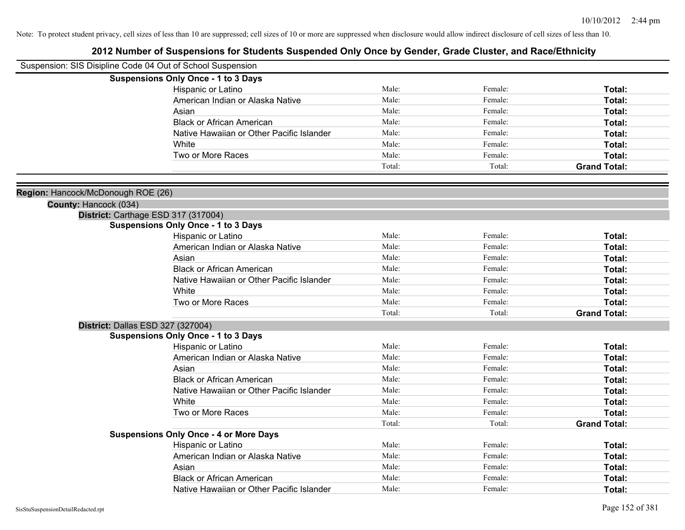|                                    | Suspension: SIS Disipline Code 04 Out of School Suspension |        |         |                     |
|------------------------------------|------------------------------------------------------------|--------|---------|---------------------|
|                                    | <b>Suspensions Only Once - 1 to 3 Days</b>                 |        |         |                     |
|                                    | Hispanic or Latino                                         | Male:  | Female: | Total:              |
|                                    | American Indian or Alaska Native                           | Male:  | Female: | Total:              |
|                                    | Asian                                                      | Male:  | Female: | Total:              |
|                                    | <b>Black or African American</b>                           | Male:  | Female: | Total:              |
|                                    | Native Hawaiian or Other Pacific Islander                  | Male:  | Female: | Total:              |
|                                    | White                                                      | Male:  | Female: | Total:              |
|                                    | Two or More Races                                          | Male:  | Female: | Total:              |
|                                    |                                                            | Total: | Total:  | <b>Grand Total:</b> |
| Region: Hancock/McDonough ROE (26) |                                                            |        |         |                     |
| County: Hancock (034)              |                                                            |        |         |                     |
|                                    | District: Carthage ESD 317 (317004)                        |        |         |                     |
|                                    | <b>Suspensions Only Once - 1 to 3 Days</b>                 |        |         |                     |
|                                    | Hispanic or Latino                                         | Male:  | Female: | Total:              |
|                                    | American Indian or Alaska Native                           | Male:  | Female: | Total:              |
|                                    | Asian                                                      | Male:  | Female: | Total:              |
|                                    | <b>Black or African American</b>                           | Male:  | Female: | Total:              |
|                                    | Native Hawaiian or Other Pacific Islander                  | Male:  | Female: | Total:              |
|                                    | White                                                      | Male:  | Female: | Total:              |
|                                    | Two or More Races                                          | Male:  | Female: | Total:              |
|                                    |                                                            | Total: | Total:  | <b>Grand Total:</b> |
|                                    | District: Dallas ESD 327 (327004)                          |        |         |                     |
|                                    | <b>Suspensions Only Once - 1 to 3 Days</b>                 |        |         |                     |
|                                    | Hispanic or Latino                                         | Male:  | Female: | Total:              |
|                                    | American Indian or Alaska Native                           | Male:  | Female: | Total:              |
|                                    | Asian                                                      | Male:  | Female: | Total:              |
|                                    | <b>Black or African American</b>                           | Male:  | Female: | Total:              |
|                                    | Native Hawaiian or Other Pacific Islander                  | Male:  | Female: | Total:              |
|                                    | White                                                      | Male:  | Female: | Total:              |
|                                    | Two or More Races                                          | Male:  | Female: | Total:              |
|                                    |                                                            | Total: | Total:  | <b>Grand Total:</b> |
|                                    | <b>Suspensions Only Once - 4 or More Days</b>              |        |         |                     |
|                                    | Hispanic or Latino                                         | Male:  | Female: | Total:              |
|                                    | American Indian or Alaska Native                           | Male:  | Female: | Total:              |
|                                    | Asian                                                      | Male:  | Female: | Total:              |
|                                    | <b>Black or African American</b>                           | Male:  | Female: | Total:              |
|                                    | Native Hawaiian or Other Pacific Islander                  | Male:  | Female: | Total:              |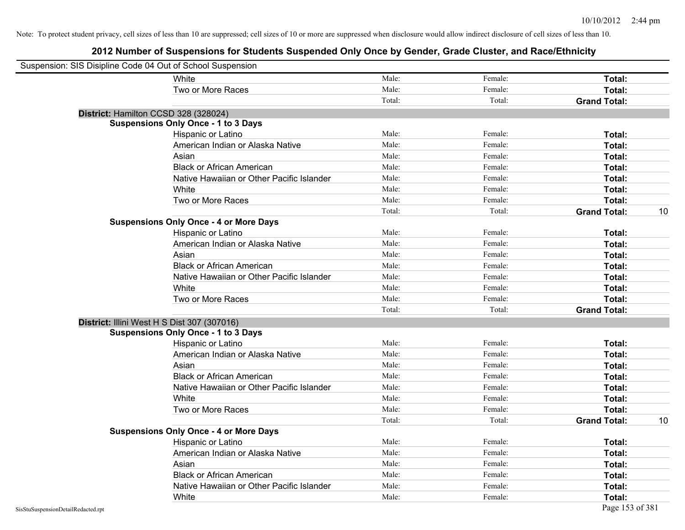| Suspension: SIS Disipline Code 04 Out of School Suspension |                                               |        |         |                     |    |
|------------------------------------------------------------|-----------------------------------------------|--------|---------|---------------------|----|
|                                                            | <b>White</b>                                  | Male:  | Female: | Total:              |    |
|                                                            | Two or More Races                             | Male:  | Female: | Total:              |    |
|                                                            |                                               | Total: | Total:  | <b>Grand Total:</b> |    |
| District: Hamilton CCSD 328 (328024)                       |                                               |        |         |                     |    |
|                                                            | <b>Suspensions Only Once - 1 to 3 Days</b>    |        |         |                     |    |
|                                                            | Hispanic or Latino                            | Male:  | Female: | Total:              |    |
|                                                            | American Indian or Alaska Native              | Male:  | Female: | Total:              |    |
|                                                            | Asian                                         | Male:  | Female: | Total:              |    |
|                                                            | <b>Black or African American</b>              | Male:  | Female: | Total:              |    |
|                                                            | Native Hawaiian or Other Pacific Islander     | Male:  | Female: | Total:              |    |
|                                                            | White                                         | Male:  | Female: | Total:              |    |
|                                                            | Two or More Races                             | Male:  | Female: | Total:              |    |
|                                                            |                                               | Total: | Total:  | <b>Grand Total:</b> | 10 |
|                                                            | <b>Suspensions Only Once - 4 or More Days</b> |        |         |                     |    |
|                                                            | Hispanic or Latino                            | Male:  | Female: | Total:              |    |
|                                                            | American Indian or Alaska Native              | Male:  | Female: | Total:              |    |
|                                                            | Asian                                         | Male:  | Female: | Total:              |    |
|                                                            | <b>Black or African American</b>              | Male:  | Female: | Total:              |    |
|                                                            | Native Hawaiian or Other Pacific Islander     | Male:  | Female: | Total:              |    |
|                                                            | White                                         | Male:  | Female: | Total:              |    |
|                                                            | Two or More Races                             | Male:  | Female: | Total:              |    |
|                                                            |                                               | Total: | Total:  | <b>Grand Total:</b> |    |
| District: Illini West H S Dist 307 (307016)                |                                               |        |         |                     |    |
|                                                            | <b>Suspensions Only Once - 1 to 3 Days</b>    |        |         |                     |    |
|                                                            | Hispanic or Latino                            | Male:  | Female: | Total:              |    |
|                                                            | American Indian or Alaska Native              | Male:  | Female: | Total:              |    |
|                                                            | Asian                                         | Male:  | Female: | Total:              |    |
|                                                            | <b>Black or African American</b>              | Male:  | Female: | Total:              |    |
|                                                            | Native Hawaiian or Other Pacific Islander     | Male:  | Female: | Total:              |    |
|                                                            | White                                         | Male:  | Female: | Total:              |    |
|                                                            | Two or More Races                             | Male:  | Female: | Total:              |    |
|                                                            |                                               | Total: | Total:  | <b>Grand Total:</b> | 10 |
|                                                            | <b>Suspensions Only Once - 4 or More Days</b> |        |         |                     |    |
|                                                            | Hispanic or Latino                            | Male:  | Female: | Total:              |    |
|                                                            | American Indian or Alaska Native              | Male:  | Female: | Total:              |    |
|                                                            | Asian                                         | Male:  | Female: | Total:              |    |
|                                                            | <b>Black or African American</b>              | Male:  | Female: | Total:              |    |
|                                                            | Native Hawaiian or Other Pacific Islander     | Male:  | Female: | Total:              |    |
|                                                            | White                                         | Male:  | Female: | Total:              |    |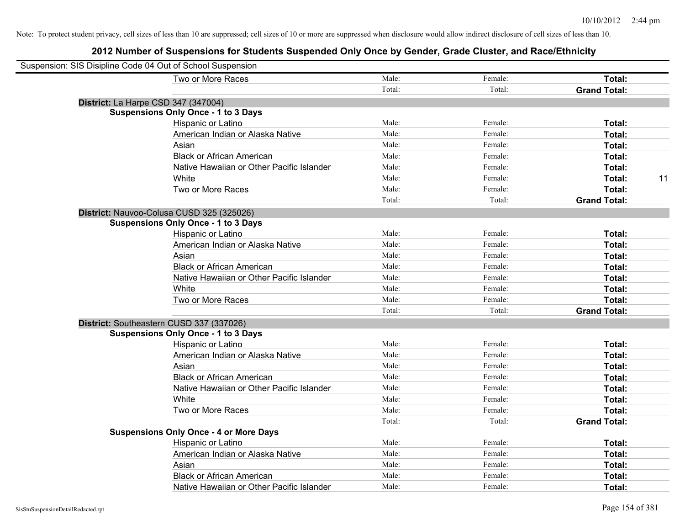| Suspension: SIS Disipline Code 04 Out of School Suspension |                                               |        |         |                     |    |
|------------------------------------------------------------|-----------------------------------------------|--------|---------|---------------------|----|
|                                                            | Two or More Races                             | Male:  | Female: | Total:              |    |
|                                                            |                                               | Total: | Total:  | <b>Grand Total:</b> |    |
| District: La Harpe CSD 347 (347004)                        |                                               |        |         |                     |    |
|                                                            | <b>Suspensions Only Once - 1 to 3 Days</b>    |        |         |                     |    |
|                                                            | Hispanic or Latino                            | Male:  | Female: | Total:              |    |
|                                                            | American Indian or Alaska Native              | Male:  | Female: | Total:              |    |
|                                                            | Asian                                         | Male:  | Female: | Total:              |    |
|                                                            | <b>Black or African American</b>              | Male:  | Female: | Total:              |    |
|                                                            | Native Hawaiian or Other Pacific Islander     | Male:  | Female: | Total:              |    |
|                                                            | White                                         | Male:  | Female: | Total:              | 11 |
|                                                            | Two or More Races                             | Male:  | Female: | Total:              |    |
|                                                            |                                               | Total: | Total:  | <b>Grand Total:</b> |    |
|                                                            | District: Nauvoo-Colusa CUSD 325 (325026)     |        |         |                     |    |
|                                                            | <b>Suspensions Only Once - 1 to 3 Days</b>    |        |         |                     |    |
|                                                            | Hispanic or Latino                            | Male:  | Female: | Total:              |    |
|                                                            | American Indian or Alaska Native              | Male:  | Female: | Total:              |    |
|                                                            | Asian                                         | Male:  | Female: | Total:              |    |
|                                                            | <b>Black or African American</b>              | Male:  | Female: | Total:              |    |
|                                                            | Native Hawaiian or Other Pacific Islander     | Male:  | Female: | Total:              |    |
|                                                            | White                                         | Male:  | Female: | Total:              |    |
|                                                            | Two or More Races                             | Male:  | Female: | Total:              |    |
|                                                            |                                               | Total: | Total:  | <b>Grand Total:</b> |    |
| District: Southeastern CUSD 337 (337026)                   |                                               |        |         |                     |    |
|                                                            | <b>Suspensions Only Once - 1 to 3 Days</b>    |        |         |                     |    |
|                                                            | Hispanic or Latino                            | Male:  | Female: | Total:              |    |
|                                                            | American Indian or Alaska Native              | Male:  | Female: | Total:              |    |
|                                                            | Asian                                         | Male:  | Female: | Total:              |    |
|                                                            | <b>Black or African American</b>              | Male:  | Female: | Total:              |    |
|                                                            | Native Hawaiian or Other Pacific Islander     | Male:  | Female: | Total:              |    |
|                                                            | White                                         | Male:  | Female: | Total:              |    |
|                                                            | Two or More Races                             | Male:  | Female: | Total:              |    |
|                                                            |                                               | Total: | Total:  | <b>Grand Total:</b> |    |
|                                                            | <b>Suspensions Only Once - 4 or More Days</b> |        |         |                     |    |
|                                                            | Hispanic or Latino                            | Male:  | Female: | Total:              |    |
|                                                            | American Indian or Alaska Native              | Male:  | Female: | Total:              |    |
|                                                            | Asian                                         | Male:  | Female: | Total:              |    |
|                                                            | <b>Black or African American</b>              | Male:  | Female: | Total:              |    |
|                                                            | Native Hawaiian or Other Pacific Islander     | Male:  | Female: | Total:              |    |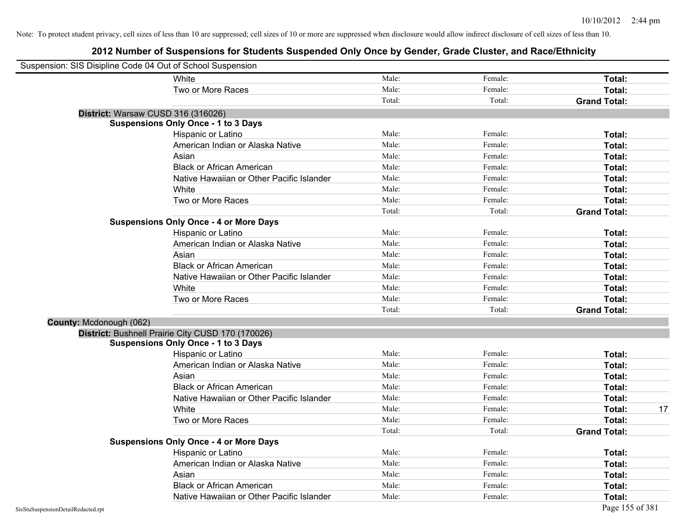| Suspension: SIS Disipline Code 04 Out of School Suspension |                                                   |        |         |                     |
|------------------------------------------------------------|---------------------------------------------------|--------|---------|---------------------|
|                                                            | <b>White</b>                                      | Male:  | Female: | Total:              |
|                                                            | Two or More Races                                 | Male:  | Female: | Total:              |
|                                                            |                                                   | Total: | Total:  | <b>Grand Total:</b> |
| District: Warsaw CUSD 316 (316026)                         |                                                   |        |         |                     |
|                                                            | <b>Suspensions Only Once - 1 to 3 Days</b>        |        |         |                     |
|                                                            | Hispanic or Latino                                | Male:  | Female: | Total:              |
|                                                            | American Indian or Alaska Native                  | Male:  | Female: | Total:              |
|                                                            | Asian                                             | Male:  | Female: | Total:              |
|                                                            | <b>Black or African American</b>                  | Male:  | Female: | Total:              |
|                                                            | Native Hawaiian or Other Pacific Islander         | Male:  | Female: | Total:              |
|                                                            | White                                             | Male:  | Female: | Total:              |
|                                                            | Two or More Races                                 | Male:  | Female: | Total:              |
|                                                            |                                                   | Total: | Total:  | <b>Grand Total:</b> |
|                                                            | <b>Suspensions Only Once - 4 or More Days</b>     |        |         |                     |
|                                                            | Hispanic or Latino                                | Male:  | Female: | Total:              |
|                                                            | American Indian or Alaska Native                  | Male:  | Female: | Total:              |
|                                                            | Asian                                             | Male:  | Female: | Total:              |
|                                                            | <b>Black or African American</b>                  | Male:  | Female: | Total:              |
|                                                            | Native Hawaiian or Other Pacific Islander         | Male:  | Female: | Total:              |
|                                                            | White                                             | Male:  | Female: | Total:              |
|                                                            | Two or More Races                                 | Male:  | Female: | Total:              |
|                                                            |                                                   | Total: | Total:  | <b>Grand Total:</b> |
| County: Mcdonough (062)                                    |                                                   |        |         |                     |
|                                                            | District: Bushnell Prairie City CUSD 170 (170026) |        |         |                     |
|                                                            | <b>Suspensions Only Once - 1 to 3 Days</b>        |        |         |                     |
|                                                            | Hispanic or Latino                                | Male:  | Female: | Total:              |
|                                                            | American Indian or Alaska Native                  | Male:  | Female: | Total:              |
|                                                            | Asian                                             | Male:  | Female: | Total:              |
|                                                            | <b>Black or African American</b>                  | Male:  | Female: | Total:              |
|                                                            | Native Hawaiian or Other Pacific Islander         | Male:  | Female: | Total:              |
|                                                            | White                                             | Male:  | Female: | Total:<br>17        |
|                                                            | Two or More Races                                 | Male:  | Female: | Total:              |
|                                                            |                                                   | Total: | Total:  | <b>Grand Total:</b> |
|                                                            | <b>Suspensions Only Once - 4 or More Days</b>     |        |         |                     |
|                                                            | Hispanic or Latino                                | Male:  | Female: | Total:              |
|                                                            | American Indian or Alaska Native                  | Male:  | Female: | Total:              |
|                                                            | Asian                                             | Male:  | Female: | Total:              |
|                                                            | <b>Black or African American</b>                  | Male:  | Female: | Total:              |
|                                                            | Native Hawaiian or Other Pacific Islander         | Male:  | Female: | Total:              |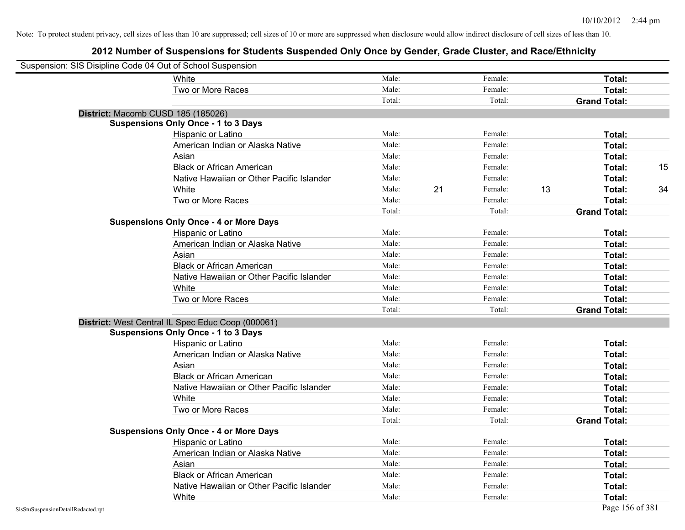| Suspension: SIS Disipline Code 04 Out of School Suspension |                                                   |        |    |         |    |                     |    |
|------------------------------------------------------------|---------------------------------------------------|--------|----|---------|----|---------------------|----|
|                                                            | White                                             | Male:  |    | Female: |    | Total:              |    |
|                                                            | Two or More Races                                 | Male:  |    | Female: |    | Total:              |    |
|                                                            |                                                   | Total: |    | Total:  |    | <b>Grand Total:</b> |    |
|                                                            | District: Macomb CUSD 185 (185026)                |        |    |         |    |                     |    |
|                                                            | <b>Suspensions Only Once - 1 to 3 Days</b>        |        |    |         |    |                     |    |
|                                                            | Hispanic or Latino                                | Male:  |    | Female: |    | Total:              |    |
|                                                            | American Indian or Alaska Native                  | Male:  |    | Female: |    | <b>Total:</b>       |    |
|                                                            | Asian                                             | Male:  |    | Female: |    | Total:              |    |
|                                                            | <b>Black or African American</b>                  | Male:  |    | Female: |    | Total:              | 15 |
|                                                            | Native Hawaiian or Other Pacific Islander         | Male:  |    | Female: |    | Total:              |    |
|                                                            | White                                             | Male:  | 21 | Female: | 13 | Total:              | 34 |
|                                                            | Two or More Races                                 | Male:  |    | Female: |    | <b>Total:</b>       |    |
|                                                            |                                                   | Total: |    | Total:  |    | <b>Grand Total:</b> |    |
|                                                            | <b>Suspensions Only Once - 4 or More Days</b>     |        |    |         |    |                     |    |
|                                                            | Hispanic or Latino                                | Male:  |    | Female: |    | Total:              |    |
|                                                            | American Indian or Alaska Native                  | Male:  |    | Female: |    | Total:              |    |
|                                                            | Asian                                             | Male:  |    | Female: |    | <b>Total:</b>       |    |
|                                                            | <b>Black or African American</b>                  | Male:  |    | Female: |    | Total:              |    |
|                                                            | Native Hawaiian or Other Pacific Islander         | Male:  |    | Female: |    | Total:              |    |
|                                                            | White                                             | Male:  |    | Female: |    | Total:              |    |
|                                                            | Two or More Races                                 | Male:  |    | Female: |    | Total:              |    |
|                                                            |                                                   | Total: |    | Total:  |    | <b>Grand Total:</b> |    |
|                                                            | District: West Central IL Spec Educ Coop (000061) |        |    |         |    |                     |    |
|                                                            | <b>Suspensions Only Once - 1 to 3 Days</b>        |        |    |         |    |                     |    |
|                                                            | Hispanic or Latino                                | Male:  |    | Female: |    | <b>Total:</b>       |    |
|                                                            | American Indian or Alaska Native                  | Male:  |    | Female: |    | Total:              |    |
|                                                            | Asian                                             | Male:  |    | Female: |    | Total:              |    |
|                                                            | <b>Black or African American</b>                  | Male:  |    | Female: |    | <b>Total:</b>       |    |
|                                                            | Native Hawaiian or Other Pacific Islander         | Male:  |    | Female: |    | <b>Total:</b>       |    |
|                                                            | White                                             | Male:  |    | Female: |    | <b>Total:</b>       |    |
|                                                            | Two or More Races                                 | Male:  |    | Female: |    | Total:              |    |
|                                                            |                                                   | Total: |    | Total:  |    | <b>Grand Total:</b> |    |
|                                                            | <b>Suspensions Only Once - 4 or More Days</b>     |        |    |         |    |                     |    |
|                                                            | Hispanic or Latino                                | Male:  |    | Female: |    | Total:              |    |
|                                                            | American Indian or Alaska Native                  | Male:  |    | Female: |    | Total:              |    |
|                                                            | Asian                                             | Male:  |    | Female: |    | Total:              |    |
|                                                            | <b>Black or African American</b>                  | Male:  |    | Female: |    | Total:              |    |
|                                                            | Native Hawaiian or Other Pacific Islander         | Male:  |    | Female: |    | <b>Total:</b>       |    |
|                                                            | White                                             | Male:  |    | Female: |    | <b>Total:</b>       |    |
| SisStuSuspensionDetailRedacted.rpt                         |                                                   |        |    |         |    | Page 156 of 381     |    |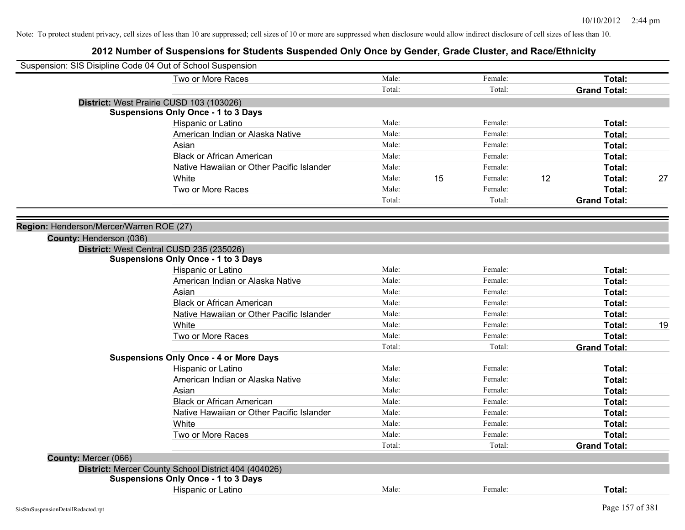| Suspension: SIS Disipline Code 04 Out of School Suspension |                                                      |        |    |         |    |                     |    |
|------------------------------------------------------------|------------------------------------------------------|--------|----|---------|----|---------------------|----|
|                                                            | Two or More Races                                    | Male:  |    | Female: |    | Total:              |    |
|                                                            |                                                      | Total: |    | Total:  |    | <b>Grand Total:</b> |    |
|                                                            | District: West Prairie CUSD 103 (103026)             |        |    |         |    |                     |    |
|                                                            | <b>Suspensions Only Once - 1 to 3 Days</b>           |        |    |         |    |                     |    |
|                                                            | Hispanic or Latino                                   | Male:  |    | Female: |    | Total:              |    |
|                                                            | American Indian or Alaska Native                     | Male:  |    | Female: |    | Total:              |    |
|                                                            | Asian                                                | Male:  |    | Female: |    | Total:              |    |
|                                                            | <b>Black or African American</b>                     | Male:  |    | Female: |    | Total:              |    |
|                                                            | Native Hawaiian or Other Pacific Islander            | Male:  |    | Female: |    | Total:              |    |
|                                                            | White                                                | Male:  | 15 | Female: | 12 | Total:              | 27 |
|                                                            | Two or More Races                                    | Male:  |    | Female: |    | Total:              |    |
|                                                            |                                                      | Total: |    | Total:  |    | <b>Grand Total:</b> |    |
|                                                            |                                                      |        |    |         |    |                     |    |
| Region: Henderson/Mercer/Warren ROE (27)                   |                                                      |        |    |         |    |                     |    |
| County: Henderson (036)                                    |                                                      |        |    |         |    |                     |    |
|                                                            | District: West Central CUSD 235 (235026)             |        |    |         |    |                     |    |
|                                                            | <b>Suspensions Only Once - 1 to 3 Days</b>           |        |    |         |    |                     |    |
|                                                            | Hispanic or Latino                                   | Male:  |    | Female: |    | Total:              |    |
|                                                            | American Indian or Alaska Native                     | Male:  |    | Female: |    | Total:              |    |
|                                                            | Asian                                                | Male:  |    | Female: |    | Total:              |    |
|                                                            | <b>Black or African American</b>                     | Male:  |    | Female: |    | Total:              |    |
|                                                            | Native Hawaiian or Other Pacific Islander            | Male:  |    | Female: |    | Total:              |    |
|                                                            | White                                                | Male:  |    | Female: |    | Total:              | 19 |
|                                                            | Two or More Races                                    | Male:  |    | Female: |    | Total:              |    |
|                                                            |                                                      | Total: |    | Total:  |    | <b>Grand Total:</b> |    |
|                                                            | <b>Suspensions Only Once - 4 or More Days</b>        |        |    |         |    |                     |    |
|                                                            | Hispanic or Latino                                   | Male:  |    | Female: |    | Total:              |    |
|                                                            | American Indian or Alaska Native                     | Male:  |    | Female: |    | Total:              |    |
|                                                            | Asian                                                | Male:  |    | Female: |    | Total:              |    |
|                                                            | <b>Black or African American</b>                     | Male:  |    | Female: |    | Total:              |    |
|                                                            | Native Hawaiian or Other Pacific Islander            | Male:  |    | Female: |    | Total:              |    |
|                                                            | White                                                | Male:  |    | Female: |    | Total:              |    |
|                                                            | Two or More Races                                    | Male:  |    | Female: |    | Total:              |    |
|                                                            |                                                      | Total: |    | Total:  |    | <b>Grand Total:</b> |    |
| County: Mercer (066)                                       |                                                      |        |    |         |    |                     |    |
|                                                            | District: Mercer County School District 404 (404026) |        |    |         |    |                     |    |
|                                                            | <b>Suspensions Only Once - 1 to 3 Days</b>           |        |    |         |    |                     |    |
|                                                            | Hispanic or Latino                                   | Male:  |    | Female: |    | Total:              |    |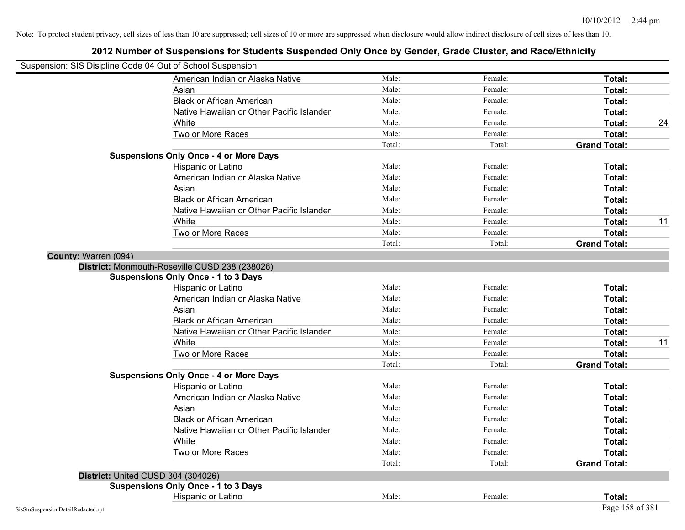| Suspension: SIS Disipline Code 04 Out of School Suspension |                                                |        |         |                     |    |
|------------------------------------------------------------|------------------------------------------------|--------|---------|---------------------|----|
|                                                            | American Indian or Alaska Native               | Male:  | Female: | Total:              |    |
|                                                            | Asian                                          | Male:  | Female: | Total:              |    |
|                                                            | <b>Black or African American</b>               | Male:  | Female: | Total:              |    |
|                                                            | Native Hawaiian or Other Pacific Islander      | Male:  | Female: | Total:              |    |
|                                                            | White                                          | Male:  | Female: | Total:              | 24 |
|                                                            | Two or More Races                              | Male:  | Female: | Total:              |    |
|                                                            |                                                | Total: | Total:  | <b>Grand Total:</b> |    |
|                                                            | <b>Suspensions Only Once - 4 or More Days</b>  |        |         |                     |    |
|                                                            | Hispanic or Latino                             | Male:  | Female: | Total:              |    |
|                                                            | American Indian or Alaska Native               | Male:  | Female: | Total:              |    |
|                                                            | Asian                                          | Male:  | Female: | Total:              |    |
|                                                            | <b>Black or African American</b>               | Male:  | Female: | Total:              |    |
|                                                            | Native Hawaiian or Other Pacific Islander      | Male:  | Female: | Total:              |    |
|                                                            | White                                          | Male:  | Female: | Total:              | 11 |
|                                                            | Two or More Races                              | Male:  | Female: | Total:              |    |
|                                                            |                                                | Total: | Total:  | <b>Grand Total:</b> |    |
| County: Warren (094)                                       |                                                |        |         |                     |    |
|                                                            | District: Monmouth-Roseville CUSD 238 (238026) |        |         |                     |    |
|                                                            | <b>Suspensions Only Once - 1 to 3 Days</b>     |        |         |                     |    |
|                                                            | Hispanic or Latino                             | Male:  | Female: | Total:              |    |
|                                                            | American Indian or Alaska Native               | Male:  | Female: | Total:              |    |
|                                                            | Asian                                          | Male:  | Female: | Total:              |    |
|                                                            | <b>Black or African American</b>               | Male:  | Female: | Total:              |    |
|                                                            | Native Hawaiian or Other Pacific Islander      | Male:  | Female: | Total:              |    |
|                                                            | White                                          | Male:  | Female: | Total:              | 11 |
|                                                            | Two or More Races                              | Male:  | Female: | Total:              |    |
|                                                            |                                                | Total: | Total:  | <b>Grand Total:</b> |    |
|                                                            | <b>Suspensions Only Once - 4 or More Days</b>  |        |         |                     |    |
|                                                            | Hispanic or Latino                             | Male:  | Female: | Total:              |    |
|                                                            | American Indian or Alaska Native               | Male:  | Female: | Total:              |    |
|                                                            | Asian                                          | Male:  | Female: | Total:              |    |
|                                                            | <b>Black or African American</b>               | Male:  | Female: | Total:              |    |
|                                                            | Native Hawaiian or Other Pacific Islander      | Male:  | Female: | Total:              |    |
|                                                            | White                                          | Male:  | Female: | Total:              |    |
|                                                            | Two or More Races                              | Male:  | Female: | Total:              |    |
|                                                            |                                                | Total: | Total:  | <b>Grand Total:</b> |    |
|                                                            | District: United CUSD 304 (304026)             |        |         |                     |    |
|                                                            | <b>Suspensions Only Once - 1 to 3 Days</b>     |        |         |                     |    |
|                                                            | Hispanic or Latino                             | Male:  | Female: | Total:              |    |
| SisStuSuspensionDetailRedacted.rpt                         |                                                |        |         | Page 158 of 381     |    |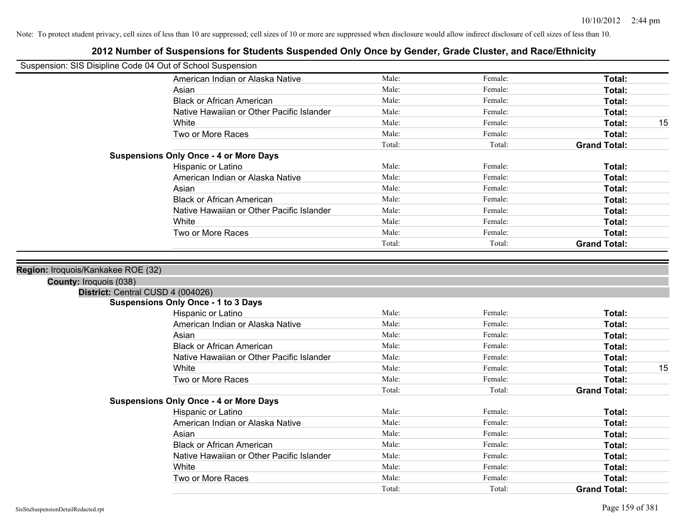| Suspension: SIS Disipline Code 04 Out of School Suspension  |                                               |        |         |                     |    |
|-------------------------------------------------------------|-----------------------------------------------|--------|---------|---------------------|----|
|                                                             | American Indian or Alaska Native              | Male:  | Female: | Total:              |    |
|                                                             | Asian                                         | Male:  | Female: | Total:              |    |
|                                                             | <b>Black or African American</b>              | Male:  | Female: | Total:              |    |
|                                                             | Native Hawaiian or Other Pacific Islander     | Male:  | Female: | Total:              |    |
|                                                             | White                                         | Male:  | Female: | Total:              | 15 |
|                                                             | Two or More Races                             | Male:  | Female: | Total:              |    |
|                                                             |                                               | Total: | Total:  | <b>Grand Total:</b> |    |
|                                                             | <b>Suspensions Only Once - 4 or More Days</b> |        |         |                     |    |
|                                                             | Hispanic or Latino                            | Male:  | Female: | Total:              |    |
|                                                             | American Indian or Alaska Native              | Male:  | Female: | Total:              |    |
|                                                             | Asian                                         | Male:  | Female: | Total:              |    |
|                                                             | <b>Black or African American</b>              | Male:  | Female: | Total:              |    |
|                                                             | Native Hawaiian or Other Pacific Islander     | Male:  | Female: | Total:              |    |
|                                                             | White                                         | Male:  | Female: | Total:              |    |
|                                                             | Two or More Races                             | Male:  | Female: | Total:              |    |
|                                                             |                                               | Total: | Total:  | <b>Grand Total:</b> |    |
| County: Iroquois (038)<br>District: Central CUSD 4 (004026) |                                               |        |         |                     |    |
|                                                             | <b>Suspensions Only Once - 1 to 3 Days</b>    |        |         |                     |    |
|                                                             | Hispanic or Latino                            | Male:  | Female: | Total:              |    |
|                                                             | American Indian or Alaska Native              | Male:  | Female: | Total:              |    |
|                                                             | Asian                                         | Male:  | Female: | Total:              |    |
|                                                             | <b>Black or African American</b>              | Male:  | Female: | Total:              |    |
|                                                             | Native Hawaiian or Other Pacific Islander     | Male:  | Female: | Total:              |    |
|                                                             | White                                         | Male:  | Female: | Total:              | 15 |
|                                                             | Two or More Races                             | Male:  | Female: | Total:              |    |
|                                                             |                                               | Total: | Total:  | <b>Grand Total:</b> |    |
|                                                             | <b>Suspensions Only Once - 4 or More Days</b> |        |         |                     |    |
|                                                             | Hispanic or Latino                            | Male:  | Female: | Total:              |    |
|                                                             | American Indian or Alaska Native              | Male:  | Female: | Total:              |    |
|                                                             | Asian                                         | Male:  | Female: | Total:              |    |
|                                                             | <b>Black or African American</b>              | Male:  | Female: | Total:              |    |
|                                                             | Native Hawaiian or Other Pacific Islander     | Male:  | Female: | Total:              |    |
|                                                             | White                                         | Male:  | Female: | Total:              |    |
|                                                             | Two or More Races                             | Male:  | Female: | Total:              |    |
|                                                             |                                               | Total: | Total:  | <b>Grand Total:</b> |    |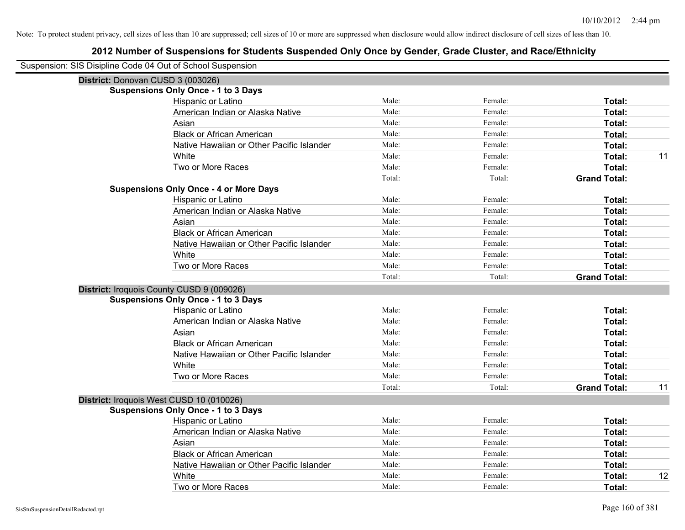| Suspension: SIS Disipline Code 04 Out of School Suspension |                                               |        |         |                     |    |
|------------------------------------------------------------|-----------------------------------------------|--------|---------|---------------------|----|
| District: Donovan CUSD 3 (003026)                          |                                               |        |         |                     |    |
|                                                            | <b>Suspensions Only Once - 1 to 3 Days</b>    |        |         |                     |    |
|                                                            | Hispanic or Latino                            | Male:  | Female: | Total:              |    |
|                                                            | American Indian or Alaska Native              | Male:  | Female: | Total:              |    |
|                                                            | Asian                                         | Male:  | Female: | Total:              |    |
|                                                            | <b>Black or African American</b>              | Male:  | Female: | Total:              |    |
|                                                            | Native Hawaiian or Other Pacific Islander     | Male:  | Female: | Total:              |    |
|                                                            | White                                         | Male:  | Female: | Total:              | 11 |
|                                                            | Two or More Races                             | Male:  | Female: | Total:              |    |
|                                                            |                                               | Total: | Total:  | <b>Grand Total:</b> |    |
|                                                            | <b>Suspensions Only Once - 4 or More Days</b> |        |         |                     |    |
|                                                            | Hispanic or Latino                            | Male:  | Female: | Total:              |    |
|                                                            | American Indian or Alaska Native              | Male:  | Female: | Total:              |    |
|                                                            | Asian                                         | Male:  | Female: | Total:              |    |
|                                                            | <b>Black or African American</b>              | Male:  | Female: | Total:              |    |
|                                                            | Native Hawaiian or Other Pacific Islander     | Male:  | Female: | Total:              |    |
|                                                            | White                                         | Male:  | Female: | Total:              |    |
|                                                            | Two or More Races                             | Male:  | Female: | Total:              |    |
|                                                            |                                               | Total: | Total:  | <b>Grand Total:</b> |    |
|                                                            | District: Iroquois County CUSD 9 (009026)     |        |         |                     |    |
|                                                            | <b>Suspensions Only Once - 1 to 3 Days</b>    |        |         |                     |    |
|                                                            | Hispanic or Latino                            | Male:  | Female: | Total:              |    |
|                                                            | American Indian or Alaska Native              | Male:  | Female: | Total:              |    |
|                                                            | Asian                                         | Male:  | Female: | Total:              |    |
|                                                            | <b>Black or African American</b>              | Male:  | Female: | Total:              |    |
|                                                            | Native Hawaiian or Other Pacific Islander     | Male:  | Female: | Total:              |    |
|                                                            | White                                         | Male:  | Female: | Total:              |    |
|                                                            | Two or More Races                             | Male:  | Female: | Total:              |    |
|                                                            |                                               | Total: | Total:  | <b>Grand Total:</b> | 11 |
|                                                            | District: Iroquois West CUSD 10 (010026)      |        |         |                     |    |
|                                                            | <b>Suspensions Only Once - 1 to 3 Days</b>    |        |         |                     |    |
|                                                            | Hispanic or Latino                            | Male:  | Female: | Total:              |    |
|                                                            | American Indian or Alaska Native              | Male:  | Female: | Total:              |    |
|                                                            | Asian                                         | Male:  | Female: | Total:              |    |
|                                                            | <b>Black or African American</b>              | Male:  | Female: | Total:              |    |
|                                                            | Native Hawaiian or Other Pacific Islander     | Male:  | Female: | Total:              |    |
|                                                            | White                                         | Male:  | Female: | Total:              | 12 |
|                                                            | Two or More Races                             | Male:  | Female: | Total:              |    |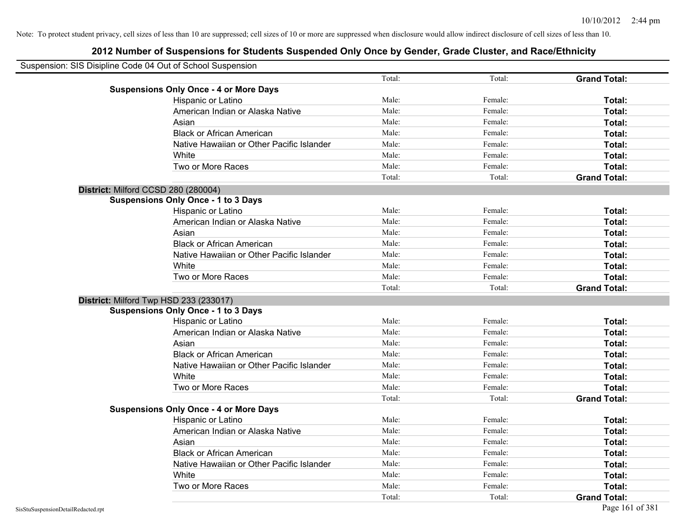| Suspension: SIS Disipline Code 04 Out of School Suspension |        |         |                     |
|------------------------------------------------------------|--------|---------|---------------------|
|                                                            | Total: | Total:  | <b>Grand Total:</b> |
| <b>Suspensions Only Once - 4 or More Days</b>              |        |         |                     |
| Hispanic or Latino                                         | Male:  | Female: | Total:              |
| American Indian or Alaska Native                           | Male:  | Female: | Total:              |
| Asian                                                      | Male:  | Female: | Total:              |
| <b>Black or African American</b>                           | Male:  | Female: | Total:              |
| Native Hawaiian or Other Pacific Islander                  | Male:  | Female: | Total:              |
| White                                                      | Male:  | Female: | Total:              |
| Two or More Races                                          | Male:  | Female: | Total:              |
|                                                            | Total: | Total:  | <b>Grand Total:</b> |
| District: Milford CCSD 280 (280004)                        |        |         |                     |
| <b>Suspensions Only Once - 1 to 3 Days</b>                 |        |         |                     |
| Hispanic or Latino                                         | Male:  | Female: | Total:              |
| American Indian or Alaska Native                           | Male:  | Female: | Total:              |
| Asian                                                      | Male:  | Female: | Total:              |
| <b>Black or African American</b>                           | Male:  | Female: | Total:              |
| Native Hawaiian or Other Pacific Islander                  | Male:  | Female: | Total:              |
| White                                                      | Male:  | Female: | Total:              |
| Two or More Races                                          | Male:  | Female: | Total:              |
|                                                            | Total: | Total:  | <b>Grand Total:</b> |
| District: Milford Twp HSD 233 (233017)                     |        |         |                     |
| <b>Suspensions Only Once - 1 to 3 Days</b>                 |        |         |                     |
| Hispanic or Latino                                         | Male:  | Female: | Total:              |
| American Indian or Alaska Native                           | Male:  | Female: | Total:              |
| Asian                                                      | Male:  | Female: | Total:              |
| <b>Black or African American</b>                           | Male:  | Female: | Total:              |
| Native Hawaiian or Other Pacific Islander                  | Male:  | Female: | Total:              |
| White                                                      | Male:  | Female: | Total:              |
| Two or More Races                                          | Male:  | Female: | Total:              |
|                                                            | Total: | Total:  | <b>Grand Total:</b> |
| <b>Suspensions Only Once - 4 or More Days</b>              |        |         |                     |
| Hispanic or Latino                                         | Male:  | Female: | Total:              |
| American Indian or Alaska Native                           | Male:  | Female: | Total:              |
| Asian                                                      | Male:  | Female: | Total:              |
| <b>Black or African American</b>                           | Male:  | Female: | Total:              |
| Native Hawaiian or Other Pacific Islander                  | Male:  | Female: | Total:              |
| White                                                      | Male:  | Female: | Total:              |
| Two or More Races                                          | Male:  | Female: | <b>Total:</b>       |
|                                                            | Total: | Total:  | <b>Grand Total:</b> |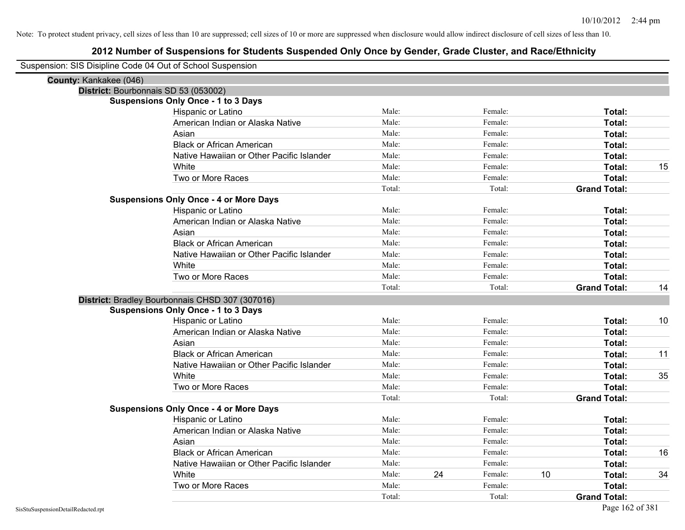| Suspension: SIS Disipline Code 04 Out of School Suspension |                                                 |        |    |         |    |                     |    |
|------------------------------------------------------------|-------------------------------------------------|--------|----|---------|----|---------------------|----|
| County: Kankakee (046)                                     |                                                 |        |    |         |    |                     |    |
| District: Bourbonnais SD 53 (053002)                       |                                                 |        |    |         |    |                     |    |
|                                                            | <b>Suspensions Only Once - 1 to 3 Days</b>      |        |    |         |    |                     |    |
|                                                            | Hispanic or Latino                              | Male:  |    | Female: |    | Total:              |    |
|                                                            | American Indian or Alaska Native                | Male:  |    | Female: |    | Total:              |    |
|                                                            | Asian                                           | Male:  |    | Female: |    | Total:              |    |
|                                                            | <b>Black or African American</b>                | Male:  |    | Female: |    | Total:              |    |
|                                                            | Native Hawaiian or Other Pacific Islander       | Male:  |    | Female: |    | Total:              |    |
|                                                            | White                                           | Male:  |    | Female: |    | Total:              | 15 |
|                                                            | Two or More Races                               | Male:  |    | Female: |    | Total:              |    |
|                                                            |                                                 | Total: |    | Total:  |    | <b>Grand Total:</b> |    |
|                                                            | <b>Suspensions Only Once - 4 or More Days</b>   |        |    |         |    |                     |    |
|                                                            | Hispanic or Latino                              | Male:  |    | Female: |    | Total:              |    |
|                                                            | American Indian or Alaska Native                | Male:  |    | Female: |    | Total:              |    |
|                                                            | Asian                                           | Male:  |    | Female: |    | Total:              |    |
|                                                            | <b>Black or African American</b>                | Male:  |    | Female: |    | Total:              |    |
|                                                            | Native Hawaiian or Other Pacific Islander       | Male:  |    | Female: |    | Total:              |    |
|                                                            | White                                           | Male:  |    | Female: |    | Total:              |    |
|                                                            | Two or More Races                               | Male:  |    | Female: |    | <b>Total:</b>       |    |
|                                                            |                                                 | Total: |    | Total:  |    | <b>Grand Total:</b> | 14 |
|                                                            | District: Bradley Bourbonnais CHSD 307 (307016) |        |    |         |    |                     |    |
|                                                            | <b>Suspensions Only Once - 1 to 3 Days</b>      |        |    |         |    |                     |    |
|                                                            | Hispanic or Latino                              | Male:  |    | Female: |    | Total:              | 10 |
|                                                            | American Indian or Alaska Native                | Male:  |    | Female: |    | Total:              |    |
|                                                            | Asian                                           | Male:  |    | Female: |    | Total:              |    |
|                                                            | <b>Black or African American</b>                | Male:  |    | Female: |    | Total:              | 11 |
|                                                            | Native Hawaiian or Other Pacific Islander       | Male:  |    | Female: |    | Total:              |    |
|                                                            | White                                           | Male:  |    | Female: |    | Total:              | 35 |
|                                                            | Two or More Races                               | Male:  |    | Female: |    | Total:              |    |
|                                                            |                                                 | Total: |    | Total:  |    | <b>Grand Total:</b> |    |
|                                                            | <b>Suspensions Only Once - 4 or More Days</b>   |        |    |         |    |                     |    |
|                                                            | Hispanic or Latino                              | Male:  |    | Female: |    | Total:              |    |
|                                                            | American Indian or Alaska Native                | Male:  |    | Female: |    | Total:              |    |
|                                                            | Asian                                           | Male:  |    | Female: |    | Total:              |    |
|                                                            | <b>Black or African American</b>                | Male:  |    | Female: |    | Total:              | 16 |
|                                                            | Native Hawaiian or Other Pacific Islander       | Male:  |    | Female: |    | Total:              |    |
|                                                            | White                                           | Male:  | 24 | Female: | 10 | Total:              | 34 |
|                                                            | Two or More Races                               | Male:  |    | Female: |    | Total:              |    |
|                                                            |                                                 | Total: |    | Total:  |    | <b>Grand Total:</b> |    |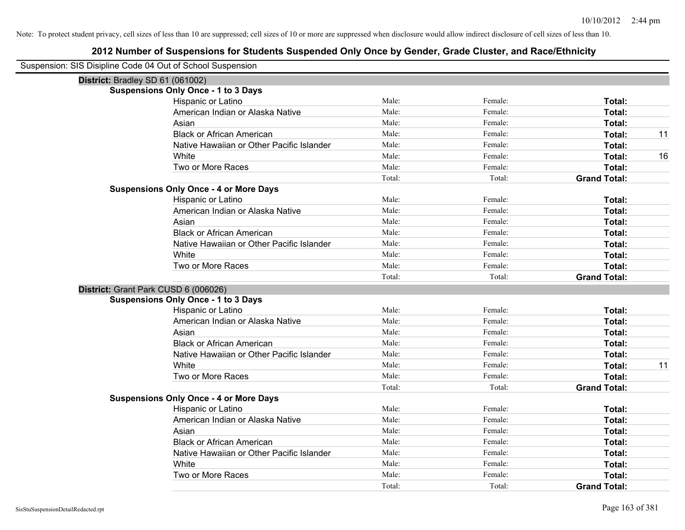| Suspension: SIS Disipline Code 04 Out of School Suspension |                                               |        |         |                     |    |
|------------------------------------------------------------|-----------------------------------------------|--------|---------|---------------------|----|
| District: Bradley SD 61 (061002)                           |                                               |        |         |                     |    |
|                                                            | <b>Suspensions Only Once - 1 to 3 Days</b>    |        |         |                     |    |
|                                                            | Hispanic or Latino                            | Male:  | Female: | Total:              |    |
|                                                            | American Indian or Alaska Native              | Male:  | Female: | Total:              |    |
|                                                            | Asian                                         | Male:  | Female: | Total:              |    |
|                                                            | <b>Black or African American</b>              | Male:  | Female: | Total:              | 11 |
|                                                            | Native Hawaiian or Other Pacific Islander     | Male:  | Female: | Total:              |    |
|                                                            | White                                         | Male:  | Female: | Total:              | 16 |
|                                                            | Two or More Races                             | Male:  | Female: | Total:              |    |
|                                                            |                                               | Total: | Total:  | <b>Grand Total:</b> |    |
|                                                            | <b>Suspensions Only Once - 4 or More Days</b> |        |         |                     |    |
|                                                            | Hispanic or Latino                            | Male:  | Female: | Total:              |    |
|                                                            | American Indian or Alaska Native              | Male:  | Female: | Total:              |    |
|                                                            | Asian                                         | Male:  | Female: | Total:              |    |
|                                                            | <b>Black or African American</b>              | Male:  | Female: | Total:              |    |
|                                                            | Native Hawaiian or Other Pacific Islander     | Male:  | Female: | Total:              |    |
|                                                            | White                                         | Male:  | Female: | Total:              |    |
|                                                            | Two or More Races                             | Male:  | Female: | Total:              |    |
|                                                            |                                               | Total: | Total:  | <b>Grand Total:</b> |    |
| District: Grant Park CUSD 6 (006026)                       |                                               |        |         |                     |    |
|                                                            | <b>Suspensions Only Once - 1 to 3 Days</b>    |        |         |                     |    |
|                                                            | Hispanic or Latino                            | Male:  | Female: | Total:              |    |
|                                                            | American Indian or Alaska Native              | Male:  | Female: | Total:              |    |
|                                                            | Asian                                         | Male:  | Female: | Total:              |    |
|                                                            | <b>Black or African American</b>              | Male:  | Female: | Total:              |    |
|                                                            | Native Hawaiian or Other Pacific Islander     | Male:  | Female: | Total:              |    |
|                                                            | White                                         | Male:  | Female: | Total:              | 11 |
|                                                            | Two or More Races                             | Male:  | Female: | Total:              |    |
|                                                            |                                               | Total: | Total:  | <b>Grand Total:</b> |    |
|                                                            | <b>Suspensions Only Once - 4 or More Days</b> |        |         |                     |    |
|                                                            | Hispanic or Latino                            | Male:  | Female: | Total:              |    |
|                                                            | American Indian or Alaska Native              | Male:  | Female: | Total:              |    |
|                                                            | Asian                                         | Male:  | Female: | Total:              |    |
|                                                            | <b>Black or African American</b>              | Male:  | Female: | Total:              |    |
|                                                            | Native Hawaiian or Other Pacific Islander     | Male:  | Female: | Total:              |    |
|                                                            | White                                         | Male:  | Female: | Total:              |    |
|                                                            | Two or More Races                             | Male:  | Female: | Total:              |    |
|                                                            |                                               | Total: | Total:  | <b>Grand Total:</b> |    |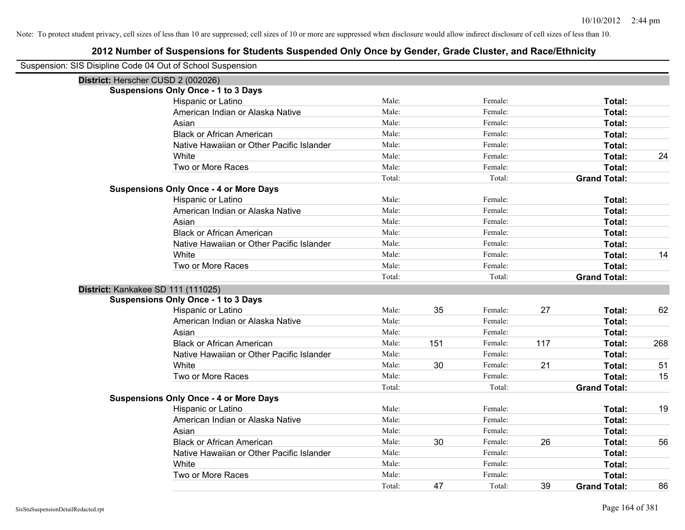| Suspension: SIS Disipline Code 04 Out of School Suspension |                                               |        |     |         |     |                     |     |
|------------------------------------------------------------|-----------------------------------------------|--------|-----|---------|-----|---------------------|-----|
| District: Herscher CUSD 2 (002026)                         |                                               |        |     |         |     |                     |     |
|                                                            | <b>Suspensions Only Once - 1 to 3 Days</b>    |        |     |         |     |                     |     |
|                                                            | Hispanic or Latino                            | Male:  |     | Female: |     | Total:              |     |
|                                                            | American Indian or Alaska Native              | Male:  |     | Female: |     | Total:              |     |
|                                                            | Asian                                         | Male:  |     | Female: |     | Total:              |     |
|                                                            | <b>Black or African American</b>              | Male:  |     | Female: |     | Total:              |     |
|                                                            | Native Hawaiian or Other Pacific Islander     | Male:  |     | Female: |     | Total:              |     |
|                                                            | White                                         | Male:  |     | Female: |     | Total:              | 24  |
|                                                            | Two or More Races                             | Male:  |     | Female: |     | Total:              |     |
|                                                            |                                               | Total: |     | Total:  |     | <b>Grand Total:</b> |     |
|                                                            | <b>Suspensions Only Once - 4 or More Days</b> |        |     |         |     |                     |     |
|                                                            | Hispanic or Latino                            | Male:  |     | Female: |     | Total:              |     |
|                                                            | American Indian or Alaska Native              | Male:  |     | Female: |     | Total:              |     |
|                                                            | Asian                                         | Male:  |     | Female: |     | Total:              |     |
|                                                            | <b>Black or African American</b>              | Male:  |     | Female: |     | Total:              |     |
|                                                            | Native Hawaiian or Other Pacific Islander     | Male:  |     | Female: |     | Total:              |     |
|                                                            | White                                         | Male:  |     | Female: |     | Total:              | 14  |
|                                                            | Two or More Races                             | Male:  |     | Female: |     | Total:              |     |
|                                                            |                                               | Total: |     | Total:  |     | <b>Grand Total:</b> |     |
| District: Kankakee SD 111 (111025)                         |                                               |        |     |         |     |                     |     |
|                                                            | <b>Suspensions Only Once - 1 to 3 Days</b>    |        |     |         |     |                     |     |
|                                                            | Hispanic or Latino                            | Male:  | 35  | Female: | 27  | Total:              | 62  |
|                                                            | American Indian or Alaska Native              | Male:  |     | Female: |     | Total:              |     |
|                                                            | Asian                                         | Male:  |     | Female: |     | Total:              |     |
|                                                            | <b>Black or African American</b>              | Male:  | 151 | Female: | 117 | Total:              | 268 |
|                                                            | Native Hawaiian or Other Pacific Islander     | Male:  |     | Female: |     | Total:              |     |
|                                                            | White                                         | Male:  | 30  | Female: | 21  | Total:              | 51  |
|                                                            | Two or More Races                             | Male:  |     | Female: |     | Total:              | 15  |
|                                                            |                                               | Total: |     | Total:  |     | <b>Grand Total:</b> |     |
|                                                            | <b>Suspensions Only Once - 4 or More Days</b> |        |     |         |     |                     |     |
|                                                            | Hispanic or Latino                            | Male:  |     | Female: |     | Total:              | 19  |
|                                                            | American Indian or Alaska Native              | Male:  |     | Female: |     | Total:              |     |
|                                                            | Asian                                         | Male:  |     | Female: |     | Total:              |     |
|                                                            | <b>Black or African American</b>              | Male:  | 30  | Female: | 26  | Total:              | 56  |
|                                                            | Native Hawaiian or Other Pacific Islander     | Male:  |     | Female: |     | Total:              |     |
|                                                            | White                                         | Male:  |     | Female: |     | Total:              |     |
|                                                            | Two or More Races                             | Male:  |     | Female: |     | Total:              |     |
|                                                            |                                               | Total: | 47  | Total:  | 39  | <b>Grand Total:</b> | 86  |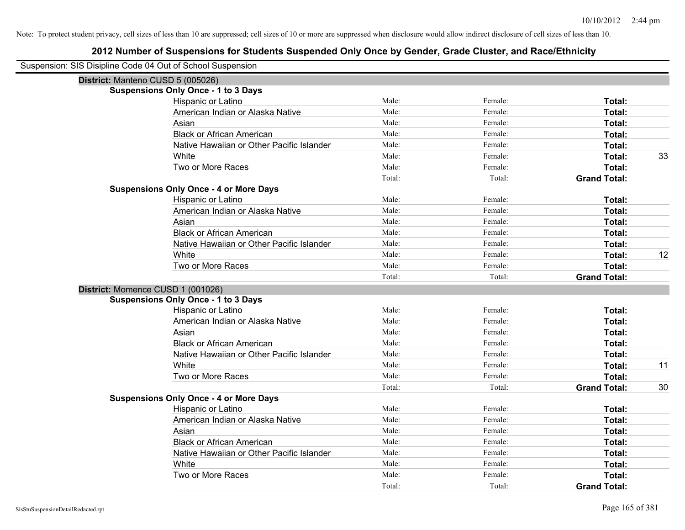| Suspension: SIS Disipline Code 04 Out of School Suspension |                                               |        |         |                     |    |
|------------------------------------------------------------|-----------------------------------------------|--------|---------|---------------------|----|
| District: Manteno CUSD 5 (005026)                          |                                               |        |         |                     |    |
|                                                            | <b>Suspensions Only Once - 1 to 3 Days</b>    |        |         |                     |    |
|                                                            | Hispanic or Latino                            | Male:  | Female: | Total:              |    |
|                                                            | American Indian or Alaska Native              | Male:  | Female: | Total:              |    |
|                                                            | Asian                                         | Male:  | Female: | Total:              |    |
|                                                            | <b>Black or African American</b>              | Male:  | Female: | Total:              |    |
|                                                            | Native Hawaiian or Other Pacific Islander     | Male:  | Female: | Total:              |    |
|                                                            | White                                         | Male:  | Female: | Total:              | 33 |
|                                                            | Two or More Races                             | Male:  | Female: | Total:              |    |
|                                                            |                                               | Total: | Total:  | <b>Grand Total:</b> |    |
|                                                            | <b>Suspensions Only Once - 4 or More Days</b> |        |         |                     |    |
|                                                            | Hispanic or Latino                            | Male:  | Female: | Total:              |    |
|                                                            | American Indian or Alaska Native              | Male:  | Female: | Total:              |    |
|                                                            | Asian                                         | Male:  | Female: | Total:              |    |
|                                                            | <b>Black or African American</b>              | Male:  | Female: | Total:              |    |
|                                                            | Native Hawaiian or Other Pacific Islander     | Male:  | Female: | Total:              |    |
|                                                            | White                                         | Male:  | Female: | Total:              | 12 |
|                                                            | Two or More Races                             | Male:  | Female: | Total:              |    |
|                                                            |                                               | Total: | Total:  | <b>Grand Total:</b> |    |
| District: Momence CUSD 1 (001026)                          |                                               |        |         |                     |    |
|                                                            | <b>Suspensions Only Once - 1 to 3 Days</b>    |        |         |                     |    |
|                                                            | Hispanic or Latino                            | Male:  | Female: | Total:              |    |
|                                                            | American Indian or Alaska Native              | Male:  | Female: | Total:              |    |
|                                                            | Asian                                         | Male:  | Female: | Total:              |    |
|                                                            | <b>Black or African American</b>              | Male:  | Female: | Total:              |    |
|                                                            | Native Hawaiian or Other Pacific Islander     | Male:  | Female: | Total:              |    |
|                                                            | White                                         | Male:  | Female: | Total:              | 11 |
|                                                            | Two or More Races                             | Male:  | Female: | Total:              |    |
|                                                            |                                               | Total: | Total:  | <b>Grand Total:</b> | 30 |
|                                                            | <b>Suspensions Only Once - 4 or More Days</b> |        |         |                     |    |
|                                                            | Hispanic or Latino                            | Male:  | Female: | Total:              |    |
|                                                            | American Indian or Alaska Native              | Male:  | Female: | Total:              |    |
|                                                            | Asian                                         | Male:  | Female: | Total:              |    |
|                                                            | <b>Black or African American</b>              | Male:  | Female: | Total:              |    |
|                                                            | Native Hawaiian or Other Pacific Islander     | Male:  | Female: | Total:              |    |
|                                                            | White                                         | Male:  | Female: | Total:              |    |
|                                                            | Two or More Races                             | Male:  | Female: | Total:              |    |
|                                                            |                                               | Total: | Total:  | <b>Grand Total:</b> |    |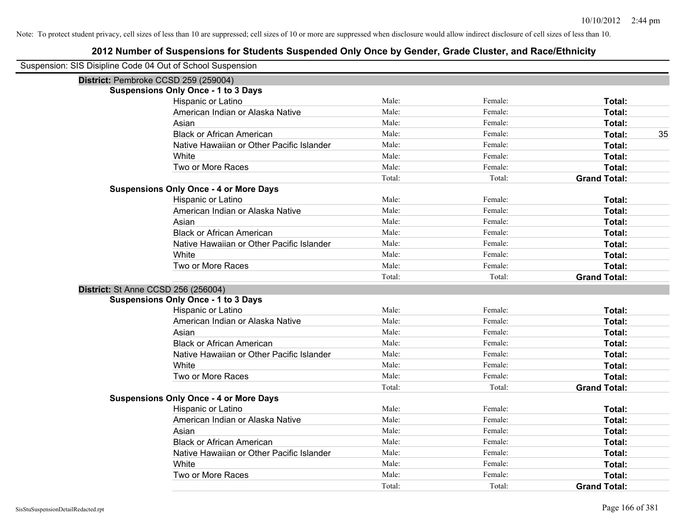| Suspension: SIS Disipline Code 04 Out of School Suspension |                                               |        |         |                     |
|------------------------------------------------------------|-----------------------------------------------|--------|---------|---------------------|
| District: Pembroke CCSD 259 (259004)                       |                                               |        |         |                     |
|                                                            | <b>Suspensions Only Once - 1 to 3 Days</b>    |        |         |                     |
|                                                            | Hispanic or Latino                            | Male:  | Female: | Total:              |
|                                                            | American Indian or Alaska Native              | Male:  | Female: | Total:              |
|                                                            | Asian                                         | Male:  | Female: | Total:              |
|                                                            | <b>Black or African American</b>              | Male:  | Female: | Total:<br>35        |
|                                                            | Native Hawaiian or Other Pacific Islander     | Male:  | Female: | Total:              |
|                                                            | White                                         | Male:  | Female: | Total:              |
|                                                            | Two or More Races                             | Male:  | Female: | Total:              |
|                                                            |                                               | Total: | Total:  | <b>Grand Total:</b> |
|                                                            | <b>Suspensions Only Once - 4 or More Days</b> |        |         |                     |
|                                                            | Hispanic or Latino                            | Male:  | Female: | Total:              |
|                                                            | American Indian or Alaska Native              | Male:  | Female: | Total:              |
|                                                            | Asian                                         | Male:  | Female: | Total:              |
|                                                            | <b>Black or African American</b>              | Male:  | Female: | Total:              |
|                                                            | Native Hawaiian or Other Pacific Islander     | Male:  | Female: | Total:              |
|                                                            | White                                         | Male:  | Female: | Total:              |
|                                                            | Two or More Races                             | Male:  | Female: | Total:              |
|                                                            |                                               | Total: | Total:  | <b>Grand Total:</b> |
| District: St Anne CCSD 256 (256004)                        |                                               |        |         |                     |
|                                                            | <b>Suspensions Only Once - 1 to 3 Days</b>    |        |         |                     |
|                                                            | Hispanic or Latino                            | Male:  | Female: | Total:              |
|                                                            | American Indian or Alaska Native              | Male:  | Female: | Total:              |
|                                                            | Asian                                         | Male:  | Female: | Total:              |
|                                                            | <b>Black or African American</b>              | Male:  | Female: | Total:              |
|                                                            | Native Hawaiian or Other Pacific Islander     | Male:  | Female: | Total:              |
|                                                            | White                                         | Male:  | Female: | Total:              |
|                                                            | Two or More Races                             | Male:  | Female: | Total:              |
|                                                            |                                               | Total: | Total:  | <b>Grand Total:</b> |
|                                                            | <b>Suspensions Only Once - 4 or More Days</b> |        |         |                     |
|                                                            | Hispanic or Latino                            | Male:  | Female: | Total:              |
|                                                            | American Indian or Alaska Native              | Male:  | Female: | Total:              |
|                                                            | Asian                                         | Male:  | Female: | Total:              |
|                                                            | <b>Black or African American</b>              | Male:  | Female: | Total:              |
|                                                            | Native Hawaiian or Other Pacific Islander     | Male:  | Female: | Total:              |
|                                                            | White                                         | Male:  | Female: | Total:              |
|                                                            | Two or More Races                             | Male:  | Female: | Total:              |
|                                                            |                                               | Total: | Total:  | <b>Grand Total:</b> |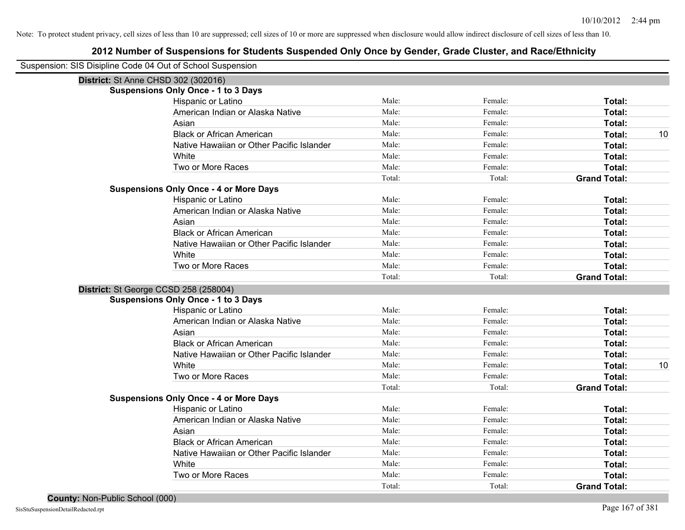| Suspension: SIS Disipline Code 04 Out of School Suspension |                                               |        |         |                     |    |
|------------------------------------------------------------|-----------------------------------------------|--------|---------|---------------------|----|
| District: St Anne CHSD 302 (302016)                        |                                               |        |         |                     |    |
|                                                            | <b>Suspensions Only Once - 1 to 3 Days</b>    |        |         |                     |    |
|                                                            | Hispanic or Latino                            | Male:  | Female: | Total:              |    |
|                                                            | American Indian or Alaska Native              | Male:  | Female: | Total:              |    |
|                                                            | Asian                                         | Male:  | Female: | Total:              |    |
|                                                            | <b>Black or African American</b>              | Male:  | Female: | Total:              | 10 |
|                                                            | Native Hawaiian or Other Pacific Islander     | Male:  | Female: | Total:              |    |
|                                                            | White                                         | Male:  | Female: | Total:              |    |
|                                                            | Two or More Races                             | Male:  | Female: | Total:              |    |
|                                                            |                                               | Total: | Total:  | <b>Grand Total:</b> |    |
|                                                            | <b>Suspensions Only Once - 4 or More Days</b> |        |         |                     |    |
|                                                            | Hispanic or Latino                            | Male:  | Female: | Total:              |    |
|                                                            | American Indian or Alaska Native              | Male:  | Female: | Total:              |    |
|                                                            | Asian                                         | Male:  | Female: | Total:              |    |
|                                                            | <b>Black or African American</b>              | Male:  | Female: | Total:              |    |
|                                                            | Native Hawaiian or Other Pacific Islander     | Male:  | Female: | Total:              |    |
|                                                            | White                                         | Male:  | Female: | Total:              |    |
|                                                            | Two or More Races                             | Male:  | Female: | Total:              |    |
|                                                            |                                               | Total: | Total:  | <b>Grand Total:</b> |    |
| District: St George CCSD 258 (258004)                      |                                               |        |         |                     |    |
|                                                            | <b>Suspensions Only Once - 1 to 3 Days</b>    |        |         |                     |    |
|                                                            | Hispanic or Latino                            | Male:  | Female: | Total:              |    |
|                                                            | American Indian or Alaska Native              | Male:  | Female: | Total:              |    |
|                                                            | Asian                                         | Male:  | Female: | Total:              |    |
|                                                            | <b>Black or African American</b>              | Male:  | Female: | Total:              |    |
|                                                            | Native Hawaiian or Other Pacific Islander     | Male:  | Female: | Total:              |    |
|                                                            | White                                         | Male:  | Female: | Total:              | 10 |
|                                                            | Two or More Races                             | Male:  | Female: | Total:              |    |
|                                                            |                                               | Total: | Total:  | <b>Grand Total:</b> |    |
|                                                            | <b>Suspensions Only Once - 4 or More Days</b> |        |         |                     |    |
|                                                            | Hispanic or Latino                            | Male:  | Female: | Total:              |    |
|                                                            | American Indian or Alaska Native              | Male:  | Female: | Total:              |    |
|                                                            | Asian                                         | Male:  | Female: | Total:              |    |
|                                                            | <b>Black or African American</b>              | Male:  | Female: | Total:              |    |
|                                                            | Native Hawaiian or Other Pacific Islander     | Male:  | Female: | Total:              |    |
|                                                            | White                                         | Male:  | Female: | Total:              |    |
|                                                            | Two or More Races                             | Male:  | Female: | Total:              |    |
|                                                            |                                               | Total: | Total:  | <b>Grand Total:</b> |    |
| County: Non-Public School (000)                            |                                               |        |         |                     |    |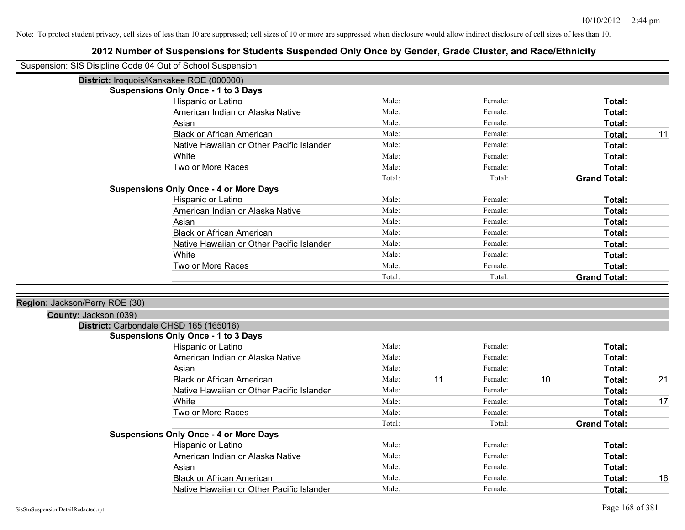| Suspension: SIS Disipline Code 04 Out of School Suspension |                                               |        |    |         |    |                     |    |
|------------------------------------------------------------|-----------------------------------------------|--------|----|---------|----|---------------------|----|
|                                                            | District: Iroquois/Kankakee ROE (000000)      |        |    |         |    |                     |    |
|                                                            | <b>Suspensions Only Once - 1 to 3 Days</b>    |        |    |         |    |                     |    |
|                                                            | Hispanic or Latino                            | Male:  |    | Female: |    | Total:              |    |
|                                                            | American Indian or Alaska Native              | Male:  |    | Female: |    | Total:              |    |
|                                                            | Asian                                         | Male:  |    | Female: |    | Total:              |    |
|                                                            | <b>Black or African American</b>              | Male:  |    | Female: |    | Total:              | 11 |
|                                                            | Native Hawaiian or Other Pacific Islander     | Male:  |    | Female: |    | Total:              |    |
|                                                            | White                                         | Male:  |    | Female: |    | Total:              |    |
|                                                            | Two or More Races                             | Male:  |    | Female: |    | Total:              |    |
|                                                            |                                               | Total: |    | Total:  |    | <b>Grand Total:</b> |    |
|                                                            | <b>Suspensions Only Once - 4 or More Days</b> |        |    |         |    |                     |    |
|                                                            | Hispanic or Latino                            | Male:  |    | Female: |    | Total:              |    |
|                                                            | American Indian or Alaska Native              | Male:  |    | Female: |    | Total:              |    |
|                                                            | Asian                                         | Male:  |    | Female: |    | Total:              |    |
|                                                            | <b>Black or African American</b>              | Male:  |    | Female: |    | Total:              |    |
|                                                            | Native Hawaiian or Other Pacific Islander     | Male:  |    | Female: |    | Total:              |    |
|                                                            | White                                         | Male:  |    | Female: |    | Total:              |    |
|                                                            | Two or More Races                             | Male:  |    | Female: |    | Total:              |    |
|                                                            |                                               | Total: |    | Total:  |    | <b>Grand Total:</b> |    |
|                                                            |                                               |        |    |         |    |                     |    |
| Region: Jackson/Perry ROE (30)                             |                                               |        |    |         |    |                     |    |
| County: Jackson (039)                                      |                                               |        |    |         |    |                     |    |
|                                                            | District: Carbondale CHSD 165 (165016)        |        |    |         |    |                     |    |
|                                                            | <b>Suspensions Only Once - 1 to 3 Days</b>    |        |    |         |    |                     |    |
|                                                            | Hispanic or Latino                            | Male:  |    | Female: |    | Total:              |    |
|                                                            | American Indian or Alaska Native              | Male:  |    | Female: |    | Total:              |    |
|                                                            | Asian                                         | Male:  |    | Female: |    | Total:              |    |
|                                                            | <b>Black or African American</b>              | Male:  | 11 | Female: | 10 | Total:              | 21 |
|                                                            | Native Hawaiian or Other Pacific Islander     | Male:  |    | Female: |    | Total:              |    |
|                                                            | White                                         | Male:  |    | Female: |    | Total:              | 17 |
|                                                            | Two or More Races                             | Male:  |    | Female: |    | <b>Total:</b>       |    |
|                                                            |                                               | Total: |    | Total:  |    | <b>Grand Total:</b> |    |
|                                                            | <b>Suspensions Only Once - 4 or More Days</b> |        |    |         |    |                     |    |
|                                                            | Hispanic or Latino                            | Male:  |    | Female: |    | Total:              |    |
|                                                            | American Indian or Alaska Native              | Male:  |    | Female: |    | Total:              |    |
|                                                            | Asian                                         | Male:  |    | Female: |    | Total:              |    |
|                                                            | <b>Black or African American</b>              | Male:  |    | Female: |    | Total:              | 16 |
|                                                            | Native Hawaiian or Other Pacific Islander     | Male:  |    | Female: |    | Total:              |    |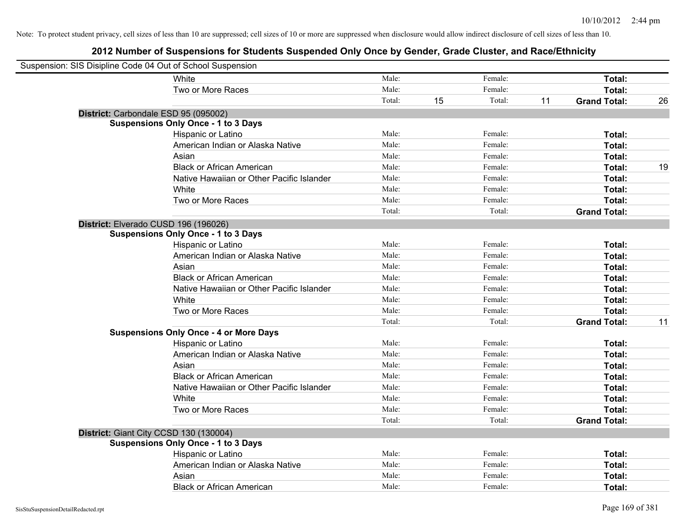| Suspension: SIS Disipline Code 04 Out of School Suspension |                                               |        |    |         |    |                     |    |
|------------------------------------------------------------|-----------------------------------------------|--------|----|---------|----|---------------------|----|
|                                                            | White                                         | Male:  |    | Female: |    | Total:              |    |
|                                                            | Two or More Races                             | Male:  |    | Female: |    | Total:              |    |
|                                                            |                                               | Total: | 15 | Total:  | 11 | <b>Grand Total:</b> | 26 |
| District: Carbondale ESD 95 (095002)                       |                                               |        |    |         |    |                     |    |
|                                                            | <b>Suspensions Only Once - 1 to 3 Days</b>    |        |    |         |    |                     |    |
|                                                            | Hispanic or Latino                            | Male:  |    | Female: |    | Total:              |    |
|                                                            | American Indian or Alaska Native              | Male:  |    | Female: |    | Total:              |    |
|                                                            | Asian                                         | Male:  |    | Female: |    | Total:              |    |
|                                                            | <b>Black or African American</b>              | Male:  |    | Female: |    | Total:              | 19 |
|                                                            | Native Hawaiian or Other Pacific Islander     | Male:  |    | Female: |    | Total:              |    |
|                                                            | White                                         | Male:  |    | Female: |    | Total:              |    |
|                                                            | Two or More Races                             | Male:  |    | Female: |    | Total:              |    |
|                                                            |                                               | Total: |    | Total:  |    | <b>Grand Total:</b> |    |
| District: Elverado CUSD 196 (196026)                       |                                               |        |    |         |    |                     |    |
|                                                            | <b>Suspensions Only Once - 1 to 3 Days</b>    |        |    |         |    |                     |    |
|                                                            | Hispanic or Latino                            | Male:  |    | Female: |    | Total:              |    |
|                                                            | American Indian or Alaska Native              | Male:  |    | Female: |    | Total:              |    |
|                                                            | Asian                                         | Male:  |    | Female: |    | Total:              |    |
|                                                            | <b>Black or African American</b>              | Male:  |    | Female: |    | Total:              |    |
|                                                            | Native Hawaiian or Other Pacific Islander     | Male:  |    | Female: |    | Total:              |    |
|                                                            | White                                         | Male:  |    | Female: |    | Total:              |    |
|                                                            | Two or More Races                             | Male:  |    | Female: |    | Total:              |    |
|                                                            |                                               | Total: |    | Total:  |    | <b>Grand Total:</b> | 11 |
|                                                            | <b>Suspensions Only Once - 4 or More Days</b> |        |    |         |    |                     |    |
|                                                            | Hispanic or Latino                            | Male:  |    | Female: |    | Total:              |    |
|                                                            | American Indian or Alaska Native              | Male:  |    | Female: |    | Total:              |    |
|                                                            | Asian                                         | Male:  |    | Female: |    | Total:              |    |
|                                                            | <b>Black or African American</b>              | Male:  |    | Female: |    | Total:              |    |
|                                                            | Native Hawaiian or Other Pacific Islander     | Male:  |    | Female: |    | Total:              |    |
|                                                            | White                                         | Male:  |    | Female: |    | Total:              |    |
|                                                            | Two or More Races                             | Male:  |    | Female: |    | Total:              |    |
|                                                            |                                               | Total: |    | Total:  |    | <b>Grand Total:</b> |    |
| District: Giant City CCSD 130 (130004)                     |                                               |        |    |         |    |                     |    |
|                                                            | <b>Suspensions Only Once - 1 to 3 Days</b>    |        |    |         |    |                     |    |
|                                                            | Hispanic or Latino                            | Male:  |    | Female: |    | Total:              |    |
|                                                            | American Indian or Alaska Native              | Male:  |    | Female: |    | Total:              |    |
|                                                            | Asian                                         | Male:  |    | Female: |    | Total:              |    |
|                                                            | <b>Black or African American</b>              | Male:  |    | Female: |    | Total:              |    |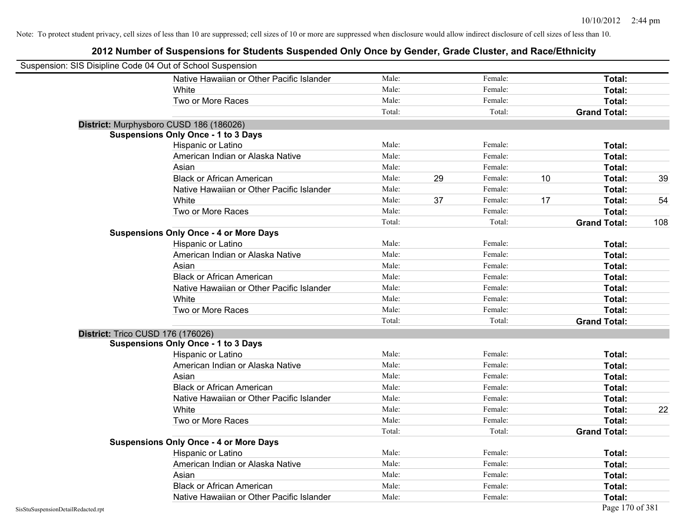| Suspension: SIS Disipline Code 04 Out of School Suspension |                                               |        |    |         |    |                     |     |
|------------------------------------------------------------|-----------------------------------------------|--------|----|---------|----|---------------------|-----|
|                                                            | Native Hawaiian or Other Pacific Islander     | Male:  |    | Female: |    | Total:              |     |
|                                                            | White                                         | Male:  |    | Female: |    | Total:              |     |
|                                                            | Two or More Races                             | Male:  |    | Female: |    | Total:              |     |
|                                                            |                                               | Total: |    | Total:  |    | <b>Grand Total:</b> |     |
| District: Murphysboro CUSD 186 (186026)                    |                                               |        |    |         |    |                     |     |
|                                                            | <b>Suspensions Only Once - 1 to 3 Days</b>    |        |    |         |    |                     |     |
|                                                            | Hispanic or Latino                            | Male:  |    | Female: |    | Total:              |     |
|                                                            | American Indian or Alaska Native              | Male:  |    | Female: |    | Total:              |     |
|                                                            | Asian                                         | Male:  |    | Female: |    | Total:              |     |
|                                                            | <b>Black or African American</b>              | Male:  | 29 | Female: | 10 | Total:              | 39  |
|                                                            | Native Hawaiian or Other Pacific Islander     | Male:  |    | Female: |    | Total:              |     |
|                                                            | White                                         | Male:  | 37 | Female: | 17 | Total:              | 54  |
|                                                            | Two or More Races                             | Male:  |    | Female: |    | Total:              |     |
|                                                            |                                               | Total: |    | Total:  |    | <b>Grand Total:</b> | 108 |
|                                                            | <b>Suspensions Only Once - 4 or More Days</b> |        |    |         |    |                     |     |
|                                                            | Hispanic or Latino                            | Male:  |    | Female: |    | Total:              |     |
|                                                            | American Indian or Alaska Native              | Male:  |    | Female: |    | Total:              |     |
|                                                            | Asian                                         | Male:  |    | Female: |    | Total:              |     |
|                                                            | <b>Black or African American</b>              | Male:  |    | Female: |    | Total:              |     |
|                                                            | Native Hawaiian or Other Pacific Islander     | Male:  |    | Female: |    | Total:              |     |
|                                                            | White                                         | Male:  |    | Female: |    | Total:              |     |
|                                                            | Two or More Races                             | Male:  |    | Female: |    | Total:              |     |
|                                                            |                                               | Total: |    | Total:  |    | <b>Grand Total:</b> |     |
| District: Trico CUSD 176 (176026)                          |                                               |        |    |         |    |                     |     |
|                                                            | <b>Suspensions Only Once - 1 to 3 Days</b>    |        |    |         |    |                     |     |
|                                                            | Hispanic or Latino                            | Male:  |    | Female: |    | Total:              |     |
|                                                            | American Indian or Alaska Native              | Male:  |    | Female: |    | Total:              |     |
|                                                            | Asian                                         | Male:  |    | Female: |    | Total:              |     |
|                                                            | <b>Black or African American</b>              | Male:  |    | Female: |    | Total:              |     |
|                                                            | Native Hawaiian or Other Pacific Islander     | Male:  |    | Female: |    | Total:              |     |
|                                                            | White                                         | Male:  |    | Female: |    | Total:              | 22  |
|                                                            | Two or More Races                             | Male:  |    | Female: |    | Total:              |     |
|                                                            |                                               | Total: |    | Total:  |    | <b>Grand Total:</b> |     |
|                                                            | <b>Suspensions Only Once - 4 or More Days</b> |        |    |         |    |                     |     |
|                                                            | Hispanic or Latino                            | Male:  |    | Female: |    | Total:              |     |
|                                                            | American Indian or Alaska Native              | Male:  |    | Female: |    | Total:              |     |
|                                                            | Asian                                         | Male:  |    | Female: |    | Total:              |     |
|                                                            | <b>Black or African American</b>              | Male:  |    | Female: |    | Total:              |     |
|                                                            | Native Hawaiian or Other Pacific Islander     | Male:  |    | Female: |    | Total:              |     |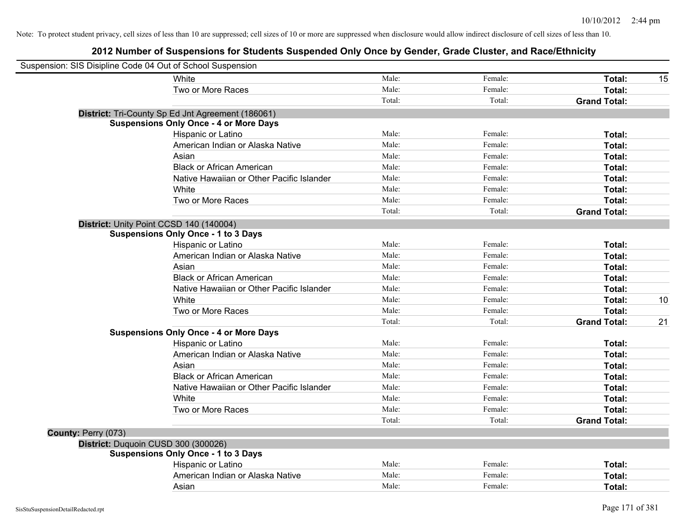| Suspension: SIS Disipline Code 04 Out of School Suspension |                                               |        |         |                     |    |
|------------------------------------------------------------|-----------------------------------------------|--------|---------|---------------------|----|
| White                                                      |                                               | Male:  | Female: | Total:              | 15 |
|                                                            | Two or More Races                             | Male:  | Female: | Total:              |    |
|                                                            |                                               | Total: | Total:  | <b>Grand Total:</b> |    |
| District: Tri-County Sp Ed Jnt Agreement (186061)          |                                               |        |         |                     |    |
|                                                            | <b>Suspensions Only Once - 4 or More Days</b> |        |         |                     |    |
|                                                            | Hispanic or Latino                            | Male:  | Female: | Total:              |    |
|                                                            | American Indian or Alaska Native              | Male:  | Female: | Total:              |    |
| Asian                                                      |                                               | Male:  | Female: | Total:              |    |
|                                                            | <b>Black or African American</b>              | Male:  | Female: | Total:              |    |
|                                                            | Native Hawaiian or Other Pacific Islander     | Male:  | Female: | Total:              |    |
| White                                                      |                                               | Male:  | Female: | Total:              |    |
|                                                            | Two or More Races                             | Male:  | Female: | Total:              |    |
|                                                            |                                               | Total: | Total:  | <b>Grand Total:</b> |    |
| District: Unity Point CCSD 140 (140004)                    |                                               |        |         |                     |    |
| <b>Suspensions Only Once - 1 to 3 Days</b>                 |                                               |        |         |                     |    |
|                                                            | Hispanic or Latino                            | Male:  | Female: | Total:              |    |
|                                                            | American Indian or Alaska Native              | Male:  | Female: | Total:              |    |
| Asian                                                      |                                               | Male:  | Female: | Total:              |    |
|                                                            | <b>Black or African American</b>              | Male:  | Female: | Total:              |    |
|                                                            | Native Hawaiian or Other Pacific Islander     | Male:  | Female: | Total:              |    |
| White                                                      |                                               | Male:  | Female: | Total:              | 10 |
|                                                            | Two or More Races                             | Male:  | Female: | Total:              |    |
|                                                            |                                               | Total: | Total:  | <b>Grand Total:</b> | 21 |
|                                                            | <b>Suspensions Only Once - 4 or More Days</b> |        |         |                     |    |
|                                                            | Hispanic or Latino                            | Male:  | Female: | Total:              |    |
|                                                            | American Indian or Alaska Native              | Male:  | Female: | Total:              |    |
| Asian                                                      |                                               | Male:  | Female: | Total:              |    |
|                                                            | <b>Black or African American</b>              | Male:  | Female: | Total:              |    |
|                                                            | Native Hawaiian or Other Pacific Islander     | Male:  | Female: | Total:              |    |
| White                                                      |                                               | Male:  | Female: | Total:              |    |
|                                                            | Two or More Races                             | Male:  | Female: | Total:              |    |
|                                                            |                                               | Total: | Total:  | <b>Grand Total:</b> |    |
| County: Perry (073)                                        |                                               |        |         |                     |    |
| District: Duquoin CUSD 300 (300026)                        |                                               |        |         |                     |    |
| <b>Suspensions Only Once - 1 to 3 Days</b>                 |                                               |        |         |                     |    |
|                                                            | Hispanic or Latino                            | Male:  | Female: | Total:              |    |
|                                                            | American Indian or Alaska Native              | Male:  | Female: | Total:              |    |
| Asian                                                      |                                               | Male:  | Female: | Total:              |    |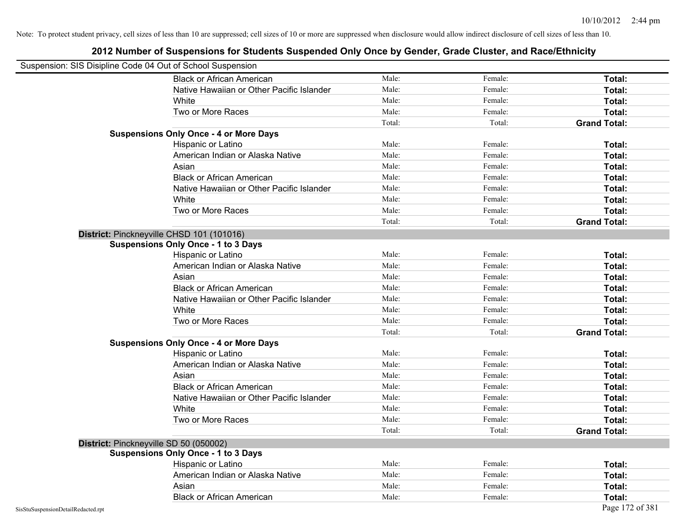| Suspension: SIS Disipline Code 04 Out of School Suspension |        |         |                     |
|------------------------------------------------------------|--------|---------|---------------------|
| <b>Black or African American</b>                           | Male:  | Female: | Total:              |
| Native Hawaiian or Other Pacific Islander                  | Male:  | Female: | Total:              |
| White                                                      | Male:  | Female: | Total:              |
| Two or More Races                                          | Male:  | Female: | Total:              |
|                                                            | Total: | Total:  | <b>Grand Total:</b> |
| <b>Suspensions Only Once - 4 or More Days</b>              |        |         |                     |
| Hispanic or Latino                                         | Male:  | Female: | Total:              |
| American Indian or Alaska Native                           | Male:  | Female: | Total:              |
| Asian                                                      | Male:  | Female: | Total:              |
| <b>Black or African American</b>                           | Male:  | Female: | Total:              |
| Native Hawaiian or Other Pacific Islander                  | Male:  | Female: | Total:              |
| White                                                      | Male:  | Female: | Total:              |
| Two or More Races                                          | Male:  | Female: | Total:              |
|                                                            | Total: | Total:  | <b>Grand Total:</b> |
| District: Pinckneyville CHSD 101 (101016)                  |        |         |                     |
| <b>Suspensions Only Once - 1 to 3 Days</b>                 |        |         |                     |
| Hispanic or Latino                                         | Male:  | Female: | Total:              |
| American Indian or Alaska Native                           | Male:  | Female: | Total:              |
| Asian                                                      | Male:  | Female: | Total:              |
| <b>Black or African American</b>                           | Male:  | Female: | Total:              |
| Native Hawaiian or Other Pacific Islander                  | Male:  | Female: | Total:              |
| White                                                      | Male:  | Female: | Total:              |
| Two or More Races                                          | Male:  | Female: | Total:              |
|                                                            | Total: | Total:  | <b>Grand Total:</b> |
| <b>Suspensions Only Once - 4 or More Days</b>              |        |         |                     |
| Hispanic or Latino                                         | Male:  | Female: | Total:              |
| American Indian or Alaska Native                           | Male:  | Female: | Total:              |
| Asian                                                      | Male:  | Female: | Total:              |
| <b>Black or African American</b>                           | Male:  | Female: | Total:              |
| Native Hawaiian or Other Pacific Islander                  | Male:  | Female: | Total:              |
| White                                                      | Male:  | Female: | Total:              |
| Two or More Races                                          | Male:  | Female: | Total:              |
|                                                            | Total: | Total:  | <b>Grand Total:</b> |
| District: Pinckneyville SD 50 (050002)                     |        |         |                     |
| <b>Suspensions Only Once - 1 to 3 Days</b>                 |        |         |                     |
| Hispanic or Latino                                         | Male:  | Female: | Total:              |
| American Indian or Alaska Native                           | Male:  | Female: | Total:              |
| Asian                                                      | Male:  | Female: | Total:              |
| <b>Black or African American</b>                           | Male:  | Female: | Total:              |
| SisStuSuspensionDetailRedacted.rpt                         |        |         | Page 172 of 381     |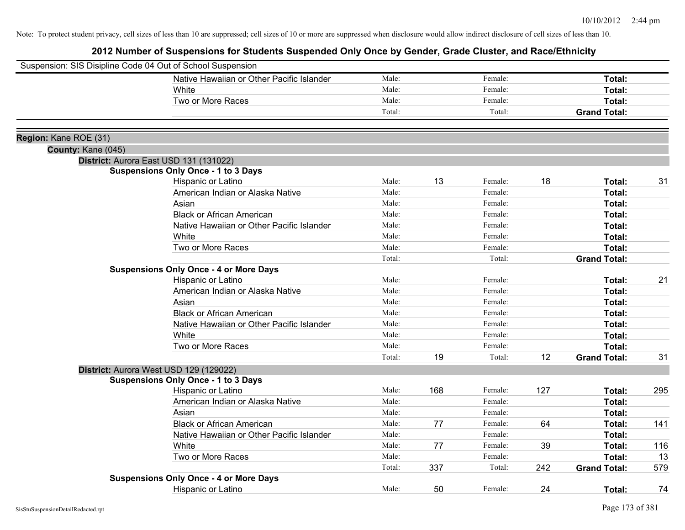|                       | Suspension: SIS Disipline Code 04 Out of School Suspension |        |     |         |     |                     |     |
|-----------------------|------------------------------------------------------------|--------|-----|---------|-----|---------------------|-----|
|                       | Native Hawaiian or Other Pacific Islander                  | Male:  |     | Female: |     | Total:              |     |
|                       | White                                                      | Male:  |     | Female: |     | Total:              |     |
|                       | Two or More Races                                          | Male:  |     | Female: |     | Total:              |     |
|                       |                                                            | Total: |     | Total:  |     | <b>Grand Total:</b> |     |
| Region: Kane ROE (31) |                                                            |        |     |         |     |                     |     |
| County: Kane (045)    |                                                            |        |     |         |     |                     |     |
|                       | District: Aurora East USD 131 (131022)                     |        |     |         |     |                     |     |
|                       | <b>Suspensions Only Once - 1 to 3 Days</b>                 |        |     |         |     |                     |     |
|                       | Hispanic or Latino                                         | Male:  | 13  | Female: | 18  | Total:              | 31  |
|                       | American Indian or Alaska Native                           | Male:  |     | Female: |     | Total:              |     |
|                       | Asian                                                      | Male:  |     | Female: |     | Total:              |     |
|                       | <b>Black or African American</b>                           | Male:  |     | Female: |     | Total:              |     |
|                       | Native Hawaiian or Other Pacific Islander                  | Male:  |     | Female: |     | Total:              |     |
|                       | White                                                      | Male:  |     | Female: |     | Total:              |     |
|                       | Two or More Races                                          | Male:  |     | Female: |     | Total:              |     |
|                       |                                                            | Total: |     | Total:  |     | <b>Grand Total:</b> |     |
|                       | <b>Suspensions Only Once - 4 or More Days</b>              |        |     |         |     |                     |     |
|                       | Hispanic or Latino                                         | Male:  |     | Female: |     | Total:              | 21  |
|                       | American Indian or Alaska Native                           | Male:  |     | Female: |     | Total:              |     |
|                       | Asian                                                      | Male:  |     | Female: |     | Total:              |     |
|                       | <b>Black or African American</b>                           | Male:  |     | Female: |     | Total:              |     |
|                       | Native Hawaiian or Other Pacific Islander                  | Male:  |     | Female: |     | Total:              |     |
|                       | White                                                      | Male:  |     | Female: |     | Total:              |     |
|                       | Two or More Races                                          | Male:  |     | Female: |     | Total:              |     |
|                       |                                                            | Total: | 19  | Total:  | 12  | <b>Grand Total:</b> | 31  |
|                       | District: Aurora West USD 129 (129022)                     |        |     |         |     |                     |     |
|                       | <b>Suspensions Only Once - 1 to 3 Days</b>                 |        |     |         |     |                     |     |
|                       | Hispanic or Latino                                         | Male:  | 168 | Female: | 127 | Total:              | 295 |
|                       | American Indian or Alaska Native                           | Male:  |     | Female: |     | Total:              |     |
|                       | Asian                                                      | Male:  |     | Female: |     | Total:              |     |
|                       | <b>Black or African American</b>                           | Male:  | 77  | Female: | 64  | Total:              | 141 |
|                       | Native Hawaiian or Other Pacific Islander                  | Male:  |     | Female: |     | Total:              |     |
|                       | White                                                      | Male:  | 77  | Female: | 39  | Total:              | 116 |
|                       | Two or More Races                                          | Male:  |     | Female: |     | Total:              | 13  |
|                       |                                                            | Total: | 337 | Total:  | 242 | <b>Grand Total:</b> | 579 |
|                       | <b>Suspensions Only Once - 4 or More Days</b>              |        |     |         |     |                     |     |
|                       | Hispanic or Latino                                         | Male:  | 50  | Female: | 24  | Total:              | 74  |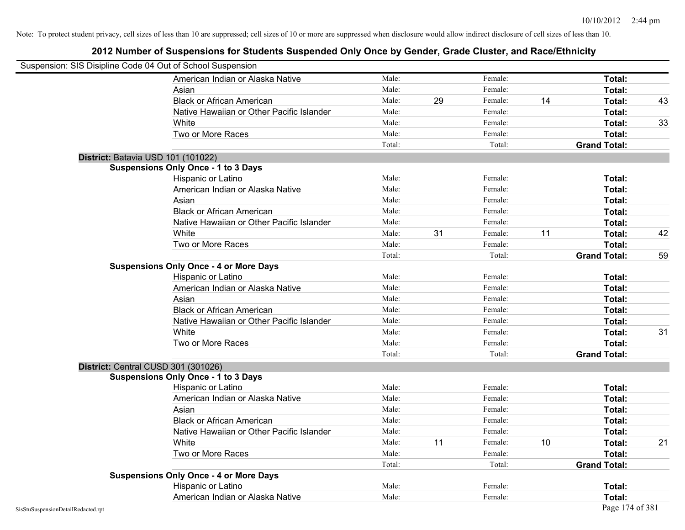|                                    | Suspension: SIS Disipline Code 04 Out of School Suspension |        |    |         |    |                     |    |
|------------------------------------|------------------------------------------------------------|--------|----|---------|----|---------------------|----|
|                                    | American Indian or Alaska Native                           | Male:  |    | Female: |    | Total:              |    |
|                                    | Asian                                                      | Male:  |    | Female: |    | Total:              |    |
|                                    | <b>Black or African American</b>                           | Male:  | 29 | Female: | 14 | Total:              | 43 |
|                                    | Native Hawaiian or Other Pacific Islander                  | Male:  |    | Female: |    | Total:              |    |
|                                    | White                                                      | Male:  |    | Female: |    | Total:              | 33 |
|                                    | Two or More Races                                          | Male:  |    | Female: |    | Total:              |    |
|                                    |                                                            | Total: |    | Total:  |    | <b>Grand Total:</b> |    |
|                                    | District: Batavia USD 101 (101022)                         |        |    |         |    |                     |    |
|                                    | <b>Suspensions Only Once - 1 to 3 Days</b>                 |        |    |         |    |                     |    |
|                                    | Hispanic or Latino                                         | Male:  |    | Female: |    | Total:              |    |
|                                    | American Indian or Alaska Native                           | Male:  |    | Female: |    | Total:              |    |
|                                    | Asian                                                      | Male:  |    | Female: |    | Total:              |    |
|                                    | <b>Black or African American</b>                           | Male:  |    | Female: |    | Total:              |    |
|                                    | Native Hawaiian or Other Pacific Islander                  | Male:  |    | Female: |    | Total:              |    |
|                                    | White                                                      | Male:  | 31 | Female: | 11 | Total:              | 42 |
|                                    | Two or More Races                                          | Male:  |    | Female: |    | Total:              |    |
|                                    |                                                            | Total: |    | Total:  |    | <b>Grand Total:</b> | 59 |
|                                    | <b>Suspensions Only Once - 4 or More Days</b>              |        |    |         |    |                     |    |
|                                    | Hispanic or Latino                                         | Male:  |    | Female: |    | Total:              |    |
|                                    | American Indian or Alaska Native                           | Male:  |    | Female: |    | Total:              |    |
|                                    | Asian                                                      | Male:  |    | Female: |    | Total:              |    |
|                                    | <b>Black or African American</b>                           | Male:  |    | Female: |    | Total:              |    |
|                                    | Native Hawaiian or Other Pacific Islander                  | Male:  |    | Female: |    | Total:              |    |
|                                    | White                                                      | Male:  |    | Female: |    | Total:              | 31 |
|                                    | Two or More Races                                          | Male:  |    | Female: |    | Total:              |    |
|                                    |                                                            | Total: |    | Total:  |    | <b>Grand Total:</b> |    |
|                                    | District: Central CUSD 301 (301026)                        |        |    |         |    |                     |    |
|                                    | <b>Suspensions Only Once - 1 to 3 Days</b>                 |        |    |         |    |                     |    |
|                                    | Hispanic or Latino                                         | Male:  |    | Female: |    | Total:              |    |
|                                    | American Indian or Alaska Native                           | Male:  |    | Female: |    | Total:              |    |
|                                    | Asian                                                      | Male:  |    | Female: |    | Total:              |    |
|                                    | <b>Black or African American</b>                           | Male:  |    | Female: |    | Total:              |    |
|                                    | Native Hawaiian or Other Pacific Islander                  | Male:  |    | Female: |    | Total:              |    |
|                                    | White                                                      | Male:  | 11 | Female: | 10 | Total:              | 21 |
|                                    | Two or More Races                                          | Male:  |    | Female: |    | Total:              |    |
|                                    |                                                            | Total: |    | Total:  |    | <b>Grand Total:</b> |    |
|                                    | <b>Suspensions Only Once - 4 or More Days</b>              |        |    |         |    |                     |    |
|                                    | Hispanic or Latino                                         | Male:  |    | Female: |    | Total:              |    |
|                                    | American Indian or Alaska Native                           | Male:  |    | Female: |    | Total:              |    |
| SisStuSuspensionDetailRedacted.rpt |                                                            |        |    |         |    | Page 174 of 381     |    |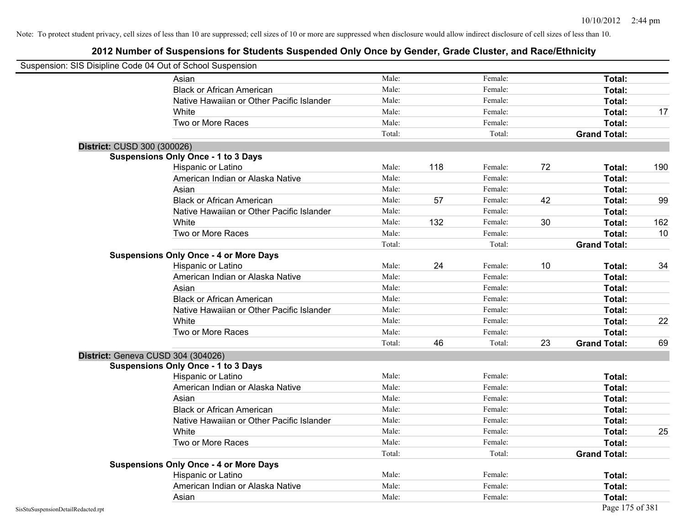|                                    | Suspension: SIS Disipline Code 04 Out of School Suspension |        |     |         |    |                     |     |
|------------------------------------|------------------------------------------------------------|--------|-----|---------|----|---------------------|-----|
|                                    | Asian                                                      | Male:  |     | Female: |    | Total:              |     |
|                                    | <b>Black or African American</b>                           | Male:  |     | Female: |    | Total:              |     |
|                                    | Native Hawaiian or Other Pacific Islander                  | Male:  |     | Female: |    | Total:              |     |
|                                    | White                                                      | Male:  |     | Female: |    | Total:              | 17  |
|                                    | Two or More Races                                          | Male:  |     | Female: |    | Total:              |     |
|                                    |                                                            | Total: |     | Total:  |    | <b>Grand Total:</b> |     |
|                                    | District: CUSD 300 (300026)                                |        |     |         |    |                     |     |
|                                    | <b>Suspensions Only Once - 1 to 3 Days</b>                 |        |     |         |    |                     |     |
|                                    | Hispanic or Latino                                         | Male:  | 118 | Female: | 72 | Total:              | 190 |
|                                    | American Indian or Alaska Native                           | Male:  |     | Female: |    | Total:              |     |
|                                    | Asian                                                      | Male:  |     | Female: |    | Total:              |     |
|                                    | <b>Black or African American</b>                           | Male:  | 57  | Female: | 42 | Total:              | 99  |
|                                    | Native Hawaiian or Other Pacific Islander                  | Male:  |     | Female: |    | Total:              |     |
|                                    | White                                                      | Male:  | 132 | Female: | 30 | Total:              | 162 |
|                                    | Two or More Races                                          | Male:  |     | Female: |    | Total:              | 10  |
|                                    |                                                            | Total: |     | Total:  |    | <b>Grand Total:</b> |     |
|                                    | <b>Suspensions Only Once - 4 or More Days</b>              |        |     |         |    |                     |     |
|                                    | Hispanic or Latino                                         | Male:  | 24  | Female: | 10 | Total:              | 34  |
|                                    | American Indian or Alaska Native                           | Male:  |     | Female: |    | Total:              |     |
|                                    | Asian                                                      | Male:  |     | Female: |    | Total:              |     |
|                                    | <b>Black or African American</b>                           | Male:  |     | Female: |    | Total:              |     |
|                                    | Native Hawaiian or Other Pacific Islander                  | Male:  |     | Female: |    | Total:              |     |
|                                    | White                                                      | Male:  |     | Female: |    | Total:              | 22  |
|                                    | Two or More Races                                          | Male:  |     | Female: |    | Total:              |     |
|                                    |                                                            | Total: | 46  | Total:  | 23 | <b>Grand Total:</b> | 69  |
|                                    | District: Geneva CUSD 304 (304026)                         |        |     |         |    |                     |     |
|                                    | <b>Suspensions Only Once - 1 to 3 Days</b>                 |        |     |         |    |                     |     |
|                                    | Hispanic or Latino                                         | Male:  |     | Female: |    | Total:              |     |
|                                    | American Indian or Alaska Native                           | Male:  |     | Female: |    | Total:              |     |
|                                    | Asian                                                      | Male:  |     | Female: |    | Total:              |     |
|                                    | <b>Black or African American</b>                           | Male:  |     | Female: |    | Total:              |     |
|                                    | Native Hawaiian or Other Pacific Islander                  | Male:  |     | Female: |    | Total:              |     |
|                                    | White                                                      | Male:  |     | Female: |    | Total:              | 25  |
|                                    | Two or More Races                                          | Male:  |     | Female: |    | Total:              |     |
|                                    |                                                            | Total: |     | Total:  |    | <b>Grand Total:</b> |     |
|                                    | <b>Suspensions Only Once - 4 or More Days</b>              |        |     |         |    |                     |     |
|                                    | Hispanic or Latino                                         | Male:  |     | Female: |    | Total:              |     |
|                                    | American Indian or Alaska Native                           | Male:  |     | Female: |    | Total:              |     |
|                                    | Asian                                                      | Male:  |     | Female: |    | Total:              |     |
| SisStuSuspensionDetailRedacted.rpt |                                                            |        |     |         |    | Page 175 of 381     |     |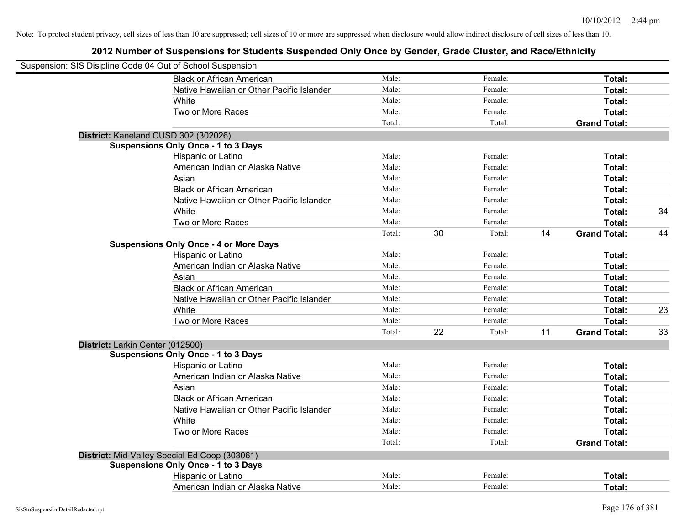| Suspension: SIS Disipline Code 04 Out of School Suspension |                                               |        |    |         |    |                     |    |
|------------------------------------------------------------|-----------------------------------------------|--------|----|---------|----|---------------------|----|
|                                                            | <b>Black or African American</b>              | Male:  |    | Female: |    | Total:              |    |
|                                                            | Native Hawaiian or Other Pacific Islander     | Male:  |    | Female: |    | Total:              |    |
|                                                            | White                                         | Male:  |    | Female: |    | Total:              |    |
|                                                            | Two or More Races                             | Male:  |    | Female: |    | Total:              |    |
|                                                            |                                               | Total: |    | Total:  |    | <b>Grand Total:</b> |    |
|                                                            | District: Kaneland CUSD 302 (302026)          |        |    |         |    |                     |    |
|                                                            | <b>Suspensions Only Once - 1 to 3 Days</b>    |        |    |         |    |                     |    |
|                                                            | Hispanic or Latino                            | Male:  |    | Female: |    | Total:              |    |
|                                                            | American Indian or Alaska Native              | Male:  |    | Female: |    | Total:              |    |
|                                                            | Asian                                         | Male:  |    | Female: |    | Total:              |    |
|                                                            | <b>Black or African American</b>              | Male:  |    | Female: |    | Total:              |    |
|                                                            | Native Hawaiian or Other Pacific Islander     | Male:  |    | Female: |    | Total:              |    |
|                                                            | White                                         | Male:  |    | Female: |    | Total:              | 34 |
|                                                            | Two or More Races                             | Male:  |    | Female: |    | Total:              |    |
|                                                            |                                               | Total: | 30 | Total:  | 14 | <b>Grand Total:</b> | 44 |
|                                                            | <b>Suspensions Only Once - 4 or More Days</b> |        |    |         |    |                     |    |
|                                                            | Hispanic or Latino                            | Male:  |    | Female: |    | Total:              |    |
|                                                            | American Indian or Alaska Native              | Male:  |    | Female: |    | Total:              |    |
|                                                            | Asian                                         | Male:  |    | Female: |    | Total:              |    |
|                                                            | <b>Black or African American</b>              | Male:  |    | Female: |    | Total:              |    |
|                                                            | Native Hawaiian or Other Pacific Islander     | Male:  |    | Female: |    | Total:              |    |
|                                                            | White                                         | Male:  |    | Female: |    | Total:              | 23 |
|                                                            | Two or More Races                             | Male:  |    | Female: |    | Total:              |    |
|                                                            |                                               | Total: | 22 | Total:  | 11 | <b>Grand Total:</b> | 33 |
| District: Larkin Center (012500)                           |                                               |        |    |         |    |                     |    |
|                                                            | <b>Suspensions Only Once - 1 to 3 Days</b>    |        |    |         |    |                     |    |
|                                                            | Hispanic or Latino                            | Male:  |    | Female: |    | Total:              |    |
|                                                            | American Indian or Alaska Native              | Male:  |    | Female: |    | Total:              |    |
|                                                            | Asian                                         | Male:  |    | Female: |    | Total:              |    |
|                                                            | <b>Black or African American</b>              | Male:  |    | Female: |    | Total:              |    |
|                                                            | Native Hawaiian or Other Pacific Islander     | Male:  |    | Female: |    | Total:              |    |
|                                                            | White                                         | Male:  |    | Female: |    | Total:              |    |
|                                                            | Two or More Races                             | Male:  |    | Female: |    | Total:              |    |
|                                                            |                                               | Total: |    | Total:  |    | <b>Grand Total:</b> |    |
|                                                            | District: Mid-Valley Special Ed Coop (303061) |        |    |         |    |                     |    |
|                                                            | <b>Suspensions Only Once - 1 to 3 Days</b>    |        |    |         |    |                     |    |
|                                                            | Hispanic or Latino                            | Male:  |    | Female: |    | Total:              |    |
|                                                            | American Indian or Alaska Native              | Male:  |    | Female: |    | Total:              |    |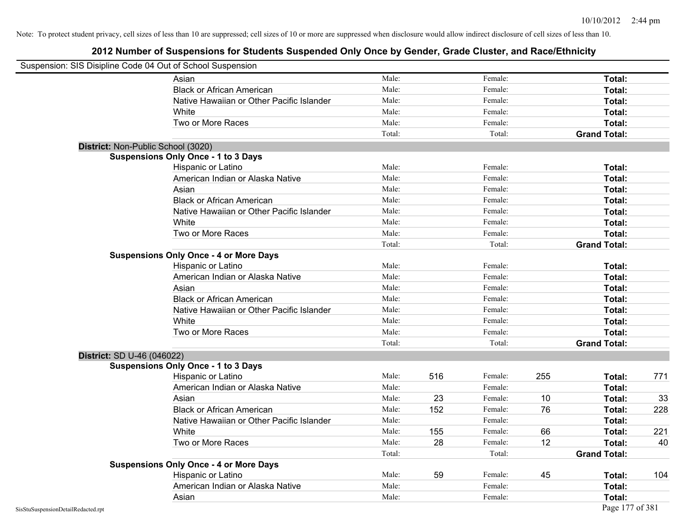|                                    | Suspension: SIS Disipline Code 04 Out of School Suspension |        |     |         |     |                     |     |
|------------------------------------|------------------------------------------------------------|--------|-----|---------|-----|---------------------|-----|
|                                    | Asian                                                      | Male:  |     | Female: |     | Total:              |     |
|                                    | <b>Black or African American</b>                           | Male:  |     | Female: |     | Total:              |     |
|                                    | Native Hawaiian or Other Pacific Islander                  | Male:  |     | Female: |     | Total:              |     |
|                                    | White                                                      | Male:  |     | Female: |     | Total:              |     |
|                                    | Two or More Races                                          | Male:  |     | Female: |     | Total:              |     |
|                                    |                                                            | Total: |     | Total:  |     | <b>Grand Total:</b> |     |
|                                    | District: Non-Public School (3020)                         |        |     |         |     |                     |     |
|                                    | <b>Suspensions Only Once - 1 to 3 Days</b>                 |        |     |         |     |                     |     |
|                                    | Hispanic or Latino                                         | Male:  |     | Female: |     | Total:              |     |
|                                    | American Indian or Alaska Native                           | Male:  |     | Female: |     | Total:              |     |
|                                    | Asian                                                      | Male:  |     | Female: |     | Total:              |     |
|                                    | <b>Black or African American</b>                           | Male:  |     | Female: |     | Total:              |     |
|                                    | Native Hawaiian or Other Pacific Islander                  | Male:  |     | Female: |     | Total:              |     |
|                                    | White                                                      | Male:  |     | Female: |     | Total:              |     |
|                                    | Two or More Races                                          | Male:  |     | Female: |     | Total:              |     |
|                                    |                                                            | Total: |     | Total:  |     | <b>Grand Total:</b> |     |
|                                    | <b>Suspensions Only Once - 4 or More Days</b>              |        |     |         |     |                     |     |
|                                    | Hispanic or Latino                                         | Male:  |     | Female: |     | Total:              |     |
|                                    | American Indian or Alaska Native                           | Male:  |     | Female: |     | Total:              |     |
|                                    | Asian                                                      | Male:  |     | Female: |     | Total:              |     |
|                                    | <b>Black or African American</b>                           | Male:  |     | Female: |     | Total:              |     |
|                                    | Native Hawaiian or Other Pacific Islander                  | Male:  |     | Female: |     | Total:              |     |
|                                    | White                                                      | Male:  |     | Female: |     | Total:              |     |
|                                    | Two or More Races                                          | Male:  |     | Female: |     | Total:              |     |
|                                    |                                                            | Total: |     | Total:  |     | <b>Grand Total:</b> |     |
|                                    | District: SD U-46 (046022)                                 |        |     |         |     |                     |     |
|                                    | <b>Suspensions Only Once - 1 to 3 Days</b>                 |        |     |         |     |                     |     |
|                                    | Hispanic or Latino                                         | Male:  | 516 | Female: | 255 | Total:              | 771 |
|                                    | American Indian or Alaska Native                           | Male:  |     | Female: |     | Total:              |     |
|                                    | Asian                                                      | Male:  | 23  | Female: | 10  | Total:              | 33  |
|                                    | <b>Black or African American</b>                           | Male:  | 152 | Female: | 76  | Total:              | 228 |
|                                    | Native Hawaiian or Other Pacific Islander                  | Male:  |     | Female: |     | Total:              |     |
|                                    | White                                                      | Male:  | 155 | Female: | 66  | Total:              | 221 |
|                                    | Two or More Races                                          | Male:  | 28  | Female: | 12  | Total:              | 40  |
|                                    |                                                            | Total: |     | Total:  |     | <b>Grand Total:</b> |     |
|                                    | <b>Suspensions Only Once - 4 or More Days</b>              |        |     |         |     |                     |     |
|                                    | Hispanic or Latino                                         | Male:  | 59  | Female: | 45  | Total:              | 104 |
|                                    | American Indian or Alaska Native                           | Male:  |     | Female: |     | Total:              |     |
|                                    | Asian                                                      | Male:  |     | Female: |     | Total:              |     |
| SisStuSuspensionDetailRedacted.rpt |                                                            |        |     |         |     | Page 177 of 381     |     |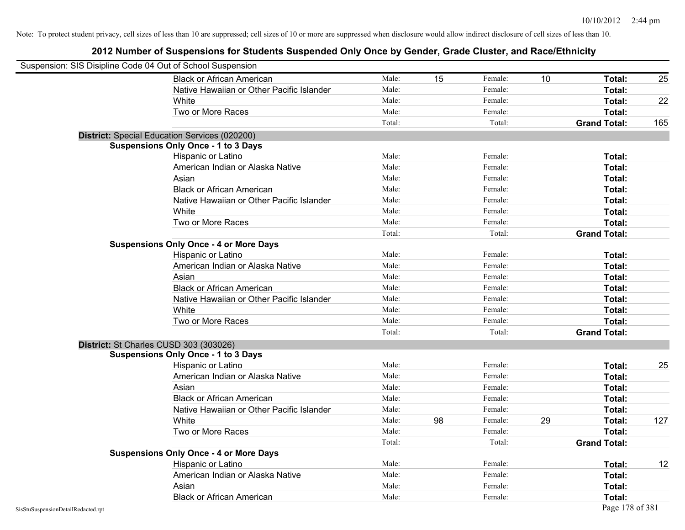| Suspension: SIS Disipline Code 04 Out of School Suspension |                                               |        |    |         |    |                     |     |
|------------------------------------------------------------|-----------------------------------------------|--------|----|---------|----|---------------------|-----|
|                                                            | <b>Black or African American</b>              | Male:  | 15 | Female: | 10 | Total:              | 25  |
|                                                            | Native Hawaiian or Other Pacific Islander     | Male:  |    | Female: |    | Total:              |     |
|                                                            | White                                         | Male:  |    | Female: |    | Total:              | 22  |
|                                                            | Two or More Races                             | Male:  |    | Female: |    | Total:              |     |
|                                                            |                                               | Total: |    | Total:  |    | <b>Grand Total:</b> | 165 |
|                                                            | District: Special Education Services (020200) |        |    |         |    |                     |     |
|                                                            | <b>Suspensions Only Once - 1 to 3 Days</b>    |        |    |         |    |                     |     |
|                                                            | Hispanic or Latino                            | Male:  |    | Female: |    | Total:              |     |
|                                                            | American Indian or Alaska Native              | Male:  |    | Female: |    | Total:              |     |
|                                                            | Asian                                         | Male:  |    | Female: |    | Total:              |     |
|                                                            | <b>Black or African American</b>              | Male:  |    | Female: |    | Total:              |     |
|                                                            | Native Hawaiian or Other Pacific Islander     | Male:  |    | Female: |    | Total:              |     |
|                                                            | White                                         | Male:  |    | Female: |    | Total:              |     |
|                                                            | Two or More Races                             | Male:  |    | Female: |    | Total:              |     |
|                                                            |                                               | Total: |    | Total:  |    | <b>Grand Total:</b> |     |
|                                                            | <b>Suspensions Only Once - 4 or More Days</b> |        |    |         |    |                     |     |
|                                                            | Hispanic or Latino                            | Male:  |    | Female: |    | Total:              |     |
|                                                            | American Indian or Alaska Native              | Male:  |    | Female: |    | Total:              |     |
|                                                            | Asian                                         | Male:  |    | Female: |    | Total:              |     |
|                                                            | <b>Black or African American</b>              | Male:  |    | Female: |    | Total:              |     |
|                                                            | Native Hawaiian or Other Pacific Islander     | Male:  |    | Female: |    | Total:              |     |
|                                                            | White                                         | Male:  |    | Female: |    | Total:              |     |
|                                                            | Two or More Races                             | Male:  |    | Female: |    | Total:              |     |
|                                                            |                                               | Total: |    | Total:  |    | <b>Grand Total:</b> |     |
|                                                            | District: St Charles CUSD 303 (303026)        |        |    |         |    |                     |     |
|                                                            | <b>Suspensions Only Once - 1 to 3 Days</b>    |        |    |         |    |                     |     |
|                                                            | Hispanic or Latino                            | Male:  |    | Female: |    | Total:              | 25  |
|                                                            | American Indian or Alaska Native              | Male:  |    | Female: |    | Total:              |     |
|                                                            | Asian                                         | Male:  |    | Female: |    | Total:              |     |
|                                                            | <b>Black or African American</b>              | Male:  |    | Female: |    | Total:              |     |
|                                                            | Native Hawaiian or Other Pacific Islander     | Male:  |    | Female: |    | Total:              |     |
|                                                            | White                                         | Male:  | 98 | Female: | 29 | Total:              | 127 |
|                                                            | Two or More Races                             | Male:  |    | Female: |    | Total:              |     |
|                                                            |                                               | Total: |    | Total:  |    | <b>Grand Total:</b> |     |
|                                                            | <b>Suspensions Only Once - 4 or More Days</b> |        |    |         |    |                     |     |
|                                                            | Hispanic or Latino                            | Male:  |    | Female: |    | Total:              | 12  |
|                                                            | American Indian or Alaska Native              | Male:  |    | Female: |    | Total:              |     |
|                                                            | Asian                                         | Male:  |    | Female: |    | Total:              |     |
|                                                            | <b>Black or African American</b>              | Male:  |    | Female: |    | Total:              |     |
| SisStuSuspensionDetailRedacted.rpt                         |                                               |        |    |         |    | Page 178 of 381     |     |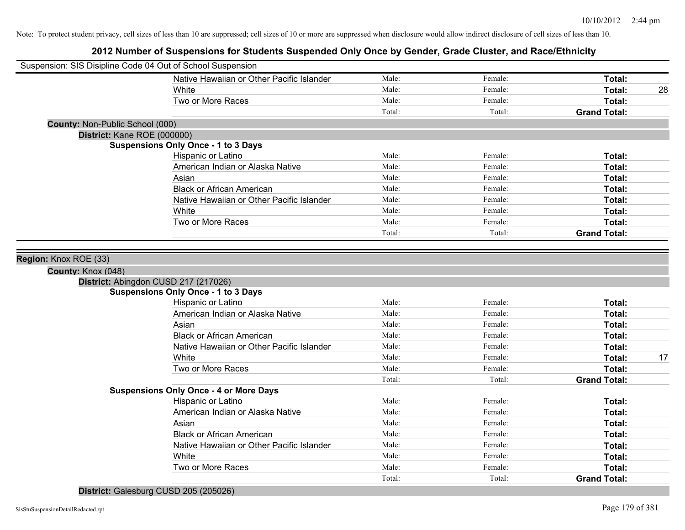## **2012 Number of Suspensions for Students Suspended Only Once by Gender, Grade Cluster, and Race/Ethnicity**

| Male:<br>Female:<br>Native Hawaiian or Other Pacific Islander<br>Total:<br>Male:<br>Female:<br>Total:<br>White<br>28<br>Male:<br>Female:<br>Two or More Races<br>Total:<br>Total:<br>Total:<br><b>Grand Total:</b><br>County: Non-Public School (000)<br>District: Kane ROE (000000)<br><b>Suspensions Only Once - 1 to 3 Days</b><br>Male:<br>Female:<br>Hispanic or Latino<br>Total:<br>Male:<br>Female:<br>American Indian or Alaska Native<br>Total:<br>Male:<br>Female:<br>Asian<br>Total:<br><b>Black or African American</b><br>Male:<br>Female:<br>Total:<br>Native Hawaiian or Other Pacific Islander<br>Male:<br>Female:<br>Total:<br>White<br>Male:<br>Female:<br>Total:<br>Two or More Races<br>Male:<br>Female:<br>Total:<br>Total:<br>Total:<br><b>Grand Total:</b><br>Region: Knox ROE (33)<br>County: Knox (048)<br>District: Abingdon CUSD 217 (217026)<br><b>Suspensions Only Once - 1 to 3 Days</b><br>Male:<br>Female:<br>Hispanic or Latino<br>Total:<br>Male:<br>Female:<br>American Indian or Alaska Native<br>Total:<br>Male:<br>Female:<br>Asian<br>Total:<br><b>Black or African American</b><br>Male:<br>Female:<br>Total:<br>Female:<br>Native Hawaiian or Other Pacific Islander<br>Male:<br>Total:<br>White<br>Male:<br>Female:<br>17<br>Total:<br>Two or More Races<br>Male:<br>Female:<br>Total:<br>Total:<br>Total:<br><b>Grand Total:</b><br><b>Suspensions Only Once - 4 or More Days</b><br>Male:<br>Hispanic or Latino<br>Female:<br>Total:<br>Male:<br>Female:<br>American Indian or Alaska Native<br>Total:<br>Male:<br>Female:<br>Asian<br>Total:<br>Male:<br><b>Black or African American</b><br>Female:<br>Total:<br>Native Hawaiian or Other Pacific Islander<br>Male:<br>Female:<br>Total:<br>White<br>Male:<br>Female:<br>Total:<br>Male:<br>Female:<br>Two or More Races<br>Total:<br>Total:<br>Total:<br><b>Grand Total:</b> | Suspension: SIS Disipline Code 04 Out of School Suspension |  |  |  |
|-----------------------------------------------------------------------------------------------------------------------------------------------------------------------------------------------------------------------------------------------------------------------------------------------------------------------------------------------------------------------------------------------------------------------------------------------------------------------------------------------------------------------------------------------------------------------------------------------------------------------------------------------------------------------------------------------------------------------------------------------------------------------------------------------------------------------------------------------------------------------------------------------------------------------------------------------------------------------------------------------------------------------------------------------------------------------------------------------------------------------------------------------------------------------------------------------------------------------------------------------------------------------------------------------------------------------------------------------------------------------------------------------------------------------------------------------------------------------------------------------------------------------------------------------------------------------------------------------------------------------------------------------------------------------------------------------------------------------------------------------------------------------------------------------------------------------------------------------------------------------------|------------------------------------------------------------|--|--|--|
|                                                                                                                                                                                                                                                                                                                                                                                                                                                                                                                                                                                                                                                                                                                                                                                                                                                                                                                                                                                                                                                                                                                                                                                                                                                                                                                                                                                                                                                                                                                                                                                                                                                                                                                                                                                                                                                                             |                                                            |  |  |  |
|                                                                                                                                                                                                                                                                                                                                                                                                                                                                                                                                                                                                                                                                                                                                                                                                                                                                                                                                                                                                                                                                                                                                                                                                                                                                                                                                                                                                                                                                                                                                                                                                                                                                                                                                                                                                                                                                             |                                                            |  |  |  |
|                                                                                                                                                                                                                                                                                                                                                                                                                                                                                                                                                                                                                                                                                                                                                                                                                                                                                                                                                                                                                                                                                                                                                                                                                                                                                                                                                                                                                                                                                                                                                                                                                                                                                                                                                                                                                                                                             |                                                            |  |  |  |
|                                                                                                                                                                                                                                                                                                                                                                                                                                                                                                                                                                                                                                                                                                                                                                                                                                                                                                                                                                                                                                                                                                                                                                                                                                                                                                                                                                                                                                                                                                                                                                                                                                                                                                                                                                                                                                                                             |                                                            |  |  |  |
|                                                                                                                                                                                                                                                                                                                                                                                                                                                                                                                                                                                                                                                                                                                                                                                                                                                                                                                                                                                                                                                                                                                                                                                                                                                                                                                                                                                                                                                                                                                                                                                                                                                                                                                                                                                                                                                                             |                                                            |  |  |  |
|                                                                                                                                                                                                                                                                                                                                                                                                                                                                                                                                                                                                                                                                                                                                                                                                                                                                                                                                                                                                                                                                                                                                                                                                                                                                                                                                                                                                                                                                                                                                                                                                                                                                                                                                                                                                                                                                             |                                                            |  |  |  |
|                                                                                                                                                                                                                                                                                                                                                                                                                                                                                                                                                                                                                                                                                                                                                                                                                                                                                                                                                                                                                                                                                                                                                                                                                                                                                                                                                                                                                                                                                                                                                                                                                                                                                                                                                                                                                                                                             |                                                            |  |  |  |
|                                                                                                                                                                                                                                                                                                                                                                                                                                                                                                                                                                                                                                                                                                                                                                                                                                                                                                                                                                                                                                                                                                                                                                                                                                                                                                                                                                                                                                                                                                                                                                                                                                                                                                                                                                                                                                                                             |                                                            |  |  |  |
|                                                                                                                                                                                                                                                                                                                                                                                                                                                                                                                                                                                                                                                                                                                                                                                                                                                                                                                                                                                                                                                                                                                                                                                                                                                                                                                                                                                                                                                                                                                                                                                                                                                                                                                                                                                                                                                                             |                                                            |  |  |  |
|                                                                                                                                                                                                                                                                                                                                                                                                                                                                                                                                                                                                                                                                                                                                                                                                                                                                                                                                                                                                                                                                                                                                                                                                                                                                                                                                                                                                                                                                                                                                                                                                                                                                                                                                                                                                                                                                             |                                                            |  |  |  |
|                                                                                                                                                                                                                                                                                                                                                                                                                                                                                                                                                                                                                                                                                                                                                                                                                                                                                                                                                                                                                                                                                                                                                                                                                                                                                                                                                                                                                                                                                                                                                                                                                                                                                                                                                                                                                                                                             |                                                            |  |  |  |
|                                                                                                                                                                                                                                                                                                                                                                                                                                                                                                                                                                                                                                                                                                                                                                                                                                                                                                                                                                                                                                                                                                                                                                                                                                                                                                                                                                                                                                                                                                                                                                                                                                                                                                                                                                                                                                                                             |                                                            |  |  |  |
|                                                                                                                                                                                                                                                                                                                                                                                                                                                                                                                                                                                                                                                                                                                                                                                                                                                                                                                                                                                                                                                                                                                                                                                                                                                                                                                                                                                                                                                                                                                                                                                                                                                                                                                                                                                                                                                                             |                                                            |  |  |  |
|                                                                                                                                                                                                                                                                                                                                                                                                                                                                                                                                                                                                                                                                                                                                                                                                                                                                                                                                                                                                                                                                                                                                                                                                                                                                                                                                                                                                                                                                                                                                                                                                                                                                                                                                                                                                                                                                             |                                                            |  |  |  |
|                                                                                                                                                                                                                                                                                                                                                                                                                                                                                                                                                                                                                                                                                                                                                                                                                                                                                                                                                                                                                                                                                                                                                                                                                                                                                                                                                                                                                                                                                                                                                                                                                                                                                                                                                                                                                                                                             |                                                            |  |  |  |
|                                                                                                                                                                                                                                                                                                                                                                                                                                                                                                                                                                                                                                                                                                                                                                                                                                                                                                                                                                                                                                                                                                                                                                                                                                                                                                                                                                                                                                                                                                                                                                                                                                                                                                                                                                                                                                                                             |                                                            |  |  |  |
|                                                                                                                                                                                                                                                                                                                                                                                                                                                                                                                                                                                                                                                                                                                                                                                                                                                                                                                                                                                                                                                                                                                                                                                                                                                                                                                                                                                                                                                                                                                                                                                                                                                                                                                                                                                                                                                                             |                                                            |  |  |  |
|                                                                                                                                                                                                                                                                                                                                                                                                                                                                                                                                                                                                                                                                                                                                                                                                                                                                                                                                                                                                                                                                                                                                                                                                                                                                                                                                                                                                                                                                                                                                                                                                                                                                                                                                                                                                                                                                             |                                                            |  |  |  |
|                                                                                                                                                                                                                                                                                                                                                                                                                                                                                                                                                                                                                                                                                                                                                                                                                                                                                                                                                                                                                                                                                                                                                                                                                                                                                                                                                                                                                                                                                                                                                                                                                                                                                                                                                                                                                                                                             |                                                            |  |  |  |
|                                                                                                                                                                                                                                                                                                                                                                                                                                                                                                                                                                                                                                                                                                                                                                                                                                                                                                                                                                                                                                                                                                                                                                                                                                                                                                                                                                                                                                                                                                                                                                                                                                                                                                                                                                                                                                                                             |                                                            |  |  |  |
|                                                                                                                                                                                                                                                                                                                                                                                                                                                                                                                                                                                                                                                                                                                                                                                                                                                                                                                                                                                                                                                                                                                                                                                                                                                                                                                                                                                                                                                                                                                                                                                                                                                                                                                                                                                                                                                                             |                                                            |  |  |  |
|                                                                                                                                                                                                                                                                                                                                                                                                                                                                                                                                                                                                                                                                                                                                                                                                                                                                                                                                                                                                                                                                                                                                                                                                                                                                                                                                                                                                                                                                                                                                                                                                                                                                                                                                                                                                                                                                             |                                                            |  |  |  |
|                                                                                                                                                                                                                                                                                                                                                                                                                                                                                                                                                                                                                                                                                                                                                                                                                                                                                                                                                                                                                                                                                                                                                                                                                                                                                                                                                                                                                                                                                                                                                                                                                                                                                                                                                                                                                                                                             |                                                            |  |  |  |
|                                                                                                                                                                                                                                                                                                                                                                                                                                                                                                                                                                                                                                                                                                                                                                                                                                                                                                                                                                                                                                                                                                                                                                                                                                                                                                                                                                                                                                                                                                                                                                                                                                                                                                                                                                                                                                                                             |                                                            |  |  |  |
|                                                                                                                                                                                                                                                                                                                                                                                                                                                                                                                                                                                                                                                                                                                                                                                                                                                                                                                                                                                                                                                                                                                                                                                                                                                                                                                                                                                                                                                                                                                                                                                                                                                                                                                                                                                                                                                                             |                                                            |  |  |  |
|                                                                                                                                                                                                                                                                                                                                                                                                                                                                                                                                                                                                                                                                                                                                                                                                                                                                                                                                                                                                                                                                                                                                                                                                                                                                                                                                                                                                                                                                                                                                                                                                                                                                                                                                                                                                                                                                             |                                                            |  |  |  |
|                                                                                                                                                                                                                                                                                                                                                                                                                                                                                                                                                                                                                                                                                                                                                                                                                                                                                                                                                                                                                                                                                                                                                                                                                                                                                                                                                                                                                                                                                                                                                                                                                                                                                                                                                                                                                                                                             |                                                            |  |  |  |
|                                                                                                                                                                                                                                                                                                                                                                                                                                                                                                                                                                                                                                                                                                                                                                                                                                                                                                                                                                                                                                                                                                                                                                                                                                                                                                                                                                                                                                                                                                                                                                                                                                                                                                                                                                                                                                                                             |                                                            |  |  |  |
|                                                                                                                                                                                                                                                                                                                                                                                                                                                                                                                                                                                                                                                                                                                                                                                                                                                                                                                                                                                                                                                                                                                                                                                                                                                                                                                                                                                                                                                                                                                                                                                                                                                                                                                                                                                                                                                                             |                                                            |  |  |  |
|                                                                                                                                                                                                                                                                                                                                                                                                                                                                                                                                                                                                                                                                                                                                                                                                                                                                                                                                                                                                                                                                                                                                                                                                                                                                                                                                                                                                                                                                                                                                                                                                                                                                                                                                                                                                                                                                             |                                                            |  |  |  |
|                                                                                                                                                                                                                                                                                                                                                                                                                                                                                                                                                                                                                                                                                                                                                                                                                                                                                                                                                                                                                                                                                                                                                                                                                                                                                                                                                                                                                                                                                                                                                                                                                                                                                                                                                                                                                                                                             |                                                            |  |  |  |
|                                                                                                                                                                                                                                                                                                                                                                                                                                                                                                                                                                                                                                                                                                                                                                                                                                                                                                                                                                                                                                                                                                                                                                                                                                                                                                                                                                                                                                                                                                                                                                                                                                                                                                                                                                                                                                                                             |                                                            |  |  |  |
|                                                                                                                                                                                                                                                                                                                                                                                                                                                                                                                                                                                                                                                                                                                                                                                                                                                                                                                                                                                                                                                                                                                                                                                                                                                                                                                                                                                                                                                                                                                                                                                                                                                                                                                                                                                                                                                                             |                                                            |  |  |  |
|                                                                                                                                                                                                                                                                                                                                                                                                                                                                                                                                                                                                                                                                                                                                                                                                                                                                                                                                                                                                                                                                                                                                                                                                                                                                                                                                                                                                                                                                                                                                                                                                                                                                                                                                                                                                                                                                             |                                                            |  |  |  |
|                                                                                                                                                                                                                                                                                                                                                                                                                                                                                                                                                                                                                                                                                                                                                                                                                                                                                                                                                                                                                                                                                                                                                                                                                                                                                                                                                                                                                                                                                                                                                                                                                                                                                                                                                                                                                                                                             |                                                            |  |  |  |
|                                                                                                                                                                                                                                                                                                                                                                                                                                                                                                                                                                                                                                                                                                                                                                                                                                                                                                                                                                                                                                                                                                                                                                                                                                                                                                                                                                                                                                                                                                                                                                                                                                                                                                                                                                                                                                                                             |                                                            |  |  |  |
|                                                                                                                                                                                                                                                                                                                                                                                                                                                                                                                                                                                                                                                                                                                                                                                                                                                                                                                                                                                                                                                                                                                                                                                                                                                                                                                                                                                                                                                                                                                                                                                                                                                                                                                                                                                                                                                                             |                                                            |  |  |  |

### **District:** Galesburg CUSD 205 (205026)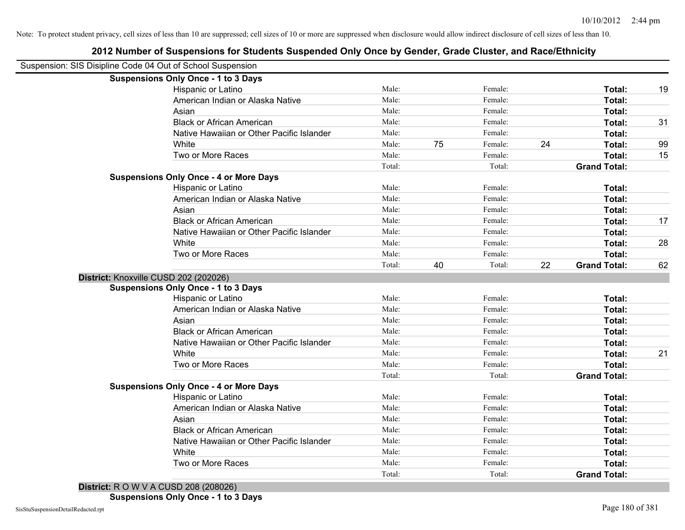| Suspension: SIS Disipline Code 04 Out of School Suspension |                                               |                 |                   |    |                               |    |
|------------------------------------------------------------|-----------------------------------------------|-----------------|-------------------|----|-------------------------------|----|
|                                                            | <b>Suspensions Only Once - 1 to 3 Days</b>    |                 |                   |    |                               |    |
|                                                            | Hispanic or Latino                            | Male:           | Female:           |    | Total:                        | 19 |
|                                                            | American Indian or Alaska Native              | Male:           | Female:           |    | Total:                        |    |
|                                                            | Asian                                         | Male:           | Female:           |    | Total:                        |    |
|                                                            | <b>Black or African American</b>              | Male:           | Female:           |    | Total:                        | 31 |
|                                                            | Native Hawaiian or Other Pacific Islander     | Male:           | Female:           |    | Total:                        |    |
|                                                            | White                                         | Male:           | 75<br>Female:     | 24 | Total:                        | 99 |
|                                                            | Two or More Races                             | Male:           | Female:           |    | Total:                        | 15 |
|                                                            |                                               | Total:          | Total:            |    | <b>Grand Total:</b>           |    |
|                                                            | <b>Suspensions Only Once - 4 or More Days</b> |                 |                   |    |                               |    |
|                                                            | Hispanic or Latino                            | Male:           | Female:           |    | Total:                        |    |
|                                                            | American Indian or Alaska Native              | Male:           | Female:           |    | Total:                        |    |
|                                                            | Asian                                         | Male:           | Female:           |    | Total:                        |    |
|                                                            | <b>Black or African American</b>              | Male:           | Female:           |    | Total:                        | 17 |
|                                                            | Native Hawaiian or Other Pacific Islander     | Male:           | Female:           |    | Total:                        |    |
|                                                            | White                                         | Male:           | Female:           |    | Total:                        | 28 |
|                                                            | Two or More Races                             | Male:           | Female:           |    | Total:                        |    |
|                                                            |                                               | Total:          | 40<br>Total:      | 22 | <b>Grand Total:</b>           | 62 |
| District: Knoxville CUSD 202 (202026)                      |                                               |                 |                   |    |                               |    |
|                                                            | <b>Suspensions Only Once - 1 to 3 Days</b>    |                 |                   |    |                               |    |
|                                                            | Hispanic or Latino                            | Male:           | Female:           |    | Total:                        |    |
|                                                            | American Indian or Alaska Native              | Male:           | Female:           |    | Total:                        |    |
|                                                            | Asian                                         | Male:           | Female:           |    | Total:                        |    |
|                                                            | <b>Black or African American</b>              | Male:           | Female:           |    | Total:                        |    |
|                                                            | Native Hawaiian or Other Pacific Islander     | Male:           | Female:           |    | Total:                        |    |
|                                                            | White                                         | Male:           | Female:           |    | Total:                        | 21 |
|                                                            | Two or More Races                             | Male:           | Female:           |    | Total:                        |    |
|                                                            |                                               | Total:          | Total:            |    | <b>Grand Total:</b>           |    |
|                                                            | <b>Suspensions Only Once - 4 or More Days</b> |                 |                   |    |                               |    |
|                                                            | Hispanic or Latino                            | Male:           | Female:           |    | Total:                        |    |
|                                                            | American Indian or Alaska Native              | Male:           | Female:           |    | Total:                        |    |
|                                                            | Asian                                         | Male:           | Female:           |    | Total:                        |    |
|                                                            |                                               |                 |                   |    |                               |    |
|                                                            | <b>Black or African American</b>              | Male:           | Female:           |    | Total:                        |    |
|                                                            | Native Hawaiian or Other Pacific Islander     | Male:           | Female:           |    | Total:                        |    |
|                                                            | White                                         | Male:           | Female:           |    | Total:                        |    |
|                                                            | Two or More Races                             | Male:<br>Total: | Female:<br>Total: |    | Total:<br><b>Grand Total:</b> |    |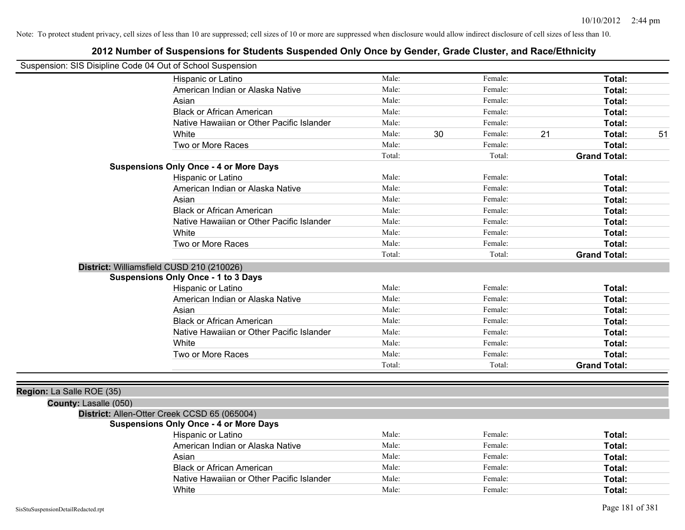| Suspension: SIS Disipline Code 04 Out of School Suspension |                                               |        |    |            |    |                     |    |
|------------------------------------------------------------|-----------------------------------------------|--------|----|------------|----|---------------------|----|
|                                                            | Hispanic or Latino                            | Male:  |    | Female:    |    | Total:              |    |
|                                                            | American Indian or Alaska Native              | Male:  |    | Female:    |    | Total:              |    |
|                                                            | Asian                                         | Male:  |    | Female:    |    | Total:              |    |
|                                                            | <b>Black or African American</b>              | Male:  |    | Female:    |    | Total:              |    |
|                                                            | Native Hawaiian or Other Pacific Islander     | Male:  |    | Female:    |    | Total:              |    |
|                                                            | White                                         | Male:  | 30 | Female:    | 21 | <b>Total:</b>       | 51 |
|                                                            | Two or More Races                             | Male:  |    | Female:    |    | <b>Total:</b>       |    |
|                                                            |                                               | Total: |    | Total:     |    | <b>Grand Total:</b> |    |
|                                                            | <b>Suspensions Only Once - 4 or More Days</b> |        |    |            |    |                     |    |
|                                                            | Hispanic or Latino                            | Male:  |    | Female:    |    | Total:              |    |
|                                                            | American Indian or Alaska Native              | Male:  |    | Female:    |    | Total:              |    |
|                                                            | Asian                                         | Male:  |    | Female:    |    | Total:              |    |
|                                                            | <b>Black or African American</b>              | Male:  |    | Female:    |    | <b>Total:</b>       |    |
|                                                            | Native Hawaiian or Other Pacific Islander     | Male:  |    | Female:    |    | <b>Total:</b>       |    |
|                                                            | White                                         | Male:  |    | Female:    |    | Total:              |    |
|                                                            | Two or More Races                             | Male:  |    | Female:    |    | Total:              |    |
|                                                            |                                               | Total: |    | Total:     |    | <b>Grand Total:</b> |    |
|                                                            | District: Williamsfield CUSD 210 (210026)     |        |    |            |    |                     |    |
|                                                            | <b>Suspensions Only Once - 1 to 3 Days</b>    |        |    |            |    |                     |    |
|                                                            | Hispanic or Latino                            | Male:  |    | Female:    |    | Total:              |    |
|                                                            | American Indian or Alaska Native              | Male:  |    | Female:    |    | Total:              |    |
|                                                            | Asian                                         | Male:  |    | Female:    |    | Total:              |    |
|                                                            | <b>Black or African American</b>              | Male:  |    | Female:    |    | <b>Total:</b>       |    |
|                                                            | Native Hawaiian or Other Pacific Islander     | Male:  |    | Female:    |    | <b>Total:</b>       |    |
|                                                            | White                                         | Male:  |    | Female:    |    | <b>Total:</b>       |    |
|                                                            | Two or More Races                             | Male:  |    | Female:    |    | <b>Total:</b>       |    |
|                                                            |                                               | Total: |    | Total:     |    | <b>Grand Total:</b> |    |
|                                                            |                                               |        |    |            |    |                     |    |
| Region: La Salle ROE (35)                                  |                                               |        |    |            |    |                     |    |
| County: Lasalle (050)                                      |                                               |        |    |            |    |                     |    |
|                                                            | District: Allen-Otter Creek CCSD 65 (065004)  |        |    |            |    |                     |    |
|                                                            | <b>Suspensions Only Once - 4 or More Days</b> |        |    |            |    |                     |    |
|                                                            | Hispanic or Latino                            | Male:  |    | Female:    |    | Total:              |    |
|                                                            | Appropriation Indian an Algebra Matters       |        |    | $\Gamma$ 1 |    | マーチェル               |    |

| , nopanio or cauno                        | .     | 1 viimb. | .      |
|-------------------------------------------|-------|----------|--------|
| American Indian or Alaska Native          | Male: | Female:  | Total: |
| Asian                                     | Male: | Female:  | Total: |
| Black or African American                 | Male: | Female:  | Total: |
| Native Hawaiian or Other Pacific Islander | Male: | Female:  | Total: |
| White                                     | Male: | Female:  | Total: |
|                                           |       |          |        |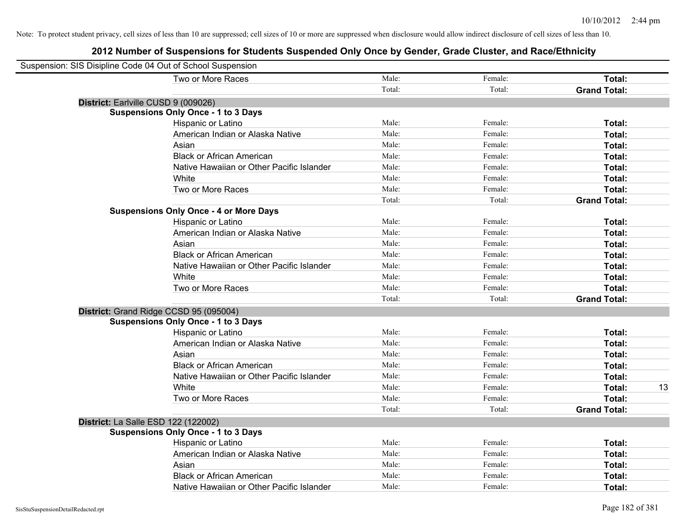| Suspension: SIS Disipline Code 04 Out of School Suspension |        |         |                     |    |
|------------------------------------------------------------|--------|---------|---------------------|----|
| Two or More Races                                          | Male:  | Female: | Total:              |    |
|                                                            | Total: | Total:  | <b>Grand Total:</b> |    |
| District: Earlville CUSD 9 (009026)                        |        |         |                     |    |
| <b>Suspensions Only Once - 1 to 3 Days</b>                 |        |         |                     |    |
| Hispanic or Latino                                         | Male:  | Female: | Total:              |    |
| American Indian or Alaska Native                           | Male:  | Female: | Total:              |    |
| Asian                                                      | Male:  | Female: | Total:              |    |
| <b>Black or African American</b>                           | Male:  | Female: | Total:              |    |
| Native Hawaiian or Other Pacific Islander                  | Male:  | Female: | Total:              |    |
| White                                                      | Male:  | Female: | Total:              |    |
| Two or More Races                                          | Male:  | Female: | Total:              |    |
|                                                            | Total: | Total:  | <b>Grand Total:</b> |    |
| <b>Suspensions Only Once - 4 or More Days</b>              |        |         |                     |    |
| Hispanic or Latino                                         | Male:  | Female: | Total:              |    |
| American Indian or Alaska Native                           | Male:  | Female: | Total:              |    |
| Asian                                                      | Male:  | Female: | Total:              |    |
| <b>Black or African American</b>                           | Male:  | Female: | Total:              |    |
| Native Hawaiian or Other Pacific Islander                  | Male:  | Female: | Total:              |    |
| White                                                      | Male:  | Female: | Total:              |    |
| Two or More Races                                          | Male:  | Female: | Total:              |    |
|                                                            | Total: | Total:  | <b>Grand Total:</b> |    |
| District: Grand Ridge CCSD 95 (095004)                     |        |         |                     |    |
| <b>Suspensions Only Once - 1 to 3 Days</b>                 |        |         |                     |    |
| Hispanic or Latino                                         | Male:  | Female: | Total:              |    |
| American Indian or Alaska Native                           | Male:  | Female: | Total:              |    |
| Asian                                                      | Male:  | Female: | Total:              |    |
| <b>Black or African American</b>                           | Male:  | Female: | Total:              |    |
| Native Hawaiian or Other Pacific Islander                  | Male:  | Female: | Total:              |    |
| White                                                      | Male:  | Female: | Total:              | 13 |
| Two or More Races                                          | Male:  | Female: | Total:              |    |
|                                                            | Total: | Total:  | <b>Grand Total:</b> |    |
| <b>District: La Salle ESD 122 (122002)</b>                 |        |         |                     |    |
| <b>Suspensions Only Once - 1 to 3 Days</b>                 |        |         |                     |    |
| Hispanic or Latino                                         | Male:  | Female: | Total:              |    |
| American Indian or Alaska Native                           | Male:  | Female: | Total:              |    |
| Asian                                                      | Male:  | Female: | Total:              |    |
| <b>Black or African American</b>                           | Male:  | Female: | Total:              |    |
| Native Hawaiian or Other Pacific Islander                  | Male:  | Female: | Total:              |    |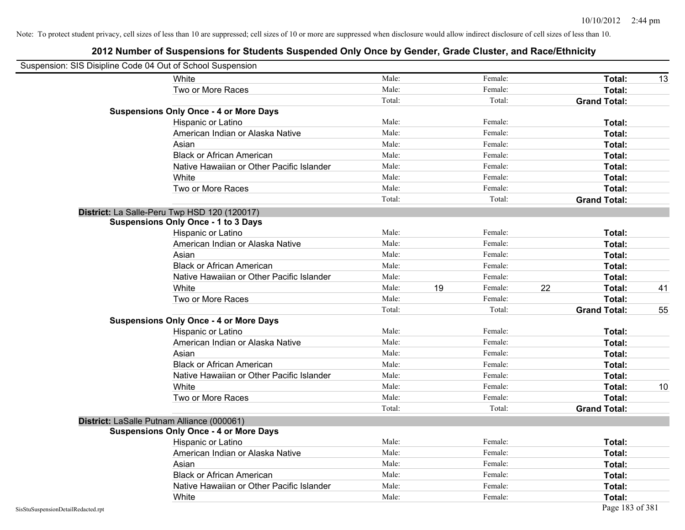| Suspension: SIS Disipline Code 04 Out of School Suspension |                                               |        |    |         |    |                     |    |
|------------------------------------------------------------|-----------------------------------------------|--------|----|---------|----|---------------------|----|
|                                                            | White                                         | Male:  |    | Female: |    | Total:              | 13 |
|                                                            | Two or More Races                             | Male:  |    | Female: |    | Total:              |    |
|                                                            |                                               | Total: |    | Total:  |    | <b>Grand Total:</b> |    |
|                                                            | <b>Suspensions Only Once - 4 or More Days</b> |        |    |         |    |                     |    |
|                                                            | Hispanic or Latino                            | Male:  |    | Female: |    | Total:              |    |
|                                                            | American Indian or Alaska Native              | Male:  |    | Female: |    | Total:              |    |
|                                                            | Asian                                         | Male:  |    | Female: |    | Total:              |    |
|                                                            | <b>Black or African American</b>              | Male:  |    | Female: |    | Total:              |    |
|                                                            | Native Hawaiian or Other Pacific Islander     | Male:  |    | Female: |    | Total:              |    |
|                                                            | White                                         | Male:  |    | Female: |    | Total:              |    |
|                                                            | Two or More Races                             | Male:  |    | Female: |    | Total:              |    |
|                                                            |                                               | Total: |    | Total:  |    | <b>Grand Total:</b> |    |
|                                                            | District: La Salle-Peru Twp HSD 120 (120017)  |        |    |         |    |                     |    |
|                                                            | <b>Suspensions Only Once - 1 to 3 Days</b>    |        |    |         |    |                     |    |
|                                                            | Hispanic or Latino                            | Male:  |    | Female: |    | Total:              |    |
|                                                            | American Indian or Alaska Native              | Male:  |    | Female: |    | Total:              |    |
|                                                            | Asian                                         | Male:  |    | Female: |    | Total:              |    |
|                                                            | <b>Black or African American</b>              | Male:  |    | Female: |    | Total:              |    |
|                                                            | Native Hawaiian or Other Pacific Islander     | Male:  |    | Female: |    | Total:              |    |
|                                                            | White                                         | Male:  | 19 | Female: | 22 | Total:              | 41 |
|                                                            | Two or More Races                             | Male:  |    | Female: |    | Total:              |    |
|                                                            |                                               | Total: |    | Total:  |    | <b>Grand Total:</b> | 55 |
|                                                            | <b>Suspensions Only Once - 4 or More Days</b> |        |    |         |    |                     |    |
|                                                            | Hispanic or Latino                            | Male:  |    | Female: |    | Total:              |    |
|                                                            | American Indian or Alaska Native              | Male:  |    | Female: |    | Total:              |    |
|                                                            | Asian                                         | Male:  |    | Female: |    | Total:              |    |
|                                                            | <b>Black or African American</b>              | Male:  |    | Female: |    | Total:              |    |
|                                                            | Native Hawaiian or Other Pacific Islander     | Male:  |    | Female: |    | Total:              |    |
|                                                            | White                                         | Male:  |    | Female: |    | Total:              | 10 |
|                                                            | Two or More Races                             | Male:  |    | Female: |    | Total:              |    |
|                                                            |                                               | Total: |    | Total:  |    | <b>Grand Total:</b> |    |
|                                                            | District: LaSalle Putnam Alliance (000061)    |        |    |         |    |                     |    |
|                                                            | <b>Suspensions Only Once - 4 or More Days</b> |        |    |         |    |                     |    |
|                                                            | Hispanic or Latino                            | Male:  |    | Female: |    | Total:              |    |
|                                                            | American Indian or Alaska Native              | Male:  |    | Female: |    | Total:              |    |
|                                                            | Asian                                         | Male:  |    | Female: |    | Total:              |    |
|                                                            | <b>Black or African American</b>              | Male:  |    | Female: |    | Total:              |    |
|                                                            | Native Hawaiian or Other Pacific Islander     | Male:  |    | Female: |    | Total:              |    |
|                                                            | White                                         | Male:  |    | Female: |    | Total:              |    |
| SisStuSuspensionDetailRedacted.rpt                         |                                               |        |    |         |    | Page 183 of 381     |    |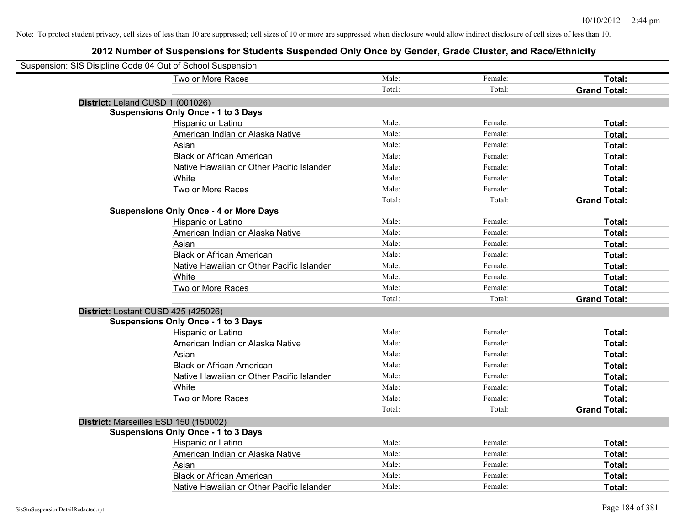| Suspension: SIS Disipline Code 04 Out of School Suspension |        |         |                     |
|------------------------------------------------------------|--------|---------|---------------------|
| Two or More Races                                          | Male:  | Female: | Total:              |
|                                                            | Total: | Total:  | <b>Grand Total:</b> |
| District: Leland CUSD 1 (001026)                           |        |         |                     |
| <b>Suspensions Only Once - 1 to 3 Days</b>                 |        |         |                     |
| Hispanic or Latino                                         | Male:  | Female: | Total:              |
| American Indian or Alaska Native                           | Male:  | Female: | Total:              |
| Asian                                                      | Male:  | Female: | Total:              |
| <b>Black or African American</b>                           | Male:  | Female: | Total:              |
| Native Hawaiian or Other Pacific Islander                  | Male:  | Female: | Total:              |
| White                                                      | Male:  | Female: | Total:              |
| Two or More Races                                          | Male:  | Female: | Total:              |
|                                                            | Total: | Total:  | <b>Grand Total:</b> |
| <b>Suspensions Only Once - 4 or More Days</b>              |        |         |                     |
| Hispanic or Latino                                         | Male:  | Female: | Total:              |
| American Indian or Alaska Native                           | Male:  | Female: | Total:              |
| Asian                                                      | Male:  | Female: | Total:              |
| <b>Black or African American</b>                           | Male:  | Female: | Total:              |
| Native Hawaiian or Other Pacific Islander                  | Male:  | Female: | Total:              |
| White                                                      | Male:  | Female: | Total:              |
| Two or More Races                                          | Male:  | Female: | Total:              |
|                                                            | Total: | Total:  | <b>Grand Total:</b> |
| District: Lostant CUSD 425 (425026)                        |        |         |                     |
| <b>Suspensions Only Once - 1 to 3 Days</b>                 |        |         |                     |
| Hispanic or Latino                                         | Male:  | Female: | Total:              |
| American Indian or Alaska Native                           | Male:  | Female: | Total:              |
| Asian                                                      | Male:  | Female: | Total:              |
| <b>Black or African American</b>                           | Male:  | Female: | Total:              |
| Native Hawaiian or Other Pacific Islander                  | Male:  | Female: | Total:              |
| White                                                      | Male:  | Female: | Total:              |
| Two or More Races                                          | Male:  | Female: | Total:              |
|                                                            | Total: | Total:  | <b>Grand Total:</b> |
| District: Marseilles ESD 150 (150002)                      |        |         |                     |
| <b>Suspensions Only Once - 1 to 3 Days</b>                 |        |         |                     |
| Hispanic or Latino                                         | Male:  | Female: | Total:              |
| American Indian or Alaska Native                           | Male:  | Female: | Total:              |
| Asian                                                      | Male:  | Female: | Total:              |
| <b>Black or African American</b>                           | Male:  | Female: | Total:              |
| Native Hawaiian or Other Pacific Islander                  | Male:  | Female: | Total:              |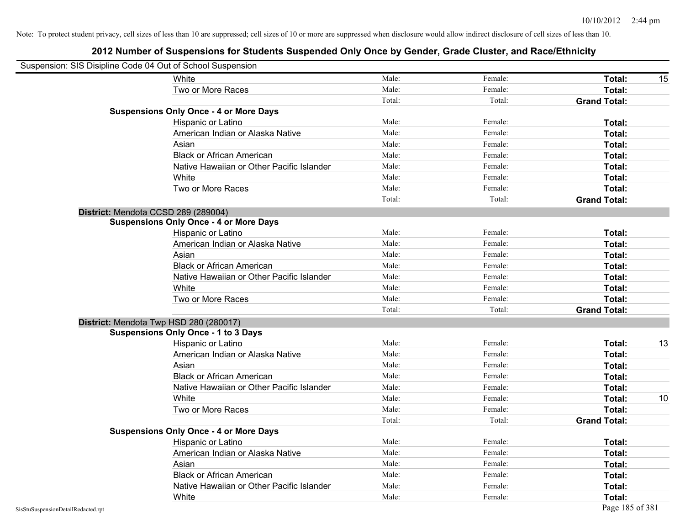| Suspension: SIS Disipline Code 04 Out of School Suspension | White                                                                                | Male:  | Female: | Total:              | 15 |
|------------------------------------------------------------|--------------------------------------------------------------------------------------|--------|---------|---------------------|----|
|                                                            | Two or More Races                                                                    | Male:  | Female: | Total:              |    |
|                                                            |                                                                                      | Total: | Total:  | <b>Grand Total:</b> |    |
|                                                            | <b>Suspensions Only Once - 4 or More Days</b>                                        |        |         |                     |    |
|                                                            | Hispanic or Latino                                                                   | Male:  | Female: | Total:              |    |
|                                                            | American Indian or Alaska Native                                                     | Male:  | Female: | Total:              |    |
|                                                            | Asian                                                                                | Male:  | Female: | Total:              |    |
|                                                            | <b>Black or African American</b>                                                     | Male:  | Female: | Total:              |    |
|                                                            | Native Hawaiian or Other Pacific Islander                                            | Male:  | Female: | Total:              |    |
|                                                            | White                                                                                | Male:  | Female: | Total:              |    |
|                                                            | Two or More Races                                                                    | Male:  | Female: | Total:              |    |
|                                                            |                                                                                      | Total: | Total:  | <b>Grand Total:</b> |    |
|                                                            |                                                                                      |        |         |                     |    |
|                                                            | District: Mendota CCSD 289 (289004)<br><b>Suspensions Only Once - 4 or More Days</b> |        |         |                     |    |
|                                                            | Hispanic or Latino                                                                   | Male:  | Female: | Total:              |    |
|                                                            | American Indian or Alaska Native                                                     | Male:  | Female: | Total:              |    |
|                                                            | Asian                                                                                | Male:  | Female: | Total:              |    |
|                                                            | <b>Black or African American</b>                                                     | Male:  | Female: | Total:              |    |
|                                                            | Native Hawaiian or Other Pacific Islander                                            | Male:  | Female: | Total:              |    |
|                                                            | White                                                                                | Male:  | Female: | Total:              |    |
|                                                            | Two or More Races                                                                    | Male:  | Female: | Total:              |    |
|                                                            |                                                                                      | Total: | Total:  | <b>Grand Total:</b> |    |
|                                                            | District: Mendota Twp HSD 280 (280017)                                               |        |         |                     |    |
|                                                            | <b>Suspensions Only Once - 1 to 3 Days</b>                                           |        |         |                     |    |
|                                                            | Hispanic or Latino                                                                   | Male:  | Female: | Total:              | 13 |
|                                                            | American Indian or Alaska Native                                                     | Male:  | Female: | Total:              |    |
|                                                            | Asian                                                                                | Male:  | Female: | Total:              |    |
|                                                            | <b>Black or African American</b>                                                     | Male:  | Female: | Total:              |    |
|                                                            | Native Hawaiian or Other Pacific Islander                                            | Male:  | Female: | Total:              |    |
|                                                            | White                                                                                | Male:  | Female: | Total:              | 10 |
|                                                            | Two or More Races                                                                    | Male:  | Female: | Total:              |    |
|                                                            |                                                                                      | Total: | Total:  | <b>Grand Total:</b> |    |
|                                                            | <b>Suspensions Only Once - 4 or More Days</b>                                        |        |         |                     |    |
|                                                            | Hispanic or Latino                                                                   | Male:  | Female: | Total:              |    |
|                                                            | American Indian or Alaska Native                                                     | Male:  | Female: | Total:              |    |
|                                                            | Asian                                                                                | Male:  | Female: | Total:              |    |
|                                                            | <b>Black or African American</b>                                                     | Male:  | Female: | Total:              |    |
|                                                            | Native Hawaiian or Other Pacific Islander                                            | Male:  | Female: | Total:              |    |
|                                                            | White                                                                                | Male:  | Female: | Total:              |    |
| SisStuSuspensionDetailRedacted.rpt                         |                                                                                      |        |         | Page 185 of 381     |    |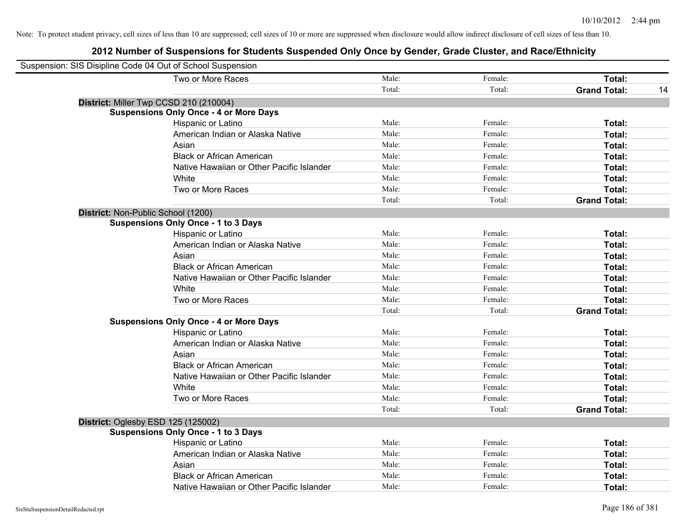| Suspension: SIS Disipline Code 04 Out of School Suspension |                                               |        |         |                           |
|------------------------------------------------------------|-----------------------------------------------|--------|---------|---------------------------|
|                                                            | Two or More Races                             | Male:  | Female: | Total:                    |
|                                                            |                                               | Total: | Total:  | <b>Grand Total:</b><br>14 |
| District: Miller Twp CCSD 210 (210004)                     |                                               |        |         |                           |
|                                                            | <b>Suspensions Only Once - 4 or More Days</b> |        |         |                           |
|                                                            | Hispanic or Latino                            | Male:  | Female: | Total:                    |
|                                                            | American Indian or Alaska Native              | Male:  | Female: | Total:                    |
|                                                            | Asian                                         | Male:  | Female: | Total:                    |
|                                                            | <b>Black or African American</b>              | Male:  | Female: | Total:                    |
|                                                            | Native Hawaiian or Other Pacific Islander     | Male:  | Female: | Total:                    |
|                                                            | White                                         | Male:  | Female: | Total:                    |
|                                                            | Two or More Races                             | Male:  | Female: | Total:                    |
|                                                            |                                               | Total: | Total:  | <b>Grand Total:</b>       |
| District: Non-Public School (1200)                         |                                               |        |         |                           |
|                                                            | <b>Suspensions Only Once - 1 to 3 Days</b>    |        |         |                           |
|                                                            | Hispanic or Latino                            | Male:  | Female: | Total:                    |
|                                                            | American Indian or Alaska Native              | Male:  | Female: | Total:                    |
|                                                            | Asian                                         | Male:  | Female: | Total:                    |
|                                                            | <b>Black or African American</b>              | Male:  | Female: | Total:                    |
|                                                            | Native Hawaiian or Other Pacific Islander     | Male:  | Female: | Total:                    |
|                                                            | White                                         | Male:  | Female: | Total:                    |
|                                                            | Two or More Races                             | Male:  | Female: | Total:                    |
|                                                            |                                               | Total: | Total:  | <b>Grand Total:</b>       |
|                                                            | <b>Suspensions Only Once - 4 or More Days</b> |        |         |                           |
|                                                            | Hispanic or Latino                            | Male:  | Female: | Total:                    |
|                                                            | American Indian or Alaska Native              | Male:  | Female: | Total:                    |
|                                                            | Asian                                         | Male:  | Female: | Total:                    |
|                                                            | <b>Black or African American</b>              | Male:  | Female: | Total:                    |
|                                                            | Native Hawaiian or Other Pacific Islander     | Male:  | Female: | Total:                    |
|                                                            | White                                         | Male:  | Female: | Total:                    |
|                                                            | Two or More Races                             | Male:  | Female: | Total:                    |
|                                                            |                                               | Total: | Total:  | <b>Grand Total:</b>       |
| District: Oglesby ESD 125 (125002)                         |                                               |        |         |                           |
|                                                            | <b>Suspensions Only Once - 1 to 3 Days</b>    |        |         |                           |
|                                                            | Hispanic or Latino                            | Male:  | Female: | Total:                    |
|                                                            | American Indian or Alaska Native              | Male:  | Female: | Total:                    |
|                                                            | Asian                                         | Male:  | Female: | Total:                    |
|                                                            | <b>Black or African American</b>              | Male:  | Female: | Total:                    |
|                                                            | Native Hawaiian or Other Pacific Islander     | Male:  | Female: | Total:                    |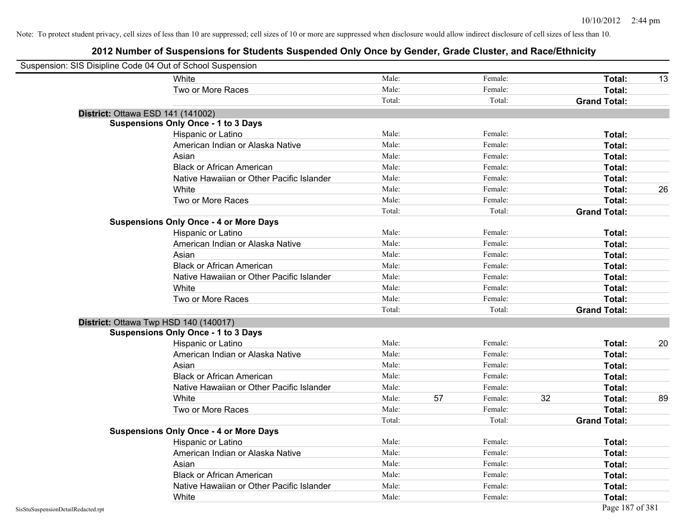| Suspension: SIS Disipline Code 04 Out of School Suspension |                                               |        |    |         |    |                     |    |
|------------------------------------------------------------|-----------------------------------------------|--------|----|---------|----|---------------------|----|
|                                                            | <b>White</b>                                  | Male:  |    | Female: |    | Total:              | 13 |
|                                                            | Two or More Races                             | Male:  |    | Female: |    | Total:              |    |
|                                                            |                                               | Total: |    | Total:  |    | <b>Grand Total:</b> |    |
| District: Ottawa ESD 141 (141002)                          |                                               |        |    |         |    |                     |    |
|                                                            | <b>Suspensions Only Once - 1 to 3 Days</b>    |        |    |         |    |                     |    |
|                                                            | Hispanic or Latino                            | Male:  |    | Female: |    | Total:              |    |
|                                                            | American Indian or Alaska Native              | Male:  |    | Female: |    | Total:              |    |
|                                                            | Asian                                         | Male:  |    | Female: |    | Total:              |    |
|                                                            | <b>Black or African American</b>              | Male:  |    | Female: |    | Total:              |    |
|                                                            | Native Hawaiian or Other Pacific Islander     | Male:  |    | Female: |    | Total:              |    |
|                                                            | White                                         | Male:  |    | Female: |    | Total:              | 26 |
|                                                            | Two or More Races                             | Male:  |    | Female: |    | Total:              |    |
|                                                            |                                               | Total: |    | Total:  |    | <b>Grand Total:</b> |    |
|                                                            | <b>Suspensions Only Once - 4 or More Days</b> |        |    |         |    |                     |    |
|                                                            | Hispanic or Latino                            | Male:  |    | Female: |    | Total:              |    |
|                                                            | American Indian or Alaska Native              | Male:  |    | Female: |    | Total:              |    |
|                                                            | Asian                                         | Male:  |    | Female: |    | Total:              |    |
|                                                            | <b>Black or African American</b>              | Male:  |    | Female: |    | Total:              |    |
|                                                            | Native Hawaiian or Other Pacific Islander     | Male:  |    | Female: |    | Total:              |    |
|                                                            | White                                         | Male:  |    | Female: |    | Total:              |    |
|                                                            | Two or More Races                             | Male:  |    | Female: |    | Total:              |    |
|                                                            |                                               | Total: |    | Total:  |    | <b>Grand Total:</b> |    |
| District: Ottawa Twp HSD 140 (140017)                      |                                               |        |    |         |    |                     |    |
|                                                            | <b>Suspensions Only Once - 1 to 3 Days</b>    |        |    |         |    |                     |    |
|                                                            | Hispanic or Latino                            | Male:  |    | Female: |    | Total:              | 20 |
|                                                            | American Indian or Alaska Native              | Male:  |    | Female: |    | Total:              |    |
|                                                            | Asian                                         | Male:  |    | Female: |    | Total:              |    |
|                                                            | <b>Black or African American</b>              | Male:  |    | Female: |    | Total:              |    |
|                                                            | Native Hawaiian or Other Pacific Islander     | Male:  |    | Female: |    | Total:              |    |
|                                                            | White                                         | Male:  | 57 | Female: | 32 | Total:              | 89 |
|                                                            | Two or More Races                             | Male:  |    | Female: |    | Total:              |    |
|                                                            |                                               | Total: |    | Total:  |    | <b>Grand Total:</b> |    |
|                                                            | <b>Suspensions Only Once - 4 or More Days</b> |        |    |         |    |                     |    |
|                                                            | Hispanic or Latino                            | Male:  |    | Female: |    | Total:              |    |
|                                                            | American Indian or Alaska Native              | Male:  |    | Female: |    | Total:              |    |
|                                                            | Asian                                         | Male:  |    | Female: |    | Total:              |    |
|                                                            | <b>Black or African American</b>              | Male:  |    | Female: |    | Total:              |    |
|                                                            | Native Hawaiian or Other Pacific Islander     | Male:  |    | Female: |    | Total:              |    |
|                                                            | White                                         | Male:  |    | Female: |    | Total:              |    |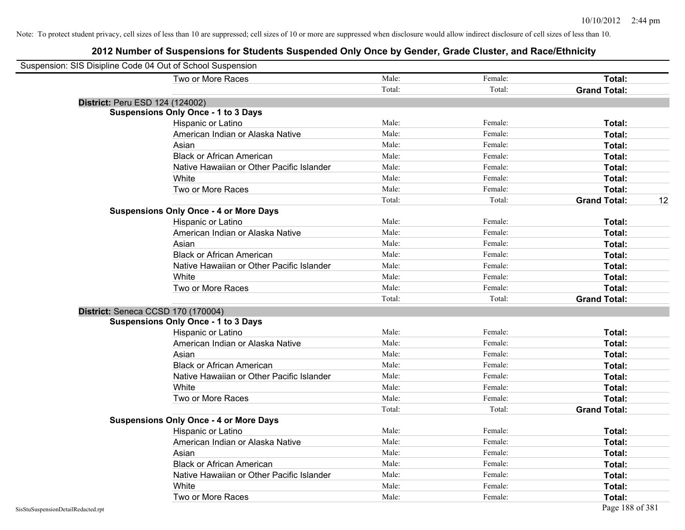| Suspension: SIS Disipline Code 04 Out of School Suspension |        |         |                     |    |
|------------------------------------------------------------|--------|---------|---------------------|----|
| Two or More Races                                          | Male:  | Female: | Total:              |    |
|                                                            | Total: | Total:  | <b>Grand Total:</b> |    |
| <b>District: Peru ESD 124 (124002)</b>                     |        |         |                     |    |
| <b>Suspensions Only Once - 1 to 3 Days</b>                 |        |         |                     |    |
| Hispanic or Latino                                         | Male:  | Female: | Total:              |    |
| American Indian or Alaska Native                           | Male:  | Female: | Total:              |    |
| Asian                                                      | Male:  | Female: | Total:              |    |
| <b>Black or African American</b>                           | Male:  | Female: | Total:              |    |
| Native Hawaiian or Other Pacific Islander                  | Male:  | Female: | Total:              |    |
| White                                                      | Male:  | Female: | Total:              |    |
| Two or More Races                                          | Male:  | Female: | <b>Total:</b>       |    |
|                                                            | Total: | Total:  | <b>Grand Total:</b> | 12 |
| <b>Suspensions Only Once - 4 or More Days</b>              |        |         |                     |    |
| Hispanic or Latino                                         | Male:  | Female: | Total:              |    |
| American Indian or Alaska Native                           | Male:  | Female: | Total:              |    |
| Asian                                                      | Male:  | Female: | Total:              |    |
| <b>Black or African American</b>                           | Male:  | Female: | Total:              |    |
| Native Hawaiian or Other Pacific Islander                  | Male:  | Female: | Total:              |    |
| White                                                      | Male:  | Female: | Total:              |    |
| Two or More Races                                          | Male:  | Female: | Total:              |    |
|                                                            | Total: | Total:  | <b>Grand Total:</b> |    |
| District: Seneca CCSD 170 (170004)                         |        |         |                     |    |
| <b>Suspensions Only Once - 1 to 3 Days</b>                 |        |         |                     |    |
| Hispanic or Latino                                         | Male:  | Female: | Total:              |    |
| American Indian or Alaska Native                           | Male:  | Female: | Total:              |    |
| Asian                                                      | Male:  | Female: | Total:              |    |
| <b>Black or African American</b>                           | Male:  | Female: | Total:              |    |
| Native Hawaiian or Other Pacific Islander                  | Male:  | Female: | Total:              |    |
| White                                                      | Male:  | Female: | Total:              |    |
| Two or More Races                                          | Male:  | Female: | Total:              |    |
|                                                            | Total: | Total:  | <b>Grand Total:</b> |    |
| <b>Suspensions Only Once - 4 or More Days</b>              |        |         |                     |    |
| Hispanic or Latino                                         | Male:  | Female: | Total:              |    |
| American Indian or Alaska Native                           | Male:  | Female: | Total:              |    |
| Asian                                                      | Male:  | Female: | Total:              |    |
| <b>Black or African American</b>                           | Male:  | Female: | Total:              |    |
| Native Hawaiian or Other Pacific Islander                  | Male:  | Female: | Total:              |    |
| White                                                      | Male:  | Female: | Total:              |    |
| Two or More Races                                          | Male:  | Female: | Total:              |    |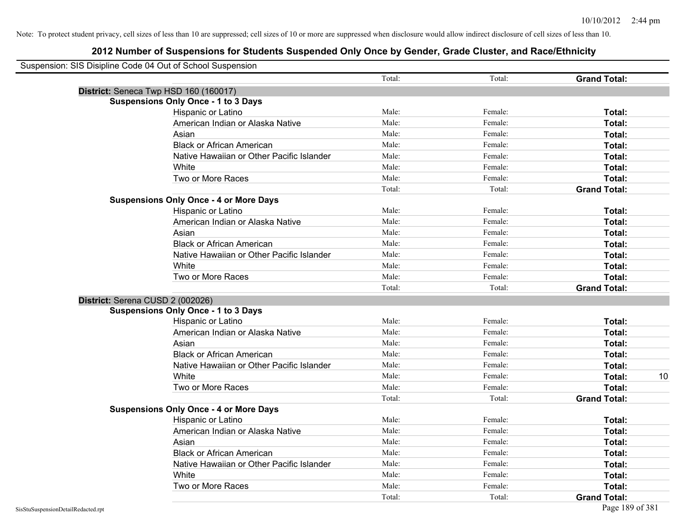| Suspension: SIS Disipline Code 04 Out of School Suspension |                                               |        |         |                     |
|------------------------------------------------------------|-----------------------------------------------|--------|---------|---------------------|
|                                                            |                                               | Total: | Total:  | <b>Grand Total:</b> |
| District: Seneca Twp HSD 160 (160017)                      |                                               |        |         |                     |
|                                                            | <b>Suspensions Only Once - 1 to 3 Days</b>    |        |         |                     |
|                                                            | Hispanic or Latino                            | Male:  | Female: | Total:              |
|                                                            | American Indian or Alaska Native              | Male:  | Female: | Total:              |
|                                                            | Asian                                         | Male:  | Female: | Total:              |
|                                                            | <b>Black or African American</b>              | Male:  | Female: | Total:              |
|                                                            | Native Hawaiian or Other Pacific Islander     | Male:  | Female: | Total:              |
|                                                            | White                                         | Male:  | Female: | Total:              |
|                                                            | Two or More Races                             | Male:  | Female: | Total:              |
|                                                            |                                               | Total: | Total:  | <b>Grand Total:</b> |
|                                                            | <b>Suspensions Only Once - 4 or More Days</b> |        |         |                     |
|                                                            | Hispanic or Latino                            | Male:  | Female: | Total:              |
|                                                            | American Indian or Alaska Native              | Male:  | Female: | Total:              |
|                                                            | Asian                                         | Male:  | Female: | Total:              |
|                                                            | <b>Black or African American</b>              | Male:  | Female: | Total:              |
|                                                            | Native Hawaiian or Other Pacific Islander     | Male:  | Female: | Total:              |
|                                                            | White                                         | Male:  | Female: | Total:              |
|                                                            | Two or More Races                             | Male:  | Female: | Total:              |
|                                                            |                                               | Total: | Total:  | <b>Grand Total:</b> |
| District: Serena CUSD 2 (002026)                           |                                               |        |         |                     |
|                                                            | <b>Suspensions Only Once - 1 to 3 Days</b>    |        |         |                     |
|                                                            | Hispanic or Latino                            | Male:  | Female: | Total:              |
|                                                            | American Indian or Alaska Native              | Male:  | Female: | Total:              |
|                                                            | Asian                                         | Male:  | Female: | Total:              |
|                                                            | <b>Black or African American</b>              | Male:  | Female: | Total:              |
|                                                            | Native Hawaiian or Other Pacific Islander     | Male:  | Female: | Total:              |
|                                                            | White                                         | Male:  | Female: | Total:<br>10        |
|                                                            | Two or More Races                             | Male:  | Female: | Total:              |
|                                                            |                                               | Total: | Total:  | <b>Grand Total:</b> |
|                                                            | <b>Suspensions Only Once - 4 or More Days</b> |        |         |                     |
|                                                            | Hispanic or Latino                            | Male:  | Female: | Total:              |
|                                                            | American Indian or Alaska Native              | Male:  | Female: | Total:              |
|                                                            | Asian                                         | Male:  | Female: | Total:              |
|                                                            | <b>Black or African American</b>              | Male:  | Female: | Total:              |
|                                                            | Native Hawaiian or Other Pacific Islander     | Male:  | Female: | Total:              |
|                                                            | White                                         | Male:  | Female: | Total:              |
|                                                            | Two or More Races                             | Male:  | Female: | Total:              |
|                                                            |                                               | Total: | Total:  | <b>Grand Total:</b> |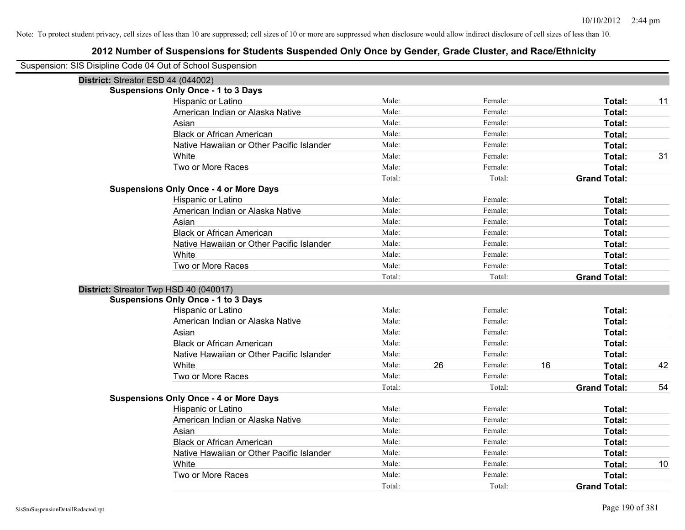| Suspension: SIS Disipline Code 04 Out of School Suspension |                                               |        |    |         |    |                     |    |
|------------------------------------------------------------|-----------------------------------------------|--------|----|---------|----|---------------------|----|
| District: Streator ESD 44 (044002)                         |                                               |        |    |         |    |                     |    |
|                                                            | <b>Suspensions Only Once - 1 to 3 Days</b>    |        |    |         |    |                     |    |
|                                                            | Hispanic or Latino                            | Male:  |    | Female: |    | Total:              | 11 |
|                                                            | American Indian or Alaska Native              | Male:  |    | Female: |    | Total:              |    |
|                                                            | Asian                                         | Male:  |    | Female: |    | Total:              |    |
|                                                            | <b>Black or African American</b>              | Male:  |    | Female: |    | Total:              |    |
|                                                            | Native Hawaiian or Other Pacific Islander     | Male:  |    | Female: |    | Total:              |    |
|                                                            | White                                         | Male:  |    | Female: |    | Total:              | 31 |
|                                                            | Two or More Races                             | Male:  |    | Female: |    | Total:              |    |
|                                                            |                                               | Total: |    | Total:  |    | <b>Grand Total:</b> |    |
|                                                            | <b>Suspensions Only Once - 4 or More Days</b> |        |    |         |    |                     |    |
|                                                            | Hispanic or Latino                            | Male:  |    | Female: |    | Total:              |    |
|                                                            | American Indian or Alaska Native              | Male:  |    | Female: |    | Total:              |    |
|                                                            | Asian                                         | Male:  |    | Female: |    | Total:              |    |
|                                                            | <b>Black or African American</b>              | Male:  |    | Female: |    | Total:              |    |
|                                                            | Native Hawaiian or Other Pacific Islander     | Male:  |    | Female: |    | Total:              |    |
|                                                            | White                                         | Male:  |    | Female: |    | Total:              |    |
|                                                            | Two or More Races                             | Male:  |    | Female: |    | Total:              |    |
|                                                            |                                               | Total: |    | Total:  |    | <b>Grand Total:</b> |    |
| District: Streator Twp HSD 40 (040017)                     |                                               |        |    |         |    |                     |    |
|                                                            | <b>Suspensions Only Once - 1 to 3 Days</b>    |        |    |         |    |                     |    |
|                                                            | Hispanic or Latino                            | Male:  |    | Female: |    | Total:              |    |
|                                                            | American Indian or Alaska Native              | Male:  |    | Female: |    | Total:              |    |
|                                                            | Asian                                         | Male:  |    | Female: |    | Total:              |    |
|                                                            | <b>Black or African American</b>              | Male:  |    | Female: |    | Total:              |    |
|                                                            | Native Hawaiian or Other Pacific Islander     | Male:  |    | Female: |    | Total:              |    |
|                                                            | White                                         | Male:  | 26 | Female: | 16 | Total:              | 42 |
|                                                            | Two or More Races                             | Male:  |    | Female: |    | Total:              |    |
|                                                            |                                               | Total: |    | Total:  |    | <b>Grand Total:</b> | 54 |
|                                                            | <b>Suspensions Only Once - 4 or More Days</b> |        |    |         |    |                     |    |
|                                                            | Hispanic or Latino                            | Male:  |    | Female: |    | Total:              |    |
|                                                            | American Indian or Alaska Native              | Male:  |    | Female: |    | Total:              |    |
|                                                            | Asian                                         | Male:  |    | Female: |    | Total:              |    |
|                                                            | <b>Black or African American</b>              | Male:  |    | Female: |    | Total:              |    |
|                                                            | Native Hawaiian or Other Pacific Islander     | Male:  |    | Female: |    | Total:              |    |
|                                                            | White                                         | Male:  |    | Female: |    | Total:              | 10 |
|                                                            | Two or More Races                             | Male:  |    | Female: |    | Total:              |    |
|                                                            |                                               | Total: |    | Total:  |    | <b>Grand Total:</b> |    |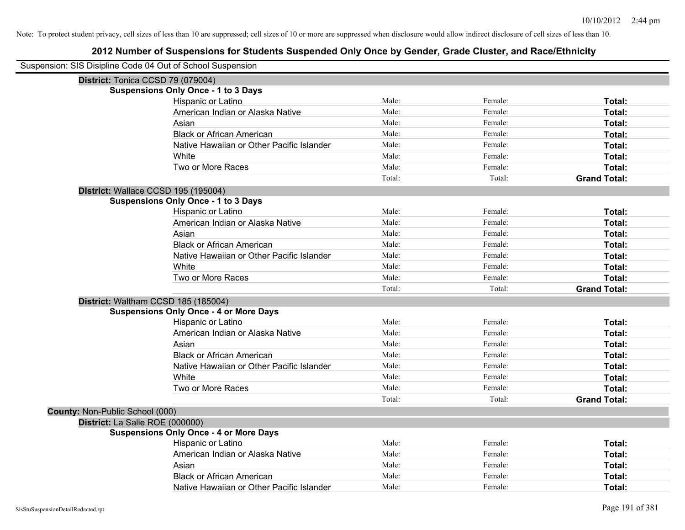| Suspension: SIS Disipline Code 04 Out of School Suspension |                                               |        |         |                     |
|------------------------------------------------------------|-----------------------------------------------|--------|---------|---------------------|
| District: Tonica CCSD 79 (079004)                          |                                               |        |         |                     |
|                                                            | <b>Suspensions Only Once - 1 to 3 Days</b>    |        |         |                     |
|                                                            | Hispanic or Latino                            | Male:  | Female: | Total:              |
|                                                            | American Indian or Alaska Native              | Male:  | Female: | Total:              |
|                                                            | Asian                                         | Male:  | Female: | Total:              |
|                                                            | <b>Black or African American</b>              | Male:  | Female: | Total:              |
|                                                            | Native Hawaiian or Other Pacific Islander     | Male:  | Female: | Total:              |
|                                                            | White                                         | Male:  | Female: | Total:              |
|                                                            | Two or More Races                             | Male:  | Female: | Total:              |
|                                                            |                                               | Total: | Total:  | <b>Grand Total:</b> |
| District: Wallace CCSD 195 (195004)                        |                                               |        |         |                     |
|                                                            | <b>Suspensions Only Once - 1 to 3 Days</b>    |        |         |                     |
|                                                            | Hispanic or Latino                            | Male:  | Female: | Total:              |
|                                                            | American Indian or Alaska Native              | Male:  | Female: | Total:              |
|                                                            | Asian                                         | Male:  | Female: | Total:              |
|                                                            | <b>Black or African American</b>              | Male:  | Female: | Total:              |
|                                                            | Native Hawaiian or Other Pacific Islander     | Male:  | Female: | Total:              |
|                                                            | White                                         | Male:  | Female: | Total:              |
|                                                            | Two or More Races                             | Male:  | Female: | Total:              |
|                                                            |                                               | Total: | Total:  | <b>Grand Total:</b> |
|                                                            | District: Waltham CCSD 185 (185004)           |        |         |                     |
|                                                            | <b>Suspensions Only Once - 4 or More Days</b> |        |         |                     |
|                                                            | Hispanic or Latino                            | Male:  | Female: | Total:              |
|                                                            | American Indian or Alaska Native              | Male:  | Female: | Total:              |
|                                                            | Asian                                         | Male:  | Female: | Total:              |
|                                                            | <b>Black or African American</b>              | Male:  | Female: | Total:              |
|                                                            | Native Hawaiian or Other Pacific Islander     | Male:  | Female: | Total:              |
|                                                            | White                                         | Male:  | Female: | Total:              |
|                                                            | Two or More Races                             | Male:  | Female: | Total:              |
|                                                            |                                               | Total: | Total:  | <b>Grand Total:</b> |
| County: Non-Public School (000)                            |                                               |        |         |                     |
| District: La Salle ROE (000000)                            |                                               |        |         |                     |
|                                                            | <b>Suspensions Only Once - 4 or More Days</b> |        |         |                     |
|                                                            | Hispanic or Latino                            | Male:  | Female: | Total:              |
|                                                            | American Indian or Alaska Native              | Male:  | Female: | Total:              |
|                                                            | Asian                                         | Male:  | Female: | Total:              |
|                                                            | <b>Black or African American</b>              | Male:  | Female: | <b>Total:</b>       |
|                                                            | Native Hawaiian or Other Pacific Islander     | Male:  | Female: | Total:              |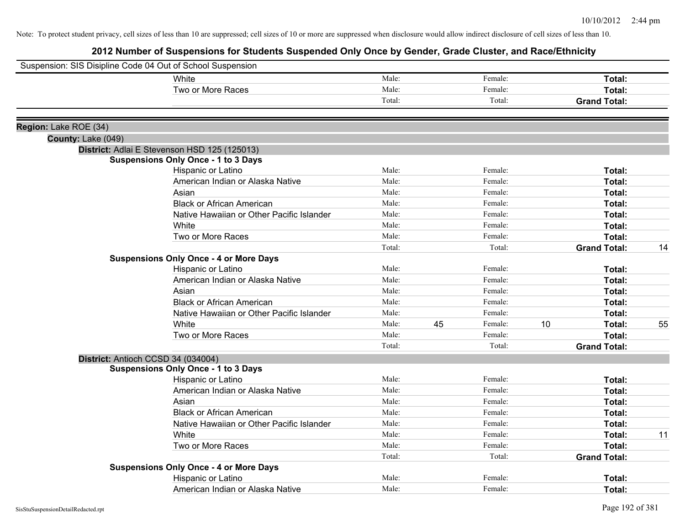| Suspension: SIS Disipline Code 04 Out of School Suspension |                                               |        |    |         |    |                     |    |
|------------------------------------------------------------|-----------------------------------------------|--------|----|---------|----|---------------------|----|
|                                                            | White                                         | Male:  |    | Female: |    | Total:              |    |
|                                                            | Two or More Races                             | Male:  |    | Female: |    | Total:              |    |
|                                                            |                                               | Total: |    | Total:  |    | <b>Grand Total:</b> |    |
| Region: Lake ROE (34)                                      |                                               |        |    |         |    |                     |    |
| County: Lake (049)                                         |                                               |        |    |         |    |                     |    |
|                                                            | District: Adlai E Stevenson HSD 125 (125013)  |        |    |         |    |                     |    |
|                                                            | <b>Suspensions Only Once - 1 to 3 Days</b>    |        |    |         |    |                     |    |
|                                                            | Hispanic or Latino                            | Male:  |    | Female: |    | Total:              |    |
|                                                            | American Indian or Alaska Native              | Male:  |    | Female: |    | Total:              |    |
|                                                            | Asian                                         | Male:  |    | Female: |    | Total:              |    |
|                                                            | <b>Black or African American</b>              | Male:  |    | Female: |    | Total:              |    |
|                                                            | Native Hawaiian or Other Pacific Islander     | Male:  |    | Female: |    | Total:              |    |
|                                                            | White                                         | Male:  |    | Female: |    | Total:              |    |
|                                                            | Two or More Races                             | Male:  |    | Female: |    | Total:              |    |
|                                                            |                                               | Total: |    | Total:  |    | <b>Grand Total:</b> | 14 |
|                                                            | <b>Suspensions Only Once - 4 or More Days</b> |        |    |         |    |                     |    |
|                                                            | Hispanic or Latino                            | Male:  |    | Female: |    | Total:              |    |
|                                                            | American Indian or Alaska Native              | Male:  |    | Female: |    | Total:              |    |
|                                                            | Asian                                         | Male:  |    | Female: |    | Total:              |    |
|                                                            | <b>Black or African American</b>              | Male:  |    | Female: |    | Total:              |    |
|                                                            | Native Hawaiian or Other Pacific Islander     | Male:  |    | Female: |    | Total:              |    |
|                                                            | White                                         | Male:  | 45 | Female: | 10 | Total:              | 55 |
|                                                            | Two or More Races                             | Male:  |    | Female: |    | Total:              |    |
|                                                            |                                               | Total: |    | Total:  |    | <b>Grand Total:</b> |    |
|                                                            | District: Antioch CCSD 34 (034004)            |        |    |         |    |                     |    |
|                                                            | <b>Suspensions Only Once - 1 to 3 Days</b>    |        |    |         |    |                     |    |
|                                                            | Hispanic or Latino                            | Male:  |    | Female: |    | Total:              |    |
|                                                            | American Indian or Alaska Native              | Male:  |    | Female: |    | Total:              |    |
|                                                            | Asian                                         | Male:  |    | Female: |    | Total:              |    |
|                                                            | <b>Black or African American</b>              | Male:  |    | Female: |    | Total:              |    |
|                                                            | Native Hawaiian or Other Pacific Islander     | Male:  |    | Female: |    | Total:              |    |
|                                                            | White                                         | Male:  |    | Female: |    | Total:              | 11 |
|                                                            | Two or More Races                             | Male:  |    | Female: |    | Total:              |    |
|                                                            |                                               | Total: |    | Total:  |    | <b>Grand Total:</b> |    |
|                                                            | <b>Suspensions Only Once - 4 or More Days</b> |        |    |         |    |                     |    |
|                                                            | Hispanic or Latino                            | Male:  |    | Female: |    | Total:              |    |
|                                                            | American Indian or Alaska Native              | Male:  |    | Female: |    | Total:              |    |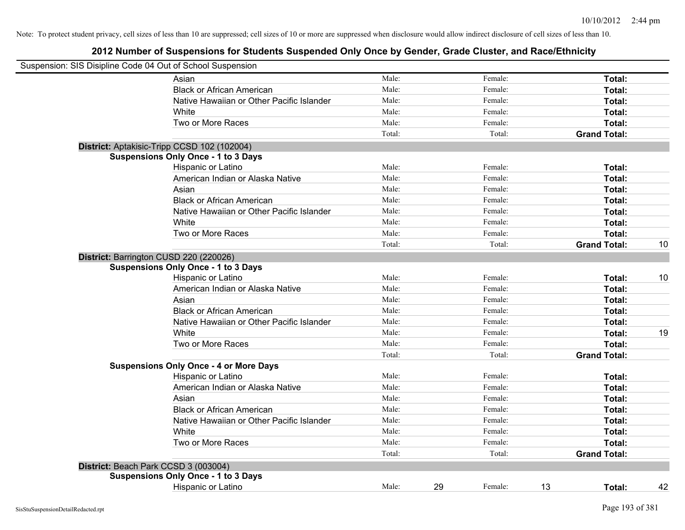| Suspension: SIS Disipline Code 04 Out of School Suspension |                                               |        |    |         |    |                     |    |
|------------------------------------------------------------|-----------------------------------------------|--------|----|---------|----|---------------------|----|
|                                                            | Asian                                         | Male:  |    | Female: |    | Total:              |    |
|                                                            | <b>Black or African American</b>              | Male:  |    | Female: |    | Total:              |    |
|                                                            | Native Hawaiian or Other Pacific Islander     | Male:  |    | Female: |    | Total:              |    |
|                                                            | White                                         | Male:  |    | Female: |    | Total:              |    |
|                                                            | Two or More Races                             | Male:  |    | Female: |    | Total:              |    |
|                                                            |                                               | Total: |    | Total:  |    | <b>Grand Total:</b> |    |
|                                                            | District: Aptakisic-Tripp CCSD 102 (102004)   |        |    |         |    |                     |    |
|                                                            | <b>Suspensions Only Once - 1 to 3 Days</b>    |        |    |         |    |                     |    |
|                                                            | Hispanic or Latino                            | Male:  |    | Female: |    | Total:              |    |
|                                                            | American Indian or Alaska Native              | Male:  |    | Female: |    | Total:              |    |
|                                                            | Asian                                         | Male:  |    | Female: |    | Total:              |    |
|                                                            | <b>Black or African American</b>              | Male:  |    | Female: |    | Total:              |    |
|                                                            | Native Hawaiian or Other Pacific Islander     | Male:  |    | Female: |    | Total:              |    |
|                                                            | White                                         | Male:  |    | Female: |    | Total:              |    |
|                                                            | Two or More Races                             | Male:  |    | Female: |    | Total:              |    |
|                                                            |                                               | Total: |    | Total:  |    | <b>Grand Total:</b> | 10 |
|                                                            | District: Barrington CUSD 220 (220026)        |        |    |         |    |                     |    |
|                                                            | <b>Suspensions Only Once - 1 to 3 Days</b>    |        |    |         |    |                     |    |
|                                                            | Hispanic or Latino                            | Male:  |    | Female: |    | Total:              | 10 |
|                                                            | American Indian or Alaska Native              | Male:  |    | Female: |    | Total:              |    |
|                                                            | Asian                                         | Male:  |    | Female: |    | Total:              |    |
|                                                            | <b>Black or African American</b>              | Male:  |    | Female: |    | Total:              |    |
|                                                            | Native Hawaiian or Other Pacific Islander     | Male:  |    | Female: |    | Total:              |    |
|                                                            | White                                         | Male:  |    | Female: |    | Total:              | 19 |
|                                                            | Two or More Races                             | Male:  |    | Female: |    | Total:              |    |
|                                                            |                                               | Total: |    | Total:  |    | <b>Grand Total:</b> |    |
|                                                            | <b>Suspensions Only Once - 4 or More Days</b> |        |    |         |    |                     |    |
|                                                            | Hispanic or Latino                            | Male:  |    | Female: |    | Total:              |    |
|                                                            | American Indian or Alaska Native              | Male:  |    | Female: |    | Total:              |    |
|                                                            | Asian                                         | Male:  |    | Female: |    | Total:              |    |
|                                                            | <b>Black or African American</b>              | Male:  |    | Female: |    | Total:              |    |
|                                                            | Native Hawaiian or Other Pacific Islander     | Male:  |    | Female: |    | Total:              |    |
|                                                            | <b>White</b>                                  | Male:  |    | Female: |    | Total:              |    |
|                                                            | Two or More Races                             | Male:  |    | Female: |    | Total:              |    |
|                                                            |                                               | Total: |    | Total:  |    | <b>Grand Total:</b> |    |
|                                                            | District: Beach Park CCSD 3 (003004)          |        |    |         |    |                     |    |
|                                                            | <b>Suspensions Only Once - 1 to 3 Days</b>    |        |    |         |    |                     |    |
|                                                            | Hispanic or Latino                            | Male:  | 29 | Female: | 13 | Total:              | 42 |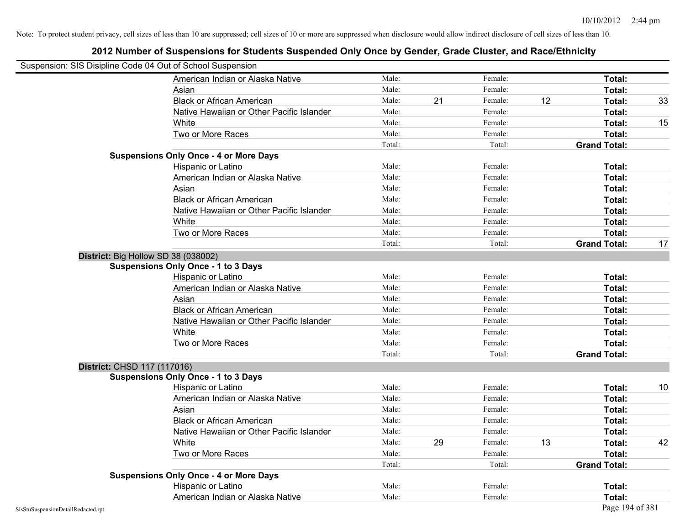| Suspension: SIS Disipline Code 04 Out of School Suspension |                                               |        |    |         |    |                     |    |
|------------------------------------------------------------|-----------------------------------------------|--------|----|---------|----|---------------------|----|
|                                                            | American Indian or Alaska Native              | Male:  |    | Female: |    | Total:              |    |
|                                                            | Asian                                         | Male:  |    | Female: |    | Total:              |    |
|                                                            | <b>Black or African American</b>              | Male:  | 21 | Female: | 12 | Total:              | 33 |
|                                                            | Native Hawaiian or Other Pacific Islander     | Male:  |    | Female: |    | Total:              |    |
|                                                            | White                                         | Male:  |    | Female: |    | Total:              | 15 |
|                                                            | Two or More Races                             | Male:  |    | Female: |    | Total:              |    |
|                                                            |                                               | Total: |    | Total:  |    | <b>Grand Total:</b> |    |
|                                                            | <b>Suspensions Only Once - 4 or More Days</b> |        |    |         |    |                     |    |
|                                                            | Hispanic or Latino                            | Male:  |    | Female: |    | Total:              |    |
|                                                            | American Indian or Alaska Native              | Male:  |    | Female: |    | Total:              |    |
|                                                            | Asian                                         | Male:  |    | Female: |    | Total:              |    |
|                                                            | <b>Black or African American</b>              | Male:  |    | Female: |    | Total:              |    |
|                                                            | Native Hawaiian or Other Pacific Islander     | Male:  |    | Female: |    | Total:              |    |
|                                                            | White                                         | Male:  |    | Female: |    | Total:              |    |
|                                                            | Two or More Races                             | Male:  |    | Female: |    | Total:              |    |
|                                                            |                                               | Total: |    | Total:  |    | <b>Grand Total:</b> | 17 |
| District: Big Hollow SD 38 (038002)                        |                                               |        |    |         |    |                     |    |
|                                                            | <b>Suspensions Only Once - 1 to 3 Days</b>    |        |    |         |    |                     |    |
|                                                            | Hispanic or Latino                            | Male:  |    | Female: |    | Total:              |    |
|                                                            | American Indian or Alaska Native              | Male:  |    | Female: |    | Total:              |    |
|                                                            | Asian                                         | Male:  |    | Female: |    | Total:              |    |
|                                                            | <b>Black or African American</b>              | Male:  |    | Female: |    | Total:              |    |
|                                                            | Native Hawaiian or Other Pacific Islander     | Male:  |    | Female: |    | Total:              |    |
|                                                            | White                                         | Male:  |    | Female: |    | Total:              |    |
|                                                            | Two or More Races                             | Male:  |    | Female: |    | Total:              |    |
|                                                            |                                               | Total: |    | Total:  |    | <b>Grand Total:</b> |    |
| District: CHSD 117 (117016)                                |                                               |        |    |         |    |                     |    |
|                                                            | <b>Suspensions Only Once - 1 to 3 Days</b>    |        |    |         |    |                     |    |
|                                                            | Hispanic or Latino                            | Male:  |    | Female: |    | Total:              | 10 |
|                                                            | American Indian or Alaska Native              | Male:  |    | Female: |    | Total:              |    |
|                                                            | Asian                                         | Male:  |    | Female: |    | Total:              |    |
|                                                            | <b>Black or African American</b>              | Male:  |    | Female: |    | Total:              |    |
|                                                            | Native Hawaiian or Other Pacific Islander     | Male:  |    | Female: |    | Total:              |    |
|                                                            | White                                         | Male:  | 29 | Female: | 13 | Total:              | 42 |
|                                                            | Two or More Races                             | Male:  |    | Female: |    | Total:              |    |
|                                                            |                                               | Total: |    | Total:  |    | <b>Grand Total:</b> |    |
|                                                            | <b>Suspensions Only Once - 4 or More Days</b> |        |    |         |    |                     |    |
|                                                            | Hispanic or Latino                            | Male:  |    | Female: |    | Total:              |    |
|                                                            | American Indian or Alaska Native              | Male:  |    | Female: |    | Total:              |    |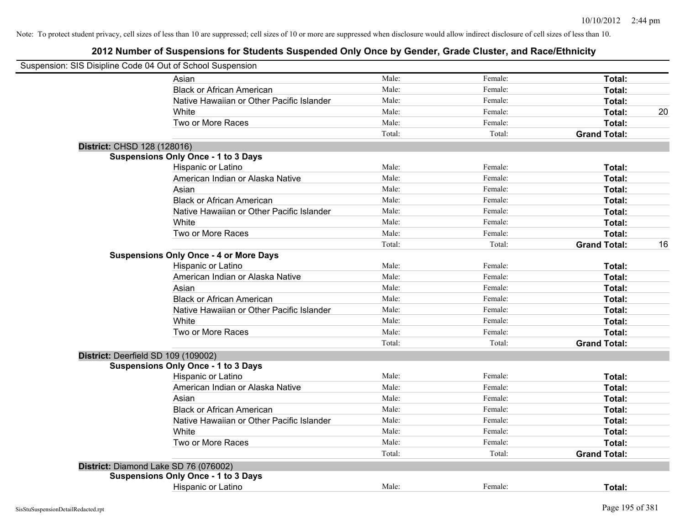|                             | Suspension: SIS Disipline Code 04 Out of School Suspension |        |         |                     |    |
|-----------------------------|------------------------------------------------------------|--------|---------|---------------------|----|
|                             | Asian                                                      | Male:  | Female: | Total:              |    |
|                             | <b>Black or African American</b>                           | Male:  | Female: | Total:              |    |
|                             | Native Hawaiian or Other Pacific Islander                  | Male:  | Female: | Total:              |    |
|                             | White                                                      | Male:  | Female: | Total:              | 20 |
|                             | Two or More Races                                          | Male:  | Female: | Total:              |    |
|                             |                                                            | Total: | Total:  | <b>Grand Total:</b> |    |
| District: CHSD 128 (128016) |                                                            |        |         |                     |    |
|                             | <b>Suspensions Only Once - 1 to 3 Days</b>                 |        |         |                     |    |
|                             | Hispanic or Latino                                         | Male:  | Female: | Total:              |    |
|                             | American Indian or Alaska Native                           | Male:  | Female: | Total:              |    |
|                             | Asian                                                      | Male:  | Female: | Total:              |    |
|                             | <b>Black or African American</b>                           | Male:  | Female: | Total:              |    |
|                             | Native Hawaiian or Other Pacific Islander                  | Male:  | Female: | Total:              |    |
|                             | White                                                      | Male:  | Female: | Total:              |    |
|                             | Two or More Races                                          | Male:  | Female: | Total:              |    |
|                             |                                                            | Total: | Total:  | <b>Grand Total:</b> | 16 |
|                             | <b>Suspensions Only Once - 4 or More Days</b>              |        |         |                     |    |
|                             | Hispanic or Latino                                         | Male:  | Female: | Total:              |    |
|                             | American Indian or Alaska Native                           | Male:  | Female: | Total:              |    |
|                             | Asian                                                      | Male:  | Female: | Total:              |    |
|                             | <b>Black or African American</b>                           | Male:  | Female: | Total:              |    |
|                             | Native Hawaiian or Other Pacific Islander                  | Male:  | Female: | Total:              |    |
|                             | White                                                      | Male:  | Female: | Total:              |    |
|                             | Two or More Races                                          | Male:  | Female: | Total:              |    |
|                             |                                                            | Total: | Total:  | <b>Grand Total:</b> |    |
|                             | District: Deerfield SD 109 (109002)                        |        |         |                     |    |
|                             | <b>Suspensions Only Once - 1 to 3 Days</b>                 |        |         |                     |    |
|                             | Hispanic or Latino                                         | Male:  | Female: | Total:              |    |
|                             | American Indian or Alaska Native                           | Male:  | Female: | Total:              |    |
|                             | Asian                                                      | Male:  | Female: | Total:              |    |
|                             | <b>Black or African American</b>                           | Male:  | Female: | Total:              |    |
|                             | Native Hawaiian or Other Pacific Islander                  | Male:  | Female: | Total:              |    |
|                             | White                                                      | Male:  | Female: | Total:              |    |
|                             | Two or More Races                                          | Male:  | Female: | Total:              |    |
|                             |                                                            | Total: | Total:  | <b>Grand Total:</b> |    |
|                             | District: Diamond Lake SD 76 (076002)                      |        |         |                     |    |
|                             | <b>Suspensions Only Once - 1 to 3 Days</b>                 |        |         |                     |    |
|                             | Hispanic or Latino                                         | Male:  | Female: | Total:              |    |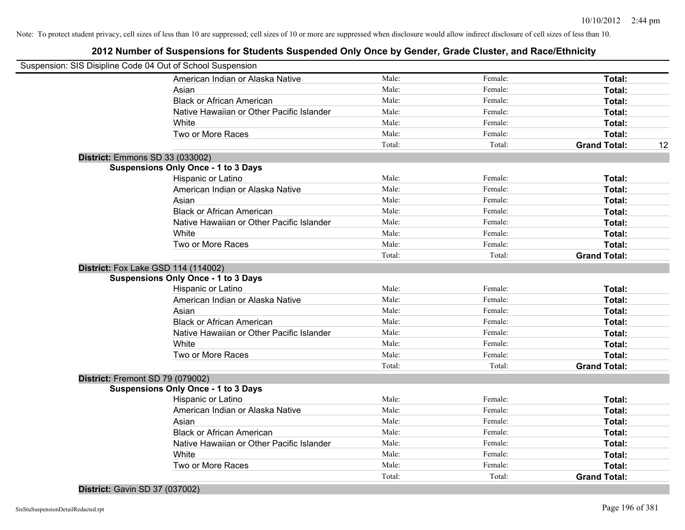# **2012 Number of Suspensions for Students Suspended Only Once by Gender, Grade Cluster, and Race/Ethnicity**

| Suspension: SIS Disipline Code 04 Out of School Suspension |        |         |                     |    |
|------------------------------------------------------------|--------|---------|---------------------|----|
| American Indian or Alaska Native                           | Male:  | Female: | Total:              |    |
| Asian                                                      | Male:  | Female: | Total:              |    |
| <b>Black or African American</b>                           | Male:  | Female: | Total:              |    |
| Native Hawaiian or Other Pacific Islander                  | Male:  | Female: | Total:              |    |
| White                                                      | Male:  | Female: | Total:              |    |
| Two or More Races                                          | Male:  | Female: | Total:              |    |
|                                                            | Total: | Total:  | <b>Grand Total:</b> | 12 |
| <b>District: Emmons SD 33 (033002)</b>                     |        |         |                     |    |
| <b>Suspensions Only Once - 1 to 3 Days</b>                 |        |         |                     |    |
| Hispanic or Latino                                         | Male:  | Female: | Total:              |    |
| American Indian or Alaska Native                           | Male:  | Female: | Total:              |    |
| Asian                                                      | Male:  | Female: | Total:              |    |
| <b>Black or African American</b>                           | Male:  | Female: | Total:              |    |
| Native Hawaiian or Other Pacific Islander                  | Male:  | Female: | Total:              |    |
| White                                                      | Male:  | Female: | Total:              |    |
| Two or More Races                                          | Male:  | Female: | Total:              |    |
|                                                            | Total: | Total:  | <b>Grand Total:</b> |    |
| <b>District:</b> Fox Lake GSD 114 (114002)                 |        |         |                     |    |
| <b>Suspensions Only Once - 1 to 3 Days</b>                 |        |         |                     |    |
| Hispanic or Latino                                         | Male:  | Female: | Total:              |    |
| American Indian or Alaska Native                           | Male:  | Female: | Total:              |    |
| Asian                                                      | Male:  | Female: | Total:              |    |
| <b>Black or African American</b>                           | Male:  | Female: | Total:              |    |
| Native Hawaiian or Other Pacific Islander                  | Male:  | Female: | Total:              |    |
| White                                                      | Male:  | Female: | Total:              |    |
| Two or More Races                                          | Male:  | Female: | Total:              |    |
|                                                            | Total: | Total:  | <b>Grand Total:</b> |    |
| District: Fremont SD 79 (079002)                           |        |         |                     |    |
| <b>Suspensions Only Once - 1 to 3 Days</b>                 |        |         |                     |    |
| Hispanic or Latino                                         | Male:  | Female: | Total:              |    |
| American Indian or Alaska Native                           | Male:  | Female: | Total:              |    |
| Asian                                                      | Male:  | Female: | Total:              |    |
| <b>Black or African American</b>                           | Male:  | Female: | Total:              |    |
| Native Hawaiian or Other Pacific Islander                  | Male:  | Female: | Total:              |    |
| White                                                      | Male:  | Female: | Total:              |    |
| Two or More Races                                          | Male:  | Female: | Total:              |    |
|                                                            | Total: | Total:  | <b>Grand Total:</b> |    |

### **District:** Gavin SD 37 (037002)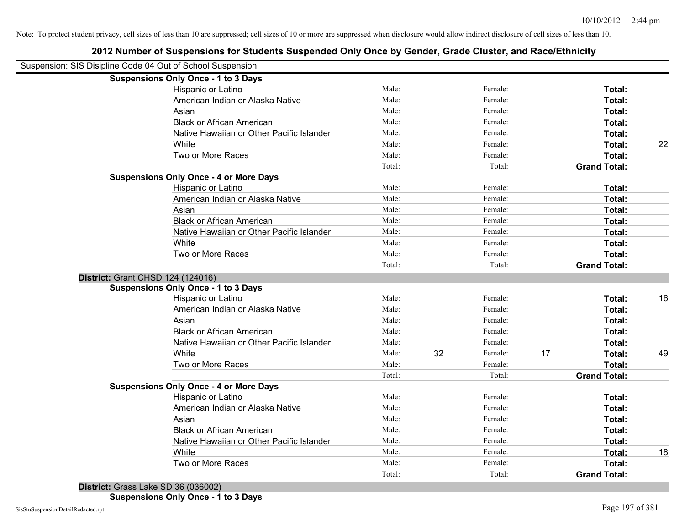| Suspension: SIS Disipline Code 04 Out of School Suspension |                                               |        |    |         |    |                     |    |
|------------------------------------------------------------|-----------------------------------------------|--------|----|---------|----|---------------------|----|
|                                                            | <b>Suspensions Only Once - 1 to 3 Days</b>    |        |    |         |    |                     |    |
|                                                            | <b>Hispanic or Latino</b>                     | Male:  |    | Female: |    | Total:              |    |
|                                                            | American Indian or Alaska Native              | Male:  |    | Female: |    | Total:              |    |
|                                                            | Asian                                         | Male:  |    | Female: |    | Total:              |    |
|                                                            | <b>Black or African American</b>              | Male:  |    | Female: |    | Total:              |    |
|                                                            | Native Hawaiian or Other Pacific Islander     | Male:  |    | Female: |    | Total:              |    |
|                                                            | White                                         | Male:  |    | Female: |    | Total:              | 22 |
|                                                            | Two or More Races                             | Male:  |    | Female: |    | Total:              |    |
|                                                            |                                               | Total: |    | Total:  |    | <b>Grand Total:</b> |    |
|                                                            | <b>Suspensions Only Once - 4 or More Days</b> |        |    |         |    |                     |    |
|                                                            | Hispanic or Latino                            | Male:  |    | Female: |    | Total:              |    |
|                                                            | American Indian or Alaska Native              | Male:  |    | Female: |    | Total:              |    |
|                                                            | Asian                                         | Male:  |    | Female: |    | Total:              |    |
|                                                            | <b>Black or African American</b>              | Male:  |    | Female: |    | Total:              |    |
|                                                            | Native Hawaiian or Other Pacific Islander     | Male:  |    | Female: |    | Total:              |    |
|                                                            | White                                         | Male:  |    | Female: |    | Total:              |    |
|                                                            | Two or More Races                             | Male:  |    | Female: |    | Total:              |    |
|                                                            |                                               | Total: |    | Total:  |    | <b>Grand Total:</b> |    |
| District: Grant CHSD 124 (124016)                          |                                               |        |    |         |    |                     |    |
|                                                            | <b>Suspensions Only Once - 1 to 3 Days</b>    |        |    |         |    |                     |    |
|                                                            | Hispanic or Latino                            | Male:  |    | Female: |    | Total:              | 16 |
|                                                            | American Indian or Alaska Native              | Male:  |    | Female: |    | Total:              |    |
|                                                            | Asian                                         | Male:  |    | Female: |    | Total:              |    |
|                                                            | <b>Black or African American</b>              | Male:  |    | Female: |    | Total:              |    |
|                                                            | Native Hawaiian or Other Pacific Islander     | Male:  |    | Female: |    | Total:              |    |
|                                                            | White                                         | Male:  | 32 | Female: | 17 | Total:              | 49 |
|                                                            | Two or More Races                             | Male:  |    | Female: |    | Total:              |    |
|                                                            |                                               | Total: |    | Total:  |    | <b>Grand Total:</b> |    |
|                                                            | <b>Suspensions Only Once - 4 or More Days</b> |        |    |         |    |                     |    |
|                                                            | Hispanic or Latino                            | Male:  |    | Female: |    | Total:              |    |
|                                                            | American Indian or Alaska Native              | Male:  |    | Female: |    | Total:              |    |
|                                                            | Asian                                         | Male:  |    | Female: |    | Total:              |    |
|                                                            | <b>Black or African American</b>              | Male:  |    | Female: |    | Total:              |    |
|                                                            | Native Hawaiian or Other Pacific Islander     | Male:  |    | Female: |    | Total:              |    |
|                                                            | White                                         | Male:  |    | Female: |    | Total:              | 18 |
|                                                            | Two or More Races                             | Male:  |    | Female: |    | Total:              |    |
|                                                            |                                               | Total: |    | Total:  |    | <b>Grand Total:</b> |    |
|                                                            |                                               |        |    |         |    |                     |    |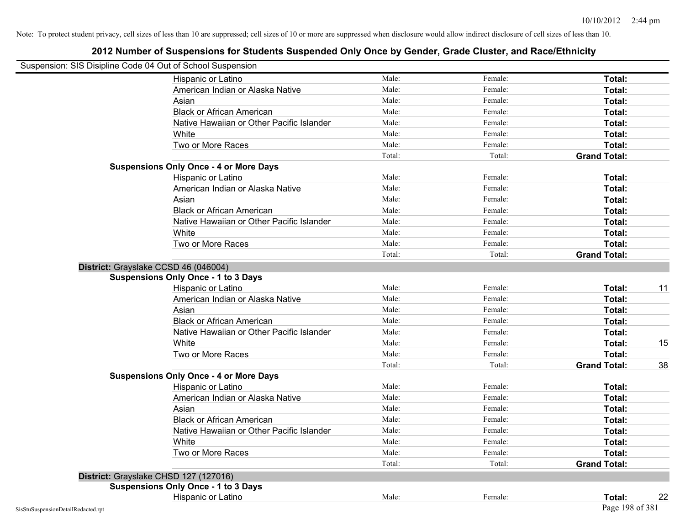| Suspension: SIS Disipline Code 04 Out of School Suspension |                                               |        |         |                     |    |
|------------------------------------------------------------|-----------------------------------------------|--------|---------|---------------------|----|
|                                                            | Hispanic or Latino                            | Male:  | Female: | Total:              |    |
|                                                            | American Indian or Alaska Native              | Male:  | Female: | Total:              |    |
|                                                            | Asian                                         | Male:  | Female: | Total:              |    |
|                                                            | <b>Black or African American</b>              | Male:  | Female: | Total:              |    |
|                                                            | Native Hawaiian or Other Pacific Islander     | Male:  | Female: | Total:              |    |
|                                                            | White                                         | Male:  | Female: | Total:              |    |
|                                                            | Two or More Races                             | Male:  | Female: | Total:              |    |
|                                                            |                                               | Total: | Total:  | <b>Grand Total:</b> |    |
|                                                            | <b>Suspensions Only Once - 4 or More Days</b> |        |         |                     |    |
|                                                            | Hispanic or Latino                            | Male:  | Female: | Total:              |    |
|                                                            | American Indian or Alaska Native              | Male:  | Female: | Total:              |    |
|                                                            | Asian                                         | Male:  | Female: | Total:              |    |
|                                                            | <b>Black or African American</b>              | Male:  | Female: | Total:              |    |
|                                                            | Native Hawaiian or Other Pacific Islander     | Male:  | Female: | Total:              |    |
|                                                            | White                                         | Male:  | Female: | Total:              |    |
|                                                            | Two or More Races                             | Male:  | Female: | Total:              |    |
|                                                            |                                               | Total: | Total:  | <b>Grand Total:</b> |    |
|                                                            | District: Grayslake CCSD 46 (046004)          |        |         |                     |    |
|                                                            | <b>Suspensions Only Once - 1 to 3 Days</b>    |        |         |                     |    |
|                                                            | Hispanic or Latino                            | Male:  | Female: | Total:              | 11 |
|                                                            | American Indian or Alaska Native              | Male:  | Female: | Total:              |    |
|                                                            | Asian                                         | Male:  | Female: | Total:              |    |
|                                                            | <b>Black or African American</b>              | Male:  | Female: | Total:              |    |
|                                                            | Native Hawaiian or Other Pacific Islander     | Male:  | Female: | Total:              |    |
|                                                            | White                                         | Male:  | Female: | Total:              | 15 |
|                                                            | Two or More Races                             | Male:  | Female: | Total:              |    |
|                                                            |                                               | Total: | Total:  | <b>Grand Total:</b> | 38 |
|                                                            | <b>Suspensions Only Once - 4 or More Days</b> |        |         |                     |    |
|                                                            | Hispanic or Latino                            | Male:  | Female: | Total:              |    |
|                                                            | American Indian or Alaska Native              | Male:  | Female: | Total:              |    |
|                                                            | Asian                                         | Male:  | Female: | Total:              |    |
|                                                            | <b>Black or African American</b>              | Male:  | Female: | Total:              |    |
|                                                            | Native Hawaiian or Other Pacific Islander     | Male:  | Female: | Total:              |    |
|                                                            | White                                         | Male:  | Female: | Total:              |    |
|                                                            | Two or More Races                             | Male:  | Female: | Total:              |    |
|                                                            |                                               | Total: | Total:  | <b>Grand Total:</b> |    |
|                                                            | District: Grayslake CHSD 127 (127016)         |        |         |                     |    |
|                                                            | <b>Suspensions Only Once - 1 to 3 Days</b>    |        |         |                     |    |
|                                                            | Hispanic or Latino                            | Male:  | Female: | Total:              | 22 |
| SisStuSuspensionDetailRedacted.rpt                         |                                               |        |         | Page 198 of 381     |    |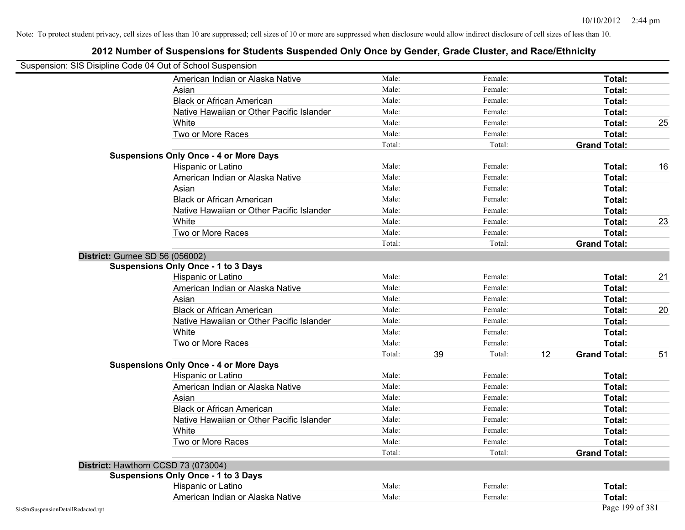| Suspension: SIS Disipline Code 04 Out of School Suspension |                                               |        |    |         |    |                     |    |
|------------------------------------------------------------|-----------------------------------------------|--------|----|---------|----|---------------------|----|
|                                                            | American Indian or Alaska Native              | Male:  |    | Female: |    | Total:              |    |
|                                                            | Asian                                         | Male:  |    | Female: |    | Total:              |    |
|                                                            | <b>Black or African American</b>              | Male:  |    | Female: |    | Total:              |    |
|                                                            | Native Hawaiian or Other Pacific Islander     | Male:  |    | Female: |    | Total:              |    |
|                                                            | White                                         | Male:  |    | Female: |    | Total:              | 25 |
|                                                            | Two or More Races                             | Male:  |    | Female: |    | Total:              |    |
|                                                            |                                               | Total: |    | Total:  |    | <b>Grand Total:</b> |    |
|                                                            | <b>Suspensions Only Once - 4 or More Days</b> |        |    |         |    |                     |    |
|                                                            | Hispanic or Latino                            | Male:  |    | Female: |    | Total:              | 16 |
|                                                            | American Indian or Alaska Native              | Male:  |    | Female: |    | Total:              |    |
|                                                            | Asian                                         | Male:  |    | Female: |    | Total:              |    |
|                                                            | <b>Black or African American</b>              | Male:  |    | Female: |    | Total:              |    |
|                                                            | Native Hawaiian or Other Pacific Islander     | Male:  |    | Female: |    | Total:              |    |
|                                                            | White                                         | Male:  |    | Female: |    | Total:              | 23 |
|                                                            | Two or More Races                             | Male:  |    | Female: |    | Total:              |    |
|                                                            |                                               | Total: |    | Total:  |    | <b>Grand Total:</b> |    |
| <b>District: Gurnee SD 56 (056002)</b>                     |                                               |        |    |         |    |                     |    |
|                                                            | <b>Suspensions Only Once - 1 to 3 Days</b>    |        |    |         |    |                     |    |
|                                                            | Hispanic or Latino                            | Male:  |    | Female: |    | Total:              | 21 |
|                                                            | American Indian or Alaska Native              | Male:  |    | Female: |    | Total:              |    |
|                                                            | Asian                                         | Male:  |    | Female: |    | Total:              |    |
|                                                            | <b>Black or African American</b>              | Male:  |    | Female: |    | Total:              | 20 |
|                                                            | Native Hawaiian or Other Pacific Islander     | Male:  |    | Female: |    | Total:              |    |
|                                                            | White                                         | Male:  |    | Female: |    | Total:              |    |
|                                                            | Two or More Races                             | Male:  |    | Female: |    | Total:              |    |
|                                                            |                                               | Total: | 39 | Total:  | 12 | <b>Grand Total:</b> | 51 |
|                                                            | <b>Suspensions Only Once - 4 or More Days</b> |        |    |         |    |                     |    |
|                                                            | Hispanic or Latino                            | Male:  |    | Female: |    | Total:              |    |
|                                                            | American Indian or Alaska Native              | Male:  |    | Female: |    | Total:              |    |
|                                                            | Asian                                         | Male:  |    | Female: |    | Total:              |    |
|                                                            | <b>Black or African American</b>              | Male:  |    | Female: |    | Total:              |    |
|                                                            | Native Hawaiian or Other Pacific Islander     | Male:  |    | Female: |    | Total:              |    |
|                                                            | White                                         | Male:  |    | Female: |    | Total:              |    |
|                                                            | Two or More Races                             | Male:  |    | Female: |    | Total:              |    |
|                                                            |                                               | Total: |    | Total:  |    | <b>Grand Total:</b> |    |
|                                                            | District: Hawthorn CCSD 73 (073004)           |        |    |         |    |                     |    |
|                                                            | <b>Suspensions Only Once - 1 to 3 Days</b>    |        |    |         |    |                     |    |
|                                                            | Hispanic or Latino                            | Male:  |    | Female: |    | Total:              |    |
|                                                            | American Indian or Alaska Native              | Male:  |    | Female: |    | Total:              |    |
| SisStuSuspensionDetailRedacted.rpt                         |                                               |        |    |         |    | Page 199 of 381     |    |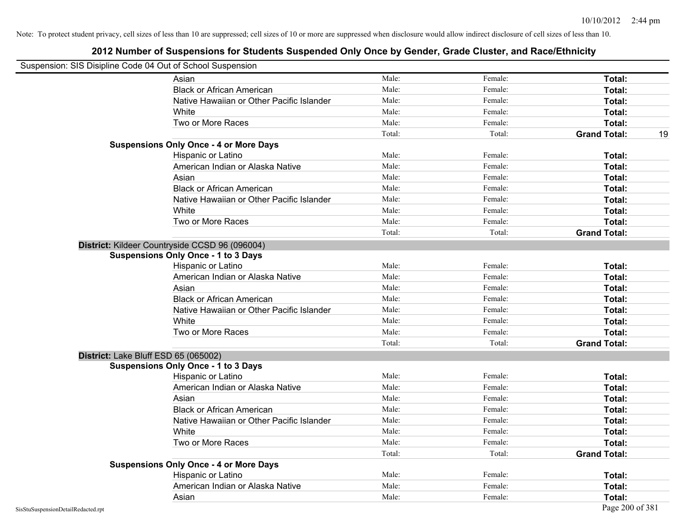| Suspension: SIS Disipline Code 04 Out of School Suspension |                                                |        |         |                           |
|------------------------------------------------------------|------------------------------------------------|--------|---------|---------------------------|
|                                                            | Asian                                          | Male:  | Female: | Total:                    |
|                                                            | <b>Black or African American</b>               | Male:  | Female: | Total:                    |
|                                                            | Native Hawaiian or Other Pacific Islander      | Male:  | Female: | Total:                    |
|                                                            | White                                          | Male:  | Female: | Total:                    |
|                                                            | Two or More Races                              | Male:  | Female: | Total:                    |
|                                                            |                                                | Total: | Total:  | <b>Grand Total:</b><br>19 |
|                                                            | <b>Suspensions Only Once - 4 or More Days</b>  |        |         |                           |
|                                                            | Hispanic or Latino                             | Male:  | Female: | Total:                    |
|                                                            | American Indian or Alaska Native               | Male:  | Female: | Total:                    |
|                                                            | Asian                                          | Male:  | Female: | Total:                    |
|                                                            | <b>Black or African American</b>               | Male:  | Female: | Total:                    |
|                                                            | Native Hawaiian or Other Pacific Islander      | Male:  | Female: | Total:                    |
|                                                            | White                                          | Male:  | Female: | Total:                    |
|                                                            | Two or More Races                              | Male:  | Female: | Total:                    |
|                                                            |                                                | Total: | Total:  | <b>Grand Total:</b>       |
|                                                            | District: Kildeer Countryside CCSD 96 (096004) |        |         |                           |
|                                                            | <b>Suspensions Only Once - 1 to 3 Days</b>     |        |         |                           |
|                                                            | Hispanic or Latino                             | Male:  | Female: | Total:                    |
|                                                            | American Indian or Alaska Native               | Male:  | Female: | Total:                    |
|                                                            | Asian                                          | Male:  | Female: | Total:                    |
|                                                            | <b>Black or African American</b>               | Male:  | Female: | Total:                    |
|                                                            | Native Hawaiian or Other Pacific Islander      | Male:  | Female: | Total:                    |
|                                                            | White                                          | Male:  | Female: | Total:                    |
|                                                            | Two or More Races                              | Male:  | Female: | Total:                    |
|                                                            |                                                | Total: | Total:  | <b>Grand Total:</b>       |
| District: Lake Bluff ESD 65 (065002)                       |                                                |        |         |                           |
|                                                            | <b>Suspensions Only Once - 1 to 3 Days</b>     |        |         |                           |
|                                                            | Hispanic or Latino                             | Male:  | Female: | Total:                    |
|                                                            | American Indian or Alaska Native               | Male:  | Female: | Total:                    |
|                                                            | Asian                                          | Male:  | Female: | Total:                    |
|                                                            | <b>Black or African American</b>               | Male:  | Female: | Total:                    |
|                                                            | Native Hawaiian or Other Pacific Islander      | Male:  | Female: | Total:                    |
|                                                            | White                                          | Male:  | Female: | Total:                    |
|                                                            | Two or More Races                              | Male:  | Female: | Total:                    |
|                                                            |                                                | Total: | Total:  | <b>Grand Total:</b>       |
|                                                            | <b>Suspensions Only Once - 4 or More Days</b>  |        |         |                           |
|                                                            | Hispanic or Latino                             | Male:  | Female: | Total:                    |
|                                                            | American Indian or Alaska Native               | Male:  | Female: | Total:                    |
|                                                            | Asian                                          | Male:  | Female: | Total:                    |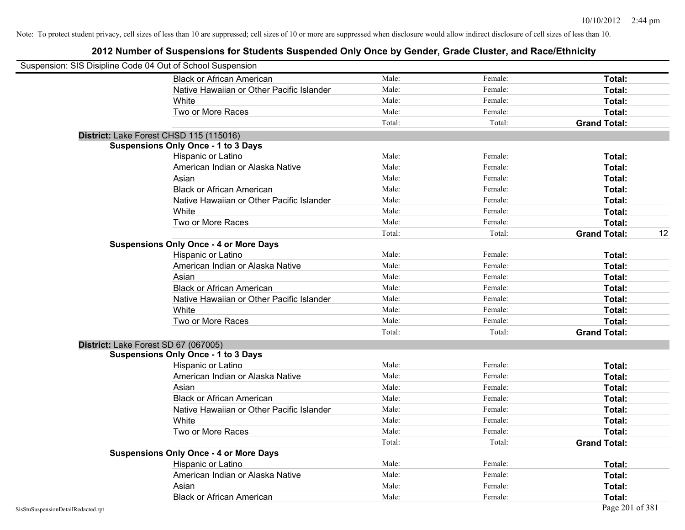|                                    | Suspension: SIS Disipline Code 04 Out of School Suspension |        |         |                     |    |
|------------------------------------|------------------------------------------------------------|--------|---------|---------------------|----|
|                                    | <b>Black or African American</b>                           | Male:  | Female: | Total:              |    |
|                                    | Native Hawaiian or Other Pacific Islander                  | Male:  | Female: | Total:              |    |
|                                    | White                                                      | Male:  | Female: | Total:              |    |
|                                    | Two or More Races                                          | Male:  | Female: | Total:              |    |
|                                    |                                                            | Total: | Total:  | <b>Grand Total:</b> |    |
|                                    | District: Lake Forest CHSD 115 (115016)                    |        |         |                     |    |
|                                    | <b>Suspensions Only Once - 1 to 3 Days</b>                 |        |         |                     |    |
|                                    | Hispanic or Latino                                         | Male:  | Female: | Total:              |    |
|                                    | American Indian or Alaska Native                           | Male:  | Female: | Total:              |    |
|                                    | Asian                                                      | Male:  | Female: | Total:              |    |
|                                    | <b>Black or African American</b>                           | Male:  | Female: | Total:              |    |
|                                    | Native Hawaiian or Other Pacific Islander                  | Male:  | Female: | Total:              |    |
|                                    | White                                                      | Male:  | Female: | Total:              |    |
|                                    | Two or More Races                                          | Male:  | Female: | Total:              |    |
|                                    |                                                            | Total: | Total:  | <b>Grand Total:</b> | 12 |
|                                    | <b>Suspensions Only Once - 4 or More Days</b>              |        |         |                     |    |
|                                    | Hispanic or Latino                                         | Male:  | Female: | Total:              |    |
|                                    | American Indian or Alaska Native                           | Male:  | Female: | Total:              |    |
|                                    | Asian                                                      | Male:  | Female: | Total:              |    |
|                                    | <b>Black or African American</b>                           | Male:  | Female: | Total:              |    |
|                                    | Native Hawaiian or Other Pacific Islander                  | Male:  | Female: | Total:              |    |
|                                    | White                                                      | Male:  | Female: | Total:              |    |
|                                    | Two or More Races                                          | Male:  | Female: | Total:              |    |
|                                    |                                                            | Total: | Total:  | <b>Grand Total:</b> |    |
|                                    | District: Lake Forest SD 67 (067005)                       |        |         |                     |    |
|                                    | <b>Suspensions Only Once - 1 to 3 Days</b>                 |        |         |                     |    |
|                                    | Hispanic or Latino                                         | Male:  | Female: | Total:              |    |
|                                    | American Indian or Alaska Native                           | Male:  | Female: | Total:              |    |
|                                    | Asian                                                      | Male:  | Female: | Total:              |    |
|                                    | <b>Black or African American</b>                           | Male:  | Female: | Total:              |    |
|                                    | Native Hawaiian or Other Pacific Islander                  | Male:  | Female: | Total:              |    |
|                                    | White                                                      | Male:  | Female: | Total:              |    |
|                                    | Two or More Races                                          | Male:  | Female: | Total:              |    |
|                                    |                                                            | Total: | Total:  | <b>Grand Total:</b> |    |
|                                    | <b>Suspensions Only Once - 4 or More Days</b>              |        |         |                     |    |
|                                    | Hispanic or Latino                                         | Male:  | Female: | Total:              |    |
|                                    | American Indian or Alaska Native                           | Male:  | Female: | Total:              |    |
|                                    | Asian                                                      | Male:  | Female: | Total:              |    |
|                                    | <b>Black or African American</b>                           | Male:  | Female: | Total:              |    |
| SisStuSuspensionDetailRedacted.rpt |                                                            |        |         | Page 201 of 381     |    |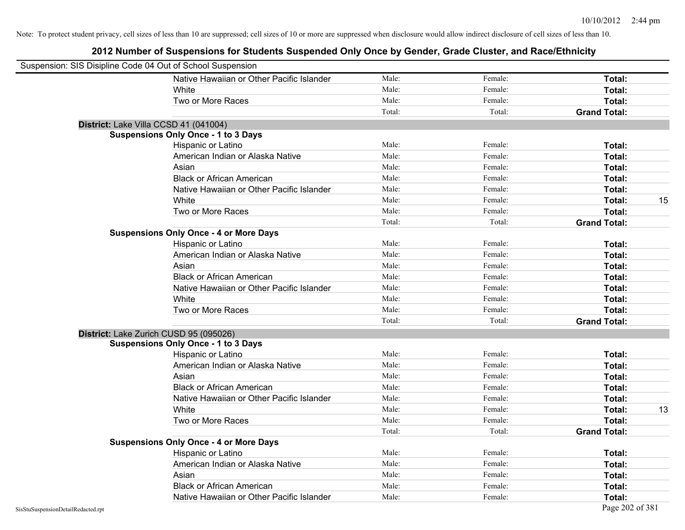| Suspension: SIS Disipline Code 04 Out of School Suspension |                                               |        |         |                     |
|------------------------------------------------------------|-----------------------------------------------|--------|---------|---------------------|
|                                                            | Native Hawaiian or Other Pacific Islander     | Male:  | Female: | Total:              |
|                                                            | White                                         | Male:  | Female: | Total:              |
|                                                            | Two or More Races                             | Male:  | Female: | Total:              |
|                                                            |                                               | Total: | Total:  | <b>Grand Total:</b> |
| District: Lake Villa CCSD 41 (041004)                      |                                               |        |         |                     |
|                                                            | <b>Suspensions Only Once - 1 to 3 Days</b>    |        |         |                     |
|                                                            | Hispanic or Latino                            | Male:  | Female: | Total:              |
|                                                            | American Indian or Alaska Native              | Male:  | Female: | Total:              |
|                                                            | Asian                                         | Male:  | Female: | Total:              |
|                                                            | <b>Black or African American</b>              | Male:  | Female: | Total:              |
|                                                            | Native Hawaiian or Other Pacific Islander     | Male:  | Female: | Total:              |
|                                                            | White                                         | Male:  | Female: | 15<br>Total:        |
|                                                            | Two or More Races                             | Male:  | Female: | Total:              |
|                                                            |                                               | Total: | Total:  | <b>Grand Total:</b> |
|                                                            | <b>Suspensions Only Once - 4 or More Days</b> |        |         |                     |
|                                                            | Hispanic or Latino                            | Male:  | Female: | Total:              |
|                                                            | American Indian or Alaska Native              | Male:  | Female: | Total:              |
|                                                            | Asian                                         | Male:  | Female: | Total:              |
|                                                            | <b>Black or African American</b>              | Male:  | Female: | Total:              |
|                                                            | Native Hawaiian or Other Pacific Islander     | Male:  | Female: | Total:              |
|                                                            | White                                         | Male:  | Female: | Total:              |
|                                                            | Two or More Races                             | Male:  | Female: | Total:              |
|                                                            |                                               | Total: | Total:  | <b>Grand Total:</b> |
| District: Lake Zurich CUSD 95 (095026)                     |                                               |        |         |                     |
|                                                            | <b>Suspensions Only Once - 1 to 3 Days</b>    |        |         |                     |
|                                                            | Hispanic or Latino                            | Male:  | Female: | Total:              |
|                                                            | American Indian or Alaska Native              | Male:  | Female: | Total:              |
|                                                            | Asian                                         | Male:  | Female: | Total:              |
|                                                            | <b>Black or African American</b>              | Male:  | Female: | Total:              |
|                                                            | Native Hawaiian or Other Pacific Islander     | Male:  | Female: | Total:              |
|                                                            | <b>White</b>                                  | Male:  | Female: | Total:<br>13        |
|                                                            | Two or More Races                             | Male:  | Female: | Total:              |
|                                                            |                                               | Total: | Total:  | <b>Grand Total:</b> |
|                                                            | <b>Suspensions Only Once - 4 or More Days</b> |        |         |                     |
|                                                            | Hispanic or Latino                            | Male:  | Female: | Total:              |
|                                                            | American Indian or Alaska Native              | Male:  | Female: | Total:              |
|                                                            | Asian                                         | Male:  | Female: | Total:              |
|                                                            | <b>Black or African American</b>              | Male:  | Female: | Total:              |
|                                                            | Native Hawaiian or Other Pacific Islander     | Male:  | Female: | Total:              |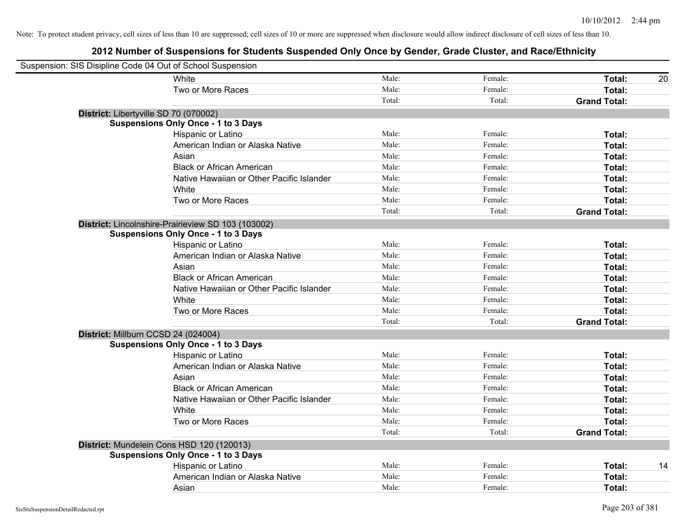| Suspension: SIS Disipline Code 04 Out of School Suspension |                                                    |        |         |                     |           |
|------------------------------------------------------------|----------------------------------------------------|--------|---------|---------------------|-----------|
|                                                            | White                                              | Male:  | Female: | Total:              | <b>20</b> |
|                                                            | Two or More Races                                  | Male:  | Female: | Total:              |           |
|                                                            |                                                    | Total: | Total:  | <b>Grand Total:</b> |           |
| District: Libertyville SD 70 (070002)                      |                                                    |        |         |                     |           |
|                                                            | <b>Suspensions Only Once - 1 to 3 Days</b>         |        |         |                     |           |
|                                                            | Hispanic or Latino                                 | Male:  | Female: | Total:              |           |
|                                                            | American Indian or Alaska Native                   | Male:  | Female: | Total:              |           |
|                                                            | Asian                                              | Male:  | Female: | Total:              |           |
|                                                            | <b>Black or African American</b>                   | Male:  | Female: | Total:              |           |
|                                                            | Native Hawaiian or Other Pacific Islander          | Male:  | Female: | Total:              |           |
|                                                            | White                                              | Male:  | Female: | Total:              |           |
|                                                            | Two or More Races                                  | Male:  | Female: | Total:              |           |
|                                                            |                                                    | Total: | Total:  | <b>Grand Total:</b> |           |
|                                                            | District: Lincolnshire-Prairieview SD 103 (103002) |        |         |                     |           |
|                                                            | <b>Suspensions Only Once - 1 to 3 Days</b>         |        |         |                     |           |
|                                                            | Hispanic or Latino                                 | Male:  | Female: | Total:              |           |
|                                                            | American Indian or Alaska Native                   | Male:  | Female: | Total:              |           |
|                                                            | Asian                                              | Male:  | Female: | Total:              |           |
|                                                            | <b>Black or African American</b>                   | Male:  | Female: | Total:              |           |
|                                                            | Native Hawaiian or Other Pacific Islander          | Male:  | Female: | Total:              |           |
|                                                            | White                                              | Male:  | Female: | Total:              |           |
|                                                            | Two or More Races                                  | Male:  | Female: | Total:              |           |
|                                                            |                                                    | Total: | Total:  | <b>Grand Total:</b> |           |
| District: Millburn CCSD 24 (024004)                        |                                                    |        |         |                     |           |
|                                                            | <b>Suspensions Only Once - 1 to 3 Days</b>         |        |         |                     |           |
|                                                            | Hispanic or Latino                                 | Male:  | Female: | Total:              |           |
|                                                            | American Indian or Alaska Native                   | Male:  | Female: | Total:              |           |
|                                                            | Asian                                              | Male:  | Female: | Total:              |           |
|                                                            | <b>Black or African American</b>                   | Male:  | Female: | Total:              |           |
|                                                            | Native Hawaiian or Other Pacific Islander          | Male:  | Female: | Total:              |           |
|                                                            | White                                              | Male:  | Female: | Total:              |           |
|                                                            | Two or More Races                                  | Male:  | Female: | Total:              |           |
|                                                            |                                                    | Total: | Total:  | <b>Grand Total:</b> |           |
| District: Mundelein Cons HSD 120 (120013)                  |                                                    |        |         |                     |           |
|                                                            | <b>Suspensions Only Once - 1 to 3 Days</b>         |        |         |                     |           |
|                                                            | Hispanic or Latino                                 | Male:  | Female: | Total:              | 14        |
|                                                            | American Indian or Alaska Native                   | Male:  | Female: | Total:              |           |
|                                                            | Asian                                              | Male:  | Female: | Total:              |           |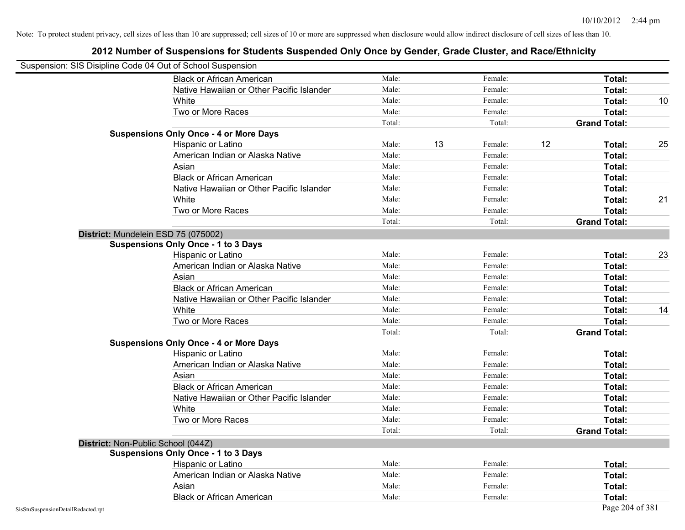| Suspension: SIS Disipline Code 04 Out of School Suspension |                                               |        |    |         |                     |    |
|------------------------------------------------------------|-----------------------------------------------|--------|----|---------|---------------------|----|
|                                                            | <b>Black or African American</b>              | Male:  |    | Female: | Total:              |    |
|                                                            | Native Hawaiian or Other Pacific Islander     | Male:  |    | Female: | Total:              |    |
|                                                            | White                                         | Male:  |    | Female: | Total:              | 10 |
|                                                            | Two or More Races                             | Male:  |    | Female: | Total:              |    |
|                                                            |                                               | Total: |    | Total:  | <b>Grand Total:</b> |    |
|                                                            | <b>Suspensions Only Once - 4 or More Days</b> |        |    |         |                     |    |
|                                                            | Hispanic or Latino                            | Male:  | 13 | Female: | 12<br>Total:        | 25 |
|                                                            | American Indian or Alaska Native              | Male:  |    | Female: | Total:              |    |
|                                                            | Asian                                         | Male:  |    | Female: | Total:              |    |
|                                                            | <b>Black or African American</b>              | Male:  |    | Female: | Total:              |    |
|                                                            | Native Hawaiian or Other Pacific Islander     | Male:  |    | Female: | Total:              |    |
|                                                            | White                                         | Male:  |    | Female: | Total:              | 21 |
|                                                            | Two or More Races                             | Male:  |    | Female: | Total:              |    |
|                                                            |                                               | Total: |    | Total:  | <b>Grand Total:</b> |    |
|                                                            | District: Mundelein ESD 75 (075002)           |        |    |         |                     |    |
|                                                            | <b>Suspensions Only Once - 1 to 3 Days</b>    |        |    |         |                     |    |
|                                                            | Hispanic or Latino                            | Male:  |    | Female: | Total:              | 23 |
|                                                            | American Indian or Alaska Native              | Male:  |    | Female: | Total:              |    |
|                                                            | Asian                                         | Male:  |    | Female: | Total:              |    |
|                                                            | <b>Black or African American</b>              | Male:  |    | Female: | Total:              |    |
|                                                            | Native Hawaiian or Other Pacific Islander     | Male:  |    | Female: | Total:              |    |
|                                                            | White                                         | Male:  |    | Female: | Total:              | 14 |
|                                                            | Two or More Races                             | Male:  |    | Female: | Total:              |    |
|                                                            |                                               | Total: |    | Total:  | <b>Grand Total:</b> |    |
|                                                            | <b>Suspensions Only Once - 4 or More Days</b> |        |    |         |                     |    |
|                                                            | Hispanic or Latino                            | Male:  |    | Female: | Total:              |    |
|                                                            | American Indian or Alaska Native              | Male:  |    | Female: | Total:              |    |
|                                                            | Asian                                         | Male:  |    | Female: | Total:              |    |
|                                                            | <b>Black or African American</b>              | Male:  |    | Female: | Total:              |    |
|                                                            | Native Hawaiian or Other Pacific Islander     | Male:  |    | Female: | Total:              |    |
|                                                            | White                                         | Male:  |    | Female: | Total:              |    |
|                                                            | Two or More Races                             | Male:  |    | Female: | Total:              |    |
|                                                            |                                               | Total: |    | Total:  | <b>Grand Total:</b> |    |
| District: Non-Public School (044Z)                         |                                               |        |    |         |                     |    |
|                                                            | <b>Suspensions Only Once - 1 to 3 Days</b>    |        |    |         |                     |    |
|                                                            | Hispanic or Latino                            | Male:  |    | Female: | Total:              |    |
|                                                            | American Indian or Alaska Native              | Male:  |    | Female: | Total:              |    |
|                                                            | Asian                                         | Male:  |    | Female: | Total:              |    |
|                                                            | <b>Black or African American</b>              | Male:  |    | Female: | Total:              |    |
| SisStuSuspensionDetailRedacted.rpt                         |                                               |        |    |         | Page 204 of 381     |    |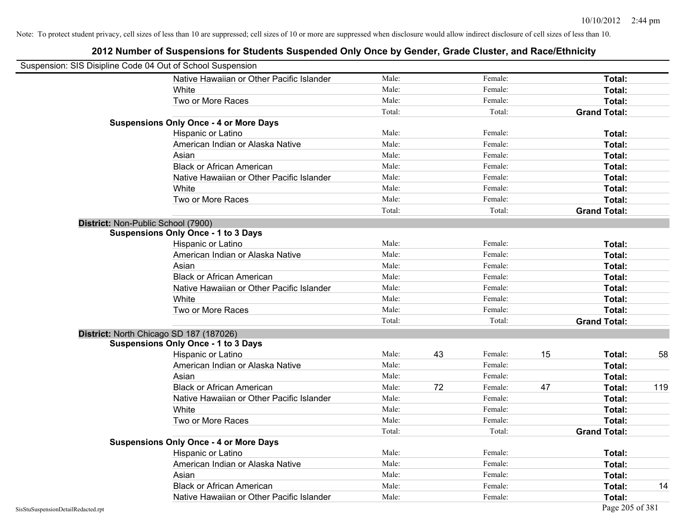|                                    | Suspension: SIS Disipline Code 04 Out of School Suspension |        |    |         |    |                     |     |
|------------------------------------|------------------------------------------------------------|--------|----|---------|----|---------------------|-----|
|                                    | Native Hawaiian or Other Pacific Islander                  | Male:  |    | Female: |    | Total:              |     |
|                                    | White                                                      | Male:  |    | Female: |    | Total:              |     |
|                                    | Two or More Races                                          | Male:  |    | Female: |    | Total:              |     |
|                                    |                                                            | Total: |    | Total:  |    | <b>Grand Total:</b> |     |
|                                    | <b>Suspensions Only Once - 4 or More Days</b>              |        |    |         |    |                     |     |
|                                    | Hispanic or Latino                                         | Male:  |    | Female: |    | Total:              |     |
|                                    | American Indian or Alaska Native                           | Male:  |    | Female: |    | <b>Total:</b>       |     |
|                                    | Asian                                                      | Male:  |    | Female: |    | Total:              |     |
|                                    | <b>Black or African American</b>                           | Male:  |    | Female: |    | Total:              |     |
|                                    | Native Hawaiian or Other Pacific Islander                  | Male:  |    | Female: |    | Total:              |     |
|                                    | White                                                      | Male:  |    | Female: |    | <b>Total:</b>       |     |
|                                    | Two or More Races                                          | Male:  |    | Female: |    | Total:              |     |
|                                    |                                                            | Total: |    | Total:  |    | <b>Grand Total:</b> |     |
|                                    | District: Non-Public School (7900)                         |        |    |         |    |                     |     |
|                                    | <b>Suspensions Only Once - 1 to 3 Days</b>                 |        |    |         |    |                     |     |
|                                    | Hispanic or Latino                                         | Male:  |    | Female: |    | <b>Total:</b>       |     |
|                                    | American Indian or Alaska Native                           | Male:  |    | Female: |    | Total:              |     |
|                                    | Asian                                                      | Male:  |    | Female: |    | Total:              |     |
|                                    | <b>Black or African American</b>                           | Male:  |    | Female: |    | Total:              |     |
|                                    | Native Hawaiian or Other Pacific Islander                  | Male:  |    | Female: |    | Total:              |     |
|                                    | White                                                      | Male:  |    | Female: |    | Total:              |     |
|                                    | Two or More Races                                          | Male:  |    | Female: |    | Total:              |     |
|                                    |                                                            | Total: |    | Total:  |    | <b>Grand Total:</b> |     |
|                                    | District: North Chicago SD 187 (187026)                    |        |    |         |    |                     |     |
|                                    | <b>Suspensions Only Once - 1 to 3 Days</b>                 |        |    |         |    |                     |     |
|                                    | Hispanic or Latino                                         | Male:  | 43 | Female: | 15 | Total:              | 58  |
|                                    | American Indian or Alaska Native                           | Male:  |    | Female: |    | Total:              |     |
|                                    | Asian                                                      | Male:  |    | Female: |    | <b>Total:</b>       |     |
|                                    | <b>Black or African American</b>                           | Male:  | 72 | Female: | 47 | <b>Total:</b>       | 119 |
|                                    | Native Hawaiian or Other Pacific Islander                  | Male:  |    | Female: |    | <b>Total:</b>       |     |
|                                    | White                                                      | Male:  |    | Female: |    | Total:              |     |
|                                    | Two or More Races                                          | Male:  |    | Female: |    | Total:              |     |
|                                    |                                                            | Total: |    | Total:  |    | <b>Grand Total:</b> |     |
|                                    | <b>Suspensions Only Once - 4 or More Days</b>              |        |    |         |    |                     |     |
|                                    | Hispanic or Latino                                         | Male:  |    | Female: |    | Total:              |     |
|                                    | American Indian or Alaska Native                           | Male:  |    | Female: |    | Total:              |     |
|                                    | Asian                                                      | Male:  |    | Female: |    | Total:              |     |
|                                    | <b>Black or African American</b>                           | Male:  |    | Female: |    | <b>Total:</b>       | 14  |
|                                    | Native Hawaiian or Other Pacific Islander                  | Male:  |    | Female: |    | <b>Total:</b>       |     |
| SisStuSuspensionDetailRedacted.rpt |                                                            |        |    |         |    | Page 205 of 381     |     |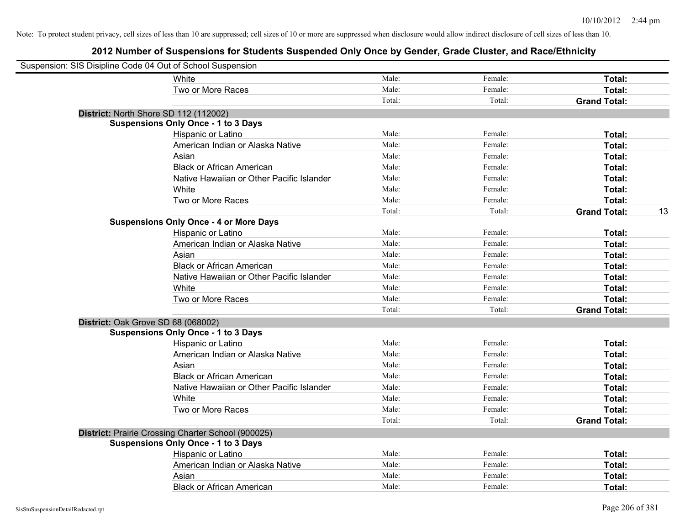| Suspension: SIS Disipline Code 04 Out of School Suspension |                                                    |        |         |                     |    |
|------------------------------------------------------------|----------------------------------------------------|--------|---------|---------------------|----|
|                                                            | White                                              | Male:  | Female: | Total:              |    |
|                                                            | Two or More Races                                  | Male:  | Female: | Total:              |    |
|                                                            |                                                    | Total: | Total:  | <b>Grand Total:</b> |    |
| District: North Shore SD 112 (112002)                      |                                                    |        |         |                     |    |
|                                                            | <b>Suspensions Only Once - 1 to 3 Days</b>         |        |         |                     |    |
|                                                            | Hispanic or Latino                                 | Male:  | Female: | Total:              |    |
|                                                            | American Indian or Alaska Native                   | Male:  | Female: | Total:              |    |
|                                                            | Asian                                              | Male:  | Female: | Total:              |    |
|                                                            | <b>Black or African American</b>                   | Male:  | Female: | Total:              |    |
|                                                            | Native Hawaiian or Other Pacific Islander          | Male:  | Female: | Total:              |    |
|                                                            | White                                              | Male:  | Female: | Total:              |    |
|                                                            | Two or More Races                                  | Male:  | Female: | Total:              |    |
|                                                            |                                                    | Total: | Total:  | <b>Grand Total:</b> | 13 |
|                                                            | <b>Suspensions Only Once - 4 or More Days</b>      |        |         |                     |    |
|                                                            | Hispanic or Latino                                 | Male:  | Female: | Total:              |    |
|                                                            | American Indian or Alaska Native                   | Male:  | Female: | Total:              |    |
|                                                            | Asian                                              | Male:  | Female: | Total:              |    |
|                                                            | <b>Black or African American</b>                   | Male:  | Female: | Total:              |    |
|                                                            | Native Hawaiian or Other Pacific Islander          | Male:  | Female: | Total:              |    |
|                                                            | White                                              | Male:  | Female: | Total:              |    |
|                                                            | Two or More Races                                  | Male:  | Female: | Total:              |    |
|                                                            |                                                    | Total: | Total:  | <b>Grand Total:</b> |    |
| District: Oak Grove SD 68 (068002)                         |                                                    |        |         |                     |    |
|                                                            | <b>Suspensions Only Once - 1 to 3 Days</b>         |        |         |                     |    |
|                                                            | Hispanic or Latino                                 | Male:  | Female: | Total:              |    |
|                                                            | American Indian or Alaska Native                   | Male:  | Female: | Total:              |    |
|                                                            | Asian                                              | Male:  | Female: | Total:              |    |
|                                                            | <b>Black or African American</b>                   | Male:  | Female: | Total:              |    |
|                                                            | Native Hawaiian or Other Pacific Islander          | Male:  | Female: | Total:              |    |
|                                                            | White                                              | Male:  | Female: | Total:              |    |
|                                                            | Two or More Races                                  | Male:  | Female: | Total:              |    |
|                                                            |                                                    | Total: | Total:  | <b>Grand Total:</b> |    |
|                                                            | District: Prairie Crossing Charter School (900025) |        |         |                     |    |
|                                                            | <b>Suspensions Only Once - 1 to 3 Days</b>         |        |         |                     |    |
|                                                            | Hispanic or Latino                                 | Male:  | Female: | Total:              |    |
|                                                            | American Indian or Alaska Native                   | Male:  | Female: | Total:              |    |
|                                                            | Asian                                              | Male:  | Female: | Total:              |    |
|                                                            | <b>Black or African American</b>                   | Male:  | Female: | Total:              |    |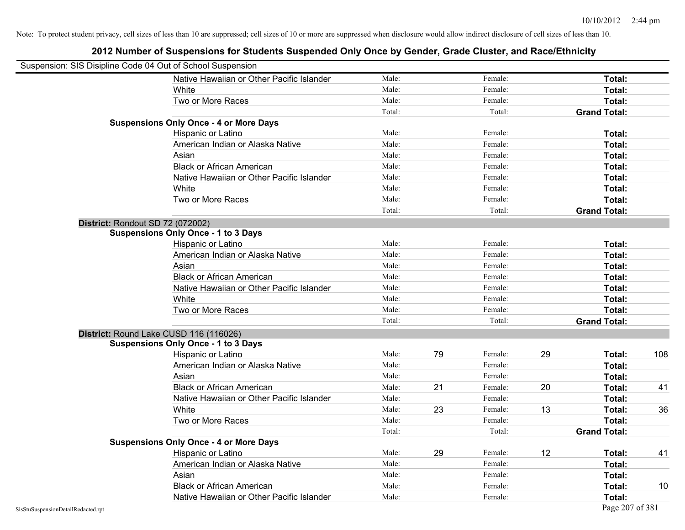|                                    | Suspension: SIS Disipline Code 04 Out of School Suspension |        |    |         |    |                     |     |
|------------------------------------|------------------------------------------------------------|--------|----|---------|----|---------------------|-----|
|                                    | Native Hawaiian or Other Pacific Islander                  | Male:  |    | Female: |    | Total:              |     |
|                                    | White                                                      | Male:  |    | Female: |    | Total:              |     |
|                                    | Two or More Races                                          | Male:  |    | Female: |    | Total:              |     |
|                                    |                                                            | Total: |    | Total:  |    | <b>Grand Total:</b> |     |
|                                    | <b>Suspensions Only Once - 4 or More Days</b>              |        |    |         |    |                     |     |
|                                    | Hispanic or Latino                                         | Male:  |    | Female: |    | Total:              |     |
|                                    | American Indian or Alaska Native                           | Male:  |    | Female: |    | <b>Total:</b>       |     |
|                                    | Asian                                                      | Male:  |    | Female: |    | Total:              |     |
|                                    | <b>Black or African American</b>                           | Male:  |    | Female: |    | Total:              |     |
|                                    | Native Hawaiian or Other Pacific Islander                  | Male:  |    | Female: |    | Total:              |     |
|                                    | White                                                      | Male:  |    | Female: |    | <b>Total:</b>       |     |
|                                    | Two or More Races                                          | Male:  |    | Female: |    | Total:              |     |
|                                    |                                                            | Total: |    | Total:  |    | <b>Grand Total:</b> |     |
|                                    | District: Rondout SD 72 (072002)                           |        |    |         |    |                     |     |
|                                    | <b>Suspensions Only Once - 1 to 3 Days</b>                 |        |    |         |    |                     |     |
|                                    | Hispanic or Latino                                         | Male:  |    | Female: |    | Total:              |     |
|                                    | American Indian or Alaska Native                           | Male:  |    | Female: |    | Total:              |     |
|                                    | Asian                                                      | Male:  |    | Female: |    | Total:              |     |
|                                    | <b>Black or African American</b>                           | Male:  |    | Female: |    | Total:              |     |
|                                    | Native Hawaiian or Other Pacific Islander                  | Male:  |    | Female: |    | Total:              |     |
|                                    | White                                                      | Male:  |    | Female: |    | Total:              |     |
|                                    | Two or More Races                                          | Male:  |    | Female: |    | Total:              |     |
|                                    |                                                            | Total: |    | Total:  |    | <b>Grand Total:</b> |     |
|                                    | District: Round Lake CUSD 116 (116026)                     |        |    |         |    |                     |     |
|                                    | <b>Suspensions Only Once - 1 to 3 Days</b>                 |        |    |         |    |                     |     |
|                                    | Hispanic or Latino                                         | Male:  | 79 | Female: | 29 | Total:              | 108 |
|                                    | American Indian or Alaska Native                           | Male:  |    | Female: |    | Total:              |     |
|                                    | Asian                                                      | Male:  |    | Female: |    | <b>Total:</b>       |     |
|                                    | <b>Black or African American</b>                           | Male:  | 21 | Female: | 20 | <b>Total:</b>       | 41  |
|                                    | Native Hawaiian or Other Pacific Islander                  | Male:  |    | Female: |    | Total:              |     |
|                                    | White                                                      | Male:  | 23 | Female: | 13 | Total:              | 36  |
|                                    | Two or More Races                                          | Male:  |    | Female: |    | Total:              |     |
|                                    |                                                            | Total: |    | Total:  |    | <b>Grand Total:</b> |     |
|                                    | <b>Suspensions Only Once - 4 or More Days</b>              |        |    |         |    |                     |     |
|                                    | Hispanic or Latino                                         | Male:  | 29 | Female: | 12 | Total:              | 41  |
|                                    | American Indian or Alaska Native                           | Male:  |    | Female: |    | Total:              |     |
|                                    | Asian                                                      | Male:  |    | Female: |    | Total:              |     |
|                                    | <b>Black or African American</b>                           | Male:  |    | Female: |    | <b>Total:</b>       | 10  |
|                                    | Native Hawaiian or Other Pacific Islander                  | Male:  |    | Female: |    | <b>Total:</b>       |     |
| SisStuSuspensionDetailRedacted.rpt |                                                            |        |    |         |    | Page 207 of 381     |     |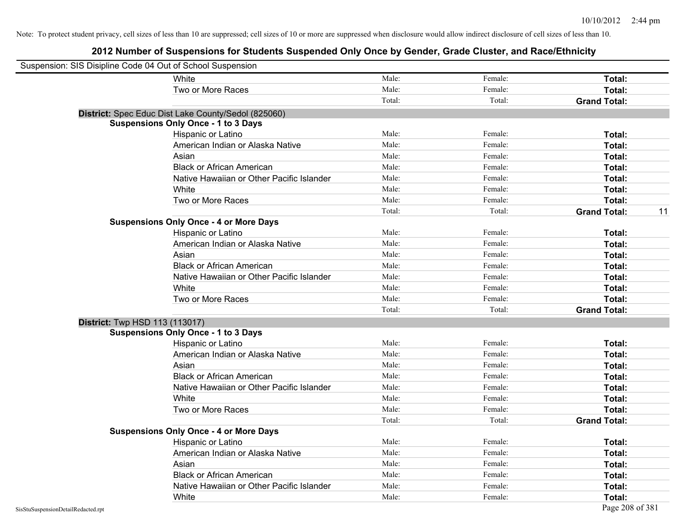| Suspension: SIS Disipline Code 04 Out of School Suspension |                                                     |        |         |                           |
|------------------------------------------------------------|-----------------------------------------------------|--------|---------|---------------------------|
|                                                            | White                                               | Male:  | Female: | Total:                    |
|                                                            | Two or More Races                                   | Male:  | Female: | Total:                    |
|                                                            |                                                     | Total: | Total:  | <b>Grand Total:</b>       |
|                                                            | District: Spec Educ Dist Lake County/Sedol (825060) |        |         |                           |
|                                                            | <b>Suspensions Only Once - 1 to 3 Days</b>          |        |         |                           |
|                                                            | Hispanic or Latino                                  | Male:  | Female: | Total:                    |
|                                                            | American Indian or Alaska Native                    | Male:  | Female: | Total:                    |
|                                                            | Asian                                               | Male:  | Female: | Total:                    |
|                                                            | <b>Black or African American</b>                    | Male:  | Female: | Total:                    |
|                                                            | Native Hawaiian or Other Pacific Islander           | Male:  | Female: | Total:                    |
|                                                            | White                                               | Male:  | Female: | Total:                    |
|                                                            | Two or More Races                                   | Male:  | Female: | Total:                    |
|                                                            |                                                     | Total: | Total:  | <b>Grand Total:</b><br>11 |
|                                                            | <b>Suspensions Only Once - 4 or More Days</b>       |        |         |                           |
|                                                            | Hispanic or Latino                                  | Male:  | Female: | Total:                    |
|                                                            | American Indian or Alaska Native                    | Male:  | Female: | Total:                    |
|                                                            | Asian                                               | Male:  | Female: | Total:                    |
|                                                            | <b>Black or African American</b>                    | Male:  | Female: | Total:                    |
|                                                            | Native Hawaiian or Other Pacific Islander           | Male:  | Female: | Total:                    |
|                                                            | White                                               | Male:  | Female: | Total:                    |
|                                                            | Two or More Races                                   | Male:  | Female: | Total:                    |
|                                                            |                                                     | Total: | Total:  | <b>Grand Total:</b>       |
| <b>District:</b> Twp HSD 113 (113017)                      |                                                     |        |         |                           |
|                                                            | <b>Suspensions Only Once - 1 to 3 Days</b>          |        |         |                           |
|                                                            | Hispanic or Latino                                  | Male:  | Female: | Total:                    |
|                                                            | American Indian or Alaska Native                    | Male:  | Female: | Total:                    |
|                                                            | Asian                                               | Male:  | Female: | Total:                    |
|                                                            | <b>Black or African American</b>                    | Male:  | Female: | Total:                    |
|                                                            | Native Hawaiian or Other Pacific Islander           | Male:  | Female: | Total:                    |
|                                                            | White                                               | Male:  | Female: | Total:                    |
|                                                            | Two or More Races                                   | Male:  | Female: | Total:                    |
|                                                            |                                                     | Total: | Total:  | <b>Grand Total:</b>       |
|                                                            | <b>Suspensions Only Once - 4 or More Days</b>       |        |         |                           |
|                                                            | Hispanic or Latino                                  | Male:  | Female: | Total:                    |
|                                                            | American Indian or Alaska Native                    | Male:  | Female: | Total:                    |
|                                                            | Asian                                               | Male:  | Female: | Total:                    |
|                                                            | <b>Black or African American</b>                    | Male:  | Female: | Total:                    |
|                                                            | Native Hawaiian or Other Pacific Islander           | Male:  | Female: | Total:                    |
|                                                            | White                                               | Male:  | Female: | Total:                    |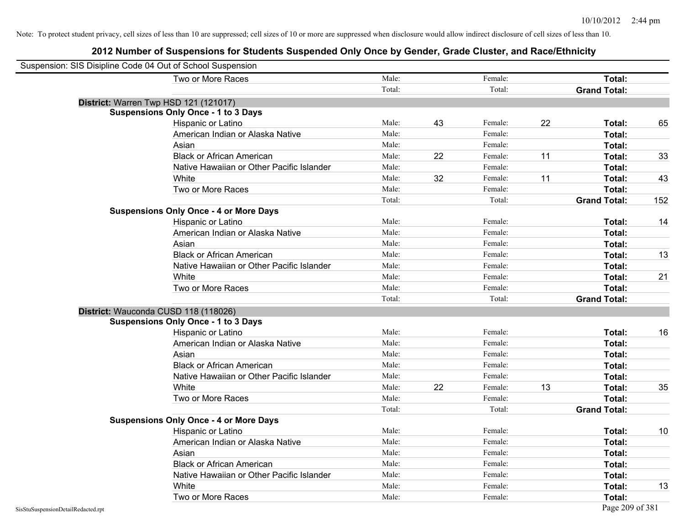| Suspension: SIS Disipline Code 04 Out of School Suspension |                                               |        |    |         |    |                     |     |
|------------------------------------------------------------|-----------------------------------------------|--------|----|---------|----|---------------------|-----|
|                                                            | Two or More Races                             | Male:  |    | Female: |    | Total:              |     |
|                                                            |                                               | Total: |    | Total:  |    | <b>Grand Total:</b> |     |
|                                                            | District: Warren Twp HSD 121 (121017)         |        |    |         |    |                     |     |
|                                                            | <b>Suspensions Only Once - 1 to 3 Days</b>    |        |    |         |    |                     |     |
|                                                            | Hispanic or Latino                            | Male:  | 43 | Female: | 22 | Total:              | 65  |
|                                                            | American Indian or Alaska Native              | Male:  |    | Female: |    | Total:              |     |
|                                                            | Asian                                         | Male:  |    | Female: |    | Total:              |     |
|                                                            | <b>Black or African American</b>              | Male:  | 22 | Female: | 11 | Total:              | 33  |
|                                                            | Native Hawaiian or Other Pacific Islander     | Male:  |    | Female: |    | Total:              |     |
|                                                            | White                                         | Male:  | 32 | Female: | 11 | Total:              | 43  |
|                                                            | Two or More Races                             | Male:  |    | Female: |    | Total:              |     |
|                                                            |                                               | Total: |    | Total:  |    | <b>Grand Total:</b> | 152 |
|                                                            | <b>Suspensions Only Once - 4 or More Days</b> |        |    |         |    |                     |     |
|                                                            | Hispanic or Latino                            | Male:  |    | Female: |    | Total:              | 14  |
|                                                            | American Indian or Alaska Native              | Male:  |    | Female: |    | Total:              |     |
|                                                            | Asian                                         | Male:  |    | Female: |    | Total:              |     |
|                                                            | <b>Black or African American</b>              | Male:  |    | Female: |    | Total:              | 13  |
|                                                            | Native Hawaiian or Other Pacific Islander     | Male:  |    | Female: |    | Total:              |     |
|                                                            | White                                         | Male:  |    | Female: |    | Total:              | 21  |
|                                                            | Two or More Races                             | Male:  |    | Female: |    | Total:              |     |
|                                                            |                                               | Total: |    | Total:  |    | <b>Grand Total:</b> |     |
|                                                            | District: Wauconda CUSD 118 (118026)          |        |    |         |    |                     |     |
|                                                            | <b>Suspensions Only Once - 1 to 3 Days</b>    |        |    |         |    |                     |     |
|                                                            | Hispanic or Latino                            | Male:  |    | Female: |    | Total:              | 16  |
|                                                            | American Indian or Alaska Native              | Male:  |    | Female: |    | Total:              |     |
|                                                            | Asian                                         | Male:  |    | Female: |    | Total:              |     |
|                                                            | <b>Black or African American</b>              | Male:  |    | Female: |    | Total:              |     |
|                                                            | Native Hawaiian or Other Pacific Islander     | Male:  |    | Female: |    | Total:              |     |
|                                                            | White                                         | Male:  | 22 | Female: | 13 | Total:              | 35  |
|                                                            | Two or More Races                             | Male:  |    | Female: |    | Total:              |     |
|                                                            |                                               | Total: |    | Total:  |    | <b>Grand Total:</b> |     |
|                                                            | <b>Suspensions Only Once - 4 or More Days</b> |        |    |         |    |                     |     |
|                                                            | Hispanic or Latino                            | Male:  |    | Female: |    | Total:              | 10  |
|                                                            | American Indian or Alaska Native              | Male:  |    | Female: |    | Total:              |     |
|                                                            | Asian                                         | Male:  |    | Female: |    | Total:              |     |
|                                                            | <b>Black or African American</b>              | Male:  |    | Female: |    | Total:              |     |
|                                                            | Native Hawaiian or Other Pacific Islander     | Male:  |    | Female: |    | Total:              |     |
|                                                            | White                                         | Male:  |    | Female: |    | Total:              | 13  |
|                                                            | Two or More Races                             | Male:  |    | Female: |    | Total:              |     |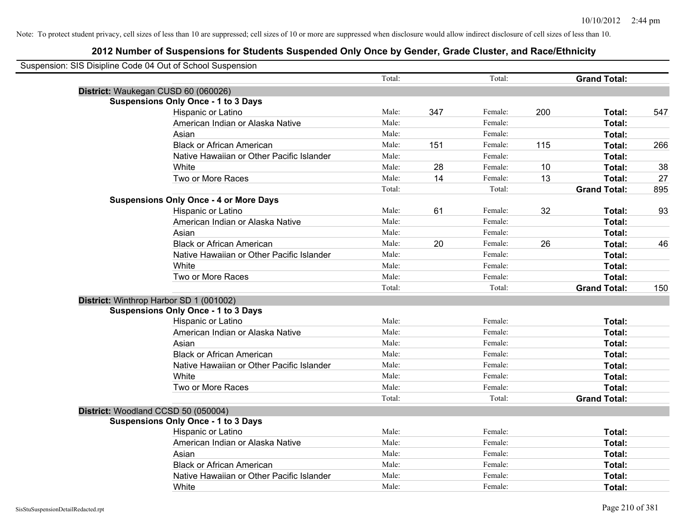| Suspension: SIS Disipline Code 04 Out of School Suspension |                                               |        |     |         |     |                     |     |
|------------------------------------------------------------|-----------------------------------------------|--------|-----|---------|-----|---------------------|-----|
|                                                            |                                               | Total: |     | Total:  |     | <b>Grand Total:</b> |     |
|                                                            | District: Waukegan CUSD 60 (060026)           |        |     |         |     |                     |     |
|                                                            | <b>Suspensions Only Once - 1 to 3 Days</b>    |        |     |         |     |                     |     |
|                                                            | Hispanic or Latino                            | Male:  | 347 | Female: | 200 | Total:              | 547 |
|                                                            | American Indian or Alaska Native              | Male:  |     | Female: |     | Total:              |     |
|                                                            | Asian                                         | Male:  |     | Female: |     | Total:              |     |
|                                                            | <b>Black or African American</b>              | Male:  | 151 | Female: | 115 | Total:              | 266 |
|                                                            | Native Hawaiian or Other Pacific Islander     | Male:  |     | Female: |     | Total:              |     |
|                                                            | White                                         | Male:  | 28  | Female: | 10  | Total:              | 38  |
|                                                            | Two or More Races                             | Male:  | 14  | Female: | 13  | Total:              | 27  |
|                                                            |                                               | Total: |     | Total:  |     | <b>Grand Total:</b> | 895 |
|                                                            | <b>Suspensions Only Once - 4 or More Days</b> |        |     |         |     |                     |     |
|                                                            | Hispanic or Latino                            | Male:  | 61  | Female: | 32  | Total:              | 93  |
|                                                            | American Indian or Alaska Native              | Male:  |     | Female: |     | Total:              |     |
|                                                            | Asian                                         | Male:  |     | Female: |     | Total:              |     |
|                                                            | <b>Black or African American</b>              | Male:  | 20  | Female: | 26  | Total:              | 46  |
|                                                            | Native Hawaiian or Other Pacific Islander     | Male:  |     | Female: |     | Total:              |     |
|                                                            | White                                         | Male:  |     | Female: |     | Total:              |     |
|                                                            | Two or More Races                             | Male:  |     | Female: |     | Total:              |     |
|                                                            |                                               | Total: |     | Total:  |     | <b>Grand Total:</b> | 150 |
|                                                            | District: Winthrop Harbor SD 1 (001002)       |        |     |         |     |                     |     |
|                                                            | <b>Suspensions Only Once - 1 to 3 Days</b>    |        |     |         |     |                     |     |
|                                                            | Hispanic or Latino                            | Male:  |     | Female: |     | Total:              |     |
|                                                            | American Indian or Alaska Native              | Male:  |     | Female: |     | Total:              |     |
|                                                            | Asian                                         | Male:  |     | Female: |     | Total:              |     |
|                                                            | <b>Black or African American</b>              | Male:  |     | Female: |     | Total:              |     |
|                                                            | Native Hawaiian or Other Pacific Islander     | Male:  |     | Female: |     | Total:              |     |
|                                                            | White                                         | Male:  |     | Female: |     | Total:              |     |
|                                                            | Two or More Races                             | Male:  |     | Female: |     | Total:              |     |
|                                                            |                                               | Total: |     | Total:  |     | <b>Grand Total:</b> |     |
|                                                            | District: Woodland CCSD 50 (050004)           |        |     |         |     |                     |     |
|                                                            | <b>Suspensions Only Once - 1 to 3 Days</b>    |        |     |         |     |                     |     |
|                                                            | Hispanic or Latino                            | Male:  |     | Female: |     | Total:              |     |
|                                                            | American Indian or Alaska Native              | Male:  |     | Female: |     | Total:              |     |
|                                                            | Asian                                         | Male:  |     | Female: |     | Total:              |     |
|                                                            | <b>Black or African American</b>              | Male:  |     | Female: |     | Total:              |     |
|                                                            | Native Hawaiian or Other Pacific Islander     | Male:  |     | Female: |     | Total:              |     |
|                                                            | White                                         | Male:  |     | Female: |     | Total:              |     |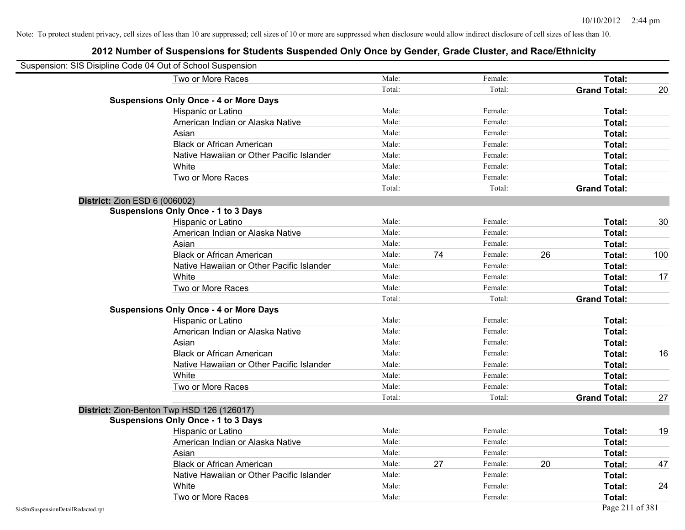| Suspension: SIS Disipline Code 04 Out of School Suspension |                                               |        |    |         |    |                     |     |
|------------------------------------------------------------|-----------------------------------------------|--------|----|---------|----|---------------------|-----|
|                                                            | Two or More Races                             | Male:  |    | Female: |    | Total:              |     |
|                                                            |                                               | Total: |    | Total:  |    | <b>Grand Total:</b> | 20  |
|                                                            | <b>Suspensions Only Once - 4 or More Days</b> |        |    |         |    |                     |     |
|                                                            | Hispanic or Latino                            | Male:  |    | Female: |    | Total:              |     |
|                                                            | American Indian or Alaska Native              | Male:  |    | Female: |    | Total:              |     |
|                                                            | Asian                                         | Male:  |    | Female: |    | Total:              |     |
|                                                            | <b>Black or African American</b>              | Male:  |    | Female: |    | Total:              |     |
|                                                            | Native Hawaiian or Other Pacific Islander     | Male:  |    | Female: |    | Total:              |     |
|                                                            | White                                         | Male:  |    | Female: |    | Total:              |     |
|                                                            | Two or More Races                             | Male:  |    | Female: |    | Total:              |     |
|                                                            |                                               | Total: |    | Total:  |    | <b>Grand Total:</b> |     |
| District: Zion ESD 6 (006002)                              |                                               |        |    |         |    |                     |     |
|                                                            | <b>Suspensions Only Once - 1 to 3 Days</b>    |        |    |         |    |                     |     |
|                                                            | Hispanic or Latino                            | Male:  |    | Female: |    | Total:              | 30  |
|                                                            | American Indian or Alaska Native              | Male:  |    | Female: |    | Total:              |     |
|                                                            | Asian                                         | Male:  |    | Female: |    | Total:              |     |
|                                                            | <b>Black or African American</b>              | Male:  | 74 | Female: | 26 | Total:              | 100 |
|                                                            | Native Hawaiian or Other Pacific Islander     | Male:  |    | Female: |    | Total:              |     |
|                                                            | White                                         | Male:  |    | Female: |    | Total:              | 17  |
|                                                            | Two or More Races                             | Male:  |    | Female: |    | Total:              |     |
|                                                            |                                               | Total: |    | Total:  |    | <b>Grand Total:</b> |     |
|                                                            | <b>Suspensions Only Once - 4 or More Days</b> |        |    |         |    |                     |     |
|                                                            | Hispanic or Latino                            | Male:  |    | Female: |    | Total:              |     |
|                                                            | American Indian or Alaska Native              | Male:  |    | Female: |    | Total:              |     |
|                                                            | Asian                                         | Male:  |    | Female: |    | Total:              |     |
|                                                            | <b>Black or African American</b>              | Male:  |    | Female: |    | Total:              | 16  |
|                                                            | Native Hawaiian or Other Pacific Islander     | Male:  |    | Female: |    | Total:              |     |
|                                                            | White                                         | Male:  |    | Female: |    | Total:              |     |
|                                                            | Two or More Races                             | Male:  |    | Female: |    | Total:              |     |
|                                                            |                                               | Total: |    | Total:  |    | <b>Grand Total:</b> | 27  |
|                                                            | District: Zion-Benton Twp HSD 126 (126017)    |        |    |         |    |                     |     |
|                                                            | <b>Suspensions Only Once - 1 to 3 Days</b>    |        |    |         |    |                     |     |
|                                                            | Hispanic or Latino                            | Male:  |    | Female: |    | Total:              | 19  |
|                                                            | American Indian or Alaska Native              | Male:  |    | Female: |    | Total:              |     |
|                                                            | Asian                                         | Male:  |    | Female: |    | Total:              |     |
|                                                            | <b>Black or African American</b>              | Male:  | 27 | Female: | 20 | Total:              | 47  |
|                                                            | Native Hawaiian or Other Pacific Islander     | Male:  |    | Female: |    | Total:              |     |
|                                                            | White                                         | Male:  |    | Female: |    | Total:              | 24  |
|                                                            | Two or More Races                             | Male:  |    | Female: |    | Total:              |     |
| SisStuSuspensionDetailRedacted.rpt                         |                                               |        |    |         |    | Page 211 of 381     |     |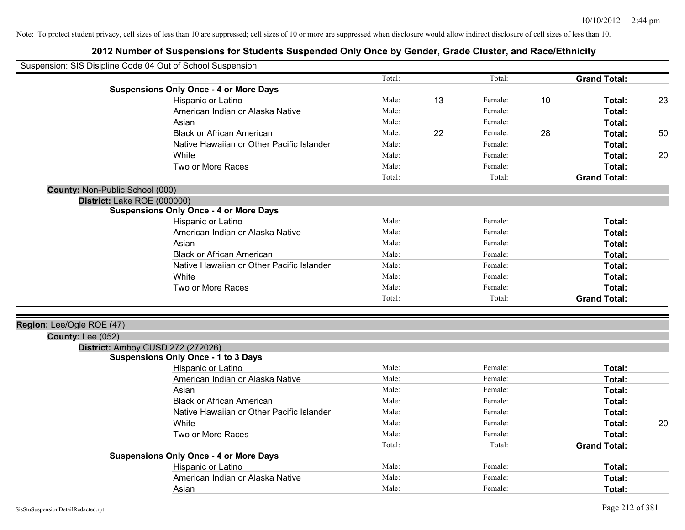|                                 | Suspension: SIS Disipline Code 04 Out of School Suspension |        |    |         |    |                     |    |
|---------------------------------|------------------------------------------------------------|--------|----|---------|----|---------------------|----|
|                                 |                                                            | Total: |    | Total:  |    | <b>Grand Total:</b> |    |
|                                 | <b>Suspensions Only Once - 4 or More Days</b>              |        |    |         |    |                     |    |
|                                 | Hispanic or Latino                                         | Male:  | 13 | Female: | 10 | Total:              | 23 |
|                                 | American Indian or Alaska Native                           | Male:  |    | Female: |    | <b>Total:</b>       |    |
|                                 | Asian                                                      | Male:  |    | Female: |    | <b>Total:</b>       |    |
|                                 | <b>Black or African American</b>                           | Male:  | 22 | Female: | 28 | <b>Total:</b>       | 50 |
|                                 | Native Hawaiian or Other Pacific Islander                  | Male:  |    | Female: |    | <b>Total:</b>       |    |
|                                 | White                                                      | Male:  |    | Female: |    | Total:              | 20 |
|                                 | Two or More Races                                          | Male:  |    | Female: |    | <b>Total:</b>       |    |
|                                 |                                                            | Total: |    | Total:  |    | <b>Grand Total:</b> |    |
| County: Non-Public School (000) |                                                            |        |    |         |    |                     |    |
| District: Lake ROE (000000)     |                                                            |        |    |         |    |                     |    |
|                                 | <b>Suspensions Only Once - 4 or More Days</b>              |        |    |         |    |                     |    |
|                                 | Hispanic or Latino                                         | Male:  |    | Female: |    | <b>Total:</b>       |    |
|                                 | American Indian or Alaska Native                           | Male:  |    | Female: |    | <b>Total:</b>       |    |
|                                 | Asian                                                      | Male:  |    | Female: |    | <b>Total:</b>       |    |
|                                 | <b>Black or African American</b>                           | Male:  |    | Female: |    | <b>Total:</b>       |    |
|                                 | Native Hawaiian or Other Pacific Islander                  | Male:  |    | Female: |    | Total:              |    |
|                                 | White                                                      | Male:  |    | Female: |    | Total:              |    |
|                                 | Two or More Races                                          | Male:  |    | Female: |    | <b>Total:</b>       |    |
|                                 |                                                            | Total: |    | Total:  |    | <b>Grand Total:</b> |    |
| Region: Lee/Ogle ROE (47)       |                                                            |        |    |         |    |                     |    |
| <b>County: Lee (052)</b>        |                                                            |        |    |         |    |                     |    |
|                                 | District: Amboy CUSD 272 (272026)                          |        |    |         |    |                     |    |
|                                 | <b>Suspensions Only Once - 1 to 3 Days</b>                 |        |    |         |    |                     |    |
|                                 | Hispanic or Latino                                         | Male:  |    | Female: |    | Total:              |    |
|                                 | American Indian or Alaska Native                           | Male:  |    | Female: |    | <b>Total:</b>       |    |
|                                 | Asian                                                      | Male:  |    | Female: |    | <b>Total:</b>       |    |
|                                 | <b>Black or African American</b>                           | Male:  |    | Female: |    | <b>Total:</b>       |    |
|                                 | Native Hawaiian or Other Pacific Islander                  | Male:  |    | Female: |    | Total:              |    |
|                                 | White                                                      | Male:  |    | Female: |    | <b>Total:</b>       | 20 |
|                                 | Two or More Races                                          | Male:  |    | Female: |    | Total:              |    |
|                                 |                                                            | Total: |    | Total:  |    | <b>Grand Total:</b> |    |
|                                 | <b>Suspensions Only Once - 4 or More Days</b>              |        |    |         |    |                     |    |
|                                 | Hispanic or Latino                                         | Male:  |    | Female: |    | <b>Total:</b>       |    |
|                                 | American Indian or Alaska Native                           | Male:  |    | Female: |    | <b>Total:</b>       |    |
|                                 | Asian                                                      | Male:  |    | Female: |    | Total:              |    |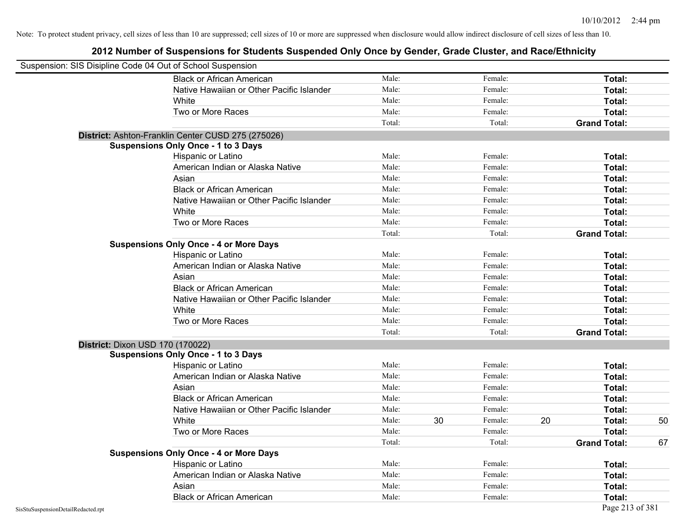|                                    | Suspension: SIS Disipline Code 04 Out of School Suspension                                       |        |    |         |    |                     |    |
|------------------------------------|--------------------------------------------------------------------------------------------------|--------|----|---------|----|---------------------|----|
|                                    | <b>Black or African American</b>                                                                 | Male:  |    | Female: |    | Total:              |    |
|                                    | Native Hawaiian or Other Pacific Islander                                                        | Male:  |    | Female: |    | Total:              |    |
|                                    | White                                                                                            | Male:  |    | Female: |    | Total:              |    |
|                                    | Two or More Races                                                                                | Male:  |    | Female: |    | Total:              |    |
|                                    |                                                                                                  | Total: |    | Total:  |    | <b>Grand Total:</b> |    |
|                                    |                                                                                                  |        |    |         |    |                     |    |
|                                    | District: Ashton-Franklin Center CUSD 275 (275026)<br><b>Suspensions Only Once - 1 to 3 Days</b> |        |    |         |    |                     |    |
|                                    | Hispanic or Latino                                                                               | Male:  |    | Female: |    | Total:              |    |
|                                    | American Indian or Alaska Native                                                                 | Male:  |    | Female: |    | Total:              |    |
|                                    | Asian                                                                                            | Male:  |    | Female: |    | Total:              |    |
|                                    | <b>Black or African American</b>                                                                 | Male:  |    | Female: |    | Total:              |    |
|                                    | Native Hawaiian or Other Pacific Islander                                                        | Male:  |    | Female: |    | Total:              |    |
|                                    | White                                                                                            | Male:  |    | Female: |    | Total:              |    |
|                                    | Two or More Races                                                                                | Male:  |    | Female: |    | Total:              |    |
|                                    |                                                                                                  | Total: |    | Total:  |    | <b>Grand Total:</b> |    |
|                                    | <b>Suspensions Only Once - 4 or More Days</b>                                                    |        |    |         |    |                     |    |
|                                    | Hispanic or Latino                                                                               | Male:  |    | Female: |    | Total:              |    |
|                                    | American Indian or Alaska Native                                                                 | Male:  |    | Female: |    | Total:              |    |
|                                    | Asian                                                                                            | Male:  |    | Female: |    | Total:              |    |
|                                    | <b>Black or African American</b>                                                                 | Male:  |    | Female: |    | Total:              |    |
|                                    | Native Hawaiian or Other Pacific Islander                                                        | Male:  |    | Female: |    | Total:              |    |
|                                    | White                                                                                            | Male:  |    | Female: |    | Total:              |    |
|                                    | Two or More Races                                                                                | Male:  |    | Female: |    | Total:              |    |
|                                    |                                                                                                  | Total: |    | Total:  |    | <b>Grand Total:</b> |    |
|                                    | <b>District: Dixon USD 170 (170022)</b>                                                          |        |    |         |    |                     |    |
|                                    | <b>Suspensions Only Once - 1 to 3 Days</b>                                                       |        |    |         |    |                     |    |
|                                    | Hispanic or Latino                                                                               | Male:  |    | Female: |    | Total:              |    |
|                                    | American Indian or Alaska Native                                                                 | Male:  |    | Female: |    | Total:              |    |
|                                    | Asian                                                                                            | Male:  |    | Female: |    | Total:              |    |
|                                    | <b>Black or African American</b>                                                                 | Male:  |    | Female: |    | Total:              |    |
|                                    | Native Hawaiian or Other Pacific Islander                                                        | Male:  |    | Female: |    | Total:              |    |
|                                    | White                                                                                            | Male:  | 30 | Female: | 20 | Total:              | 50 |
|                                    | Two or More Races                                                                                | Male:  |    | Female: |    | Total:              |    |
|                                    |                                                                                                  | Total: |    | Total:  |    | <b>Grand Total:</b> | 67 |
|                                    | <b>Suspensions Only Once - 4 or More Days</b>                                                    |        |    |         |    |                     |    |
|                                    | Hispanic or Latino                                                                               | Male:  |    | Female: |    | Total:              |    |
|                                    | American Indian or Alaska Native                                                                 | Male:  |    | Female: |    | Total:              |    |
|                                    | Asian                                                                                            | Male:  |    | Female: |    | Total:              |    |
|                                    | <b>Black or African American</b>                                                                 | Male:  |    | Female: |    | Total:              |    |
| SisStuSuspensionDetailRedacted.rpt |                                                                                                  |        |    |         |    | Page 213 of 381     |    |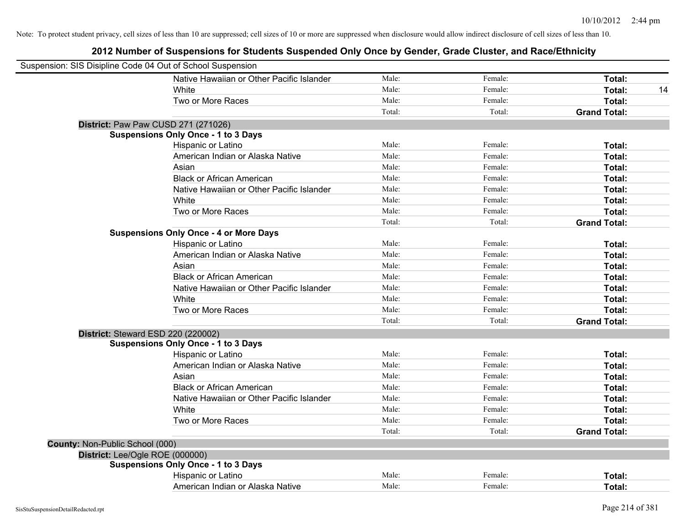| Suspension: SIS Disipline Code 04 Out of School Suspension |                                               |        |         |                     |    |
|------------------------------------------------------------|-----------------------------------------------|--------|---------|---------------------|----|
|                                                            | Native Hawaiian or Other Pacific Islander     | Male:  | Female: | Total:              |    |
|                                                            | White                                         | Male:  | Female: | Total:              | 14 |
|                                                            | Two or More Races                             | Male:  | Female: | Total:              |    |
|                                                            |                                               | Total: | Total:  | <b>Grand Total:</b> |    |
|                                                            | District: Paw Paw CUSD 271 (271026)           |        |         |                     |    |
|                                                            | <b>Suspensions Only Once - 1 to 3 Days</b>    |        |         |                     |    |
|                                                            | Hispanic or Latino                            | Male:  | Female: | Total:              |    |
|                                                            | American Indian or Alaska Native              | Male:  | Female: | Total:              |    |
|                                                            | Asian                                         | Male:  | Female: | Total:              |    |
|                                                            | <b>Black or African American</b>              | Male:  | Female: | Total:              |    |
|                                                            | Native Hawaiian or Other Pacific Islander     | Male:  | Female: | Total:              |    |
|                                                            | White                                         | Male:  | Female: | Total:              |    |
|                                                            | Two or More Races                             | Male:  | Female: | Total:              |    |
|                                                            |                                               | Total: | Total:  | <b>Grand Total:</b> |    |
|                                                            | <b>Suspensions Only Once - 4 or More Days</b> |        |         |                     |    |
|                                                            | Hispanic or Latino                            | Male:  | Female: | Total:              |    |
|                                                            | American Indian or Alaska Native              | Male:  | Female: | Total:              |    |
|                                                            | Asian                                         | Male:  | Female: | Total:              |    |
|                                                            | <b>Black or African American</b>              | Male:  | Female: | Total:              |    |
|                                                            | Native Hawaiian or Other Pacific Islander     | Male:  | Female: | Total:              |    |
|                                                            | White                                         | Male:  | Female: | Total:              |    |
|                                                            | Two or More Races                             | Male:  | Female: | Total:              |    |
|                                                            |                                               | Total: | Total:  | <b>Grand Total:</b> |    |
| District: Steward ESD 220 (220002)                         |                                               |        |         |                     |    |
|                                                            | <b>Suspensions Only Once - 1 to 3 Days</b>    |        |         |                     |    |
|                                                            | Hispanic or Latino                            | Male:  | Female: | Total:              |    |
|                                                            | American Indian or Alaska Native              | Male:  | Female: | Total:              |    |
|                                                            | Asian                                         | Male:  | Female: | Total:              |    |
|                                                            | <b>Black or African American</b>              | Male:  | Female: | Total:              |    |
|                                                            | Native Hawaiian or Other Pacific Islander     | Male:  | Female: | Total:              |    |
|                                                            | White                                         | Male:  | Female: | Total:              |    |
|                                                            | Two or More Races                             | Male:  | Female: | Total:              |    |
|                                                            |                                               | Total: | Total:  | <b>Grand Total:</b> |    |
| County: Non-Public School (000)                            |                                               |        |         |                     |    |
| District: Lee/Ogle ROE (000000)                            |                                               |        |         |                     |    |
|                                                            | <b>Suspensions Only Once - 1 to 3 Days</b>    |        |         |                     |    |
|                                                            | Hispanic or Latino                            | Male:  | Female: | Total:              |    |
|                                                            | American Indian or Alaska Native              | Male:  | Female: | Total:              |    |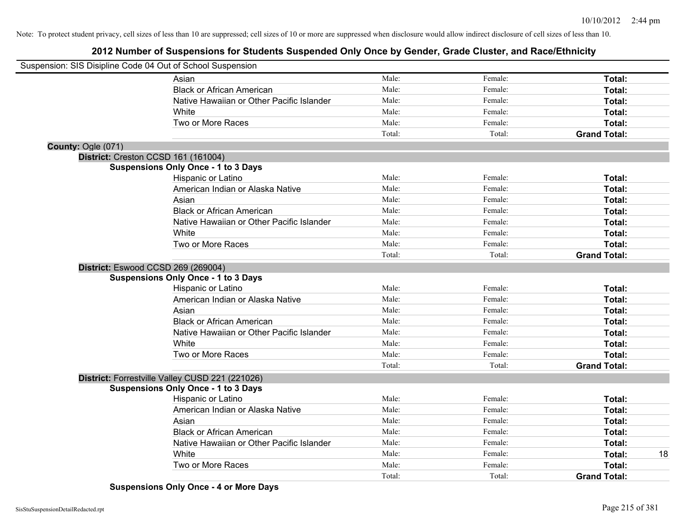# **2012 Number of Suspensions for Students Suspended Only Once by Gender, Grade Cluster, and Race/Ethnicity**

| Suspension: SIS Disipline Code 04 Out of School Suspension<br>Male:<br>Female:<br>Total:<br>Asian<br>Male:<br>Female:<br><b>Black or African American</b><br>Total:<br>Male:<br>Native Hawaiian or Other Pacific Islander<br>Female:<br>Total:<br>Male:<br>Female:<br>White<br>Total:<br>Two or More Races<br>Male:<br>Female:<br>Total:<br>Total:<br>Total:<br><b>Grand Total:</b><br>County: Ogle (071)<br>District: Creston CCSD 161 (161004)<br><b>Suspensions Only Once - 1 to 3 Days</b><br>Male:<br>Female:<br>Hispanic or Latino<br>Total:<br>Male:<br>Female:<br>American Indian or Alaska Native<br>Total:<br>Male:<br>Asian<br>Female:<br>Total:<br>Male:<br><b>Black or African American</b><br>Female:<br>Total:<br>Male:<br>Native Hawaiian or Other Pacific Islander<br>Female:<br>Total:<br>Male:<br>White<br>Female:<br>Total:<br>Two or More Races<br>Male:<br>Female:<br>Total:<br>Total:<br>Total:<br><b>Grand Total:</b><br>District: Eswood CCSD 269 (269004)<br><b>Suspensions Only Once - 1 to 3 Days</b><br>Hispanic or Latino<br>Male:<br>Female:<br>Total:<br>American Indian or Alaska Native<br>Male:<br>Female:<br>Total:<br>Male:<br>Asian<br>Female:<br>Total:<br><b>Black or African American</b><br>Male:<br>Female:<br>Total:<br>Native Hawaiian or Other Pacific Islander<br>Male:<br>Female:<br>Total:<br>White<br>Male:<br>Female:<br>Total:<br>Two or More Races<br>Male:<br>Female:<br>Total:<br>Total:<br><b>Grand Total:</b><br>Total:<br>District: Forrestville Valley CUSD 221 (221026)<br><b>Suspensions Only Once - 1 to 3 Days</b><br>Male:<br>Female:<br>Hispanic or Latino<br>Total:<br>Male:<br>Female:<br>American Indian or Alaska Native<br>Total:<br>Male:<br>Asian<br>Female:<br>Total:<br>Male:<br><b>Black or African American</b><br>Female:<br>Total:<br>Male:<br>Native Hawaiian or Other Pacific Islander<br>Female:<br>Total:<br>Male:<br>White<br>Female:<br>Total:<br>Male:<br>Two or More Races<br>Female:<br>Total:<br>Total: |  |        |                     |    |
|-------------------------------------------------------------------------------------------------------------------------------------------------------------------------------------------------------------------------------------------------------------------------------------------------------------------------------------------------------------------------------------------------------------------------------------------------------------------------------------------------------------------------------------------------------------------------------------------------------------------------------------------------------------------------------------------------------------------------------------------------------------------------------------------------------------------------------------------------------------------------------------------------------------------------------------------------------------------------------------------------------------------------------------------------------------------------------------------------------------------------------------------------------------------------------------------------------------------------------------------------------------------------------------------------------------------------------------------------------------------------------------------------------------------------------------------------------------------------------------------------------------------------------------------------------------------------------------------------------------------------------------------------------------------------------------------------------------------------------------------------------------------------------------------------------------------------------------------------------------------------------------------------------------------------------------------------------------------------------------------------|--|--------|---------------------|----|
|                                                                                                                                                                                                                                                                                                                                                                                                                                                                                                                                                                                                                                                                                                                                                                                                                                                                                                                                                                                                                                                                                                                                                                                                                                                                                                                                                                                                                                                                                                                                                                                                                                                                                                                                                                                                                                                                                                                                                                                                 |  |        |                     |    |
|                                                                                                                                                                                                                                                                                                                                                                                                                                                                                                                                                                                                                                                                                                                                                                                                                                                                                                                                                                                                                                                                                                                                                                                                                                                                                                                                                                                                                                                                                                                                                                                                                                                                                                                                                                                                                                                                                                                                                                                                 |  |        |                     |    |
|                                                                                                                                                                                                                                                                                                                                                                                                                                                                                                                                                                                                                                                                                                                                                                                                                                                                                                                                                                                                                                                                                                                                                                                                                                                                                                                                                                                                                                                                                                                                                                                                                                                                                                                                                                                                                                                                                                                                                                                                 |  |        |                     |    |
|                                                                                                                                                                                                                                                                                                                                                                                                                                                                                                                                                                                                                                                                                                                                                                                                                                                                                                                                                                                                                                                                                                                                                                                                                                                                                                                                                                                                                                                                                                                                                                                                                                                                                                                                                                                                                                                                                                                                                                                                 |  |        |                     |    |
|                                                                                                                                                                                                                                                                                                                                                                                                                                                                                                                                                                                                                                                                                                                                                                                                                                                                                                                                                                                                                                                                                                                                                                                                                                                                                                                                                                                                                                                                                                                                                                                                                                                                                                                                                                                                                                                                                                                                                                                                 |  |        |                     |    |
|                                                                                                                                                                                                                                                                                                                                                                                                                                                                                                                                                                                                                                                                                                                                                                                                                                                                                                                                                                                                                                                                                                                                                                                                                                                                                                                                                                                                                                                                                                                                                                                                                                                                                                                                                                                                                                                                                                                                                                                                 |  |        |                     |    |
|                                                                                                                                                                                                                                                                                                                                                                                                                                                                                                                                                                                                                                                                                                                                                                                                                                                                                                                                                                                                                                                                                                                                                                                                                                                                                                                                                                                                                                                                                                                                                                                                                                                                                                                                                                                                                                                                                                                                                                                                 |  |        |                     |    |
|                                                                                                                                                                                                                                                                                                                                                                                                                                                                                                                                                                                                                                                                                                                                                                                                                                                                                                                                                                                                                                                                                                                                                                                                                                                                                                                                                                                                                                                                                                                                                                                                                                                                                                                                                                                                                                                                                                                                                                                                 |  |        |                     |    |
|                                                                                                                                                                                                                                                                                                                                                                                                                                                                                                                                                                                                                                                                                                                                                                                                                                                                                                                                                                                                                                                                                                                                                                                                                                                                                                                                                                                                                                                                                                                                                                                                                                                                                                                                                                                                                                                                                                                                                                                                 |  |        |                     |    |
|                                                                                                                                                                                                                                                                                                                                                                                                                                                                                                                                                                                                                                                                                                                                                                                                                                                                                                                                                                                                                                                                                                                                                                                                                                                                                                                                                                                                                                                                                                                                                                                                                                                                                                                                                                                                                                                                                                                                                                                                 |  |        |                     |    |
|                                                                                                                                                                                                                                                                                                                                                                                                                                                                                                                                                                                                                                                                                                                                                                                                                                                                                                                                                                                                                                                                                                                                                                                                                                                                                                                                                                                                                                                                                                                                                                                                                                                                                                                                                                                                                                                                                                                                                                                                 |  |        |                     |    |
|                                                                                                                                                                                                                                                                                                                                                                                                                                                                                                                                                                                                                                                                                                                                                                                                                                                                                                                                                                                                                                                                                                                                                                                                                                                                                                                                                                                                                                                                                                                                                                                                                                                                                                                                                                                                                                                                                                                                                                                                 |  |        |                     |    |
|                                                                                                                                                                                                                                                                                                                                                                                                                                                                                                                                                                                                                                                                                                                                                                                                                                                                                                                                                                                                                                                                                                                                                                                                                                                                                                                                                                                                                                                                                                                                                                                                                                                                                                                                                                                                                                                                                                                                                                                                 |  |        |                     |    |
|                                                                                                                                                                                                                                                                                                                                                                                                                                                                                                                                                                                                                                                                                                                                                                                                                                                                                                                                                                                                                                                                                                                                                                                                                                                                                                                                                                                                                                                                                                                                                                                                                                                                                                                                                                                                                                                                                                                                                                                                 |  |        |                     |    |
|                                                                                                                                                                                                                                                                                                                                                                                                                                                                                                                                                                                                                                                                                                                                                                                                                                                                                                                                                                                                                                                                                                                                                                                                                                                                                                                                                                                                                                                                                                                                                                                                                                                                                                                                                                                                                                                                                                                                                                                                 |  |        |                     |    |
|                                                                                                                                                                                                                                                                                                                                                                                                                                                                                                                                                                                                                                                                                                                                                                                                                                                                                                                                                                                                                                                                                                                                                                                                                                                                                                                                                                                                                                                                                                                                                                                                                                                                                                                                                                                                                                                                                                                                                                                                 |  |        |                     |    |
|                                                                                                                                                                                                                                                                                                                                                                                                                                                                                                                                                                                                                                                                                                                                                                                                                                                                                                                                                                                                                                                                                                                                                                                                                                                                                                                                                                                                                                                                                                                                                                                                                                                                                                                                                                                                                                                                                                                                                                                                 |  |        |                     |    |
|                                                                                                                                                                                                                                                                                                                                                                                                                                                                                                                                                                                                                                                                                                                                                                                                                                                                                                                                                                                                                                                                                                                                                                                                                                                                                                                                                                                                                                                                                                                                                                                                                                                                                                                                                                                                                                                                                                                                                                                                 |  |        |                     |    |
|                                                                                                                                                                                                                                                                                                                                                                                                                                                                                                                                                                                                                                                                                                                                                                                                                                                                                                                                                                                                                                                                                                                                                                                                                                                                                                                                                                                                                                                                                                                                                                                                                                                                                                                                                                                                                                                                                                                                                                                                 |  |        |                     |    |
|                                                                                                                                                                                                                                                                                                                                                                                                                                                                                                                                                                                                                                                                                                                                                                                                                                                                                                                                                                                                                                                                                                                                                                                                                                                                                                                                                                                                                                                                                                                                                                                                                                                                                                                                                                                                                                                                                                                                                                                                 |  |        |                     |    |
|                                                                                                                                                                                                                                                                                                                                                                                                                                                                                                                                                                                                                                                                                                                                                                                                                                                                                                                                                                                                                                                                                                                                                                                                                                                                                                                                                                                                                                                                                                                                                                                                                                                                                                                                                                                                                                                                                                                                                                                                 |  |        |                     |    |
|                                                                                                                                                                                                                                                                                                                                                                                                                                                                                                                                                                                                                                                                                                                                                                                                                                                                                                                                                                                                                                                                                                                                                                                                                                                                                                                                                                                                                                                                                                                                                                                                                                                                                                                                                                                                                                                                                                                                                                                                 |  |        |                     |    |
|                                                                                                                                                                                                                                                                                                                                                                                                                                                                                                                                                                                                                                                                                                                                                                                                                                                                                                                                                                                                                                                                                                                                                                                                                                                                                                                                                                                                                                                                                                                                                                                                                                                                                                                                                                                                                                                                                                                                                                                                 |  |        |                     |    |
|                                                                                                                                                                                                                                                                                                                                                                                                                                                                                                                                                                                                                                                                                                                                                                                                                                                                                                                                                                                                                                                                                                                                                                                                                                                                                                                                                                                                                                                                                                                                                                                                                                                                                                                                                                                                                                                                                                                                                                                                 |  |        |                     |    |
|                                                                                                                                                                                                                                                                                                                                                                                                                                                                                                                                                                                                                                                                                                                                                                                                                                                                                                                                                                                                                                                                                                                                                                                                                                                                                                                                                                                                                                                                                                                                                                                                                                                                                                                                                                                                                                                                                                                                                                                                 |  |        |                     |    |
|                                                                                                                                                                                                                                                                                                                                                                                                                                                                                                                                                                                                                                                                                                                                                                                                                                                                                                                                                                                                                                                                                                                                                                                                                                                                                                                                                                                                                                                                                                                                                                                                                                                                                                                                                                                                                                                                                                                                                                                                 |  |        |                     |    |
|                                                                                                                                                                                                                                                                                                                                                                                                                                                                                                                                                                                                                                                                                                                                                                                                                                                                                                                                                                                                                                                                                                                                                                                                                                                                                                                                                                                                                                                                                                                                                                                                                                                                                                                                                                                                                                                                                                                                                                                                 |  |        |                     |    |
|                                                                                                                                                                                                                                                                                                                                                                                                                                                                                                                                                                                                                                                                                                                                                                                                                                                                                                                                                                                                                                                                                                                                                                                                                                                                                                                                                                                                                                                                                                                                                                                                                                                                                                                                                                                                                                                                                                                                                                                                 |  |        |                     |    |
|                                                                                                                                                                                                                                                                                                                                                                                                                                                                                                                                                                                                                                                                                                                                                                                                                                                                                                                                                                                                                                                                                                                                                                                                                                                                                                                                                                                                                                                                                                                                                                                                                                                                                                                                                                                                                                                                                                                                                                                                 |  |        |                     |    |
|                                                                                                                                                                                                                                                                                                                                                                                                                                                                                                                                                                                                                                                                                                                                                                                                                                                                                                                                                                                                                                                                                                                                                                                                                                                                                                                                                                                                                                                                                                                                                                                                                                                                                                                                                                                                                                                                                                                                                                                                 |  |        |                     |    |
|                                                                                                                                                                                                                                                                                                                                                                                                                                                                                                                                                                                                                                                                                                                                                                                                                                                                                                                                                                                                                                                                                                                                                                                                                                                                                                                                                                                                                                                                                                                                                                                                                                                                                                                                                                                                                                                                                                                                                                                                 |  |        |                     |    |
|                                                                                                                                                                                                                                                                                                                                                                                                                                                                                                                                                                                                                                                                                                                                                                                                                                                                                                                                                                                                                                                                                                                                                                                                                                                                                                                                                                                                                                                                                                                                                                                                                                                                                                                                                                                                                                                                                                                                                                                                 |  |        |                     |    |
|                                                                                                                                                                                                                                                                                                                                                                                                                                                                                                                                                                                                                                                                                                                                                                                                                                                                                                                                                                                                                                                                                                                                                                                                                                                                                                                                                                                                                                                                                                                                                                                                                                                                                                                                                                                                                                                                                                                                                                                                 |  |        |                     |    |
|                                                                                                                                                                                                                                                                                                                                                                                                                                                                                                                                                                                                                                                                                                                                                                                                                                                                                                                                                                                                                                                                                                                                                                                                                                                                                                                                                                                                                                                                                                                                                                                                                                                                                                                                                                                                                                                                                                                                                                                                 |  |        |                     |    |
|                                                                                                                                                                                                                                                                                                                                                                                                                                                                                                                                                                                                                                                                                                                                                                                                                                                                                                                                                                                                                                                                                                                                                                                                                                                                                                                                                                                                                                                                                                                                                                                                                                                                                                                                                                                                                                                                                                                                                                                                 |  |        |                     |    |
|                                                                                                                                                                                                                                                                                                                                                                                                                                                                                                                                                                                                                                                                                                                                                                                                                                                                                                                                                                                                                                                                                                                                                                                                                                                                                                                                                                                                                                                                                                                                                                                                                                                                                                                                                                                                                                                                                                                                                                                                 |  |        |                     | 18 |
|                                                                                                                                                                                                                                                                                                                                                                                                                                                                                                                                                                                                                                                                                                                                                                                                                                                                                                                                                                                                                                                                                                                                                                                                                                                                                                                                                                                                                                                                                                                                                                                                                                                                                                                                                                                                                                                                                                                                                                                                 |  |        |                     |    |
|                                                                                                                                                                                                                                                                                                                                                                                                                                                                                                                                                                                                                                                                                                                                                                                                                                                                                                                                                                                                                                                                                                                                                                                                                                                                                                                                                                                                                                                                                                                                                                                                                                                                                                                                                                                                                                                                                                                                                                                                 |  | Total: | <b>Grand Total:</b> |    |

**Suspensions Only Once - 4 or More Days**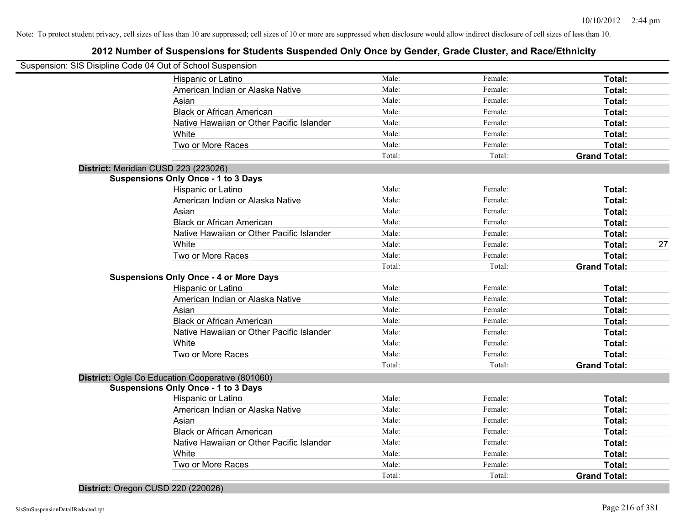# **2012 Number of Suspensions for Students Suspended Only Once by Gender, Grade Cluster, and Race/Ethnicity**

| Suspension: SIS Disipline Code 04 Out of School Suspension |        |         |                     |    |
|------------------------------------------------------------|--------|---------|---------------------|----|
| Hispanic or Latino                                         | Male:  | Female: | Total:              |    |
| American Indian or Alaska Native                           | Male:  | Female: | Total:              |    |
| Asian                                                      | Male:  | Female: | Total:              |    |
| <b>Black or African American</b>                           | Male:  | Female: | Total:              |    |
| Native Hawaiian or Other Pacific Islander                  | Male:  | Female: | Total:              |    |
| White                                                      | Male:  | Female: | Total:              |    |
| Two or More Races                                          | Male:  | Female: | Total:              |    |
|                                                            | Total: | Total:  | <b>Grand Total:</b> |    |
| District: Meridian CUSD 223 (223026)                       |        |         |                     |    |
| <b>Suspensions Only Once - 1 to 3 Days</b>                 |        |         |                     |    |
| Hispanic or Latino                                         | Male:  | Female: | Total:              |    |
| American Indian or Alaska Native                           | Male:  | Female: | Total:              |    |
| Asian                                                      | Male:  | Female: | Total:              |    |
| <b>Black or African American</b>                           | Male:  | Female: | Total:              |    |
| Native Hawaiian or Other Pacific Islander                  | Male:  | Female: | Total:              |    |
| White                                                      | Male:  | Female: | Total:              | 27 |
| Two or More Races                                          | Male:  | Female: | Total:              |    |
|                                                            | Total: | Total:  | <b>Grand Total:</b> |    |
| <b>Suspensions Only Once - 4 or More Days</b>              |        |         |                     |    |
| Hispanic or Latino                                         | Male:  | Female: | Total:              |    |
| American Indian or Alaska Native                           | Male:  | Female: | Total:              |    |
| Asian                                                      | Male:  | Female: | Total:              |    |
| <b>Black or African American</b>                           | Male:  | Female: | Total:              |    |
| Native Hawaiian or Other Pacific Islander                  | Male:  | Female: | Total:              |    |
| White                                                      | Male:  | Female: | Total:              |    |
| Two or More Races                                          | Male:  | Female: | Total:              |    |
|                                                            | Total: | Total:  | <b>Grand Total:</b> |    |
| District: Ogle Co Education Cooperative (801060)           |        |         |                     |    |
| <b>Suspensions Only Once - 1 to 3 Days</b>                 |        |         |                     |    |
| Hispanic or Latino                                         | Male:  | Female: | Total:              |    |
| American Indian or Alaska Native                           | Male:  | Female: | Total:              |    |
| Asian                                                      | Male:  | Female: | Total:              |    |
| <b>Black or African American</b>                           | Male:  | Female: | Total:              |    |
| Native Hawaiian or Other Pacific Islander                  | Male:  | Female: | Total:              |    |
| White                                                      | Male:  | Female: | Total:              |    |
| Two or More Races                                          | Male:  | Female: | Total:              |    |
|                                                            | Total: | Total:  | <b>Grand Total:</b> |    |
|                                                            |        |         |                     |    |

**District:** Oregon CUSD 220 (220026)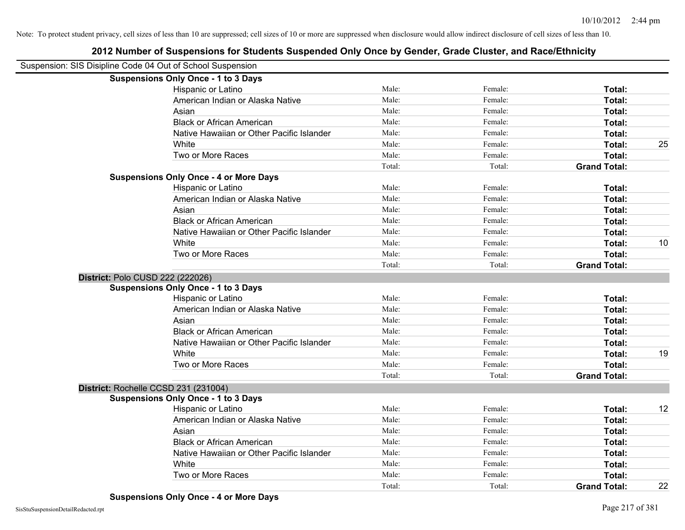# **2012 Number of Suspensions for Students Suspended Only Once by Gender, Grade Cluster, and Race/Ethnicity** Suspension: SIS Disipline Code 04 Out of School Suspension

| luspension: SIS Disipline Code 04 Out of School Suspension<br><b>Suspensions Only Once - 1 to 3 Days</b> |        |         |                         |    |
|----------------------------------------------------------------------------------------------------------|--------|---------|-------------------------|----|
|                                                                                                          | Male:  | Female: |                         |    |
| Hispanic or Latino<br>American Indian or Alaska Native                                                   | Male:  | Female: | Total:<br><b>Total:</b> |    |
| Asian                                                                                                    | Male:  | Female: | Total:                  |    |
| <b>Black or African American</b>                                                                         | Male:  | Female: | <b>Total:</b>           |    |
|                                                                                                          | Male:  |         |                         |    |
| Native Hawaiian or Other Pacific Islander                                                                | Male:  | Female: | <b>Total:</b>           |    |
| White                                                                                                    | Male:  | Female: | <b>Total:</b>           | 25 |
| Two or More Races                                                                                        | Total: | Female: | <b>Total:</b>           |    |
| <b>Suspensions Only Once - 4 or More Days</b>                                                            |        | Total:  | <b>Grand Total:</b>     |    |
| Hispanic or Latino                                                                                       | Male:  | Female: | <b>Total:</b>           |    |
| American Indian or Alaska Native                                                                         | Male:  | Female: | <b>Total:</b>           |    |
| Asian                                                                                                    | Male:  | Female: | Total:                  |    |
| <b>Black or African American</b>                                                                         | Male:  | Female: | Total:                  |    |
| Native Hawaiian or Other Pacific Islander                                                                | Male:  | Female: | Total:                  |    |
| White                                                                                                    | Male:  | Female: |                         | 10 |
| Two or More Races                                                                                        | Male:  | Female: | Total:<br><b>Total:</b> |    |
|                                                                                                          | Total: | Total:  | <b>Grand Total:</b>     |    |
|                                                                                                          |        |         |                         |    |
| District: Polo CUSD 222 (222026)<br><b>Suspensions Only Once - 1 to 3 Days</b>                           |        |         |                         |    |
| Hispanic or Latino                                                                                       | Male:  | Female: | <b>Total:</b>           |    |
| American Indian or Alaska Native                                                                         | Male:  | Female: | Total:                  |    |
| Asian                                                                                                    | Male:  | Female: |                         |    |
| <b>Black or African American</b>                                                                         | Male:  | Female: | Total:                  |    |
|                                                                                                          |        |         | Total:                  |    |
| Native Hawaiian or Other Pacific Islander                                                                | Male:  | Female: | Total:                  |    |
| White                                                                                                    | Male:  | Female: | <b>Total:</b>           | 19 |
| Two or More Races                                                                                        | Male:  | Female: | <b>Total:</b>           |    |
|                                                                                                          | Total: | Total:  | <b>Grand Total:</b>     |    |
| District: Rochelle CCSD 231 (231004)                                                                     |        |         |                         |    |
| <b>Suspensions Only Once - 1 to 3 Days</b>                                                               | Male:  | Female: |                         |    |
| Hispanic or Latino                                                                                       | Male:  |         | <b>Total:</b>           | 12 |
| American Indian or Alaska Native                                                                         |        | Female: | <b>Total:</b>           |    |
| Asian                                                                                                    | Male:  | Female: | <b>Total:</b>           |    |
| <b>Black or African American</b>                                                                         | Male:  | Female: | <b>Total:</b>           |    |
| Native Hawaiian or Other Pacific Islander                                                                | Male:  | Female: | Total:                  |    |
| White                                                                                                    | Male:  | Female: | Total:                  |    |
| Two or More Races                                                                                        | Male:  | Female: | <b>Total:</b>           |    |
|                                                                                                          | Total: | Total:  | <b>Grand Total:</b>     | 22 |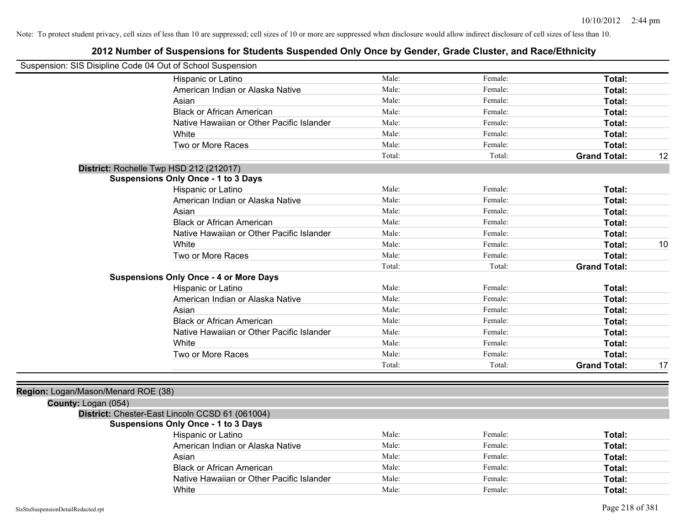| Suspension: SIS Disipline Code 04 Out of School Suspension |                                                 |        |         |                     |    |
|------------------------------------------------------------|-------------------------------------------------|--------|---------|---------------------|----|
|                                                            | Hispanic or Latino                              | Male:  | Female: | Total:              |    |
|                                                            | American Indian or Alaska Native                | Male:  | Female: | Total:              |    |
|                                                            | Asian                                           | Male:  | Female: | Total:              |    |
|                                                            | <b>Black or African American</b>                | Male:  | Female: | Total:              |    |
|                                                            | Native Hawaiian or Other Pacific Islander       | Male:  | Female: | Total:              |    |
|                                                            | White                                           | Male:  | Female: | Total:              |    |
|                                                            | Two or More Races                               | Male:  | Female: | Total:              |    |
|                                                            |                                                 | Total: | Total:  | <b>Grand Total:</b> | 12 |
|                                                            | District: Rochelle Twp HSD 212 (212017)         |        |         |                     |    |
|                                                            | <b>Suspensions Only Once - 1 to 3 Days</b>      |        |         |                     |    |
|                                                            | Hispanic or Latino                              | Male:  | Female: | Total:              |    |
|                                                            | American Indian or Alaska Native                | Male:  | Female: | Total:              |    |
|                                                            | Asian                                           | Male:  | Female: | Total:              |    |
|                                                            | <b>Black or African American</b>                | Male:  | Female: | Total:              |    |
|                                                            | Native Hawaiian or Other Pacific Islander       | Male:  | Female: | Total:              |    |
|                                                            | White                                           | Male:  | Female: | Total:              | 10 |
|                                                            | Two or More Races                               | Male:  | Female: | Total:              |    |
|                                                            |                                                 | Total: | Total:  | <b>Grand Total:</b> |    |
|                                                            | <b>Suspensions Only Once - 4 or More Days</b>   |        |         |                     |    |
|                                                            | Hispanic or Latino                              | Male:  | Female: | Total:              |    |
|                                                            | American Indian or Alaska Native                | Male:  | Female: | Total:              |    |
|                                                            | Asian                                           | Male:  | Female: | Total:              |    |
|                                                            | <b>Black or African American</b>                | Male:  | Female: | Total:              |    |
|                                                            | Native Hawaiian or Other Pacific Islander       | Male:  | Female: | Total:              |    |
|                                                            | White                                           | Male:  | Female: | Total:              |    |
|                                                            | Two or More Races                               | Male:  | Female: | Total:              |    |
|                                                            |                                                 | Total: | Total:  | <b>Grand Total:</b> | 17 |
|                                                            |                                                 |        |         |                     |    |
| Region: Logan/Mason/Menard ROE (38)                        |                                                 |        |         |                     |    |
| County: Logan (054)                                        |                                                 |        |         |                     |    |
|                                                            | District: Chester-East Lincoln CCSD 61 (061004) |        |         |                     |    |
|                                                            | <b>Suspensions Only Once - 1 to 3 Days</b>      |        |         |                     |    |
|                                                            | Hispanic or Latino                              | Male:  | Female: | Total:              |    |
|                                                            | American Indian or Alaska Native                | Male:  | Female: | Total:              |    |
|                                                            | Asian                                           | Male:  | Female: | Total:              |    |
|                                                            | <b>Black or African American</b>                | Male:  | Female: | Total:              |    |
|                                                            | Native Hawaiian or Other Pacific Islander       | Male:  | Female: | Total:              |    |
|                                                            | White                                           | Male:  | Female: | Total:              |    |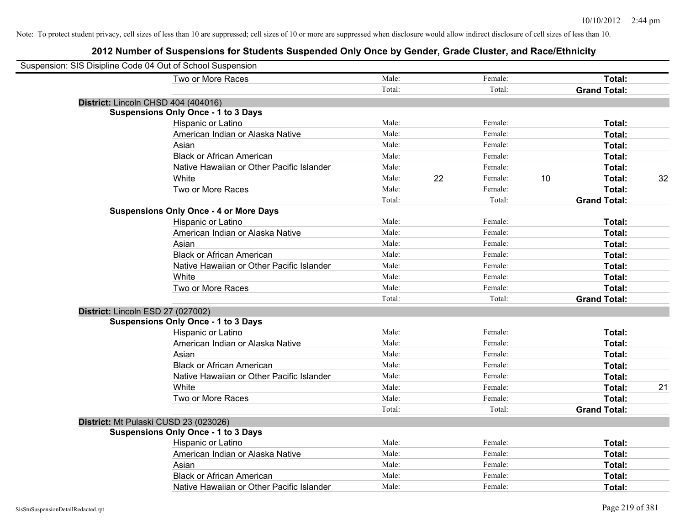| Suspension: SIS Disipline Code 04 Out of School Suspension |                                               |        |    |         |                     |    |
|------------------------------------------------------------|-----------------------------------------------|--------|----|---------|---------------------|----|
|                                                            | Two or More Races                             | Male:  |    | Female: | Total:              |    |
|                                                            |                                               | Total: |    | Total:  | <b>Grand Total:</b> |    |
|                                                            | District: Lincoln CHSD 404 (404016)           |        |    |         |                     |    |
|                                                            | <b>Suspensions Only Once - 1 to 3 Days</b>    |        |    |         |                     |    |
|                                                            | Hispanic or Latino                            | Male:  |    | Female: | Total:              |    |
|                                                            | American Indian or Alaska Native              | Male:  |    | Female: | Total:              |    |
|                                                            | Asian                                         | Male:  |    | Female: | Total:              |    |
|                                                            | <b>Black or African American</b>              | Male:  |    | Female: | Total:              |    |
|                                                            | Native Hawaiian or Other Pacific Islander     | Male:  |    | Female: | Total:              |    |
|                                                            | White                                         | Male:  | 22 | Female: | 10<br>Total:        | 32 |
|                                                            | Two or More Races                             | Male:  |    | Female: | Total:              |    |
|                                                            |                                               | Total: |    | Total:  | <b>Grand Total:</b> |    |
|                                                            | <b>Suspensions Only Once - 4 or More Days</b> |        |    |         |                     |    |
|                                                            | Hispanic or Latino                            | Male:  |    | Female: | Total:              |    |
|                                                            | American Indian or Alaska Native              | Male:  |    | Female: | Total:              |    |
|                                                            | Asian                                         | Male:  |    | Female: | Total:              |    |
|                                                            | <b>Black or African American</b>              | Male:  |    | Female: | Total:              |    |
|                                                            | Native Hawaiian or Other Pacific Islander     | Male:  |    | Female: | Total:              |    |
|                                                            | White                                         | Male:  |    | Female: | Total:              |    |
|                                                            | Two or More Races                             | Male:  |    | Female: | Total:              |    |
|                                                            |                                               | Total: |    | Total:  | <b>Grand Total:</b> |    |
|                                                            | District: Lincoln ESD 27 (027002)             |        |    |         |                     |    |
|                                                            | <b>Suspensions Only Once - 1 to 3 Days</b>    |        |    |         |                     |    |
|                                                            | Hispanic or Latino                            | Male:  |    | Female: | Total:              |    |
|                                                            | American Indian or Alaska Native              | Male:  |    | Female: | Total:              |    |
|                                                            | Asian                                         | Male:  |    | Female: | Total:              |    |
|                                                            | <b>Black or African American</b>              | Male:  |    | Female: | Total:              |    |
|                                                            | Native Hawaiian or Other Pacific Islander     | Male:  |    | Female: | Total:              |    |
|                                                            | White                                         | Male:  |    | Female: | Total:              | 21 |
|                                                            | Two or More Races                             | Male:  |    | Female: | Total:              |    |
|                                                            |                                               | Total: |    | Total:  | <b>Grand Total:</b> |    |
|                                                            | District: Mt Pulaski CUSD 23 (023026)         |        |    |         |                     |    |
|                                                            | <b>Suspensions Only Once - 1 to 3 Days</b>    |        |    |         |                     |    |
|                                                            | Hispanic or Latino                            | Male:  |    | Female: | Total:              |    |
|                                                            | American Indian or Alaska Native              | Male:  |    | Female: | Total:              |    |
|                                                            | Asian                                         | Male:  |    | Female: | Total:              |    |
|                                                            | <b>Black or African American</b>              | Male:  |    | Female: | Total:              |    |
|                                                            | Native Hawaiian or Other Pacific Islander     | Male:  |    | Female: | Total:              |    |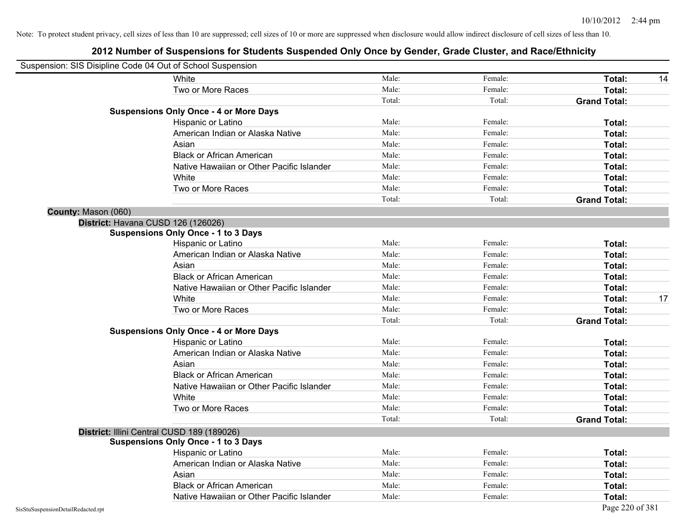| Suspension: SIS Disipline Code 04 Out of School Suspension |                                               |        |         |                     |    |
|------------------------------------------------------------|-----------------------------------------------|--------|---------|---------------------|----|
|                                                            | White                                         | Male:  | Female: | Total:              | 14 |
|                                                            | Two or More Races                             | Male:  | Female: | Total:              |    |
|                                                            |                                               | Total: | Total:  | <b>Grand Total:</b> |    |
|                                                            | <b>Suspensions Only Once - 4 or More Days</b> |        |         |                     |    |
|                                                            | Hispanic or Latino                            | Male:  | Female: | Total:              |    |
|                                                            | American Indian or Alaska Native              | Male:  | Female: | Total:              |    |
|                                                            | Asian                                         | Male:  | Female: | Total:              |    |
|                                                            | <b>Black or African American</b>              | Male:  | Female: | Total:              |    |
|                                                            | Native Hawaiian or Other Pacific Islander     | Male:  | Female: | Total:              |    |
|                                                            | White                                         | Male:  | Female: | Total:              |    |
|                                                            | Two or More Races                             | Male:  | Female: | Total:              |    |
|                                                            |                                               | Total: | Total:  | <b>Grand Total:</b> |    |
| County: Mason (060)                                        |                                               |        |         |                     |    |
|                                                            | District: Havana CUSD 126 (126026)            |        |         |                     |    |
|                                                            | <b>Suspensions Only Once - 1 to 3 Days</b>    |        |         |                     |    |
|                                                            | Hispanic or Latino                            | Male:  | Female: | Total:              |    |
|                                                            | American Indian or Alaska Native              | Male:  | Female: | Total:              |    |
|                                                            | Asian                                         | Male:  | Female: | Total:              |    |
|                                                            | <b>Black or African American</b>              | Male:  | Female: | Total:              |    |
|                                                            | Native Hawaiian or Other Pacific Islander     | Male:  | Female: | Total:              |    |
|                                                            | White                                         | Male:  | Female: | Total:              | 17 |
|                                                            | Two or More Races                             | Male:  | Female: | Total:              |    |
|                                                            |                                               | Total: | Total:  | <b>Grand Total:</b> |    |
|                                                            | <b>Suspensions Only Once - 4 or More Days</b> |        |         |                     |    |
|                                                            | Hispanic or Latino                            | Male:  | Female: | Total:              |    |
|                                                            | American Indian or Alaska Native              | Male:  | Female: | Total:              |    |
|                                                            | Asian                                         | Male:  | Female: | Total:              |    |
|                                                            | <b>Black or African American</b>              | Male:  | Female: | Total:              |    |
|                                                            | Native Hawaiian or Other Pacific Islander     | Male:  | Female: | Total:              |    |
|                                                            | White                                         | Male:  | Female: | Total:              |    |
|                                                            | Two or More Races                             | Male:  | Female: | Total:              |    |
|                                                            |                                               | Total: | Total:  | <b>Grand Total:</b> |    |
|                                                            | District: Illini Central CUSD 189 (189026)    |        |         |                     |    |
|                                                            | <b>Suspensions Only Once - 1 to 3 Days</b>    |        |         |                     |    |
|                                                            | Hispanic or Latino                            | Male:  | Female: | Total:              |    |
|                                                            | American Indian or Alaska Native              | Male:  | Female: | Total:              |    |
|                                                            | Asian                                         | Male:  | Female: | Total:              |    |
|                                                            | <b>Black or African American</b>              | Male:  | Female: | Total:              |    |
|                                                            | Native Hawaiian or Other Pacific Islander     | Male:  | Female: | Total:              |    |
| SisStuSuspensionDetailRedacted.rpt                         |                                               |        |         | Page 220 of 381     |    |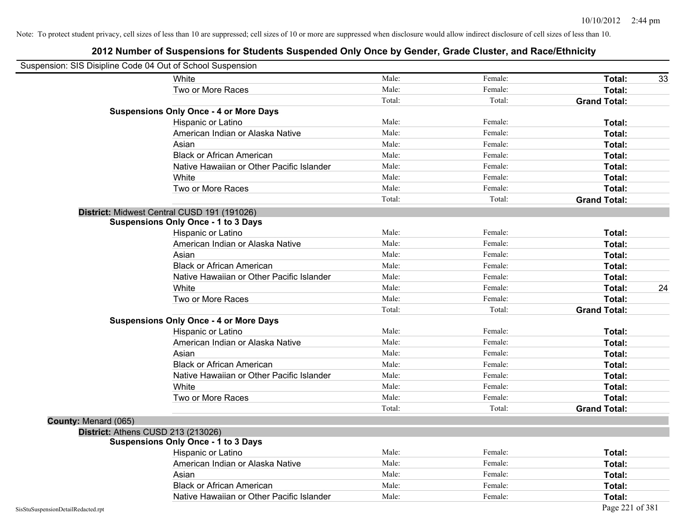|                                    | Suspension: SIS Disipline Code 04 Out of School Suspension |                |         |                     |
|------------------------------------|------------------------------------------------------------|----------------|---------|---------------------|
|                                    | White                                                      | Male:          | Female: | Total:              |
|                                    | Two or More Races                                          | Male:          | Female: | Total:              |
|                                    |                                                            | Total:         | Total:  | <b>Grand Total:</b> |
|                                    | <b>Suspensions Only Once - 4 or More Days</b>              |                |         |                     |
|                                    | Hispanic or Latino                                         | Male:          | Female: | Total:              |
|                                    | American Indian or Alaska Native                           | Male:          | Female: | Total:              |
|                                    | Asian                                                      | Male:          | Female: | Total:              |
|                                    | <b>Black or African American</b>                           | Male:          | Female: | Total:              |
|                                    | Native Hawaiian or Other Pacific Islander                  | Male:          | Female: | Total:              |
|                                    | White                                                      | Male:          | Female: | Total:              |
|                                    | Two or More Races                                          | Male:          | Female: | Total:              |
|                                    |                                                            | Total:         | Total:  | <b>Grand Total:</b> |
|                                    | District: Midwest Central CUSD 191 (191026)                |                |         |                     |
|                                    | <b>Suspensions Only Once - 1 to 3 Days</b>                 |                |         |                     |
|                                    | Hispanic or Latino                                         | Male:          | Female: | Total:              |
|                                    | American Indian or Alaska Native                           | Male:          | Female: | Total:              |
|                                    | Asian                                                      | Male:          | Female: | Total:              |
|                                    | <b>Black or African American</b>                           | Male:          | Female: | Total:              |
|                                    | Native Hawaiian or Other Pacific Islander                  | Male:          | Female: | Total:              |
|                                    | White                                                      | Male:          | Female: | Total:              |
|                                    | Two or More Races                                          | Male:          | Female: | Total:              |
|                                    |                                                            | Total:         | Total:  | <b>Grand Total:</b> |
|                                    | <b>Suspensions Only Once - 4 or More Days</b>              |                |         |                     |
|                                    | Hispanic or Latino                                         | Male:          | Female: | Total:              |
|                                    | American Indian or Alaska Native                           | Male:          | Female: | Total:              |
|                                    | Asian                                                      | Male:          | Female: | Total:              |
|                                    | <b>Black or African American</b>                           | Male:          | Female: | Total:              |
|                                    | Native Hawaiian or Other Pacific Islander                  | Male:          | Female: | Total:              |
|                                    | White                                                      | Male:          | Female: | Total:              |
|                                    | Two or More Races                                          | Male:          | Female: | Total:              |
|                                    |                                                            | Total:         | Total:  | <b>Grand Total:</b> |
| County: Menard (065)               |                                                            |                |         |                     |
|                                    | District: Athens CUSD 213 (213026)                         |                |         |                     |
|                                    | <b>Suspensions Only Once - 1 to 3 Days</b>                 |                |         |                     |
|                                    | Hispanic or Latino                                         | Male:<br>Male: | Female: | Total:              |
|                                    | American Indian or Alaska Native                           |                | Female: | Total:              |
|                                    | Asian                                                      | Male:          | Female: | Total:              |
|                                    | <b>Black or African American</b>                           | Male:          | Female: | Total:              |
|                                    | Native Hawaiian or Other Pacific Islander                  | Male:          | Female: | Total:              |
| SisStuSuspensionDetailRedacted.rpt |                                                            |                |         | Page 221 of 381     |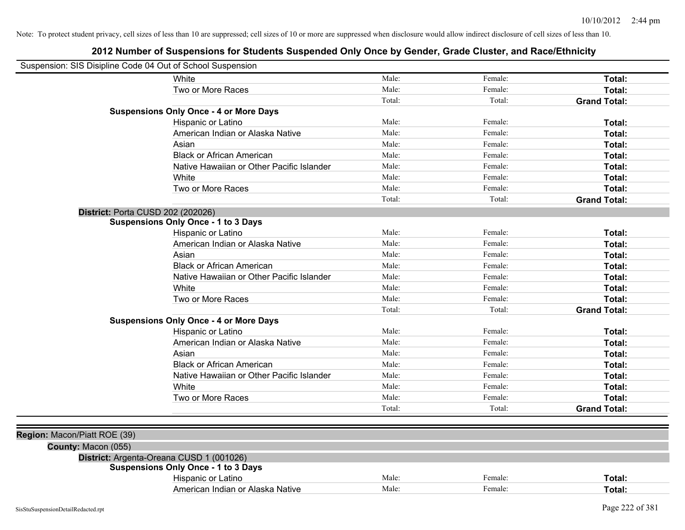| Suspension: SIS Disipline Code 04 Out of School Suspension |                                           |        |         |                     |
|------------------------------------------------------------|-------------------------------------------|--------|---------|---------------------|
| White                                                      |                                           | Male:  | Female: | Total:              |
|                                                            | Two or More Races                         | Male:  | Female: | Total:              |
|                                                            |                                           | Total: | Total:  | <b>Grand Total:</b> |
| <b>Suspensions Only Once - 4 or More Days</b>              |                                           |        |         |                     |
|                                                            | Hispanic or Latino                        | Male:  | Female: | Total:              |
|                                                            | American Indian or Alaska Native          | Male:  | Female: | Total:              |
| Asian                                                      |                                           | Male:  | Female: | Total:              |
|                                                            | <b>Black or African American</b>          | Male:  | Female: | Total:              |
|                                                            | Native Hawaiian or Other Pacific Islander | Male:  | Female: | Total:              |
| White                                                      |                                           | Male:  | Female: | <b>Total:</b>       |
|                                                            | Two or More Races                         | Male:  | Female: | Total:              |
|                                                            |                                           | Total: | Total:  | <b>Grand Total:</b> |
| District: Porta CUSD 202 (202026)                          |                                           |        |         |                     |
| <b>Suspensions Only Once - 1 to 3 Days</b>                 |                                           |        |         |                     |
|                                                            | Hispanic or Latino                        | Male:  | Female: | Total:              |
|                                                            | American Indian or Alaska Native          | Male:  | Female: | Total:              |
| Asian                                                      |                                           | Male:  | Female: | Total:              |
|                                                            | <b>Black or African American</b>          | Male:  | Female: | Total:              |
|                                                            | Native Hawaiian or Other Pacific Islander | Male:  | Female: | Total:              |
| White                                                      |                                           | Male:  | Female: | Total:              |
|                                                            | Two or More Races                         | Male:  | Female: | Total:              |
|                                                            |                                           | Total: | Total:  | <b>Grand Total:</b> |
| <b>Suspensions Only Once - 4 or More Days</b>              |                                           |        |         |                     |
|                                                            | Hispanic or Latino                        | Male:  | Female: | Total:              |
|                                                            | American Indian or Alaska Native          | Male:  | Female: | Total:              |
| Asian                                                      |                                           | Male:  | Female: | Total:              |
|                                                            | <b>Black or African American</b>          | Male:  | Female: | Total:              |
|                                                            | Native Hawaiian or Other Pacific Islander | Male:  | Female: | Total:              |
| White                                                      |                                           | Male:  | Female: | Total:              |
|                                                            | Two or More Races                         | Male:  | Female: | Total:              |
|                                                            |                                           | Total: | Total:  | <b>Grand Total:</b> |
|                                                            |                                           |        |         |                     |
| Region: Macon/Piatt ROE (39)                               |                                           |        |         |                     |
|                                                            |                                           |        |         |                     |
| County: Macon (055)                                        |                                           |        |         |                     |
| District: Argenta-Oreana CUSD 1 (001026)                   |                                           |        |         |                     |
| <b>Suspensions Only Once - 1 to 3 Days</b>                 |                                           |        |         |                     |
|                                                            | Hispanic or Latino                        | Male:  | Female: | Total:              |
|                                                            | American Indian or Alaska Native          | Male:  | Female: | Total:              |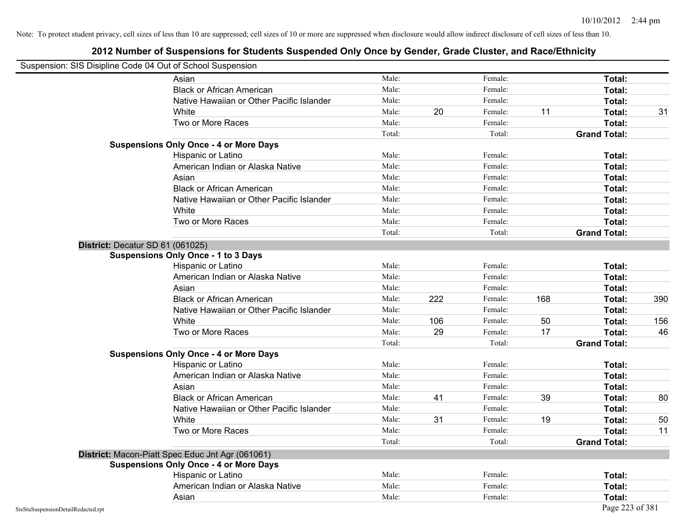| Suspension: SIS Disipline Code 04 Out of School Suspension |                                                  |        |     |         |     |                     |     |
|------------------------------------------------------------|--------------------------------------------------|--------|-----|---------|-----|---------------------|-----|
|                                                            | Asian                                            | Male:  |     | Female: |     | Total:              |     |
|                                                            | <b>Black or African American</b>                 | Male:  |     | Female: |     | Total:              |     |
|                                                            | Native Hawaiian or Other Pacific Islander        | Male:  |     | Female: |     | Total:              |     |
|                                                            | White                                            | Male:  | 20  | Female: | 11  | Total:              | 31  |
|                                                            | Two or More Races                                | Male:  |     | Female: |     | Total:              |     |
|                                                            |                                                  | Total: |     | Total:  |     | <b>Grand Total:</b> |     |
|                                                            | <b>Suspensions Only Once - 4 or More Days</b>    |        |     |         |     |                     |     |
|                                                            | Hispanic or Latino                               | Male:  |     | Female: |     | Total:              |     |
|                                                            | American Indian or Alaska Native                 | Male:  |     | Female: |     | Total:              |     |
|                                                            | Asian                                            | Male:  |     | Female: |     | Total:              |     |
|                                                            | <b>Black or African American</b>                 | Male:  |     | Female: |     | Total:              |     |
|                                                            | Native Hawaiian or Other Pacific Islander        | Male:  |     | Female: |     | Total:              |     |
|                                                            | White                                            | Male:  |     | Female: |     | Total:              |     |
|                                                            | Two or More Races                                | Male:  |     | Female: |     | Total:              |     |
|                                                            |                                                  | Total: |     | Total:  |     | <b>Grand Total:</b> |     |
| District: Decatur SD 61 (061025)                           |                                                  |        |     |         |     |                     |     |
|                                                            | <b>Suspensions Only Once - 1 to 3 Days</b>       |        |     |         |     |                     |     |
|                                                            | Hispanic or Latino                               | Male:  |     | Female: |     | Total:              |     |
|                                                            | American Indian or Alaska Native                 | Male:  |     | Female: |     | Total:              |     |
|                                                            | Asian                                            | Male:  |     | Female: |     | Total:              |     |
|                                                            | <b>Black or African American</b>                 | Male:  | 222 | Female: | 168 | Total:              | 390 |
|                                                            | Native Hawaiian or Other Pacific Islander        | Male:  |     | Female: |     | Total:              |     |
|                                                            | White                                            | Male:  | 106 | Female: | 50  | Total:              | 156 |
|                                                            | Two or More Races                                | Male:  | 29  | Female: | 17  | Total:              | 46  |
|                                                            |                                                  | Total: |     | Total:  |     | <b>Grand Total:</b> |     |
|                                                            | <b>Suspensions Only Once - 4 or More Days</b>    |        |     |         |     |                     |     |
|                                                            | Hispanic or Latino                               | Male:  |     | Female: |     | Total:              |     |
|                                                            | American Indian or Alaska Native                 | Male:  |     | Female: |     | Total:              |     |
|                                                            | Asian                                            | Male:  |     | Female: |     | Total:              |     |
|                                                            | <b>Black or African American</b>                 | Male:  | 41  | Female: | 39  | Total:              | 80  |
|                                                            | Native Hawaiian or Other Pacific Islander        | Male:  |     | Female: |     | Total:              |     |
|                                                            | White                                            | Male:  | 31  | Female: | 19  | Total:              | 50  |
|                                                            | Two or More Races                                | Male:  |     | Female: |     | Total:              | 11  |
|                                                            |                                                  | Total: |     | Total:  |     | <b>Grand Total:</b> |     |
|                                                            | District: Macon-Piatt Spec Educ Jnt Agr (061061) |        |     |         |     |                     |     |
|                                                            | <b>Suspensions Only Once - 4 or More Days</b>    |        |     |         |     |                     |     |
|                                                            | Hispanic or Latino                               | Male:  |     | Female: |     | Total:              |     |
|                                                            | American Indian or Alaska Native                 | Male:  |     | Female: |     | Total:              |     |
|                                                            | Asian                                            | Male:  |     | Female: |     | Total:              |     |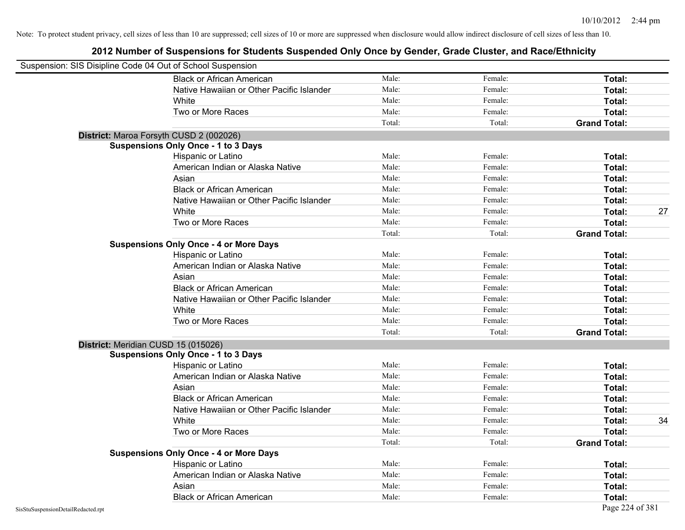| Suspension: SIS Disipline Code 04 Out of School Suspension |                                               |        |         |                     |    |
|------------------------------------------------------------|-----------------------------------------------|--------|---------|---------------------|----|
|                                                            | <b>Black or African American</b>              | Male:  | Female: | Total:              |    |
|                                                            | Native Hawaiian or Other Pacific Islander     | Male:  | Female: | Total:              |    |
|                                                            | White                                         | Male:  | Female: | Total:              |    |
|                                                            | Two or More Races                             | Male:  | Female: | Total:              |    |
|                                                            |                                               | Total: | Total:  | <b>Grand Total:</b> |    |
|                                                            | District: Maroa Forsyth CUSD 2 (002026)       |        |         |                     |    |
|                                                            | <b>Suspensions Only Once - 1 to 3 Days</b>    |        |         |                     |    |
|                                                            | Hispanic or Latino                            | Male:  | Female: | Total:              |    |
|                                                            | American Indian or Alaska Native              | Male:  | Female: | Total:              |    |
|                                                            | Asian                                         | Male:  | Female: | Total:              |    |
|                                                            | <b>Black or African American</b>              | Male:  | Female: | Total:              |    |
|                                                            | Native Hawaiian or Other Pacific Islander     | Male:  | Female: | Total:              |    |
|                                                            | White                                         | Male:  | Female: | Total:              | 27 |
|                                                            | Two or More Races                             | Male:  | Female: | Total:              |    |
|                                                            |                                               | Total: | Total:  | <b>Grand Total:</b> |    |
|                                                            | <b>Suspensions Only Once - 4 or More Days</b> |        |         |                     |    |
|                                                            | Hispanic or Latino                            | Male:  | Female: | Total:              |    |
|                                                            | American Indian or Alaska Native              | Male:  | Female: | Total:              |    |
|                                                            | Asian                                         | Male:  | Female: | Total:              |    |
|                                                            | <b>Black or African American</b>              | Male:  | Female: | Total:              |    |
|                                                            | Native Hawaiian or Other Pacific Islander     | Male:  | Female: | Total:              |    |
|                                                            | White                                         | Male:  | Female: | Total:              |    |
|                                                            | Two or More Races                             | Male:  | Female: | Total:              |    |
|                                                            |                                               | Total: | Total:  | <b>Grand Total:</b> |    |
| District: Meridian CUSD 15 (015026)                        |                                               |        |         |                     |    |
|                                                            | <b>Suspensions Only Once - 1 to 3 Days</b>    |        |         |                     |    |
|                                                            | Hispanic or Latino                            | Male:  | Female: | Total:              |    |
|                                                            | American Indian or Alaska Native              | Male:  | Female: | Total:              |    |
|                                                            | Asian                                         | Male:  | Female: | Total:              |    |
|                                                            | <b>Black or African American</b>              | Male:  | Female: | Total:              |    |
|                                                            | Native Hawaiian or Other Pacific Islander     | Male:  | Female: | Total:              |    |
|                                                            | White                                         | Male:  | Female: | Total:              | 34 |
|                                                            | Two or More Races                             | Male:  | Female: | Total:              |    |
|                                                            |                                               | Total: | Total:  | <b>Grand Total:</b> |    |
|                                                            | <b>Suspensions Only Once - 4 or More Days</b> |        |         |                     |    |
|                                                            | Hispanic or Latino                            | Male:  | Female: | Total:              |    |
|                                                            | American Indian or Alaska Native              | Male:  | Female: | Total:              |    |
|                                                            | Asian                                         | Male:  | Female: | Total:              |    |
|                                                            | <b>Black or African American</b>              | Male:  | Female: | Total:              |    |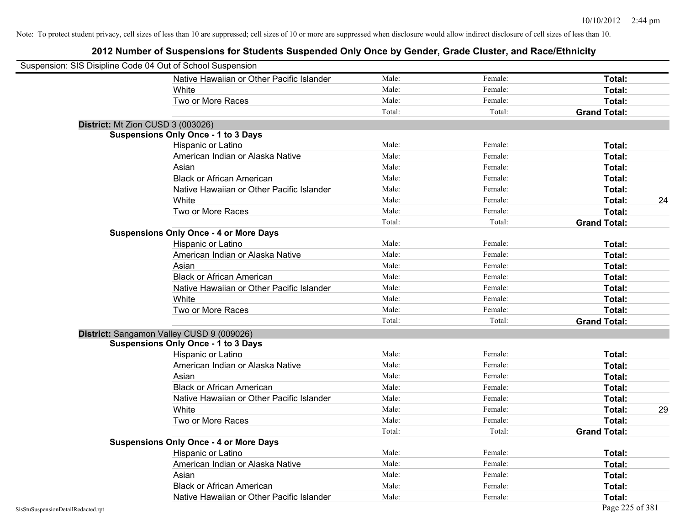|                                    | Suspension: SIS Disipline Code 04 Out of School Suspension |        |         |                     |    |
|------------------------------------|------------------------------------------------------------|--------|---------|---------------------|----|
|                                    | Native Hawaiian or Other Pacific Islander                  | Male:  | Female: | Total:              |    |
|                                    | White                                                      | Male:  | Female: | Total:              |    |
|                                    | Two or More Races                                          | Male:  | Female: | Total:              |    |
|                                    |                                                            | Total: | Total:  | <b>Grand Total:</b> |    |
|                                    | District: Mt Zion CUSD 3 (003026)                          |        |         |                     |    |
|                                    | <b>Suspensions Only Once - 1 to 3 Days</b>                 |        |         |                     |    |
|                                    | Hispanic or Latino                                         | Male:  | Female: | <b>Total:</b>       |    |
|                                    | American Indian or Alaska Native                           | Male:  | Female: | <b>Total:</b>       |    |
|                                    | Asian                                                      | Male:  | Female: | Total:              |    |
|                                    | <b>Black or African American</b>                           | Male:  | Female: | Total:              |    |
|                                    | Native Hawaiian or Other Pacific Islander                  | Male:  | Female: | <b>Total:</b>       |    |
|                                    | White                                                      | Male:  | Female: | <b>Total:</b>       | 24 |
|                                    | Two or More Races                                          | Male:  | Female: | <b>Total:</b>       |    |
|                                    |                                                            | Total: | Total:  | <b>Grand Total:</b> |    |
|                                    | <b>Suspensions Only Once - 4 or More Days</b>              |        |         |                     |    |
|                                    | Hispanic or Latino                                         | Male:  | Female: | Total:              |    |
|                                    | American Indian or Alaska Native                           | Male:  | Female: | <b>Total:</b>       |    |
|                                    | Asian                                                      | Male:  | Female: | Total:              |    |
|                                    | <b>Black or African American</b>                           | Male:  | Female: | Total:              |    |
|                                    | Native Hawaiian or Other Pacific Islander                  | Male:  | Female: | Total:              |    |
|                                    | White                                                      | Male:  | Female: | Total:              |    |
|                                    | Two or More Races                                          | Male:  | Female: | Total:              |    |
|                                    |                                                            | Total: | Total:  | <b>Grand Total:</b> |    |
|                                    | District: Sangamon Valley CUSD 9 (009026)                  |        |         |                     |    |
|                                    | <b>Suspensions Only Once - 1 to 3 Days</b>                 |        |         |                     |    |
|                                    | Hispanic or Latino                                         | Male:  | Female: | Total:              |    |
|                                    | American Indian or Alaska Native                           | Male:  | Female: | <b>Total:</b>       |    |
|                                    | Asian                                                      | Male:  | Female: | Total:              |    |
|                                    | <b>Black or African American</b>                           | Male:  | Female: | Total:              |    |
|                                    | Native Hawaiian or Other Pacific Islander                  | Male:  | Female: | <b>Total:</b>       |    |
|                                    | White                                                      | Male:  | Female: | Total:              | 29 |
|                                    | Two or More Races                                          | Male:  | Female: | Total:              |    |
|                                    |                                                            | Total: | Total:  | <b>Grand Total:</b> |    |
|                                    | <b>Suspensions Only Once - 4 or More Days</b>              |        |         |                     |    |
|                                    | Hispanic or Latino                                         | Male:  | Female: | Total:              |    |
|                                    | American Indian or Alaska Native                           | Male:  | Female: | Total:              |    |
|                                    | Asian                                                      | Male:  | Female: | Total:              |    |
|                                    | <b>Black or African American</b>                           | Male:  | Female: | Total:              |    |
|                                    | Native Hawaiian or Other Pacific Islander                  | Male:  | Female: | <b>Total:</b>       |    |
| SisStuSuspensionDetailRedacted.rpt |                                                            |        |         | Page 225 of 381     |    |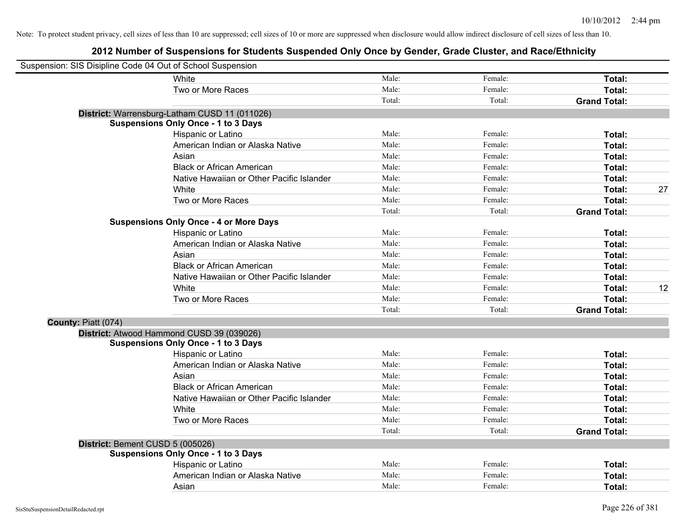| Suspension: SIS Disipline Code 04 Out of School Suspension |                                               |        |         |                     |    |
|------------------------------------------------------------|-----------------------------------------------|--------|---------|---------------------|----|
|                                                            | White                                         | Male:  | Female: | Total:              |    |
|                                                            | Two or More Races                             | Male:  | Female: | Total:              |    |
|                                                            |                                               | Total: | Total:  | <b>Grand Total:</b> |    |
|                                                            | District: Warrensburg-Latham CUSD 11 (011026) |        |         |                     |    |
|                                                            | <b>Suspensions Only Once - 1 to 3 Days</b>    |        |         |                     |    |
|                                                            | Hispanic or Latino                            | Male:  | Female: | Total:              |    |
|                                                            | American Indian or Alaska Native              | Male:  | Female: | Total:              |    |
|                                                            | Asian                                         | Male:  | Female: | Total:              |    |
|                                                            | <b>Black or African American</b>              | Male:  | Female: | Total:              |    |
|                                                            | Native Hawaiian or Other Pacific Islander     | Male:  | Female: | Total:              |    |
|                                                            | White                                         | Male:  | Female: | Total:              | 27 |
|                                                            | Two or More Races                             | Male:  | Female: | Total:              |    |
|                                                            |                                               | Total: | Total:  | <b>Grand Total:</b> |    |
|                                                            | <b>Suspensions Only Once - 4 or More Days</b> |        |         |                     |    |
|                                                            | Hispanic or Latino                            | Male:  | Female: | Total:              |    |
|                                                            | American Indian or Alaska Native              | Male:  | Female: | Total:              |    |
|                                                            | Asian                                         | Male:  | Female: | Total:              |    |
|                                                            | <b>Black or African American</b>              | Male:  | Female: | Total:              |    |
|                                                            | Native Hawaiian or Other Pacific Islander     | Male:  | Female: | Total:              |    |
|                                                            | White                                         | Male:  | Female: | Total:              | 12 |
|                                                            | Two or More Races                             | Male:  | Female: | Total:              |    |
|                                                            |                                               | Total: | Total:  | <b>Grand Total:</b> |    |
| County: Piatt (074)                                        |                                               |        |         |                     |    |
|                                                            | District: Atwood Hammond CUSD 39 (039026)     |        |         |                     |    |
|                                                            | <b>Suspensions Only Once - 1 to 3 Days</b>    |        |         |                     |    |
|                                                            | Hispanic or Latino                            | Male:  | Female: | Total:              |    |
|                                                            | American Indian or Alaska Native              | Male:  | Female: | Total:              |    |
|                                                            | Asian                                         | Male:  | Female: | Total:              |    |
|                                                            | <b>Black or African American</b>              | Male:  | Female: | Total:              |    |
|                                                            | Native Hawaiian or Other Pacific Islander     | Male:  | Female: | Total:              |    |
|                                                            | White                                         | Male:  | Female: | Total:              |    |
|                                                            | Two or More Races                             | Male:  | Female: | Total:              |    |
|                                                            |                                               | Total: | Total:  | <b>Grand Total:</b> |    |
| District: Bement CUSD 5 (005026)                           |                                               |        |         |                     |    |
|                                                            | <b>Suspensions Only Once - 1 to 3 Days</b>    |        |         |                     |    |
|                                                            | Hispanic or Latino                            | Male:  | Female: | Total:              |    |
|                                                            | American Indian or Alaska Native              | Male:  | Female: | <b>Total:</b>       |    |
|                                                            | Asian                                         | Male:  | Female: | Total:              |    |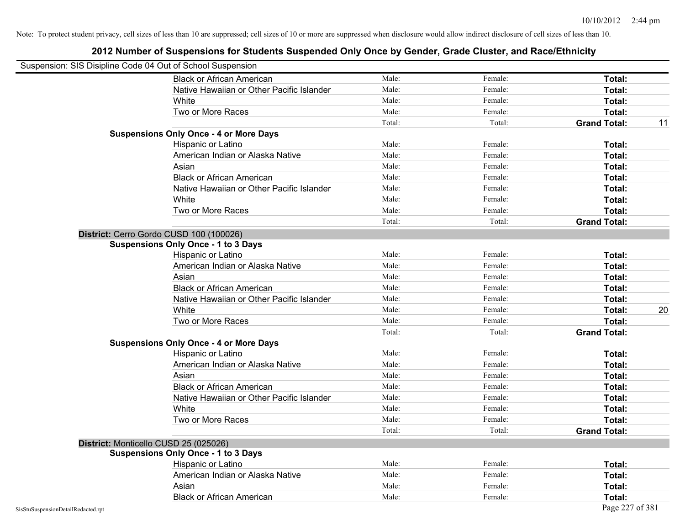| Suspension: SIS Disipline Code 04 Out of School Suspension |                                               |        |         |                           |
|------------------------------------------------------------|-----------------------------------------------|--------|---------|---------------------------|
|                                                            | <b>Black or African American</b>              | Male:  | Female: | Total:                    |
|                                                            | Native Hawaiian or Other Pacific Islander     | Male:  | Female: | Total:                    |
|                                                            | White                                         | Male:  | Female: | Total:                    |
|                                                            | Two or More Races                             | Male:  | Female: | Total:                    |
|                                                            |                                               | Total: | Total:  | <b>Grand Total:</b><br>11 |
|                                                            | <b>Suspensions Only Once - 4 or More Days</b> |        |         |                           |
|                                                            | Hispanic or Latino                            | Male:  | Female: | Total:                    |
|                                                            | American Indian or Alaska Native              | Male:  | Female: | Total:                    |
|                                                            | Asian                                         | Male:  | Female: | Total:                    |
|                                                            | <b>Black or African American</b>              | Male:  | Female: | Total:                    |
|                                                            | Native Hawaiian or Other Pacific Islander     | Male:  | Female: | Total:                    |
|                                                            | White                                         | Male:  | Female: | Total:                    |
|                                                            | Two or More Races                             | Male:  | Female: | Total:                    |
|                                                            |                                               | Total: | Total:  | <b>Grand Total:</b>       |
|                                                            | District: Cerro Gordo CUSD 100 (100026)       |        |         |                           |
|                                                            | <b>Suspensions Only Once - 1 to 3 Days</b>    |        |         |                           |
|                                                            | Hispanic or Latino                            | Male:  | Female: | Total:                    |
|                                                            | American Indian or Alaska Native              | Male:  | Female: | Total:                    |
|                                                            | Asian                                         | Male:  | Female: | Total:                    |
|                                                            | <b>Black or African American</b>              | Male:  | Female: | Total:                    |
|                                                            | Native Hawaiian or Other Pacific Islander     | Male:  | Female: | Total:                    |
|                                                            | White                                         | Male:  | Female: | 20<br>Total:              |
|                                                            | Two or More Races                             | Male:  | Female: | Total:                    |
|                                                            |                                               | Total: | Total:  | <b>Grand Total:</b>       |
|                                                            | <b>Suspensions Only Once - 4 or More Days</b> |        |         |                           |
|                                                            | Hispanic or Latino                            | Male:  | Female: | Total:                    |
|                                                            | American Indian or Alaska Native              | Male:  | Female: | Total:                    |
|                                                            | Asian                                         | Male:  | Female: | Total:                    |
|                                                            | <b>Black or African American</b>              | Male:  | Female: | Total:                    |
|                                                            | Native Hawaiian or Other Pacific Islander     | Male:  | Female: | Total:                    |
|                                                            | White                                         | Male:  | Female: | Total:                    |
|                                                            | Two or More Races                             | Male:  | Female: | Total:                    |
|                                                            |                                               | Total: | Total:  | <b>Grand Total:</b>       |
|                                                            | District: Monticello CUSD 25 (025026)         |        |         |                           |
|                                                            | <b>Suspensions Only Once - 1 to 3 Days</b>    |        |         |                           |
|                                                            | Hispanic or Latino                            | Male:  | Female: | Total:                    |
|                                                            | American Indian or Alaska Native              | Male:  | Female: | Total:                    |
|                                                            | Asian                                         | Male:  | Female: | Total:                    |
|                                                            | <b>Black or African American</b>              | Male:  | Female: | Total:                    |
| SisStuSuspensionDetailRedacted.rpt                         |                                               |        |         | Page 227 of 381           |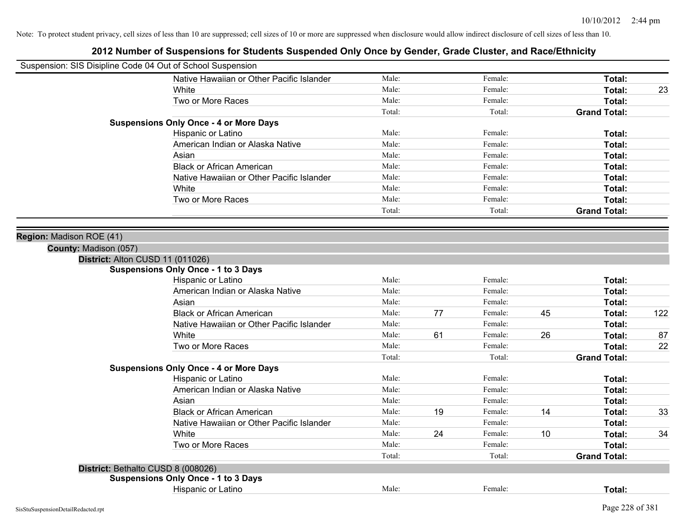| Suspension: SIS Disipline Code 04 Out of School Suspension |                                               |        |    |         |    |                     |     |
|------------------------------------------------------------|-----------------------------------------------|--------|----|---------|----|---------------------|-----|
|                                                            | Native Hawaiian or Other Pacific Islander     | Male:  |    | Female: |    | Total:              |     |
|                                                            | <b>White</b>                                  | Male:  |    | Female: |    | <b>Total:</b>       | 23  |
|                                                            | Two or More Races                             | Male:  |    | Female: |    | <b>Total:</b>       |     |
|                                                            |                                               | Total: |    | Total:  |    | <b>Grand Total:</b> |     |
|                                                            | <b>Suspensions Only Once - 4 or More Days</b> |        |    |         |    |                     |     |
|                                                            | Hispanic or Latino                            | Male:  |    | Female: |    | Total:              |     |
|                                                            | American Indian or Alaska Native              | Male:  |    | Female: |    | Total:              |     |
|                                                            | Asian                                         | Male:  |    | Female: |    | Total:              |     |
|                                                            | <b>Black or African American</b>              | Male:  |    | Female: |    | Total:              |     |
|                                                            | Native Hawaiian or Other Pacific Islander     | Male:  |    | Female: |    | Total:              |     |
|                                                            | White                                         | Male:  |    | Female: |    | Total:              |     |
|                                                            | Two or More Races                             | Male:  |    | Female: |    | Total:              |     |
|                                                            |                                               | Total: |    | Total:  |    | <b>Grand Total:</b> |     |
|                                                            |                                               |        |    |         |    |                     |     |
| Region: Madison ROE (41)                                   |                                               |        |    |         |    |                     |     |
| County: Madison (057)                                      |                                               |        |    |         |    |                     |     |
| District: Alton CUSD 11 (011026)                           |                                               |        |    |         |    |                     |     |
|                                                            | <b>Suspensions Only Once - 1 to 3 Days</b>    |        |    |         |    |                     |     |
|                                                            | Hispanic or Latino                            | Male:  |    | Female: |    | Total:              |     |
|                                                            | American Indian or Alaska Native              | Male:  |    | Female: |    | Total:              |     |
|                                                            | Asian                                         | Male:  |    | Female: |    | Total:              |     |
|                                                            | <b>Black or African American</b>              | Male:  | 77 | Female: | 45 | Total:              | 122 |
|                                                            | Native Hawaiian or Other Pacific Islander     | Male:  |    | Female: |    | Total:              |     |
|                                                            | White                                         | Male:  | 61 | Female: | 26 | Total:              | 87  |
|                                                            | Two or More Races                             | Male:  |    | Female: |    | Total:              | 22  |
|                                                            |                                               | Total: |    | Total:  |    | <b>Grand Total:</b> |     |
|                                                            | <b>Suspensions Only Once - 4 or More Days</b> |        |    |         |    |                     |     |
|                                                            | Hispanic or Latino                            | Male:  |    | Female: |    | Total:              |     |
|                                                            | American Indian or Alaska Native              | Male:  |    | Female: |    | Total:              |     |
|                                                            | Asian                                         | Male:  |    | Female: |    | Total:              |     |
|                                                            | <b>Black or African American</b>              | Male:  | 19 | Female: | 14 | Total:              | 33  |
|                                                            | Native Hawaiian or Other Pacific Islander     | Male:  |    | Female: |    | Total:              |     |
|                                                            | White                                         | Male:  | 24 | Female: | 10 | Total:              | 34  |
|                                                            | Two or More Races                             | Male:  |    | Female: |    | Total:              |     |
|                                                            |                                               | Total: |    | Total:  |    | <b>Grand Total:</b> |     |
| District: Bethalto CUSD 8 (008026)                         |                                               |        |    |         |    |                     |     |
|                                                            | <b>Suspensions Only Once - 1 to 3 Days</b>    |        |    |         |    |                     |     |
|                                                            | Hispanic or Latino                            | Male:  |    | Female: |    | Total:              |     |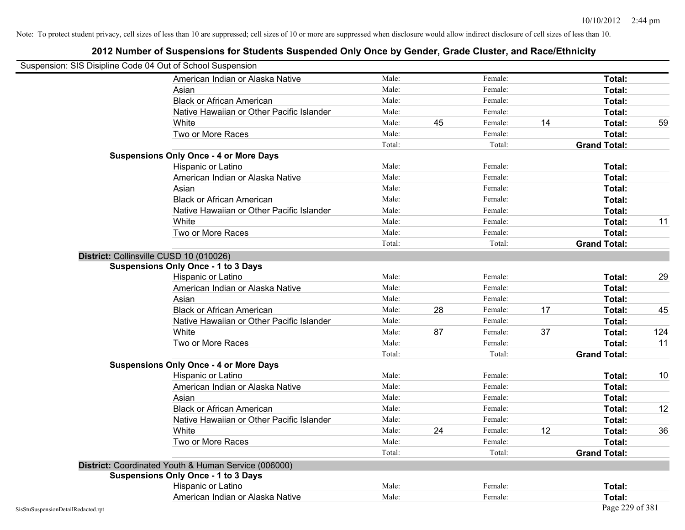| Suspension: SIS Disipline Code 04 Out of School Suspension |                                                      |        |    |         |    |                     |     |
|------------------------------------------------------------|------------------------------------------------------|--------|----|---------|----|---------------------|-----|
|                                                            | American Indian or Alaska Native                     | Male:  |    | Female: |    | Total:              |     |
|                                                            | Asian                                                | Male:  |    | Female: |    | Total:              |     |
|                                                            | <b>Black or African American</b>                     | Male:  |    | Female: |    | Total:              |     |
|                                                            | Native Hawaiian or Other Pacific Islander            | Male:  |    | Female: |    | Total:              |     |
|                                                            | White                                                | Male:  | 45 | Female: | 14 | Total:              | 59  |
|                                                            | Two or More Races                                    | Male:  |    | Female: |    | Total:              |     |
|                                                            |                                                      | Total: |    | Total:  |    | <b>Grand Total:</b> |     |
|                                                            | <b>Suspensions Only Once - 4 or More Days</b>        |        |    |         |    |                     |     |
|                                                            | Hispanic or Latino                                   | Male:  |    | Female: |    | Total:              |     |
|                                                            | American Indian or Alaska Native                     | Male:  |    | Female: |    | Total:              |     |
|                                                            | Asian                                                | Male:  |    | Female: |    | Total:              |     |
|                                                            | <b>Black or African American</b>                     | Male:  |    | Female: |    | Total:              |     |
|                                                            | Native Hawaiian or Other Pacific Islander            | Male:  |    | Female: |    | Total:              |     |
|                                                            | White                                                | Male:  |    | Female: |    | Total:              | 11  |
|                                                            | Two or More Races                                    | Male:  |    | Female: |    | Total:              |     |
|                                                            |                                                      | Total: |    | Total:  |    | <b>Grand Total:</b> |     |
|                                                            | District: Collinsville CUSD 10 (010026)              |        |    |         |    |                     |     |
|                                                            | <b>Suspensions Only Once - 1 to 3 Days</b>           |        |    |         |    |                     |     |
|                                                            | Hispanic or Latino                                   | Male:  |    | Female: |    | Total:              | 29  |
|                                                            | American Indian or Alaska Native                     | Male:  |    | Female: |    | Total:              |     |
|                                                            | Asian                                                | Male:  |    | Female: |    | Total:              |     |
|                                                            | <b>Black or African American</b>                     | Male:  | 28 | Female: | 17 | Total:              | 45  |
|                                                            | Native Hawaiian or Other Pacific Islander            | Male:  |    | Female: |    | Total:              |     |
|                                                            | White                                                | Male:  | 87 | Female: | 37 | Total:              | 124 |
|                                                            | Two or More Races                                    | Male:  |    | Female: |    | Total:              | 11  |
|                                                            |                                                      | Total: |    | Total:  |    | <b>Grand Total:</b> |     |
|                                                            | <b>Suspensions Only Once - 4 or More Days</b>        |        |    |         |    |                     |     |
|                                                            | Hispanic or Latino                                   | Male:  |    | Female: |    | Total:              | 10  |
|                                                            | American Indian or Alaska Native                     | Male:  |    | Female: |    | Total:              |     |
|                                                            | Asian                                                | Male:  |    | Female: |    | Total:              |     |
|                                                            | <b>Black or African American</b>                     | Male:  |    | Female: |    | Total:              | 12  |
|                                                            | Native Hawaiian or Other Pacific Islander            | Male:  |    | Female: |    | Total:              |     |
|                                                            | White                                                | Male:  | 24 | Female: | 12 | Total:              | 36  |
|                                                            | Two or More Races                                    | Male:  |    | Female: |    | Total:              |     |
|                                                            |                                                      | Total: |    | Total:  |    | <b>Grand Total:</b> |     |
|                                                            | District: Coordinated Youth & Human Service (006000) |        |    |         |    |                     |     |
|                                                            | <b>Suspensions Only Once - 1 to 3 Days</b>           |        |    |         |    |                     |     |
|                                                            | Hispanic or Latino                                   | Male:  |    | Female: |    | Total:              |     |
|                                                            | American Indian or Alaska Native                     | Male:  |    | Female: |    | Total:              |     |
| SisStuSuspensionDetailRedacted.rpt                         |                                                      |        |    |         |    | Page 229 of 381     |     |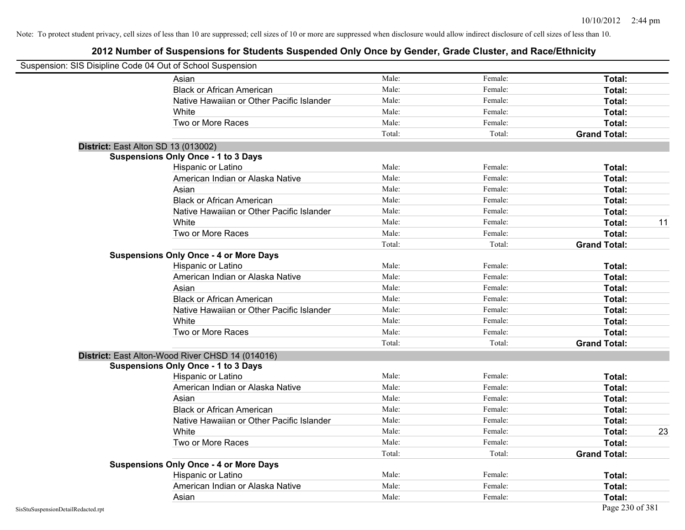|                                    | Suspension: SIS Disipline Code 04 Out of School Suspension |        |         |                     |    |
|------------------------------------|------------------------------------------------------------|--------|---------|---------------------|----|
|                                    | Asian                                                      | Male:  | Female: | Total:              |    |
|                                    | <b>Black or African American</b>                           | Male:  | Female: | Total:              |    |
|                                    | Native Hawaiian or Other Pacific Islander                  | Male:  | Female: | Total:              |    |
|                                    | White                                                      | Male:  | Female: | Total:              |    |
|                                    | Two or More Races                                          | Male:  | Female: | Total:              |    |
|                                    |                                                            | Total: | Total:  | <b>Grand Total:</b> |    |
|                                    | District: East Alton SD 13 (013002)                        |        |         |                     |    |
|                                    | <b>Suspensions Only Once - 1 to 3 Days</b>                 |        |         |                     |    |
|                                    | Hispanic or Latino                                         | Male:  | Female: | Total:              |    |
|                                    | American Indian or Alaska Native                           | Male:  | Female: | Total:              |    |
|                                    | Asian                                                      | Male:  | Female: | Total:              |    |
|                                    | <b>Black or African American</b>                           | Male:  | Female: | Total:              |    |
|                                    | Native Hawaiian or Other Pacific Islander                  | Male:  | Female: | Total:              |    |
|                                    | White                                                      | Male:  | Female: | Total:              | 11 |
|                                    | Two or More Races                                          | Male:  | Female: | Total:              |    |
|                                    |                                                            | Total: | Total:  | <b>Grand Total:</b> |    |
|                                    | <b>Suspensions Only Once - 4 or More Days</b>              |        |         |                     |    |
|                                    | Hispanic or Latino                                         | Male:  | Female: | Total:              |    |
|                                    | American Indian or Alaska Native                           | Male:  | Female: | Total:              |    |
|                                    | Asian                                                      | Male:  | Female: | Total:              |    |
|                                    | <b>Black or African American</b>                           | Male:  | Female: | Total:              |    |
|                                    | Native Hawaiian or Other Pacific Islander                  | Male:  | Female: | Total:              |    |
|                                    | White                                                      | Male:  | Female: | Total:              |    |
|                                    | Two or More Races                                          | Male:  | Female: | Total:              |    |
|                                    |                                                            | Total: | Total:  | <b>Grand Total:</b> |    |
|                                    | District: East Alton-Wood River CHSD 14 (014016)           |        |         |                     |    |
|                                    | <b>Suspensions Only Once - 1 to 3 Days</b>                 |        |         |                     |    |
|                                    | Hispanic or Latino                                         | Male:  | Female: | Total:              |    |
|                                    | American Indian or Alaska Native                           | Male:  | Female: | Total:              |    |
|                                    | Asian                                                      | Male:  | Female: | Total:              |    |
|                                    | <b>Black or African American</b>                           | Male:  | Female: | Total:              |    |
|                                    | Native Hawaiian or Other Pacific Islander                  | Male:  | Female: | Total:              |    |
|                                    | White                                                      | Male:  | Female: | Total:              | 23 |
|                                    | Two or More Races                                          | Male:  | Female: | Total:              |    |
|                                    |                                                            | Total: | Total:  | <b>Grand Total:</b> |    |
|                                    | <b>Suspensions Only Once - 4 or More Days</b>              |        |         |                     |    |
|                                    | Hispanic or Latino                                         | Male:  | Female: | Total:              |    |
|                                    | American Indian or Alaska Native                           | Male:  | Female: | Total:              |    |
|                                    | Asian                                                      | Male:  | Female: | Total:              |    |
| SisStuSuspensionDetailRedacted.rpt |                                                            |        |         | Page 230 of 381     |    |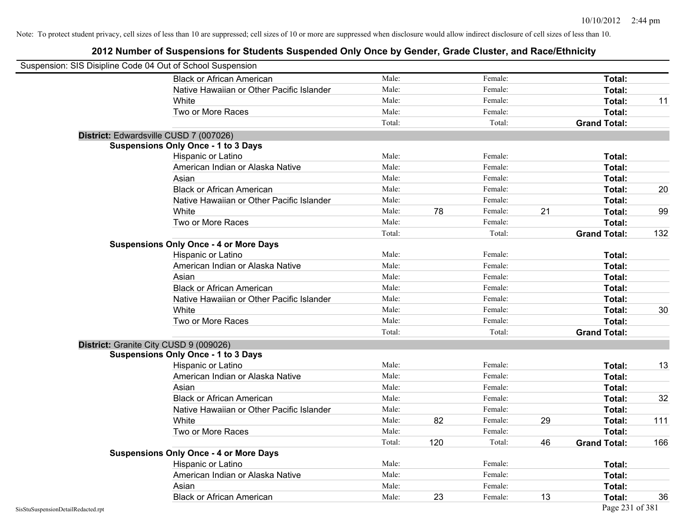| Suspension: SIS Disipline Code 04 Out of School Suspension |                                               |        |     |         |    |                     |     |
|------------------------------------------------------------|-----------------------------------------------|--------|-----|---------|----|---------------------|-----|
|                                                            | <b>Black or African American</b>              | Male:  |     | Female: |    | <b>Total:</b>       |     |
|                                                            | Native Hawaiian or Other Pacific Islander     | Male:  |     | Female: |    | Total:              |     |
|                                                            | White                                         | Male:  |     | Female: |    | Total:              | 11  |
|                                                            | Two or More Races                             | Male:  |     | Female: |    | Total:              |     |
|                                                            |                                               | Total: |     | Total:  |    | <b>Grand Total:</b> |     |
|                                                            | District: Edwardsville CUSD 7 (007026)        |        |     |         |    |                     |     |
|                                                            | <b>Suspensions Only Once - 1 to 3 Days</b>    |        |     |         |    |                     |     |
|                                                            | Hispanic or Latino                            | Male:  |     | Female: |    | Total:              |     |
|                                                            | American Indian or Alaska Native              | Male:  |     | Female: |    | Total:              |     |
|                                                            | Asian                                         | Male:  |     | Female: |    | Total:              |     |
|                                                            | <b>Black or African American</b>              | Male:  |     | Female: |    | Total:              | 20  |
|                                                            | Native Hawaiian or Other Pacific Islander     | Male:  |     | Female: |    | Total:              |     |
|                                                            | White                                         | Male:  | 78  | Female: | 21 | Total:              | 99  |
|                                                            | Two or More Races                             | Male:  |     | Female: |    | Total:              |     |
|                                                            |                                               | Total: |     | Total:  |    | <b>Grand Total:</b> | 132 |
|                                                            | <b>Suspensions Only Once - 4 or More Days</b> |        |     |         |    |                     |     |
|                                                            | Hispanic or Latino                            | Male:  |     | Female: |    | Total:              |     |
|                                                            | American Indian or Alaska Native              | Male:  |     | Female: |    | Total:              |     |
|                                                            | Asian                                         | Male:  |     | Female: |    | Total:              |     |
|                                                            | <b>Black or African American</b>              | Male:  |     | Female: |    | Total:              |     |
|                                                            | Native Hawaiian or Other Pacific Islander     | Male:  |     | Female: |    | Total:              |     |
|                                                            | White                                         | Male:  |     | Female: |    | Total:              | 30  |
|                                                            | Two or More Races                             | Male:  |     | Female: |    | Total:              |     |
|                                                            |                                               | Total: |     | Total:  |    | <b>Grand Total:</b> |     |
|                                                            | District: Granite City CUSD 9 (009026)        |        |     |         |    |                     |     |
|                                                            | <b>Suspensions Only Once - 1 to 3 Days</b>    |        |     |         |    |                     |     |
|                                                            | Hispanic or Latino                            | Male:  |     | Female: |    | Total:              | 13  |
|                                                            | American Indian or Alaska Native              | Male:  |     | Female: |    | Total:              |     |
|                                                            | Asian                                         | Male:  |     | Female: |    | Total:              |     |
|                                                            | <b>Black or African American</b>              | Male:  |     | Female: |    | Total:              | 32  |
|                                                            | Native Hawaiian or Other Pacific Islander     | Male:  |     | Female: |    | Total:              |     |
|                                                            | White                                         | Male:  | 82  | Female: | 29 | Total:              | 111 |
|                                                            | Two or More Races                             | Male:  |     | Female: |    | Total:              |     |
|                                                            |                                               | Total: | 120 | Total:  | 46 | <b>Grand Total:</b> | 166 |
|                                                            | <b>Suspensions Only Once - 4 or More Days</b> |        |     |         |    |                     |     |
|                                                            | Hispanic or Latino                            | Male:  |     | Female: |    | Total:              |     |
|                                                            | American Indian or Alaska Native              | Male:  |     | Female: |    | Total:              |     |
|                                                            | Asian                                         | Male:  |     | Female: |    | Total:              |     |
|                                                            | <b>Black or African American</b>              | Male:  | 23  | Female: | 13 | Total:              | 36  |
| SisStuSuspensionDetailRedacted.rpt                         |                                               |        |     |         |    | Page 231 of 381     |     |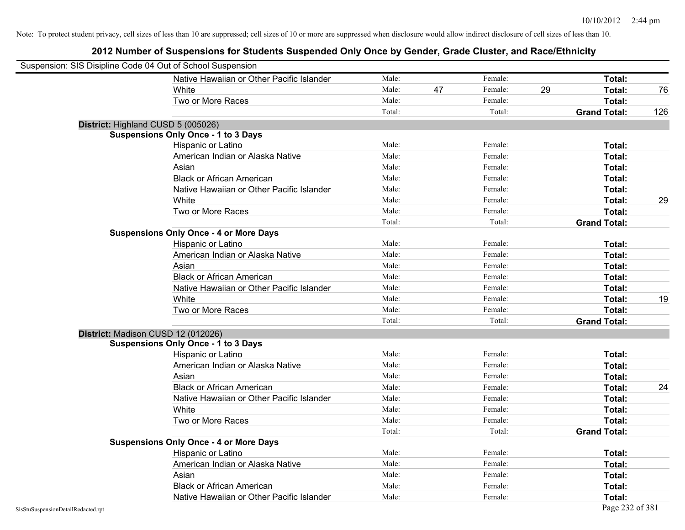| Suspension: SIS Disipline Code 04 Out of School Suspension |                                               |        |    |         |    |                     |     |
|------------------------------------------------------------|-----------------------------------------------|--------|----|---------|----|---------------------|-----|
|                                                            | Native Hawaiian or Other Pacific Islander     | Male:  |    | Female: |    | Total:              |     |
|                                                            | White                                         | Male:  | 47 | Female: | 29 | Total:              | 76  |
|                                                            | Two or More Races                             | Male:  |    | Female: |    | Total:              |     |
|                                                            |                                               | Total: |    | Total:  |    | <b>Grand Total:</b> | 126 |
| District: Highland CUSD 5 (005026)                         |                                               |        |    |         |    |                     |     |
|                                                            | <b>Suspensions Only Once - 1 to 3 Days</b>    |        |    |         |    |                     |     |
|                                                            | Hispanic or Latino                            | Male:  |    | Female: |    | Total:              |     |
|                                                            | American Indian or Alaska Native              | Male:  |    | Female: |    | Total:              |     |
|                                                            | Asian                                         | Male:  |    | Female: |    | Total:              |     |
|                                                            | <b>Black or African American</b>              | Male:  |    | Female: |    | Total:              |     |
|                                                            | Native Hawaiian or Other Pacific Islander     | Male:  |    | Female: |    | Total:              |     |
|                                                            | White                                         | Male:  |    | Female: |    | Total:              | 29  |
|                                                            | Two or More Races                             | Male:  |    | Female: |    | Total:              |     |
|                                                            |                                               | Total: |    | Total:  |    | <b>Grand Total:</b> |     |
|                                                            | <b>Suspensions Only Once - 4 or More Days</b> |        |    |         |    |                     |     |
|                                                            | Hispanic or Latino                            | Male:  |    | Female: |    | Total:              |     |
|                                                            | American Indian or Alaska Native              | Male:  |    | Female: |    | Total:              |     |
|                                                            | Asian                                         | Male:  |    | Female: |    | Total:              |     |
|                                                            | <b>Black or African American</b>              | Male:  |    | Female: |    | Total:              |     |
|                                                            | Native Hawaiian or Other Pacific Islander     | Male:  |    | Female: |    | Total:              |     |
|                                                            | White                                         | Male:  |    | Female: |    | Total:              | 19  |
|                                                            | Two or More Races                             | Male:  |    | Female: |    | Total:              |     |
|                                                            |                                               | Total: |    | Total:  |    | <b>Grand Total:</b> |     |
| District: Madison CUSD 12 (012026)                         |                                               |        |    |         |    |                     |     |
|                                                            | <b>Suspensions Only Once - 1 to 3 Days</b>    |        |    |         |    |                     |     |
|                                                            | Hispanic or Latino                            | Male:  |    | Female: |    | Total:              |     |
|                                                            | American Indian or Alaska Native              | Male:  |    | Female: |    | Total:              |     |
|                                                            | Asian                                         | Male:  |    | Female: |    | Total:              |     |
|                                                            | <b>Black or African American</b>              | Male:  |    | Female: |    | Total:              | 24  |
|                                                            | Native Hawaiian or Other Pacific Islander     | Male:  |    | Female: |    | Total:              |     |
|                                                            | White                                         | Male:  |    | Female: |    | Total:              |     |
|                                                            | Two or More Races                             | Male:  |    | Female: |    | Total:              |     |
|                                                            |                                               | Total: |    | Total:  |    | <b>Grand Total:</b> |     |
|                                                            | <b>Suspensions Only Once - 4 or More Days</b> |        |    |         |    |                     |     |
|                                                            | Hispanic or Latino                            | Male:  |    | Female: |    | Total:              |     |
|                                                            | American Indian or Alaska Native              | Male:  |    | Female: |    | Total:              |     |
|                                                            | Asian                                         | Male:  |    | Female: |    | Total:              |     |
|                                                            | <b>Black or African American</b>              | Male:  |    | Female: |    | Total:              |     |
|                                                            | Native Hawaiian or Other Pacific Islander     | Male:  |    | Female: |    | Total:              |     |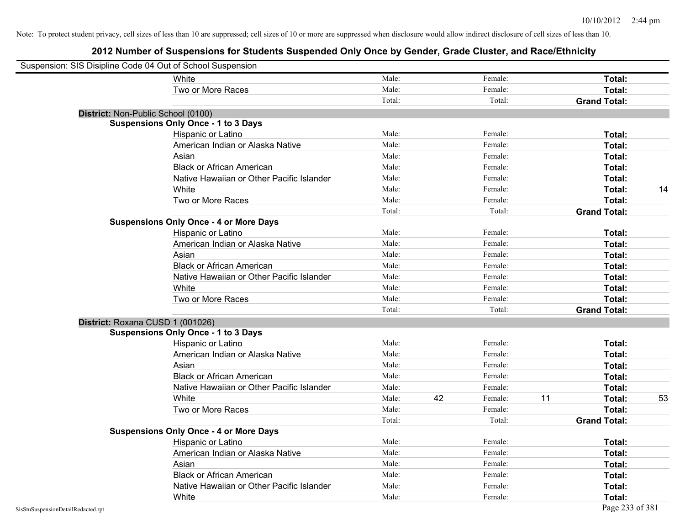| Suspension: SIS Disipline Code 04 Out of School Suspension |                                               |        |    |         |    |                     |    |
|------------------------------------------------------------|-----------------------------------------------|--------|----|---------|----|---------------------|----|
|                                                            | White                                         | Male:  |    | Female: |    | Total:              |    |
|                                                            | Two or More Races                             | Male:  |    | Female: |    | Total:              |    |
|                                                            |                                               | Total: |    | Total:  |    | <b>Grand Total:</b> |    |
| District: Non-Public School (0100)                         |                                               |        |    |         |    |                     |    |
|                                                            | <b>Suspensions Only Once - 1 to 3 Days</b>    |        |    |         |    |                     |    |
|                                                            | Hispanic or Latino                            | Male:  |    | Female: |    | Total:              |    |
|                                                            | American Indian or Alaska Native              | Male:  |    | Female: |    | Total:              |    |
|                                                            | Asian                                         | Male:  |    | Female: |    | Total:              |    |
|                                                            | <b>Black or African American</b>              | Male:  |    | Female: |    | Total:              |    |
|                                                            | Native Hawaiian or Other Pacific Islander     | Male:  |    | Female: |    | Total:              |    |
|                                                            | White                                         | Male:  |    | Female: |    | Total:              | 14 |
|                                                            | Two or More Races                             | Male:  |    | Female: |    | Total:              |    |
|                                                            |                                               | Total: |    | Total:  |    | <b>Grand Total:</b> |    |
|                                                            | <b>Suspensions Only Once - 4 or More Days</b> |        |    |         |    |                     |    |
|                                                            | Hispanic or Latino                            | Male:  |    | Female: |    | Total:              |    |
|                                                            | American Indian or Alaska Native              | Male:  |    | Female: |    | Total:              |    |
|                                                            | Asian                                         | Male:  |    | Female: |    | Total:              |    |
|                                                            | <b>Black or African American</b>              | Male:  |    | Female: |    | Total:              |    |
|                                                            | Native Hawaiian or Other Pacific Islander     | Male:  |    | Female: |    | Total:              |    |
|                                                            | White                                         | Male:  |    | Female: |    | Total:              |    |
|                                                            | Two or More Races                             | Male:  |    | Female: |    | Total:              |    |
|                                                            |                                               | Total: |    | Total:  |    | <b>Grand Total:</b> |    |
| District: Roxana CUSD 1 (001026)                           |                                               |        |    |         |    |                     |    |
|                                                            | <b>Suspensions Only Once - 1 to 3 Days</b>    |        |    |         |    |                     |    |
|                                                            | Hispanic or Latino                            | Male:  |    | Female: |    | Total:              |    |
|                                                            | American Indian or Alaska Native              | Male:  |    | Female: |    | Total:              |    |
|                                                            | Asian                                         | Male:  |    | Female: |    | Total:              |    |
|                                                            | <b>Black or African American</b>              | Male:  |    | Female: |    | Total:              |    |
|                                                            | Native Hawaiian or Other Pacific Islander     | Male:  |    | Female: |    | Total:              |    |
|                                                            | White                                         | Male:  | 42 | Female: | 11 | Total:              | 53 |
|                                                            | Two or More Races                             | Male:  |    | Female: |    | Total:              |    |
|                                                            |                                               | Total: |    | Total:  |    | <b>Grand Total:</b> |    |
|                                                            | <b>Suspensions Only Once - 4 or More Days</b> |        |    |         |    |                     |    |
|                                                            | Hispanic or Latino                            | Male:  |    | Female: |    | Total:              |    |
|                                                            | American Indian or Alaska Native              | Male:  |    | Female: |    | Total:              |    |
|                                                            | Asian                                         | Male:  |    | Female: |    | Total:              |    |
|                                                            | <b>Black or African American</b>              | Male:  |    | Female: |    | Total:              |    |
|                                                            | Native Hawaiian or Other Pacific Islander     | Male:  |    | Female: |    | Total:              |    |
|                                                            | White                                         | Male:  |    | Female: |    | Total:              |    |
| SisStuSuspensionDetailRedacted.rpt                         |                                               |        |    |         |    | Page 233 of 381     |    |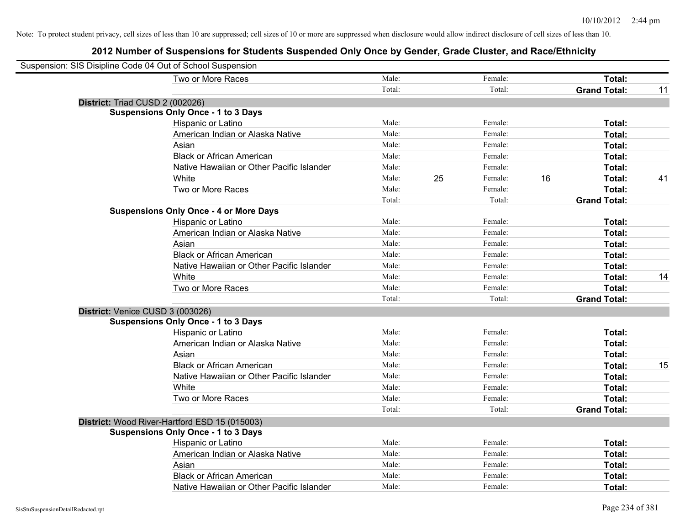| Suspension: SIS Disipline Code 04 Out of School Suspension |        |    |         |                     |        |    |
|------------------------------------------------------------|--------|----|---------|---------------------|--------|----|
| Two or More Races                                          | Male:  |    | Female: |                     | Total: |    |
|                                                            | Total: |    | Total:  | <b>Grand Total:</b> |        | 11 |
| District: Triad CUSD 2 (002026)                            |        |    |         |                     |        |    |
| <b>Suspensions Only Once - 1 to 3 Days</b>                 |        |    |         |                     |        |    |
| Hispanic or Latino                                         | Male:  |    | Female: |                     | Total: |    |
| American Indian or Alaska Native                           | Male:  |    | Female: |                     | Total: |    |
| Asian                                                      | Male:  |    | Female: |                     | Total: |    |
| <b>Black or African American</b>                           | Male:  |    | Female: |                     | Total: |    |
| Native Hawaiian or Other Pacific Islander                  | Male:  |    | Female: |                     | Total: |    |
| White                                                      | Male:  | 25 | Female: | 16                  | Total: | 41 |
| Two or More Races                                          | Male:  |    | Female: |                     | Total: |    |
|                                                            | Total: |    | Total:  | <b>Grand Total:</b> |        |    |
| <b>Suspensions Only Once - 4 or More Days</b>              |        |    |         |                     |        |    |
| Hispanic or Latino                                         | Male:  |    | Female: |                     | Total: |    |
| American Indian or Alaska Native                           | Male:  |    | Female: |                     | Total: |    |
| Asian                                                      | Male:  |    | Female: |                     | Total: |    |
| <b>Black or African American</b>                           | Male:  |    | Female: |                     | Total: |    |
| Native Hawaiian or Other Pacific Islander                  | Male:  |    | Female: |                     | Total: |    |
| White                                                      | Male:  |    | Female: |                     | Total: | 14 |
| Two or More Races                                          | Male:  |    | Female: |                     | Total: |    |
|                                                            | Total: |    | Total:  | <b>Grand Total:</b> |        |    |
| District: Venice CUSD 3 (003026)                           |        |    |         |                     |        |    |
| <b>Suspensions Only Once - 1 to 3 Days</b>                 |        |    |         |                     |        |    |
| Hispanic or Latino                                         | Male:  |    | Female: |                     | Total: |    |
| American Indian or Alaska Native                           | Male:  |    | Female: |                     | Total: |    |
| Asian                                                      | Male:  |    | Female: |                     | Total: |    |
| <b>Black or African American</b>                           | Male:  |    | Female: |                     | Total: | 15 |
| Native Hawaiian or Other Pacific Islander                  | Male:  |    | Female: |                     | Total: |    |
| White                                                      | Male:  |    | Female: |                     | Total: |    |
| Two or More Races                                          | Male:  |    | Female: |                     | Total: |    |
|                                                            | Total: |    | Total:  | <b>Grand Total:</b> |        |    |
| District: Wood River-Hartford ESD 15 (015003)              |        |    |         |                     |        |    |
| <b>Suspensions Only Once - 1 to 3 Days</b>                 |        |    |         |                     |        |    |
| Hispanic or Latino                                         | Male:  |    | Female: |                     | Total: |    |
| American Indian or Alaska Native                           | Male:  |    | Female: |                     | Total: |    |
| Asian                                                      | Male:  |    | Female: |                     | Total: |    |
| <b>Black or African American</b>                           | Male:  |    | Female: |                     | Total: |    |
| Native Hawaiian or Other Pacific Islander                  | Male:  |    | Female: |                     | Total: |    |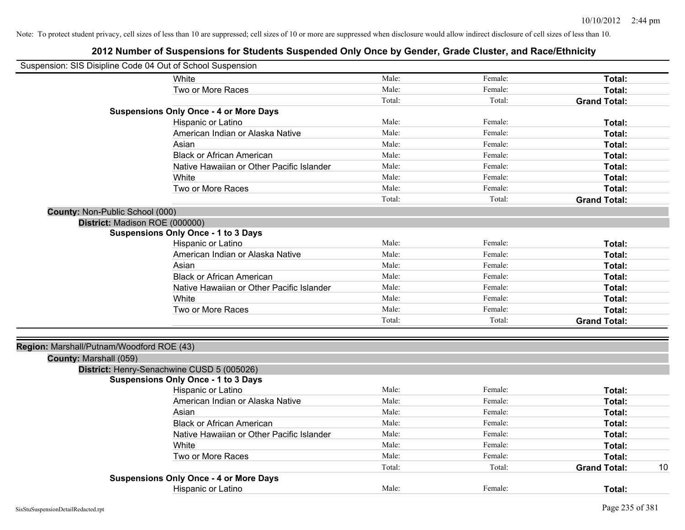|                                           | Suspension: SIS Disipline Code 04 Out of School Suspension |        |         |                     |    |
|-------------------------------------------|------------------------------------------------------------|--------|---------|---------------------|----|
|                                           | White                                                      | Male:  | Female: | Total:              |    |
|                                           | Two or More Races                                          | Male:  | Female: | Total:              |    |
|                                           |                                                            | Total: | Total:  | <b>Grand Total:</b> |    |
|                                           | <b>Suspensions Only Once - 4 or More Days</b>              |        |         |                     |    |
|                                           | Hispanic or Latino                                         | Male:  | Female: | Total:              |    |
|                                           | American Indian or Alaska Native                           | Male:  | Female: | Total:              |    |
|                                           | Asian                                                      | Male:  | Female: | Total:              |    |
|                                           | <b>Black or African American</b>                           | Male:  | Female: | Total:              |    |
|                                           | Native Hawaiian or Other Pacific Islander                  | Male:  | Female: | Total:              |    |
|                                           | White                                                      | Male:  | Female: | Total:              |    |
|                                           | Two or More Races                                          | Male:  | Female: | Total:              |    |
|                                           |                                                            | Total: | Total:  | <b>Grand Total:</b> |    |
| <b>County: Non-Public School (000)</b>    |                                                            |        |         |                     |    |
| District: Madison ROE (000000)            |                                                            |        |         |                     |    |
|                                           | <b>Suspensions Only Once - 1 to 3 Days</b>                 |        |         |                     |    |
|                                           | Hispanic or Latino                                         | Male:  | Female: | Total:              |    |
|                                           | American Indian or Alaska Native                           | Male:  | Female: | Total:              |    |
|                                           | Asian                                                      | Male:  | Female: | Total:              |    |
|                                           | <b>Black or African American</b>                           | Male:  | Female: | Total:              |    |
|                                           | Native Hawaiian or Other Pacific Islander                  | Male:  | Female: | Total:              |    |
|                                           | White                                                      | Male:  | Female: | Total:              |    |
|                                           | Two or More Races                                          | Male:  | Female: | Total:              |    |
|                                           |                                                            | Total: | Total:  | <b>Grand Total:</b> |    |
|                                           |                                                            |        |         |                     |    |
| Region: Marshall/Putnam/Woodford ROE (43) |                                                            |        |         |                     |    |
| County: Marshall (059)                    | District: Henry-Senachwine CUSD 5 (005026)                 |        |         |                     |    |
|                                           | <b>Suspensions Only Once - 1 to 3 Days</b>                 |        |         |                     |    |
|                                           | Hispanic or Latino                                         | Male:  | Female: | Total:              |    |
|                                           | American Indian or Alaska Native                           | Male:  | Female: | Total:              |    |
|                                           | Asian                                                      | Male:  | Female: | Total:              |    |
|                                           | <b>Black or African American</b>                           | Male:  | Female: | Total:              |    |
|                                           | Native Hawaiian or Other Pacific Islander                  | Male:  | Female: | Total:              |    |
|                                           | White                                                      | Male:  | Female: |                     |    |
|                                           |                                                            | Male:  | Female: | Total:              |    |
|                                           | Two or More Races                                          |        |         | Total:              |    |
|                                           |                                                            | Total: | Total:  | <b>Grand Total:</b> | 10 |
|                                           | <b>Suspensions Only Once - 4 or More Days</b>              |        |         |                     |    |
|                                           | Hispanic or Latino                                         | Male:  | Female: | Total:              |    |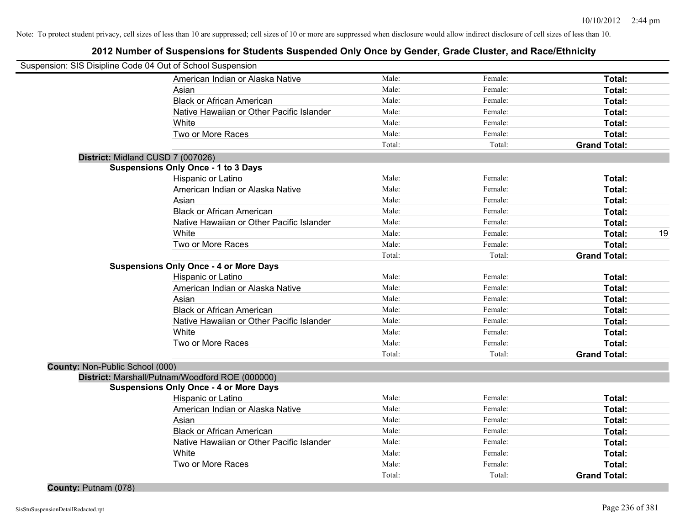| Suspension: SIS Disipline Code 04 Out of School Suspension |        |         |                     |    |
|------------------------------------------------------------|--------|---------|---------------------|----|
| American Indian or Alaska Native                           | Male:  | Female: | Total:              |    |
| Asian                                                      | Male:  | Female: | Total:              |    |
| <b>Black or African American</b>                           | Male:  | Female: | Total:              |    |
| Native Hawaiian or Other Pacific Islander                  | Male:  | Female: | Total:              |    |
| White                                                      | Male:  | Female: | Total:              |    |
| Two or More Races                                          | Male:  | Female: | Total:              |    |
|                                                            | Total: | Total:  | <b>Grand Total:</b> |    |
| District: Midland CUSD 7 (007026)                          |        |         |                     |    |
| <b>Suspensions Only Once - 1 to 3 Days</b>                 |        |         |                     |    |
| Hispanic or Latino                                         | Male:  | Female: | Total:              |    |
| American Indian or Alaska Native                           | Male:  | Female: | Total:              |    |
| Asian                                                      | Male:  | Female: | Total:              |    |
| <b>Black or African American</b>                           | Male:  | Female: | Total:              |    |
| Native Hawaiian or Other Pacific Islander                  | Male:  | Female: | Total:              |    |
| White                                                      | Male:  | Female: | Total:              | 19 |
| Two or More Races                                          | Male:  | Female: | Total:              |    |
|                                                            | Total: | Total:  | <b>Grand Total:</b> |    |
| <b>Suspensions Only Once - 4 or More Days</b>              |        |         |                     |    |
| Hispanic or Latino                                         | Male:  | Female: | Total:              |    |
| American Indian or Alaska Native                           | Male:  | Female: | Total:              |    |
| Asian                                                      | Male:  | Female: | Total:              |    |
| <b>Black or African American</b>                           | Male:  | Female: | Total:              |    |
| Native Hawaiian or Other Pacific Islander                  | Male:  | Female: | Total:              |    |
| White                                                      | Male:  | Female: | Total:              |    |
| Two or More Races                                          | Male:  | Female: | Total:              |    |
|                                                            | Total: | Total:  | <b>Grand Total:</b> |    |
| County: Non-Public School (000)                            |        |         |                     |    |
| District: Marshall/Putnam/Woodford ROE (000000)            |        |         |                     |    |
| <b>Suspensions Only Once - 4 or More Days</b>              |        |         |                     |    |
| Hispanic or Latino                                         | Male:  | Female: | Total:              |    |
| American Indian or Alaska Native                           | Male:  | Female: | Total:              |    |
| Asian                                                      | Male:  | Female: | Total:              |    |
| <b>Black or African American</b>                           | Male:  | Female: | Total:              |    |
| Native Hawaiian or Other Pacific Islander                  | Male:  | Female: | Total:              |    |
| White                                                      | Male:  | Female: | Total:              |    |
| Two or More Races                                          | Male:  | Female: | Total:              |    |
|                                                            | Total: | Total:  | <b>Grand Total:</b> |    |
| County: Putnam (078)                                       |        |         |                     |    |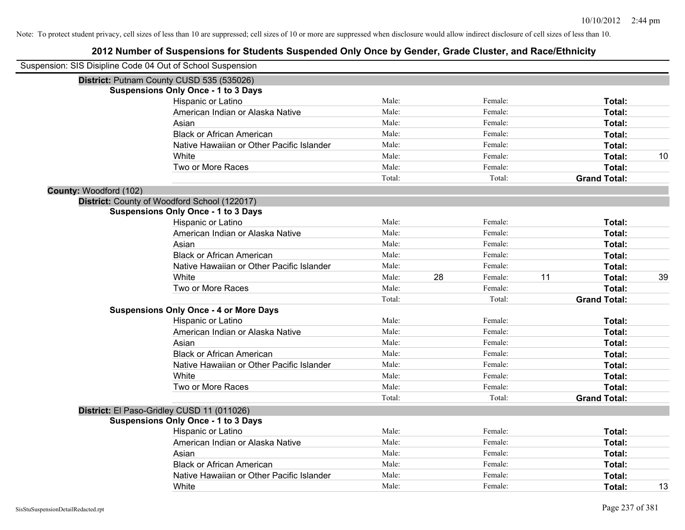| Suspension: SIS Disipline Code 04 Out of School Suspension |                                               |        |    |         |    |                     |    |
|------------------------------------------------------------|-----------------------------------------------|--------|----|---------|----|---------------------|----|
|                                                            | District: Putnam County CUSD 535 (535026)     |        |    |         |    |                     |    |
|                                                            | <b>Suspensions Only Once - 1 to 3 Days</b>    |        |    |         |    |                     |    |
|                                                            | Hispanic or Latino                            | Male:  |    | Female: |    | Total:              |    |
|                                                            | American Indian or Alaska Native              | Male:  |    | Female: |    | Total:              |    |
|                                                            | Asian                                         | Male:  |    | Female: |    | Total:              |    |
|                                                            | <b>Black or African American</b>              | Male:  |    | Female: |    | Total:              |    |
|                                                            | Native Hawaiian or Other Pacific Islander     | Male:  |    | Female: |    | Total:              |    |
|                                                            | White                                         | Male:  |    | Female: |    | Total:              | 10 |
|                                                            | Two or More Races                             | Male:  |    | Female: |    | Total:              |    |
|                                                            |                                               | Total: |    | Total:  |    | <b>Grand Total:</b> |    |
| County: Woodford (102)                                     |                                               |        |    |         |    |                     |    |
|                                                            | District: County of Woodford School (122017)  |        |    |         |    |                     |    |
|                                                            | <b>Suspensions Only Once - 1 to 3 Days</b>    |        |    |         |    |                     |    |
|                                                            | Hispanic or Latino                            | Male:  |    | Female: |    | Total:              |    |
|                                                            | American Indian or Alaska Native              | Male:  |    | Female: |    | Total:              |    |
|                                                            | Asian                                         | Male:  |    | Female: |    | Total:              |    |
|                                                            | <b>Black or African American</b>              | Male:  |    | Female: |    | Total:              |    |
|                                                            | Native Hawaiian or Other Pacific Islander     | Male:  |    | Female: |    | Total:              |    |
|                                                            | White                                         | Male:  | 28 | Female: | 11 | Total:              | 39 |
|                                                            | Two or More Races                             | Male:  |    | Female: |    | Total:              |    |
|                                                            |                                               | Total: |    | Total:  |    | <b>Grand Total:</b> |    |
|                                                            | <b>Suspensions Only Once - 4 or More Days</b> |        |    |         |    |                     |    |
|                                                            | Hispanic or Latino                            | Male:  |    | Female: |    | Total:              |    |
|                                                            | American Indian or Alaska Native              | Male:  |    | Female: |    | Total:              |    |
|                                                            | Asian                                         | Male:  |    | Female: |    | Total:              |    |
|                                                            | <b>Black or African American</b>              | Male:  |    | Female: |    | Total:              |    |
|                                                            | Native Hawaiian or Other Pacific Islander     | Male:  |    | Female: |    | Total:              |    |
|                                                            | White                                         | Male:  |    | Female: |    | Total:              |    |
|                                                            | Two or More Races                             | Male:  |    | Female: |    | Total:              |    |
|                                                            |                                               | Total: |    | Total:  |    | <b>Grand Total:</b> |    |
|                                                            | District: El Paso-Gridley CUSD 11 (011026)    |        |    |         |    |                     |    |
|                                                            | <b>Suspensions Only Once - 1 to 3 Days</b>    |        |    |         |    |                     |    |
|                                                            | Hispanic or Latino                            | Male:  |    | Female: |    | Total:              |    |
|                                                            | American Indian or Alaska Native              | Male:  |    | Female: |    | Total:              |    |
|                                                            | Asian                                         | Male:  |    | Female: |    | Total:              |    |
|                                                            | <b>Black or African American</b>              | Male:  |    | Female: |    | Total:              |    |
|                                                            | Native Hawaiian or Other Pacific Islander     | Male:  |    | Female: |    | <b>Total:</b>       |    |
|                                                            | White                                         | Male:  |    | Female: |    | Total:              | 13 |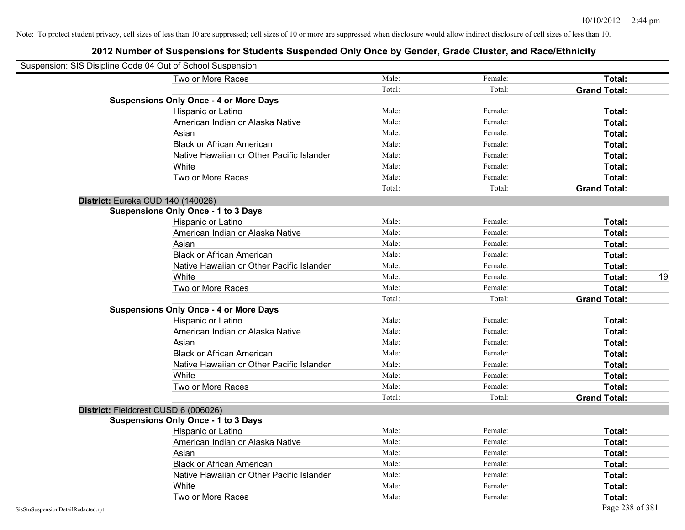| Suspension: SIS Disipline Code 04 Out of School Suspension |                                               |        |         |                     |    |
|------------------------------------------------------------|-----------------------------------------------|--------|---------|---------------------|----|
|                                                            | Two or More Races                             | Male:  | Female: | Total:              |    |
|                                                            |                                               | Total: | Total:  | <b>Grand Total:</b> |    |
|                                                            | <b>Suspensions Only Once - 4 or More Days</b> |        |         |                     |    |
|                                                            | Hispanic or Latino                            | Male:  | Female: | Total:              |    |
|                                                            | American Indian or Alaska Native              | Male:  | Female: | Total:              |    |
|                                                            | Asian                                         | Male:  | Female: | Total:              |    |
|                                                            | <b>Black or African American</b>              | Male:  | Female: | Total:              |    |
|                                                            | Native Hawaiian or Other Pacific Islander     | Male:  | Female: | Total:              |    |
|                                                            | White                                         | Male:  | Female: | Total:              |    |
|                                                            | Two or More Races                             | Male:  | Female: | Total:              |    |
|                                                            |                                               | Total: | Total:  | <b>Grand Total:</b> |    |
|                                                            | District: Eureka CUD 140 (140026)             |        |         |                     |    |
|                                                            | <b>Suspensions Only Once - 1 to 3 Days</b>    |        |         |                     |    |
|                                                            | Hispanic or Latino                            | Male:  | Female: | Total:              |    |
|                                                            | American Indian or Alaska Native              | Male:  | Female: | Total:              |    |
|                                                            | Asian                                         | Male:  | Female: | Total:              |    |
|                                                            | <b>Black or African American</b>              | Male:  | Female: | Total:              |    |
|                                                            | Native Hawaiian or Other Pacific Islander     | Male:  | Female: | Total:              |    |
|                                                            | White                                         | Male:  | Female: | Total:              | 19 |
|                                                            | Two or More Races                             | Male:  | Female: | Total:              |    |
|                                                            |                                               | Total: | Total:  | <b>Grand Total:</b> |    |
|                                                            | <b>Suspensions Only Once - 4 or More Days</b> |        |         |                     |    |
|                                                            | Hispanic or Latino                            | Male:  | Female: | Total:              |    |
|                                                            | American Indian or Alaska Native              | Male:  | Female: | Total:              |    |
|                                                            | Asian                                         | Male:  | Female: | Total:              |    |
|                                                            | <b>Black or African American</b>              | Male:  | Female: | Total:              |    |
|                                                            | Native Hawaiian or Other Pacific Islander     | Male:  | Female: | Total:              |    |
|                                                            | White                                         | Male:  | Female: | Total:              |    |
|                                                            | Two or More Races                             | Male:  | Female: | Total:              |    |
|                                                            |                                               | Total: | Total:  | <b>Grand Total:</b> |    |
|                                                            | District: Fieldcrest CUSD 6 (006026)          |        |         |                     |    |
|                                                            | <b>Suspensions Only Once - 1 to 3 Days</b>    |        |         |                     |    |
|                                                            | Hispanic or Latino                            | Male:  | Female: | Total:              |    |
|                                                            | American Indian or Alaska Native              | Male:  | Female: | Total:              |    |
|                                                            | Asian                                         | Male:  | Female: | Total:              |    |
|                                                            | <b>Black or African American</b>              | Male:  | Female: | Total:              |    |
|                                                            | Native Hawaiian or Other Pacific Islander     | Male:  | Female: | Total:              |    |
|                                                            | White                                         | Male:  | Female: | Total:              |    |
|                                                            | Two or More Races                             | Male:  | Female: | Total:              |    |
| SisStuSuspensionDetailRedacted.rpt                         |                                               |        |         | Page 238 of 381     |    |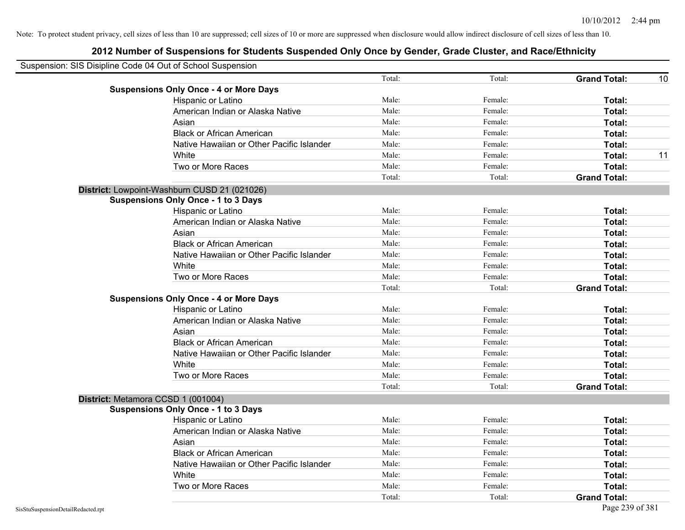| Suspension: SIS Disipline Code 04 Out of School Suspension |                                               |        |         |                     |    |
|------------------------------------------------------------|-----------------------------------------------|--------|---------|---------------------|----|
|                                                            |                                               | Total: | Total:  | <b>Grand Total:</b> | 10 |
|                                                            | <b>Suspensions Only Once - 4 or More Days</b> |        |         |                     |    |
|                                                            | Hispanic or Latino                            | Male:  | Female: | Total:              |    |
|                                                            | American Indian or Alaska Native              | Male:  | Female: | Total:              |    |
|                                                            | Asian                                         | Male:  | Female: | Total:              |    |
|                                                            | <b>Black or African American</b>              | Male:  | Female: | Total:              |    |
|                                                            | Native Hawaiian or Other Pacific Islander     | Male:  | Female: | Total:              |    |
|                                                            | White                                         | Male:  | Female: | Total:              | 11 |
|                                                            | Two or More Races                             | Male:  | Female: | Total:              |    |
|                                                            |                                               | Total: | Total:  | <b>Grand Total:</b> |    |
|                                                            | District: Lowpoint-Washburn CUSD 21 (021026)  |        |         |                     |    |
|                                                            | <b>Suspensions Only Once - 1 to 3 Days</b>    |        |         |                     |    |
|                                                            | Hispanic or Latino                            | Male:  | Female: | Total:              |    |
|                                                            | American Indian or Alaska Native              | Male:  | Female: | Total:              |    |
|                                                            | Asian                                         | Male:  | Female: | Total:              |    |
|                                                            | <b>Black or African American</b>              | Male:  | Female: | Total:              |    |
|                                                            | Native Hawaiian or Other Pacific Islander     | Male:  | Female: | Total:              |    |
|                                                            | White                                         | Male:  | Female: | Total:              |    |
|                                                            | Two or More Races                             | Male:  | Female: | Total:              |    |
|                                                            |                                               | Total: | Total:  | <b>Grand Total:</b> |    |
|                                                            | <b>Suspensions Only Once - 4 or More Days</b> |        |         |                     |    |
|                                                            | Hispanic or Latino                            | Male:  | Female: | Total:              |    |
|                                                            | American Indian or Alaska Native              | Male:  | Female: | Total:              |    |
|                                                            | Asian                                         | Male:  | Female: | Total:              |    |
|                                                            | <b>Black or African American</b>              | Male:  | Female: | Total:              |    |
|                                                            | Native Hawaiian or Other Pacific Islander     | Male:  | Female: | Total:              |    |
|                                                            | White                                         | Male:  | Female: | Total:              |    |
|                                                            | Two or More Races                             | Male:  | Female: | Total:              |    |
|                                                            |                                               | Total: | Total:  | <b>Grand Total:</b> |    |
|                                                            | District: Metamora CCSD 1 (001004)            |        |         |                     |    |
|                                                            | <b>Suspensions Only Once - 1 to 3 Days</b>    |        |         |                     |    |
|                                                            | Hispanic or Latino                            | Male:  | Female: | Total:              |    |
|                                                            | American Indian or Alaska Native              | Male:  | Female: | Total:              |    |
|                                                            | Asian                                         | Male:  | Female: | Total:              |    |
|                                                            | <b>Black or African American</b>              | Male:  | Female: | Total:              |    |
|                                                            | Native Hawaiian or Other Pacific Islander     | Male:  | Female: | Total:              |    |
|                                                            | White                                         | Male:  | Female: | Total:              |    |
|                                                            | Two or More Races                             | Male:  | Female: | Total:              |    |
|                                                            |                                               | Total: | Total:  | <b>Grand Total:</b> |    |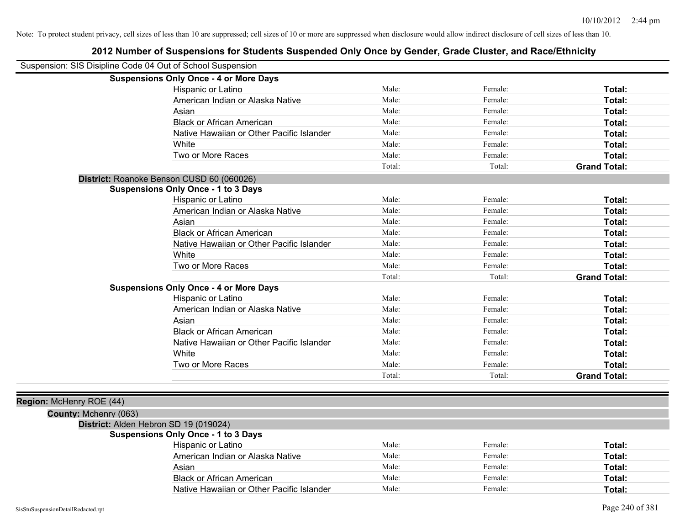| Suspension: SIS Disipline Code 04 Out of School Suspension |                                               |        |         |                     |
|------------------------------------------------------------|-----------------------------------------------|--------|---------|---------------------|
|                                                            | <b>Suspensions Only Once - 4 or More Days</b> |        |         |                     |
|                                                            | Hispanic or Latino                            | Male:  | Female: | Total:              |
|                                                            | American Indian or Alaska Native              | Male:  | Female: | Total:              |
|                                                            | Asian                                         | Male:  | Female: | Total:              |
|                                                            | <b>Black or African American</b>              | Male:  | Female: | Total:              |
|                                                            | Native Hawaiian or Other Pacific Islander     | Male:  | Female: | Total:              |
|                                                            | White                                         | Male:  | Female: | Total:              |
|                                                            | Two or More Races                             | Male:  | Female: | Total:              |
|                                                            |                                               | Total: | Total:  | <b>Grand Total:</b> |
|                                                            | District: Roanoke Benson CUSD 60 (060026)     |        |         |                     |
|                                                            | <b>Suspensions Only Once - 1 to 3 Days</b>    |        |         |                     |
|                                                            | Hispanic or Latino                            | Male:  | Female: | Total:              |
|                                                            | American Indian or Alaska Native              | Male:  | Female: | Total:              |
|                                                            | Asian                                         | Male:  | Female: | Total:              |
|                                                            | <b>Black or African American</b>              | Male:  | Female: | Total:              |
|                                                            | Native Hawaiian or Other Pacific Islander     | Male:  | Female: | Total:              |
|                                                            | White                                         | Male:  | Female: | Total:              |
|                                                            | Two or More Races                             | Male:  | Female: | Total:              |
|                                                            |                                               | Total: | Total:  | <b>Grand Total:</b> |
|                                                            | <b>Suspensions Only Once - 4 or More Days</b> |        |         |                     |
|                                                            | Hispanic or Latino                            | Male:  | Female: | Total:              |
|                                                            | American Indian or Alaska Native              | Male:  | Female: | Total:              |
|                                                            | Asian                                         | Male:  | Female: | Total:              |
|                                                            | <b>Black or African American</b>              | Male:  | Female: | Total:              |
|                                                            | Native Hawaiian or Other Pacific Islander     | Male:  | Female: | Total:              |
|                                                            | White                                         | Male:  | Female: | Total:              |
|                                                            | Two or More Races                             | Male:  | Female: | Total:              |
|                                                            |                                               | Total: | Total:  | <b>Grand Total:</b> |
|                                                            |                                               |        |         |                     |
| Region: McHenry ROE (44)                                   |                                               |        |         |                     |
| County: Mchenry (063)                                      |                                               |        |         |                     |
| District: Alden Hebron SD 19 (019024)                      |                                               |        |         |                     |
|                                                            | <b>Suspensions Only Once - 1 to 3 Days</b>    |        |         |                     |
|                                                            | Hispanic or Latino                            | Male:  | Female: | Total:              |
|                                                            | American Indian or Alaska Native              | Male:  | Female: | Total:              |
|                                                            | Asian                                         | Male:  | Female: | Total:              |
|                                                            | <b>Black or African American</b>              | Male:  | Female: | Total:              |
|                                                            | Native Hawaiian or Other Pacific Islander     | Male:  | Female: | Total:              |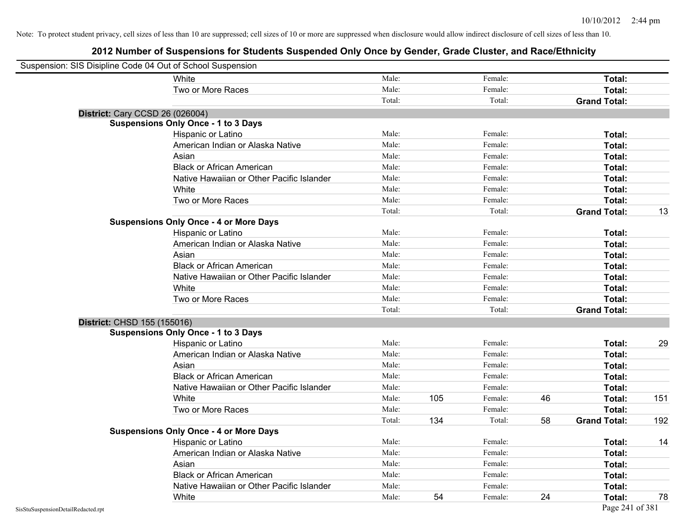| Suspension: SIS Disipline Code 04 Out of School Suspension |                                               |        |     |         |    |                     |     |
|------------------------------------------------------------|-----------------------------------------------|--------|-----|---------|----|---------------------|-----|
|                                                            | White                                         | Male:  |     | Female: |    | Total:              |     |
|                                                            | Two or More Races                             | Male:  |     | Female: |    | Total:              |     |
|                                                            |                                               | Total: |     | Total:  |    | <b>Grand Total:</b> |     |
| <b>District: Cary CCSD 26 (026004)</b>                     |                                               |        |     |         |    |                     |     |
|                                                            | <b>Suspensions Only Once - 1 to 3 Days</b>    |        |     |         |    |                     |     |
|                                                            | Hispanic or Latino                            | Male:  |     | Female: |    | Total:              |     |
|                                                            | American Indian or Alaska Native              | Male:  |     | Female: |    | Total:              |     |
|                                                            | Asian                                         | Male:  |     | Female: |    | Total:              |     |
|                                                            | <b>Black or African American</b>              | Male:  |     | Female: |    | Total:              |     |
|                                                            | Native Hawaiian or Other Pacific Islander     | Male:  |     | Female: |    | Total:              |     |
|                                                            | White                                         | Male:  |     | Female: |    | Total:              |     |
|                                                            | Two or More Races                             | Male:  |     | Female: |    | Total:              |     |
|                                                            |                                               | Total: |     | Total:  |    | <b>Grand Total:</b> | 13  |
|                                                            | <b>Suspensions Only Once - 4 or More Days</b> |        |     |         |    |                     |     |
|                                                            | Hispanic or Latino                            | Male:  |     | Female: |    | Total:              |     |
|                                                            | American Indian or Alaska Native              | Male:  |     | Female: |    | Total:              |     |
|                                                            | Asian                                         | Male:  |     | Female: |    | Total:              |     |
|                                                            | <b>Black or African American</b>              | Male:  |     | Female: |    | Total:              |     |
|                                                            | Native Hawaiian or Other Pacific Islander     | Male:  |     | Female: |    | Total:              |     |
|                                                            | White                                         | Male:  |     | Female: |    | Total:              |     |
|                                                            | Two or More Races                             | Male:  |     | Female: |    | Total:              |     |
|                                                            |                                               | Total: |     | Total:  |    | <b>Grand Total:</b> |     |
| District: CHSD 155 (155016)                                |                                               |        |     |         |    |                     |     |
|                                                            | <b>Suspensions Only Once - 1 to 3 Days</b>    |        |     |         |    |                     |     |
|                                                            | Hispanic or Latino                            | Male:  |     | Female: |    | Total:              | 29  |
|                                                            | American Indian or Alaska Native              | Male:  |     | Female: |    | Total:              |     |
|                                                            | Asian                                         | Male:  |     | Female: |    | Total:              |     |
|                                                            | <b>Black or African American</b>              | Male:  |     | Female: |    | Total:              |     |
|                                                            | Native Hawaiian or Other Pacific Islander     | Male:  |     | Female: |    | Total:              |     |
|                                                            | White                                         | Male:  | 105 | Female: | 46 | Total:              | 151 |
|                                                            | Two or More Races                             | Male:  |     | Female: |    | Total:              |     |
|                                                            |                                               | Total: | 134 | Total:  | 58 | <b>Grand Total:</b> | 192 |
|                                                            | <b>Suspensions Only Once - 4 or More Days</b> |        |     |         |    |                     |     |
|                                                            | Hispanic or Latino                            | Male:  |     | Female: |    | Total:              | 14  |
|                                                            | American Indian or Alaska Native              | Male:  |     | Female: |    | Total:              |     |
|                                                            | Asian                                         | Male:  |     | Female: |    | Total:              |     |
|                                                            | <b>Black or African American</b>              | Male:  |     | Female: |    | Total:              |     |
|                                                            | Native Hawaiian or Other Pacific Islander     | Male:  |     | Female: |    | Total:              |     |
|                                                            | White                                         | Male:  | 54  | Female: | 24 | Total:              | 78  |
| SisStuSuspensionDetailRedacted.rpt                         |                                               |        |     |         |    | Page 241 of 381     |     |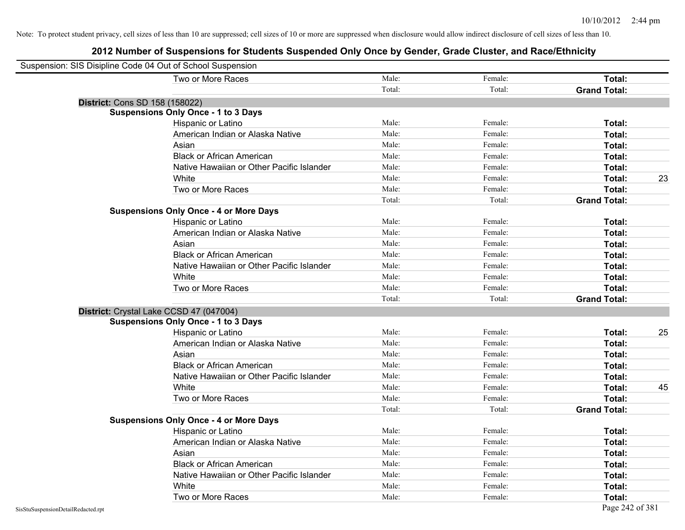| Suspension: SIS Disipline Code 04 Out of School Suspension |        |         |                     |    |
|------------------------------------------------------------|--------|---------|---------------------|----|
| Two or More Races                                          | Male:  | Female: | Total:              |    |
|                                                            | Total: | Total:  | <b>Grand Total:</b> |    |
| District: Cons SD 158 (158022)                             |        |         |                     |    |
| <b>Suspensions Only Once - 1 to 3 Days</b>                 |        |         |                     |    |
| Hispanic or Latino                                         | Male:  | Female: | Total:              |    |
| American Indian or Alaska Native                           | Male:  | Female: | Total:              |    |
| Asian                                                      | Male:  | Female: | Total:              |    |
| <b>Black or African American</b>                           | Male:  | Female: | Total:              |    |
| Native Hawaiian or Other Pacific Islander                  | Male:  | Female: | Total:              |    |
| White                                                      | Male:  | Female: | Total:              | 23 |
| Two or More Races                                          | Male:  | Female: | Total:              |    |
|                                                            | Total: | Total:  | <b>Grand Total:</b> |    |
| <b>Suspensions Only Once - 4 or More Days</b>              |        |         |                     |    |
| Hispanic or Latino                                         | Male:  | Female: | Total:              |    |
| American Indian or Alaska Native                           | Male:  | Female: | Total:              |    |
| Asian                                                      | Male:  | Female: | Total:              |    |
| <b>Black or African American</b>                           | Male:  | Female: | Total:              |    |
| Native Hawaiian or Other Pacific Islander                  | Male:  | Female: | Total:              |    |
| White                                                      | Male:  | Female: | Total:              |    |
| Two or More Races                                          | Male:  | Female: | Total:              |    |
|                                                            | Total: | Total:  | <b>Grand Total:</b> |    |
| District: Crystal Lake CCSD 47 (047004)                    |        |         |                     |    |
| <b>Suspensions Only Once - 1 to 3 Days</b>                 |        |         |                     |    |
| Hispanic or Latino                                         | Male:  | Female: | Total:              | 25 |
| American Indian or Alaska Native                           | Male:  | Female: | Total:              |    |
| Asian                                                      | Male:  | Female: | Total:              |    |
| <b>Black or African American</b>                           | Male:  | Female: | Total:              |    |
| Native Hawaiian or Other Pacific Islander                  | Male:  | Female: | Total:              |    |
| White                                                      | Male:  | Female: | Total:              | 45 |
| Two or More Races                                          | Male:  | Female: | Total:              |    |
|                                                            | Total: | Total:  | <b>Grand Total:</b> |    |
| <b>Suspensions Only Once - 4 or More Days</b>              |        |         |                     |    |
| Hispanic or Latino                                         | Male:  | Female: | Total:              |    |
| American Indian or Alaska Native                           | Male:  | Female: | Total:              |    |
| Asian                                                      | Male:  | Female: | Total:              |    |
| <b>Black or African American</b>                           | Male:  | Female: | Total:              |    |
| Native Hawaiian or Other Pacific Islander                  | Male:  | Female: | Total:              |    |
| White                                                      | Male:  | Female: | Total:              |    |
| Two or More Races                                          | Male:  | Female: | Total:              |    |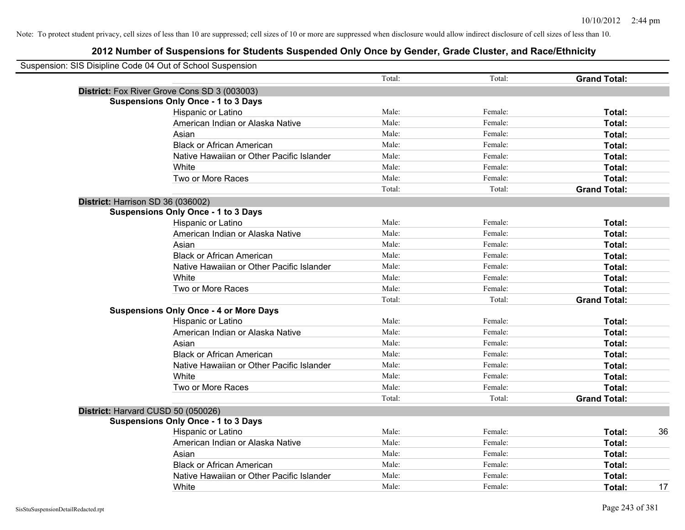| Suspension: SIS Disipline Code 04 Out of School Suspension |        |         |                     |    |
|------------------------------------------------------------|--------|---------|---------------------|----|
|                                                            | Total: | Total:  | <b>Grand Total:</b> |    |
| District: Fox River Grove Cons SD 3 (003003)               |        |         |                     |    |
| <b>Suspensions Only Once - 1 to 3 Days</b>                 |        |         |                     |    |
| Hispanic or Latino                                         | Male:  | Female: | Total:              |    |
| American Indian or Alaska Native                           | Male:  | Female: | Total:              |    |
| Asian                                                      | Male:  | Female: | Total:              |    |
| <b>Black or African American</b>                           | Male:  | Female: | Total:              |    |
| Native Hawaiian or Other Pacific Islander                  | Male:  | Female: | Total:              |    |
| White                                                      | Male:  | Female: | Total:              |    |
| Two or More Races                                          | Male:  | Female: | Total:              |    |
|                                                            | Total: | Total:  | <b>Grand Total:</b> |    |
| District: Harrison SD 36 (036002)                          |        |         |                     |    |
| <b>Suspensions Only Once - 1 to 3 Days</b>                 |        |         |                     |    |
| Hispanic or Latino                                         | Male:  | Female: | Total:              |    |
| American Indian or Alaska Native                           | Male:  | Female: | Total:              |    |
| Asian                                                      | Male:  | Female: | Total:              |    |
| <b>Black or African American</b>                           | Male:  | Female: | Total:              |    |
| Native Hawaiian or Other Pacific Islander                  | Male:  | Female: | Total:              |    |
| White                                                      | Male:  | Female: | Total:              |    |
| Two or More Races                                          | Male:  | Female: | Total:              |    |
|                                                            | Total: | Total:  | <b>Grand Total:</b> |    |
| <b>Suspensions Only Once - 4 or More Days</b>              |        |         |                     |    |
| Hispanic or Latino                                         | Male:  | Female: | Total:              |    |
| American Indian or Alaska Native                           | Male:  | Female: | Total:              |    |
| Asian                                                      | Male:  | Female: | Total:              |    |
| <b>Black or African American</b>                           | Male:  | Female: | Total:              |    |
| Native Hawaiian or Other Pacific Islander                  | Male:  | Female: | Total:              |    |
| White                                                      | Male:  | Female: | Total:              |    |
| Two or More Races                                          | Male:  | Female: | Total:              |    |
|                                                            | Total: | Total:  | <b>Grand Total:</b> |    |
| District: Harvard CUSD 50 (050026)                         |        |         |                     |    |
| <b>Suspensions Only Once - 1 to 3 Days</b>                 |        |         |                     |    |
| Hispanic or Latino                                         | Male:  | Female: | Total:              | 36 |
| American Indian or Alaska Native                           | Male:  | Female: | Total:              |    |
| Asian                                                      | Male:  | Female: | Total:              |    |
| <b>Black or African American</b>                           | Male:  | Female: | Total:              |    |
| Native Hawaiian or Other Pacific Islander                  | Male:  | Female: | Total:              |    |
| White                                                      | Male:  | Female: | Total:              | 17 |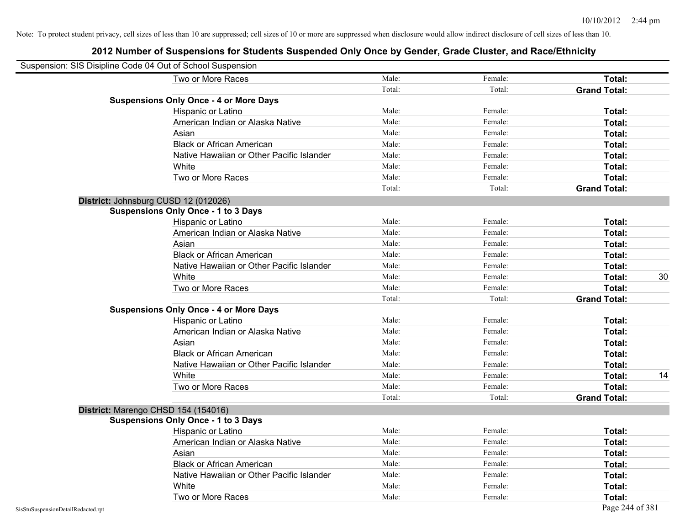| Suspension: SIS Disipline Code 04 Out of School Suspension |                                               |        |         |                     |    |
|------------------------------------------------------------|-----------------------------------------------|--------|---------|---------------------|----|
|                                                            | Two or More Races                             | Male:  | Female: | Total:              |    |
|                                                            |                                               | Total: | Total:  | <b>Grand Total:</b> |    |
|                                                            | <b>Suspensions Only Once - 4 or More Days</b> |        |         |                     |    |
|                                                            | Hispanic or Latino                            | Male:  | Female: | Total:              |    |
|                                                            | American Indian or Alaska Native              | Male:  | Female: | Total:              |    |
|                                                            | Asian                                         | Male:  | Female: | Total:              |    |
|                                                            | <b>Black or African American</b>              | Male:  | Female: | Total:              |    |
|                                                            | Native Hawaiian or Other Pacific Islander     | Male:  | Female: | Total:              |    |
|                                                            | White                                         | Male:  | Female: | Total:              |    |
|                                                            | Two or More Races                             | Male:  | Female: | Total:              |    |
|                                                            |                                               | Total: | Total:  | <b>Grand Total:</b> |    |
|                                                            | District: Johnsburg CUSD 12 (012026)          |        |         |                     |    |
|                                                            | <b>Suspensions Only Once - 1 to 3 Days</b>    |        |         |                     |    |
|                                                            | Hispanic or Latino                            | Male:  | Female: | Total:              |    |
|                                                            | American Indian or Alaska Native              | Male:  | Female: | Total:              |    |
|                                                            | Asian                                         | Male:  | Female: | Total:              |    |
|                                                            | <b>Black or African American</b>              | Male:  | Female: | Total:              |    |
|                                                            | Native Hawaiian or Other Pacific Islander     | Male:  | Female: | Total:              |    |
|                                                            | White                                         | Male:  | Female: | Total:              | 30 |
|                                                            | Two or More Races                             | Male:  | Female: | Total:              |    |
|                                                            |                                               | Total: | Total:  | <b>Grand Total:</b> |    |
|                                                            | <b>Suspensions Only Once - 4 or More Days</b> |        |         |                     |    |
|                                                            | Hispanic or Latino                            | Male:  | Female: | Total:              |    |
|                                                            | American Indian or Alaska Native              | Male:  | Female: | Total:              |    |
|                                                            | Asian                                         | Male:  | Female: | Total:              |    |
|                                                            | <b>Black or African American</b>              | Male:  | Female: | Total:              |    |
|                                                            | Native Hawaiian or Other Pacific Islander     | Male:  | Female: | Total:              |    |
|                                                            | White                                         | Male:  | Female: | Total:              | 14 |
|                                                            | Two or More Races                             | Male:  | Female: | Total:              |    |
|                                                            |                                               | Total: | Total:  | <b>Grand Total:</b> |    |
|                                                            | District: Marengo CHSD 154 (154016)           |        |         |                     |    |
|                                                            | <b>Suspensions Only Once - 1 to 3 Days</b>    |        |         |                     |    |
|                                                            | Hispanic or Latino                            | Male:  | Female: | Total:              |    |
|                                                            | American Indian or Alaska Native              | Male:  | Female: | Total:              |    |
|                                                            | Asian                                         | Male:  | Female: | Total:              |    |
|                                                            | <b>Black or African American</b>              | Male:  | Female: | Total:              |    |
|                                                            | Native Hawaiian or Other Pacific Islander     | Male:  | Female: | Total:              |    |
|                                                            | White                                         | Male:  | Female: | Total:              |    |
|                                                            | Two or More Races                             | Male:  | Female: | Total:              |    |
| SisStuSuspensionDetailRedacted.rpt                         |                                               |        |         | Page 244 of 381     |    |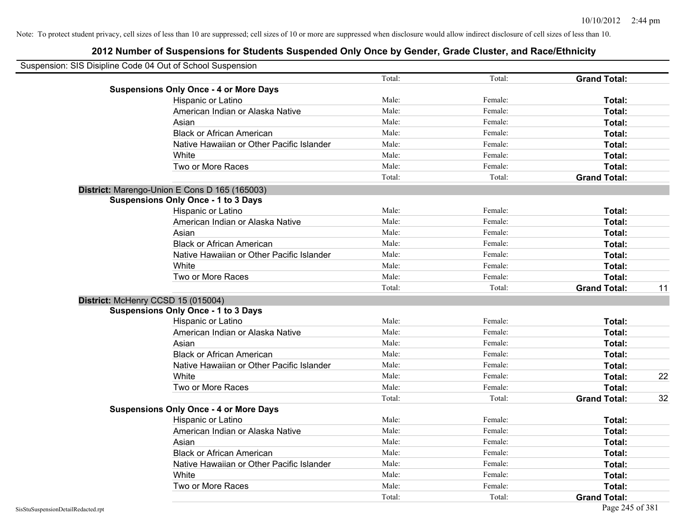| Suspension: SIS Disipline Code 04 Out of School Suspension |        |         |                     |    |
|------------------------------------------------------------|--------|---------|---------------------|----|
|                                                            | Total: | Total:  | <b>Grand Total:</b> |    |
| <b>Suspensions Only Once - 4 or More Days</b>              |        |         |                     |    |
| Hispanic or Latino                                         | Male:  | Female: | Total:              |    |
| American Indian or Alaska Native                           | Male:  | Female: | Total:              |    |
| Asian                                                      | Male:  | Female: | Total:              |    |
| <b>Black or African American</b>                           | Male:  | Female: | Total:              |    |
| Native Hawaiian or Other Pacific Islander                  | Male:  | Female: | Total:              |    |
| White                                                      | Male:  | Female: | Total:              |    |
| Two or More Races                                          | Male:  | Female: | Total:              |    |
|                                                            | Total: | Total:  | <b>Grand Total:</b> |    |
| District: Marengo-Union E Cons D 165 (165003)              |        |         |                     |    |
| <b>Suspensions Only Once - 1 to 3 Days</b>                 |        |         |                     |    |
| Hispanic or Latino                                         | Male:  | Female: | Total:              |    |
| American Indian or Alaska Native                           | Male:  | Female: | Total:              |    |
| Asian                                                      | Male:  | Female: | Total:              |    |
| <b>Black or African American</b>                           | Male:  | Female: | Total:              |    |
| Native Hawaiian or Other Pacific Islander                  | Male:  | Female: | Total:              |    |
| White                                                      | Male:  | Female: | Total:              |    |
| Two or More Races                                          | Male:  | Female: | Total:              |    |
|                                                            | Total: | Total:  | <b>Grand Total:</b> | 11 |
| District: McHenry CCSD 15 (015004)                         |        |         |                     |    |
| <b>Suspensions Only Once - 1 to 3 Days</b>                 |        |         |                     |    |
| Hispanic or Latino                                         | Male:  | Female: | Total:              |    |
| American Indian or Alaska Native                           | Male:  | Female: | Total:              |    |
| Asian                                                      | Male:  | Female: | Total:              |    |
| <b>Black or African American</b>                           | Male:  | Female: | Total:              |    |
| Native Hawaiian or Other Pacific Islander                  | Male:  | Female: | Total:              |    |
| White                                                      | Male:  | Female: | Total:              | 22 |
| Two or More Races                                          | Male:  | Female: | Total:              |    |
|                                                            | Total: | Total:  | <b>Grand Total:</b> | 32 |
| <b>Suspensions Only Once - 4 or More Days</b>              |        |         |                     |    |
| Hispanic or Latino                                         | Male:  | Female: | Total:              |    |
| American Indian or Alaska Native                           | Male:  | Female: | Total:              |    |
| Asian                                                      | Male:  | Female: | Total:              |    |
| <b>Black or African American</b>                           | Male:  | Female: | Total:              |    |
| Native Hawaiian or Other Pacific Islander                  | Male:  | Female: | Total:              |    |
| White                                                      | Male:  | Female: | Total:              |    |
| Two or More Races                                          | Male:  | Female: | <b>Total:</b>       |    |
|                                                            | Total: | Total:  | <b>Grand Total:</b> |    |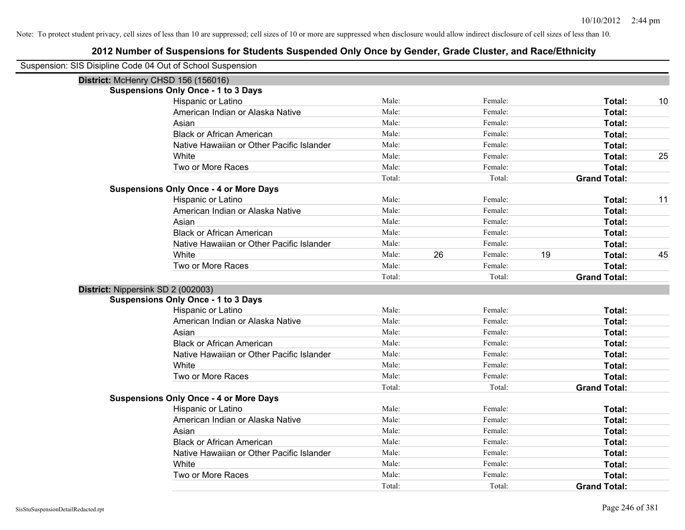| Suspension: SIS Disipline Code 04 Out of School Suspension |                                               |        |    |         |    |                     |    |
|------------------------------------------------------------|-----------------------------------------------|--------|----|---------|----|---------------------|----|
| District: McHenry CHSD 156 (156016)                        |                                               |        |    |         |    |                     |    |
|                                                            | <b>Suspensions Only Once - 1 to 3 Days</b>    |        |    |         |    |                     |    |
|                                                            | Hispanic or Latino                            | Male:  |    | Female: |    | Total:              | 10 |
|                                                            | American Indian or Alaska Native              | Male:  |    | Female: |    | Total:              |    |
|                                                            | Asian                                         | Male:  |    | Female: |    | Total:              |    |
|                                                            | <b>Black or African American</b>              | Male:  |    | Female: |    | Total:              |    |
|                                                            | Native Hawaiian or Other Pacific Islander     | Male:  |    | Female: |    | Total:              |    |
|                                                            | White                                         | Male:  |    | Female: |    | Total:              | 25 |
|                                                            | Two or More Races                             | Male:  |    | Female: |    | Total:              |    |
|                                                            |                                               | Total: |    | Total:  |    | <b>Grand Total:</b> |    |
|                                                            | <b>Suspensions Only Once - 4 or More Days</b> |        |    |         |    |                     |    |
|                                                            | Hispanic or Latino                            | Male:  |    | Female: |    | Total:              | 11 |
|                                                            | American Indian or Alaska Native              | Male:  |    | Female: |    | Total:              |    |
|                                                            | Asian                                         | Male:  |    | Female: |    | Total:              |    |
|                                                            | <b>Black or African American</b>              | Male:  |    | Female: |    | Total:              |    |
|                                                            | Native Hawaiian or Other Pacific Islander     | Male:  |    | Female: |    | Total:              |    |
|                                                            | White                                         | Male:  | 26 | Female: | 19 | Total:              | 45 |
|                                                            | Two or More Races                             | Male:  |    | Female: |    | Total:              |    |
|                                                            |                                               | Total: |    | Total:  |    | <b>Grand Total:</b> |    |
| District: Nippersink SD 2 (002003)                         |                                               |        |    |         |    |                     |    |
|                                                            | <b>Suspensions Only Once - 1 to 3 Days</b>    |        |    |         |    |                     |    |
|                                                            | Hispanic or Latino                            | Male:  |    | Female: |    | Total:              |    |
|                                                            | American Indian or Alaska Native              | Male:  |    | Female: |    | Total:              |    |
|                                                            | Asian                                         | Male:  |    | Female: |    | Total:              |    |
|                                                            | <b>Black or African American</b>              | Male:  |    | Female: |    | Total:              |    |
|                                                            | Native Hawaiian or Other Pacific Islander     | Male:  |    | Female: |    | Total:              |    |
|                                                            | White                                         | Male:  |    | Female: |    | Total:              |    |
|                                                            | Two or More Races                             | Male:  |    | Female: |    | Total:              |    |
|                                                            |                                               | Total: |    | Total:  |    | <b>Grand Total:</b> |    |
|                                                            | <b>Suspensions Only Once - 4 or More Days</b> |        |    |         |    |                     |    |
|                                                            | Hispanic or Latino                            | Male:  |    | Female: |    | Total:              |    |
|                                                            | American Indian or Alaska Native              | Male:  |    | Female: |    | Total:              |    |
|                                                            | Asian                                         | Male:  |    | Female: |    | Total:              |    |
|                                                            | <b>Black or African American</b>              | Male:  |    | Female: |    | Total:              |    |
|                                                            | Native Hawaiian or Other Pacific Islander     | Male:  |    | Female: |    | Total:              |    |
|                                                            | White                                         | Male:  |    | Female: |    | Total:              |    |
|                                                            | Two or More Races                             | Male:  |    | Female: |    | Total:              |    |
|                                                            |                                               | Total: |    | Total:  |    | <b>Grand Total:</b> |    |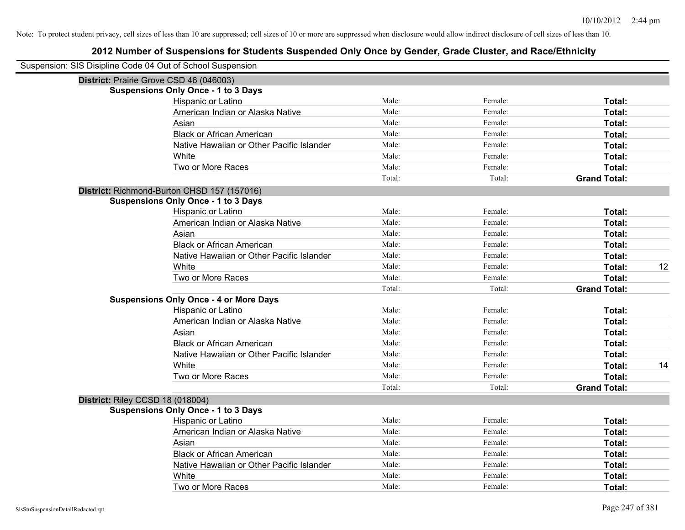| Suspension: SIS Disipline Code 04 Out of School Suspension |                                               |        |         |                     |    |
|------------------------------------------------------------|-----------------------------------------------|--------|---------|---------------------|----|
|                                                            | District: Prairie Grove CSD 46 (046003)       |        |         |                     |    |
|                                                            | <b>Suspensions Only Once - 1 to 3 Days</b>    |        |         |                     |    |
|                                                            | Hispanic or Latino                            | Male:  | Female: | Total:              |    |
|                                                            | American Indian or Alaska Native              | Male:  | Female: | Total:              |    |
|                                                            | Asian                                         | Male:  | Female: | Total:              |    |
|                                                            | <b>Black or African American</b>              | Male:  | Female: | Total:              |    |
|                                                            | Native Hawaiian or Other Pacific Islander     | Male:  | Female: | Total:              |    |
|                                                            | White                                         | Male:  | Female: | Total:              |    |
|                                                            | Two or More Races                             | Male:  | Female: | Total:              |    |
|                                                            |                                               | Total: | Total:  | <b>Grand Total:</b> |    |
|                                                            | District: Richmond-Burton CHSD 157 (157016)   |        |         |                     |    |
|                                                            | <b>Suspensions Only Once - 1 to 3 Days</b>    |        |         |                     |    |
|                                                            | Hispanic or Latino                            | Male:  | Female: | Total:              |    |
|                                                            | American Indian or Alaska Native              | Male:  | Female: | Total:              |    |
|                                                            | Asian                                         | Male:  | Female: | Total:              |    |
|                                                            | <b>Black or African American</b>              | Male:  | Female: | Total:              |    |
|                                                            | Native Hawaiian or Other Pacific Islander     | Male:  | Female: | Total:              |    |
|                                                            | White                                         | Male:  | Female: | Total:              | 12 |
|                                                            | Two or More Races                             | Male:  | Female: | Total:              |    |
|                                                            |                                               | Total: | Total:  | <b>Grand Total:</b> |    |
|                                                            | <b>Suspensions Only Once - 4 or More Days</b> |        |         |                     |    |
|                                                            | Hispanic or Latino                            | Male:  | Female: | Total:              |    |
|                                                            | American Indian or Alaska Native              | Male:  | Female: | Total:              |    |
|                                                            | Asian                                         | Male:  | Female: | Total:              |    |
|                                                            | <b>Black or African American</b>              | Male:  | Female: | Total:              |    |
|                                                            | Native Hawaiian or Other Pacific Islander     | Male:  | Female: | Total:              |    |
|                                                            | White                                         | Male:  | Female: | Total:              | 14 |
|                                                            | Two or More Races                             | Male:  | Female: | Total:              |    |
|                                                            |                                               | Total: | Total:  | <b>Grand Total:</b> |    |
| District: Riley CCSD 18 (018004)                           |                                               |        |         |                     |    |
|                                                            | <b>Suspensions Only Once - 1 to 3 Days</b>    |        |         |                     |    |
|                                                            | Hispanic or Latino                            | Male:  | Female: | Total:              |    |
|                                                            | American Indian or Alaska Native              | Male:  | Female: | Total:              |    |
|                                                            | Asian                                         | Male:  | Female: | Total:              |    |
|                                                            | <b>Black or African American</b>              | Male:  | Female: | Total:              |    |
|                                                            | Native Hawaiian or Other Pacific Islander     | Male:  | Female: | Total:              |    |
|                                                            | White                                         | Male:  | Female: | Total:              |    |
|                                                            | Two or More Races                             | Male:  | Female: | Total:              |    |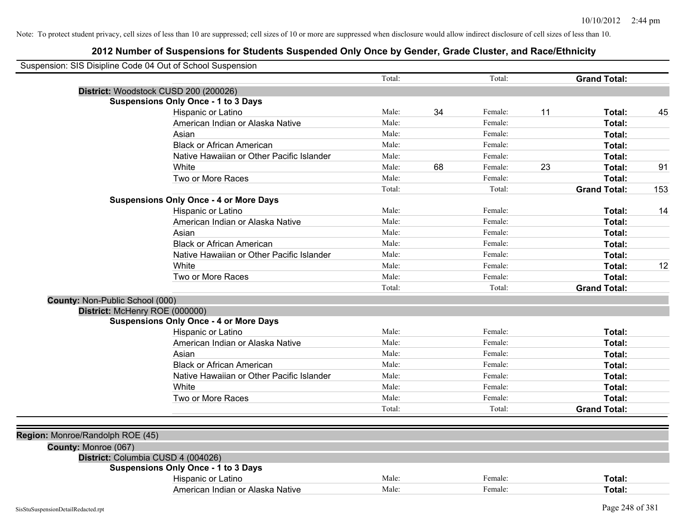| Suspension: SIS Disipline Code 04 Out of School Suspension |                                               |        |    |         |    |                     |     |
|------------------------------------------------------------|-----------------------------------------------|--------|----|---------|----|---------------------|-----|
|                                                            |                                               | Total: |    | Total:  |    | <b>Grand Total:</b> |     |
|                                                            | District: Woodstock CUSD 200 (200026)         |        |    |         |    |                     |     |
|                                                            | <b>Suspensions Only Once - 1 to 3 Days</b>    |        |    |         |    |                     |     |
|                                                            | Hispanic or Latino                            | Male:  | 34 | Female: | 11 | Total:              | 45  |
|                                                            | American Indian or Alaska Native              | Male:  |    | Female: |    | Total:              |     |
|                                                            | Asian                                         | Male:  |    | Female: |    | Total:              |     |
|                                                            | <b>Black or African American</b>              | Male:  |    | Female: |    | Total:              |     |
|                                                            | Native Hawaiian or Other Pacific Islander     | Male:  |    | Female: |    | Total:              |     |
|                                                            | White                                         | Male:  | 68 | Female: | 23 | Total:              | 91  |
|                                                            | Two or More Races                             | Male:  |    | Female: |    | Total:              |     |
|                                                            |                                               | Total: |    | Total:  |    | <b>Grand Total:</b> | 153 |
|                                                            | <b>Suspensions Only Once - 4 or More Days</b> |        |    |         |    |                     |     |
|                                                            | Hispanic or Latino                            | Male:  |    | Female: |    | Total:              | 14  |
|                                                            | American Indian or Alaska Native              | Male:  |    | Female: |    | Total:              |     |
|                                                            | Asian                                         | Male:  |    | Female: |    | Total:              |     |
|                                                            | <b>Black or African American</b>              | Male:  |    | Female: |    | Total:              |     |
|                                                            | Native Hawaiian or Other Pacific Islander     | Male:  |    | Female: |    | Total:              |     |
|                                                            | White                                         | Male:  |    | Female: |    | Total:              | 12  |
|                                                            | Two or More Races                             | Male:  |    | Female: |    | Total:              |     |
|                                                            |                                               | Total: |    | Total:  |    | <b>Grand Total:</b> |     |
| County: Non-Public School (000)                            |                                               |        |    |         |    |                     |     |
| District: McHenry ROE (000000)                             |                                               |        |    |         |    |                     |     |
|                                                            | <b>Suspensions Only Once - 4 or More Days</b> |        |    |         |    |                     |     |
|                                                            | Hispanic or Latino                            | Male:  |    | Female: |    | Total:              |     |
|                                                            | American Indian or Alaska Native              | Male:  |    | Female: |    | Total:              |     |
|                                                            | Asian                                         | Male:  |    | Female: |    | Total:              |     |
|                                                            | <b>Black or African American</b>              | Male:  |    | Female: |    | Total:              |     |
|                                                            | Native Hawaiian or Other Pacific Islander     | Male:  |    | Female: |    | Total:              |     |
|                                                            | White                                         | Male:  |    | Female: |    | Total:              |     |
|                                                            | Two or More Races                             | Male:  |    | Female: |    | Total:              |     |
|                                                            |                                               | Total: |    | Total:  |    | <b>Grand Total:</b> |     |
|                                                            |                                               |        |    |         |    |                     |     |
| Region: Monroe/Randolph ROE (45)                           |                                               |        |    |         |    |                     |     |
| County: Monroe (067)                                       |                                               |        |    |         |    |                     |     |
| District: Columbia CUSD 4 (004026)                         |                                               |        |    |         |    |                     |     |
|                                                            | <b>Suspensions Only Once - 1 to 3 Days</b>    |        |    |         |    |                     |     |
|                                                            | Hispanic or Latino                            | Male:  |    | Female: |    | Total:              |     |
|                                                            | American Indian or Alaska Native              | Male:  |    | Female: |    | Total:              |     |
|                                                            |                                               |        |    |         |    |                     |     |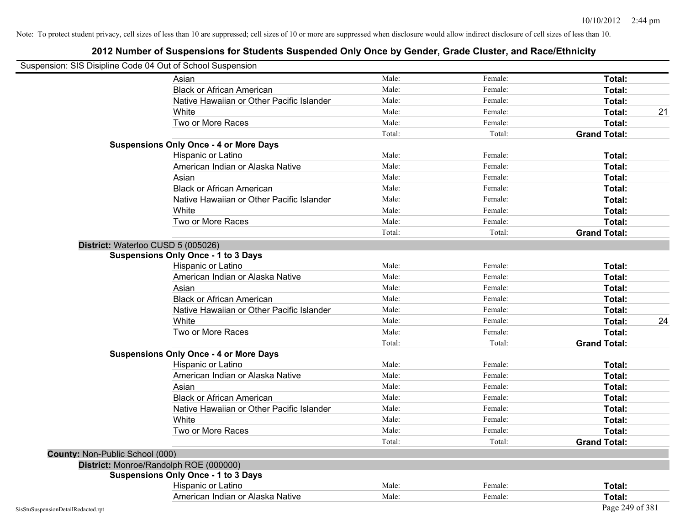|                                 | Suspension: SIS Disipline Code 04 Out of School Suspension |        |         |                     |    |
|---------------------------------|------------------------------------------------------------|--------|---------|---------------------|----|
|                                 | Asian                                                      | Male:  | Female: | Total:              |    |
|                                 | <b>Black or African American</b>                           | Male:  | Female: | Total:              |    |
|                                 | Native Hawaiian or Other Pacific Islander                  | Male:  | Female: | Total:              |    |
|                                 | White                                                      | Male:  | Female: | Total:              | 21 |
|                                 | Two or More Races                                          | Male:  | Female: | Total:              |    |
|                                 |                                                            | Total: | Total:  | <b>Grand Total:</b> |    |
|                                 | <b>Suspensions Only Once - 4 or More Days</b>              |        |         |                     |    |
|                                 | Hispanic or Latino                                         | Male:  | Female: | Total:              |    |
|                                 | American Indian or Alaska Native                           | Male:  | Female: | Total:              |    |
|                                 | Asian                                                      | Male:  | Female: | Total:              |    |
|                                 | <b>Black or African American</b>                           | Male:  | Female: | Total:              |    |
|                                 | Native Hawaiian or Other Pacific Islander                  | Male:  | Female: | Total:              |    |
|                                 | White                                                      | Male:  | Female: | Total:              |    |
|                                 | Two or More Races                                          | Male:  | Female: | Total:              |    |
|                                 |                                                            | Total: | Total:  | <b>Grand Total:</b> |    |
|                                 | District: Waterloo CUSD 5 (005026)                         |        |         |                     |    |
|                                 | <b>Suspensions Only Once - 1 to 3 Days</b>                 |        |         |                     |    |
|                                 | Hispanic or Latino                                         | Male:  | Female: | Total:              |    |
|                                 | American Indian or Alaska Native                           | Male:  | Female: | Total:              |    |
|                                 | Asian                                                      | Male:  | Female: | Total:              |    |
|                                 | <b>Black or African American</b>                           | Male:  | Female: | Total:              |    |
|                                 | Native Hawaiian or Other Pacific Islander                  | Male:  | Female: | Total:              |    |
|                                 | White                                                      | Male:  | Female: | Total:              | 24 |
|                                 | Two or More Races                                          | Male:  | Female: | Total:              |    |
|                                 |                                                            | Total: | Total:  | <b>Grand Total:</b> |    |
|                                 | <b>Suspensions Only Once - 4 or More Days</b>              |        |         |                     |    |
|                                 | Hispanic or Latino                                         | Male:  | Female: | Total:              |    |
|                                 | American Indian or Alaska Native                           | Male:  | Female: | Total:              |    |
|                                 | Asian                                                      | Male:  | Female: | Total:              |    |
|                                 | <b>Black or African American</b>                           | Male:  | Female: | Total:              |    |
|                                 | Native Hawaiian or Other Pacific Islander                  | Male:  | Female: | Total:              |    |
|                                 | White                                                      | Male:  | Female: | Total:              |    |
|                                 | Two or More Races                                          | Male:  | Female: | Total:              |    |
|                                 |                                                            | Total: | Total:  | <b>Grand Total:</b> |    |
| County: Non-Public School (000) |                                                            |        |         |                     |    |
|                                 | District: Monroe/Randolph ROE (000000)                     |        |         |                     |    |
|                                 | <b>Suspensions Only Once - 1 to 3 Days</b>                 |        |         |                     |    |
|                                 | Hispanic or Latino                                         | Male:  | Female: | <b>Total:</b>       |    |
|                                 | American Indian or Alaska Native                           | Male:  | Female: | Total:              |    |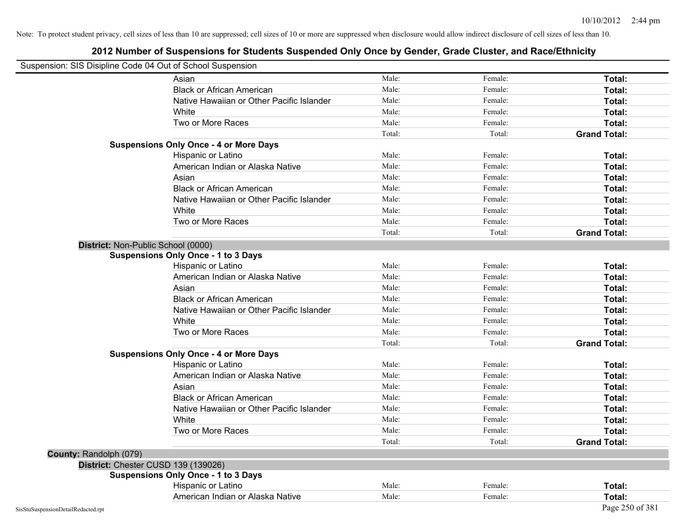| Suspension: SIS Disipline Code 04 Out of School Suspension |                                               |        |         |                     |
|------------------------------------------------------------|-----------------------------------------------|--------|---------|---------------------|
|                                                            | Asian                                         | Male:  | Female: | Total:              |
|                                                            | <b>Black or African American</b>              | Male:  | Female: | Total:              |
|                                                            | Native Hawaiian or Other Pacific Islander     | Male:  | Female: | Total:              |
|                                                            | White                                         | Male:  | Female: | Total:              |
|                                                            | Two or More Races                             | Male:  | Female: | Total:              |
|                                                            |                                               | Total: | Total:  | <b>Grand Total:</b> |
|                                                            | <b>Suspensions Only Once - 4 or More Days</b> |        |         |                     |
|                                                            | Hispanic or Latino                            | Male:  | Female: | Total:              |
|                                                            | American Indian or Alaska Native              | Male:  | Female: | Total:              |
|                                                            | Asian                                         | Male:  | Female: | Total:              |
|                                                            | <b>Black or African American</b>              | Male:  | Female: | Total:              |
|                                                            | Native Hawaiian or Other Pacific Islander     | Male:  | Female: | Total:              |
|                                                            | White                                         | Male:  | Female: | Total:              |
|                                                            | Two or More Races                             | Male:  | Female: | Total:              |
|                                                            |                                               | Total: | Total:  | <b>Grand Total:</b> |
| District: Non-Public School (0000)                         |                                               |        |         |                     |
|                                                            | <b>Suspensions Only Once - 1 to 3 Days</b>    |        |         |                     |
|                                                            | Hispanic or Latino                            | Male:  | Female: | Total:              |
|                                                            | American Indian or Alaska Native              | Male:  | Female: | Total:              |
|                                                            | Asian                                         | Male:  | Female: | Total:              |
|                                                            | <b>Black or African American</b>              | Male:  | Female: | Total:              |
|                                                            | Native Hawaiian or Other Pacific Islander     | Male:  | Female: | Total:              |
|                                                            | White                                         | Male:  | Female: | Total:              |
|                                                            | Two or More Races                             | Male:  | Female: | Total:              |
|                                                            |                                               | Total: | Total:  | <b>Grand Total:</b> |
|                                                            | <b>Suspensions Only Once - 4 or More Days</b> |        |         |                     |
|                                                            | Hispanic or Latino                            | Male:  | Female: | Total:              |
|                                                            | American Indian or Alaska Native              | Male:  | Female: | Total:              |
|                                                            | Asian                                         | Male:  | Female: | Total:              |
|                                                            | <b>Black or African American</b>              | Male:  | Female: | Total:              |
|                                                            | Native Hawaiian or Other Pacific Islander     | Male:  | Female: | Total:              |
|                                                            | White                                         | Male:  | Female: | Total:              |
|                                                            | Two or More Races                             | Male:  | Female: | Total:              |
|                                                            |                                               | Total: | Total:  | <b>Grand Total:</b> |
| County: Randolph (079)                                     |                                               |        |         |                     |
| District: Chester CUSD 139 (139026)                        |                                               |        |         |                     |
|                                                            | <b>Suspensions Only Once - 1 to 3 Days</b>    |        |         |                     |
|                                                            | Hispanic or Latino                            | Male:  | Female: | Total:              |
|                                                            | American Indian or Alaska Native              | Male:  | Female: | Total:              |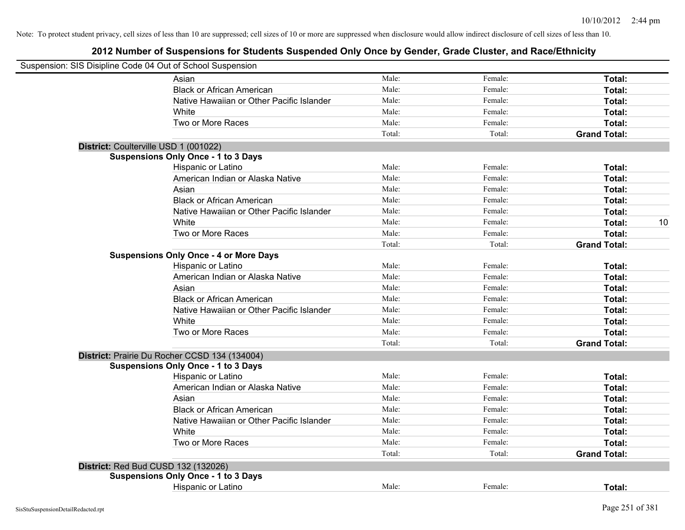| Suspension: SIS Disipline Code 04 Out of School Suspension |        |         |                     |    |
|------------------------------------------------------------|--------|---------|---------------------|----|
| Asian                                                      | Male:  | Female: | Total:              |    |
| <b>Black or African American</b>                           | Male:  | Female: | Total:              |    |
| Native Hawaiian or Other Pacific Islander                  | Male:  | Female: | Total:              |    |
| White                                                      | Male:  | Female: | Total:              |    |
| Two or More Races                                          | Male:  | Female: | Total:              |    |
|                                                            | Total: | Total:  | <b>Grand Total:</b> |    |
| District: Coulterville USD 1 (001022)                      |        |         |                     |    |
| <b>Suspensions Only Once - 1 to 3 Days</b>                 |        |         |                     |    |
| Hispanic or Latino                                         | Male:  | Female: | Total:              |    |
| American Indian or Alaska Native                           | Male:  | Female: | Total:              |    |
| Asian                                                      | Male:  | Female: | Total:              |    |
| <b>Black or African American</b>                           | Male:  | Female: | Total:              |    |
| Native Hawaiian or Other Pacific Islander                  | Male:  | Female: | Total:              |    |
| White                                                      | Male:  | Female: | Total:              | 10 |
| Two or More Races                                          | Male:  | Female: | Total:              |    |
|                                                            | Total: | Total:  | <b>Grand Total:</b> |    |
| <b>Suspensions Only Once - 4 or More Days</b>              |        |         |                     |    |
| Hispanic or Latino                                         | Male:  | Female: | Total:              |    |
| American Indian or Alaska Native                           | Male:  | Female: | Total:              |    |
| Asian                                                      | Male:  | Female: | Total:              |    |
| <b>Black or African American</b>                           | Male:  | Female: | Total:              |    |
| Native Hawaiian or Other Pacific Islander                  | Male:  | Female: | Total:              |    |
| White                                                      | Male:  | Female: | Total:              |    |
| Two or More Races                                          | Male:  | Female: | Total:              |    |
|                                                            | Total: | Total:  | <b>Grand Total:</b> |    |
| District: Prairie Du Rocher CCSD 134 (134004)              |        |         |                     |    |
| <b>Suspensions Only Once - 1 to 3 Days</b>                 |        |         |                     |    |
| Hispanic or Latino                                         | Male:  | Female: | Total:              |    |
| American Indian or Alaska Native                           | Male:  | Female: | Total:              |    |
| Asian                                                      | Male:  | Female: | Total:              |    |
| <b>Black or African American</b>                           | Male:  | Female: | Total:              |    |
| Native Hawaiian or Other Pacific Islander                  | Male:  | Female: | Total:              |    |
| <b>White</b>                                               | Male:  | Female: | Total:              |    |
| Two or More Races                                          | Male:  | Female: | Total:              |    |
|                                                            | Total: | Total:  | <b>Grand Total:</b> |    |
| District: Red Bud CUSD 132 (132026)                        |        |         |                     |    |
| <b>Suspensions Only Once - 1 to 3 Days</b>                 |        |         |                     |    |
| Hispanic or Latino                                         | Male:  | Female: | Total:              |    |
|                                                            |        |         |                     |    |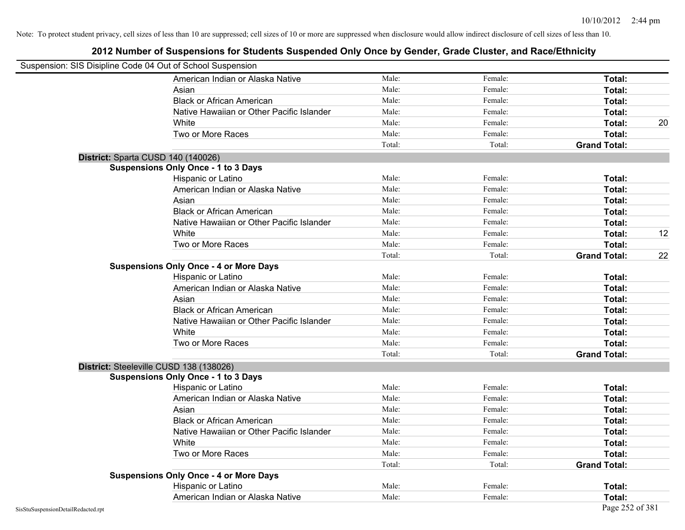| Suspension: SIS Disipline Code 04 Out of School Suspension |                                               |        |         |                     |    |
|------------------------------------------------------------|-----------------------------------------------|--------|---------|---------------------|----|
|                                                            | American Indian or Alaska Native              | Male:  | Female: | Total:              |    |
|                                                            | Asian                                         | Male:  | Female: | Total:              |    |
|                                                            | <b>Black or African American</b>              | Male:  | Female: | Total:              |    |
|                                                            | Native Hawaiian or Other Pacific Islander     | Male:  | Female: | Total:              |    |
|                                                            | White                                         | Male:  | Female: | Total:              | 20 |
|                                                            | Two or More Races                             | Male:  | Female: | Total:              |    |
|                                                            |                                               | Total: | Total:  | <b>Grand Total:</b> |    |
|                                                            | District: Sparta CUSD 140 (140026)            |        |         |                     |    |
|                                                            | <b>Suspensions Only Once - 1 to 3 Days</b>    |        |         |                     |    |
|                                                            | Hispanic or Latino                            | Male:  | Female: | Total:              |    |
|                                                            | American Indian or Alaska Native              | Male:  | Female: | Total:              |    |
|                                                            | Asian                                         | Male:  | Female: | Total:              |    |
|                                                            | <b>Black or African American</b>              | Male:  | Female: | Total:              |    |
|                                                            | Native Hawaiian or Other Pacific Islander     | Male:  | Female: | Total:              |    |
|                                                            | White                                         | Male:  | Female: | Total:              | 12 |
|                                                            | Two or More Races                             | Male:  | Female: | Total:              |    |
|                                                            |                                               | Total: | Total:  | <b>Grand Total:</b> | 22 |
|                                                            | <b>Suspensions Only Once - 4 or More Days</b> |        |         |                     |    |
|                                                            | Hispanic or Latino                            | Male:  | Female: | Total:              |    |
|                                                            | American Indian or Alaska Native              | Male:  | Female: | Total:              |    |
|                                                            | Asian                                         | Male:  | Female: | Total:              |    |
|                                                            | <b>Black or African American</b>              | Male:  | Female: | Total:              |    |
|                                                            | Native Hawaiian or Other Pacific Islander     | Male:  | Female: | Total:              |    |
|                                                            | White                                         | Male:  | Female: | Total:              |    |
|                                                            | Two or More Races                             | Male:  | Female: | Total:              |    |
|                                                            |                                               | Total: | Total:  | <b>Grand Total:</b> |    |
|                                                            | District: Steeleville CUSD 138 (138026)       |        |         |                     |    |
|                                                            | <b>Suspensions Only Once - 1 to 3 Days</b>    |        |         |                     |    |
|                                                            | Hispanic or Latino                            | Male:  | Female: | Total:              |    |
|                                                            | American Indian or Alaska Native              | Male:  | Female: | Total:              |    |
|                                                            | Asian                                         | Male:  | Female: | Total:              |    |
|                                                            | <b>Black or African American</b>              | Male:  | Female: | Total:              |    |
|                                                            | Native Hawaiian or Other Pacific Islander     | Male:  | Female: | Total:              |    |
|                                                            | White                                         | Male:  | Female: | Total:              |    |
|                                                            | Two or More Races                             | Male:  | Female: | Total:              |    |
|                                                            |                                               | Total: | Total:  | <b>Grand Total:</b> |    |
|                                                            | <b>Suspensions Only Once - 4 or More Days</b> |        |         |                     |    |
|                                                            | Hispanic or Latino                            | Male:  | Female: | Total:              |    |
|                                                            | American Indian or Alaska Native              | Male:  | Female: | Total:              |    |
| SisStuSuspensionDetailRedacted.rpt                         |                                               |        |         | Page 252 of 381     |    |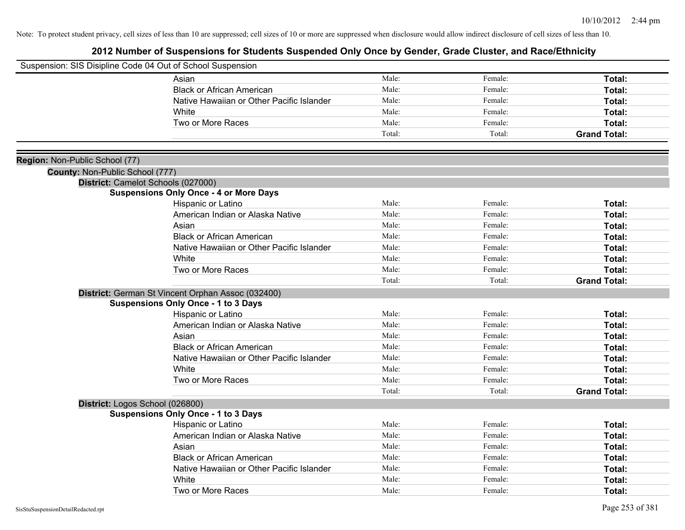| Suspension: SIS Disipline Code 04 Out of School Suspension |                                                   |        |         |                     |
|------------------------------------------------------------|---------------------------------------------------|--------|---------|---------------------|
|                                                            | Asian                                             | Male:  | Female: | Total:              |
|                                                            | <b>Black or African American</b>                  | Male:  | Female: | Total:              |
|                                                            | Native Hawaiian or Other Pacific Islander         | Male:  | Female: | Total:              |
|                                                            | White                                             | Male:  | Female: | Total:              |
|                                                            | Two or More Races                                 | Male:  | Female: | Total:              |
|                                                            |                                                   | Total: | Total:  | <b>Grand Total:</b> |
|                                                            |                                                   |        |         |                     |
| Region: Non-Public School (77)                             |                                                   |        |         |                     |
| County: Non-Public School (777)                            |                                                   |        |         |                     |
|                                                            | District: Camelot Schools (027000)                |        |         |                     |
|                                                            | <b>Suspensions Only Once - 4 or More Days</b>     |        |         |                     |
|                                                            | Hispanic or Latino                                | Male:  | Female: | Total:              |
|                                                            | American Indian or Alaska Native                  | Male:  | Female: | Total:              |
|                                                            | Asian                                             | Male:  | Female: | Total:              |
|                                                            | <b>Black or African American</b>                  | Male:  | Female: | Total:              |
|                                                            | Native Hawaiian or Other Pacific Islander         | Male:  | Female: | Total:              |
|                                                            | White                                             | Male:  | Female: | Total:              |
|                                                            | Two or More Races                                 | Male:  | Female: | Total:              |
|                                                            |                                                   | Total: | Total:  | <b>Grand Total:</b> |
|                                                            | District: German St Vincent Orphan Assoc (032400) |        |         |                     |
|                                                            | <b>Suspensions Only Once - 1 to 3 Days</b>        |        |         |                     |
|                                                            | Hispanic or Latino                                | Male:  | Female: | Total:              |
|                                                            | American Indian or Alaska Native                  | Male:  | Female: | Total:              |
|                                                            | Asian                                             | Male:  | Female: | Total:              |
|                                                            | <b>Black or African American</b>                  | Male:  | Female: | Total:              |
|                                                            | Native Hawaiian or Other Pacific Islander         | Male:  | Female: | Total:              |
|                                                            | White                                             | Male:  | Female: | Total:              |
|                                                            | Two or More Races                                 | Male:  | Female: | Total:              |
|                                                            |                                                   | Total: | Total:  | <b>Grand Total:</b> |
|                                                            | District: Logos School (026800)                   |        |         |                     |
|                                                            | <b>Suspensions Only Once - 1 to 3 Days</b>        |        |         |                     |
|                                                            | Hispanic or Latino                                | Male:  | Female: | Total:              |
|                                                            | American Indian or Alaska Native                  | Male:  | Female: | Total:              |
|                                                            | Asian                                             | Male:  | Female: | Total:              |
|                                                            | <b>Black or African American</b>                  | Male:  | Female: | Total:              |
|                                                            | Native Hawaiian or Other Pacific Islander         | Male:  | Female: | Total:              |
|                                                            | White                                             | Male:  | Female: | Total:              |
|                                                            | Two or More Races                                 | Male:  | Female: | Total:              |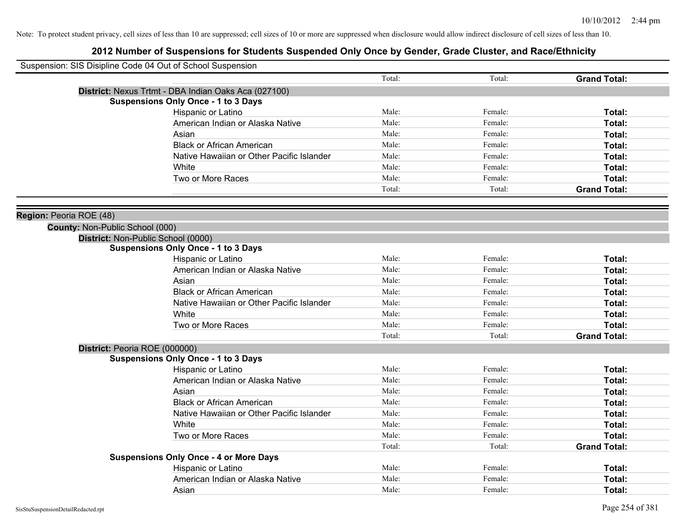| Suspension: SIS Disipline Code 04 Out of School Suspension |                                                      |        |         |                     |
|------------------------------------------------------------|------------------------------------------------------|--------|---------|---------------------|
|                                                            |                                                      | Total: | Total:  | <b>Grand Total:</b> |
|                                                            | District: Nexus Trtmt - DBA Indian Oaks Aca (027100) |        |         |                     |
|                                                            | <b>Suspensions Only Once - 1 to 3 Days</b>           |        |         |                     |
|                                                            | Hispanic or Latino                                   | Male:  | Female: | Total:              |
|                                                            | American Indian or Alaska Native                     | Male:  | Female: | Total:              |
|                                                            | Asian                                                | Male:  | Female: | Total:              |
|                                                            | <b>Black or African American</b>                     | Male:  | Female: | Total:              |
|                                                            | Native Hawaiian or Other Pacific Islander            | Male:  | Female: | Total:              |
|                                                            | White                                                | Male:  | Female: | Total:              |
|                                                            | Two or More Races                                    | Male:  | Female: | Total:              |
|                                                            |                                                      | Total: | Total:  | <b>Grand Total:</b> |
|                                                            |                                                      |        |         |                     |
| Region: Peoria ROE (48)                                    |                                                      |        |         |                     |
| County: Non-Public School (000)                            |                                                      |        |         |                     |
| District: Non-Public School (0000)                         |                                                      |        |         |                     |
|                                                            | <b>Suspensions Only Once - 1 to 3 Days</b>           |        |         |                     |
|                                                            | Hispanic or Latino                                   | Male:  | Female: | Total:              |
|                                                            | American Indian or Alaska Native                     | Male:  | Female: | Total:              |
|                                                            | Asian                                                | Male:  | Female: | Total:              |
|                                                            | <b>Black or African American</b>                     | Male:  | Female: | Total:              |
|                                                            | Native Hawaiian or Other Pacific Islander            | Male:  | Female: | Total:              |
|                                                            | White                                                | Male:  | Female: | Total:              |
|                                                            | Two or More Races                                    | Male:  | Female: | Total:              |
|                                                            |                                                      | Total: | Total:  | <b>Grand Total:</b> |
| District: Peoria ROE (000000)                              |                                                      |        |         |                     |
|                                                            | <b>Suspensions Only Once - 1 to 3 Days</b>           |        |         |                     |
|                                                            | Hispanic or Latino                                   | Male:  | Female: | Total:              |
|                                                            | American Indian or Alaska Native                     | Male:  | Female: | Total:              |
|                                                            | Asian                                                | Male:  | Female: | Total:              |
|                                                            | <b>Black or African American</b>                     | Male:  | Female: | Total:              |
|                                                            | Native Hawaiian or Other Pacific Islander            | Male:  | Female: | Total:              |
|                                                            | White                                                | Male:  | Female: | Total:              |
|                                                            | Two or More Races                                    | Male:  | Female: | Total:              |
|                                                            |                                                      | Total: | Total:  | <b>Grand Total:</b> |
|                                                            | <b>Suspensions Only Once - 4 or More Days</b>        |        |         |                     |
|                                                            | Hispanic or Latino                                   | Male:  | Female: | Total:              |
|                                                            | American Indian or Alaska Native                     | Male:  | Female: | Total:              |
|                                                            | Asian                                                | Male:  | Female: | Total:              |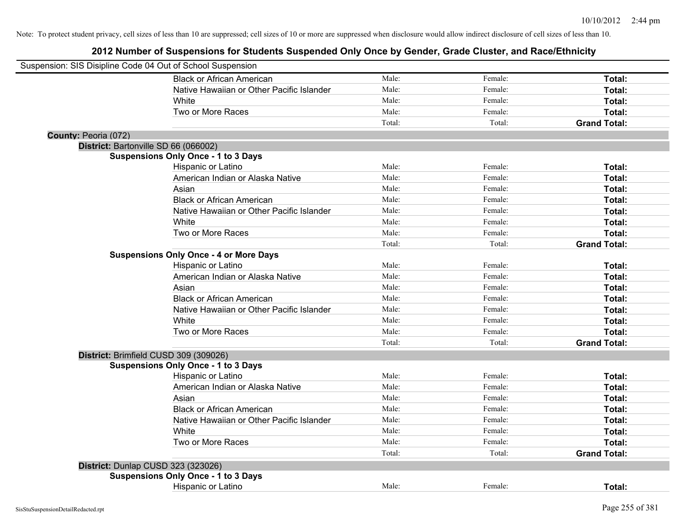| Suspension: SIS Disipline Code 04 Out of School Suspension |                                               |        |         |                     |
|------------------------------------------------------------|-----------------------------------------------|--------|---------|---------------------|
|                                                            | <b>Black or African American</b>              | Male:  | Female: | Total:              |
|                                                            | Native Hawaiian or Other Pacific Islander     | Male:  | Female: | Total:              |
|                                                            | White                                         | Male:  | Female: | Total:              |
|                                                            | Two or More Races                             | Male:  | Female: | Total:              |
|                                                            |                                               | Total: | Total:  | <b>Grand Total:</b> |
| County: Peoria (072)                                       |                                               |        |         |                     |
| District: Bartonville SD 66 (066002)                       |                                               |        |         |                     |
|                                                            | <b>Suspensions Only Once - 1 to 3 Days</b>    |        |         |                     |
|                                                            | Hispanic or Latino                            | Male:  | Female: | Total:              |
|                                                            | American Indian or Alaska Native              | Male:  | Female: | Total:              |
|                                                            | Asian                                         | Male:  | Female: | Total:              |
|                                                            | <b>Black or African American</b>              | Male:  | Female: | Total:              |
|                                                            | Native Hawaiian or Other Pacific Islander     | Male:  | Female: | Total:              |
|                                                            | White                                         | Male:  | Female: | Total:              |
|                                                            | Two or More Races                             | Male:  | Female: | Total:              |
|                                                            |                                               | Total: | Total:  | <b>Grand Total:</b> |
|                                                            | <b>Suspensions Only Once - 4 or More Days</b> |        |         |                     |
|                                                            | Hispanic or Latino                            | Male:  | Female: | Total:              |
|                                                            | American Indian or Alaska Native              | Male:  | Female: | Total:              |
|                                                            | Asian                                         | Male:  | Female: | Total:              |
|                                                            | <b>Black or African American</b>              | Male:  | Female: | Total:              |
|                                                            | Native Hawaiian or Other Pacific Islander     | Male:  | Female: | Total:              |
|                                                            | White                                         | Male:  | Female: | Total:              |
|                                                            | Two or More Races                             | Male:  | Female: | Total:              |
|                                                            |                                               | Total: | Total:  | <b>Grand Total:</b> |
| District: Brimfield CUSD 309 (309026)                      |                                               |        |         |                     |
|                                                            | <b>Suspensions Only Once - 1 to 3 Days</b>    |        |         |                     |
|                                                            | Hispanic or Latino                            | Male:  | Female: | Total:              |
|                                                            | American Indian or Alaska Native              | Male:  | Female: | Total:              |
|                                                            | Asian                                         | Male:  | Female: | Total:              |
|                                                            | <b>Black or African American</b>              | Male:  | Female: | Total:              |
|                                                            | Native Hawaiian or Other Pacific Islander     | Male:  | Female: | Total:              |
|                                                            | White                                         | Male:  | Female: | Total:              |
|                                                            | Two or More Races                             | Male:  | Female: | <b>Total:</b>       |
|                                                            |                                               | Total: | Total:  | <b>Grand Total:</b> |
| District: Dunlap CUSD 323 (323026)                         |                                               |        |         |                     |
|                                                            | <b>Suspensions Only Once - 1 to 3 Days</b>    |        |         |                     |
|                                                            | <b>Hispanic or Latino</b>                     | Male:  | Female: | Total:              |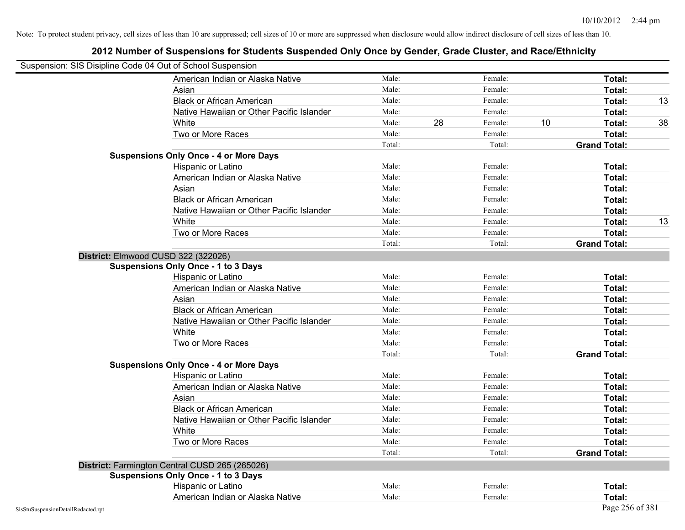| Suspension: SIS Disipline Code 04 Out of School Suspension |                                                |        |    |         |    |                     |    |
|------------------------------------------------------------|------------------------------------------------|--------|----|---------|----|---------------------|----|
|                                                            | American Indian or Alaska Native               | Male:  |    | Female: |    | Total:              |    |
|                                                            | Asian                                          | Male:  |    | Female: |    | Total:              |    |
|                                                            | <b>Black or African American</b>               | Male:  |    | Female: |    | Total:              | 13 |
|                                                            | Native Hawaiian or Other Pacific Islander      | Male:  |    | Female: |    | Total:              |    |
|                                                            | White                                          | Male:  | 28 | Female: | 10 | Total:              | 38 |
|                                                            | Two or More Races                              | Male:  |    | Female: |    | Total:              |    |
|                                                            |                                                | Total: |    | Total:  |    | <b>Grand Total:</b> |    |
|                                                            | <b>Suspensions Only Once - 4 or More Days</b>  |        |    |         |    |                     |    |
|                                                            | Hispanic or Latino                             | Male:  |    | Female: |    | Total:              |    |
|                                                            | American Indian or Alaska Native               | Male:  |    | Female: |    | Total:              |    |
|                                                            | Asian                                          | Male:  |    | Female: |    | Total:              |    |
|                                                            | <b>Black or African American</b>               | Male:  |    | Female: |    | Total:              |    |
|                                                            | Native Hawaiian or Other Pacific Islander      | Male:  |    | Female: |    | Total:              |    |
|                                                            | White                                          | Male:  |    | Female: |    | Total:              | 13 |
|                                                            | Two or More Races                              | Male:  |    | Female: |    | Total:              |    |
|                                                            |                                                | Total: |    | Total:  |    | <b>Grand Total:</b> |    |
|                                                            | District: Elmwood CUSD 322 (322026)            |        |    |         |    |                     |    |
|                                                            | <b>Suspensions Only Once - 1 to 3 Days</b>     |        |    |         |    |                     |    |
|                                                            | Hispanic or Latino                             | Male:  |    | Female: |    | Total:              |    |
|                                                            | American Indian or Alaska Native               | Male:  |    | Female: |    | Total:              |    |
|                                                            | Asian                                          | Male:  |    | Female: |    | Total:              |    |
|                                                            | <b>Black or African American</b>               | Male:  |    | Female: |    | Total:              |    |
|                                                            | Native Hawaiian or Other Pacific Islander      | Male:  |    | Female: |    | Total:              |    |
|                                                            | White                                          | Male:  |    | Female: |    | Total:              |    |
|                                                            | Two or More Races                              | Male:  |    | Female: |    | Total:              |    |
|                                                            |                                                | Total: |    | Total:  |    | <b>Grand Total:</b> |    |
|                                                            | <b>Suspensions Only Once - 4 or More Days</b>  |        |    |         |    |                     |    |
|                                                            | Hispanic or Latino                             | Male:  |    | Female: |    | Total:              |    |
|                                                            | American Indian or Alaska Native               | Male:  |    | Female: |    | Total:              |    |
|                                                            | Asian                                          | Male:  |    | Female: |    | Total:              |    |
|                                                            | <b>Black or African American</b>               | Male:  |    | Female: |    | Total:              |    |
|                                                            | Native Hawaiian or Other Pacific Islander      | Male:  |    | Female: |    | Total:              |    |
|                                                            | White                                          | Male:  |    | Female: |    | Total:              |    |
|                                                            | Two or More Races                              | Male:  |    | Female: |    | Total:              |    |
|                                                            |                                                | Total: |    | Total:  |    | <b>Grand Total:</b> |    |
|                                                            | District: Farmington Central CUSD 265 (265026) |        |    |         |    |                     |    |
|                                                            | <b>Suspensions Only Once - 1 to 3 Days</b>     |        |    |         |    |                     |    |
|                                                            | Hispanic or Latino                             | Male:  |    | Female: |    | Total:              |    |
|                                                            | American Indian or Alaska Native               | Male:  |    | Female: |    | Total:              |    |
| SisStuSuspensionDetailRedacted.rpt                         |                                                |        |    |         |    | Page 256 of 381     |    |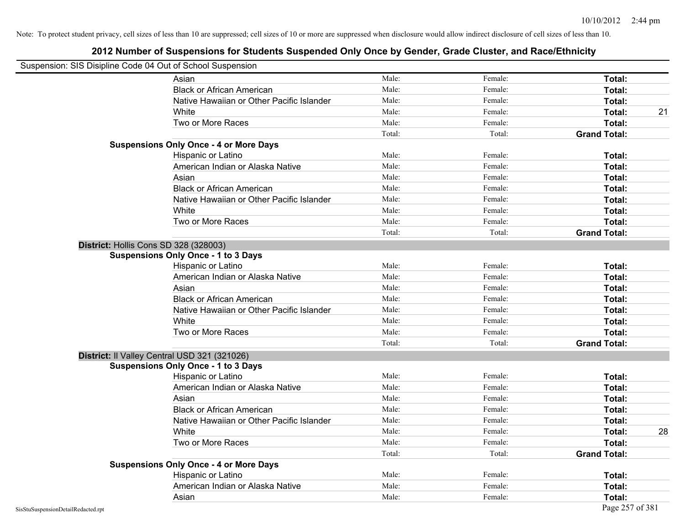| Suspension: SIS Disipline Code 04 Out of School Suspension |                                               |        |         |                     |    |
|------------------------------------------------------------|-----------------------------------------------|--------|---------|---------------------|----|
|                                                            | Asian                                         | Male:  | Female: | Total:              |    |
|                                                            | <b>Black or African American</b>              | Male:  | Female: | Total:              |    |
|                                                            | Native Hawaiian or Other Pacific Islander     | Male:  | Female: | Total:              |    |
|                                                            | White                                         | Male:  | Female: | Total:              | 21 |
|                                                            | Two or More Races                             | Male:  | Female: | Total:              |    |
|                                                            |                                               | Total: | Total:  | <b>Grand Total:</b> |    |
|                                                            | <b>Suspensions Only Once - 4 or More Days</b> |        |         |                     |    |
|                                                            | Hispanic or Latino                            | Male:  | Female: | Total:              |    |
|                                                            | American Indian or Alaska Native              | Male:  | Female: | Total:              |    |
|                                                            | Asian                                         | Male:  | Female: | Total:              |    |
|                                                            | <b>Black or African American</b>              | Male:  | Female: | Total:              |    |
|                                                            | Native Hawaiian or Other Pacific Islander     | Male:  | Female: | Total:              |    |
|                                                            | White                                         | Male:  | Female: | Total:              |    |
|                                                            | Two or More Races                             | Male:  | Female: | Total:              |    |
|                                                            |                                               | Total: | Total:  | <b>Grand Total:</b> |    |
| District: Hollis Cons SD 328 (328003)                      |                                               |        |         |                     |    |
|                                                            | <b>Suspensions Only Once - 1 to 3 Days</b>    |        |         |                     |    |
|                                                            | Hispanic or Latino                            | Male:  | Female: | Total:              |    |
|                                                            | American Indian or Alaska Native              | Male:  | Female: | Total:              |    |
|                                                            | Asian                                         | Male:  | Female: | Total:              |    |
|                                                            | <b>Black or African American</b>              | Male:  | Female: | Total:              |    |
|                                                            | Native Hawaiian or Other Pacific Islander     | Male:  | Female: | Total:              |    |
|                                                            | White                                         | Male:  | Female: | Total:              |    |
|                                                            | Two or More Races                             | Male:  | Female: | Total:              |    |
|                                                            |                                               | Total: | Total:  | <b>Grand Total:</b> |    |
|                                                            | District: Il Valley Central USD 321 (321026)  |        |         |                     |    |
|                                                            | <b>Suspensions Only Once - 1 to 3 Days</b>    |        |         |                     |    |
|                                                            | Hispanic or Latino                            | Male:  | Female: | Total:              |    |
|                                                            | American Indian or Alaska Native              | Male:  | Female: | Total:              |    |
|                                                            | Asian                                         | Male:  | Female: | Total:              |    |
|                                                            | <b>Black or African American</b>              | Male:  | Female: | Total:              |    |
|                                                            | Native Hawaiian or Other Pacific Islander     | Male:  | Female: | Total:              |    |
|                                                            | White                                         | Male:  | Female: | Total:              | 28 |
|                                                            | Two or More Races                             | Male:  | Female: | Total:              |    |
|                                                            |                                               | Total: | Total:  | <b>Grand Total:</b> |    |
|                                                            | <b>Suspensions Only Once - 4 or More Days</b> |        |         |                     |    |
|                                                            | Hispanic or Latino                            | Male:  | Female: | Total:              |    |
|                                                            | American Indian or Alaska Native              | Male:  | Female: | Total:              |    |
|                                                            | Asian                                         | Male:  | Female: | Total:              |    |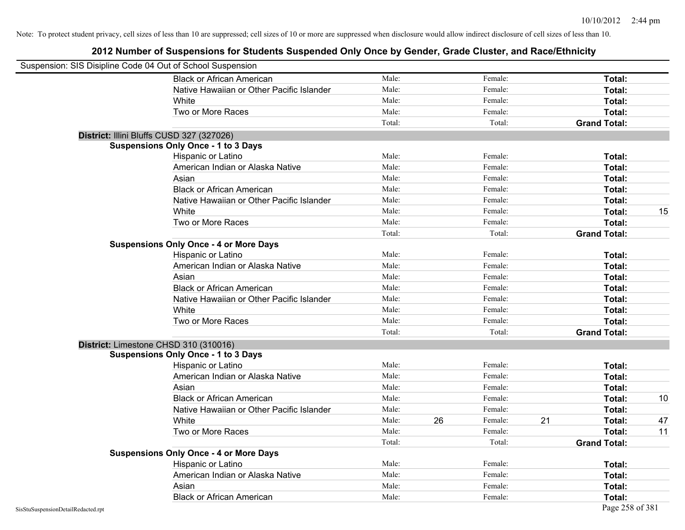| Suspension: SIS Disipline Code 04 Out of School Suspension |                                               |        |    |         |    |                     |    |
|------------------------------------------------------------|-----------------------------------------------|--------|----|---------|----|---------------------|----|
|                                                            | <b>Black or African American</b>              | Male:  |    | Female: |    | Total:              |    |
|                                                            | Native Hawaiian or Other Pacific Islander     | Male:  |    | Female: |    | Total:              |    |
|                                                            | White                                         | Male:  |    | Female: |    | Total:              |    |
|                                                            | Two or More Races                             | Male:  |    | Female: |    | Total:              |    |
|                                                            |                                               | Total: |    | Total:  |    | <b>Grand Total:</b> |    |
|                                                            | District: Illini Bluffs CUSD 327 (327026)     |        |    |         |    |                     |    |
|                                                            | <b>Suspensions Only Once - 1 to 3 Days</b>    |        |    |         |    |                     |    |
|                                                            | Hispanic or Latino                            | Male:  |    | Female: |    | Total:              |    |
|                                                            | American Indian or Alaska Native              | Male:  |    | Female: |    | Total:              |    |
|                                                            | Asian                                         | Male:  |    | Female: |    | Total:              |    |
|                                                            | <b>Black or African American</b>              | Male:  |    | Female: |    | Total:              |    |
|                                                            | Native Hawaiian or Other Pacific Islander     | Male:  |    | Female: |    | Total:              |    |
|                                                            | White                                         | Male:  |    | Female: |    | Total:              | 15 |
|                                                            | Two or More Races                             | Male:  |    | Female: |    | Total:              |    |
|                                                            |                                               | Total: |    | Total:  |    | <b>Grand Total:</b> |    |
|                                                            | <b>Suspensions Only Once - 4 or More Days</b> |        |    |         |    |                     |    |
|                                                            | Hispanic or Latino                            | Male:  |    | Female: |    | Total:              |    |
|                                                            | American Indian or Alaska Native              | Male:  |    | Female: |    | Total:              |    |
|                                                            | Asian                                         | Male:  |    | Female: |    | Total:              |    |
|                                                            | <b>Black or African American</b>              | Male:  |    | Female: |    | Total:              |    |
|                                                            | Native Hawaiian or Other Pacific Islander     | Male:  |    | Female: |    | Total:              |    |
|                                                            | White                                         | Male:  |    | Female: |    | Total:              |    |
|                                                            | Two or More Races                             | Male:  |    | Female: |    | Total:              |    |
|                                                            |                                               | Total: |    | Total:  |    | <b>Grand Total:</b> |    |
|                                                            | District: Limestone CHSD 310 (310016)         |        |    |         |    |                     |    |
|                                                            | <b>Suspensions Only Once - 1 to 3 Days</b>    |        |    |         |    |                     |    |
|                                                            | Hispanic or Latino                            | Male:  |    | Female: |    | Total:              |    |
|                                                            | American Indian or Alaska Native              | Male:  |    | Female: |    | Total:              |    |
|                                                            | Asian                                         | Male:  |    | Female: |    | Total:              |    |
|                                                            | <b>Black or African American</b>              | Male:  |    | Female: |    | Total:              | 10 |
|                                                            | Native Hawaiian or Other Pacific Islander     | Male:  |    | Female: |    | Total:              |    |
|                                                            | White                                         | Male:  | 26 | Female: | 21 | Total:              | 47 |
|                                                            | Two or More Races                             | Male:  |    | Female: |    | Total:              | 11 |
|                                                            |                                               | Total: |    | Total:  |    | <b>Grand Total:</b> |    |
|                                                            | <b>Suspensions Only Once - 4 or More Days</b> |        |    |         |    |                     |    |
|                                                            | Hispanic or Latino                            | Male:  |    | Female: |    | Total:              |    |
|                                                            | American Indian or Alaska Native              | Male:  |    | Female: |    | Total:              |    |
|                                                            | Asian                                         | Male:  |    | Female: |    | Total:              |    |
|                                                            | <b>Black or African American</b>              | Male:  |    | Female: |    | Total:              |    |
| SisStuSuspensionDetailRedacted.rpt                         |                                               |        |    |         |    | Page 258 of 381     |    |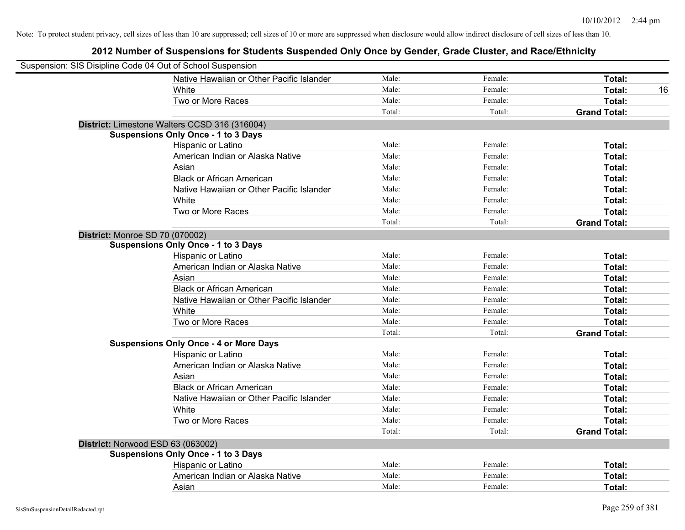| Suspension: SIS Disipline Code 04 Out of School Suspension |                                               |        |         |                     |
|------------------------------------------------------------|-----------------------------------------------|--------|---------|---------------------|
|                                                            | Native Hawaiian or Other Pacific Islander     | Male:  | Female: | Total:              |
|                                                            | White                                         | Male:  | Female: | Total:<br>16        |
|                                                            | Two or More Races                             | Male:  | Female: | Total:              |
|                                                            |                                               | Total: | Total:  | <b>Grand Total:</b> |
|                                                            | District: Limestone Walters CCSD 316 (316004) |        |         |                     |
|                                                            | <b>Suspensions Only Once - 1 to 3 Days</b>    |        |         |                     |
|                                                            | Hispanic or Latino                            | Male:  | Female: | Total:              |
|                                                            | American Indian or Alaska Native              | Male:  | Female: | Total:              |
|                                                            | Asian                                         | Male:  | Female: | Total:              |
|                                                            | <b>Black or African American</b>              | Male:  | Female: | Total:              |
|                                                            | Native Hawaiian or Other Pacific Islander     | Male:  | Female: | Total:              |
|                                                            | White                                         | Male:  | Female: | Total:              |
|                                                            | Two or More Races                             | Male:  | Female: | Total:              |
|                                                            |                                               | Total: | Total:  | <b>Grand Total:</b> |
| District: Monroe SD 70 (070002)                            |                                               |        |         |                     |
|                                                            | <b>Suspensions Only Once - 1 to 3 Days</b>    |        |         |                     |
|                                                            | Hispanic or Latino                            | Male:  | Female: | Total:              |
|                                                            | American Indian or Alaska Native              | Male:  | Female: | Total:              |
|                                                            | Asian                                         | Male:  | Female: | Total:              |
|                                                            | <b>Black or African American</b>              | Male:  | Female: | Total:              |
|                                                            | Native Hawaiian or Other Pacific Islander     | Male:  | Female: | Total:              |
|                                                            | White                                         | Male:  | Female: | Total:              |
|                                                            | Two or More Races                             | Male:  | Female: | Total:              |
|                                                            |                                               | Total: | Total:  | <b>Grand Total:</b> |
|                                                            | <b>Suspensions Only Once - 4 or More Days</b> |        |         |                     |
|                                                            | Hispanic or Latino                            | Male:  | Female: | Total:              |
|                                                            | American Indian or Alaska Native              | Male:  | Female: | Total:              |
|                                                            | Asian                                         | Male:  | Female: | Total:              |
|                                                            | <b>Black or African American</b>              | Male:  | Female: | Total:              |
|                                                            | Native Hawaiian or Other Pacific Islander     | Male:  | Female: | Total:              |
|                                                            | White                                         | Male:  | Female: | Total:              |
|                                                            | Two or More Races                             | Male:  | Female: | Total:              |
|                                                            |                                               | Total: | Total:  | <b>Grand Total:</b> |
| District: Norwood ESD 63 (063002)                          |                                               |        |         |                     |
|                                                            | <b>Suspensions Only Once - 1 to 3 Days</b>    |        |         |                     |
|                                                            | Hispanic or Latino                            | Male:  | Female: | Total:              |
|                                                            | American Indian or Alaska Native              | Male:  | Female: | Total:              |
|                                                            | Asian                                         | Male:  | Female: | Total:              |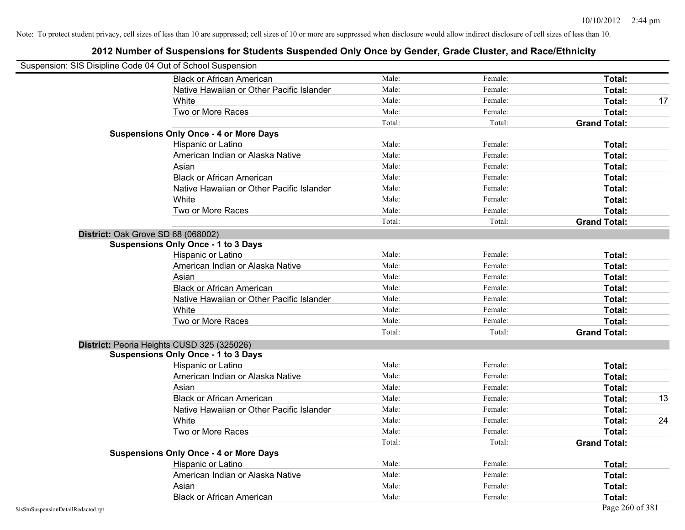| Suspension: SIS Disipline Code 04 Out of School Suspension |                                               |        |         |                     |    |
|------------------------------------------------------------|-----------------------------------------------|--------|---------|---------------------|----|
|                                                            | <b>Black or African American</b>              | Male:  | Female: | Total:              |    |
|                                                            | Native Hawaiian or Other Pacific Islander     | Male:  | Female: | Total:              |    |
|                                                            | White                                         | Male:  | Female: | Total:              | 17 |
|                                                            | Two or More Races                             | Male:  | Female: | Total:              |    |
|                                                            |                                               | Total: | Total:  | <b>Grand Total:</b> |    |
|                                                            | <b>Suspensions Only Once - 4 or More Days</b> |        |         |                     |    |
|                                                            | Hispanic or Latino                            | Male:  | Female: | Total:              |    |
|                                                            | American Indian or Alaska Native              | Male:  | Female: | Total:              |    |
|                                                            | Asian                                         | Male:  | Female: | Total:              |    |
|                                                            | <b>Black or African American</b>              | Male:  | Female: | Total:              |    |
|                                                            | Native Hawaiian or Other Pacific Islander     | Male:  | Female: | Total:              |    |
|                                                            | White                                         | Male:  | Female: | Total:              |    |
|                                                            | Two or More Races                             | Male:  | Female: | Total:              |    |
|                                                            |                                               | Total: | Total:  | <b>Grand Total:</b> |    |
|                                                            | District: Oak Grove SD 68 (068002)            |        |         |                     |    |
|                                                            | <b>Suspensions Only Once - 1 to 3 Days</b>    |        |         |                     |    |
|                                                            | Hispanic or Latino                            | Male:  | Female: | Total:              |    |
|                                                            | American Indian or Alaska Native              | Male:  | Female: | Total:              |    |
|                                                            | Asian                                         | Male:  | Female: | Total:              |    |
|                                                            | <b>Black or African American</b>              | Male:  | Female: | Total:              |    |
|                                                            | Native Hawaiian or Other Pacific Islander     | Male:  | Female: | Total:              |    |
|                                                            | White                                         | Male:  | Female: | Total:              |    |
|                                                            | Two or More Races                             | Male:  | Female: | Total:              |    |
|                                                            |                                               | Total: | Total:  | <b>Grand Total:</b> |    |
|                                                            | District: Peoria Heights CUSD 325 (325026)    |        |         |                     |    |
|                                                            | <b>Suspensions Only Once - 1 to 3 Days</b>    |        |         |                     |    |
|                                                            | Hispanic or Latino                            | Male:  | Female: | Total:              |    |
|                                                            | American Indian or Alaska Native              | Male:  | Female: | Total:              |    |
|                                                            | Asian                                         | Male:  | Female: | Total:              |    |
|                                                            | <b>Black or African American</b>              | Male:  | Female: | Total:              | 13 |
|                                                            | Native Hawaiian or Other Pacific Islander     | Male:  | Female: | Total:              |    |
|                                                            | White                                         | Male:  | Female: | Total:              | 24 |
|                                                            | Two or More Races                             | Male:  | Female: | Total:              |    |
|                                                            |                                               | Total: | Total:  | <b>Grand Total:</b> |    |
|                                                            | <b>Suspensions Only Once - 4 or More Days</b> |        |         |                     |    |
|                                                            | Hispanic or Latino                            | Male:  | Female: | Total:              |    |
|                                                            | American Indian or Alaska Native              | Male:  | Female: | Total:              |    |
|                                                            | Asian                                         | Male:  | Female: | Total:              |    |
|                                                            | <b>Black or African American</b>              | Male:  | Female: | Total:              |    |
| SisStuSuspensionDetailRedacted.rpt                         |                                               |        |         | Page 260 of 381     |    |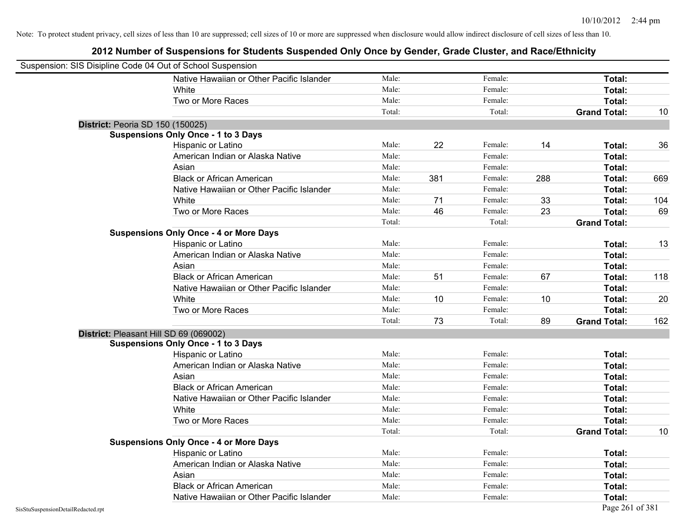| Suspension: SIS Disipline Code 04 Out of School Suspension |                                               |        |     |         |     |                     |     |
|------------------------------------------------------------|-----------------------------------------------|--------|-----|---------|-----|---------------------|-----|
|                                                            | Native Hawaiian or Other Pacific Islander     | Male:  |     | Female: |     | Total:              |     |
|                                                            | White                                         | Male:  |     | Female: |     | Total:              |     |
|                                                            | Two or More Races                             | Male:  |     | Female: |     | Total:              |     |
|                                                            |                                               | Total: |     | Total:  |     | <b>Grand Total:</b> | 10  |
| District: Peoria SD 150 (150025)                           |                                               |        |     |         |     |                     |     |
|                                                            | <b>Suspensions Only Once - 1 to 3 Days</b>    |        |     |         |     |                     |     |
|                                                            | Hispanic or Latino                            | Male:  | 22  | Female: | 14  | Total:              | 36  |
|                                                            | American Indian or Alaska Native              | Male:  |     | Female: |     | Total:              |     |
|                                                            | Asian                                         | Male:  |     | Female: |     | Total:              |     |
|                                                            | <b>Black or African American</b>              | Male:  | 381 | Female: | 288 | Total:              | 669 |
|                                                            | Native Hawaiian or Other Pacific Islander     | Male:  |     | Female: |     | Total:              |     |
|                                                            | White                                         | Male:  | 71  | Female: | 33  | Total:              | 104 |
|                                                            | Two or More Races                             | Male:  | 46  | Female: | 23  | Total:              | 69  |
|                                                            |                                               | Total: |     | Total:  |     | <b>Grand Total:</b> |     |
|                                                            | <b>Suspensions Only Once - 4 or More Days</b> |        |     |         |     |                     |     |
|                                                            | Hispanic or Latino                            | Male:  |     | Female: |     | Total:              | 13  |
|                                                            | American Indian or Alaska Native              | Male:  |     | Female: |     | Total:              |     |
|                                                            | Asian                                         | Male:  |     | Female: |     | Total:              |     |
|                                                            | <b>Black or African American</b>              | Male:  | 51  | Female: | 67  | Total:              | 118 |
|                                                            | Native Hawaiian or Other Pacific Islander     | Male:  |     | Female: |     | Total:              |     |
|                                                            | White                                         | Male:  | 10  | Female: | 10  | Total:              | 20  |
|                                                            | Two or More Races                             | Male:  |     | Female: |     | Total:              |     |
|                                                            |                                               | Total: | 73  | Total:  | 89  | <b>Grand Total:</b> | 162 |
| District: Pleasant Hill SD 69 (069002)                     |                                               |        |     |         |     |                     |     |
|                                                            | <b>Suspensions Only Once - 1 to 3 Days</b>    |        |     |         |     |                     |     |
|                                                            | <b>Hispanic or Latino</b>                     | Male:  |     | Female: |     | Total:              |     |
|                                                            | American Indian or Alaska Native              | Male:  |     | Female: |     | Total:              |     |
|                                                            | Asian                                         | Male:  |     | Female: |     | Total:              |     |
|                                                            | <b>Black or African American</b>              | Male:  |     | Female: |     | Total:              |     |
|                                                            | Native Hawaiian or Other Pacific Islander     | Male:  |     | Female: |     | Total:              |     |
|                                                            | White                                         | Male:  |     | Female: |     | Total:              |     |
|                                                            | Two or More Races                             | Male:  |     | Female: |     | Total:              |     |
|                                                            |                                               | Total: |     | Total:  |     | <b>Grand Total:</b> | 10  |
|                                                            | <b>Suspensions Only Once - 4 or More Days</b> |        |     |         |     |                     |     |
|                                                            | Hispanic or Latino                            | Male:  |     | Female: |     | Total:              |     |
|                                                            | American Indian or Alaska Native              | Male:  |     | Female: |     | Total:              |     |
|                                                            | Asian                                         | Male:  |     | Female: |     | Total:              |     |
|                                                            | <b>Black or African American</b>              | Male:  |     | Female: |     | Total:              |     |
|                                                            | Native Hawaiian or Other Pacific Islander     | Male:  |     | Female: |     | Total:              |     |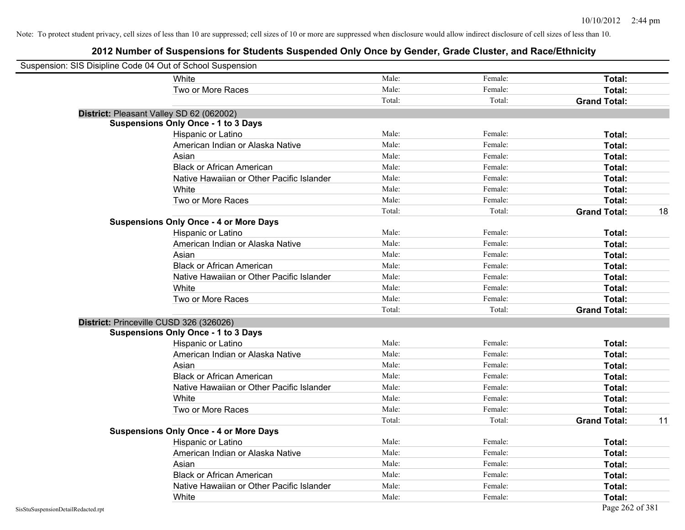| Suspension: SIS Disipline Code 04 Out of School Suspension |                                               |        |         |                     |    |
|------------------------------------------------------------|-----------------------------------------------|--------|---------|---------------------|----|
|                                                            | <b>White</b>                                  | Male:  | Female: | Total:              |    |
|                                                            | Two or More Races                             | Male:  | Female: | Total:              |    |
|                                                            |                                               | Total: | Total:  | <b>Grand Total:</b> |    |
|                                                            | District: Pleasant Valley SD 62 (062002)      |        |         |                     |    |
|                                                            | <b>Suspensions Only Once - 1 to 3 Days</b>    |        |         |                     |    |
|                                                            | Hispanic or Latino                            | Male:  | Female: | Total:              |    |
|                                                            | American Indian or Alaska Native              | Male:  | Female: | Total:              |    |
|                                                            | Asian                                         | Male:  | Female: | Total:              |    |
|                                                            | <b>Black or African American</b>              | Male:  | Female: | Total:              |    |
|                                                            | Native Hawaiian or Other Pacific Islander     | Male:  | Female: | Total:              |    |
|                                                            | White                                         | Male:  | Female: | Total:              |    |
|                                                            | Two or More Races                             | Male:  | Female: | Total:              |    |
|                                                            |                                               | Total: | Total:  | <b>Grand Total:</b> | 18 |
|                                                            | <b>Suspensions Only Once - 4 or More Days</b> |        |         |                     |    |
|                                                            | Hispanic or Latino                            | Male:  | Female: | Total:              |    |
|                                                            | American Indian or Alaska Native              | Male:  | Female: | Total:              |    |
|                                                            | Asian                                         | Male:  | Female: | Total:              |    |
|                                                            | <b>Black or African American</b>              | Male:  | Female: | Total:              |    |
|                                                            | Native Hawaiian or Other Pacific Islander     | Male:  | Female: | Total:              |    |
|                                                            | White                                         | Male:  | Female: | Total:              |    |
|                                                            | Two or More Races                             | Male:  | Female: | Total:              |    |
|                                                            |                                               | Total: | Total:  | <b>Grand Total:</b> |    |
| District: Princeville CUSD 326 (326026)                    |                                               |        |         |                     |    |
|                                                            | <b>Suspensions Only Once - 1 to 3 Days</b>    |        |         |                     |    |
|                                                            | Hispanic or Latino                            | Male:  | Female: | Total:              |    |
|                                                            | American Indian or Alaska Native              | Male:  | Female: | Total:              |    |
|                                                            | Asian                                         | Male:  | Female: | Total:              |    |
|                                                            | <b>Black or African American</b>              | Male:  | Female: | Total:              |    |
|                                                            | Native Hawaiian or Other Pacific Islander     | Male:  | Female: | Total:              |    |
|                                                            | White                                         | Male:  | Female: | Total:              |    |
|                                                            | Two or More Races                             | Male:  | Female: | Total:              |    |
|                                                            |                                               | Total: | Total:  | <b>Grand Total:</b> | 11 |
|                                                            | <b>Suspensions Only Once - 4 or More Days</b> |        |         |                     |    |
|                                                            | Hispanic or Latino                            | Male:  | Female: | Total:              |    |
|                                                            | American Indian or Alaska Native              | Male:  | Female: | Total:              |    |
|                                                            | Asian                                         | Male:  | Female: | Total:              |    |
|                                                            | <b>Black or African American</b>              | Male:  | Female: | Total:              |    |
|                                                            | Native Hawaiian or Other Pacific Islander     | Male:  | Female: | Total:              |    |
|                                                            | White                                         | Male:  | Female: | Total:              |    |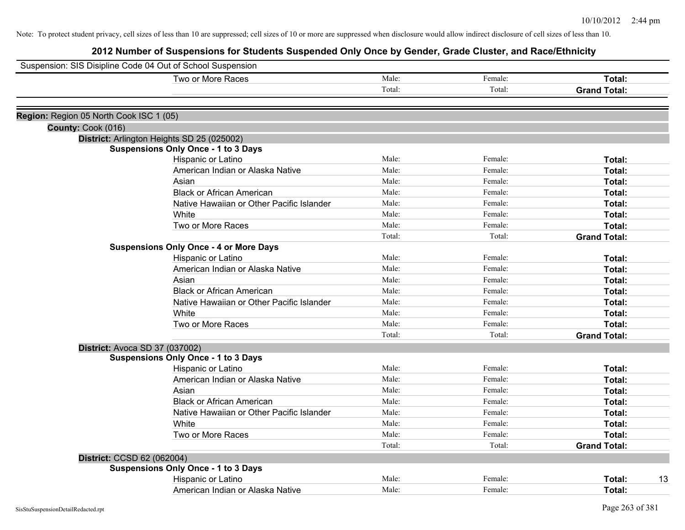| Male:<br>Two or More Races<br>Female:<br>Total:<br>Total:<br>Total:<br><b>Grand Total:</b><br>Region: Region 05 North Cook ISC 1 (05)<br>County: Cook (016)<br>District: Arlington Heights SD 25 (025002)<br><b>Suspensions Only Once - 1 to 3 Days</b><br>Male:<br>Female:<br>Hispanic or Latino<br>Total:<br>Male:<br>American Indian or Alaska Native<br>Female:<br>Total:<br>Male:<br>Asian<br>Female:<br>Total:<br><b>Black or African American</b><br>Male:<br>Female:<br>Total:<br>Male:<br>Female:<br>Native Hawaiian or Other Pacific Islander<br>Total:<br>Male:<br>Female:<br>White<br>Total:<br>Male:<br>Two or More Races<br>Female:<br>Total:<br>Total:<br>Total:<br><b>Grand Total:</b><br><b>Suspensions Only Once - 4 or More Days</b><br>Male:<br>Female:<br>Hispanic or Latino<br>Total:<br>Male:<br>Female:<br>American Indian or Alaska Native<br>Total:<br>Male:<br>Female:<br>Asian<br>Total:<br>Male:<br><b>Black or African American</b><br>Female:<br>Total:<br>Male:<br>Female:<br>Total:<br>Native Hawaiian or Other Pacific Islander<br>Male:<br>Female:<br>White<br>Total:<br>Two or More Races<br>Male:<br>Female:<br>Total:<br>Total:<br><b>Grand Total:</b><br>Total:<br>District: Avoca SD 37 (037002)<br><b>Suspensions Only Once - 1 to 3 Days</b><br>Male:<br>Hispanic or Latino<br>Female:<br>Total:<br>Male:<br>American Indian or Alaska Native<br>Female:<br>Total:<br>Male:<br>Asian<br>Female:<br>Total:<br><b>Black or African American</b><br>Male:<br>Female:<br>Total:<br>Native Hawaiian or Other Pacific Islander<br>Male:<br>Female:<br>Total:<br>White<br>Male:<br>Female:<br>Total:<br>Two or More Races<br>Male:<br>Female:<br>Total:<br>Total:<br>Total:<br><b>Grand Total:</b><br>District: CCSD 62 (062004)<br><b>Suspensions Only Once - 1 to 3 Days</b><br>Male:<br>Female:<br>13<br>Hispanic or Latino<br>Total:<br>Male:<br>American Indian or Alaska Native<br>Female:<br>Total: | Suspension: SIS Disipline Code 04 Out of School Suspension |  |  |
|-----------------------------------------------------------------------------------------------------------------------------------------------------------------------------------------------------------------------------------------------------------------------------------------------------------------------------------------------------------------------------------------------------------------------------------------------------------------------------------------------------------------------------------------------------------------------------------------------------------------------------------------------------------------------------------------------------------------------------------------------------------------------------------------------------------------------------------------------------------------------------------------------------------------------------------------------------------------------------------------------------------------------------------------------------------------------------------------------------------------------------------------------------------------------------------------------------------------------------------------------------------------------------------------------------------------------------------------------------------------------------------------------------------------------------------------------------------------------------------------------------------------------------------------------------------------------------------------------------------------------------------------------------------------------------------------------------------------------------------------------------------------------------------------------------------------------------------------------------------------------------------------------------------------------------------------------|------------------------------------------------------------|--|--|
|                                                                                                                                                                                                                                                                                                                                                                                                                                                                                                                                                                                                                                                                                                                                                                                                                                                                                                                                                                                                                                                                                                                                                                                                                                                                                                                                                                                                                                                                                                                                                                                                                                                                                                                                                                                                                                                                                                                                               |                                                            |  |  |
|                                                                                                                                                                                                                                                                                                                                                                                                                                                                                                                                                                                                                                                                                                                                                                                                                                                                                                                                                                                                                                                                                                                                                                                                                                                                                                                                                                                                                                                                                                                                                                                                                                                                                                                                                                                                                                                                                                                                               |                                                            |  |  |
|                                                                                                                                                                                                                                                                                                                                                                                                                                                                                                                                                                                                                                                                                                                                                                                                                                                                                                                                                                                                                                                                                                                                                                                                                                                                                                                                                                                                                                                                                                                                                                                                                                                                                                                                                                                                                                                                                                                                               |                                                            |  |  |
|                                                                                                                                                                                                                                                                                                                                                                                                                                                                                                                                                                                                                                                                                                                                                                                                                                                                                                                                                                                                                                                                                                                                                                                                                                                                                                                                                                                                                                                                                                                                                                                                                                                                                                                                                                                                                                                                                                                                               |                                                            |  |  |
|                                                                                                                                                                                                                                                                                                                                                                                                                                                                                                                                                                                                                                                                                                                                                                                                                                                                                                                                                                                                                                                                                                                                                                                                                                                                                                                                                                                                                                                                                                                                                                                                                                                                                                                                                                                                                                                                                                                                               |                                                            |  |  |
|                                                                                                                                                                                                                                                                                                                                                                                                                                                                                                                                                                                                                                                                                                                                                                                                                                                                                                                                                                                                                                                                                                                                                                                                                                                                                                                                                                                                                                                                                                                                                                                                                                                                                                                                                                                                                                                                                                                                               |                                                            |  |  |
|                                                                                                                                                                                                                                                                                                                                                                                                                                                                                                                                                                                                                                                                                                                                                                                                                                                                                                                                                                                                                                                                                                                                                                                                                                                                                                                                                                                                                                                                                                                                                                                                                                                                                                                                                                                                                                                                                                                                               |                                                            |  |  |
|                                                                                                                                                                                                                                                                                                                                                                                                                                                                                                                                                                                                                                                                                                                                                                                                                                                                                                                                                                                                                                                                                                                                                                                                                                                                                                                                                                                                                                                                                                                                                                                                                                                                                                                                                                                                                                                                                                                                               |                                                            |  |  |
|                                                                                                                                                                                                                                                                                                                                                                                                                                                                                                                                                                                                                                                                                                                                                                                                                                                                                                                                                                                                                                                                                                                                                                                                                                                                                                                                                                                                                                                                                                                                                                                                                                                                                                                                                                                                                                                                                                                                               |                                                            |  |  |
|                                                                                                                                                                                                                                                                                                                                                                                                                                                                                                                                                                                                                                                                                                                                                                                                                                                                                                                                                                                                                                                                                                                                                                                                                                                                                                                                                                                                                                                                                                                                                                                                                                                                                                                                                                                                                                                                                                                                               |                                                            |  |  |
|                                                                                                                                                                                                                                                                                                                                                                                                                                                                                                                                                                                                                                                                                                                                                                                                                                                                                                                                                                                                                                                                                                                                                                                                                                                                                                                                                                                                                                                                                                                                                                                                                                                                                                                                                                                                                                                                                                                                               |                                                            |  |  |
|                                                                                                                                                                                                                                                                                                                                                                                                                                                                                                                                                                                                                                                                                                                                                                                                                                                                                                                                                                                                                                                                                                                                                                                                                                                                                                                                                                                                                                                                                                                                                                                                                                                                                                                                                                                                                                                                                                                                               |                                                            |  |  |
|                                                                                                                                                                                                                                                                                                                                                                                                                                                                                                                                                                                                                                                                                                                                                                                                                                                                                                                                                                                                                                                                                                                                                                                                                                                                                                                                                                                                                                                                                                                                                                                                                                                                                                                                                                                                                                                                                                                                               |                                                            |  |  |
|                                                                                                                                                                                                                                                                                                                                                                                                                                                                                                                                                                                                                                                                                                                                                                                                                                                                                                                                                                                                                                                                                                                                                                                                                                                                                                                                                                                                                                                                                                                                                                                                                                                                                                                                                                                                                                                                                                                                               |                                                            |  |  |
|                                                                                                                                                                                                                                                                                                                                                                                                                                                                                                                                                                                                                                                                                                                                                                                                                                                                                                                                                                                                                                                                                                                                                                                                                                                                                                                                                                                                                                                                                                                                                                                                                                                                                                                                                                                                                                                                                                                                               |                                                            |  |  |
|                                                                                                                                                                                                                                                                                                                                                                                                                                                                                                                                                                                                                                                                                                                                                                                                                                                                                                                                                                                                                                                                                                                                                                                                                                                                                                                                                                                                                                                                                                                                                                                                                                                                                                                                                                                                                                                                                                                                               |                                                            |  |  |
|                                                                                                                                                                                                                                                                                                                                                                                                                                                                                                                                                                                                                                                                                                                                                                                                                                                                                                                                                                                                                                                                                                                                                                                                                                                                                                                                                                                                                                                                                                                                                                                                                                                                                                                                                                                                                                                                                                                                               |                                                            |  |  |
|                                                                                                                                                                                                                                                                                                                                                                                                                                                                                                                                                                                                                                                                                                                                                                                                                                                                                                                                                                                                                                                                                                                                                                                                                                                                                                                                                                                                                                                                                                                                                                                                                                                                                                                                                                                                                                                                                                                                               |                                                            |  |  |
|                                                                                                                                                                                                                                                                                                                                                                                                                                                                                                                                                                                                                                                                                                                                                                                                                                                                                                                                                                                                                                                                                                                                                                                                                                                                                                                                                                                                                                                                                                                                                                                                                                                                                                                                                                                                                                                                                                                                               |                                                            |  |  |
|                                                                                                                                                                                                                                                                                                                                                                                                                                                                                                                                                                                                                                                                                                                                                                                                                                                                                                                                                                                                                                                                                                                                                                                                                                                                                                                                                                                                                                                                                                                                                                                                                                                                                                                                                                                                                                                                                                                                               |                                                            |  |  |
|                                                                                                                                                                                                                                                                                                                                                                                                                                                                                                                                                                                                                                                                                                                                                                                                                                                                                                                                                                                                                                                                                                                                                                                                                                                                                                                                                                                                                                                                                                                                                                                                                                                                                                                                                                                                                                                                                                                                               |                                                            |  |  |
|                                                                                                                                                                                                                                                                                                                                                                                                                                                                                                                                                                                                                                                                                                                                                                                                                                                                                                                                                                                                                                                                                                                                                                                                                                                                                                                                                                                                                                                                                                                                                                                                                                                                                                                                                                                                                                                                                                                                               |                                                            |  |  |
|                                                                                                                                                                                                                                                                                                                                                                                                                                                                                                                                                                                                                                                                                                                                                                                                                                                                                                                                                                                                                                                                                                                                                                                                                                                                                                                                                                                                                                                                                                                                                                                                                                                                                                                                                                                                                                                                                                                                               |                                                            |  |  |
|                                                                                                                                                                                                                                                                                                                                                                                                                                                                                                                                                                                                                                                                                                                                                                                                                                                                                                                                                                                                                                                                                                                                                                                                                                                                                                                                                                                                                                                                                                                                                                                                                                                                                                                                                                                                                                                                                                                                               |                                                            |  |  |
|                                                                                                                                                                                                                                                                                                                                                                                                                                                                                                                                                                                                                                                                                                                                                                                                                                                                                                                                                                                                                                                                                                                                                                                                                                                                                                                                                                                                                                                                                                                                                                                                                                                                                                                                                                                                                                                                                                                                               |                                                            |  |  |
|                                                                                                                                                                                                                                                                                                                                                                                                                                                                                                                                                                                                                                                                                                                                                                                                                                                                                                                                                                                                                                                                                                                                                                                                                                                                                                                                                                                                                                                                                                                                                                                                                                                                                                                                                                                                                                                                                                                                               |                                                            |  |  |
|                                                                                                                                                                                                                                                                                                                                                                                                                                                                                                                                                                                                                                                                                                                                                                                                                                                                                                                                                                                                                                                                                                                                                                                                                                                                                                                                                                                                                                                                                                                                                                                                                                                                                                                                                                                                                                                                                                                                               |                                                            |  |  |
|                                                                                                                                                                                                                                                                                                                                                                                                                                                                                                                                                                                                                                                                                                                                                                                                                                                                                                                                                                                                                                                                                                                                                                                                                                                                                                                                                                                                                                                                                                                                                                                                                                                                                                                                                                                                                                                                                                                                               |                                                            |  |  |
|                                                                                                                                                                                                                                                                                                                                                                                                                                                                                                                                                                                                                                                                                                                                                                                                                                                                                                                                                                                                                                                                                                                                                                                                                                                                                                                                                                                                                                                                                                                                                                                                                                                                                                                                                                                                                                                                                                                                               |                                                            |  |  |
|                                                                                                                                                                                                                                                                                                                                                                                                                                                                                                                                                                                                                                                                                                                                                                                                                                                                                                                                                                                                                                                                                                                                                                                                                                                                                                                                                                                                                                                                                                                                                                                                                                                                                                                                                                                                                                                                                                                                               |                                                            |  |  |
|                                                                                                                                                                                                                                                                                                                                                                                                                                                                                                                                                                                                                                                                                                                                                                                                                                                                                                                                                                                                                                                                                                                                                                                                                                                                                                                                                                                                                                                                                                                                                                                                                                                                                                                                                                                                                                                                                                                                               |                                                            |  |  |
|                                                                                                                                                                                                                                                                                                                                                                                                                                                                                                                                                                                                                                                                                                                                                                                                                                                                                                                                                                                                                                                                                                                                                                                                                                                                                                                                                                                                                                                                                                                                                                                                                                                                                                                                                                                                                                                                                                                                               |                                                            |  |  |
|                                                                                                                                                                                                                                                                                                                                                                                                                                                                                                                                                                                                                                                                                                                                                                                                                                                                                                                                                                                                                                                                                                                                                                                                                                                                                                                                                                                                                                                                                                                                                                                                                                                                                                                                                                                                                                                                                                                                               |                                                            |  |  |
|                                                                                                                                                                                                                                                                                                                                                                                                                                                                                                                                                                                                                                                                                                                                                                                                                                                                                                                                                                                                                                                                                                                                                                                                                                                                                                                                                                                                                                                                                                                                                                                                                                                                                                                                                                                                                                                                                                                                               |                                                            |  |  |
|                                                                                                                                                                                                                                                                                                                                                                                                                                                                                                                                                                                                                                                                                                                                                                                                                                                                                                                                                                                                                                                                                                                                                                                                                                                                                                                                                                                                                                                                                                                                                                                                                                                                                                                                                                                                                                                                                                                                               |                                                            |  |  |
|                                                                                                                                                                                                                                                                                                                                                                                                                                                                                                                                                                                                                                                                                                                                                                                                                                                                                                                                                                                                                                                                                                                                                                                                                                                                                                                                                                                                                                                                                                                                                                                                                                                                                                                                                                                                                                                                                                                                               |                                                            |  |  |
|                                                                                                                                                                                                                                                                                                                                                                                                                                                                                                                                                                                                                                                                                                                                                                                                                                                                                                                                                                                                                                                                                                                                                                                                                                                                                                                                                                                                                                                                                                                                                                                                                                                                                                                                                                                                                                                                                                                                               |                                                            |  |  |
|                                                                                                                                                                                                                                                                                                                                                                                                                                                                                                                                                                                                                                                                                                                                                                                                                                                                                                                                                                                                                                                                                                                                                                                                                                                                                                                                                                                                                                                                                                                                                                                                                                                                                                                                                                                                                                                                                                                                               |                                                            |  |  |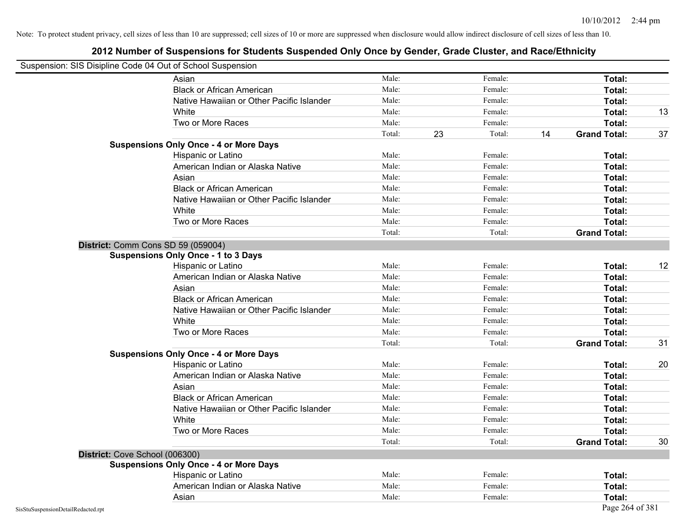| Suspension: SIS Disipline Code 04 Out of School Suspension |                                               |        |    |         |    |                     |    |
|------------------------------------------------------------|-----------------------------------------------|--------|----|---------|----|---------------------|----|
|                                                            | Asian                                         | Male:  |    | Female: |    | Total:              |    |
|                                                            | <b>Black or African American</b>              | Male:  |    | Female: |    | Total:              |    |
|                                                            | Native Hawaiian or Other Pacific Islander     | Male:  |    | Female: |    | Total:              |    |
|                                                            | White                                         | Male:  |    | Female: |    | Total:              | 13 |
|                                                            | Two or More Races                             | Male:  |    | Female: |    | Total:              |    |
|                                                            |                                               | Total: | 23 | Total:  | 14 | <b>Grand Total:</b> | 37 |
|                                                            | <b>Suspensions Only Once - 4 or More Days</b> |        |    |         |    |                     |    |
|                                                            | Hispanic or Latino                            | Male:  |    | Female: |    | Total:              |    |
|                                                            | American Indian or Alaska Native              | Male:  |    | Female: |    | Total:              |    |
|                                                            | Asian                                         | Male:  |    | Female: |    | Total:              |    |
|                                                            | <b>Black or African American</b>              | Male:  |    | Female: |    | Total:              |    |
|                                                            | Native Hawaiian or Other Pacific Islander     | Male:  |    | Female: |    | Total:              |    |
|                                                            | White                                         | Male:  |    | Female: |    | Total:              |    |
|                                                            | Two or More Races                             | Male:  |    | Female: |    | Total:              |    |
|                                                            |                                               | Total: |    | Total:  |    | <b>Grand Total:</b> |    |
| District: Comm Cons SD 59 (059004)                         |                                               |        |    |         |    |                     |    |
|                                                            | <b>Suspensions Only Once - 1 to 3 Days</b>    |        |    |         |    |                     |    |
|                                                            | Hispanic or Latino                            | Male:  |    | Female: |    | Total:              | 12 |
|                                                            | American Indian or Alaska Native              | Male:  |    | Female: |    | Total:              |    |
|                                                            | Asian                                         | Male:  |    | Female: |    | Total:              |    |
|                                                            | <b>Black or African American</b>              | Male:  |    | Female: |    | Total:              |    |
|                                                            | Native Hawaiian or Other Pacific Islander     | Male:  |    | Female: |    | Total:              |    |
|                                                            | White                                         | Male:  |    | Female: |    | Total:              |    |
|                                                            | Two or More Races                             | Male:  |    | Female: |    | Total:              |    |
|                                                            |                                               | Total: |    | Total:  |    | <b>Grand Total:</b> | 31 |
|                                                            | <b>Suspensions Only Once - 4 or More Days</b> |        |    |         |    |                     |    |
|                                                            | Hispanic or Latino                            | Male:  |    | Female: |    | Total:              | 20 |
|                                                            | American Indian or Alaska Native              | Male:  |    | Female: |    | Total:              |    |
|                                                            | Asian                                         | Male:  |    | Female: |    | Total:              |    |
|                                                            | <b>Black or African American</b>              | Male:  |    | Female: |    | Total:              |    |
|                                                            | Native Hawaiian or Other Pacific Islander     | Male:  |    | Female: |    | Total:              |    |
|                                                            | White                                         | Male:  |    | Female: |    | Total:              |    |
|                                                            | Two or More Races                             | Male:  |    | Female: |    | Total:              |    |
|                                                            |                                               | Total: |    | Total:  |    | <b>Grand Total:</b> | 30 |
| District: Cove School (006300)                             |                                               |        |    |         |    |                     |    |
|                                                            | <b>Suspensions Only Once - 4 or More Days</b> |        |    |         |    |                     |    |
|                                                            | Hispanic or Latino                            | Male:  |    | Female: |    | Total:              |    |
|                                                            | American Indian or Alaska Native              | Male:  |    | Female: |    | Total:              |    |
|                                                            | Asian                                         | Male:  |    | Female: |    | Total:              |    |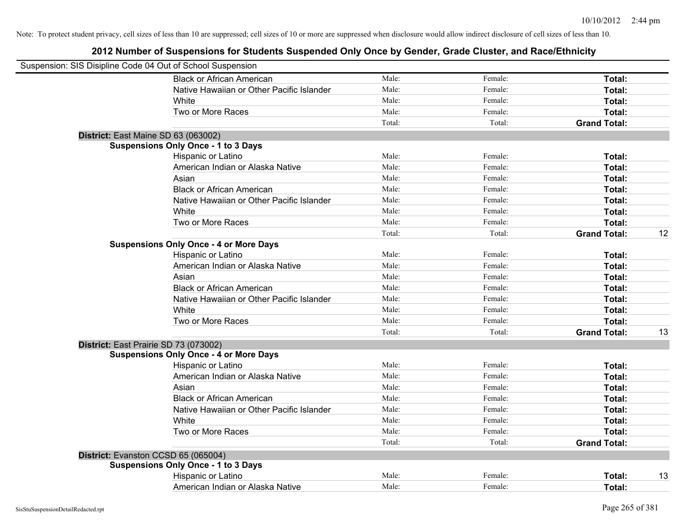| Suspension: SIS Disipline Code 04 Out of School Suspension |        |         |                     |    |
|------------------------------------------------------------|--------|---------|---------------------|----|
| <b>Black or African American</b>                           | Male:  | Female: | Total:              |    |
| Native Hawaiian or Other Pacific Islander                  | Male:  | Female: | Total:              |    |
| White                                                      | Male:  | Female: | Total:              |    |
| Two or More Races                                          | Male:  | Female: | Total:              |    |
|                                                            | Total: | Total:  | <b>Grand Total:</b> |    |
| District: East Maine SD 63 (063002)                        |        |         |                     |    |
| <b>Suspensions Only Once - 1 to 3 Days</b>                 |        |         |                     |    |
| Hispanic or Latino                                         | Male:  | Female: | Total:              |    |
| American Indian or Alaska Native                           | Male:  | Female: | Total:              |    |
| Asian                                                      | Male:  | Female: | Total:              |    |
| <b>Black or African American</b>                           | Male:  | Female: | Total:              |    |
| Native Hawaiian or Other Pacific Islander                  | Male:  | Female: | Total:              |    |
| White                                                      | Male:  | Female: | Total:              |    |
| Two or More Races                                          | Male:  | Female: | Total:              |    |
|                                                            | Total: | Total:  | <b>Grand Total:</b> | 12 |
| <b>Suspensions Only Once - 4 or More Days</b>              |        |         |                     |    |
| Hispanic or Latino                                         | Male:  | Female: | Total:              |    |
| American Indian or Alaska Native                           | Male:  | Female: | Total:              |    |
| Asian                                                      | Male:  | Female: | Total:              |    |
| <b>Black or African American</b>                           | Male:  | Female: | Total:              |    |
| Native Hawaiian or Other Pacific Islander                  | Male:  | Female: | Total:              |    |
| White                                                      | Male:  | Female: | Total:              |    |
| Two or More Races                                          | Male:  | Female: | Total:              |    |
|                                                            | Total: | Total:  | <b>Grand Total:</b> | 13 |
| District: East Prairie SD 73 (073002)                      |        |         |                     |    |
| <b>Suspensions Only Once - 4 or More Days</b>              |        |         |                     |    |
| Hispanic or Latino                                         | Male:  | Female: | Total:              |    |
| American Indian or Alaska Native                           | Male:  | Female: | Total:              |    |
| Asian                                                      | Male:  | Female: | Total:              |    |
| <b>Black or African American</b>                           | Male:  | Female: | Total:              |    |
| Native Hawaiian or Other Pacific Islander                  | Male:  | Female: | Total:              |    |
| White                                                      | Male:  | Female: | Total:              |    |
| Two or More Races                                          | Male:  | Female: | Total:              |    |
|                                                            | Total: | Total:  | <b>Grand Total:</b> |    |
| District: Evanston CCSD 65 (065004)                        |        |         |                     |    |
| <b>Suspensions Only Once - 1 to 3 Days</b>                 |        |         |                     |    |
| Hispanic or Latino                                         | Male:  | Female: | Total:              | 13 |
| American Indian or Alaska Native                           | Male:  | Female: | Total:              |    |
|                                                            |        |         |                     |    |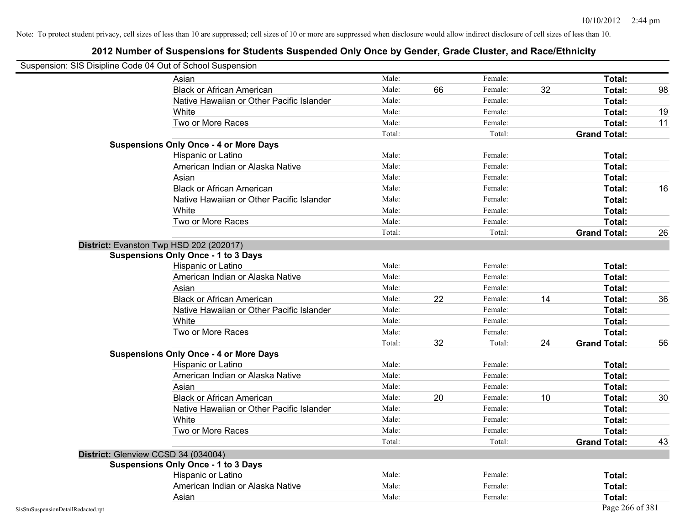Note: To protect student privacy, cell sizes of less than 10 are suppressed; cell sizes of 10 or more are suppressed when disclosure would allow indirect disclosure of cell sizes of less than 10.

### **2012 Number of Suspensions for Students Suspended Only Once by Gender, Grade Cluster, and Race/Ethnicity**

| Suspension: SIS Disipline Code 04 Out of School Suspension |        |    |         |    |                     |    |
|------------------------------------------------------------|--------|----|---------|----|---------------------|----|
| Asian                                                      | Male:  |    | Female: |    | Total:              |    |
| <b>Black or African American</b>                           | Male:  | 66 | Female: | 32 | Total:              | 98 |
| Native Hawaiian or Other Pacific Islander                  | Male:  |    | Female: |    | Total:              |    |
| White                                                      | Male:  |    | Female: |    | Total:              | 19 |
| Two or More Races                                          | Male:  |    | Female: |    | Total:              | 11 |
|                                                            | Total: |    | Total:  |    | <b>Grand Total:</b> |    |
| <b>Suspensions Only Once - 4 or More Days</b>              |        |    |         |    |                     |    |
| Hispanic or Latino                                         | Male:  |    | Female: |    | Total:              |    |
| American Indian or Alaska Native                           | Male:  |    | Female: |    | Total:              |    |
| Asian                                                      | Male:  |    | Female: |    | Total:              |    |
| <b>Black or African American</b>                           | Male:  |    | Female: |    | Total:              | 16 |
| Native Hawaiian or Other Pacific Islander                  | Male:  |    | Female: |    | Total:              |    |
| White                                                      | Male:  |    | Female: |    | Total:              |    |
| Two or More Races                                          | Male:  |    | Female: |    | Total:              |    |
|                                                            | Total: |    | Total:  |    | <b>Grand Total:</b> | 26 |
| District: Evanston Twp HSD 202 (202017)                    |        |    |         |    |                     |    |
| <b>Suspensions Only Once - 1 to 3 Days</b>                 |        |    |         |    |                     |    |
| Hispanic or Latino                                         | Male:  |    | Female: |    | Total:              |    |
| American Indian or Alaska Native                           | Male:  |    | Female: |    | Total:              |    |
| Asian                                                      | Male:  |    | Female: |    | Total:              |    |
| <b>Black or African American</b>                           | Male:  | 22 | Female: | 14 | Total:              | 36 |
| Native Hawaiian or Other Pacific Islander                  | Male:  |    | Female: |    | Total:              |    |
| White                                                      | Male:  |    | Female: |    | Total:              |    |
| Two or More Races                                          | Male:  |    | Female: |    | Total:              |    |
|                                                            | Total: | 32 | Total:  | 24 | <b>Grand Total:</b> | 56 |
| <b>Suspensions Only Once - 4 or More Days</b>              |        |    |         |    |                     |    |
| Hispanic or Latino                                         | Male:  |    | Female: |    | Total:              |    |
| American Indian or Alaska Native                           | Male:  |    | Female: |    | Total:              |    |
| Asian                                                      | Male:  |    | Female: |    | Total:              |    |
| <b>Black or African American</b>                           | Male:  | 20 | Female: | 10 | Total:              | 30 |
| Native Hawaiian or Other Pacific Islander                  | Male:  |    | Female: |    | Total:              |    |
| White                                                      | Male:  |    | Female: |    | Total:              |    |
| Two or More Races                                          | Male:  |    | Female: |    | Total:              |    |
|                                                            | Total: |    | Total:  |    | <b>Grand Total:</b> | 43 |
| District: Glenview CCSD 34 (034004)                        |        |    |         |    |                     |    |
| <b>Suspensions Only Once - 1 to 3 Days</b>                 |        |    |         |    |                     |    |
| Hispanic or Latino                                         | Male:  |    | Female: |    | Total:              |    |
| American Indian or Alaska Native                           | Male:  |    | Female: |    | Total:              |    |

Asian **Asian Male:** Total: Male: Female: **Total: Total:** Total: Total: Total: Total: Total: Total: Total: Total: Total: Total: Total: Total: Total: Total: Total: Total: Total: Total: Total: Total: Total: Total: Total: Tota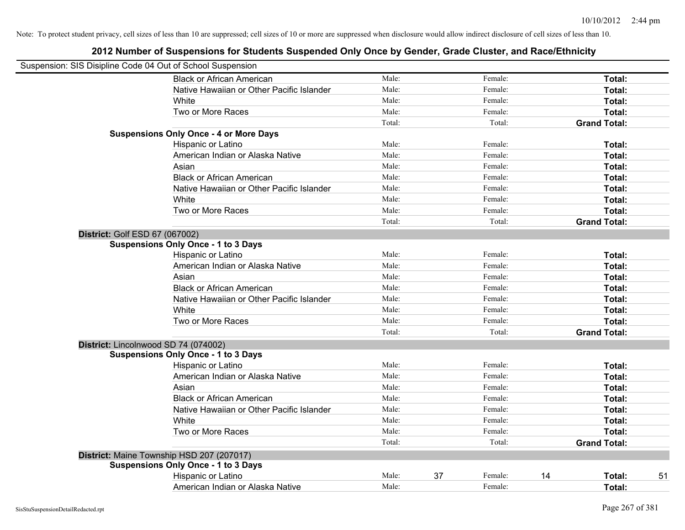|                                | Suspension: SIS Disipline Code 04 Out of School Suspension |        |    |         |    |                     |    |
|--------------------------------|------------------------------------------------------------|--------|----|---------|----|---------------------|----|
|                                | <b>Black or African American</b>                           | Male:  |    | Female: |    | Total:              |    |
|                                | Native Hawaiian or Other Pacific Islander                  | Male:  |    | Female: |    | Total:              |    |
|                                | White                                                      | Male:  |    | Female: |    | Total:              |    |
|                                | Two or More Races                                          | Male:  |    | Female: |    | Total:              |    |
|                                |                                                            | Total: |    | Total:  |    | <b>Grand Total:</b> |    |
|                                | <b>Suspensions Only Once - 4 or More Days</b>              |        |    |         |    |                     |    |
|                                | Hispanic or Latino                                         | Male:  |    | Female: |    | Total:              |    |
|                                | American Indian or Alaska Native                           | Male:  |    | Female: |    | Total:              |    |
|                                | Asian                                                      | Male:  |    | Female: |    | Total:              |    |
|                                | <b>Black or African American</b>                           | Male:  |    | Female: |    | Total:              |    |
|                                | Native Hawaiian or Other Pacific Islander                  | Male:  |    | Female: |    | Total:              |    |
|                                | White                                                      | Male:  |    | Female: |    | Total:              |    |
|                                | Two or More Races                                          | Male:  |    | Female: |    | Total:              |    |
|                                |                                                            | Total: |    | Total:  |    | <b>Grand Total:</b> |    |
| District: Golf ESD 67 (067002) |                                                            |        |    |         |    |                     |    |
|                                | <b>Suspensions Only Once - 1 to 3 Days</b>                 |        |    |         |    |                     |    |
|                                | Hispanic or Latino                                         | Male:  |    | Female: |    | Total:              |    |
|                                | American Indian or Alaska Native                           | Male:  |    | Female: |    | Total:              |    |
|                                | Asian                                                      | Male:  |    | Female: |    | Total:              |    |
|                                | <b>Black or African American</b>                           | Male:  |    | Female: |    | Total:              |    |
|                                | Native Hawaiian or Other Pacific Islander                  | Male:  |    | Female: |    | Total:              |    |
|                                | White                                                      | Male:  |    | Female: |    | Total:              |    |
|                                | Two or More Races                                          | Male:  |    | Female: |    | Total:              |    |
|                                |                                                            | Total: |    | Total:  |    | <b>Grand Total:</b> |    |
|                                | District: Lincolnwood SD 74 (074002)                       |        |    |         |    |                     |    |
|                                | <b>Suspensions Only Once - 1 to 3 Days</b>                 |        |    |         |    |                     |    |
|                                | Hispanic or Latino                                         | Male:  |    | Female: |    | Total:              |    |
|                                | American Indian or Alaska Native                           | Male:  |    | Female: |    | Total:              |    |
|                                | Asian                                                      | Male:  |    | Female: |    | Total:              |    |
|                                | <b>Black or African American</b>                           | Male:  |    | Female: |    | Total:              |    |
|                                | Native Hawaiian or Other Pacific Islander                  | Male:  |    | Female: |    | Total:              |    |
|                                | White                                                      | Male:  |    | Female: |    | Total:              |    |
|                                | Two or More Races                                          | Male:  |    | Female: |    | Total:              |    |
|                                |                                                            | Total: |    | Total:  |    | <b>Grand Total:</b> |    |
|                                | District: Maine Township HSD 207 (207017)                  |        |    |         |    |                     |    |
|                                | <b>Suspensions Only Once - 1 to 3 Days</b>                 |        |    |         |    |                     |    |
|                                | Hispanic or Latino                                         | Male:  | 37 | Female: | 14 | Total:              | 51 |
|                                | American Indian or Alaska Native                           | Male:  |    | Female: |    | Total:              |    |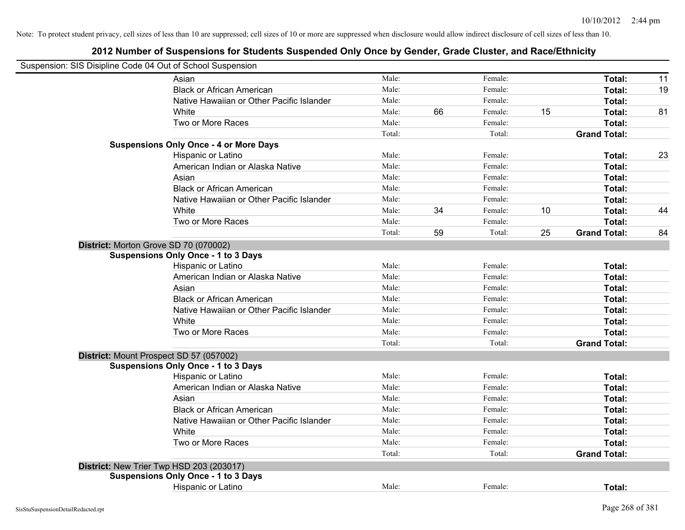| Suspension: SIS Disipline Code 04 Out of School Suspension |                                               |        |    |         |    |                     |    |
|------------------------------------------------------------|-----------------------------------------------|--------|----|---------|----|---------------------|----|
|                                                            | Asian                                         | Male:  |    | Female: |    | Total:              | 11 |
|                                                            | <b>Black or African American</b>              | Male:  |    | Female: |    | Total:              | 19 |
|                                                            | Native Hawaiian or Other Pacific Islander     | Male:  |    | Female: |    | Total:              |    |
|                                                            | White                                         | Male:  | 66 | Female: | 15 | Total:              | 81 |
|                                                            | Two or More Races                             | Male:  |    | Female: |    | Total:              |    |
|                                                            |                                               | Total: |    | Total:  |    | <b>Grand Total:</b> |    |
|                                                            | <b>Suspensions Only Once - 4 or More Days</b> |        |    |         |    |                     |    |
|                                                            | Hispanic or Latino                            | Male:  |    | Female: |    | Total:              | 23 |
|                                                            | American Indian or Alaska Native              | Male:  |    | Female: |    | Total:              |    |
|                                                            | Asian                                         | Male:  |    | Female: |    | Total:              |    |
|                                                            | <b>Black or African American</b>              | Male:  |    | Female: |    | Total:              |    |
|                                                            | Native Hawaiian or Other Pacific Islander     | Male:  |    | Female: |    | Total:              |    |
|                                                            | White                                         | Male:  | 34 | Female: | 10 | Total:              | 44 |
|                                                            | Two or More Races                             | Male:  |    | Female: |    | Total:              |    |
|                                                            |                                               | Total: | 59 | Total:  | 25 | <b>Grand Total:</b> | 84 |
|                                                            | District: Morton Grove SD 70 (070002)         |        |    |         |    |                     |    |
|                                                            | <b>Suspensions Only Once - 1 to 3 Days</b>    |        |    |         |    |                     |    |
|                                                            | Hispanic or Latino                            | Male:  |    | Female: |    | Total:              |    |
|                                                            | American Indian or Alaska Native              | Male:  |    | Female: |    | Total:              |    |
|                                                            | Asian                                         | Male:  |    | Female: |    | Total:              |    |
|                                                            | <b>Black or African American</b>              | Male:  |    | Female: |    | Total:              |    |
|                                                            | Native Hawaiian or Other Pacific Islander     | Male:  |    | Female: |    | Total:              |    |
|                                                            | White                                         | Male:  |    | Female: |    | Total:              |    |
|                                                            | Two or More Races                             | Male:  |    | Female: |    | Total:              |    |
|                                                            |                                               | Total: |    | Total:  |    | <b>Grand Total:</b> |    |
|                                                            | District: Mount Prospect SD 57 (057002)       |        |    |         |    |                     |    |
|                                                            | <b>Suspensions Only Once - 1 to 3 Days</b>    |        |    |         |    |                     |    |
|                                                            | Hispanic or Latino                            | Male:  |    | Female: |    | Total:              |    |
|                                                            | American Indian or Alaska Native              | Male:  |    | Female: |    | Total:              |    |
|                                                            | Asian                                         | Male:  |    | Female: |    | Total:              |    |
|                                                            | <b>Black or African American</b>              | Male:  |    | Female: |    | Total:              |    |
|                                                            | Native Hawaiian or Other Pacific Islander     | Male:  |    | Female: |    | Total:              |    |
|                                                            | White                                         | Male:  |    | Female: |    | Total:              |    |
|                                                            | Two or More Races                             | Male:  |    | Female: |    | Total:              |    |
|                                                            |                                               | Total: |    | Total:  |    | <b>Grand Total:</b> |    |
|                                                            | District: New Trier Twp HSD 203 (203017)      |        |    |         |    |                     |    |
|                                                            | <b>Suspensions Only Once - 1 to 3 Days</b>    |        |    |         |    |                     |    |
|                                                            | <b>Hispanic or Latino</b>                     | Male:  |    | Female: |    | Total:              |    |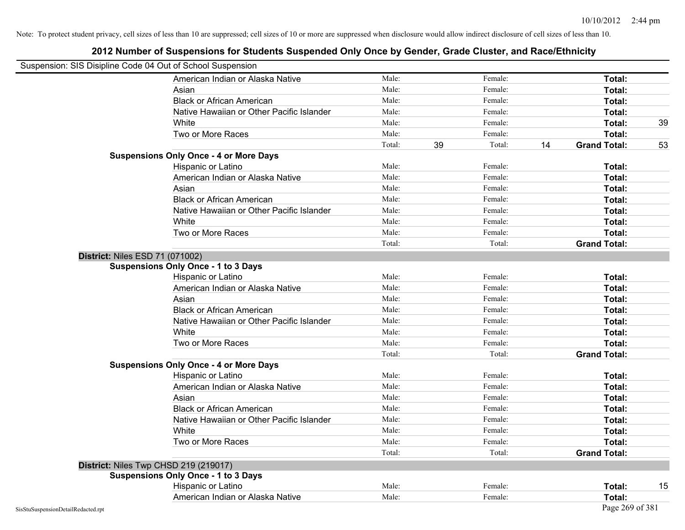| Suspension: SIS Disipline Code 04 Out of School Suspension |                                               |        |    |         |    |                     |    |
|------------------------------------------------------------|-----------------------------------------------|--------|----|---------|----|---------------------|----|
|                                                            | American Indian or Alaska Native              | Male:  |    | Female: |    | Total:              |    |
|                                                            | Asian                                         | Male:  |    | Female: |    | Total:              |    |
|                                                            | <b>Black or African American</b>              | Male:  |    | Female: |    | Total:              |    |
|                                                            | Native Hawaiian or Other Pacific Islander     | Male:  |    | Female: |    | Total:              |    |
|                                                            | White                                         | Male:  |    | Female: |    | Total:              | 39 |
|                                                            | Two or More Races                             | Male:  |    | Female: |    | Total:              |    |
|                                                            |                                               | Total: | 39 | Total:  | 14 | <b>Grand Total:</b> | 53 |
|                                                            | <b>Suspensions Only Once - 4 or More Days</b> |        |    |         |    |                     |    |
|                                                            | Hispanic or Latino                            | Male:  |    | Female: |    | Total:              |    |
|                                                            | American Indian or Alaska Native              | Male:  |    | Female: |    | Total:              |    |
|                                                            | Asian                                         | Male:  |    | Female: |    | Total:              |    |
|                                                            | <b>Black or African American</b>              | Male:  |    | Female: |    | Total:              |    |
|                                                            | Native Hawaiian or Other Pacific Islander     | Male:  |    | Female: |    | Total:              |    |
|                                                            | White                                         | Male:  |    | Female: |    | Total:              |    |
|                                                            | Two or More Races                             | Male:  |    | Female: |    | Total:              |    |
|                                                            |                                               | Total: |    | Total:  |    | <b>Grand Total:</b> |    |
| <b>District: Niles ESD 71 (071002)</b>                     |                                               |        |    |         |    |                     |    |
|                                                            | <b>Suspensions Only Once - 1 to 3 Days</b>    |        |    |         |    |                     |    |
|                                                            | Hispanic or Latino                            | Male:  |    | Female: |    | Total:              |    |
|                                                            | American Indian or Alaska Native              | Male:  |    | Female: |    | Total:              |    |
|                                                            | Asian                                         | Male:  |    | Female: |    | Total:              |    |
|                                                            | <b>Black or African American</b>              | Male:  |    | Female: |    | Total:              |    |
|                                                            | Native Hawaiian or Other Pacific Islander     | Male:  |    | Female: |    | Total:              |    |
|                                                            | White                                         | Male:  |    | Female: |    | <b>Total:</b>       |    |
|                                                            | Two or More Races                             | Male:  |    | Female: |    | Total:              |    |
|                                                            |                                               | Total: |    | Total:  |    | <b>Grand Total:</b> |    |
|                                                            | <b>Suspensions Only Once - 4 or More Days</b> |        |    |         |    |                     |    |
|                                                            | Hispanic or Latino                            | Male:  |    | Female: |    | Total:              |    |
|                                                            | American Indian or Alaska Native              | Male:  |    | Female: |    | Total:              |    |
|                                                            | Asian                                         | Male:  |    | Female: |    | Total:              |    |
|                                                            | <b>Black or African American</b>              | Male:  |    | Female: |    | Total:              |    |
|                                                            | Native Hawaiian or Other Pacific Islander     | Male:  |    | Female: |    | Total:              |    |
|                                                            | White                                         | Male:  |    | Female: |    | <b>Total:</b>       |    |
|                                                            | Two or More Races                             | Male:  |    | Female: |    | Total:              |    |
|                                                            |                                               | Total: |    | Total:  |    | <b>Grand Total:</b> |    |
|                                                            | District: Niles Twp CHSD 219 (219017)         |        |    |         |    |                     |    |
|                                                            | <b>Suspensions Only Once - 1 to 3 Days</b>    |        |    |         |    |                     |    |
|                                                            | Hispanic or Latino                            | Male:  |    | Female: |    | Total:              | 15 |
|                                                            | American Indian or Alaska Native              | Male:  |    | Female: |    | Total:              |    |
| SisStuSuspensionDetailRedacted.rpt                         |                                               |        |    |         |    | Page 269 of 381     |    |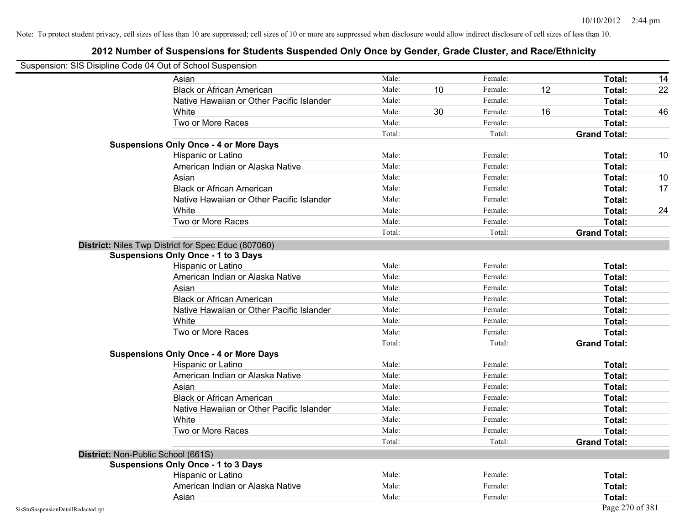|                                    | Suspension: SIS Disipline Code 04 Out of School Suspension |        |    |         |    |                     |    |
|------------------------------------|------------------------------------------------------------|--------|----|---------|----|---------------------|----|
|                                    | Asian                                                      | Male:  |    | Female: |    | Total:              | 14 |
|                                    | <b>Black or African American</b>                           | Male:  | 10 | Female: | 12 | Total:              | 22 |
|                                    | Native Hawaiian or Other Pacific Islander                  | Male:  |    | Female: |    | Total:              |    |
|                                    | White                                                      | Male:  | 30 | Female: | 16 | Total:              | 46 |
|                                    | Two or More Races                                          | Male:  |    | Female: |    | Total:              |    |
|                                    |                                                            | Total: |    | Total:  |    | <b>Grand Total:</b> |    |
|                                    | <b>Suspensions Only Once - 4 or More Days</b>              |        |    |         |    |                     |    |
|                                    | Hispanic or Latino                                         | Male:  |    | Female: |    | Total:              | 10 |
|                                    | American Indian or Alaska Native                           | Male:  |    | Female: |    | Total:              |    |
|                                    | Asian                                                      | Male:  |    | Female: |    | Total:              | 10 |
|                                    | <b>Black or African American</b>                           | Male:  |    | Female: |    | Total:              | 17 |
|                                    | Native Hawaiian or Other Pacific Islander                  | Male:  |    | Female: |    | Total:              |    |
|                                    | White                                                      | Male:  |    | Female: |    | Total:              | 24 |
|                                    | Two or More Races                                          | Male:  |    | Female: |    | Total:              |    |
|                                    |                                                            | Total: |    | Total:  |    | <b>Grand Total:</b> |    |
|                                    | District: Niles Twp District for Spec Educ (807060)        |        |    |         |    |                     |    |
|                                    | <b>Suspensions Only Once - 1 to 3 Days</b>                 |        |    |         |    |                     |    |
|                                    | Hispanic or Latino                                         | Male:  |    | Female: |    | Total:              |    |
|                                    | American Indian or Alaska Native                           | Male:  |    | Female: |    | Total:              |    |
|                                    | Asian                                                      | Male:  |    | Female: |    | Total:              |    |
|                                    | <b>Black or African American</b>                           | Male:  |    | Female: |    | Total:              |    |
|                                    | Native Hawaiian or Other Pacific Islander                  | Male:  |    | Female: |    | <b>Total:</b>       |    |
|                                    | White                                                      | Male:  |    | Female: |    | Total:              |    |
|                                    | Two or More Races                                          | Male:  |    | Female: |    | Total:              |    |
|                                    |                                                            | Total: |    | Total:  |    | <b>Grand Total:</b> |    |
|                                    | <b>Suspensions Only Once - 4 or More Days</b>              |        |    |         |    |                     |    |
|                                    | Hispanic or Latino                                         | Male:  |    | Female: |    | Total:              |    |
|                                    | American Indian or Alaska Native                           | Male:  |    | Female: |    | Total:              |    |
|                                    | Asian                                                      | Male:  |    | Female: |    | Total:              |    |
|                                    | <b>Black or African American</b>                           | Male:  |    | Female: |    | Total:              |    |
|                                    | Native Hawaiian or Other Pacific Islander                  | Male:  |    | Female: |    | Total:              |    |
|                                    | White                                                      | Male:  |    | Female: |    | Total:              |    |
|                                    | Two or More Races                                          | Male:  |    | Female: |    | Total:              |    |
|                                    |                                                            | Total: |    | Total:  |    | <b>Grand Total:</b> |    |
|                                    | District: Non-Public School (661S)                         |        |    |         |    |                     |    |
|                                    | <b>Suspensions Only Once - 1 to 3 Days</b>                 |        |    |         |    |                     |    |
|                                    | Hispanic or Latino                                         | Male:  |    | Female: |    | Total:              |    |
|                                    | American Indian or Alaska Native                           | Male:  |    | Female: |    | Total:              |    |
|                                    | Asian                                                      | Male:  |    | Female: |    | Total:              |    |
| SisStuSuspensionDetailRedacted.rpt |                                                            |        |    |         |    | Page 270 of 381     |    |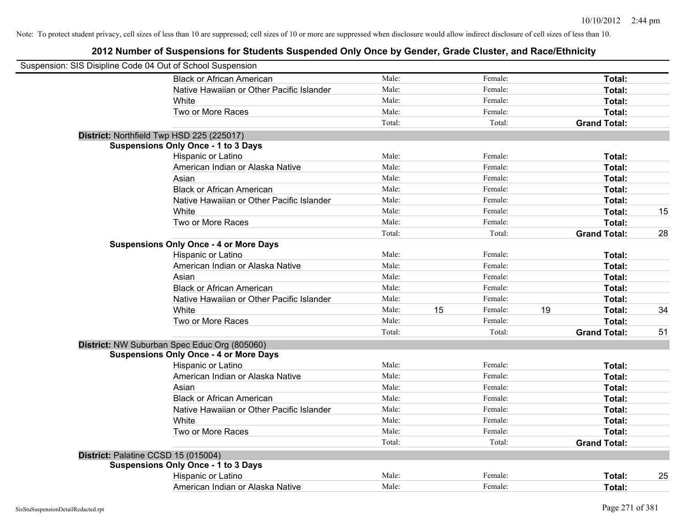| Suspension: SIS Disipline Code 04 Out of School Suspension |        |    |         |    |                     |    |
|------------------------------------------------------------|--------|----|---------|----|---------------------|----|
| <b>Black or African American</b>                           | Male:  |    | Female: |    | Total:              |    |
| Native Hawaiian or Other Pacific Islander                  | Male:  |    | Female: |    | Total:              |    |
| White                                                      | Male:  |    | Female: |    | Total:              |    |
| Two or More Races                                          | Male:  |    | Female: |    | Total:              |    |
|                                                            | Total: |    | Total:  |    | <b>Grand Total:</b> |    |
| District: Northfield Twp HSD 225 (225017)                  |        |    |         |    |                     |    |
| <b>Suspensions Only Once - 1 to 3 Days</b>                 |        |    |         |    |                     |    |
| Hispanic or Latino                                         | Male:  |    | Female: |    | Total:              |    |
| American Indian or Alaska Native                           | Male:  |    | Female: |    | Total:              |    |
| Asian                                                      | Male:  |    | Female: |    | Total:              |    |
| <b>Black or African American</b>                           | Male:  |    | Female: |    | Total:              |    |
| Native Hawaiian or Other Pacific Islander                  | Male:  |    | Female: |    | Total:              |    |
| White                                                      | Male:  |    | Female: |    | Total:              | 15 |
| Two or More Races                                          | Male:  |    | Female: |    | Total:              |    |
|                                                            | Total: |    | Total:  |    | <b>Grand Total:</b> | 28 |
| <b>Suspensions Only Once - 4 or More Days</b>              |        |    |         |    |                     |    |
| Hispanic or Latino                                         | Male:  |    | Female: |    | Total:              |    |
| American Indian or Alaska Native                           | Male:  |    | Female: |    | Total:              |    |
| Asian                                                      | Male:  |    | Female: |    | Total:              |    |
| <b>Black or African American</b>                           | Male:  |    | Female: |    | Total:              |    |
| Native Hawaiian or Other Pacific Islander                  | Male:  |    | Female: |    | Total:              |    |
| White                                                      | Male:  | 15 | Female: | 19 | Total:              | 34 |
| Two or More Races                                          | Male:  |    | Female: |    | Total:              |    |
|                                                            | Total: |    | Total:  |    | <b>Grand Total:</b> | 51 |
| District: NW Suburban Spec Educ Org (805060)               |        |    |         |    |                     |    |
| <b>Suspensions Only Once - 4 or More Days</b>              |        |    |         |    |                     |    |
| Hispanic or Latino                                         | Male:  |    | Female: |    | Total:              |    |
| American Indian or Alaska Native                           | Male:  |    | Female: |    | Total:              |    |
| Asian                                                      | Male:  |    | Female: |    | Total:              |    |
| <b>Black or African American</b>                           | Male:  |    | Female: |    | Total:              |    |
| Native Hawaiian or Other Pacific Islander                  | Male:  |    | Female: |    | Total:              |    |
| White                                                      | Male:  |    | Female: |    | Total:              |    |
| Two or More Races                                          | Male:  |    | Female: |    | Total:              |    |
|                                                            | Total: |    | Total:  |    | <b>Grand Total:</b> |    |
| District: Palatine CCSD 15 (015004)                        |        |    |         |    |                     |    |
| <b>Suspensions Only Once - 1 to 3 Days</b>                 |        |    |         |    |                     |    |
| Hispanic or Latino                                         | Male:  |    | Female: |    | Total:              | 25 |
| American Indian or Alaska Native                           | Male:  |    | Female: |    | Total:              |    |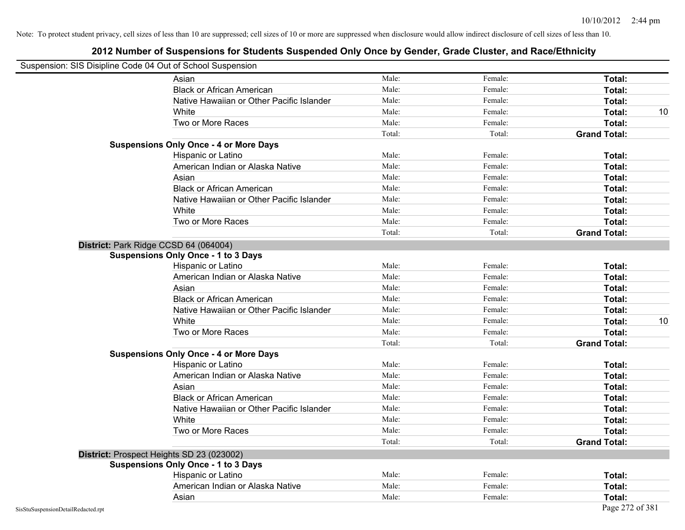| Suspension: SIS Disipline Code 04 Out of School Suspension |                                               |        |         |                     |    |
|------------------------------------------------------------|-----------------------------------------------|--------|---------|---------------------|----|
|                                                            | Asian                                         | Male:  | Female: | Total:              |    |
|                                                            | <b>Black or African American</b>              | Male:  | Female: | Total:              |    |
|                                                            | Native Hawaiian or Other Pacific Islander     | Male:  | Female: | Total:              |    |
|                                                            | White                                         | Male:  | Female: | Total:              | 10 |
|                                                            | Two or More Races                             | Male:  | Female: | Total:              |    |
|                                                            |                                               | Total: | Total:  | <b>Grand Total:</b> |    |
|                                                            | <b>Suspensions Only Once - 4 or More Days</b> |        |         |                     |    |
|                                                            | Hispanic or Latino                            | Male:  | Female: | Total:              |    |
|                                                            | American Indian or Alaska Native              | Male:  | Female: | Total:              |    |
|                                                            | Asian                                         | Male:  | Female: | Total:              |    |
|                                                            | <b>Black or African American</b>              | Male:  | Female: | Total:              |    |
|                                                            | Native Hawaiian or Other Pacific Islander     | Male:  | Female: | Total:              |    |
|                                                            | White                                         | Male:  | Female: | Total:              |    |
|                                                            | Two or More Races                             | Male:  | Female: | Total:              |    |
|                                                            |                                               | Total: | Total:  | <b>Grand Total:</b> |    |
| District: Park Ridge CCSD 64 (064004)                      |                                               |        |         |                     |    |
|                                                            | <b>Suspensions Only Once - 1 to 3 Days</b>    |        |         |                     |    |
|                                                            | Hispanic or Latino                            | Male:  | Female: | Total:              |    |
|                                                            | American Indian or Alaska Native              | Male:  | Female: | Total:              |    |
|                                                            | Asian                                         | Male:  | Female: | Total:              |    |
|                                                            | <b>Black or African American</b>              | Male:  | Female: | Total:              |    |
|                                                            | Native Hawaiian or Other Pacific Islander     | Male:  | Female: | Total:              |    |
|                                                            | White                                         | Male:  | Female: | Total:              | 10 |
|                                                            | Two or More Races                             | Male:  | Female: | Total:              |    |
|                                                            |                                               | Total: | Total:  | <b>Grand Total:</b> |    |
|                                                            | <b>Suspensions Only Once - 4 or More Days</b> |        |         |                     |    |
|                                                            | Hispanic or Latino                            | Male:  | Female: | Total:              |    |
|                                                            | American Indian or Alaska Native              | Male:  | Female: | Total:              |    |
|                                                            | Asian                                         | Male:  | Female: | Total:              |    |
|                                                            | <b>Black or African American</b>              | Male:  | Female: | Total:              |    |
|                                                            | Native Hawaiian or Other Pacific Islander     | Male:  | Female: | Total:              |    |
|                                                            | White                                         | Male:  | Female: | Total:              |    |
|                                                            | Two or More Races                             | Male:  | Female: | Total:              |    |
|                                                            |                                               | Total: | Total:  | <b>Grand Total:</b> |    |
|                                                            | District: Prospect Heights SD 23 (023002)     |        |         |                     |    |
|                                                            | <b>Suspensions Only Once - 1 to 3 Days</b>    |        |         |                     |    |
|                                                            | Hispanic or Latino                            | Male:  | Female: | Total:              |    |
|                                                            | American Indian or Alaska Native              | Male:  | Female: | Total:              |    |
|                                                            | Asian                                         | Male:  | Female: | Total:              |    |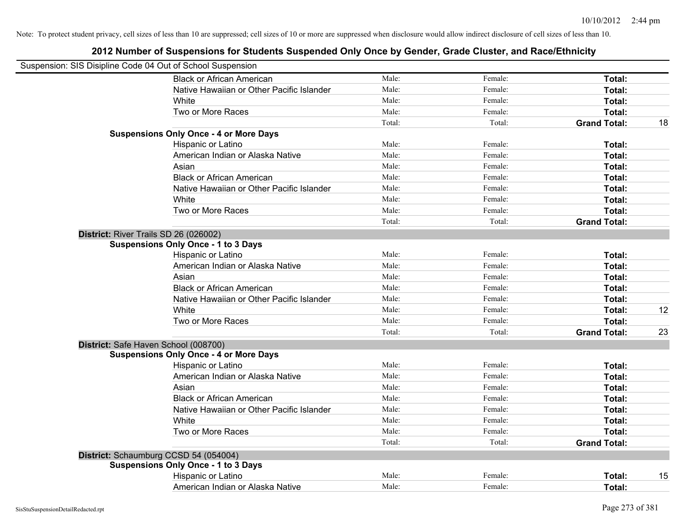| Suspension: SIS Disipline Code 04 Out of School Suspension |        |         |                     |    |
|------------------------------------------------------------|--------|---------|---------------------|----|
| <b>Black or African American</b>                           | Male:  | Female: | Total:              |    |
| Native Hawaiian or Other Pacific Islander                  | Male:  | Female: | Total:              |    |
| White                                                      | Male:  | Female: | Total:              |    |
| Two or More Races                                          | Male:  | Female: | Total:              |    |
|                                                            | Total: | Total:  | <b>Grand Total:</b> | 18 |
| <b>Suspensions Only Once - 4 or More Days</b>              |        |         |                     |    |
| Hispanic or Latino                                         | Male:  | Female: | Total:              |    |
| American Indian or Alaska Native                           | Male:  | Female: | Total:              |    |
| Asian                                                      | Male:  | Female: | Total:              |    |
| <b>Black or African American</b>                           | Male:  | Female: | Total:              |    |
| Native Hawaiian or Other Pacific Islander                  | Male:  | Female: | Total:              |    |
| White                                                      | Male:  | Female: | Total:              |    |
| Two or More Races                                          | Male:  | Female: | Total:              |    |
|                                                            | Total: | Total:  | <b>Grand Total:</b> |    |
| District: River Trails SD 26 (026002)                      |        |         |                     |    |
| <b>Suspensions Only Once - 1 to 3 Days</b>                 |        |         |                     |    |
| Hispanic or Latino                                         | Male:  | Female: | Total:              |    |
| American Indian or Alaska Native                           | Male:  | Female: | Total:              |    |
| Asian                                                      | Male:  | Female: | Total:              |    |
| <b>Black or African American</b>                           | Male:  | Female: | Total:              |    |
| Native Hawaiian or Other Pacific Islander                  | Male:  | Female: | Total:              |    |
| White                                                      | Male:  | Female: | Total:              | 12 |
| Two or More Races                                          | Male:  | Female: | Total:              |    |
|                                                            | Total: | Total:  | <b>Grand Total:</b> | 23 |
| District: Safe Haven School (008700)                       |        |         |                     |    |
| <b>Suspensions Only Once - 4 or More Days</b>              |        |         |                     |    |
| Hispanic or Latino                                         | Male:  | Female: | Total:              |    |
| American Indian or Alaska Native                           | Male:  | Female: | Total:              |    |
| Asian                                                      | Male:  | Female: | Total:              |    |
| <b>Black or African American</b>                           | Male:  | Female: | Total:              |    |
| Native Hawaiian or Other Pacific Islander                  | Male:  | Female: | Total:              |    |
| White                                                      | Male:  | Female: | Total:              |    |
| Two or More Races                                          | Male:  | Female: | Total:              |    |
|                                                            | Total: | Total:  | <b>Grand Total:</b> |    |
| District: Schaumburg CCSD 54 (054004)                      |        |         |                     |    |
| <b>Suspensions Only Once - 1 to 3 Days</b>                 |        |         |                     |    |
| Hispanic or Latino                                         | Male:  | Female: | Total:              | 15 |
| American Indian or Alaska Native                           | Male:  | Female: | Total:              |    |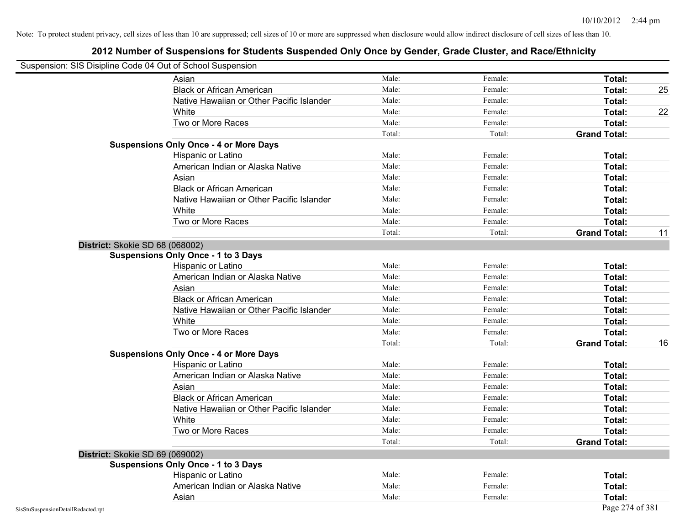| Suspension: SIS Disipline Code 04 Out of School Suspension |                                               |        |         |                     |    |
|------------------------------------------------------------|-----------------------------------------------|--------|---------|---------------------|----|
|                                                            | Asian                                         | Male:  | Female: | Total:              |    |
|                                                            | <b>Black or African American</b>              | Male:  | Female: | Total:              | 25 |
|                                                            | Native Hawaiian or Other Pacific Islander     | Male:  | Female: | Total:              |    |
|                                                            | White                                         | Male:  | Female: | Total:              | 22 |
|                                                            | Two or More Races                             | Male:  | Female: | Total:              |    |
|                                                            |                                               | Total: | Total:  | <b>Grand Total:</b> |    |
|                                                            | <b>Suspensions Only Once - 4 or More Days</b> |        |         |                     |    |
|                                                            | Hispanic or Latino                            | Male:  | Female: | Total:              |    |
|                                                            | American Indian or Alaska Native              | Male:  | Female: | Total:              |    |
|                                                            | Asian                                         | Male:  | Female: | Total:              |    |
|                                                            | <b>Black or African American</b>              | Male:  | Female: | Total:              |    |
|                                                            | Native Hawaiian or Other Pacific Islander     | Male:  | Female: | Total:              |    |
|                                                            | White                                         | Male:  | Female: | Total:              |    |
|                                                            | Two or More Races                             | Male:  | Female: | Total:              |    |
|                                                            |                                               | Total: | Total:  | <b>Grand Total:</b> | 11 |
| District: Skokie SD 68 (068002)                            |                                               |        |         |                     |    |
|                                                            | <b>Suspensions Only Once - 1 to 3 Days</b>    |        |         |                     |    |
|                                                            | Hispanic or Latino                            | Male:  | Female: | Total:              |    |
|                                                            | American Indian or Alaska Native              | Male:  | Female: | Total:              |    |
|                                                            | Asian                                         | Male:  | Female: | Total:              |    |
|                                                            | <b>Black or African American</b>              | Male:  | Female: | Total:              |    |
|                                                            | Native Hawaiian or Other Pacific Islander     | Male:  | Female: | Total:              |    |
|                                                            | White                                         | Male:  | Female: | Total:              |    |
|                                                            | Two or More Races                             | Male:  | Female: | Total:              |    |
|                                                            |                                               | Total: | Total:  | <b>Grand Total:</b> | 16 |
|                                                            | <b>Suspensions Only Once - 4 or More Days</b> |        |         |                     |    |
|                                                            | Hispanic or Latino                            | Male:  | Female: | Total:              |    |
|                                                            | American Indian or Alaska Native              | Male:  | Female: | Total:              |    |
|                                                            | Asian                                         | Male:  | Female: | Total:              |    |
|                                                            | <b>Black or African American</b>              | Male:  | Female: | Total:              |    |
|                                                            | Native Hawaiian or Other Pacific Islander     | Male:  | Female: | Total:              |    |
|                                                            | White                                         | Male:  | Female: | Total:              |    |
|                                                            | Two or More Races                             | Male:  | Female: | Total:              |    |
|                                                            |                                               | Total: | Total:  | <b>Grand Total:</b> |    |
| District: Skokie SD 69 (069002)                            |                                               |        |         |                     |    |
|                                                            | <b>Suspensions Only Once - 1 to 3 Days</b>    |        |         |                     |    |
|                                                            | Hispanic or Latino                            | Male:  | Female: | Total:              |    |
|                                                            | American Indian or Alaska Native              | Male:  | Female: | Total:              |    |
|                                                            | Asian                                         | Male:  | Female: | Total:              |    |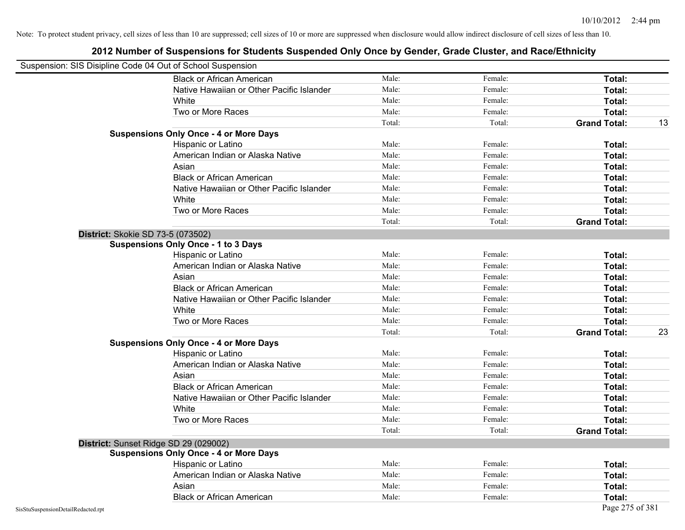| Suspension: SIS Disipline Code 04 Out of School Suspension |                                               |        |         |                           |
|------------------------------------------------------------|-----------------------------------------------|--------|---------|---------------------------|
|                                                            | <b>Black or African American</b>              | Male:  | Female: | Total:                    |
|                                                            | Native Hawaiian or Other Pacific Islander     | Male:  | Female: | Total:                    |
|                                                            | White                                         | Male:  | Female: | Total:                    |
|                                                            | Two or More Races                             | Male:  | Female: | Total:                    |
|                                                            |                                               | Total: | Total:  | <b>Grand Total:</b><br>13 |
|                                                            | <b>Suspensions Only Once - 4 or More Days</b> |        |         |                           |
|                                                            | Hispanic or Latino                            | Male:  | Female: | Total:                    |
|                                                            | American Indian or Alaska Native              | Male:  | Female: | Total:                    |
|                                                            | Asian                                         | Male:  | Female: | Total:                    |
|                                                            | <b>Black or African American</b>              | Male:  | Female: | Total:                    |
|                                                            | Native Hawaiian or Other Pacific Islander     | Male:  | Female: | Total:                    |
|                                                            | White                                         | Male:  | Female: | Total:                    |
|                                                            | Two or More Races                             | Male:  | Female: | Total:                    |
|                                                            |                                               | Total: | Total:  | <b>Grand Total:</b>       |
| District: Skokie SD 73-5 (073502)                          |                                               |        |         |                           |
|                                                            | <b>Suspensions Only Once - 1 to 3 Days</b>    |        |         |                           |
|                                                            | Hispanic or Latino                            | Male:  | Female: | Total:                    |
|                                                            | American Indian or Alaska Native              | Male:  | Female: | Total:                    |
|                                                            | Asian                                         | Male:  | Female: | Total:                    |
|                                                            | <b>Black or African American</b>              | Male:  | Female: | Total:                    |
|                                                            | Native Hawaiian or Other Pacific Islander     | Male:  | Female: | Total:                    |
|                                                            | White                                         | Male:  | Female: | Total:                    |
|                                                            | Two or More Races                             | Male:  | Female: | Total:                    |
|                                                            |                                               | Total: | Total:  | <b>Grand Total:</b><br>23 |
|                                                            | <b>Suspensions Only Once - 4 or More Days</b> |        |         |                           |
|                                                            | Hispanic or Latino                            | Male:  | Female: | Total:                    |
|                                                            | American Indian or Alaska Native              | Male:  | Female: | Total:                    |
|                                                            | Asian                                         | Male:  | Female: | Total:                    |
|                                                            | <b>Black or African American</b>              | Male:  | Female: | Total:                    |
|                                                            | Native Hawaiian or Other Pacific Islander     | Male:  | Female: | Total:                    |
|                                                            | White                                         | Male:  | Female: | Total:                    |
|                                                            | Two or More Races                             | Male:  | Female: | Total:                    |
|                                                            |                                               | Total: | Total:  | <b>Grand Total:</b>       |
|                                                            | District: Sunset Ridge SD 29 (029002)         |        |         |                           |
|                                                            | <b>Suspensions Only Once - 4 or More Days</b> |        |         |                           |
|                                                            | Hispanic or Latino                            | Male:  | Female: | Total:                    |
|                                                            | American Indian or Alaska Native              | Male:  | Female: | Total:                    |
|                                                            | Asian                                         | Male:  | Female: | Total:                    |
|                                                            | <b>Black or African American</b>              | Male:  | Female: | Total:                    |
| SisStuSuspensionDetailRedacted.rpt                         |                                               |        |         | Page 275 of 381           |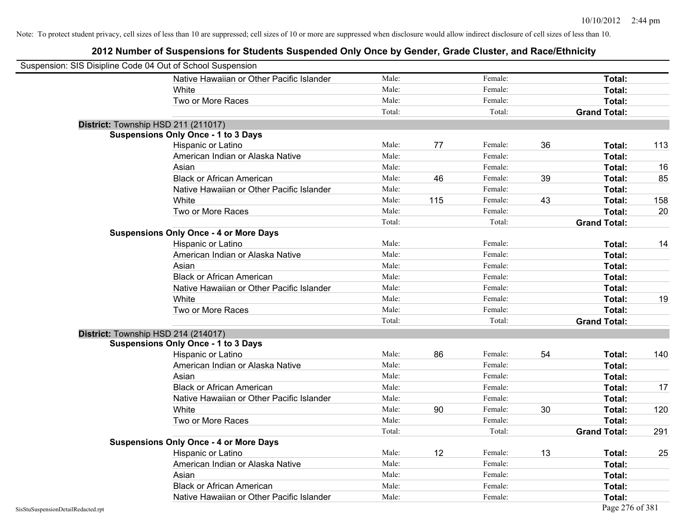|                                    | Suspension: SIS Disipline Code 04 Out of School Suspension |        |     |         |    |                     |     |
|------------------------------------|------------------------------------------------------------|--------|-----|---------|----|---------------------|-----|
|                                    | Native Hawaiian or Other Pacific Islander                  | Male:  |     | Female: |    | Total:              |     |
|                                    | White                                                      | Male:  |     | Female: |    | Total:              |     |
|                                    | Two or More Races                                          | Male:  |     | Female: |    | Total:              |     |
|                                    |                                                            | Total: |     | Total:  |    | <b>Grand Total:</b> |     |
|                                    | District: Township HSD 211 (211017)                        |        |     |         |    |                     |     |
|                                    | <b>Suspensions Only Once - 1 to 3 Days</b>                 |        |     |         |    |                     |     |
|                                    | Hispanic or Latino                                         | Male:  | 77  | Female: | 36 | Total:              | 113 |
|                                    | American Indian or Alaska Native                           | Male:  |     | Female: |    | Total:              |     |
|                                    | Asian                                                      | Male:  |     | Female: |    | Total:              | 16  |
|                                    | <b>Black or African American</b>                           | Male:  | 46  | Female: | 39 | Total:              | 85  |
|                                    | Native Hawaiian or Other Pacific Islander                  | Male:  |     | Female: |    | Total:              |     |
|                                    | White                                                      | Male:  | 115 | Female: | 43 | Total:              | 158 |
|                                    | Two or More Races                                          | Male:  |     | Female: |    | <b>Total:</b>       | 20  |
|                                    |                                                            | Total: |     | Total:  |    | <b>Grand Total:</b> |     |
|                                    | <b>Suspensions Only Once - 4 or More Days</b>              |        |     |         |    |                     |     |
|                                    | Hispanic or Latino                                         | Male:  |     | Female: |    | Total:              | 14  |
|                                    | American Indian or Alaska Native                           | Male:  |     | Female: |    | Total:              |     |
|                                    | Asian                                                      | Male:  |     | Female: |    | <b>Total:</b>       |     |
|                                    | <b>Black or African American</b>                           | Male:  |     | Female: |    | Total:              |     |
|                                    | Native Hawaiian or Other Pacific Islander                  | Male:  |     | Female: |    | Total:              |     |
|                                    | White                                                      | Male:  |     | Female: |    | Total:              | 19  |
|                                    | Two or More Races                                          | Male:  |     | Female: |    | <b>Total:</b>       |     |
|                                    |                                                            | Total: |     | Total:  |    | <b>Grand Total:</b> |     |
|                                    | District: Township HSD 214 (214017)                        |        |     |         |    |                     |     |
|                                    | <b>Suspensions Only Once - 1 to 3 Days</b>                 |        |     |         |    |                     |     |
|                                    | Hispanic or Latino                                         | Male:  | 86  | Female: | 54 | <b>Total:</b>       | 140 |
|                                    | American Indian or Alaska Native                           | Male:  |     | Female: |    | <b>Total:</b>       |     |
|                                    | Asian                                                      | Male:  |     | Female: |    | Total:              |     |
|                                    | <b>Black or African American</b>                           | Male:  |     | Female: |    | Total:              | 17  |
|                                    | Native Hawaiian or Other Pacific Islander                  | Male:  |     | Female: |    | Total:              |     |
|                                    | White                                                      | Male:  | 90  | Female: | 30 | <b>Total:</b>       | 120 |
|                                    | Two or More Races                                          | Male:  |     | Female: |    | Total:              |     |
|                                    |                                                            | Total: |     | Total:  |    | <b>Grand Total:</b> | 291 |
|                                    | <b>Suspensions Only Once - 4 or More Days</b>              |        |     |         |    |                     |     |
|                                    | Hispanic or Latino                                         | Male:  | 12  | Female: | 13 | Total:              | 25  |
|                                    | American Indian or Alaska Native                           | Male:  |     | Female: |    | Total:              |     |
|                                    | Asian                                                      | Male:  |     | Female: |    | Total:              |     |
|                                    | <b>Black or African American</b>                           | Male:  |     | Female: |    | Total:              |     |
|                                    | Native Hawaiian or Other Pacific Islander                  | Male:  |     | Female: |    | <b>Total:</b>       |     |
| SisStuSuspensionDetailRedacted.rpt |                                                            |        |     |         |    | Page 276 of 381     |     |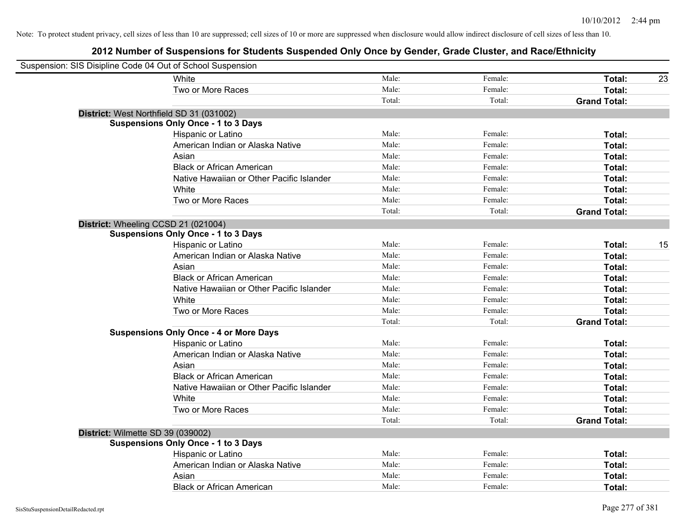| Suspension: SIS Disipline Code 04 Out of School Suspension |                                               |        |         |                     |    |
|------------------------------------------------------------|-----------------------------------------------|--------|---------|---------------------|----|
|                                                            | White                                         | Male:  | Female: | Total:              | 23 |
|                                                            | Two or More Races                             | Male:  | Female: | Total:              |    |
|                                                            |                                               | Total: | Total:  | <b>Grand Total:</b> |    |
| District: West Northfield SD 31 (031002)                   |                                               |        |         |                     |    |
|                                                            | <b>Suspensions Only Once - 1 to 3 Days</b>    |        |         |                     |    |
|                                                            | Hispanic or Latino                            | Male:  | Female: | Total:              |    |
|                                                            | American Indian or Alaska Native              | Male:  | Female: | Total:              |    |
|                                                            | Asian                                         | Male:  | Female: | Total:              |    |
|                                                            | <b>Black or African American</b>              | Male:  | Female: | Total:              |    |
|                                                            | Native Hawaiian or Other Pacific Islander     | Male:  | Female: | Total:              |    |
|                                                            | White                                         | Male:  | Female: | Total:              |    |
|                                                            | Two or More Races                             | Male:  | Female: | Total:              |    |
|                                                            |                                               | Total: | Total:  | <b>Grand Total:</b> |    |
| District: Wheeling CCSD 21 (021004)                        |                                               |        |         |                     |    |
|                                                            | <b>Suspensions Only Once - 1 to 3 Days</b>    |        |         |                     |    |
|                                                            | Hispanic or Latino                            | Male:  | Female: | Total:              | 15 |
|                                                            | American Indian or Alaska Native              | Male:  | Female: | Total:              |    |
|                                                            | Asian                                         | Male:  | Female: | Total:              |    |
|                                                            | <b>Black or African American</b>              | Male:  | Female: | Total:              |    |
|                                                            | Native Hawaiian or Other Pacific Islander     | Male:  | Female: | Total:              |    |
|                                                            | White                                         | Male:  | Female: | Total:              |    |
|                                                            | Two or More Races                             | Male:  | Female: | Total:              |    |
|                                                            |                                               | Total: | Total:  | <b>Grand Total:</b> |    |
|                                                            | <b>Suspensions Only Once - 4 or More Days</b> |        |         |                     |    |
|                                                            | Hispanic or Latino                            | Male:  | Female: | Total:              |    |
|                                                            | American Indian or Alaska Native              | Male:  | Female: | Total:              |    |
|                                                            | Asian                                         | Male:  | Female: | Total:              |    |
|                                                            | <b>Black or African American</b>              | Male:  | Female: | Total:              |    |
|                                                            | Native Hawaiian or Other Pacific Islander     | Male:  | Female: | Total:              |    |
|                                                            | White                                         | Male:  | Female: | Total:              |    |
|                                                            | Two or More Races                             | Male:  | Female: | Total:              |    |
|                                                            |                                               | Total: | Total:  | <b>Grand Total:</b> |    |
| District: Wilmette SD 39 (039002)                          |                                               |        |         |                     |    |
|                                                            | <b>Suspensions Only Once - 1 to 3 Days</b>    |        |         |                     |    |
|                                                            | Hispanic or Latino                            | Male:  | Female: | Total:              |    |
|                                                            | American Indian or Alaska Native              | Male:  | Female: | Total:              |    |
|                                                            | Asian                                         | Male:  | Female: | Total:              |    |
|                                                            | <b>Black or African American</b>              | Male:  | Female: | Total:              |    |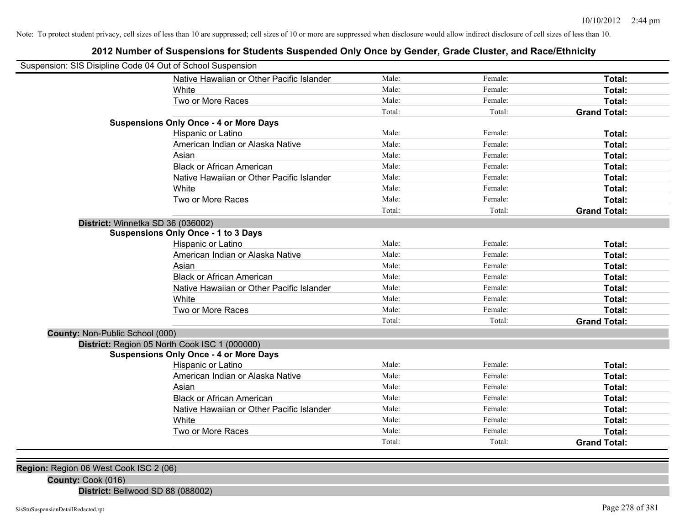## **2012 Number of Suspensions for Students Suspended Only Once by Gender, Grade Cluster, and Race/Ethnicity**

| Suspension: SIS Disipline Code 04 Out of School Suspension |                                               |        |         |                     |
|------------------------------------------------------------|-----------------------------------------------|--------|---------|---------------------|
|                                                            | Native Hawaiian or Other Pacific Islander     | Male:  | Female: | Total:              |
|                                                            | White                                         | Male:  | Female: | Total:              |
|                                                            | Two or More Races                             | Male:  | Female: | Total:              |
|                                                            |                                               | Total: | Total:  | <b>Grand Total:</b> |
|                                                            | <b>Suspensions Only Once - 4 or More Days</b> |        |         |                     |
|                                                            | Hispanic or Latino                            | Male:  | Female: | Total:              |
|                                                            | American Indian or Alaska Native              | Male:  | Female: | Total:              |
|                                                            | Asian                                         | Male:  | Female: | Total:              |
|                                                            | <b>Black or African American</b>              | Male:  | Female: | Total:              |
|                                                            | Native Hawaiian or Other Pacific Islander     | Male:  | Female: | Total:              |
|                                                            | White                                         | Male:  | Female: | Total:              |
|                                                            | Two or More Races                             | Male:  | Female: | Total:              |
|                                                            |                                               | Total: | Total:  | <b>Grand Total:</b> |
| District: Winnetka SD 36 (036002)                          |                                               |        |         |                     |
|                                                            | <b>Suspensions Only Once - 1 to 3 Days</b>    |        |         |                     |
|                                                            | Hispanic or Latino                            | Male:  | Female: | Total:              |
|                                                            | American Indian or Alaska Native              | Male:  | Female: | Total:              |
|                                                            | Asian                                         | Male:  | Female: | Total:              |
|                                                            | <b>Black or African American</b>              | Male:  | Female: | <b>Total:</b>       |
|                                                            | Native Hawaiian or Other Pacific Islander     | Male:  | Female: | <b>Total:</b>       |
|                                                            | <b>White</b>                                  | Male:  | Female: | Total:              |
|                                                            | Two or More Races                             | Male:  | Female: | Total:              |
|                                                            |                                               | Total: | Total:  | <b>Grand Total:</b> |
| County: Non-Public School (000)                            |                                               |        |         |                     |
|                                                            | District: Region 05 North Cook ISC 1 (000000) |        |         |                     |
|                                                            | <b>Suspensions Only Once - 4 or More Days</b> |        |         |                     |
|                                                            | Hispanic or Latino                            | Male:  | Female: | Total:              |
|                                                            | American Indian or Alaska Native              | Male:  | Female: | Total:              |
|                                                            | Asian                                         | Male:  | Female: | Total:              |
|                                                            | <b>Black or African American</b>              | Male:  | Female: | Total:              |
|                                                            | Native Hawaiian or Other Pacific Islander     | Male:  | Female: | Total:              |
|                                                            | White                                         | Male:  | Female: | Total:              |
|                                                            | Two or More Races                             | Male:  | Female: | Total:              |
|                                                            |                                               | Total: | Total:  | <b>Grand Total:</b> |
|                                                            |                                               |        |         |                     |

**Region:** Region 06 West Cook ISC 2 (06)

**County:** Cook (016)

**District:** Bellwood SD 88 (088002)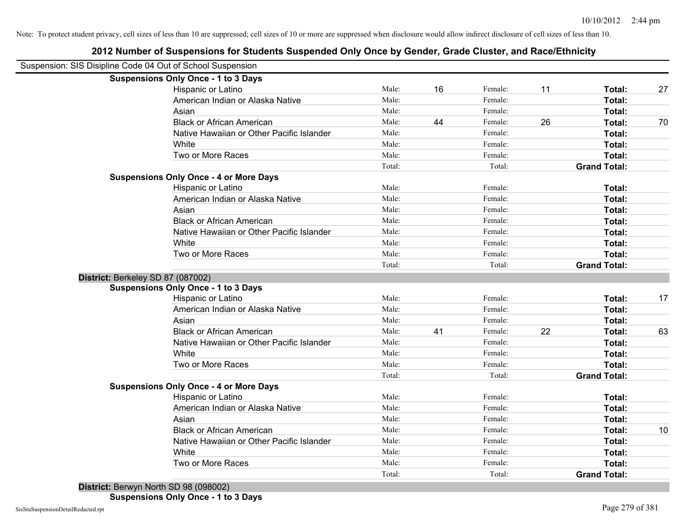| Suspension: SIS Disipline Code 04 Out of School Suspension |                                               |        |    |         |    |                     |    |
|------------------------------------------------------------|-----------------------------------------------|--------|----|---------|----|---------------------|----|
|                                                            | <b>Suspensions Only Once - 1 to 3 Days</b>    |        |    |         |    |                     |    |
|                                                            | Hispanic or Latino                            | Male:  | 16 | Female: | 11 | Total:              | 27 |
|                                                            | American Indian or Alaska Native              | Male:  |    | Female: |    | Total:              |    |
|                                                            | Asian                                         | Male:  |    | Female: |    | Total:              |    |
|                                                            | <b>Black or African American</b>              | Male:  | 44 | Female: | 26 | Total:              | 70 |
|                                                            | Native Hawaiian or Other Pacific Islander     | Male:  |    | Female: |    | Total:              |    |
|                                                            | White                                         | Male:  |    | Female: |    | Total:              |    |
|                                                            | Two or More Races                             | Male:  |    | Female: |    | Total:              |    |
|                                                            |                                               | Total: |    | Total:  |    | <b>Grand Total:</b> |    |
|                                                            | <b>Suspensions Only Once - 4 or More Days</b> |        |    |         |    |                     |    |
|                                                            | Hispanic or Latino                            | Male:  |    | Female: |    | Total:              |    |
|                                                            | American Indian or Alaska Native              | Male:  |    | Female: |    | Total:              |    |
|                                                            | Asian                                         | Male:  |    | Female: |    | Total:              |    |
|                                                            | <b>Black or African American</b>              | Male:  |    | Female: |    | Total:              |    |
|                                                            | Native Hawaiian or Other Pacific Islander     | Male:  |    | Female: |    | Total:              |    |
|                                                            | White                                         | Male:  |    | Female: |    | Total:              |    |
|                                                            | Two or More Races                             | Male:  |    | Female: |    | Total:              |    |
|                                                            |                                               | Total: |    | Total:  |    | <b>Grand Total:</b> |    |
| District: Berkeley SD 87 (087002)                          |                                               |        |    |         |    |                     |    |
|                                                            | <b>Suspensions Only Once - 1 to 3 Days</b>    |        |    |         |    |                     |    |
|                                                            | Hispanic or Latino                            | Male:  |    | Female: |    | Total:              | 17 |
|                                                            | American Indian or Alaska Native              | Male:  |    | Female: |    | Total:              |    |
|                                                            | Asian                                         | Male:  |    | Female: |    | Total:              |    |
|                                                            | <b>Black or African American</b>              | Male:  | 41 | Female: | 22 | Total:              | 63 |
|                                                            | Native Hawaiian or Other Pacific Islander     | Male:  |    | Female: |    | Total:              |    |
|                                                            | White                                         | Male:  |    | Female: |    | Total:              |    |
|                                                            | Two or More Races                             | Male:  |    | Female: |    | Total:              |    |
|                                                            |                                               | Total: |    | Total:  |    | <b>Grand Total:</b> |    |
|                                                            | <b>Suspensions Only Once - 4 or More Days</b> |        |    |         |    |                     |    |
|                                                            | Hispanic or Latino                            | Male:  |    | Female: |    | Total:              |    |
|                                                            | American Indian or Alaska Native              | Male:  |    | Female: |    | Total:              |    |
|                                                            | Asian                                         | Male:  |    | Female: |    | Total:              |    |
|                                                            | <b>Black or African American</b>              | Male:  |    | Female: |    | Total:              | 10 |
|                                                            | Native Hawaiian or Other Pacific Islander     | Male:  |    | Female: |    | Total:              |    |
|                                                            | White                                         | Male:  |    | Female: |    | Total:              |    |
|                                                            | Two or More Races                             | Male:  |    | Female: |    | Total:              |    |
|                                                            |                                               | Total: |    | Total:  |    | <b>Grand Total:</b> |    |
|                                                            |                                               |        |    |         |    |                     |    |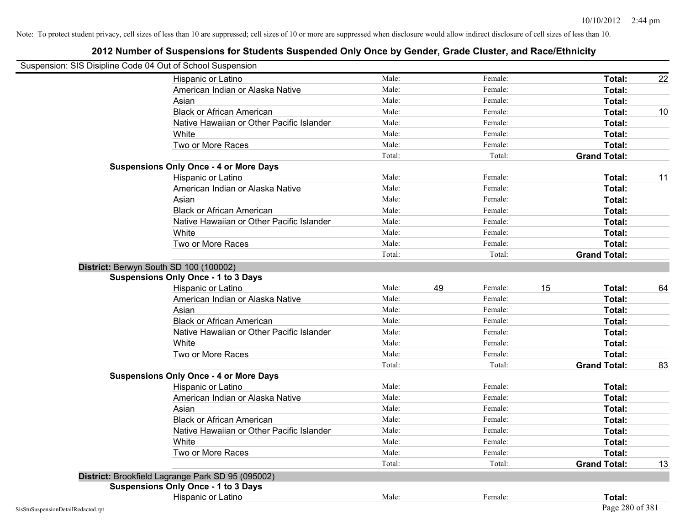| Suspension: SIS Disipline Code 04 Out of School Suspension |                                                   |        |               |        |                     |    |
|------------------------------------------------------------|---------------------------------------------------|--------|---------------|--------|---------------------|----|
|                                                            | Hispanic or Latino                                | Male:  | Female:       |        | Total:              | 22 |
|                                                            | American Indian or Alaska Native                  | Male:  | Female:       |        | Total:              |    |
|                                                            | Asian                                             | Male:  | Female:       |        | Total:              |    |
|                                                            | <b>Black or African American</b>                  | Male:  | Female:       |        | Total:              | 10 |
|                                                            | Native Hawaiian or Other Pacific Islander         | Male:  | Female:       |        | Total:              |    |
|                                                            | White                                             | Male:  | Female:       |        | Total:              |    |
|                                                            | Two or More Races                                 | Male:  | Female:       |        | Total:              |    |
|                                                            |                                                   | Total: |               | Total: | <b>Grand Total:</b> |    |
|                                                            | <b>Suspensions Only Once - 4 or More Days</b>     |        |               |        |                     |    |
|                                                            | Hispanic or Latino                                | Male:  | Female:       |        | Total:              | 11 |
|                                                            | American Indian or Alaska Native                  | Male:  | Female:       |        | Total:              |    |
|                                                            | Asian                                             | Male:  | Female:       |        | Total:              |    |
|                                                            | <b>Black or African American</b>                  | Male:  | Female:       |        | Total:              |    |
|                                                            | Native Hawaiian or Other Pacific Islander         | Male:  | Female:       |        | Total:              |    |
|                                                            | White                                             | Male:  | Female:       |        | Total:              |    |
|                                                            | Two or More Races                                 | Male:  | Female:       |        | Total:              |    |
|                                                            |                                                   | Total: |               | Total: | <b>Grand Total:</b> |    |
|                                                            | District: Berwyn South SD 100 (100002)            |        |               |        |                     |    |
|                                                            | <b>Suspensions Only Once - 1 to 3 Days</b>        |        |               |        |                     |    |
|                                                            | Hispanic or Latino                                | Male:  | 49<br>Female: |        | 15<br>Total:        | 64 |
|                                                            | American Indian or Alaska Native                  | Male:  | Female:       |        | Total:              |    |
|                                                            | Asian                                             | Male:  | Female:       |        | Total:              |    |
|                                                            | <b>Black or African American</b>                  | Male:  | Female:       |        | Total:              |    |
|                                                            | Native Hawaiian or Other Pacific Islander         | Male:  | Female:       |        | Total:              |    |
|                                                            | White                                             | Male:  | Female:       |        | Total:              |    |
|                                                            | Two or More Races                                 | Male:  | Female:       |        | Total:              |    |
|                                                            |                                                   | Total: |               | Total: | <b>Grand Total:</b> | 83 |
|                                                            | <b>Suspensions Only Once - 4 or More Days</b>     |        |               |        |                     |    |
|                                                            | Hispanic or Latino                                | Male:  | Female:       |        | Total:              |    |
|                                                            | American Indian or Alaska Native                  | Male:  | Female:       |        | Total:              |    |
|                                                            | Asian                                             | Male:  | Female:       |        | Total:              |    |
|                                                            | <b>Black or African American</b>                  | Male:  | Female:       |        | Total:              |    |
|                                                            | Native Hawaiian or Other Pacific Islander         | Male:  | Female:       |        | Total:              |    |
|                                                            | White                                             | Male:  | Female:       |        | Total:              |    |
|                                                            | Two or More Races                                 | Male:  | Female:       |        | Total:              |    |
|                                                            |                                                   | Total: |               | Total: | <b>Grand Total:</b> | 13 |
|                                                            | District: Brookfield Lagrange Park SD 95 (095002) |        |               |        |                     |    |
|                                                            | <b>Suspensions Only Once - 1 to 3 Days</b>        |        |               |        |                     |    |
|                                                            | Hispanic or Latino                                | Male:  | Female:       |        | Total:              |    |
| SisStuSuspensionDetailRedacted.rpt                         |                                                   |        |               |        | Page 280 of 381     |    |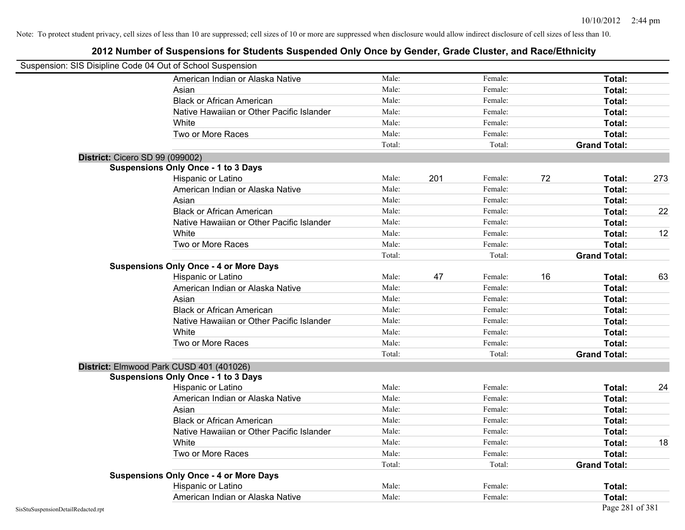| Suspension: SIS Disipline Code 04 Out of School Suspension |                                               |        |     |         |    |                     |     |
|------------------------------------------------------------|-----------------------------------------------|--------|-----|---------|----|---------------------|-----|
|                                                            | American Indian or Alaska Native              | Male:  |     | Female: |    | Total:              |     |
|                                                            | Asian                                         | Male:  |     | Female: |    | Total:              |     |
|                                                            | <b>Black or African American</b>              | Male:  |     | Female: |    | Total:              |     |
|                                                            | Native Hawaiian or Other Pacific Islander     | Male:  |     | Female: |    | Total:              |     |
|                                                            | White                                         | Male:  |     | Female: |    | Total:              |     |
|                                                            | Two or More Races                             | Male:  |     | Female: |    | Total:              |     |
|                                                            |                                               | Total: |     | Total:  |    | <b>Grand Total:</b> |     |
| District: Cicero SD 99 (099002)                            |                                               |        |     |         |    |                     |     |
|                                                            | <b>Suspensions Only Once - 1 to 3 Days</b>    |        |     |         |    |                     |     |
|                                                            | Hispanic or Latino                            | Male:  | 201 | Female: | 72 | Total:              | 273 |
|                                                            | American Indian or Alaska Native              | Male:  |     | Female: |    | Total:              |     |
|                                                            | Asian                                         | Male:  |     | Female: |    | Total:              |     |
|                                                            | <b>Black or African American</b>              | Male:  |     | Female: |    | Total:              | 22  |
|                                                            | Native Hawaiian or Other Pacific Islander     | Male:  |     | Female: |    | Total:              |     |
|                                                            | White                                         | Male:  |     | Female: |    | Total:              | 12  |
|                                                            | Two or More Races                             | Male:  |     | Female: |    | Total:              |     |
|                                                            |                                               | Total: |     | Total:  |    | <b>Grand Total:</b> |     |
|                                                            | <b>Suspensions Only Once - 4 or More Days</b> |        |     |         |    |                     |     |
|                                                            | Hispanic or Latino                            | Male:  | 47  | Female: | 16 | Total:              | 63  |
|                                                            | American Indian or Alaska Native              | Male:  |     | Female: |    | Total:              |     |
|                                                            | Asian                                         | Male:  |     | Female: |    | Total:              |     |
|                                                            | <b>Black or African American</b>              | Male:  |     | Female: |    | Total:              |     |
|                                                            | Native Hawaiian or Other Pacific Islander     | Male:  |     | Female: |    | Total:              |     |
|                                                            | White                                         | Male:  |     | Female: |    | Total:              |     |
|                                                            | Two or More Races                             | Male:  |     | Female: |    | Total:              |     |
|                                                            |                                               | Total: |     | Total:  |    | <b>Grand Total:</b> |     |
|                                                            | District: Elmwood Park CUSD 401 (401026)      |        |     |         |    |                     |     |
|                                                            | <b>Suspensions Only Once - 1 to 3 Days</b>    |        |     |         |    |                     |     |
|                                                            | Hispanic or Latino                            | Male:  |     | Female: |    | Total:              | 24  |
|                                                            | American Indian or Alaska Native              | Male:  |     | Female: |    | Total:              |     |
|                                                            | Asian                                         | Male:  |     | Female: |    | Total:              |     |
|                                                            | <b>Black or African American</b>              | Male:  |     | Female: |    | Total:              |     |
|                                                            | Native Hawaiian or Other Pacific Islander     | Male:  |     | Female: |    | Total:              |     |
|                                                            | White                                         | Male:  |     | Female: |    | Total:              | 18  |
|                                                            | Two or More Races                             | Male:  |     | Female: |    | Total:              |     |
|                                                            |                                               | Total: |     | Total:  |    | <b>Grand Total:</b> |     |
|                                                            | <b>Suspensions Only Once - 4 or More Days</b> |        |     |         |    |                     |     |
|                                                            | Hispanic or Latino                            | Male:  |     | Female: |    | <b>Total:</b>       |     |
|                                                            | American Indian or Alaska Native              | Male:  |     | Female: |    | Total:              |     |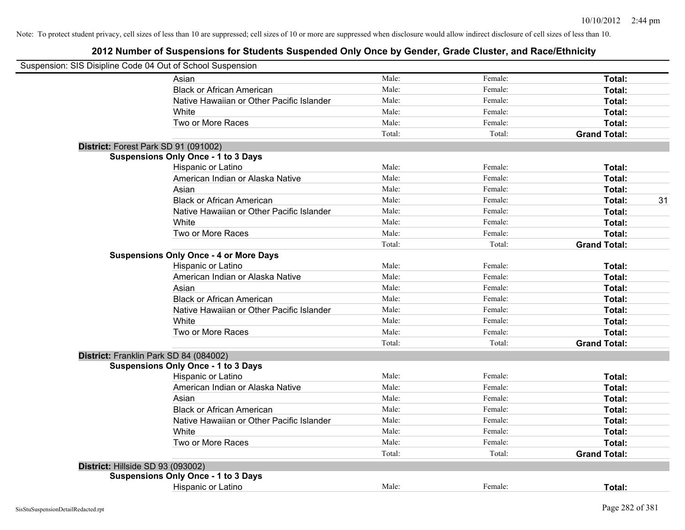| Suspension: SIS Disipline Code 04 Out of School Suspension |                                               |        |         |                     |    |
|------------------------------------------------------------|-----------------------------------------------|--------|---------|---------------------|----|
|                                                            | Asian                                         | Male:  | Female: | Total:              |    |
|                                                            | <b>Black or African American</b>              | Male:  | Female: | Total:              |    |
|                                                            | Native Hawaiian or Other Pacific Islander     | Male:  | Female: | Total:              |    |
|                                                            | White                                         | Male:  | Female: | Total:              |    |
|                                                            | Two or More Races                             | Male:  | Female: | Total:              |    |
|                                                            |                                               | Total: | Total:  | <b>Grand Total:</b> |    |
| District: Forest Park SD 91 (091002)                       |                                               |        |         |                     |    |
|                                                            | <b>Suspensions Only Once - 1 to 3 Days</b>    |        |         |                     |    |
|                                                            | Hispanic or Latino                            | Male:  | Female: | Total:              |    |
|                                                            | American Indian or Alaska Native              | Male:  | Female: | Total:              |    |
|                                                            | Asian                                         | Male:  | Female: | Total:              |    |
|                                                            | <b>Black or African American</b>              | Male:  | Female: | Total:              | 31 |
|                                                            | Native Hawaiian or Other Pacific Islander     | Male:  | Female: | Total:              |    |
|                                                            | White                                         | Male:  | Female: | Total:              |    |
|                                                            | Two or More Races                             | Male:  | Female: | Total:              |    |
|                                                            |                                               | Total: | Total:  | <b>Grand Total:</b> |    |
|                                                            | <b>Suspensions Only Once - 4 or More Days</b> |        |         |                     |    |
|                                                            | Hispanic or Latino                            | Male:  | Female: | Total:              |    |
|                                                            | American Indian or Alaska Native              | Male:  | Female: | Total:              |    |
|                                                            | Asian                                         | Male:  | Female: | Total:              |    |
|                                                            | <b>Black or African American</b>              | Male:  | Female: | Total:              |    |
|                                                            | Native Hawaiian or Other Pacific Islander     | Male:  | Female: | Total:              |    |
|                                                            | White                                         | Male:  | Female: | Total:              |    |
|                                                            | Two or More Races                             | Male:  | Female: | Total:              |    |
|                                                            |                                               | Total: | Total:  | <b>Grand Total:</b> |    |
| District: Franklin Park SD 84 (084002)                     |                                               |        |         |                     |    |
|                                                            | <b>Suspensions Only Once - 1 to 3 Days</b>    |        |         |                     |    |
|                                                            | Hispanic or Latino                            | Male:  | Female: | Total:              |    |
|                                                            | American Indian or Alaska Native              | Male:  | Female: | Total:              |    |
|                                                            | Asian                                         | Male:  | Female: | Total:              |    |
|                                                            | <b>Black or African American</b>              | Male:  | Female: | Total:              |    |
|                                                            | Native Hawaiian or Other Pacific Islander     | Male:  | Female: | Total:              |    |
|                                                            | White                                         | Male:  | Female: | Total:              |    |
|                                                            | Two or More Races                             | Male:  | Female: | Total:              |    |
|                                                            |                                               | Total: | Total:  | <b>Grand Total:</b> |    |
| District: Hillside SD 93 (093002)                          |                                               |        |         |                     |    |
|                                                            | <b>Suspensions Only Once - 1 to 3 Days</b>    |        |         |                     |    |
|                                                            | Hispanic or Latino                            | Male:  | Female: | Total:              |    |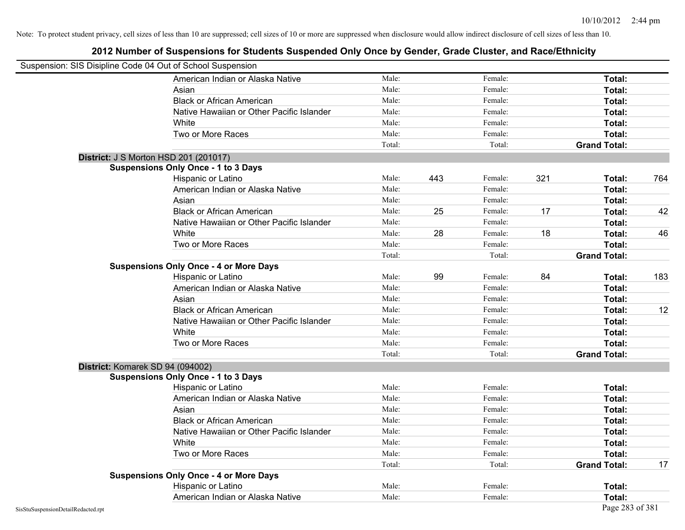| Suspension: SIS Disipline Code 04 Out of School Suspension |                                               |        |     |         |     |                     |     |
|------------------------------------------------------------|-----------------------------------------------|--------|-----|---------|-----|---------------------|-----|
|                                                            | American Indian or Alaska Native              | Male:  |     | Female: |     | Total:              |     |
|                                                            | Asian                                         | Male:  |     | Female: |     | Total:              |     |
|                                                            | <b>Black or African American</b>              | Male:  |     | Female: |     | Total:              |     |
|                                                            | Native Hawaiian or Other Pacific Islander     | Male:  |     | Female: |     | Total:              |     |
|                                                            | White                                         | Male:  |     | Female: |     | Total:              |     |
|                                                            | Two or More Races                             | Male:  |     | Female: |     | Total:              |     |
|                                                            |                                               | Total: |     | Total:  |     | <b>Grand Total:</b> |     |
|                                                            | <b>District: J S Morton HSD 201 (201017)</b>  |        |     |         |     |                     |     |
|                                                            | <b>Suspensions Only Once - 1 to 3 Days</b>    |        |     |         |     |                     |     |
|                                                            | Hispanic or Latino                            | Male:  | 443 | Female: | 321 | Total:              | 764 |
|                                                            | American Indian or Alaska Native              | Male:  |     | Female: |     | Total:              |     |
|                                                            | Asian                                         | Male:  |     | Female: |     | Total:              |     |
|                                                            | <b>Black or African American</b>              | Male:  | 25  | Female: | 17  | Total:              | 42  |
|                                                            | Native Hawaiian or Other Pacific Islander     | Male:  |     | Female: |     | Total:              |     |
|                                                            | White                                         | Male:  | 28  | Female: | 18  | Total:              | 46  |
|                                                            | Two or More Races                             | Male:  |     | Female: |     | Total:              |     |
|                                                            |                                               | Total: |     | Total:  |     | <b>Grand Total:</b> |     |
|                                                            | <b>Suspensions Only Once - 4 or More Days</b> |        |     |         |     |                     |     |
|                                                            | Hispanic or Latino                            | Male:  | 99  | Female: | 84  | Total:              | 183 |
|                                                            | American Indian or Alaska Native              | Male:  |     | Female: |     | Total:              |     |
|                                                            | Asian                                         | Male:  |     | Female: |     | Total:              |     |
|                                                            | <b>Black or African American</b>              | Male:  |     | Female: |     | Total:              | 12  |
|                                                            | Native Hawaiian or Other Pacific Islander     | Male:  |     | Female: |     | Total:              |     |
|                                                            | White                                         | Male:  |     | Female: |     | Total:              |     |
|                                                            | Two or More Races                             | Male:  |     | Female: |     | Total:              |     |
|                                                            |                                               | Total: |     | Total:  |     | <b>Grand Total:</b> |     |
| District: Komarek SD 94 (094002)                           |                                               |        |     |         |     |                     |     |
|                                                            | <b>Suspensions Only Once - 1 to 3 Days</b>    |        |     |         |     |                     |     |
|                                                            | Hispanic or Latino                            | Male:  |     | Female: |     | Total:              |     |
|                                                            | American Indian or Alaska Native              | Male:  |     | Female: |     | Total:              |     |
|                                                            | Asian                                         | Male:  |     | Female: |     | Total:              |     |
|                                                            | <b>Black or African American</b>              | Male:  |     | Female: |     | Total:              |     |
|                                                            | Native Hawaiian or Other Pacific Islander     | Male:  |     | Female: |     | Total:              |     |
|                                                            | White                                         | Male:  |     | Female: |     | Total:              |     |
|                                                            | Two or More Races                             | Male:  |     | Female: |     | Total:              |     |
|                                                            |                                               | Total: |     | Total:  |     | <b>Grand Total:</b> | 17  |
|                                                            | <b>Suspensions Only Once - 4 or More Days</b> |        |     |         |     |                     |     |
|                                                            | Hispanic or Latino                            | Male:  |     | Female: |     | Total:              |     |
|                                                            | American Indian or Alaska Native              | Male:  |     | Female: |     | Total:              |     |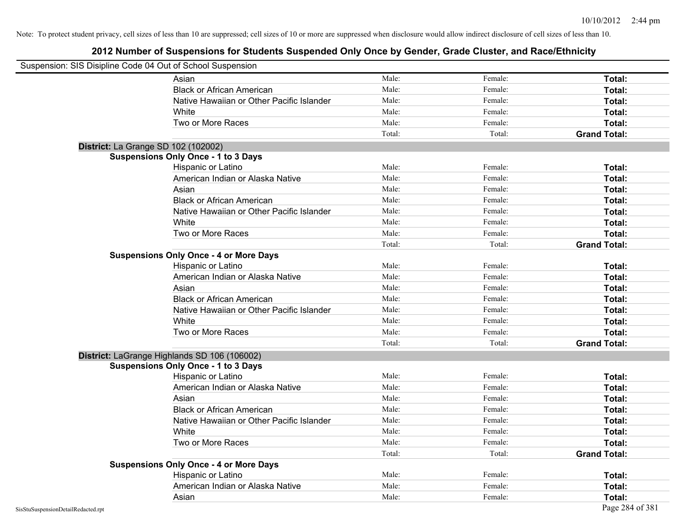| Suspension: SIS Disipline Code 04 Out of School Suspension |                                               |        |         |                     |
|------------------------------------------------------------|-----------------------------------------------|--------|---------|---------------------|
|                                                            | Asian                                         | Male:  | Female: | Total:              |
|                                                            | <b>Black or African American</b>              | Male:  | Female: | Total:              |
|                                                            | Native Hawaiian or Other Pacific Islander     | Male:  | Female: | Total:              |
|                                                            | White                                         | Male:  | Female: | Total:              |
|                                                            | Two or More Races                             | Male:  | Female: | Total:              |
|                                                            |                                               | Total: | Total:  | <b>Grand Total:</b> |
|                                                            | <b>District:</b> La Grange SD 102 (102002)    |        |         |                     |
|                                                            | <b>Suspensions Only Once - 1 to 3 Days</b>    |        |         |                     |
|                                                            | Hispanic or Latino                            | Male:  | Female: | Total:              |
|                                                            | American Indian or Alaska Native              | Male:  | Female: | Total:              |
|                                                            | Asian                                         | Male:  | Female: | Total:              |
|                                                            | <b>Black or African American</b>              | Male:  | Female: | Total:              |
|                                                            | Native Hawaiian or Other Pacific Islander     | Male:  | Female: | Total:              |
|                                                            | White                                         | Male:  | Female: | Total:              |
|                                                            | Two or More Races                             | Male:  | Female: | Total:              |
|                                                            |                                               | Total: | Total:  | <b>Grand Total:</b> |
|                                                            | <b>Suspensions Only Once - 4 or More Days</b> |        |         |                     |
|                                                            | Hispanic or Latino                            | Male:  | Female: | Total:              |
|                                                            | American Indian or Alaska Native              | Male:  | Female: | Total:              |
|                                                            | Asian                                         | Male:  | Female: | Total:              |
|                                                            | <b>Black or African American</b>              | Male:  | Female: | Total:              |
|                                                            | Native Hawaiian or Other Pacific Islander     | Male:  | Female: | Total:              |
|                                                            | White                                         | Male:  | Female: | Total:              |
|                                                            | Two or More Races                             | Male:  | Female: | Total:              |
|                                                            |                                               | Total: | Total:  | <b>Grand Total:</b> |
|                                                            | District: LaGrange Highlands SD 106 (106002)  |        |         |                     |
|                                                            | <b>Suspensions Only Once - 1 to 3 Days</b>    |        |         |                     |
|                                                            | Hispanic or Latino                            | Male:  | Female: | Total:              |
|                                                            | American Indian or Alaska Native              | Male:  | Female: | Total:              |
|                                                            | Asian                                         | Male:  | Female: | Total:              |
|                                                            | <b>Black or African American</b>              | Male:  | Female: | Total:              |
|                                                            | Native Hawaiian or Other Pacific Islander     | Male:  | Female: | Total:              |
|                                                            | White                                         | Male:  | Female: | Total:              |
|                                                            | Two or More Races                             | Male:  | Female: | Total:              |
|                                                            |                                               | Total: | Total:  | <b>Grand Total:</b> |
|                                                            | <b>Suspensions Only Once - 4 or More Days</b> |        |         |                     |
|                                                            | Hispanic or Latino                            | Male:  | Female: | Total:              |
|                                                            | American Indian or Alaska Native              | Male:  | Female: | Total:              |
|                                                            | Asian                                         | Male:  | Female: | Total:              |
| SisStuSuspensionDetailRedacted.rpt                         |                                               |        |         | Page 284 of 381     |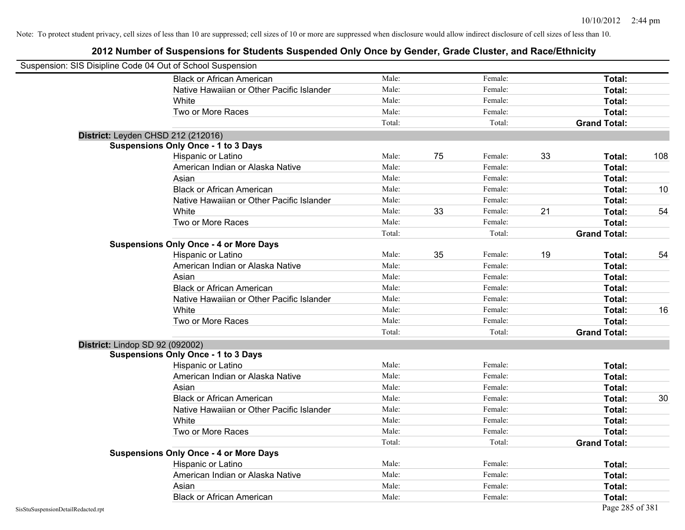| Suspension: SIS Disipline Code 04 Out of School Suspension |                                               |        |    |         |    |                     |     |
|------------------------------------------------------------|-----------------------------------------------|--------|----|---------|----|---------------------|-----|
|                                                            | <b>Black or African American</b>              | Male:  |    | Female: |    | Total:              |     |
|                                                            | Native Hawaiian or Other Pacific Islander     | Male:  |    | Female: |    | Total:              |     |
|                                                            | White                                         | Male:  |    | Female: |    | Total:              |     |
|                                                            | Two or More Races                             | Male:  |    | Female: |    | Total:              |     |
|                                                            |                                               | Total: |    | Total:  |    | <b>Grand Total:</b> |     |
|                                                            | District: Leyden CHSD 212 (212016)            |        |    |         |    |                     |     |
|                                                            | <b>Suspensions Only Once - 1 to 3 Days</b>    |        |    |         |    |                     |     |
|                                                            | Hispanic or Latino                            | Male:  | 75 | Female: | 33 | Total:              | 108 |
|                                                            | American Indian or Alaska Native              | Male:  |    | Female: |    | Total:              |     |
|                                                            | Asian                                         | Male:  |    | Female: |    | Total:              |     |
|                                                            | <b>Black or African American</b>              | Male:  |    | Female: |    | Total:              | 10  |
|                                                            | Native Hawaiian or Other Pacific Islander     | Male:  |    | Female: |    | Total:              |     |
|                                                            | White                                         | Male:  | 33 | Female: | 21 | Total:              | 54  |
|                                                            | Two or More Races                             | Male:  |    | Female: |    | Total:              |     |
|                                                            |                                               | Total: |    | Total:  |    | <b>Grand Total:</b> |     |
|                                                            | <b>Suspensions Only Once - 4 or More Days</b> |        |    |         |    |                     |     |
|                                                            | Hispanic or Latino                            | Male:  | 35 | Female: | 19 | Total:              | 54  |
|                                                            | American Indian or Alaska Native              | Male:  |    | Female: |    | Total:              |     |
|                                                            | Asian                                         | Male:  |    | Female: |    | Total:              |     |
|                                                            | <b>Black or African American</b>              | Male:  |    | Female: |    | Total:              |     |
|                                                            | Native Hawaiian or Other Pacific Islander     | Male:  |    | Female: |    | Total:              |     |
|                                                            | White                                         | Male:  |    | Female: |    | Total:              | 16  |
|                                                            | Two or More Races                             | Male:  |    | Female: |    | Total:              |     |
|                                                            |                                               | Total: |    | Total:  |    | <b>Grand Total:</b> |     |
| District: Lindop SD 92 (092002)                            |                                               |        |    |         |    |                     |     |
|                                                            | <b>Suspensions Only Once - 1 to 3 Days</b>    |        |    |         |    |                     |     |
|                                                            | Hispanic or Latino                            | Male:  |    | Female: |    | Total:              |     |
|                                                            | American Indian or Alaska Native              | Male:  |    | Female: |    | Total:              |     |
|                                                            | Asian                                         | Male:  |    | Female: |    | Total:              |     |
|                                                            | <b>Black or African American</b>              | Male:  |    | Female: |    | Total:              | 30  |
|                                                            | Native Hawaiian or Other Pacific Islander     | Male:  |    | Female: |    | Total:              |     |
|                                                            | White                                         | Male:  |    | Female: |    | Total:              |     |
|                                                            | Two or More Races                             | Male:  |    | Female: |    | Total:              |     |
|                                                            |                                               | Total: |    | Total:  |    | <b>Grand Total:</b> |     |
|                                                            | <b>Suspensions Only Once - 4 or More Days</b> |        |    |         |    |                     |     |
|                                                            | Hispanic or Latino                            | Male:  |    | Female: |    | Total:              |     |
|                                                            | American Indian or Alaska Native              | Male:  |    | Female: |    | Total:              |     |
|                                                            | Asian                                         | Male:  |    | Female: |    | Total:              |     |
|                                                            | <b>Black or African American</b>              | Male:  |    | Female: |    | Total:              |     |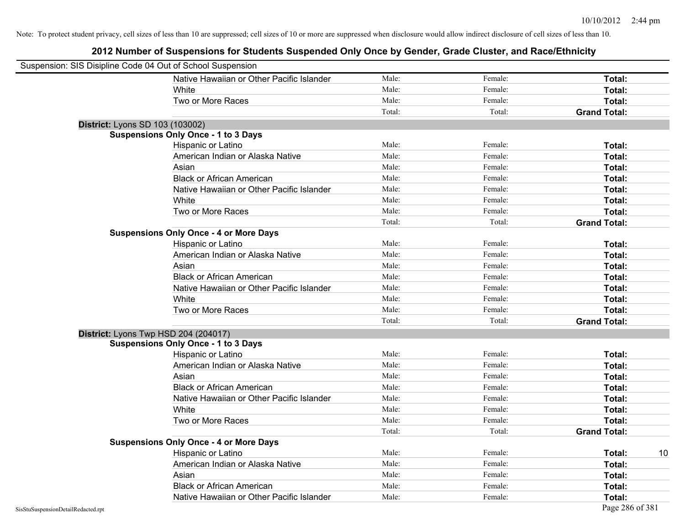| Suspension: SIS Disipline Code 04 Out of School Suspension |                                               |        |         |                     |    |
|------------------------------------------------------------|-----------------------------------------------|--------|---------|---------------------|----|
|                                                            | Native Hawaiian or Other Pacific Islander     | Male:  | Female: | Total:              |    |
|                                                            | White                                         | Male:  | Female: | Total:              |    |
|                                                            | Two or More Races                             | Male:  | Female: | Total:              |    |
|                                                            |                                               | Total: | Total:  | <b>Grand Total:</b> |    |
|                                                            | District: Lyons SD 103 (103002)               |        |         |                     |    |
|                                                            | <b>Suspensions Only Once - 1 to 3 Days</b>    |        |         |                     |    |
|                                                            | Hispanic or Latino                            | Male:  | Female: | <b>Total:</b>       |    |
|                                                            | American Indian or Alaska Native              | Male:  | Female: | <b>Total:</b>       |    |
|                                                            | Asian                                         | Male:  | Female: | Total:              |    |
|                                                            | <b>Black or African American</b>              | Male:  | Female: | Total:              |    |
|                                                            | Native Hawaiian or Other Pacific Islander     | Male:  | Female: | <b>Total:</b>       |    |
|                                                            | White                                         | Male:  | Female: | <b>Total:</b>       |    |
|                                                            | Two or More Races                             | Male:  | Female: | <b>Total:</b>       |    |
|                                                            |                                               | Total: | Total:  | <b>Grand Total:</b> |    |
|                                                            | <b>Suspensions Only Once - 4 or More Days</b> |        |         |                     |    |
|                                                            | Hispanic or Latino                            | Male:  | Female: | Total:              |    |
|                                                            | American Indian or Alaska Native              | Male:  | Female: | <b>Total:</b>       |    |
|                                                            | Asian                                         | Male:  | Female: | Total:              |    |
|                                                            | <b>Black or African American</b>              | Male:  | Female: | Total:              |    |
|                                                            | Native Hawaiian or Other Pacific Islander     | Male:  | Female: | Total:              |    |
|                                                            | White                                         | Male:  | Female: | Total:              |    |
|                                                            | Two or More Races                             | Male:  | Female: | Total:              |    |
|                                                            |                                               | Total: | Total:  | <b>Grand Total:</b> |    |
|                                                            | District: Lyons Twp HSD 204 (204017)          |        |         |                     |    |
|                                                            | <b>Suspensions Only Once - 1 to 3 Days</b>    |        |         |                     |    |
|                                                            | Hispanic or Latino                            | Male:  | Female: | Total:              |    |
|                                                            | American Indian or Alaska Native              | Male:  | Female: | <b>Total:</b>       |    |
|                                                            | Asian                                         | Male:  | Female: | Total:              |    |
|                                                            | <b>Black or African American</b>              | Male:  | Female: | Total:              |    |
|                                                            | Native Hawaiian or Other Pacific Islander     | Male:  | Female: | <b>Total:</b>       |    |
|                                                            | White                                         | Male:  | Female: | Total:              |    |
|                                                            | Two or More Races                             | Male:  | Female: | Total:              |    |
|                                                            |                                               | Total: | Total:  | <b>Grand Total:</b> |    |
|                                                            | <b>Suspensions Only Once - 4 or More Days</b> |        |         |                     |    |
|                                                            | Hispanic or Latino                            | Male:  | Female: | Total:              | 10 |
|                                                            | American Indian or Alaska Native              | Male:  | Female: | Total:              |    |
|                                                            | Asian                                         | Male:  | Female: | Total:              |    |
|                                                            | <b>Black or African American</b>              | Male:  | Female: | Total:              |    |
|                                                            | Native Hawaiian or Other Pacific Islander     | Male:  | Female: | <b>Total:</b>       |    |
| SisStuSuspensionDetailRedacted.rpt                         |                                               |        |         | Page 286 of 381     |    |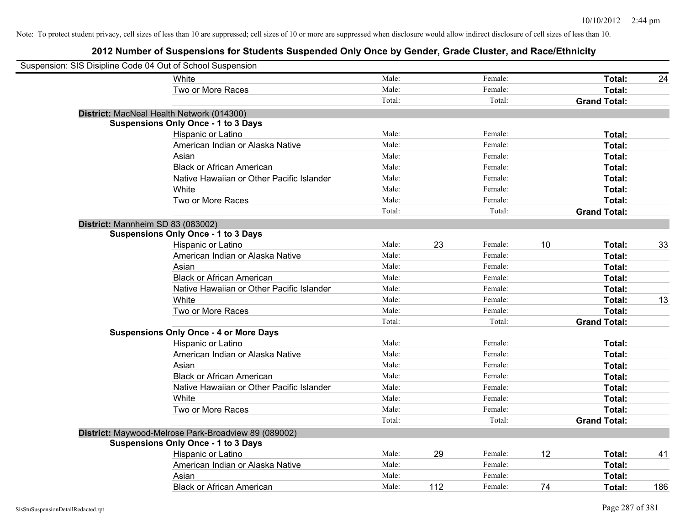| Suspension: SIS Disipline Code 04 Out of School Suspension |                                                      |        |     |         |    |                     |     |
|------------------------------------------------------------|------------------------------------------------------|--------|-----|---------|----|---------------------|-----|
|                                                            | White                                                | Male:  |     | Female: |    | Total:              | 24  |
|                                                            | Two or More Races                                    | Male:  |     | Female: |    | Total:              |     |
|                                                            |                                                      | Total: |     | Total:  |    | <b>Grand Total:</b> |     |
|                                                            | District: MacNeal Health Network (014300)            |        |     |         |    |                     |     |
|                                                            | <b>Suspensions Only Once - 1 to 3 Days</b>           |        |     |         |    |                     |     |
|                                                            | Hispanic or Latino                                   | Male:  |     | Female: |    | Total:              |     |
|                                                            | American Indian or Alaska Native                     | Male:  |     | Female: |    | Total:              |     |
|                                                            | Asian                                                | Male:  |     | Female: |    | Total:              |     |
|                                                            | <b>Black or African American</b>                     | Male:  |     | Female: |    | Total:              |     |
|                                                            | Native Hawaiian or Other Pacific Islander            | Male:  |     | Female: |    | Total:              |     |
|                                                            | White                                                | Male:  |     | Female: |    | Total:              |     |
|                                                            | Two or More Races                                    | Male:  |     | Female: |    | Total:              |     |
|                                                            |                                                      | Total: |     | Total:  |    | <b>Grand Total:</b> |     |
| District: Mannheim SD 83 (083002)                          |                                                      |        |     |         |    |                     |     |
|                                                            | <b>Suspensions Only Once - 1 to 3 Days</b>           |        |     |         |    |                     |     |
|                                                            | Hispanic or Latino                                   | Male:  | 23  | Female: | 10 | Total:              | 33  |
|                                                            | American Indian or Alaska Native                     | Male:  |     | Female: |    | Total:              |     |
|                                                            | Asian                                                | Male:  |     | Female: |    | Total:              |     |
|                                                            | <b>Black or African American</b>                     | Male:  |     | Female: |    | Total:              |     |
|                                                            | Native Hawaiian or Other Pacific Islander            | Male:  |     | Female: |    | Total:              |     |
|                                                            | White                                                | Male:  |     | Female: |    | Total:              | 13  |
|                                                            | Two or More Races                                    | Male:  |     | Female: |    | Total:              |     |
|                                                            |                                                      | Total: |     | Total:  |    | <b>Grand Total:</b> |     |
|                                                            | <b>Suspensions Only Once - 4 or More Days</b>        |        |     |         |    |                     |     |
|                                                            | Hispanic or Latino                                   | Male:  |     | Female: |    | Total:              |     |
|                                                            | American Indian or Alaska Native                     | Male:  |     | Female: |    | Total:              |     |
|                                                            | Asian                                                | Male:  |     | Female: |    | Total:              |     |
|                                                            | <b>Black or African American</b>                     | Male:  |     | Female: |    | Total:              |     |
|                                                            | Native Hawaiian or Other Pacific Islander            | Male:  |     | Female: |    | Total:              |     |
|                                                            | White                                                | Male:  |     | Female: |    | Total:              |     |
|                                                            | Two or More Races                                    | Male:  |     | Female: |    | Total:              |     |
|                                                            |                                                      | Total: |     | Total:  |    | <b>Grand Total:</b> |     |
|                                                            | District: Maywood-Melrose Park-Broadview 89 (089002) |        |     |         |    |                     |     |
|                                                            | <b>Suspensions Only Once - 1 to 3 Days</b>           |        |     |         |    |                     |     |
|                                                            | Hispanic or Latino                                   | Male:  | 29  | Female: | 12 | Total:              | 41  |
|                                                            | American Indian or Alaska Native                     | Male:  |     | Female: |    | Total:              |     |
|                                                            | Asian                                                | Male:  |     | Female: |    | Total:              |     |
|                                                            | <b>Black or African American</b>                     | Male:  | 112 | Female: | 74 | Total:              | 186 |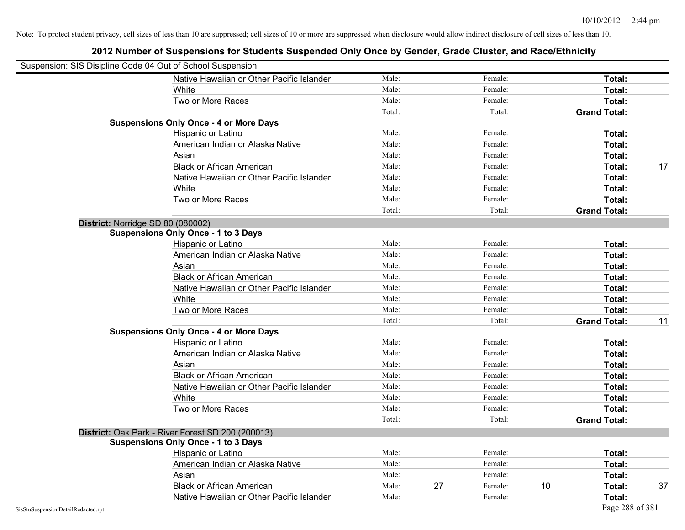| Suspension: SIS Disipline Code 04 Out of School Suspension |                                                                                                 |        |    |         |    |                     |    |
|------------------------------------------------------------|-------------------------------------------------------------------------------------------------|--------|----|---------|----|---------------------|----|
|                                                            | Native Hawaiian or Other Pacific Islander                                                       | Male:  |    | Female: |    | Total:              |    |
|                                                            | White                                                                                           | Male:  |    | Female: |    | Total:              |    |
|                                                            | Two or More Races                                                                               | Male:  |    | Female: |    | Total:              |    |
|                                                            |                                                                                                 | Total: |    | Total:  |    | <b>Grand Total:</b> |    |
|                                                            | <b>Suspensions Only Once - 4 or More Days</b>                                                   |        |    |         |    |                     |    |
|                                                            | Hispanic or Latino                                                                              | Male:  |    | Female: |    | Total:              |    |
|                                                            | American Indian or Alaska Native                                                                | Male:  |    | Female: |    | Total:              |    |
|                                                            | Asian                                                                                           | Male:  |    | Female: |    | Total:              |    |
|                                                            | <b>Black or African American</b>                                                                | Male:  |    | Female: |    | Total:              | 17 |
|                                                            | Native Hawaiian or Other Pacific Islander                                                       | Male:  |    | Female: |    | Total:              |    |
|                                                            | White                                                                                           | Male:  |    | Female: |    | Total:              |    |
|                                                            | Two or More Races                                                                               | Male:  |    | Female: |    | Total:              |    |
|                                                            |                                                                                                 | Total: |    | Total:  |    | <b>Grand Total:</b> |    |
| District: Norridge SD 80 (080002)                          |                                                                                                 |        |    |         |    |                     |    |
|                                                            | <b>Suspensions Only Once - 1 to 3 Days</b>                                                      |        |    |         |    |                     |    |
|                                                            | Hispanic or Latino                                                                              | Male:  |    | Female: |    | Total:              |    |
|                                                            | American Indian or Alaska Native                                                                | Male:  |    | Female: |    | Total:              |    |
|                                                            | Asian                                                                                           | Male:  |    | Female: |    | Total:              |    |
|                                                            | <b>Black or African American</b>                                                                | Male:  |    | Female: |    | Total:              |    |
|                                                            | Native Hawaiian or Other Pacific Islander                                                       | Male:  |    | Female: |    | Total:              |    |
|                                                            | White                                                                                           | Male:  |    | Female: |    | Total:              |    |
|                                                            | Two or More Races                                                                               | Male:  |    | Female: |    | Total:              |    |
|                                                            |                                                                                                 | Total: |    | Total:  |    | <b>Grand Total:</b> | 11 |
|                                                            | <b>Suspensions Only Once - 4 or More Days</b>                                                   |        |    |         |    |                     |    |
|                                                            | Hispanic or Latino                                                                              | Male:  |    | Female: |    | Total:              |    |
|                                                            | American Indian or Alaska Native                                                                | Male:  |    | Female: |    | Total:              |    |
|                                                            | Asian                                                                                           | Male:  |    | Female: |    | Total:              |    |
|                                                            | <b>Black or African American</b>                                                                | Male:  |    | Female: |    | Total:              |    |
|                                                            | Native Hawaiian or Other Pacific Islander                                                       | Male:  |    | Female: |    | Total:              |    |
|                                                            | White                                                                                           | Male:  |    | Female: |    | Total:              |    |
|                                                            | Two or More Races                                                                               | Male:  |    | Female: |    | Total:              |    |
|                                                            |                                                                                                 | Total: |    | Total:  |    | <b>Grand Total:</b> |    |
|                                                            | District: Oak Park - River Forest SD 200 (200013)<br><b>Suspensions Only Once - 1 to 3 Days</b> |        |    |         |    |                     |    |
|                                                            | Hispanic or Latino                                                                              | Male:  |    | Female: |    | Total:              |    |
|                                                            | American Indian or Alaska Native                                                                | Male:  |    | Female: |    | Total:              |    |
|                                                            | Asian                                                                                           | Male:  |    | Female: |    | Total:              |    |
|                                                            | <b>Black or African American</b>                                                                | Male:  | 27 | Female: | 10 | Total:              | 37 |
|                                                            | Native Hawaiian or Other Pacific Islander                                                       | Male:  |    | Female: |    | Total:              |    |
| SisStuSuspensionDetailRedacted.rpt                         |                                                                                                 |        |    |         |    | Page 288 of 381     |    |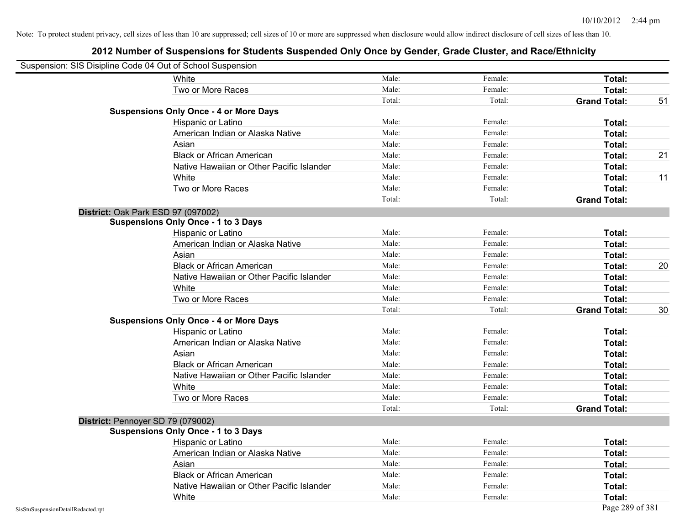| Suspension: SIS Disipline Code 04 Out of School Suspension<br>White<br>Male:<br>Female:<br>Total:<br>Male:<br>Two or More Races<br>Female:<br>Total:<br>Total:<br>Total:<br><b>Grand Total:</b><br><b>Suspensions Only Once - 4 or More Days</b><br>Male:<br>Female:<br>Hispanic or Latino<br>Total:<br>Male:<br>Female:<br>American Indian or Alaska Native<br>Total:<br>Male:<br>Female:<br>Asian<br>Total:<br>Male:<br><b>Black or African American</b><br>Female:<br>Total:<br>Male:<br>Female:<br>Native Hawaiian or Other Pacific Islander<br>Total:<br>Male:<br>Female:<br>White<br>Total:<br>Two or More Races<br>Male:<br>Female:<br>Total:<br>Total:<br>Total:<br><b>Grand Total:</b><br>District: Oak Park ESD 97 (097002)<br><b>Suspensions Only Once - 1 to 3 Days</b><br>Male:<br>Hispanic or Latino<br>Female:<br>Total:<br>American Indian or Alaska Native<br>Male:<br>Female:<br>Total:<br>Male:<br>Asian<br>Female:<br>Total:<br><b>Black or African American</b><br>Male:<br>Female:<br>Total:<br>Native Hawaiian or Other Pacific Islander<br>Male:<br>Female:<br>Total:<br>White<br>Male:<br>Female:<br>Total:<br>Two or More Races<br>Male:<br>Female:<br>Total:<br>Total:<br>Total:<br><b>Grand Total:</b><br><b>Suspensions Only Once - 4 or More Days</b><br>Male:<br>Hispanic or Latino<br>Female:<br>Total:<br>American Indian or Alaska Native<br>Male:<br>Female:<br>Total:<br>Male:<br>Asian<br>Female:<br>Total:<br><b>Black or African American</b><br>Male:<br>Female:<br>Total:<br>Native Hawaiian or Other Pacific Islander<br>Male:<br>Female:<br>Total:<br>White<br>Male:<br>Female:<br>Total:<br>Male:<br>Two or More Races<br>Female:<br>Total:<br>Total:<br>Total:<br><b>Grand Total:</b><br>District: Pennoyer SD 79 (079002)<br><b>Suspensions Only Once - 1 to 3 Days</b><br>Male:<br>Female:<br>Hispanic or Latino<br>Total:<br>Female:<br>American Indian or Alaska Native<br>Male:<br>Total:<br>Male:<br>Female:<br>Total:<br>Asian<br><b>Black or African American</b><br>Male:<br>Female:<br>Total:<br>Native Hawaiian or Other Pacific Islander<br>Male:<br>Female:<br>Total:<br>Male:<br>Female:<br>Total:<br>White |                                    |  |                 |    |
|------------------------------------------------------------------------------------------------------------------------------------------------------------------------------------------------------------------------------------------------------------------------------------------------------------------------------------------------------------------------------------------------------------------------------------------------------------------------------------------------------------------------------------------------------------------------------------------------------------------------------------------------------------------------------------------------------------------------------------------------------------------------------------------------------------------------------------------------------------------------------------------------------------------------------------------------------------------------------------------------------------------------------------------------------------------------------------------------------------------------------------------------------------------------------------------------------------------------------------------------------------------------------------------------------------------------------------------------------------------------------------------------------------------------------------------------------------------------------------------------------------------------------------------------------------------------------------------------------------------------------------------------------------------------------------------------------------------------------------------------------------------------------------------------------------------------------------------------------------------------------------------------------------------------------------------------------------------------------------------------------------------------------------------------------------------------------------------------------------------------------------------------------------------------|------------------------------------|--|-----------------|----|
|                                                                                                                                                                                                                                                                                                                                                                                                                                                                                                                                                                                                                                                                                                                                                                                                                                                                                                                                                                                                                                                                                                                                                                                                                                                                                                                                                                                                                                                                                                                                                                                                                                                                                                                                                                                                                                                                                                                                                                                                                                                                                                                                                                        |                                    |  |                 |    |
|                                                                                                                                                                                                                                                                                                                                                                                                                                                                                                                                                                                                                                                                                                                                                                                                                                                                                                                                                                                                                                                                                                                                                                                                                                                                                                                                                                                                                                                                                                                                                                                                                                                                                                                                                                                                                                                                                                                                                                                                                                                                                                                                                                        |                                    |  |                 |    |
|                                                                                                                                                                                                                                                                                                                                                                                                                                                                                                                                                                                                                                                                                                                                                                                                                                                                                                                                                                                                                                                                                                                                                                                                                                                                                                                                                                                                                                                                                                                                                                                                                                                                                                                                                                                                                                                                                                                                                                                                                                                                                                                                                                        |                                    |  |                 |    |
|                                                                                                                                                                                                                                                                                                                                                                                                                                                                                                                                                                                                                                                                                                                                                                                                                                                                                                                                                                                                                                                                                                                                                                                                                                                                                                                                                                                                                                                                                                                                                                                                                                                                                                                                                                                                                                                                                                                                                                                                                                                                                                                                                                        |                                    |  |                 | 51 |
|                                                                                                                                                                                                                                                                                                                                                                                                                                                                                                                                                                                                                                                                                                                                                                                                                                                                                                                                                                                                                                                                                                                                                                                                                                                                                                                                                                                                                                                                                                                                                                                                                                                                                                                                                                                                                                                                                                                                                                                                                                                                                                                                                                        |                                    |  |                 |    |
|                                                                                                                                                                                                                                                                                                                                                                                                                                                                                                                                                                                                                                                                                                                                                                                                                                                                                                                                                                                                                                                                                                                                                                                                                                                                                                                                                                                                                                                                                                                                                                                                                                                                                                                                                                                                                                                                                                                                                                                                                                                                                                                                                                        |                                    |  |                 |    |
|                                                                                                                                                                                                                                                                                                                                                                                                                                                                                                                                                                                                                                                                                                                                                                                                                                                                                                                                                                                                                                                                                                                                                                                                                                                                                                                                                                                                                                                                                                                                                                                                                                                                                                                                                                                                                                                                                                                                                                                                                                                                                                                                                                        |                                    |  |                 |    |
|                                                                                                                                                                                                                                                                                                                                                                                                                                                                                                                                                                                                                                                                                                                                                                                                                                                                                                                                                                                                                                                                                                                                                                                                                                                                                                                                                                                                                                                                                                                                                                                                                                                                                                                                                                                                                                                                                                                                                                                                                                                                                                                                                                        |                                    |  |                 |    |
|                                                                                                                                                                                                                                                                                                                                                                                                                                                                                                                                                                                                                                                                                                                                                                                                                                                                                                                                                                                                                                                                                                                                                                                                                                                                                                                                                                                                                                                                                                                                                                                                                                                                                                                                                                                                                                                                                                                                                                                                                                                                                                                                                                        |                                    |  |                 | 21 |
|                                                                                                                                                                                                                                                                                                                                                                                                                                                                                                                                                                                                                                                                                                                                                                                                                                                                                                                                                                                                                                                                                                                                                                                                                                                                                                                                                                                                                                                                                                                                                                                                                                                                                                                                                                                                                                                                                                                                                                                                                                                                                                                                                                        |                                    |  |                 |    |
|                                                                                                                                                                                                                                                                                                                                                                                                                                                                                                                                                                                                                                                                                                                                                                                                                                                                                                                                                                                                                                                                                                                                                                                                                                                                                                                                                                                                                                                                                                                                                                                                                                                                                                                                                                                                                                                                                                                                                                                                                                                                                                                                                                        |                                    |  |                 | 11 |
|                                                                                                                                                                                                                                                                                                                                                                                                                                                                                                                                                                                                                                                                                                                                                                                                                                                                                                                                                                                                                                                                                                                                                                                                                                                                                                                                                                                                                                                                                                                                                                                                                                                                                                                                                                                                                                                                                                                                                                                                                                                                                                                                                                        |                                    |  |                 |    |
|                                                                                                                                                                                                                                                                                                                                                                                                                                                                                                                                                                                                                                                                                                                                                                                                                                                                                                                                                                                                                                                                                                                                                                                                                                                                                                                                                                                                                                                                                                                                                                                                                                                                                                                                                                                                                                                                                                                                                                                                                                                                                                                                                                        |                                    |  |                 |    |
|                                                                                                                                                                                                                                                                                                                                                                                                                                                                                                                                                                                                                                                                                                                                                                                                                                                                                                                                                                                                                                                                                                                                                                                                                                                                                                                                                                                                                                                                                                                                                                                                                                                                                                                                                                                                                                                                                                                                                                                                                                                                                                                                                                        |                                    |  |                 |    |
|                                                                                                                                                                                                                                                                                                                                                                                                                                                                                                                                                                                                                                                                                                                                                                                                                                                                                                                                                                                                                                                                                                                                                                                                                                                                                                                                                                                                                                                                                                                                                                                                                                                                                                                                                                                                                                                                                                                                                                                                                                                                                                                                                                        |                                    |  |                 |    |
|                                                                                                                                                                                                                                                                                                                                                                                                                                                                                                                                                                                                                                                                                                                                                                                                                                                                                                                                                                                                                                                                                                                                                                                                                                                                                                                                                                                                                                                                                                                                                                                                                                                                                                                                                                                                                                                                                                                                                                                                                                                                                                                                                                        |                                    |  |                 |    |
|                                                                                                                                                                                                                                                                                                                                                                                                                                                                                                                                                                                                                                                                                                                                                                                                                                                                                                                                                                                                                                                                                                                                                                                                                                                                                                                                                                                                                                                                                                                                                                                                                                                                                                                                                                                                                                                                                                                                                                                                                                                                                                                                                                        |                                    |  |                 |    |
|                                                                                                                                                                                                                                                                                                                                                                                                                                                                                                                                                                                                                                                                                                                                                                                                                                                                                                                                                                                                                                                                                                                                                                                                                                                                                                                                                                                                                                                                                                                                                                                                                                                                                                                                                                                                                                                                                                                                                                                                                                                                                                                                                                        |                                    |  |                 |    |
|                                                                                                                                                                                                                                                                                                                                                                                                                                                                                                                                                                                                                                                                                                                                                                                                                                                                                                                                                                                                                                                                                                                                                                                                                                                                                                                                                                                                                                                                                                                                                                                                                                                                                                                                                                                                                                                                                                                                                                                                                                                                                                                                                                        |                                    |  |                 | 20 |
|                                                                                                                                                                                                                                                                                                                                                                                                                                                                                                                                                                                                                                                                                                                                                                                                                                                                                                                                                                                                                                                                                                                                                                                                                                                                                                                                                                                                                                                                                                                                                                                                                                                                                                                                                                                                                                                                                                                                                                                                                                                                                                                                                                        |                                    |  |                 |    |
|                                                                                                                                                                                                                                                                                                                                                                                                                                                                                                                                                                                                                                                                                                                                                                                                                                                                                                                                                                                                                                                                                                                                                                                                                                                                                                                                                                                                                                                                                                                                                                                                                                                                                                                                                                                                                                                                                                                                                                                                                                                                                                                                                                        |                                    |  |                 |    |
|                                                                                                                                                                                                                                                                                                                                                                                                                                                                                                                                                                                                                                                                                                                                                                                                                                                                                                                                                                                                                                                                                                                                                                                                                                                                                                                                                                                                                                                                                                                                                                                                                                                                                                                                                                                                                                                                                                                                                                                                                                                                                                                                                                        |                                    |  |                 |    |
|                                                                                                                                                                                                                                                                                                                                                                                                                                                                                                                                                                                                                                                                                                                                                                                                                                                                                                                                                                                                                                                                                                                                                                                                                                                                                                                                                                                                                                                                                                                                                                                                                                                                                                                                                                                                                                                                                                                                                                                                                                                                                                                                                                        |                                    |  |                 | 30 |
|                                                                                                                                                                                                                                                                                                                                                                                                                                                                                                                                                                                                                                                                                                                                                                                                                                                                                                                                                                                                                                                                                                                                                                                                                                                                                                                                                                                                                                                                                                                                                                                                                                                                                                                                                                                                                                                                                                                                                                                                                                                                                                                                                                        |                                    |  |                 |    |
|                                                                                                                                                                                                                                                                                                                                                                                                                                                                                                                                                                                                                                                                                                                                                                                                                                                                                                                                                                                                                                                                                                                                                                                                                                                                                                                                                                                                                                                                                                                                                                                                                                                                                                                                                                                                                                                                                                                                                                                                                                                                                                                                                                        |                                    |  |                 |    |
|                                                                                                                                                                                                                                                                                                                                                                                                                                                                                                                                                                                                                                                                                                                                                                                                                                                                                                                                                                                                                                                                                                                                                                                                                                                                                                                                                                                                                                                                                                                                                                                                                                                                                                                                                                                                                                                                                                                                                                                                                                                                                                                                                                        |                                    |  |                 |    |
|                                                                                                                                                                                                                                                                                                                                                                                                                                                                                                                                                                                                                                                                                                                                                                                                                                                                                                                                                                                                                                                                                                                                                                                                                                                                                                                                                                                                                                                                                                                                                                                                                                                                                                                                                                                                                                                                                                                                                                                                                                                                                                                                                                        |                                    |  |                 |    |
|                                                                                                                                                                                                                                                                                                                                                                                                                                                                                                                                                                                                                                                                                                                                                                                                                                                                                                                                                                                                                                                                                                                                                                                                                                                                                                                                                                                                                                                                                                                                                                                                                                                                                                                                                                                                                                                                                                                                                                                                                                                                                                                                                                        |                                    |  |                 |    |
|                                                                                                                                                                                                                                                                                                                                                                                                                                                                                                                                                                                                                                                                                                                                                                                                                                                                                                                                                                                                                                                                                                                                                                                                                                                                                                                                                                                                                                                                                                                                                                                                                                                                                                                                                                                                                                                                                                                                                                                                                                                                                                                                                                        |                                    |  |                 |    |
|                                                                                                                                                                                                                                                                                                                                                                                                                                                                                                                                                                                                                                                                                                                                                                                                                                                                                                                                                                                                                                                                                                                                                                                                                                                                                                                                                                                                                                                                                                                                                                                                                                                                                                                                                                                                                                                                                                                                                                                                                                                                                                                                                                        |                                    |  |                 |    |
|                                                                                                                                                                                                                                                                                                                                                                                                                                                                                                                                                                                                                                                                                                                                                                                                                                                                                                                                                                                                                                                                                                                                                                                                                                                                                                                                                                                                                                                                                                                                                                                                                                                                                                                                                                                                                                                                                                                                                                                                                                                                                                                                                                        |                                    |  |                 |    |
|                                                                                                                                                                                                                                                                                                                                                                                                                                                                                                                                                                                                                                                                                                                                                                                                                                                                                                                                                                                                                                                                                                                                                                                                                                                                                                                                                                                                                                                                                                                                                                                                                                                                                                                                                                                                                                                                                                                                                                                                                                                                                                                                                                        |                                    |  |                 |    |
|                                                                                                                                                                                                                                                                                                                                                                                                                                                                                                                                                                                                                                                                                                                                                                                                                                                                                                                                                                                                                                                                                                                                                                                                                                                                                                                                                                                                                                                                                                                                                                                                                                                                                                                                                                                                                                                                                                                                                                                                                                                                                                                                                                        |                                    |  |                 |    |
|                                                                                                                                                                                                                                                                                                                                                                                                                                                                                                                                                                                                                                                                                                                                                                                                                                                                                                                                                                                                                                                                                                                                                                                                                                                                                                                                                                                                                                                                                                                                                                                                                                                                                                                                                                                                                                                                                                                                                                                                                                                                                                                                                                        |                                    |  |                 |    |
|                                                                                                                                                                                                                                                                                                                                                                                                                                                                                                                                                                                                                                                                                                                                                                                                                                                                                                                                                                                                                                                                                                                                                                                                                                                                                                                                                                                                                                                                                                                                                                                                                                                                                                                                                                                                                                                                                                                                                                                                                                                                                                                                                                        |                                    |  |                 |    |
|                                                                                                                                                                                                                                                                                                                                                                                                                                                                                                                                                                                                                                                                                                                                                                                                                                                                                                                                                                                                                                                                                                                                                                                                                                                                                                                                                                                                                                                                                                                                                                                                                                                                                                                                                                                                                                                                                                                                                                                                                                                                                                                                                                        |                                    |  |                 |    |
|                                                                                                                                                                                                                                                                                                                                                                                                                                                                                                                                                                                                                                                                                                                                                                                                                                                                                                                                                                                                                                                                                                                                                                                                                                                                                                                                                                                                                                                                                                                                                                                                                                                                                                                                                                                                                                                                                                                                                                                                                                                                                                                                                                        |                                    |  |                 |    |
|                                                                                                                                                                                                                                                                                                                                                                                                                                                                                                                                                                                                                                                                                                                                                                                                                                                                                                                                                                                                                                                                                                                                                                                                                                                                                                                                                                                                                                                                                                                                                                                                                                                                                                                                                                                                                                                                                                                                                                                                                                                                                                                                                                        |                                    |  |                 |    |
|                                                                                                                                                                                                                                                                                                                                                                                                                                                                                                                                                                                                                                                                                                                                                                                                                                                                                                                                                                                                                                                                                                                                                                                                                                                                                                                                                                                                                                                                                                                                                                                                                                                                                                                                                                                                                                                                                                                                                                                                                                                                                                                                                                        |                                    |  |                 |    |
|                                                                                                                                                                                                                                                                                                                                                                                                                                                                                                                                                                                                                                                                                                                                                                                                                                                                                                                                                                                                                                                                                                                                                                                                                                                                                                                                                                                                                                                                                                                                                                                                                                                                                                                                                                                                                                                                                                                                                                                                                                                                                                                                                                        |                                    |  |                 |    |
|                                                                                                                                                                                                                                                                                                                                                                                                                                                                                                                                                                                                                                                                                                                                                                                                                                                                                                                                                                                                                                                                                                                                                                                                                                                                                                                                                                                                                                                                                                                                                                                                                                                                                                                                                                                                                                                                                                                                                                                                                                                                                                                                                                        | SisStuSuspensionDetailRedacted.rpt |  | Page 289 of 381 |    |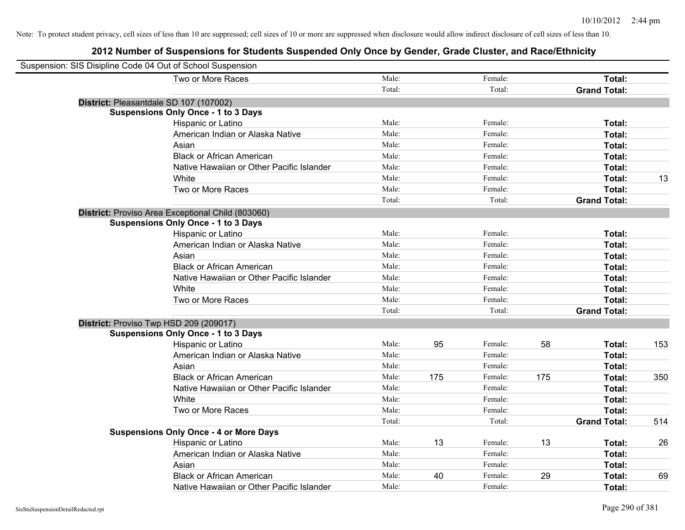| Suspension: SIS Disipline Code 04 Out of School Suspension |                                                   |        |     |         |     |                     |     |
|------------------------------------------------------------|---------------------------------------------------|--------|-----|---------|-----|---------------------|-----|
|                                                            | Two or More Races                                 | Male:  |     | Female: |     | Total:              |     |
|                                                            |                                                   | Total: |     | Total:  |     | <b>Grand Total:</b> |     |
|                                                            | District: Pleasantdale SD 107 (107002)            |        |     |         |     |                     |     |
|                                                            | <b>Suspensions Only Once - 1 to 3 Days</b>        |        |     |         |     |                     |     |
|                                                            | Hispanic or Latino                                | Male:  |     | Female: |     | Total:              |     |
|                                                            | American Indian or Alaska Native                  | Male:  |     | Female: |     | Total:              |     |
|                                                            | Asian                                             | Male:  |     | Female: |     | Total:              |     |
|                                                            | <b>Black or African American</b>                  | Male:  |     | Female: |     | Total:              |     |
|                                                            | Native Hawaiian or Other Pacific Islander         | Male:  |     | Female: |     | Total:              |     |
|                                                            | White                                             | Male:  |     | Female: |     | Total:              | 13  |
|                                                            | Two or More Races                                 | Male:  |     | Female: |     | Total:              |     |
|                                                            |                                                   | Total: |     | Total:  |     | <b>Grand Total:</b> |     |
|                                                            | District: Proviso Area Exceptional Child (803060) |        |     |         |     |                     |     |
|                                                            | <b>Suspensions Only Once - 1 to 3 Days</b>        |        |     |         |     |                     |     |
|                                                            | Hispanic or Latino                                | Male:  |     | Female: |     | Total:              |     |
|                                                            | American Indian or Alaska Native                  | Male:  |     | Female: |     | Total:              |     |
|                                                            | Asian                                             | Male:  |     | Female: |     | Total:              |     |
|                                                            | <b>Black or African American</b>                  | Male:  |     | Female: |     | Total:              |     |
|                                                            | Native Hawaiian or Other Pacific Islander         | Male:  |     | Female: |     | Total:              |     |
|                                                            | White                                             | Male:  |     | Female: |     | Total:              |     |
|                                                            | Two or More Races                                 | Male:  |     | Female: |     | Total:              |     |
|                                                            |                                                   | Total: |     | Total:  |     | <b>Grand Total:</b> |     |
|                                                            | District: Proviso Twp HSD 209 (209017)            |        |     |         |     |                     |     |
|                                                            | <b>Suspensions Only Once - 1 to 3 Days</b>        |        |     |         |     |                     |     |
|                                                            | Hispanic or Latino                                | Male:  | 95  | Female: | 58  | Total:              | 153 |
|                                                            | American Indian or Alaska Native                  | Male:  |     | Female: |     | Total:              |     |
|                                                            | Asian                                             | Male:  |     | Female: |     | Total:              |     |
|                                                            | <b>Black or African American</b>                  | Male:  | 175 | Female: | 175 | Total:              | 350 |
|                                                            | Native Hawaiian or Other Pacific Islander         | Male:  |     | Female: |     | Total:              |     |
|                                                            | White                                             | Male:  |     | Female: |     | Total:              |     |
|                                                            | Two or More Races                                 | Male:  |     | Female: |     | Total:              |     |
|                                                            |                                                   | Total: |     | Total:  |     | <b>Grand Total:</b> | 514 |
|                                                            | <b>Suspensions Only Once - 4 or More Days</b>     |        |     |         |     |                     |     |
|                                                            | Hispanic or Latino                                | Male:  | 13  | Female: | 13  | Total:              | 26  |
|                                                            | American Indian or Alaska Native                  | Male:  |     | Female: |     | Total:              |     |
|                                                            | Asian                                             | Male:  |     | Female: |     | Total:              |     |
|                                                            | <b>Black or African American</b>                  | Male:  | 40  | Female: | 29  | Total:              | 69  |
|                                                            | Native Hawaiian or Other Pacific Islander         | Male:  |     | Female: |     | Total:              |     |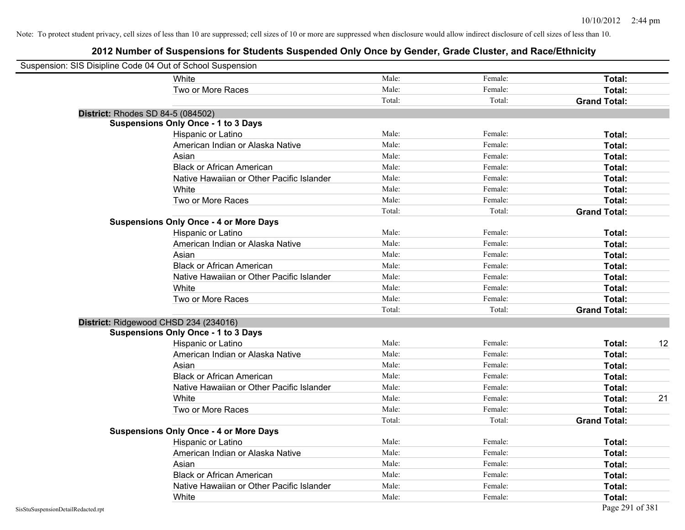| Suspension: SIS Disipline Code 04 Out of School Suspension |                                               |        |         |                     |
|------------------------------------------------------------|-----------------------------------------------|--------|---------|---------------------|
|                                                            | White                                         | Male:  | Female: | Total:              |
|                                                            | Two or More Races                             | Male:  | Female: | Total:              |
|                                                            |                                               | Total: | Total:  | <b>Grand Total:</b> |
| District: Rhodes SD 84-5 (084502)                          |                                               |        |         |                     |
|                                                            | <b>Suspensions Only Once - 1 to 3 Days</b>    |        |         |                     |
|                                                            | Hispanic or Latino                            | Male:  | Female: | Total:              |
|                                                            | American Indian or Alaska Native              | Male:  | Female: | Total:              |
|                                                            | Asian                                         | Male:  | Female: | Total:              |
|                                                            | <b>Black or African American</b>              | Male:  | Female: | Total:              |
|                                                            | Native Hawaiian or Other Pacific Islander     | Male:  | Female: | Total:              |
|                                                            | White                                         | Male:  | Female: | Total:              |
|                                                            | Two or More Races                             | Male:  | Female: | Total:              |
|                                                            |                                               | Total: | Total:  | <b>Grand Total:</b> |
|                                                            | <b>Suspensions Only Once - 4 or More Days</b> |        |         |                     |
|                                                            | Hispanic or Latino                            | Male:  | Female: | Total:              |
|                                                            | American Indian or Alaska Native              | Male:  | Female: | Total:              |
|                                                            | Asian                                         | Male:  | Female: | Total:              |
|                                                            | <b>Black or African American</b>              | Male:  | Female: | Total:              |
|                                                            | Native Hawaiian or Other Pacific Islander     | Male:  | Female: | Total:              |
|                                                            | White                                         | Male:  | Female: | Total:              |
|                                                            | Two or More Races                             | Male:  | Female: | Total:              |
|                                                            |                                               | Total: | Total:  | <b>Grand Total:</b> |
|                                                            | District: Ridgewood CHSD 234 (234016)         |        |         |                     |
|                                                            | <b>Suspensions Only Once - 1 to 3 Days</b>    |        |         |                     |
|                                                            | Hispanic or Latino                            | Male:  | Female: | Total:<br>12        |
|                                                            | American Indian or Alaska Native              | Male:  | Female: | Total:              |
|                                                            | Asian                                         | Male:  | Female: | Total:              |
|                                                            | <b>Black or African American</b>              | Male:  | Female: | Total:              |
|                                                            | Native Hawaiian or Other Pacific Islander     | Male:  | Female: | Total:              |
|                                                            | White                                         | Male:  | Female: | Total:<br>21        |
|                                                            | Two or More Races                             | Male:  | Female: | Total:              |
|                                                            |                                               | Total: | Total:  | <b>Grand Total:</b> |
|                                                            | <b>Suspensions Only Once - 4 or More Days</b> |        |         |                     |
|                                                            | Hispanic or Latino                            | Male:  | Female: | Total:              |
|                                                            | American Indian or Alaska Native              | Male:  | Female: | Total:              |
|                                                            | Asian                                         | Male:  | Female: | Total:              |
|                                                            | <b>Black or African American</b>              | Male:  | Female: | Total:              |
|                                                            | Native Hawaiian or Other Pacific Islander     | Male:  | Female: | Total:              |
|                                                            | White                                         | Male:  | Female: | Total:              |
| SisStuSuspensionDetailRedacted.rpt                         |                                               |        |         | Page 291 of 381     |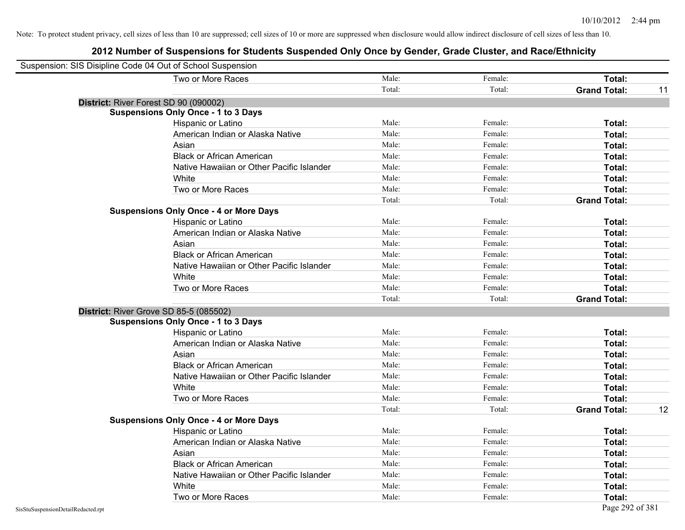| Suspension: SIS Disipline Code 04 Out of School Suspension |                                               |        |         |                     |    |
|------------------------------------------------------------|-----------------------------------------------|--------|---------|---------------------|----|
|                                                            | Two or More Races                             | Male:  | Female: | Total:              |    |
|                                                            |                                               | Total: | Total:  | <b>Grand Total:</b> | 11 |
| District: River Forest SD 90 (090002)                      |                                               |        |         |                     |    |
|                                                            | <b>Suspensions Only Once - 1 to 3 Days</b>    |        |         |                     |    |
|                                                            | Hispanic or Latino                            | Male:  | Female: | Total:              |    |
|                                                            | American Indian or Alaska Native              | Male:  | Female: | Total:              |    |
|                                                            | Asian                                         | Male:  | Female: | Total:              |    |
|                                                            | <b>Black or African American</b>              | Male:  | Female: | Total:              |    |
|                                                            | Native Hawaiian or Other Pacific Islander     | Male:  | Female: | Total:              |    |
|                                                            | White                                         | Male:  | Female: | Total:              |    |
|                                                            | Two or More Races                             | Male:  | Female: | Total:              |    |
|                                                            |                                               | Total: | Total:  | <b>Grand Total:</b> |    |
|                                                            | <b>Suspensions Only Once - 4 or More Days</b> |        |         |                     |    |
|                                                            | Hispanic or Latino                            | Male:  | Female: | Total:              |    |
|                                                            | American Indian or Alaska Native              | Male:  | Female: | Total:              |    |
|                                                            | Asian                                         | Male:  | Female: | Total:              |    |
|                                                            | <b>Black or African American</b>              | Male:  | Female: | Total:              |    |
|                                                            | Native Hawaiian or Other Pacific Islander     | Male:  | Female: | Total:              |    |
|                                                            | White                                         | Male:  | Female: | Total:              |    |
|                                                            | Two or More Races                             | Male:  | Female: | Total:              |    |
|                                                            |                                               | Total: | Total:  | <b>Grand Total:</b> |    |
|                                                            | District: River Grove SD 85-5 (085502)        |        |         |                     |    |
|                                                            | <b>Suspensions Only Once - 1 to 3 Days</b>    |        |         |                     |    |
|                                                            | Hispanic or Latino                            | Male:  | Female: | Total:              |    |
|                                                            | American Indian or Alaska Native              | Male:  | Female: | Total:              |    |
|                                                            | Asian                                         | Male:  | Female: | Total:              |    |
|                                                            | <b>Black or African American</b>              | Male:  | Female: | Total:              |    |
|                                                            | Native Hawaiian or Other Pacific Islander     | Male:  | Female: | Total:              |    |
|                                                            | White                                         | Male:  | Female: | Total:              |    |
|                                                            | Two or More Races                             | Male:  | Female: | Total:              |    |
|                                                            |                                               | Total: | Total:  | <b>Grand Total:</b> | 12 |
|                                                            | <b>Suspensions Only Once - 4 or More Days</b> |        |         |                     |    |
|                                                            | Hispanic or Latino                            | Male:  | Female: | Total:              |    |
|                                                            | American Indian or Alaska Native              | Male:  | Female: | Total:              |    |
|                                                            | Asian                                         | Male:  | Female: | Total:              |    |
|                                                            | <b>Black or African American</b>              | Male:  | Female: | Total:              |    |
|                                                            | Native Hawaiian or Other Pacific Islander     | Male:  | Female: | Total:              |    |
|                                                            | White                                         | Male:  | Female: | <b>Total:</b>       |    |
|                                                            | Two or More Races                             | Male:  | Female: | Total:              |    |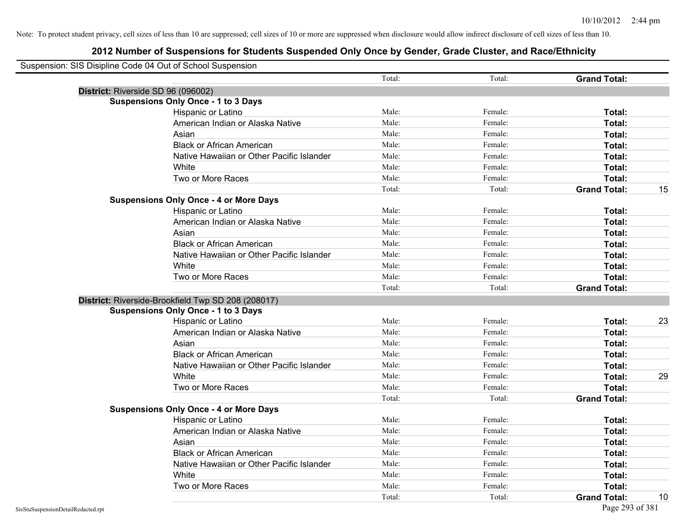| Suspension: SIS Disipline Code 04 Out of School Suspension |                                                    |        |         |                     |    |
|------------------------------------------------------------|----------------------------------------------------|--------|---------|---------------------|----|
|                                                            |                                                    | Total: | Total:  | <b>Grand Total:</b> |    |
| District: Riverside SD 96 (096002)                         |                                                    |        |         |                     |    |
|                                                            | <b>Suspensions Only Once - 1 to 3 Days</b>         |        |         |                     |    |
|                                                            | Hispanic or Latino                                 | Male:  | Female: | Total:              |    |
|                                                            | American Indian or Alaska Native                   | Male:  | Female: | Total:              |    |
|                                                            | Asian                                              | Male:  | Female: | Total:              |    |
|                                                            | <b>Black or African American</b>                   | Male:  | Female: | Total:              |    |
|                                                            | Native Hawaiian or Other Pacific Islander          | Male:  | Female: | Total:              |    |
|                                                            | White                                              | Male:  | Female: | Total:              |    |
|                                                            | Two or More Races                                  | Male:  | Female: | Total:              |    |
|                                                            |                                                    | Total: | Total:  | <b>Grand Total:</b> | 15 |
|                                                            | <b>Suspensions Only Once - 4 or More Days</b>      |        |         |                     |    |
|                                                            | Hispanic or Latino                                 | Male:  | Female: | Total:              |    |
|                                                            | American Indian or Alaska Native                   | Male:  | Female: | Total:              |    |
|                                                            | Asian                                              | Male:  | Female: | Total:              |    |
|                                                            | <b>Black or African American</b>                   | Male:  | Female: | Total:              |    |
|                                                            | Native Hawaiian or Other Pacific Islander          | Male:  | Female: | Total:              |    |
|                                                            | White                                              | Male:  | Female: | Total:              |    |
|                                                            | Two or More Races                                  | Male:  | Female: | Total:              |    |
|                                                            |                                                    | Total: | Total:  | <b>Grand Total:</b> |    |
|                                                            | District: Riverside-Brookfield Twp SD 208 (208017) |        |         |                     |    |
|                                                            | <b>Suspensions Only Once - 1 to 3 Days</b>         |        |         |                     |    |
|                                                            | Hispanic or Latino                                 | Male:  | Female: | Total:              | 23 |
|                                                            | American Indian or Alaska Native                   | Male:  | Female: | Total:              |    |
|                                                            | Asian                                              | Male:  | Female: | Total:              |    |
|                                                            | <b>Black or African American</b>                   | Male:  | Female: | Total:              |    |
|                                                            | Native Hawaiian or Other Pacific Islander          | Male:  | Female: | Total:              |    |
|                                                            | White                                              | Male:  | Female: | Total:              | 29 |
|                                                            | Two or More Races                                  | Male:  | Female: | Total:              |    |
|                                                            |                                                    | Total: | Total:  | <b>Grand Total:</b> |    |
|                                                            | <b>Suspensions Only Once - 4 or More Days</b>      |        |         |                     |    |
|                                                            | Hispanic or Latino                                 | Male:  | Female: | Total:              |    |
|                                                            | American Indian or Alaska Native                   | Male:  | Female: | Total:              |    |
|                                                            | Asian                                              | Male:  | Female: | Total:              |    |
|                                                            | <b>Black or African American</b>                   | Male:  | Female: | Total:              |    |
|                                                            | Native Hawaiian or Other Pacific Islander          | Male:  | Female: | Total:              |    |
|                                                            | White                                              | Male:  | Female: | Total:              |    |
|                                                            | Two or More Races                                  | Male:  | Female: | Total:              |    |
|                                                            |                                                    | Total: | Total:  | <b>Grand Total:</b> | 10 |
| SisStuSuspensionDetailRedacted.rpt                         |                                                    |        |         | Page 293 of 381     |    |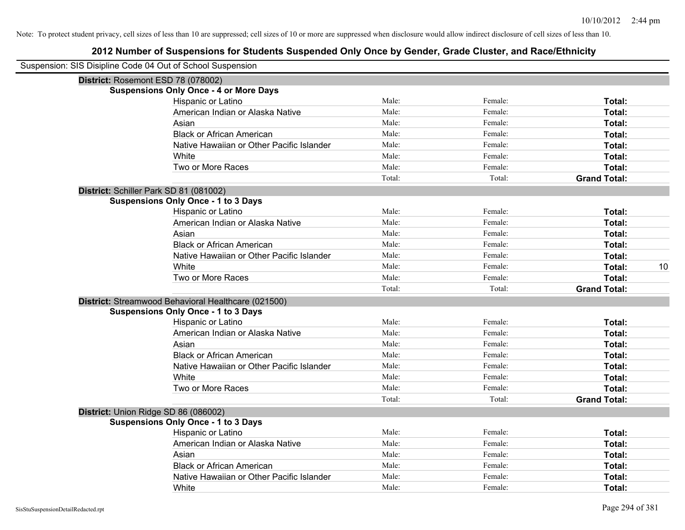| Suspension: SIS Disipline Code 04 Out of School Suspension |        |         |                     |    |
|------------------------------------------------------------|--------|---------|---------------------|----|
| District: Rosemont ESD 78 (078002)                         |        |         |                     |    |
| <b>Suspensions Only Once - 4 or More Days</b>              |        |         |                     |    |
| Hispanic or Latino                                         | Male:  | Female: | Total:              |    |
| American Indian or Alaska Native                           | Male:  | Female: | Total:              |    |
| Asian                                                      | Male:  | Female: | Total:              |    |
| <b>Black or African American</b>                           | Male:  | Female: | Total:              |    |
| Native Hawaiian or Other Pacific Islander                  | Male:  | Female: | Total:              |    |
| White                                                      | Male:  | Female: | Total:              |    |
| Two or More Races                                          | Male:  | Female: | Total:              |    |
|                                                            | Total: | Total:  | <b>Grand Total:</b> |    |
| District: Schiller Park SD 81 (081002)                     |        |         |                     |    |
| <b>Suspensions Only Once - 1 to 3 Days</b>                 |        |         |                     |    |
| Hispanic or Latino                                         | Male:  | Female: | Total:              |    |
| American Indian or Alaska Native                           | Male:  | Female: | Total:              |    |
| Asian                                                      | Male:  | Female: | Total:              |    |
| <b>Black or African American</b>                           | Male:  | Female: | Total:              |    |
| Native Hawaiian or Other Pacific Islander                  | Male:  | Female: | Total:              |    |
| White                                                      | Male:  | Female: | Total:              | 10 |
| Two or More Races                                          | Male:  | Female: | Total:              |    |
|                                                            | Total: | Total:  | <b>Grand Total:</b> |    |
| District: Streamwood Behavioral Healthcare (021500)        |        |         |                     |    |
| <b>Suspensions Only Once - 1 to 3 Days</b>                 |        |         |                     |    |
| Hispanic or Latino                                         | Male:  | Female: | Total:              |    |
| American Indian or Alaska Native                           | Male:  | Female: | Total:              |    |
| Asian                                                      | Male:  | Female: | Total:              |    |
| <b>Black or African American</b>                           | Male:  | Female: | Total:              |    |
| Native Hawaiian or Other Pacific Islander                  | Male:  | Female: | Total:              |    |
| White                                                      | Male:  | Female: | Total:              |    |
| Two or More Races                                          | Male:  | Female: | Total:              |    |
|                                                            | Total: | Total:  | <b>Grand Total:</b> |    |
| District: Union Ridge SD 86 (086002)                       |        |         |                     |    |
| <b>Suspensions Only Once - 1 to 3 Days</b>                 |        |         |                     |    |
| Hispanic or Latino                                         | Male:  | Female: | Total:              |    |
| American Indian or Alaska Native                           | Male:  | Female: | Total:              |    |
| Asian                                                      | Male:  | Female: | Total:              |    |
| <b>Black or African American</b>                           | Male:  | Female: | Total:              |    |
| Native Hawaiian or Other Pacific Islander                  | Male:  | Female: | Total:              |    |
| White                                                      | Male:  | Female: | Total:              |    |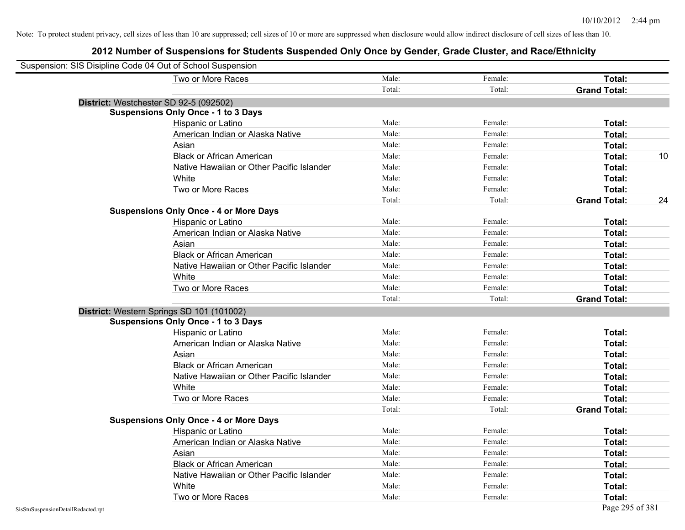| Suspension: SIS Disipline Code 04 Out of School Suspension |        |         |                     |    |
|------------------------------------------------------------|--------|---------|---------------------|----|
| Two or More Races                                          | Male:  | Female: | Total:              |    |
|                                                            | Total: | Total:  | <b>Grand Total:</b> |    |
| District: Westchester SD 92-5 (092502)                     |        |         |                     |    |
| <b>Suspensions Only Once - 1 to 3 Days</b>                 |        |         |                     |    |
| Hispanic or Latino                                         | Male:  | Female: | Total:              |    |
| American Indian or Alaska Native                           | Male:  | Female: | Total:              |    |
| Asian                                                      | Male:  | Female: | Total:              |    |
| <b>Black or African American</b>                           | Male:  | Female: | Total:              | 10 |
| Native Hawaiian or Other Pacific Islander                  | Male:  | Female: | Total:              |    |
| White                                                      | Male:  | Female: | Total:              |    |
| Two or More Races                                          | Male:  | Female: | Total:              |    |
|                                                            | Total: | Total:  | <b>Grand Total:</b> | 24 |
| <b>Suspensions Only Once - 4 or More Days</b>              |        |         |                     |    |
| Hispanic or Latino                                         | Male:  | Female: | Total:              |    |
| American Indian or Alaska Native                           | Male:  | Female: | Total:              |    |
| Asian                                                      | Male:  | Female: | Total:              |    |
| <b>Black or African American</b>                           | Male:  | Female: | Total:              |    |
| Native Hawaiian or Other Pacific Islander                  | Male:  | Female: | Total:              |    |
| White                                                      | Male:  | Female: | Total:              |    |
| Two or More Races                                          | Male:  | Female: | Total:              |    |
|                                                            | Total: | Total:  | <b>Grand Total:</b> |    |
| District: Western Springs SD 101 (101002)                  |        |         |                     |    |
| <b>Suspensions Only Once - 1 to 3 Days</b>                 |        |         |                     |    |
| Hispanic or Latino                                         | Male:  | Female: | Total:              |    |
| American Indian or Alaska Native                           | Male:  | Female: | Total:              |    |
| Asian                                                      | Male:  | Female: | Total:              |    |
| <b>Black or African American</b>                           | Male:  | Female: | Total:              |    |
| Native Hawaiian or Other Pacific Islander                  | Male:  | Female: | Total:              |    |
| White                                                      | Male:  | Female: | Total:              |    |
| Two or More Races                                          | Male:  | Female: | Total:              |    |
|                                                            | Total: | Total:  | <b>Grand Total:</b> |    |
| <b>Suspensions Only Once - 4 or More Days</b>              |        |         |                     |    |
| Hispanic or Latino                                         | Male:  | Female: | Total:              |    |
| American Indian or Alaska Native                           | Male:  | Female: | Total:              |    |
| Asian                                                      | Male:  | Female: | Total:              |    |
| <b>Black or African American</b>                           | Male:  | Female: | Total:              |    |
| Native Hawaiian or Other Pacific Islander                  | Male:  | Female: | Total:              |    |
| White                                                      | Male:  | Female: | Total:              |    |
| Two or More Races                                          | Male:  | Female: | Total:              |    |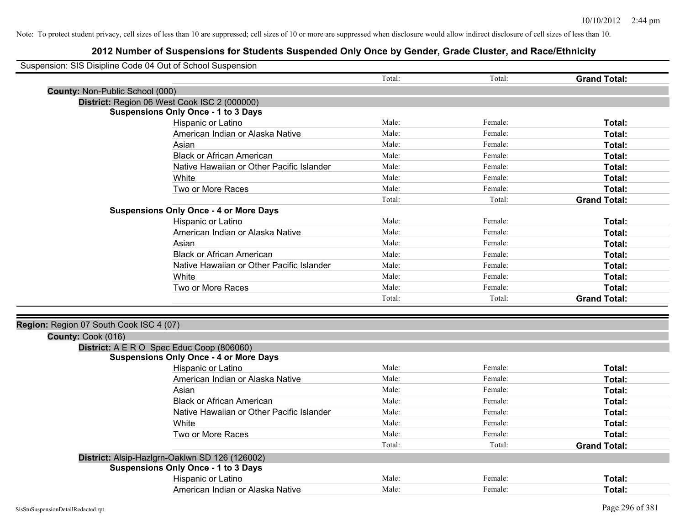| Suspension: SIS Disipline Code 04 Out of School Suspension |                                                |        |         |                     |
|------------------------------------------------------------|------------------------------------------------|--------|---------|---------------------|
|                                                            |                                                | Total: | Total:  | <b>Grand Total:</b> |
| County: Non-Public School (000)                            |                                                |        |         |                     |
|                                                            | District: Region 06 West Cook ISC 2 (000000)   |        |         |                     |
|                                                            | <b>Suspensions Only Once - 1 to 3 Days</b>     |        |         |                     |
|                                                            | Hispanic or Latino                             | Male:  | Female: | Total:              |
|                                                            | American Indian or Alaska Native               | Male:  | Female: | <b>Total:</b>       |
|                                                            | Asian                                          | Male:  | Female: | Total:              |
|                                                            | <b>Black or African American</b>               | Male:  | Female: | Total:              |
|                                                            | Native Hawaiian or Other Pacific Islander      | Male:  | Female: | Total:              |
|                                                            | White                                          | Male:  | Female: | Total:              |
|                                                            | Two or More Races                              | Male:  | Female: | Total:              |
|                                                            |                                                | Total: | Total:  | <b>Grand Total:</b> |
|                                                            | <b>Suspensions Only Once - 4 or More Days</b>  |        |         |                     |
|                                                            | Hispanic or Latino                             | Male:  | Female: | Total:              |
|                                                            | American Indian or Alaska Native               | Male:  | Female: | Total:              |
|                                                            | Asian                                          | Male:  | Female: | Total:              |
|                                                            | <b>Black or African American</b>               | Male:  | Female: | Total:              |
|                                                            | Native Hawaiian or Other Pacific Islander      | Male:  | Female: | Total:              |
|                                                            | White                                          | Male:  | Female: | Total:              |
|                                                            | Two or More Races                              | Male:  | Female: | Total:              |
|                                                            |                                                | Total: | Total:  | <b>Grand Total:</b> |
|                                                            |                                                |        |         |                     |
| Region: Region 07 South Cook ISC 4 (07)                    |                                                |        |         |                     |
| County: Cook (016)                                         |                                                |        |         |                     |
|                                                            | District: A E R O Spec Educ Coop (806060)      |        |         |                     |
|                                                            | <b>Suspensions Only Once - 4 or More Days</b>  |        |         |                     |
|                                                            | Hispanic or Latino                             | Male:  | Female: | Total:              |
|                                                            | American Indian or Alaska Native               | Male:  | Female: | Total:              |
|                                                            | Asian                                          | Male:  | Female: | Total:              |
|                                                            | <b>Black or African American</b>               | Male:  | Female: | Total:              |
|                                                            | Native Hawaiian or Other Pacific Islander      | Male:  | Female: | Total:              |
|                                                            | White                                          | Male:  | Female: | Total:              |
|                                                            | Two or More Races                              | Male:  | Female: | Total:              |
|                                                            |                                                | Total: | Total:  | <b>Grand Total:</b> |
|                                                            | District: Alsip-Hazlgrn-Oaklwn SD 126 (126002) |        |         |                     |
|                                                            | <b>Suspensions Only Once - 1 to 3 Days</b>     |        |         |                     |
|                                                            | Hispanic or Latino                             | Male:  | Female: | Total:              |
|                                                            | American Indian or Alaska Native               | Male:  | Female: | Total:              |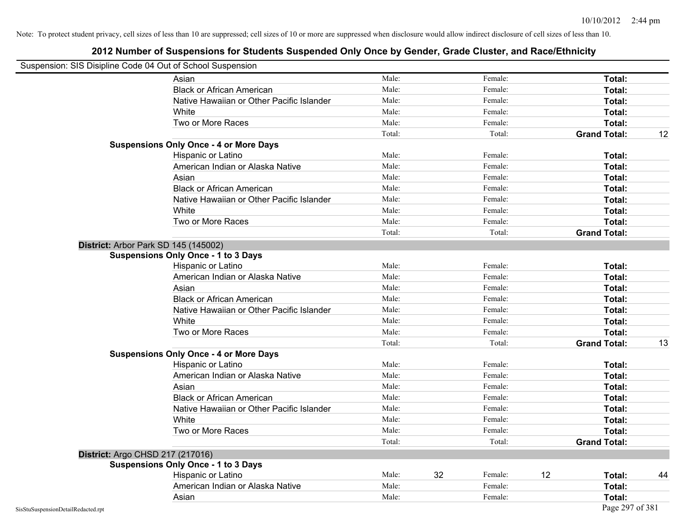| Suspension: SIS Disipline Code 04 Out of School Suspension |                                               |        |    |         |    |                     |    |
|------------------------------------------------------------|-----------------------------------------------|--------|----|---------|----|---------------------|----|
|                                                            | Asian                                         | Male:  |    | Female: |    | Total:              |    |
|                                                            | <b>Black or African American</b>              | Male:  |    | Female: |    | Total:              |    |
|                                                            | Native Hawaiian or Other Pacific Islander     | Male:  |    | Female: |    | Total:              |    |
|                                                            | White                                         | Male:  |    | Female: |    | Total:              |    |
|                                                            | Two or More Races                             | Male:  |    | Female: |    | Total:              |    |
|                                                            |                                               | Total: |    | Total:  |    | <b>Grand Total:</b> | 12 |
|                                                            | <b>Suspensions Only Once - 4 or More Days</b> |        |    |         |    |                     |    |
|                                                            | Hispanic or Latino                            | Male:  |    | Female: |    | Total:              |    |
|                                                            | American Indian or Alaska Native              | Male:  |    | Female: |    | Total:              |    |
|                                                            | Asian                                         | Male:  |    | Female: |    | Total:              |    |
|                                                            | <b>Black or African American</b>              | Male:  |    | Female: |    | Total:              |    |
|                                                            | Native Hawaiian or Other Pacific Islander     | Male:  |    | Female: |    | Total:              |    |
|                                                            | White                                         | Male:  |    | Female: |    | Total:              |    |
|                                                            | Two or More Races                             | Male:  |    | Female: |    | Total:              |    |
|                                                            |                                               | Total: |    | Total:  |    | <b>Grand Total:</b> |    |
| District: Arbor Park SD 145 (145002)                       |                                               |        |    |         |    |                     |    |
|                                                            | <b>Suspensions Only Once - 1 to 3 Days</b>    |        |    |         |    |                     |    |
|                                                            | Hispanic or Latino                            | Male:  |    | Female: |    | Total:              |    |
|                                                            | American Indian or Alaska Native              | Male:  |    | Female: |    | Total:              |    |
|                                                            | Asian                                         | Male:  |    | Female: |    | Total:              |    |
|                                                            | <b>Black or African American</b>              | Male:  |    | Female: |    | Total:              |    |
|                                                            | Native Hawaiian or Other Pacific Islander     | Male:  |    | Female: |    | Total:              |    |
|                                                            | White                                         | Male:  |    | Female: |    | Total:              |    |
|                                                            | Two or More Races                             | Male:  |    | Female: |    | Total:              |    |
|                                                            |                                               | Total: |    | Total:  |    | <b>Grand Total:</b> | 13 |
|                                                            | <b>Suspensions Only Once - 4 or More Days</b> |        |    |         |    |                     |    |
|                                                            | Hispanic or Latino                            | Male:  |    | Female: |    | Total:              |    |
|                                                            | American Indian or Alaska Native              | Male:  |    | Female: |    | Total:              |    |
|                                                            | Asian                                         | Male:  |    | Female: |    | Total:              |    |
|                                                            | <b>Black or African American</b>              | Male:  |    | Female: |    | Total:              |    |
|                                                            | Native Hawaiian or Other Pacific Islander     | Male:  |    | Female: |    | Total:              |    |
|                                                            | White                                         | Male:  |    | Female: |    | Total:              |    |
|                                                            | Two or More Races                             | Male:  |    | Female: |    | Total:              |    |
|                                                            |                                               | Total: |    | Total:  |    | <b>Grand Total:</b> |    |
| District: Argo CHSD 217 (217016)                           |                                               |        |    |         |    |                     |    |
|                                                            | <b>Suspensions Only Once - 1 to 3 Days</b>    |        |    |         |    |                     |    |
|                                                            | Hispanic or Latino                            | Male:  | 32 | Female: | 12 | Total:              | 44 |
|                                                            | American Indian or Alaska Native              | Male:  |    | Female: |    | Total:              |    |
|                                                            | Asian                                         | Male:  |    | Female: |    | Total:              |    |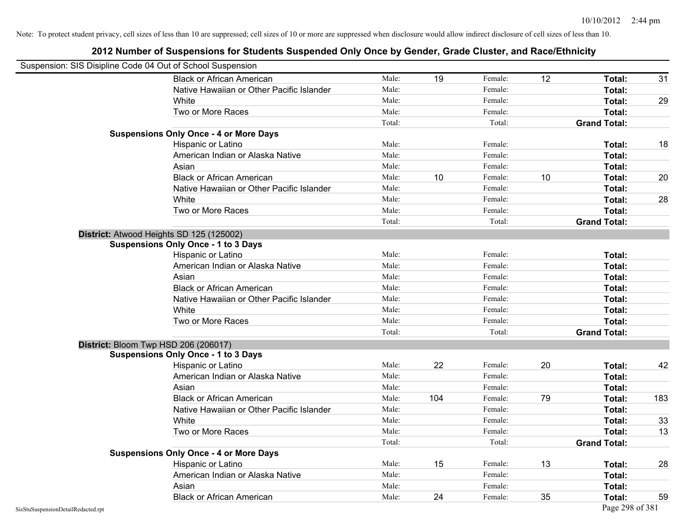|                                    | Suspension: SIS Disipline Code 04 Out of School Suspension |        |     |         |    |                     |     |
|------------------------------------|------------------------------------------------------------|--------|-----|---------|----|---------------------|-----|
|                                    | <b>Black or African American</b>                           | Male:  | 19  | Female: | 12 | Total:              | 31  |
|                                    | Native Hawaiian or Other Pacific Islander                  | Male:  |     | Female: |    | Total:              |     |
|                                    | White                                                      | Male:  |     | Female: |    | Total:              | 29  |
|                                    | Two or More Races                                          | Male:  |     | Female: |    | Total:              |     |
|                                    |                                                            | Total: |     | Total:  |    | <b>Grand Total:</b> |     |
|                                    | <b>Suspensions Only Once - 4 or More Days</b>              |        |     |         |    |                     |     |
|                                    | Hispanic or Latino                                         | Male:  |     | Female: |    | Total:              | 18  |
|                                    | American Indian or Alaska Native                           | Male:  |     | Female: |    | Total:              |     |
|                                    | Asian                                                      | Male:  |     | Female: |    | Total:              |     |
|                                    | <b>Black or African American</b>                           | Male:  | 10  | Female: | 10 | Total:              | 20  |
|                                    | Native Hawaiian or Other Pacific Islander                  | Male:  |     | Female: |    | Total:              |     |
|                                    | White                                                      | Male:  |     | Female: |    | Total:              | 28  |
|                                    | Two or More Races                                          | Male:  |     | Female: |    | Total:              |     |
|                                    |                                                            | Total: |     | Total:  |    | <b>Grand Total:</b> |     |
|                                    | District: Atwood Heights SD 125 (125002)                   |        |     |         |    |                     |     |
|                                    | <b>Suspensions Only Once - 1 to 3 Days</b>                 |        |     |         |    |                     |     |
|                                    | Hispanic or Latino                                         | Male:  |     | Female: |    | Total:              |     |
|                                    | American Indian or Alaska Native                           | Male:  |     | Female: |    | Total:              |     |
|                                    | Asian                                                      | Male:  |     | Female: |    | Total:              |     |
|                                    | <b>Black or African American</b>                           | Male:  |     | Female: |    | Total:              |     |
|                                    | Native Hawaiian or Other Pacific Islander                  | Male:  |     | Female: |    | Total:              |     |
|                                    | White                                                      | Male:  |     | Female: |    | Total:              |     |
|                                    | Two or More Races                                          | Male:  |     | Female: |    | Total:              |     |
|                                    |                                                            | Total: |     | Total:  |    | <b>Grand Total:</b> |     |
|                                    | District: Bloom Twp HSD 206 (206017)                       |        |     |         |    |                     |     |
|                                    | <b>Suspensions Only Once - 1 to 3 Days</b>                 |        |     |         |    |                     |     |
|                                    | Hispanic or Latino                                         | Male:  | 22  | Female: | 20 | Total:              | 42  |
|                                    | American Indian or Alaska Native                           | Male:  |     | Female: |    | Total:              |     |
|                                    | Asian                                                      | Male:  |     | Female: |    | Total:              |     |
|                                    | <b>Black or African American</b>                           | Male:  | 104 | Female: | 79 | Total:              | 183 |
|                                    | Native Hawaiian or Other Pacific Islander                  | Male:  |     | Female: |    | Total:              |     |
|                                    | White                                                      | Male:  |     | Female: |    | Total:              | 33  |
|                                    | Two or More Races                                          | Male:  |     | Female: |    | Total:              | 13  |
|                                    |                                                            | Total: |     | Total:  |    | <b>Grand Total:</b> |     |
|                                    | <b>Suspensions Only Once - 4 or More Days</b>              |        |     |         |    |                     |     |
|                                    | Hispanic or Latino                                         | Male:  | 15  | Female: | 13 | Total:              | 28  |
|                                    | American Indian or Alaska Native                           | Male:  |     | Female: |    | Total:              |     |
|                                    | Asian                                                      | Male:  |     | Female: |    | Total:              |     |
|                                    | <b>Black or African American</b>                           | Male:  | 24  | Female: | 35 | Total:              | 59  |
| SisStuSuspensionDetailRedacted.rpt |                                                            |        |     |         |    | Page 298 of 381     |     |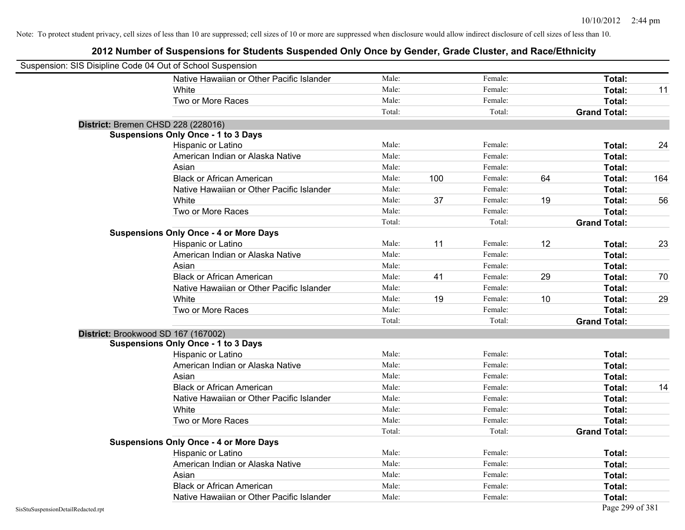| Suspension: SIS Disipline Code 04 Out of School Suspension |                                               |        |     |         |    |                     |     |
|------------------------------------------------------------|-----------------------------------------------|--------|-----|---------|----|---------------------|-----|
|                                                            | Native Hawaiian or Other Pacific Islander     | Male:  |     | Female: |    | Total:              |     |
|                                                            | White                                         | Male:  |     | Female: |    | Total:              | 11  |
|                                                            | Two or More Races                             | Male:  |     | Female: |    | Total:              |     |
|                                                            |                                               | Total: |     | Total:  |    | <b>Grand Total:</b> |     |
| District: Bremen CHSD 228 (228016)                         |                                               |        |     |         |    |                     |     |
|                                                            | <b>Suspensions Only Once - 1 to 3 Days</b>    |        |     |         |    |                     |     |
|                                                            | Hispanic or Latino                            | Male:  |     | Female: |    | Total:              | 24  |
|                                                            | American Indian or Alaska Native              | Male:  |     | Female: |    | Total:              |     |
|                                                            | Asian                                         | Male:  |     | Female: |    | Total:              |     |
|                                                            | <b>Black or African American</b>              | Male:  | 100 | Female: | 64 | Total:              | 164 |
|                                                            | Native Hawaiian or Other Pacific Islander     | Male:  |     | Female: |    | Total:              |     |
|                                                            | White                                         | Male:  | 37  | Female: | 19 | Total:              | 56  |
|                                                            | Two or More Races                             | Male:  |     | Female: |    | Total:              |     |
|                                                            |                                               | Total: |     | Total:  |    | <b>Grand Total:</b> |     |
|                                                            | <b>Suspensions Only Once - 4 or More Days</b> |        |     |         |    |                     |     |
|                                                            | Hispanic or Latino                            | Male:  | 11  | Female: | 12 | Total:              | 23  |
|                                                            | American Indian or Alaska Native              | Male:  |     | Female: |    | Total:              |     |
|                                                            | Asian                                         | Male:  |     | Female: |    | Total:              |     |
|                                                            | <b>Black or African American</b>              | Male:  | 41  | Female: | 29 | Total:              | 70  |
|                                                            | Native Hawaiian or Other Pacific Islander     | Male:  |     | Female: |    | Total:              |     |
|                                                            | White                                         | Male:  | 19  | Female: | 10 | Total:              | 29  |
|                                                            | Two or More Races                             | Male:  |     | Female: |    | Total:              |     |
|                                                            |                                               | Total: |     | Total:  |    | <b>Grand Total:</b> |     |
| District: Brookwood SD 167 (167002)                        |                                               |        |     |         |    |                     |     |
|                                                            | <b>Suspensions Only Once - 1 to 3 Days</b>    |        |     |         |    |                     |     |
|                                                            | Hispanic or Latino                            | Male:  |     | Female: |    | Total:              |     |
|                                                            | American Indian or Alaska Native              | Male:  |     | Female: |    | Total:              |     |
|                                                            | Asian                                         | Male:  |     | Female: |    | Total:              |     |
|                                                            | <b>Black or African American</b>              | Male:  |     | Female: |    | Total:              | 14  |
|                                                            | Native Hawaiian or Other Pacific Islander     | Male:  |     | Female: |    | Total:              |     |
|                                                            | White                                         | Male:  |     | Female: |    | Total:              |     |
|                                                            | Two or More Races                             | Male:  |     | Female: |    | Total:              |     |
|                                                            |                                               | Total: |     | Total:  |    | <b>Grand Total:</b> |     |
|                                                            | <b>Suspensions Only Once - 4 or More Days</b> |        |     |         |    |                     |     |
|                                                            | Hispanic or Latino                            | Male:  |     | Female: |    | Total:              |     |
|                                                            | American Indian or Alaska Native              | Male:  |     | Female: |    | Total:              |     |
|                                                            | Asian                                         | Male:  |     | Female: |    | Total:              |     |
|                                                            | <b>Black or African American</b>              | Male:  |     | Female: |    | Total:              |     |
|                                                            | Native Hawaiian or Other Pacific Islander     | Male:  |     | Female: |    | Total:              |     |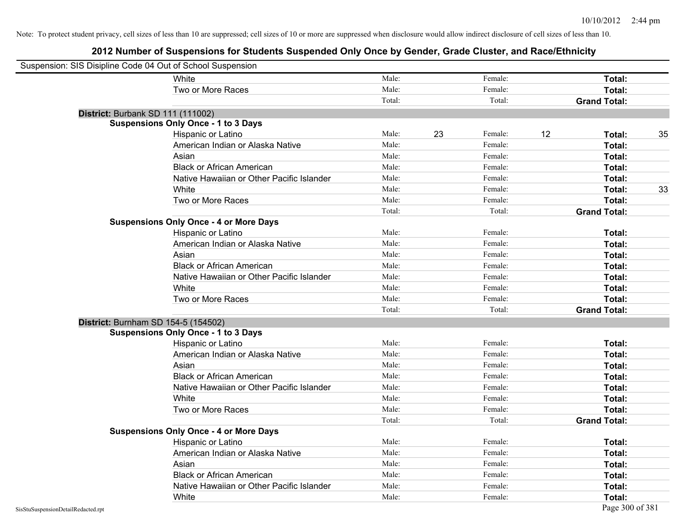| Suspension: SIS Disipline Code 04 Out of School Suspension |                                               |        |    |         |    |                     |    |
|------------------------------------------------------------|-----------------------------------------------|--------|----|---------|----|---------------------|----|
|                                                            | White                                         | Male:  |    | Female: |    | Total:              |    |
|                                                            | Two or More Races                             | Male:  |    | Female: |    | Total:              |    |
|                                                            |                                               | Total: |    | Total:  |    | <b>Grand Total:</b> |    |
| District: Burbank SD 111 (111002)                          |                                               |        |    |         |    |                     |    |
|                                                            | <b>Suspensions Only Once - 1 to 3 Days</b>    |        |    |         |    |                     |    |
|                                                            | Hispanic or Latino                            | Male:  | 23 | Female: | 12 | Total:              | 35 |
|                                                            | American Indian or Alaska Native              | Male:  |    | Female: |    | Total:              |    |
|                                                            | Asian                                         | Male:  |    | Female: |    | Total:              |    |
|                                                            | <b>Black or African American</b>              | Male:  |    | Female: |    | Total:              |    |
|                                                            | Native Hawaiian or Other Pacific Islander     | Male:  |    | Female: |    | Total:              |    |
|                                                            | White                                         | Male:  |    | Female: |    | Total:              | 33 |
|                                                            | Two or More Races                             | Male:  |    | Female: |    | Total:              |    |
|                                                            |                                               | Total: |    | Total:  |    | <b>Grand Total:</b> |    |
|                                                            | <b>Suspensions Only Once - 4 or More Days</b> |        |    |         |    |                     |    |
|                                                            | Hispanic or Latino                            | Male:  |    | Female: |    | Total:              |    |
|                                                            | American Indian or Alaska Native              | Male:  |    | Female: |    | Total:              |    |
|                                                            | Asian                                         | Male:  |    | Female: |    | Total:              |    |
|                                                            | <b>Black or African American</b>              | Male:  |    | Female: |    | Total:              |    |
|                                                            | Native Hawaiian or Other Pacific Islander     | Male:  |    | Female: |    | Total:              |    |
|                                                            | White                                         | Male:  |    | Female: |    | Total:              |    |
|                                                            | Two or More Races                             | Male:  |    | Female: |    | Total:              |    |
|                                                            |                                               | Total: |    | Total:  |    | <b>Grand Total:</b> |    |
| District: Burnham SD 154-5 (154502)                        |                                               |        |    |         |    |                     |    |
|                                                            | <b>Suspensions Only Once - 1 to 3 Days</b>    |        |    |         |    |                     |    |
|                                                            | Hispanic or Latino                            | Male:  |    | Female: |    | Total:              |    |
|                                                            | American Indian or Alaska Native              | Male:  |    | Female: |    | Total:              |    |
|                                                            | Asian                                         | Male:  |    | Female: |    | Total:              |    |
|                                                            | <b>Black or African American</b>              | Male:  |    | Female: |    | Total:              |    |
|                                                            | Native Hawaiian or Other Pacific Islander     | Male:  |    | Female: |    | Total:              |    |
|                                                            | White                                         | Male:  |    | Female: |    | Total:              |    |
|                                                            | Two or More Races                             | Male:  |    | Female: |    | Total:              |    |
|                                                            |                                               | Total: |    | Total:  |    | <b>Grand Total:</b> |    |
|                                                            | <b>Suspensions Only Once - 4 or More Days</b> |        |    |         |    |                     |    |
|                                                            | Hispanic or Latino                            | Male:  |    | Female: |    | Total:              |    |
|                                                            | American Indian or Alaska Native              | Male:  |    | Female: |    | Total:              |    |
|                                                            | Asian                                         | Male:  |    | Female: |    | Total:              |    |
|                                                            | <b>Black or African American</b>              | Male:  |    | Female: |    | Total:              |    |
|                                                            | Native Hawaiian or Other Pacific Islander     | Male:  |    | Female: |    | Total:              |    |
|                                                            | White                                         | Male:  |    | Female: |    | Total:              |    |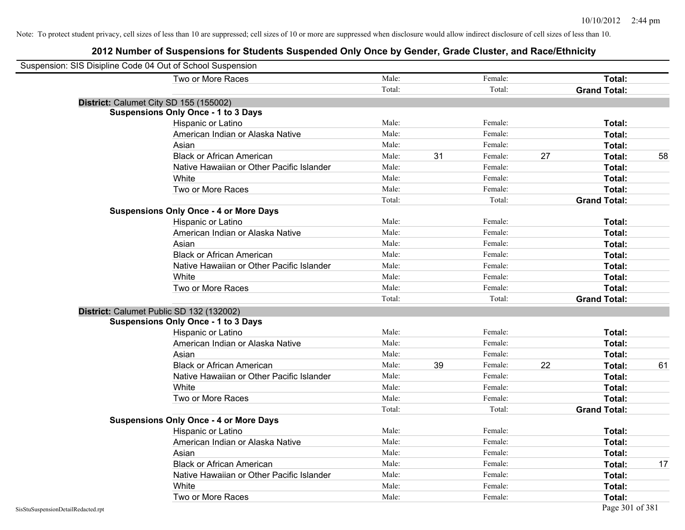| Suspension: SIS Disipline Code 04 Out of School Suspension |                                               |        |    |         |    |                     |    |
|------------------------------------------------------------|-----------------------------------------------|--------|----|---------|----|---------------------|----|
|                                                            | Two or More Races                             | Male:  |    | Female: |    | Total:              |    |
|                                                            |                                               | Total: |    | Total:  |    | <b>Grand Total:</b> |    |
|                                                            | District: Calumet City SD 155 (155002)        |        |    |         |    |                     |    |
|                                                            | <b>Suspensions Only Once - 1 to 3 Days</b>    |        |    |         |    |                     |    |
|                                                            | Hispanic or Latino                            | Male:  |    | Female: |    | Total:              |    |
|                                                            | American Indian or Alaska Native              | Male:  |    | Female: |    | Total:              |    |
|                                                            | Asian                                         | Male:  |    | Female: |    | Total:              |    |
|                                                            | <b>Black or African American</b>              | Male:  | 31 | Female: | 27 | Total:              | 58 |
|                                                            | Native Hawaiian or Other Pacific Islander     | Male:  |    | Female: |    | Total:              |    |
|                                                            | White                                         | Male:  |    | Female: |    | Total:              |    |
|                                                            | Two or More Races                             | Male:  |    | Female: |    | Total:              |    |
|                                                            |                                               | Total: |    | Total:  |    | <b>Grand Total:</b> |    |
|                                                            | <b>Suspensions Only Once - 4 or More Days</b> |        |    |         |    |                     |    |
|                                                            | Hispanic or Latino                            | Male:  |    | Female: |    | Total:              |    |
|                                                            | American Indian or Alaska Native              | Male:  |    | Female: |    | Total:              |    |
|                                                            | Asian                                         | Male:  |    | Female: |    | Total:              |    |
|                                                            | <b>Black or African American</b>              | Male:  |    | Female: |    | Total:              |    |
|                                                            | Native Hawaiian or Other Pacific Islander     | Male:  |    | Female: |    | Total:              |    |
|                                                            | White                                         | Male:  |    | Female: |    | Total:              |    |
|                                                            | Two or More Races                             | Male:  |    | Female: |    | Total:              |    |
|                                                            |                                               | Total: |    | Total:  |    | <b>Grand Total:</b> |    |
|                                                            | District: Calumet Public SD 132 (132002)      |        |    |         |    |                     |    |
|                                                            | <b>Suspensions Only Once - 1 to 3 Days</b>    |        |    |         |    |                     |    |
|                                                            | Hispanic or Latino                            | Male:  |    | Female: |    | Total:              |    |
|                                                            | American Indian or Alaska Native              | Male:  |    | Female: |    | Total:              |    |
|                                                            | Asian                                         | Male:  |    | Female: |    | Total:              |    |
|                                                            | <b>Black or African American</b>              | Male:  | 39 | Female: | 22 | Total:              | 61 |
|                                                            | Native Hawaiian or Other Pacific Islander     | Male:  |    | Female: |    | Total:              |    |
|                                                            | White                                         | Male:  |    | Female: |    | Total:              |    |
|                                                            | Two or More Races                             | Male:  |    | Female: |    | Total:              |    |
|                                                            |                                               | Total: |    | Total:  |    | <b>Grand Total:</b> |    |
|                                                            | <b>Suspensions Only Once - 4 or More Days</b> |        |    |         |    |                     |    |
|                                                            | Hispanic or Latino                            | Male:  |    | Female: |    | Total:              |    |
|                                                            | American Indian or Alaska Native              | Male:  |    | Female: |    | Total:              |    |
|                                                            | Asian                                         | Male:  |    | Female: |    | Total:              |    |
|                                                            | <b>Black or African American</b>              | Male:  |    | Female: |    | Total:              | 17 |
|                                                            | Native Hawaiian or Other Pacific Islander     | Male:  |    | Female: |    | Total:              |    |
|                                                            | White                                         | Male:  |    | Female: |    | Total:              |    |
|                                                            | Two or More Races                             | Male:  |    | Female: |    | Total:              |    |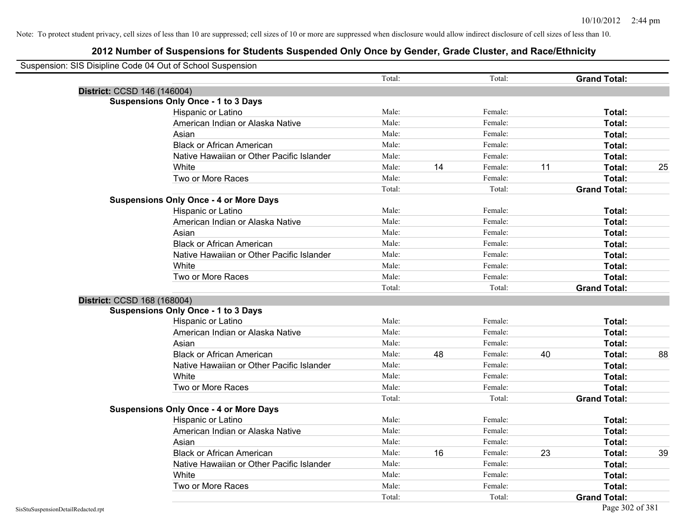| Suspension: SIS Disipline Code 04 Out of School Suspension |                                               |        |    |         |    |                     |    |
|------------------------------------------------------------|-----------------------------------------------|--------|----|---------|----|---------------------|----|
|                                                            |                                               | Total: |    | Total:  |    | <b>Grand Total:</b> |    |
| District: CCSD 146 (146004)                                |                                               |        |    |         |    |                     |    |
|                                                            | <b>Suspensions Only Once - 1 to 3 Days</b>    |        |    |         |    |                     |    |
|                                                            | Hispanic or Latino                            | Male:  |    | Female: |    | Total:              |    |
|                                                            | American Indian or Alaska Native              | Male:  |    | Female: |    | Total:              |    |
|                                                            | Asian                                         | Male:  |    | Female: |    | Total:              |    |
|                                                            | <b>Black or African American</b>              | Male:  |    | Female: |    | Total:              |    |
|                                                            | Native Hawaiian or Other Pacific Islander     | Male:  |    | Female: |    | Total:              |    |
|                                                            | White                                         | Male:  | 14 | Female: | 11 | Total:              | 25 |
|                                                            | Two or More Races                             | Male:  |    | Female: |    | Total:              |    |
|                                                            |                                               | Total: |    | Total:  |    | <b>Grand Total:</b> |    |
|                                                            | <b>Suspensions Only Once - 4 or More Days</b> |        |    |         |    |                     |    |
|                                                            | Hispanic or Latino                            | Male:  |    | Female: |    | Total:              |    |
|                                                            | American Indian or Alaska Native              | Male:  |    | Female: |    | Total:              |    |
|                                                            | Asian                                         | Male:  |    | Female: |    | Total:              |    |
|                                                            | <b>Black or African American</b>              | Male:  |    | Female: |    | Total:              |    |
|                                                            | Native Hawaiian or Other Pacific Islander     | Male:  |    | Female: |    | Total:              |    |
|                                                            | White                                         | Male:  |    | Female: |    | Total:              |    |
|                                                            | Two or More Races                             | Male:  |    | Female: |    | Total:              |    |
|                                                            |                                               | Total: |    | Total:  |    | <b>Grand Total:</b> |    |
| District: CCSD 168 (168004)                                |                                               |        |    |         |    |                     |    |
|                                                            | <b>Suspensions Only Once - 1 to 3 Days</b>    |        |    |         |    |                     |    |
|                                                            | Hispanic or Latino                            | Male:  |    | Female: |    | Total:              |    |
|                                                            | American Indian or Alaska Native              | Male:  |    | Female: |    | Total:              |    |
|                                                            | Asian                                         | Male:  |    | Female: |    | Total:              |    |
|                                                            | <b>Black or African American</b>              | Male:  | 48 | Female: | 40 | Total:              | 88 |
|                                                            | Native Hawaiian or Other Pacific Islander     | Male:  |    | Female: |    | Total:              |    |
|                                                            | White                                         | Male:  |    | Female: |    | Total:              |    |
|                                                            | Two or More Races                             | Male:  |    | Female: |    | Total:              |    |
|                                                            |                                               | Total: |    | Total:  |    | <b>Grand Total:</b> |    |
|                                                            | <b>Suspensions Only Once - 4 or More Days</b> |        |    |         |    |                     |    |
|                                                            | Hispanic or Latino                            | Male:  |    | Female: |    | Total:              |    |
|                                                            | American Indian or Alaska Native              | Male:  |    | Female: |    | Total:              |    |
|                                                            | Asian                                         | Male:  |    | Female: |    | Total:              |    |
|                                                            | <b>Black or African American</b>              | Male:  | 16 | Female: | 23 | Total:              | 39 |
|                                                            | Native Hawaiian or Other Pacific Islander     | Male:  |    | Female: |    | Total:              |    |
|                                                            | White                                         | Male:  |    | Female: |    | Total:              |    |
|                                                            | Two or More Races                             | Male:  |    | Female: |    | Total:              |    |
|                                                            |                                               | Total: |    | Total:  |    | <b>Grand Total:</b> |    |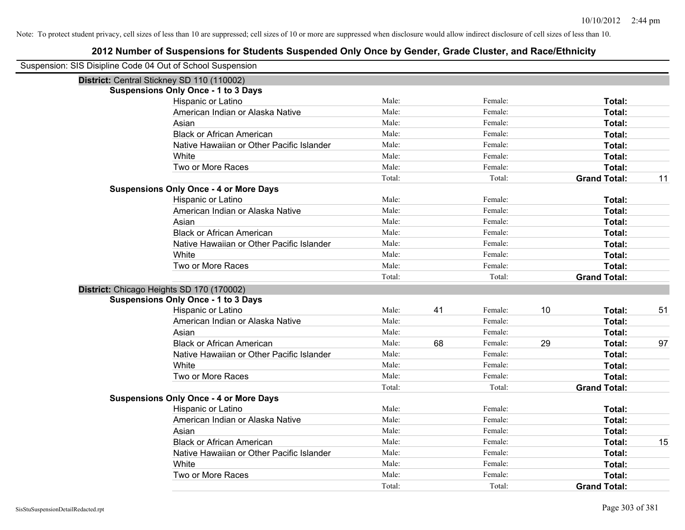| Suspension: SIS Disipline Code 04 Out of School Suspension |                                               |        |    |         |    |                     |    |
|------------------------------------------------------------|-----------------------------------------------|--------|----|---------|----|---------------------|----|
| District: Central Stickney SD 110 (110002)                 |                                               |        |    |         |    |                     |    |
|                                                            | <b>Suspensions Only Once - 1 to 3 Days</b>    |        |    |         |    |                     |    |
|                                                            | Hispanic or Latino                            | Male:  |    | Female: |    | Total:              |    |
|                                                            | American Indian or Alaska Native              | Male:  |    | Female: |    | Total:              |    |
|                                                            | Asian                                         | Male:  |    | Female: |    | Total:              |    |
|                                                            | <b>Black or African American</b>              | Male:  |    | Female: |    | Total:              |    |
|                                                            | Native Hawaiian or Other Pacific Islander     | Male:  |    | Female: |    | Total:              |    |
|                                                            | White                                         | Male:  |    | Female: |    | Total:              |    |
|                                                            | Two or More Races                             | Male:  |    | Female: |    | Total:              |    |
|                                                            |                                               | Total: |    | Total:  |    | <b>Grand Total:</b> | 11 |
|                                                            | <b>Suspensions Only Once - 4 or More Days</b> |        |    |         |    |                     |    |
|                                                            | Hispanic or Latino                            | Male:  |    | Female: |    | Total:              |    |
|                                                            | American Indian or Alaska Native              | Male:  |    | Female: |    | Total:              |    |
|                                                            | Asian                                         | Male:  |    | Female: |    | Total:              |    |
|                                                            | <b>Black or African American</b>              | Male:  |    | Female: |    | Total:              |    |
|                                                            | Native Hawaiian or Other Pacific Islander     | Male:  |    | Female: |    | Total:              |    |
|                                                            | White                                         | Male:  |    | Female: |    | Total:              |    |
|                                                            | Two or More Races                             | Male:  |    | Female: |    | Total:              |    |
|                                                            |                                               | Total: |    | Total:  |    | <b>Grand Total:</b> |    |
| District: Chicago Heights SD 170 (170002)                  |                                               |        |    |         |    |                     |    |
|                                                            | <b>Suspensions Only Once - 1 to 3 Days</b>    |        |    |         |    |                     |    |
|                                                            | Hispanic or Latino                            | Male:  | 41 | Female: | 10 | Total:              | 51 |
|                                                            | American Indian or Alaska Native              | Male:  |    | Female: |    | Total:              |    |
|                                                            | Asian                                         | Male:  |    | Female: |    | Total:              |    |
|                                                            | <b>Black or African American</b>              | Male:  | 68 | Female: | 29 | Total:              | 97 |
|                                                            | Native Hawaiian or Other Pacific Islander     | Male:  |    | Female: |    | Total:              |    |
|                                                            | White                                         | Male:  |    | Female: |    | Total:              |    |
|                                                            | Two or More Races                             | Male:  |    | Female: |    | Total:              |    |
|                                                            |                                               | Total: |    | Total:  |    | <b>Grand Total:</b> |    |
|                                                            | <b>Suspensions Only Once - 4 or More Days</b> |        |    |         |    |                     |    |
|                                                            | Hispanic or Latino                            | Male:  |    | Female: |    | Total:              |    |
|                                                            | American Indian or Alaska Native              | Male:  |    | Female: |    | Total:              |    |
|                                                            | Asian                                         | Male:  |    | Female: |    | Total:              |    |
|                                                            | <b>Black or African American</b>              | Male:  |    | Female: |    | Total:              | 15 |
|                                                            | Native Hawaiian or Other Pacific Islander     | Male:  |    | Female: |    | Total:              |    |
|                                                            | White                                         | Male:  |    | Female: |    | Total:              |    |
|                                                            | Two or More Races                             | Male:  |    | Female: |    | <b>Total:</b>       |    |
|                                                            |                                               | Total: |    | Total:  |    | <b>Grand Total:</b> |    |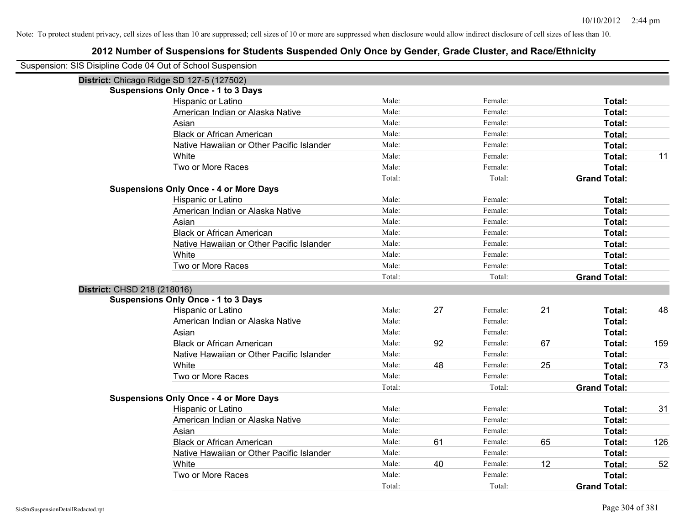| Suspension: SIS Disipline Code 04 Out of School Suspension |                                               |        |    |         |    |                     |     |
|------------------------------------------------------------|-----------------------------------------------|--------|----|---------|----|---------------------|-----|
|                                                            | District: Chicago Ridge SD 127-5 (127502)     |        |    |         |    |                     |     |
|                                                            | <b>Suspensions Only Once - 1 to 3 Days</b>    |        |    |         |    |                     |     |
|                                                            | Hispanic or Latino                            | Male:  |    | Female: |    | Total:              |     |
|                                                            | American Indian or Alaska Native              | Male:  |    | Female: |    | Total:              |     |
|                                                            | Asian                                         | Male:  |    | Female: |    | Total:              |     |
|                                                            | <b>Black or African American</b>              | Male:  |    | Female: |    | Total:              |     |
|                                                            | Native Hawaiian or Other Pacific Islander     | Male:  |    | Female: |    | Total:              |     |
|                                                            | White                                         | Male:  |    | Female: |    | Total:              | 11  |
|                                                            | Two or More Races                             | Male:  |    | Female: |    | Total:              |     |
|                                                            |                                               | Total: |    | Total:  |    | <b>Grand Total:</b> |     |
|                                                            | <b>Suspensions Only Once - 4 or More Days</b> |        |    |         |    |                     |     |
|                                                            | Hispanic or Latino                            | Male:  |    | Female: |    | Total:              |     |
|                                                            | American Indian or Alaska Native              | Male:  |    | Female: |    | Total:              |     |
|                                                            | Asian                                         | Male:  |    | Female: |    | Total:              |     |
|                                                            | <b>Black or African American</b>              | Male:  |    | Female: |    | Total:              |     |
|                                                            | Native Hawaiian or Other Pacific Islander     | Male:  |    | Female: |    | Total:              |     |
|                                                            | White                                         | Male:  |    | Female: |    | Total:              |     |
|                                                            | Two or More Races                             | Male:  |    | Female: |    | Total:              |     |
|                                                            |                                               | Total: |    | Total:  |    | <b>Grand Total:</b> |     |
| District: CHSD 218 (218016)                                |                                               |        |    |         |    |                     |     |
|                                                            | <b>Suspensions Only Once - 1 to 3 Days</b>    |        |    |         |    |                     |     |
|                                                            | Hispanic or Latino                            | Male:  | 27 | Female: | 21 | Total:              | 48  |
|                                                            | American Indian or Alaska Native              | Male:  |    | Female: |    | Total:              |     |
|                                                            | Asian                                         | Male:  |    | Female: |    | Total:              |     |
|                                                            | <b>Black or African American</b>              | Male:  | 92 | Female: | 67 | Total:              | 159 |
|                                                            | Native Hawaiian or Other Pacific Islander     | Male:  |    | Female: |    | Total:              |     |
|                                                            | White                                         | Male:  | 48 | Female: | 25 | Total:              | 73  |
|                                                            | Two or More Races                             | Male:  |    | Female: |    | <b>Total:</b>       |     |
|                                                            |                                               | Total: |    | Total:  |    | <b>Grand Total:</b> |     |
|                                                            | <b>Suspensions Only Once - 4 or More Days</b> |        |    |         |    |                     |     |
|                                                            | Hispanic or Latino                            | Male:  |    | Female: |    | Total:              | 31  |
|                                                            | American Indian or Alaska Native              | Male:  |    | Female: |    | Total:              |     |
|                                                            | Asian                                         | Male:  |    | Female: |    | Total:              |     |
|                                                            | <b>Black or African American</b>              | Male:  | 61 | Female: | 65 | Total:              | 126 |
|                                                            | Native Hawaiian or Other Pacific Islander     | Male:  |    | Female: |    | Total:              |     |
|                                                            | White                                         | Male:  | 40 | Female: | 12 | Total:              | 52  |
|                                                            | Two or More Races                             | Male:  |    | Female: |    | <b>Total:</b>       |     |
|                                                            |                                               | Total: |    | Total:  |    | <b>Grand Total:</b> |     |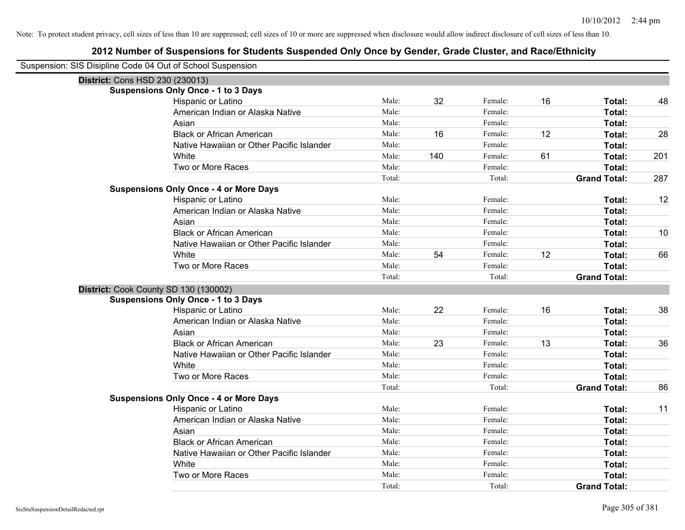| Suspension: SIS Disipline Code 04 Out of School Suspension |                                               |        |     |         |    |                     |     |
|------------------------------------------------------------|-----------------------------------------------|--------|-----|---------|----|---------------------|-----|
| <b>District: Cons HSD 230 (230013)</b>                     |                                               |        |     |         |    |                     |     |
|                                                            | <b>Suspensions Only Once - 1 to 3 Days</b>    |        |     |         |    |                     |     |
|                                                            | Hispanic or Latino                            | Male:  | 32  | Female: | 16 | Total:              | 48  |
|                                                            | American Indian or Alaska Native              | Male:  |     | Female: |    | Total:              |     |
|                                                            | Asian                                         | Male:  |     | Female: |    | Total:              |     |
|                                                            | <b>Black or African American</b>              | Male:  | 16  | Female: | 12 | Total:              | 28  |
|                                                            | Native Hawaiian or Other Pacific Islander     | Male:  |     | Female: |    | Total:              |     |
|                                                            | White                                         | Male:  | 140 | Female: | 61 | Total:              | 201 |
|                                                            | Two or More Races                             | Male:  |     | Female: |    | Total:              |     |
|                                                            |                                               | Total: |     | Total:  |    | <b>Grand Total:</b> | 287 |
|                                                            | <b>Suspensions Only Once - 4 or More Days</b> |        |     |         |    |                     |     |
|                                                            | Hispanic or Latino                            | Male:  |     | Female: |    | Total:              | 12  |
|                                                            | American Indian or Alaska Native              | Male:  |     | Female: |    | Total:              |     |
|                                                            | Asian                                         | Male:  |     | Female: |    | Total:              |     |
|                                                            | <b>Black or African American</b>              | Male:  |     | Female: |    | Total:              | 10  |
|                                                            | Native Hawaiian or Other Pacific Islander     | Male:  |     | Female: |    | Total:              |     |
|                                                            | White                                         | Male:  | 54  | Female: | 12 | Total:              | 66  |
|                                                            | Two or More Races                             | Male:  |     | Female: |    | Total:              |     |
|                                                            |                                               | Total: |     | Total:  |    | <b>Grand Total:</b> |     |
| District: Cook County SD 130 (130002)                      |                                               |        |     |         |    |                     |     |
|                                                            | <b>Suspensions Only Once - 1 to 3 Days</b>    |        |     |         |    |                     |     |
|                                                            | Hispanic or Latino                            | Male:  | 22  | Female: | 16 | Total:              | 38  |
|                                                            | American Indian or Alaska Native              | Male:  |     | Female: |    | Total:              |     |
|                                                            | Asian                                         | Male:  |     | Female: |    | Total:              |     |
|                                                            | <b>Black or African American</b>              | Male:  | 23  | Female: | 13 | Total:              | 36  |
|                                                            | Native Hawaiian or Other Pacific Islander     | Male:  |     | Female: |    | Total:              |     |
|                                                            | White                                         | Male:  |     | Female: |    | Total:              |     |
|                                                            | Two or More Races                             | Male:  |     | Female: |    | <b>Total:</b>       |     |
|                                                            |                                               | Total: |     | Total:  |    | <b>Grand Total:</b> | 86  |
|                                                            | <b>Suspensions Only Once - 4 or More Days</b> |        |     |         |    |                     |     |
|                                                            | Hispanic or Latino                            | Male:  |     | Female: |    | Total:              | 11  |
|                                                            | American Indian or Alaska Native              | Male:  |     | Female: |    | Total:              |     |
|                                                            | Asian                                         | Male:  |     | Female: |    | Total:              |     |
|                                                            | <b>Black or African American</b>              | Male:  |     | Female: |    | Total:              |     |
|                                                            | Native Hawaiian or Other Pacific Islander     | Male:  |     | Female: |    | Total:              |     |
|                                                            | White                                         | Male:  |     | Female: |    | Total:              |     |
|                                                            | Two or More Races                             | Male:  |     | Female: |    | <b>Total:</b>       |     |
|                                                            |                                               | Total: |     | Total:  |    | <b>Grand Total:</b> |     |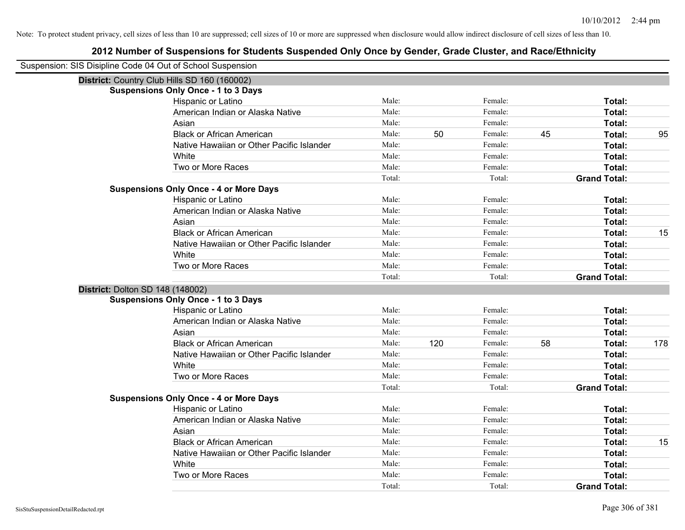| Suspension: SIS Disipline Code 04 Out of School Suspension |                                               |        |     |         |    |                     |     |
|------------------------------------------------------------|-----------------------------------------------|--------|-----|---------|----|---------------------|-----|
|                                                            | District: Country Club Hills SD 160 (160002)  |        |     |         |    |                     |     |
|                                                            | <b>Suspensions Only Once - 1 to 3 Days</b>    |        |     |         |    |                     |     |
|                                                            | Hispanic or Latino                            | Male:  |     | Female: |    | Total:              |     |
|                                                            | American Indian or Alaska Native              | Male:  |     | Female: |    | Total:              |     |
|                                                            | Asian                                         | Male:  |     | Female: |    | Total:              |     |
|                                                            | <b>Black or African American</b>              | Male:  | 50  | Female: | 45 | Total:              | 95  |
|                                                            | Native Hawaiian or Other Pacific Islander     | Male:  |     | Female: |    | Total:              |     |
|                                                            | White                                         | Male:  |     | Female: |    | Total:              |     |
|                                                            | Two or More Races                             | Male:  |     | Female: |    | Total:              |     |
|                                                            |                                               | Total: |     | Total:  |    | <b>Grand Total:</b> |     |
|                                                            | <b>Suspensions Only Once - 4 or More Days</b> |        |     |         |    |                     |     |
|                                                            | Hispanic or Latino                            | Male:  |     | Female: |    | Total:              |     |
|                                                            | American Indian or Alaska Native              | Male:  |     | Female: |    | Total:              |     |
|                                                            | Asian                                         | Male:  |     | Female: |    | Total:              |     |
|                                                            | <b>Black or African American</b>              | Male:  |     | Female: |    | Total:              | 15  |
|                                                            | Native Hawaiian or Other Pacific Islander     | Male:  |     | Female: |    | Total:              |     |
|                                                            | White                                         | Male:  |     | Female: |    | Total:              |     |
|                                                            | Two or More Races                             | Male:  |     | Female: |    | Total:              |     |
|                                                            |                                               | Total: |     | Total:  |    | <b>Grand Total:</b> |     |
| District: Dolton SD 148 (148002)                           |                                               |        |     |         |    |                     |     |
|                                                            | <b>Suspensions Only Once - 1 to 3 Days</b>    |        |     |         |    |                     |     |
|                                                            | Hispanic or Latino                            | Male:  |     | Female: |    | Total:              |     |
|                                                            | American Indian or Alaska Native              | Male:  |     | Female: |    | Total:              |     |
|                                                            | Asian                                         | Male:  |     | Female: |    | Total:              |     |
|                                                            | <b>Black or African American</b>              | Male:  | 120 | Female: | 58 | Total:              | 178 |
|                                                            | Native Hawaiian or Other Pacific Islander     | Male:  |     | Female: |    | Total:              |     |
|                                                            | White                                         | Male:  |     | Female: |    | Total:              |     |
|                                                            | Two or More Races                             | Male:  |     | Female: |    | Total:              |     |
|                                                            |                                               | Total: |     | Total:  |    | <b>Grand Total:</b> |     |
|                                                            | <b>Suspensions Only Once - 4 or More Days</b> |        |     |         |    |                     |     |
|                                                            | Hispanic or Latino                            | Male:  |     | Female: |    | Total:              |     |
|                                                            | American Indian or Alaska Native              | Male:  |     | Female: |    | Total:              |     |
|                                                            | Asian                                         | Male:  |     | Female: |    | Total:              |     |
|                                                            | <b>Black or African American</b>              | Male:  |     | Female: |    | Total:              | 15  |
|                                                            | Native Hawaiian or Other Pacific Islander     | Male:  |     | Female: |    | Total:              |     |
|                                                            | White                                         | Male:  |     | Female: |    | Total:              |     |
|                                                            | Two or More Races                             | Male:  |     | Female: |    | Total:              |     |
|                                                            |                                               | Total: |     | Total:  |    | <b>Grand Total:</b> |     |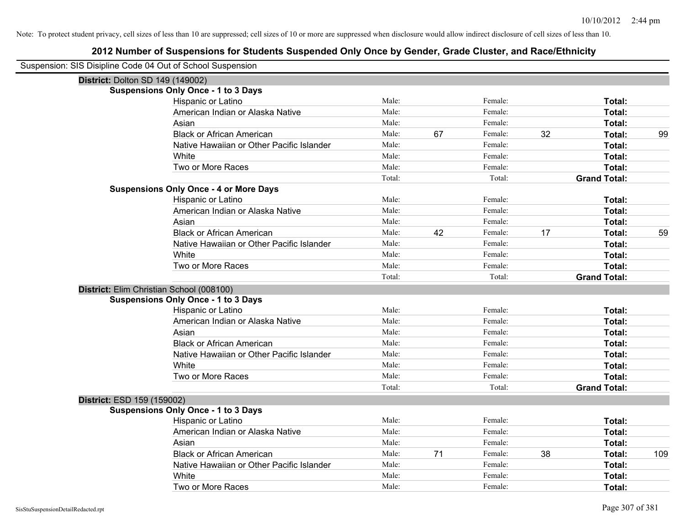| Suspension: SIS Disipline Code 04 Out of School Suspension |                                               |        |    |         |    |                     |     |
|------------------------------------------------------------|-----------------------------------------------|--------|----|---------|----|---------------------|-----|
| District: Dolton SD 149 (149002)                           |                                               |        |    |         |    |                     |     |
|                                                            | <b>Suspensions Only Once - 1 to 3 Days</b>    |        |    |         |    |                     |     |
|                                                            | Hispanic or Latino                            | Male:  |    | Female: |    | Total:              |     |
|                                                            | American Indian or Alaska Native              | Male:  |    | Female: |    | Total:              |     |
|                                                            | Asian                                         | Male:  |    | Female: |    | Total:              |     |
|                                                            | <b>Black or African American</b>              | Male:  | 67 | Female: | 32 | Total:              | 99  |
|                                                            | Native Hawaiian or Other Pacific Islander     | Male:  |    | Female: |    | Total:              |     |
|                                                            | White                                         | Male:  |    | Female: |    | Total:              |     |
|                                                            | Two or More Races                             | Male:  |    | Female: |    | Total:              |     |
|                                                            |                                               | Total: |    | Total:  |    | <b>Grand Total:</b> |     |
|                                                            | <b>Suspensions Only Once - 4 or More Days</b> |        |    |         |    |                     |     |
|                                                            | Hispanic or Latino                            | Male:  |    | Female: |    | Total:              |     |
|                                                            | American Indian or Alaska Native              | Male:  |    | Female: |    | Total:              |     |
|                                                            | Asian                                         | Male:  |    | Female: |    | Total:              |     |
|                                                            | <b>Black or African American</b>              | Male:  | 42 | Female: | 17 | Total:              | 59  |
|                                                            | Native Hawaiian or Other Pacific Islander     | Male:  |    | Female: |    | Total:              |     |
|                                                            | White                                         | Male:  |    | Female: |    | Total:              |     |
|                                                            | Two or More Races                             | Male:  |    | Female: |    | Total:              |     |
|                                                            |                                               | Total: |    | Total:  |    | <b>Grand Total:</b> |     |
| District: Elim Christian School (008100)                   |                                               |        |    |         |    |                     |     |
|                                                            | <b>Suspensions Only Once - 1 to 3 Days</b>    |        |    |         |    |                     |     |
|                                                            | Hispanic or Latino                            | Male:  |    | Female: |    | Total:              |     |
|                                                            | American Indian or Alaska Native              | Male:  |    | Female: |    | Total:              |     |
|                                                            | Asian                                         | Male:  |    | Female: |    | Total:              |     |
|                                                            | <b>Black or African American</b>              | Male:  |    | Female: |    | Total:              |     |
|                                                            | Native Hawaiian or Other Pacific Islander     | Male:  |    | Female: |    | Total:              |     |
|                                                            | White                                         | Male:  |    | Female: |    | Total:              |     |
|                                                            | Two or More Races                             | Male:  |    | Female: |    | Total:              |     |
|                                                            |                                               | Total: |    | Total:  |    | <b>Grand Total:</b> |     |
| District: ESD 159 (159002)                                 |                                               |        |    |         |    |                     |     |
|                                                            | <b>Suspensions Only Once - 1 to 3 Days</b>    |        |    |         |    |                     |     |
|                                                            | Hispanic or Latino                            | Male:  |    | Female: |    | Total:              |     |
|                                                            | American Indian or Alaska Native              | Male:  |    | Female: |    | Total:              |     |
|                                                            | Asian                                         | Male:  |    | Female: |    | Total:              |     |
|                                                            | <b>Black or African American</b>              | Male:  | 71 | Female: | 38 | Total:              | 109 |
|                                                            | Native Hawaiian or Other Pacific Islander     | Male:  |    | Female: |    | Total:              |     |
|                                                            | White                                         | Male:  |    | Female: |    | Total:              |     |
|                                                            | Two or More Races                             | Male:  |    | Female: |    | Total:              |     |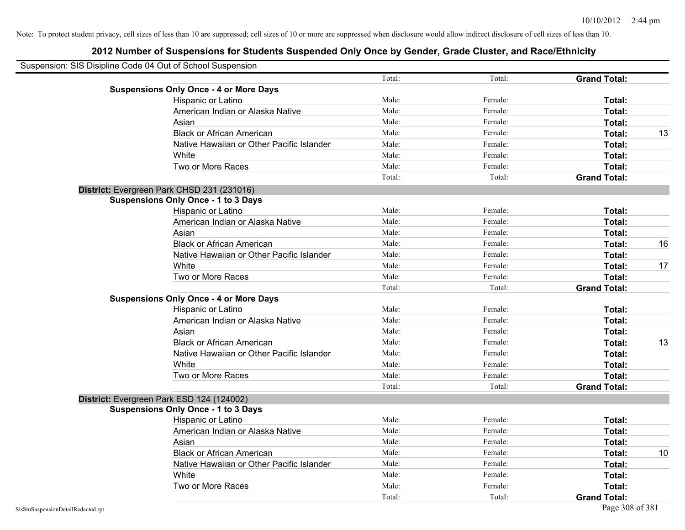| Suspension: SIS Disipline Code 04 Out of School Suspension |        |         |                     |    |
|------------------------------------------------------------|--------|---------|---------------------|----|
|                                                            | Total: | Total:  | <b>Grand Total:</b> |    |
| <b>Suspensions Only Once - 4 or More Days</b>              |        |         |                     |    |
| Hispanic or Latino                                         | Male:  | Female: | Total:              |    |
| American Indian or Alaska Native                           | Male:  | Female: | Total:              |    |
| Asian                                                      | Male:  | Female: | Total:              |    |
| <b>Black or African American</b>                           | Male:  | Female: | Total:              | 13 |
| Native Hawaiian or Other Pacific Islander                  | Male:  | Female: | Total:              |    |
| White                                                      | Male:  | Female: | Total:              |    |
| Two or More Races                                          | Male:  | Female: | Total:              |    |
|                                                            | Total: | Total:  | <b>Grand Total:</b> |    |
| District: Evergreen Park CHSD 231 (231016)                 |        |         |                     |    |
| <b>Suspensions Only Once - 1 to 3 Days</b>                 |        |         |                     |    |
| Hispanic or Latino                                         | Male:  | Female: | Total:              |    |
| American Indian or Alaska Native                           | Male:  | Female: | Total:              |    |
| Asian                                                      | Male:  | Female: | Total:              |    |
| <b>Black or African American</b>                           | Male:  | Female: | Total:              | 16 |
| Native Hawaiian or Other Pacific Islander                  | Male:  | Female: | Total:              |    |
| White                                                      | Male:  | Female: | Total:              | 17 |
| Two or More Races                                          | Male:  | Female: | Total:              |    |
|                                                            | Total: | Total:  | <b>Grand Total:</b> |    |
| <b>Suspensions Only Once - 4 or More Days</b>              |        |         |                     |    |
| Hispanic or Latino                                         | Male:  | Female: | Total:              |    |
| American Indian or Alaska Native                           | Male:  | Female: | Total:              |    |
| Asian                                                      | Male:  | Female: | Total:              |    |
| <b>Black or African American</b>                           | Male:  | Female: | Total:              | 13 |
| Native Hawaiian or Other Pacific Islander                  | Male:  | Female: | Total:              |    |
| White                                                      | Male:  | Female: | Total:              |    |
| Two or More Races                                          | Male:  | Female: | Total:              |    |
|                                                            | Total: | Total:  | <b>Grand Total:</b> |    |
| District: Evergreen Park ESD 124 (124002)                  |        |         |                     |    |
| <b>Suspensions Only Once - 1 to 3 Days</b>                 |        |         |                     |    |
| Hispanic or Latino                                         | Male:  | Female: | Total:              |    |
| American Indian or Alaska Native                           | Male:  | Female: | Total:              |    |
| Asian                                                      | Male:  | Female: | Total:              |    |
| <b>Black or African American</b>                           | Male:  | Female: | Total:              | 10 |
| Native Hawaiian or Other Pacific Islander                  | Male:  | Female: | Total:              |    |
| White                                                      | Male:  | Female: | Total:              |    |
| Two or More Races                                          | Male:  | Female: | Total:              |    |
|                                                            | Total: | Total:  | <b>Grand Total:</b> |    |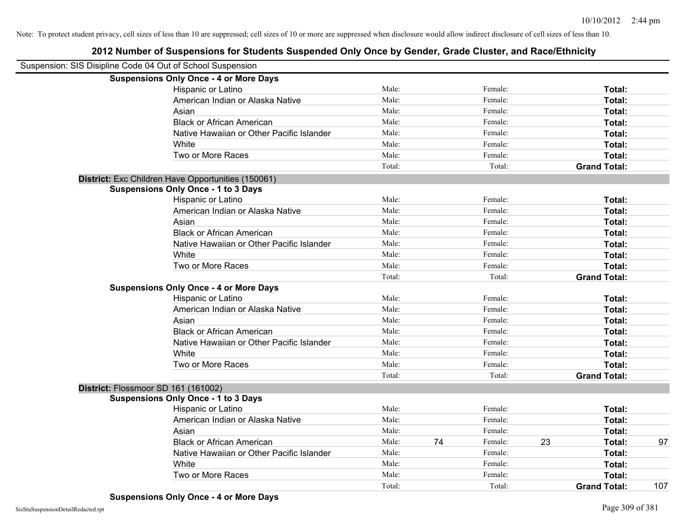| Total:<br>Total:<br>Total: |                                                                   |
|----------------------------|-------------------------------------------------------------------|
|                            |                                                                   |
|                            |                                                                   |
|                            |                                                                   |
|                            |                                                                   |
|                            |                                                                   |
| Total:                     |                                                                   |
| Total:                     |                                                                   |
| Total:                     |                                                                   |
| Total:                     |                                                                   |
| <b>Grand Total:</b>        |                                                                   |
|                            |                                                                   |
|                            |                                                                   |
| Total:                     |                                                                   |
| Total:                     |                                                                   |
| Total:                     |                                                                   |
| Total:                     |                                                                   |
| Total:                     |                                                                   |
| Total:                     |                                                                   |
| Total:                     |                                                                   |
|                            |                                                                   |
|                            |                                                                   |
| Total:                     |                                                                   |
| Total:                     |                                                                   |
| Total:                     |                                                                   |
| Total:                     |                                                                   |
| Total:                     |                                                                   |
| Total:                     |                                                                   |
| Total:                     |                                                                   |
|                            |                                                                   |
|                            |                                                                   |
|                            |                                                                   |
| Total:                     |                                                                   |
| Total:                     |                                                                   |
| Total:                     |                                                                   |
| Total:                     | 97                                                                |
| Total:                     |                                                                   |
| Total:                     |                                                                   |
| Total:                     |                                                                   |
|                            | 107                                                               |
|                            | <b>Grand Total:</b><br><b>Grand Total:</b><br><b>Grand Total:</b> |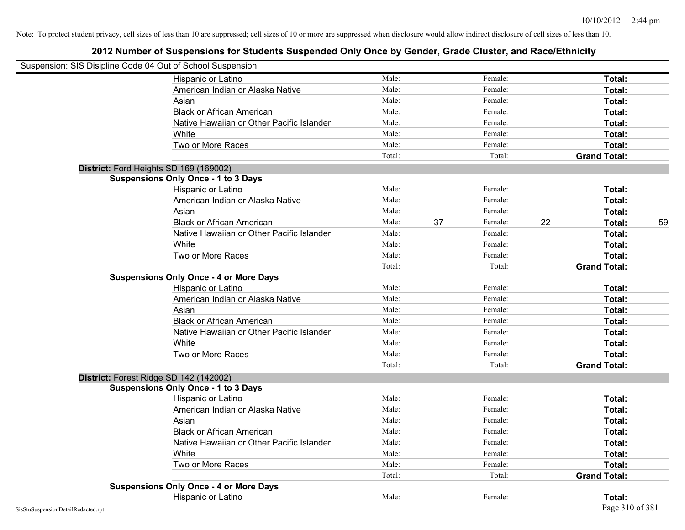| Suspension: SIS Disipline Code 04 Out of School Suspension |                                               |        |    |         |    |                     |    |
|------------------------------------------------------------|-----------------------------------------------|--------|----|---------|----|---------------------|----|
|                                                            | Hispanic or Latino                            | Male:  |    | Female: |    | Total:              |    |
|                                                            | American Indian or Alaska Native              | Male:  |    | Female: |    | Total:              |    |
|                                                            | Asian                                         | Male:  |    | Female: |    | Total:              |    |
|                                                            | <b>Black or African American</b>              | Male:  |    | Female: |    | Total:              |    |
|                                                            | Native Hawaiian or Other Pacific Islander     | Male:  |    | Female: |    | Total:              |    |
|                                                            | White                                         | Male:  |    | Female: |    | Total:              |    |
|                                                            | Two or More Races                             | Male:  |    | Female: |    | Total:              |    |
|                                                            |                                               | Total: |    | Total:  |    | <b>Grand Total:</b> |    |
|                                                            | District: Ford Heights SD 169 (169002)        |        |    |         |    |                     |    |
|                                                            | <b>Suspensions Only Once - 1 to 3 Days</b>    |        |    |         |    |                     |    |
|                                                            | Hispanic or Latino                            | Male:  |    | Female: |    | Total:              |    |
|                                                            | American Indian or Alaska Native              | Male:  |    | Female: |    | Total:              |    |
|                                                            | Asian                                         | Male:  |    | Female: |    | Total:              |    |
|                                                            | <b>Black or African American</b>              | Male:  | 37 | Female: | 22 | Total:              | 59 |
|                                                            | Native Hawaiian or Other Pacific Islander     | Male:  |    | Female: |    | Total:              |    |
|                                                            | White                                         | Male:  |    | Female: |    | Total:              |    |
|                                                            | Two or More Races                             | Male:  |    | Female: |    | Total:              |    |
|                                                            |                                               | Total: |    | Total:  |    | <b>Grand Total:</b> |    |
|                                                            | <b>Suspensions Only Once - 4 or More Days</b> |        |    |         |    |                     |    |
|                                                            | Hispanic or Latino                            | Male:  |    | Female: |    | Total:              |    |
|                                                            | American Indian or Alaska Native              | Male:  |    | Female: |    | Total:              |    |
|                                                            | Asian                                         | Male:  |    | Female: |    | Total:              |    |
|                                                            | <b>Black or African American</b>              | Male:  |    | Female: |    | Total:              |    |
|                                                            | Native Hawaiian or Other Pacific Islander     | Male:  |    | Female: |    | Total:              |    |
|                                                            | White                                         | Male:  |    | Female: |    | Total:              |    |
|                                                            | Two or More Races                             | Male:  |    | Female: |    | Total:              |    |
|                                                            |                                               | Total: |    | Total:  |    | <b>Grand Total:</b> |    |
|                                                            | District: Forest Ridge SD 142 (142002)        |        |    |         |    |                     |    |
|                                                            | <b>Suspensions Only Once - 1 to 3 Days</b>    |        |    |         |    |                     |    |
|                                                            | Hispanic or Latino                            | Male:  |    | Female: |    | Total:              |    |
|                                                            | American Indian or Alaska Native              | Male:  |    | Female: |    | Total:              |    |
|                                                            | Asian                                         | Male:  |    | Female: |    | Total:              |    |
|                                                            | <b>Black or African American</b>              | Male:  |    | Female: |    | Total:              |    |
|                                                            | Native Hawaiian or Other Pacific Islander     | Male:  |    | Female: |    | Total:              |    |
|                                                            | White                                         | Male:  |    | Female: |    | Total:              |    |
|                                                            | Two or More Races                             | Male:  |    | Female: |    | Total:              |    |
|                                                            |                                               | Total: |    | Total:  |    | <b>Grand Total:</b> |    |
|                                                            | <b>Suspensions Only Once - 4 or More Days</b> |        |    |         |    |                     |    |
|                                                            | Hispanic or Latino                            | Male:  |    | Female: |    | Total:              |    |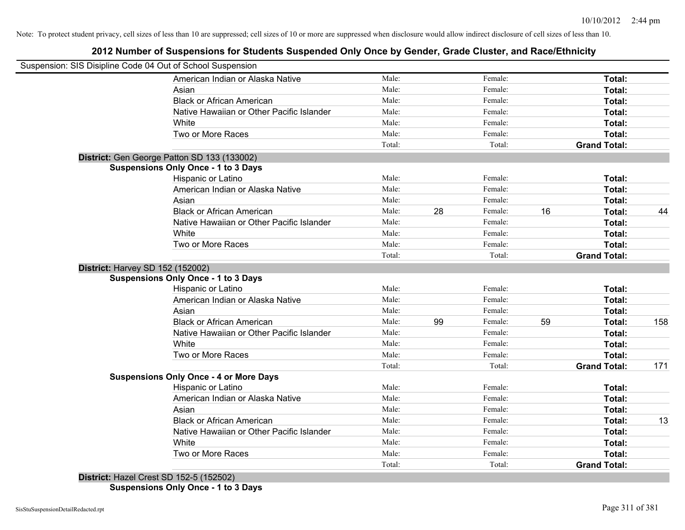# **2012 Number of Suspensions for Students Suspended Only Once by Gender, Grade Cluster, and Race/Ethnicity**

| Suspension: SIS Disipline Code 04 Out of School Suspension |        |    |         |    |                     |     |
|------------------------------------------------------------|--------|----|---------|----|---------------------|-----|
| American Indian or Alaska Native                           | Male:  |    | Female: |    | <b>Total:</b>       |     |
| Asian                                                      | Male:  |    | Female: |    | Total:              |     |
| <b>Black or African American</b>                           | Male:  |    | Female: |    | Total:              |     |
| Native Hawaiian or Other Pacific Islander                  | Male:  |    | Female: |    | Total:              |     |
| White                                                      | Male:  |    | Female: |    | Total:              |     |
| Two or More Races                                          | Male:  |    | Female: |    | Total:              |     |
|                                                            | Total: |    | Total:  |    | <b>Grand Total:</b> |     |
| District: Gen George Patton SD 133 (133002)                |        |    |         |    |                     |     |
| <b>Suspensions Only Once - 1 to 3 Days</b>                 |        |    |         |    |                     |     |
| Hispanic or Latino                                         | Male:  |    | Female: |    | Total:              |     |
| American Indian or Alaska Native                           | Male:  |    | Female: |    | Total:              |     |
| Asian                                                      | Male:  |    | Female: |    | Total:              |     |
| <b>Black or African American</b>                           | Male:  | 28 | Female: | 16 | Total:              | 44  |
| Native Hawaiian or Other Pacific Islander                  | Male:  |    | Female: |    | Total:              |     |
| White                                                      | Male:  |    | Female: |    | Total:              |     |
| Two or More Races                                          | Male:  |    | Female: |    | Total:              |     |
|                                                            | Total: |    | Total:  |    | <b>Grand Total:</b> |     |
| <b>District: Harvey SD 152 (152002)</b>                    |        |    |         |    |                     |     |
| <b>Suspensions Only Once - 1 to 3 Days</b>                 |        |    |         |    |                     |     |
| Hispanic or Latino                                         | Male:  |    | Female: |    | Total:              |     |
| American Indian or Alaska Native                           | Male:  |    | Female: |    | Total:              |     |
| Asian                                                      | Male:  |    | Female: |    | Total:              |     |
| <b>Black or African American</b>                           | Male:  | 99 | Female: | 59 | Total:              | 158 |
| Native Hawaiian or Other Pacific Islander                  | Male:  |    | Female: |    | Total:              |     |
| White                                                      | Male:  |    | Female: |    | Total:              |     |
| Two or More Races                                          | Male:  |    | Female: |    | Total:              |     |
|                                                            | Total: |    | Total:  |    | <b>Grand Total:</b> | 171 |
| <b>Suspensions Only Once - 4 or More Days</b>              |        |    |         |    |                     |     |
| Hispanic or Latino                                         | Male:  |    | Female: |    | Total:              |     |
| American Indian or Alaska Native                           | Male:  |    | Female: |    | Total:              |     |
| Asian                                                      | Male:  |    | Female: |    | Total:              |     |
| <b>Black or African American</b>                           | Male:  |    | Female: |    | Total:              | 13  |
| Native Hawaiian or Other Pacific Islander                  | Male:  |    | Female: |    | Total:              |     |
| White                                                      | Male:  |    | Female: |    | Total:              |     |
| Two or More Races                                          | Male:  |    | Female: |    | Total:              |     |
|                                                            | Total: |    | Total:  |    | <b>Grand Total:</b> |     |

**District:** Hazel Crest SD 152-5 (152502) **Suspensions Only Once - 1 to 3 Days**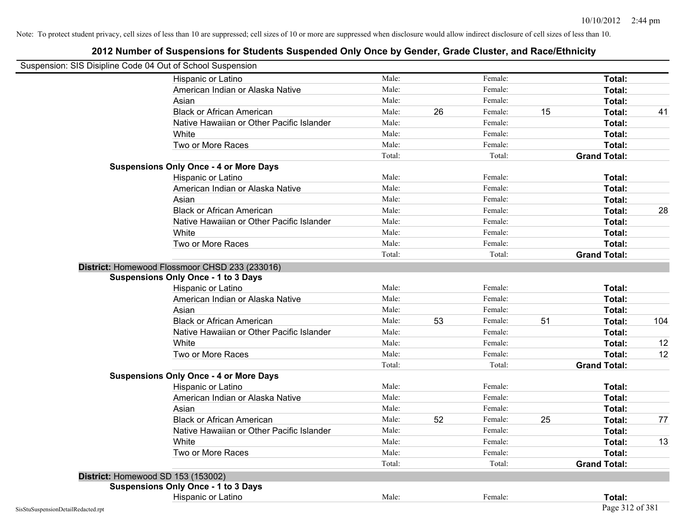| Suspension: SIS Disipline Code 04 Out of School Suspension |                                                |        |    |         |    |                     |     |
|------------------------------------------------------------|------------------------------------------------|--------|----|---------|----|---------------------|-----|
|                                                            | Hispanic or Latino                             | Male:  |    | Female: |    | Total:              |     |
|                                                            | American Indian or Alaska Native               | Male:  |    | Female: |    | Total:              |     |
|                                                            | Asian                                          | Male:  |    | Female: |    | Total:              |     |
|                                                            | <b>Black or African American</b>               | Male:  | 26 | Female: | 15 | Total:              | 41  |
|                                                            | Native Hawaiian or Other Pacific Islander      | Male:  |    | Female: |    | Total:              |     |
|                                                            | White                                          | Male:  |    | Female: |    | Total:              |     |
|                                                            | Two or More Races                              | Male:  |    | Female: |    | Total:              |     |
|                                                            |                                                | Total: |    | Total:  |    | <b>Grand Total:</b> |     |
|                                                            | <b>Suspensions Only Once - 4 or More Days</b>  |        |    |         |    |                     |     |
|                                                            | Hispanic or Latino                             | Male:  |    | Female: |    | Total:              |     |
|                                                            | American Indian or Alaska Native               | Male:  |    | Female: |    | Total:              |     |
|                                                            | Asian                                          | Male:  |    | Female: |    | Total:              |     |
|                                                            | <b>Black or African American</b>               | Male:  |    | Female: |    | Total:              | 28  |
|                                                            | Native Hawaiian or Other Pacific Islander      | Male:  |    | Female: |    | Total:              |     |
|                                                            | White                                          | Male:  |    | Female: |    | Total:              |     |
|                                                            | Two or More Races                              | Male:  |    | Female: |    | Total:              |     |
|                                                            |                                                | Total: |    | Total:  |    | <b>Grand Total:</b> |     |
|                                                            | District: Homewood Flossmoor CHSD 233 (233016) |        |    |         |    |                     |     |
|                                                            | <b>Suspensions Only Once - 1 to 3 Days</b>     |        |    |         |    |                     |     |
|                                                            | Hispanic or Latino                             | Male:  |    | Female: |    | Total:              |     |
|                                                            | American Indian or Alaska Native               | Male:  |    | Female: |    | Total:              |     |
|                                                            | Asian                                          | Male:  |    | Female: |    | Total:              |     |
|                                                            | <b>Black or African American</b>               | Male:  | 53 | Female: | 51 | Total:              | 104 |
|                                                            | Native Hawaiian or Other Pacific Islander      | Male:  |    | Female: |    | Total:              |     |
|                                                            | White                                          | Male:  |    | Female: |    | Total:              | 12  |
|                                                            | Two or More Races                              | Male:  |    | Female: |    | Total:              | 12  |
|                                                            |                                                | Total: |    | Total:  |    | <b>Grand Total:</b> |     |
|                                                            | <b>Suspensions Only Once - 4 or More Days</b>  |        |    |         |    |                     |     |
|                                                            | Hispanic or Latino                             | Male:  |    | Female: |    | Total:              |     |
|                                                            | American Indian or Alaska Native               | Male:  |    | Female: |    | Total:              |     |
|                                                            | Asian                                          | Male:  |    | Female: |    | Total:              |     |
|                                                            | <b>Black or African American</b>               | Male:  | 52 | Female: | 25 | Total:              | 77  |
|                                                            | Native Hawaiian or Other Pacific Islander      | Male:  |    | Female: |    | Total:              |     |
|                                                            | White                                          | Male:  |    | Female: |    | Total:              | 13  |
|                                                            | Two or More Races                              | Male:  |    | Female: |    | Total:              |     |
|                                                            |                                                | Total: |    | Total:  |    | <b>Grand Total:</b> |     |
|                                                            | District: Homewood SD 153 (153002)             |        |    |         |    |                     |     |
|                                                            | <b>Suspensions Only Once - 1 to 3 Days</b>     |        |    |         |    |                     |     |
|                                                            | Hispanic or Latino                             | Male:  |    | Female: |    | Total:              |     |
| SisStuSuspensionDetailRedacted.rpt                         |                                                |        |    |         |    | Page 312 of 381     |     |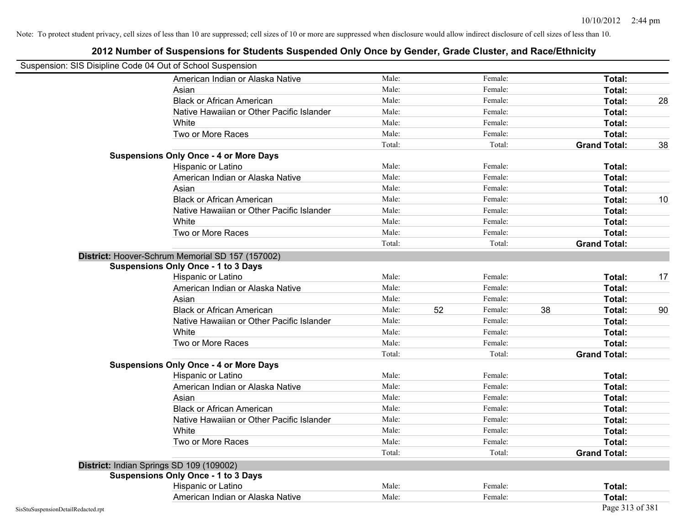| Suspension: SIS Disipline Code 04 Out of School Suspension |                                                  |        |    |         |    |                     |    |
|------------------------------------------------------------|--------------------------------------------------|--------|----|---------|----|---------------------|----|
|                                                            | American Indian or Alaska Native                 | Male:  |    | Female: |    | Total:              |    |
|                                                            | Asian                                            | Male:  |    | Female: |    | Total:              |    |
|                                                            | <b>Black or African American</b>                 | Male:  |    | Female: |    | Total:              | 28 |
|                                                            | Native Hawaiian or Other Pacific Islander        | Male:  |    | Female: |    | Total:              |    |
|                                                            | White                                            | Male:  |    | Female: |    | Total:              |    |
|                                                            | Two or More Races                                | Male:  |    | Female: |    | Total:              |    |
|                                                            |                                                  | Total: |    | Total:  |    | <b>Grand Total:</b> | 38 |
|                                                            | <b>Suspensions Only Once - 4 or More Days</b>    |        |    |         |    |                     |    |
|                                                            | Hispanic or Latino                               | Male:  |    | Female: |    | Total:              |    |
|                                                            | American Indian or Alaska Native                 | Male:  |    | Female: |    | Total:              |    |
|                                                            | Asian                                            | Male:  |    | Female: |    | Total:              |    |
|                                                            | <b>Black or African American</b>                 | Male:  |    | Female: |    | Total:              | 10 |
|                                                            | Native Hawaiian or Other Pacific Islander        | Male:  |    | Female: |    | Total:              |    |
|                                                            | White                                            | Male:  |    | Female: |    | Total:              |    |
|                                                            | Two or More Races                                | Male:  |    | Female: |    | Total:              |    |
|                                                            |                                                  | Total: |    | Total:  |    | <b>Grand Total:</b> |    |
|                                                            | District: Hoover-Schrum Memorial SD 157 (157002) |        |    |         |    |                     |    |
|                                                            | <b>Suspensions Only Once - 1 to 3 Days</b>       |        |    |         |    |                     |    |
|                                                            | Hispanic or Latino                               | Male:  |    | Female: |    | Total:              | 17 |
|                                                            | American Indian or Alaska Native                 | Male:  |    | Female: |    | Total:              |    |
|                                                            | Asian                                            | Male:  |    | Female: |    | Total:              |    |
|                                                            | <b>Black or African American</b>                 | Male:  | 52 | Female: | 38 | Total:              | 90 |
|                                                            | Native Hawaiian or Other Pacific Islander        | Male:  |    | Female: |    | Total:              |    |
|                                                            | White                                            | Male:  |    | Female: |    | Total:              |    |
|                                                            | Two or More Races                                | Male:  |    | Female: |    | Total:              |    |
|                                                            |                                                  | Total: |    | Total:  |    | <b>Grand Total:</b> |    |
|                                                            | <b>Suspensions Only Once - 4 or More Days</b>    |        |    |         |    |                     |    |
|                                                            | Hispanic or Latino                               | Male:  |    | Female: |    | Total:              |    |
|                                                            | American Indian or Alaska Native                 | Male:  |    | Female: |    | Total:              |    |
|                                                            | Asian                                            | Male:  |    | Female: |    | Total:              |    |
|                                                            | <b>Black or African American</b>                 | Male:  |    | Female: |    | Total:              |    |
|                                                            | Native Hawaiian or Other Pacific Islander        | Male:  |    | Female: |    | Total:              |    |
|                                                            | White                                            | Male:  |    | Female: |    | Total:              |    |
|                                                            | Two or More Races                                | Male:  |    | Female: |    | Total:              |    |
|                                                            |                                                  | Total: |    | Total:  |    | <b>Grand Total:</b> |    |
|                                                            | District: Indian Springs SD 109 (109002)         |        |    |         |    |                     |    |
|                                                            | <b>Suspensions Only Once - 1 to 3 Days</b>       |        |    |         |    |                     |    |
|                                                            | Hispanic or Latino                               | Male:  |    | Female: |    | Total:              |    |
|                                                            | American Indian or Alaska Native                 | Male:  |    | Female: |    | Total:              |    |
| SisStuSuspensionDetailRedacted.rpt                         |                                                  |        |    |         |    | Page 313 of 381     |    |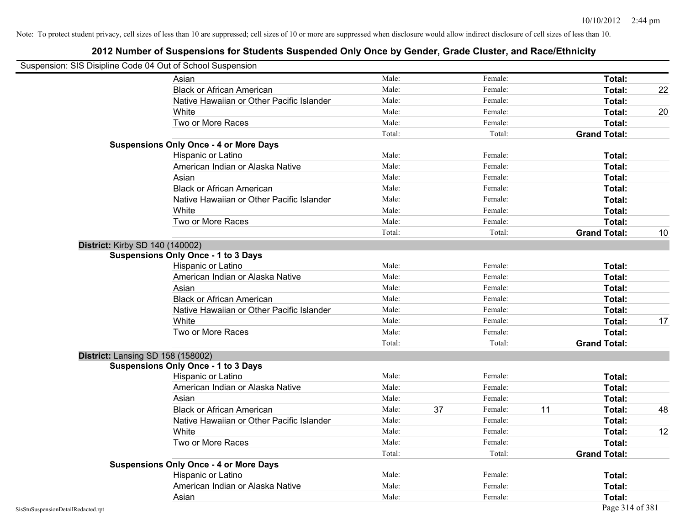| Suspension: SIS Disipline Code 04 Out of School Suspension |                                               |        |    |         |    |                     |    |
|------------------------------------------------------------|-----------------------------------------------|--------|----|---------|----|---------------------|----|
|                                                            | Asian                                         | Male:  |    | Female: |    | Total:              |    |
|                                                            | <b>Black or African American</b>              | Male:  |    | Female: |    | Total:              | 22 |
|                                                            | Native Hawaiian or Other Pacific Islander     | Male:  |    | Female: |    | Total:              |    |
|                                                            | White                                         | Male:  |    | Female: |    | Total:              | 20 |
|                                                            | Two or More Races                             | Male:  |    | Female: |    | Total:              |    |
|                                                            |                                               | Total: |    | Total:  |    | <b>Grand Total:</b> |    |
|                                                            | <b>Suspensions Only Once - 4 or More Days</b> |        |    |         |    |                     |    |
|                                                            | Hispanic or Latino                            | Male:  |    | Female: |    | Total:              |    |
|                                                            | American Indian or Alaska Native              | Male:  |    | Female: |    | Total:              |    |
|                                                            | Asian                                         | Male:  |    | Female: |    | Total:              |    |
|                                                            | <b>Black or African American</b>              | Male:  |    | Female: |    | Total:              |    |
|                                                            | Native Hawaiian or Other Pacific Islander     | Male:  |    | Female: |    | Total:              |    |
|                                                            | White                                         | Male:  |    | Female: |    | Total:              |    |
|                                                            | Two or More Races                             | Male:  |    | Female: |    | Total:              |    |
|                                                            |                                               | Total: |    | Total:  |    | <b>Grand Total:</b> | 10 |
| District: Kirby SD 140 (140002)                            |                                               |        |    |         |    |                     |    |
|                                                            | <b>Suspensions Only Once - 1 to 3 Days</b>    |        |    |         |    |                     |    |
|                                                            | Hispanic or Latino                            | Male:  |    | Female: |    | Total:              |    |
|                                                            | American Indian or Alaska Native              | Male:  |    | Female: |    | Total:              |    |
|                                                            | Asian                                         | Male:  |    | Female: |    | Total:              |    |
|                                                            | <b>Black or African American</b>              | Male:  |    | Female: |    | Total:              |    |
|                                                            | Native Hawaiian or Other Pacific Islander     | Male:  |    | Female: |    | Total:              |    |
|                                                            | White                                         | Male:  |    | Female: |    | Total:              | 17 |
|                                                            | Two or More Races                             | Male:  |    | Female: |    | Total:              |    |
|                                                            |                                               | Total: |    | Total:  |    | <b>Grand Total:</b> |    |
| District: Lansing SD 158 (158002)                          |                                               |        |    |         |    |                     |    |
|                                                            | <b>Suspensions Only Once - 1 to 3 Days</b>    |        |    |         |    |                     |    |
|                                                            | Hispanic or Latino                            | Male:  |    | Female: |    | Total:              |    |
|                                                            | American Indian or Alaska Native              | Male:  |    | Female: |    | Total:              |    |
|                                                            | Asian                                         | Male:  |    | Female: |    | Total:              |    |
|                                                            | <b>Black or African American</b>              | Male:  | 37 | Female: | 11 | Total:              | 48 |
|                                                            | Native Hawaiian or Other Pacific Islander     | Male:  |    | Female: |    | Total:              |    |
|                                                            | White                                         | Male:  |    | Female: |    | Total:              | 12 |
|                                                            | Two or More Races                             | Male:  |    | Female: |    | Total:              |    |
|                                                            |                                               | Total: |    | Total:  |    | <b>Grand Total:</b> |    |
|                                                            | <b>Suspensions Only Once - 4 or More Days</b> |        |    |         |    |                     |    |
|                                                            | Hispanic or Latino                            | Male:  |    | Female: |    | Total:              |    |
|                                                            | American Indian or Alaska Native              | Male:  |    | Female: |    | Total:              |    |
|                                                            | Asian                                         | Male:  |    | Female: |    | Total:              |    |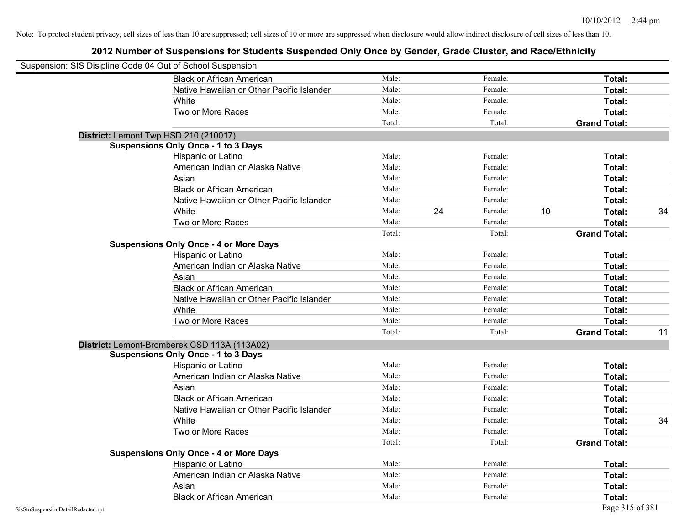|                                    | Suspension: SIS Disipline Code 04 Out of School Suspension |        |    |         |    |                     |    |
|------------------------------------|------------------------------------------------------------|--------|----|---------|----|---------------------|----|
|                                    | <b>Black or African American</b>                           | Male:  |    | Female: |    | Total:              |    |
|                                    | Native Hawaiian or Other Pacific Islander                  | Male:  |    | Female: |    | Total:              |    |
|                                    | White                                                      | Male:  |    | Female: |    | Total:              |    |
|                                    | Two or More Races                                          | Male:  |    | Female: |    | Total:              |    |
|                                    |                                                            | Total: |    | Total:  |    | <b>Grand Total:</b> |    |
|                                    | District: Lemont Twp HSD 210 (210017)                      |        |    |         |    |                     |    |
|                                    | <b>Suspensions Only Once - 1 to 3 Days</b>                 |        |    |         |    |                     |    |
|                                    | Hispanic or Latino                                         | Male:  |    | Female: |    | Total:              |    |
|                                    | American Indian or Alaska Native                           | Male:  |    | Female: |    | Total:              |    |
|                                    | Asian                                                      | Male:  |    | Female: |    | Total:              |    |
|                                    | <b>Black or African American</b>                           | Male:  |    | Female: |    | Total:              |    |
|                                    | Native Hawaiian or Other Pacific Islander                  | Male:  |    | Female: |    | Total:              |    |
|                                    | White                                                      | Male:  | 24 | Female: | 10 | Total:              | 34 |
|                                    | Two or More Races                                          | Male:  |    | Female: |    | Total:              |    |
|                                    |                                                            | Total: |    | Total:  |    | <b>Grand Total:</b> |    |
|                                    | <b>Suspensions Only Once - 4 or More Days</b>              |        |    |         |    |                     |    |
|                                    | Hispanic or Latino                                         | Male:  |    | Female: |    | Total:              |    |
|                                    | American Indian or Alaska Native                           | Male:  |    | Female: |    | Total:              |    |
|                                    | Asian                                                      | Male:  |    | Female: |    | Total:              |    |
|                                    | <b>Black or African American</b>                           | Male:  |    | Female: |    | Total:              |    |
|                                    | Native Hawaiian or Other Pacific Islander                  | Male:  |    | Female: |    | Total:              |    |
|                                    | White                                                      | Male:  |    | Female: |    | Total:              |    |
|                                    | Two or More Races                                          | Male:  |    | Female: |    | Total:              |    |
|                                    |                                                            | Total: |    | Total:  |    | <b>Grand Total:</b> | 11 |
|                                    | District: Lemont-Bromberek CSD 113A (113A02)               |        |    |         |    |                     |    |
|                                    | <b>Suspensions Only Once - 1 to 3 Days</b>                 |        |    |         |    |                     |    |
|                                    | Hispanic or Latino                                         | Male:  |    | Female: |    | Total:              |    |
|                                    | American Indian or Alaska Native                           | Male:  |    | Female: |    | Total:              |    |
|                                    | Asian                                                      | Male:  |    | Female: |    | Total:              |    |
|                                    | <b>Black or African American</b>                           | Male:  |    | Female: |    | Total:              |    |
|                                    | Native Hawaiian or Other Pacific Islander                  | Male:  |    | Female: |    | Total:              |    |
|                                    | White                                                      | Male:  |    | Female: |    | Total:              | 34 |
|                                    | Two or More Races                                          | Male:  |    | Female: |    | Total:              |    |
|                                    |                                                            | Total: |    | Total:  |    | <b>Grand Total:</b> |    |
|                                    | <b>Suspensions Only Once - 4 or More Days</b>              |        |    |         |    |                     |    |
|                                    | Hispanic or Latino                                         | Male:  |    | Female: |    | Total:              |    |
|                                    | American Indian or Alaska Native                           | Male:  |    | Female: |    | Total:              |    |
|                                    | Asian                                                      | Male:  |    | Female: |    | Total:              |    |
|                                    | <b>Black or African American</b>                           | Male:  |    | Female: |    | Total:              |    |
| SisStuSuspensionDetailRedacted.rpt |                                                            |        |    |         |    | Page 315 of 381     |    |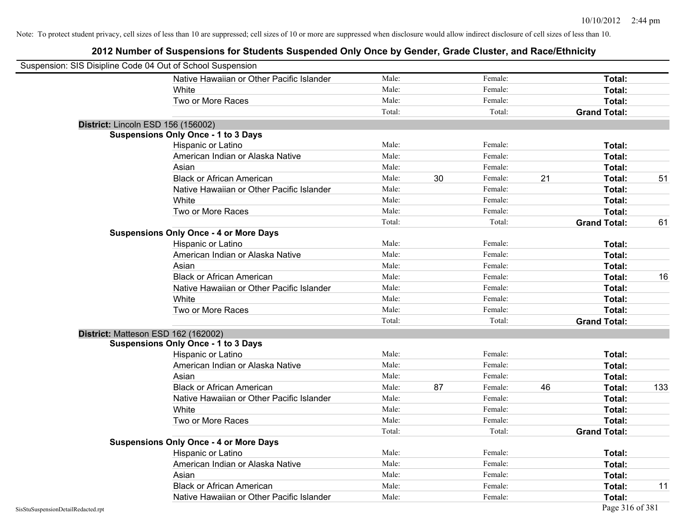| Suspension: SIS Disipline Code 04 Out of School Suspension |                                               |        |    |         |    |                     |     |
|------------------------------------------------------------|-----------------------------------------------|--------|----|---------|----|---------------------|-----|
|                                                            | Native Hawaiian or Other Pacific Islander     | Male:  |    | Female: |    | Total:              |     |
|                                                            | White                                         | Male:  |    | Female: |    | Total:              |     |
|                                                            | Two or More Races                             | Male:  |    | Female: |    | Total:              |     |
|                                                            |                                               | Total: |    | Total:  |    | <b>Grand Total:</b> |     |
|                                                            | District: Lincoln ESD 156 (156002)            |        |    |         |    |                     |     |
|                                                            | <b>Suspensions Only Once - 1 to 3 Days</b>    |        |    |         |    |                     |     |
|                                                            | Hispanic or Latino                            | Male:  |    | Female: |    | Total:              |     |
|                                                            | American Indian or Alaska Native              | Male:  |    | Female: |    | Total:              |     |
|                                                            | Asian                                         | Male:  |    | Female: |    | Total:              |     |
|                                                            | <b>Black or African American</b>              | Male:  | 30 | Female: | 21 | Total:              | 51  |
|                                                            | Native Hawaiian or Other Pacific Islander     | Male:  |    | Female: |    | Total:              |     |
|                                                            | White                                         | Male:  |    | Female: |    | Total:              |     |
|                                                            | Two or More Races                             | Male:  |    | Female: |    | Total:              |     |
|                                                            |                                               | Total: |    | Total:  |    | <b>Grand Total:</b> | 61  |
|                                                            | <b>Suspensions Only Once - 4 or More Days</b> |        |    |         |    |                     |     |
|                                                            | Hispanic or Latino                            | Male:  |    | Female: |    | Total:              |     |
|                                                            | American Indian or Alaska Native              | Male:  |    | Female: |    | Total:              |     |
|                                                            | Asian                                         | Male:  |    | Female: |    | Total:              |     |
|                                                            | <b>Black or African American</b>              | Male:  |    | Female: |    | Total:              | 16  |
|                                                            | Native Hawaiian or Other Pacific Islander     | Male:  |    | Female: |    | Total:              |     |
|                                                            | White                                         | Male:  |    | Female: |    | Total:              |     |
|                                                            | Two or More Races                             | Male:  |    | Female: |    | Total:              |     |
|                                                            |                                               | Total: |    | Total:  |    | <b>Grand Total:</b> |     |
|                                                            | District: Matteson ESD 162 (162002)           |        |    |         |    |                     |     |
|                                                            | <b>Suspensions Only Once - 1 to 3 Days</b>    |        |    |         |    |                     |     |
|                                                            | Hispanic or Latino                            | Male:  |    | Female: |    | Total:              |     |
|                                                            | American Indian or Alaska Native              | Male:  |    | Female: |    | Total:              |     |
|                                                            | Asian                                         | Male:  |    | Female: |    | Total:              |     |
|                                                            | <b>Black or African American</b>              | Male:  | 87 | Female: | 46 | Total:              | 133 |
|                                                            | Native Hawaiian or Other Pacific Islander     | Male:  |    | Female: |    | Total:              |     |
|                                                            | White                                         | Male:  |    | Female: |    | Total:              |     |
|                                                            | Two or More Races                             | Male:  |    | Female: |    | Total:              |     |
|                                                            |                                               | Total: |    | Total:  |    | <b>Grand Total:</b> |     |
|                                                            | <b>Suspensions Only Once - 4 or More Days</b> |        |    |         |    |                     |     |
|                                                            | Hispanic or Latino                            | Male:  |    | Female: |    | Total:              |     |
|                                                            | American Indian or Alaska Native              | Male:  |    | Female: |    | Total:              |     |
|                                                            | Asian                                         | Male:  |    | Female: |    | Total:              |     |
|                                                            | <b>Black or African American</b>              | Male:  |    | Female: |    | Total:              | 11  |
|                                                            | Native Hawaiian or Other Pacific Islander     | Male:  |    | Female: |    | Total:              |     |
| SisStuSuspensionDetailRedacted.rpt                         |                                               |        |    |         |    | Page 316 of 381     |     |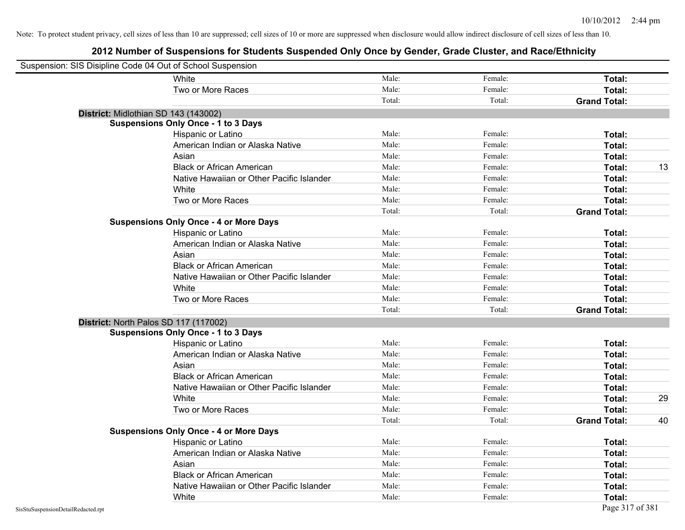| Suspension: SIS Disipline Code 04 Out of School Suspension |                                               |        |         |                     |    |
|------------------------------------------------------------|-----------------------------------------------|--------|---------|---------------------|----|
|                                                            | <b>White</b>                                  | Male:  | Female: | Total:              |    |
|                                                            | Two or More Races                             | Male:  | Female: | Total:              |    |
|                                                            |                                               | Total: | Total:  | <b>Grand Total:</b> |    |
| District: Midlothian SD 143 (143002)                       |                                               |        |         |                     |    |
|                                                            | <b>Suspensions Only Once - 1 to 3 Days</b>    |        |         |                     |    |
|                                                            | Hispanic or Latino                            | Male:  | Female: | Total:              |    |
|                                                            | American Indian or Alaska Native              | Male:  | Female: | Total:              |    |
|                                                            | Asian                                         | Male:  | Female: | Total:              |    |
|                                                            | <b>Black or African American</b>              | Male:  | Female: | Total:              | 13 |
|                                                            | Native Hawaiian or Other Pacific Islander     | Male:  | Female: | Total:              |    |
|                                                            | White                                         | Male:  | Female: | Total:              |    |
|                                                            | Two or More Races                             | Male:  | Female: | Total:              |    |
|                                                            |                                               | Total: | Total:  | <b>Grand Total:</b> |    |
|                                                            | <b>Suspensions Only Once - 4 or More Days</b> |        |         |                     |    |
|                                                            | Hispanic or Latino                            | Male:  | Female: | Total:              |    |
|                                                            | American Indian or Alaska Native              | Male:  | Female: | Total:              |    |
|                                                            | Asian                                         | Male:  | Female: | Total:              |    |
|                                                            | <b>Black or African American</b>              | Male:  | Female: | Total:              |    |
|                                                            | Native Hawaiian or Other Pacific Islander     | Male:  | Female: | Total:              |    |
|                                                            | White                                         | Male:  | Female: | Total:              |    |
|                                                            | Two or More Races                             | Male:  | Female: | Total:              |    |
|                                                            |                                               | Total: | Total:  | <b>Grand Total:</b> |    |
| District: North Palos SD 117 (117002)                      |                                               |        |         |                     |    |
|                                                            | <b>Suspensions Only Once - 1 to 3 Days</b>    |        |         |                     |    |
|                                                            | Hispanic or Latino                            | Male:  | Female: | Total:              |    |
|                                                            | American Indian or Alaska Native              | Male:  | Female: | Total:              |    |
|                                                            | Asian                                         | Male:  | Female: | Total:              |    |
|                                                            | <b>Black or African American</b>              | Male:  | Female: | Total:              |    |
|                                                            | Native Hawaiian or Other Pacific Islander     | Male:  | Female: | Total:              |    |
|                                                            | White                                         | Male:  | Female: | Total:              | 29 |
|                                                            | Two or More Races                             | Male:  | Female: | Total:              |    |
|                                                            |                                               | Total: | Total:  | <b>Grand Total:</b> | 40 |
|                                                            | <b>Suspensions Only Once - 4 or More Days</b> |        |         |                     |    |
|                                                            | Hispanic or Latino                            | Male:  | Female: | Total:              |    |
|                                                            | American Indian or Alaska Native              | Male:  | Female: | Total:              |    |
|                                                            | Asian                                         | Male:  | Female: | Total:              |    |
|                                                            | <b>Black or African American</b>              | Male:  | Female: | Total:              |    |
|                                                            | Native Hawaiian or Other Pacific Islander     | Male:  | Female: | Total:              |    |
|                                                            | White                                         | Male:  | Female: | Total:              |    |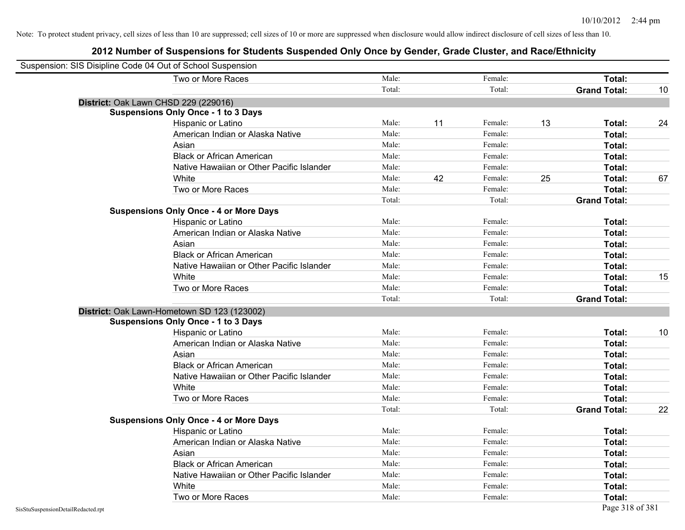| Suspension: SIS Disipline Code 04 Out of School Suspension |                                               |        |    |         |    |                     |    |
|------------------------------------------------------------|-----------------------------------------------|--------|----|---------|----|---------------------|----|
|                                                            | Two or More Races                             | Male:  |    | Female: |    | Total:              |    |
|                                                            |                                               | Total: |    | Total:  |    | <b>Grand Total:</b> | 10 |
| District: Oak Lawn CHSD 229 (229016)                       |                                               |        |    |         |    |                     |    |
|                                                            | <b>Suspensions Only Once - 1 to 3 Days</b>    |        |    |         |    |                     |    |
|                                                            | Hispanic or Latino                            | Male:  | 11 | Female: | 13 | Total:              | 24 |
|                                                            | American Indian or Alaska Native              | Male:  |    | Female: |    | Total:              |    |
|                                                            | Asian                                         | Male:  |    | Female: |    | Total:              |    |
|                                                            | <b>Black or African American</b>              | Male:  |    | Female: |    | Total:              |    |
|                                                            | Native Hawaiian or Other Pacific Islander     | Male:  |    | Female: |    | Total:              |    |
|                                                            | White                                         | Male:  | 42 | Female: | 25 | Total:              | 67 |
|                                                            | Two or More Races                             | Male:  |    | Female: |    | Total:              |    |
|                                                            |                                               | Total: |    | Total:  |    | <b>Grand Total:</b> |    |
|                                                            | <b>Suspensions Only Once - 4 or More Days</b> |        |    |         |    |                     |    |
|                                                            | Hispanic or Latino                            | Male:  |    | Female: |    | Total:              |    |
|                                                            | American Indian or Alaska Native              | Male:  |    | Female: |    | Total:              |    |
|                                                            | Asian                                         | Male:  |    | Female: |    | Total:              |    |
|                                                            | <b>Black or African American</b>              | Male:  |    | Female: |    | Total:              |    |
|                                                            | Native Hawaiian or Other Pacific Islander     | Male:  |    | Female: |    | Total:              |    |
|                                                            | White                                         | Male:  |    | Female: |    | Total:              | 15 |
|                                                            | Two or More Races                             | Male:  |    | Female: |    | Total:              |    |
|                                                            |                                               | Total: |    | Total:  |    | <b>Grand Total:</b> |    |
|                                                            | District: Oak Lawn-Hometown SD 123 (123002)   |        |    |         |    |                     |    |
|                                                            | <b>Suspensions Only Once - 1 to 3 Days</b>    |        |    |         |    |                     |    |
|                                                            | Hispanic or Latino                            | Male:  |    | Female: |    | Total:              | 10 |
|                                                            | American Indian or Alaska Native              | Male:  |    | Female: |    | Total:              |    |
|                                                            | Asian                                         | Male:  |    | Female: |    | Total:              |    |
|                                                            | <b>Black or African American</b>              | Male:  |    | Female: |    | Total:              |    |
|                                                            | Native Hawaiian or Other Pacific Islander     | Male:  |    | Female: |    | Total:              |    |
|                                                            | White                                         | Male:  |    | Female: |    | Total:              |    |
|                                                            | Two or More Races                             | Male:  |    | Female: |    | Total:              |    |
|                                                            |                                               | Total: |    | Total:  |    | <b>Grand Total:</b> | 22 |
|                                                            | <b>Suspensions Only Once - 4 or More Days</b> |        |    |         |    |                     |    |
|                                                            | Hispanic or Latino                            | Male:  |    | Female: |    | Total:              |    |
|                                                            | American Indian or Alaska Native              | Male:  |    | Female: |    | Total:              |    |
|                                                            | Asian                                         | Male:  |    | Female: |    | Total:              |    |
|                                                            | <b>Black or African American</b>              | Male:  |    | Female: |    | Total:              |    |
|                                                            | Native Hawaiian or Other Pacific Islander     | Male:  |    | Female: |    | Total:              |    |
|                                                            | White                                         | Male:  |    | Female: |    | Total:              |    |
|                                                            | Two or More Races                             | Male:  |    | Female: |    | Total:              |    |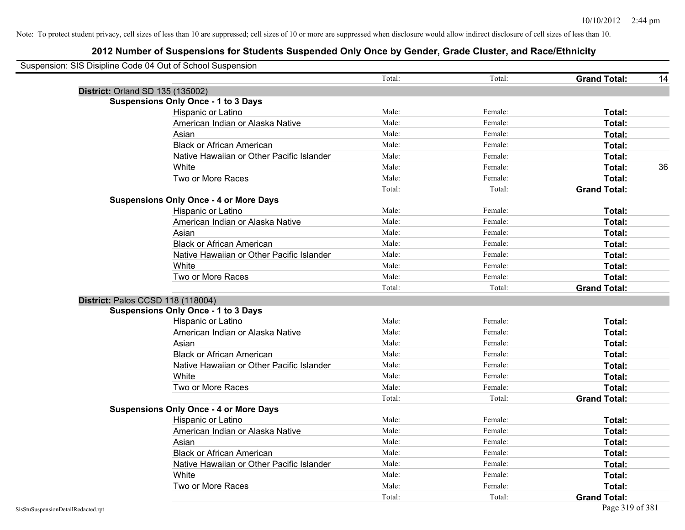| Suspension: SIS Disipline Code 04 Out of School Suspension |                                               |        |         |                     |    |
|------------------------------------------------------------|-----------------------------------------------|--------|---------|---------------------|----|
|                                                            |                                               | Total: | Total:  | <b>Grand Total:</b> | 14 |
| <b>District: Orland SD 135 (135002)</b>                    |                                               |        |         |                     |    |
|                                                            | <b>Suspensions Only Once - 1 to 3 Days</b>    |        |         |                     |    |
|                                                            | Hispanic or Latino                            | Male:  | Female: | Total:              |    |
|                                                            | American Indian or Alaska Native              | Male:  | Female: | Total:              |    |
|                                                            | Asian                                         | Male:  | Female: | Total:              |    |
|                                                            | <b>Black or African American</b>              | Male:  | Female: | Total:              |    |
|                                                            | Native Hawaiian or Other Pacific Islander     | Male:  | Female: | Total:              |    |
|                                                            | White                                         | Male:  | Female: | Total:              | 36 |
|                                                            | Two or More Races                             | Male:  | Female: | Total:              |    |
|                                                            |                                               | Total: | Total:  | <b>Grand Total:</b> |    |
|                                                            | <b>Suspensions Only Once - 4 or More Days</b> |        |         |                     |    |
|                                                            | Hispanic or Latino                            | Male:  | Female: | Total:              |    |
|                                                            | American Indian or Alaska Native              | Male:  | Female: | Total:              |    |
|                                                            | Asian                                         | Male:  | Female: | Total:              |    |
|                                                            | <b>Black or African American</b>              | Male:  | Female: | Total:              |    |
|                                                            | Native Hawaiian or Other Pacific Islander     | Male:  | Female: | Total:              |    |
|                                                            | White                                         | Male:  | Female: | Total:              |    |
|                                                            | Two or More Races                             | Male:  | Female: | Total:              |    |
|                                                            |                                               | Total: | Total:  | <b>Grand Total:</b> |    |
| District: Palos CCSD 118 (118004)                          |                                               |        |         |                     |    |
|                                                            | <b>Suspensions Only Once - 1 to 3 Days</b>    |        |         |                     |    |
|                                                            | Hispanic or Latino                            | Male:  | Female: | Total:              |    |
|                                                            | American Indian or Alaska Native              | Male:  | Female: | Total:              |    |
|                                                            | Asian                                         | Male:  | Female: | Total:              |    |
|                                                            | <b>Black or African American</b>              | Male:  | Female: | Total:              |    |
|                                                            | Native Hawaiian or Other Pacific Islander     | Male:  | Female: | Total:              |    |
|                                                            | White                                         | Male:  | Female: | Total:              |    |
|                                                            | Two or More Races                             | Male:  | Female: | Total:              |    |
|                                                            |                                               | Total: | Total:  | <b>Grand Total:</b> |    |
|                                                            | <b>Suspensions Only Once - 4 or More Days</b> |        |         |                     |    |
|                                                            | Hispanic or Latino                            | Male:  | Female: | Total:              |    |
|                                                            | American Indian or Alaska Native              | Male:  | Female: | Total:              |    |
|                                                            | Asian                                         | Male:  | Female: | Total:              |    |
|                                                            | <b>Black or African American</b>              | Male:  | Female: | Total:              |    |
|                                                            | Native Hawaiian or Other Pacific Islander     | Male:  | Female: | Total:              |    |
|                                                            | White                                         | Male:  | Female: | Total:              |    |
|                                                            | Two or More Races                             | Male:  | Female: | Total:              |    |
|                                                            |                                               | Total: | Total:  | <b>Grand Total:</b> |    |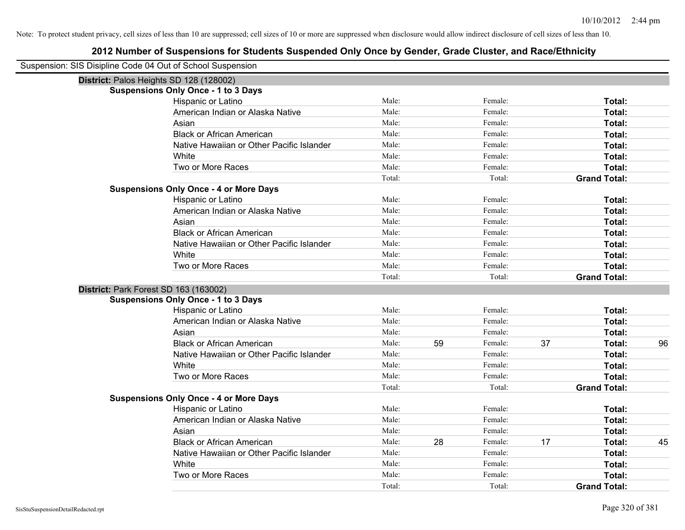| Suspension: SIS Disipline Code 04 Out of School Suspension |                                               |        |    |         |    |                     |    |
|------------------------------------------------------------|-----------------------------------------------|--------|----|---------|----|---------------------|----|
| District: Palos Heights SD 128 (128002)                    |                                               |        |    |         |    |                     |    |
|                                                            | <b>Suspensions Only Once - 1 to 3 Days</b>    |        |    |         |    |                     |    |
|                                                            | Hispanic or Latino                            | Male:  |    | Female: |    | Total:              |    |
|                                                            | American Indian or Alaska Native              | Male:  |    | Female: |    | Total:              |    |
|                                                            | Asian                                         | Male:  |    | Female: |    | Total:              |    |
|                                                            | <b>Black or African American</b>              | Male:  |    | Female: |    | Total:              |    |
|                                                            | Native Hawaiian or Other Pacific Islander     | Male:  |    | Female: |    | Total:              |    |
|                                                            | White                                         | Male:  |    | Female: |    | Total:              |    |
|                                                            | Two or More Races                             | Male:  |    | Female: |    | Total:              |    |
|                                                            |                                               | Total: |    | Total:  |    | <b>Grand Total:</b> |    |
|                                                            | <b>Suspensions Only Once - 4 or More Days</b> |        |    |         |    |                     |    |
|                                                            | Hispanic or Latino                            | Male:  |    | Female: |    | Total:              |    |
|                                                            | American Indian or Alaska Native              | Male:  |    | Female: |    | Total:              |    |
|                                                            | Asian                                         | Male:  |    | Female: |    | Total:              |    |
|                                                            | <b>Black or African American</b>              | Male:  |    | Female: |    | Total:              |    |
|                                                            | Native Hawaiian or Other Pacific Islander     | Male:  |    | Female: |    | Total:              |    |
|                                                            | White                                         | Male:  |    | Female: |    | Total:              |    |
|                                                            | Two or More Races                             | Male:  |    | Female: |    | Total:              |    |
|                                                            |                                               | Total: |    | Total:  |    | <b>Grand Total:</b> |    |
| District: Park Forest SD 163 (163002)                      |                                               |        |    |         |    |                     |    |
|                                                            | <b>Suspensions Only Once - 1 to 3 Days</b>    |        |    |         |    |                     |    |
|                                                            | Hispanic or Latino                            | Male:  |    | Female: |    | Total:              |    |
|                                                            | American Indian or Alaska Native              | Male:  |    | Female: |    | Total:              |    |
|                                                            | Asian                                         | Male:  |    | Female: |    | Total:              |    |
|                                                            | <b>Black or African American</b>              | Male:  | 59 | Female: | 37 | Total:              | 96 |
|                                                            | Native Hawaiian or Other Pacific Islander     | Male:  |    | Female: |    | Total:              |    |
|                                                            | White                                         | Male:  |    | Female: |    | Total:              |    |
|                                                            | Two or More Races                             | Male:  |    | Female: |    | Total:              |    |
|                                                            |                                               | Total: |    | Total:  |    | <b>Grand Total:</b> |    |
|                                                            | <b>Suspensions Only Once - 4 or More Days</b> |        |    |         |    |                     |    |
|                                                            | Hispanic or Latino                            | Male:  |    | Female: |    | Total:              |    |
|                                                            | American Indian or Alaska Native              | Male:  |    | Female: |    | Total:              |    |
|                                                            | Asian                                         | Male:  |    | Female: |    | Total:              |    |
|                                                            | <b>Black or African American</b>              | Male:  | 28 | Female: | 17 | Total:              | 45 |
|                                                            | Native Hawaiian or Other Pacific Islander     | Male:  |    | Female: |    | Total:              |    |
|                                                            | White                                         | Male:  |    | Female: |    | Total:              |    |
|                                                            | Two or More Races                             | Male:  |    | Female: |    | Total:              |    |
|                                                            |                                               | Total: |    | Total:  |    | <b>Grand Total:</b> |    |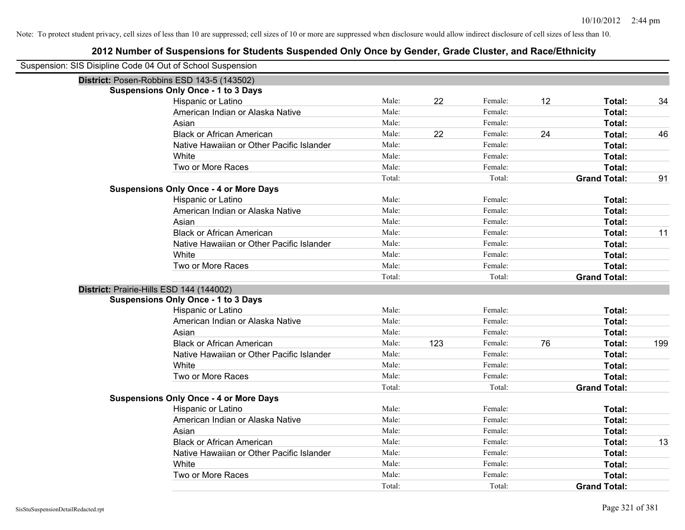| Suspension: SIS Disipline Code 04 Out of School Suspension |                                               |        |     |         |    |                     |     |
|------------------------------------------------------------|-----------------------------------------------|--------|-----|---------|----|---------------------|-----|
|                                                            | District: Posen-Robbins ESD 143-5 (143502)    |        |     |         |    |                     |     |
|                                                            | <b>Suspensions Only Once - 1 to 3 Days</b>    |        |     |         |    |                     |     |
|                                                            | Hispanic or Latino                            | Male:  | 22  | Female: | 12 | Total:              | 34  |
|                                                            | American Indian or Alaska Native              | Male:  |     | Female: |    | Total:              |     |
|                                                            | Asian                                         | Male:  |     | Female: |    | Total:              |     |
|                                                            | <b>Black or African American</b>              | Male:  | 22  | Female: | 24 | Total:              | 46  |
|                                                            | Native Hawaiian or Other Pacific Islander     | Male:  |     | Female: |    | Total:              |     |
|                                                            | White                                         | Male:  |     | Female: |    | Total:              |     |
|                                                            | Two or More Races                             | Male:  |     | Female: |    | Total:              |     |
|                                                            |                                               | Total: |     | Total:  |    | <b>Grand Total:</b> | 91  |
|                                                            | <b>Suspensions Only Once - 4 or More Days</b> |        |     |         |    |                     |     |
|                                                            | Hispanic or Latino                            | Male:  |     | Female: |    | Total:              |     |
|                                                            | American Indian or Alaska Native              | Male:  |     | Female: |    | Total:              |     |
|                                                            | Asian                                         | Male:  |     | Female: |    | Total:              |     |
|                                                            | <b>Black or African American</b>              | Male:  |     | Female: |    | Total:              | 11  |
|                                                            | Native Hawaiian or Other Pacific Islander     | Male:  |     | Female: |    | Total:              |     |
|                                                            | White                                         | Male:  |     | Female: |    | Total:              |     |
|                                                            | Two or More Races                             | Male:  |     | Female: |    | Total:              |     |
|                                                            |                                               | Total: |     | Total:  |    | <b>Grand Total:</b> |     |
|                                                            | District: Prairie-Hills ESD 144 (144002)      |        |     |         |    |                     |     |
|                                                            |                                               |        |     |         |    |                     |     |
|                                                            | <b>Suspensions Only Once - 1 to 3 Days</b>    |        |     |         |    |                     |     |
|                                                            | Hispanic or Latino                            | Male:  |     | Female: |    | Total:              |     |
|                                                            | American Indian or Alaska Native              | Male:  |     | Female: |    | Total:              |     |
|                                                            | Asian                                         | Male:  |     | Female: |    | Total:              |     |
|                                                            | <b>Black or African American</b>              | Male:  | 123 | Female: | 76 | Total:              | 199 |
|                                                            | Native Hawaiian or Other Pacific Islander     | Male:  |     | Female: |    | <b>Total:</b>       |     |
|                                                            | White                                         | Male:  |     | Female: |    | Total:              |     |
|                                                            | Two or More Races                             | Male:  |     | Female: |    | Total:              |     |
|                                                            |                                               | Total: |     | Total:  |    | <b>Grand Total:</b> |     |
|                                                            | <b>Suspensions Only Once - 4 or More Days</b> |        |     |         |    |                     |     |
|                                                            | Hispanic or Latino                            | Male:  |     | Female: |    | Total:              |     |
|                                                            | American Indian or Alaska Native              | Male:  |     | Female: |    | Total:              |     |
|                                                            | Asian                                         | Male:  |     | Female: |    | Total:              |     |
|                                                            | <b>Black or African American</b>              | Male:  |     | Female: |    | Total:              | 13  |
|                                                            | Native Hawaiian or Other Pacific Islander     | Male:  |     | Female: |    | Total:              |     |
|                                                            | White                                         | Male:  |     | Female: |    | Total:              |     |
|                                                            | Two or More Races                             | Male:  |     | Female: |    | Total:              |     |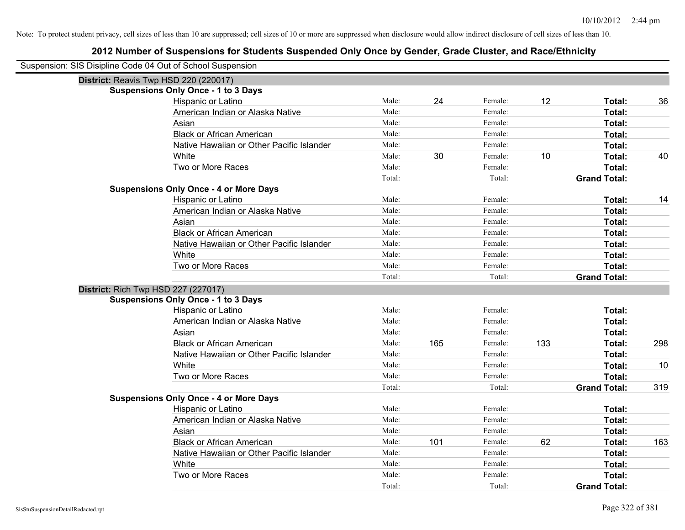| Suspension: SIS Disipline Code 04 Out of School Suspension |                                               |                 |     |                   |     |                               |     |
|------------------------------------------------------------|-----------------------------------------------|-----------------|-----|-------------------|-----|-------------------------------|-----|
| District: Reavis Twp HSD 220 (220017)                      |                                               |                 |     |                   |     |                               |     |
|                                                            | <b>Suspensions Only Once - 1 to 3 Days</b>    |                 |     |                   |     |                               |     |
|                                                            | Hispanic or Latino                            | Male:           | 24  | Female:           | 12  | Total:                        | 36  |
|                                                            | American Indian or Alaska Native              | Male:           |     | Female:           |     | Total:                        |     |
|                                                            | Asian                                         | Male:           |     | Female:           |     | Total:                        |     |
|                                                            | <b>Black or African American</b>              | Male:           |     | Female:           |     | Total:                        |     |
|                                                            | Native Hawaiian or Other Pacific Islander     | Male:           |     | Female:           |     | Total:                        |     |
|                                                            | White                                         | Male:           | 30  | Female:           | 10  | Total:                        | 40  |
|                                                            | Two or More Races                             | Male:           |     | Female:           |     | Total:                        |     |
|                                                            |                                               | Total:          |     | Total:            |     | <b>Grand Total:</b>           |     |
|                                                            | <b>Suspensions Only Once - 4 or More Days</b> |                 |     |                   |     |                               |     |
|                                                            | Hispanic or Latino                            | Male:           |     | Female:           |     | Total:                        | 14  |
|                                                            | American Indian or Alaska Native              | Male:           |     | Female:           |     | Total:                        |     |
|                                                            | Asian                                         | Male:           |     | Female:           |     | Total:                        |     |
|                                                            | <b>Black or African American</b>              | Male:           |     | Female:           |     | Total:                        |     |
|                                                            | Native Hawaiian or Other Pacific Islander     | Male:           |     | Female:           |     | Total:                        |     |
|                                                            | White                                         | Male:           |     | Female:           |     | Total:                        |     |
|                                                            | Two or More Races                             | Male:           |     | Female:           |     | Total:                        |     |
|                                                            |                                               | Total:          |     | Total:            |     | <b>Grand Total:</b>           |     |
| District: Rich Twp HSD 227 (227017)                        |                                               |                 |     |                   |     |                               |     |
|                                                            | <b>Suspensions Only Once - 1 to 3 Days</b>    |                 |     |                   |     |                               |     |
|                                                            | Hispanic or Latino                            | Male:           |     | Female:           |     | Total:                        |     |
|                                                            | American Indian or Alaska Native              | Male:           |     | Female:           |     | Total:                        |     |
|                                                            | Asian                                         | Male:           |     | Female:           |     | Total:                        |     |
|                                                            | <b>Black or African American</b>              | Male:           | 165 | Female:           | 133 | Total:                        | 298 |
|                                                            | Native Hawaiian or Other Pacific Islander     | Male:           |     | Female:           |     | Total:                        |     |
|                                                            | White                                         | Male:           |     | Female:           |     | Total:                        | 10  |
|                                                            | Two or More Races                             | Male:           |     | Female:           |     | Total:                        |     |
|                                                            |                                               | Total:          |     | Total:            |     | <b>Grand Total:</b>           | 319 |
|                                                            | <b>Suspensions Only Once - 4 or More Days</b> |                 |     |                   |     |                               |     |
|                                                            | Hispanic or Latino                            | Male:           |     | Female:           |     | Total:                        |     |
|                                                            | American Indian or Alaska Native              | Male:           |     | Female:           |     | Total:                        |     |
|                                                            | Asian                                         | Male:           |     | Female:           |     | Total:                        |     |
|                                                            | <b>Black or African American</b>              | Male:           | 101 | Female:           | 62  | Total:                        | 163 |
|                                                            | Native Hawaiian or Other Pacific Islander     | Male:           |     | Female:           |     | Total:                        |     |
|                                                            | White                                         | Male:           |     | Female:           |     | Total:                        |     |
|                                                            |                                               |                 |     |                   |     |                               |     |
|                                                            | Two or More Races                             | Male:<br>Total: |     | Female:<br>Total: |     | Total:<br><b>Grand Total:</b> |     |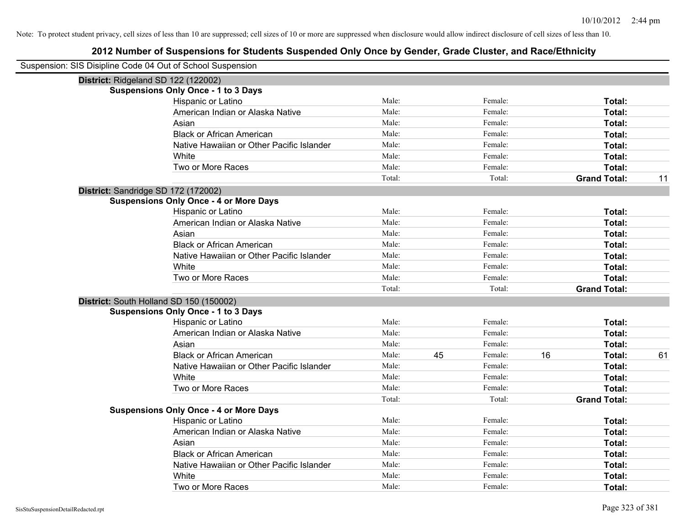| Suspension: SIS Disipline Code 04 Out of School Suspension |                                               |        |    |         |    |                     |    |
|------------------------------------------------------------|-----------------------------------------------|--------|----|---------|----|---------------------|----|
| District: Ridgeland SD 122 (122002)                        |                                               |        |    |         |    |                     |    |
|                                                            | <b>Suspensions Only Once - 1 to 3 Days</b>    |        |    |         |    |                     |    |
|                                                            | <b>Hispanic or Latino</b>                     | Male:  |    | Female: |    | Total:              |    |
|                                                            | American Indian or Alaska Native              | Male:  |    | Female: |    | Total:              |    |
|                                                            | Asian                                         | Male:  |    | Female: |    | Total:              |    |
|                                                            | <b>Black or African American</b>              | Male:  |    | Female: |    | Total:              |    |
|                                                            | Native Hawaiian or Other Pacific Islander     | Male:  |    | Female: |    | Total:              |    |
|                                                            | White                                         | Male:  |    | Female: |    | Total:              |    |
|                                                            | Two or More Races                             | Male:  |    | Female: |    | Total:              |    |
|                                                            |                                               | Total: |    | Total:  |    | <b>Grand Total:</b> | 11 |
| District: Sandridge SD 172 (172002)                        |                                               |        |    |         |    |                     |    |
|                                                            | <b>Suspensions Only Once - 4 or More Days</b> |        |    |         |    |                     |    |
|                                                            | Hispanic or Latino                            | Male:  |    | Female: |    | Total:              |    |
|                                                            | American Indian or Alaska Native              | Male:  |    | Female: |    | Total:              |    |
|                                                            | Asian                                         | Male:  |    | Female: |    | Total:              |    |
|                                                            | <b>Black or African American</b>              | Male:  |    | Female: |    | Total:              |    |
|                                                            | Native Hawaiian or Other Pacific Islander     | Male:  |    | Female: |    | Total:              |    |
|                                                            | White                                         | Male:  |    | Female: |    | Total:              |    |
|                                                            | Two or More Races                             | Male:  |    | Female: |    | Total:              |    |
|                                                            |                                               | Total: |    | Total:  |    | <b>Grand Total:</b> |    |
| District: South Holland SD 150 (150002)                    |                                               |        |    |         |    |                     |    |
|                                                            | <b>Suspensions Only Once - 1 to 3 Days</b>    |        |    |         |    |                     |    |
|                                                            | Hispanic or Latino                            | Male:  |    | Female: |    | Total:              |    |
|                                                            | American Indian or Alaska Native              | Male:  |    | Female: |    | Total:              |    |
|                                                            | Asian                                         | Male:  |    | Female: |    | Total:              |    |
|                                                            | <b>Black or African American</b>              | Male:  | 45 | Female: | 16 | Total:              | 61 |
|                                                            | Native Hawaiian or Other Pacific Islander     | Male:  |    | Female: |    | <b>Total:</b>       |    |
|                                                            | White                                         | Male:  |    | Female: |    | Total:              |    |
|                                                            | Two or More Races                             | Male:  |    | Female: |    | Total:              |    |
|                                                            |                                               | Total: |    | Total:  |    | <b>Grand Total:</b> |    |
|                                                            | <b>Suspensions Only Once - 4 or More Days</b> |        |    |         |    |                     |    |
|                                                            | Hispanic or Latino                            | Male:  |    | Female: |    | Total:              |    |
|                                                            | American Indian or Alaska Native              | Male:  |    | Female: |    | Total:              |    |
|                                                            | Asian                                         | Male:  |    | Female: |    | Total:              |    |
|                                                            | <b>Black or African American</b>              | Male:  |    | Female: |    | Total:              |    |
|                                                            | Native Hawaiian or Other Pacific Islander     | Male:  |    | Female: |    | Total:              |    |
|                                                            | White                                         | Male:  |    | Female: |    | Total:              |    |
|                                                            | Two or More Races                             | Male:  |    | Female: |    | Total:              |    |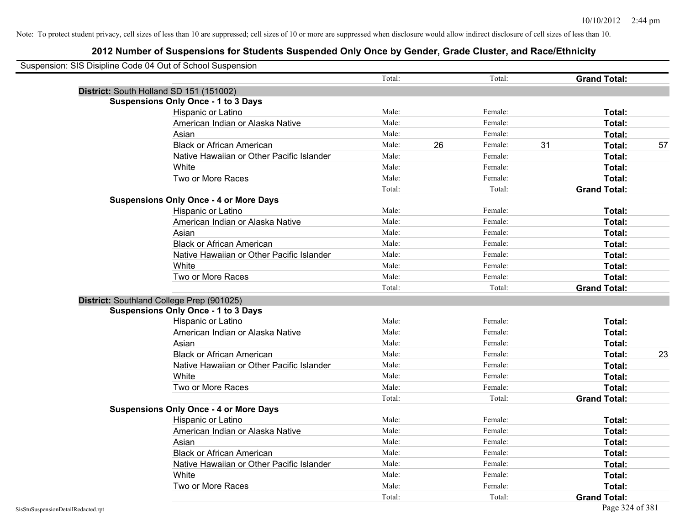| Suspension: SIS Disipline Code 04 Out of School Suspension |                                               |        |    |         |    |                     |    |
|------------------------------------------------------------|-----------------------------------------------|--------|----|---------|----|---------------------|----|
|                                                            |                                               | Total: |    | Total:  |    | <b>Grand Total:</b> |    |
| District: South Holland SD 151 (151002)                    |                                               |        |    |         |    |                     |    |
|                                                            | <b>Suspensions Only Once - 1 to 3 Days</b>    |        |    |         |    |                     |    |
|                                                            | Hispanic or Latino                            | Male:  |    | Female: |    | Total:              |    |
|                                                            | American Indian or Alaska Native              | Male:  |    | Female: |    | Total:              |    |
|                                                            | Asian                                         | Male:  |    | Female: |    | Total:              |    |
|                                                            | <b>Black or African American</b>              | Male:  | 26 | Female: | 31 | Total:              | 57 |
|                                                            | Native Hawaiian or Other Pacific Islander     | Male:  |    | Female: |    | Total:              |    |
|                                                            | White                                         | Male:  |    | Female: |    | Total:              |    |
|                                                            | Two or More Races                             | Male:  |    | Female: |    | Total:              |    |
|                                                            |                                               | Total: |    | Total:  |    | <b>Grand Total:</b> |    |
|                                                            | <b>Suspensions Only Once - 4 or More Days</b> |        |    |         |    |                     |    |
|                                                            | Hispanic or Latino                            | Male:  |    | Female: |    | Total:              |    |
|                                                            | American Indian or Alaska Native              | Male:  |    | Female: |    | Total:              |    |
|                                                            | Asian                                         | Male:  |    | Female: |    | Total:              |    |
|                                                            | <b>Black or African American</b>              | Male:  |    | Female: |    | Total:              |    |
|                                                            | Native Hawaiian or Other Pacific Islander     | Male:  |    | Female: |    | Total:              |    |
|                                                            | White                                         | Male:  |    | Female: |    | Total:              |    |
|                                                            | Two or More Races                             | Male:  |    | Female: |    | Total:              |    |
|                                                            |                                               | Total: |    | Total:  |    | <b>Grand Total:</b> |    |
| District: Southland College Prep (901025)                  |                                               |        |    |         |    |                     |    |
|                                                            | <b>Suspensions Only Once - 1 to 3 Days</b>    |        |    |         |    |                     |    |
|                                                            | Hispanic or Latino                            | Male:  |    | Female: |    | Total:              |    |
|                                                            | American Indian or Alaska Native              | Male:  |    | Female: |    | Total:              |    |
|                                                            | Asian                                         | Male:  |    | Female: |    | Total:              |    |
|                                                            | <b>Black or African American</b>              | Male:  |    | Female: |    | Total:              | 23 |
|                                                            | Native Hawaiian or Other Pacific Islander     | Male:  |    | Female: |    | Total:              |    |
|                                                            | White                                         | Male:  |    | Female: |    | Total:              |    |
|                                                            | Two or More Races                             | Male:  |    | Female: |    | Total:              |    |
|                                                            |                                               | Total: |    | Total:  |    | <b>Grand Total:</b> |    |
|                                                            | <b>Suspensions Only Once - 4 or More Days</b> |        |    |         |    |                     |    |
|                                                            | Hispanic or Latino                            | Male:  |    | Female: |    | Total:              |    |
|                                                            | American Indian or Alaska Native              | Male:  |    | Female: |    | Total:              |    |
|                                                            | Asian                                         | Male:  |    | Female: |    | Total:              |    |
|                                                            | <b>Black or African American</b>              | Male:  |    | Female: |    | Total:              |    |
|                                                            | Native Hawaiian or Other Pacific Islander     | Male:  |    | Female: |    | Total:              |    |
|                                                            | White                                         | Male:  |    | Female: |    | Total:              |    |
|                                                            | Two or More Races                             | Male:  |    | Female: |    | <b>Total:</b>       |    |
|                                                            |                                               | Total: |    | Total:  |    | <b>Grand Total:</b> |    |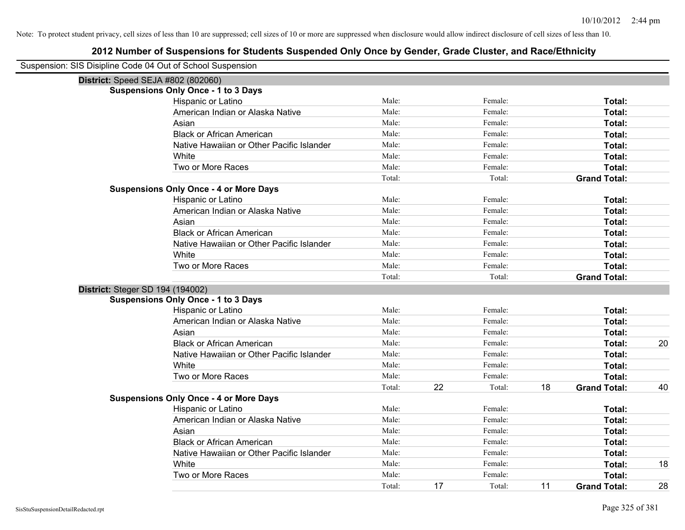| Suspension: SIS Disipline Code 04 Out of School Suspension |                                               |        |    |         |    |                     |    |
|------------------------------------------------------------|-----------------------------------------------|--------|----|---------|----|---------------------|----|
| District: Speed SEJA #802 (802060)                         |                                               |        |    |         |    |                     |    |
|                                                            | <b>Suspensions Only Once - 1 to 3 Days</b>    |        |    |         |    |                     |    |
|                                                            | Hispanic or Latino                            | Male:  |    | Female: |    | Total:              |    |
|                                                            | American Indian or Alaska Native              | Male:  |    | Female: |    | Total:              |    |
|                                                            | Asian                                         | Male:  |    | Female: |    | Total:              |    |
|                                                            | <b>Black or African American</b>              | Male:  |    | Female: |    | Total:              |    |
|                                                            | Native Hawaiian or Other Pacific Islander     | Male:  |    | Female: |    | Total:              |    |
|                                                            | White                                         | Male:  |    | Female: |    | Total:              |    |
|                                                            | Two or More Races                             | Male:  |    | Female: |    | Total:              |    |
|                                                            |                                               | Total: |    | Total:  |    | <b>Grand Total:</b> |    |
|                                                            | <b>Suspensions Only Once - 4 or More Days</b> |        |    |         |    |                     |    |
|                                                            | Hispanic or Latino                            | Male:  |    | Female: |    | Total:              |    |
|                                                            | American Indian or Alaska Native              | Male:  |    | Female: |    | Total:              |    |
|                                                            | Asian                                         | Male:  |    | Female: |    | Total:              |    |
|                                                            | <b>Black or African American</b>              | Male:  |    | Female: |    | Total:              |    |
|                                                            | Native Hawaiian or Other Pacific Islander     | Male:  |    | Female: |    | Total:              |    |
|                                                            | White                                         | Male:  |    | Female: |    | Total:              |    |
|                                                            | Two or More Races                             | Male:  |    | Female: |    | Total:              |    |
|                                                            |                                               | Total: |    | Total:  |    | <b>Grand Total:</b> |    |
| District: Steger SD 194 (194002)                           |                                               |        |    |         |    |                     |    |
|                                                            | <b>Suspensions Only Once - 1 to 3 Days</b>    |        |    |         |    |                     |    |
|                                                            | Hispanic or Latino                            | Male:  |    | Female: |    | Total:              |    |
|                                                            | American Indian or Alaska Native              | Male:  |    | Female: |    | Total:              |    |
|                                                            | Asian                                         | Male:  |    | Female: |    | Total:              |    |
|                                                            | <b>Black or African American</b>              | Male:  |    | Female: |    | Total:              | 20 |
|                                                            | Native Hawaiian or Other Pacific Islander     | Male:  |    | Female: |    | Total:              |    |
|                                                            | White                                         | Male:  |    | Female: |    | Total:              |    |
|                                                            | Two or More Races                             | Male:  |    | Female: |    | Total:              |    |
|                                                            |                                               | Total: | 22 | Total:  | 18 | <b>Grand Total:</b> | 40 |
|                                                            | <b>Suspensions Only Once - 4 or More Days</b> |        |    |         |    |                     |    |
|                                                            | Hispanic or Latino                            | Male:  |    | Female: |    | Total:              |    |
|                                                            | American Indian or Alaska Native              | Male:  |    | Female: |    | Total:              |    |
|                                                            | Asian                                         | Male:  |    | Female: |    | Total:              |    |
|                                                            | <b>Black or African American</b>              | Male:  |    | Female: |    | Total:              |    |
|                                                            | Native Hawaiian or Other Pacific Islander     | Male:  |    | Female: |    | Total:              |    |
|                                                            | White                                         | Male:  |    | Female: |    | Total:              | 18 |
|                                                            | Two or More Races                             | Male:  |    | Female: |    | Total:              |    |
|                                                            |                                               | Total: | 17 | Total:  | 11 | <b>Grand Total:</b> | 28 |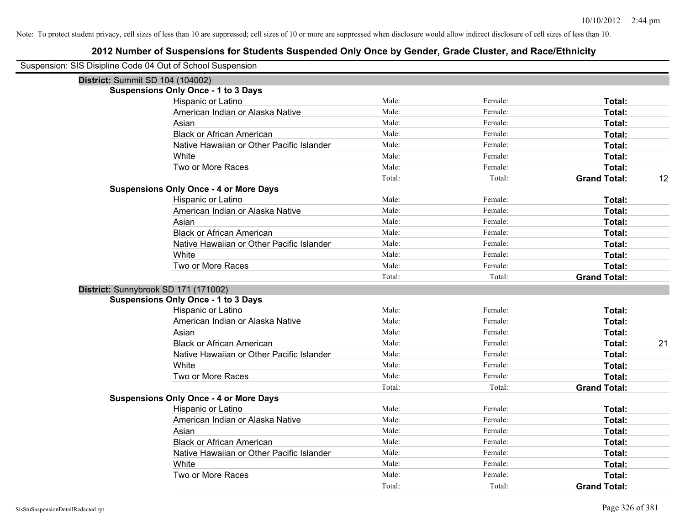| Suspension: SIS Disipline Code 04 Out of School Suspension |                                               |        |         |                     |    |
|------------------------------------------------------------|-----------------------------------------------|--------|---------|---------------------|----|
| <b>District: Summit SD 104 (104002)</b>                    |                                               |        |         |                     |    |
|                                                            | <b>Suspensions Only Once - 1 to 3 Days</b>    |        |         |                     |    |
|                                                            | Hispanic or Latino                            | Male:  | Female: | Total:              |    |
|                                                            | American Indian or Alaska Native              | Male:  | Female: | Total:              |    |
|                                                            | Asian                                         | Male:  | Female: | Total:              |    |
|                                                            | <b>Black or African American</b>              | Male:  | Female: | Total:              |    |
|                                                            | Native Hawaiian or Other Pacific Islander     | Male:  | Female: | Total:              |    |
|                                                            | White                                         | Male:  | Female: | Total:              |    |
|                                                            | Two or More Races                             | Male:  | Female: | Total:              |    |
|                                                            |                                               | Total: | Total:  | <b>Grand Total:</b> | 12 |
|                                                            | <b>Suspensions Only Once - 4 or More Days</b> |        |         |                     |    |
|                                                            | Hispanic or Latino                            | Male:  | Female: | Total:              |    |
|                                                            | American Indian or Alaska Native              | Male:  | Female: | Total:              |    |
|                                                            | Asian                                         | Male:  | Female: | Total:              |    |
|                                                            | <b>Black or African American</b>              | Male:  | Female: | Total:              |    |
|                                                            | Native Hawaiian or Other Pacific Islander     | Male:  | Female: | Total:              |    |
|                                                            | White                                         | Male:  | Female: | Total:              |    |
|                                                            | Two or More Races                             | Male:  | Female: | Total:              |    |
|                                                            |                                               | Total: | Total:  | <b>Grand Total:</b> |    |
| District: Sunnybrook SD 171 (171002)                       |                                               |        |         |                     |    |
|                                                            | <b>Suspensions Only Once - 1 to 3 Days</b>    |        |         |                     |    |
|                                                            | Hispanic or Latino                            | Male:  | Female: | Total:              |    |
|                                                            | American Indian or Alaska Native              | Male:  | Female: | Total:              |    |
|                                                            | Asian                                         | Male:  | Female: | Total:              |    |
|                                                            | <b>Black or African American</b>              | Male:  | Female: | Total:              | 21 |
|                                                            | Native Hawaiian or Other Pacific Islander     | Male:  | Female: | Total:              |    |
|                                                            | White                                         | Male:  | Female: | Total:              |    |
|                                                            | Two or More Races                             | Male:  | Female: | Total:              |    |
|                                                            |                                               | Total: | Total:  | <b>Grand Total:</b> |    |
|                                                            | <b>Suspensions Only Once - 4 or More Days</b> |        |         |                     |    |
|                                                            | Hispanic or Latino                            | Male:  | Female: | Total:              |    |
|                                                            | American Indian or Alaska Native              | Male:  | Female: | Total:              |    |
|                                                            | Asian                                         | Male:  | Female: | Total:              |    |
|                                                            | <b>Black or African American</b>              | Male:  | Female: | Total:              |    |
|                                                            | Native Hawaiian or Other Pacific Islander     | Male:  | Female: | Total:              |    |
|                                                            | White                                         | Male:  | Female: | Total:              |    |
|                                                            | Two or More Races                             | Male:  | Female: | Total:              |    |
|                                                            |                                               | Total: | Total:  | <b>Grand Total:</b> |    |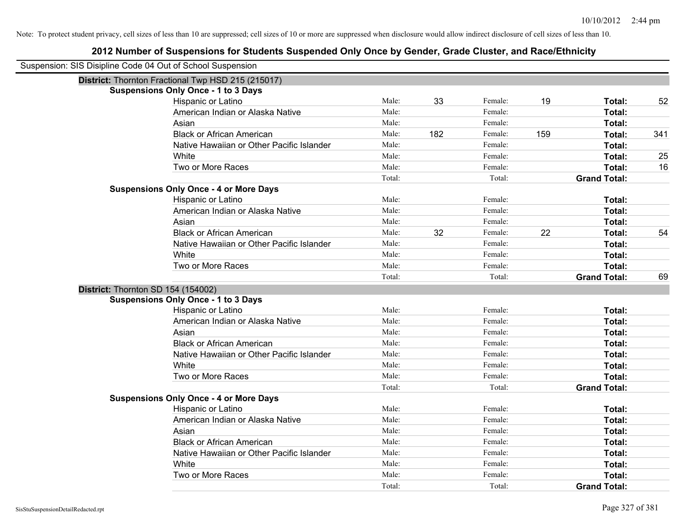| Suspension: SIS Disipline Code 04 Out of School Suspension |                                                    |        |     |         |     |                     |     |
|------------------------------------------------------------|----------------------------------------------------|--------|-----|---------|-----|---------------------|-----|
|                                                            | District: Thornton Fractional Twp HSD 215 (215017) |        |     |         |     |                     |     |
|                                                            | <b>Suspensions Only Once - 1 to 3 Days</b>         |        |     |         |     |                     |     |
|                                                            | Hispanic or Latino                                 | Male:  | 33  | Female: | 19  | Total:              | 52  |
|                                                            | American Indian or Alaska Native                   | Male:  |     | Female: |     | Total:              |     |
|                                                            | Asian                                              | Male:  |     | Female: |     | Total:              |     |
|                                                            | <b>Black or African American</b>                   | Male:  | 182 | Female: | 159 | Total:              | 341 |
|                                                            | Native Hawaiian or Other Pacific Islander          | Male:  |     | Female: |     | Total:              |     |
|                                                            | White                                              | Male:  |     | Female: |     | Total:              | 25  |
|                                                            | Two or More Races                                  | Male:  |     | Female: |     | Total:              | 16  |
|                                                            |                                                    | Total: |     | Total:  |     | <b>Grand Total:</b> |     |
|                                                            | <b>Suspensions Only Once - 4 or More Days</b>      |        |     |         |     |                     |     |
|                                                            | Hispanic or Latino                                 | Male:  |     | Female: |     | Total:              |     |
|                                                            | American Indian or Alaska Native                   | Male:  |     | Female: |     | Total:              |     |
|                                                            | Asian                                              | Male:  |     | Female: |     | Total:              |     |
|                                                            | <b>Black or African American</b>                   | Male:  | 32  | Female: | 22  | Total:              | 54  |
|                                                            | Native Hawaiian or Other Pacific Islander          | Male:  |     | Female: |     | Total:              |     |
|                                                            | White                                              | Male:  |     | Female: |     | Total:              |     |
|                                                            | Two or More Races                                  | Male:  |     | Female: |     | Total:              |     |
|                                                            |                                                    | Total: |     | Total:  |     | <b>Grand Total:</b> | 69  |
| District: Thornton SD 154 (154002)                         |                                                    |        |     |         |     |                     |     |
|                                                            | <b>Suspensions Only Once - 1 to 3 Days</b>         |        |     |         |     |                     |     |
|                                                            | Hispanic or Latino                                 | Male:  |     | Female: |     | Total:              |     |
|                                                            | American Indian or Alaska Native                   | Male:  |     | Female: |     | Total:              |     |
|                                                            | Asian                                              | Male:  |     | Female: |     | Total:              |     |
|                                                            | <b>Black or African American</b>                   | Male:  |     | Female: |     | Total:              |     |
|                                                            | Native Hawaiian or Other Pacific Islander          | Male:  |     | Female: |     | Total:              |     |
|                                                            | White                                              | Male:  |     | Female: |     | Total:              |     |
|                                                            | Two or More Races                                  | Male:  |     | Female: |     | Total:              |     |
|                                                            |                                                    | Total: |     | Total:  |     | <b>Grand Total:</b> |     |
|                                                            | <b>Suspensions Only Once - 4 or More Days</b>      |        |     |         |     |                     |     |
|                                                            | Hispanic or Latino                                 | Male:  |     | Female: |     | Total:              |     |
|                                                            | American Indian or Alaska Native                   | Male:  |     | Female: |     | Total:              |     |
|                                                            | Asian                                              | Male:  |     | Female: |     | Total:              |     |
|                                                            | <b>Black or African American</b>                   | Male:  |     | Female: |     | Total:              |     |
|                                                            | Native Hawaiian or Other Pacific Islander          | Male:  |     | Female: |     | Total:              |     |
|                                                            | White                                              | Male:  |     | Female: |     | Total:              |     |
|                                                            | Two or More Races                                  | Male:  |     | Female: |     | <b>Total:</b>       |     |
|                                                            |                                                    | Total: |     | Total:  |     | <b>Grand Total:</b> |     |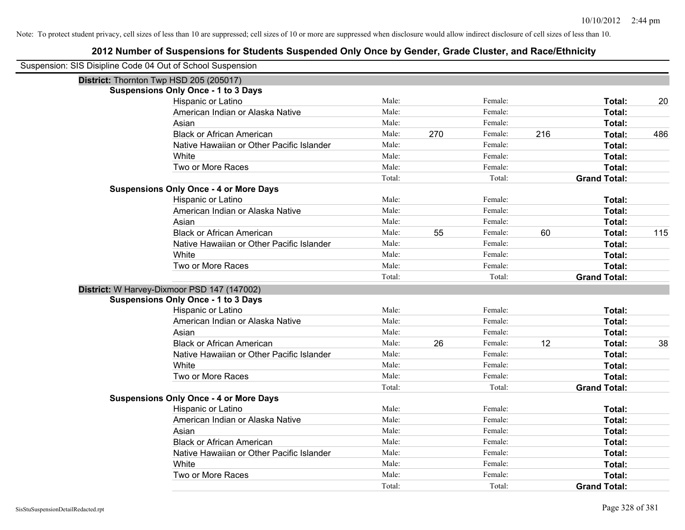| Suspension: SIS Disipline Code 04 Out of School Suspension |                                               |        |     |         |     |                     |     |
|------------------------------------------------------------|-----------------------------------------------|--------|-----|---------|-----|---------------------|-----|
|                                                            | District: Thornton Twp HSD 205 (205017)       |        |     |         |     |                     |     |
|                                                            | <b>Suspensions Only Once - 1 to 3 Days</b>    |        |     |         |     |                     |     |
|                                                            | Hispanic or Latino                            | Male:  |     | Female: |     | Total:              | 20  |
|                                                            | American Indian or Alaska Native              | Male:  |     | Female: |     | Total:              |     |
|                                                            | Asian                                         | Male:  |     | Female: |     | Total:              |     |
|                                                            | <b>Black or African American</b>              | Male:  | 270 | Female: | 216 | Total:              | 486 |
|                                                            | Native Hawaiian or Other Pacific Islander     | Male:  |     | Female: |     | <b>Total:</b>       |     |
|                                                            | White                                         | Male:  |     | Female: |     | Total:              |     |
|                                                            | Two or More Races                             | Male:  |     | Female: |     | Total:              |     |
|                                                            |                                               | Total: |     | Total:  |     | <b>Grand Total:</b> |     |
|                                                            | <b>Suspensions Only Once - 4 or More Days</b> |        |     |         |     |                     |     |
|                                                            | Hispanic or Latino                            | Male:  |     | Female: |     | Total:              |     |
|                                                            | American Indian or Alaska Native              | Male:  |     | Female: |     | Total:              |     |
|                                                            | Asian                                         | Male:  |     | Female: |     | Total:              |     |
|                                                            | <b>Black or African American</b>              | Male:  | 55  | Female: | 60  | Total:              | 115 |
|                                                            | Native Hawaiian or Other Pacific Islander     | Male:  |     | Female: |     | Total:              |     |
|                                                            | White                                         | Male:  |     | Female: |     | Total:              |     |
|                                                            | Two or More Races                             | Male:  |     | Female: |     | Total:              |     |
|                                                            |                                               | Total: |     | Total:  |     | <b>Grand Total:</b> |     |
|                                                            | District: W Harvey-Dixmoor PSD 147 (147002)   |        |     |         |     |                     |     |
|                                                            | <b>Suspensions Only Once - 1 to 3 Days</b>    |        |     |         |     |                     |     |
|                                                            | Hispanic or Latino                            | Male:  |     | Female: |     | Total:              |     |
|                                                            | American Indian or Alaska Native              | Male:  |     | Female: |     | Total:              |     |
|                                                            | Asian                                         | Male:  |     | Female: |     | Total:              |     |
|                                                            | <b>Black or African American</b>              | Male:  | 26  | Female: | 12  | Total:              | 38  |
|                                                            | Native Hawaiian or Other Pacific Islander     | Male:  |     | Female: |     | <b>Total:</b>       |     |
|                                                            | White                                         | Male:  |     | Female: |     | Total:              |     |
|                                                            | Two or More Races                             | Male:  |     | Female: |     | Total:              |     |
|                                                            |                                               | Total: |     | Total:  |     | <b>Grand Total:</b> |     |
|                                                            | <b>Suspensions Only Once - 4 or More Days</b> |        |     |         |     |                     |     |
|                                                            | Hispanic or Latino                            | Male:  |     | Female: |     | Total:              |     |
|                                                            | American Indian or Alaska Native              | Male:  |     | Female: |     | Total:              |     |
|                                                            | Asian                                         | Male:  |     | Female: |     | Total:              |     |
|                                                            | <b>Black or African American</b>              | Male:  |     | Female: |     | Total:              |     |
|                                                            | Native Hawaiian or Other Pacific Islander     | Male:  |     | Female: |     | Total:              |     |
|                                                            | White                                         | Male:  |     | Female: |     | Total:              |     |
|                                                            | Two or More Races                             | Male:  |     | Female: |     | Total:              |     |
|                                                            |                                               | Total: |     | Total:  |     | <b>Grand Total:</b> |     |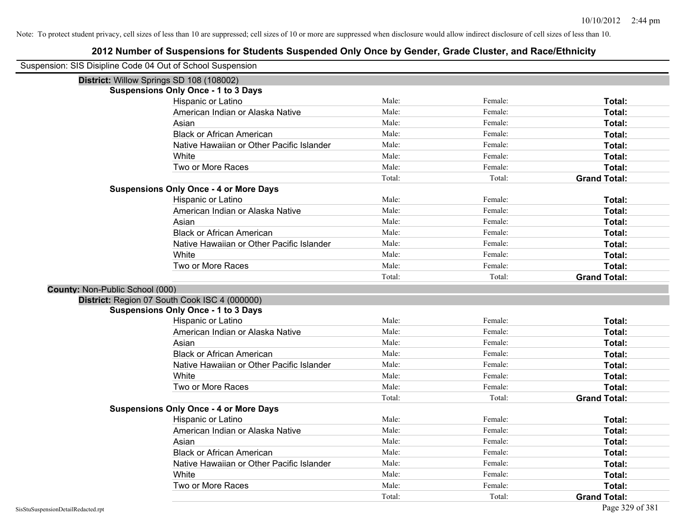| Suspension: SIS Disipline Code 04 Out of School Suspension |                                               |        |         |                     |
|------------------------------------------------------------|-----------------------------------------------|--------|---------|---------------------|
| District: Willow Springs SD 108 (108002)                   |                                               |        |         |                     |
|                                                            | <b>Suspensions Only Once - 1 to 3 Days</b>    |        |         |                     |
|                                                            | <b>Hispanic or Latino</b>                     | Male:  | Female: | Total:              |
|                                                            | American Indian or Alaska Native              | Male:  | Female: | Total:              |
|                                                            | Asian                                         | Male:  | Female: | Total:              |
|                                                            | <b>Black or African American</b>              | Male:  | Female: | Total:              |
|                                                            | Native Hawaiian or Other Pacific Islander     | Male:  | Female: | Total:              |
|                                                            | White                                         | Male:  | Female: | Total:              |
|                                                            | Two or More Races                             | Male:  | Female: | Total:              |
|                                                            |                                               | Total: | Total:  | <b>Grand Total:</b> |
|                                                            | <b>Suspensions Only Once - 4 or More Days</b> |        |         |                     |
|                                                            | Hispanic or Latino                            | Male:  | Female: | Total:              |
|                                                            | American Indian or Alaska Native              | Male:  | Female: | Total:              |
|                                                            | Asian                                         | Male:  | Female: | Total:              |
|                                                            | <b>Black or African American</b>              | Male:  | Female: | Total:              |
|                                                            | Native Hawaiian or Other Pacific Islander     | Male:  | Female: | Total:              |
|                                                            | White                                         | Male:  | Female: | Total:              |
|                                                            | Two or More Races                             | Male:  | Female: | Total:              |
|                                                            |                                               | Total: | Total:  | <b>Grand Total:</b> |
| County: Non-Public School (000)                            |                                               |        |         |                     |
|                                                            | District: Region 07 South Cook ISC 4 (000000) |        |         |                     |
|                                                            | <b>Suspensions Only Once - 1 to 3 Days</b>    |        |         |                     |
|                                                            | Hispanic or Latino                            | Male:  | Female: | Total:              |
|                                                            | American Indian or Alaska Native              | Male:  | Female: | Total:              |
|                                                            | Asian                                         | Male:  | Female: | Total:              |
|                                                            | <b>Black or African American</b>              | Male:  | Female: | Total:              |
|                                                            | Native Hawaiian or Other Pacific Islander     | Male:  | Female: | Total:              |
|                                                            | White                                         | Male:  | Female: | Total:              |
|                                                            | Two or More Races                             | Male:  | Female: | Total:              |
|                                                            |                                               | Total: | Total:  | <b>Grand Total:</b> |
|                                                            | <b>Suspensions Only Once - 4 or More Days</b> |        |         |                     |
|                                                            | Hispanic or Latino                            | Male:  | Female: | Total:              |
|                                                            | American Indian or Alaska Native              | Male:  | Female: | Total:              |
|                                                            | Asian                                         | Male:  | Female: | Total:              |
|                                                            | <b>Black or African American</b>              | Male:  | Female: | Total:              |
|                                                            | Native Hawaiian or Other Pacific Islander     | Male:  | Female: | Total:              |
|                                                            | White                                         | Male:  | Female: | Total:              |
|                                                            | Two or More Races                             | Male:  | Female: | Total:              |
|                                                            |                                               | Total: | Total:  | <b>Grand Total:</b> |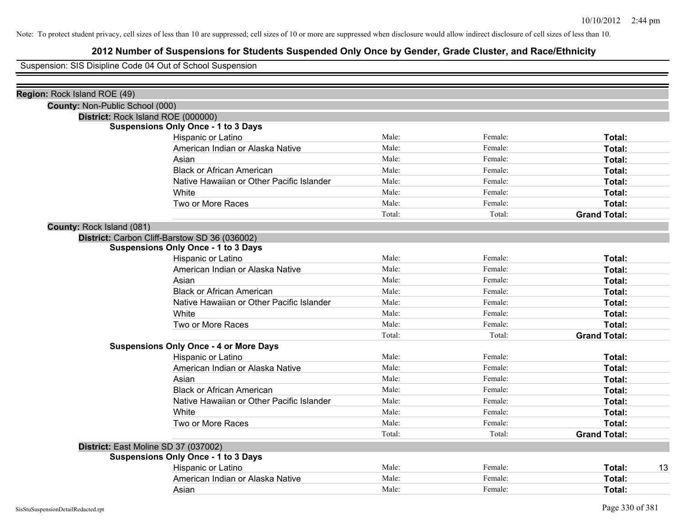# **2012 Number of Suspensions for Students Suspended Only Once by Gender, Grade Cluster, and Race/Ethnicity**

Suspension: SIS Disipline Code 04 Out of School Suspension

| Region: Rock Island ROE (49)                  |        |         |                     |    |
|-----------------------------------------------|--------|---------|---------------------|----|
| <b>County: Non-Public School (000)</b>        |        |         |                     |    |
| District: Rock Island ROE (000000)            |        |         |                     |    |
| <b>Suspensions Only Once - 1 to 3 Days</b>    |        |         |                     |    |
| Hispanic or Latino                            | Male:  | Female: | Total:              |    |
| American Indian or Alaska Native              | Male:  | Female: | Total:              |    |
| Asian                                         | Male:  | Female: | Total:              |    |
| <b>Black or African American</b>              | Male:  | Female: | Total:              |    |
| Native Hawaiian or Other Pacific Islander     | Male:  | Female: | Total:              |    |
| White                                         | Male:  | Female: | Total:              |    |
| Two or More Races                             | Male:  | Female: | Total:              |    |
|                                               | Total: | Total:  | <b>Grand Total:</b> |    |
| County: Rock Island (081)                     |        |         |                     |    |
| District: Carbon Cliff-Barstow SD 36 (036002) |        |         |                     |    |
| <b>Suspensions Only Once - 1 to 3 Days</b>    |        |         |                     |    |
| Hispanic or Latino                            | Male:  | Female: | Total:              |    |
| American Indian or Alaska Native              | Male:  | Female: | Total:              |    |
| Asian                                         | Male:  | Female: | Total:              |    |
| <b>Black or African American</b>              | Male:  | Female: | Total:              |    |
| Native Hawaiian or Other Pacific Islander     | Male:  | Female: | Total:              |    |
| White                                         | Male:  | Female: | Total:              |    |
| Two or More Races                             | Male:  | Female: | Total:              |    |
|                                               | Total: | Total:  | <b>Grand Total:</b> |    |
| <b>Suspensions Only Once - 4 or More Days</b> |        |         |                     |    |
| Hispanic or Latino                            | Male:  | Female: | Total:              |    |
| American Indian or Alaska Native              | Male:  | Female: | Total:              |    |
| Asian                                         | Male:  | Female: | Total:              |    |
| <b>Black or African American</b>              | Male:  | Female: | Total:              |    |
| Native Hawaiian or Other Pacific Islander     | Male:  | Female: | Total:              |    |
| White                                         | Male:  | Female: | Total:              |    |
| Two or More Races                             | Male:  | Female: | Total:              |    |
|                                               | Total: | Total:  | <b>Grand Total:</b> |    |
| District: East Moline SD 37 (037002)          |        |         |                     |    |
| <b>Suspensions Only Once - 1 to 3 Days</b>    |        |         |                     |    |
| Hispanic or Latino                            | Male:  | Female: | Total:              | 13 |
| American Indian or Alaska Native              | Male:  | Female: | <b>Total:</b>       |    |
| Asian                                         | Male:  | Female: | Total:              |    |
|                                               |        |         |                     |    |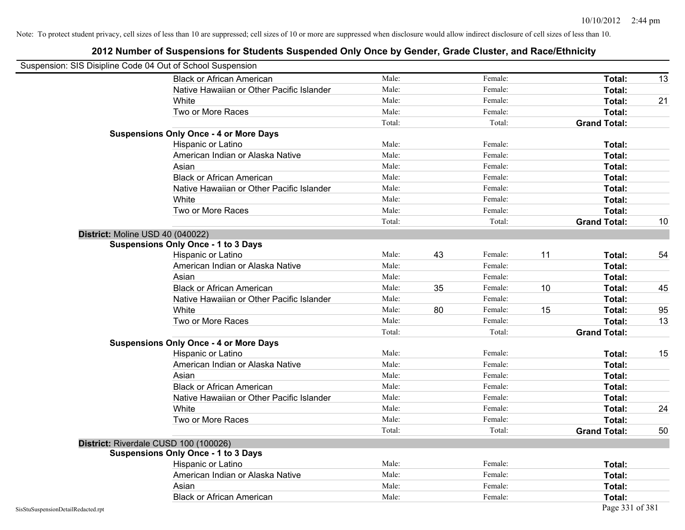|                                    | Suspension: SIS Disipline Code 04 Out of School Suspension |        |    |         |    |                     |    |
|------------------------------------|------------------------------------------------------------|--------|----|---------|----|---------------------|----|
|                                    | <b>Black or African American</b>                           | Male:  |    | Female: |    | Total:              | 13 |
|                                    | Native Hawaiian or Other Pacific Islander                  | Male:  |    | Female: |    | Total:              |    |
|                                    | White                                                      | Male:  |    | Female: |    | Total:              | 21 |
|                                    | Two or More Races                                          | Male:  |    | Female: |    | Total:              |    |
|                                    |                                                            | Total: |    | Total:  |    | <b>Grand Total:</b> |    |
|                                    | <b>Suspensions Only Once - 4 or More Days</b>              |        |    |         |    |                     |    |
|                                    | Hispanic or Latino                                         | Male:  |    | Female: |    | Total:              |    |
|                                    | American Indian or Alaska Native                           | Male:  |    | Female: |    | Total:              |    |
|                                    | Asian                                                      | Male:  |    | Female: |    | Total:              |    |
|                                    | <b>Black or African American</b>                           | Male:  |    | Female: |    | Total:              |    |
|                                    | Native Hawaiian or Other Pacific Islander                  | Male:  |    | Female: |    | Total:              |    |
|                                    | White                                                      | Male:  |    | Female: |    | Total:              |    |
|                                    | Two or More Races                                          | Male:  |    | Female: |    | Total:              |    |
|                                    |                                                            | Total: |    | Total:  |    | <b>Grand Total:</b> | 10 |
|                                    | District: Moline USD 40 (040022)                           |        |    |         |    |                     |    |
|                                    | <b>Suspensions Only Once - 1 to 3 Days</b>                 |        |    |         |    |                     |    |
|                                    | Hispanic or Latino                                         | Male:  | 43 | Female: | 11 | Total:              | 54 |
|                                    | American Indian or Alaska Native                           | Male:  |    | Female: |    | Total:              |    |
|                                    | Asian                                                      | Male:  |    | Female: |    | Total:              |    |
|                                    | <b>Black or African American</b>                           | Male:  | 35 | Female: | 10 | Total:              | 45 |
|                                    | Native Hawaiian or Other Pacific Islander                  | Male:  |    | Female: |    | Total:              |    |
|                                    | White                                                      | Male:  | 80 | Female: | 15 | Total:              | 95 |
|                                    | Two or More Races                                          | Male:  |    | Female: |    | Total:              | 13 |
|                                    |                                                            | Total: |    | Total:  |    | <b>Grand Total:</b> |    |
|                                    | <b>Suspensions Only Once - 4 or More Days</b>              |        |    |         |    |                     |    |
|                                    | Hispanic or Latino                                         | Male:  |    | Female: |    | Total:              | 15 |
|                                    | American Indian or Alaska Native                           | Male:  |    | Female: |    | Total:              |    |
|                                    | Asian                                                      | Male:  |    | Female: |    | Total:              |    |
|                                    | <b>Black or African American</b>                           | Male:  |    | Female: |    | Total:              |    |
|                                    | Native Hawaiian or Other Pacific Islander                  | Male:  |    | Female: |    | Total:              |    |
|                                    | White                                                      | Male:  |    | Female: |    | Total:              | 24 |
|                                    | Two or More Races                                          | Male:  |    | Female: |    | Total:              |    |
|                                    |                                                            | Total: |    | Total:  |    | <b>Grand Total:</b> | 50 |
|                                    | District: Riverdale CUSD 100 (100026)                      |        |    |         |    |                     |    |
|                                    | <b>Suspensions Only Once - 1 to 3 Days</b>                 |        |    |         |    |                     |    |
|                                    | Hispanic or Latino                                         | Male:  |    | Female: |    | Total:              |    |
|                                    | American Indian or Alaska Native                           | Male:  |    | Female: |    | Total:              |    |
|                                    | Asian                                                      | Male:  |    | Female: |    | Total:              |    |
|                                    | <b>Black or African American</b>                           | Male:  |    | Female: |    | Total:              |    |
| SisStuSuspensionDetailRedacted.rpt |                                                            |        |    |         |    | Page 331 of 381     |    |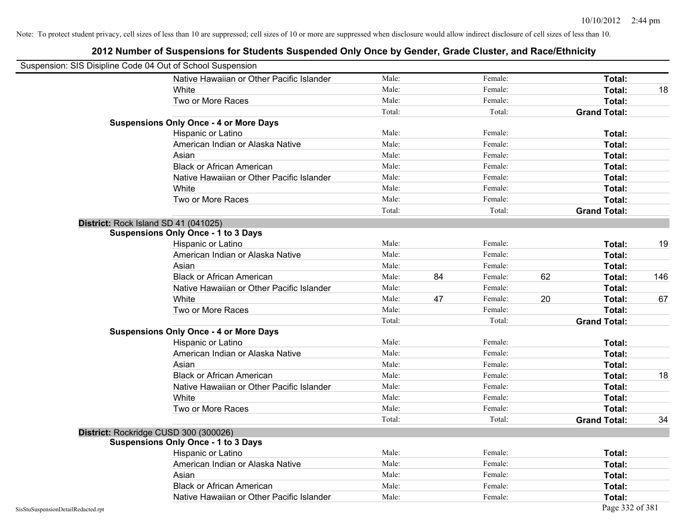|                                    | Suspension: SIS Disipline Code 04 Out of School Suspension |        |    |         |    |                     |     |
|------------------------------------|------------------------------------------------------------|--------|----|---------|----|---------------------|-----|
|                                    | Native Hawaiian or Other Pacific Islander                  | Male:  |    | Female: |    | Total:              |     |
|                                    | White                                                      | Male:  |    | Female: |    | Total:              | 18  |
|                                    | Two or More Races                                          | Male:  |    | Female: |    | Total:              |     |
|                                    |                                                            | Total: |    | Total:  |    | <b>Grand Total:</b> |     |
|                                    | <b>Suspensions Only Once - 4 or More Days</b>              |        |    |         |    |                     |     |
|                                    | Hispanic or Latino                                         | Male:  |    | Female: |    | Total:              |     |
|                                    | American Indian or Alaska Native                           | Male:  |    | Female: |    | Total:              |     |
|                                    | Asian                                                      | Male:  |    | Female: |    | Total:              |     |
|                                    | <b>Black or African American</b>                           | Male:  |    | Female: |    | Total:              |     |
|                                    | Native Hawaiian or Other Pacific Islander                  | Male:  |    | Female: |    | Total:              |     |
|                                    | White                                                      | Male:  |    | Female: |    | Total:              |     |
|                                    | Two or More Races                                          | Male:  |    | Female: |    | Total:              |     |
|                                    |                                                            | Total: |    | Total:  |    | <b>Grand Total:</b> |     |
|                                    | District: Rock Island SD 41 (041025)                       |        |    |         |    |                     |     |
|                                    | <b>Suspensions Only Once - 1 to 3 Days</b>                 |        |    |         |    |                     |     |
|                                    | Hispanic or Latino                                         | Male:  |    | Female: |    | Total:              | 19  |
|                                    | American Indian or Alaska Native                           | Male:  |    | Female: |    | Total:              |     |
|                                    | Asian                                                      | Male:  |    | Female: |    | Total:              |     |
|                                    | <b>Black or African American</b>                           | Male:  | 84 | Female: | 62 | Total:              | 146 |
|                                    | Native Hawaiian or Other Pacific Islander                  | Male:  |    | Female: |    | Total:              |     |
|                                    | White                                                      | Male:  | 47 | Female: | 20 | Total:              | 67  |
|                                    | Two or More Races                                          | Male:  |    | Female: |    | Total:              |     |
|                                    |                                                            | Total: |    | Total:  |    | <b>Grand Total:</b> |     |
|                                    | <b>Suspensions Only Once - 4 or More Days</b>              |        |    |         |    |                     |     |
|                                    | Hispanic or Latino                                         | Male:  |    | Female: |    | Total:              |     |
|                                    | American Indian or Alaska Native                           | Male:  |    | Female: |    | Total:              |     |
|                                    | Asian                                                      | Male:  |    | Female: |    | Total:              |     |
|                                    | <b>Black or African American</b>                           | Male:  |    | Female: |    | Total:              | 18  |
|                                    | Native Hawaiian or Other Pacific Islander                  | Male:  |    | Female: |    | Total:              |     |
|                                    | White                                                      | Male:  |    | Female: |    | Total:              |     |
|                                    | Two or More Races                                          | Male:  |    | Female: |    | Total:              |     |
|                                    |                                                            | Total: |    | Total:  |    | <b>Grand Total:</b> | 34  |
|                                    | District: Rockridge CUSD 300 (300026)                      |        |    |         |    |                     |     |
|                                    | <b>Suspensions Only Once - 1 to 3 Days</b>                 |        |    |         |    |                     |     |
|                                    | Hispanic or Latino                                         | Male:  |    | Female: |    | Total:              |     |
|                                    | American Indian or Alaska Native                           | Male:  |    | Female: |    | Total:              |     |
|                                    | Asian                                                      | Male:  |    | Female: |    | Total:              |     |
|                                    | <b>Black or African American</b>                           | Male:  |    | Female: |    | Total:              |     |
|                                    | Native Hawaiian or Other Pacific Islander                  | Male:  |    | Female: |    | Total:              |     |
| SisStuSuspensionDetailRedacted.rpt |                                                            |        |    |         |    | Page 332 of 381     |     |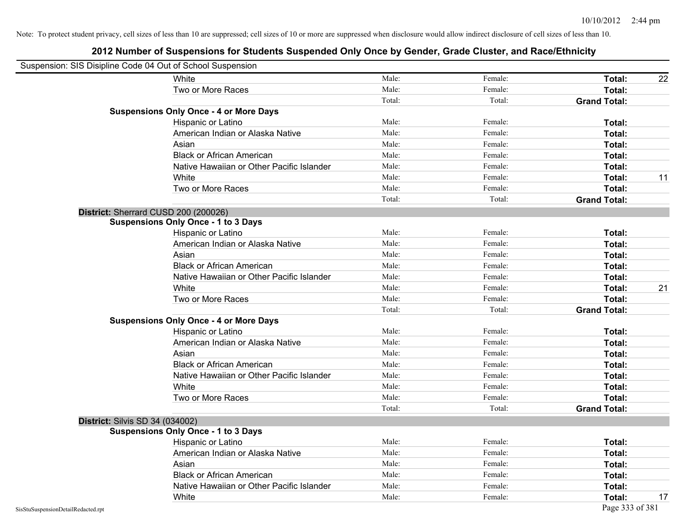| Suspension: SIS Disipline Code 04 Out of School Suspension |                                               |        |         |                     |    |
|------------------------------------------------------------|-----------------------------------------------|--------|---------|---------------------|----|
|                                                            | White                                         | Male:  | Female: | Total:              | 22 |
|                                                            | Two or More Races                             | Male:  | Female: | Total:              |    |
|                                                            |                                               | Total: | Total:  | <b>Grand Total:</b> |    |
|                                                            | <b>Suspensions Only Once - 4 or More Days</b> |        |         |                     |    |
|                                                            | Hispanic or Latino                            | Male:  | Female: | Total:              |    |
|                                                            | American Indian or Alaska Native              | Male:  | Female: | Total:              |    |
|                                                            | Asian                                         | Male:  | Female: | Total:              |    |
|                                                            | <b>Black or African American</b>              | Male:  | Female: | Total:              |    |
|                                                            | Native Hawaiian or Other Pacific Islander     | Male:  | Female: | Total:              |    |
|                                                            | White                                         | Male:  | Female: | Total:              | 11 |
|                                                            | Two or More Races                             | Male:  | Female: | Total:              |    |
|                                                            |                                               | Total: | Total:  | <b>Grand Total:</b> |    |
|                                                            | District: Sherrard CUSD 200 (200026)          |        |         |                     |    |
|                                                            | <b>Suspensions Only Once - 1 to 3 Days</b>    |        |         |                     |    |
|                                                            | Hispanic or Latino                            | Male:  | Female: | Total:              |    |
|                                                            | American Indian or Alaska Native              | Male:  | Female: | Total:              |    |
|                                                            | Asian                                         | Male:  | Female: | Total:              |    |
|                                                            | <b>Black or African American</b>              | Male:  | Female: | Total:              |    |
|                                                            | Native Hawaiian or Other Pacific Islander     | Male:  | Female: | Total:              |    |
|                                                            | White                                         | Male:  | Female: | Total:              | 21 |
|                                                            | Two or More Races                             | Male:  | Female: | Total:              |    |
|                                                            |                                               | Total: | Total:  | <b>Grand Total:</b> |    |
|                                                            | <b>Suspensions Only Once - 4 or More Days</b> |        |         |                     |    |
|                                                            | Hispanic or Latino                            | Male:  | Female: | Total:              |    |
|                                                            | American Indian or Alaska Native              | Male:  | Female: | Total:              |    |
|                                                            | Asian                                         | Male:  | Female: | Total:              |    |
|                                                            | <b>Black or African American</b>              | Male:  | Female: | Total:              |    |
|                                                            | Native Hawaiian or Other Pacific Islander     | Male:  | Female: | Total:              |    |
|                                                            | White                                         | Male:  | Female: | Total:              |    |
|                                                            | Two or More Races                             | Male:  | Female: | Total:              |    |
|                                                            |                                               | Total: | Total:  | <b>Grand Total:</b> |    |
| <b>District: Silvis SD 34 (034002)</b>                     |                                               |        |         |                     |    |
|                                                            | <b>Suspensions Only Once - 1 to 3 Days</b>    |        |         |                     |    |
|                                                            | Hispanic or Latino                            | Male:  | Female: | Total:              |    |
|                                                            | American Indian or Alaska Native              | Male:  | Female: | Total:              |    |
|                                                            | Asian                                         | Male:  | Female: | Total:              |    |
|                                                            | <b>Black or African American</b>              | Male:  | Female: | Total:              |    |
|                                                            | Native Hawaiian or Other Pacific Islander     | Male:  | Female: | Total:              |    |
|                                                            | White                                         | Male:  | Female: | Total:              | 17 |
| SisStuSuspensionDetailRedacted.rpt                         |                                               |        |         | Page 333 of 381     |    |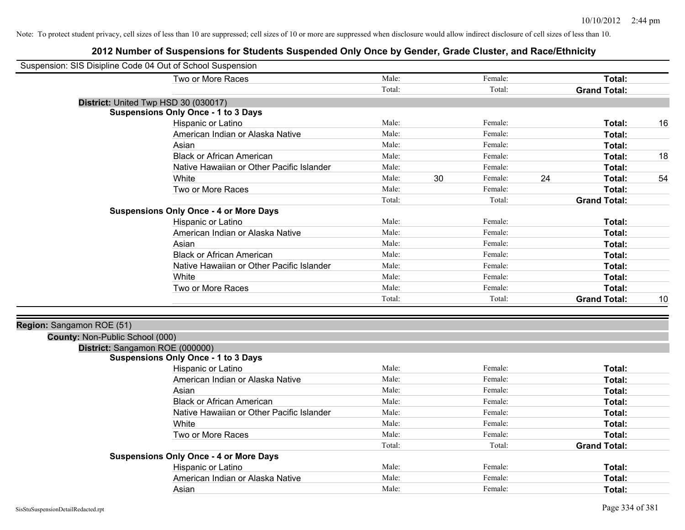| Suspension: SIS Disipline Code 04 Out of School Suspension |                                               |        |    |         |                     |    |
|------------------------------------------------------------|-----------------------------------------------|--------|----|---------|---------------------|----|
|                                                            | Two or More Races                             | Male:  |    | Female: | Total:              |    |
|                                                            |                                               | Total: |    | Total:  | <b>Grand Total:</b> |    |
|                                                            | District: United Twp HSD 30 (030017)          |        |    |         |                     |    |
|                                                            | <b>Suspensions Only Once - 1 to 3 Days</b>    |        |    |         |                     |    |
|                                                            | Hispanic or Latino                            | Male:  |    | Female: | Total:              | 16 |
|                                                            | American Indian or Alaska Native              | Male:  |    | Female: | Total:              |    |
|                                                            | Asian                                         | Male:  |    | Female: | Total:              |    |
|                                                            | <b>Black or African American</b>              | Male:  |    | Female: | Total:              | 18 |
|                                                            | Native Hawaiian or Other Pacific Islander     | Male:  |    | Female: | Total:              |    |
|                                                            | White                                         | Male:  | 30 | Female: | 24<br>Total:        | 54 |
|                                                            | Two or More Races                             | Male:  |    | Female: | Total:              |    |
|                                                            |                                               | Total: |    | Total:  | <b>Grand Total:</b> |    |
|                                                            | <b>Suspensions Only Once - 4 or More Days</b> |        |    |         |                     |    |
|                                                            | Hispanic or Latino                            | Male:  |    | Female: | Total:              |    |
|                                                            | American Indian or Alaska Native              | Male:  |    | Female: | Total:              |    |
|                                                            | Asian                                         | Male:  |    | Female: | Total:              |    |
|                                                            | <b>Black or African American</b>              | Male:  |    | Female: | Total:              |    |
|                                                            | Native Hawaiian or Other Pacific Islander     | Male:  |    | Female: | Total:              |    |
|                                                            | White                                         | Male:  |    | Female: | Total:              |    |
|                                                            | Two or More Races                             | Male:  |    | Female: | Total:              |    |
|                                                            |                                               | Total: |    | Total:  | <b>Grand Total:</b> | 10 |
| Region: Sangamon ROE (51)                                  |                                               |        |    |         |                     |    |
| County: Non-Public School (000)                            |                                               |        |    |         |                     |    |
|                                                            | District: Sangamon ROE (000000)               |        |    |         |                     |    |
|                                                            | <b>Suspensions Only Once - 1 to 3 Days</b>    |        |    |         |                     |    |
|                                                            | Hispanic or Latino                            | Male:  |    | Female: | Total:              |    |
|                                                            | American Indian or Alaska Native              | Male:  |    | Female: | Total:              |    |
|                                                            | Asian                                         | Male:  |    | Female: | Total:              |    |
|                                                            | <b>Black or African American</b>              | Male:  |    | Female: | Total:              |    |
|                                                            | Native Hawaiian or Other Pacific Islander     | Male:  |    | Female: | Total:              |    |
|                                                            | White                                         | Male:  |    | Female: | Total:              |    |
|                                                            | Two or More Races                             | Male:  |    | Female: | Total:              |    |
|                                                            |                                               | Total: |    | Total:  | <b>Grand Total:</b> |    |
|                                                            | <b>Suspensions Only Once - 4 or More Days</b> |        |    |         |                     |    |
|                                                            | Hispanic or Latino                            | Male:  |    | Female: | Total:              |    |
|                                                            | American Indian or Alaska Native              | Male:  |    | Female: | Total:              |    |
|                                                            | Asian                                         | Male:  |    | Female: | Total:              |    |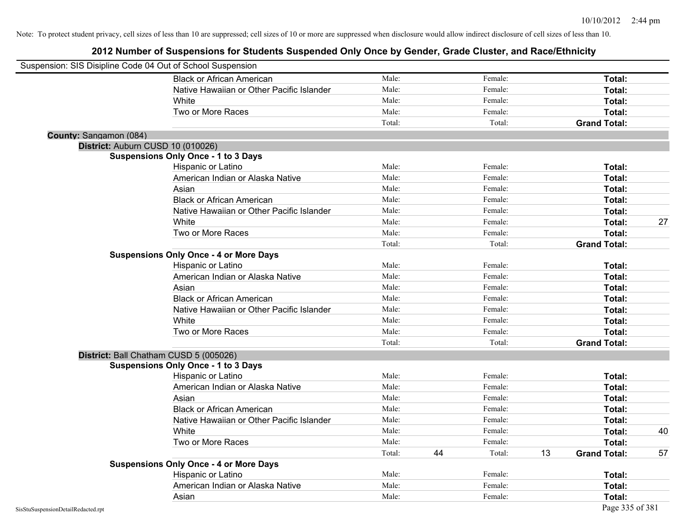| Suspension: SIS Disipline Code 04 Out of School Suspension |                                               |        |    |         |    |                     |    |
|------------------------------------------------------------|-----------------------------------------------|--------|----|---------|----|---------------------|----|
|                                                            | <b>Black or African American</b>              | Male:  |    | Female: |    | Total:              |    |
|                                                            | Native Hawaiian or Other Pacific Islander     | Male:  |    | Female: |    | Total:              |    |
|                                                            | White                                         | Male:  |    | Female: |    | Total:              |    |
|                                                            | Two or More Races                             | Male:  |    | Female: |    | Total:              |    |
|                                                            |                                               | Total: |    | Total:  |    | <b>Grand Total:</b> |    |
| County: Sangamon (084)                                     |                                               |        |    |         |    |                     |    |
| District: Auburn CUSD 10 (010026)                          |                                               |        |    |         |    |                     |    |
|                                                            | <b>Suspensions Only Once - 1 to 3 Days</b>    |        |    |         |    |                     |    |
|                                                            | Hispanic or Latino                            | Male:  |    | Female: |    | Total:              |    |
|                                                            | American Indian or Alaska Native              | Male:  |    | Female: |    | Total:              |    |
|                                                            | Asian                                         | Male:  |    | Female: |    | Total:              |    |
|                                                            | <b>Black or African American</b>              | Male:  |    | Female: |    | Total:              |    |
|                                                            | Native Hawaiian or Other Pacific Islander     | Male:  |    | Female: |    | Total:              |    |
|                                                            | White                                         | Male:  |    | Female: |    | Total:              | 27 |
|                                                            | Two or More Races                             | Male:  |    | Female: |    | Total:              |    |
|                                                            |                                               | Total: |    | Total:  |    | <b>Grand Total:</b> |    |
|                                                            | <b>Suspensions Only Once - 4 or More Days</b> |        |    |         |    |                     |    |
|                                                            | Hispanic or Latino                            | Male:  |    | Female: |    | <b>Total:</b>       |    |
|                                                            | American Indian or Alaska Native              | Male:  |    | Female: |    | Total:              |    |
|                                                            | Asian                                         | Male:  |    | Female: |    | Total:              |    |
|                                                            | <b>Black or African American</b>              | Male:  |    | Female: |    | Total:              |    |
|                                                            | Native Hawaiian or Other Pacific Islander     | Male:  |    | Female: |    | Total:              |    |
|                                                            | White                                         | Male:  |    | Female: |    | Total:              |    |
|                                                            | Two or More Races                             | Male:  |    | Female: |    | Total:              |    |
|                                                            |                                               | Total: |    | Total:  |    | <b>Grand Total:</b> |    |
|                                                            | District: Ball Chatham CUSD 5 (005026)        |        |    |         |    |                     |    |
|                                                            | <b>Suspensions Only Once - 1 to 3 Days</b>    |        |    |         |    |                     |    |
|                                                            | Hispanic or Latino                            | Male:  |    | Female: |    | Total:              |    |
|                                                            | American Indian or Alaska Native              | Male:  |    | Female: |    | Total:              |    |
|                                                            | Asian                                         | Male:  |    | Female: |    | Total:              |    |
|                                                            | <b>Black or African American</b>              | Male:  |    | Female: |    | Total:              |    |
|                                                            | Native Hawaiian or Other Pacific Islander     | Male:  |    | Female: |    | Total:              |    |
|                                                            | White                                         | Male:  |    | Female: |    | Total:              | 40 |
|                                                            | Two or More Races                             | Male:  |    | Female: |    | Total:              |    |
|                                                            |                                               | Total: | 44 | Total:  | 13 | <b>Grand Total:</b> | 57 |
|                                                            | <b>Suspensions Only Once - 4 or More Days</b> |        |    |         |    |                     |    |
|                                                            | Hispanic or Latino                            | Male:  |    | Female: |    | Total:              |    |
|                                                            | American Indian or Alaska Native              | Male:  |    | Female: |    | Total:              |    |
|                                                            | Asian                                         | Male:  |    | Female: |    | Total:              |    |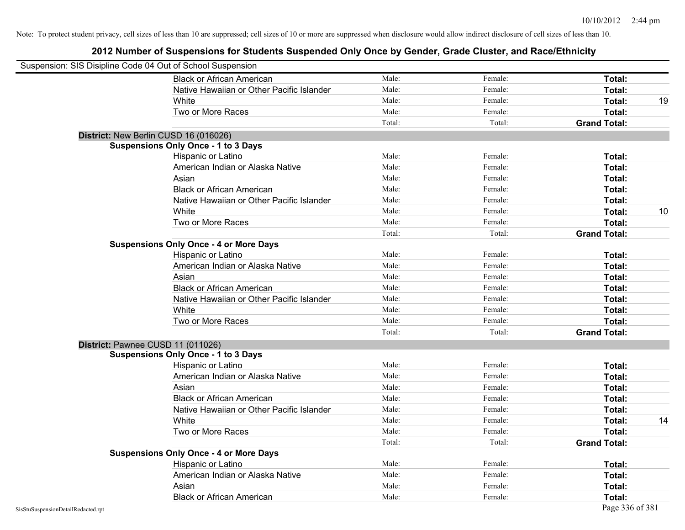|                                    | Suspension: SIS Disipline Code 04 Out of School Suspension |        |         |                     |
|------------------------------------|------------------------------------------------------------|--------|---------|---------------------|
|                                    | <b>Black or African American</b>                           | Male:  | Female: | Total:              |
|                                    | Native Hawaiian or Other Pacific Islander                  | Male:  | Female: | Total:              |
|                                    | White                                                      | Male:  | Female: | 19<br>Total:        |
|                                    | Two or More Races                                          | Male:  | Female: | Total:              |
|                                    |                                                            | Total: | Total:  | <b>Grand Total:</b> |
|                                    | District: New Berlin CUSD 16 (016026)                      |        |         |                     |
|                                    | <b>Suspensions Only Once - 1 to 3 Days</b>                 |        |         |                     |
|                                    | Hispanic or Latino                                         | Male:  | Female: | Total:              |
|                                    | American Indian or Alaska Native                           | Male:  | Female: | Total:              |
|                                    | Asian                                                      | Male:  | Female: | Total:              |
|                                    | <b>Black or African American</b>                           | Male:  | Female: | Total:              |
|                                    | Native Hawaiian or Other Pacific Islander                  | Male:  | Female: | Total:              |
|                                    | White                                                      | Male:  | Female: | 10<br>Total:        |
|                                    | Two or More Races                                          | Male:  | Female: | Total:              |
|                                    |                                                            | Total: | Total:  | <b>Grand Total:</b> |
|                                    | <b>Suspensions Only Once - 4 or More Days</b>              |        |         |                     |
|                                    | Hispanic or Latino                                         | Male:  | Female: | Total:              |
|                                    | American Indian or Alaska Native                           | Male:  | Female: | Total:              |
|                                    | Asian                                                      | Male:  | Female: | Total:              |
|                                    | <b>Black or African American</b>                           | Male:  | Female: | Total:              |
|                                    | Native Hawaiian or Other Pacific Islander                  | Male:  | Female: | Total:              |
|                                    | White                                                      | Male:  | Female: | Total:              |
|                                    | Two or More Races                                          | Male:  | Female: | Total:              |
|                                    |                                                            | Total: | Total:  | <b>Grand Total:</b> |
|                                    | District: Pawnee CUSD 11 (011026)                          |        |         |                     |
|                                    | <b>Suspensions Only Once - 1 to 3 Days</b>                 |        |         |                     |
|                                    | Hispanic or Latino                                         | Male:  | Female: | Total:              |
|                                    | American Indian or Alaska Native                           | Male:  | Female: | Total:              |
|                                    | Asian                                                      | Male:  | Female: | Total:              |
|                                    | <b>Black or African American</b>                           | Male:  | Female: | Total:              |
|                                    | Native Hawaiian or Other Pacific Islander                  | Male:  | Female: | Total:              |
|                                    | White                                                      | Male:  | Female: | Total:<br>14        |
|                                    | Two or More Races                                          | Male:  | Female: | Total:              |
|                                    |                                                            | Total: | Total:  | <b>Grand Total:</b> |
|                                    | <b>Suspensions Only Once - 4 or More Days</b>              |        |         |                     |
|                                    | Hispanic or Latino                                         | Male:  | Female: | Total:              |
|                                    | American Indian or Alaska Native                           | Male:  | Female: | Total:              |
|                                    | Asian                                                      | Male:  | Female: | Total:              |
|                                    | <b>Black or African American</b>                           | Male:  | Female: | Total:              |
| SisStuSuspensionDetailRedacted.rpt |                                                            |        |         | Page 336 of 381     |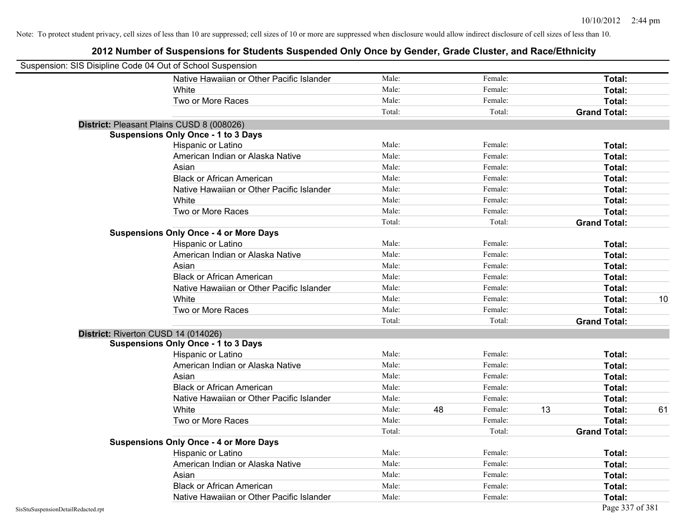| Suspension: SIS Disipline Code 04 Out of School Suspension |                                               |        |    |         |    |                     |    |
|------------------------------------------------------------|-----------------------------------------------|--------|----|---------|----|---------------------|----|
|                                                            | Native Hawaiian or Other Pacific Islander     | Male:  |    | Female: |    | Total:              |    |
|                                                            | White                                         | Male:  |    | Female: |    | Total:              |    |
|                                                            | Two or More Races                             | Male:  |    | Female: |    | Total:              |    |
|                                                            |                                               | Total: |    | Total:  |    | <b>Grand Total:</b> |    |
|                                                            | District: Pleasant Plains CUSD 8 (008026)     |        |    |         |    |                     |    |
|                                                            | <b>Suspensions Only Once - 1 to 3 Days</b>    |        |    |         |    |                     |    |
|                                                            | Hispanic or Latino                            | Male:  |    | Female: |    | <b>Total:</b>       |    |
|                                                            | American Indian or Alaska Native              | Male:  |    | Female: |    | <b>Total:</b>       |    |
|                                                            | Asian                                         | Male:  |    | Female: |    | Total:              |    |
|                                                            | <b>Black or African American</b>              | Male:  |    | Female: |    | Total:              |    |
|                                                            | Native Hawaiian or Other Pacific Islander     | Male:  |    | Female: |    | <b>Total:</b>       |    |
|                                                            | White                                         | Male:  |    | Female: |    | <b>Total:</b>       |    |
|                                                            | Two or More Races                             | Male:  |    | Female: |    | <b>Total:</b>       |    |
|                                                            |                                               | Total: |    | Total:  |    | <b>Grand Total:</b> |    |
|                                                            | <b>Suspensions Only Once - 4 or More Days</b> |        |    |         |    |                     |    |
|                                                            | Hispanic or Latino                            | Male:  |    | Female: |    | Total:              |    |
|                                                            | American Indian or Alaska Native              | Male:  |    | Female: |    | <b>Total:</b>       |    |
|                                                            | Asian                                         | Male:  |    | Female: |    | Total:              |    |
|                                                            | <b>Black or African American</b>              | Male:  |    | Female: |    | Total:              |    |
|                                                            | Native Hawaiian or Other Pacific Islander     | Male:  |    | Female: |    | <b>Total:</b>       |    |
|                                                            | White                                         | Male:  |    | Female: |    | Total:              | 10 |
|                                                            | Two or More Races                             | Male:  |    | Female: |    | Total:              |    |
|                                                            |                                               | Total: |    | Total:  |    | <b>Grand Total:</b> |    |
|                                                            | District: Riverton CUSD 14 (014026)           |        |    |         |    |                     |    |
|                                                            | <b>Suspensions Only Once - 1 to 3 Days</b>    |        |    |         |    |                     |    |
|                                                            | Hispanic or Latino                            | Male:  |    | Female: |    | Total:              |    |
|                                                            | American Indian or Alaska Native              | Male:  |    | Female: |    | <b>Total:</b>       |    |
|                                                            | Asian                                         | Male:  |    | Female: |    | Total:              |    |
|                                                            | <b>Black or African American</b>              | Male:  |    | Female: |    | Total:              |    |
|                                                            | Native Hawaiian or Other Pacific Islander     | Male:  |    | Female: |    | <b>Total:</b>       |    |
|                                                            | White                                         | Male:  | 48 | Female: | 13 | Total:              | 61 |
|                                                            | Two or More Races                             | Male:  |    | Female: |    | Total:              |    |
|                                                            |                                               | Total: |    | Total:  |    | <b>Grand Total:</b> |    |
|                                                            | <b>Suspensions Only Once - 4 or More Days</b> |        |    |         |    |                     |    |
|                                                            | Hispanic or Latino                            | Male:  |    | Female: |    | Total:              |    |
|                                                            | American Indian or Alaska Native              | Male:  |    | Female: |    | Total:              |    |
|                                                            | Asian                                         | Male:  |    | Female: |    | Total:              |    |
|                                                            | <b>Black or African American</b>              | Male:  |    | Female: |    | Total:              |    |
|                                                            | Native Hawaiian or Other Pacific Islander     | Male:  |    | Female: |    | <b>Total:</b>       |    |
| SisStuSuspensionDetailRedacted.rpt                         |                                               |        |    |         |    | Page 337 of 381     |    |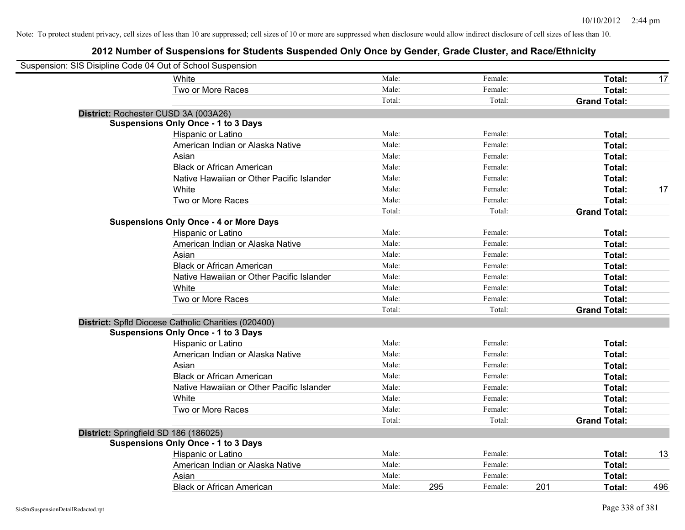| Suspension: SIS Disipline Code 04 Out of School Suspension |                                                     |        |                |     |                     |     |
|------------------------------------------------------------|-----------------------------------------------------|--------|----------------|-----|---------------------|-----|
|                                                            | White                                               | Male:  | Female:        |     | Total:              | 17  |
|                                                            | Two or More Races                                   | Male:  | Female:        |     | Total:              |     |
|                                                            |                                                     | Total: | Total:         |     | <b>Grand Total:</b> |     |
| District: Rochester CUSD 3A (003A26)                       |                                                     |        |                |     |                     |     |
|                                                            | <b>Suspensions Only Once - 1 to 3 Days</b>          |        |                |     |                     |     |
|                                                            | Hispanic or Latino                                  | Male:  | Female:        |     | Total:              |     |
|                                                            | American Indian or Alaska Native                    | Male:  | Female:        |     | Total:              |     |
|                                                            | Asian                                               | Male:  | Female:        |     | Total:              |     |
|                                                            | <b>Black or African American</b>                    | Male:  | Female:        |     | Total:              |     |
|                                                            | Native Hawaiian or Other Pacific Islander           | Male:  | Female:        |     | Total:              |     |
|                                                            | White                                               | Male:  | Female:        |     | Total:              | 17  |
|                                                            | Two or More Races                                   | Male:  | Female:        |     | Total:              |     |
|                                                            |                                                     | Total: | Total:         |     | <b>Grand Total:</b> |     |
|                                                            | <b>Suspensions Only Once - 4 or More Days</b>       |        |                |     |                     |     |
|                                                            | Hispanic or Latino                                  | Male:  | Female:        |     | Total:              |     |
|                                                            | American Indian or Alaska Native                    | Male:  | Female:        |     | Total:              |     |
|                                                            | Asian                                               | Male:  | Female:        |     | Total:              |     |
|                                                            | <b>Black or African American</b>                    | Male:  | Female:        |     | Total:              |     |
|                                                            | Native Hawaiian or Other Pacific Islander           | Male:  | Female:        |     | Total:              |     |
|                                                            | White                                               | Male:  | Female:        |     | Total:              |     |
|                                                            | Two or More Races                                   | Male:  | Female:        |     | Total:              |     |
|                                                            |                                                     | Total: | Total:         |     | <b>Grand Total:</b> |     |
|                                                            | District: Spfld Diocese Catholic Charities (020400) |        |                |     |                     |     |
|                                                            | <b>Suspensions Only Once - 1 to 3 Days</b>          |        |                |     |                     |     |
|                                                            | Hispanic or Latino                                  | Male:  | Female:        |     | Total:              |     |
|                                                            | American Indian or Alaska Native                    | Male:  | Female:        |     | Total:              |     |
|                                                            | Asian                                               | Male:  | Female:        |     | Total:              |     |
|                                                            | <b>Black or African American</b>                    | Male:  | Female:        |     | Total:              |     |
|                                                            | Native Hawaiian or Other Pacific Islander           | Male:  | Female:        |     | Total:              |     |
|                                                            | White                                               | Male:  | Female:        |     | Total:              |     |
|                                                            | Two or More Races                                   | Male:  | Female:        |     | Total:              |     |
|                                                            |                                                     | Total: | Total:         |     | <b>Grand Total:</b> |     |
| District: Springfield SD 186 (186025)                      |                                                     |        |                |     |                     |     |
|                                                            | <b>Suspensions Only Once - 1 to 3 Days</b>          |        |                |     |                     |     |
|                                                            | Hispanic or Latino                                  | Male:  | Female:        |     | Total:              | 13  |
|                                                            | American Indian or Alaska Native                    | Male:  | Female:        |     | Total:              |     |
|                                                            | Asian                                               | Male:  | Female:        |     | <b>Total:</b>       |     |
|                                                            | <b>Black or African American</b>                    | Male:  | 295<br>Female: | 201 | Total:              | 496 |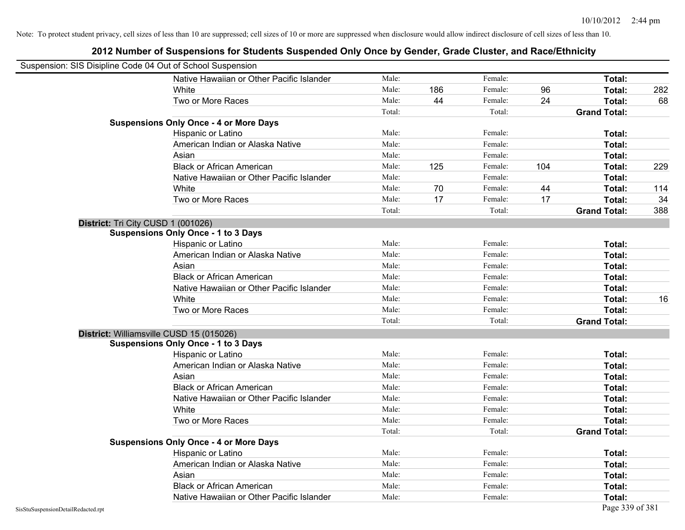|                                    | Suspension: SIS Disipline Code 04 Out of School Suspension |        |     |         |     |                     |     |
|------------------------------------|------------------------------------------------------------|--------|-----|---------|-----|---------------------|-----|
|                                    | Native Hawaiian or Other Pacific Islander                  | Male:  |     | Female: |     | Total:              |     |
|                                    | White                                                      | Male:  | 186 | Female: | 96  | Total:              | 282 |
|                                    | Two or More Races                                          | Male:  | 44  | Female: | 24  | Total:              | 68  |
|                                    |                                                            | Total: |     | Total:  |     | <b>Grand Total:</b> |     |
|                                    | <b>Suspensions Only Once - 4 or More Days</b>              |        |     |         |     |                     |     |
|                                    | Hispanic or Latino                                         | Male:  |     | Female: |     | Total:              |     |
|                                    | American Indian or Alaska Native                           | Male:  |     | Female: |     | Total:              |     |
|                                    | Asian                                                      | Male:  |     | Female: |     | Total:              |     |
|                                    | <b>Black or African American</b>                           | Male:  | 125 | Female: | 104 | Total:              | 229 |
|                                    | Native Hawaiian or Other Pacific Islander                  | Male:  |     | Female: |     | Total:              |     |
|                                    | White                                                      | Male:  | 70  | Female: | 44  | Total:              | 114 |
|                                    | Two or More Races                                          | Male:  | 17  | Female: | 17  | <b>Total:</b>       | 34  |
|                                    |                                                            | Total: |     | Total:  |     | <b>Grand Total:</b> | 388 |
|                                    | District: Tri City CUSD 1 (001026)                         |        |     |         |     |                     |     |
|                                    | <b>Suspensions Only Once - 1 to 3 Days</b>                 |        |     |         |     |                     |     |
|                                    | Hispanic or Latino                                         | Male:  |     | Female: |     | Total:              |     |
|                                    | American Indian or Alaska Native                           | Male:  |     | Female: |     | Total:              |     |
|                                    | Asian                                                      | Male:  |     | Female: |     | <b>Total:</b>       |     |
|                                    | <b>Black or African American</b>                           | Male:  |     | Female: |     | Total:              |     |
|                                    | Native Hawaiian or Other Pacific Islander                  | Male:  |     | Female: |     | <b>Total:</b>       |     |
|                                    | White                                                      | Male:  |     | Female: |     | Total:              | 16  |
|                                    | Two or More Races                                          | Male:  |     | Female: |     | Total:              |     |
|                                    |                                                            | Total: |     | Total:  |     | <b>Grand Total:</b> |     |
|                                    | District: Williamsville CUSD 15 (015026)                   |        |     |         |     |                     |     |
|                                    | <b>Suspensions Only Once - 1 to 3 Days</b>                 |        |     |         |     |                     |     |
|                                    | Hispanic or Latino                                         | Male:  |     | Female: |     | Total:              |     |
|                                    | American Indian or Alaska Native                           | Male:  |     | Female: |     | Total:              |     |
|                                    | Asian                                                      | Male:  |     | Female: |     | Total:              |     |
|                                    | <b>Black or African American</b>                           | Male:  |     | Female: |     | <b>Total:</b>       |     |
|                                    | Native Hawaiian or Other Pacific Islander                  | Male:  |     | Female: |     | Total:              |     |
|                                    | White                                                      | Male:  |     | Female: |     | Total:              |     |
|                                    | Two or More Races                                          | Male:  |     | Female: |     | Total:              |     |
|                                    |                                                            | Total: |     | Total:  |     | <b>Grand Total:</b> |     |
|                                    | <b>Suspensions Only Once - 4 or More Days</b>              |        |     |         |     |                     |     |
|                                    | Hispanic or Latino                                         | Male:  |     | Female: |     | Total:              |     |
|                                    | American Indian or Alaska Native                           | Male:  |     | Female: |     | Total:              |     |
|                                    | Asian                                                      | Male:  |     | Female: |     | Total:              |     |
|                                    | <b>Black or African American</b>                           | Male:  |     | Female: |     | <b>Total:</b>       |     |
|                                    | Native Hawaiian or Other Pacific Islander                  | Male:  |     | Female: |     | <b>Total:</b>       |     |
| SisStuSuspensionDetailRedacted.rpt |                                                            |        |     |         |     | Page 339 of 381     |     |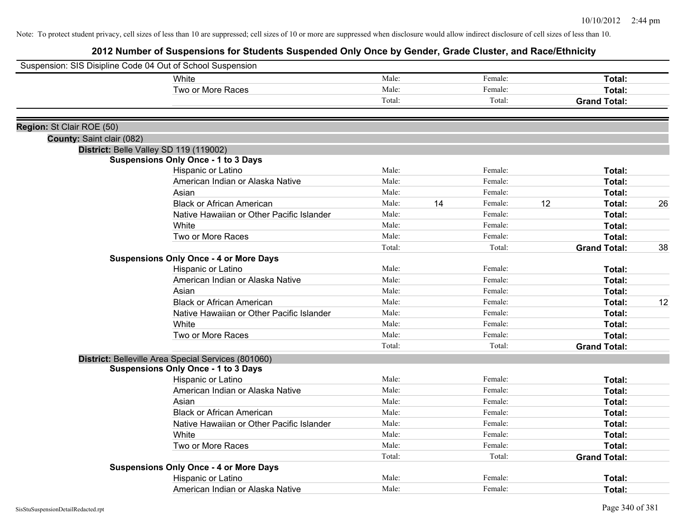| Suspension: SIS Disipline Code 04 Out of School Suspension |                                                     |        |    |         |    |                     |    |
|------------------------------------------------------------|-----------------------------------------------------|--------|----|---------|----|---------------------|----|
|                                                            | White                                               | Male:  |    | Female: |    | Total:              |    |
|                                                            | Two or More Races                                   | Male:  |    | Female: |    | Total:              |    |
|                                                            |                                                     | Total: |    | Total:  |    | <b>Grand Total:</b> |    |
|                                                            |                                                     |        |    |         |    |                     |    |
| Region: St Clair ROE (50)                                  |                                                     |        |    |         |    |                     |    |
| <b>County: Saint clair (082)</b>                           |                                                     |        |    |         |    |                     |    |
|                                                            | District: Belle Valley SD 119 (119002)              |        |    |         |    |                     |    |
|                                                            | <b>Suspensions Only Once - 1 to 3 Days</b>          |        |    |         |    |                     |    |
|                                                            | Hispanic or Latino                                  | Male:  |    | Female: |    | <b>Total:</b>       |    |
|                                                            | American Indian or Alaska Native                    | Male:  |    | Female: |    | Total:              |    |
|                                                            | Asian                                               | Male:  |    | Female: |    | Total:              |    |
|                                                            | <b>Black or African American</b>                    | Male:  | 14 | Female: | 12 | <b>Total:</b>       | 26 |
|                                                            | Native Hawaiian or Other Pacific Islander           | Male:  |    | Female: |    | Total:              |    |
|                                                            | White                                               | Male:  |    | Female: |    | Total:              |    |
|                                                            | Two or More Races                                   | Male:  |    | Female: |    | Total:              |    |
|                                                            |                                                     | Total: |    | Total:  |    | <b>Grand Total:</b> | 38 |
|                                                            | <b>Suspensions Only Once - 4 or More Days</b>       |        |    |         |    |                     |    |
|                                                            | Hispanic or Latino                                  | Male:  |    | Female: |    | Total:              |    |
|                                                            | American Indian or Alaska Native                    | Male:  |    | Female: |    | Total:              |    |
|                                                            | Asian                                               | Male:  |    | Female: |    | Total:              |    |
|                                                            | <b>Black or African American</b>                    | Male:  |    | Female: |    | Total:              | 12 |
|                                                            | Native Hawaiian or Other Pacific Islander           | Male:  |    | Female: |    | Total:              |    |
|                                                            | White                                               | Male:  |    | Female: |    | Total:              |    |
|                                                            | Two or More Races                                   | Male:  |    | Female: |    | <b>Total:</b>       |    |
|                                                            |                                                     | Total: |    | Total:  |    | <b>Grand Total:</b> |    |
|                                                            | District: Belleville Area Special Services (801060) |        |    |         |    |                     |    |
|                                                            | <b>Suspensions Only Once - 1 to 3 Days</b>          |        |    |         |    |                     |    |
|                                                            | Hispanic or Latino                                  | Male:  |    | Female: |    | Total:              |    |
|                                                            | American Indian or Alaska Native                    | Male:  |    | Female: |    | Total:              |    |
|                                                            | Asian                                               | Male:  |    | Female: |    | Total:              |    |
|                                                            | <b>Black or African American</b>                    | Male:  |    | Female: |    | <b>Total:</b>       |    |
|                                                            | Native Hawaiian or Other Pacific Islander           | Male:  |    | Female: |    | Total:              |    |
|                                                            | White                                               | Male:  |    | Female: |    | Total:              |    |
|                                                            | Two or More Races                                   | Male:  |    | Female: |    | Total:              |    |
|                                                            |                                                     | Total: |    | Total:  |    | <b>Grand Total:</b> |    |
|                                                            | <b>Suspensions Only Once - 4 or More Days</b>       |        |    |         |    |                     |    |
|                                                            | Hispanic or Latino                                  | Male:  |    | Female: |    | Total:              |    |
|                                                            | American Indian or Alaska Native                    | Male:  |    | Female: |    | Total:              |    |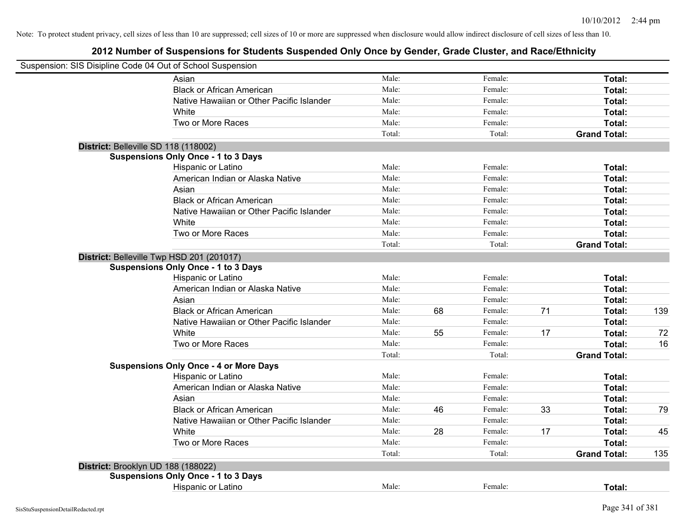| Suspension: SIS Disipline Code 04 Out of School Suspension |                                               |        |    |         |    |                     |     |
|------------------------------------------------------------|-----------------------------------------------|--------|----|---------|----|---------------------|-----|
|                                                            | Asian                                         | Male:  |    | Female: |    | Total:              |     |
|                                                            | <b>Black or African American</b>              | Male:  |    | Female: |    | Total:              |     |
|                                                            | Native Hawaiian or Other Pacific Islander     | Male:  |    | Female: |    | Total:              |     |
|                                                            | White                                         | Male:  |    | Female: |    | Total:              |     |
|                                                            | Two or More Races                             | Male:  |    | Female: |    | Total:              |     |
|                                                            |                                               | Total: |    | Total:  |    | <b>Grand Total:</b> |     |
|                                                            | District: Belleville SD 118 (118002)          |        |    |         |    |                     |     |
|                                                            | <b>Suspensions Only Once - 1 to 3 Days</b>    |        |    |         |    |                     |     |
|                                                            | Hispanic or Latino                            | Male:  |    | Female: |    | Total:              |     |
|                                                            | American Indian or Alaska Native              | Male:  |    | Female: |    | Total:              |     |
|                                                            | Asian                                         | Male:  |    | Female: |    | Total:              |     |
|                                                            | <b>Black or African American</b>              | Male:  |    | Female: |    | Total:              |     |
|                                                            | Native Hawaiian or Other Pacific Islander     | Male:  |    | Female: |    | Total:              |     |
|                                                            | White                                         | Male:  |    | Female: |    | Total:              |     |
|                                                            | Two or More Races                             | Male:  |    | Female: |    | Total:              |     |
|                                                            |                                               | Total: |    | Total:  |    | <b>Grand Total:</b> |     |
|                                                            | District: Belleville Twp HSD 201 (201017)     |        |    |         |    |                     |     |
|                                                            | <b>Suspensions Only Once - 1 to 3 Days</b>    |        |    |         |    |                     |     |
|                                                            | Hispanic or Latino                            | Male:  |    | Female: |    | Total:              |     |
|                                                            | American Indian or Alaska Native              | Male:  |    | Female: |    | Total:              |     |
|                                                            | Asian                                         | Male:  |    | Female: |    | Total:              |     |
|                                                            | <b>Black or African American</b>              | Male:  | 68 | Female: | 71 | Total:              | 139 |
|                                                            | Native Hawaiian or Other Pacific Islander     | Male:  |    | Female: |    | Total:              |     |
|                                                            | White                                         | Male:  | 55 | Female: | 17 | Total:              | 72  |
|                                                            | Two or More Races                             | Male:  |    | Female: |    | Total:              | 16  |
|                                                            |                                               | Total: |    | Total:  |    | <b>Grand Total:</b> |     |
|                                                            | <b>Suspensions Only Once - 4 or More Days</b> |        |    |         |    |                     |     |
|                                                            | Hispanic or Latino                            | Male:  |    | Female: |    | Total:              |     |
|                                                            | American Indian or Alaska Native              | Male:  |    | Female: |    | Total:              |     |
|                                                            | Asian                                         | Male:  |    | Female: |    | Total:              |     |
|                                                            | <b>Black or African American</b>              | Male:  | 46 | Female: | 33 | Total:              | 79  |
|                                                            | Native Hawaiian or Other Pacific Islander     | Male:  |    | Female: |    | Total:              |     |
|                                                            | White                                         | Male:  | 28 | Female: | 17 | Total:              | 45  |
|                                                            | Two or More Races                             | Male:  |    | Female: |    | Total:              |     |
|                                                            |                                               | Total: |    | Total:  |    | <b>Grand Total:</b> | 135 |
|                                                            | District: Brooklyn UD 188 (188022)            |        |    |         |    |                     |     |
|                                                            | <b>Suspensions Only Once - 1 to 3 Days</b>    |        |    |         |    |                     |     |
|                                                            | Hispanic or Latino                            | Male:  |    | Female: |    | Total:              |     |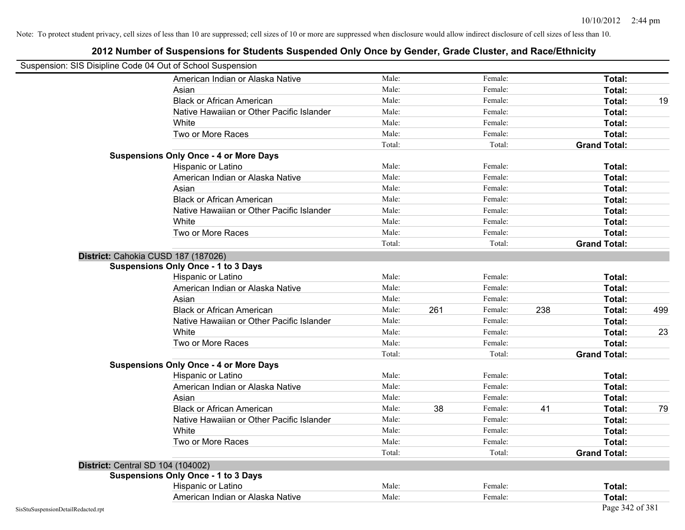| Suspension: SIS Disipline Code 04 Out of School Suspension |                                               |        |     |         |     |                     |     |
|------------------------------------------------------------|-----------------------------------------------|--------|-----|---------|-----|---------------------|-----|
|                                                            | American Indian or Alaska Native              | Male:  |     | Female: |     | <b>Total:</b>       |     |
|                                                            | Asian                                         | Male:  |     | Female: |     | Total:              |     |
|                                                            | <b>Black or African American</b>              | Male:  |     | Female: |     | Total:              | 19  |
|                                                            | Native Hawaiian or Other Pacific Islander     | Male:  |     | Female: |     | Total:              |     |
|                                                            | White                                         | Male:  |     | Female: |     | Total:              |     |
|                                                            | Two or More Races                             | Male:  |     | Female: |     | Total:              |     |
|                                                            |                                               | Total: |     | Total:  |     | <b>Grand Total:</b> |     |
|                                                            | <b>Suspensions Only Once - 4 or More Days</b> |        |     |         |     |                     |     |
|                                                            | Hispanic or Latino                            | Male:  |     | Female: |     | Total:              |     |
|                                                            | American Indian or Alaska Native              | Male:  |     | Female: |     | Total:              |     |
|                                                            | Asian                                         | Male:  |     | Female: |     | Total:              |     |
|                                                            | <b>Black or African American</b>              | Male:  |     | Female: |     | Total:              |     |
|                                                            | Native Hawaiian or Other Pacific Islander     | Male:  |     | Female: |     | Total:              |     |
|                                                            | White                                         | Male:  |     | Female: |     | Total:              |     |
|                                                            | Two or More Races                             | Male:  |     | Female: |     | Total:              |     |
|                                                            |                                               | Total: |     | Total:  |     | <b>Grand Total:</b> |     |
|                                                            | District: Cahokia CUSD 187 (187026)           |        |     |         |     |                     |     |
|                                                            | <b>Suspensions Only Once - 1 to 3 Days</b>    |        |     |         |     |                     |     |
|                                                            | Hispanic or Latino                            | Male:  |     | Female: |     | Total:              |     |
|                                                            | American Indian or Alaska Native              | Male:  |     | Female: |     | Total:              |     |
|                                                            | Asian                                         | Male:  |     | Female: |     | Total:              |     |
|                                                            | <b>Black or African American</b>              | Male:  | 261 | Female: | 238 | Total:              | 499 |
|                                                            | Native Hawaiian or Other Pacific Islander     | Male:  |     | Female: |     | Total:              |     |
|                                                            | White                                         | Male:  |     | Female: |     | Total:              | 23  |
|                                                            | Two or More Races                             | Male:  |     | Female: |     | Total:              |     |
|                                                            |                                               | Total: |     | Total:  |     | <b>Grand Total:</b> |     |
|                                                            | <b>Suspensions Only Once - 4 or More Days</b> |        |     |         |     |                     |     |
|                                                            | Hispanic or Latino                            | Male:  |     | Female: |     | Total:              |     |
|                                                            | American Indian or Alaska Native              | Male:  |     | Female: |     | Total:              |     |
|                                                            | Asian                                         | Male:  |     | Female: |     | Total:              |     |
|                                                            | <b>Black or African American</b>              | Male:  | 38  | Female: | 41  | Total:              | 79  |
|                                                            | Native Hawaiian or Other Pacific Islander     | Male:  |     | Female: |     | Total:              |     |
|                                                            | White                                         | Male:  |     | Female: |     | <b>Total:</b>       |     |
|                                                            | Two or More Races                             | Male:  |     | Female: |     | Total:              |     |
|                                                            |                                               | Total: |     | Total:  |     | <b>Grand Total:</b> |     |
|                                                            | <b>District: Central SD 104 (104002)</b>      |        |     |         |     |                     |     |
|                                                            | <b>Suspensions Only Once - 1 to 3 Days</b>    |        |     |         |     |                     |     |
|                                                            | Hispanic or Latino                            | Male:  |     | Female: |     | Total:              |     |
|                                                            | American Indian or Alaska Native              | Male:  |     | Female: |     | Total:              |     |
| SisStuSuspensionDetailRedacted.rpt                         |                                               |        |     |         |     | Page 342 of 381     |     |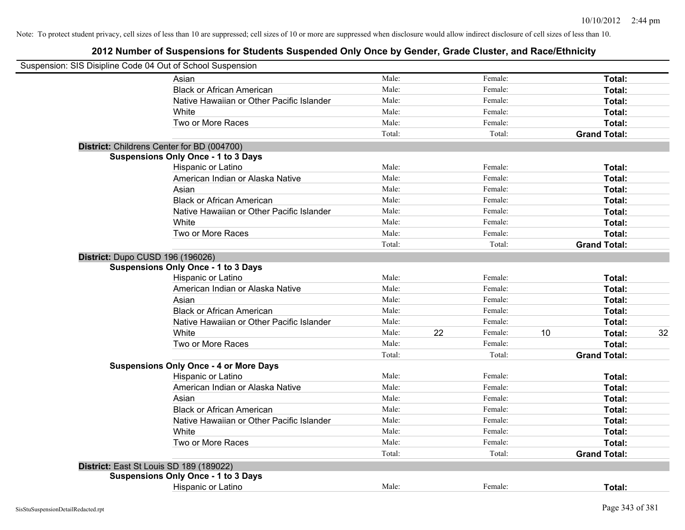| Suspension: SIS Disipline Code 04 Out of School Suspension |        |    |         |    |                     |    |
|------------------------------------------------------------|--------|----|---------|----|---------------------|----|
| Asian                                                      | Male:  |    | Female: |    | Total:              |    |
| <b>Black or African American</b>                           | Male:  |    | Female: |    | Total:              |    |
| Native Hawaiian or Other Pacific Islander                  | Male:  |    | Female: |    | Total:              |    |
| White                                                      | Male:  |    | Female: |    | Total:              |    |
| Two or More Races                                          | Male:  |    | Female: |    | Total:              |    |
|                                                            | Total: |    | Total:  |    | <b>Grand Total:</b> |    |
| District: Childrens Center for BD (004700)                 |        |    |         |    |                     |    |
| <b>Suspensions Only Once - 1 to 3 Days</b>                 |        |    |         |    |                     |    |
| Hispanic or Latino                                         | Male:  |    | Female: |    | Total:              |    |
| American Indian or Alaska Native                           | Male:  |    | Female: |    | Total:              |    |
| Asian                                                      | Male:  |    | Female: |    | Total:              |    |
| <b>Black or African American</b>                           | Male:  |    | Female: |    | Total:              |    |
| Native Hawaiian or Other Pacific Islander                  | Male:  |    | Female: |    | Total:              |    |
| White                                                      | Male:  |    | Female: |    | Total:              |    |
| Two or More Races                                          | Male:  |    | Female: |    | Total:              |    |
|                                                            | Total: |    | Total:  |    | <b>Grand Total:</b> |    |
| District: Dupo CUSD 196 (196026)                           |        |    |         |    |                     |    |
| <b>Suspensions Only Once - 1 to 3 Days</b>                 |        |    |         |    |                     |    |
| Hispanic or Latino                                         | Male:  |    | Female: |    | Total:              |    |
| American Indian or Alaska Native                           | Male:  |    | Female: |    | Total:              |    |
| Asian                                                      | Male:  |    | Female: |    | Total:              |    |
| <b>Black or African American</b>                           | Male:  |    | Female: |    | Total:              |    |
| Native Hawaiian or Other Pacific Islander                  | Male:  |    | Female: |    | Total:              |    |
| White                                                      | Male:  | 22 | Female: | 10 | Total:              | 32 |
| Two or More Races                                          | Male:  |    | Female: |    | Total:              |    |
|                                                            | Total: |    | Total:  |    | <b>Grand Total:</b> |    |
| <b>Suspensions Only Once - 4 or More Days</b>              |        |    |         |    |                     |    |
| Hispanic or Latino                                         | Male:  |    | Female: |    | Total:              |    |
| American Indian or Alaska Native                           | Male:  |    | Female: |    | Total:              |    |
| Asian                                                      | Male:  |    | Female: |    | Total:              |    |
| <b>Black or African American</b>                           | Male:  |    | Female: |    | Total:              |    |
| Native Hawaiian or Other Pacific Islander                  | Male:  |    | Female: |    | Total:              |    |
| <b>White</b>                                               | Male:  |    | Female: |    | Total:              |    |
| Two or More Races                                          | Male:  |    | Female: |    | Total:              |    |
|                                                            | Total: |    | Total:  |    | <b>Grand Total:</b> |    |
| District: East St Louis SD 189 (189022)                    |        |    |         |    |                     |    |
| <b>Suspensions Only Once - 1 to 3 Days</b>                 |        |    |         |    |                     |    |
| Hispanic or Latino                                         | Male:  |    | Female: |    | Total:              |    |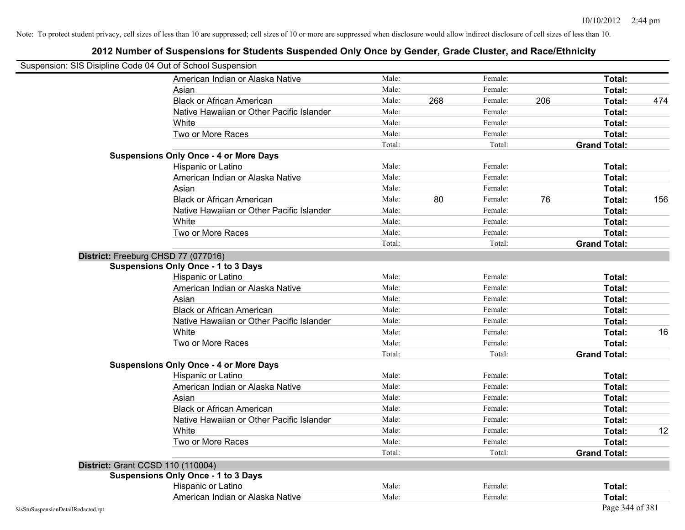| Suspension: SIS Disipline Code 04 Out of School Suspension |                                               |        |     |         |     |                     |     |
|------------------------------------------------------------|-----------------------------------------------|--------|-----|---------|-----|---------------------|-----|
|                                                            | American Indian or Alaska Native              | Male:  |     | Female: |     | <b>Total:</b>       |     |
|                                                            | Asian                                         | Male:  |     | Female: |     | Total:              |     |
|                                                            | <b>Black or African American</b>              | Male:  | 268 | Female: | 206 | Total:              | 474 |
|                                                            | Native Hawaiian or Other Pacific Islander     | Male:  |     | Female: |     | Total:              |     |
|                                                            | White                                         | Male:  |     | Female: |     | Total:              |     |
|                                                            | Two or More Races                             | Male:  |     | Female: |     | Total:              |     |
|                                                            |                                               | Total: |     | Total:  |     | <b>Grand Total:</b> |     |
|                                                            | <b>Suspensions Only Once - 4 or More Days</b> |        |     |         |     |                     |     |
|                                                            | Hispanic or Latino                            | Male:  |     | Female: |     | Total:              |     |
|                                                            | American Indian or Alaska Native              | Male:  |     | Female: |     | Total:              |     |
|                                                            | Asian                                         | Male:  |     | Female: |     | Total:              |     |
|                                                            | <b>Black or African American</b>              | Male:  | 80  | Female: | 76  | Total:              | 156 |
|                                                            | Native Hawaiian or Other Pacific Islander     | Male:  |     | Female: |     | Total:              |     |
|                                                            | White                                         | Male:  |     | Female: |     | Total:              |     |
|                                                            | Two or More Races                             | Male:  |     | Female: |     | Total:              |     |
|                                                            |                                               | Total: |     | Total:  |     | <b>Grand Total:</b> |     |
|                                                            | District: Freeburg CHSD 77 (077016)           |        |     |         |     |                     |     |
|                                                            | <b>Suspensions Only Once - 1 to 3 Days</b>    |        |     |         |     |                     |     |
|                                                            | Hispanic or Latino                            | Male:  |     | Female: |     | Total:              |     |
|                                                            | American Indian or Alaska Native              | Male:  |     | Female: |     | Total:              |     |
|                                                            | Asian                                         | Male:  |     | Female: |     | Total:              |     |
|                                                            | <b>Black or African American</b>              | Male:  |     | Female: |     | Total:              |     |
|                                                            | Native Hawaiian or Other Pacific Islander     | Male:  |     | Female: |     | Total:              |     |
|                                                            | White                                         | Male:  |     | Female: |     | Total:              | 16  |
|                                                            | Two or More Races                             | Male:  |     | Female: |     | Total:              |     |
|                                                            |                                               | Total: |     | Total:  |     | <b>Grand Total:</b> |     |
|                                                            | <b>Suspensions Only Once - 4 or More Days</b> |        |     |         |     |                     |     |
|                                                            | Hispanic or Latino                            | Male:  |     | Female: |     | Total:              |     |
|                                                            | American Indian or Alaska Native              | Male:  |     | Female: |     | Total:              |     |
|                                                            | Asian                                         | Male:  |     | Female: |     | Total:              |     |
|                                                            | <b>Black or African American</b>              | Male:  |     | Female: |     | Total:              |     |
|                                                            | Native Hawaiian or Other Pacific Islander     | Male:  |     | Female: |     | Total:              |     |
|                                                            | White                                         | Male:  |     | Female: |     | <b>Total:</b>       | 12  |
|                                                            | Two or More Races                             | Male:  |     | Female: |     | Total:              |     |
|                                                            |                                               | Total: |     | Total:  |     | <b>Grand Total:</b> |     |
|                                                            | <b>District: Grant CCSD 110 (110004)</b>      |        |     |         |     |                     |     |
|                                                            | <b>Suspensions Only Once - 1 to 3 Days</b>    |        |     |         |     |                     |     |
|                                                            | Hispanic or Latino                            | Male:  |     | Female: |     | Total:              |     |
|                                                            | American Indian or Alaska Native              | Male:  |     | Female: |     | Total:              |     |
| SisStuSuspensionDetailRedacted.rpt                         |                                               |        |     |         |     | Page 344 of 381     |     |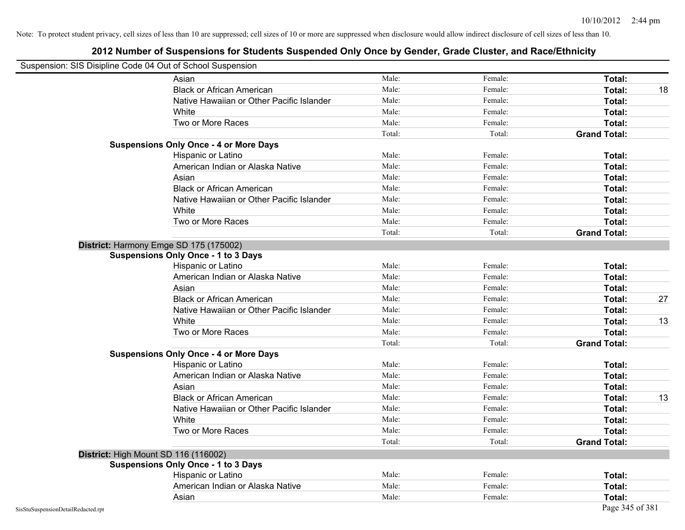| Suspension: SIS Disipline Code 04 Out of School Suspension |                                               |        |         |                     |    |
|------------------------------------------------------------|-----------------------------------------------|--------|---------|---------------------|----|
|                                                            | Asian                                         | Male:  | Female: | Total:              |    |
|                                                            | <b>Black or African American</b>              | Male:  | Female: | Total:              | 18 |
|                                                            | Native Hawaiian or Other Pacific Islander     | Male:  | Female: | Total:              |    |
|                                                            | White                                         | Male:  | Female: | Total:              |    |
|                                                            | Two or More Races                             | Male:  | Female: | Total:              |    |
|                                                            |                                               | Total: | Total:  | <b>Grand Total:</b> |    |
|                                                            | <b>Suspensions Only Once - 4 or More Days</b> |        |         |                     |    |
|                                                            | Hispanic or Latino                            | Male:  | Female: | Total:              |    |
|                                                            | American Indian or Alaska Native              | Male:  | Female: | Total:              |    |
|                                                            | Asian                                         | Male:  | Female: | Total:              |    |
|                                                            | <b>Black or African American</b>              | Male:  | Female: | Total:              |    |
|                                                            | Native Hawaiian or Other Pacific Islander     | Male:  | Female: | Total:              |    |
|                                                            | White                                         | Male:  | Female: | Total:              |    |
|                                                            | Two or More Races                             | Male:  | Female: | Total:              |    |
|                                                            |                                               | Total: | Total:  | <b>Grand Total:</b> |    |
| District: Harmony Emge SD 175 (175002)                     |                                               |        |         |                     |    |
|                                                            | <b>Suspensions Only Once - 1 to 3 Days</b>    |        |         |                     |    |
|                                                            | Hispanic or Latino                            | Male:  | Female: | Total:              |    |
|                                                            | American Indian or Alaska Native              | Male:  | Female: | Total:              |    |
|                                                            | Asian                                         | Male:  | Female: | Total:              |    |
|                                                            | <b>Black or African American</b>              | Male:  | Female: | Total:              | 27 |
|                                                            | Native Hawaiian or Other Pacific Islander     | Male:  | Female: | Total:              |    |
|                                                            | White                                         | Male:  | Female: | Total:              | 13 |
|                                                            | Two or More Races                             | Male:  | Female: | Total:              |    |
|                                                            |                                               | Total: | Total:  | <b>Grand Total:</b> |    |
|                                                            | <b>Suspensions Only Once - 4 or More Days</b> |        |         |                     |    |
|                                                            | Hispanic or Latino                            | Male:  | Female: | Total:              |    |
|                                                            | American Indian or Alaska Native              | Male:  | Female: | Total:              |    |
|                                                            | Asian                                         | Male:  | Female: | Total:              |    |
|                                                            | <b>Black or African American</b>              | Male:  | Female: | Total:              | 13 |
|                                                            | Native Hawaiian or Other Pacific Islander     | Male:  | Female: | Total:              |    |
|                                                            | White                                         | Male:  | Female: | Total:              |    |
|                                                            | Two or More Races                             | Male:  | Female: | Total:              |    |
|                                                            |                                               | Total: | Total:  | <b>Grand Total:</b> |    |
| District: High Mount SD 116 (116002)                       |                                               |        |         |                     |    |
|                                                            | <b>Suspensions Only Once - 1 to 3 Days</b>    |        |         |                     |    |
|                                                            | Hispanic or Latino                            | Male:  | Female: | Total:              |    |
|                                                            | American Indian or Alaska Native              | Male:  | Female: | Total:              |    |
|                                                            | Asian                                         | Male:  | Female: | Total:              |    |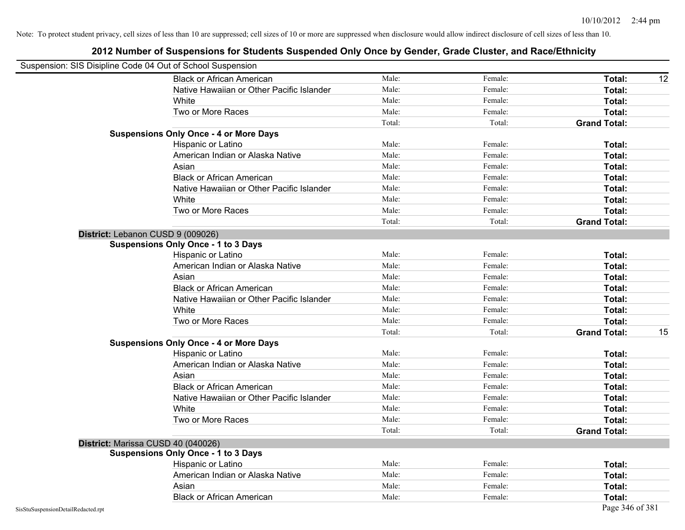| Suspension: SIS Disipline Code 04 Out of School Suspension |                                               |        |         |                           |
|------------------------------------------------------------|-----------------------------------------------|--------|---------|---------------------------|
|                                                            | <b>Black or African American</b>              | Male:  | Female: | Total:<br>12              |
|                                                            | Native Hawaiian or Other Pacific Islander     | Male:  | Female: | Total:                    |
|                                                            | White                                         | Male:  | Female: | Total:                    |
|                                                            | Two or More Races                             | Male:  | Female: | Total:                    |
|                                                            |                                               | Total: | Total:  | <b>Grand Total:</b>       |
|                                                            | <b>Suspensions Only Once - 4 or More Days</b> |        |         |                           |
|                                                            | Hispanic or Latino                            | Male:  | Female: | Total:                    |
|                                                            | American Indian or Alaska Native              | Male:  | Female: | Total:                    |
|                                                            | Asian                                         | Male:  | Female: | Total:                    |
|                                                            | <b>Black or African American</b>              | Male:  | Female: | Total:                    |
|                                                            | Native Hawaiian or Other Pacific Islander     | Male:  | Female: | Total:                    |
|                                                            | White                                         | Male:  | Female: | Total:                    |
|                                                            | Two or More Races                             | Male:  | Female: | Total:                    |
|                                                            |                                               | Total: | Total:  | <b>Grand Total:</b>       |
|                                                            | District: Lebanon CUSD 9 (009026)             |        |         |                           |
|                                                            | <b>Suspensions Only Once - 1 to 3 Days</b>    |        |         |                           |
|                                                            | Hispanic or Latino                            | Male:  | Female: | Total:                    |
|                                                            | American Indian or Alaska Native              | Male:  | Female: | Total:                    |
|                                                            | Asian                                         | Male:  | Female: | Total:                    |
|                                                            | <b>Black or African American</b>              | Male:  | Female: | Total:                    |
|                                                            | Native Hawaiian or Other Pacific Islander     | Male:  | Female: | Total:                    |
|                                                            | White                                         | Male:  | Female: | Total:                    |
|                                                            | Two or More Races                             | Male:  | Female: | Total:                    |
|                                                            |                                               | Total: | Total:  | 15<br><b>Grand Total:</b> |
|                                                            | <b>Suspensions Only Once - 4 or More Days</b> |        |         |                           |
|                                                            | Hispanic or Latino                            | Male:  | Female: | Total:                    |
|                                                            | American Indian or Alaska Native              | Male:  | Female: | Total:                    |
|                                                            | Asian                                         | Male:  | Female: | Total:                    |
|                                                            | <b>Black or African American</b>              | Male:  | Female: | Total:                    |
|                                                            | Native Hawaiian or Other Pacific Islander     | Male:  | Female: | Total:                    |
|                                                            | White                                         | Male:  | Female: | Total:                    |
|                                                            | Two or More Races                             | Male:  | Female: | Total:                    |
|                                                            |                                               | Total: | Total:  | <b>Grand Total:</b>       |
|                                                            | District: Marissa CUSD 40 (040026)            |        |         |                           |
|                                                            | <b>Suspensions Only Once - 1 to 3 Days</b>    |        |         |                           |
|                                                            | Hispanic or Latino                            | Male:  | Female: | Total:                    |
|                                                            | American Indian or Alaska Native              | Male:  | Female: | Total:                    |
|                                                            | Asian                                         | Male:  | Female: | Total:                    |
|                                                            | <b>Black or African American</b>              | Male:  | Female: | Total:                    |
| SisStuSuspensionDetailRedacted.rpt                         |                                               |        |         | Page 346 of 381           |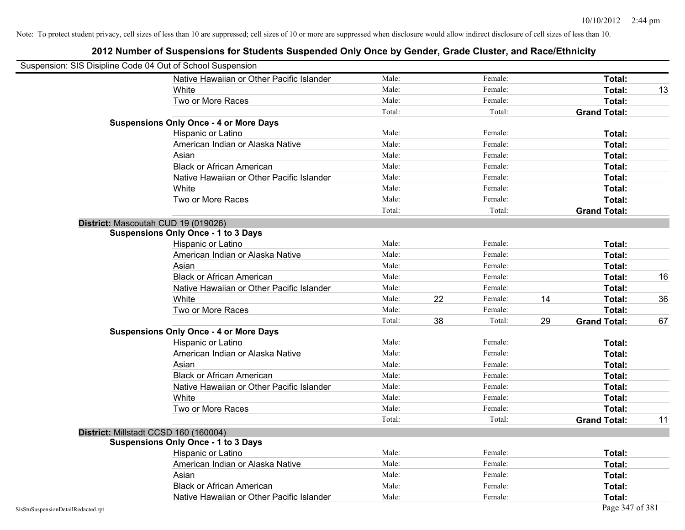| Suspension: SIS Disipline Code 04 Out of School Suspension |                                               |        |    |         |    |                     |    |
|------------------------------------------------------------|-----------------------------------------------|--------|----|---------|----|---------------------|----|
|                                                            | Native Hawaiian or Other Pacific Islander     | Male:  |    | Female: |    | Total:              |    |
|                                                            | White                                         | Male:  |    | Female: |    | Total:              | 13 |
|                                                            | Two or More Races                             | Male:  |    | Female: |    | Total:              |    |
|                                                            |                                               | Total: |    | Total:  |    | <b>Grand Total:</b> |    |
|                                                            | <b>Suspensions Only Once - 4 or More Days</b> |        |    |         |    |                     |    |
|                                                            | Hispanic or Latino                            | Male:  |    | Female: |    | Total:              |    |
|                                                            | American Indian or Alaska Native              | Male:  |    | Female: |    | Total:              |    |
|                                                            | Asian                                         | Male:  |    | Female: |    | Total:              |    |
|                                                            | <b>Black or African American</b>              | Male:  |    | Female: |    | Total:              |    |
|                                                            | Native Hawaiian or Other Pacific Islander     | Male:  |    | Female: |    | Total:              |    |
|                                                            | White                                         | Male:  |    | Female: |    | Total:              |    |
|                                                            | Two or More Races                             | Male:  |    | Female: |    | Total:              |    |
|                                                            |                                               | Total: |    | Total:  |    | <b>Grand Total:</b> |    |
|                                                            | District: Mascoutah CUD 19 (019026)           |        |    |         |    |                     |    |
|                                                            | <b>Suspensions Only Once - 1 to 3 Days</b>    |        |    |         |    |                     |    |
|                                                            | Hispanic or Latino                            | Male:  |    | Female: |    | Total:              |    |
|                                                            | American Indian or Alaska Native              | Male:  |    | Female: |    | Total:              |    |
|                                                            | Asian                                         | Male:  |    | Female: |    | Total:              |    |
|                                                            | <b>Black or African American</b>              | Male:  |    | Female: |    | Total:              | 16 |
|                                                            | Native Hawaiian or Other Pacific Islander     | Male:  |    | Female: |    | Total:              |    |
|                                                            | White                                         | Male:  | 22 | Female: | 14 | Total:              | 36 |
|                                                            | Two or More Races                             | Male:  |    | Female: |    | Total:              |    |
|                                                            |                                               | Total: | 38 | Total:  | 29 | <b>Grand Total:</b> | 67 |
|                                                            | <b>Suspensions Only Once - 4 or More Days</b> |        |    |         |    |                     |    |
|                                                            | Hispanic or Latino                            | Male:  |    | Female: |    | Total:              |    |
|                                                            | American Indian or Alaska Native              | Male:  |    | Female: |    | Total:              |    |
|                                                            | Asian                                         | Male:  |    | Female: |    | Total:              |    |
|                                                            | <b>Black or African American</b>              | Male:  |    | Female: |    | Total:              |    |
|                                                            | Native Hawaiian or Other Pacific Islander     | Male:  |    | Female: |    | Total:              |    |
|                                                            | White                                         | Male:  |    | Female: |    | Total:              |    |
|                                                            | Two or More Races                             | Male:  |    | Female: |    | Total:              |    |
|                                                            |                                               | Total: |    | Total:  |    | <b>Grand Total:</b> | 11 |
|                                                            | District: Millstadt CCSD 160 (160004)         |        |    |         |    |                     |    |
|                                                            | <b>Suspensions Only Once - 1 to 3 Days</b>    |        |    |         |    |                     |    |
|                                                            | Hispanic or Latino                            | Male:  |    | Female: |    | Total:              |    |
|                                                            | American Indian or Alaska Native              | Male:  |    | Female: |    | Total:              |    |
|                                                            | Asian                                         | Male:  |    | Female: |    | Total:              |    |
|                                                            | <b>Black or African American</b>              | Male:  |    | Female: |    | Total:              |    |
|                                                            | Native Hawaiian or Other Pacific Islander     | Male:  |    | Female: |    | Total:              |    |
| SisStuSuspensionDetailRedacted.rpt                         |                                               |        |    |         |    | Page 347 of 381     |    |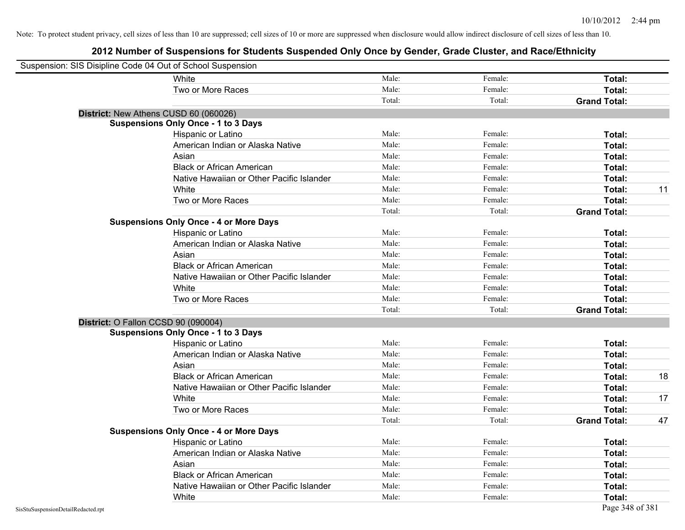| Suspension: SIS Disipline Code 04 Out of School Suspension |                                               |        |         |                     |    |
|------------------------------------------------------------|-----------------------------------------------|--------|---------|---------------------|----|
|                                                            | <b>White</b>                                  | Male:  | Female: | Total:              |    |
|                                                            | Two or More Races                             | Male:  | Female: | Total:              |    |
|                                                            |                                               | Total: | Total:  | <b>Grand Total:</b> |    |
| District: New Athens CUSD 60 (060026)                      |                                               |        |         |                     |    |
|                                                            | <b>Suspensions Only Once - 1 to 3 Days</b>    |        |         |                     |    |
|                                                            | Hispanic or Latino                            | Male:  | Female: | Total:              |    |
|                                                            | American Indian or Alaska Native              | Male:  | Female: | Total:              |    |
|                                                            | Asian                                         | Male:  | Female: | Total:              |    |
|                                                            | <b>Black or African American</b>              | Male:  | Female: | Total:              |    |
|                                                            | Native Hawaiian or Other Pacific Islander     | Male:  | Female: | Total:              |    |
|                                                            | White                                         | Male:  | Female: | Total:              | 11 |
|                                                            | Two or More Races                             | Male:  | Female: | Total:              |    |
|                                                            |                                               | Total: | Total:  | <b>Grand Total:</b> |    |
|                                                            | <b>Suspensions Only Once - 4 or More Days</b> |        |         |                     |    |
|                                                            | Hispanic or Latino                            | Male:  | Female: | Total:              |    |
|                                                            | American Indian or Alaska Native              | Male:  | Female: | Total:              |    |
|                                                            | Asian                                         | Male:  | Female: | Total:              |    |
|                                                            | <b>Black or African American</b>              | Male:  | Female: | Total:              |    |
|                                                            | Native Hawaiian or Other Pacific Islander     | Male:  | Female: | Total:              |    |
|                                                            | White                                         | Male:  | Female: | Total:              |    |
|                                                            | Two or More Races                             | Male:  | Female: | Total:              |    |
|                                                            |                                               | Total: | Total:  | <b>Grand Total:</b> |    |
| District: O Fallon CCSD 90 (090004)                        |                                               |        |         |                     |    |
|                                                            | <b>Suspensions Only Once - 1 to 3 Days</b>    |        |         |                     |    |
|                                                            | Hispanic or Latino                            | Male:  | Female: | Total:              |    |
|                                                            | American Indian or Alaska Native              | Male:  | Female: | Total:              |    |
|                                                            | Asian                                         | Male:  | Female: | Total:              |    |
|                                                            | <b>Black or African American</b>              | Male:  | Female: | Total:              | 18 |
|                                                            | Native Hawaiian or Other Pacific Islander     | Male:  | Female: | Total:              |    |
|                                                            | White                                         | Male:  | Female: | Total:              | 17 |
|                                                            | Two or More Races                             | Male:  | Female: | Total:              |    |
|                                                            |                                               | Total: | Total:  | <b>Grand Total:</b> | 47 |
|                                                            | <b>Suspensions Only Once - 4 or More Days</b> |        |         |                     |    |
|                                                            | Hispanic or Latino                            | Male:  | Female: | Total:              |    |
|                                                            | American Indian or Alaska Native              | Male:  | Female: | Total:              |    |
|                                                            | Asian                                         | Male:  | Female: | Total:              |    |
|                                                            | <b>Black or African American</b>              | Male:  | Female: | Total:              |    |
|                                                            | Native Hawaiian or Other Pacific Islander     | Male:  | Female: | Total:              |    |
|                                                            | White                                         | Male:  | Female: | Total:              |    |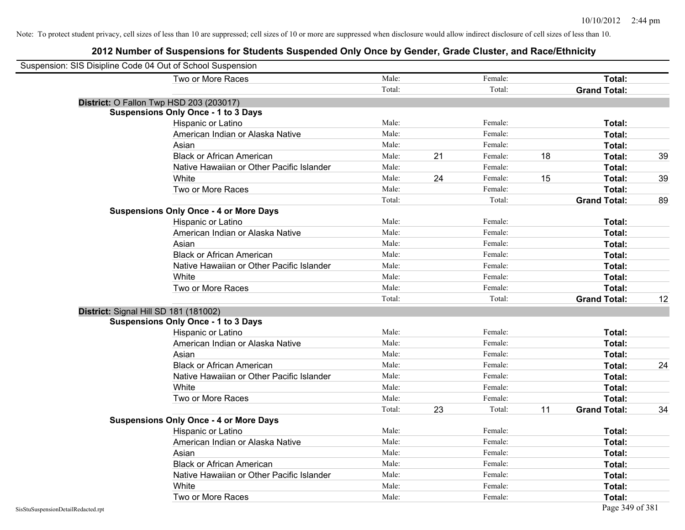| Suspension: SIS Disipline Code 04 Out of School Suspension |        |    |         |    |                     |    |
|------------------------------------------------------------|--------|----|---------|----|---------------------|----|
| Two or More Races                                          | Male:  |    | Female: |    | Total:              |    |
|                                                            | Total: |    | Total:  |    | <b>Grand Total:</b> |    |
| District: O Fallon Twp HSD 203 (203017)                    |        |    |         |    |                     |    |
| <b>Suspensions Only Once - 1 to 3 Days</b>                 |        |    |         |    |                     |    |
| Hispanic or Latino                                         | Male:  |    | Female: |    | Total:              |    |
| American Indian or Alaska Native                           | Male:  |    | Female: |    | Total:              |    |
| Asian                                                      | Male:  |    | Female: |    | Total:              |    |
| <b>Black or African American</b>                           | Male:  | 21 | Female: | 18 | Total:              | 39 |
| Native Hawaiian or Other Pacific Islander                  | Male:  |    | Female: |    | Total:              |    |
| White                                                      | Male:  | 24 | Female: | 15 | Total:              | 39 |
| Two or More Races                                          | Male:  |    | Female: |    | Total:              |    |
|                                                            | Total: |    | Total:  |    | <b>Grand Total:</b> | 89 |
| <b>Suspensions Only Once - 4 or More Days</b>              |        |    |         |    |                     |    |
| Hispanic or Latino                                         | Male:  |    | Female: |    | Total:              |    |
| American Indian or Alaska Native                           | Male:  |    | Female: |    | Total:              |    |
| Asian                                                      | Male:  |    | Female: |    | Total:              |    |
| <b>Black or African American</b>                           | Male:  |    | Female: |    | Total:              |    |
| Native Hawaiian or Other Pacific Islander                  | Male:  |    | Female: |    | Total:              |    |
| White                                                      | Male:  |    | Female: |    | Total:              |    |
| Two or More Races                                          | Male:  |    | Female: |    | Total:              |    |
|                                                            | Total: |    | Total:  |    | <b>Grand Total:</b> | 12 |
| District: Signal Hill SD 181 (181002)                      |        |    |         |    |                     |    |
| <b>Suspensions Only Once - 1 to 3 Days</b>                 |        |    |         |    |                     |    |
| Hispanic or Latino                                         | Male:  |    | Female: |    | Total:              |    |
| American Indian or Alaska Native                           | Male:  |    | Female: |    | Total:              |    |
| Asian                                                      | Male:  |    | Female: |    | Total:              |    |
| <b>Black or African American</b>                           | Male:  |    | Female: |    | Total:              | 24 |
| Native Hawaiian or Other Pacific Islander                  | Male:  |    | Female: |    | Total:              |    |
| White                                                      | Male:  |    | Female: |    | Total:              |    |
| Two or More Races                                          | Male:  |    | Female: |    | Total:              |    |
|                                                            | Total: | 23 | Total:  | 11 | <b>Grand Total:</b> | 34 |
| <b>Suspensions Only Once - 4 or More Days</b>              |        |    |         |    |                     |    |
| Hispanic or Latino                                         | Male:  |    | Female: |    | Total:              |    |
| American Indian or Alaska Native                           | Male:  |    | Female: |    | Total:              |    |
| Asian                                                      | Male:  |    | Female: |    | Total:              |    |
| <b>Black or African American</b>                           | Male:  |    | Female: |    | Total:              |    |
| Native Hawaiian or Other Pacific Islander                  | Male:  |    | Female: |    | Total:              |    |
| White                                                      | Male:  |    | Female: |    | Total:              |    |
| Two or More Races                                          | Male:  |    | Female: |    | Total:              |    |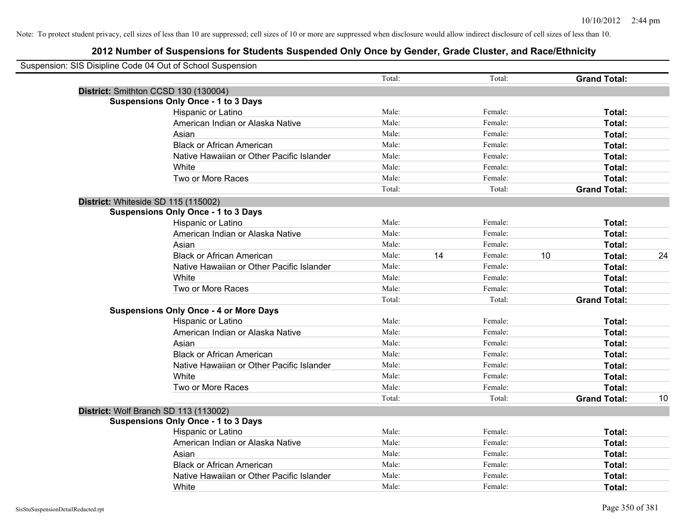| Suspension: SIS Disipline Code 04 Out of School Suspension |        |    |         |    |                     |    |
|------------------------------------------------------------|--------|----|---------|----|---------------------|----|
|                                                            | Total: |    | Total:  |    | <b>Grand Total:</b> |    |
| District: Smithton CCSD 130 (130004)                       |        |    |         |    |                     |    |
| <b>Suspensions Only Once - 1 to 3 Days</b>                 |        |    |         |    |                     |    |
| Hispanic or Latino                                         | Male:  |    | Female: |    | Total:              |    |
| American Indian or Alaska Native                           | Male:  |    | Female: |    | Total:              |    |
| Asian                                                      | Male:  |    | Female: |    | Total:              |    |
| <b>Black or African American</b>                           | Male:  |    | Female: |    | Total:              |    |
| Native Hawaiian or Other Pacific Islander                  | Male:  |    | Female: |    | Total:              |    |
| White                                                      | Male:  |    | Female: |    | Total:              |    |
| Two or More Races                                          | Male:  |    | Female: |    | Total:              |    |
|                                                            | Total: |    | Total:  |    | <b>Grand Total:</b> |    |
| District: Whiteside SD 115 (115002)                        |        |    |         |    |                     |    |
| <b>Suspensions Only Once - 1 to 3 Days</b>                 |        |    |         |    |                     |    |
| Hispanic or Latino                                         | Male:  |    | Female: |    | Total:              |    |
| American Indian or Alaska Native                           | Male:  |    | Female: |    | Total:              |    |
| Asian                                                      | Male:  |    | Female: |    | Total:              |    |
| <b>Black or African American</b>                           | Male:  | 14 | Female: | 10 | Total:              | 24 |
| Native Hawaiian or Other Pacific Islander                  | Male:  |    | Female: |    | Total:              |    |
| White                                                      | Male:  |    | Female: |    | Total:              |    |
| Two or More Races                                          | Male:  |    | Female: |    | Total:              |    |
|                                                            | Total: |    | Total:  |    | <b>Grand Total:</b> |    |
| <b>Suspensions Only Once - 4 or More Days</b>              |        |    |         |    |                     |    |
| Hispanic or Latino                                         | Male:  |    | Female: |    | Total:              |    |
| American Indian or Alaska Native                           | Male:  |    | Female: |    | Total:              |    |
| Asian                                                      | Male:  |    | Female: |    | Total:              |    |
| <b>Black or African American</b>                           | Male:  |    | Female: |    | Total:              |    |
| Native Hawaiian or Other Pacific Islander                  | Male:  |    | Female: |    | Total:              |    |
| White                                                      | Male:  |    | Female: |    | Total:              |    |
| Two or More Races                                          | Male:  |    | Female: |    | Total:              |    |
|                                                            | Total: |    | Total:  |    | <b>Grand Total:</b> | 10 |
| District: Wolf Branch SD 113 (113002)                      |        |    |         |    |                     |    |
| <b>Suspensions Only Once - 1 to 3 Days</b>                 |        |    |         |    |                     |    |
| Hispanic or Latino                                         | Male:  |    | Female: |    | Total:              |    |
| American Indian or Alaska Native                           | Male:  |    | Female: |    | Total:              |    |
| Asian                                                      | Male:  |    | Female: |    | Total:              |    |
| <b>Black or African American</b>                           | Male:  |    | Female: |    | Total:              |    |
| Native Hawaiian or Other Pacific Islander                  | Male:  |    | Female: |    | Total:              |    |
| White                                                      | Male:  |    | Female: |    | Total:              |    |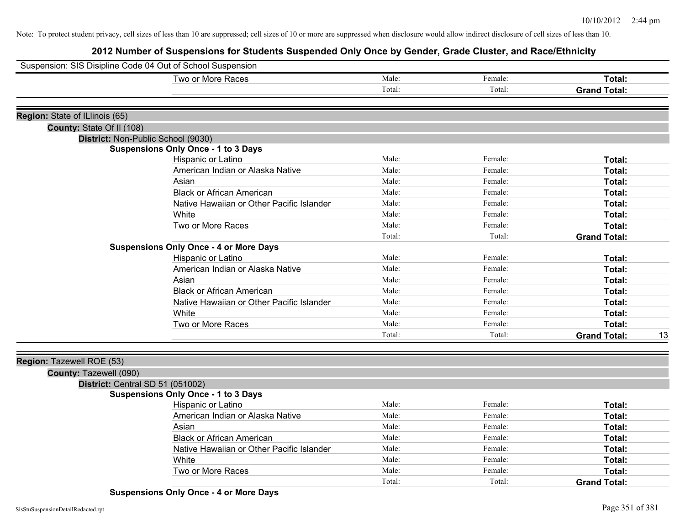| Suspension: SIS Disipline Code 04 Out of School Suspension |                                               |        |         |                           |
|------------------------------------------------------------|-----------------------------------------------|--------|---------|---------------------------|
|                                                            | Two or More Races                             | Male:  | Female: | Total:                    |
|                                                            |                                               | Total: | Total:  | <b>Grand Total:</b>       |
|                                                            |                                               |        |         |                           |
| Region: State of ILlinois (65)                             |                                               |        |         |                           |
| County: State Of II (108)                                  |                                               |        |         |                           |
| District: Non-Public School (9030)                         |                                               |        |         |                           |
|                                                            | <b>Suspensions Only Once - 1 to 3 Days</b>    |        |         |                           |
|                                                            | Hispanic or Latino                            | Male:  | Female: | Total:                    |
|                                                            | American Indian or Alaska Native              | Male:  | Female: | Total:                    |
|                                                            | Asian                                         | Male:  | Female: | Total:                    |
|                                                            | <b>Black or African American</b>              | Male:  | Female: | Total:                    |
|                                                            | Native Hawaiian or Other Pacific Islander     | Male:  | Female: | Total:                    |
|                                                            | White                                         | Male:  | Female: | Total:                    |
|                                                            | Two or More Races                             | Male:  | Female: | Total:                    |
|                                                            |                                               | Total: | Total:  | <b>Grand Total:</b>       |
|                                                            | <b>Suspensions Only Once - 4 or More Days</b> |        |         |                           |
|                                                            | Hispanic or Latino                            | Male:  | Female: | Total:                    |
|                                                            | American Indian or Alaska Native              | Male:  | Female: | Total:                    |
|                                                            | Asian                                         | Male:  | Female: | Total:                    |
|                                                            | <b>Black or African American</b>              | Male:  | Female: | Total:                    |
|                                                            | Native Hawaiian or Other Pacific Islander     | Male:  | Female: | Total:                    |
|                                                            | White                                         | Male:  | Female: | Total:                    |
|                                                            | Two or More Races                             | Male:  | Female: | Total:                    |
|                                                            |                                               | Total: | Total:  | <b>Grand Total:</b><br>13 |
|                                                            |                                               |        |         |                           |
| Region: Tazewell ROE (53)                                  |                                               |        |         |                           |
| County: Tazewell (090)                                     |                                               |        |         |                           |
| District: Central SD 51 (051002)                           |                                               |        |         |                           |
|                                                            | <b>Suspensions Only Once - 1 to 3 Days</b>    |        |         |                           |
|                                                            | Hispanic or Latino                            | Male:  | Female: | Total:                    |
|                                                            | American Indian or Alaska Native              | Male:  | Female: | Total:                    |
|                                                            | Asian                                         | Male:  | Female: | Total:                    |
|                                                            | <b>Black or African American</b>              | Male:  | Female: | Total:                    |
|                                                            | Native Hawaiian or Other Pacific Islander     | Male:  | Female: | Total:                    |
|                                                            | White                                         | Male:  | Female: | Total:                    |
|                                                            | Two or More Races                             | Male:  | Female: | Total:                    |
|                                                            |                                               | Total: | Total:  | <b>Grand Total:</b>       |

**Suspensions Only Once - 4 or More Days**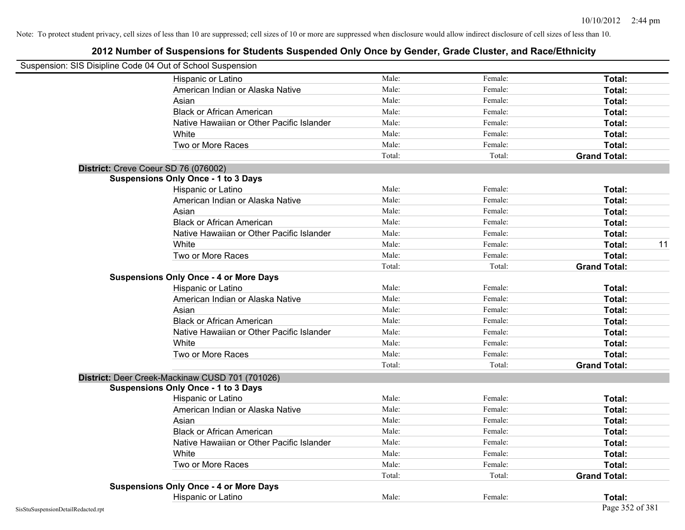| Suspension: SIS Disipline Code 04 Out of School Suspension |                                                 |        |         |                     |    |
|------------------------------------------------------------|-------------------------------------------------|--------|---------|---------------------|----|
|                                                            | Hispanic or Latino                              | Male:  | Female: | Total:              |    |
|                                                            | American Indian or Alaska Native                | Male:  | Female: | Total:              |    |
|                                                            | Asian                                           | Male:  | Female: | Total:              |    |
|                                                            | <b>Black or African American</b>                | Male:  | Female: | Total:              |    |
|                                                            | Native Hawaiian or Other Pacific Islander       | Male:  | Female: | Total:              |    |
|                                                            | White                                           | Male:  | Female: | Total:              |    |
|                                                            | Two or More Races                               | Male:  | Female: | Total:              |    |
|                                                            |                                                 | Total: | Total:  | <b>Grand Total:</b> |    |
| District: Creve Coeur SD 76 (076002)                       |                                                 |        |         |                     |    |
|                                                            | <b>Suspensions Only Once - 1 to 3 Days</b>      |        |         |                     |    |
|                                                            | Hispanic or Latino                              | Male:  | Female: | Total:              |    |
|                                                            | American Indian or Alaska Native                | Male:  | Female: | Total:              |    |
|                                                            | Asian                                           | Male:  | Female: | Total:              |    |
|                                                            | <b>Black or African American</b>                | Male:  | Female: | Total:              |    |
|                                                            | Native Hawaiian or Other Pacific Islander       | Male:  | Female: | Total:              |    |
|                                                            | White                                           | Male:  | Female: | Total:              | 11 |
|                                                            | Two or More Races                               | Male:  | Female: | Total:              |    |
|                                                            |                                                 | Total: | Total:  | <b>Grand Total:</b> |    |
|                                                            | <b>Suspensions Only Once - 4 or More Days</b>   |        |         |                     |    |
|                                                            | Hispanic or Latino                              | Male:  | Female: | Total:              |    |
|                                                            | American Indian or Alaska Native                | Male:  | Female: | Total:              |    |
|                                                            | Asian                                           | Male:  | Female: | Total:              |    |
|                                                            | <b>Black or African American</b>                | Male:  | Female: | Total:              |    |
|                                                            | Native Hawaiian or Other Pacific Islander       | Male:  | Female: | Total:              |    |
|                                                            | White                                           | Male:  | Female: | Total:              |    |
|                                                            | Two or More Races                               | Male:  | Female: | Total:              |    |
|                                                            |                                                 | Total: | Total:  | <b>Grand Total:</b> |    |
|                                                            | District: Deer Creek-Mackinaw CUSD 701 (701026) |        |         |                     |    |
|                                                            | <b>Suspensions Only Once - 1 to 3 Days</b>      |        |         |                     |    |
|                                                            | Hispanic or Latino                              | Male:  | Female: | Total:              |    |
|                                                            | American Indian or Alaska Native                | Male:  | Female: | Total:              |    |
|                                                            | Asian                                           | Male:  | Female: | Total:              |    |
|                                                            | <b>Black or African American</b>                | Male:  | Female: | Total:              |    |
|                                                            | Native Hawaiian or Other Pacific Islander       | Male:  | Female: | Total:              |    |
|                                                            | White                                           | Male:  | Female: | Total:              |    |
|                                                            | Two or More Races                               | Male:  | Female: | Total:              |    |
|                                                            |                                                 | Total: | Total:  | <b>Grand Total:</b> |    |
|                                                            | <b>Suspensions Only Once - 4 or More Days</b>   |        |         |                     |    |
|                                                            | Hispanic or Latino                              | Male:  | Female: | Total:              |    |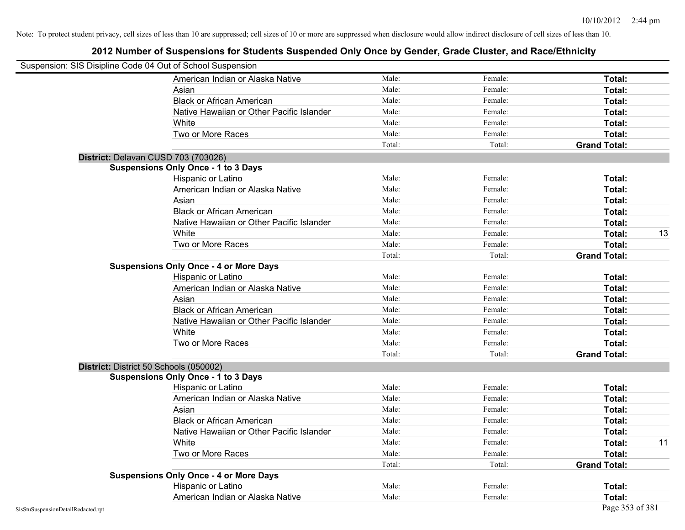|                                    | Suspension: SIS Disipline Code 04 Out of School Suspension |        |         |                     |    |
|------------------------------------|------------------------------------------------------------|--------|---------|---------------------|----|
|                                    | American Indian or Alaska Native                           | Male:  | Female: | Total:              |    |
|                                    | Asian                                                      | Male:  | Female: | Total:              |    |
|                                    | <b>Black or African American</b>                           | Male:  | Female: | Total:              |    |
|                                    | Native Hawaiian or Other Pacific Islander                  | Male:  | Female: | Total:              |    |
|                                    | White                                                      | Male:  | Female: | Total:              |    |
|                                    | Two or More Races                                          | Male:  | Female: | Total:              |    |
|                                    |                                                            | Total: | Total:  | <b>Grand Total:</b> |    |
|                                    | District: Delavan CUSD 703 (703026)                        |        |         |                     |    |
|                                    | <b>Suspensions Only Once - 1 to 3 Days</b>                 |        |         |                     |    |
|                                    | Hispanic or Latino                                         | Male:  | Female: | Total:              |    |
|                                    | American Indian or Alaska Native                           | Male:  | Female: | Total:              |    |
|                                    | Asian                                                      | Male:  | Female: | Total:              |    |
|                                    | <b>Black or African American</b>                           | Male:  | Female: | Total:              |    |
|                                    | Native Hawaiian or Other Pacific Islander                  | Male:  | Female: | Total:              |    |
|                                    | White                                                      | Male:  | Female: | Total:              | 13 |
|                                    | Two or More Races                                          | Male:  | Female: | Total:              |    |
|                                    |                                                            | Total: | Total:  | <b>Grand Total:</b> |    |
|                                    | <b>Suspensions Only Once - 4 or More Days</b>              |        |         |                     |    |
|                                    | Hispanic or Latino                                         | Male:  | Female: | Total:              |    |
|                                    | American Indian or Alaska Native                           | Male:  | Female: | Total:              |    |
|                                    | Asian                                                      | Male:  | Female: | Total:              |    |
|                                    | <b>Black or African American</b>                           | Male:  | Female: | Total:              |    |
|                                    | Native Hawaiian or Other Pacific Islander                  | Male:  | Female: | Total:              |    |
|                                    | White                                                      | Male:  | Female: | Total:              |    |
|                                    | Two or More Races                                          | Male:  | Female: | Total:              |    |
|                                    |                                                            | Total: | Total:  | <b>Grand Total:</b> |    |
|                                    | District: District 50 Schools (050002)                     |        |         |                     |    |
|                                    | <b>Suspensions Only Once - 1 to 3 Days</b>                 |        |         |                     |    |
|                                    | Hispanic or Latino                                         | Male:  | Female: | Total:              |    |
|                                    | American Indian or Alaska Native                           | Male:  | Female: | Total:              |    |
|                                    | Asian                                                      | Male:  | Female: | Total:              |    |
|                                    | <b>Black or African American</b>                           | Male:  | Female: | Total:              |    |
|                                    | Native Hawaiian or Other Pacific Islander                  | Male:  | Female: | <b>Total:</b>       |    |
|                                    | White                                                      | Male:  | Female: | Total:              | 11 |
|                                    | Two or More Races                                          | Male:  | Female: | Total:              |    |
|                                    |                                                            | Total: | Total:  | <b>Grand Total:</b> |    |
|                                    | <b>Suspensions Only Once - 4 or More Days</b>              |        |         |                     |    |
|                                    | Hispanic or Latino                                         | Male:  | Female: | Total:              |    |
|                                    | American Indian or Alaska Native                           | Male:  | Female: | Total:              |    |
| SisStuSuspensionDetailRedacted.rpt |                                                            |        |         | Page 353 of 381     |    |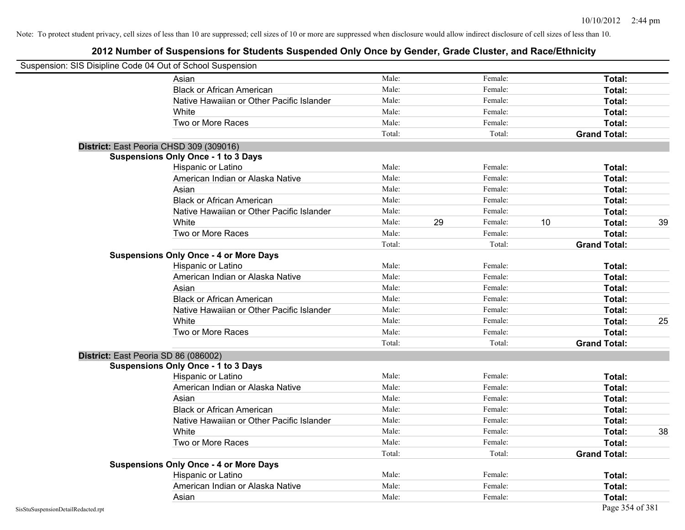|                                    | Suspension: SIS Disipline Code 04 Out of School Suspension                            |        |    |         |    |                     |    |
|------------------------------------|---------------------------------------------------------------------------------------|--------|----|---------|----|---------------------|----|
|                                    | Asian                                                                                 | Male:  |    | Female: |    | Total:              |    |
|                                    | <b>Black or African American</b>                                                      | Male:  |    | Female: |    | Total:              |    |
|                                    | Native Hawaiian or Other Pacific Islander                                             | Male:  |    | Female: |    | Total:              |    |
|                                    | White                                                                                 | Male:  |    | Female: |    | Total:              |    |
|                                    | Two or More Races                                                                     | Male:  |    | Female: |    | Total:              |    |
|                                    |                                                                                       | Total: |    | Total:  |    | <b>Grand Total:</b> |    |
|                                    |                                                                                       |        |    |         |    |                     |    |
|                                    | District: East Peoria CHSD 309 (309016)<br><b>Suspensions Only Once - 1 to 3 Days</b> |        |    |         |    |                     |    |
|                                    | Hispanic or Latino                                                                    | Male:  |    | Female: |    | Total:              |    |
|                                    | American Indian or Alaska Native                                                      | Male:  |    | Female: |    | Total:              |    |
|                                    | Asian                                                                                 | Male:  |    | Female: |    | Total:              |    |
|                                    | <b>Black or African American</b>                                                      | Male:  |    | Female: |    | Total:              |    |
|                                    | Native Hawaiian or Other Pacific Islander                                             | Male:  |    | Female: |    | Total:              |    |
|                                    | White                                                                                 | Male:  | 29 | Female: | 10 | Total:              | 39 |
|                                    | Two or More Races                                                                     | Male:  |    | Female: |    | Total:              |    |
|                                    |                                                                                       | Total: |    | Total:  |    | <b>Grand Total:</b> |    |
|                                    | <b>Suspensions Only Once - 4 or More Days</b>                                         |        |    |         |    |                     |    |
|                                    | Hispanic or Latino                                                                    | Male:  |    | Female: |    | Total:              |    |
|                                    | American Indian or Alaska Native                                                      | Male:  |    | Female: |    | Total:              |    |
|                                    | Asian                                                                                 | Male:  |    | Female: |    | Total:              |    |
|                                    | <b>Black or African American</b>                                                      | Male:  |    | Female: |    | Total:              |    |
|                                    | Native Hawaiian or Other Pacific Islander                                             | Male:  |    | Female: |    | Total:              |    |
|                                    | White                                                                                 | Male:  |    | Female: |    | Total:              | 25 |
|                                    | Two or More Races                                                                     | Male:  |    | Female: |    | Total:              |    |
|                                    |                                                                                       | Total: |    | Total:  |    | <b>Grand Total:</b> |    |
|                                    | District: East Peoria SD 86 (086002)                                                  |        |    |         |    |                     |    |
|                                    | <b>Suspensions Only Once - 1 to 3 Days</b>                                            |        |    |         |    |                     |    |
|                                    | Hispanic or Latino                                                                    | Male:  |    | Female: |    | Total:              |    |
|                                    | American Indian or Alaska Native                                                      | Male:  |    | Female: |    | Total:              |    |
|                                    | Asian                                                                                 | Male:  |    | Female: |    | Total:              |    |
|                                    | <b>Black or African American</b>                                                      | Male:  |    | Female: |    | Total:              |    |
|                                    | Native Hawaiian or Other Pacific Islander                                             | Male:  |    | Female: |    | Total:              |    |
|                                    | White                                                                                 | Male:  |    | Female: |    | Total:              | 38 |
|                                    | Two or More Races                                                                     | Male:  |    | Female: |    | Total:              |    |
|                                    |                                                                                       | Total: |    | Total:  |    | <b>Grand Total:</b> |    |
|                                    | <b>Suspensions Only Once - 4 or More Days</b>                                         |        |    |         |    |                     |    |
|                                    | Hispanic or Latino                                                                    | Male:  |    | Female: |    | Total:              |    |
|                                    | American Indian or Alaska Native                                                      | Male:  |    | Female: |    | Total:              |    |
|                                    | Asian                                                                                 | Male:  |    | Female: |    | Total:              |    |
| SisStuSuspensionDetailRedacted.rpt |                                                                                       |        |    |         |    | Page 354 of 381     |    |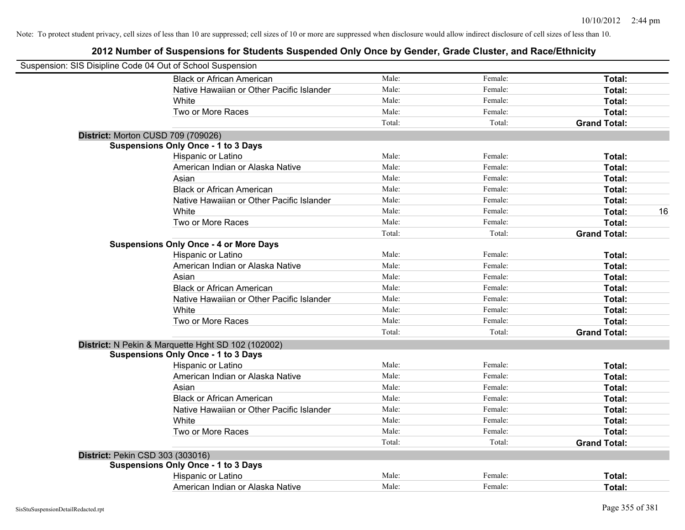|                                  | Suspension: SIS Disipline Code 04 Out of School Suspension |        |         |                     |    |
|----------------------------------|------------------------------------------------------------|--------|---------|---------------------|----|
|                                  | <b>Black or African American</b>                           | Male:  | Female: | Total:              |    |
|                                  | Native Hawaiian or Other Pacific Islander                  | Male:  | Female: | Total:              |    |
|                                  | White                                                      | Male:  | Female: | Total:              |    |
|                                  | Two or More Races                                          | Male:  | Female: | Total:              |    |
|                                  |                                                            | Total: | Total:  | <b>Grand Total:</b> |    |
|                                  | District: Morton CUSD 709 (709026)                         |        |         |                     |    |
|                                  | <b>Suspensions Only Once - 1 to 3 Days</b>                 |        |         |                     |    |
|                                  | Hispanic or Latino                                         | Male:  | Female: | Total:              |    |
|                                  | American Indian or Alaska Native                           | Male:  | Female: | Total:              |    |
|                                  | Asian                                                      | Male:  | Female: | Total:              |    |
|                                  | <b>Black or African American</b>                           | Male:  | Female: | Total:              |    |
|                                  | Native Hawaiian or Other Pacific Islander                  | Male:  | Female: | Total:              |    |
|                                  | White                                                      | Male:  | Female: | Total:              | 16 |
|                                  | Two or More Races                                          | Male:  | Female: | Total:              |    |
|                                  |                                                            | Total: | Total:  | <b>Grand Total:</b> |    |
|                                  | <b>Suspensions Only Once - 4 or More Days</b>              |        |         |                     |    |
|                                  | Hispanic or Latino                                         | Male:  | Female: | Total:              |    |
|                                  | American Indian or Alaska Native                           | Male:  | Female: | Total:              |    |
|                                  | Asian                                                      | Male:  | Female: | Total:              |    |
|                                  | <b>Black or African American</b>                           | Male:  | Female: | Total:              |    |
|                                  | Native Hawaiian or Other Pacific Islander                  | Male:  | Female: | Total:              |    |
|                                  | White                                                      | Male:  | Female: | Total:              |    |
|                                  | Two or More Races                                          | Male:  | Female: | Total:              |    |
|                                  |                                                            | Total: | Total:  | <b>Grand Total:</b> |    |
|                                  | District: N Pekin & Marquette Hght SD 102 (102002)         |        |         |                     |    |
|                                  | <b>Suspensions Only Once - 1 to 3 Days</b>                 |        |         |                     |    |
|                                  | Hispanic or Latino                                         | Male:  | Female: | Total:              |    |
|                                  | American Indian or Alaska Native                           | Male:  | Female: | Total:              |    |
|                                  | Asian                                                      | Male:  | Female: | Total:              |    |
|                                  | <b>Black or African American</b>                           | Male:  | Female: | Total:              |    |
|                                  | Native Hawaiian or Other Pacific Islander                  | Male:  | Female: | Total:              |    |
|                                  | White                                                      | Male:  | Female: | Total:              |    |
|                                  | Two or More Races                                          | Male:  | Female: | Total:              |    |
|                                  |                                                            | Total: | Total:  | <b>Grand Total:</b> |    |
| District: Pekin CSD 303 (303016) |                                                            |        |         |                     |    |
|                                  | <b>Suspensions Only Once - 1 to 3 Days</b>                 |        |         |                     |    |
|                                  | Hispanic or Latino                                         | Male:  | Female: | Total:              |    |
|                                  | American Indian or Alaska Native                           | Male:  | Female: | Total:              |    |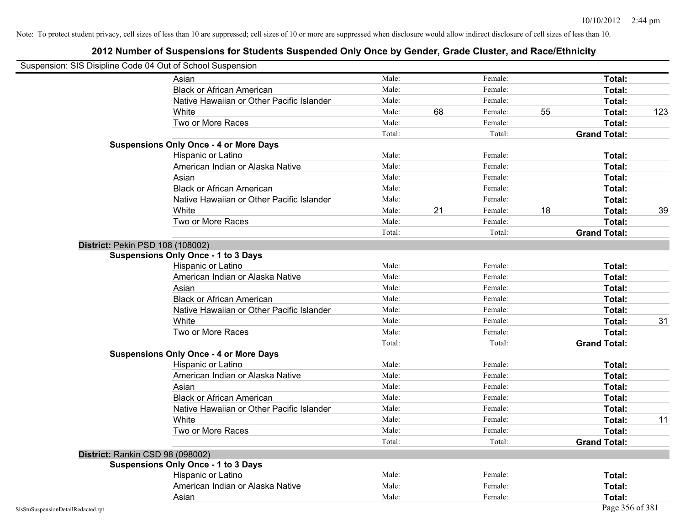| Suspension: SIS Disipline Code 04 Out of School Suspension |                                               |        |    |         |    |                     |     |
|------------------------------------------------------------|-----------------------------------------------|--------|----|---------|----|---------------------|-----|
|                                                            | Asian                                         | Male:  |    | Female: |    | Total:              |     |
|                                                            | <b>Black or African American</b>              | Male:  |    | Female: |    | Total:              |     |
|                                                            | Native Hawaiian or Other Pacific Islander     | Male:  |    | Female: |    | Total:              |     |
|                                                            | White                                         | Male:  | 68 | Female: | 55 | Total:              | 123 |
|                                                            | Two or More Races                             | Male:  |    | Female: |    | Total:              |     |
|                                                            |                                               | Total: |    | Total:  |    | <b>Grand Total:</b> |     |
|                                                            | <b>Suspensions Only Once - 4 or More Days</b> |        |    |         |    |                     |     |
|                                                            | Hispanic or Latino                            | Male:  |    | Female: |    | Total:              |     |
|                                                            | American Indian or Alaska Native              | Male:  |    | Female: |    | Total:              |     |
|                                                            | Asian                                         | Male:  |    | Female: |    | Total:              |     |
|                                                            | <b>Black or African American</b>              | Male:  |    | Female: |    | Total:              |     |
|                                                            | Native Hawaiian or Other Pacific Islander     | Male:  |    | Female: |    | Total:              |     |
|                                                            | White                                         | Male:  | 21 | Female: | 18 | Total:              | 39  |
|                                                            | Two or More Races                             | Male:  |    | Female: |    | Total:              |     |
|                                                            |                                               | Total: |    | Total:  |    | <b>Grand Total:</b> |     |
| District: Pekin PSD 108 (108002)                           |                                               |        |    |         |    |                     |     |
|                                                            | <b>Suspensions Only Once - 1 to 3 Days</b>    |        |    |         |    |                     |     |
|                                                            | Hispanic or Latino                            | Male:  |    | Female: |    | Total:              |     |
|                                                            | American Indian or Alaska Native              | Male:  |    | Female: |    | Total:              |     |
|                                                            | Asian                                         | Male:  |    | Female: |    | Total:              |     |
|                                                            | <b>Black or African American</b>              | Male:  |    | Female: |    | Total:              |     |
|                                                            | Native Hawaiian or Other Pacific Islander     | Male:  |    | Female: |    | Total:              |     |
|                                                            | White                                         | Male:  |    | Female: |    | Total:              | 31  |
|                                                            | Two or More Races                             | Male:  |    | Female: |    | Total:              |     |
|                                                            |                                               | Total: |    | Total:  |    | <b>Grand Total:</b> |     |
|                                                            | <b>Suspensions Only Once - 4 or More Days</b> |        |    |         |    |                     |     |
|                                                            | Hispanic or Latino                            | Male:  |    | Female: |    | Total:              |     |
|                                                            | American Indian or Alaska Native              | Male:  |    | Female: |    | Total:              |     |
|                                                            | Asian                                         | Male:  |    | Female: |    | Total:              |     |
|                                                            | <b>Black or African American</b>              | Male:  |    | Female: |    | Total:              |     |
|                                                            | Native Hawaiian or Other Pacific Islander     | Male:  |    | Female: |    | Total:              |     |
|                                                            | White                                         | Male:  |    | Female: |    | Total:              | 11  |
|                                                            | Two or More Races                             | Male:  |    | Female: |    | Total:              |     |
|                                                            |                                               | Total: |    | Total:  |    | <b>Grand Total:</b> |     |
| District: Rankin CSD 98 (098002)                           |                                               |        |    |         |    |                     |     |
|                                                            | <b>Suspensions Only Once - 1 to 3 Days</b>    |        |    |         |    |                     |     |
|                                                            | Hispanic or Latino                            | Male:  |    | Female: |    | Total:              |     |
|                                                            | American Indian or Alaska Native              | Male:  |    | Female: |    | Total:              |     |
|                                                            | Asian                                         | Male:  |    | Female: |    | Total:              |     |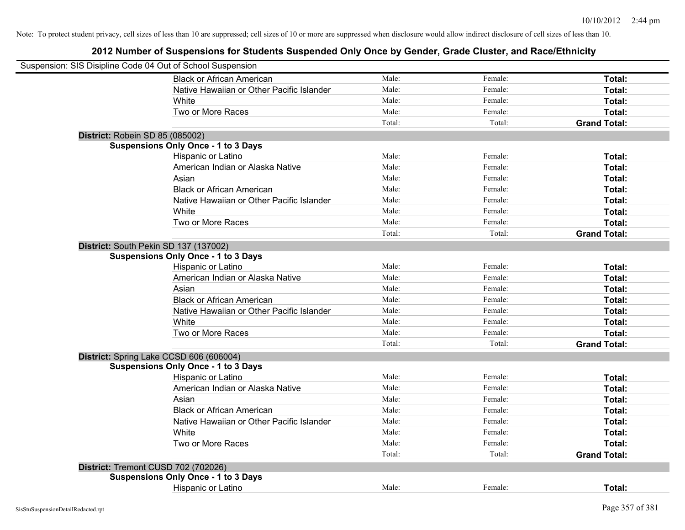| Suspension: SIS Disipline Code 04 Out of School Suspension |                                            |        |         |                     |
|------------------------------------------------------------|--------------------------------------------|--------|---------|---------------------|
|                                                            | <b>Black or African American</b>           | Male:  | Female: | Total:              |
|                                                            | Native Hawaiian or Other Pacific Islander  | Male:  | Female: | Total:              |
|                                                            | White                                      | Male:  | Female: | Total:              |
|                                                            | Two or More Races                          | Male:  | Female: | Total:              |
|                                                            |                                            | Total: | Total:  | <b>Grand Total:</b> |
| District: Robein SD 85 (085002)                            |                                            |        |         |                     |
|                                                            | <b>Suspensions Only Once - 1 to 3 Days</b> |        |         |                     |
|                                                            | Hispanic or Latino                         | Male:  | Female: | Total:              |
|                                                            | American Indian or Alaska Native           | Male:  | Female: | Total:              |
|                                                            | Asian                                      | Male:  | Female: | Total:              |
|                                                            | <b>Black or African American</b>           | Male:  | Female: | Total:              |
|                                                            | Native Hawaiian or Other Pacific Islander  | Male:  | Female: | Total:              |
|                                                            | White                                      | Male:  | Female: | Total:              |
|                                                            | Two or More Races                          | Male:  | Female: | Total:              |
|                                                            |                                            | Total: | Total:  | <b>Grand Total:</b> |
| District: South Pekin SD 137 (137002)                      |                                            |        |         |                     |
|                                                            | <b>Suspensions Only Once - 1 to 3 Days</b> |        |         |                     |
|                                                            | Hispanic or Latino                         | Male:  | Female: | Total:              |
|                                                            | American Indian or Alaska Native           | Male:  | Female: | Total:              |
|                                                            | Asian                                      | Male:  | Female: | Total:              |
|                                                            | <b>Black or African American</b>           | Male:  | Female: | Total:              |
|                                                            | Native Hawaiian or Other Pacific Islander  | Male:  | Female: | Total:              |
|                                                            | White                                      | Male:  | Female: | Total:              |
|                                                            | Two or More Races                          | Male:  | Female: | Total:              |
|                                                            |                                            | Total: | Total:  | <b>Grand Total:</b> |
|                                                            | District: Spring Lake CCSD 606 (606004)    |        |         |                     |
|                                                            | <b>Suspensions Only Once - 1 to 3 Days</b> |        |         |                     |
|                                                            | Hispanic or Latino                         | Male:  | Female: | Total:              |
|                                                            | American Indian or Alaska Native           | Male:  | Female: | Total:              |
|                                                            | Asian                                      | Male:  | Female: | Total:              |
|                                                            | <b>Black or African American</b>           | Male:  | Female: | Total:              |
|                                                            | Native Hawaiian or Other Pacific Islander  | Male:  | Female: | Total:              |
|                                                            | White                                      | Male:  | Female: | Total:              |
|                                                            | Two or More Races                          | Male:  | Female: | Total:              |
|                                                            |                                            | Total: | Total:  | <b>Grand Total:</b> |
| District: Tremont CUSD 702 (702026)                        |                                            |        |         |                     |
|                                                            | <b>Suspensions Only Once - 1 to 3 Days</b> |        |         |                     |
|                                                            | Hispanic or Latino                         | Male:  | Female: | Total:              |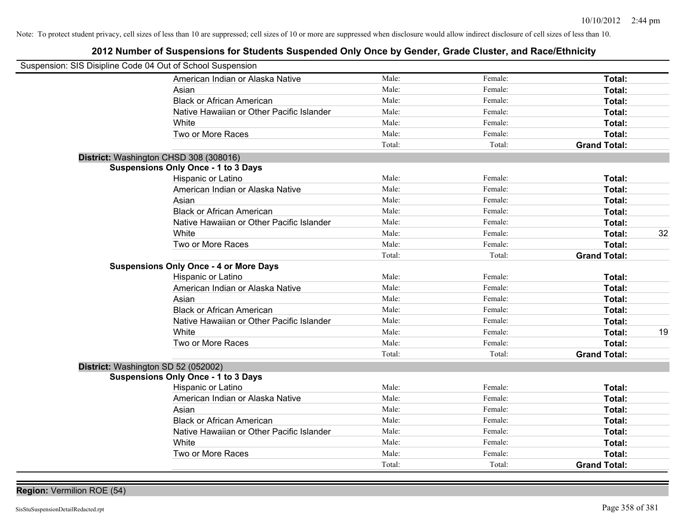| Suspension: SIS Disipline Code 04 Out of School Suspension |                                               |        |         |                     |    |
|------------------------------------------------------------|-----------------------------------------------|--------|---------|---------------------|----|
|                                                            | American Indian or Alaska Native              | Male:  | Female: | Total:              |    |
|                                                            | Asian                                         | Male:  | Female: | Total:              |    |
|                                                            | <b>Black or African American</b>              | Male:  | Female: | Total:              |    |
|                                                            | Native Hawaiian or Other Pacific Islander     | Male:  | Female: | Total:              |    |
|                                                            | White                                         | Male:  | Female: | Total:              |    |
|                                                            | Two or More Races                             | Male:  | Female: | Total:              |    |
|                                                            |                                               | Total: | Total:  | <b>Grand Total:</b> |    |
| District: Washington CHSD 308 (308016)                     |                                               |        |         |                     |    |
|                                                            | <b>Suspensions Only Once - 1 to 3 Days</b>    |        |         |                     |    |
|                                                            | Hispanic or Latino                            | Male:  | Female: | Total:              |    |
|                                                            | American Indian or Alaska Native              | Male:  | Female: | Total:              |    |
|                                                            | Asian                                         | Male:  | Female: | Total:              |    |
|                                                            | <b>Black or African American</b>              | Male:  | Female: | Total:              |    |
|                                                            | Native Hawaiian or Other Pacific Islander     | Male:  | Female: | Total:              |    |
|                                                            | White                                         | Male:  | Female: | Total:              | 32 |
|                                                            | Two or More Races                             | Male:  | Female: | Total:              |    |
|                                                            |                                               | Total: | Total:  | <b>Grand Total:</b> |    |
|                                                            | <b>Suspensions Only Once - 4 or More Days</b> |        |         |                     |    |
|                                                            | Hispanic or Latino                            | Male:  | Female: | Total:              |    |
|                                                            | American Indian or Alaska Native              | Male:  | Female: | Total:              |    |
|                                                            | Asian                                         | Male:  | Female: | Total:              |    |
|                                                            | <b>Black or African American</b>              | Male:  | Female: | Total:              |    |
|                                                            | Native Hawaiian or Other Pacific Islander     | Male:  | Female: | Total:              |    |
|                                                            | White                                         | Male:  | Female: | Total:              | 19 |
|                                                            | Two or More Races                             | Male:  | Female: | Total:              |    |
|                                                            |                                               | Total: | Total:  | <b>Grand Total:</b> |    |
| District: Washington SD 52 (052002)                        |                                               |        |         |                     |    |
|                                                            | <b>Suspensions Only Once - 1 to 3 Days</b>    |        |         |                     |    |
|                                                            | Hispanic or Latino                            | Male:  | Female: | Total:              |    |
|                                                            | American Indian or Alaska Native              | Male:  | Female: | Total:              |    |
|                                                            | Asian                                         | Male:  | Female: | Total:              |    |
|                                                            | <b>Black or African American</b>              | Male:  | Female: | Total:              |    |
|                                                            | Native Hawaiian or Other Pacific Islander     | Male:  | Female: | Total:              |    |
|                                                            | White                                         | Male:  | Female: | Total:              |    |
|                                                            | Two or More Races                             | Male:  | Female: | Total:              |    |
|                                                            |                                               | Total: | Total:  | <b>Grand Total:</b> |    |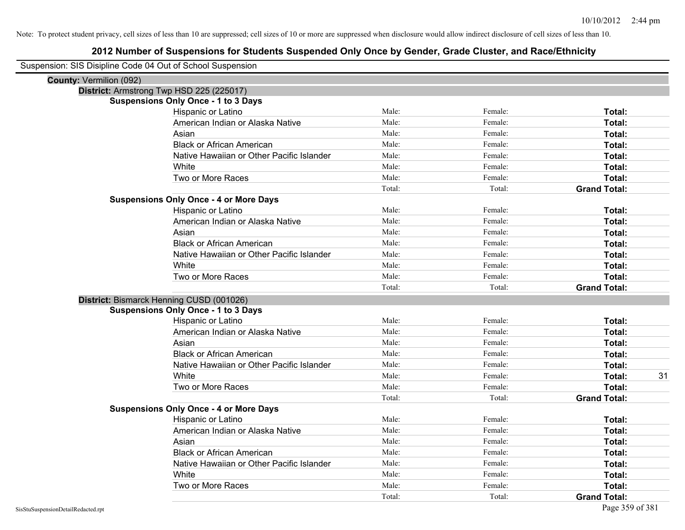| Suspension: SIS Disipline Code 04 Out of School Suspension |                                               |        |         |                     |
|------------------------------------------------------------|-----------------------------------------------|--------|---------|---------------------|
| County: Vermilion (092)                                    |                                               |        |         |                     |
|                                                            | District: Armstrong Twp HSD 225 (225017)      |        |         |                     |
|                                                            | <b>Suspensions Only Once - 1 to 3 Days</b>    |        |         |                     |
|                                                            | Hispanic or Latino                            | Male:  | Female: | Total:              |
|                                                            | American Indian or Alaska Native              | Male:  | Female: | Total:              |
|                                                            | Asian                                         | Male:  | Female: | Total:              |
|                                                            | <b>Black or African American</b>              | Male:  | Female: | Total:              |
|                                                            | Native Hawaiian or Other Pacific Islander     | Male:  | Female: | Total:              |
|                                                            | White                                         | Male:  | Female: | Total:              |
|                                                            | Two or More Races                             | Male:  | Female: | Total:              |
|                                                            |                                               | Total: | Total:  | <b>Grand Total:</b> |
|                                                            | <b>Suspensions Only Once - 4 or More Days</b> |        |         |                     |
|                                                            | Hispanic or Latino                            | Male:  | Female: | Total:              |
|                                                            | American Indian or Alaska Native              | Male:  | Female: | Total:              |
|                                                            | Asian                                         | Male:  | Female: | Total:              |
|                                                            | <b>Black or African American</b>              | Male:  | Female: | Total:              |
|                                                            | Native Hawaiian or Other Pacific Islander     | Male:  | Female: | Total:              |
|                                                            | White                                         | Male:  | Female: | Total:              |
|                                                            | Two or More Races                             | Male:  | Female: | Total:              |
|                                                            |                                               | Total: | Total:  | <b>Grand Total:</b> |
|                                                            | District: Bismarck Henning CUSD (001026)      |        |         |                     |
|                                                            | <b>Suspensions Only Once - 1 to 3 Days</b>    |        |         |                     |
|                                                            | <b>Hispanic or Latino</b>                     | Male:  | Female: | Total:              |
|                                                            | American Indian or Alaska Native              | Male:  | Female: | Total:              |
|                                                            | Asian                                         | Male:  | Female: | Total:              |
|                                                            | <b>Black or African American</b>              | Male:  | Female: | Total:              |
|                                                            | Native Hawaiian or Other Pacific Islander     | Male:  | Female: | Total:              |
|                                                            | White                                         | Male:  | Female: | 31<br>Total:        |
|                                                            | Two or More Races                             | Male:  | Female: | Total:              |
|                                                            |                                               | Total: | Total:  | <b>Grand Total:</b> |
|                                                            | <b>Suspensions Only Once - 4 or More Days</b> |        |         |                     |
|                                                            | Hispanic or Latino                            | Male:  | Female: | Total:              |
|                                                            | American Indian or Alaska Native              | Male:  | Female: | Total:              |
|                                                            | Asian                                         | Male:  | Female: | Total:              |
|                                                            | <b>Black or African American</b>              | Male:  | Female: | Total:              |
|                                                            | Native Hawaiian or Other Pacific Islander     | Male:  | Female: | Total:              |
|                                                            | White                                         | Male:  | Female: | Total:              |
|                                                            | Two or More Races                             | Male:  | Female: | Total:              |
|                                                            |                                               | Total: | Total:  | <b>Grand Total:</b> |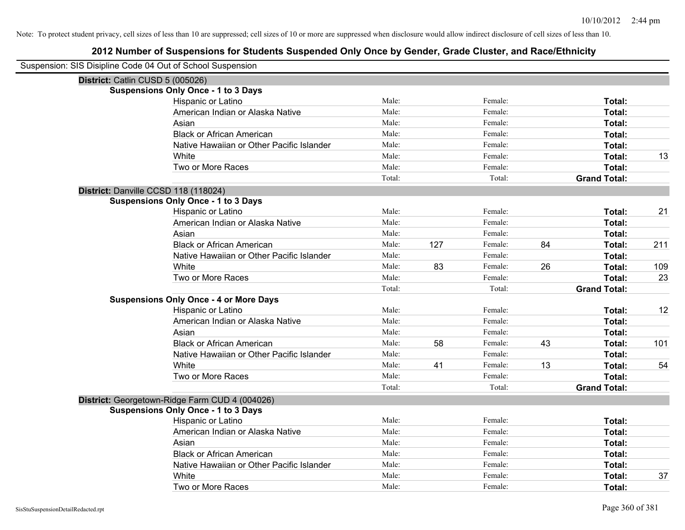| Suspension: SIS Disipline Code 04 Out of School Suspension |                                                |        |     |         |    |                     |     |
|------------------------------------------------------------|------------------------------------------------|--------|-----|---------|----|---------------------|-----|
| District: Catlin CUSD 5 (005026)                           |                                                |        |     |         |    |                     |     |
|                                                            | <b>Suspensions Only Once - 1 to 3 Days</b>     |        |     |         |    |                     |     |
|                                                            | Hispanic or Latino                             | Male:  |     | Female: |    | Total:              |     |
|                                                            | American Indian or Alaska Native               | Male:  |     | Female: |    | <b>Total:</b>       |     |
|                                                            | Asian                                          | Male:  |     | Female: |    | <b>Total:</b>       |     |
|                                                            | <b>Black or African American</b>               | Male:  |     | Female: |    | Total:              |     |
|                                                            | Native Hawaiian or Other Pacific Islander      | Male:  |     | Female: |    | Total:              |     |
|                                                            | White                                          | Male:  |     | Female: |    | Total:              | 13  |
|                                                            | Two or More Races                              | Male:  |     | Female: |    | Total:              |     |
|                                                            |                                                | Total: |     | Total:  |    | <b>Grand Total:</b> |     |
| District: Danville CCSD 118 (118024)                       |                                                |        |     |         |    |                     |     |
|                                                            | <b>Suspensions Only Once - 1 to 3 Days</b>     |        |     |         |    |                     |     |
|                                                            | Hispanic or Latino                             | Male:  |     | Female: |    | Total:              | 21  |
|                                                            | American Indian or Alaska Native               | Male:  |     | Female: |    | Total:              |     |
|                                                            | Asian                                          | Male:  |     | Female: |    | Total:              |     |
|                                                            | <b>Black or African American</b>               | Male:  | 127 | Female: | 84 | Total:              | 211 |
|                                                            | Native Hawaiian or Other Pacific Islander      | Male:  |     | Female: |    | Total:              |     |
|                                                            | White                                          | Male:  | 83  | Female: | 26 | Total:              | 109 |
|                                                            | Two or More Races                              | Male:  |     | Female: |    | Total:              | 23  |
|                                                            |                                                | Total: |     | Total:  |    | <b>Grand Total:</b> |     |
|                                                            | <b>Suspensions Only Once - 4 or More Days</b>  |        |     |         |    |                     |     |
|                                                            | Hispanic or Latino                             | Male:  |     | Female: |    | Total:              | 12  |
|                                                            | American Indian or Alaska Native               | Male:  |     | Female: |    | Total:              |     |
|                                                            | Asian                                          | Male:  |     | Female: |    | Total:              |     |
|                                                            | <b>Black or African American</b>               | Male:  | 58  | Female: | 43 | Total:              | 101 |
|                                                            | Native Hawaiian or Other Pacific Islander      | Male:  |     | Female: |    | Total:              |     |
|                                                            | White                                          | Male:  | 41  | Female: | 13 | Total:              | 54  |
|                                                            | Two or More Races                              | Male:  |     | Female: |    | Total:              |     |
|                                                            |                                                | Total: |     | Total:  |    | <b>Grand Total:</b> |     |
|                                                            | District: Georgetown-Ridge Farm CUD 4 (004026) |        |     |         |    |                     |     |
|                                                            | <b>Suspensions Only Once - 1 to 3 Days</b>     |        |     |         |    |                     |     |
|                                                            | Hispanic or Latino                             | Male:  |     | Female: |    | Total:              |     |
|                                                            | American Indian or Alaska Native               | Male:  |     | Female: |    | Total:              |     |
|                                                            | Asian                                          | Male:  |     | Female: |    | Total:              |     |
|                                                            | <b>Black or African American</b>               | Male:  |     | Female: |    | Total:              |     |
|                                                            | Native Hawaiian or Other Pacific Islander      | Male:  |     | Female: |    | Total:              |     |
|                                                            | White                                          | Male:  |     | Female: |    | <b>Total:</b>       | 37  |
|                                                            | Two or More Races                              | Male:  |     | Female: |    | Total:              |     |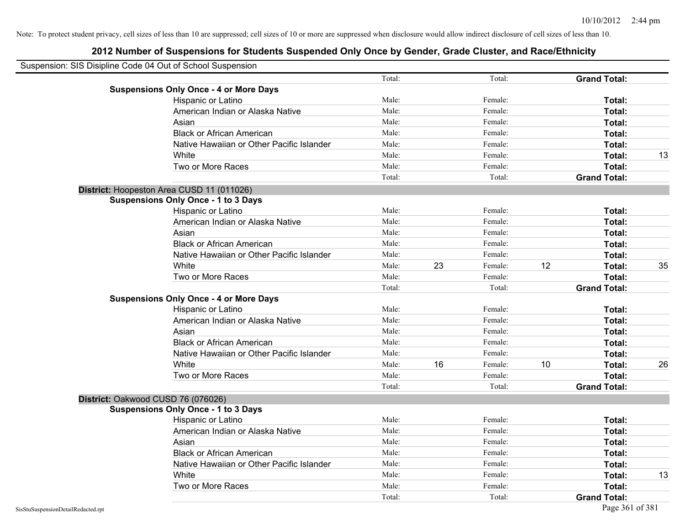| Suspension: SIS Disipline Code 04 Out of School Suspension |                                               |        |    |         |    |                     |    |
|------------------------------------------------------------|-----------------------------------------------|--------|----|---------|----|---------------------|----|
|                                                            |                                               | Total: |    | Total:  |    | <b>Grand Total:</b> |    |
|                                                            | <b>Suspensions Only Once - 4 or More Days</b> |        |    |         |    |                     |    |
|                                                            | Hispanic or Latino                            | Male:  |    | Female: |    | Total:              |    |
|                                                            | American Indian or Alaska Native              | Male:  |    | Female: |    | Total:              |    |
|                                                            | Asian                                         | Male:  |    | Female: |    | Total:              |    |
|                                                            | <b>Black or African American</b>              | Male:  |    | Female: |    | Total:              |    |
|                                                            | Native Hawaiian or Other Pacific Islander     | Male:  |    | Female: |    | Total:              |    |
|                                                            | White                                         | Male:  |    | Female: |    | Total:              | 13 |
|                                                            | Two or More Races                             | Male:  |    | Female: |    | Total:              |    |
|                                                            |                                               | Total: |    | Total:  |    | <b>Grand Total:</b> |    |
|                                                            | District: Hoopeston Area CUSD 11 (011026)     |        |    |         |    |                     |    |
|                                                            | <b>Suspensions Only Once - 1 to 3 Days</b>    |        |    |         |    |                     |    |
|                                                            | Hispanic or Latino                            | Male:  |    | Female: |    | Total:              |    |
|                                                            | American Indian or Alaska Native              | Male:  |    | Female: |    | Total:              |    |
|                                                            | Asian                                         | Male:  |    | Female: |    | Total:              |    |
|                                                            | <b>Black or African American</b>              | Male:  |    | Female: |    | Total:              |    |
|                                                            | Native Hawaiian or Other Pacific Islander     | Male:  |    | Female: |    | Total:              |    |
|                                                            | White                                         | Male:  | 23 | Female: | 12 | Total:              | 35 |
|                                                            | Two or More Races                             | Male:  |    | Female: |    | Total:              |    |
|                                                            |                                               | Total: |    | Total:  |    | <b>Grand Total:</b> |    |
|                                                            | <b>Suspensions Only Once - 4 or More Days</b> |        |    |         |    |                     |    |
|                                                            | Hispanic or Latino                            | Male:  |    | Female: |    | Total:              |    |
|                                                            | American Indian or Alaska Native              | Male:  |    | Female: |    | Total:              |    |
|                                                            | Asian                                         | Male:  |    | Female: |    | Total:              |    |
|                                                            | <b>Black or African American</b>              | Male:  |    | Female: |    | Total:              |    |
|                                                            | Native Hawaiian or Other Pacific Islander     | Male:  |    | Female: |    | Total:              |    |
|                                                            | White                                         | Male:  | 16 | Female: | 10 | Total:              | 26 |
|                                                            | Two or More Races                             | Male:  |    | Female: |    | Total:              |    |
|                                                            |                                               | Total: |    | Total:  |    | <b>Grand Total:</b> |    |
|                                                            | District: Oakwood CUSD 76 (076026)            |        |    |         |    |                     |    |
|                                                            | <b>Suspensions Only Once - 1 to 3 Days</b>    |        |    |         |    |                     |    |
|                                                            | Hispanic or Latino                            | Male:  |    | Female: |    | Total:              |    |
|                                                            | American Indian or Alaska Native              | Male:  |    | Female: |    | Total:              |    |
|                                                            | Asian                                         | Male:  |    | Female: |    | Total:              |    |
|                                                            | <b>Black or African American</b>              | Male:  |    | Female: |    | Total:              |    |
|                                                            | Native Hawaiian or Other Pacific Islander     | Male:  |    | Female: |    | Total:              |    |
|                                                            | White                                         | Male:  |    | Female: |    | Total:              | 13 |
|                                                            | Two or More Races                             | Male:  |    | Female: |    | <b>Total:</b>       |    |
|                                                            |                                               | Total: |    | Total:  |    | <b>Grand Total:</b> |    |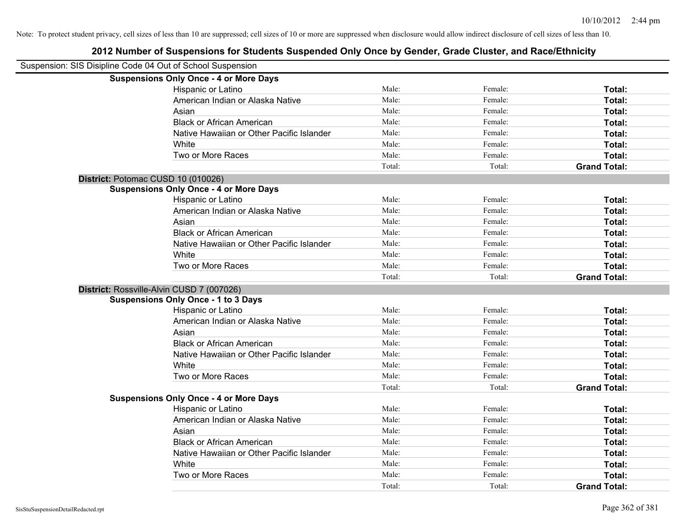| Suspension: SIS Disipline Code 04 Out of School Suspension |                                               |        |         |                     |
|------------------------------------------------------------|-----------------------------------------------|--------|---------|---------------------|
|                                                            | <b>Suspensions Only Once - 4 or More Days</b> |        |         |                     |
|                                                            | Hispanic or Latino                            | Male:  | Female: | Total:              |
|                                                            | American Indian or Alaska Native              | Male:  | Female: | Total:              |
|                                                            | Asian                                         | Male:  | Female: | Total:              |
|                                                            | <b>Black or African American</b>              | Male:  | Female: | Total:              |
|                                                            | Native Hawaiian or Other Pacific Islander     | Male:  | Female: | Total:              |
|                                                            | White                                         | Male:  | Female: | Total:              |
|                                                            | Two or More Races                             | Male:  | Female: | Total:              |
|                                                            |                                               | Total: | Total:  | <b>Grand Total:</b> |
| District: Potomac CUSD 10 (010026)                         |                                               |        |         |                     |
|                                                            | <b>Suspensions Only Once - 4 or More Days</b> |        |         |                     |
|                                                            | Hispanic or Latino                            | Male:  | Female: | Total:              |
|                                                            | American Indian or Alaska Native              | Male:  | Female: | Total:              |
|                                                            | Asian                                         | Male:  | Female: | Total:              |
|                                                            | <b>Black or African American</b>              | Male:  | Female: | Total:              |
|                                                            | Native Hawaiian or Other Pacific Islander     | Male:  | Female: | Total:              |
|                                                            | White                                         | Male:  | Female: | Total:              |
|                                                            | Two or More Races                             | Male:  | Female: | Total:              |
|                                                            |                                               | Total: | Total:  | <b>Grand Total:</b> |
|                                                            | District: Rossville-Alvin CUSD 7 (007026)     |        |         |                     |
|                                                            | <b>Suspensions Only Once - 1 to 3 Days</b>    |        |         |                     |
|                                                            | Hispanic or Latino                            | Male:  | Female: | Total:              |
|                                                            | American Indian or Alaska Native              | Male:  | Female: | Total:              |
|                                                            | Asian                                         | Male:  | Female: | Total:              |
|                                                            | <b>Black or African American</b>              | Male:  | Female: | Total:              |
|                                                            | Native Hawaiian or Other Pacific Islander     | Male:  | Female: | Total:              |
|                                                            | White                                         | Male:  | Female: | Total:              |
|                                                            | Two or More Races                             | Male:  | Female: | Total:              |
|                                                            |                                               | Total: | Total:  | <b>Grand Total:</b> |
|                                                            | <b>Suspensions Only Once - 4 or More Days</b> |        |         |                     |
|                                                            | Hispanic or Latino                            | Male:  | Female: | Total:              |
|                                                            | American Indian or Alaska Native              | Male:  | Female: | Total:              |
|                                                            | Asian                                         | Male:  | Female: | Total:              |
|                                                            | <b>Black or African American</b>              | Male:  | Female: | Total:              |
|                                                            | Native Hawaiian or Other Pacific Islander     | Male:  | Female: | Total:              |
|                                                            | White                                         | Male:  | Female: | Total:              |
|                                                            | Two or More Races                             | Male:  | Female: | Total:              |
|                                                            |                                               | Total: | Total:  | <b>Grand Total:</b> |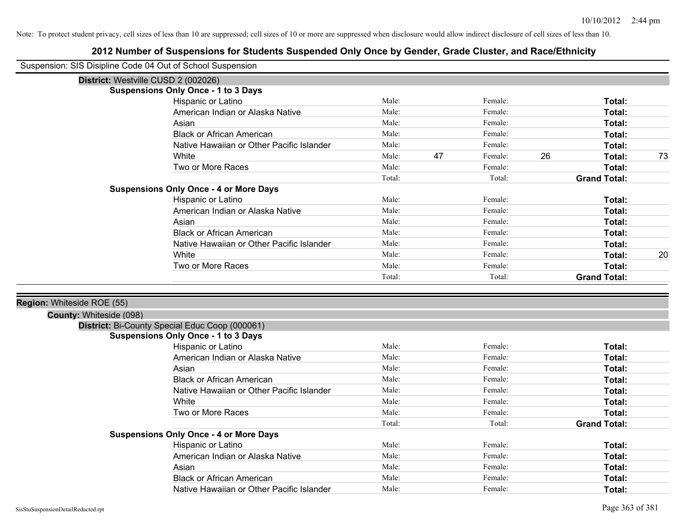| Suspension: SIS Disipline Code 04 Out of School Suspension |                                                |        |    |         |    |                     |    |
|------------------------------------------------------------|------------------------------------------------|--------|----|---------|----|---------------------|----|
|                                                            | District: Westville CUSD 2 (002026)            |        |    |         |    |                     |    |
|                                                            | <b>Suspensions Only Once - 1 to 3 Days</b>     |        |    |         |    |                     |    |
|                                                            | Hispanic or Latino                             | Male:  |    | Female: |    | Total:              |    |
|                                                            | American Indian or Alaska Native               | Male:  |    | Female: |    | Total:              |    |
|                                                            | Asian                                          | Male:  |    | Female: |    | Total:              |    |
|                                                            | <b>Black or African American</b>               | Male:  |    | Female: |    | Total:              |    |
|                                                            | Native Hawaiian or Other Pacific Islander      | Male:  |    | Female: |    | Total:              |    |
|                                                            | White                                          | Male:  | 47 | Female: | 26 | Total:              | 73 |
|                                                            | Two or More Races                              | Male:  |    | Female: |    | Total:              |    |
|                                                            |                                                | Total: |    | Total:  |    | <b>Grand Total:</b> |    |
|                                                            | <b>Suspensions Only Once - 4 or More Days</b>  |        |    |         |    |                     |    |
|                                                            | Hispanic or Latino                             | Male:  |    | Female: |    | Total:              |    |
|                                                            | American Indian or Alaska Native               | Male:  |    | Female: |    | Total:              |    |
|                                                            | Asian                                          | Male:  |    | Female: |    | Total:              |    |
|                                                            | <b>Black or African American</b>               | Male:  |    | Female: |    | Total:              |    |
|                                                            | Native Hawaiian or Other Pacific Islander      | Male:  |    | Female: |    | Total:              |    |
|                                                            | White                                          | Male:  |    | Female: |    | Total:              | 20 |
|                                                            | Two or More Races                              | Male:  |    | Female: |    | Total:              |    |
|                                                            |                                                | Total: |    | Total:  |    | <b>Grand Total:</b> |    |
|                                                            |                                                |        |    |         |    |                     |    |
| Region: Whiteside ROE (55)                                 |                                                |        |    |         |    |                     |    |
| <b>County: Whiteside (098)</b>                             |                                                |        |    |         |    |                     |    |
|                                                            | District: Bi-County Special Educ Coop (000061) |        |    |         |    |                     |    |
|                                                            | <b>Suspensions Only Once - 1 to 3 Days</b>     |        |    |         |    |                     |    |
|                                                            | Hispanic or Latino                             | Male:  |    | Female: |    | Total:              |    |
|                                                            | American Indian or Alaska Native               | Male:  |    | Female: |    | Total:              |    |
|                                                            | Asian                                          | Male:  |    | Female: |    | Total:              |    |
|                                                            | <b>Black or African American</b>               | Male:  |    | Female: |    | Total:              |    |
|                                                            | Native Hawaiian or Other Pacific Islander      | Male:  |    | Female: |    | Total:              |    |
|                                                            | White                                          | Male:  |    | Female: |    | Total:              |    |
|                                                            | Two or More Races                              | Male:  |    | Female: |    | Total:              |    |
|                                                            |                                                | Total: |    | Total:  |    | <b>Grand Total:</b> |    |
|                                                            | <b>Suspensions Only Once - 4 or More Days</b>  |        |    |         |    |                     |    |
|                                                            | Hispanic or Latino                             | Male:  |    | Female: |    | Total:              |    |
|                                                            | American Indian or Alaska Native               | Male:  |    | Female: |    | Total:              |    |
|                                                            | Asian                                          | Male:  |    | Female: |    | Total:              |    |
|                                                            | <b>Black or African American</b>               | Male:  |    | Female: |    | Total:              |    |
|                                                            | Native Hawaiian or Other Pacific Islander      | Male:  |    | Female: |    | Total:              |    |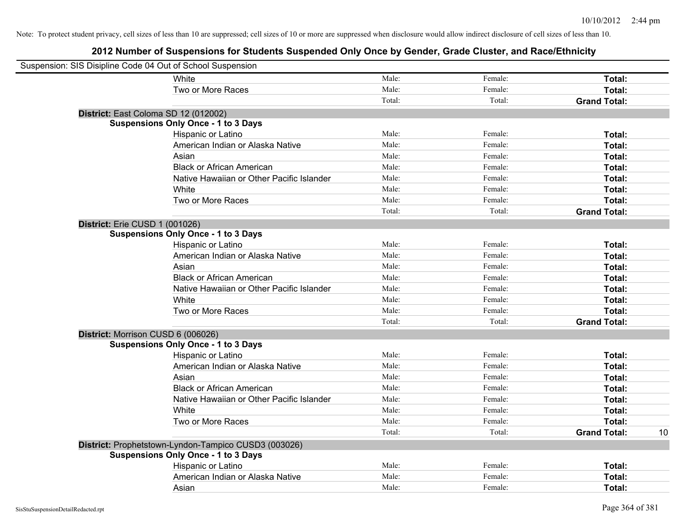| Suspension: SIS Disipline Code 04 Out of School Suspension |                                                      |                |                    |                     |    |
|------------------------------------------------------------|------------------------------------------------------|----------------|--------------------|---------------------|----|
|                                                            | White                                                | Male:          | Female:            | Total:              |    |
|                                                            | Two or More Races                                    | Male:          | Female:            | Total:              |    |
|                                                            |                                                      | Total:         | Total:             | <b>Grand Total:</b> |    |
|                                                            | District: East Coloma SD 12 (012002)                 |                |                    |                     |    |
|                                                            | <b>Suspensions Only Once - 1 to 3 Days</b>           |                |                    |                     |    |
|                                                            | Hispanic or Latino                                   | Male:          | Female:            | Total:              |    |
|                                                            | American Indian or Alaska Native                     | Male:          | Female:            | Total:              |    |
|                                                            | Asian                                                | Male:          | Female:            | Total:              |    |
|                                                            | <b>Black or African American</b>                     | Male:          | Female:            | Total:              |    |
|                                                            | Native Hawaiian or Other Pacific Islander            | Male:          | Female:            | Total:              |    |
|                                                            | White                                                | Male:          | Female:            | Total:              |    |
|                                                            | Two or More Races                                    | Male:          | Female:            | Total:              |    |
|                                                            |                                                      | Total:         | Total:             | <b>Grand Total:</b> |    |
| District: Erie CUSD 1 (001026)                             |                                                      |                |                    |                     |    |
|                                                            | <b>Suspensions Only Once - 1 to 3 Days</b>           |                |                    |                     |    |
|                                                            | Hispanic or Latino                                   | Male:          | Female:            | Total:              |    |
|                                                            | American Indian or Alaska Native                     | Male:          | Female:            | Total:              |    |
|                                                            | Asian                                                | Male:          | Female:            | Total:              |    |
|                                                            | <b>Black or African American</b>                     | Male:          | Female:            | Total:              |    |
|                                                            | Native Hawaiian or Other Pacific Islander            | Male:          | Female:            | Total:              |    |
|                                                            | White                                                | Male:          | Female:            | Total:              |    |
|                                                            | Two or More Races                                    | Male:          | Female:            | Total:              |    |
|                                                            |                                                      | Total:         | Total:             | <b>Grand Total:</b> |    |
| District: Morrison CUSD 6 (006026)                         |                                                      |                |                    |                     |    |
|                                                            | <b>Suspensions Only Once - 1 to 3 Days</b>           |                |                    |                     |    |
|                                                            | Hispanic or Latino                                   | Male:          | Female:            | Total:              |    |
|                                                            | American Indian or Alaska Native                     | Male:          | Female:            | Total:              |    |
|                                                            | Asian                                                | Male:          | Female:            | Total:              |    |
|                                                            | <b>Black or African American</b>                     | Male:          | Female:            | Total:              |    |
|                                                            | Native Hawaiian or Other Pacific Islander            | Male:          | Female:            | Total:              |    |
|                                                            | White                                                | Male:          | Female:            | Total:              |    |
|                                                            | Two or More Races                                    | Male:          | Female:            | Total:              |    |
|                                                            |                                                      | Total:         | Total:             | <b>Grand Total:</b> | 10 |
|                                                            | District: Prophetstown-Lyndon-Tampico CUSD3 (003026) |                |                    |                     |    |
|                                                            | <b>Suspensions Only Once - 1 to 3 Days</b>           |                |                    |                     |    |
|                                                            | Hispanic or Latino                                   | Male:<br>Male: | Female:<br>Female: | Total:              |    |
|                                                            | American Indian or Alaska Native                     |                |                    | Total:              |    |
|                                                            | Asian                                                | Male:          | Female:            | Total:              |    |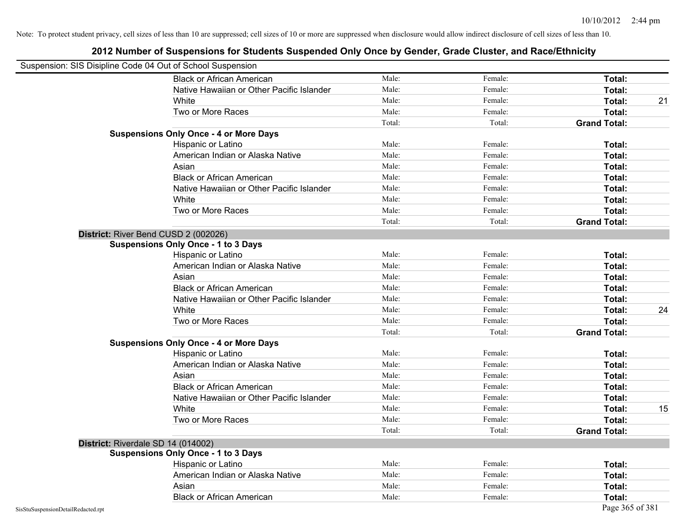| Suspension: SIS Disipline Code 04 Out of School Suspension |                                               |        |         |                     |    |
|------------------------------------------------------------|-----------------------------------------------|--------|---------|---------------------|----|
|                                                            | <b>Black or African American</b>              | Male:  | Female: | Total:              |    |
|                                                            | Native Hawaiian or Other Pacific Islander     | Male:  | Female: | Total:              |    |
|                                                            | White                                         | Male:  | Female: | Total:              | 21 |
|                                                            | Two or More Races                             | Male:  | Female: | Total:              |    |
|                                                            |                                               | Total: | Total:  | <b>Grand Total:</b> |    |
|                                                            | <b>Suspensions Only Once - 4 or More Days</b> |        |         |                     |    |
|                                                            | Hispanic or Latino                            | Male:  | Female: | Total:              |    |
|                                                            | American Indian or Alaska Native              | Male:  | Female: | Total:              |    |
|                                                            | Asian                                         | Male:  | Female: | Total:              |    |
|                                                            | <b>Black or African American</b>              | Male:  | Female: | Total:              |    |
|                                                            | Native Hawaiian or Other Pacific Islander     | Male:  | Female: | Total:              |    |
|                                                            | White                                         | Male:  | Female: | Total:              |    |
|                                                            | Two or More Races                             | Male:  | Female: | Total:              |    |
|                                                            |                                               | Total: | Total:  | <b>Grand Total:</b> |    |
|                                                            | District: River Bend CUSD 2 (002026)          |        |         |                     |    |
|                                                            | <b>Suspensions Only Once - 1 to 3 Days</b>    |        |         |                     |    |
|                                                            | Hispanic or Latino                            | Male:  | Female: | Total:              |    |
|                                                            | American Indian or Alaska Native              | Male:  | Female: | Total:              |    |
|                                                            | Asian                                         | Male:  | Female: | Total:              |    |
|                                                            | <b>Black or African American</b>              | Male:  | Female: | Total:              |    |
|                                                            | Native Hawaiian or Other Pacific Islander     | Male:  | Female: | Total:              |    |
|                                                            | White                                         | Male:  | Female: | Total:              | 24 |
|                                                            | Two or More Races                             | Male:  | Female: | Total:              |    |
|                                                            |                                               | Total: | Total:  | <b>Grand Total:</b> |    |
|                                                            | <b>Suspensions Only Once - 4 or More Days</b> |        |         |                     |    |
|                                                            | Hispanic or Latino                            | Male:  | Female: | Total:              |    |
|                                                            | American Indian or Alaska Native              | Male:  | Female: | Total:              |    |
|                                                            | Asian                                         | Male:  | Female: | Total:              |    |
|                                                            | <b>Black or African American</b>              | Male:  | Female: | Total:              |    |
|                                                            | Native Hawaiian or Other Pacific Islander     | Male:  | Female: | Total:              |    |
|                                                            | White                                         | Male:  | Female: | Total:              | 15 |
|                                                            | Two or More Races                             | Male:  | Female: | Total:              |    |
|                                                            |                                               | Total: | Total:  | <b>Grand Total:</b> |    |
|                                                            | District: Riverdale SD 14 (014002)            |        |         |                     |    |
|                                                            | <b>Suspensions Only Once - 1 to 3 Days</b>    |        |         |                     |    |
|                                                            | Hispanic or Latino                            | Male:  | Female: | Total:              |    |
|                                                            | American Indian or Alaska Native              | Male:  | Female: | Total:              |    |
|                                                            | Asian                                         | Male:  | Female: | Total:              |    |
|                                                            | <b>Black or African American</b>              | Male:  | Female: | Total:              |    |
| SisStuSuspensionDetailRedacted.rpt                         |                                               |        |         | Page 365 of 381     |    |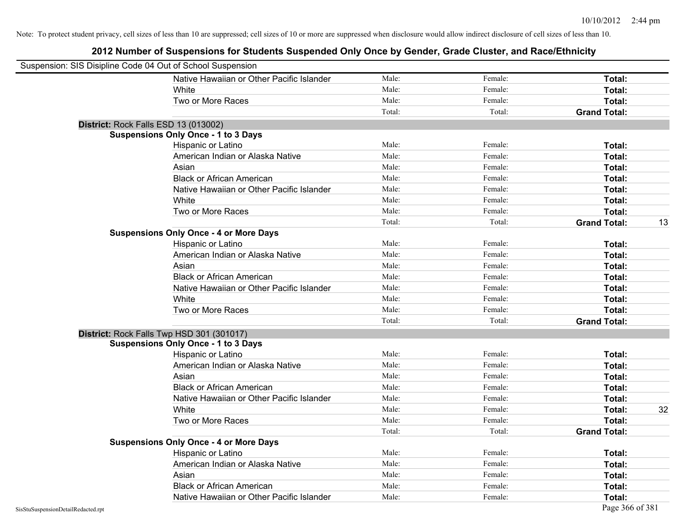| Suspension: SIS Disipline Code 04 Out of School Suspension |                                               |        |         |                     |    |
|------------------------------------------------------------|-----------------------------------------------|--------|---------|---------------------|----|
|                                                            | Native Hawaiian or Other Pacific Islander     | Male:  | Female: | Total:              |    |
|                                                            | White                                         | Male:  | Female: | Total:              |    |
|                                                            | Two or More Races                             | Male:  | Female: | Total:              |    |
|                                                            |                                               | Total: | Total:  | <b>Grand Total:</b> |    |
|                                                            | District: Rock Falls ESD 13 (013002)          |        |         |                     |    |
|                                                            | <b>Suspensions Only Once - 1 to 3 Days</b>    |        |         |                     |    |
|                                                            | Hispanic or Latino                            | Male:  | Female: | <b>Total:</b>       |    |
|                                                            | American Indian or Alaska Native              | Male:  | Female: | <b>Total:</b>       |    |
|                                                            | Asian                                         | Male:  | Female: | Total:              |    |
|                                                            | <b>Black or African American</b>              | Male:  | Female: | Total:              |    |
|                                                            | Native Hawaiian or Other Pacific Islander     | Male:  | Female: | <b>Total:</b>       |    |
|                                                            | White                                         | Male:  | Female: | <b>Total:</b>       |    |
|                                                            | Two or More Races                             | Male:  | Female: | <b>Total:</b>       |    |
|                                                            |                                               | Total: | Total:  | <b>Grand Total:</b> | 13 |
|                                                            | <b>Suspensions Only Once - 4 or More Days</b> |        |         |                     |    |
|                                                            | Hispanic or Latino                            | Male:  | Female: | Total:              |    |
|                                                            | American Indian or Alaska Native              | Male:  | Female: | <b>Total:</b>       |    |
|                                                            | Asian                                         | Male:  | Female: | Total:              |    |
|                                                            | <b>Black or African American</b>              | Male:  | Female: | Total:              |    |
|                                                            | Native Hawaiian or Other Pacific Islander     | Male:  | Female: | Total:              |    |
|                                                            | White                                         | Male:  | Female: | Total:              |    |
|                                                            | Two or More Races                             | Male:  | Female: | Total:              |    |
|                                                            |                                               | Total: | Total:  | <b>Grand Total:</b> |    |
|                                                            | District: Rock Falls Twp HSD 301 (301017)     |        |         |                     |    |
|                                                            | <b>Suspensions Only Once - 1 to 3 Days</b>    |        |         |                     |    |
|                                                            | Hispanic or Latino                            | Male:  | Female: | Total:              |    |
|                                                            | American Indian or Alaska Native              | Male:  | Female: | <b>Total:</b>       |    |
|                                                            | Asian                                         | Male:  | Female: | Total:              |    |
|                                                            | <b>Black or African American</b>              | Male:  | Female: | Total:              |    |
|                                                            | Native Hawaiian or Other Pacific Islander     | Male:  | Female: | <b>Total:</b>       |    |
|                                                            | White                                         | Male:  | Female: | Total:              | 32 |
|                                                            | Two or More Races                             | Male:  | Female: | Total:              |    |
|                                                            |                                               | Total: | Total:  | <b>Grand Total:</b> |    |
|                                                            | <b>Suspensions Only Once - 4 or More Days</b> |        |         |                     |    |
|                                                            | Hispanic or Latino                            | Male:  | Female: | Total:              |    |
|                                                            | American Indian or Alaska Native              | Male:  | Female: | Total:              |    |
|                                                            | Asian                                         | Male:  | Female: | Total:              |    |
|                                                            | <b>Black or African American</b>              | Male:  | Female: | Total:              |    |
|                                                            | Native Hawaiian or Other Pacific Islander     | Male:  | Female: | <b>Total:</b>       |    |
| SisStuSuspensionDetailRedacted.rpt                         |                                               |        |         | Page 366 of 381     |    |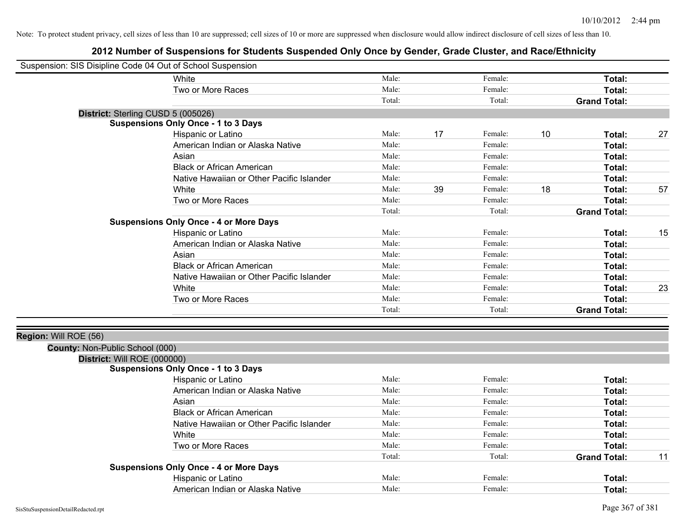| Suspension: SIS Disipline Code 04 Out of School Suspension |                                               |        |    |         |    |                     |    |
|------------------------------------------------------------|-----------------------------------------------|--------|----|---------|----|---------------------|----|
|                                                            | White                                         | Male:  |    | Female: |    | Total:              |    |
|                                                            | Two or More Races                             | Male:  |    | Female: |    | Total:              |    |
|                                                            |                                               | Total: |    | Total:  |    | <b>Grand Total:</b> |    |
| District: Sterling CUSD 5 (005026)                         |                                               |        |    |         |    |                     |    |
|                                                            | <b>Suspensions Only Once - 1 to 3 Days</b>    |        |    |         |    |                     |    |
|                                                            | Hispanic or Latino                            | Male:  | 17 | Female: | 10 | Total:              | 27 |
|                                                            | American Indian or Alaska Native              | Male:  |    | Female: |    | Total:              |    |
|                                                            | Asian                                         | Male:  |    | Female: |    | Total:              |    |
|                                                            | <b>Black or African American</b>              | Male:  |    | Female: |    | Total:              |    |
|                                                            | Native Hawaiian or Other Pacific Islander     | Male:  |    | Female: |    | Total:              |    |
|                                                            | White                                         | Male:  | 39 | Female: | 18 | Total:              | 57 |
|                                                            | Two or More Races                             | Male:  |    | Female: |    | Total:              |    |
|                                                            |                                               | Total: |    | Total:  |    | <b>Grand Total:</b> |    |
|                                                            | <b>Suspensions Only Once - 4 or More Days</b> |        |    |         |    |                     |    |
|                                                            | Hispanic or Latino                            | Male:  |    | Female: |    | Total:              | 15 |
|                                                            | American Indian or Alaska Native              | Male:  |    | Female: |    | Total:              |    |
|                                                            | Asian                                         | Male:  |    | Female: |    | Total:              |    |
|                                                            | <b>Black or African American</b>              | Male:  |    | Female: |    | Total:              |    |
|                                                            | Native Hawaiian or Other Pacific Islander     | Male:  |    | Female: |    | Total:              |    |
|                                                            | White                                         | Male:  |    | Female: |    | Total:              | 23 |
|                                                            | Two or More Races                             | Male:  |    | Female: |    | Total:              |    |
|                                                            |                                               | Total: |    | Total:  |    | <b>Grand Total:</b> |    |
|                                                            |                                               |        |    |         |    |                     |    |
| Region: Will ROE (56)                                      |                                               |        |    |         |    |                     |    |
| County: Non-Public School (000)                            |                                               |        |    |         |    |                     |    |
| District: Will ROE (000000)                                |                                               |        |    |         |    |                     |    |
|                                                            | <b>Suspensions Only Once - 1 to 3 Days</b>    |        |    |         |    |                     |    |
|                                                            | Hispanic or Latino                            | Male:  |    | Female: |    | Total:              |    |
|                                                            | American Indian or Alaska Native              | Male:  |    | Female: |    | Total:              |    |
|                                                            | Asian                                         | Male:  |    | Female: |    | Total:              |    |
|                                                            | <b>Black or African American</b>              | Male:  |    | Female: |    | Total:              |    |
|                                                            | Native Hawaiian or Other Pacific Islander     | Male:  |    | Female: |    | Total:              |    |
|                                                            | White                                         | Male:  |    | Female: |    | Total:              |    |
|                                                            | Two or More Races                             | Male:  |    | Female: |    | Total:              |    |
|                                                            |                                               | Total: |    | Total:  |    | <b>Grand Total:</b> | 11 |
|                                                            | <b>Suspensions Only Once - 4 or More Days</b> |        |    |         |    |                     |    |
|                                                            | Hispanic or Latino                            | Male:  |    | Female: |    | Total:              |    |
|                                                            | American Indian or Alaska Native              | Male:  |    | Female: |    | Total:              |    |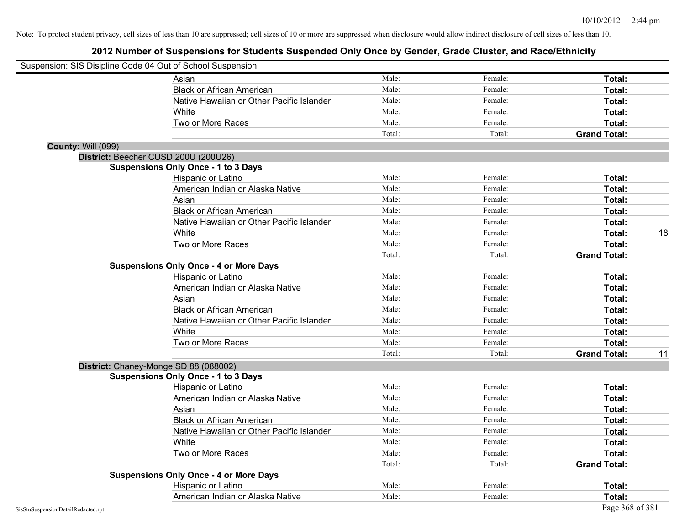|                    | Suspension: SIS Disipline Code 04 Out of School Suspension |        |         |                     |    |
|--------------------|------------------------------------------------------------|--------|---------|---------------------|----|
|                    | Asian                                                      | Male:  | Female: | Total:              |    |
|                    | <b>Black or African American</b>                           | Male:  | Female: | Total:              |    |
|                    | Native Hawaiian or Other Pacific Islander                  | Male:  | Female: | Total:              |    |
|                    | White                                                      | Male:  | Female: | Total:              |    |
|                    | Two or More Races                                          | Male:  | Female: | Total:              |    |
|                    |                                                            | Total: | Total:  | <b>Grand Total:</b> |    |
| County: Will (099) |                                                            |        |         |                     |    |
|                    | District: Beecher CUSD 200U (200U26)                       |        |         |                     |    |
|                    | <b>Suspensions Only Once - 1 to 3 Days</b>                 |        |         |                     |    |
|                    | Hispanic or Latino                                         | Male:  | Female: | Total:              |    |
|                    | American Indian or Alaska Native                           | Male:  | Female: | Total:              |    |
|                    | Asian                                                      | Male:  | Female: | Total:              |    |
|                    | <b>Black or African American</b>                           | Male:  | Female: | Total:              |    |
|                    | Native Hawaiian or Other Pacific Islander                  | Male:  | Female: | Total:              |    |
|                    | White                                                      | Male:  | Female: | Total:              | 18 |
|                    | Two or More Races                                          | Male:  | Female: | Total:              |    |
|                    |                                                            | Total: | Total:  | <b>Grand Total:</b> |    |
|                    | <b>Suspensions Only Once - 4 or More Days</b>              |        |         |                     |    |
|                    | Hispanic or Latino                                         | Male:  | Female: | Total:              |    |
|                    | American Indian or Alaska Native                           | Male:  | Female: | Total:              |    |
|                    | Asian                                                      | Male:  | Female: | Total:              |    |
|                    | <b>Black or African American</b>                           | Male:  | Female: | Total:              |    |
|                    | Native Hawaiian or Other Pacific Islander                  | Male:  | Female: | Total:              |    |
|                    | White                                                      | Male:  | Female: | Total:              |    |
|                    | Two or More Races                                          | Male:  | Female: | Total:              |    |
|                    |                                                            | Total: | Total:  | <b>Grand Total:</b> | 11 |
|                    | District: Chaney-Monge SD 88 (088002)                      |        |         |                     |    |
|                    | <b>Suspensions Only Once - 1 to 3 Days</b>                 |        |         |                     |    |
|                    | Hispanic or Latino                                         | Male:  | Female: | Total:              |    |
|                    | American Indian or Alaska Native                           | Male:  | Female: | Total:              |    |
|                    | Asian                                                      | Male:  | Female: | Total:              |    |
|                    | <b>Black or African American</b>                           | Male:  | Female: | Total:              |    |
|                    | Native Hawaiian or Other Pacific Islander                  | Male:  | Female: | Total:              |    |
|                    | White                                                      | Male:  | Female: | Total:              |    |
|                    | Two or More Races                                          | Male:  | Female: | Total:              |    |
|                    |                                                            | Total: | Total:  | <b>Grand Total:</b> |    |
|                    | <b>Suspensions Only Once - 4 or More Days</b>              |        |         |                     |    |
|                    | Hispanic or Latino                                         | Male:  | Female: | Total:              |    |
|                    | American Indian or Alaska Native                           | Male:  | Female: | Total:              |    |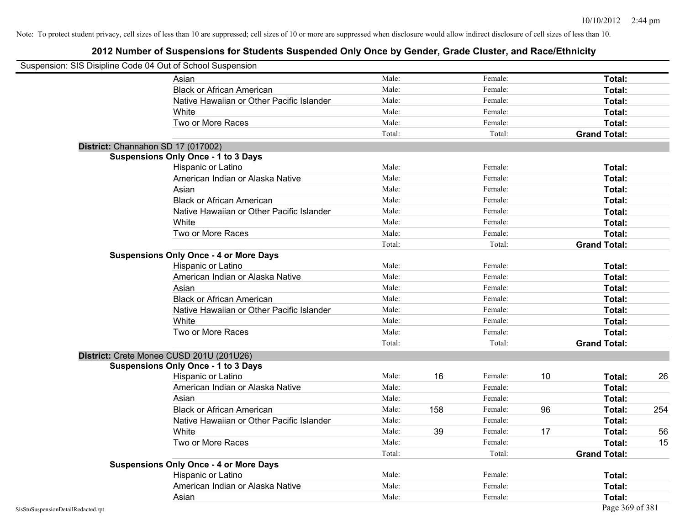|                                    | Suspension: SIS Disipline Code 04 Out of School Suspension |        |     |         |    |                     |     |
|------------------------------------|------------------------------------------------------------|--------|-----|---------|----|---------------------|-----|
|                                    | Asian                                                      | Male:  |     | Female: |    | Total:              |     |
|                                    | <b>Black or African American</b>                           | Male:  |     | Female: |    | Total:              |     |
|                                    | Native Hawaiian or Other Pacific Islander                  | Male:  |     | Female: |    | Total:              |     |
|                                    | White                                                      | Male:  |     | Female: |    | Total:              |     |
|                                    | Two or More Races                                          | Male:  |     | Female: |    | Total:              |     |
|                                    |                                                            | Total: |     | Total:  |    | <b>Grand Total:</b> |     |
|                                    | District: Channahon SD 17 (017002)                         |        |     |         |    |                     |     |
|                                    | <b>Suspensions Only Once - 1 to 3 Days</b>                 |        |     |         |    |                     |     |
|                                    | Hispanic or Latino                                         | Male:  |     | Female: |    | Total:              |     |
|                                    | American Indian or Alaska Native                           | Male:  |     | Female: |    | Total:              |     |
|                                    | Asian                                                      | Male:  |     | Female: |    | Total:              |     |
|                                    | <b>Black or African American</b>                           | Male:  |     | Female: |    | Total:              |     |
|                                    | Native Hawaiian or Other Pacific Islander                  | Male:  |     | Female: |    | Total:              |     |
|                                    | White                                                      | Male:  |     | Female: |    | Total:              |     |
|                                    | Two or More Races                                          | Male:  |     | Female: |    | Total:              |     |
|                                    |                                                            | Total: |     | Total:  |    | <b>Grand Total:</b> |     |
|                                    | <b>Suspensions Only Once - 4 or More Days</b>              |        |     |         |    |                     |     |
|                                    | Hispanic or Latino                                         | Male:  |     | Female: |    | Total:              |     |
|                                    | American Indian or Alaska Native                           | Male:  |     | Female: |    | Total:              |     |
|                                    | Asian                                                      | Male:  |     | Female: |    | Total:              |     |
|                                    | <b>Black or African American</b>                           | Male:  |     | Female: |    | Total:              |     |
|                                    | Native Hawaiian or Other Pacific Islander                  | Male:  |     | Female: |    | Total:              |     |
|                                    | White                                                      | Male:  |     | Female: |    | Total:              |     |
|                                    | Two or More Races                                          | Male:  |     | Female: |    | Total:              |     |
|                                    |                                                            | Total: |     | Total:  |    | <b>Grand Total:</b> |     |
|                                    | District: Crete Monee CUSD 201U (201U26)                   |        |     |         |    |                     |     |
|                                    | <b>Suspensions Only Once - 1 to 3 Days</b>                 |        |     |         |    |                     |     |
|                                    | Hispanic or Latino                                         | Male:  | 16  | Female: | 10 | Total:              | 26  |
|                                    | American Indian or Alaska Native                           | Male:  |     | Female: |    | Total:              |     |
|                                    | Asian                                                      | Male:  |     | Female: |    | Total:              |     |
|                                    | <b>Black or African American</b>                           | Male:  | 158 | Female: | 96 | Total:              | 254 |
|                                    | Native Hawaiian or Other Pacific Islander                  | Male:  |     | Female: |    | Total:              |     |
|                                    | White                                                      | Male:  | 39  | Female: | 17 | Total:              | 56  |
|                                    | Two or More Races                                          | Male:  |     | Female: |    | Total:              | 15  |
|                                    |                                                            | Total: |     | Total:  |    | <b>Grand Total:</b> |     |
|                                    | <b>Suspensions Only Once - 4 or More Days</b>              |        |     |         |    |                     |     |
|                                    | Hispanic or Latino                                         | Male:  |     | Female: |    | Total:              |     |
|                                    | American Indian or Alaska Native                           | Male:  |     | Female: |    | Total:              |     |
|                                    | Asian                                                      | Male:  |     | Female: |    | Total:              |     |
| SisStuSuspensionDetailRedacted.rpt |                                                            |        |     |         |    | Page 369 of 381     |     |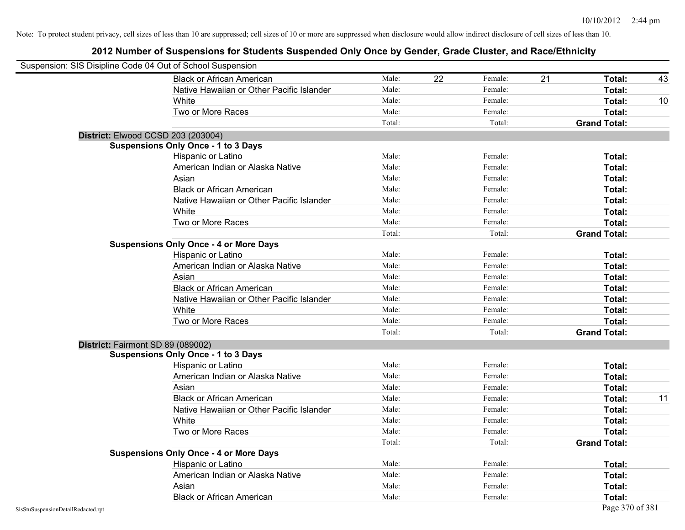|                                    | Suspension: SIS Disipline Code 04 Out of School Suspension |        |    |         |    |                     |    |
|------------------------------------|------------------------------------------------------------|--------|----|---------|----|---------------------|----|
|                                    | <b>Black or African American</b>                           | Male:  | 22 | Female: | 21 | <b>Total:</b>       | 43 |
|                                    | Native Hawaiian or Other Pacific Islander                  | Male:  |    | Female: |    | Total:              |    |
|                                    | White                                                      | Male:  |    | Female: |    | Total:              | 10 |
|                                    | Two or More Races                                          | Male:  |    | Female: |    | Total:              |    |
|                                    |                                                            | Total: |    | Total:  |    | <b>Grand Total:</b> |    |
|                                    | District: Elwood CCSD 203 (203004)                         |        |    |         |    |                     |    |
|                                    | <b>Suspensions Only Once - 1 to 3 Days</b>                 |        |    |         |    |                     |    |
|                                    | Hispanic or Latino                                         | Male:  |    | Female: |    | Total:              |    |
|                                    | American Indian or Alaska Native                           | Male:  |    | Female: |    | Total:              |    |
|                                    | Asian                                                      | Male:  |    | Female: |    | Total:              |    |
|                                    | <b>Black or African American</b>                           | Male:  |    | Female: |    | Total:              |    |
|                                    | Native Hawaiian or Other Pacific Islander                  | Male:  |    | Female: |    | Total:              |    |
|                                    | White                                                      | Male:  |    | Female: |    | Total:              |    |
|                                    | Two or More Races                                          | Male:  |    | Female: |    | Total:              |    |
|                                    |                                                            | Total: |    | Total:  |    | <b>Grand Total:</b> |    |
|                                    | <b>Suspensions Only Once - 4 or More Days</b>              |        |    |         |    |                     |    |
|                                    | Hispanic or Latino                                         | Male:  |    | Female: |    | Total:              |    |
|                                    | American Indian or Alaska Native                           | Male:  |    | Female: |    | Total:              |    |
|                                    | Asian                                                      | Male:  |    | Female: |    | Total:              |    |
|                                    | <b>Black or African American</b>                           | Male:  |    | Female: |    | Total:              |    |
|                                    | Native Hawaiian or Other Pacific Islander                  | Male:  |    | Female: |    | Total:              |    |
|                                    | White                                                      | Male:  |    | Female: |    | Total:              |    |
|                                    | Two or More Races                                          | Male:  |    | Female: |    | Total:              |    |
|                                    |                                                            | Total: |    | Total:  |    | <b>Grand Total:</b> |    |
|                                    | District: Fairmont SD 89 (089002)                          |        |    |         |    |                     |    |
|                                    | <b>Suspensions Only Once - 1 to 3 Days</b>                 |        |    |         |    |                     |    |
|                                    | Hispanic or Latino                                         | Male:  |    | Female: |    | Total:              |    |
|                                    | American Indian or Alaska Native                           | Male:  |    | Female: |    | Total:              |    |
|                                    | Asian                                                      | Male:  |    | Female: |    | Total:              |    |
|                                    | <b>Black or African American</b>                           | Male:  |    | Female: |    | Total:              | 11 |
|                                    | Native Hawaiian or Other Pacific Islander                  | Male:  |    | Female: |    | Total:              |    |
|                                    | White                                                      | Male:  |    | Female: |    | Total:              |    |
|                                    | Two or More Races                                          | Male:  |    | Female: |    | Total:              |    |
|                                    |                                                            | Total: |    | Total:  |    | <b>Grand Total:</b> |    |
|                                    | <b>Suspensions Only Once - 4 or More Days</b>              |        |    |         |    |                     |    |
|                                    | Hispanic or Latino                                         | Male:  |    | Female: |    | Total:              |    |
|                                    | American Indian or Alaska Native                           | Male:  |    | Female: |    | Total:              |    |
|                                    | Asian                                                      | Male:  |    | Female: |    | Total:              |    |
|                                    | <b>Black or African American</b>                           | Male:  |    | Female: |    | Total:              |    |
| SisStuSuspensionDetailRedacted.rpt |                                                            |        |    |         |    | Page 370 of 381     |    |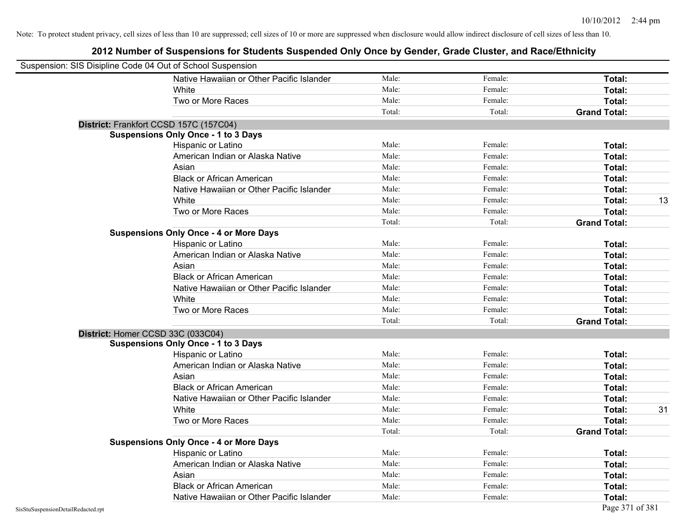| Suspension: SIS Disipline Code 04 Out of School Suspension |                                               |        |         |                     |
|------------------------------------------------------------|-----------------------------------------------|--------|---------|---------------------|
|                                                            | Native Hawaiian or Other Pacific Islander     | Male:  | Female: | Total:              |
|                                                            | White                                         | Male:  | Female: | Total:              |
|                                                            | Two or More Races                             | Male:  | Female: | Total:              |
|                                                            |                                               | Total: | Total:  | <b>Grand Total:</b> |
| District: Frankfort CCSD 157C (157C04)                     |                                               |        |         |                     |
|                                                            | <b>Suspensions Only Once - 1 to 3 Days</b>    |        |         |                     |
|                                                            | Hispanic or Latino                            | Male:  | Female: | Total:              |
|                                                            | American Indian or Alaska Native              | Male:  | Female: | Total:              |
|                                                            | Asian                                         | Male:  | Female: | Total:              |
|                                                            | <b>Black or African American</b>              | Male:  | Female: | Total:              |
|                                                            | Native Hawaiian or Other Pacific Islander     | Male:  | Female: | Total:              |
|                                                            | White                                         | Male:  | Female: | 13<br>Total:        |
|                                                            | Two or More Races                             | Male:  | Female: | Total:              |
|                                                            |                                               | Total: | Total:  | <b>Grand Total:</b> |
|                                                            | <b>Suspensions Only Once - 4 or More Days</b> |        |         |                     |
|                                                            | Hispanic or Latino                            | Male:  | Female: | Total:              |
|                                                            | American Indian or Alaska Native              | Male:  | Female: | Total:              |
|                                                            | Asian                                         | Male:  | Female: | Total:              |
|                                                            | <b>Black or African American</b>              | Male:  | Female: | Total:              |
|                                                            | Native Hawaiian or Other Pacific Islander     | Male:  | Female: | Total:              |
|                                                            | White                                         | Male:  | Female: | Total:              |
|                                                            | Two or More Races                             | Male:  | Female: | Total:              |
|                                                            |                                               | Total: | Total:  | <b>Grand Total:</b> |
| District: Homer CCSD 33C (033C04)                          |                                               |        |         |                     |
|                                                            | <b>Suspensions Only Once - 1 to 3 Days</b>    |        |         |                     |
|                                                            | Hispanic or Latino                            | Male:  | Female: | Total:              |
|                                                            | American Indian or Alaska Native              | Male:  | Female: | Total:              |
|                                                            | Asian                                         | Male:  | Female: | Total:              |
|                                                            | <b>Black or African American</b>              | Male:  | Female: | Total:              |
|                                                            | Native Hawaiian or Other Pacific Islander     | Male:  | Female: | Total:              |
|                                                            | <b>White</b>                                  | Male:  | Female: | Total:<br>31        |
|                                                            | Two or More Races                             | Male:  | Female: | Total:              |
|                                                            |                                               | Total: | Total:  | <b>Grand Total:</b> |
|                                                            | <b>Suspensions Only Once - 4 or More Days</b> |        |         |                     |
|                                                            | Hispanic or Latino                            | Male:  | Female: | Total:              |
|                                                            | American Indian or Alaska Native              | Male:  | Female: | Total:              |
|                                                            | Asian                                         | Male:  | Female: | Total:              |
|                                                            | <b>Black or African American</b>              | Male:  | Female: | Total:              |
|                                                            | Native Hawaiian or Other Pacific Islander     | Male:  | Female: | Total:              |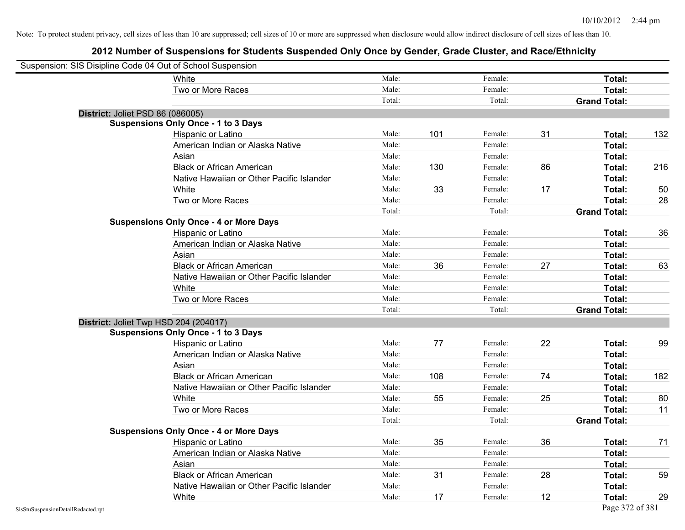| Suspension: SIS Disipline Code 04 Out of School Suspension |                                               |        |     |         |    |                     |     |
|------------------------------------------------------------|-----------------------------------------------|--------|-----|---------|----|---------------------|-----|
|                                                            | White                                         | Male:  |     | Female: |    | Total:              |     |
|                                                            | Two or More Races                             | Male:  |     | Female: |    | Total:              |     |
|                                                            |                                               | Total: |     | Total:  |    | <b>Grand Total:</b> |     |
| District: Joliet PSD 86 (086005)                           |                                               |        |     |         |    |                     |     |
|                                                            | <b>Suspensions Only Once - 1 to 3 Days</b>    |        |     |         |    |                     |     |
|                                                            | Hispanic or Latino                            | Male:  | 101 | Female: | 31 | Total:              | 132 |
|                                                            | American Indian or Alaska Native              | Male:  |     | Female: |    | Total:              |     |
|                                                            | Asian                                         | Male:  |     | Female: |    | Total:              |     |
|                                                            | <b>Black or African American</b>              | Male:  | 130 | Female: | 86 | Total:              | 216 |
|                                                            | Native Hawaiian or Other Pacific Islander     | Male:  |     | Female: |    | Total:              |     |
|                                                            | White                                         | Male:  | 33  | Female: | 17 | Total:              | 50  |
|                                                            | Two or More Races                             | Male:  |     | Female: |    | Total:              | 28  |
|                                                            |                                               | Total: |     | Total:  |    | <b>Grand Total:</b> |     |
|                                                            | <b>Suspensions Only Once - 4 or More Days</b> |        |     |         |    |                     |     |
|                                                            | Hispanic or Latino                            | Male:  |     | Female: |    | Total:              | 36  |
|                                                            | American Indian or Alaska Native              | Male:  |     | Female: |    | Total:              |     |
|                                                            | Asian                                         | Male:  |     | Female: |    | Total:              |     |
|                                                            | <b>Black or African American</b>              | Male:  | 36  | Female: | 27 | Total:              | 63  |
|                                                            | Native Hawaiian or Other Pacific Islander     | Male:  |     | Female: |    | Total:              |     |
|                                                            | White                                         | Male:  |     | Female: |    | Total:              |     |
|                                                            | Two or More Races                             | Male:  |     | Female: |    | Total:              |     |
|                                                            |                                               | Total: |     | Total:  |    | <b>Grand Total:</b> |     |
|                                                            | District: Joliet Twp HSD 204 (204017)         |        |     |         |    |                     |     |
|                                                            | <b>Suspensions Only Once - 1 to 3 Days</b>    |        |     |         |    |                     |     |
|                                                            | Hispanic or Latino                            | Male:  | 77  | Female: | 22 | Total:              | 99  |
|                                                            | American Indian or Alaska Native              | Male:  |     | Female: |    | Total:              |     |
|                                                            | Asian                                         | Male:  |     | Female: |    | Total:              |     |
|                                                            | <b>Black or African American</b>              | Male:  | 108 | Female: | 74 | Total:              | 182 |
|                                                            | Native Hawaiian or Other Pacific Islander     | Male:  |     | Female: |    | Total:              |     |
|                                                            | White                                         | Male:  | 55  | Female: | 25 | Total:              | 80  |
|                                                            | Two or More Races                             | Male:  |     | Female: |    | Total:              | 11  |
|                                                            |                                               | Total: |     | Total:  |    | <b>Grand Total:</b> |     |
|                                                            | <b>Suspensions Only Once - 4 or More Days</b> |        |     |         |    |                     |     |
|                                                            | Hispanic or Latino                            | Male:  | 35  | Female: | 36 | Total:              | 71  |
|                                                            | American Indian or Alaska Native              | Male:  |     | Female: |    | Total:              |     |
|                                                            | Asian                                         | Male:  |     | Female: |    | Total:              |     |
|                                                            | <b>Black or African American</b>              | Male:  | 31  | Female: | 28 | Total:              | 59  |
|                                                            | Native Hawaiian or Other Pacific Islander     | Male:  |     | Female: |    | Total:              |     |
|                                                            | White                                         | Male:  | 17  | Female: | 12 | Total:              | 29  |
| SisStuSuspensionDetailRedacted.rpt                         |                                               |        |     |         |    | Page 372 of 381     |     |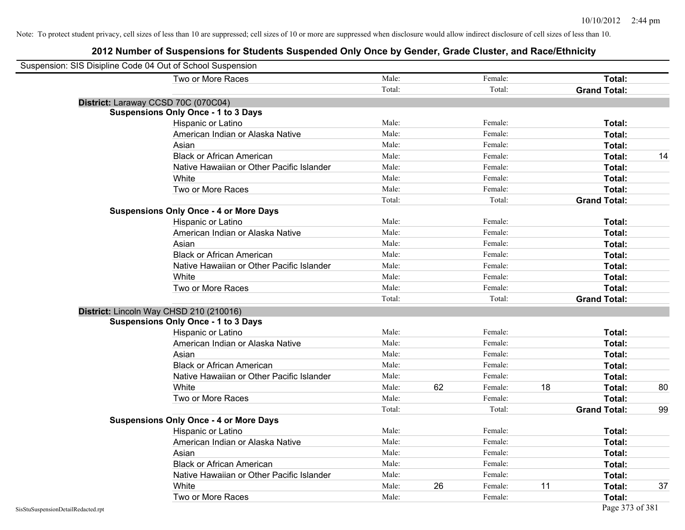| Suspension: SIS Disipline Code 04 Out of School Suspension |                                               |        |    |         |    |                     |    |
|------------------------------------------------------------|-----------------------------------------------|--------|----|---------|----|---------------------|----|
|                                                            | Two or More Races                             | Male:  |    | Female: |    | Total:              |    |
|                                                            |                                               | Total: |    | Total:  |    | <b>Grand Total:</b> |    |
|                                                            | District: Laraway CCSD 70C (070C04)           |        |    |         |    |                     |    |
|                                                            | <b>Suspensions Only Once - 1 to 3 Days</b>    |        |    |         |    |                     |    |
|                                                            | Hispanic or Latino                            | Male:  |    | Female: |    | Total:              |    |
|                                                            | American Indian or Alaska Native              | Male:  |    | Female: |    | Total:              |    |
|                                                            | Asian                                         | Male:  |    | Female: |    | Total:              |    |
|                                                            | <b>Black or African American</b>              | Male:  |    | Female: |    | Total:              | 14 |
|                                                            | Native Hawaiian or Other Pacific Islander     | Male:  |    | Female: |    | Total:              |    |
|                                                            | White                                         | Male:  |    | Female: |    | Total:              |    |
|                                                            | Two or More Races                             | Male:  |    | Female: |    | Total:              |    |
|                                                            |                                               | Total: |    | Total:  |    | <b>Grand Total:</b> |    |
|                                                            | <b>Suspensions Only Once - 4 or More Days</b> |        |    |         |    |                     |    |
|                                                            | Hispanic or Latino                            | Male:  |    | Female: |    | Total:              |    |
|                                                            | American Indian or Alaska Native              | Male:  |    | Female: |    | Total:              |    |
|                                                            | Asian                                         | Male:  |    | Female: |    | Total:              |    |
|                                                            | <b>Black or African American</b>              | Male:  |    | Female: |    | Total:              |    |
|                                                            | Native Hawaiian or Other Pacific Islander     | Male:  |    | Female: |    | Total:              |    |
|                                                            | White                                         | Male:  |    | Female: |    | Total:              |    |
|                                                            | Two or More Races                             | Male:  |    | Female: |    | Total:              |    |
|                                                            |                                               | Total: |    | Total:  |    | <b>Grand Total:</b> |    |
|                                                            | District: Lincoln Way CHSD 210 (210016)       |        |    |         |    |                     |    |
|                                                            | <b>Suspensions Only Once - 1 to 3 Days</b>    |        |    |         |    |                     |    |
|                                                            | Hispanic or Latino                            | Male:  |    | Female: |    | Total:              |    |
|                                                            | American Indian or Alaska Native              | Male:  |    | Female: |    | Total:              |    |
|                                                            | Asian                                         | Male:  |    | Female: |    | Total:              |    |
|                                                            | <b>Black or African American</b>              | Male:  |    | Female: |    | Total:              |    |
|                                                            | Native Hawaiian or Other Pacific Islander     | Male:  |    | Female: |    | Total:              |    |
|                                                            | White                                         | Male:  | 62 | Female: | 18 | Total:              | 80 |
|                                                            | Two or More Races                             | Male:  |    | Female: |    | Total:              |    |
|                                                            |                                               | Total: |    | Total:  |    | <b>Grand Total:</b> | 99 |
|                                                            | <b>Suspensions Only Once - 4 or More Days</b> |        |    |         |    |                     |    |
|                                                            | Hispanic or Latino                            | Male:  |    | Female: |    | Total:              |    |
|                                                            | American Indian or Alaska Native              | Male:  |    | Female: |    | Total:              |    |
|                                                            | Asian                                         | Male:  |    | Female: |    | Total:              |    |
|                                                            | <b>Black or African American</b>              | Male:  |    | Female: |    | Total:              |    |
|                                                            | Native Hawaiian or Other Pacific Islander     | Male:  |    | Female: |    | Total:              |    |
|                                                            | White                                         | Male:  | 26 | Female: | 11 | Total:              | 37 |
|                                                            | Two or More Races                             | Male:  |    | Female: |    | Total:              |    |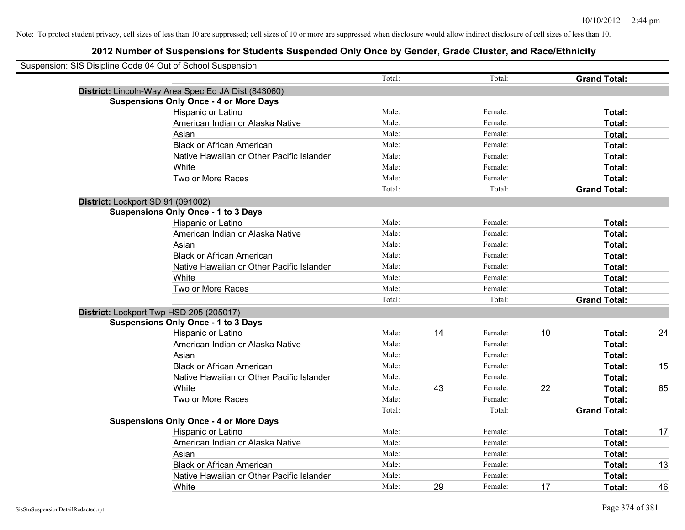| Suspension: SIS Disipline Code 04 Out of School Suspension |        |    |         |    |                     |    |
|------------------------------------------------------------|--------|----|---------|----|---------------------|----|
|                                                            | Total: |    | Total:  |    | <b>Grand Total:</b> |    |
| District: Lincoln-Way Area Spec Ed JA Dist (843060)        |        |    |         |    |                     |    |
| <b>Suspensions Only Once - 4 or More Days</b>              |        |    |         |    |                     |    |
| Hispanic or Latino                                         | Male:  |    | Female: |    | Total:              |    |
| American Indian or Alaska Native                           | Male:  |    | Female: |    | Total:              |    |
| Asian                                                      | Male:  |    | Female: |    | Total:              |    |
| <b>Black or African American</b>                           | Male:  |    | Female: |    | Total:              |    |
| Native Hawaiian or Other Pacific Islander                  | Male:  |    | Female: |    | Total:              |    |
| White                                                      | Male:  |    | Female: |    | Total:              |    |
| Two or More Races                                          | Male:  |    | Female: |    | Total:              |    |
|                                                            | Total: |    | Total:  |    | <b>Grand Total:</b> |    |
| District: Lockport SD 91 (091002)                          |        |    |         |    |                     |    |
| <b>Suspensions Only Once - 1 to 3 Days</b>                 |        |    |         |    |                     |    |
| Hispanic or Latino                                         | Male:  |    | Female: |    | Total:              |    |
| American Indian or Alaska Native                           | Male:  |    | Female: |    | Total:              |    |
| Asian                                                      | Male:  |    | Female: |    | Total:              |    |
| <b>Black or African American</b>                           | Male:  |    | Female: |    | Total:              |    |
| Native Hawaiian or Other Pacific Islander                  | Male:  |    | Female: |    | Total:              |    |
| White                                                      | Male:  |    | Female: |    | Total:              |    |
| Two or More Races                                          | Male:  |    | Female: |    | Total:              |    |
|                                                            | Total: |    | Total:  |    | <b>Grand Total:</b> |    |
| District: Lockport Twp HSD 205 (205017)                    |        |    |         |    |                     |    |
| <b>Suspensions Only Once - 1 to 3 Days</b>                 |        |    |         |    |                     |    |
| Hispanic or Latino                                         | Male:  | 14 | Female: | 10 | Total:              | 24 |
| American Indian or Alaska Native                           | Male:  |    | Female: |    | Total:              |    |
| Asian                                                      | Male:  |    | Female: |    | Total:              |    |
| <b>Black or African American</b>                           | Male:  |    | Female: |    | Total:              | 15 |
| Native Hawaiian or Other Pacific Islander                  | Male:  |    | Female: |    | Total:              |    |
| White                                                      | Male:  | 43 | Female: | 22 | Total:              | 65 |
| Two or More Races                                          | Male:  |    | Female: |    | Total:              |    |
|                                                            | Total: |    | Total:  |    | <b>Grand Total:</b> |    |
| <b>Suspensions Only Once - 4 or More Days</b>              |        |    |         |    |                     |    |
| Hispanic or Latino                                         | Male:  |    | Female: |    | Total:              | 17 |
| American Indian or Alaska Native                           | Male:  |    | Female: |    | Total:              |    |
| Asian                                                      | Male:  |    | Female: |    | Total:              |    |
| <b>Black or African American</b>                           | Male:  |    | Female: |    | Total:              | 13 |
| Native Hawaiian or Other Pacific Islander                  | Male:  |    | Female: |    | Total:              |    |
| White                                                      | Male:  | 29 | Female: | 17 | Total:              | 46 |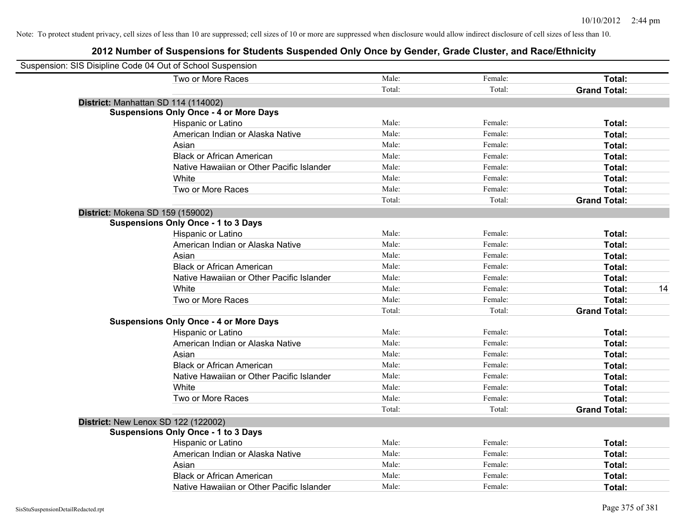| Suspension: SIS Disipline Code 04 Out of School Suspension |                                               |        |         |                     |
|------------------------------------------------------------|-----------------------------------------------|--------|---------|---------------------|
|                                                            | Two or More Races                             | Male:  | Female: | Total:              |
|                                                            |                                               | Total: | Total:  | <b>Grand Total:</b> |
|                                                            | District: Manhattan SD 114 (114002)           |        |         |                     |
|                                                            | <b>Suspensions Only Once - 4 or More Days</b> |        |         |                     |
|                                                            | Hispanic or Latino                            | Male:  | Female: | Total:              |
|                                                            | American Indian or Alaska Native              | Male:  | Female: | Total:              |
|                                                            | Asian                                         | Male:  | Female: | Total:              |
|                                                            | <b>Black or African American</b>              | Male:  | Female: | Total:              |
|                                                            | Native Hawaiian or Other Pacific Islander     | Male:  | Female: | Total:              |
|                                                            | White                                         | Male:  | Female: | Total:              |
|                                                            | Two or More Races                             | Male:  | Female: | Total:              |
|                                                            |                                               | Total: | Total:  | <b>Grand Total:</b> |
| District: Mokena SD 159 (159002)                           |                                               |        |         |                     |
|                                                            | <b>Suspensions Only Once - 1 to 3 Days</b>    |        |         |                     |
|                                                            | Hispanic or Latino                            | Male:  | Female: | Total:              |
|                                                            | American Indian or Alaska Native              | Male:  | Female: | Total:              |
|                                                            | Asian                                         | Male:  | Female: | Total:              |
|                                                            | <b>Black or African American</b>              | Male:  | Female: | Total:              |
|                                                            | Native Hawaiian or Other Pacific Islander     | Male:  | Female: | Total:              |
|                                                            | White                                         | Male:  | Female: | Total:<br>14        |
|                                                            | Two or More Races                             | Male:  | Female: | Total:              |
|                                                            |                                               | Total: | Total:  | <b>Grand Total:</b> |
|                                                            | <b>Suspensions Only Once - 4 or More Days</b> |        |         |                     |
|                                                            | Hispanic or Latino                            | Male:  | Female: | Total:              |
|                                                            | American Indian or Alaska Native              | Male:  | Female: | Total:              |
|                                                            | Asian                                         | Male:  | Female: | Total:              |
|                                                            | <b>Black or African American</b>              | Male:  | Female: | Total:              |
|                                                            | Native Hawaiian or Other Pacific Islander     | Male:  | Female: | Total:              |
|                                                            | White                                         | Male:  | Female: | Total:              |
|                                                            | Two or More Races                             | Male:  | Female: | Total:              |
|                                                            |                                               | Total: | Total:  | <b>Grand Total:</b> |
|                                                            | <b>District: New Lenox SD 122 (122002)</b>    |        |         |                     |
|                                                            | <b>Suspensions Only Once - 1 to 3 Days</b>    |        |         |                     |
|                                                            | Hispanic or Latino                            | Male:  | Female: | Total:              |
|                                                            | American Indian or Alaska Native              | Male:  | Female: | Total:              |
|                                                            | Asian                                         | Male:  | Female: | Total:              |
|                                                            | <b>Black or African American</b>              | Male:  | Female: | Total:              |
|                                                            | Native Hawaiian or Other Pacific Islander     | Male:  | Female: | Total:              |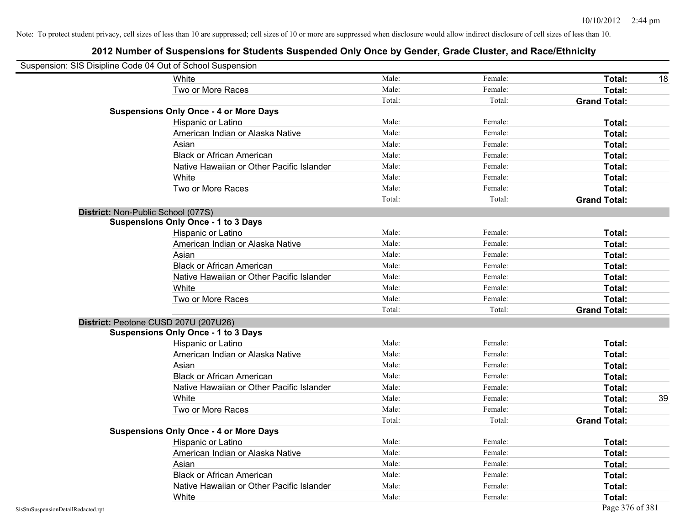|                                    | White                                         | Male:  | Female: | Total:              | 18 |
|------------------------------------|-----------------------------------------------|--------|---------|---------------------|----|
|                                    | Two or More Races                             | Male:  | Female: | Total:              |    |
|                                    |                                               | Total: | Total:  | <b>Grand Total:</b> |    |
|                                    | <b>Suspensions Only Once - 4 or More Days</b> |        |         |                     |    |
|                                    | Hispanic or Latino                            | Male:  | Female: | Total:              |    |
|                                    | American Indian or Alaska Native              | Male:  | Female: | Total:              |    |
|                                    | Asian                                         | Male:  | Female: | Total:              |    |
|                                    | <b>Black or African American</b>              | Male:  | Female: | Total:              |    |
|                                    | Native Hawaiian or Other Pacific Islander     | Male:  | Female: | Total:              |    |
|                                    | White                                         | Male:  | Female: | Total:              |    |
|                                    | Two or More Races                             | Male:  | Female: | Total:              |    |
|                                    |                                               | Total: | Total:  | <b>Grand Total:</b> |    |
|                                    | District: Non-Public School (077S)            |        |         |                     |    |
|                                    | <b>Suspensions Only Once - 1 to 3 Days</b>    |        |         |                     |    |
|                                    | Hispanic or Latino                            | Male:  | Female: | Total:              |    |
|                                    | American Indian or Alaska Native              | Male:  | Female: | Total:              |    |
|                                    | Asian                                         | Male:  | Female: | Total:              |    |
|                                    | <b>Black or African American</b>              | Male:  | Female: | Total:              |    |
|                                    | Native Hawaiian or Other Pacific Islander     | Male:  | Female: | Total:              |    |
|                                    | White                                         | Male:  | Female: | Total:              |    |
|                                    | Two or More Races                             | Male:  | Female: | Total:              |    |
|                                    |                                               | Total: | Total:  | <b>Grand Total:</b> |    |
|                                    | District: Peotone CUSD 207U (207U26)          |        |         |                     |    |
|                                    | <b>Suspensions Only Once - 1 to 3 Days</b>    |        |         |                     |    |
|                                    | Hispanic or Latino                            | Male:  | Female: | Total:              |    |
|                                    | American Indian or Alaska Native              | Male:  | Female: | Total:              |    |
|                                    | Asian                                         | Male:  | Female: | Total:              |    |
|                                    | <b>Black or African American</b>              | Male:  | Female: | Total:              |    |
|                                    | Native Hawaiian or Other Pacific Islander     | Male:  | Female: | Total:              |    |
|                                    | White                                         | Male:  | Female: | Total:              | 39 |
|                                    | Two or More Races                             | Male:  | Female: | Total:              |    |
|                                    |                                               | Total: | Total:  | <b>Grand Total:</b> |    |
|                                    | <b>Suspensions Only Once - 4 or More Days</b> |        |         |                     |    |
|                                    | Hispanic or Latino                            | Male:  | Female: | Total:              |    |
|                                    | American Indian or Alaska Native              | Male:  | Female: | Total:              |    |
|                                    | Asian                                         | Male:  | Female: | Total:              |    |
|                                    | <b>Black or African American</b>              | Male:  | Female: | Total:              |    |
|                                    | Native Hawaiian or Other Pacific Islander     | Male:  | Female: | Total:              |    |
|                                    | White                                         | Male:  | Female: | Total:              |    |
| SisStuSuspensionDetailRedacted.rpt |                                               |        |         | Page 376 of 381     |    |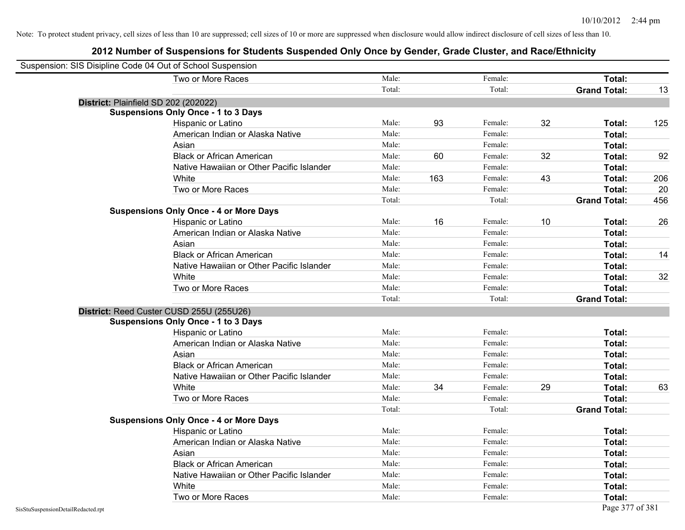| Suspension: SIS Disipline Code 04 Out of School Suspension |                                               |        |     |         |    |                     |     |
|------------------------------------------------------------|-----------------------------------------------|--------|-----|---------|----|---------------------|-----|
|                                                            | Two or More Races                             | Male:  |     | Female: |    | Total:              |     |
|                                                            |                                               | Total: |     | Total:  |    | <b>Grand Total:</b> | 13  |
| District: Plainfield SD 202 (202022)                       |                                               |        |     |         |    |                     |     |
|                                                            | <b>Suspensions Only Once - 1 to 3 Days</b>    |        |     |         |    |                     |     |
|                                                            | Hispanic or Latino                            | Male:  | 93  | Female: | 32 | Total:              | 125 |
|                                                            | American Indian or Alaska Native              | Male:  |     | Female: |    | Total:              |     |
|                                                            | Asian                                         | Male:  |     | Female: |    | Total:              |     |
|                                                            | <b>Black or African American</b>              | Male:  | 60  | Female: | 32 | Total:              | 92  |
|                                                            | Native Hawaiian or Other Pacific Islander     | Male:  |     | Female: |    | Total:              |     |
|                                                            | White                                         | Male:  | 163 | Female: | 43 | Total:              | 206 |
|                                                            | Two or More Races                             | Male:  |     | Female: |    | Total:              | 20  |
|                                                            |                                               | Total: |     | Total:  |    | <b>Grand Total:</b> | 456 |
|                                                            | <b>Suspensions Only Once - 4 or More Days</b> |        |     |         |    |                     |     |
|                                                            | Hispanic or Latino                            | Male:  | 16  | Female: | 10 | Total:              | 26  |
|                                                            | American Indian or Alaska Native              | Male:  |     | Female: |    | Total:              |     |
|                                                            | Asian                                         | Male:  |     | Female: |    | Total:              |     |
|                                                            | <b>Black or African American</b>              | Male:  |     | Female: |    | Total:              | 14  |
|                                                            | Native Hawaiian or Other Pacific Islander     | Male:  |     | Female: |    | Total:              |     |
|                                                            | White                                         | Male:  |     | Female: |    | Total:              | 32  |
|                                                            | Two or More Races                             | Male:  |     | Female: |    | Total:              |     |
|                                                            |                                               | Total: |     | Total:  |    | <b>Grand Total:</b> |     |
|                                                            | District: Reed Custer CUSD 255U (255U26)      |        |     |         |    |                     |     |
|                                                            | <b>Suspensions Only Once - 1 to 3 Days</b>    |        |     |         |    |                     |     |
|                                                            | Hispanic or Latino                            | Male:  |     | Female: |    | Total:              |     |
|                                                            | American Indian or Alaska Native              | Male:  |     | Female: |    | Total:              |     |
|                                                            | Asian                                         | Male:  |     | Female: |    | Total:              |     |
|                                                            | <b>Black or African American</b>              | Male:  |     | Female: |    | Total:              |     |
|                                                            | Native Hawaiian or Other Pacific Islander     | Male:  |     | Female: |    | Total:              |     |
|                                                            | White                                         | Male:  | 34  | Female: | 29 | Total:              | 63  |
|                                                            | Two or More Races                             | Male:  |     | Female: |    | Total:              |     |
|                                                            |                                               | Total: |     | Total:  |    | <b>Grand Total:</b> |     |
|                                                            | <b>Suspensions Only Once - 4 or More Days</b> |        |     |         |    |                     |     |
|                                                            | Hispanic or Latino                            | Male:  |     | Female: |    | Total:              |     |
|                                                            | American Indian or Alaska Native              | Male:  |     | Female: |    | Total:              |     |
|                                                            | Asian                                         | Male:  |     | Female: |    | Total:              |     |
|                                                            | <b>Black or African American</b>              | Male:  |     | Female: |    | Total:              |     |
|                                                            | Native Hawaiian or Other Pacific Islander     | Male:  |     | Female: |    | Total:              |     |
|                                                            | White                                         | Male:  |     | Female: |    | Total:              |     |
|                                                            | Two or More Races                             | Male:  |     | Female: |    | Total:              |     |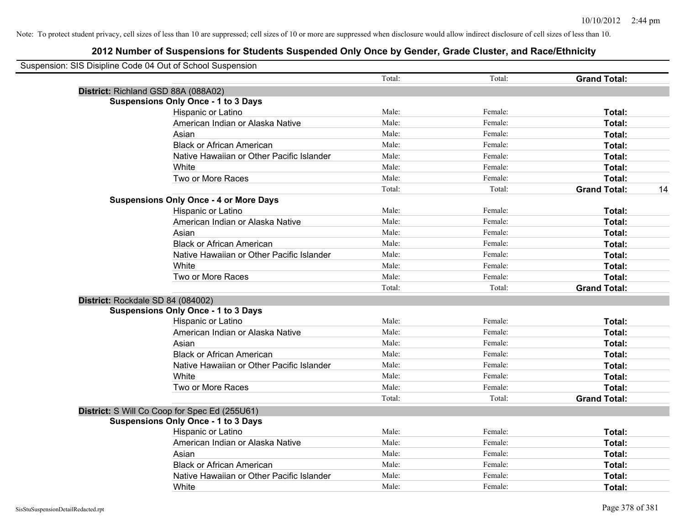| Suspension: SIS Disipline Code 04 Out of School Suspension |        |         |                     |    |
|------------------------------------------------------------|--------|---------|---------------------|----|
|                                                            | Total: | Total:  | <b>Grand Total:</b> |    |
| District: Richland GSD 88A (088A02)                        |        |         |                     |    |
| <b>Suspensions Only Once - 1 to 3 Days</b>                 |        |         |                     |    |
| Hispanic or Latino                                         | Male:  | Female: | Total:              |    |
| American Indian or Alaska Native                           | Male:  | Female: | Total:              |    |
| Asian                                                      | Male:  | Female: | Total:              |    |
| <b>Black or African American</b>                           | Male:  | Female: | Total:              |    |
| Native Hawaiian or Other Pacific Islander                  | Male:  | Female: | Total:              |    |
| White                                                      | Male:  | Female: | Total:              |    |
| Two or More Races                                          | Male:  | Female: | Total:              |    |
|                                                            | Total: | Total:  | <b>Grand Total:</b> | 14 |
| <b>Suspensions Only Once - 4 or More Days</b>              |        |         |                     |    |
| Hispanic or Latino                                         | Male:  | Female: | Total:              |    |
| American Indian or Alaska Native                           | Male:  | Female: | Total:              |    |
| Asian                                                      | Male:  | Female: | Total:              |    |
| <b>Black or African American</b>                           | Male:  | Female: | Total:              |    |
| Native Hawaiian or Other Pacific Islander                  | Male:  | Female: | Total:              |    |
| White                                                      | Male:  | Female: | Total:              |    |
| Two or More Races                                          | Male:  | Female: | Total:              |    |
|                                                            | Total: | Total:  | <b>Grand Total:</b> |    |
| District: Rockdale SD 84 (084002)                          |        |         |                     |    |
| <b>Suspensions Only Once - 1 to 3 Days</b>                 |        |         |                     |    |
| Hispanic or Latino                                         | Male:  | Female: | Total:              |    |
| American Indian or Alaska Native                           | Male:  | Female: | Total:              |    |
| Asian                                                      | Male:  | Female: | Total:              |    |
| <b>Black or African American</b>                           | Male:  | Female: | Total:              |    |
| Native Hawaiian or Other Pacific Islander                  | Male:  | Female: | Total:              |    |
| White                                                      | Male:  | Female: | Total:              |    |
| Two or More Races                                          | Male:  | Female: | Total:              |    |
|                                                            | Total: | Total:  | <b>Grand Total:</b> |    |
| District: S Will Co Coop for Spec Ed (255U61)              |        |         |                     |    |
| <b>Suspensions Only Once - 1 to 3 Days</b>                 |        |         |                     |    |
| Hispanic or Latino                                         | Male:  | Female: | Total:              |    |
| American Indian or Alaska Native                           | Male:  | Female: | Total:              |    |
| Asian                                                      | Male:  | Female: | Total:              |    |
| <b>Black or African American</b>                           | Male:  | Female: | Total:              |    |
| Native Hawaiian or Other Pacific Islander                  | Male:  | Female: | Total:              |    |
| White                                                      | Male:  | Female: | Total:              |    |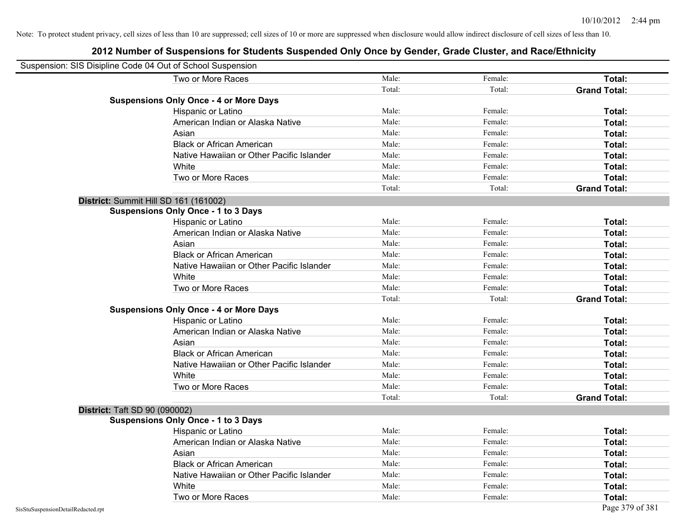| Suspension: SIS Disipline Code 04 Out of School Suspension |                                               |        |         |                     |
|------------------------------------------------------------|-----------------------------------------------|--------|---------|---------------------|
|                                                            | Two or More Races                             | Male:  | Female: | Total:              |
|                                                            |                                               | Total: | Total:  | <b>Grand Total:</b> |
|                                                            | <b>Suspensions Only Once - 4 or More Days</b> |        |         |                     |
|                                                            | Hispanic or Latino                            | Male:  | Female: | Total:              |
|                                                            | American Indian or Alaska Native              | Male:  | Female: | Total:              |
|                                                            | Asian                                         | Male:  | Female: | Total:              |
|                                                            | <b>Black or African American</b>              | Male:  | Female: | Total:              |
|                                                            | Native Hawaiian or Other Pacific Islander     | Male:  | Female: | Total:              |
|                                                            | White                                         | Male:  | Female: | Total:              |
|                                                            | Two or More Races                             | Male:  | Female: | Total:              |
|                                                            |                                               | Total: | Total:  | <b>Grand Total:</b> |
|                                                            | District: Summit Hill SD 161 (161002)         |        |         |                     |
|                                                            | <b>Suspensions Only Once - 1 to 3 Days</b>    |        |         |                     |
|                                                            | Hispanic or Latino                            | Male:  | Female: | Total:              |
|                                                            | American Indian or Alaska Native              | Male:  | Female: | Total:              |
|                                                            | Asian                                         | Male:  | Female: | Total:              |
|                                                            | <b>Black or African American</b>              | Male:  | Female: | Total:              |
|                                                            | Native Hawaiian or Other Pacific Islander     | Male:  | Female: | Total:              |
|                                                            | White                                         | Male:  | Female: | Total:              |
|                                                            | Two or More Races                             | Male:  | Female: | Total:              |
|                                                            |                                               | Total: | Total:  | <b>Grand Total:</b> |
|                                                            | <b>Suspensions Only Once - 4 or More Days</b> |        |         |                     |
|                                                            | Hispanic or Latino                            | Male:  | Female: | Total:              |
|                                                            | American Indian or Alaska Native              | Male:  | Female: | Total:              |
|                                                            | Asian                                         | Male:  | Female: | Total:              |
|                                                            | <b>Black or African American</b>              | Male:  | Female: | Total:              |
|                                                            | Native Hawaiian or Other Pacific Islander     | Male:  | Female: | Total:              |
|                                                            | White                                         | Male:  | Female: | Total:              |
|                                                            | Two or More Races                             | Male:  | Female: | Total:              |
|                                                            |                                               | Total: | Total:  | <b>Grand Total:</b> |
| <b>District: Taft SD 90 (090002)</b>                       |                                               |        |         |                     |
|                                                            | <b>Suspensions Only Once - 1 to 3 Days</b>    |        |         |                     |
|                                                            | Hispanic or Latino                            | Male:  | Female: | Total:              |
|                                                            | American Indian or Alaska Native              | Male:  | Female: | Total:              |
|                                                            | Asian                                         | Male:  | Female: | Total:              |
|                                                            | <b>Black or African American</b>              | Male:  | Female: | Total:              |
|                                                            | Native Hawaiian or Other Pacific Islander     | Male:  | Female: | Total:              |
|                                                            | White                                         | Male:  | Female: | Total:              |
|                                                            | Two or More Races                             | Male:  | Female: | Total:              |
| SisStuSuspensionDetailRedacted.rpt                         |                                               |        |         | Page 379 of 381     |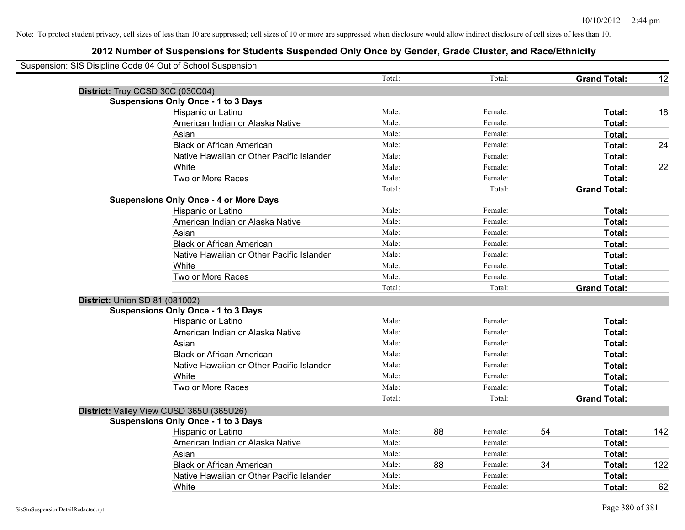| Suspension: SIS Disipline Code 04 Out of School Suspension |                                               |        |    |         |    |                     |     |
|------------------------------------------------------------|-----------------------------------------------|--------|----|---------|----|---------------------|-----|
|                                                            |                                               | Total: |    | Total:  |    | <b>Grand Total:</b> | 12  |
| District: Troy CCSD 30C (030C04)                           |                                               |        |    |         |    |                     |     |
|                                                            | <b>Suspensions Only Once - 1 to 3 Days</b>    |        |    |         |    |                     |     |
|                                                            | Hispanic or Latino                            | Male:  |    | Female: |    | Total:              | 18  |
|                                                            | American Indian or Alaska Native              | Male:  |    | Female: |    | Total:              |     |
|                                                            | Asian                                         | Male:  |    | Female: |    | Total:              |     |
|                                                            | <b>Black or African American</b>              | Male:  |    | Female: |    | Total:              | 24  |
|                                                            | Native Hawaiian or Other Pacific Islander     | Male:  |    | Female: |    | Total:              |     |
|                                                            | White                                         | Male:  |    | Female: |    | Total:              | 22  |
|                                                            | Two or More Races                             | Male:  |    | Female: |    | Total:              |     |
|                                                            |                                               | Total: |    | Total:  |    | <b>Grand Total:</b> |     |
|                                                            | <b>Suspensions Only Once - 4 or More Days</b> |        |    |         |    |                     |     |
|                                                            | Hispanic or Latino                            | Male:  |    | Female: |    | Total:              |     |
|                                                            | American Indian or Alaska Native              | Male:  |    | Female: |    | Total:              |     |
|                                                            | Asian                                         | Male:  |    | Female: |    | Total:              |     |
|                                                            | <b>Black or African American</b>              | Male:  |    | Female: |    | Total:              |     |
|                                                            | Native Hawaiian or Other Pacific Islander     | Male:  |    | Female: |    | Total:              |     |
|                                                            | White                                         | Male:  |    | Female: |    | Total:              |     |
|                                                            | Two or More Races                             | Male:  |    | Female: |    | Total:              |     |
|                                                            |                                               | Total: |    | Total:  |    | <b>Grand Total:</b> |     |
| District: Union SD 81 (081002)                             |                                               |        |    |         |    |                     |     |
|                                                            | <b>Suspensions Only Once - 1 to 3 Days</b>    |        |    |         |    |                     |     |
|                                                            | Hispanic or Latino                            | Male:  |    | Female: |    | Total:              |     |
|                                                            | American Indian or Alaska Native              | Male:  |    | Female: |    | Total:              |     |
|                                                            | Asian                                         | Male:  |    | Female: |    | Total:              |     |
|                                                            | <b>Black or African American</b>              | Male:  |    | Female: |    | Total:              |     |
|                                                            | Native Hawaiian or Other Pacific Islander     | Male:  |    | Female: |    | Total:              |     |
|                                                            | White                                         | Male:  |    | Female: |    | Total:              |     |
|                                                            | Two or More Races                             | Male:  |    | Female: |    | Total:              |     |
|                                                            |                                               | Total: |    | Total:  |    | <b>Grand Total:</b> |     |
|                                                            | District: Valley View CUSD 365U (365U26)      |        |    |         |    |                     |     |
|                                                            | <b>Suspensions Only Once - 1 to 3 Days</b>    |        |    |         |    |                     |     |
|                                                            | Hispanic or Latino                            | Male:  | 88 | Female: | 54 | Total:              | 142 |
|                                                            | American Indian or Alaska Native              | Male:  |    | Female: |    | <b>Total:</b>       |     |
|                                                            | Asian                                         | Male:  |    | Female: |    | Total:              |     |
|                                                            | <b>Black or African American</b>              | Male:  | 88 | Female: | 34 | Total:              | 122 |
|                                                            | Native Hawaiian or Other Pacific Islander     | Male:  |    | Female: |    | Total:              |     |
|                                                            | White                                         | Male:  |    | Female: |    | Total:              | 62  |